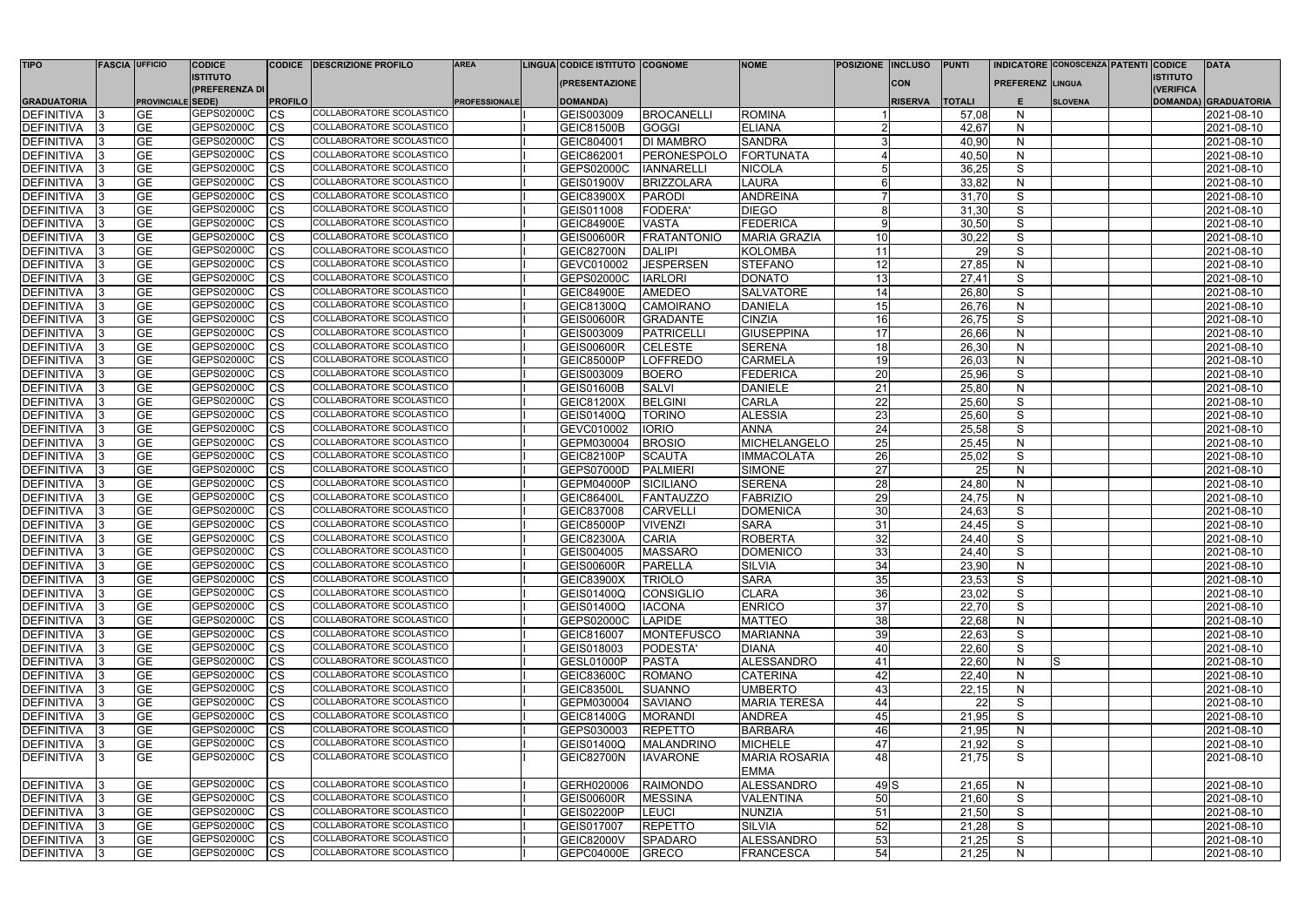| <b>TIPO</b>                            | <b>FASCIA UFFICIO</b> |                          | <b>CODICE</b>            |                | <b>CODICE DESCRIZIONE PROFILO</b>                    | <b>AREA</b>          | LINGUA CODICE ISTITUTO  COGNOME |                               | <b>NOME</b>                     | <b>POSIZIONE INCLUSO</b> |                | <b>PUNTI</b>   |                         | INDICATORE CONOSCENZA PATENTI CODICE |                 | <b>DATA</b>              |
|----------------------------------------|-----------------------|--------------------------|--------------------------|----------------|------------------------------------------------------|----------------------|---------------------------------|-------------------------------|---------------------------------|--------------------------|----------------|----------------|-------------------------|--------------------------------------|-----------------|--------------------------|
|                                        |                       |                          | <b>ISTITUTO</b>          |                |                                                      |                      | (PRESENTAZIONE                  |                               |                                 |                          | <b>CON</b>     |                | <b>PREFERENZ LINGUA</b> |                                      | <b>ISTITUTO</b> |                          |
|                                        |                       |                          | (PREFERENZA DI           |                |                                                      |                      |                                 |                               |                                 |                          |                |                |                         |                                      | (VERIFICA       |                          |
| <b>GRADUATORIA</b>                     |                       | <b>PROVINCIALE SEDE)</b> |                          | <b>PROFILO</b> |                                                      | <b>PROFESSIONALE</b> | DOMANDA)                        |                               |                                 |                          | <b>RISERVA</b> | <b>TOTALI</b>  | E.                      | <b>SLOVENA</b>                       |                 | DOMANDA) GRADUATORIA     |
| <b>DEFINITIVA</b>                      |                       | <b>GE</b>                | GEPS02000C               | CS             | COLLABORATORE SCOLASTICO<br>COLLABORATORE SCOLASTICO |                      | GEIS003009                      | <b>BROCANELL</b>              | <b>ROMINA</b>                   |                          |                | 57,08          | N                       |                                      |                 | 2021-08-10               |
| <b>DEFINITIVA</b>                      |                       | <b>GE</b>                | GEPS02000C<br>GEPS02000C | СS             | COLLABORATORE SCOLASTICO                             |                      | <b>GEIC81500B</b>               | <b>GOGGI</b>                  | <b>ELIANA</b>                   |                          |                | 42,67          | N                       |                                      |                 | 2021-08-10               |
| <b>DEFINITIVA</b>                      |                       | <b>GE</b>                | GEPS02000C               | CS             | COLLABORATORE SCOLASTICO                             |                      | GEIC804001                      | <b>DI MAMBRO</b>              | <b>SANDRA</b>                   |                          |                | 40,90          | N                       |                                      |                 | 2021-08-10               |
| <b>DEFINITIVA</b>                      |                       | <b>GE</b>                | GEPS02000C               | CS             | COLLABORATORE SCOLASTICO                             |                      | GEIC862001                      | PERONESPOLO                   | <b>FORTUNATA</b>                |                          |                | 40,50          | N<br>S                  |                                      |                 | 2021-08-10               |
| <b>DEFINITIVA</b>                      |                       | <b>GE</b>                | GEPS02000C               | CS             | COLLABORATORE SCOLASTICO                             |                      | GEPS02000C                      | <b>IANNARELL</b>              | NICOLA                          |                          |                | 36,25          |                         |                                      |                 | 2021-08-10               |
| <b>DEFINITIVA</b>                      |                       | <b>GE</b><br><b>GE</b>   | GEPS02000C               | CS             | COLLABORATORE SCOLASTICO                             |                      | <b>GEIS01900V</b>               | <b>BRIZZOLARA</b>             | LAURA                           |                          |                | 33,82          | N<br>S                  |                                      |                 | 2021-08-10               |
| <b>DEFINITIVA</b>                      |                       | <b>GE</b>                | GEPS02000C               | CS             | COLLABORATORE SCOLASTICO                             |                      | <b>GEIC83900X</b>               | PARODI                        | <b>ANDREINA</b><br><b>DIEGO</b> |                          |                | 31,70          | S                       |                                      |                 | 2021-08-10               |
| <b>DEFINITIVA</b><br><b>DEFINITIVA</b> |                       | <b>GE</b>                | GEPS02000C               | СS<br>СS       | COLLABORATORE SCOLASTICO                             |                      | GEIS011008<br><b>GEIC84900E</b> | <b>FODERA</b><br><b>VASTA</b> | <b>FEDERICA</b>                 |                          |                | 31,30<br>30,50 | $\overline{s}$          |                                      |                 | 2021-08-10<br>2021-08-10 |
| <b>DEFINITIVA</b>                      |                       | <b>GE</b>                | GEPS02000C               | СS             | COLLABORATORE SCOLASTICO                             |                      | GEIS00600R                      | <b>FRATANTONIO</b>            | <b>MARIA GRAZIA</b>             | 10                       |                | 30,22          | S                       |                                      |                 | 2021-08-10               |
| <b>DEFINITIVA</b>                      |                       | <b>GE</b>                | GEPS02000C               | СS             | COLLABORATORE SCOLASTICO                             |                      | GEIC82700N                      | <b>DALIPI</b>                 | <b>KOLOMBA</b>                  | 11                       |                | 29             | S                       |                                      |                 | 2021-08-10               |
| <b>DEFINITIVA</b>                      |                       | <b>GE</b>                | GEPS02000C               | СS             | COLLABORATORE SCOLASTICO                             |                      | GEVC010002                      | <b>JESPERSEN</b>              | <b>STEFANO</b>                  | 12                       |                | 27,85          | $\mathsf{N}$            |                                      |                 | 2021-08-10               |
| <b>DEFINITIVA</b>                      |                       | <b>GE</b>                | GEPS02000C               | СS             | COLLABORATORE SCOLASTICO                             |                      | GEPS02000C                      | <b>IARLORI</b>                | <b>DONATO</b>                   | 13                       |                | 27,41          | S                       |                                      |                 | 2021-08-10               |
| <b>DEFINITIVA</b>                      |                       | <b>GE</b>                | GEPS02000C               | СS             | COLLABORATORE SCOLASTICO                             |                      | GEIC84900E                      | <b>AMEDEO</b>                 | <b>SALVATORE</b>                | 14                       |                | 26,80          | S                       |                                      |                 | 2021-08-10               |
| <b>DEFINITIVA</b>                      |                       | <b>GE</b>                | GEPS02000C               | СS             | COLLABORATORE SCOLASTICO                             |                      | <b>GEIC81300Q</b>               | CAMOIRANO                     | <b>DANIELA</b>                  | 15                       |                | 26,76          | N                       |                                      |                 | 2021-08-10               |
| <b>DEFINITIVA</b>                      |                       | <b>GE</b>                | GEPS02000C               | СS             | COLLABORATORE SCOLASTICO                             |                      | <b>GEIS00600R</b>               | <b>GRADANTE</b>               | <b>CINZIA</b>                   | 16                       |                | 26,75          | S                       |                                      |                 | 2021-08-10               |
| <b>DEFINITIVA</b>                      |                       | <b>GE</b>                | GEPS02000C               | СS             | COLLABORATORE SCOLASTICO                             |                      | GEIS003009                      | PATRICELL                     | <b>GIUSEPPINA</b>               | 17                       |                | 26,66          | $\mathsf{N}$            |                                      |                 | 2021-08-10               |
| <b>DEFINITIVA</b>                      |                       | <b>GE</b>                | GEPS02000C               | СS             | COLLABORATORE SCOLASTICO                             |                      | <b>GEIS00600R</b>               | <b>CELESTE</b>                | <b>SERENA</b>                   | 18                       |                | 26,30          | N                       |                                      |                 | 2021-08-10               |
| <b>DEFINITIVA</b>                      |                       | <b>GE</b>                | GEPS02000C               | СS             | COLLABORATORE SCOLASTICO                             |                      | <b>GEIC85000P</b>               | <b>LOFFREDO</b>               | <b>CARMELA</b>                  | 19                       |                | 26,03          | N                       |                                      |                 | 2021-08-10               |
| <b>DEFINITIVA</b>                      |                       | <b>GE</b>                | GEPS02000C               | СS             | COLLABORATORE SCOLASTICO                             |                      | GEIS003009                      | <b>BOERO</b>                  | <b>FEDERICA</b>                 | 20                       |                | 25,96          | S                       |                                      |                 | 2021-08-10               |
| DEFINITIVA                             |                       | <b>GE</b>                | GEPS02000C               | СS             | COLLABORATORE SCOLASTICO                             |                      | <b>GEIS01600B</b>               | <b>SALVI</b>                  | <b>DANIELE</b>                  | 21                       |                | 25,80          | N                       |                                      |                 | 2021-08-10               |
| <b>DEFINITIVA</b>                      |                       | <b>GE</b>                | GEPS02000C               | СS             | COLLABORATORE SCOLASTICO                             |                      | <b>GEIC81200X</b>               | <b>BELGINI</b>                | <b>CARLA</b>                    | 22                       |                | 25,60          | S                       |                                      |                 | 2021-08-10               |
| <b>DEFINITIVA</b>                      |                       | <b>GE</b>                | GEPS02000C               | СS             | COLLABORATORE SCOLASTICO                             |                      | <b>GEIS01400Q</b>               | <b>TORINO</b>                 | <b>ALESSIA</b>                  | 23                       |                | 25,60          | S                       |                                      |                 | 2021-08-10               |
| <b>DEFINITIVA</b>                      |                       | <b>GE</b>                | GEPS02000C               | СS             | COLLABORATORE SCOLASTICO                             |                      | GEVC010002                      | <b>IORIO</b>                  | <b>ANNA</b>                     | 24                       |                | 25,58          | $\mathsf S$             |                                      |                 | 2021-08-10               |
| <b>DEFINITIVA</b>                      |                       | <b>GE</b>                | GEPS02000C               | СS             | COLLABORATORE SCOLASTICO                             |                      | GEPM030004                      | <b>BROSIO</b>                 | <b>MICHELANGELO</b>             | 25                       |                | 25,45          | $\mathsf{N}$            |                                      |                 | 2021-08-10               |
| DEFINITIVA                             |                       | <b>GE</b>                | GEPS02000C               | СS             | COLLABORATORE SCOLASTICO                             |                      | <b>GEIC82100P</b>               | <b>SCAUTA</b>                 | <b>IMMACOLATA</b>               | 26                       |                | 25,02          | S                       |                                      |                 | 2021-08-10               |
| <b>DEFINITIVA</b>                      |                       | <b>GE</b>                | GEPS02000C               | СS             | COLLABORATORE SCOLASTICO                             |                      | <b>GEPS07000D</b>               | PALMIERI                      | <b>SIMONE</b>                   | 27                       |                | 25             | N                       |                                      |                 | 2021-08-10               |
| <b>DEFINITIVA</b>                      |                       | <b>GE</b>                | GEPS02000C               | СS             | COLLABORATORE SCOLASTICO                             |                      | <b>GEPM04000P</b>               | SICILIANO                     | <b>SERENA</b>                   | 28                       |                | 24,80          | $\mathsf{N}$            |                                      |                 | 2021-08-10               |
| <b>DEFINITIVA</b>                      |                       | <b>GE</b>                | GEPS02000C               | CS             | COLLABORATORE SCOLASTICO                             |                      | <b>GEIC86400L</b>               | <b>FANTAUZZO</b>              | <b>FABRIZIO</b>                 | 29                       |                | 24,75          | $\mathsf{N}$            |                                      |                 | 2021-08-10               |
| <b>DEFINITIVA</b>                      |                       | <b>GE</b>                | GEPS02000C               | СS             | COLLABORATORE SCOLASTICO                             |                      | GEIC837008                      | <b>CARVELLI</b>               | <b>DOMENICA</b>                 | 30                       |                | 24,63          | S                       |                                      |                 | 2021-08-10               |
| <b>DEFINITIVA</b>                      |                       | <b>GE</b>                | GEPS02000C               | СS             | COLLABORATORE SCOLASTICO                             |                      | GEIC85000P                      | <b>VIVENZI</b>                | <b>SARA</b>                     | 31                       |                | 24,45          | S                       |                                      |                 | 2021-08-10               |
| <b>DEFINITIVA</b>                      |                       | <b>GE</b>                | GEPS02000C               | CS             | COLLABORATORE SCOLASTICO                             |                      | <b>GEIC82300A</b>               | <b>CARIA</b>                  | <b>ROBERTA</b>                  | 32                       |                | 24,40          | S                       |                                      |                 | 2021-08-10               |
| DEFINITIVA 3                           |                       | ⊐다                       | GEPS02000C               | $\sim$<br>בטן  | COLLABORATORE SCOLASTICO                             |                      | GEIS004005                      | <b>MASSARO</b>                | <b>DOMENICO</b>                 | ડડા                      |                | 24,40          | ${\mathsf S}$           |                                      |                 | 2021-08-10               |
| DEFINITIVA 3                           |                       | <b>GE</b>                | GEPS02000C               | <b>CS</b>      | COLLABORATORE SCOLASTICO                             |                      | <b>GEIS00600R</b>               | PARELLA                       | <b>SILVIA</b>                   | 34                       |                | 23,90          | N                       |                                      |                 | 2021-08-10               |
| DEFINITIVA                             |                       | <b>GE</b>                | GEPS02000C               | ICS            | COLLABORATORE SCOLASTICO                             |                      | <b>GEIC83900X</b>               | <b>TRIOLO</b>                 | <b>SARA</b>                     | 35                       |                | 23,53          | S                       |                                      |                 | 2021-08-10               |
| DEFINITIVA                             |                       | <b>GE</b>                | GEPS02000C               | CS             | COLLABORATORE SCOLASTICO                             |                      | <b>GEIS01400Q</b>               | CONSIGLIO                     | <b>CLARA</b>                    | 36                       |                | 23,02          | S                       |                                      |                 | 2021-08-10               |
| DEFINITIVA                             |                       | <b>GE</b>                | GEPS02000C               | CS             | COLLABORATORE SCOLASTICO                             |                      | <b>GEIS01400Q</b>               | <b>IACONA</b>                 | <b>ENRICO</b>                   | 37                       |                | 22,70          | S                       |                                      |                 | 2021-08-10               |
| DEFINITIVA                             |                       | <b>GE</b>                | GEPS02000C               | СS             | COLLABORATORE SCOLASTICO                             |                      | GEPS02000C                      | LAPIDE                        | <b>MATTEO</b>                   | 38                       |                | 22,68          | N                       |                                      |                 | 2021-08-10               |
| DEFINITIVA                             |                       | <b>GE</b>                | GEPS02000C               | СS             | COLLABORATORE SCOLASTICO                             |                      | GEIC816007                      | MONTEFUSCO                    | <b>MARIANNA</b>                 | 39                       |                | 22,63          | S                       |                                      |                 | 2021-08-10               |
| DEFINITIVA                             |                       | <b>GE</b>                | GEPS02000C               | СS             | COLLABORATORE SCOLASTICO                             |                      | GEIS018003                      | PODESTA'                      | <b>DIANA</b>                    | 40                       |                | 22,60          | S                       |                                      |                 | 2021-08-10               |
| DEFINITIVA                             |                       | <b>GE</b>                | GEPS02000C               | <b>CS</b>      | COLLABORATORE SCOLASTICO                             |                      | GESL01000P                      | <b>PASTA</b>                  | ALESSANDRO                      | 41                       |                | 22,60          | N                       | S                                    |                 | 2021-08-10               |
| <b>DEFINITIVA</b>                      |                       | <b>GE</b>                | GEPS02000C               | CS             | COLLABORATORE SCOLASTICO                             |                      | <b>GEIC83600C</b>               | <b>ROMANO</b>                 | <b>CATERINA</b>                 | 42                       |                | 22,40          | N                       |                                      |                 | 2021-08-10               |
| <b>DEFINITIVA</b>                      |                       | <b>GE</b>                | GEPS02000C               | СS             | COLLABORATORE SCOLASTICO                             |                      | <b>GEIC83500L</b>               | <b>SUANNO</b>                 | <b>UMBERTO</b>                  | 43                       |                | 22,15          | N                       |                                      |                 | 2021-08-10               |
| <b>DEFINITIVA</b>                      |                       | <b>GE</b>                | GEPS02000C               | CS             | COLLABORATORE SCOLASTICO                             |                      | GEPM030004                      | <b>SAVIANO</b>                | <b>MARIA TERESA</b>             | 44                       |                | 22             | S                       |                                      |                 | 2021-08-10               |
| <b>DEFINITIVA</b>                      |                       | <b>GE</b>                | GEPS02000C               | CS             | COLLABORATORE SCOLASTICO                             |                      | <b>GEIC81400G</b>               | <b>MORANDI</b>                | <b>ANDREA</b>                   | 45                       |                | 21,95          | S                       |                                      |                 | 2021-08-10               |
| DEFINITIVA                             |                       | <b>GE</b>                | <b>GEPS02000C</b>        | СS             | COLLABORATORE SCOLASTICO                             |                      | GEPS030003                      | <b>REPETTO</b>                | <b>BARBARA</b>                  | 46                       |                | 21,95          | N                       |                                      |                 | 2021-08-10               |
| DEFINITIVA                             |                       | <b>GE</b>                | GEPS02000C               | СS             | COLLABORATORE SCOLASTICO                             |                      | <b>GEIS01400Q</b>               | MALANDRINO                    | <b>MICHELE</b>                  | 47                       |                | 21,92          | S                       |                                      |                 | 2021-08-10               |
| DEFINITIVA                             |                       | <b>GE</b>                | GEPS02000C               | CS             | COLLABORATORE SCOLASTICO                             |                      | GEIC82700N                      | <b>IAVARONE</b>               | <b>MARIA ROSARIA</b>            | 48                       |                | 21,75          | S                       |                                      |                 | 2021-08-10               |
|                                        |                       |                          |                          |                |                                                      |                      |                                 |                               | EMMA                            |                          |                |                |                         |                                      |                 |                          |
| <b>DEFINITIVA</b>                      | - 13                  | <b>GE</b>                | GEPS02000C               | CS             | COLLABORATORE SCOLASTICO                             |                      | GERH020006                      | <b>RAIMONDO</b>               | <b>ALESSANDRO</b>               | 49S                      |                | 21,65          | N                       |                                      |                 | 2021-08-10               |
| <b>DEFINITIVA</b>                      |                       | <b>GE</b>                | GEPS02000C               | CS             | COLLABORATORE SCOLASTICO                             |                      | <b>GEIS00600R</b>               | <b>MESSINA</b>                | <b>VALENTINA</b>                | 50                       |                | 21,60          | S                       |                                      |                 | 2021-08-10               |
| DEFINITIVA                             |                       | <b>GE</b>                | GEPS02000C               | СS             | COLLABORATORE SCOLASTICO                             |                      | GEIS02200P                      | <b>LEUCI</b>                  | <b>NUNZIA</b>                   | 51                       |                | 21,50          | S                       |                                      |                 | 2021-08-10               |
| <b>DEFINITIVA</b>                      |                       | <b>GE</b>                | GEPS02000C               | CS             | COLLABORATORE SCOLASTICO                             |                      | GEIS017007                      | <b>REPETTO</b>                | <b>SILVIA</b>                   | 52                       |                | 21,28          | S                       |                                      |                 | 2021-08-10               |
| <b>DEFINITIVA</b>                      |                       | <b>GE</b>                | GEPS02000C               | СS             | COLLABORATORE SCOLASTICO                             |                      | <b>GEIC82000V</b>               | <b>SPADARO</b>                | ALESSANDRO                      | 53                       |                | 21,25          | S                       |                                      |                 | 2021-08-10               |
| <b>DEFINITIVA</b>                      |                       | <b>GE</b>                | GEPS02000C               | CS             | COLLABORATORE SCOLASTICO                             |                      | GEPC04000E                      | GRECO                         | <b>FRANCESCA</b>                | 54                       |                | 21,25          | N                       |                                      |                 | 2021-08-10               |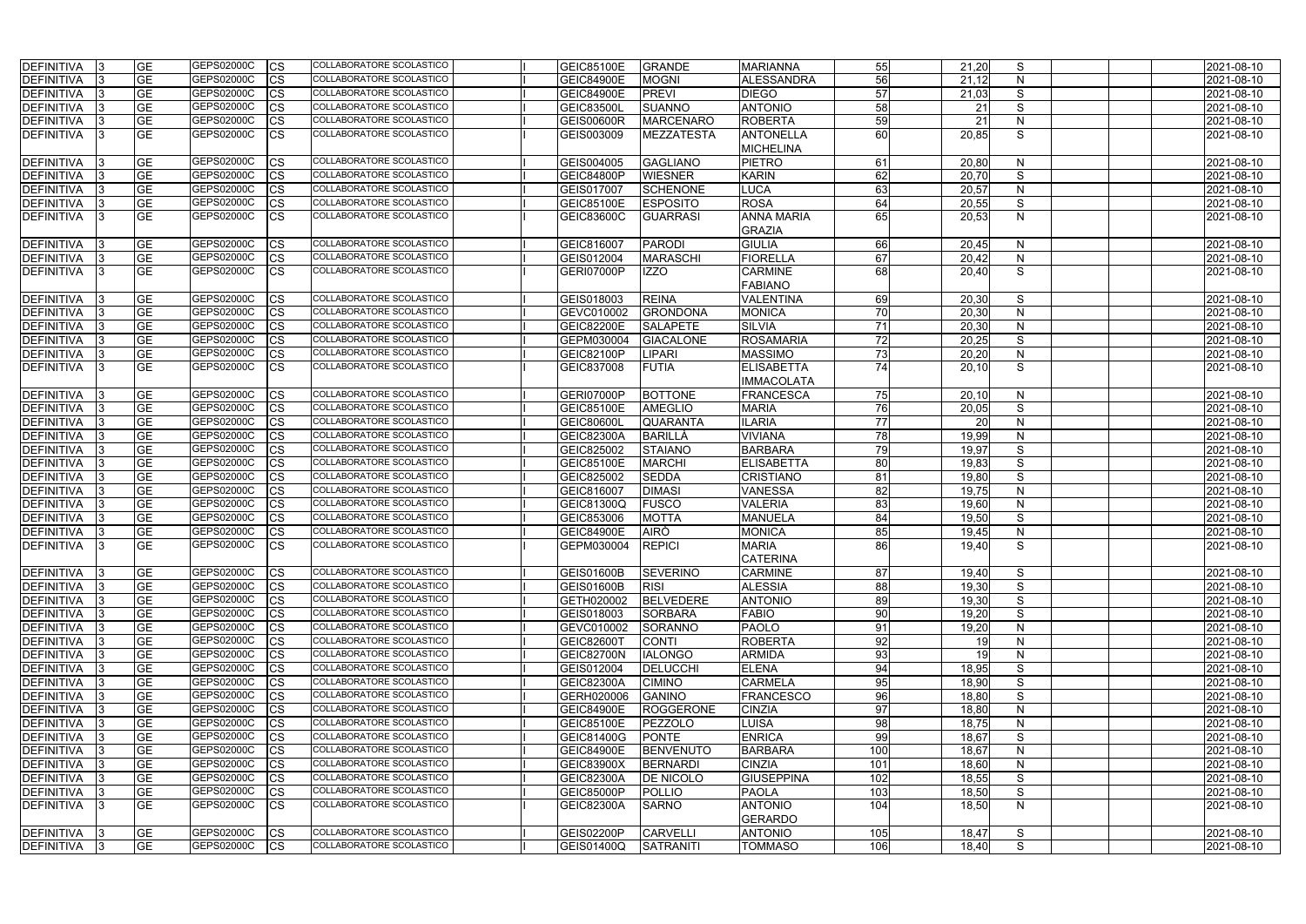| DEFINITIVA 3      |     | <b>GE</b>  | GEPS02000C | <b>CS</b> | COLLABORATORE SCOLASTICO        | <b>GEIC85100E</b> | <b>GRANDE</b>     | <b>MARIANNA</b>   | 55  | 21,20 | S            |  | 2021-08-10 |
|-------------------|-----|------------|------------|-----------|---------------------------------|-------------------|-------------------|-------------------|-----|-------|--------------|--|------------|
| DEFINITIVA        |     | <b>GE</b>  | GEPS02000C | <b>CS</b> | COLLABORATORE SCOLASTICO        | <b>GEIC84900E</b> | MOGNI             | <b>ALESSANDRA</b> | 56  | 21,12 | N            |  | 2021-08-10 |
| DEFINITIVA        |     | <b>GE</b>  | GEPS02000C | <b>CS</b> | COLLABORATORE SCOLASTICO        | <b>GEIC84900E</b> | PREVI             | <b>DIEGO</b>      | 57  | 21,03 | S            |  | 2021-08-10 |
| <b>DEFINITIVA</b> |     | <b>GE</b>  | GEPS02000C | <b>CS</b> | COLLABORATORE SCOLASTICO        | <b>GEIC83500L</b> | <b>SUANNO</b>     | <b>ANTONIO</b>    | 58  | 21    | S            |  | 2021-08-10 |
| DEFINITIVA        |     | <b>GE</b>  | GEPS02000C | <b>CS</b> | COLLABORATORE SCOLASTICO        | <b>GEIS00600R</b> | <b>MARCENARO</b>  | <b>ROBERTA</b>    | 59  | 21    | N            |  | 2021-08-10 |
| DEFINITIVA        |     | <b>GE</b>  | GEPS02000C | <b>CS</b> | <b>COLLABORATORE SCOLASTICO</b> | GEIS003009        | <b>MEZZATESTA</b> | <b>ANTONELLA</b>  | 60  | 20,85 | S            |  | 2021-08-10 |
|                   |     |            |            |           |                                 |                   |                   | <b>MICHELINA</b>  |     |       |              |  |            |
| <b>DEFINITIVA</b> |     | <b>GE</b>  | GEPS02000C | <b>CS</b> | COLLABORATORE SCOLASTICO        | GEIS004005        | <b>GAGLIANO</b>   | <b>PIETRO</b>     | 61  | 20,80 | N            |  | 2021-08-10 |
| DEFINITIVA        |     | <b>GE</b>  | GEPS02000C | <b>CS</b> | COLLABORATORE SCOLASTICO        | <b>GEIC84800P</b> | <b>WIESNER</b>    | <b>KARIN</b>      | 62  | 20,70 | S            |  | 2021-08-10 |
| DEFINITIVA        |     | <b>GE</b>  | GEPS02000C | <b>CS</b> | COLLABORATORE SCOLASTICO        | GEIS017007        | <b>SCHENONE</b>   | <b>LUCA</b>       | 63  | 20,57 | $\mathsf{N}$ |  | 2021-08-10 |
| DEFINITIVA        |     | <b>GE</b>  | GEPS02000C | <b>CS</b> | COLLABORATORE SCOLASTICO        | <b>GEIC85100E</b> | <b>ESPOSITO</b>   | <b>ROSA</b>       | 64  | 20,55 | S            |  | 2021-08-10 |
| DEFINITIVA        |     | <b>GE</b>  | GEPS02000C | <b>CS</b> | COLLABORATORE SCOLASTICO        | <b>GEIC83600C</b> | <b>GUARRASI</b>   | <b>ANNA MARIA</b> | 65  | 20,53 | $\mathsf{N}$ |  | 2021-08-10 |
|                   |     |            |            |           |                                 |                   |                   | <b>GRAZIA</b>     |     |       |              |  |            |
| <b>DEFINITIVA</b> |     | <b>GE</b>  | GEPS02000C | <b>CS</b> | COLLABORATORE SCOLASTICO        | GEIC816007        | PARODI            | <b>GIULIA</b>     | 66  | 20,45 | N            |  | 2021-08-10 |
| <b>DEFINITIVA</b> |     | <b>GE</b>  | GEPS02000C | <b>CS</b> | COLLABORATORE SCOLASTICO        | GEIS012004        | <b>MARASCHI</b>   | <b>FIORELLA</b>   | 67  | 20,42 | $\mathsf{N}$ |  | 2021-08-10 |
| <b>DEFINITIVA</b> |     | <b>GE</b>  | GEPS02000C | <b>CS</b> | COLLABORATORE SCOLASTICO        | GERI07000P        | <b>IZZO</b>       | <b>CARMINE</b>    | 68  | 20,40 | S            |  | 2021-08-10 |
|                   |     |            |            |           |                                 |                   |                   | <b>FABIANO</b>    |     |       |              |  |            |
| <b>DEFINITIVA</b> |     | <b>GE</b>  | GEPS02000C | <b>CS</b> | <b>COLLABORATORE SCOLASTICO</b> | GEIS018003        | <b>REINA</b>      | <b>VALENTINA</b>  | 69  | 20,30 | S            |  | 2021-08-10 |
| DEFINITIVA        |     | <b>GE</b>  | GEPS02000C | <b>CS</b> | COLLABORATORE SCOLASTICO        | GEVC010002        | <b>GRONDONA</b>   | <b>MONICA</b>     | 70  | 20,30 | $\mathsf{N}$ |  | 2021-08-10 |
| DEFINITIVA        |     | <b>GE</b>  | GEPS02000C | <b>CS</b> | <b>COLLABORATORE SCOLASTICO</b> | <b>GEIC82200E</b> | <b>SALAPETE</b>   | <b>SILVIA</b>     | 71  | 20,30 | $\mathsf{N}$ |  | 2021-08-10 |
| DEFINITIVA        |     | <b>GE</b>  | GEPS02000C | <b>CS</b> | COLLABORATORE SCOLASTICO        | GEPM030004        | <b>GIACALONE</b>  | <b>ROSAMARIA</b>  | 72  | 20,25 | S            |  | 2021-08-10 |
| <b>DEFINITIVA</b> |     | <b>GE</b>  | GEPS02000C | <b>CS</b> | COLLABORATORE SCOLASTICO        | <b>GEIC82100P</b> | <b>LIPARI</b>     | <b>MASSIMO</b>    | 73  | 20,20 | $\mathsf{N}$ |  | 2021-08-10 |
| DEFINITIVA        |     | <b>GE</b>  | GEPS02000C | <b>CS</b> | COLLABORATORE SCOLASTICO        | GEIC837008        | <b>FUTIA</b>      | <b>ELISABETTA</b> | 74  | 20,10 | S            |  | 2021-08-10 |
|                   |     |            |            |           |                                 |                   |                   | <b>IMMACOLATA</b> |     |       |              |  |            |
| DEFINITIVA        |     | <b>GE</b>  | GEPS02000C | <b>CS</b> | COLLABORATORE SCOLASTICO        | GERI07000P        | <b>BOTTONE</b>    | <b>FRANCESCA</b>  | 75  | 20,10 | N            |  | 2021-08-10 |
| DEFINITIVA        |     | <b>GE</b>  | GEPS02000C | <b>CS</b> | COLLABORATORE SCOLASTICO        | <b>GEIC85100E</b> | <b>AMEGLIO</b>    | <b>MARIA</b>      | 76  | 20,05 | S            |  | 2021-08-10 |
| DEFINITIVA        |     | <b>GE</b>  | GEPS02000C | <b>CS</b> | COLLABORATORE SCOLASTICO        | <b>GEIC80600L</b> | <b>QUARANTA</b>   | <b>ILARIA</b>     | 77  | 20    | $\mathsf{N}$ |  | 2021-08-10 |
| DEFINITIVA        |     | <b>GE</b>  | GEPS02000C | <b>CS</b> | COLLABORATORE SCOLASTICO        | <b>GEIC82300A</b> | BARILLÀ           | <b>VIVIANA</b>    | 78  | 19,99 | N            |  | 2021-08-10 |
| <b>DEFINITIVA</b> |     | <b>GE</b>  | GEPS02000C | <b>CS</b> | COLLABORATORE SCOLASTICO        | GEIC825002        | <b>STAIANO</b>    | <b>BARBARA</b>    | 79  | 19,97 | S            |  | 2021-08-10 |
| <b>DEFINITIVA</b> |     | <b>GE</b>  | GEPS02000C | <b>CS</b> | COLLABORATORE SCOLASTICO        | <b>GEIC85100E</b> | <b>MARCHI</b>     | <b>ELISABETTA</b> | 80  | 19,83 | S            |  | 2021-08-10 |
| <b>DEFINITIVA</b> |     | <b>GE</b>  | GEPS02000C | <b>CS</b> | COLLABORATORE SCOLASTICO        | GEIC825002        | <b>SEDDA</b>      | <b>CRISTIANO</b>  | 81  | 19,80 | S            |  | 2021-08-10 |
| <b>DEFINITIVA</b> |     | <b>GE</b>  | GEPS02000C | <b>CS</b> | COLLABORATORE SCOLASTICO        | GEIC816007        | <b>DIMASI</b>     | <b>VANESSA</b>    | 82  | 19,75 | N            |  | 2021-08-10 |
| DEFINITIVA        |     | <b>GE</b>  | GEPS02000C | <b>CS</b> | COLLABORATORE SCOLASTICO        | GEIC81300Q        | <b>FUSCO</b>      | <b>VALERIA</b>    | 83  | 19,60 | N            |  | 2021-08-10 |
| DEFINITIVA        |     | <b>GE</b>  | GEPS02000C | <b>CS</b> | COLLABORATORE SCOLASTICO        | GEIC853006        | <b>MOTTA</b>      | <b>MANUELA</b>    | 84  | 19,50 | S            |  | 2021-08-10 |
| DEFINITIVA        |     | <b>GE</b>  | GEPS02000C | <b>CS</b> | COLLABORATORE SCOLASTICO        | GEIC84900E        | <b>AIRÒ</b>       | <b>MONICA</b>     | 85  | 19,45 | $\mathsf{N}$ |  | 2021-08-10 |
| DEFINITIVA 3      |     | <b>IGE</b> | GEPS02000C | <b>CS</b> | COLLABORATORE SCOLASTICO        | GEPM030004        | <b>REPICI</b>     | <b>MARIA</b>      | 86  | 19.40 | S.           |  | 2021-08-10 |
|                   |     |            |            |           |                                 |                   |                   | <b>CATERINA</b>   |     |       |              |  |            |
| DEFINITIVA        |     | <b>GE</b>  | GEPS02000C | <b>CS</b> | COLLABORATORE SCOLASTICO        | <b>GEIS01600B</b> | <b>SEVERINO</b>   | <b>CARMINE</b>    | 87  | 19,40 | S            |  | 2021-08-10 |
| DEFINITIVA        |     | <b>GE</b>  | GEPS02000C | <b>CS</b> | COLLABORATORE SCOLASTICO        | <b>GEIS01600B</b> | <b>RISI</b>       | <b>ALESSIA</b>    | 88  | 19,30 | S            |  | 2021-08-10 |
| DEFINITIVA        |     | <b>GE</b>  | GEPS02000C | <b>CS</b> | COLLABORATORE SCOLASTICO        | GETH020002        | BELVEDERE         | <b>ANTONIO</b>    | 89  | 19,30 | S            |  | 2021-08-10 |
| <b>DEFINITIVA</b> |     | <b>GE</b>  | GEPS02000C | <b>CS</b> | COLLABORATORE SCOLASTICO        | GEIS018003        | SORBARA           | <b>FABIO</b>      | 90  | 19,20 | S            |  | 2021-08-10 |
| DEFINITIVA        | -13 | <b>GE</b>  | GEPS02000C | <b>CS</b> | COLLABORATORE SCOLASTICO        | GEVC010002        | SORANNO           | <b>PAOLO</b>      | 91  | 19,20 | N            |  | 2021-08-10 |
| DEFINITIVA        |     | <b>GE</b>  | GEPS02000C | <b>CS</b> | COLLABORATORE SCOLASTICO        | GEIC82600T        | <b>CONTI</b>      | <b>ROBERTA</b>    | 92  | 19    | $\mathsf{N}$ |  | 2021-08-10 |
| DEFINITIVA        |     | <b>GE</b>  | GEPS02000C | <b>CS</b> | COLLABORATORE SCOLASTICO        | GEIC82700N        | <b>IALONGO</b>    | <b>ARMIDA</b>     | 93  | 19    | N            |  | 2021-08-10 |
| DEFINITIVA        |     | <b>GE</b>  | GEPS02000C | <b>CS</b> | COLLABORATORE SCOLASTICO        | GEIS012004        | <b>DELUCCHI</b>   | <b>ELENA</b>      | 94  | 18,95 | S            |  | 2021-08-10 |
| <b>DEFINITIVA</b> |     | <b>GE</b>  | GEPS02000C | <b>CS</b> | COLLABORATORE SCOLASTICO        | <b>GEIC82300A</b> | <b>CIMINO</b>     | <b>CARMELA</b>    | 95  | 18,90 | S            |  | 2021-08-10 |
| DEFINITIVA        | -13 | <b>GE</b>  | GEPS02000C | <b>CS</b> | COLLABORATORE SCOLASTICO        | GERH020006        | <b>GANINO</b>     | <b>FRANCESCO</b>  | 96  | 18,80 | S            |  | 2021-08-10 |
| DEFINITIVA        |     | <b>GE</b>  | GEPS02000C | <b>CS</b> | COLLABORATORE SCOLASTICO        | <b>GEIC84900E</b> | ROGGERONE         | <b>CINZIA</b>     | 97  | 18,80 | N            |  | 2021-08-10 |
| DEFINITIVA 3      |     | <b>GE</b>  | GEPS02000C | <b>CS</b> | COLLABORATORE SCOLASTICO        | <b>GEIC85100E</b> | PEZZOLO           | <b>LUISA</b>      | 98  | 18,75 | $\mathsf{N}$ |  | 2021-08-10 |
| DEFINITIVA        |     | <b>GE</b>  | GEPS02000C | <b>CS</b> | COLLABORATORE SCOLASTICO        | <b>GEIC81400G</b> | <b>PONTE</b>      | <b>ENRICA</b>     | 99  | 18,67 | S            |  | 2021-08-10 |
| DEFINITIVA        |     | <b>GE</b>  | GEPS02000C | <b>CS</b> | COLLABORATORE SCOLASTICO        | <b>GEIC84900E</b> | <b>BENVENUTO</b>  | <b>BARBARA</b>    | 100 | 18,67 | N            |  | 2021-08-10 |
| DEFINITIVA        |     | <b>GE</b>  | GEPS02000C | <b>CS</b> | COLLABORATORE SCOLASTICO        | <b>GEIC83900X</b> | <b>BERNARDI</b>   | <b>CINZIA</b>     | 101 | 18,60 | N            |  | 2021-08-10 |
| DEFINITIVA 3      |     | <b>GE</b>  | GEPS02000C | <b>CS</b> | COLLABORATORE SCOLASTICO        | <b>GEIC82300A</b> | <b>DE NICOLO</b>  | <b>GIUSEPPINA</b> | 102 | 18,55 | S            |  | 2021-08-10 |
| DEFINITIVA        | -13 | <b>GE</b>  | GEPS02000C | <b>CS</b> | COLLABORATORE SCOLASTICO        | GEIC85000P        | POLLIO            | <b>PAOLA</b>      | 103 | 18,50 | S            |  | 2021-08-10 |
| <b>DEFINITIVA</b> | -13 | <b>GE</b>  | GEPS02000C | <b>CS</b> | COLLABORATORE SCOLASTICO        | <b>GEIC82300A</b> | <b>SARNO</b>      | <b>ANTONIO</b>    | 104 | 18,50 | N            |  | 2021-08-10 |
|                   |     |            |            |           |                                 |                   |                   | <b>GERARDO</b>    |     |       |              |  |            |
| DEFINITIVA        |     | <b>GE</b>  | GEPS02000C | <b>CS</b> | COLLABORATORE SCOLASTICO        | GEIS02200P        | <b>CARVELLI</b>   | <b>ANTONIO</b>    | 105 | 18,47 | S            |  | 2021-08-10 |
| DEFINITIVA 3      |     | <b>GE</b>  | GEPS02000C | <b>CS</b> | COLLABORATORE SCOLASTICO        | <b>GEIS01400Q</b> | SATRANITI         | <b>TOMMASO</b>    | 106 | 18,40 | S            |  | 2021-08-10 |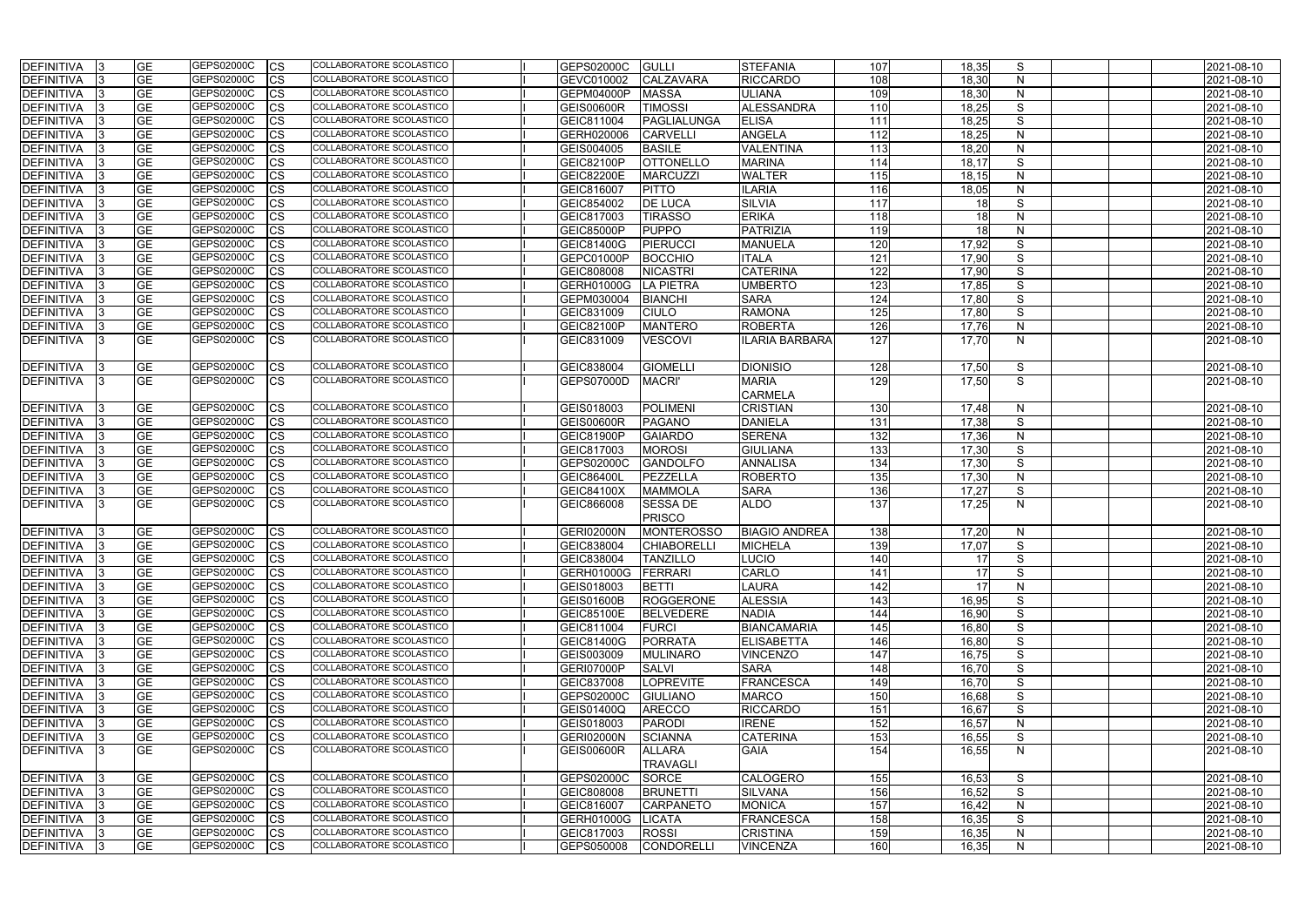| DEFINITIVA        | <b>GE</b>       | <b>GEPS02000C</b><br><b>CS</b> | COLLABORATORE SCOLASTICO        | <b>GEPS02000C</b> | GULLI              | <b>STEFANIA</b>       | 107 | 18,35 | S            | 2021-08-10 |
|-------------------|-----------------|--------------------------------|---------------------------------|-------------------|--------------------|-----------------------|-----|-------|--------------|------------|
| <b>DEFINITIVA</b> | <b>GE</b>       | GEPS02000C<br>CS               | COLLABORATORE SCOLASTICO        | GEVC010002        | <b>CALZAVARA</b>   | <b>RICCARDO</b>       | 108 | 18,30 | $\mathsf{N}$ | 2021-08-10 |
| <b>DEFINITIVA</b> | <b>GE</b>       | GEPS02000C<br>СS               | COLLABORATORE SCOLASTICO        | GEPM04000P        | <b>MASSA</b>       | <b>ULIANA</b>         | 109 | 18,30 | $\mathsf{N}$ | 2021-08-10 |
| <b>DEFINITIVA</b> | <b>GE</b>       | GEPS02000C<br>СS               | COLLABORATORE SCOLASTICO        | <b>GEIS00600R</b> | <b>TIMOSSI</b>     | <b>ALESSANDRA</b>     | 110 | 18,25 | S            | 2021-08-10 |
| <b>DEFINITIVA</b> | <b>GE</b>       | GEPS02000C<br>CS               | COLLABORATORE SCOLASTICO        | GEIC811004        | PAGLIALUNGA        | <b>ELISA</b>          | 111 | 18,25 | S            | 2021-08-10 |
| <b>DEFINITIVA</b> | <b>GE</b>       | GEPS02000C<br>CS               | COLLABORATORE SCOLASTICO        | GERH020006        | <b>CARVELLI</b>    | <b>ANGELA</b>         | 112 | 18,25 | $\mathsf{N}$ | 2021-08-10 |
| DEFINITIVA        | <b>GE</b>       | GEPS02000C<br>СS               | COLLABORATORE SCOLASTICO        | GEIS004005        | <b>BASILE</b>      | <b>VALENTINA</b>      | 113 | 18,20 | N            | 2021-08-10 |
| DEFINITIVA        | <b>GE</b>       | GEPS02000C<br>CS               | COLLABORATORE SCOLASTICO        | <b>GEIC82100P</b> | <b>OTTONELLO</b>   | <b>MARINA</b>         | 114 | 18,17 | S            | 2021-08-10 |
| DEFINITIVA        | <b>GE</b>       | GEPS02000C<br>CS               | COLLABORATORE SCOLASTICO        | <b>GEIC82200E</b> | <b>MARCUZZI</b>    | <b>WALTER</b>         | 115 | 18,15 | $\mathsf{N}$ | 2021-08-10 |
| <b>DEFINITIVA</b> | <b>GE</b>       | GEPS02000C<br>СS               | <b>COLLABORATORE SCOLASTICO</b> | GEIC816007        | <b>PITTO</b>       | <b>LARIA</b>          | 116 | 18,05 | N            | 2021-08-10 |
| <b>DEFINITIVA</b> | $\overline{GE}$ | GEPS02000C<br>СS               | <b>COLLABORATORE SCOLASTICO</b> | GEIC854002        | <b>DE LUCA</b>     | <b>SILVIA</b>         | 117 |       | S            | 2021-08-10 |
| <b>DEFINITIVA</b> | <b>GE</b>       | GEPS02000C<br>CS               | COLLABORATORE SCOLASTICO        | GEIC817003        | <b>TIRASSO</b>     | <b>ERIKA</b>          | 118 | 18    | $\mathsf{N}$ | 2021-08-10 |
| DEFINITIVA        | <b>GE</b>       | GEPS02000C<br>CS               | COLLABORATORE SCOLASTICO        | <b>GEIC85000P</b> | <b>PUPPO</b>       | <b>PATRIZIA</b>       | 119 |       | N            | 2021-08-10 |
| <b>DEFINITIVA</b> | <b>GE</b>       | GEPS02000C<br>СS               | COLLABORATORE SCOLASTICO        | <b>GEIC81400G</b> | PIERUCCI           | <b>MANUELA</b>        | 120 | 17,92 | S            | 2021-08-10 |
| <b>DEFINITIVA</b> | <b>GE</b>       | GEPS02000C<br>СS               | COLLABORATORE SCOLASTICO        | <b>GEPC01000P</b> | <b>BOCCHIO</b>     | <b>ITALA</b>          | 121 | 17,90 | S            | 2021-08-10 |
| <b>DEFINITIVA</b> | <b>GE</b>       | GEPS02000C<br>CS               | COLLABORATORE SCOLASTICO        | GEIC808008        | <b>NICASTRI</b>    | <b>CATERINA</b>       | 122 | 17,90 | S            | 2021-08-10 |
| <b>DEFINITIVA</b> | <b>GE</b>       | GEPS02000C<br>СS               | COLLABORATORE SCOLASTICO        | <b>GERH01000G</b> | <b>LA PIETRA</b>   | <b>UMBERTO</b>        | 123 | 17,85 | S            | 2021-08-10 |
| <b>DEFINITIVA</b> | <b>GE</b>       | GEPS02000C<br>СS               | <b>COLLABORATORE SCOLASTICO</b> | GEPM030004        | <b>BIANCHI</b>     | <b>SARA</b>           | 124 | 17,80 | S            | 2021-08-10 |
| DEFINITIVA        | <b>GE</b>       | GEPS02000C<br>CS               | COLLABORATORE SCOLASTICO        | GEIC831009        | <b>CIULO</b>       | <b>RAMONA</b>         | 125 | 17,80 | S            | 2021-08-10 |
| DEFINITIVA        | <b>GE</b>       | GEPS02000C<br>СS               | COLLABORATORE SCOLASTICO        | <b>GEIC82100P</b> | <b>MANTERO</b>     | <b>ROBERTA</b>        | 126 | 17,76 | $\mathsf{N}$ | 2021-08-10 |
| <b>DEFINITIVA</b> | <b>GE</b>       | GEPS02000C<br><b>CS</b>        | COLLABORATORE SCOLASTICO        | GEIC831009        | <b>VESCOVI</b>     | <b>ILARIA BARBARA</b> | 127 | 17,70 | $\mathsf{N}$ | 2021-08-10 |
|                   |                 |                                |                                 |                   |                    |                       |     |       |              |            |
| <b>DEFINITIVA</b> | <b>GE</b>       | GEPS02000C<br><b>CS</b>        | <b>COLLABORATORE SCOLASTICO</b> | GEIC838004        | GIOMELLI           | <b>DIONISIO</b>       | 128 | 17,50 | S            | 2021-08-10 |
| <b>DEFINITIVA</b> | <b>GE</b>       | GEPS02000C<br>CS               | COLLABORATORE SCOLASTICO        | <b>GEPS07000D</b> | MACRI'             | <b>MARIA</b>          | 129 | 17,50 | S            | 2021-08-10 |
|                   |                 |                                |                                 |                   |                    | <b>CARMELA</b>        |     |       |              |            |
| DEFINITIVA        | <b>GE</b>       | GEPS02000C<br>CS               | COLLABORATORE SCOLASTICO        | GEIS018003        | <b>POLIMENI</b>    | <b>CRISTIAN</b>       | 130 | 17,48 | N            | 2021-08-10 |
| <b>DEFINITIVA</b> | <b>GE</b>       | GEPS02000C<br>СS               | COLLABORATORE SCOLASTICO        | <b>GEIS00600R</b> | PAGANO             | <b>DANIELA</b>        | 131 | 17,38 | S            | 2021-08-10 |
| <b>DEFINITIVA</b> | <b>GE</b>       | GEPS02000C<br>СS               | COLLABORATORE SCOLASTICO        | GEIC81900P        | <b>GAIARDO</b>     | <b>SERENA</b>         | 132 | 17,36 | $\mathsf{N}$ | 2021-08-10 |
| <b>DEFINITIVA</b> | <b>GE</b>       | GEPS02000C<br>СS               | COLLABORATORE SCOLASTICO        | GEIC817003        | <b>MOROSI</b>      | <b>GIULIANA</b>       | 133 | 17,30 | S            | 2021-08-10 |
| <b>DEFINITIVA</b> | <b>GE</b>       | GEPS02000C<br>СS               | COLLABORATORE SCOLASTICO        | GEPS02000C        | <b>GANDOLFO</b>    | <b>ANNALISA</b>       | 134 | 17,30 | S            | 2021-08-10 |
| <b>DEFINITIVA</b> | <b>GE</b>       | GEPS02000C<br>СS               | COLLABORATORE SCOLASTICO        | <b>GEIC86400L</b> | PEZZELLA           | <b>ROBERTO</b>        | 135 | 17,30 | $\mathsf{N}$ | 2021-08-10 |
| DEFINITIVA        | <b>GE</b>       | GEPS02000C<br>СS               | COLLABORATORE SCOLASTICO        | <b>GEIC84100X</b> | <b>MAMMOLA</b>     | <b>SARA</b>           | 136 | 17,27 | S            | 2021-08-10 |
| <b>DEFINITIVA</b> | <b>GE</b>       | GEPS02000C<br><b>CS</b>        | COLLABORATORE SCOLASTICO        | GEIC866008        | <b>SESSA DE</b>    | <b>ALDO</b>           | 137 | 17,25 | $\mathsf{N}$ | 2021-08-10 |
|                   |                 |                                |                                 |                   | <b>PRISCO</b>      |                       |     |       |              |            |
| DEFINITIVA        | <b>GE</b>       | GEPS02000C<br>CS               | COLLABORATORE SCOLASTICO        | <b>GERI02000N</b> | <b>MONTEROSSO</b>  | <b>BIAGIO ANDREA</b>  | 138 | 17,20 | N            | 2021-08-10 |
| <b>DEFINITIVA</b> | <b>GE</b>       | GEPS02000C<br><b>I</b> CS      | COLLABORATORE SCOLASTICO        | GEIC838004        | <b>CHIABORELLI</b> | <b>MICHELA</b>        | 139 | 17,07 | S            | 2021-08-10 |
| DEFINITIVA 3      | <b>GE</b>       | GEPS02000C<br><b>CS</b>        | <b>COLLABORATORE SCOLASTICO</b> | GEIC838004        | <b>TANZILLO</b>    | <b>LUCIO</b>          | 140 | 17    | S            | 2021-08-10 |
| DEFINITIVA        | <b>GE</b>       | GEPS02000C<br><b>CS</b>        | COLLABORATORE SCOLASTICO        | <b>GERH01000G</b> | FERRARI            | <b>CARLO</b>          | 141 | 17    | S            | 2021-08-10 |
| DEFINITIVA        | <b>GE</b>       | GEPS02000C<br><b>CS</b>        | COLLABORATORE SCOLASTICO        | GEIS018003        | <b>BETTI</b>       | <b>LAURA</b>          | 142 | 17    | $\mathsf{N}$ | 2021-08-10 |
| DEFINITIVA        | <b>GE</b>       | GEPS02000C<br><b>CS</b>        | COLLABORATORE SCOLASTICO        | <b>GEIS01600B</b> | <b>ROGGERONE</b>   | <b>ALESSIA</b>        | 143 | 16,95 | S            | 2021-08-10 |
| DEFINITIVA        | <b>GE</b>       | GEPS02000C<br>СS               | COLLABORATORE SCOLASTICO        | <b>GEIC85100E</b> | BELVEDERE          | <b>NADIA</b>          | 144 | 16,90 | S            | 2021-08-10 |
| DEFINITIVA        | <b>GE</b>       | GEPS02000C<br>CS               | COLLABORATORE SCOLASTICO        | GEIC811004        | <b>FURCI</b>       | <b>BIANCAMARIA</b>    | 145 | 16,80 | S            | 2021-08-10 |
| DEFINITIVA        | <b>GE</b>       | GEPS02000C<br><b>ICS</b>       | COLLABORATORE SCOLASTICO        | <b>GEIC81400G</b> | PORRATA            | <b>ELISABETTA</b>     | 146 | 16,80 | S            | 2021-08-10 |
| <b>DEFINITIVA</b> | <b>GE</b>       | GEPS02000C<br><b>CS</b>        | COLLABORATORE SCOLASTICO        | GEIS003009        | <b>MULINARO</b>    | <b>VINCENZO</b>       | 147 | 16,75 | S            | 2021-08-10 |
| <b>DEFINITIVA</b> | <b>GE</b>       | GEPS02000C<br><b>CS</b>        | COLLABORATORE SCOLASTICO        | GERI07000P        | <b>SALVI</b>       | <b>SARA</b>           | 148 | 16,70 | S            | 2021-08-10 |
| <b>DEFINITIVA</b> | <b>GE</b>       | GEPS02000C<br><b>CS</b>        | COLLABORATORE SCOLASTICO        | GEIC837008        | <b>LOPREVITE</b>   | <b>FRANCESCA</b>      | 149 | 16,70 | S            | 2021-08-10 |
| DEFINITIVA        | <b>GE</b>       | GEPS02000C<br><b>CS</b>        | <b>COLLABORATORE SCOLASTICO</b> | GEPS02000C        | <b>GIULIANO</b>    | <b>MARCO</b>          | 150 | 16,68 | S            | 2021-08-10 |
| DEFINITIVA        | <b>GE</b>       | GEPS02000C<br><b>CS</b>        | COLLABORATORE SCOLASTICO        | <b>GEIS01400Q</b> | <b>ARECCO</b>      | <b>RICCARDO</b>       | 151 | 16,67 | S            | 2021-08-10 |
| DEFINITIVA        | <b>GE</b>       | GEPS02000C<br><b>CS</b>        | COLLABORATORE SCOLASTICO        | GEIS018003        | <b>PARODI</b>      | <b>IRENE</b>          | 152 | 16,57 | $\mathsf{N}$ | 2021-08-10 |
| <b>DEFINITIVA</b> | <b>GE</b>       | GEPS02000C<br>CS               | COLLABORATORE SCOLASTICO        | GERI02000N        | <b>SCIANNA</b>     | <b>CATERINA</b>       | 153 | 16,55 | S            | 2021-08-10 |
| DEFINITIVA        | <b>GE</b>       | <b>GEPS02000C</b><br><b>CS</b> | COLLABORATORE SCOLASTICO        | <b>GEIS00600R</b> | <b>ALLARA</b>      | <b>GAIA</b>           | 154 | 16,55 | N            | 2021-08-10 |
|                   |                 |                                |                                 |                   | <b>TRAVAGLI</b>    |                       |     |       |              |            |
| <b>DEFINITIVA</b> | <b>GE</b>       | GEPS02000C<br><b>CS</b>        | COLLABORATORE SCOLASTICO        | GEPS02000C        | <b>SORCE</b>       | <b>CALOGERO</b>       | 155 | 16,53 | S            | 2021-08-10 |
| <b>DEFINITIVA</b> | <b>GE</b>       | GEPS02000C<br>СS               | COLLABORATORE SCOLASTICO        | GEIC808008        | <b>BRUNETTI</b>    | <b>SILVANA</b>        | 156 | 16,52 | S            | 2021-08-10 |
| DEFINITIVA        | <b>GE</b>       | GEPS02000C<br><b>CS</b>        | COLLABORATORE SCOLASTICO        | GEIC816007        | <b>CARPANETO</b>   | <b>MONICA</b>         | 157 | 16,42 | $\mathsf{N}$ | 2021-08-10 |
| DEFINITIVA        | <b>GE</b>       | GEPS02000C<br>CS               | COLLABORATORE SCOLASTICO        | <b>GERH01000G</b> | LICATA             | <b>FRANCESCA</b>      | 158 | 16,35 | S            | 2021-08-10 |
| DEFINITIVA        | <b>GE</b>       | GEPS02000C<br><b>CS</b>        | COLLABORATORE SCOLASTICO        | GEIC817003        | <b>ROSSI</b>       | <b>CRISTINA</b>       | 159 | 16,35 | N            | 2021-08-10 |
| <b>DEFINITIVA</b> | <b>GE</b>       | GEPS02000C<br><b>CS</b>        | COLLABORATORE SCOLASTICO        | GEPS050008        | CONDORELLI         | <b>VINCENZA</b>       | 160 | 16,35 | $\mathsf{N}$ | 2021-08-10 |
|                   |                 |                                |                                 |                   |                    |                       |     |       |              |            |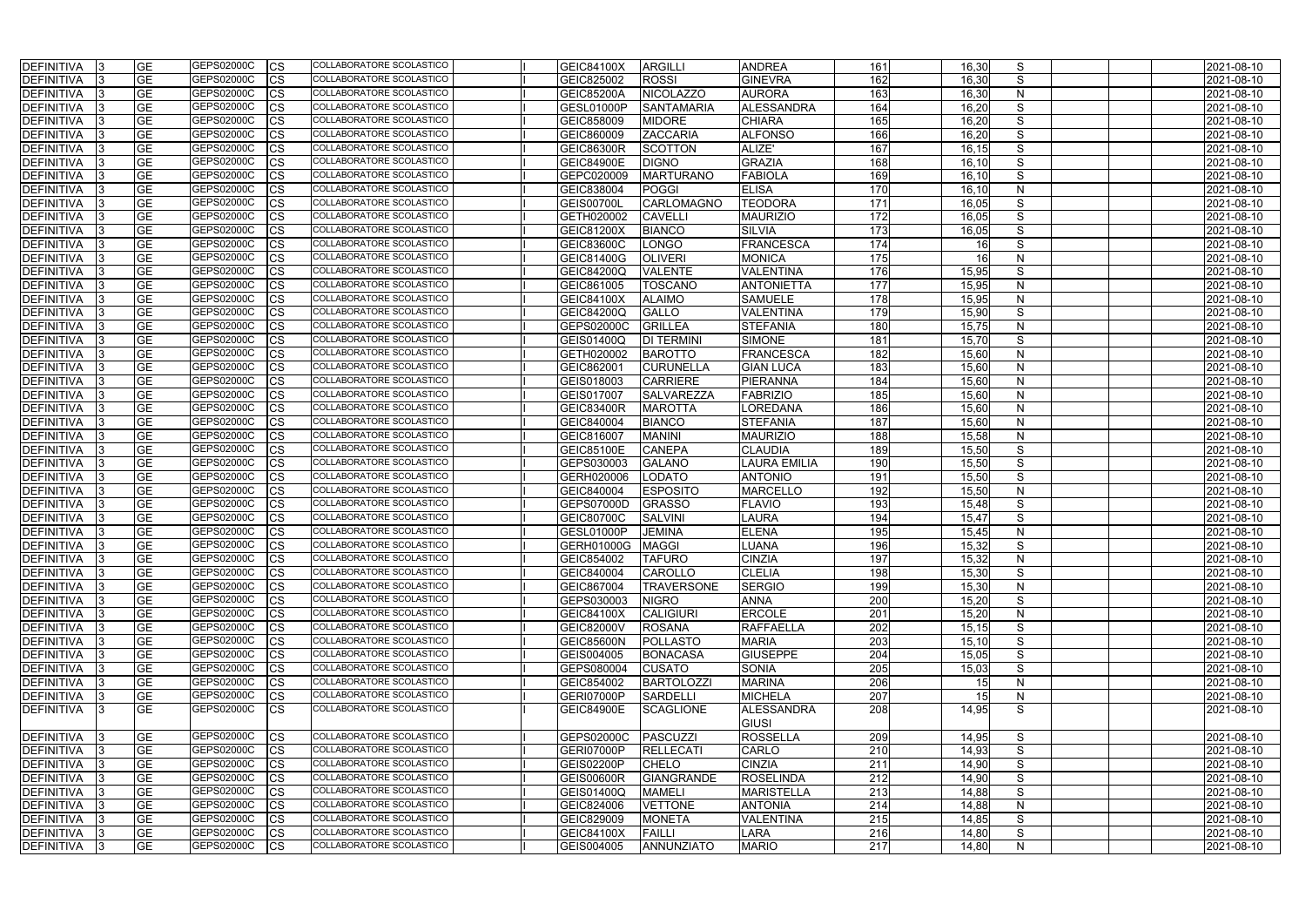| <b>DEFINITIVA</b> | <b>GE</b>       | <b>GEPS02000C</b><br>CS  | COLLABORATORE SCOLASTICO        | <b>GEIC84100X</b> | <b>ARGILLI</b>    | <b>ANDREA</b>                     | 161 | 16,30 | S            |  | 2021-08-10 |
|-------------------|-----------------|--------------------------|---------------------------------|-------------------|-------------------|-----------------------------------|-----|-------|--------------|--|------------|
| DEFINITIVA        | <b>GE</b>       | GEPS02000C<br>CS         | COLLABORATORE SCOLASTICO        | GEIC825002        | <b>ROSSI</b>      | <b>GINEVRA</b>                    | 162 | 16,30 | S            |  | 2021-08-10 |
| <b>DEFINITIVA</b> | <b>GE</b>       | GEPS02000C<br>СS         | COLLABORATORE SCOLASTICO        | <b>GEIC85200A</b> | <b>NICOLAZZO</b>  | <b>AURORA</b>                     | 163 | 16,30 | N            |  | 2021-08-10 |
| <b>DEFINITIVA</b> | <b>GE</b>       | <b>GEPS02000C</b><br>СS  | COLLABORATORE SCOLASTICO        | GESL01000P        | SANTAMARIA        | <b>ALESSANDRA</b>                 | 164 | 16,20 | S            |  | 2021-08-10 |
| DEFINITIVA        | <b>GE</b>       | GEPS02000C<br>CS         | COLLABORATORE SCOLASTICO        | GEIC858009        | <b>MIDORE</b>     | <b>CHIARA</b>                     | 165 | 16,20 | S            |  | 2021-08-10 |
| <b>DEFINITIVA</b> | <b>GE</b>       | GEPS02000C<br>СS         | COLLABORATORE SCOLASTICO        | GEIC860009        | ZACCARIA          | <b>ALFONSO</b>                    | 166 | 16,20 | S            |  | 2021-08-10 |
| <b>DEFINITIVA</b> | <b>GE</b>       | GEPS02000C<br>СS         | COLLABORATORE SCOLASTICO        | <b>GEIC86300R</b> | <b>SCOTTON</b>    | ALIZE'                            | 167 | 16,15 | S            |  | 2021-08-10 |
| <b>DEFINITIVA</b> | <b>GE</b>       | GEPS02000C<br>CS         | COLLABORATORE SCOLASTICO        | <b>GEIC84900E</b> | <b>DIGNO</b>      | <b>GRAZIA</b>                     | 168 | 16,10 | S            |  | 2021-08-10 |
| <b>DEFINITIVA</b> | <b>GE</b>       | GEPS02000C<br>СS         | COLLABORATORE SCOLASTICO        | GEPC020009        | <b>MARTURANO</b>  | <b>FABIOLA</b>                    | 169 | 16,10 | S            |  | 2021-08-10 |
| <b>DEFINITIVA</b> | <b>GE</b>       | GEPS02000C<br>СS         | COLLABORATORE SCOLASTICO        | GEIC838004        | <b>POGGI</b>      | <b>ELISA</b>                      | 170 | 16,10 | N            |  | 2021-08-10 |
| <b>DEFINITIVA</b> | $\overline{GE}$ | GEPS02000C<br>СS         | COLLABORATORE SCOLASTICO        | GEIS00700L        | <b>CARLOMAGNO</b> | <b>TEODORA</b>                    | 171 | 16,05 | S            |  | 2021-08-10 |
| <b>DEFINITIVA</b> | <b>GE</b>       | GEPS02000C<br>СS         | <b>COLLABORATORE SCOLASTICO</b> | GETH020002        | <b>CAVELLI</b>    | <b>MAURIZIO</b>                   | 172 | 16,05 | S            |  | 2021-08-10 |
| DEFINITIVA        | <b>GE</b>       | GEPS02000C<br>СS         | COLLABORATORE SCOLASTICO        | GEIC81200X        | <b>BIANCO</b>     | <b>SILVIA</b>                     | 173 | 16,05 | S            |  | 2021-08-10 |
| <b>DEFINITIVA</b> | $\overline{GE}$ | GEPS02000C<br>СS         | COLLABORATORE SCOLASTICO        | GEIC83600C        | LONGO             | <b>FRANCESCA</b>                  | 174 |       | S            |  | 2021-08-10 |
| <b>DEFINITIVA</b> | <b>GE</b>       | GEPS02000C<br>СS         | COLLABORATORE SCOLASTICO        | GEIC81400G        | <b>OLIVERI</b>    | <b>MONICA</b>                     | 175 |       | $\mathsf{N}$ |  | 2021-08-10 |
| <b>DEFINITIVA</b> | <b>GE</b>       | GEPS02000C<br>СS         | COLLABORATORE SCOLASTICO        | <b>GEIC84200Q</b> | <b>VALENTE</b>    | <b>VALENTINA</b>                  | 176 | 15,95 | S            |  | 2021-08-10 |
| <b>DEFINITIVA</b> | <b>GE</b>       | GEPS02000C<br>СS         | COLLABORATORE SCOLASTICO        | GEIC861005        | <b>TOSCANO</b>    | <b>ANTONIETTA</b>                 | 177 | 15,95 | N            |  | 2021-08-10 |
| <b>DEFINITIVA</b> | <b>GE</b>       | GEPS02000C<br>СS         | COLLABORATORE SCOLASTICO        | GEIC84100X        | <b>ALAIMO</b>     | <b>SAMUELE</b>                    | 178 | 15,95 | N            |  | 2021-08-10 |
| <b>DEFINITIVA</b> | <b>GE</b>       | GEPS02000C<br>СS         | COLLABORATORE SCOLASTICO        | <b>GEIC84200Q</b> | <b>GALLO</b>      | <b>VALENTINA</b>                  | 179 | 15,90 | S            |  | 2021-08-10 |
| DEFINITIVA        | <b>GE</b>       | <b>GEPS02000C</b><br>СS  | COLLABORATORE SCOLASTICO        | GEPS02000C        | <b>GRILLEA</b>    | <b>STEFANIA</b>                   | 180 | 15,75 | $\mathsf{N}$ |  | 2021-08-10 |
| <b>DEFINITIVA</b> | <b>GE</b>       | GEPS02000C<br>СS         | COLLABORATORE SCOLASTICO        | GEIS01400Q        | <b>DI TERMINI</b> | <b>SIMONE</b>                     | 181 | 15,70 | S            |  | 2021-08-10 |
| <b>DEFINITIVA</b> | <b>GE</b>       | GEPS02000C<br>CS         | COLLABORATORE SCOLASTICO        | GETH020002        | <b>BAROTTO</b>    | <b>FRANCESCA</b>                  | 182 | 15,60 | N            |  | 2021-08-10 |
| <b>DEFINITIVA</b> | <b>GE</b>       | GEPS02000C<br>СS         | <b>COLLABORATORE SCOLASTICO</b> | GEIC862001        | <b>CURUNELLA</b>  | <b>GIAN LUCA</b>                  | 183 | 15,60 | N            |  | 2021-08-10 |
| <b>DEFINITIVA</b> | <b>GE</b>       | GEPS02000C<br>СS         | COLLABORATORE SCOLASTICO        | GEIS018003        | <b>CARRIERE</b>   | <b>PIERANNA</b>                   | 184 | 15,60 | N            |  | 2021-08-10 |
| <b>DEFINITIVA</b> | <b>GE</b>       | GEPS02000C<br>СS         | COLLABORATORE SCOLASTICO        | GEIS017007        | <b>SALVAREZZA</b> | <b>FABRIZIO</b>                   | 185 | 15,60 | $\mathsf{N}$ |  | 2021-08-10 |
| DEFINITIVA        | <b>GE</b>       | GEPS02000C<br>СS         | COLLABORATORE SCOLASTICO        | GEIC83400R        | <b>MAROTTA</b>    | LOREDANA                          | 186 | 15,60 | N            |  | 2021-08-10 |
| <b>DEFINITIVA</b> | <b>GE</b>       | GEPS02000C<br>СS         | COLLABORATORE SCOLASTICO        | GEIC840004        | <b>BIANCO</b>     | <b>STEFANIA</b>                   | 187 | 15,60 | N            |  | 2021-08-10 |
| DEFINITIVA        | <b>GE</b>       | GEPS02000C<br>СS         | COLLABORATORE SCOLASTICO        | GEIC816007        | <b>MANINI</b>     | <b>MAURIZIO</b>                   | 188 | 15,58 | N            |  | 2021-08-10 |
| <b>DEFINITIVA</b> | <b>GE</b>       | GEPS02000C<br>СS         | COLLABORATORE SCOLASTICO        | <b>GEIC85100E</b> | <b>CANEPA</b>     | <b>CLAUDIA</b>                    | 189 | 15,50 | S            |  | 2021-08-10 |
| <b>DEFINITIVA</b> | <b>GE</b>       | GEPS02000C<br>СS         | COLLABORATORE SCOLASTICO        | GEPS030003        | <b>GALANO</b>     | <b>LAURA EMILIA</b>               | 190 | 15,50 | S            |  | 2021-08-10 |
| <b>DEFINITIVA</b> | <b>GE</b>       | GEPS02000C<br>СS         | COLLABORATORE SCOLASTICO        | GERH020006        | LODATO            | <b>ANTONIO</b>                    | 191 | 15,50 | S            |  | 2021-08-10 |
| <b>DEFINITIVA</b> | <b>GE</b>       | GEPS02000C<br>СS         | COLLABORATORE SCOLASTICO        | GEIC840004        | <b>ESPOSITO</b>   | <b>MARCELLO</b>                   | 192 | 15,50 | N            |  | 2021-08-10 |
| <b>DEFINITIVA</b> | <b>GE</b>       | GEPS02000C<br>СS         | COLLABORATORE SCOLASTICO        | <b>GEPS07000D</b> | <b>GRASSO</b>     | <b>FLAVIO</b>                     | 193 | 15,48 | S            |  | 2021-08-10 |
| DEFINITIVA        | <b>GE</b>       | GEPS02000C<br>СS         | COLLABORATORE SCOLASTICO        | GEIC80700C        | <b>SALVINI</b>    | LAURA                             | 194 | 15,47 | S            |  | 2021-08-10 |
| DEFINITIVA        | <b>GE</b>       | GEPS02000C<br>СS         | <b>COLLABORATORE SCOLASTICO</b> | GESL01000P        | <b>JEMINA</b>     | <b>ELENA</b>                      | 195 | 15,45 | N            |  | 2021-08-10 |
| DEFINITIVA        | <b>GE</b>       | GEPS02000C<br><b>CS</b>  | COLLABORATORE SCOLASTICO        | GERH01000G        | <b>MAGGI</b>      | LUANA                             | 196 | 15,32 | S.           |  | 2021-08-10 |
| DEFINITIVA 3      | <b>GE</b>       | GEPS02000C<br><b>CS</b>  | COLLABORATORE SCOLASTICO        | GEIC854002        | <b>TAFURO</b>     | <b>CINZIA</b>                     | 197 | 15,32 | N            |  | 2021-08-10 |
| DEFINITIVA        | <b>GE</b>       | GEPS02000C<br><b>CS</b>  | COLLABORATORE SCOLASTICO        | GEIC840004        | <b>CAROLLO</b>    | <b>CLELIA</b>                     | 198 | 15,30 | S            |  | 2021-08-10 |
| DEFINITIVA        | <b>GE</b>       | GEPS02000C<br><b>CS</b>  | COLLABORATORE SCOLASTICO        | GEIC867004        | <b>TRAVERSONE</b> | <b>SERGIO</b>                     | 199 | 15,30 | $\mathsf{N}$ |  | 2021-08-10 |
| DEFINITIVA        | <b>GE</b>       | GEPS02000C<br>CS         | COLLABORATORE SCOLASTICO        | GEPS030003        | <b>NIGRO</b>      | <b>ANNA</b>                       | 200 | 15,20 | S            |  | 2021-08-10 |
| DEFINITIVA        | <b>GE</b>       | GEPS02000C<br>СS         | COLLABORATORE SCOLASTICO        | <b>GEIC84100X</b> | <b>CALIGIURI</b>  | <b>ERCOLE</b>                     | 201 | 15,20 | $\mathsf{N}$ |  | 2021-08-10 |
| DEFINITIVA        | <b>GE</b>       | GEPS02000C<br>СS         | COLLABORATORE SCOLASTICO        | <b>GEIC82000V</b> | <b>ROSANA</b>     | <b>RAFFAELLA</b>                  | 202 | 15,15 | S            |  | 2021-08-10 |
| <b>DEFINITIVA</b> | <b>GE</b>       | GEPS02000C<br>CS         | COLLABORATORE SCOLASTICO        | <b>GEIC85600N</b> | <b>POLLASTO</b>   | <b>MARIA</b>                      | 203 | 15,10 | S            |  | 2021-08-10 |
| <b>DEFINITIVA</b> | <b>GE</b>       | GEPS02000C<br>CS         | <b>COLLABORATORE SCOLASTICO</b> | GEIS004005        | <b>BONACASA</b>   | <b>GIUSEPPE</b>                   | 204 | 15,05 | S            |  | 2021-08-10 |
| <b>DEFINITIVA</b> | <b>GE</b>       | GEPS02000C<br><b>CS</b>  | <b>COLLABORATORE SCOLASTICO</b> | GEPS080004        | <b>CUSATO</b>     | <b>SONIA</b>                      | 205 | 15,03 | S            |  | 2021-08-10 |
| DEFINITIVA        | <b>GE</b>       | GEPS02000C<br><b>CS</b>  | COLLABORATORE SCOLASTICO        | GEIC854002        | <b>BARTOLOZZI</b> | <b>MARINA</b>                     | 206 | 15    | N            |  | 2021-08-10 |
| DEFINITIVA        | <b>GE</b>       | GEPS02000C<br><b>CS</b>  | COLLABORATORE SCOLASTICO        | GERI07000P        | <b>SARDELLI</b>   | <b>MICHELA</b>                    | 207 | 15    | N            |  | 2021-08-10 |
| DEFINITIVA        | <b>GE</b>       | GEPS02000C<br>ICS.       | COLLABORATORE SCOLASTICO        | <b>GEIC84900E</b> | <b>SCAGLIONE</b>  | <b>ALESSANDRA</b><br><b>GIUSI</b> | 208 | 14,95 | S            |  | 2021-08-10 |
| <b>DEFINITIVA</b> | <b>GE</b>       | GEPS02000C<br><b>CS</b>  | COLLABORATORE SCOLASTICO        | GEPS02000C        | PASCUZZI          | <b>ROSSELLA</b>                   | 209 | 14,95 | S.           |  | 2021-08-10 |
| DEFINITIVA        | <b>GE</b>       | GEPS02000C<br><b>CS</b>  | COLLABORATORE SCOLASTICO        | GERI07000P        | <b>RELLECATI</b>  | CARLO                             | 210 | 14,93 | S            |  | 2021-08-10 |
| DEFINITIVA        | <b>GE</b>       | GEPS02000C<br>СS         | COLLABORATORE SCOLASTICO        | <b>GEIS02200P</b> | <b>CHELO</b>      | <b>CINZIA</b>                     | 211 | 14,90 | S            |  | 2021-08-10 |
| DEFINITIVA        | <b>GE</b>       | GEPS02000C<br>СS         | COLLABORATORE SCOLASTICO        | <b>GEIS00600R</b> | <b>GIANGRANDE</b> | <b>ROSELINDA</b>                  | 212 | 14,90 | S            |  | 2021-08-10 |
| DEFINITIVA        | <b>GE</b>       | GEPS02000C<br>СS         | COLLABORATORE SCOLASTICO        | <b>GEIS01400Q</b> | <b>MAMELI</b>     | <b>MARISTELLA</b>                 | 213 | 14,88 | S            |  | 2021-08-10 |
| <b>DEFINITIVA</b> | <b>GE</b>       | GEPS02000C<br>CS         | COLLABORATORE SCOLASTICO        | GEIC824006        | <b>VETTONE</b>    | <b>ANTONIA</b>                    | 214 | 14,88 | $\mathsf{N}$ |  | 2021-08-10 |
| <b>DEFINITIVA</b> | <b>GE</b>       | GEPS02000C<br>CS         | COLLABORATORE SCOLASTICO        | GEIC829009        | <b>MONETA</b>     | <b>VALENTINA</b>                  | 215 | 14,85 | S            |  | 2021-08-10 |
| <b>DEFINITIVA</b> | <b>GE</b>       | GEPS02000C<br><b>CS</b>  | COLLABORATORE SCOLASTICO        | <b>GEIC84100X</b> | <b>FAILLI</b>     | LARA                              | 216 | 14,80 | S            |  | 2021-08-10 |
| <b>DEFINITIVA</b> | <b>GE</b>       | GEPS02000C<br><b>ICS</b> | COLLABORATORE SCOLASTICO        | GEIS004005        | ANNUNZIATO        | <b>MARIO</b>                      | 217 | 14,80 | $\mathsf{N}$ |  | 2021-08-10 |
|                   |                 |                          |                                 |                   |                   |                                   |     |       |              |  |            |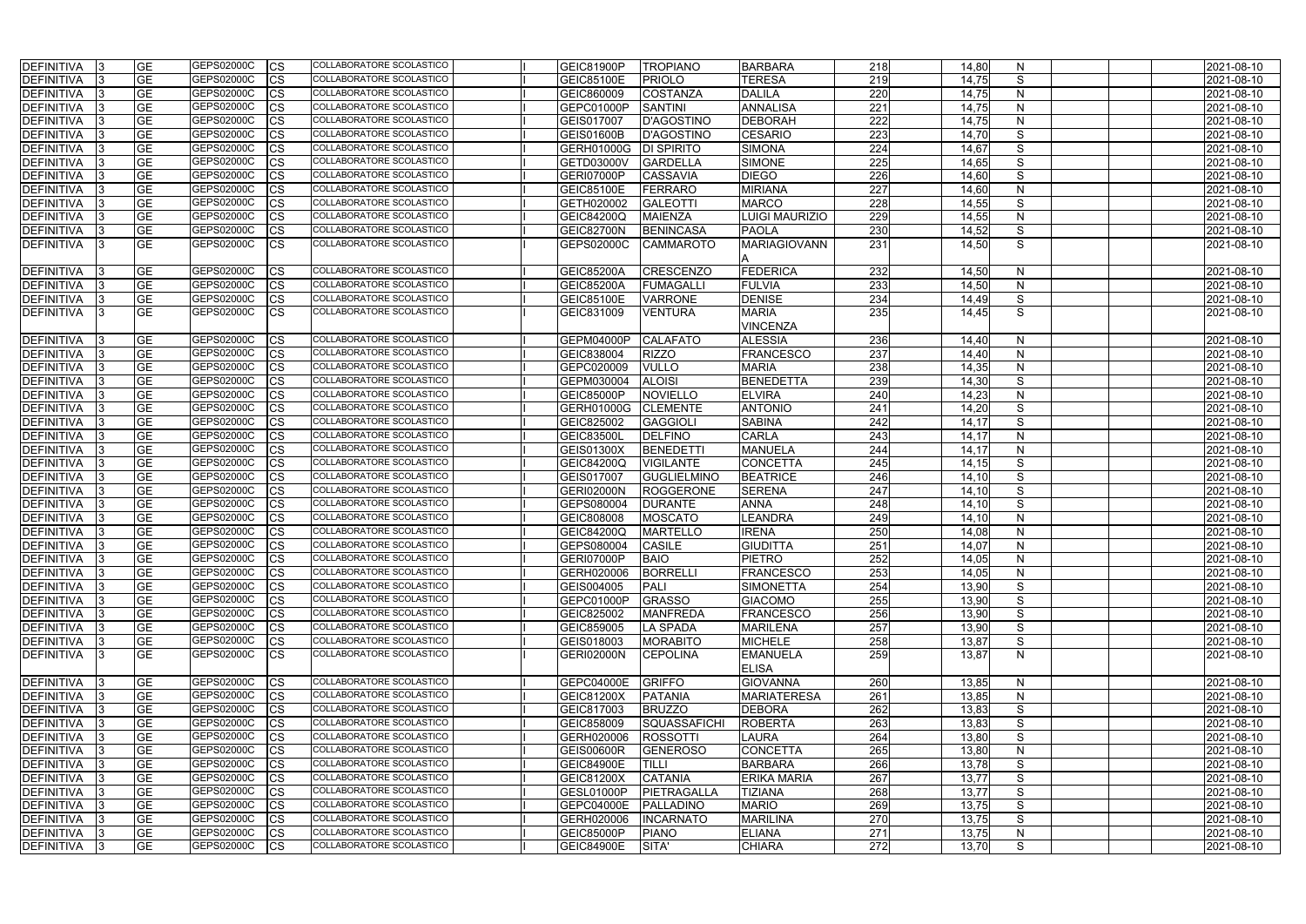| <b>DEFINITIVA</b>  | <b>GE</b>              | GEPS02000C | <b>ICS</b>  | COLLABORATORE SCOLASTICO                             | GEIC81900P        | <b>TROPIANO</b>    | <b>BARBARA</b>                  | 218              | 14,80 | N            |  | 2021-08-10               |
|--------------------|------------------------|------------|-------------|------------------------------------------------------|-------------------|--------------------|---------------------------------|------------------|-------|--------------|--|--------------------------|
| <b>DEFINITIVA</b>  | <b>GE</b>              | GEPS02000C | <b>CS</b>   | COLLABORATORE SCOLASTICO                             | <b>GEIC85100E</b> | <b>PRIOLO</b>      | <b>TERESA</b>                   | 219              | 14,75 | S            |  | 2021-08-10               |
| <b>DEFINITIVA</b>  | <b>GE</b>              | GEPS02000C | CS          | COLLABORATORE SCOLASTICO                             | GEIC860009        | <b>COSTANZA</b>    | <b>DALILA</b>                   | 220              | 14,75 | N            |  | 2021-08-10               |
| DEFINITIVA         | <b>GE</b>              | GEPS02000C | CS          | COLLABORATORE SCOLASTICO                             | GEPC01000P        | <b>SANTINI</b>     | <b>ANNALISA</b>                 | 221              | 14,75 | N            |  | 2021-08-10               |
| <b>DEFINITIVA</b>  | <b>GE</b>              | GEPS02000C | <b>CS</b>   | COLLABORATORE SCOLASTICO                             | GEIS017007        | <b>D'AGOSTINO</b>  | <b>DEBORAH</b>                  | 222              | 14,75 | $\mathsf{N}$ |  | 2021-08-10               |
| DEFINITIVA         | <b>GE</b>              | GEPS02000C | <b>CS</b>   | COLLABORATORE SCOLASTICO                             | <b>GEIS01600B</b> | <b>D'AGOSTINO</b>  | <b>CESARIO</b>                  | 223              | 14,70 | S            |  | 2021-08-10               |
| <b>DEFINITIVA</b>  | <b>GE</b>              | GEPS02000C | <b>CS</b>   | COLLABORATORE SCOLASTICO                             | GERH01000G        | <b>DI SPIRITO</b>  | <b>SIMONA</b>                   | 224              | 14,67 | S            |  | 2021-08-10               |
| <b>DEFINITIVA</b>  | <b>GE</b>              | GEPS02000C | <b>CS</b>   | COLLABORATORE SCOLASTICO                             | GETD03000V        | GARDELLA           | <b>SIMONE</b>                   | 225              | 14,65 | S            |  | 2021-08-10               |
| <b>DEFINITIVA</b>  | <b>GE</b>              | GEPS02000C | CS          | COLLABORATORE SCOLASTICO                             | <b>GERI07000P</b> | CASSAVIA           | <b>DIEGO</b>                    | 226              | 14,60 | S            |  | 2021-08-10               |
| <b>DEFINITIVA</b>  | <b>GE</b>              | GEPS02000C | CS          | COLLABORATORE SCOLASTICO                             | <b>GEIC85100E</b> | FERRARO            | <b>MIRIANA</b>                  | 227              | 14,60 | $\mathsf{N}$ |  | 2021-08-10               |
| <b>DEFINITIVA</b>  | <b>GE</b>              | GEPS02000C | CS          | <b>COLLABORATORE SCOLASTICO</b>                      | GETH020002        | <b>GALEOTTI</b>    | <b>MARCO</b>                    | 228              | 14,55 | S            |  | 2021-08-10               |
| DEFINITIVA         | <b>GE</b>              | GEPS02000C | CS          | COLLABORATORE SCOLASTICO                             | GEIC84200Q        | <b>MAIENZA</b>     | LUIGI MAURIZIO                  | 229              | 14,55 | $\mathsf{N}$ |  | 2021-08-10               |
| <b>DEFINITIVA</b>  | <b>GE</b>              | GEPS02000C | <b>CS</b>   | COLLABORATORE SCOLASTICO                             | <b>GEIC82700N</b> | <b>BENINCASA</b>   | <b>PAOLA</b>                    | 230              | 14,52 | S            |  | 2021-08-10               |
| <b>IDEFINITIVA</b> | <b>GE</b>              | GEPS02000C | <b>CS</b>   | COLLABORATORE SCOLASTICO                             | GEPS02000C        | <b>CAMMAROTO</b>   | <b>MARIAGIOVANN</b>             | 231              | 14,50 | S            |  | 2021-08-10               |
|                    |                        |            |             |                                                      |                   |                    |                                 |                  |       |              |  |                          |
| <b>DEFINITIVA</b>  | <b>GE</b>              | GEPS02000C | <b>CS</b>   | COLLABORATORE SCOLASTICO                             | <b>GEIC85200A</b> | <b>CRESCENZO</b>   | <b>FEDERICA</b>                 | 232              | 14,50 | N            |  | 2021-08-10               |
| <b>DEFINITIVA</b>  | <b>GE</b>              | GEPS02000C | Ics         | COLLABORATORE SCOLASTICO                             | <b>GEIC85200A</b> | FUMAGALLI          | <b>FULVIA</b>                   | 233              | 14,50 | N            |  | 2021-08-10               |
| <b>DEFINITIVA</b>  | <b>GE</b>              | GEPS02000C | <b>CS</b>   | COLLABORATORE SCOLASTICO                             | <b>GEIC85100E</b> | <b>VARRONE</b>     | <b>DENISE</b>                   | 234              | 14,49 | S            |  | 2021-08-10               |
| <b>DEFINITIVA</b>  | <b>GE</b>              | GEPS02000C | <b>CS</b>   | COLLABORATORE SCOLASTICO                             | GEIC831009        | <b>VENTURA</b>     | <b>MARIA</b>                    | 235              | 14,45 | S            |  | 2021-08-10               |
|                    |                        |            |             |                                                      |                   |                    | <b>VINCENZA</b>                 |                  |       |              |  |                          |
| <b>DEFINITIVA</b>  | <b>GE</b>              | GEPS02000C | <b>CS</b>   | COLLABORATORE SCOLASTICO                             | <b>GEPM04000P</b> | <b>CALAFATO</b>    | <b>ALESSIA</b>                  | 236              | 14,40 | N.           |  | 2021-08-10               |
| <b>DEFINITIVA</b>  | <b>GE</b>              | GEPS02000C | <b>I</b> CS | COLLABORATORE SCOLASTICO                             | GEIC838004        | <b>RIZZO</b>       | <b>FRANCESCO</b>                | 237              | 14,40 | $\mathsf{N}$ |  | 2021-08-10               |
| <b>DEFINITIVA</b>  | <b>GE</b>              | GEPS02000C | <b>CS</b>   | COLLABORATORE SCOLASTICO                             | GEPC020009        | <b>VULLO</b>       | <b>MARIA</b>                    | 238              | 14,35 | $\mathsf{N}$ |  | 2021-08-10               |
| <b>DEFINITIVA</b>  | <b>GE</b>              | GEPS02000C | CS          | COLLABORATORE SCOLASTICO                             | GEPM030004        | <b>ALOISI</b>      | <b>BENEDETTA</b>                | 239              | 14,30 | S            |  | 2021-08-10               |
| <b>DEFINITIVA</b>  | <b>GE</b>              | GEPS02000C | <b>CS</b>   | COLLABORATORE SCOLASTICO                             | <b>GEIC85000P</b> | NOVIELLO           | <b>ELVIRA</b>                   | 240              | 14,23 | $\mathsf{N}$ |  | 2021-08-10               |
| <b>DEFINITIVA</b>  | <b>GE</b>              | GEPS02000C | <b>CS</b>   | COLLABORATORE SCOLASTICO                             | GERH01000G        | <b>CLEMENTE</b>    | <b>ANTONIO</b>                  | 241              | 14,20 | S            |  | 2021-08-10               |
| <b>DEFINITIVA</b>  | <b>GE</b>              | GEPS02000C | CS          | COLLABORATORE SCOLASTICO                             | GEIC825002        | <b>GAGGIOL</b>     | <b>SABINA</b>                   | 242              | 14,17 | S            |  | 2021-08-10               |
| <b>DEFINITIVA</b>  | <b>GE</b>              | GEPS02000C | CS          | COLLABORATORE SCOLASTICO                             | <b>GEIC83500L</b> | <b>DELFINO</b>     | <b>CARLA</b>                    | $\overline{243}$ | 14,17 | $\mathsf{N}$ |  | 2021-08-10               |
| <b>DEFINITIVA</b>  | <b>GE</b>              | GEPS02000C | CS          | COLLABORATORE SCOLASTICO                             | <b>GEIS01300X</b> | BENEDETTI          | <b>MANUELA</b>                  | 244              | 14,17 | $\mathsf{N}$ |  | 2021-08-10               |
| <b>DEFINITIVA</b>  | <b>GE</b>              | GEPS02000C | <b>CS</b>   | COLLABORATORE SCOLASTICO                             | <b>GEIC84200Q</b> | <b>VIGILANTE</b>   | <b>CONCETTA</b>                 | 245              | 14,15 | S            |  | 2021-08-10               |
| <b>DEFINITIVA</b>  | <b>GE</b>              | GEPS02000C | <b>CS</b>   | COLLABORATORE SCOLASTICO                             | GEIS017007        | <b>GUGLIELMINO</b> | <b>BEATRICE</b>                 | 246              | 14,10 | S            |  | 2021-08-10               |
| DEFINITIVA         | <b>GE</b>              | GEPS02000C | <b>CS</b>   | COLLABORATORE SCOLASTICO                             | <b>GERI02000N</b> | <b>ROGGERONE</b>   | <b>SERENA</b>                   | 247              | 14,10 | S            |  | 2021-08-10               |
| <b>DEFINITIVA</b>  | <b>GE</b>              | GEPS02000C | <b>CS</b>   | COLLABORATORE SCOLASTICO                             | GEPS080004        | <b>DURANTE</b>     | <b>ANNA</b>                     | 248              | 14,10 | S            |  | 2021-08-10               |
| <b>DEFINITIVA</b>  | <b>GE</b>              | GEPS02000C | <b>CS</b>   | <b>COLLABORATORE SCOLASTICO</b>                      | GEIC808008        | <b>MOSCATO</b>     | LEANDRA                         | 249              | 14,10 | N            |  | 2021-08-10               |
| <b>DEFINITIVA</b>  | <b>GE</b>              | GEPS02000C | <b>ICS</b>  | COLLABORATORE SCOLASTICO                             | GEIC84200Q        | <b>MARTELLO</b>    | <b>IRENA</b>                    | 250              | 14,08 | N            |  | 2021-08-10               |
| DEFINITIVA         | <b>IGE</b>             | GEPS02000C | <b>I</b> CS | COLLABORATORE SCOLASTICO                             | GEPS080004        | <b>CASILE</b>      | <b>GIUDITTA</b>                 | 251              | 14,07 | N            |  |                          |
| <b>DEFINITIVA</b>  | <b>GE</b>              | GEPS02000C | <b>ICS</b>  | COLLABORATORE SCOLASTICO                             | GERI07000P        | <b>BAIO</b>        | <b>PIETRO</b>                   | 252              | 14,05 | N            |  | 2021-08-10<br>2021-08-10 |
| <b>DEFINITIVA</b>  | <b>GE</b>              | GEPS02000C | <b>ICS</b>  | COLLABORATORE SCOLASTICO                             | GERH020006        | <b>BORRELLI</b>    | <b>FRANCESCO</b>                | $\overline{253}$ | 14,05 | $\mathsf{N}$ |  | 2021-08-10               |
| <b>DEFINITIVA</b>  | <b>GE</b>              | GEPS02000C | <b>CS</b>   | COLLABORATORE SCOLASTICO                             | GEIS004005        | PALI               | <b>SIMONETTA</b>                | 254              | 13,90 | S            |  | 2021-08-10               |
| DEFINITIVA         | <b>GE</b>              | GEPS02000C | <b>CS</b>   | COLLABORATORE SCOLASTICO                             | GEPC01000P        | <b>GRASSO</b>      | <b>GIACOMO</b>                  | 255              | 13,90 | S            |  | 2021-08-10               |
| <b>DEFINITIVA</b>  | <b>GE</b>              | GEPS02000C | <b>ICS</b>  | COLLABORATORE SCOLASTICO                             | GEIC825002        | <b>MANFREDA</b>    | <b>FRANCESCO</b>                | 256              | 13,90 | S            |  | 2021-08-10               |
| DEFINITIVA         | <b>GE</b>              | GEPS02000C | <b>ICS</b>  | COLLABORATORE SCOLASTICO                             | GEIC859005        | <b>LA SPADA</b>    | <b>MARILENA</b>                 | 257              | 13,90 | S            |  | 2021-08-10               |
| DEFINITIVA         | <b>GE</b>              | GEPS02000C | <b>CS</b>   | COLLABORATORE SCOLASTICO                             | GEIS018003        | <b>MORABITO</b>    | <b>MICHELE</b>                  | 258              | 13,87 | S            |  | 2021-08-10               |
|                    | <b>GE</b>              | GEPS02000C | <b>ICS</b>  | COLLABORATORE SCOLASTICO                             |                   |                    |                                 |                  |       |              |  |                          |
| <b>DEFINITIVA</b>  |                        |            |             |                                                      | GERI02000N        | <b>CEPOLINA</b>    | <b>EMANUELA</b><br><b>ELISA</b> | 259              | 13,87 | $\mathsf{N}$ |  | 2021-08-10               |
|                    |                        | GEPS02000C |             | COLLABORATORE SCOLASTICO                             |                   |                    |                                 |                  |       |              |  |                          |
| DEFINITIVA         | <b>GE</b><br><b>GE</b> | GEPS02000C | <b>CS</b>   | COLLABORATORE SCOLASTICO                             | GEPC04000E        | <b>GRIFFO</b>      | <b>GIOVANNA</b>                 | 260<br>261       | 13,85 | N            |  | 2021-08-10               |
| <b>DEFINITIVA</b>  |                        |            | <b>ICS</b>  | COLLABORATORE SCOLASTICO                             | <b>GEIC81200X</b> | PATANIA            | <b>MARIATERESA</b>              |                  | 13,85 | $\mathsf{N}$ |  | 2021-08-10               |
| <b>DEFINITIVA</b>  | <b>GE</b>              | GEPS02000C | <b>ICS</b>  |                                                      | GEIC817003        | <b>BRUZZO</b>      | <b>DEBORA</b>                   | 262              | 13,83 | S            |  | 2021-08-10               |
| <b>DEFINITIVA</b>  | <b>GE</b>              | GEPS02000C | <b>CS</b>   | COLLABORATORE SCOLASTICO<br>COLLABORATORE SCOLASTICO | GEIC858009        | SQUASSAFICHI       | <b>ROBERTA</b>                  | 263              | 13,83 | S            |  | 2021-08-10               |
| <b>DEFINITIVA</b>  | <b>GE</b>              | GEPS02000C | <b>ICS</b>  | COLLABORATORE SCOLASTICO                             | GERH020006        | <b>ROSSOTTI</b>    | <b>LAURA</b>                    | 264              | 13,80 | $\mathsf{S}$ |  | 2021-08-10               |
| <b>DEFINITIVA</b>  | <b>GE</b>              | GEPS02000C | <b>CS</b>   |                                                      | <b>GEIS00600R</b> | <b>GENEROSO</b>    | <b>CONCETTA</b>                 | 265              | 13,80 | $\mathsf{N}$ |  | 2021-08-10               |
| DEFINITIVA         | <b>GE</b>              | GEPS02000C | <b>CS</b>   | COLLABORATORE SCOLASTICO                             | <b>GEIC84900E</b> | <b>TILLI</b>       | <b>BARBARA</b>                  | 266              | 13,78 | S            |  | 2021-08-10               |
| <b>DEFINITIVA</b>  | <b>GE</b>              | GEPS02000C | <b>ICS</b>  | COLLABORATORE SCOLASTICO                             | <b>GEIC81200X</b> | <b>CATANIA</b>     | <b>ERIKA MARIA</b>              | 267              | 13,77 | S            |  | 2021-08-10               |
| DEFINITIVA         | <b>GE</b>              | GEPS02000C | <b>CS</b>   | COLLABORATORE SCOLASTICO                             | GESL01000P        | PIETRAGALLA        | <b>TIZIANA</b>                  | 268              | 13,77 | S            |  | 2021-08-10               |
| DEFINITIVA         | <b>GE</b>              | GEPS02000C | <b>ICS</b>  | COLLABORATORE SCOLASTICO                             | GEPC04000E        | PALLADINO          | <b>MARIO</b>                    | 269              | 13,75 | S            |  | 2021-08-10               |
| DEFINITIVA         | <b>GE</b>              | GEPS02000C | <b>ICS</b>  | COLLABORATORE SCOLASTICO                             | GERH020006        | <b>INCARNATO</b>   | <b>MARILINA</b>                 | 270              | 13,75 | S            |  | 2021-08-10               |
| <b>DEFINITIVA</b>  | <b>GE</b>              | GEPS02000C | <b>ICS</b>  | COLLABORATORE SCOLASTICO                             | GEIC85000P        | <b>PIANO</b>       | <b>ELIANA</b>                   | 271              | 13,75 | N            |  | 2021-08-10               |
| <b>DEFINITIVA</b>  | <b>GE</b>              | GEPS02000C | <b>CS</b>   | COLLABORATORE SCOLASTICO                             | <b>GEIC84900E</b> | SITA'              | <b>CHIARA</b>                   | 272              | 13,70 | S            |  | 2021-08-10               |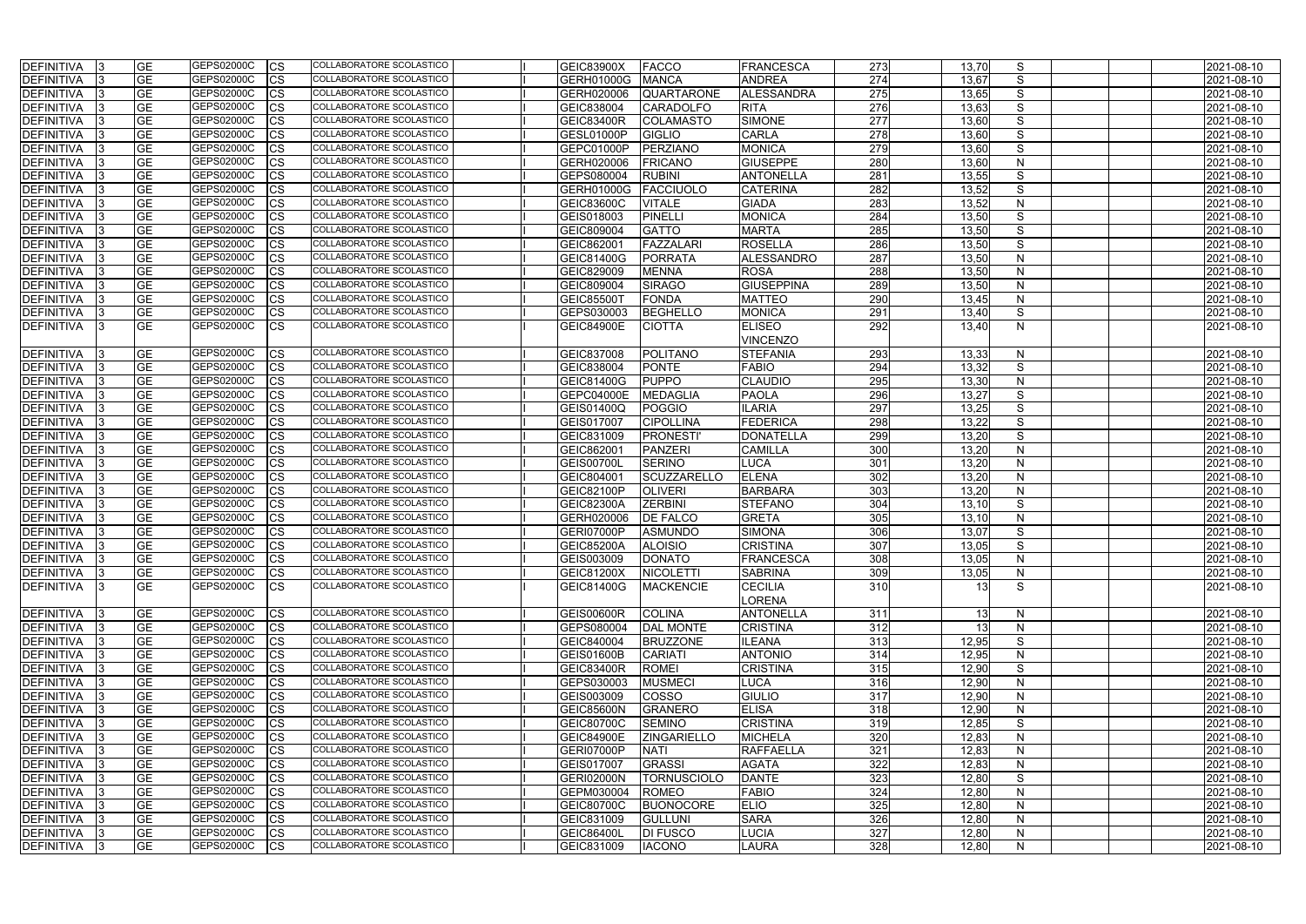| DEFINITIVA        | <b>GE</b>       | GEPS02000C<br>CS          | COLLABORATORE SCOLASTICO        | <b>GEIC83900X</b> | <b>FACCO</b>       | <b>FRANCESCA</b>  | 273 | 13,70 | S            | 2021-08-10 |
|-------------------|-----------------|---------------------------|---------------------------------|-------------------|--------------------|-------------------|-----|-------|--------------|------------|
| <b>DEFINITIVA</b> | <b>GE</b>       | GEPS02000C<br>CS          | COLLABORATORE SCOLASTICO        | <b>GERH01000G</b> | <b>MANCA</b>       | <b>ANDREA</b>     | 274 | 13,67 | S            | 2021-08-10 |
| <b>DEFINITIVA</b> | <b>GE</b>       | GEPS02000C<br>СS          | <b>COLLABORATORE SCOLASTICO</b> | GERH020006        | <b>QUARTARONE</b>  | <b>ALESSANDRA</b> | 275 | 13,65 | S            | 2021-08-10 |
| <b>DEFINITIVA</b> | <b>GE</b>       | GEPS02000C<br>СS          | COLLABORATORE SCOLASTICO        | GEIC838004        | <b>CARADOLFO</b>   | <b>RITA</b>       | 276 | 13,63 | S            | 2021-08-10 |
| <b>DEFINITIVA</b> | <b>GE</b>       | GEPS02000C<br>СS          | COLLABORATORE SCOLASTICO        | <b>GEIC83400R</b> | <b>COLAMASTO</b>   | <b>SIMONE</b>     | 277 | 13,60 | S            | 2021-08-10 |
| <b>DEFINITIVA</b> | <b>GE</b>       | GEPS02000C<br>СS          | COLLABORATORE SCOLASTICO        | <b>GESL01000P</b> | GIGLIO             | <b>CARLA</b>      | 278 | 13,60 | S            | 2021-08-10 |
| <b>DEFINITIVA</b> | <b>GE</b>       | GEPS02000C<br>СS          | COLLABORATORE SCOLASTICO        | GEPC01000P        | PERZIANO           | <b>MONICA</b>     | 279 | 13,60 | S            | 2021-08-10 |
| DEFINITIVA        | <b>GE</b>       | GEPS02000C<br>СS          | COLLABORATORE SCOLASTICO        | GERH020006        | FRICANO            | <b>GIUSEPPE</b>   | 280 | 13,60 | $\mathsf{N}$ | 2021-08-10 |
| DEFINITIVA        | <b>GE</b>       | GEPS02000C<br>СS          | <b>COLLABORATORE SCOLASTICO</b> | GEPS080004        | <b>RUBINI</b>      | <b>ANTONELLA</b>  | 281 | 13,55 | S            | 2021-08-10 |
| <b>DEFINITIVA</b> | <b>GE</b>       | GEPS02000C<br>СS          | COLLABORATORE SCOLASTICO        | <b>GERH01000G</b> | <b>FACCIUOLO</b>   | <b>CATERINA</b>   | 282 | 13,52 | S            | 2021-08-10 |
| <b>DEFINITIVA</b> | <b>GE</b>       | GEPS02000C<br>CS          | COLLABORATORE SCOLASTICO        | GEIC83600C        | <b>VITALE</b>      | <b>GIADA</b>      | 283 | 13,52 | $\mathsf{N}$ | 2021-08-10 |
| <b>DEFINITIVA</b> | <b>GE</b>       | GEPS02000C<br>СS          | COLLABORATORE SCOLASTICO        | GEIS018003        | PINELLI            | <b>MONICA</b>     | 284 | 13,50 | S            | 2021-08-10 |
| <b>DEFINITIVA</b> | <b>GE</b>       | GEPS02000C<br>СS          | COLLABORATORE SCOLASTICO        | GEIC809004        | <b>GATTO</b>       | <b>MARTA</b>      | 285 | 13,50 | S            | 2021-08-10 |
| <b>DEFINITIVA</b> | <b>GE</b>       | GEPS02000C<br>СS          | COLLABORATORE SCOLASTICO        | GEIC862001        | <b>FAZZALARI</b>   | <b>ROSELLA</b>    | 286 | 13,50 | S            | 2021-08-10 |
| <b>DEFINITIVA</b> | <b>GE</b>       | GEPS02000C<br>СS          | COLLABORATORE SCOLASTICO        | <b>GEIC81400G</b> | <b>PORRATA</b>     | <b>ALESSANDRO</b> | 287 | 13,50 | N            | 2021-08-10 |
| <b>DEFINITIVA</b> | <b>GE</b>       | GEPS02000C<br>СS          | COLLABORATORE SCOLASTICO        | GEIC829009        | <b>MENNA</b>       | <b>ROSA</b>       | 288 | 13,50 | N            | 2021-08-10 |
| DEFINITIVA        | <b>GE</b>       | GEPS02000C<br>CS          | COLLABORATORE SCOLASTICO        | GEIC809004        | <b>SIRAGO</b>      | <b>GIUSEPPINA</b> | 289 | 13,50 | N            | 2021-08-10 |
| DEFINITIVA        | <b>GE</b>       | GEPS02000C<br>СS          | COLLABORATORE SCOLASTICO        | GEIC85500T        | <b>FONDA</b>       | <b>MATTEO</b>     | 290 | 13,45 | N            | 2021-08-10 |
| DEFINITIVA        | <b>GE</b>       | GEPS02000C<br>CS          | COLLABORATORE SCOLASTICO        | GEPS030003        | <b>BEGHELLO</b>    | <b>MONICA</b>     | 291 | 13,40 | S            | 2021-08-10 |
| <b>DEFINITIVA</b> | <b>GE</b>       | GEPS02000C<br>CS          | COLLABORATORE SCOLASTICO        | <b>GEIC84900E</b> | <b>CIOTTA</b>      | <b>ELISEO</b>     | 292 | 13,40 | $\mathsf{N}$ | 2021-08-10 |
|                   |                 |                           |                                 |                   |                    | <b>VINCENZO</b>   |     |       |              |            |
| <b>DEFINITIVA</b> | <b>GE</b>       | GEPS02000C<br>СS          | <b>COLLABORATORE SCOLASTICO</b> | GEIC837008        | POLITANO           | <b>STEFANIA</b>   | 293 | 13,33 | N            | 2021-08-10 |
| <b>DEFINITIVA</b> | <b>GE</b>       | GEPS02000C<br>CS          | <b>COLLABORATORE SCOLASTICO</b> | GEIC838004        | <b>PONTE</b>       | <b>FABIO</b>      | 294 | 13,32 | S            | 2021-08-10 |
| <b>DEFINITIVA</b> | <b>GE</b>       | GEPS02000C<br>CS          | COLLABORATORE SCOLASTICO        | <b>GEIC81400G</b> | <b>PUPPO</b>       | <b>CLAUDIO</b>    | 295 | 13,30 | $\mathsf{N}$ | 2021-08-10 |
| <b>DEFINITIVA</b> | <b>GE</b>       | <b>GEPS02000C</b><br>СS   | COLLABORATORE SCOLASTICO        | GEPC04000E        | <b>MEDAGLIA</b>    | <b>PAOLA</b>      | 296 | 13,27 | S            | 2021-08-10 |
| <b>DEFINITIVA</b> | <b>GE</b>       | GEPS02000C<br>CS          | COLLABORATORE SCOLASTICO        | GEIS01400Q        | <b>POGGIO</b>      | <b>ILARIA</b>     | 297 | 13,25 | S            | 2021-08-10 |
| <b>DEFINITIVA</b> | <b>GE</b>       | GEPS02000C<br>СS          | COLLABORATORE SCOLASTICO        | GEIS017007        | <b>CIPOLLINA</b>   | <b>FEDERICA</b>   | 298 | 13,22 | S            | 2021-08-10 |
| <b>DEFINITIVA</b> | <b>GE</b>       | <b>GEPS02000C</b><br>СS   | COLLABORATORE SCOLASTICO        | GEIC831009        | <b>PRONESTI'</b>   | <b>DONATELLA</b>  | 299 | 13,20 | S            | 2021-08-10 |
| <b>DEFINITIVA</b> | <b>GE</b>       | GEPS02000C<br>CS          | COLLABORATORE SCOLASTICO        | GEIC862001        | PANZERI            | <b>CAMILLA</b>    | 300 | 13,20 | $\mathsf{N}$ | 2021-08-10 |
| <b>DEFINITIVA</b> | <b>GE</b>       | GEPS02000C<br>CS          | COLLABORATORE SCOLASTICO        | <b>GEIS00700L</b> | <b>SERINO</b>      | <b>LUCA</b>       | 301 | 13,20 | N            | 2021-08-10 |
| <b>DEFINITIVA</b> | <b>GE</b>       | GEPS02000C<br>СS          | COLLABORATORE SCOLASTICO        | GEIC804001        | <b>SCUZZARELLO</b> | <b>ELENA</b>      | 302 | 13,20 | N            | 2021-08-10 |
| <b>DEFINITIVA</b> | <b>GE</b>       | GEPS02000C<br>CS          | COLLABORATORE SCOLASTICO        | <b>GEIC82100P</b> | <b>OLIVERI</b>     | <b>BARBARA</b>    | 303 | 13,20 | $\mathsf{N}$ | 2021-08-10 |
| <b>DEFINITIVA</b> | <b>GE</b>       | GEPS02000C<br>СS          | COLLABORATORE SCOLASTICO        | <b>GEIC82300A</b> | <b>ZERBINI</b>     | <b>STEFANO</b>    | 304 | 13,10 | S            | 2021-08-10 |
| DEFINITIVA        | <b>GE</b>       | GEPS02000C<br>СS          | COLLABORATORE SCOLASTICO        | GERH020006        | <b>DE FALCO</b>    | <b>GRETA</b>      | 305 | 13,10 | N            | 2021-08-10 |
| <b>DEFINITIVA</b> | $\overline{GE}$ | GEPS02000C<br>СS          | COLLABORATORE SCOLASTICO        | <b>GERI07000P</b> | <b>ASMUNDO</b>     | <b>SIMONA</b>     | 306 | 13,07 | S            | 2021-08-10 |
| DEFINITIVA        | <b>GE</b>       | GEPS02000C<br><b>I</b> CS | COLLABORATORE SCOLASTICO        | <b>GEIC85200A</b> | <b>ALOISIO</b>     | <b>CRISTINA</b>   | 307 | 13.05 | S            | 2021-08-10 |
| <b>DEFINITIVA</b> | <b>GE</b>       | GEPS02000C<br><b>CS</b>   | COLLABORATORE SCOLASTICO        | GEIS003009        | <b>DONATO</b>      | <b>FRANCESCA</b>  | 308 | 13,05 | N            | 2021-08-10 |
| <b>DEFINITIVA</b> | <b>GE</b>       | GEPS02000C<br><b>CS</b>   | COLLABORATORE SCOLASTICO        | <b>GEIC81200X</b> | NICOLETTI          | <b>SABRINA</b>    | 309 | 13,05 | $\mathsf{N}$ | 2021-08-10 |
| <b>DEFINITIVA</b> | <b>GE</b>       | GEPS02000C<br><b>CS</b>   | COLLABORATORE SCOLASTICO        | <b>GEIC81400G</b> | <b>MACKENCIE</b>   | <b>CECILIA</b>    | 310 | 13    | S            | 2021-08-10 |
|                   |                 |                           |                                 |                   |                    | <b>LORENA</b>     |     |       |              |            |
| DEFINITIVA        | <b>GE</b>       | GEPS02000C<br><b>CS</b>   | COLLABORATORE SCOLASTICO        | <b>GEIS00600R</b> | <b>COLINA</b>      | <b>ANTONELLA</b>  | 311 | 13    | N            | 2021-08-10 |
| <b>DEFINITIVA</b> | <b>GE</b>       | GEPS02000C<br>ICS         | COLLABORATORE SCOLASTICO        | GEPS080004        | <b>DAL MONTE</b>   | <b>CRISTINA</b>   | 312 | 13    | N            | 2021-08-10 |
| DEFINITIVA        | <b>GE</b>       | GEPS02000C<br><b>CS</b>   | COLLABORATORE SCOLASTICO        | GEIC840004        | <b>BRUZZONE</b>    | <b>ILEANA</b>     | 313 | 12,95 | S            | 2021-08-10 |
| DEFINITIVA        | <b>GE</b>       | GEPS02000C<br><b>CS</b>   | COLLABORATORE SCOLASTICO        | <b>GEIS01600B</b> | <b>CARIATI</b>     | <b>ANTONIO</b>    | 314 | 12,95 | N            | 2021-08-10 |
| <b>DEFINITIVA</b> | <b>GE</b>       | GEPS02000C<br><b>CS</b>   | COLLABORATORE SCOLASTICO        | GEIC83400R        | <b>ROMEI</b>       | <b>CRISTINA</b>   | 315 | 12,90 | S            | 2021-08-10 |
| DEFINITIVA        | <b>GE</b>       | GEPS02000C<br><b>CS</b>   | <b>COLLABORATORE SCOLASTICO</b> | GEPS030003        | <b>MUSMECI</b>     | <b>LUCA</b>       | 316 | 12,90 | $\mathsf{N}$ | 2021-08-10 |
| DEFINITIVA        | <b>GE</b>       | GEPS02000C<br><b>CS</b>   | COLLABORATORE SCOLASTICO        | GEIS003009        | <b>COSSO</b>       | <b>GIULIO</b>     | 317 | 12,90 | N            | 2021-08-10 |
| DEFINITIVA        | <b>GE</b>       | GEPS02000C<br><b>CS</b>   | COLLABORATORE SCOLASTICO        | <b>GEIC85600N</b> | GRANERO            | <b>ELISA</b>      | 318 | 12,90 | $\mathsf{N}$ | 2021-08-10 |
| DEFINITIVA        | <b>GE</b>       | GEPS02000C<br><b>CS</b>   | COLLABORATORE SCOLASTICO        | <b>GEIC80700C</b> | <b>SEMINO</b>      | <b>CRISTINA</b>   | 319 | 12,85 | S            | 2021-08-10 |
| DEFINITIVA        | <b>GE</b>       | GEPS02000C<br>CS          | COLLABORATORE SCOLASTICO        | <b>GEIC84900E</b> | <b>ZINGARIELLO</b> | <b>MICHELA</b>    | 320 | 12,83 | $\mathsf{N}$ | 2021-08-10 |
| DEFINITIVA        | <b>GE</b>       | GEPS02000C<br>CS          | COLLABORATORE SCOLASTICO        | GERI07000P        | <b>NATI</b>        | <b>RAFFAELLA</b>  | 321 | 12,83 | $\mathsf{N}$ | 2021-08-10 |
| DEFINITIVA        | <b>GE</b>       | GEPS02000C<br>СS          | <b>COLLABORATORE SCOLASTICO</b> | GEIS017007        | <b>GRASSI</b>      | <b>AGATA</b>      | 322 | 12,83 | N            | 2021-08-10 |
| DEFINITIVA        | <b>GE</b>       | GEPS02000C<br>СS          | <b>COLLABORATORE SCOLASTICO</b> | GERI02000N        | <b>TORNUSCIOLO</b> | <b>DANTE</b>      | 323 | 12,80 | S            | 2021-08-10 |
| DEFINITIVA        | <b>GE</b>       | GEPS02000C<br>CS          | COLLABORATORE SCOLASTICO        | GEPM030004        | <b>ROMEO</b>       | <b>FABIO</b>      | 324 | 12,80 | $\mathsf{N}$ | 2021-08-10 |
| <b>DEFINITIVA</b> | <b>GE</b>       | GEPS02000C<br>ICS         | COLLABORATORE SCOLASTICO        | <b>GEIC80700C</b> | <b>BUONOCORE</b>   | <b>ELIO</b>       | 325 | 12,80 | N            | 2021-08-10 |
| <b>DEFINITIVA</b> | <b>GE</b>       | GEPS02000C<br><b>CS</b>   | COLLABORATORE SCOLASTICO        | GEIC831009        | <b>GULLUNI</b>     | <b>SARA</b>       | 326 | 12,80 | N            | 2021-08-10 |
| <b>DEFINITIVA</b> | <b>GE</b>       | GEPS02000C<br><b>CS</b>   | COLLABORATORE SCOLASTICO        | GEIC86400L        | <b>DI FUSCO</b>    | <b>LUCIA</b>      | 327 | 12,80 | $\mathsf{N}$ | 2021-08-10 |
| DEFINITIVA        | <b>GE</b>       | GEPS02000C<br><b>CS</b>   | COLLABORATORE SCOLASTICO        | GEIC831009        | <b>IACONO</b>      | <b>LAURA</b>      | 328 | 12,80 | $\mathsf{N}$ | 2021-08-10 |
|                   |                 |                           |                                 |                   |                    |                   |     |       |              |            |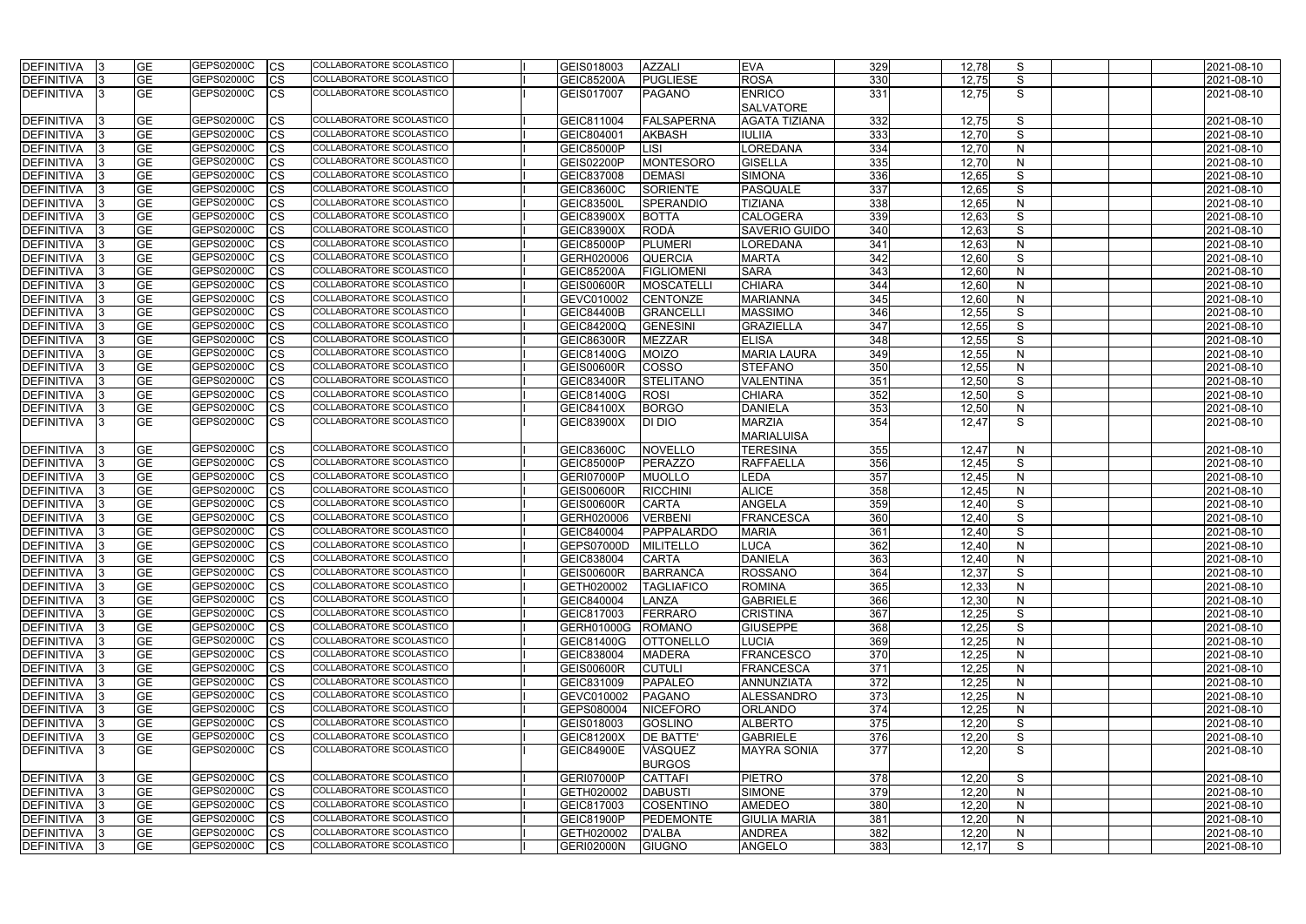| <b>DEFINITIVA</b> | <b>GE</b>  | GEPS02000C | <b>ICS</b> | COLLABORATORE SCOLASTICO        | GEIS018003        | <b>AZZALI</b>     | <b>EVA</b>           | 329 | 12,78 | S            | 2021-08-10 |
|-------------------|------------|------------|------------|---------------------------------|-------------------|-------------------|----------------------|-----|-------|--------------|------------|
| <b>DEFINITIVA</b> | <b>GE</b>  | GEPS02000C | <b>CS</b>  | COLLABORATORE SCOLASTICO        | <b>GEIC85200A</b> | <b>PUGLIESE</b>   | <b>ROSA</b>          | 330 | 12,75 | S            | 2021-08-10 |
| <b>DEFINITIVA</b> | <b>GE</b>  | GEPS02000C | <b>CS</b>  | COLLABORATORE SCOLASTICO        | GEIS017007        | PAGANO            | <b>ENRICO</b>        | 331 | 12,75 | S            | 2021-08-10 |
|                   |            |            |            |                                 |                   |                   | <b>SALVATORE</b>     |     |       |              |            |
| <b>DEFINITIVA</b> | <b>GE</b>  | GEPS02000C | CS         | COLLABORATORE SCOLASTICO        | GEIC811004        | FALSAPERNA        | <b>AGATA TIZIANA</b> | 332 | 12,75 | S            | 2021-08-10 |
| <b>DEFINITIVA</b> | <b>GE</b>  | GEPS02000C | <b>CS</b>  | COLLABORATORE SCOLASTICO        | GEIC804001        | <b>AKBASH</b>     | <b>IULIIA</b>        | 333 | 12,70 | S            | 2021-08-10 |
| <b>DEFINITIVA</b> | <b>GE</b>  | GEPS02000C | CS         | COLLABORATORE SCOLASTICO        | <b>GEIC85000P</b> | <b>LISI</b>       | LOREDANA             | 334 | 12,70 | N            | 2021-08-10 |
| DEFINITIVA        | <b>GE</b>  | GEPS02000C | <b>CS</b>  | COLLABORATORE SCOLASTICO        | <b>GEIS02200P</b> | <b>MONTESORO</b>  | <b>GISELLA</b>       | 335 | 12,70 | N            | 2021-08-10 |
| <b>DEFINITIVA</b> | <b>GE</b>  | GEPS02000C | <b>CS</b>  | COLLABORATORE SCOLASTICO        | GEIC837008        | <b>DEMASI</b>     | <b>SIMONA</b>        | 336 | 12,65 | S            | 2021-08-10 |
| <b>DEFINITIVA</b> | <b>GE</b>  | GEPS02000C | <b>CS</b>  | COLLABORATORE SCOLASTICO        | <b>GEIC83600C</b> | <b>SORIENTE</b>   | PASQUALE             | 337 | 12,65 | S            | 2021-08-10 |
| <b>DEFINITIVA</b> | <b>GE</b>  | GEPS02000C | <b>CS</b>  | <b>COLLABORATORE SCOLASTICO</b> | <b>GEIC83500L</b> | SPERANDIO         | <b>TIZIANA</b>       | 338 | 12,65 | N            | 2021-08-10 |
| <b>DEFINITIVA</b> | <b>GE</b>  | GEPS02000C | CS         | COLLABORATORE SCOLASTICO        | <b>GEIC83900X</b> | <b>BOTTA</b>      | <b>CALOGERA</b>      | 339 | 12,63 | S            | 2021-08-10 |
| <b>DEFINITIVA</b> | <b>GE</b>  | GEPS02000C | <b>CS</b>  | COLLABORATORE SCOLASTICO        | <b>GEIC83900X</b> | RODÀ              | <b>SAVERIO GUIDO</b> | 340 | 12,63 | S            | 2021-08-10 |
|                   | <b>GE</b>  | GEPS02000C |            | COLLABORATORE SCOLASTICO        | <b>GEIC85000P</b> |                   |                      | 341 |       |              |            |
| <b>DEFINITIVA</b> |            | GEPS02000C | CS         | COLLABORATORE SCOLASTICO        |                   | PLUMERI           | LOREDANA             |     | 12,63 | N            | 2021-08-10 |
| <b>DEFINITIVA</b> | <b>GE</b>  | GEPS02000C | <b>CS</b>  |                                 | GERH020006        | <b>QUERCIA</b>    | <b>MARTA</b>         | 342 | 12,60 | S            | 2021-08-10 |
| <b>DEFINITIVA</b> | <b>GE</b>  |            | <b>CS</b>  | COLLABORATORE SCOLASTICO        | <b>GEIC85200A</b> | <b>FIGLIOMENI</b> | <b>SARA</b>          | 343 | 12,60 | N            | 2021-08-10 |
| <b>DEFINITIVA</b> | <b>GE</b>  | GEPS02000C | <b>CS</b>  | COLLABORATORE SCOLASTICO        | <b>GEIS00600R</b> | <b>MOSCATELL</b>  | <b>CHIARA</b>        | 344 | 12,60 | N            | 2021-08-10 |
| <b>DEFINITIVA</b> | <b>GE</b>  | GEPS02000C | CS         | COLLABORATORE SCOLASTICO        | GEVC010002        | <b>CENTONZE</b>   | <b>MARIANNA</b>      | 345 | 12,60 | N            | 2021-08-10 |
| <b>DEFINITIVA</b> | <b>GE</b>  | GEPS02000C | <b>CS</b>  | COLLABORATORE SCOLASTICO        | <b>GEIC84400B</b> | <b>GRANCELLI</b>  | <b>MASSIMO</b>       | 346 | 12,55 | S            | 2021-08-10 |
| <b>DEFINITIVA</b> | <b>GE</b>  | GEPS02000C | <b>CS</b>  | <b>COLLABORATORE SCOLASTICO</b> | GEIC84200Q        | <b>GENESINI</b>   | <b>GRAZIELLA</b>     | 347 | 12,55 | S            | 2021-08-10 |
| <b>DEFINITIVA</b> | <b>GE</b>  | GEPS02000C | <b>CS</b>  | COLLABORATORE SCOLASTICO        | <b>GEIC86300R</b> | <b>MEZZAR</b>     | <b>ELISA</b>         | 348 | 12,55 | S            | 2021-08-10 |
| <b>DEFINITIVA</b> | <b>GE</b>  | GEPS02000C | <b>CS</b>  | COLLABORATORE SCOLASTICO        | GEIC81400G        | <b>MOIZO</b>      | <b>MARIA LAURA</b>   | 349 | 12,55 | $\mathsf{N}$ | 2021-08-10 |
| <b>DEFINITIVA</b> | <b>GE</b>  | GEPS02000C | <b>CS</b>  | COLLABORATORE SCOLASTICO        | <b>GEIS00600R</b> | <b>COSSO</b>      | <b>STEFANO</b>       | 350 | 12,55 | N            | 2021-08-10 |
| <b>DEFINITIVA</b> | <b>GE</b>  | GEPS02000C | <b>CS</b>  | COLLABORATORE SCOLASTICO        | <b>GEIC83400R</b> | <b>STELITANO</b>  | VALENTINA            | 351 | 12,50 | S            | 2021-08-10 |
| <b>DEFINITIVA</b> | <b>GE</b>  | GEPS02000C | <b>CS</b>  | COLLABORATORE SCOLASTICO        | GEIC81400G        | <b>ROSI</b>       | <b>CHIARA</b>        | 352 | 12,50 | S            | 2021-08-10 |
| <b>DEFINITIVA</b> | <b>GE</b>  | GEPS02000C | <b>CS</b>  | COLLABORATORE SCOLASTICO        | <b>GEIC84100X</b> | <b>BORGO</b>      | <b>DANIELA</b>       | 353 | 12,50 | N            | 2021-08-10 |
| <b>DEFINITIVA</b> | <b>GE</b>  | GEPS02000C | <b>CS</b>  | COLLABORATORE SCOLASTICO        | <b>GEIC83900X</b> | <b>DI DIO</b>     | <b>MARZIA</b>        | 354 | 12,47 | S            | 2021-08-10 |
|                   |            |            |            |                                 |                   |                   | <b>MARIALUISA</b>    |     |       |              |            |
| <b>DEFINITIVA</b> | <b>GE</b>  | GEPS02000C | <b>CS</b>  | COLLABORATORE SCOLASTICO        | <b>GEIC83600C</b> | NOVELLO           | <b>TERESINA</b>      | 355 | 12,47 | N            | 2021-08-10 |
| <b>DEFINITIVA</b> | <b>GE</b>  | GEPS02000C | <b>CS</b>  | COLLABORATORE SCOLASTICO        | GEIC85000P        | PERAZZO           | <b>RAFFAELLA</b>     | 356 | 12,45 | S            | 2021-08-10 |
| <b>DEFINITIVA</b> | <b>GE</b>  | GEPS02000C | <b>CS</b>  | COLLABORATORE SCOLASTICO        | GERI07000P        | <b>MUOLLO</b>     | <b>LEDA</b>          | 357 | 12,45 | N            | 2021-08-10 |
| <b>DEFINITIVA</b> | <b>GE</b>  | GEPS02000C | <b>CS</b>  | COLLABORATORE SCOLASTICO        | <b>GEIS00600R</b> | RICCHINI          | <b>ALICE</b>         | 358 | 12,45 | N            | 2021-08-10 |
| <b>DEFINITIVA</b> | <b>GE</b>  | GEPS02000C | <b>CS</b>  | COLLABORATORE SCOLASTICO        | <b>GEIS00600R</b> | <b>CARTA</b>      | <b>ANGELA</b>        | 359 | 12,40 | S            | 2021-08-10 |
| <b>DEFINITIVA</b> | <b>GE</b>  | GEPS02000C | <b>CS</b>  | COLLABORATORE SCOLASTICO        | GERH020006        | <b>VERBENI</b>    | <b>FRANCESCA</b>     | 360 | 12,40 | S            | 2021-08-10 |
| <b>DEFINITIVA</b> | <b>GE</b>  | GEPS02000C | <b>CS</b>  | <b>COLLABORATORE SCOLASTICO</b> | GEIC840004        | PAPPALARDO        | <b>MARIA</b>         | 361 | 12,40 | S            | 2021-08-10 |
| <b>DEFINITIVA</b> | <b>IGE</b> | GEPS02000C | <b>CS</b>  | COLLABORATORE SCOLASTICO        | GEPS07000D        | <b>MILITELLO</b>  | <b>LUCA</b>          | 362 | 12,40 | N.           | 2021-08-10 |
| <b>DEFINITIVA</b> | <b>GE</b>  | GEPS02000C | <b>CS</b>  | COLLABORATORE SCOLASTICO        | GEIC838004        | <b>CARTA</b>      | <b>DANIELA</b>       | 363 | 12,40 | N            | 2021-08-10 |
| <b>DEFINITIVA</b> | <b>GE</b>  | GEPS02000C | <b>CS</b>  | COLLABORATORE SCOLASTICO        | <b>GEIS00600R</b> | BARRANCA          | <b>ROSSANO</b>       | 364 | 12,37 | S            | 2021-08-10 |
| DEFINITIVA        | <b>GE</b>  | GEPS02000C | <b>CS</b>  | COLLABORATORE SCOLASTICO        | GETH020002        | <b>TAGLIAFICO</b> | <b>ROMINA</b>        | 365 | 12,33 | $\mathsf{N}$ | 2021-08-10 |
| <b>DEFINITIVA</b> | <b>GE</b>  | GEPS02000C | <b>ICS</b> | COLLABORATORE SCOLASTICO        | GEIC840004        | LANZA             | <b>GABRIELE</b>      | 366 | 12,30 | $\mathsf{N}$ | 2021-08-10 |
| DEFINITIVA        | <b>GE</b>  | GEPS02000C | <b>ICS</b> | COLLABORATORE SCOLASTICO        | GEIC817003        | FERRARO           | <b>CRISTINA</b>      | 367 | 12,25 | S            | 2021-08-10 |
| <b>DEFINITIVA</b> | <b>GE</b>  | GEPS02000C | <b>CS</b>  | COLLABORATORE SCOLASTICO        | <b>GERH01000G</b> | ROMANO            | <b>GIUSEPPE</b>      | 368 | 12,25 | S            | 2021-08-10 |
| <b>DEFINITIVA</b> | <b>GE</b>  | GEPS02000C | <b>ICS</b> | COLLABORATORE SCOLASTICO        | GEIC81400G        | <b>OTTONELLO</b>  | <b>LUCIA</b>         | 369 | 12,25 | $\mathsf{N}$ | 2021-08-10 |
| DEFINITIVA        | <b>GE</b>  | GEPS02000C | <b>CS</b>  | COLLABORATORE SCOLASTICO        | GEIC838004        | <b>MADERA</b>     | <b>FRANCESCO</b>     | 370 | 12,25 | N            | 2021-08-10 |
| DEFINITIVA        | <b>GE</b>  | GEPS02000C | <b>ICS</b> | COLLABORATORE SCOLASTICO        | <b>GEIS00600R</b> | <b>CUTULI</b>     | <b>FRANCESCA</b>     | 371 | 12,25 | N            | 2021-08-10 |
| <b>DEFINITIVA</b> | <b>GE</b>  | GEPS02000C | <b>ICS</b> | COLLABORATORE SCOLASTICO        | GEIC831009        | PAPALEO           | ANNUNZIATA           | 372 | 12,25 | $\mathsf{N}$ | 2021-08-10 |
| <b>DEFINITIVA</b> | <b>GE</b>  | GEPS02000C | <b>CS</b>  | COLLABORATORE SCOLASTICO        | GEVC010002        | PAGANO            | ALESSANDRO           | 373 | 12,25 | N            | 2021-08-10 |
| <b>DEFINITIVA</b> | <b>GE</b>  | GEPS02000C | <b>CS</b>  | COLLABORATORE SCOLASTICO        | GEPS080004        | NICEFORO          | <b>ORLANDO</b>       | 374 | 12,25 | N            | 2021-08-10 |
| <b>DEFINITIVA</b> | <b>GE</b>  | GEPS02000C | <b>CS</b>  | COLLABORATORE SCOLASTICO        | GEIS018003        | GOSLINO           | <b>ALBERTO</b>       | 375 | 12,20 | S            | 2021-08-10 |
| <b>DEFINITIVA</b> | <b>GE</b>  | GEPS02000C | <b>ICS</b> | COLLABORATORE SCOLASTICO        | <b>GEIC81200X</b> | <b>DE BATTE'</b>  | <b>GABRIELE</b>      | 376 | 12,20 | S            | 2021-08-10 |
| <b>DEFINITIVA</b> | <b>GE</b>  | GEPS02000C | <b>CS</b>  | COLLABORATORE SCOLASTICO        | <b>GEIC84900E</b> | VÁSQUEZ           | <b>MAYRA SONIA</b>   | 377 | 12,20 | S            | 2021-08-10 |
|                   |            |            |            |                                 |                   | <b>BURGOS</b>     |                      |     |       |              |            |
| DEFINITIVA        | <b>GE</b>  | GEPS02000C | <b>CS</b>  | COLLABORATORE SCOLASTICO        | GERI07000P        | <b>CATTAFI</b>    | <b>PIETRO</b>        | 378 | 12,20 | S            | 2021-08-10 |
| <b>DEFINITIVA</b> | <b>GE</b>  | GEPS02000C | <b>ICS</b> | COLLABORATORE SCOLASTICO        | GETH020002        | <b>DABUSTI</b>    | <b>SIMONE</b>        | 379 | 12,20 | N            | 2021-08-10 |
| DEFINITIVA        | <b>GE</b>  | GEPS02000C | <b>ICS</b> | COLLABORATORE SCOLASTICO        | GEIC817003        | COSENTINO         | <b>AMEDEO</b>        | 380 | 12,20 | N            | 2021-08-10 |
| DEFINITIVA        | <b>GE</b>  | GEPS02000C | <b>CS</b>  | COLLABORATORE SCOLASTICO        | GEIC81900P        | PEDEMONTE         | <b>GIULIA MARIA</b>  | 381 | 12,20 | N            | 2021-08-10 |
| DEFINITIVA        | <b>GE</b>  | GEPS02000C | <b>ICS</b> | COLLABORATORE SCOLASTICO        | GETH020002        | <b>D'ALBA</b>     | <b>ANDREA</b>        | 382 | 12,20 | N            | 2021-08-10 |
| <b>DEFINITIVA</b> | <b>GE</b>  | GEPS02000C | <b>CS</b>  | COLLABORATORE SCOLASTICO        | <b>GERI02000N</b> | GIUGNO            | <b>ANGELO</b>        | 383 | 12,17 | S            | 2021-08-10 |
|                   |            |            |            |                                 |                   |                   |                      |     |       |              |            |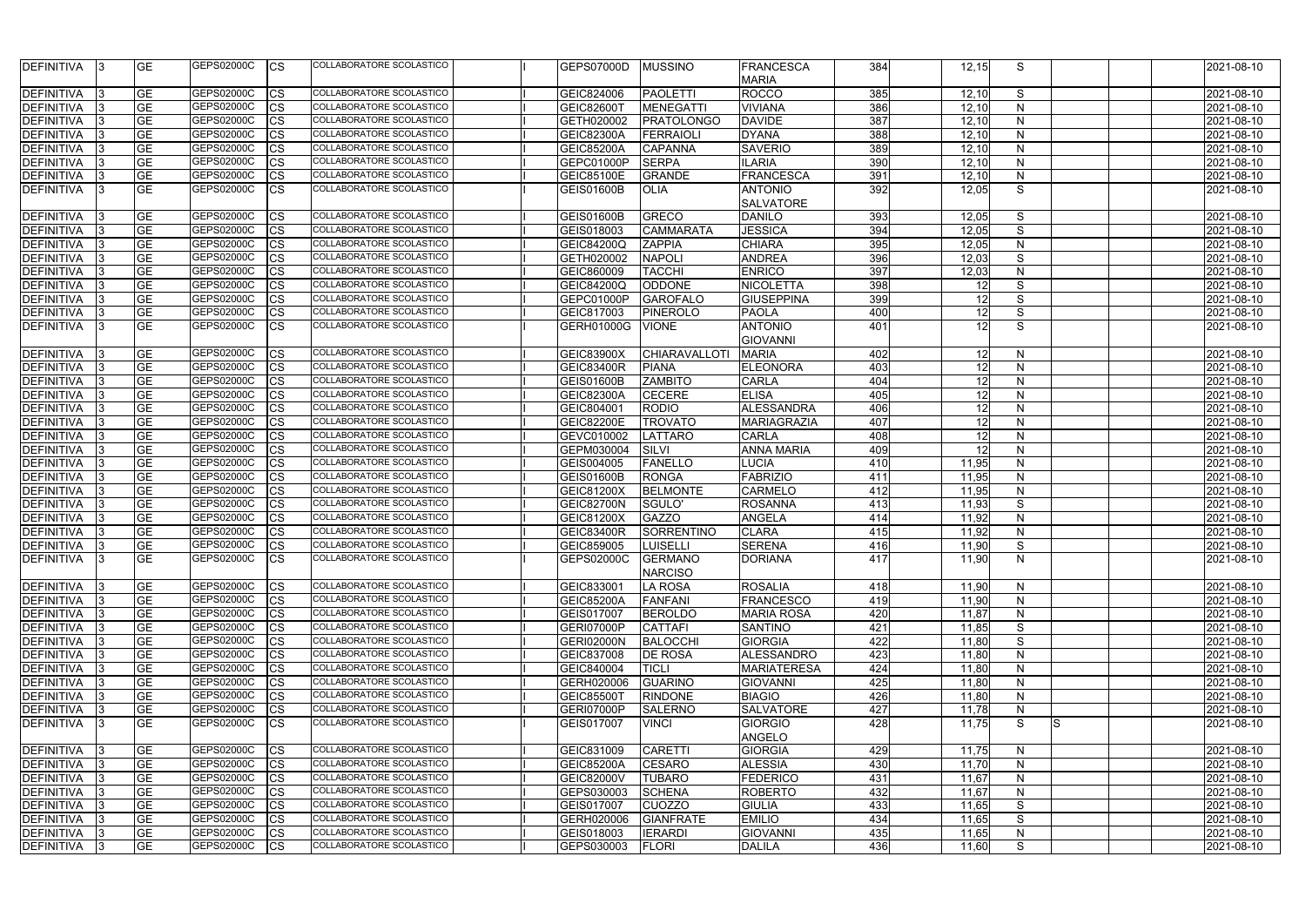| <b>DEFINITIVA</b> | <b>GE</b>       | <b>GEPS02000C</b><br><b>CS</b> | COLLABORATORE SCOLASTICO                                    | <b>GEPS07000D</b> | <b>MUSSINO</b>       | <b>FRANCESCA</b>   | 384 | 12,15 | S            | 2021-08-10 |
|-------------------|-----------------|--------------------------------|-------------------------------------------------------------|-------------------|----------------------|--------------------|-----|-------|--------------|------------|
|                   |                 |                                |                                                             |                   |                      | <b>MARIA</b>       |     |       |              |            |
| <b>DEFINITIVA</b> | <b>GE</b>       | GEPS02000C<br>СS               | COLLABORATORE SCOLASTICO                                    | GEIC824006        | PAOLETTI             | <b>ROCCO</b>       | 385 | 12,10 | S            | 2021-08-10 |
| <b>DEFINITIVA</b> | <b>GE</b>       | GEPS02000C<br>СS               | COLLABORATORE SCOLASTICO                                    | GEIC82600T        | <b>MENEGATTI</b>     | <b>VIVIANA</b>     | 386 | 12,10 | $\mathsf{N}$ | 2021-08-10 |
| DEFINITIVA        | <b>GE</b>       | GEPS02000C<br>CS               | COLLABORATORE SCOLASTICO                                    | GETH020002        | PRATOLONGO           | <b>DAVIDE</b>      | 387 | 12,10 | $\mathsf{N}$ | 2021-08-10 |
| <b>DEFINITIVA</b> | <b>GE</b>       | GEPS02000C<br>СS               | COLLABORATORE SCOLASTICO                                    | <b>GEIC82300A</b> | FERRAIOL             | <b>DYANA</b>       | 388 | 12,10 | N            | 2021-08-10 |
| <b>DEFINITIVA</b> | <b>GE</b>       | GEPS02000C<br>CS               | COLLABORATORE SCOLASTICO                                    | <b>GEIC85200A</b> | <b>CAPANNA</b>       | <b>SAVERIO</b>     | 389 | 12,10 | $\mathsf{N}$ | 2021-08-10 |
| <b>DEFINITIVA</b> | <b>GE</b>       | GEPS02000C<br>CS               | COLLABORATORE SCOLASTICO                                    | GEPC01000P        | <b>SERPA</b>         | <b>ILARIA</b>      | 390 | 12,10 | $\mathsf{N}$ | 2021-08-10 |
| <b>DEFINITIVA</b> | <b>GE</b>       | GEPS02000C<br>СS               | COLLABORATORE SCOLASTICO                                    | <b>GEIC85100E</b> | <b>GRANDE</b>        | <b>FRANCESCA</b>   | 391 | 12,10 | N            | 2021-08-10 |
| <b>DEFINITIVA</b> | <b>GE</b>       | GEPS02000C<br>CS               | COLLABORATORE SCOLASTICO                                    | <b>GEIS01600B</b> | <b>OLIA</b>          | <b>ANTONIO</b>     | 392 | 12,05 | S            | 2021-08-10 |
|                   |                 |                                |                                                             |                   |                      | <b>SALVATORE</b>   |     |       |              |            |
| DEFINITIVA        | <b>GE</b>       | GEPS02000C<br>CS               | COLLABORATORE SCOLASTICO                                    | <b>GEIS01600B</b> | <b>GRECO</b>         | <b>DANILO</b>      | 393 | 12,05 | S            | 2021-08-10 |
| <b>DEFINITIVA</b> | <b>GE</b>       | <b>GEPS02000C</b><br>CS        | COLLABORATORE SCOLASTICO                                    | GEIS018003        | <b>CAMMARATA</b>     | <b>JESSICA</b>     | 394 | 12,05 | S            | 2021-08-10 |
| <b>DEFINITIVA</b> | $\overline{GE}$ | GEPS02000C<br>СS               | COLLABORATORE SCOLASTICO                                    | GEIC84200Q        | <b>ZAPPIA</b>        | <b>CHIARA</b>      | 395 | 12,05 | $\mathsf{N}$ | 2021-08-10 |
| <b>DEFINITIVA</b> | <b>GE</b>       | GEPS02000C<br>СS               | COLLABORATORE SCOLASTICO                                    | GETH020002        | <b>NAPOLI</b>        | <b>ANDREA</b>      | 396 | 12,03 | S            | 2021-08-10 |
| <b>DEFINITIVA</b> | <b>GE</b>       | GEPS02000C<br>СS               | COLLABORATORE SCOLASTICO                                    | GEIC860009        | <b>TACCHI</b>        | <b>ENRICO</b>      | 397 | 12,03 | N            | 2021-08-10 |
| <b>DEFINITIVA</b> | <b>GE</b>       | GEPS02000C<br>CS               | COLLABORATORE SCOLASTICO                                    | <b>GEIC84200Q</b> | <b>ODDONE</b>        | <b>NICOLETTA</b>   | 398 | 12    | S            | 2021-08-10 |
| <b>DEFINITIVA</b> | <b>GE</b>       | GEPS02000C<br>СS               | COLLABORATORE SCOLASTICO                                    | GEPC01000P        | <b>GAROFALO</b>      | <b>GIUSEPPINA</b>  | 399 | 12    | S            | 2021-08-10 |
| <b>DEFINITIVA</b> | <b>GE</b>       | GEPS02000C<br>CS               | COLLABORATORE SCOLASTICO                                    | GEIC817003        | PINEROLO             | <b>PAOLA</b>       | 400 | 12    | S            | 2021-08-10 |
| <b>DEFINITIVA</b> | <b>GE</b>       | GEPS02000C<br><b>CS</b>        | <b>COLLABORATORE SCOLASTICO</b>                             | <b>GERH01000G</b> | <b>VIONE</b>         | <b>ANTONIO</b>     | 401 | 12    | S            | 2021-08-10 |
|                   |                 |                                |                                                             |                   |                      | <b>GIOVANNI</b>    |     |       |              |            |
| DEFINITIVA        | <b>GE</b>       | GEPS02000C<br>СS               | <b>COLLABORATORE SCOLASTICO</b>                             | <b>GEIC83900X</b> | <b>CHIARAVALLOTI</b> | <b>MARIA</b>       | 402 | 12    | N            | 2021-08-10 |
| <b>DEFINITIVA</b> | <b>GE</b>       | GEPS02000C<br>CS               | <b>COLLABORATORE SCOLASTICO</b>                             | <b>GEIC83400R</b> | <b>PIANA</b>         | <b>ELEONORA</b>    | 403 | 12    | $\mathsf{N}$ | 2021-08-10 |
| <b>DEFINITIVA</b> | <b>GE</b>       | GEPS02000C<br>CS               | COLLABORATORE SCOLASTICO                                    | <b>GEIS01600B</b> | <b>ZAMBITO</b>       | <b>CARLA</b>       | 404 | 12    | $\mathsf{N}$ | 2021-08-10 |
| <b>DEFINITIVA</b> | <b>GE</b>       | GEPS02000C<br>CS               | COLLABORATORE SCOLASTICO                                    | <b>GEIC82300A</b> | <b>CECERE</b>        | <b>ELISA</b>       | 405 | 12    | N            | 2021-08-10 |
| <b>DEFINITIVA</b> | <b>GE</b>       | GEPS02000C<br>CS               | COLLABORATORE SCOLASTICO                                    | GEIC804001        | <b>RODIO</b>         | <b>ALESSANDRA</b>  | 406 | 12    | N            | 2021-08-10 |
|                   | <b>GE</b>       | GEPS02000C                     | COLLABORATORE SCOLASTICO                                    | <b>GEIC82200E</b> | <b>TROVATO</b>       | <b>MARIAGRAZIA</b> | 407 | 12    | N            | 2021-08-10 |
| <b>DEFINITIVA</b> | <b>GE</b>       | СS<br>GEPS02000C               | COLLABORATORE SCOLASTICO                                    |                   |                      | <b>CARLA</b>       |     |       |              |            |
| <b>DEFINITIVA</b> |                 | СS                             |                                                             | GEVC010002        | LATTARO              |                    | 408 | 12    | N            | 2021-08-10 |
| <b>DEFINITIVA</b> | <b>GE</b>       | GEPS02000C<br>CS               | COLLABORATORE SCOLASTICO<br><b>COLLABORATORE SCOLASTICO</b> | GEPM030004        | SILVI                | <b>ANNA MARIA</b>  | 409 | 12    | N            | 2021-08-10 |
| DEFINITIVA        | <b>GE</b>       | GEPS02000C<br><b>CS</b>        |                                                             | GEIS004005        | FANELLO              | <b>LUCIA</b>       | 410 | 11,95 | N            | 2021-08-10 |
| DEFINITIVA        | <b>GE</b>       | GEPS02000C<br>СS               | COLLABORATORE SCOLASTICO                                    | <b>GEIS01600B</b> | <b>RONGA</b>         | <b>FABRIZIO</b>    | 411 | 11,95 | N            | 2021-08-10 |
| DEFINITIVA        | <b>GE</b>       | GEPS02000C<br>CS               | <b>COLLABORATORE SCOLASTICO</b>                             | <b>GEIC81200X</b> | <b>BELMONTE</b>      | <b>CARMELO</b>     | 412 | 11,95 | $\mathsf{N}$ | 2021-08-10 |
| DEFINITIVA        | <b>GE</b>       | GEPS02000C<br>CS               | <b>COLLABORATORE SCOLASTICO</b>                             | <b>GEIC82700N</b> | SGULO'               | <b>ROSANNA</b>     | 413 | 11,93 | S            | 2021-08-10 |
| DEFINITIVA        | <b>GE</b>       | GEPS02000C<br>СS               | COLLABORATORE SCOLASTICO                                    | <b>GEIC81200X</b> | <b>GAZZO</b>         | <b>ANGELA</b>      | 414 | 11,92 | N            | 2021-08-10 |
| <b>DEFINITIVA</b> | $\overline{GE}$ | GEPS02000C<br>СS               | <b>COLLABORATORE SCOLASTICO</b>                             | <b>GEIC83400R</b> | <b>SORRENTINO</b>    | <b>CLARA</b>       | 415 | 11,92 | N            | 2021-08-10 |
| <b>DEFINITIVA</b> | <b>GE</b>       | GEPS02000C<br><b>I</b> CS      | COLLABORATORE SCOLASTICO                                    | GEIC859005        | <b>LUISELLI</b>      | <b>SERENA</b>      | 416 | 11.90 | S            | 2021-08-10 |
| <b>DEFINITIVA</b> | <b>GE</b>       | GEPS02000C<br><b>CS</b>        | COLLABORATORE SCOLASTICO                                    | GEPS02000C        | <b>GERMANO</b>       | <b>DORIANA</b>     | 417 | 11,90 | N.           | 2021-08-10 |
|                   |                 |                                |                                                             |                   | <b>NARCISO</b>       |                    |     |       |              |            |
| <b>DEFINITIVA</b> | <b>GE</b>       | GEPS02000C<br><b>CS</b>        | COLLABORATORE SCOLASTICO                                    | GEIC833001        | LA ROSA              | <b>ROSALIA</b>     | 418 | 11,90 | $\mathsf{N}$ | 2021-08-10 |
| DEFINITIVA        | <b>GE</b>       | GEPS02000C<br>CS               | COLLABORATORE SCOLASTICO                                    | <b>GEIC85200A</b> | FANFANI              | <b>FRANCESCO</b>   | 419 | 11,90 | N            | 2021-08-10 |
| DEFINITIVA        | <b>GE</b>       | GEPS02000C<br>CS               | COLLABORATORE SCOLASTICO                                    | GEIS017007        | <b>BEROLDO</b>       | <b>MARIA ROSA</b>  | 420 | 11,87 | N            | 2021-08-10 |
| DEFINITIVA        | <b>GE</b>       | GEPS02000C<br><b>CS</b>        | COLLABORATORE SCOLASTICO                                    | GERI07000P        | <b>CATTAFI</b>       | <b>SANTINO</b>     | 421 | 11,85 | S            | 2021-08-10 |
| <b>DEFINITIVA</b> | <b>GE</b>       | GEPS02000C<br>CS               | COLLABORATORE SCOLASTICO                                    | GERI02000N        | BALOCCHI             | <b>GIORGIA</b>     | 422 | 11,80 | S            | 2021-08-10 |
| <b>DEFINITIVA</b> | <b>GE</b>       | GEPS02000C<br><b>CS</b>        | COLLABORATORE SCOLASTICO                                    | GEIC837008        | <b>DE ROSA</b>       | <b>ALESSANDRO</b>  | 423 | 11,80 | N            | 2021-08-10 |
| <b>DEFINITIVA</b> | <b>GE</b>       | GEPS02000C<br><b>CS</b>        | COLLABORATORE SCOLASTICO                                    | GEIC840004        | TICLI                | <b>MARIATERESA</b> | 424 | 11,80 | $\mathsf{N}$ | 2021-08-10 |
| <b>DEFINITIVA</b> | <b>GE</b>       | GEPS02000C<br><b>CS</b>        | COLLABORATORE SCOLASTICO                                    | GERH020006        | <b>GUARINO</b>       | <b>GIOVANNI</b>    | 425 | 11,80 | N            | 2021-08-10 |
| <b>DEFINITIVA</b> | <b>GE</b>       | GEPS02000C<br><b>CS</b>        | COLLABORATORE SCOLASTICO                                    | GEIC85500T        | <b>RINDONE</b>       | <b>BIAGIO</b>      | 426 | 11,80 | N            | 2021-08-10 |
| <b>DEFINITIVA</b> | <b>GE</b>       | GEPS02000C<br><b>CS</b>        | COLLABORATORE SCOLASTICO                                    | GERI07000P        | <b>SALERNO</b>       | <b>SALVATORE</b>   | 427 | 11,78 | $\mathsf{N}$ | 2021-08-10 |
| DEFINITIVA        | <b>GE</b>       | GEPS02000C<br><b>CS</b>        | COLLABORATORE SCOLASTICO                                    | GEIS017007        | <b>VINCI</b>         | <b>GIORGIO</b>     | 428 | 11,75 | S<br>IS.     | 2021-08-10 |
|                   |                 |                                |                                                             |                   |                      | <b>ANGELO</b>      |     |       |              |            |
| <b>DEFINITIVA</b> | <b>GE</b>       | GEPS02000C<br><b>CS</b>        | COLLABORATORE SCOLASTICO                                    | GEIC831009        | <b>CARETTI</b>       | <b>GIORGIA</b>     | 429 | 11,75 | $\mathsf{N}$ | 2021-08-10 |
| DEFINITIVA        | <b>GE</b>       | GEPS02000C<br>CS               | COLLABORATORE SCOLASTICO                                    | <b>GEIC85200A</b> | <b>CESARO</b>        | <b>ALESSIA</b>     | 430 | 11,70 | N            | 2021-08-10 |
| DEFINITIVA        | <b>GE</b>       | GEPS02000C<br>СS               | <b>COLLABORATORE SCOLASTICO</b>                             | <b>GEIC82000V</b> | <b>TUBARO</b>        | <b>FEDERICO</b>    | 431 | 11,67 | N            | 2021-08-10 |
| <b>DEFINITIVA</b> | <b>GE</b>       | GEPS02000C<br>CS               | COLLABORATORE SCOLASTICO                                    | GEPS030003        | <b>SCHENA</b>        | <b>ROBERTO</b>     | 432 | 11,67 | $\mathsf{N}$ | 2021-08-10 |
| <b>DEFINITIVA</b> | <b>GE</b>       | GEPS02000C<br>ICS              | COLLABORATORE SCOLASTICO                                    | GEIS017007        | <b>CUOZZO</b>        | <b>GIULIA</b>      | 433 | 11,65 | S            | 2021-08-10 |
| <b>DEFINITIVA</b> | <b>GE</b>       | GEPS02000C<br><b>CS</b>        | COLLABORATORE SCOLASTICO                                    | GERH020006        | <b>GIANFRATE</b>     | <b>EMILIO</b>      | 434 | 11,65 | S            | 2021-08-10 |
| <b>DEFINITIVA</b> | <b>GE</b>       | GEPS02000C<br><b>CS</b>        | COLLABORATORE SCOLASTICO                                    | GEIS018003        | <b>IERARDI</b>       | <b>GIOVANNI</b>    | 435 | 11,65 | $\mathsf{N}$ | 2021-08-10 |
| DEFINITIVA        | <b>GE</b>       | GEPS02000C<br><b>CS</b>        | COLLABORATORE SCOLASTICO                                    | GEPS030003        | <b>FLORI</b>         | <b>DALILA</b>      | 436 | 11,60 | S            | 2021-08-10 |
|                   |                 |                                |                                                             |                   |                      |                    |     |       |              |            |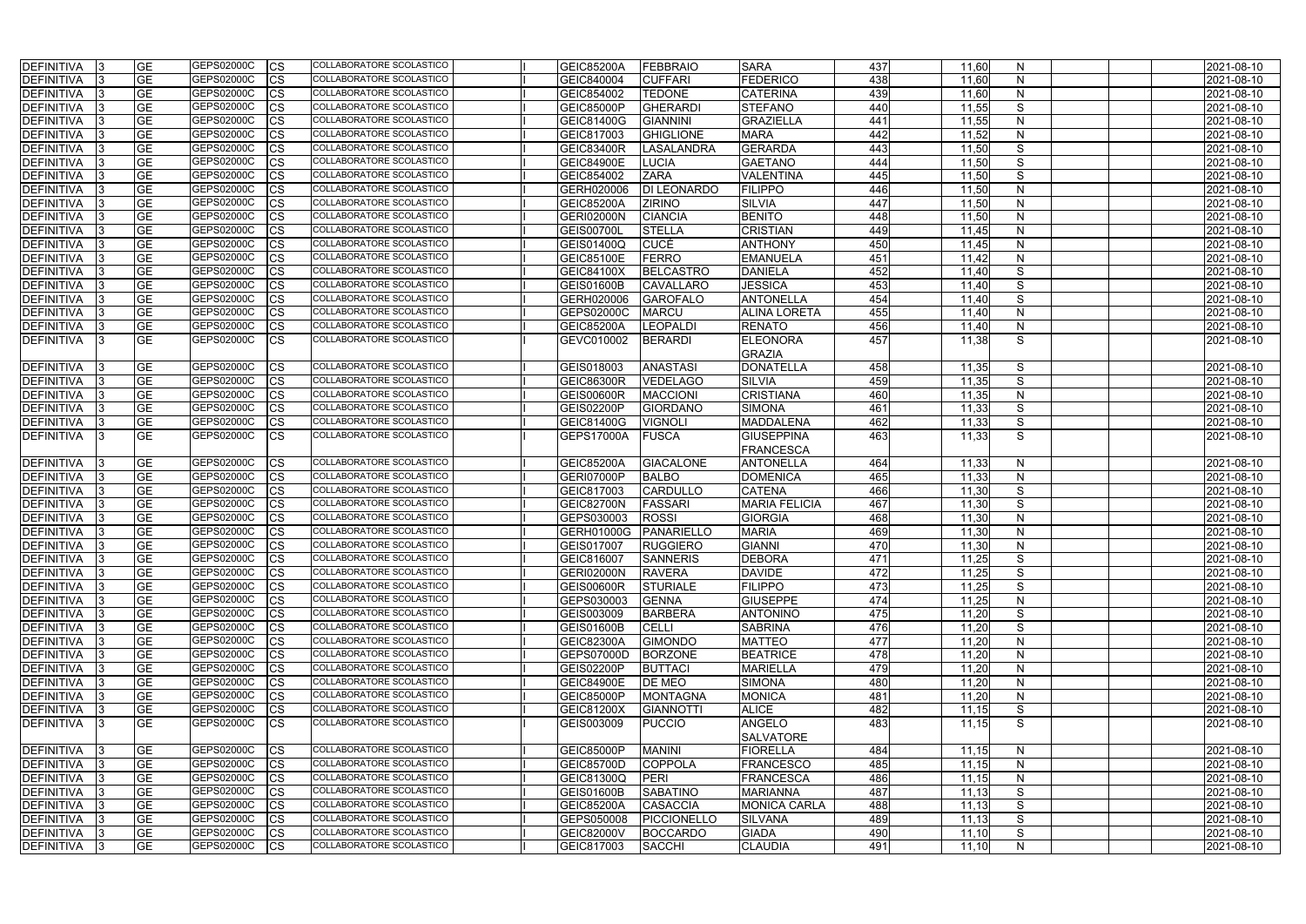| DEFINITIVA        | <b>GE</b>       | <b>GEPS02000C</b><br>CS  | COLLABORATORE SCOLASTICO        | <b>GEIC85200A</b> | <b>FEBBRAIO</b>    | <b>SARA</b>          | 437 | 11,60 | <sup>N</sup> |  | 2021-08-10 |
|-------------------|-----------------|--------------------------|---------------------------------|-------------------|--------------------|----------------------|-----|-------|--------------|--|------------|
| <b>DEFINITIVA</b> | <b>GE</b>       | GEPS02000C<br>CS         | COLLABORATORE SCOLASTICO        | GEIC840004        | <b>CUFFARI</b>     | <b>FEDERICO</b>      | 438 | 11,60 | $\mathsf{N}$ |  | 2021-08-10 |
| <b>DEFINITIVA</b> | <b>GE</b>       | <b>GEPS02000C</b><br>СS  | COLLABORATORE SCOLASTICO        | GEIC854002        | <b>TEDONE</b>      | <b>CATERINA</b>      | 439 | 11,60 | N            |  | 2021-08-10 |
| <b>DEFINITIVA</b> | <b>GE</b>       | <b>GEPS02000C</b><br>СS  | COLLABORATORE SCOLASTICO        | <b>GEIC85000P</b> | GHERARDI           | <b>STEFANO</b>       | 440 | 11,55 | S            |  | 2021-08-10 |
| DEFINITIVA        | <b>GE</b>       | GEPS02000C<br>CS         | COLLABORATORE SCOLASTICO        | <b>GEIC81400G</b> | <b>GIANNINI</b>    | <b>GRAZIELLA</b>     | 441 | 11,55 | $\mathsf{N}$ |  | 2021-08-10 |
| <b>DEFINITIVA</b> | <b>GE</b>       | GEPS02000C<br>CS         | COLLABORATORE SCOLASTICO        | GEIC817003        | <b>GHIGLIONE</b>   | <b>MARA</b>          | 442 | 11,52 | $\mathsf{N}$ |  | 2021-08-10 |
| DEFINITIVA        | <b>GE</b>       | GEPS02000C<br>СS         | COLLABORATORE SCOLASTICO        | <b>GEIC83400R</b> | LASALANDRA         | <b>GERARDA</b>       | 443 | 11,50 | S            |  | 2021-08-10 |
| DEFINITIVA        | <b>GE</b>       | GEPS02000C<br>CS         | COLLABORATORE SCOLASTICO        | <b>GEIC84900E</b> | <b>LUCIA</b>       | <b>GAETANO</b>       | 444 | 11,50 | S            |  | 2021-08-10 |
| <b>DEFINITIVA</b> | <b>GE</b>       | GEPS02000C<br>CS         | <b>COLLABORATORE SCOLASTICO</b> | GEIC854002        | <b>ZARA</b>        | <b>VALENTINA</b>     | 445 | 11,50 | S            |  | 2021-08-10 |
| <b>DEFINITIVA</b> | <b>GE</b>       | GEPS02000C<br>СS         | COLLABORATORE SCOLASTICO        | GERH020006        | <b>DI LEONARDO</b> | <b>FILIPPO</b>       | 446 | 11,50 | $\mathsf{N}$ |  | 2021-08-10 |
| <b>DEFINITIVA</b> | $\overline{GE}$ | GEPS02000C<br>СS         | <b>COLLABORATORE SCOLASTICO</b> | <b>GEIC85200A</b> | <b>ZIRINO</b>      | <b>SILVIA</b>        | 447 | 11,50 | N            |  | 2021-08-10 |
| <b>DEFINITIVA</b> | <b>GE</b>       | GEPS02000C<br>CS         | COLLABORATORE SCOLASTICO        | <b>GERI02000N</b> | <b>CIANCIA</b>     | <b>BENITO</b>        | 448 | 11,50 | $\mathsf{N}$ |  | 2021-08-10 |
| DEFINITIVA        | <b>GE</b>       | GEPS02000C<br>CS         | COLLABORATORE SCOLASTICO        | <b>GEIS00700L</b> | <b>STELLA</b>      | <b>CRISTIAN</b>      | 449 | 11,45 | $\mathsf{N}$ |  | 2021-08-10 |
| <b>DEFINITIVA</b> | $\overline{GE}$ | GEPS02000C<br>СS         | COLLABORATORE SCOLASTICO        | GEIS01400Q        | <b>CUCÉ</b>        | <b>ANTHONY</b>       | 450 | 11,45 | N            |  | 2021-08-10 |
| <b>DEFINITIVA</b> | <b>GE</b>       | GEPS02000C<br>СS         | COLLABORATORE SCOLASTICO        | <b>GEIC85100E</b> | <b>FERRO</b>       | <b>EMANUELA</b>      | 451 | 11,42 | N            |  | 2021-08-10 |
| <b>DEFINITIVA</b> | <b>GE</b>       | GEPS02000C<br>СS         | COLLABORATORE SCOLASTICO        | <b>GEIC84100X</b> | BELCASTRO          | <b>DANIELA</b>       | 452 | 11,40 | S            |  | 2021-08-10 |
| <b>DEFINITIVA</b> | <b>GE</b>       | GEPS02000C<br>СS         | COLLABORATORE SCOLASTICO        | <b>GEIS01600B</b> | <b>CAVALLARO</b>   | <b>JESSICA</b>       | 453 | 11,40 | S            |  | 2021-08-10 |
| <b>DEFINITIVA</b> | <b>GE</b>       | GEPS02000C<br>СS         | <b>COLLABORATORE SCOLASTICO</b> | GERH020006        | <b>GAROFALO</b>    | <b>ANTONELLA</b>     | 454 | 11,40 | S            |  | 2021-08-10 |
| DEFINITIVA        | <b>GE</b>       | GEPS02000C<br>CS         | COLLABORATORE SCOLASTICO        | GEPS02000C        | <b>MARCU</b>       | <b>ALINA LORETA</b>  | 455 | 11,40 | $\mathsf{N}$ |  | 2021-08-10 |
| <b>DEFINITIVA</b> | <b>GE</b>       | GEPS02000C<br>СS         | COLLABORATORE SCOLASTICO        | <b>GEIC85200A</b> | <b>LEOPALDI</b>    | <b>RENATO</b>        | 456 | 11,40 | $\mathsf{N}$ |  | 2021-08-10 |
| DEFINITIVA        | <b>GE</b>       | GEPS02000C<br><b>CS</b>  | COLLABORATORE SCOLASTICO        | GEVC010002        | <b>BERARDI</b>     | <b>ELEONORA</b>      | 457 | 11,38 | S            |  | 2021-08-10 |
|                   |                 |                          |                                 |                   |                    | <b>GRAZIA</b>        |     |       |              |  |            |
| DEFINITIVA        | <b>GE</b>       | GEPS02000C<br>СS         | COLLABORATORE SCOLASTICO        | GEIS018003        | <b>ANASTASI</b>    | <b>DONATELLA</b>     | 458 | 11,35 | S            |  | 2021-08-10 |
| <b>DEFINITIVA</b> | <b>GE</b>       | GEPS02000C<br>CS         | COLLABORATORE SCOLASTICO        | GEIC86300R        | <b>VEDELAGO</b>    | <b>SILVIA</b>        | 459 | 11,35 | S            |  | 2021-08-10 |
| <b>DEFINITIVA</b> | <b>GE</b>       | GEPS02000C<br>СS         | COLLABORATORE SCOLASTICO        | <b>GEIS00600R</b> | <b>MACCIONI</b>    | <b>CRISTIANA</b>     | 460 | 11,35 | $\mathsf{N}$ |  | 2021-08-10 |
| DEFINITIVA        | <b>GE</b>       | GEPS02000C<br>СS         | COLLABORATORE SCOLASTICO        | <b>GEIS02200P</b> | <b>GIORDANO</b>    | <b>SIMONA</b>        | 461 | 11,33 | S            |  | 2021-08-10 |
| DEFINITIVA        | <b>GE</b>       | GEPS02000C<br>СS         | COLLABORATORE SCOLASTICO        | GEIC81400G        | <b>VIGNOLI</b>     | MADDALENA            | 462 | 11,33 | S            |  | 2021-08-10 |
| <b>DEFINITIVA</b> | <b>GE</b>       | GEPS02000C<br>СS         | COLLABORATORE SCOLASTICO        | <b>GEPS17000A</b> | <b>FUSCA</b>       | GIUSEPPINA           | 463 | 11,33 | S            |  | 2021-08-10 |
|                   |                 |                          |                                 |                   |                    | <b>FRANCESCA</b>     |     |       |              |  |            |
| DEFINITIVA        | <b>GE</b>       | GEPS02000C<br>СS         | <b>COLLABORATORE SCOLASTICO</b> | <b>GEIC85200A</b> | <b>GIACALONE</b>   | <b>ANTONELLA</b>     | 464 | 11,33 | N            |  | 2021-08-10 |
| <b>DEFINITIVA</b> | <b>GE</b>       | GEPS02000C<br>СS         | COLLABORATORE SCOLASTICO        | <b>GERI07000P</b> | <b>BALBO</b>       | <b>DOMENICA</b>      | 465 | 11,33 | N            |  | 2021-08-10 |
| <b>DEFINITIVA</b> | <b>GE</b>       | GEPS02000C<br>СS         | COLLABORATORE SCOLASTICO        | GEIC817003        | <b>CARDULLO</b>    | <b>CATENA</b>        | 466 | 11,30 | S            |  | 2021-08-10 |
| DEFINITIVA        | <b>GE</b>       | GEPS02000C<br>CS         | COLLABORATORE SCOLASTICO        | <b>GEIC82700N</b> | <b>FASSARI</b>     | <b>MARIA FELICIA</b> | 467 | 11,30 | S            |  | 2021-08-10 |
| <b>DEFINITIVA</b> | <b>GE</b>       | GEPS02000C<br>СS         | COLLABORATORE SCOLASTICO        | GEPS030003        | <b>ROSSI</b>       | <b>GIORGIA</b>       | 468 | 11,30 | N            |  | 2021-08-10 |
| DEFINITIVA        | <b>GE</b>       | GEPS02000C<br>СS         | COLLABORATORE SCOLASTICO        | GERH01000G        | PANARIELLO         | <b>MARIA</b>         | 469 | 11,30 | N            |  | 2021-08-10 |
| DEFINITIVA        | <b>GE</b>       | GEPS02000C<br><b>CS</b>  | COLLABORATORE SCOLASTICO        | GEIS017007        | <b>RUGGIERO</b>    | <b>GIANNI</b>        | 470 | 11,30 | N            |  | 2021-08-10 |
| DEFINITIVA 3      | <b>GE</b>       | GEPS02000C<br><b>CS</b>  | COLLABORATORE SCOLASTICO        | GEIC816007        | <b>SANNERIS</b>    | <b>DEBORA</b>        | 471 | 11,25 | S            |  | 2021-08-10 |
| DEFINITIVA        | <b>GE</b>       | GEPS02000C<br><b>CS</b>  | COLLABORATORE SCOLASTICO        | <b>GERI02000N</b> | <b>RAVERA</b>      | <b>DAVIDE</b>        | 472 | 11,25 | S            |  | 2021-08-10 |
| DEFINITIVA        | <b>GE</b>       | GEPS02000C<br><b>CS</b>  | COLLABORATORE SCOLASTICO        | <b>GEIS00600R</b> | <b>STURIALE</b>    | <b>FILIPPO</b>       | 473 | 11,25 | S            |  | 2021-08-10 |
| DEFINITIVA        | <b>GE</b>       | GEPS02000C<br>CS         | COLLABORATORE SCOLASTICO        | GEPS030003        | <b>GENNA</b>       | <b>GIUSEPPE</b>      | 474 | 11,25 | N            |  | 2021-08-10 |
| DEFINITIVA        | <b>GE</b>       | GEPS02000C<br>СS         | COLLABORATORE SCOLASTICO        | GEIS003009        | <b>BARBERA</b>     | <b>ANTONINO</b>      | 475 | 11,20 | S            |  | 2021-08-10 |
| DEFINITIVA        | <b>GE</b>       | GEPS02000C<br>СS         | COLLABORATORE SCOLASTICO        | <b>GEIS01600B</b> | <b>CELLI</b>       | <b>SABRINA</b>       | 476 | 11,20 | S            |  | 2021-08-10 |
| DEFINITIVA        | <b>GE</b>       | GEPS02000C<br>CS         | COLLABORATORE SCOLASTICO        | <b>GEIC82300A</b> | <b>GIMONDO</b>     | <b>MATTEO</b>        | 477 | 11,20 | $\mathsf{N}$ |  | 2021-08-10 |
| <b>DEFINITIVA</b> | <b>GE</b>       | GEPS02000C<br>CS         | <b>COLLABORATORE SCOLASTICO</b> | <b>GEPS07000D</b> | <b>BORZONE</b>     | <b>BEATRICE</b>      | 478 | 11,20 | N            |  | 2021-08-10 |
| <b>DEFINITIVA</b> | <b>GE</b>       | GEPS02000C<br><b>CS</b>  | COLLABORATORE SCOLASTICO        | <b>GEIS02200P</b> | <b>BUTTACI</b>     | <b>MARIELLA</b>      | 479 | 11,20 | $\mathsf{N}$ |  | 2021-08-10 |
| DEFINITIVA        | <b>GE</b>       | GEPS02000C<br>CS         | COLLABORATORE SCOLASTICO        | <b>GEIC84900E</b> | <b>DE MEO</b>      | <b>SIMONA</b>        | 480 | 11,20 | N            |  | 2021-08-10 |
| <b>DEFINITIVA</b> | <b>GE</b>       | GEPS02000C<br>CS         | COLLABORATORE SCOLASTICO        | <b>GEIC85000P</b> | <b>MONTAGNA</b>    | <b>MONICA</b>        | 481 | 11,20 | N            |  | 2021-08-10 |
| DEFINITIVA        | <b>GE</b>       | GEPS02000C<br><b>CS</b>  | COLLABORATORE SCOLASTICO        | <b>GEIC81200X</b> | <b>GIANNOTTI</b>   | <b>ALICE</b>         | 482 | 11,15 | S            |  | 2021-08-10 |
| DEFINITIVA        | <b>GE</b>       | GEPS02000C<br><b>ICS</b> | COLLABORATORE SCOLASTICO        | GEIS003009        | <b>PUCCIO</b>      | <b>ANGELO</b>        | 483 | 11,15 | S            |  | 2021-08-10 |
|                   |                 |                          |                                 |                   |                    | <b>SALVATORE</b>     |     |       |              |  |            |
| <b>DEFINITIVA</b> | <b>GE</b>       | GEPS02000C<br><b>CS</b>  | COLLABORATORE SCOLASTICO        | <b>GEIC85000P</b> | <b>MANINI</b>      | <b>FIORELLA</b>      | 484 | 11,15 | N            |  | 2021-08-10 |
| DEFINITIVA        | <b>GE</b>       | GEPS02000C<br>CS         | COLLABORATORE SCOLASTICO        | <b>GEIC85700D</b> | <b>COPPOLA</b>     | <b>FRANCESCO</b>     | 485 | 11,15 | $\mathsf{N}$ |  | 2021-08-10 |
| DEFINITIVA        | <b>GE</b>       | GEPS02000C<br>СS         | COLLABORATORE SCOLASTICO        | <b>GEIC81300Q</b> | PERI               | <b>FRANCESCA</b>     | 486 | 11,15 | N            |  | 2021-08-10 |
| DEFINITIVA        | <b>GE</b>       | GEPS02000C<br>СS         | COLLABORATORE SCOLASTICO        | <b>GEIS01600B</b> | <b>SABATINO</b>    | <b>MARIANNA</b>      | 487 | 11,13 | S            |  | 2021-08-10 |
| <b>DEFINITIVA</b> | <b>GE</b>       | GEPS02000C<br><b>CS</b>  | COLLABORATORE SCOLASTICO        | <b>GEIC85200A</b> | <b>CASACCIA</b>    | <b>MONICA CARLA</b>  | 488 | 11,13 | S            |  | 2021-08-10 |
| <b>DEFINITIVA</b> | <b>GE</b>       | GEPS02000C<br>CS         | COLLABORATORE SCOLASTICO        | GEPS050008        | <b>PICCIONELLO</b> | <b>SILVANA</b>       | 489 | 11,13 | S            |  | 2021-08-10 |
| <b>DEFINITIVA</b> | <b>GE</b>       | GEPS02000C<br><b>CS</b>  | COLLABORATORE SCOLASTICO        | <b>GEIC82000V</b> | <b>BOCCARDO</b>    | <b>GIADA</b>         | 490 | 11,10 | S            |  | 2021-08-10 |
| <b>DEFINITIVA</b> | <b>GE</b>       | GEPS02000C<br><b>ICS</b> | COLLABORATORE SCOLASTICO        | GEIC817003        | <b>SACCHI</b>      | <b>CLAUDIA</b>       | 491 | 11,10 | $\mathsf{N}$ |  | 2021-08-10 |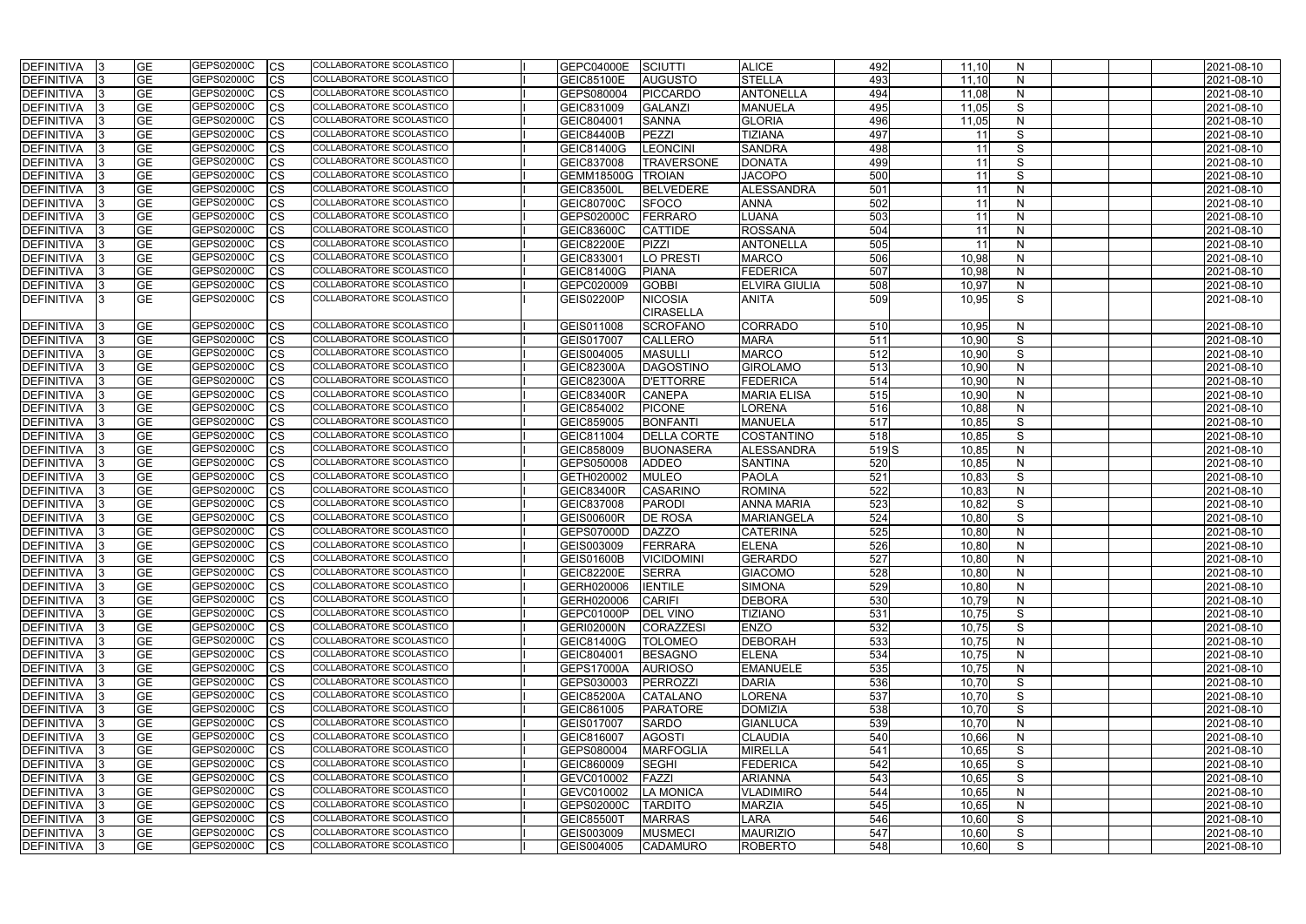| DEFINITIVA 3      |     | <b>GE</b>  | GEPS02000C | <b>CS</b> | COLLABORATORE SCOLASTICO        | GEPC04000E        | SCIUTTI            | <b>ALICE</b>         | 492              | 11,10 | N            | 2021-08-10 |  |
|-------------------|-----|------------|------------|-----------|---------------------------------|-------------------|--------------------|----------------------|------------------|-------|--------------|------------|--|
| DEFINITIVA        |     | <b>GE</b>  | GEPS02000C | <b>CS</b> | COLLABORATORE SCOLASTICO        | <b>GEIC85100E</b> | <b>AUGUSTO</b>     | <b>STELLA</b>        | 493              | 11,10 | N            | 2021-08-10 |  |
| DEFINITIVA        |     | <b>GE</b>  | GEPS02000C | <b>CS</b> | COLLABORATORE SCOLASTICO        | GEPS080004        | PICCARDO           | ANTONELLA            | 494              | 11,08 | N            | 2021-08-10 |  |
| DEFINITIVA        |     | <b>GE</b>  | GEPS02000C | <b>CS</b> | COLLABORATORE SCOLASTICO        | GEIC831009        | <b>GALANZI</b>     | <b>MANUELA</b>       | 495              | 11,05 | S            | 2021-08-10 |  |
| <b>DEFINITIVA</b> |     | <b>GE</b>  | GEPS02000C | <b>CS</b> | COLLABORATORE SCOLASTICO        | GEIC804001        | <b>SANNA</b>       | <b>GLORIA</b>        | 496              | 11,05 | N            | 2021-08-10 |  |
| DEFINITIVA        |     | <b>GE</b>  | GEPS02000C | <b>CS</b> | COLLABORATORE SCOLASTICO        | <b>GEIC84400B</b> | PEZZI              | <b>TIZIANA</b>       | 497              | -11   | S            | 2021-08-10 |  |
| DEFINITIVA        |     | <b>GE</b>  | GEPS02000C | <b>CS</b> | COLLABORATORE SCOLASTICO        | <b>GEIC81400G</b> | <b>LEONCINI</b>    | <b>SANDRA</b>        | 498              | 11    | S            | 2021-08-10 |  |
| <b>DEFINITIVA</b> |     | <b>GE</b>  | GEPS02000C | <b>CS</b> | COLLABORATORE SCOLASTICO        | GEIC837008        | <b>TRAVERSONE</b>  | <b>DONATA</b>        | 499              | 11    | S            | 2021-08-10 |  |
| <b>DEFINITIVA</b> |     | <b>GE</b>  | GEPS02000C | <b>CS</b> | COLLABORATORE SCOLASTICO        | <b>GEMM18500G</b> | <b>TROIAN</b>      | <b>JACOPO</b>        | 500              | 11    | S            | 2021-08-10 |  |
| <b>DEFINITIVA</b> |     | <b>GE</b>  | GEPS02000C | <b>CS</b> | COLLABORATORE SCOLASTICO        | <b>GEIC83500L</b> | <b>BELVEDERE</b>   | ALESSANDRA           | 501              | 11    | N            | 2021-08-10 |  |
| <b>DEFINITIVA</b> |     | <b>GE</b>  | GEPS02000C | <b>CS</b> | COLLABORATORE SCOLASTICO        | <b>GEIC80700C</b> | <b>SFOCO</b>       | <b>ANNA</b>          | 502              | 11    | N            | 2021-08-10 |  |
| <b>DEFINITIVA</b> |     | <b>GE</b>  | GEPS02000C | <b>CS</b> | COLLABORATORE SCOLASTICO        | GEPS02000C        | FERRARO            | <b>LUANA</b>         | 503              | 11    | N            | 2021-08-10 |  |
| DEFINITIVA        |     | <b>GE</b>  | GEPS02000C | <b>CS</b> | COLLABORATORE SCOLASTICO        | GEIC83600C        | <b>CATTIDE</b>     | <b>ROSSANA</b>       | 504              | 11    | N            | 2021-08-10 |  |
| <b>DEFINITIVA</b> |     | <b>GE</b>  | GEPS02000C | <b>CS</b> | COLLABORATORE SCOLASTICO        | <b>GEIC82200E</b> | PIZZI              | <b>ANTONELLA</b>     | 505              | 11    | N            | 2021-08-10 |  |
| DEFINITIVA        |     | <b>GE</b>  | GEPS02000C | <b>CS</b> | COLLABORATORE SCOLASTICO        | GEIC833001        | <b>LO PRESTI</b>   | <b>MARCO</b>         | 506              | 10,98 | N            | 2021-08-10 |  |
| DEFINITIVA        |     | <b>GE</b>  | GEPS02000C | <b>CS</b> | COLLABORATORE SCOLASTICO        | <b>GEIC81400G</b> | PIANA              | <b>FEDERICA</b>      | 507              | 10,98 | N            | 2021-08-10 |  |
| DEFINITIVA        |     | <b>GE</b>  | GEPS02000C | <b>CS</b> | COLLABORATORE SCOLASTICO        | GEPC020009        | <b>GOBBI</b>       | <b>ELVIRA GIULIA</b> | 508              | 10,97 | N            | 2021-08-10 |  |
| <b>DEFINITIVA</b> |     | <b>GE</b>  | GEPS02000C | <b>CS</b> | COLLABORATORE SCOLASTICO        | GEIS02200P        | <b>NICOSIA</b>     | <b>ANITA</b>         | 509              | 10,95 | S            | 2021-08-10 |  |
|                   |     |            |            |           |                                 |                   | <b>CIRASELLA</b>   |                      |                  |       |              |            |  |
| <b>DEFINITIVA</b> |     | <b>GE</b>  | GEPS02000C | <b>CS</b> | COLLABORATORE SCOLASTICO        | GEIS011008        | <b>SCROFANO</b>    | <b>CORRADO</b>       | 510              | 10,95 | N            | 2021-08-10 |  |
| <b>DEFINITIVA</b> |     | <b>GE</b>  | GEPS02000C | <b>CS</b> | COLLABORATORE SCOLASTICO        | GEIS017007        | <b>CALLERO</b>     | <b>MARA</b>          | 511              | 10,90 | S            | 2021-08-10 |  |
| DEFINITIVA        |     | <b>GE</b>  | GEPS02000C | <b>CS</b> | <b>COLLABORATORE SCOLASTICO</b> | GEIS004005        | <b>MASULLI</b>     | <b>MARCO</b>         | 512              | 10,90 | S            | 2021-08-10 |  |
| <b>DEFINITIVA</b> |     | <b>GE</b>  | GEPS02000C | <b>CS</b> | <b>COLLABORATORE SCOLASTICO</b> | <b>GEIC82300A</b> | DAGOSTINO          | <b>GIROLAMO</b>      | 513              | 10,90 | $\mathsf{N}$ | 2021-08-10 |  |
| <b>DEFINITIVA</b> |     | <b>GE</b>  | GEPS02000C | <b>CS</b> | COLLABORATORE SCOLASTICO        | <b>GEIC82300A</b> | <b>D'ETTORRE</b>   | FEDERICA             | 514              | 10,90 | $\mathsf{N}$ | 2021-08-10 |  |
| DEFINITIVA        |     | <b>GE</b>  | GEPS02000C | <b>CS</b> | COLLABORATORE SCOLASTICO        | <b>GEIC83400R</b> | <b>CANEPA</b>      | <b>MARIA ELISA</b>   | 515              | 10,90 | N            | 2021-08-10 |  |
| DEFINITIVA        |     | <b>GE</b>  | GEPS02000C | <b>CS</b> | COLLABORATORE SCOLASTICO        | GEIC854002        | <b>PICONE</b>      | <b>LORENA</b>        | 516              | 10,88 | N            | 2021-08-10 |  |
| DEFINITIVA        |     | <b>GE</b>  | GEPS02000C | <b>CS</b> | COLLABORATORE SCOLASTICO        | GEIC859005        | <b>BONFANTI</b>    | <b>MANUELA</b>       | 517              | 10,85 | S            | 2021-08-10 |  |
| DEFINITIVA        |     | <b>GE</b>  | GEPS02000C | <b>CS</b> | COLLABORATORE SCOLASTICO        | GEIC811004        | <b>DELLA CORTE</b> | <b>COSTANTINO</b>    | 518              | 10,85 | S            | 2021-08-10 |  |
| <b>DEFINITIVA</b> |     | <b>GE</b>  | GEPS02000C | <b>CS</b> | COLLABORATORE SCOLASTICO        | GEIC858009        | BUONASERA          | ALESSANDRA           | 519 <sub>S</sub> | 10,85 | N            | 2021-08-10 |  |
| <b>DEFINITIVA</b> |     | <b>GE</b>  | GEPS02000C | <b>CS</b> | COLLABORATORE SCOLASTICO        | GEPS050008        | <b>ADDEO</b>       | <b>SANTINA</b>       | 520              | 10,85 | N            | 2021-08-10 |  |
| <b>DEFINITIVA</b> |     | <b>GE</b>  | GEPS02000C | <b>CS</b> | COLLABORATORE SCOLASTICO        | GETH020002        | <b>MULEO</b>       | <b>PAOLA</b>         | 521              | 10,83 | S            | 2021-08-10 |  |
| <b>DEFINITIVA</b> |     | <b>GE</b>  | GEPS02000C | <b>CS</b> | COLLABORATORE SCOLASTICO        | <b>GEIC83400R</b> | <b>CASARINO</b>    | <b>ROMINA</b>        | 522              | 10,83 | $\mathsf{N}$ | 2021-08-10 |  |
| <b>DEFINITIVA</b> |     | <b>GE</b>  | GEPS02000C | <b>CS</b> | <b>COLLABORATORE SCOLASTICO</b> | GEIC837008        | PARODI             | <b>ANNA MARIA</b>    | 523              | 10,82 | S            | 2021-08-10 |  |
| <b>DEFINITIVA</b> |     | <b>GE</b>  | GEPS02000C | <b>CS</b> | <b>COLLABORATORE SCOLASTICO</b> | <b>GEIS00600R</b> | <b>DE ROSA</b>     | MARIANGELA           | 524              | 10,80 | S            | 2021-08-10 |  |
| <b>DEFINITIVA</b> |     | <b>GE</b>  | GEPS02000C | <b>CS</b> | <b>COLLABORATORE SCOLASTICO</b> | GEPS07000D        | <b>DAZZO</b>       | <b>CATERINA</b>      | 525              | 10,80 | N            | 2021-08-10 |  |
| <b>DEFINITIVA</b> |     | <b>IGE</b> | GEPS02000C | <b>CS</b> | COLLABORATORE SCOLASTICO        | GEIS003009        | <b>FERRARA</b>     | <b>ELENA</b>         | 526              | 10.80 | N            | 2021-08-10 |  |
| DEFINITIVA 3      |     | <b>GE</b>  | GEPS02000C | <b>CS</b> | COLLABORATORE SCOLASTICO        | GEIS01600B        | <b>VICIDOMINI</b>  | <b>GERARDO</b>       | 527              | 10,80 | N            | 2021-08-10 |  |
| DEFINITIVA 3      |     | <b>GE</b>  | GEPS02000C | <b>CS</b> | COLLABORATORE SCOLASTICO        | <b>GEIC82200E</b> | <b>SERRA</b>       | <b>GIACOMO</b>       | 528              | 10,80 | $\mathsf{N}$ | 2021-08-10 |  |
| DEFINITIVA        |     | <b>GE</b>  | GEPS02000C | <b>CS</b> | COLLABORATORE SCOLASTICO        | GERH020006        | <b>IENTILE</b>     | <b>SIMONA</b>        | 529              | 10,80 | $\mathsf{N}$ | 2021-08-10 |  |
| DEFINITIVA        |     | <b>GE</b>  | GEPS02000C | <b>CS</b> | COLLABORATORE SCOLASTICO        | GERH020006        | <b>CARIFI</b>      | <b>DEBORA</b>        | 530              | 10,79 | N            | 2021-08-10 |  |
| DEFINITIVA 3      |     | <b>GE</b>  | GEPS02000C | <b>CS</b> | COLLABORATORE SCOLASTICO        | GEPC01000P        | <b>DEL VINO</b>    | <b>TIZIANO</b>       | 531              | 10,75 | S            | 2021-08-10 |  |
| DEFINITIVA        |     | <b>GE</b>  | GEPS02000C | <b>CS</b> | COLLABORATORE SCOLASTICO        | <b>GERI02000N</b> | <b>CORAZZESI</b>   | <b>ENZO</b>          | 532              | 10,75 | S            | 2021-08-10 |  |
| DEFINITIVA        |     | <b>GE</b>  | GEPS02000C | <b>CS</b> | COLLABORATORE SCOLASTICO        | <b>GEIC81400G</b> | <b>TOLOMEO</b>     | DEBORAH              | 533              | 10,75 | N            | 2021-08-10 |  |
| DEFINITIVA        | -13 | <b>GE</b>  | GEPS02000C | <b>CS</b> | COLLABORATORE SCOLASTICO        | GEIC804001        | BESAGNO            | <b>ELENA</b>         | 534              | 10,75 | N            | 2021-08-10 |  |
| DEFINITIVA        |     | <b>GE</b>  | GEPS02000C | <b>CS</b> | COLLABORATORE SCOLASTICO        | GEPS17000A        | <b>AURIOSO</b>     | <b>EMANUELE</b>      | 535              | 10,75 | N            | 2021-08-10 |  |
| DEFINITIVA        |     | <b>GE</b>  | GEPS02000C | <b>CS</b> | COLLABORATORE SCOLASTICO        | GEPS030003        | PERROZZI           | <b>DARIA</b>         | 536              | 10,70 | S            | 2021-08-10 |  |
| DEFINITIVA        |     | <b>GE</b>  | GEPS02000C | <b>CS</b> | COLLABORATORE SCOLASTICO        | <b>GEIC85200A</b> | <b>CATALANO</b>    | <b>LORENA</b>        | 537              | 10,70 | S            | 2021-08-10 |  |
| DEFINITIVA        |     | <b>GE</b>  | GEPS02000C | <b>CS</b> | COLLABORATORE SCOLASTICO        | GEIC861005        | PARATORE           | <b>DOMIZIA</b>       | 538              | 10,70 | S            | 2021-08-10 |  |
| DEFINITIVA        |     | <b>GE</b>  | GEPS02000C | <b>CS</b> | COLLABORATORE SCOLASTICO        | GEIS017007        | <b>SARDO</b>       | <b>GIANLUCA</b>      | 539              | 10,70 | $\mathsf{N}$ | 2021-08-10 |  |
| DEFINITIVA 3      |     | <b>GE</b>  | GEPS02000C | <b>CS</b> | COLLABORATORE SCOLASTICO        | GEIC816007        | <b>AGOSTI</b>      | <b>CLAUDIA</b>       | 540              | 10,66 | N            | 2021-08-10 |  |
| DEFINITIVA  3     |     | <b>GE</b>  | GEPS02000C | <b>CS</b> | COLLABORATORE SCOLASTICO        | GEPS080004        | <b>MARFOGLIA</b>   | <b>MIRELLA</b>       | 541              | 10,65 | S            | 2021-08-10 |  |
| DEFINITIVA        |     | <b>GE</b>  | GEPS02000C | <b>CS</b> | COLLABORATORE SCOLASTICO        | GEIC860009        | <b>SEGHI</b>       | <b>FEDERICA</b>      | 542              | 10,65 | S            | 2021-08-10 |  |
| DEFINITIVA        |     | <b>GE</b>  | GEPS02000C | <b>CS</b> | COLLABORATORE SCOLASTICO        | GEVC010002        | FAZZI              | <b>ARIANNA</b>       | 543              | 10,65 | S            | 2021-08-10 |  |
| DEFINITIVA 3      |     | <b>GE</b>  | GEPS02000C | <b>CS</b> | COLLABORATORE SCOLASTICO        | GEVC010002        | <b>LA MONICA</b>   | <b>VLADIMIRO</b>     | 544              | 10,65 | N            | 2021-08-10 |  |
| DEFINITIVA        |     | <b>GE</b>  | GEPS02000C | <b>CS</b> | COLLABORATORE SCOLASTICO        | GEPS02000C        | <b>TARDITO</b>     | <b>MARZIA</b>        | 545              | 10,65 | N            | 2021-08-10 |  |
| DEFINITIVA<br>-13 |     | <b>GE</b>  | GEPS02000C | <b>CS</b> | COLLABORATORE SCOLASTICO        | <b>GEIC85500T</b> | <b>MARRAS</b>      | <b>LARA</b>          | 546              | 10,60 | S            | 2021-08-10 |  |
| DEFINITIVA  3     |     | <b>GE</b>  | GEPS02000C | <b>CS</b> | COLLABORATORE SCOLASTICO        | GEIS003009        | <b>MUSMECI</b>     | <b>MAURIZIO</b>      | 547              | 10,60 | S            | 2021-08-10 |  |
| DEFINITIVA 3      |     | <b>GE</b>  | GEPS02000C | <b>CS</b> | COLLABORATORE SCOLASTICO        | GEIS004005        | <b>CADAMURO</b>    | <b>ROBERTO</b>       | 548              | 10,60 | S            | 2021-08-10 |  |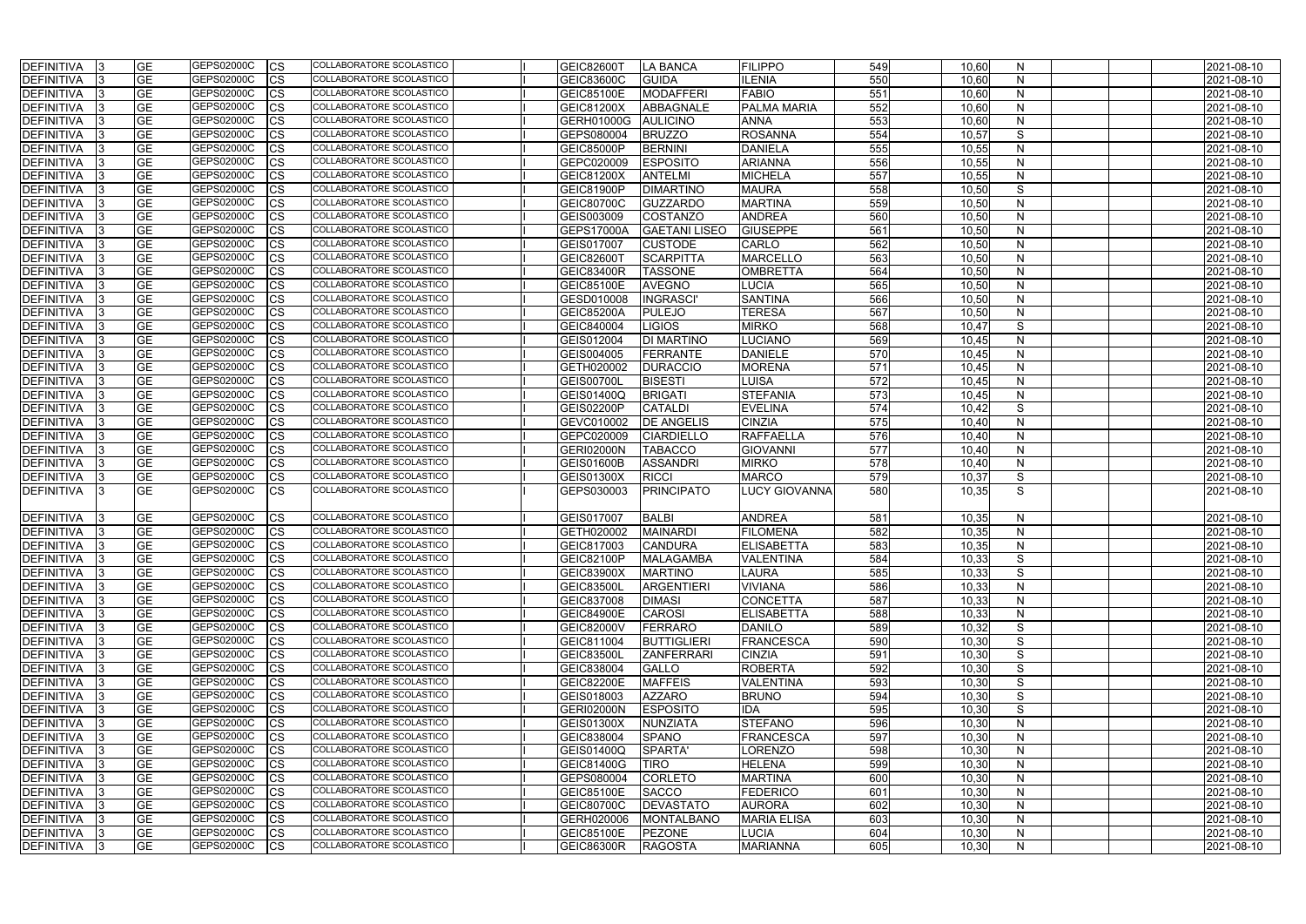| DEFINITIVA        | <b>GE</b>       | <b>GEPS02000C</b><br>CS  | COLLABORATORE SCOLASTICO        | <b>GEIC82600T</b> | <b>LA BANCA</b>      | <b>FILIPPO</b>     | 549 | 10,60 | <sub>N</sub> | 2021-08-10 |
|-------------------|-----------------|--------------------------|---------------------------------|-------------------|----------------------|--------------------|-----|-------|--------------|------------|
| DEFINITIVA        | <b>GE</b>       | GEPS02000C<br>CS         | COLLABORATORE SCOLASTICO        | <b>GEIC83600C</b> | <b>GUIDA</b>         | <b>ILENIA</b>      | 550 | 10,60 | N            | 2021-08-10 |
| <b>DEFINITIVA</b> | <b>GE</b>       | GEPS02000C<br>СS         | COLLABORATORE SCOLASTICO        | <b>GEIC85100E</b> | <b>MODAFFERI</b>     | <b>FABIO</b>       | 551 | 10,60 | $\mathsf{N}$ | 2021-08-10 |
| <b>DEFINITIVA</b> | <b>GE</b>       | GEPS02000C<br>СS         | COLLABORATORE SCOLASTICO        | <b>GEIC81200X</b> | ABBAGNALE            | PALMA MARIA        | 552 | 10,60 | N            | 2021-08-10 |
| <b>DEFINITIVA</b> | <b>GE</b>       | GEPS02000C<br>CS         | COLLABORATORE SCOLASTICO        | GERH01000G        | <b>AULICINO</b>      | <b>ANNA</b>        | 553 | 10,60 | $\mathsf{N}$ | 2021-08-10 |
| <b>DEFINITIVA</b> | <b>GE</b>       | GEPS02000C<br>CS         | COLLABORATORE SCOLASTICO        | GEPS080004        | <b>BRUZZO</b>        | <b>ROSANNA</b>     | 554 | 10,57 | S            | 2021-08-10 |
| <b>DEFINITIVA</b> | <b>GE</b>       | GEPS02000C<br>СS         | COLLABORATORE SCOLASTICO        | <b>GEIC85000P</b> | <b>BERNINI</b>       | <b>DANIELA</b>     | 555 | 10,55 | N            | 2021-08-10 |
| DEFINITIVA        | <b>GE</b>       | GEPS02000C<br>CS         | COLLABORATORE SCOLASTICO        | GEPC020009        | <b>ESPOSITO</b>      | <b>ARIANNA</b>     | 556 | 10,55 | $\mathsf{N}$ | 2021-08-10 |
| <b>DEFINITIVA</b> | <b>GE</b>       | GEPS02000C<br>CS         | COLLABORATORE SCOLASTICO        | <b>GEIC81200X</b> | <b>ANTELMI</b>       | <b>MICHELA</b>     | 557 | 10,55 | $\mathsf{N}$ | 2021-08-10 |
| <b>DEFINITIVA</b> | <b>GE</b>       | GEPS02000C<br>СS         | <b>COLLABORATORE SCOLASTICO</b> | <b>GEIC81900P</b> | <b>DIMARTINO</b>     | <b>MAURA</b>       | 558 | 10,50 | S            | 2021-08-10 |
| <b>DEFINITIVA</b> | $\overline{GE}$ | GEPS02000C<br>СS         | <b>COLLABORATORE SCOLASTICO</b> | <b>GEIC80700C</b> | GUZZARDO             | <b>MARTINA</b>     | 559 | 10,50 | $\mathsf{N}$ | 2021-08-10 |
| <b>DEFINITIVA</b> | <b>GE</b>       | GEPS02000C<br>CS         | COLLABORATORE SCOLASTICO        | GEIS003009        | COSTANZO             | <b>ANDREA</b>      | 560 | 10,50 | $\mathsf{N}$ | 2021-08-10 |
| DEFINITIVA        | <b>GE</b>       | GEPS02000C<br>CS         | COLLABORATORE SCOLASTICO        | <b>GEPS17000A</b> | <b>GAETANI LISEO</b> | <b>GIUSEPPE</b>    | 561 | 10,50 | N            | 2021-08-10 |
| <b>DEFINITIVA</b> | <b>GE</b>       | GEPS02000C<br>СS         | COLLABORATORE SCOLASTICO        | GEIS017007        | <b>CUSTODE</b>       | CARLO              | 562 | 10,50 | $\mathsf{N}$ | 2021-08-10 |
| <b>DEFINITIVA</b> | <b>GE</b>       | GEPS02000C<br>СS         | COLLABORATORE SCOLASTICO        | <b>GEIC82600T</b> | <b>SCARPITTA</b>     | <b>MARCELLO</b>    | 563 | 10,50 | N            | 2021-08-10 |
| <b>DEFINITIVA</b> | <b>GE</b>       | GEPS02000C<br>СS         | COLLABORATORE SCOLASTICO        | GEIC83400R        | <b>TASSONE</b>       | <b>OMBRETTA</b>    | 564 | 10,50 | N            | 2021-08-10 |
| <b>DEFINITIVA</b> | <b>GE</b>       | GEPS02000C<br>СS         | COLLABORATORE SCOLASTICO        | <b>GEIC85100E</b> | <b>AVEGNO</b>        | <b>LUCIA</b>       | 565 | 10,50 | N            | 2021-08-10 |
| <b>DEFINITIVA</b> | <b>GE</b>       | GEPS02000C<br>СS         | COLLABORATORE SCOLASTICO        | GESD010008        | <b>INGRASCI</b>      | <b>SANTINA</b>     | 566 | 10,50 | N            | 2021-08-10 |
| DEFINITIVA        | <b>GE</b>       | GEPS02000C<br>CS         | COLLABORATORE SCOLASTICO        | <b>GEIC85200A</b> | <b>PULEJO</b>        | <b>TERESA</b>      | 567 | 10,50 | N            | 2021-08-10 |
| DEFINITIVA        | <b>GE</b>       | GEPS02000C<br>СS         | <b>COLLABORATORE SCOLASTICO</b> | GEIC840004        | <b>LIGIOS</b>        | <b>MIRKO</b>       | 568 | 10,47 | S            | 2021-08-10 |
| <b>DEFINITIVA</b> | <b>GE</b>       | GEPS02000C<br>СS         | COLLABORATORE SCOLASTICO        | GEIS012004        | <b>DI MARTINO</b>    | <b>LUCIANO</b>     | 569 | 10,45 | $\mathsf{N}$ | 2021-08-10 |
| DEFINITIVA        | <b>GE</b>       | GEPS02000C<br>CS         | COLLABORATORE SCOLASTICO        | GEIS004005        | <b>FERRANTE</b>      | <b>DANIELE</b>     | 570 | 10,45 | $\mathsf{N}$ | 2021-08-10 |
| <b>DEFINITIVA</b> | <b>GE</b>       | GEPS02000C<br>СS         | COLLABORATORE SCOLASTICO        | GETH020002        | <b>DURACCIO</b>      | <b>MORENA</b>      | 571 | 10,45 | N            | 2021-08-10 |
| <b>DEFINITIVA</b> | <b>GE</b>       | GEPS02000C<br>CS         | COLLABORATORE SCOLASTICO        | <b>GEIS00700L</b> | <b>BISESTI</b>       | <b>LUISA</b>       | 572 | 10,45 | $\mathsf{N}$ | 2021-08-10 |
| <b>DEFINITIVA</b> | <b>GE</b>       | GEPS02000C<br>CS         | <b>COLLABORATORE SCOLASTICO</b> | GEIS01400Q        | <b>BRIGATI</b>       | <b>STEFANIA</b>    | 573 | 10,45 | N            | 2021-08-10 |
| DEFINITIVA        | <b>GE</b>       | GEPS02000C<br>СS         | COLLABORATORE SCOLASTICO        | <b>GEIS02200P</b> | <b>CATALDI</b>       | <b>EVELINA</b>     | 574 | 10,42 | S            | 2021-08-10 |
| <b>DEFINITIVA</b> | <b>GE</b>       | GEPS02000C<br>СS         | COLLABORATORE SCOLASTICO        | GEVC010002        | <b>DE ANGELIS</b>    | <b>CINZIA</b>      | 575 | 10,40 | $\mathsf{N}$ | 2021-08-10 |
| DEFINITIVA        | <b>GE</b>       | GEPS02000C<br>СS         | COLLABORATORE SCOLASTICO        | GEPC020009        | <b>CIARDIELLO</b>    | <b>RAFFAELLA</b>   | 576 | 10,40 | N            | 2021-08-10 |
| <b>DEFINITIVA</b> | <b>GE</b>       | GEPS02000C<br>СS         | COLLABORATORE SCOLASTICO        | <b>GERI02000N</b> | <b>TABACCO</b>       | <b>GIOVANNI</b>    | 577 | 10,40 | N            | 2021-08-10 |
| <b>DEFINITIVA</b> | <b>GE</b>       | GEPS02000C<br>СS         | COLLABORATORE SCOLASTICO        | <b>GEIS01600B</b> | <b>ASSANDRI</b>      | <b>MIRKO</b>       | 578 | 10,40 | N            | 2021-08-10 |
| <b>DEFINITIVA</b> | <b>GE</b>       | GEPS02000C<br>СS         | <b>COLLABORATORE SCOLASTICO</b> | <b>GEIS01300X</b> | <b>RICCI</b>         | <b>MARCO</b>       | 579 | 10,37 | S            | 2021-08-10 |
| <b>DEFINITIVA</b> | <b>GE</b>       | GEPS02000C<br>CS         | COLLABORATORE SCOLASTICO        | GEPS030003        | <b>PRINCIPATO</b>    | LUCY GIOVANNA      | 580 | 10,35 | S            | 2021-08-10 |
|                   |                 |                          |                                 |                   |                      |                    |     |       |              |            |
| DEFINITIVA        | <b>GE</b>       | GEPS02000C<br><b>CS</b>  | <b>COLLABORATORE SCOLASTICO</b> | GEIS017007        | <b>BALBI</b>         | <b>ANDREA</b>      | 581 | 10,35 | N            | 2021-08-10 |
| <b>DEFINITIVA</b> | <b>GE</b>       | GEPS02000C<br>СS         | COLLABORATORE SCOLASTICO        | GETH020002        | <b>MAINARDI</b>      | <b>FILOMENA</b>    | 582 | 10,35 | N            | 2021-08-10 |
| DEFINITIVA        | <b>GE</b>       | GEPS02000C<br>Ics        | COLLABORATORE SCOLASTICO        | GEIC817003        | <b>CANDURA</b>       | <b>ELISABETTA</b>  | 583 | 10,35 | N            | 2021-08-10 |
| DEFINITIVA  3     | <b>GE</b>       | GEPS02000C<br><b>CS</b>  | <b>COLLABORATORE SCOLASTICO</b> | GEIC82100P        | <b>MALAGAMBA</b>     | <b>VALENTINA</b>   | 584 | 10,33 | S            | 2021-08-10 |
| DEFINITIVA        | <b>GE</b>       | GEPS02000C<br><b>CS</b>  | COLLABORATORE SCOLASTICO        | <b>GEIC83900X</b> | <b>MARTINO</b>       | <b>LAURA</b>       | 585 | 10,33 | S            | 2021-08-10 |
| DEFINITIVA        | <b>GE</b>       | GEPS02000C<br><b>CS</b>  | COLLABORATORE SCOLASTICO        | <b>GEIC83500L</b> | <b>ARGENTIERI</b>    | <b>VIVIANA</b>     | 586 | 10,33 | ${\sf N}$    | 2021-08-10 |
| DEFINITIVA        | <b>GE</b>       | GEPS02000C<br><b>CS</b>  | COLLABORATORE SCOLASTICO        | GEIC837008        | <b>DIMASI</b>        | <b>CONCETTA</b>    | 587 | 10,33 | $\mathsf{N}$ | 2021-08-10 |
| DEFINITIVA        | <b>GE</b>       | GEPS02000C<br>CS         | COLLABORATORE SCOLASTICO        | <b>GEIC84900E</b> | <b>CAROSI</b>        | <b>ELISABETTA</b>  | 588 | 10,33 | N            | 2021-08-10 |
| <b>DEFINITIVA</b> | <b>GE</b>       | GEPS02000C<br>CS         | COLLABORATORE SCOLASTICO        | <b>GEIC82000V</b> | FERRARO              | <b>DANILO</b>      | 589 | 10,32 | S            | 2021-08-10 |
| DEFINITIVA        | <b>GE</b>       | GEPS02000C<br><b>ICS</b> | COLLABORATORE SCOLASTICO        | GEIC811004        | <b>BUTTIGLIERI</b>   | <b>FRANCESCA</b>   | 590 | 10,30 | S            | 2021-08-10 |
| <b>DEFINITIVA</b> | <b>GE</b>       | GEPS02000C<br><b>CS</b>  | COLLABORATORE SCOLASTICO        | <b>GEIC83500L</b> | <b>ZANFERRARI</b>    | <b>CINZIA</b>      | 591 | 10,30 | S            | 2021-08-10 |
| <b>DEFINITIVA</b> | <b>GE</b>       | GEPS02000C<br><b>CS</b>  | COLLABORATORE SCOLASTICO        | GEIC838004        | <b>GALLO</b>         | <b>ROBERTA</b>     | 592 | 10,30 | S            | 2021-08-10 |
| DEFINITIVA        | <b>GE</b>       | GEPS02000C<br><b>CS</b>  | COLLABORATORE SCOLASTICO        | <b>GEIC82200E</b> | <b>MAFFEIS</b>       | <b>VALENTINA</b>   | 593 | 10,30 | S            | 2021-08-10 |
| DEFINITIVA        | <b>GE</b>       | GEPS02000C<br><b>CS</b>  | COLLABORATORE SCOLASTICO        | GEIS018003        | <b>AZZARO</b>        | <b>BRUNO</b>       | 594 | 10,30 | S            | 2021-08-10 |
| DEFINITIVA        | <b>GE</b>       | GEPS02000C<br><b>CS</b>  | COLLABORATORE SCOLASTICO        | GERI02000N        | <b>ESPOSITO</b>      | <b>IDA</b>         | 595 | 10,30 | S            | 2021-08-10 |
| DEFINITIVA        | <b>GE</b>       | GEPS02000C<br><b>ICS</b> | COLLABORATORE SCOLASTICO        | <b>GEIS01300X</b> | NUNZIATA             | <b>STEFANO</b>     | 596 | 10,30 | $\mathsf{N}$ | 2021-08-10 |
| DEFINITIVA        | <b>GE</b>       | GEPS02000C<br>CS         | COLLABORATORE SCOLASTICO        | GEIC838004        | <b>SPANO</b>         | <b>FRANCESCA</b>   | 597 | 10,30 | N            | 2021-08-10 |
| DEFINITIVA        | <b>GE</b>       | GEPS02000C<br><b>CS</b>  | COLLABORATORE SCOLASTICO        | <b>GEIS01400Q</b> | SPARTA'              | LORENZO            | 598 | 10,30 | N            | 2021-08-10 |
| DEFINITIVA        | <b>GE</b>       | GEPS02000C<br>СS         | COLLABORATORE SCOLASTICO        | <b>GEIC81400G</b> | <b>TIRO</b>          | <b>HELENA</b>      | 599 | 10,30 | $\mathsf{N}$ | 2021-08-10 |
| DEFINITIVA        | <b>GE</b>       | GEPS02000C<br>СS         | COLLABORATORE SCOLASTICO        | GEPS080004        | <b>CORLETO</b>       | <b>MARTINA</b>     | 600 | 10,30 | N            | 2021-08-10 |
| <b>DEFINITIVA</b> | <b>GE</b>       | GEPS02000C<br>СS         | COLLABORATORE SCOLASTICO        | <b>GEIC85100E</b> | <b>SACCO</b>         | <b>FEDERICO</b>    | 601 | 10,30 | N            | 2021-08-10 |
| <b>DEFINITIVA</b> | <b>GE</b>       | GEPS02000C<br><b>CS</b>  | COLLABORATORE SCOLASTICO        | <b>GEIC80700C</b> | <b>DEVASTATO</b>     | <b>AURORA</b>      | 602 | 10,30 | $\mathsf{N}$ | 2021-08-10 |
| <b>DEFINITIVA</b> | <b>GE</b>       | GEPS02000C<br>ICS.       | COLLABORATORE SCOLASTICO        | GERH020006        | MONTALBANO           | <b>MARIA ELISA</b> | 603 | 10,30 | N            | 2021-08-10 |
| <b>DEFINITIVA</b> | <b>GE</b>       | GEPS02000C<br><b>CS</b>  | COLLABORATORE SCOLASTICO        | <b>GEIC85100E</b> | <b>PEZONE</b>        | <b>LUCIA</b>       | 604 | 10,30 | N            | 2021-08-10 |
| <b>DEFINITIVA</b> | <b>GE</b>       | GEPS02000C<br><b>ICS</b> | COLLABORATORE SCOLASTICO        | <b>GEIC86300R</b> | <b>RAGOSTA</b>       | <b>MARIANNA</b>    | 605 | 10,30 | $\mathsf{N}$ | 2021-08-10 |
|                   |                 |                          |                                 |                   |                      |                    |     |       |              |            |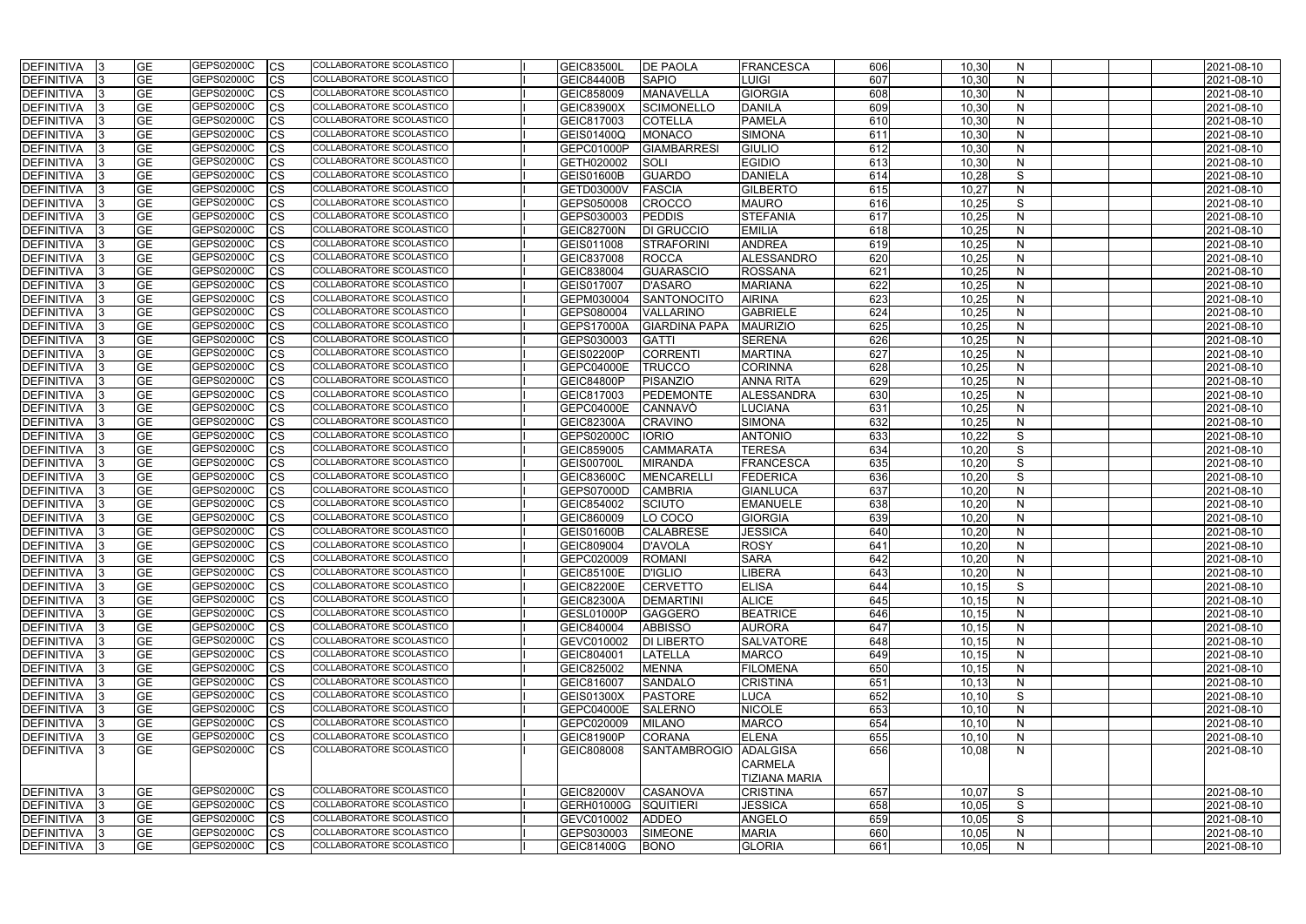| <b>DEFINITIVA</b> | <b>GE</b>       | <b>GEPS02000C</b><br>CS        | COLLABORATORE SCOLASTICO        | <b>GEIC83500L</b> | <b>DE PAOLA</b>      | <b>FRANCESCA</b>     | 606 | 10,30  | <sup>N</sup> |  | 2021-08-10 |
|-------------------|-----------------|--------------------------------|---------------------------------|-------------------|----------------------|----------------------|-----|--------|--------------|--|------------|
| DEFINITIVA        | <b>GE</b>       | GEPS02000C<br>CS               | COLLABORATORE SCOLASTICO        | <b>GEIC84400B</b> | <b>SAPIO</b>         | LUIGI                | 607 | 10,30  | $\mathsf{N}$ |  | 2021-08-10 |
| <b>DEFINITIVA</b> | <b>GE</b>       | GEPS02000C<br>СS               | COLLABORATORE SCOLASTICO        | GEIC858009        | <b>MANAVELLA</b>     | <b>GIORGIA</b>       | 608 | 10,30  | N            |  | 2021-08-10 |
| <b>DEFINITIVA</b> | <b>GE</b>       | <b>GEPS02000C</b><br>СS        | COLLABORATORE SCOLASTICO        | <b>GEIC83900X</b> | SCIMONELLO           | <b>DANILA</b>        | 609 | 10,30  | N            |  | 2021-08-10 |
| DEFINITIVA        | <b>GE</b>       | GEPS02000C<br>CS               | COLLABORATORE SCOLASTICO        | GEIC817003        | <b>COTELLA</b>       | <b>PAMELA</b>        | 610 | 10,30  | N            |  | 2021-08-10 |
| <b>DEFINITIVA</b> | <b>GE</b>       | GEPS02000C<br>СS               | COLLABORATORE SCOLASTICO        | GEIS01400Q        | <b>MONACO</b>        | <b>SIMONA</b>        | 611 | 10,30  | $\mathsf{N}$ |  | 2021-08-10 |
| <b>DEFINITIVA</b> | <b>GE</b>       | GEPS02000C<br>СS               | COLLABORATORE SCOLASTICO        | GEPC01000P        | <b>GIAMBARRESI</b>   | <b>GIULIO</b>        | 612 | 10,30  | N            |  | 2021-08-10 |
| <b>DEFINITIVA</b> | <b>GE</b>       | GEPS02000C<br>CS               | COLLABORATORE SCOLASTICO        | GETH020002        | SOLI                 | <b>EGIDIO</b>        | 613 | 10,30  | $\mathsf{N}$ |  | 2021-08-10 |
| <b>DEFINITIVA</b> | <b>GE</b>       | GEPS02000C<br>СS               | COLLABORATORE SCOLASTICO        | <b>GEIS01600B</b> | <b>GUARDO</b>        | <b>DANIELA</b>       | 614 | 10,28  | S            |  | 2021-08-10 |
| <b>DEFINITIVA</b> | <b>GE</b>       | GEPS02000C<br>СS               | COLLABORATORE SCOLASTICO        | GETD03000V        | <b>FASCIA</b>        | <b>GILBERTO</b>      | 615 | 10,27  | $\mathsf{N}$ |  | 2021-08-10 |
| <b>DEFINITIVA</b> | $\overline{GE}$ | GEPS02000C<br>СS               | COLLABORATORE SCOLASTICO        | GEPS050008        | <b>CROCCO</b>        | <b>MAURO</b>         | 616 | 10,25  | S            |  | 2021-08-10 |
| <b>DEFINITIVA</b> | <b>GE</b>       | GEPS02000C<br>СS               | COLLABORATORE SCOLASTICO        | GEPS030003        | <b>PEDDIS</b>        | <b>STEFANIA</b>      | 617 | 10,25  | $\mathsf{N}$ |  | 2021-08-10 |
| DEFINITIVA        | <b>GE</b>       | GEPS02000C<br>СS               | COLLABORATORE SCOLASTICO        | <b>GEIC82700N</b> | DI GRUCCIO           | <b>EMILIA</b>        | 618 | 10,25  | $\mathsf{N}$ |  | 2021-08-10 |
| <b>DEFINITIVA</b> | $\overline{GE}$ | GEPS02000C<br>СS               | COLLABORATORE SCOLASTICO        | GEIS011008        | <b>STRAFORINI</b>    | <b>ANDREA</b>        | 619 | 10,25  | N            |  | 2021-08-10 |
| <b>DEFINITIVA</b> | <b>GE</b>       | GEPS02000C<br>СS               | COLLABORATORE SCOLASTICO        | GEIC837008        | ROCCA                | <b>ALESSANDRO</b>    | 620 | 10,25  | N            |  | 2021-08-10 |
| <b>DEFINITIVA</b> | <b>GE</b>       | GEPS02000C<br>СS               | COLLABORATORE SCOLASTICO        | GEIC838004        | <b>GUARASCIO</b>     | <b>ROSSANA</b>       | 621 | 10,25  | N            |  | 2021-08-10 |
| <b>DEFINITIVA</b> | <b>GE</b>       | GEPS02000C<br>СS               | COLLABORATORE SCOLASTICO        | GEIS017007        | <b>D'ASARO</b>       | <b>MARIANA</b>       | 622 | 10,25  | N            |  | 2021-08-10 |
| <b>DEFINITIVA</b> | <b>GE</b>       | GEPS02000C<br>СS               | COLLABORATORE SCOLASTICO        | GEPM030004        | SANTONOCITO          | <b>AIRINA</b>        | 623 | 10,25  | N            |  | 2021-08-10 |
| <b>DEFINITIVA</b> | <b>GE</b>       | GEPS02000C<br>СS               | COLLABORATORE SCOLASTICO        | GEPS080004        | <b>VALLARINO</b>     | <b>GABRIELE</b>      | 624 | 10,25  | $\mathsf{N}$ |  | 2021-08-10 |
| DEFINITIVA        | <b>GE</b>       | GEPS02000C<br>СS               | COLLABORATORE SCOLASTICO        | <b>GEPS17000A</b> | <b>GIARDINA PAPA</b> | <b>MAURIZIO</b>      | 625 | 10,25  | $\mathsf{N}$ |  | 2021-08-10 |
| <b>DEFINITIVA</b> | <b>GE</b>       | GEPS02000C<br>СS               | COLLABORATORE SCOLASTICO        | GEPS030003        | <b>GATTI</b>         | <b>SERENA</b>        | 626 | 10,25  | N            |  | 2021-08-10 |
| <b>DEFINITIVA</b> | <b>GE</b>       | GEPS02000C<br>CS               | COLLABORATORE SCOLASTICO        | <b>GEIS02200P</b> | <b>CORRENTI</b>      | <b>MARTINA</b>       | 627 | 10,25  | N            |  | 2021-08-10 |
| <b>DEFINITIVA</b> | <b>GE</b>       | GEPS02000C<br>СS               | <b>COLLABORATORE SCOLASTICO</b> | GEPC04000E        | <b>TRUCCO</b>        | <b>CORINNA</b>       | 628 | 10,25  | N            |  | 2021-08-10 |
| <b>DEFINITIVA</b> | <b>GE</b>       | GEPS02000C<br>СS               | COLLABORATORE SCOLASTICO        | <b>GEIC84800P</b> | PISANZIO             | <b>ANNA RITA</b>     | 629 | 10,25  | N            |  | 2021-08-10 |
| <b>DEFINITIVA</b> | <b>GE</b>       | GEPS02000C<br>CS               | COLLABORATORE SCOLASTICO        | GEIC817003        | <b>PEDEMONTE</b>     | ALESSANDRA           | 630 | 10,25  | $\mathsf{N}$ |  | 2021-08-10 |
| DEFINITIVA        | <b>GE</b>       | GEPS02000C<br>СS               | COLLABORATORE SCOLASTICO        | GEPC04000E        | CANNAVO              | LUCIANA              | 631 | 10,25  | N            |  | 2021-08-10 |
| <b>DEFINITIVA</b> | <b>GE</b>       | GEPS02000C<br>СS               | COLLABORATORE SCOLASTICO        | GEIC82300A        | <b>CRAVINO</b>       | <b>SIMONA</b>        | 632 | 10,25  | N            |  | 2021-08-10 |
| DEFINITIVA        | <b>GE</b>       | GEPS02000C<br>СS               | COLLABORATORE SCOLASTICO        | GEPS02000C        | <b>IORIO</b>         | <b>ANTONIO</b>       | 633 | 10,22  | S            |  | 2021-08-10 |
| <b>DEFINITIVA</b> | <b>GE</b>       | GEPS02000C<br>СS               | COLLABORATORE SCOLASTICO        | GEIC859005        | <b>CAMMARATA</b>     | <b>TERESA</b>        | 634 | 10,20  | S            |  | 2021-08-10 |
| <b>DEFINITIVA</b> | <b>GE</b>       | GEPS02000C<br>СS               | COLLABORATORE SCOLASTICO        | <b>GEIS00700L</b> | <b>MIRANDA</b>       | <b>FRANCESCA</b>     | 635 | 10,20  | S            |  | 2021-08-10 |
| <b>DEFINITIVA</b> | <b>GE</b>       | GEPS02000C<br>СS               | COLLABORATORE SCOLASTICO        | GEIC83600C        | <b>MENCARELLI</b>    | <b>FEDERICA</b>      | 636 | 10,20  | S            |  | 2021-08-10 |
| <b>DEFINITIVA</b> | <b>GE</b>       | GEPS02000C<br>СS               | COLLABORATORE SCOLASTICO        | <b>GEPS07000D</b> | <b>CAMBRIA</b>       | <b>GIANLUCA</b>      | 637 | 10,20  | N            |  | 2021-08-10 |
| <b>DEFINITIVA</b> | <b>GE</b>       | GEPS02000C<br>СS               | COLLABORATORE SCOLASTICO        | GEIC854002        | <b>SCIUTO</b>        | <b>EMANUELE</b>      | 638 | 10,20  | N            |  | 2021-08-10 |
| DEFINITIVA        | <b>GE</b>       | GEPS02000C<br>СS               | COLLABORATORE SCOLASTICO        | GEIC860009        | LO COCO              | <b>GIORGIA</b>       | 639 | 10,20  | N            |  | 2021-08-10 |
| DEFINITIVA        | <b>GE</b>       | GEPS02000C<br>СS               | <b>COLLABORATORE SCOLASTICO</b> | GEIS01600B        | <b>CALABRESE</b>     | <b>JESSICA</b>       | 640 | 10,20  | N            |  | 2021-08-10 |
| DEFINITIVA        | <b>GE</b>       | GEPS02000C<br><b>CS</b>        | COLLABORATORE SCOLASTICO        | GEIC809004        | <b>D'AVOLA</b>       | <b>ROSY</b>          | 641 | 10,20  | N            |  | 2021-08-10 |
| DEFINITIVA 3      | <b>GE</b>       | GEPS02000C<br><b>CS</b>        | COLLABORATORE SCOLASTICO        | GEPC020009        | <b>ROMANI</b>        | <b>SARA</b>          | 642 | 10,20  | N.           |  | 2021-08-10 |
| DEFINITIVA        | <b>GE</b>       | GEPS02000C<br><b>CS</b>        | COLLABORATORE SCOLASTICO        | <b>GEIC85100E</b> | <b>D'IGLIO</b>       | LIBERA               | 643 | 10,20  | N            |  | 2021-08-10 |
| DEFINITIVA        | <b>GE</b>       | GEPS02000C<br><b>CS</b>        | COLLABORATORE SCOLASTICO        | <b>GEIC82200E</b> | <b>CERVETTO</b>      | <b>ELISA</b>         | 644 | 10,15  | S            |  | 2021-08-10 |
| DEFINITIVA        | <b>GE</b>       | GEPS02000C<br>CS               | COLLABORATORE SCOLASTICO        | <b>GEIC82300A</b> | <b>DEMARTINI</b>     | <b>ALICE</b>         | 645 | 10,15  | $\mathsf{N}$ |  | 2021-08-10 |
| DEFINITIVA        | <b>GE</b>       | GEPS02000C<br>СS               | COLLABORATORE SCOLASTICO        | GESL01000P        | <b>GAGGERO</b>       | <b>BEATRICE</b>      | 646 | 10,15  | $\mathsf{N}$ |  | 2021-08-10 |
| <b>DEFINITIVA</b> | <b>GE</b>       | GEPS02000C<br>СS               | COLLABORATORE SCOLASTICO        | GEIC840004        | <b>ABBISSO</b>       | <b>AURORA</b>        | 647 | 10,15  | $\mathsf{N}$ |  | 2021-08-10 |
| DEFINITIVA        | <b>GE</b>       | GEPS02000C<br>CS               | COLLABORATORE SCOLASTICO        | GEVC010002        | <b>DI LIBERTO</b>    | <b>SALVATORE</b>     | 648 | 10, 15 | $\mathsf{N}$ |  | 2021-08-10 |
| <b>DEFINITIVA</b> | <b>GE</b>       | GEPS02000C<br>CS               | <b>COLLABORATORE SCOLASTICO</b> | GEIC804001        | <b>LATELLA</b>       | <b>MARCO</b>         | 649 | 10, 15 | N            |  | 2021-08-10 |
| <b>DEFINITIVA</b> | <b>GE</b>       | GEPS02000C<br><b>CS</b>        | <b>COLLABORATORE SCOLASTICO</b> | GEIC825002        | <b>MENNA</b>         | <b>FILOMENA</b>      | 650 | 10,15  | $\mathsf{N}$ |  | 2021-08-10 |
| <b>DEFINITIVA</b> | <b>GE</b>       | GEPS02000C<br>CS               | COLLABORATORE SCOLASTICO        | GEIC816007        | <b>SANDALO</b>       | <b>CRISTINA</b>      | 651 | 10, 13 | N            |  | 2021-08-10 |
| DEFINITIVA        | <b>GE</b>       | GEPS02000C<br>CS               | COLLABORATORE SCOLASTICO        | <b>GEIS01300X</b> | <b>PASTORE</b>       | LUCA                 | 652 | 10, 10 | S            |  | 2021-08-10 |
| DEFINITIVA        | <b>GE</b>       | GEPS02000C<br><b>CS</b>        | COLLABORATORE SCOLASTICO        | <b>GEPC04000E</b> | SALERNO              | <b>NICOLE</b>        | 653 | 10,10  | $\mathsf{N}$ |  | 2021-08-10 |
| DEFINITIVA        | <b>GE</b>       | GEPS02000C<br><b>CS</b>        | COLLABORATORE SCOLASTICO        | GEPC020009        | <b>MILANO</b>        | <b>MARCO</b>         | 654 | 10, 10 | $\mathsf{N}$ |  | 2021-08-10 |
| <b>DEFINITIVA</b> | <b>GE</b>       | GEPS02000C<br>CS               | COLLABORATORE SCOLASTICO        | GEIC81900P        | <b>CORANA</b>        | <b>ELENA</b>         | 655 | 10,10  | N            |  | 2021-08-10 |
| DEFINITIVA        | <b>GE</b>       | <b>GEPS02000C</b><br><b>CS</b> | COLLABORATORE SCOLASTICO        | GEIC808008        | <b>SANTAMBROGIO</b>  | <b>ADALGISA</b>      | 656 | 10,08  | N            |  | 2021-08-10 |
|                   |                 |                                |                                 |                   |                      | <b>CARMELA</b>       |     |        |              |  |            |
|                   |                 |                                |                                 |                   |                      | <b>TIZIANA MARIA</b> |     |        |              |  |            |
| <b>DEFINITIVA</b> | <b>GE</b>       | GEPS02000C<br>CS               | COLLABORATORE SCOLASTICO        | <b>GEIC82000V</b> | <b>CASANOVA</b>      | <b>CRISTINA</b>      | 657 | 10,07  | S            |  | 2021-08-10 |
| <b>DEFINITIVA</b> | <b>GE</b>       | GEPS02000C<br><b>CS</b>        | COLLABORATORE SCOLASTICO        | GERH01000G        | <b>SQUITIERI</b>     | <b>JESSICA</b>       | 658 | 10,05  | S            |  | 2021-08-10 |
| <b>DEFINITIVA</b> | <b>GE</b>       | GEPS02000C<br>CS               | COLLABORATORE SCOLASTICO        | GEVC010002        | <b>ADDEO</b>         | <b>ANGELO</b>        | 659 | 10,05  | S            |  | 2021-08-10 |
| DEFINITIVA        | <b>GE</b>       | GEPS02000C<br><b>CS</b>        | COLLABORATORE SCOLASTICO        | GEPS030003        | <b>SIMEONE</b>       | <b>MARIA</b>         | 660 | 10,05  | N            |  | 2021-08-10 |
| <b>DEFINITIVA</b> | <b>GE</b>       | GEPS02000C<br><b>CS</b>        | COLLABORATORE SCOLASTICO        | <b>GEIC81400G</b> | <b>BONO</b>          | <b>GLORIA</b>        | 661 | 10,05  | $\mathsf{N}$ |  | 2021-08-10 |
|                   |                 |                                |                                 |                   |                      |                      |     |        |              |  |            |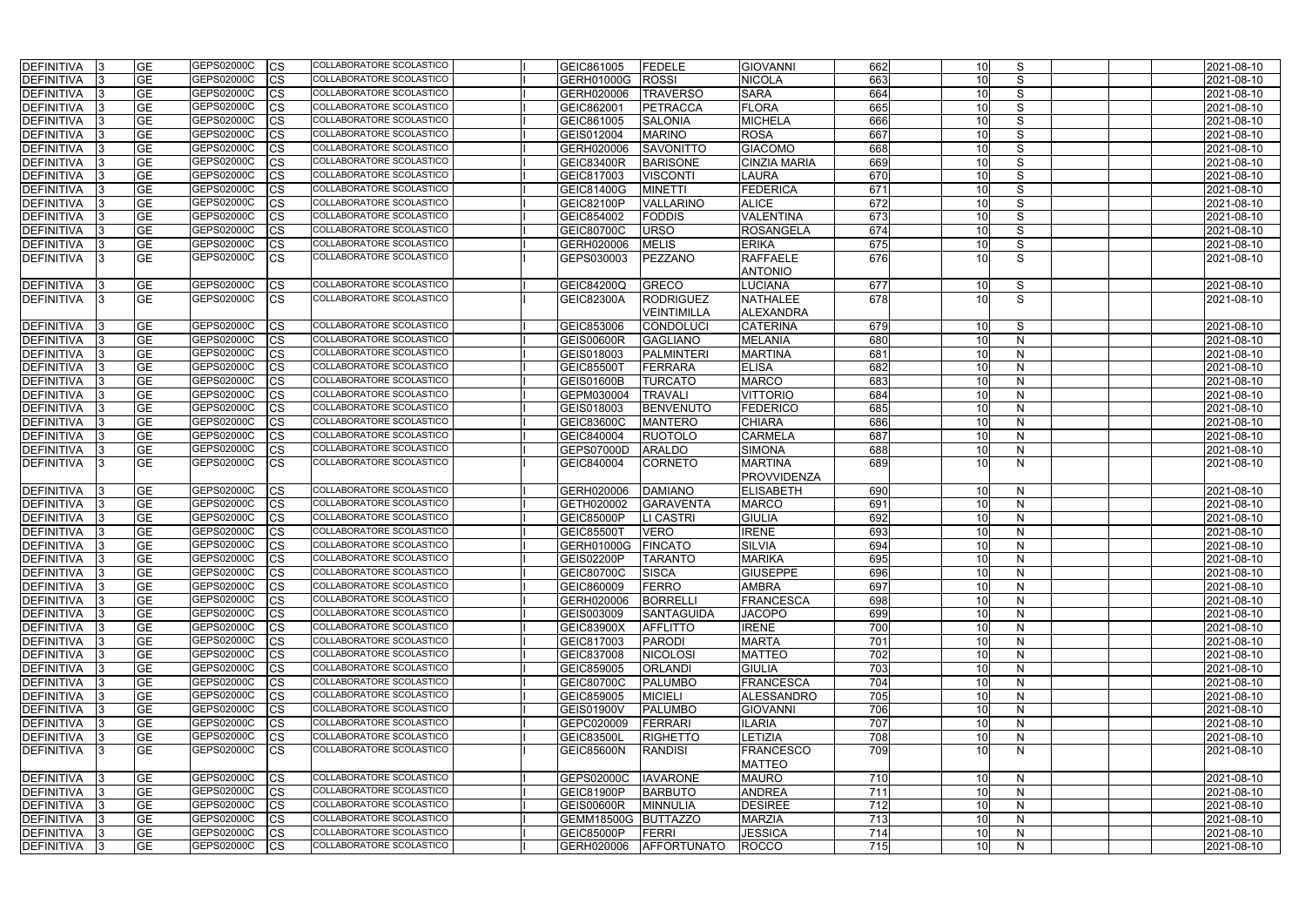| <b>DEFINITIVA</b>                      | <b>GE</b>       | GEPS02000C               | <b>ICS</b>             | COLLABORATORE SCOLASTICO                             | GEIC861005               | FEDELE                      | <b>GIOVANNI</b>                   | 662        |    | S                 |  | 2021-08-10               |
|----------------------------------------|-----------------|--------------------------|------------------------|------------------------------------------------------|--------------------------|-----------------------------|-----------------------------------|------------|----|-------------------|--|--------------------------|
| <b>DEFINITIVA</b>                      | GЕ              | GEPS02000C               | <b>CS</b>              | COLLABORATORE SCOLASTICO                             | <b>GERH01000G</b>        | <b>ROSSI</b>                | <b>NICOLA</b>                     | 663        | 10 | S                 |  | 2021-08-10               |
| <b>DEFINITIVA</b>                      | GЕ              | GEPS02000C               | <b>CS</b>              | COLLABORATORE SCOLASTICO                             | GERH020006               | <b>TRAVERSO</b>             | <b>SARA</b>                       | 664        | 10 | S                 |  | 2021-08-10               |
| <b>DEFINITIVA</b>                      | GЕ              | GEPS02000C               | CS                     | COLLABORATORE SCOLASTICO                             | GEIC862001               | <b>PETRACCA</b>             | FLORA                             | 665        |    | S                 |  | 2021-08-10               |
| <b>DEFINITIVA</b>                      | GЕ              | GEPS02000C               | <b>CS</b>              | COLLABORATORE SCOLASTICO                             | GEIC861005               | <b>SALONIA</b>              | MICHELA                           | 666        |    | S                 |  | 2021-08-10               |
| DEFINITIVA                             | GE              | GEPS02000C               | CS                     | COLLABORATORE SCOLASTICO                             | GEIS012004               | <b>MARINO</b>               | <b>ROSA</b>                       | 667        |    | S                 |  | 2021-08-10               |
| DEFINITIVA                             | <b>GE</b>       | GEPS02000C               | CS                     | COLLABORATORE SCOLASTICO                             | GERH020006               | <b>SAVONITTO</b>            | <b>GIACOMO</b>                    | 668        | 10 | S                 |  | 2021-08-10               |
| <b>DEFINITIVA</b>                      | <b>GE</b>       | GEPS02000C               | <b>CS</b>              | COLLABORATORE SCOLASTICO                             | <b>GEIC83400R</b>        | <b>BARISONE</b>             | <b>CINZIA MARIA</b>               | 669        |    | S                 |  | 2021-08-10               |
| <b>DEFINITIVA</b>                      | GЕ              | GEPS02000C               | CS                     | COLLABORATORE SCOLASTICO                             | GEIC817003               | <b>VISCONTI</b>             | <b>LAURA</b>                      | 670        |    | S                 |  | 2021-08-10               |
| <b>DEFINITIVA</b>                      | GЕ              | GEPS02000C               | <b>CS</b>              | <b>COLLABORATORE SCOLASTICO</b>                      | <b>GEIC81400G</b>        | <b>MINETTI</b>              | FEDERICA                          | 671        | 10 | S                 |  | 2021-08-10               |
| DEFINITIVA                             | GЕ              | GEPS02000C               | CS                     | COLLABORATORE SCOLASTICO                             | GEIC82100P               | <b>VALLARINO</b>            | <b>ALICE</b>                      | 672        |    | S                 |  | 2021-08-10               |
| <b>DEFINITIVA</b>                      | GЕ              | GEPS02000C               | CS                     | COLLABORATORE SCOLASTICO                             | GEIC854002               | FODDIS                      | VALENTINA                         | 673        |    | S                 |  | 2021-08-10               |
| DEFINITIVA                             | GE              | GEPS02000C               | CS                     | COLLABORATORE SCOLASTICO                             | GEIC80700C               | <b>URSO</b>                 | <b>ROSANGELA</b>                  | 674        |    | S                 |  | 2021-08-10               |
| <b>DEFINITIVA</b>                      | GE              | GEPS02000C               | CS                     | COLLABORATORE SCOLASTICO                             | GERH020006               | <b>MELIS</b>                | <b>ERIKA</b>                      | 675        | 10 | S                 |  | 2021-08-10               |
| <b>DEFINITIVA</b>                      | GЕ              | GEPS02000C               | CS                     | COLLABORATORE SCOLASTICO                             | GEPS030003               | PEZZANO                     | <b>RAFFAELE</b><br><b>ANTONIO</b> | 676        | 10 | S                 |  | 2021-08-10               |
| <b>DEFINITIVA</b>                      | GЕ              | GEPS02000C               | <b>CS</b>              | COLLABORATORE SCOLASTICO                             | <b>GEIC84200Q</b>        | GRECO                       | <b>LUCIANA</b>                    | 677        | 10 | S                 |  | 2021-08-10               |
| <b>DEFINITIVA</b>                      | GЕ              | GEPS02000C               | <b>ICS</b>             | COLLABORATORE SCOLASTICO                             | GEIC82300A               | <b>RODRIGUEZ</b>            | <b>NATHALEE</b>                   | 678        |    | S                 |  | 2021-08-10               |
|                                        |                 |                          |                        |                                                      |                          | VEINTIMILLA                 | <b>ALEXANDRA</b>                  |            |    |                   |  |                          |
| <b>DEFINITIVA</b>                      | GЕ              | GEPS02000C               | <b>CS</b>              | COLLABORATORE SCOLASTICO                             | GEIC853006               | CONDOLUCI                   | <b>CATERINA</b>                   | 679        | 10 | S                 |  | 2021-08-10               |
| <b>DEFINITIVA</b>                      | GЕ              | GEPS02000C               | ICS                    | COLLABORATORE SCOLASTICO                             | <b>GEIS00600R</b>        | <b>GAGLIANO</b>             | <b>MELANIA</b>                    | 680        | 10 | N                 |  | 2021-08-10               |
| <b>DEFINITIVA</b>                      | <b>GE</b>       | GEPS02000C               | <b>CS</b>              | COLLABORATORE SCOLASTICO                             | GEIS018003               | PALMINTERI                  | <b>MARTINA</b>                    | 681        | 10 | $\mathsf{N}$      |  | 2021-08-10               |
| <b>DEFINITIVA</b>                      | GЕ              | GEPS02000C               | <b>CS</b>              | COLLABORATORE SCOLASTICO                             | <b>GEIC85500T</b>        | FERRARA                     | <b>ELISA</b>                      | 682        | 10 | N                 |  | 2021-08-10               |
| <b>DEFINITIVA</b>                      | GЕ              | GEPS02000C               | CS                     | <b>COLLABORATORE SCOLASTICO</b>                      | <b>GEIS01600B</b>        | <b>TURCATO</b>              | <b>MARCO</b>                      | 683        |    | N                 |  | 2021-08-10               |
| <b>DEFINITIVA</b>                      | <b>GE</b>       | GEPS02000C               | CS                     | COLLABORATORE SCOLASTICO                             | GEPM030004               | <b>TRAVALI</b>              | <b>VITTORIO</b>                   | 684        | 10 | N                 |  | 2021-08-10               |
| <b>DEFINITIVA</b>                      | GЕ              | GEPS02000C               | <b>CS</b>              | COLLABORATORE SCOLASTICO                             | GEIS018003               | BENVENUTO                   | <b>FEDERICO</b>                   | 685        | 10 | N                 |  | 2021-08-10               |
| <b>DEFINITIVA</b>                      | GЕ              | GEPS02000C               | CS                     | COLLABORATORE SCOLASTICO                             | <b>GEIC83600C</b>        | <b>MANTERO</b>              | <b>CHIARA</b>                     | 686        | 10 | N                 |  | 2021-08-10               |
| <b>DEFINITIVA</b>                      | GЕ              | GEPS02000C               | CS                     | COLLABORATORE SCOLASTICO                             | GEIC840004               | <b>RUOTOLO</b>              | <b>CARMELA</b>                    | 687        | 10 | N                 |  | 2021-08-10               |
| <b>DEFINITIVA</b>                      | GЕ              | GEPS02000C               | <b>CS</b>              | COLLABORATORE SCOLASTICO                             | <b>GEPS07000D</b>        | <b>ARALDO</b>               | <b>SIMONA</b>                     | 688        | 10 | N                 |  | 2021-08-10               |
| DEFINITIVA                             | GE              | GEPS02000C               | <b>CS</b>              | <b>COLLABORATORE SCOLASTICO</b>                      | GEIC840004               | <b>CORNETO</b>              | <b>MARTINA</b>                    | 689        |    | N                 |  | 2021-08-10               |
|                                        |                 |                          |                        |                                                      |                          |                             | PROVVIDENZA                       |            |    |                   |  |                          |
| <b>DEFINITIVA</b>                      | <b>GE</b>       | GEPS02000C               | <b>ICS</b>             | COLLABORATORE SCOLASTICO                             | GERH020006               | <b>DAMIANO</b>              | <b>ELISABETH</b>                  | 690        | 10 | N                 |  | 2021-08-10               |
| <b>DEFINITIVA</b>                      | GЕ              | GEPS02000C               | <b>ICS</b>             | COLLABORATORE SCOLASTICO                             | GETH020002               | <b>GARAVENTA</b>            | <b>MARCO</b>                      | 691        | 10 | N                 |  | 2021-08-10               |
| <b>DEFINITIVA</b>                      | <b>GE</b>       | GEPS02000C               | <b>CS</b>              | COLLABORATORE SCOLASTICO                             | GEIC85000P               | <b>LI CASTRI</b>            | <b>GIULIA</b>                     | 692        | 10 | N                 |  | 2021-08-10               |
| <b>DEFINITIVA</b>                      | GЕ              | GEPS02000C               | CS                     | COLLABORATORE SCOLASTICO                             | GEIC85500T               | <b>VERO</b>                 | <b>IRENE</b>                      | 693        |    | N                 |  | 2021-08-10               |
| <b>DEFINITIVA</b>                      | GЕ              | GEPS02000C               | <b>CS</b>              | COLLABORATORE SCOLASTICO                             | GERH01000G               | <b>FINCATO</b>              | <b>SILVIA</b>                     | 694        | 10 | N                 |  | 2021-08-10               |
| DEFINITIVA  3                          | <b>GE</b>       | GEPS02000C               | <b>CS</b>              | COLLABORATORE SCOLASTICO                             | GEIS02200P               | <b>TARANTO</b>              | <b>MARIKA</b>                     | 695        | 10 | N                 |  | 2021-08-10               |
| DEFINITIVA 3                           | <b>GE</b>       | GEPS02000C               | <b>CS</b>              | COLLABORATORE SCOLASTICO                             | <b>GEIC80700C</b>        | <b>SISCA</b>                | <b>GIUSEPPE</b>                   | 696        | 10 | N                 |  | 2021-08-10               |
| DEFINITIVA                             | <b>GE</b>       | GEPS02000C               | <b>CS</b>              | COLLABORATORE SCOLASTICO                             | GEIC860009               | <b>FERRO</b>                | <b>AMBRA</b>                      | 697        | 10 | N                 |  | 2021-08-10               |
| <b>DEFINITIVA</b>                      | GЕ              | GEPS02000C               | <b>ICS</b>             | COLLABORATORE SCOLASTICO                             | GERH020006               | <b>BORRELLI</b>             | <b>FRANCESCA</b>                  | 698        | 10 | N                 |  | 2021-08-10               |
| <b>DEFINITIVA</b>                      | GЕ              | GEPS02000C               | <b>ICS</b>             | COLLABORATORE SCOLASTICO                             | GEIS003009               | SANTAGUIDA                  | <b>JACOPO</b>                     | 699        | 10 | $\mathsf{N}$      |  | 2021-08-10               |
| <b>DEFINITIVA</b>                      | GЕ              | GEPS02000C               | <b>CS</b>              | COLLABORATORE SCOLASTICO                             | GEIC83900X               | <b>AFFLITTO</b>             | <b>IRENE</b>                      | 700        | 10 | N                 |  | 2021-08-10               |
| <b>DEFINITIVA</b>                      | GЕ              | GEPS02000C               | <b>CS</b>              | COLLABORATORE SCOLASTICO                             | GEIC817003               | PARODI                      | <b>MARTA</b>                      | 701        | 10 | N                 |  | 2021-08-10               |
| <b>DEFINITIVA</b>                      | <b>GE</b>       | GEPS02000C               | <b>CS</b>              | COLLABORATORE SCOLASTICO                             | GEIC837008               | <b>NICOLOSI</b>             | <b>MATTEO</b>                     | 702        | 10 | N                 |  | 2021-08-10               |
| <b>DEFINITIVA</b>                      | <b>GE</b>       | GEPS02000C               | <b>CS</b>              | COLLABORATORE SCOLASTICO                             | GEIC859005               | <b>ORLANDI</b>              | <b>GIULIA</b>                     | 703        | 10 | N                 |  | 2021-08-10               |
| <b>DEFINITIVA</b>                      | <b>GE</b>       | GEPS02000C               | <b>ICS</b>             | COLLABORATORE SCOLASTICO                             | GEIC80700C               | PALUMBO                     | <b>FRANCESCA</b>                  | 704        | 10 | N.                |  | 2021-08-10               |
| <b>DEFINITIVA</b>                      | <b>GE</b>       | GEPS02000C               | <b>CS</b>              | COLLABORATORE SCOLASTICO                             | GEIC859005               | <b>MICIELI</b>              | ALESSANDRO                        | 705        | 10 | $\mathsf{N}$      |  | 2021-08-10               |
| <b>DEFINITIVA</b>                      | GE              | GEPS02000C               | <b>CS</b>              | COLLABORATORE SCOLASTICO                             | <b>GEIS01900V</b>        | PALUMBO                     | <b>GIOVANNI</b>                   | 706        | 10 | N                 |  | 2021-08-10               |
| DEFINITIVA                             | GE              | GEPS02000C               | <b>CS</b>              | COLLABORATORE SCOLASTICO                             | GEPC020009               | FERRARI                     | <b>ILARIA</b>                     | 707        | 10 | N                 |  | 2021-08-10               |
| <b>DEFINITIVA</b>                      | <b>GE</b>       | GEPS02000C               | <b>CS</b>              | COLLABORATORE SCOLASTICO                             | <b>GEIC83500L</b>        | <b>RIGHETTO</b>             | LETIZIA                           | 708        | 10 | $\mathsf{N}$      |  | 2021-08-10               |
| DEFINITIVA                             | <b>GE</b>       | GEPS02000C               | <b>CS</b>              | COLLABORATORE SCOLASTICO                             | <b>GEIC85600N</b>        | <b>RANDISI</b>              | <b>FRANCESCO</b>                  | 709        | 10 | N                 |  | 2021-08-10               |
|                                        |                 |                          |                        |                                                      |                          |                             | <b>MATTEO</b>                     |            |    |                   |  |                          |
| DEFINITIVA                             | <b>GE</b>       | GEPS02000C               | <b>I</b> CS            | COLLABORATORE SCOLASTICO                             | GEPS02000C               | <b>IAVARONE</b>             | <b>MAURO</b>                      | 710        | 10 | N                 |  | 2021-08-10               |
| <b>DEFINITIVA</b>                      | GE              | GEPS02000C               | <b>ICS</b>             | COLLABORATORE SCOLASTICO                             | GEIC81900P               | BARBUTO                     | <b>ANDREA</b>                     | 711        | 10 | N                 |  | 2021-08-10               |
| <b>DEFINITIVA</b>                      | GE              | GEPS02000C               | CS                     | COLLABORATORE SCOLASTICO                             | <b>GEIS00600R</b>        | MINNULIA                    | <b>DESIREE</b>                    | 712        |    | N                 |  | 2021-08-10               |
| <b>DEFINITIVA</b>                      | <b>GE</b>       | GEPS02000C               | <b>CS</b>              | COLLABORATORE SCOLASTICO                             | GEMM18500G BUTTAZZO      |                             | <b>MARZIA</b>                     | 713        | 10 | $\mathsf{N}$      |  | 2021-08-10               |
|                                        |                 |                          |                        |                                                      |                          |                             |                                   |            |    |                   |  |                          |
| <b>DEFINITIVA</b><br><b>DEFINITIVA</b> | <b>GE</b><br>GE | GEPS02000C<br>GEPS02000C | <b>CS</b><br><b>CS</b> | COLLABORATORE SCOLASTICO<br>COLLABORATORE SCOLASTICO | GEIC85000P<br>GERH020006 | FERRI<br><b>AFFORTUNATO</b> | <b>JESSICA</b><br><b>ROCCO</b>    | 714<br>715 | 10 | $\mathsf{N}$<br>N |  | 2021-08-10<br>2021-08-10 |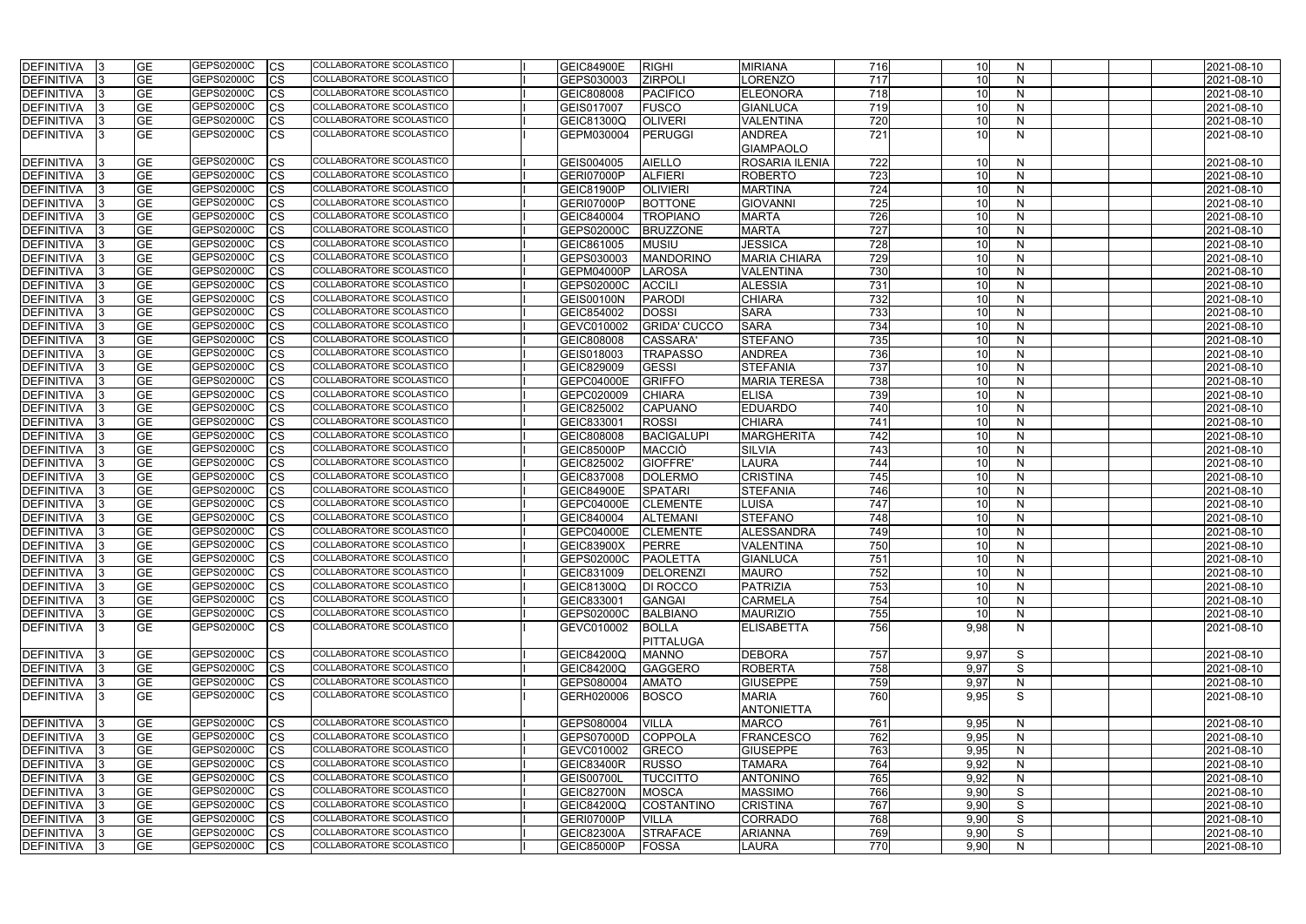| <b>DEFINITIVA</b> | <b>GE</b> | GEPS02000C        | CS        | <b>COLLABORATORE SCOLASTICO</b> | <b>GEIC84900E</b> | <b>RIGHI</b>        | <b>MIRIANA</b>        | 716 | 10   | N            |  | 2021-08-10 |
|-------------------|-----------|-------------------|-----------|---------------------------------|-------------------|---------------------|-----------------------|-----|------|--------------|--|------------|
| <b>DEFINITIVA</b> | <b>GE</b> | GEPS02000C        | СS        | COLLABORATORE SCOLASTICO        | GEPS030003        | <b>ZIRPOLI</b>      | <b>ORENZO</b>         | 717 | 10   | N            |  | 2021-08-10 |
| <b>DEFINITIVA</b> | <b>GE</b> | GEPS02000C        | СS        | <b>COLLABORATORE SCOLASTICO</b> | GEIC808008        | <b>PACIFICO</b>     | <b>ELEONORA</b>       | 718 | 10   | N            |  | 2021-08-10 |
| <b>DEFINITIVA</b> | <b>GE</b> | GEPS02000C        | СS        | COLLABORATORE SCOLASTICO        | GEIS017007        | <b>FUSCO</b>        | <b>GIANLUCA</b>       | 719 | 10   | N            |  | 2021-08-10 |
| DEFINITIVA        | <b>GE</b> | GEPS02000C        | СS        | COLLABORATORE SCOLASTICO        | GEIC81300Q        | <b>OLIVERI</b>      | <b>VALENTINA</b>      | 720 | 10   | N            |  | 2021-08-10 |
| <b>DEFINITIVA</b> | <b>GE</b> | GEPS02000C        | СS        | COLLABORATORE SCOLASTICO        | GEPM030004        | <b>PERUGGI</b>      | ANDREA                | 721 |      | <sup>N</sup> |  | 2021-08-10 |
|                   |           |                   |           |                                 |                   |                     | <b>GIAMPAOLO</b>      |     |      |              |  |            |
| <b>DEFINITIVA</b> | <b>GE</b> | GEPS02000C        | CS        | COLLABORATORE SCOLASTICO        | GEIS004005        | <b>AIELLO</b>       | <b>ROSARIA ILENIA</b> | 722 | 10   | N            |  | 2021-08-10 |
| <b>DEFINITIVA</b> | <b>GE</b> | GEPS02000C        | СS        | COLLABORATORE SCOLASTICO        | GERI07000P        | <b>ALFIERI</b>      | <b>ROBERTO</b>        | 723 | 10   | N            |  | 2021-08-10 |
| <b>DEFINITIVA</b> | <b>GE</b> | GEPS02000C        | СS        | COLLABORATORE SCOLASTICO        | <b>GEIC81900P</b> | <b>OLIVIERI</b>     | <b>MARTINA</b>        | 724 | 10   | N            |  | 2021-08-10 |
| <b>DEFINITIVA</b> | <b>GE</b> | GEPS02000C        | CS        | COLLABORATORE SCOLASTICO        | GERI07000P        | <b>BOTTONE</b>      | <b>GIOVANNI</b>       | 725 |      | N            |  | 2021-08-10 |
| <b>DEFINITIVA</b> | <b>GE</b> | GEPS02000C        | СS        | COLLABORATORE SCOLASTICO        | GEIC840004        | <b>TROPIANO</b>     | <b>MARTA</b>          | 726 |      | N.           |  | 2021-08-10 |
| <b>DEFINITIVA</b> | <b>GE</b> | GEPS02000C        | СS        | COLLABORATORE SCOLASTICO        | GEPS02000C        | <b>BRUZZONE</b>     | <b>MARTA</b>          | 727 |      | N            |  | 2021-08-10 |
| <b>DEFINITIVA</b> | <b>GE</b> | GEPS02000C        | СS        | COLLABORATORE SCOLASTICO        | GEIC861005        | <b>MUSIU</b>        | <b>JESSICA</b>        | 728 | 10   | $\mathsf{N}$ |  | 2021-08-10 |
| <b>DEFINITIVA</b> | <b>GE</b> | GEPS02000C        | СS        | COLLABORATORE SCOLASTICO        | GEPS030003        | <b>MANDORINO</b>    | <b>MARIA CHIARA</b>   | 729 | 10   | N            |  | 2021-08-10 |
| <b>DEFINITIVA</b> | <b>GE</b> | <b>GEPS02000C</b> | СS        | COLLABORATORE SCOLASTICO        | <b>GEPM04000P</b> | <b>LAROSA</b>       | <b>VALENTINA</b>      | 730 | 10   | N            |  | 2021-08-10 |
| <b>DEFINITIVA</b> | <b>GE</b> | GEPS02000C        | СS        | COLLABORATORE SCOLASTICO        | GEPS02000C        | <b>ACCILI</b>       | <b>ALESSIA</b>        | 731 |      | N            |  | 2021-08-10 |
| DEFINITIVA        | <b>GE</b> | GEPS02000C        | СS        | COLLABORATORE SCOLASTICO        | <b>GEIS00100N</b> | <b>PARODI</b>       | <b>CHIARA</b>         | 732 |      | <sup>N</sup> |  | 2021-08-10 |
| <b>DEFINITIVA</b> | <b>GE</b> | GEPS02000C        | СS        | COLLABORATORE SCOLASTICO        | GEIC854002        | <b>DOSSI</b>        | <b>SARA</b>           | 733 |      | N            |  | 2021-08-10 |
| <b>DEFINITIVA</b> | <b>GE</b> | GEPS02000C        | СS        | COLLABORATORE SCOLASTICO        | GEVC010002        | <b>GRIDA' CUCCO</b> | <b>SARA</b>           | 734 | 10   | N            |  | 2021-08-10 |
| <b>DEFINITIVA</b> | <b>GE</b> | GEPS02000C        | СS        | COLLABORATORE SCOLASTICO        | GEIC808008        | <b>CASSARA</b>      | <b>STEFANO</b>        | 735 | 10   | N            |  | 2021-08-10 |
| <b>DEFINITIVA</b> | <b>GE</b> | GEPS02000C        | СS        | <b>COLLABORATORE SCOLASTICO</b> | GEIS018003        | <b>TRAPASSO</b>     | <b>ANDREA</b>         | 736 | 10   | N            |  | 2021-08-10 |
| <b>DEFINITIVA</b> | <b>GE</b> | GEPS02000C        | CS        | <b>COLLABORATORE SCOLASTICO</b> | GEIC829009        | GESSI               | <b>STEFANIA</b>       | 737 |      | $\mathsf{N}$ |  | 2021-08-10 |
| <b>DEFINITIVA</b> | <b>GE</b> | GEPS02000C        | CS        | COLLABORATORE SCOLASTICO        | GEPC04000E        | <b>GRIFFO</b>       | <b>MARIA TERESA</b>   | 738 |      | $\mathsf{N}$ |  | 2021-08-10 |
| <b>DEFINITIVA</b> | <b>GE</b> | GEPS02000C        | СS        | COLLABORATORE SCOLASTICO        | GEPC020009        | <b>CHIARA</b>       | <b>ELISA</b>          | 739 |      | N            |  | 2021-08-10 |
| <b>DEFINITIVA</b> | <b>GE</b> | GEPS02000C        | CS        | COLLABORATORE SCOLASTICO        | GEIC825002        | <b>CAPUANO</b>      | <b>EDUARDO</b>        | 740 |      | N            |  | 2021-08-10 |
| <b>DEFINITIVA</b> | <b>GE</b> | GEPS02000C        | СS        | COLLABORATORE SCOLASTICO        | GEIC833001        | <b>ROSSI</b>        | <b>CHIARA</b>         | 741 |      | $\mathsf{N}$ |  | 2021-08-10 |
| <b>DEFINITIVA</b> | <b>GE</b> | <b>GEPS02000C</b> | СS        | COLLABORATORE SCOLASTICO        | GEIC808008        | <b>BACIGALUPI</b>   | <b>MARGHERITA</b>     | 742 | 10   | <sup>N</sup> |  | 2021-08-10 |
| <b>DEFINITIVA</b> | <b>GE</b> | GEPS02000C        | CS        | COLLABORATORE SCOLASTICO        | <b>GEIC85000P</b> | <b>MACCIÒ</b>       | <b>SILVIA</b>         | 743 |      | N            |  | 2021-08-10 |
| <b>DEFINITIVA</b> | <b>GE</b> | GEPS02000C        | СS        | COLLABORATORE SCOLASTICO        | GEIC825002        | <b>GIOFFRE</b>      | LAURA                 | 744 |      | N            |  | 2021-08-10 |
| <b>DEFINITIVA</b> | <b>GE</b> | GEPS02000C        | СS        | COLLABORATORE SCOLASTICO        | GEIC837008        | <b>DOLERMO</b>      | <b>CRISTINA</b>       | 745 |      | N.           |  | 2021-08-10 |
| <b>DEFINITIVA</b> | <b>GE</b> | GEPS02000C        | CS        | COLLABORATORE SCOLASTICO        | <b>GEIC84900E</b> | <b>SPATARI</b>      | <b>STEFANIA</b>       | 746 | 10   | N            |  | 2021-08-10 |
| <b>DEFINITIVA</b> | <b>GE</b> | GEPS02000C        | СS        | COLLABORATORE SCOLASTICO        | GEPC04000E        | <b>CLEMENTE</b>     | LUISA                 | 747 |      | N            |  | 2021-08-10 |
| <b>DEFINITIVA</b> | <b>GE</b> | GEPS02000C        | СS        | <b>COLLABORATORE SCOLASTICO</b> | GEIC840004        | <b>ALTEMANI</b>     | <b>STEFANO</b>        | 748 |      | N            |  | 2021-08-10 |
| <b>DEFINITIVA</b> | <b>GE</b> | GEPS02000C        | СS        | COLLABORATORE SCOLASTICO        | GEPC04000E        | <b>CLEMENTE</b>     | <b>ALESSANDRA</b>     | 749 |      | N            |  | 2021-08-10 |
| DEFINITIVA        | <b>GE</b> | GEPS02000C        | Ics       | COLLABORATORE SCOLASTICO        | <b>GEIC83900X</b> | <b>PERRE</b>        | <b>VALENTINA</b>      | 750 |      | N            |  | 2021-08-10 |
| <b>DEFINITIVA</b> | <b>GE</b> | GEPS02000C        | <b>CS</b> | COLLABORATORE SCOLASTICO        | GEPS02000C        | <b>PAOLETTA</b>     | <b>GIANLUCA</b>       | 751 |      | <sub>N</sub> |  | 2021-08-10 |
| DEFINITIVA        | <b>GE</b> | GEPS02000C        | <b>CS</b> | COLLABORATORE SCOLASTICO        | GEIC831009        | DELORENZI           | <b>MAURO</b>          | 752 | 10   | N            |  | 2021-08-10 |
| DEFINITIVA        | <b>GE</b> | GEPS02000C        | <b>CS</b> | COLLABORATORE SCOLASTICO        | <b>GEIC81300Q</b> | <b>DI ROCCO</b>     | <b>PATRIZIA</b>       | 753 | 10   | N            |  | 2021-08-10 |
| DEFINITIVA        | <b>GE</b> | GEPS02000C        | СS        | COLLABORATORE SCOLASTICO        | GEIC833001        | <b>GANGAI</b>       | <b>CARMELA</b>        | 754 | 10   | N            |  | 2021-08-10 |
| <b>DEFINITIVA</b> | <b>GE</b> | GEPS02000C        | CS        | COLLABORATORE SCOLASTICO        | GEPS02000C        | <b>BALBIANO</b>     | <b>MAURIZIO</b>       | 755 | 10   | N            |  | 2021-08-10 |
| <b>DEFINITIVA</b> | <b>GE</b> | GEPS02000C        | CS        | COLLABORATORE SCOLASTICO        | GEVC010002        | <b>BOLLA</b>        | <b>ELISABETTA</b>     | 756 | 9,98 | N            |  | 2021-08-10 |
|                   |           |                   |           |                                 |                   | PITTALUGA           |                       |     |      |              |  |            |
| <b>DEFINITIVA</b> | <b>GE</b> | GEPS02000C        | <b>CS</b> | COLLABORATORE SCOLASTICO        | <b>GEIC84200Q</b> | <b>MANNO</b>        | <b>DEBORA</b>         | 757 | 9,97 | S            |  | 2021-08-10 |
| <b>DEFINITIVA</b> | <b>GE</b> | GEPS02000C        | <b>CS</b> | COLLABORATORE SCOLASTICO        | <b>GEIC84200Q</b> | <b>GAGGERO</b>      | <b>ROBERTA</b>        | 758 | 9,97 | S            |  | 2021-08-10 |
| <b>DEFINITIVA</b> | <b>GE</b> | GEPS02000C        | <b>CS</b> | <b>COLLABORATORE SCOLASTICO</b> | GEPS080004        | <b>AMATO</b>        | <b>GIUSEPPE</b>       | 759 | 9,97 | N            |  | 2021-08-10 |
| DEFINITIVA        | <b>GE</b> | GEPS02000C        | ICS.      | COLLABORATORE SCOLASTICO        | GERH020006        | <b>BOSCO</b>        | <b>MARIA</b>          | 760 | 9,95 | S            |  | 2021-08-10 |
|                   |           |                   |           |                                 |                   |                     | <b>ANTONIETTA</b>     |     |      |              |  |            |
| <b>DEFINITIVA</b> | <b>GE</b> | GEPS02000C        | <b>CS</b> | COLLABORATORE SCOLASTICO        | GEPS080004        | <b>VILLA</b>        | <b>MARCO</b>          | 761 | 9,95 | N            |  | 2021-08-10 |
| DEFINITIVA        | <b>GE</b> | GEPS02000C        | CS        | COLLABORATORE SCOLASTICO        | <b>GEPS07000D</b> | <b>COPPOLA</b>      | <b>FRANCESCO</b>      | 762 | 9,95 | $\mathsf{N}$ |  | 2021-08-10 |
| DEFINITIVA        | <b>GE</b> | GEPS02000C        | <b>CS</b> | COLLABORATORE SCOLASTICO        | GEVC010002        | <b>GRECO</b>        | <b>GIUSEPPE</b>       | 763 | 9,95 | $\mathsf{N}$ |  | 2021-08-10 |
| DEFINITIVA        | <b>GE</b> | GEPS02000C        | СS        | COLLABORATORE SCOLASTICO        | <b>GEIC83400R</b> | <b>RUSSO</b>        | <b>TAMARA</b>         | 764 | 9,92 | $\mathsf{N}$ |  | 2021-08-10 |
| DEFINITIVA        | <b>GE</b> | GEPS02000C        | СS        | COLLABORATORE SCOLASTICO        | <b>GEIS00700L</b> | <b>TUCCITTO</b>     | <b>ANTONINO</b>       | 765 | 9,92 | $\mathsf{N}$ |  | 2021-08-10 |
| DEFINITIVA        | <b>GE</b> | GEPS02000C        | CS        | COLLABORATORE SCOLASTICO        | GEIC82700N        | <b>MOSCA</b>        | <b>MASSIMO</b>        | 766 | 9,90 | S            |  | 2021-08-10 |
| <b>DEFINITIVA</b> | <b>GE</b> | GEPS02000C        | CS        | COLLABORATORE SCOLASTICO        | <b>GEIC84200Q</b> | <b>COSTANTINO</b>   | <b>CRISTINA</b>       | 767 | 9,90 | S            |  | 2021-08-10 |
| <b>DEFINITIVA</b> | <b>GE</b> | GEPS02000C        | <b>CS</b> | COLLABORATORE SCOLASTICO        | GERI07000P        | <b>VILLA</b>        | <b>CORRADO</b>        | 768 | 9,90 | S            |  | 2021-08-10 |
| <b>DEFINITIVA</b> | <b>GE</b> | GEPS02000C        | <b>CS</b> | COLLABORATORE SCOLASTICO        | <b>GEIC82300A</b> | <b>STRAFACE</b>     | <b>ARIANNA</b>        | 769 | 9,90 | S            |  | 2021-08-10 |
| DEFINITIVA        | <b>GE</b> | GEPS02000C        | <b>CS</b> | COLLABORATORE SCOLASTICO        | GEIC85000P        | <b>FOSSA</b>        | <b>LAURA</b>          | 770 | 9,90 | $\mathsf{N}$ |  | 2021-08-10 |
|                   |           |                   |           |                                 |                   |                     |                       |     |      |              |  |            |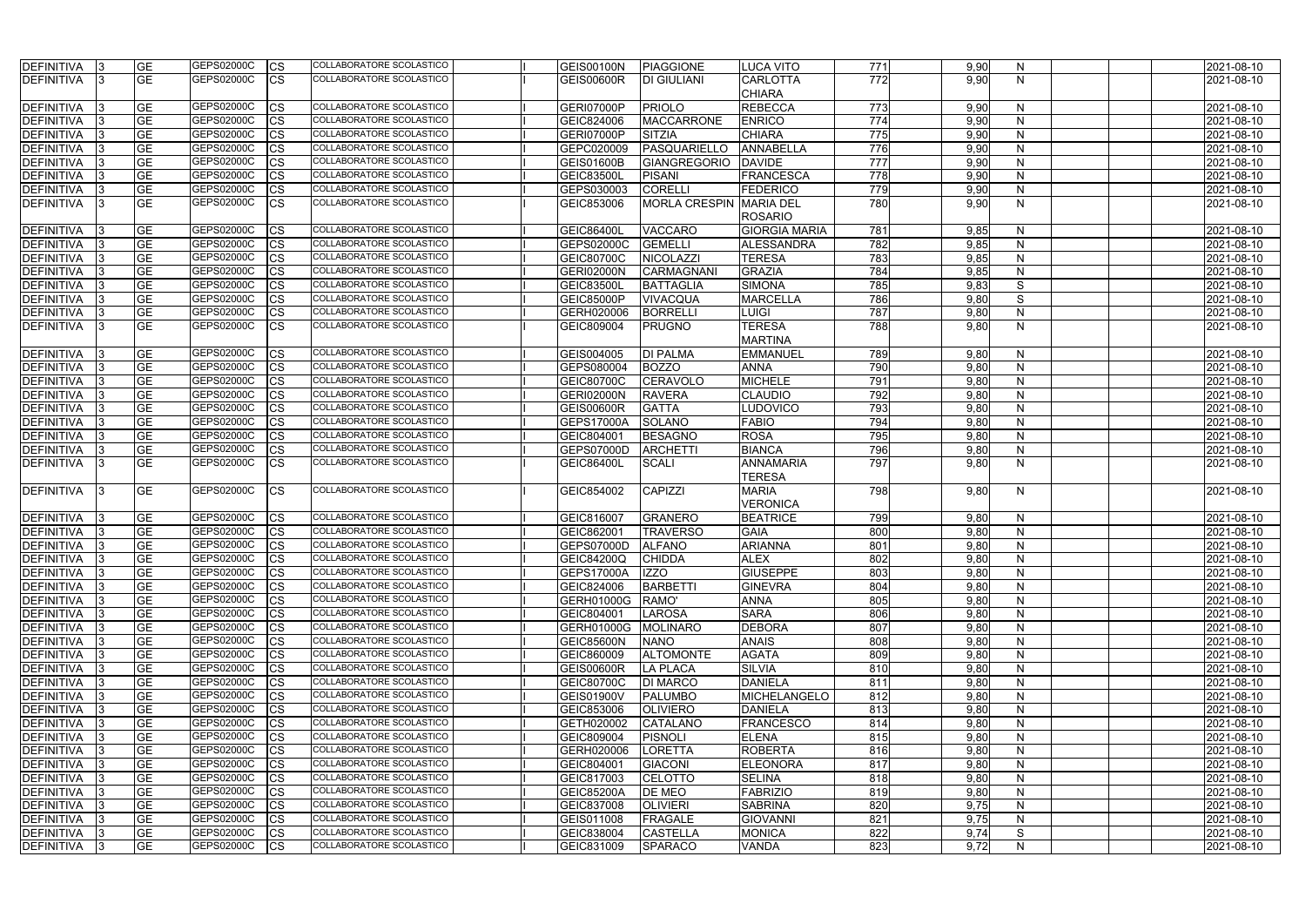| <b>DEFINITIVA</b>                      | <b>GE</b>              | GEPS02000C        | <b>CS</b>       | COLLABORATORE SCOLASTICO        | <b>GEIS00100N</b> | <b>PIAGGIONE</b>                 | LUCA VITO                     | 771        | 9,90 | N                 | 2021-08-10 |
|----------------------------------------|------------------------|-------------------|-----------------|---------------------------------|-------------------|----------------------------------|-------------------------------|------------|------|-------------------|------------|
| <b>DEFINITIVA</b>                      | <b>GE</b>              | GEPS02000C        | <b>CS</b>       | COLLABORATORE SCOLASTICO        | <b>GEIS00600R</b> | <b>DI GIULIANI</b>               | <b>CARLOTTA</b>               | 772        | 9,90 | N                 | 2021-08-10 |
|                                        |                        |                   |                 |                                 |                   |                                  | <b>CHIARA</b>                 |            |      |                   |            |
| <b>DEFINITIVA</b>                      | <b>GE</b>              | GEPS02000C        | CS              | COLLABORATORE SCOLASTICO        | <b>GERI07000P</b> | <b>PRIOLO</b>                    | <b>REBECCA</b>                | 773        | 9,90 | N                 | 2021-08-10 |
| <b>DEFINITIVA</b>                      | <b>GE</b>              | GEPS02000C        | lCS             | COLLABORATORE SCOLASTICO        | GEIC824006        | <b>MACCARRONE</b>                | <b>ENRICO</b>                 | 774        | 9,90 | $\mathsf{N}$      | 2021-08-10 |
| DEFINITIVA                             | <b>GE</b>              | GEPS02000C        | CS              | COLLABORATORE SCOLASTICO        | <b>GERI07000P</b> | <b>SITZIA</b>                    | <b>CHIARA</b>                 | 775        | 9,90 | N                 | 2021-08-10 |
| <b>DEFINITIVA</b>                      | <b>GE</b>              | GEPS02000C        | <b>CS</b>       | COLLABORATORE SCOLASTICO        | GEPC020009        | PASQUARIELLO                     | ANNABELLA                     | 776        | 9,90 | $\mathsf{N}$      | 2021-08-10 |
| <b>DEFINITIVA</b>                      | <b>GE</b>              | GEPS02000C        | <b>CS</b>       | COLLABORATORE SCOLASTICO        | GEIS01600B        | <b>GIANGREGORIO</b>              | <b>DAVIDE</b>                 | 777        | 9,90 | N                 | 2021-08-10 |
| DEFINITIVA                             | <b>GE</b>              | GEPS02000C        | <b>CS</b>       | COLLABORATORE SCOLASTICO        | GEIC83500L        | <b>PISANI</b>                    | <b>FRANCESCA</b>              | 778        | 9,90 | N                 | 2021-08-10 |
| <b>DEFINITIVA</b>                      | <b>GE</b>              | GEPS02000C        | CS              | COLLABORATORE SCOLASTICO        | GEPS030003        | <b>CORELLI</b>                   | <b>FEDERICO</b>               | 779        | 9,90 | $\mathsf{N}$      | 2021-08-10 |
| <b>DEFINITIVA</b>                      | <b>GE</b>              | GEPS02000C        | <b>CS</b>       | COLLABORATORE SCOLASTICO        | GEIC853006        | <b>MORLA CRESPIN</b>             | <b>MARIA DEL</b>              | 780        | 9,90 | $\mathsf{N}$      | 2021-08-10 |
|                                        |                        |                   |                 |                                 |                   |                                  | <b>ROSARIO</b>                |            |      |                   |            |
| <b>DEFINITIVA</b>                      | <b>GE</b>              | GEPS02000C        | <b>CS</b>       | COLLABORATORE SCOLASTICO        | <b>GEIC86400L</b> | <b>VACCARO</b>                   | <b>GIORGIA MARIA</b>          | 781        | 9,85 | N                 | 2021-08-10 |
| <b>DEFINITIVA</b>                      | <b>GE</b>              | GEPS02000C        | CS              | COLLABORATORE SCOLASTICO        | GEPS02000C        | <b>GEMELLI</b>                   | <b>ALESSANDRA</b>             | 782        | 9,85 | $\mathsf{N}$      | 2021-08-10 |
| <b>DEFINITIVA</b>                      | <b>GE</b>              | GEPS02000C        | CS              | COLLABORATORE SCOLASTICO        | <b>GEIC80700C</b> | <b>NICOLAZZI</b>                 | <b>TERESA</b>                 | 783        | 9,85 | N                 | 2021-08-10 |
| <b>DEFINITIVA</b>                      | <b>GE</b>              | GEPS02000C        | СS              | COLLABORATORE SCOLASTICO        | <b>GERI02000N</b> | CARMAGNANI                       | <b>GRAZIA</b>                 | 784        | 9,85 | N                 | 2021-08-10 |
| <b>DEFINITIVA</b>                      | <b>GE</b>              | GEPS02000C        | CS              | COLLABORATORE SCOLASTICO        | <b>GEIC83500L</b> | <b>BATTAGLIA</b>                 | <b>SIMONA</b>                 | 785        | 9,83 | S                 | 2021-08-10 |
| <b>DEFINITIVA</b>                      | <b>GE</b>              | GEPS02000C        | <b>CS</b>       | COLLABORATORE SCOLASTICO        | <b>GEIC85000P</b> | <b>VIVACQUA</b>                  | <b>MARCELLA</b>               | 786        | 9,80 | S                 | 2021-08-10 |
|                                        |                        | GEPS02000C        |                 | COLLABORATORE SCOLASTICO        |                   |                                  |                               |            |      |                   |            |
| <b>DEFINITIVA</b><br><b>DEFINITIVA</b> | <b>GE</b><br><b>GE</b> | GEPS02000C        | CS<br><b>CS</b> | <b>COLLABORATORE SCOLASTICO</b> | GERH020006        | <b>BORRELLI</b><br><b>PRUGNO</b> | <b>LUIGI</b><br><b>TERESA</b> | 787<br>788 | 9,80 | N<br>$\mathsf{N}$ | 2021-08-10 |
|                                        |                        |                   |                 |                                 | GEIC809004        |                                  |                               |            | 9,80 |                   | 2021-08-10 |
|                                        |                        |                   |                 |                                 |                   |                                  | <b>MARTINA</b>                |            |      |                   |            |
| <b>DEFINITIVA</b>                      | <b>GE</b>              | GEPS02000C        | <b>CS</b>       | COLLABORATORE SCOLASTICO        | GEIS004005        | <b>DI PALMA</b>                  | <b>EMMANUEL</b>               | 789        | 9,80 | N                 | 2021-08-10 |
| <b>DEFINITIVA</b>                      | <b>GE</b>              | <b>GEPS02000C</b> | <b>CS</b>       | <b>COLLABORATORE SCOLASTICO</b> | GEPS080004        | <b>BOZZO</b>                     | <b>ANNA</b>                   | 790        | 9,80 | ${\sf N}$         | 2021-08-10 |
| <b>DEFINITIVA</b>                      | <b>GE</b>              | GEPS02000C        | <b>CS</b>       | COLLABORATORE SCOLASTICO        | <b>GEIC80700C</b> | <b>CERAVOLO</b>                  | <b>MICHELE</b>                | 791        | 9,80 | $\mathsf{N}$      | 2021-08-10 |
| <b>DEFINITIVA</b>                      | <b>GE</b>              | GEPS02000C        | CS              | COLLABORATORE SCOLASTICO        | <b>GERI02000N</b> | <b>RAVERA</b>                    | <b>CLAUDIO</b>                | 792        | 9,80 | N                 | 2021-08-10 |
| DEFINITIVA                             | <b>GE</b>              | GEPS02000C        | CS              | COLLABORATORE SCOLASTICO        | <b>GEIS00600R</b> | <b>GATTA</b>                     | <b>LUDOVICO</b>               | 793        | 9,80 | $\mathsf{N}$      | 2021-08-10 |
| <b>DEFINITIVA</b>                      | <b>GE</b>              | GEPS02000C        | CS              | COLLABORATORE SCOLASTICO        | <b>GEPS17000A</b> | <b>SOLANO</b>                    | <b>FABIO</b>                  | 794        | 9,80 | N                 | 2021-08-10 |
| <b>DEFINITIVA</b>                      | <b>GE</b>              | GEPS02000C        | СS              | COLLABORATORE SCOLASTICO        | GEIC804001        | <b>BESAGNO</b>                   | <b>ROSA</b>                   | 795        | 9,80 | N                 | 2021-08-10 |
| <b>DEFINITIVA</b>                      | <b>GE</b>              | GEPS02000C        | CS              | COLLABORATORE SCOLASTICO        | <b>GEPS07000D</b> | <b>ARCHETTI</b>                  | <b>BIANCA</b>                 | 796        | 9,80 | $\mathsf{N}$      | 2021-08-10 |
| DEFINITIVA                             | <b>GE</b>              | GEPS02000C        | <b>CS</b>       | COLLABORATORE SCOLASTICO        | <b>GEIC86400L</b> | <b>SCALI</b>                     | <b>ANNAMARIA</b>              | 797        | 9,80 | N                 | 2021-08-10 |
|                                        |                        |                   |                 |                                 |                   |                                  | <b>TERESA</b>                 |            |      |                   |            |
| <b>DEFINITIVA</b>                      | <b>GE</b>              | GEPS02000C        | <b>CS</b>       | COLLABORATORE SCOLASTICO        | GEIC854002        | <b>CAPIZZI</b>                   | <b>MARIA</b>                  | 798        | 9,80 | N                 | 2021-08-10 |
|                                        |                        |                   |                 |                                 |                   |                                  | <b>VERONICA</b>               |            |      |                   |            |
| <b>DEFINITIVA</b>                      | <b>GE</b>              | GEPS02000C        | CS              | COLLABORATORE SCOLASTICO        | GEIC816007        | <b>GRANERO</b>                   | <b>BEATRICE</b>               | 799        | 9,80 | N                 | 2021-08-10 |
| <b>DEFINITIVA</b>                      | $\overline{GE}$        | GEPS02000C        | CS              | <b>COLLABORATORE SCOLASTICO</b> | GEIC862001        | <b>TRAVERSO</b>                  | <b>GAIA</b>                   | 800        | 9,80 | $\mathsf{N}$      | 2021-08-10 |
| <b>DEFINITIVA</b>                      | <b>IGE</b>             | GEPS02000C        | <b>CS</b>       | COLLABORATORE SCOLASTICO        | <b>GEPS07000D</b> | <b>ALFANO</b>                    | <b>ARIANNA</b>                | 801        | 9.80 | N                 | 2021-08-10 |
| <b>DEFINITIVA</b>                      | <b>GE</b>              | GEPS02000C        | <b>CS</b>       | COLLABORATORE SCOLASTICO        | <b>GEIC84200Q</b> | <b>CHIDDA</b>                    | <b>ALEX</b>                   | 802        | 9,80 | N                 | 2021-08-10 |
| <b>DEFINITIVA</b>                      | <b>GE</b>              | GEPS02000C        | <b>CS</b>       | COLLABORATORE SCOLASTICO        | <b>GEPS17000A</b> | <b>IZZO</b>                      | <b>GIUSEPPE</b>               | 803        | 9,80 | $\mathsf{N}$      | 2021-08-10 |
| DEFINITIVA                             | <b>GE</b>              | GEPS02000C        | <b>CS</b>       | COLLABORATORE SCOLASTICO        | GEIC824006        | <b>BARBETTI</b>                  | <b>GINEVRA</b>                | 804        | 9,80 | $\mathsf{N}$      | 2021-08-10 |
| DEFINITIVA                             | <b>GE</b>              | GEPS02000C        | <b>CS</b>       | COLLABORATORE SCOLASTICO        | <b>GERH01000G</b> | RAMO'                            | <b>ANNA</b>                   | 805        | 9,80 | N                 | 2021-08-10 |
| DEFINITIVA                             | <b>GE</b>              | GEPS02000C        | <b>CS</b>       | <b>COLLABORATORE SCOLASTICO</b> | GEIC804001        | <b>LAROSA</b>                    | <b>SARA</b>                   | 806        | 9,80 | N                 | 2021-08-10 |
| <b>DEFINITIVA</b>                      | <b>GE</b>              | GEPS02000C        | <b>ICS</b>      | COLLABORATORE SCOLASTICO        | <b>GERH01000G</b> | <b>MOLINARO</b>                  | <b>DEBORA</b>                 | 807        | 9,80 | N                 | 2021-08-10 |
| <b>DEFINITIVA</b>                      | <b>GE</b>              | GEPS02000C        | <b>CS</b>       | COLLABORATORE SCOLASTICO        | <b>GEIC85600N</b> | <b>NANO</b>                      | <b>ANAIS</b>                  | 808        | 9,80 | N                 | 2021-08-10 |
| <b>DEFINITIVA</b>                      | <b>GE</b>              | GEPS02000C        | <b>CS</b>       | <b>COLLABORATORE SCOLASTICO</b> | GEIC860009        | <b>ALTOMONTE</b>                 | <b>AGATA</b>                  | 809        | 9,80 | N                 | 2021-08-10 |
| <b>DEFINITIVA</b>                      | <b>GE</b>              | GEPS02000C        | <b>CS</b>       | COLLABORATORE SCOLASTICO        | <b>GEIS00600R</b> | LA PLACA                         | <b>SILVIA</b>                 | 810        | 9,80 | N                 | 2021-08-10 |
| <b>DEFINITIVA</b>                      | <b>GE</b>              | GEPS02000C        | <b>CS</b>       | COLLABORATORE SCOLASTICO        | <b>GEIC80700C</b> | <b>DI MARCO</b>                  | <b>DANIELA</b>                | 811        | 9,80 | N                 | 2021-08-10 |
| DEFINITIVA                             | <b>GE</b>              | GEPS02000C        | <b>CS</b>       | COLLABORATORE SCOLASTICO        | <b>GEIS01900V</b> | <b>PALUMBO</b>                   | <b>MICHELANGELO</b>           | 812        | 9,80 | N                 | 2021-08-10 |
| <b>DEFINITIVA</b>                      | <b>GE</b>              | GEPS02000C        | <b>CS</b>       | COLLABORATORE SCOLASTICO        | GEIC853006        | <b>OLIVIERO</b>                  | <b>DANIELA</b>                | 813        | 9,80 | $\mathsf{N}$      | 2021-08-10 |
| <b>DEFINITIVA</b>                      | <b>GE</b>              | GEPS02000C        | <b>CS</b>       | COLLABORATORE SCOLASTICO        | GETH020002        | <b>CATALANO</b>                  | <b>FRANCESCO</b>              | 814        | 9,80 | N                 | 2021-08-10 |
| DEFINITIVA                             | <b>GE</b>              | GEPS02000C        | <b>CS</b>       | COLLABORATORE SCOLASTICO        | GEIC809004        | <b>PISNOLI</b>                   | <b>ELENA</b>                  | 815        | 9,80 | N                 | 2021-08-10 |
| DEFINITIVA                             | <b>GE</b>              | GEPS02000C        | <b>CS</b>       | COLLABORATORE SCOLASTICO        | GERH020006        | <b>LORETTA</b>                   | <b>ROBERTA</b>                | 816        | 9,80 | N                 | 2021-08-10 |
| DEFINITIVA                             | <b>GE</b>              | GEPS02000C        | CS              | COLLABORATORE SCOLASTICO        |                   | <b>GIACONI</b>                   | <b>ELEONORA</b>               | 817        | 9,80 | N                 | 2021-08-10 |
|                                        |                        | GEPS02000C        |                 | COLLABORATORE SCOLASTICO        | GEIC804001        |                                  |                               |            |      |                   |            |
| DEFINITIVA                             | <b>GE</b>              |                   | CS              |                                 | GEIC817003        | <b>CELOTTO</b>                   | <b>SELINA</b>                 | 818        | 9,80 | N                 | 2021-08-10 |
| DEFINITIVA                             | <b>GE</b>              | GEPS02000C        | <b>CS</b>       | COLLABORATORE SCOLASTICO        | <b>GEIC85200A</b> | DE MEO                           | <b>FABRIZIO</b>               | 819        | 9,80 | N                 | 2021-08-10 |
| <b>DEFINITIVA</b>                      | <b>GE</b>              | GEPS02000C        | <b>ICS</b>      | COLLABORATORE SCOLASTICO        | GEIC837008        | <b>OLIVIERI</b>                  | <b>SABRINA</b>                | 820        | 9,75 | N                 | 2021-08-10 |
| <b>DEFINITIVA</b>                      | <b>GE</b>              | GEPS02000C        | <b>CS</b>       | COLLABORATORE SCOLASTICO        | GEIS011008        | <b>FRAGALE</b>                   | <b>GIOVANNI</b>               | 821        | 9,75 | N                 | 2021-08-10 |
| DEFINITIVA 3                           | <b>GE</b>              | GEPS02000C        | <b>CS</b>       | COLLABORATORE SCOLASTICO        | GEIC838004        | <b>CASTELLA</b>                  | <b>MONICA</b>                 | 822        | 9,74 | S                 | 2021-08-10 |
| DEFINITIVA 3                           | <b>GE</b>              | GEPS02000C        | <b>CS</b>       | COLLABORATORE SCOLASTICO        | GEIC831009        | <b>SPARACO</b>                   | <b>VANDA</b>                  | 823        | 9,72 | $\mathsf{N}$      | 2021-08-10 |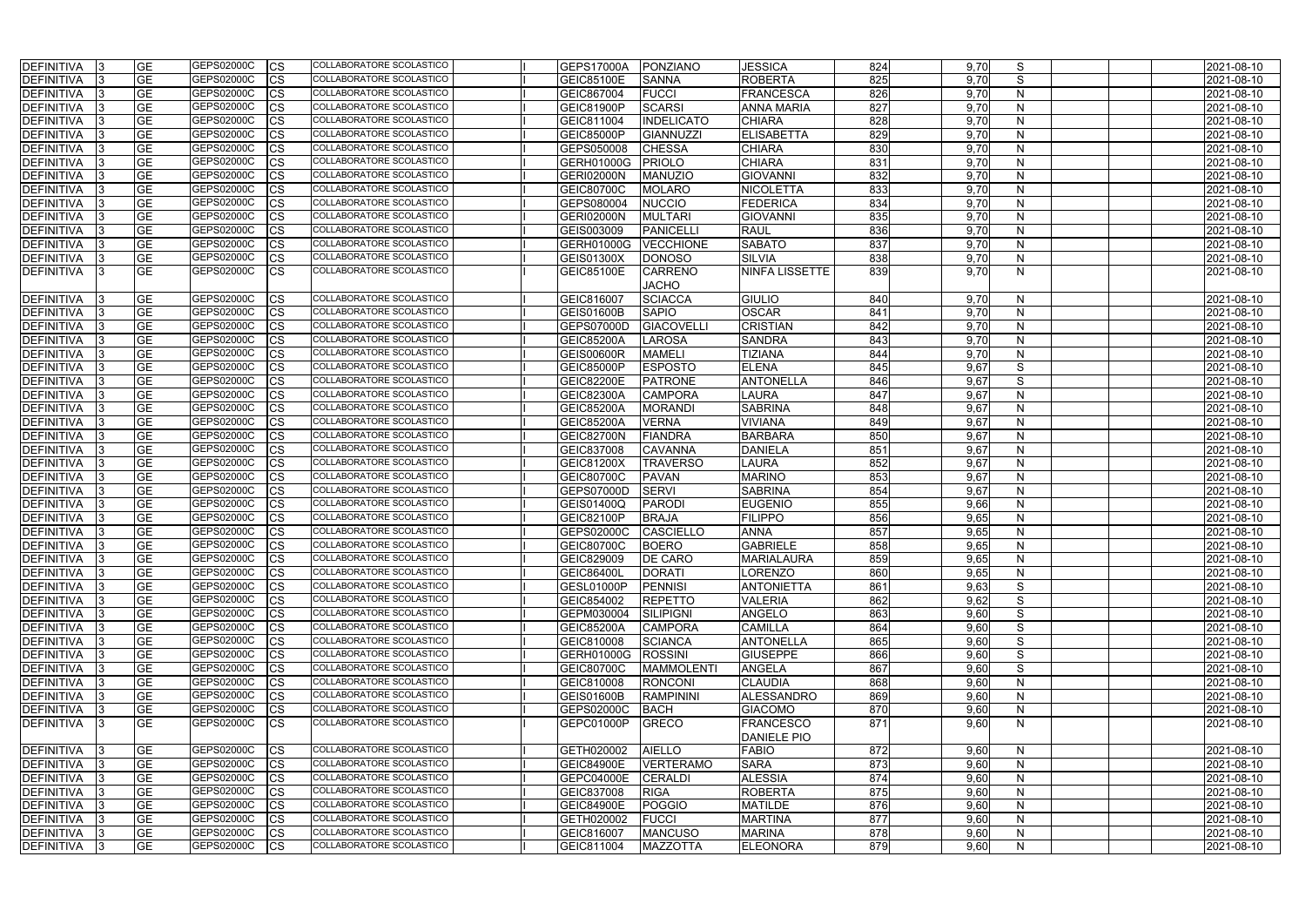| DEFINITIVA 3              |     | <b>GE</b>  | GEPS02000C | <b>CS</b>  | COLLABORATORE SCOLASTICO                                    | <b>GEPS17000A</b> | PONZIANO          | <b>JESSICA</b>        | 824 | 9,70         | S                 |  | 2021-08-10 |
|---------------------------|-----|------------|------------|------------|-------------------------------------------------------------|-------------------|-------------------|-----------------------|-----|--------------|-------------------|--|------------|
| DEFINITIVA                |     | <b>GE</b>  | GEPS02000C | <b>CS</b>  | COLLABORATORE SCOLASTICO                                    | <b>GEIC85100E</b> | <b>SANNA</b>      | <b>ROBERTA</b>        | 825 | 9,70         | S                 |  | 2021-08-10 |
| DEFINITIVA                |     | <b>GE</b>  | GEPS02000C | <b>CS</b>  | COLLABORATORE SCOLASTICO                                    | GEIC867004        | FUCCI             | <b>FRANCESCA</b>      | 826 | 9,70         | N                 |  | 2021-08-10 |
| DEFINITIVA                |     | <b>GE</b>  | GEPS02000C | <b>CS</b>  | COLLABORATORE SCOLASTICO                                    | GEIC81900P        | <b>SCARSI</b>     | <b>ANNA MARIA</b>     | 827 | 9,70         | N                 |  | 2021-08-10 |
| DEFINITIVA                |     | <b>GE</b>  | GEPS02000C | <b>CS</b>  | COLLABORATORE SCOLASTICO                                    | GEIC811004        | <b>INDELICATO</b> | <b>CHIARA</b>         | 828 | 9,70         | N                 |  | 2021-08-10 |
| DEFINITIVA                |     | <b>GE</b>  | GEPS02000C | <b>CS</b>  | COLLABORATORE SCOLASTICO                                    | <b>GEIC85000P</b> | GIANNUZZI         | <b>ELISABETTA</b>     | 829 | 9,70         | N                 |  | 2021-08-10 |
| DEFINITIVA                |     | <b>GE</b>  | GEPS02000C | <b>CS</b>  | COLLABORATORE SCOLASTICO                                    | GEPS050008        | <b>CHESSA</b>     | <b>CHIARA</b>         | 830 | 9,70         | N                 |  | 2021-08-10 |
| <b>DEFINITIVA</b>         |     | <b>GE</b>  | GEPS02000C | <b>CS</b>  | COLLABORATORE SCOLASTICO                                    | GERH01000G        | PRIOLO            | <b>CHIARA</b>         | 831 | 9,70         | N                 |  | 2021-08-10 |
| <b>DEFINITIVA</b>         |     | <b>GE</b>  | GEPS02000C | <b>CS</b>  | COLLABORATORE SCOLASTICO                                    | <b>GERI02000N</b> | <b>MANUZIO</b>    | <b>GIOVANNI</b>       | 832 | 9,70         | N                 |  | 2021-08-10 |
| DEFINITIVA                |     | <b>GE</b>  | GEPS02000C | <b>CS</b>  | COLLABORATORE SCOLASTICO                                    | <b>GEIC80700C</b> | <b>MOLARO</b>     | <b>NICOLETTA</b>      | 833 | 9,70         | N                 |  | 2021-08-10 |
| <b>DEFINITIVA</b>         |     | <b>GE</b>  | GEPS02000C | <b>CS</b>  | <b>COLLABORATORE SCOLASTICO</b>                             | GEPS080004        | <b>NUCCIO</b>     | <b>FEDERICA</b>       | 834 | 9,70         | N                 |  | 2021-08-10 |
| DEFINITIVA                |     | <b>GE</b>  | GEPS02000C | <b>CS</b>  | COLLABORATORE SCOLASTICO                                    | <b>GERI02000N</b> | <b>MULTARI</b>    | <b>GIOVANNI</b>       | 835 | 9,70         | N                 |  | 2021-08-10 |
| DEFINITIVA                |     | <b>GE</b>  | GEPS02000C | <b>CS</b>  | COLLABORATORE SCOLASTICO                                    | GEIS003009        | PANICELLI         | <b>RAUL</b>           | 836 | 9,70         | N                 |  | 2021-08-10 |
| DEFINITIVA                |     | <b>GE</b>  | GEPS02000C | <b>CS</b>  | COLLABORATORE SCOLASTICO                                    | <b>GERH01000G</b> | <b>VECCHIONE</b>  | <b>SABATO</b>         | 837 | 9,70         | $\mathsf{N}$      |  | 2021-08-10 |
| DEFINITIVA                |     | <b>GE</b>  | GEPS02000C | <b>CS</b>  | COLLABORATORE SCOLASTICO                                    | <b>GEIS01300X</b> | <b>IDONOSO</b>    | <b>SILVIA</b>         | 838 | 9,70         | N                 |  | 2021-08-10 |
| <b>DEFINITIVA</b>         |     | <b>GE</b>  | GEPS02000C | <b>CS</b>  | COLLABORATORE SCOLASTICO                                    | <b>GEIC85100E</b> | <b>CARRENO</b>    | <b>NINFA LISSETTE</b> | 839 | 9,70         | N                 |  | 2021-08-10 |
|                           |     |            |            |            |                                                             |                   | <b>JACHO</b>      |                       |     |              |                   |  |            |
| <b>DEFINITIVA</b>         |     | <b>IGE</b> | GEPS02000C | <b>CS</b>  | COLLABORATORE SCOLASTICO                                    | GEIC816007        | <b>SCIACCA</b>    | <b>GIULIO</b>         | 840 | 9,70         | N                 |  | 2021-08-10 |
| DEFINITIVA                |     | <b>GE</b>  | GEPS02000C | <b>CS</b>  | COLLABORATORE SCOLASTICO                                    | <b>GEIS01600B</b> | <b>SAPIO</b>      | <b>OSCAR</b>          | 841 | 9,70         | N                 |  | 2021-08-10 |
| DEFINITIVA                |     | <b>GE</b>  | GEPS02000C | <b>CS</b>  | COLLABORATORE SCOLASTICO                                    | GEPS07000D        | <b>GIACOVELLI</b> | <b>CRISTIAN</b>       | 842 | 9,70         | $\mathsf{N}$      |  | 2021-08-10 |
| <b>DEFINITIVA</b>         |     | <b>GE</b>  | GEPS02000C | <b>CS</b>  | COLLABORATORE SCOLASTICO                                    | <b>GEIC85200A</b> | <b>LAROSA</b>     | <b>SANDRA</b>         | 843 | 9,70         | N                 |  | 2021-08-10 |
| DEFINITIVA                |     | <b>GE</b>  | GEPS02000C | <b>CS</b>  | <b>COLLABORATORE SCOLASTICO</b>                             | <b>GEIS00600R</b> | <b>MAMELI</b>     | <b>TIZIANA</b>        | 844 | 9,70         | N                 |  | 2021-08-10 |
| <b>DEFINITIVA</b>         |     | <b>GE</b>  | GEPS02000C | <b>CS</b>  | COLLABORATORE SCOLASTICO                                    | <b>GEIC85000P</b> | <b>ESPOSTO</b>    | <b>ELENA</b>          | 845 | 9,67         | S                 |  | 2021-08-10 |
| DEFINITIVA                |     | <b>GE</b>  | GEPS02000C | <b>CS</b>  | COLLABORATORE SCOLASTICO                                    | <b>GEIC82200E</b> | PATRONE           | <b>ANTONELLA</b>      | 846 | 9,67         | S                 |  | 2021-08-10 |
|                           |     | <b>GE</b>  | GEPS02000C | <b>CS</b>  | COLLABORATORE SCOLASTICO                                    | <b>GEIC82300A</b> | <b>CAMPORA</b>    | <b>LAURA</b>          | 847 |              |                   |  | 2021-08-10 |
| DEFINITIVA                |     | <b>GE</b>  | GEPS02000C | <b>CS</b>  | COLLABORATORE SCOLASTICO                                    |                   | <b>MORANDI</b>    | <b>SABRINA</b>        | 848 | 9,67<br>9,67 | N<br>$\mathsf{N}$ |  |            |
| DEFINITIVA                |     | <b>GE</b>  | GEPS02000C | <b>CS</b>  | COLLABORATORE SCOLASTICO                                    | <b>GEIC85200A</b> | <b>VERNA</b>      |                       | 849 |              | $\mathsf{N}$      |  | 2021-08-10 |
| DEFINITIVA                |     |            | GEPS02000C |            | COLLABORATORE SCOLASTICO                                    | <b>GEIC85200A</b> |                   | <b>VIVIANA</b>        |     | 9,67         |                   |  | 2021-08-10 |
| DEFINITIVA                |     | <b>GE</b>  | GEPS02000C | <b>CS</b>  | COLLABORATORE SCOLASTICO                                    | GEIC82700N        | <b>FIANDRA</b>    | <b>BARBARA</b>        | 850 | 9,67         | N                 |  | 2021-08-10 |
| DEFINITIVA                |     | <b>GE</b>  | GEPS02000C | <b>CS</b>  | COLLABORATORE SCOLASTICO                                    | GEIC837008        | <b>CAVANNA</b>    | <b>DANIELA</b>        | 851 | 9,67         | $\mathsf{N}$      |  | 2021-08-10 |
| <b>DEFINITIVA</b>         |     | <b>GE</b>  |            | <b>CS</b>  |                                                             | GEIC81200X        | <b>TRAVERSO</b>   | <b>LAURA</b>          | 852 | 9,67         | $\mathsf{N}$      |  | 2021-08-10 |
| DEFINITIVA                |     | <b>GE</b>  | GEPS02000C | <b>CS</b>  | COLLABORATORE SCOLASTICO<br><b>COLLABORATORE SCOLASTICO</b> | <b>GEIC80700C</b> | <b>PAVAN</b>      | <b>MARINO</b>         | 853 | 9,67         | N                 |  | 2021-08-10 |
| <b>DEFINITIVA</b>         |     | <b>GE</b>  | GEPS02000C | <b>CS</b>  | <b>COLLABORATORE SCOLASTICO</b>                             | GEPS07000D        | SERVI             | <b>SABRINA</b>        | 854 | 9,67         | $\mathsf{N}$      |  | 2021-08-10 |
| <b>DEFINITIVA</b>         |     | <b>GE</b>  | GEPS02000C | <b>CS</b>  |                                                             | GEIS01400Q        | PARODI            | <b>EUGENIO</b>        | 855 | 9,66         | $\mathsf{N}$      |  | 2021-08-10 |
| <b>DEFINITIVA</b>         |     | <b>GE</b>  | GEPS02000C | <b>CS</b>  | <b>COLLABORATORE SCOLASTICO</b>                             | <b>GEIC82100P</b> | <b>BRAJA</b>      | <b>FILIPPO</b>        | 856 | 9,65         | N                 |  | 2021-08-10 |
| DEFINITIVA                |     | <b>GE</b>  | GEPS02000C | <b>CS</b>  | <b>COLLABORATORE SCOLASTICO</b>                             | GEPS02000C        | <b>CASCIELLO</b>  | <b>ANNA</b>           | 857 | 9,65         | N                 |  | 2021-08-10 |
| DEFINITIVA                |     | <b>IGE</b> | GEPS02000C | <b>CS</b>  | COLLABORATORE SCOLASTICO                                    | GEIC80700C        | <b>BOERO</b>      | <b>GABRIELE</b>       | 858 | 9.65         | N                 |  | 2021-08-10 |
| DEFINITIVA  3             |     | <b>GE</b>  | GEPS02000C | <b>CS</b>  | COLLABORATORE SCOLASTICO                                    | GEIC829009        | <b>DE CARO</b>    | <b>MARIALAURA</b>     | 859 | 9,65         | N                 |  | 2021-08-10 |
| DEFINITIVA 3              |     | <b>GE</b>  | GEPS02000C | <b>CS</b>  | COLLABORATORE SCOLASTICO                                    | <b>GEIC86400L</b> | <b>DORATI</b>     | <b>LORENZO</b>        | 860 | 9,65         | $\mathsf{N}$      |  | 2021-08-10 |
| DEFINITIVA 3              |     | <b>GE</b>  | GEPS02000C | <b>CS</b>  | COLLABORATORE SCOLASTICO                                    | GESL01000P        | <b>PENNISI</b>    | <b>ANTONIETTA</b>     | 861 | 9,63         | S                 |  | 2021-08-10 |
| DEFINITIVA                |     | <b>GE</b>  | GEPS02000C | <b>CS</b>  | COLLABORATORE SCOLASTICO                                    | GEIC854002        | <b>REPETTO</b>    | <b>VALERIA</b>        | 862 | 9,62         | S                 |  | 2021-08-10 |
| DEFINITIVA 3              |     | <b>GE</b>  | GEPS02000C | <b>CS</b>  | COLLABORATORE SCOLASTICO                                    | GEPM030004        | SILIPIGNI         | <b>ANGELO</b>         | 863 | 9,60         | S                 |  | 2021-08-10 |
| DEFINITIVA 3              |     | <b>GE</b>  | GEPS02000C | <b>CS</b>  | COLLABORATORE SCOLASTICO                                    | <b>GEIC85200A</b> | <b>CAMPORA</b>    | <b>CAMILLA</b>        | 864 | 9,60         | S                 |  | 2021-08-10 |
| DEFINITIVA                |     | <b>GE</b>  | GEPS02000C | <b>CS</b>  | COLLABORATORE SCOLASTICO                                    | GEIC810008        | <b>SCIANCA</b>    | <b>ANTONELLA</b>      | 865 | 9,60         | S                 |  | 2021-08-10 |
| DEFINITIVA                | -13 | <b>GE</b>  | GEPS02000C | <b>CS</b>  | COLLABORATORE SCOLASTICO                                    | <b>GERH01000G</b> | <b>ROSSINI</b>    | <b>GIUSEPPE</b>       | 866 | 9,60         | S                 |  | 2021-08-10 |
| DEFINITIVA                |     | <b>GE</b>  | GEPS02000C | <b>CS</b>  | COLLABORATORE SCOLASTICO                                    | <b>GEIC80700C</b> | <b>MAMMOLENTI</b> | <b>ANGELA</b>         | 867 | 9,60         | S                 |  | 2021-08-10 |
| DEFINITIVA                |     | <b>GE</b>  | GEPS02000C | <b>CS</b>  | COLLABORATORE SCOLASTICO                                    | GEIC810008        | <b>RONCONI</b>    | <b>CLAUDIA</b>        | 868 | 9,60         | N                 |  | 2021-08-10 |
| <b>DEFINITIVA</b>         |     | <b>GE</b>  | GEPS02000C | <b>CS</b>  | COLLABORATORE SCOLASTICO                                    | <b>GEIS01600B</b> | <b>RAMPININI</b>  | <b>ALESSANDRO</b>     | 869 | 9,60         | $\mathsf{N}$      |  | 2021-08-10 |
| DEFINITIVA                | 13. | <b>GE</b>  | GEPS02000C | <b>CS</b>  | COLLABORATORE SCOLASTICO                                    | GEPS02000C        | <b>BACH</b>       | <b>GIACOMO</b>        | 870 | 9,60         | $\mathsf{N}$      |  | 2021-08-10 |
| <b>DEFINITIVA</b>         |     | <b>GE</b>  | GEPS02000C | <b>CS</b>  | COLLABORATORE SCOLASTICO                                    | GEPC01000P        | GRECO             | <b>FRANCESCO</b>      | 871 | 9,60         | N                 |  | 2021-08-10 |
|                           |     |            |            |            |                                                             |                   |                   | <b>DANIELE PIO</b>    |     |              |                   |  |            |
| DEFINITIVA 3              |     | <b>GE</b>  | GEPS02000C | <b>CS</b>  | COLLABORATORE SCOLASTICO                                    | GETH020002        | <b>AIELLO</b>     | <b>FABIO</b>          | 872 | 9,60         | $\mathsf{N}$      |  | 2021-08-10 |
| DEFINITIVA 3              |     | <b>GE</b>  | GEPS02000C | <b>CS</b>  | COLLABORATORE SCOLASTICO                                    | <b>GEIC84900E</b> | <b>VERTERAMO</b>  | <b>SARA</b>           | 873 | 9,60         | $\mathsf{N}$      |  | 2021-08-10 |
| DEFINITIVA $\overline{3}$ |     | <b>GE</b>  | GEPS02000C | <b>CS</b>  | COLLABORATORE SCOLASTICO                                    | GEPC04000E        | <b>CERALDI</b>    | <b>ALESSIA</b>        | 874 | 9,60         | N                 |  | 2021-08-10 |
| DEFINITIVA 3              |     | <b>GE</b>  | GEPS02000C | <b>CS</b>  | COLLABORATORE SCOLASTICO                                    | GEIC837008        | <b>RIGA</b>       | <b>ROBERTA</b>        | 875 | 9,60         | $\mathsf{N}$      |  | 2021-08-10 |
| DEFINITIVA 3              |     | <b>GE</b>  | GEPS02000C | <b>CS</b>  | COLLABORATORE SCOLASTICO                                    | <b>GEIC84900E</b> | POGGIO            | <b>MATILDE</b>        | 876 | 9,60         | N                 |  | 2021-08-10 |
| DEFINITIVA 3              |     | <b>GE</b>  | GEPS02000C | <b>CS</b>  | COLLABORATORE SCOLASTICO                                    | GETH020002        | <b>FUCCI</b>      | <b>MARTINA</b>        | 877 | 9,60         | N                 |  | 2021-08-10 |
| DEFINITIVA 3              |     | <b>GE</b>  | GEPS02000C | <b>ICS</b> | COLLABORATORE SCOLASTICO                                    | GEIC816007        | <b>MANCUSO</b>    | <b>MARINA</b>         | 878 | 9,60         | N                 |  | 2021-08-10 |
| DEFINITIVA 3              |     | <b>GE</b>  | GEPS02000C | <b>CS</b>  | COLLABORATORE SCOLASTICO                                    | GEIC811004        | <b>MAZZOTTA</b>   | ELEONORA              | 879 | 9,60         | $\mathsf{N}$      |  | 2021-08-10 |
|                           |     |            |            |            |                                                             |                   |                   |                       |     |              |                   |  |            |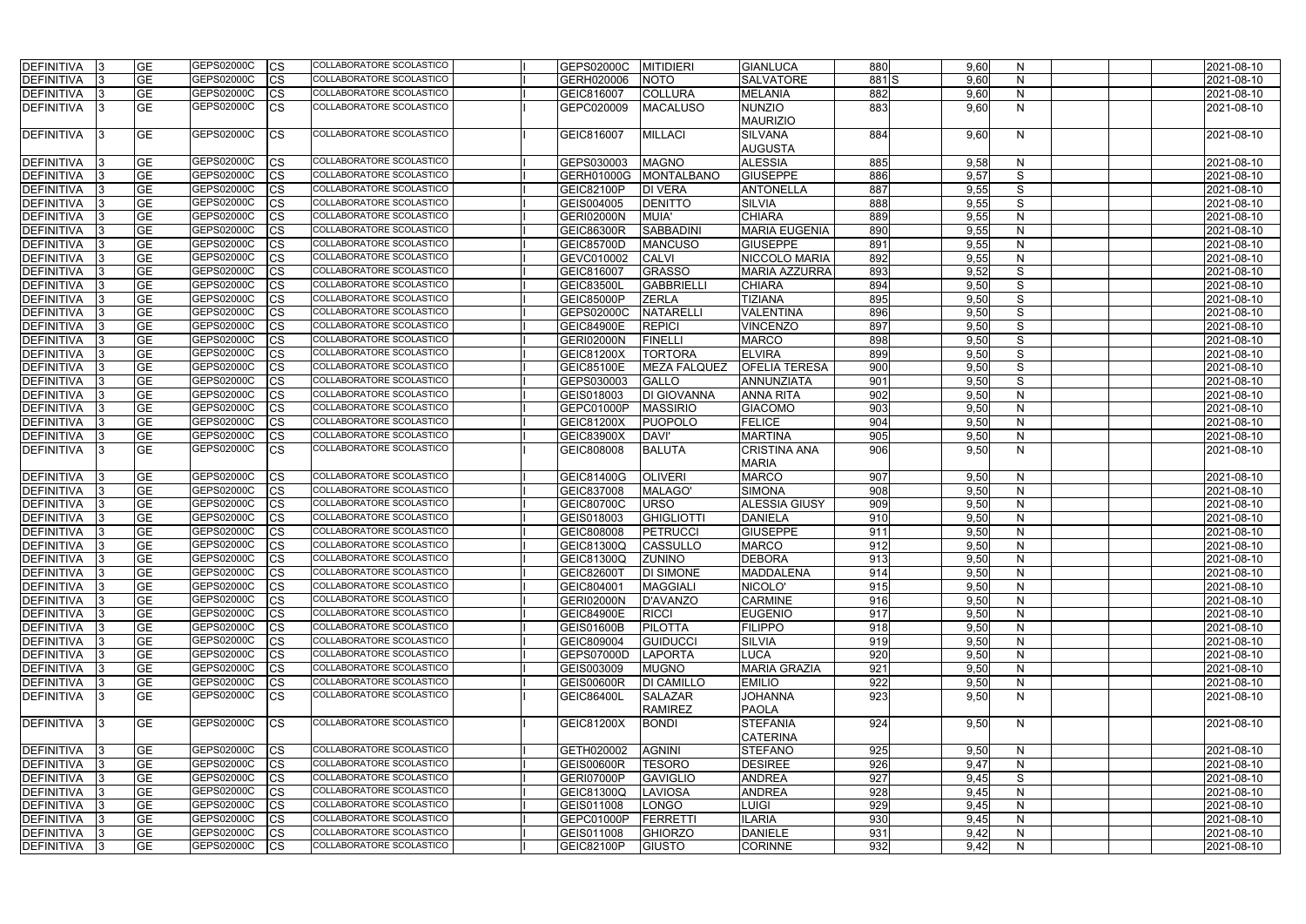| DEFINITIVA         |     | <b>GE</b> | GEPS02000C        | СS        | COLLABORATORE SCOLASTICO        | GEPS02000C        | <b>MITIDIERI</b>    | <b>GIANLUCA</b>      | 880  | 9,60 | N            |  | 2021-08-10 |
|--------------------|-----|-----------|-------------------|-----------|---------------------------------|-------------------|---------------------|----------------------|------|------|--------------|--|------------|
| <b>DEFINITIVA</b>  |     | <b>GE</b> | GEPS02000C        | СS        | COLLABORATORE SCOLASTICO        | GERH020006        | <b>NOTO</b>         | <b>SALVATORE</b>     | 881S | 9,60 | N            |  | 2021-08-10 |
| <b>DEFINITIVA</b>  |     | <b>GE</b> | GEPS02000C        | СS        | COLLABORATORE SCOLASTICO        | GEIC816007        | <b>COLLURA</b>      | <b>MELANIA</b>       | 882  | 9,60 | N            |  | 2021-08-10 |
| DEFINITIVA         |     | <b>GE</b> | GEPS02000C        | СS        | COLLABORATORE SCOLASTICO        | GEPC020009        | <b>MACALUSO</b>     | <b>NUNZIO</b>        | 883  | 9,60 | N            |  | 2021-08-10 |
|                    |     |           |                   |           |                                 |                   |                     | <b>MAURIZIO</b>      |      |      |              |  |            |
| DEFINITIVA         |     | <b>GE</b> | <b>GEPS02000C</b> | СS        | <b>COLLABORATORE SCOLASTICO</b> | GEIC816007        | <b>MILLACI</b>      | <b>SILVANA</b>       | 884  | 9,60 | N            |  | 2021-08-10 |
|                    |     |           |                   |           |                                 |                   |                     | <b>AUGUSTA</b>       |      |      |              |  |            |
| <b>DEFINITIVA</b>  |     | <b>GE</b> | GEPS02000C        | СS        | COLLABORATORE SCOLASTICO        | GEPS030003        | <b>MAGNO</b>        | <b>ALESSIA</b>       | 885  | 9,58 | N            |  | 2021-08-10 |
| <b>DEFINITIVA</b>  |     | <b>GE</b> | GEPS02000C        | СS        | COLLABORATORE SCOLASTICO        | GERH01000G        | MONTALBANO          | <b>GIUSEPPE</b>      | 886  | 9,57 | S            |  | 2021-08-10 |
| <b>DEFINITIVA</b>  |     | <b>GE</b> | GEPS02000C        | СS        | COLLABORATORE SCOLASTICO        | <b>GEIC82100P</b> | <b>DI VERA</b>      | <b>ANTONELLA</b>     | 887  | 9,55 | S            |  | 2021-08-10 |
| <b>DEFINITIVA</b>  |     | <b>GE</b> | GEPS02000C        | СS        | COLLABORATORE SCOLASTICO        | GEIS004005        | <b>DENITTO</b>      | <b>SILVIA</b>        | 888  | 9,55 | S            |  | 2021-08-10 |
| <b>DEFINITIVA</b>  |     | <b>GE</b> | GEPS02000C        | СS        | COLLABORATORE SCOLASTICO        | <b>GERI02000N</b> | <b>MUIA'</b>        | <b>CHIARA</b>        | 889  | 9,55 | N            |  | 2021-08-10 |
| <b>DEFINITIVA</b>  |     | <b>GE</b> | GEPS02000C        | СS        | COLLABORATORE SCOLASTICO        | <b>GEIC86300R</b> | SABBADINI           | <b>MARIA EUGENIA</b> | 890  | 9,55 | $\mathsf{N}$ |  | 2021-08-10 |
| <b>DEFINITIVA</b>  |     | <b>GE</b> | GEPS02000C        | СS        | COLLABORATORE SCOLASTICO        | <b>GEIC85700D</b> | <b>MANCUSO</b>      | <b>GIUSEPPE</b>      | 891  | 9,55 | $\mathsf{N}$ |  | 2021-08-10 |
| <b>DEFINITIVA</b>  |     | <b>GE</b> | GEPS02000C        | СS        | COLLABORATORE SCOLASTICO        | GEVC010002        | <b>CALVI</b>        | NICCOLO MARIA        | 892  | 9,55 | N            |  | 2021-08-10 |
| <b>DEFINITIVA</b>  |     | <b>GE</b> | GEPS02000C        | СS        | COLLABORATORE SCOLASTICO        | GEIC816007        | <b>GRASSO</b>       | <b>MARIA AZZURRA</b> | 893  | 9,52 | S            |  | 2021-08-10 |
| <b>DEFINITIVA</b>  |     | <b>GE</b> | GEPS02000C        | СS        | COLLABORATORE SCOLASTICO        | <b>GEIC83500L</b> | <b>GABBRIELLI</b>   | <b>CHIARA</b>        | 894  | 9,50 | S            |  | 2021-08-10 |
| <b>DEFINITIVA</b>  |     | <b>GE</b> | GEPS02000C        | СS        | COLLABORATORE SCOLASTICO        | <b>GEIC85000P</b> | <b>ZERLA</b>        | <b>TIZIANA</b>       | 895  | 9,50 | S            |  | 2021-08-10 |
| <b>DEFINITIVA</b>  |     | <b>GE</b> | GEPS02000C        | СS        | COLLABORATORE SCOLASTICO        | GEPS02000C        | NATARELLI           | <b>VALENTINA</b>     | 896  | 9,50 | S            |  | 2021-08-10 |
| DEFINITIVA         |     | <b>GE</b> | GEPS02000C        | СS        | COLLABORATORE SCOLASTICO        | <b>GEIC84900E</b> | <b>REPICI</b>       | <b>VINCENZO</b>      | 897  | 9,50 | S            |  | 2021-08-10 |
| <b>DEFINITIVA</b>  |     | <b>GE</b> | GEPS02000C        | СS        | COLLABORATORE SCOLASTICO        | <b>GERI02000N</b> | <b>FINELLI</b>      | <b>MARCO</b>         | 898  | 9,50 | S            |  | 2021-08-10 |
| <b>DEFINITIVA</b>  |     | <b>GE</b> | GEPS02000C        | СS        | COLLABORATORE SCOLASTICO        | <b>GEIC81200X</b> | <b>TORTORA</b>      | <b>ELVIRA</b>        | 899  | 9,50 | S            |  | 2021-08-10 |
| <b>DEFINITIVA</b>  |     | <b>GE</b> | GEPS02000C        | СS        | COLLABORATORE SCOLASTICO        | <b>GEIC85100E</b> | <b>MEZA FALQUEZ</b> | <b>OFELIA TERESA</b> | 900  | 9,50 | S            |  | 2021-08-10 |
| <b>DEFINITIVA</b>  |     | <b>GE</b> | GEPS02000C        | СS        | COLLABORATORE SCOLASTICO        | GEPS030003        | <b>GALLO</b>        | ANNUNZIATA           | 901  | 9,50 | S            |  | 2021-08-10 |
| <b>DEFINITIVA</b>  |     | <b>GE</b> | GEPS02000C        | СS        | COLLABORATORE SCOLASTICO        | GEIS018003        | <b>DI GIOVANNA</b>  | <b>ANNA RITA</b>     | 902  | 9,50 | N            |  | 2021-08-10 |
| <b>DEFINITIVA</b>  |     | <b>GE</b> | GEPS02000C        |           | COLLABORATORE SCOLASTICO        | GEPC01000P        | <b>MASSIRIO</b>     | <b>GIACOMO</b>       | 903  |      |              |  |            |
|                    |     | <b>GE</b> | GEPS02000C        | СS        | COLLABORATORE SCOLASTICO        |                   |                     |                      | 904  | 9,50 | N<br>N       |  | 2021-08-10 |
| <b>DEFINITIVA</b>  |     |           | GEPS02000C        | СS        | COLLABORATORE SCOLASTICO        | <b>GEIC81200X</b> | PUOPOLO             | <b>FELICE</b>        | 905  | 9,50 |              |  | 2021-08-10 |
| <b>DEFINITIVA</b>  |     | <b>GE</b> |                   | СS        | COLLABORATORE SCOLASTICO        | GEIC83900X        | DAVI'               | <b>MARTINA</b>       |      | 9,50 | N            |  | 2021-08-10 |
| DEFINITIVA         |     | <b>GE</b> | GEPS02000C        | СS        |                                 | GEIC808008        | <b>BALUTA</b>       | <b>CRISTINA ANA</b>  | 906  | 9,50 | N            |  | 2021-08-10 |
|                    |     |           |                   |           |                                 |                   |                     | <b>MARIA</b>         |      |      |              |  |            |
| <b>DEFINITIVA</b>  |     | GЕ        | GEPS02000C        | СS        | COLLABORATORE SCOLASTICO        | <b>GEIC81400G</b> | <b>OLIVERI</b>      | <b>MARCO</b>         | 907  | 9,50 | N            |  | 2021-08-10 |
| DEFINITIVA         |     | <b>GE</b> | GEPS02000C        | СS        | COLLABORATORE SCOLASTICO        | GEIC837008        | MALAGO'             | <b>SIMONA</b>        | 908  | 9,50 | N            |  | 2021-08-10 |
| <b>DEFINITIVA</b>  |     | <b>GE</b> | GEPS02000C        | СS        | COLLABORATORE SCOLASTICO        | <b>GEIC80700C</b> | <b>URSO</b>         | <b>ALESSIA GIUSY</b> | 909  | 9,50 | N            |  | 2021-08-10 |
| <b>DEFINITIVA</b>  |     | <b>GE</b> | GEPS02000C        | СS        | COLLABORATORE SCOLASTICO        | GEIS018003        | <b>GHIGLIOTTI</b>   | <b>DANIELA</b>       | 910  | 9,50 | N            |  | 2021-08-10 |
| <b>DEFINITIVA</b>  |     | <b>GE</b> | GEPS02000C        | СS        | COLLABORATORE SCOLASTICO        | GEIC808008        | PETRUCCI            | <b>GIUSEPPE</b>      | 911  | 9,50 | N            |  | 2021-08-10 |
| DEFINITIVA<br>- 13 |     | <b>GE</b> | GEPS02000C        | CS        | COLLABORATORE SCOLASTICO        | <b>GEIC81300Q</b> | <b>CASSULLO</b>     | <b>MARCO</b>         | 912  | 9,50 | N            |  | 2021-08-10 |
| DEFINITIVA  3      |     | <b>GE</b> | GEPS02000C        | <b>CS</b> | <b>COLLABORATORE SCOLASTICO</b> | GEIC81300Q        | <b>ZUNINO</b>       | <b>DEBORA</b>        | 913  | 9,50 | N.           |  | 2021-08-10 |
| DEFINITIVA  3      |     | <b>GE</b> | GEPS02000C        | CS        | COLLABORATORE SCOLASTICO        | <b>GEIC82600T</b> | <b>DI SIMONE</b>    | MADDALENA            | 914  | 9,50 | N            |  | 2021-08-10 |
| DEFINITIVA 3       |     | <b>GE</b> | GEPS02000C        | CS        | COLLABORATORE SCOLASTICO        | GEIC804001        | <b>MAGGIALI</b>     | NICOLO'              | 915  | 9,50 | $\mathsf{N}$ |  | 2021-08-10 |
| DEFINITIVA         |     | <b>GE</b> | GEPS02000C        | СS        | COLLABORATORE SCOLASTICO        | <b>GERI02000N</b> | D'AVANZO            | <b>CARMINE</b>       | 916  | 9,50 | $\mathsf{N}$ |  | 2021-08-10 |
| DEFINITIVA 3       |     | <b>GE</b> | GEPS02000C        | СS        | COLLABORATORE SCOLASTICO        | <b>GEIC84900E</b> | <b>RICCI</b>        | <b>EUGENIO</b>       | 917  | 9,50 | N            |  | 2021-08-10 |
| DEFINITIVA  3      |     | <b>GE</b> | GEPS02000C        | СS        | COLLABORATORE SCOLASTICO        | <b>GEIS01600B</b> | <b>PILOTTA</b>      | <b>FILIPPO</b>       | 918  | 9,50 | $\mathsf{N}$ |  | 2021-08-10 |
| DEFINITIVA         |     | <b>GE</b> | GEPS02000C        | СS        | COLLABORATORE SCOLASTICO        | GEIC809004        | GUIDUCCI            | <b>SILVIA</b>        | 919  | 9,50 | $\mathsf{N}$ |  | 2021-08-10 |
| DEFINITIVA         | -13 | <b>GE</b> | GEPS02000C        | СS        | <b>COLLABORATORE SCOLASTICO</b> | <b>GEPS07000D</b> | <b>LAPORTA</b>      | <b>LUCA</b>          | 920  | 9,50 | N            |  | 2021-08-10 |
| DEFINITIVA         | -13 | <b>GE</b> | GEPS02000C        | СS        | COLLABORATORE SCOLASTICO        | GEIS003009        | <b>MUGNO</b>        | <b>MARIA GRAZIA</b>  | 921  | 9,50 | $\mathsf{N}$ |  | 2021-08-10 |
| DEFINITIVA         |     | <b>GE</b> | GEPS02000C        | СS        | COLLABORATORE SCOLASTICO        | <b>GEIS00600R</b> | <b>DI CAMILLO</b>   | <b>EMILIO</b>        | 922  | 9,50 | N            |  | 2021-08-10 |
| DEFINITIVA         |     | <b>GE</b> | GEPS02000C        | СS        | COLLABORATORE SCOLASTICO        | <b>GEIC86400L</b> | <b>SALAZAR</b>      | <b>JOHANNA</b>       | 923  | 9,50 | N            |  | 2021-08-10 |
|                    |     |           |                   |           |                                 |                   | <b>RAMIREZ</b>      | <b>PAOLA</b>         |      |      |              |  |            |
| <b>DEFINITIVA</b>  |     | <b>GE</b> | GEPS02000C        | СS        | COLLABORATORE SCOLASTICO        | <b>GEIC81200X</b> | <b>BONDI</b>        | <b>STEFANIA</b>      | 924  | 9,50 | N            |  | 2021-08-10 |
|                    |     |           |                   |           |                                 |                   |                     | <b>CATERINA</b>      |      |      |              |  |            |
| DEFINITIVA 3       |     | <b>GE</b> | GEPS02000C        | CS        | COLLABORATORE SCOLASTICO        | GETH020002        | <b>AGNINI</b>       | <b>STEFANO</b>       | 925  | 9,50 | N            |  | 2021-08-10 |
| DEFINITIVA 3       |     | <b>GE</b> | GEPS02000C        | СS        | COLLABORATORE SCOLASTICO        | <b>GEIS00600R</b> | <b>TESORO</b>       | <b>DESIREE</b>       | 926  | 9,47 | $\mathsf{N}$ |  | 2021-08-10 |
| DEFINITIVA         |     | <b>GE</b> | GEPS02000C        | СS        | COLLABORATORE SCOLASTICO        | GERI07000P        | <b>GAVIGLIO</b>     | <b>ANDREA</b>        | 927  | 9,45 | S            |  | 2021-08-10 |
| DEFINITIVA 3       |     | <b>GE</b> | GEPS02000C        | СS        | COLLABORATORE SCOLASTICO        | GEIC81300Q        | LAVIOSA             | <b>ANDREA</b>        | 928  | 9,45 | $\mathsf{N}$ |  | 2021-08-10 |
| DEFINITIVA 3       |     | <b>GE</b> | GEPS02000C        | СS        | COLLABORATORE SCOLASTICO        | GEIS011008        | <b>LONGO</b>        | <b>LUIGI</b>         | 929  | 9,45 | $\mathsf{N}$ |  | 2021-08-10 |
| DEFINITIVA         |     | <b>GE</b> | GEPS02000C        | СS        | COLLABORATORE SCOLASTICO        | GEPC01000P        | FERRETTI            | <b>ILARIA</b>        | 930  | 9,45 | $\mathsf{N}$ |  | 2021-08-10 |
| DEFINITIVA 3       |     | <b>GE</b> | GEPS02000C        | СS        | COLLABORATORE SCOLASTICO        | GEIS011008        | <b>GHIORZO</b>      | <b>DANIELE</b>       | 931  | 9,42 | N            |  | 2021-08-10 |
| DEFINITIVA<br>- 13 |     | <b>GE</b> | GEPS02000C        | CS        | COLLABORATORE SCOLASTICO        | <b>GEIC82100P</b> | <b>GIUSTO</b>       | <b>CORINNE</b>       | 932  | 9,42 | $\mathsf{N}$ |  | 2021-08-10 |
|                    |     |           |                   |           |                                 |                   |                     |                      |      |      |              |  |            |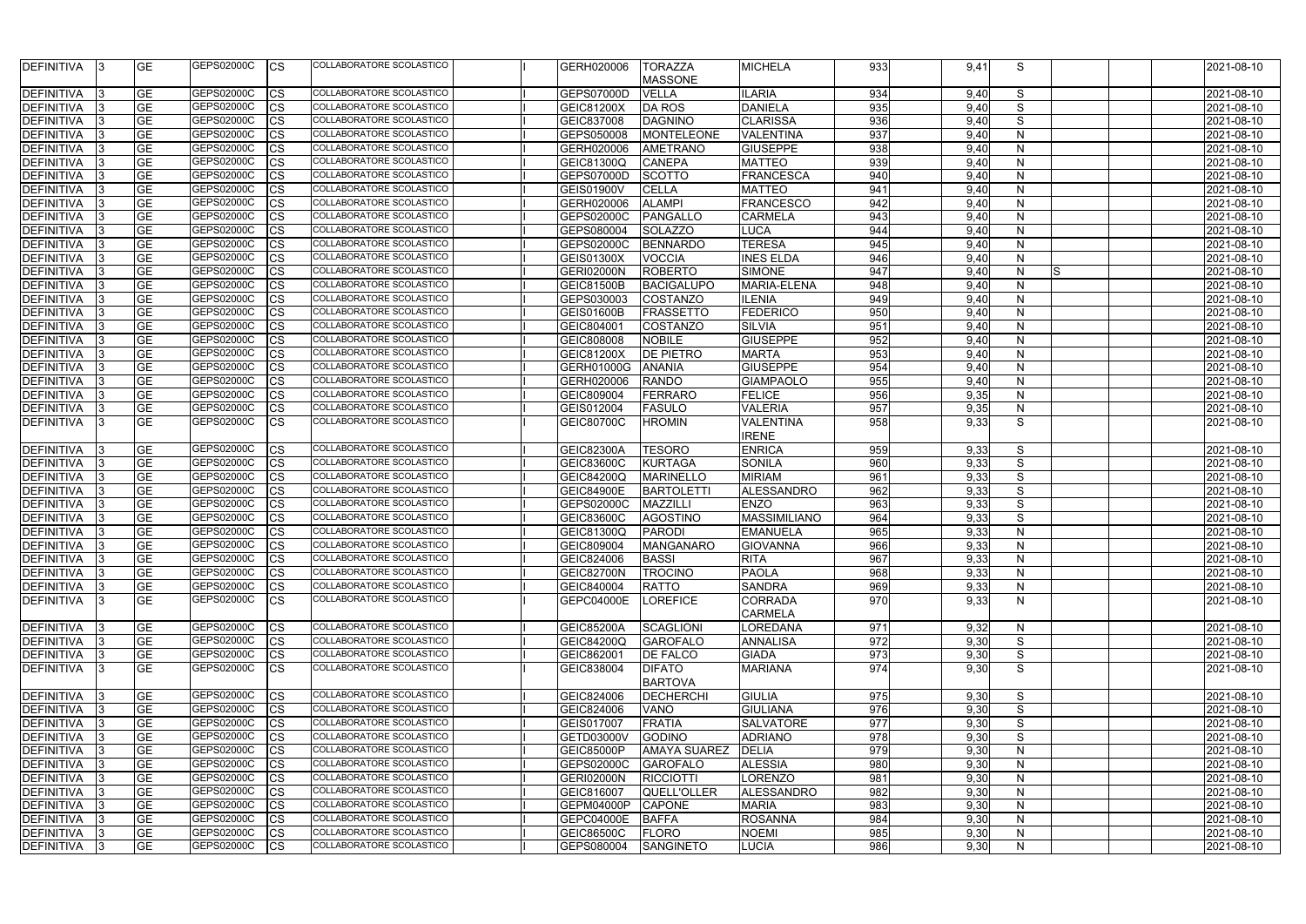| <b>DEFINITIVA</b>            |     | <b>GE</b> | GEPS02000C        | <b>CS</b>   | COLLABORATORE SCOLASTICO | GERH020006        | <b>TORAZZA</b>      | <b>MICHELA</b>      | 933 | 9,41 | S.           |    | 2021-08-10 |
|------------------------------|-----|-----------|-------------------|-------------|--------------------------|-------------------|---------------------|---------------------|-----|------|--------------|----|------------|
|                              |     |           |                   |             |                          |                   | <b>MASSONE</b>      |                     |     |      |              |    |            |
| DEFINITIVA                   |     | <b>GE</b> | GEPS02000C        | <b>CS</b>   | COLLABORATORE SCOLASTICO | GEPS07000D        | <b>VELLA</b>        | <b>ILARIA</b>       | 934 | 9,40 | S            |    | 2021-08-10 |
| DEFINITIVA                   |     | <b>GE</b> | GEPS02000C        | <b>CS</b>   | COLLABORATORE SCOLASTICO | GEIC81200X        | DA ROS              | DANIELA             | 935 | 9,40 | S            |    | 2021-08-10 |
| DEFINITIVA                   |     | <b>GE</b> | GEPS02000C        | <b>CS</b>   | COLLABORATORE SCOLASTICO | GEIC837008        | DAGNINO             | <b>CLARISSA</b>     | 936 | 9,40 | S            |    | 2021-08-10 |
| DEFINITIVA                   |     | <b>GE</b> | GEPS02000C        | <b>CS</b>   | COLLABORATORE SCOLASTICO | GEPS050008        | <b>MONTELEONE</b>   | <b>VALENTINA</b>    | 937 | 9,40 | N            |    | 2021-08-10 |
| <b>DEFINITIVA</b>            |     | <b>GE</b> | GEPS02000C        | <b>CS</b>   | COLLABORATORE SCOLASTICO | GERH020006        | <b>AMETRANO</b>     | <b>GIUSEPPE</b>     | 938 | 9,40 | N            |    | 2021-08-10 |
| <b>DEFINITIVA</b>            |     | <b>GE</b> | GEPS02000C        | <b>CS</b>   | COLLABORATORE SCOLASTICO | GEIC81300Q        | <b>CANEPA</b>       | <b>MATTEO</b>       | 939 | 9,40 | $\mathsf{N}$ |    | 2021-08-10 |
| <b>DEFINITIVA</b>            |     | <b>GE</b> | GEPS02000C        | <b>CS</b>   | COLLABORATORE SCOLASTICO | <b>GEPS07000D</b> | <b>SCOTTO</b>       | FRANCESCA           | 940 | 9,40 | $\mathsf{N}$ |    | 2021-08-10 |
| <b>DEFINITIVA</b>            |     | <b>GE</b> | GEPS02000C        | <b>CS</b>   | COLLABORATORE SCOLASTICO | <b>GEIS01900V</b> | <b>CELLA</b>        | <b>MATTEO</b>       | 941 | 9,40 | N            |    | 2021-08-10 |
| DEFINITIVA                   |     | <b>GE</b> | GEPS02000C        | <b>CS</b>   | COLLABORATORE SCOLASTICO | GERH020006        | <b>ALAMPI</b>       | <b>FRANCESCO</b>    | 942 | 9,40 | $\mathsf{N}$ |    | 2021-08-10 |
| <b>DEFINITIVA</b>            |     | <b>GE</b> | GEPS02000C        | <b>CS</b>   | COLLABORATORE SCOLASTICO | GEPS02000C        | PANGALLO            | <b>CARMELA</b>      | 943 | 9,40 | $\mathsf{N}$ |    | 2021-08-10 |
| <b>DEFINITIVA</b>            |     | <b>GE</b> | GEPS02000C        | <b>CS</b>   | COLLABORATORE SCOLASTICO | GEPS080004        | <b>SOLAZZO</b>      | <b>LUCA</b>         | 944 | 9,40 | N            |    | 2021-08-10 |
| DEFINITIVA                   |     | <b>GE</b> | GEPS02000C        | <b>CS</b>   | COLLABORATORE SCOLASTICO | GEPS02000C        | BENNARDO            | <b>TERESA</b>       | 945 | 9,40 | $\mathsf{N}$ |    | 2021-08-10 |
| <b>DEFINITIVA</b>            |     | <b>GE</b> | GEPS02000C        | <b>CS</b>   | COLLABORATORE SCOLASTICO | <b>GEIS01300X</b> | <b>VOCCIA</b>       | <b>INES ELDA</b>    | 946 | 9,40 | N            |    | 2021-08-10 |
| <b>DEFINITIVA</b>            |     | <b>GE</b> | GEPS02000C        | <b>CS</b>   | COLLABORATORE SCOLASTICO | GERI02000N        | <b>ROBERTO</b>      | <b>SIMONE</b>       | 947 | 9,40 | N            | S. | 2021-08-10 |
| DEFINITIVA                   |     | <b>GE</b> | GEPS02000C        | <b>CS</b>   | COLLABORATORE SCOLASTICO | GEIC81500B        | <b>BACIGALUPO</b>   | MARIA-ELENA         | 948 | 9,40 | N            |    | 2021-08-10 |
| DEFINITIVA                   |     | <b>GE</b> | GEPS02000C        | <b>CS</b>   | COLLABORATORE SCOLASTICO | GEPS030003        | <b>COSTANZO</b>     | <b>ILENIA</b>       | 949 | 9,40 | N            |    | 2021-08-10 |
| <b>DEFINITIVA</b>            |     | <b>GE</b> | GEPS02000C        | <b>CS</b>   | COLLABORATORE SCOLASTICO | <b>GEIS01600B</b> | <b>FRASSETTO</b>    | <b>FEDERICO</b>     | 950 | 9,40 | N            |    | 2021-08-10 |
| <b>DEFINITIVA</b>            |     | <b>GE</b> | GEPS02000C        | <b>CS</b>   | COLLABORATORE SCOLASTICO | GEIC804001        | <b>COSTANZO</b>     | SILVIA              | 951 | 9,40 | $\mathsf{N}$ |    | 2021-08-10 |
| <b>DEFINITIVA</b>            |     | <b>GE</b> | GEPS02000C        | <b>CS</b>   | COLLABORATORE SCOLASTICO | GEIC808008        | <b>NOBILE</b>       | <b>GIUSEPPE</b>     | 952 | 9,40 | $\mathsf{N}$ |    | 2021-08-10 |
| <b>DEFINITIVA</b>            |     | <b>GE</b> | GEPS02000C        | <b>CS</b>   | COLLABORATORE SCOLASTICO | GEIC81200X        | <b>DE PIETRO</b>    | <b>MARTA</b>        | 953 | 9,40 | N            |    | 2021-08-10 |
| <b>DEFINITIVA</b>            |     | <b>GE</b> | GEPS02000C        | <b>CS</b>   | COLLABORATORE SCOLASTICO | GERH01000G        | <b>ANANIA</b>       | <b>GIUSEPPE</b>     | 954 | 9,40 | $\mathsf{N}$ |    | 2021-08-10 |
| DEFINITIVA                   |     | <b>GE</b> | GEPS02000C        | <b>CS</b>   | COLLABORATORE SCOLASTICO | GERH020006        | <b>RANDO</b>        | GIAMPAOLO           | 955 | 9,40 | $\mathsf{N}$ |    | 2021-08-10 |
| DEFINITIVA                   |     | <b>GE</b> | GEPS02000C        | <b>CS</b>   | COLLABORATORE SCOLASTICO | GEIC809004        | FERRARO             | <b>FELICE</b>       | 956 | 9,35 | $\mathsf{N}$ |    | 2021-08-10 |
| DEFINITIVA                   |     | <b>GE</b> | GEPS02000C        | <b>CS</b>   | COLLABORATORE SCOLASTICO | GEIS012004        | FASULO              | <b>VALERIA</b>      | 957 | 9,35 | N            |    | 2021-08-10 |
| DEFINITIVA                   |     | <b>GE</b> | GEPS02000C        | <b>CS</b>   | COLLABORATORE SCOLASTICO | <b>GEIC80700C</b> | <b>HROMIN</b>       | <b>VALENTINA</b>    | 958 | 9,33 | S            |    | 2021-08-10 |
|                              |     |           |                   |             |                          |                   |                     | <b>IRENE</b>        |     |      |              |    |            |
| <b>DEFINITIVA</b>            |     | <b>GE</b> | GEPS02000C        | <b>CS</b>   | COLLABORATORE SCOLASTICO | <b>GEIC82300A</b> | <b>TESORO</b>       | <b>ENRICA</b>       | 959 | 9,33 | S            |    | 2021-08-10 |
| DEFINITIVA                   |     | <b>GE</b> | GEPS02000C        | <b>CS</b>   | COLLABORATORE SCOLASTICO | <b>GEIC83600C</b> | <b>KURTAGA</b>      | <b>SONILA</b>       | 960 | 9,33 | S            |    | 2021-08-10 |
| <b>DEFINITIVA</b>            |     | <b>GE</b> | GEPS02000C        | <b>CS</b>   | COLLABORATORE SCOLASTICO | <b>GEIC84200Q</b> | <b>MARINELLO</b>    | <b>MIRIAM</b>       | 961 | 9,33 | S            |    | 2021-08-10 |
| DEFINITIVA                   |     | <b>GE</b> | GEPS02000C        | <b>CS</b>   | COLLABORATORE SCOLASTICO | <b>GEIC84900E</b> | BARTOLETTI          | ALESSANDRO          | 962 | 9,33 | S            |    | 2021-08-10 |
| DEFINITIVA                   |     | <b>GE</b> | GEPS02000C        | <b>CS</b>   | COLLABORATORE SCOLASTICO | GEPS02000C        | MAZZILLI            | <b>ENZO</b>         | 963 | 9,33 | S            |    | 2021-08-10 |
| DEFINITIVA                   |     | <b>GE</b> | GEPS02000C        | <b>CS</b>   | COLLABORATORE SCOLASTICO | GEIC83600C        | AGOSTINO            | <b>MASSIMILIANO</b> | 964 | 9,33 | S            |    | 2021-08-10 |
| DEFINITIVA                   |     | <b>GE</b> | GEPS02000C        | <b>CS</b>   | COLLABORATORE SCOLASTICO | GEIC81300Q        | PARODI              | <b>EMANUELA</b>     | 965 | 9,33 | N            |    | 2021-08-10 |
|                              |     | <b>GE</b> | GEPS02000C        | <b>CS</b>   | COLLABORATORE SCOLASTICO | GEIC809004        | <b>MANGANARO</b>    | <b>GIOVANNA</b>     | 966 | 9,33 |              |    | 2021-08-10 |
| DEFINITIVA                   | -13 |           | GEPS02000C        |             | COLLABORATORE SCOLASTICO |                   |                     |                     |     |      | N            |    |            |
| DEFINITIVA 3<br>DEFINITIVA 3 |     | <b>GE</b> | GEPS02000C        | $ {\rm CS}$ | COLLABORATORE SCOLASTICO | GEIC824006        | <b>BASSI</b>        | <b>RITA</b>         | 967 | 9,33 | N            |    | 2021-08-10 |
|                              |     | <b>GE</b> | GEPS02000C        | <b>CS</b>   | COLLABORATORE SCOLASTICO | GEIC82700N        | <b>TROCINO</b>      | <b>PAOLA</b>        | 968 | 9,33 | N            |    | 2021-08-10 |
| DEFINITIVA 3                 |     | <b>GE</b> |                   | <b>CS</b>   | COLLABORATORE SCOLASTICO | GEIC840004        | <b>RATTO</b>        | <b>SANDRA</b>       | 969 | 9,33 | $\mathsf{N}$ |    | 2021-08-10 |
| DEFINITIVA                   | -13 | <b>GE</b> | GEPS02000C        | <b>CS</b>   |                          | <b>GEPC04000E</b> | LOREFICE            | <b>CORRADA</b>      | 970 | 9,33 | $\mathsf{N}$ |    | 2021-08-10 |
|                              |     |           |                   |             |                          |                   |                     | <b>CARMELA</b>      |     |      |              |    |            |
| DEFINITIVA 3                 |     | <b>GE</b> | <b>GEPS02000C</b> | <b>CS</b>   | COLLABORATORE SCOLASTICO | <b>GEIC85200A</b> | <b>SCAGLIONI</b>    | LOREDANA            | 971 | 9,32 | N            |    | 2021-08-10 |
| DEFINITIVA 3                 |     | <b>GE</b> | GEPS02000C        | <b>CS</b>   | COLLABORATORE SCOLASTICO | <b>GEIC84200Q</b> | <b>GAROFALO</b>     | <b>ANNALISA</b>     | 972 | 9,30 | S            |    | 2021-08-10 |
| DEFINITIVA 3                 |     | <b>GE</b> | GEPS02000C        | <b>CS</b>   | COLLABORATORE SCOLASTICO | GEIC862001        | <b>DE FALCO</b>     | <b>GIADA</b>        | 973 | 9,30 | S            |    | 2021-08-10 |
| DEFINITIVA                   | -13 | <b>GE</b> | GEPS02000C        | <b>CS</b>   | COLLABORATORE SCOLASTICO | GEIC838004        | <b>DIFATO</b>       | <b>MARIANA</b>      | 974 | 9,30 | S            |    | 2021-08-10 |
|                              |     |           |                   |             |                          |                   | <b>BARTOVA</b>      |                     |     |      |              |    |            |
| DEFINITIVA 3                 |     | <b>GE</b> | GEPS02000C        | <b>CS</b>   | COLLABORATORE SCOLASTICO | GEIC824006        | <b>DECHERCHI</b>    | <b>GIULIA</b>       | 975 | 9,30 | S            |    | 2021-08-10 |
| DEFINITIVA 3                 |     | <b>GE</b> | GEPS02000C        | <b>CS</b>   | COLLABORATORE SCOLASTICO | GEIC824006        | <b>VANO</b>         | <b>GIULIANA</b>     | 976 | 9,30 | S            |    | 2021-08-10 |
| DEFINITIVA 3                 |     | <b>GE</b> | GEPS02000C        | <b>CS</b>   | COLLABORATORE SCOLASTICO | GEIS017007        | FRATIA              | <b>SALVATORE</b>    | 977 | 9,30 | S            |    | 2021-08-10 |
| DEFINITIVA 3                 |     | <b>GE</b> | GEPS02000C        | <b>CS</b>   | COLLABORATORE SCOLASTICO | GETD03000V        | <b>GODINO</b>       | <b>ADRIANO</b>      | 978 | 9,30 | S            |    | 2021-08-10 |
| DEFINITIVA 3                 |     | <b>GE</b> | GEPS02000C        | <b>CS</b>   | COLLABORATORE SCOLASTICO | GEIC85000P        | <b>AMAYA SUAREZ</b> | <b>DELIA</b>        | 979 | 9,30 | $\mathsf{N}$ |    | 2021-08-10 |
| DEFINITIVA 3                 |     | <b>GE</b> | GEPS02000C        | <b>CS</b>   | COLLABORATORE SCOLASTICO | GEPS02000C        | <b>GAROFALO</b>     | <b>ALESSIA</b>      | 980 | 9,30 | $\mathsf{N}$ |    | 2021-08-10 |
| DEFINITIVA 3                 |     | <b>GE</b> | GEPS02000C        | <b>CS</b>   | COLLABORATORE SCOLASTICO | <b>GERI02000N</b> | <b>RICCIOTTI</b>    | <b>LORENZO</b>      | 981 | 9,30 | N            |    | 2021-08-10 |
| DEFINITIVA 3                 |     | <b>GE</b> | GEPS02000C        | <b>CS</b>   | COLLABORATORE SCOLASTICO | GEIC816007        | <b>QUELL'OLLER</b>  | <b>ALESSANDRO</b>   | 982 | 9,30 | N            |    | 2021-08-10 |
| DEFINITIVA 3                 |     | <b>GE</b> | GEPS02000C        | <b>CS</b>   | COLLABORATORE SCOLASTICO | GEPM04000P        | <b>CAPONE</b>       | <b>MARIA</b>        | 983 | 9,30 | $\mathsf{N}$ |    | 2021-08-10 |
| DEFINITIVA 3                 |     | <b>GE</b> | GEPS02000C        | <b>ICS</b>  | COLLABORATORE SCOLASTICO | GEPC04000E        | <b>BAFFA</b>        | <b>ROSANNA</b>      | 984 | 9,30 | N.           |    | 2021-08-10 |
| DEFINITIVA 3                 |     | <b>GE</b> | GEPS02000C        | <b>CS</b>   | COLLABORATORE SCOLASTICO | GEIC86500C        | <b>FLORO</b>        | <b>NOEMI</b>        | 985 | 9,30 | N            |    | 2021-08-10 |
| DEFINITIVA 3                 |     | <b>GE</b> | GEPS02000C        | <b>CS</b>   | COLLABORATORE SCOLASTICO | GEPS080004        | <b>SANGINETO</b>    | <b>LUCIA</b>        | 986 | 9,30 | N            |    | 2021-08-10 |
|                              |     |           |                   |             |                          |                   |                     |                     |     |      |              |    |            |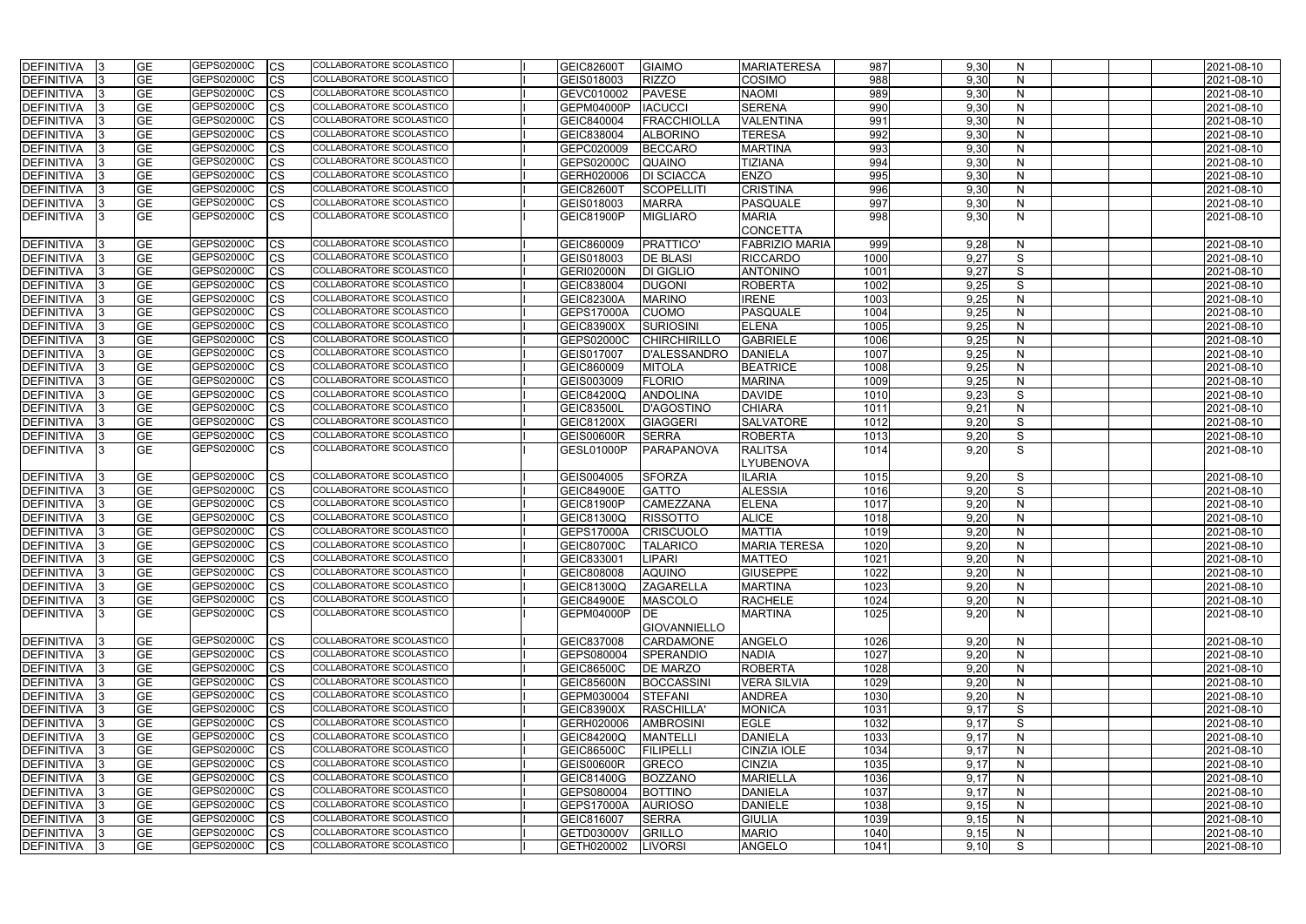| <b>DEFINITIVA</b>           |                 | <b>GE</b> | GEPS02000C               | <b>CS</b>  | COLLABORATORE SCOLASTICO                             | <b>GEIC82600T</b> | <b>GIAIMO</b>       | <b>MARIATERESA</b>    | 987  | 9,30 | N            |  | 2021-08-10 |
|-----------------------------|-----------------|-----------|--------------------------|------------|------------------------------------------------------|-------------------|---------------------|-----------------------|------|------|--------------|--|------------|
| DEFINITIVA                  |                 | <b>GE</b> | GEPS02000C               | <b>CS</b>  | COLLABORATORE SCOLASTICO                             | GEIS018003        | <b>RIZZO</b>        | <b>COSIMO</b>         | 988  | 9,30 | N            |  | 2021-08-10 |
| DEFINITIVA                  |                 | <b>GE</b> | GEPS02000C               | <b>CS</b>  | COLLABORATORE SCOLASTICO                             | GEVC010002        | <b>PAVESE</b>       | <b>NAOMI</b>          | 989  | 9,30 | N            |  | 2021-08-10 |
| DEFINITIVA                  |                 | <b>GE</b> | GEPS02000C               | <b>CS</b>  | COLLABORATORE SCOLASTICO                             | GEPM04000P        | <b>IACUCCI</b>      | <b>SERENA</b>         | 990  | 9,30 | N            |  | 2021-08-10 |
| DEFINITIVA                  |                 | <b>GE</b> | GEPS02000C               | <b>CS</b>  | <b>COLLABORATORE SCOLASTICO</b>                      | GEIC840004        | <b>FRACCHIOLLA</b>  | <b>VALENTINA</b>      | 991  | 9,30 | N            |  | 2021-08-10 |
| DEFINITIVA                  |                 | <b>GE</b> | GEPS02000C               | <b>CS</b>  | COLLABORATORE SCOLASTICO                             | GEIC838004        | <b>ALBORINO</b>     | <b>TERESA</b>         | 992  | 9,30 | N            |  | 2021-08-10 |
| <b>DEFINITIVA</b>           |                 | <b>GE</b> | GEPS02000C               | <b>CS</b>  | COLLABORATORE SCOLASTICO                             | GEPC020009        | <b>BECCARO</b>      | <b>MARTINA</b>        | 993  | 9,30 | N            |  | 2021-08-10 |
| <b>DEFINITIVA</b>           |                 | <b>GE</b> | GEPS02000C               | <b>CS</b>  | COLLABORATORE SCOLASTICO                             | GEPS02000C        | <b>QUAINO</b>       | <b>TIZIANA</b>        | 994  | 9,30 | N            |  | 2021-08-10 |
| <b>DEFINITIVA</b>           |                 | <b>GE</b> | GEPS02000C               | <b>CS</b>  | COLLABORATORE SCOLASTICO                             | GERH020006        | <b>DI SCIACCA</b>   | <b>ENZO</b>           | 995  | 9,30 | N            |  | 2021-08-10 |
| DEFINITIVA                  |                 | <b>GE</b> | GEPS02000C               | <b>CS</b>  | COLLABORATORE SCOLASTICO                             | <b>GEIC82600T</b> | <b>SCOPELLITI</b>   | <b>CRISTINA</b>       | 996  | 9,30 | $\mathsf{N}$ |  | 2021-08-10 |
| <b>DEFINITIVA</b>           |                 | <b>GE</b> | GEPS02000C               | CS         | COLLABORATORE SCOLASTICO                             | GEIS018003        | <b>MARRA</b>        | <b>PASQUALE</b>       | 997  | 9,30 | $\mathsf{N}$ |  | 2021-08-10 |
| DEFINITIVA                  |                 | <b>GE</b> | GEPS02000C               | <b>CS</b>  | COLLABORATORE SCOLASTICO                             | GEIC81900P        | <b>MIGLIARO</b>     | <b>MARIA</b>          | 998  | 9,30 | N            |  | 2021-08-10 |
|                             |                 |           |                          |            |                                                      |                   |                     | <b>CONCETTA</b>       |      |      |              |  |            |
| DEFINITIVA                  |                 | <b>GE</b> | GEPS02000C               | <b>CS</b>  | COLLABORATORE SCOLASTICO                             | GEIC860009        | <b>PRATTICO'</b>    | <b>FABRIZIO MARIA</b> | 999  | 9,28 | N            |  | 2021-08-10 |
| DEFINITIVA                  |                 | <b>GE</b> | GEPS02000C               | <b>CS</b>  | COLLABORATORE SCOLASTICO                             | GEIS018003        | <b>DE BLASI</b>     | <b>RICCARDO</b>       | 1000 | 9,27 | S            |  | 2021-08-10 |
| DEFINITIVA                  |                 | <b>GE</b> | GEPS02000C               | <b>CS</b>  | COLLABORATORE SCOLASTICO                             | <b>GERI02000N</b> | <b>DI GIGLIO</b>    | <b>ANTONINO</b>       | 1001 | 9,27 | S            |  | 2021-08-10 |
| DEFINITIVA                  |                 | <b>GE</b> | GEPS02000C               | <b>CS</b>  | COLLABORATORE SCOLASTICO                             | GEIC838004        | <b>DUGONI</b>       | <b>ROBERTA</b>        | 1002 | 9,25 | S            |  | 2021-08-10 |
| DEFINITIVA                  |                 | <b>GE</b> | GEPS02000C               | <b>CS</b>  | COLLABORATORE SCOLASTICO                             | <b>GEIC82300A</b> | <b>MARINO</b>       | <b>IRENE</b>          | 1003 | 9,25 | N            |  | 2021-08-10 |
| DEFINITIVA                  |                 | <b>GE</b> | GEPS02000C               | <b>CS</b>  | COLLABORATORE SCOLASTICO                             | GEPS17000A        | <b>CUOMO</b>        | <b>PASQUALE</b>       | 1004 | 9,25 | N            |  | 2021-08-10 |
| DEFINITIVA                  |                 | <b>GE</b> | GEPS02000C               | <b>CS</b>  | <b>COLLABORATORE SCOLASTICO</b>                      | <b>GEIC83900X</b> | SURIOSINI           | <b>ELENA</b>          | 1005 | 9,25 | N            |  | 2021-08-10 |
| DEFINITIVA                  |                 | <b>GE</b> | GEPS02000C               | <b>CS</b>  | COLLABORATORE SCOLASTICO                             | GEPS02000C        | <b>CHIRCHIRILLO</b> | <b>GABRIELE</b>       | 1006 | 9,25 | N            |  | 2021-08-10 |
| DEFINITIVA                  |                 | <b>GE</b> | GEPS02000C               | <b>CS</b>  | COLLABORATORE SCOLASTICO                             | GEIS017007        | <b>D'ALESSANDRO</b> | <b>DANIELA</b>        | 1007 | 9,25 | $\mathsf{N}$ |  | 2021-08-10 |
| DEFINITIVA                  |                 | <b>GE</b> | GEPS02000C               | <b>CS</b>  | COLLABORATORE SCOLASTICO                             | GEIC860009        | <b>MITOLA</b>       | <b>BEATRICE</b>       | 1008 | 9,25 | $\mathsf{N}$ |  | 2021-08-10 |
| DEFINITIVA                  |                 | <b>GE</b> | GEPS02000C               | <b>CS</b>  | COLLABORATORE SCOLASTICO                             | GEIS003009        | <b>FLORIO</b>       | <b>MARINA</b>         | 1009 | 9,25 | N            |  | 2021-08-10 |
| DEFINITIVA                  |                 | <b>GE</b> | GEPS02000C               | <b>CS</b>  | COLLABORATORE SCOLASTICO                             | <b>GEIC84200Q</b> | <b>ANDOLINA</b>     | <b>DAVIDE</b>         | 1010 | 9,23 | S            |  | 2021-08-10 |
| DEFINITIVA                  |                 | <b>GE</b> | GEPS02000C               | <b>CS</b>  | COLLABORATORE SCOLASTICO                             | <b>GEIC83500L</b> | <b>D'AGOSTINO</b>   | <b>CHIARA</b>         | 1011 | 9,21 | N            |  | 2021-08-10 |
| DEFINITIVA                  |                 | <b>GE</b> | GEPS02000C               | <b>CS</b>  | COLLABORATORE SCOLASTICO                             | <b>GEIC81200X</b> | GIAGGERI            | <b>SALVATORE</b>      | 1012 | 9,20 | S            |  | 2021-08-10 |
| DEFINITIVA                  |                 | <b>GE</b> | GEPS02000C               | <b>CS</b>  | COLLABORATORE SCOLASTICO                             | <b>GEIS00600R</b> | <b>SERRA</b>        | <b>ROBERTA</b>        | 1013 | 9,20 | S            |  | 2021-08-10 |
| DEFINITIVA                  |                 | <b>GE</b> | GEPS02000C               | <b>CS</b>  | COLLABORATORE SCOLASTICO                             | GESL01000P        | PARAPANOVA          | <b>RALITSA</b>        | 1014 | 9,20 | S            |  | 2021-08-10 |
|                             |                 |           |                          |            |                                                      |                   |                     | LYUBENOVA             |      |      |              |  |            |
| <b>DEFINITIVA</b>           |                 | <b>GE</b> | GEPS02000C               | <b>CS</b>  | COLLABORATORE SCOLASTICO                             | GEIS004005        | <b>SFORZA</b>       | <b>ILARIA</b>         | 1015 | 9,20 | S            |  | 2021-08-10 |
| DEFINITIVA                  |                 | <b>GE</b> | GEPS02000C               | <b>CS</b>  | COLLABORATORE SCOLASTICO                             | <b>GEIC84900E</b> | <b>GATTO</b>        | <b>ALESSIA</b>        | 1016 | 9,20 | S            |  | 2021-08-10 |
| DEFINITIVA                  |                 | <b>GE</b> | GEPS02000C               | <b>CS</b>  | COLLABORATORE SCOLASTICO                             | <b>GEIC81900P</b> | CAMEZZANA           | <b>ELENA</b>          | 1017 | 9,20 | N            |  | 2021-08-10 |
| DEFINITIVA                  |                 | <b>GE</b> | GEPS02000C               | <b>CS</b>  | COLLABORATORE SCOLASTICO                             | <b>GEIC81300Q</b> | <b>RISSOTTO</b>     | <b>ALICE</b>          | 1018 | 9,20 | N            |  | 2021-08-10 |
| DEFINITIVA                  |                 | <b>GE</b> | GEPS02000C               | <b>CS</b>  | COLLABORATORE SCOLASTICO                             | GEPS17000A        | <b>CRISCUOLO</b>    | <b>MATTIA</b>         | 1019 | 9,20 | N            |  | 2021-08-10 |
| DEFINITIVA 3                |                 | <b>GE</b> | GEPS02000C               | <b>ICS</b> | COLLABORATORE SCOLASTICO                             | <b>GEIC80700C</b> | <b>TALARICO</b>     | <b>MARIA TERESA</b>   | 1020 | 9,20 | <sub>N</sub> |  | 2021-08-10 |
| DEFINITIVA 3                |                 | <b>GE</b> | GEPS02000C               | <b>CS</b>  | COLLABORATORE SCOLASTICO                             | GEIC833001        | <b>LIPARI</b>       | <b>MATTEO</b>         | 1021 | 9,20 | N            |  | 2021-08-10 |
| DEFINITIVA 3                |                 | <b>GE</b> | GEPS02000C               | <b>CS</b>  | COLLABORATORE SCOLASTICO                             | GEIC808008        | <b>AQUINO</b>       | <b>GIUSEPPE</b>       | 1022 | 9,20 | N            |  | 2021-08-10 |
| DEFINITIVA 3                |                 | <b>GE</b> | GEPS02000C               | <b>ICS</b> | COLLABORATORE SCOLASTICO                             | <b>GEIC81300Q</b> | <b>ZAGARELLA</b>    | <b>MARTINA</b>        | 1023 | 9,20 | $\mathsf{N}$ |  | 2021-08-10 |
| DEFINITIVA 3                |                 | <b>GE</b> | GEPS02000C               | <b>CS</b>  | COLLABORATORE SCOLASTICO                             | <b>GEIC84900E</b> | <b>MASCOLO</b>      | <b>RACHELE</b>        | 1024 | 9,20 | N            |  | 2021-08-10 |
| DEFINITIVA                  | - 13            | <b>GE</b> | GEPS02000C               | <b>CS</b>  | COLLABORATORE SCOLASTICO                             | GEPM04000P        | <b>IDE</b>          | <b>MARTINA</b>        | 1025 | 9,20 | $\mathsf{N}$ |  | 2021-08-10 |
|                             |                 |           |                          |            |                                                      |                   | <b>GIOVANNIELLO</b> |                       |      |      |              |  |            |
| DEFINITIVA                  | - 13            | <b>GE</b> | GEPS02000C               | <b>CS</b>  | COLLABORATORE SCOLASTICO                             | GEIC837008        | <b>CARDAMONE</b>    | <b>ANGELO</b>         | 1026 | 9,20 | N            |  | 2021-08-10 |
| DEFINITIVA 3                |                 | <b>GE</b> | GEPS02000C               | <b>CS</b>  | COLLABORATORE SCOLASTICO                             | GEPS080004        | <b>SPERANDIO</b>    | <b>NADIA</b>          | 1027 | 9,20 | $\mathsf{N}$ |  | 2021-08-10 |
| DEFINITIVA                  | - 13            | <b>GE</b> | GEPS02000C               | <b>CS</b>  | COLLABORATORE SCOLASTICO                             | GEIC86500C        | <b>DE MARZO</b>     | <b>ROBERTA</b>        | 1028 | 9,20 | N            |  | 2021-08-10 |
| DEFINITIVA 3                |                 | <b>GE</b> | GEPS02000C               | <b>CS</b>  | COLLABORATORE SCOLASTICO                             | GEIC85600N        | BOCCASSINI          | <b>VERA SILVIA</b>    | 1029 | 9,20 | N            |  | 2021-08-10 |
| DEFINITIVA 3                |                 | <b>GE</b> | GEPS02000C               | <b>CS</b>  | COLLABORATORE SCOLASTICO                             | GEPM030004        | STEFANI             | <b>ANDREA</b>         | 1030 | 9,20 | $\mathsf{N}$ |  | 2021-08-10 |
| DEFINITIVA 3                |                 | <b>GE</b> | GEPS02000C               | <b>CS</b>  | COLLABORATORE SCOLASTICO                             | <b>GEIC83900X</b> | RASCHILLA'          | <b>MONICA</b>         | 1031 | 9,17 | S            |  | 2021-08-10 |
| DEFINITIVA  3               |                 | <b>GE</b> | GEPS02000C               | <b>CS</b>  | COLLABORATORE SCOLASTICO                             | GERH020006        | <b>AMBROSINI</b>    | <b>EGLE</b>           | 1032 | 9,17 | S            |  | 2021-08-10 |
| DEFINITIVA 3                |                 | <b>GE</b> | GEPS02000C               | <b>CS</b>  | COLLABORATORE SCOLASTICO                             | GEIC84200Q        | <b>MANTELLI</b>     | <b>DANIELA</b>        | 1033 | 9,17 | $\mathsf{N}$ |  | 2021-08-10 |
| DEFINITIVA 3                |                 | <b>GE</b> | GEPS02000C               | <b>CS</b>  | COLLABORATORE SCOLASTICO                             | <b>GEIC86500C</b> | FILIPELLI           | <b>CINZIA IOLE</b>    | 1034 | 9,17 | $\mathsf{N}$ |  | 2021-08-10 |
| $DEFINITIVA$ $\overline{3}$ |                 | <b>GE</b> | GEPS02000C               | <b>CS</b>  | COLLABORATORE SCOLASTICO                             | <b>GEIS00600R</b> | GRECO               | <b>CINZIA</b>         | 1035 | 9,17 | N            |  | 2021-08-10 |
| DEFINITIVA 3                |                 | <b>GE</b> | GEPS02000C               | <b>CS</b>  | COLLABORATORE SCOLASTICO                             | GEIC81400G        | BOZZANO             | <b>MARIELLA</b>       | 1036 | 9,17 | $\mathsf{N}$ |  | 2021-08-10 |
| DEFINITIVA 3                |                 | <b>GE</b> | GEPS02000C               | <b>CS</b>  | COLLABORATORE SCOLASTICO<br>COLLABORATORE SCOLASTICO | GEPS080004        | BOTTINO             | <b>DANIELA</b>        | 1037 | 9,17 | $\mathsf{N}$ |  | 2021-08-10 |
| DEFINITIVA                  |                 | <b>GE</b> | GEPS02000C               | <b>CS</b>  | COLLABORATORE SCOLASTICO                             | <b>GEPS17000A</b> | <b>AURIOSO</b>      | <b>DANIELE</b>        | 1038 | 9,15 | N            |  | 2021-08-10 |
| DEFINITIVA                  |                 | <b>GE</b> | GEPS02000C<br>GEPS02000C | <b>CS</b>  | COLLABORATORE SCOLASTICO                             | GEIC816007        | <b>SERRA</b>        | <b>GIULIA</b>         | 1039 | 9,15 | N            |  | 2021-08-10 |
| DEFINITIVA                  | -13             | <b>GE</b> |                          | <b>CS</b>  | COLLABORATORE SCOLASTICO                             | GETD03000V        | GRILLO              | <b>MARIO</b>          | 1040 | 9,15 | N            |  | 2021-08-10 |
| DEFINITIVA                  | $\vert 3 \vert$ | <b>GE</b> | GEPS02000C               | <b>CS</b>  |                                                      | GETH020002        | <b>LIVORSI</b>      | <b>ANGELO</b>         | 1041 | 9,10 | S            |  | 2021-08-10 |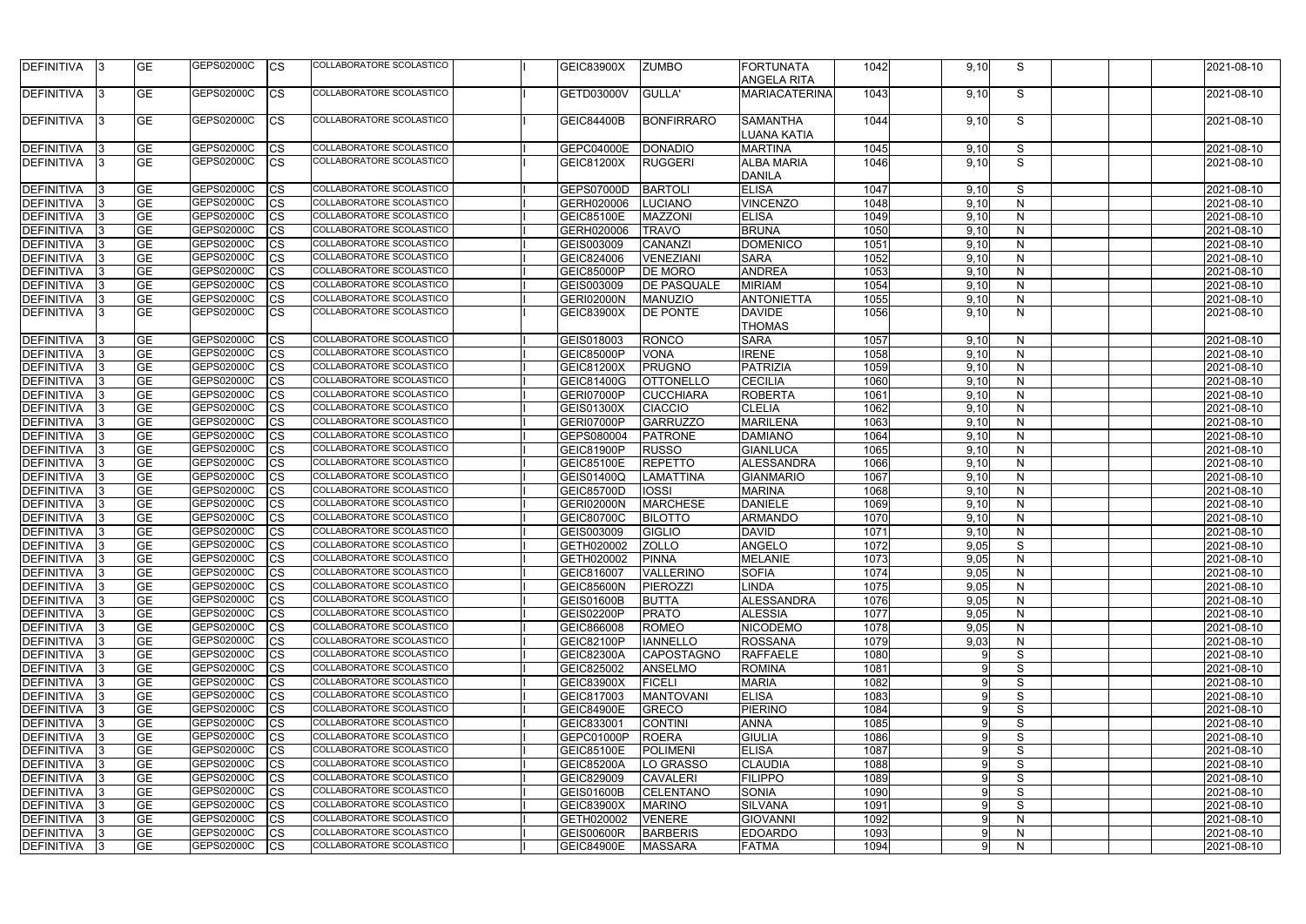| DEFINITIVA        |      | <b>GE</b> | <b>GEPS02000C</b> | СS         | COLLABORATORE SCOLASTICO        | <b>GEIC83900X</b> | <b>ZUMBO</b>       | <b>FORTUNATA</b><br><b>ANGELA RITA</b> | 1042 | 9,10     | S            |  | 2021-08-10 |
|-------------------|------|-----------|-------------------|------------|---------------------------------|-------------------|--------------------|----------------------------------------|------|----------|--------------|--|------------|
| DEFINITIVA        |      | <b>GE</b> | GEPS02000C        | СS         | COLLABORATORE SCOLASTICO        | GETD03000V        | <b>GULLA'</b>      | <b>MARIACATERINA</b>                   | 1043 | 9,10     | S            |  | 2021-08-10 |
| <b>DEFINITIVA</b> |      | <b>GE</b> | GEPS02000C        | СS         | COLLABORATORE SCOLASTICO        | <b>GEIC84400B</b> | <b>BONFIRRARO</b>  | <b>SAMANTHA</b><br><b>LUANA KATIA</b>  | 1044 | 9,10     | S            |  | 2021-08-10 |
| <b>DEFINITIVA</b> |      | <b>GE</b> | GEPS02000C        | СS         | COLLABORATORE SCOLASTICO        | GEPC04000E        | <b>DONADIO</b>     | <b>MARTINA</b>                         | 1045 | 9,10     | S            |  | 2021-08-10 |
| <b>DEFINITIVA</b> |      | <b>GE</b> | GEPS02000C        | CS         | COLLABORATORE SCOLASTICO        | <b>GEIC81200X</b> | <b>RUGGERI</b>     | <b>ALBA MARIA</b><br><b>DANILA</b>     | 1046 | 9,10     | S            |  | 2021-08-10 |
| DEFINITIVA        |      | <b>GE</b> | GEPS02000C        | СS         | COLLABORATORE SCOLASTICO        | <b>GEPS07000D</b> | <b>BARTOLI</b>     | <b>ELISA</b>                           | 1047 | 9,10     | S            |  | 2021-08-10 |
| <b>DEFINITIVA</b> |      | <b>GE</b> | GEPS02000C        | СS         | COLLABORATORE SCOLASTICO        | GERH020006        | LUCIANO            | <b>VINCENZO</b>                        | 1048 | 9,10     | N            |  | 2021-08-10 |
| <b>DEFINITIVA</b> |      | <b>GE</b> | GEPS02000C        | СS         | COLLABORATORE SCOLASTICO        | <b>GEIC85100E</b> | MAZZONI            | <b>ELISA</b>                           | 1049 | 9,10     | N            |  | 2021-08-10 |
| <b>DEFINITIVA</b> |      | <b>GE</b> | GEPS02000C        | СS         | COLLABORATORE SCOLASTICO        | GERH020006        | <b>TRAVO</b>       | <b>BRUNA</b>                           | 1050 | 9,10     | $\mathsf{N}$ |  | 2021-08-10 |
| <b>DEFINITIVA</b> |      | <b>GE</b> | GEPS02000C        | СS         | COLLABORATORE SCOLASTICO        | GEIS003009        | <b>CANANZI</b>     | <b>DOMENICO</b>                        | 1051 | 9,10     | $\mathsf{N}$ |  | 2021-08-10 |
| <b>DEFINITIVA</b> |      | <b>GE</b> | GEPS02000C        | СS         | COLLABORATORE SCOLASTICO        | GEIC824006        | <b>VENEZIANI</b>   | <b>SARA</b>                            | 1052 | 9,10     | $\mathsf{N}$ |  | 2021-08-10 |
| <b>DEFINITIVA</b> |      | <b>GE</b> | GEPS02000C        | СS         | COLLABORATORE SCOLASTICO        | <b>GEIC85000P</b> | <b>DE MORO</b>     | <b>ANDREA</b>                          | 1053 | 9,10     | $\mathsf{N}$ |  | 2021-08-10 |
| <b>DEFINITIVA</b> |      | <b>GE</b> | GEPS02000C        | СS         | COLLABORATORE SCOLASTICO        | GEIS003009        | <b>DE PASQUALE</b> | <b>MIRIAM</b>                          | 1054 | 9,10     | $\mathsf{N}$ |  | 2021-08-10 |
| <b>DEFINITIVA</b> |      | <b>GE</b> | GEPS02000C        | СS         | COLLABORATORE SCOLASTICO        | <b>GERI02000N</b> | <b>MANUZIO</b>     | <b>ANTONIETTA</b>                      | 1055 | 9,10     | $\mathsf{N}$ |  | 2021-08-10 |
| <b>DEFINITIVA</b> |      | <b>GE</b> | GEPS02000C        | СS         | COLLABORATORE SCOLASTICO        | <b>GEIC83900X</b> | <b>DE PONTE</b>    | <b>DAVIDE</b><br><b>THOMAS</b>         | 1056 | 9,10     | $\mathsf{N}$ |  | 2021-08-10 |
| <b>DEFINITIVA</b> |      | <b>GE</b> | GEPS02000C        | СS         | COLLABORATORE SCOLASTICO        | GEIS018003        | <b>RONCO</b>       | <b>SARA</b>                            | 1057 | 9,10     | N            |  | 2021-08-10 |
| <b>DEFINITIVA</b> |      | <b>GE</b> | GEPS02000C        | СS         | COLLABORATORE SCOLASTICO        | <b>GEIC85000P</b> | <b>VONA</b>        | <b>IRENE</b>                           | 1058 | 9,10     | N            |  | 2021-08-10 |
| <b>DEFINITIVA</b> |      | <b>GE</b> | GEPS02000C        | CS         | COLLABORATORE SCOLASTICO        | <b>GEIC81200X</b> | PRUGNO             | PATRIZIA                               | 1059 | 9,10     | $\mathsf{N}$ |  | 2021-08-10 |
| <b>DEFINITIVA</b> |      | <b>GE</b> | GEPS02000C        | СS         | COLLABORATORE SCOLASTICO        | GEIC81400G        | <b>OTTONELLO</b>   | <b>CECILIA</b>                         | 1060 | 9,10     | $\mathsf{N}$ |  | 2021-08-10 |
| <b>DEFINITIVA</b> |      | <b>GE</b> | GEPS02000C        | СS         | COLLABORATORE SCOLASTICO        | <b>GERI07000P</b> | <b>CUCCHIARA</b>   | <b>ROBERTA</b>                         | 1061 | 9,10     | $\mathsf{N}$ |  | 2021-08-10 |
| <b>DEFINITIVA</b> |      | <b>GE</b> | GEPS02000C        | СS         | COLLABORATORE SCOLASTICO        | <b>GEIS01300X</b> | <b>CIACCIO</b>     | <b>CLELIA</b>                          | 1062 | 9,10     | $\mathsf{N}$ |  | 2021-08-10 |
| <b>DEFINITIVA</b> |      | <b>GE</b> | GEPS02000C        | СS         | COLLABORATORE SCOLASTICO        | <b>GERI07000P</b> | <b>GARRUZZO</b>    | <b>MARILENA</b>                        | 1063 | 9,10     | $\mathsf{N}$ |  | 2021-08-10 |
| <b>DEFINITIVA</b> |      | <b>GE</b> | GEPS02000C        | СS         | COLLABORATORE SCOLASTICO        | GEPS080004        | <b>PATRONE</b>     | <b>DAMIANO</b>                         | 1064 | 9,10     | N            |  | 2021-08-10 |
| <b>DEFINITIVA</b> |      | <b>GE</b> | GEPS02000C        | СS         | COLLABORATORE SCOLASTICO        | <b>GEIC81900P</b> | <b>RUSSO</b>       | <b>GIANLUCA</b>                        | 1065 | 9,10     | N            |  | 2021-08-10 |
| <b>DEFINITIVA</b> |      | <b>GE</b> | GEPS02000C        | СS         | COLLABORATORE SCOLASTICO        | <b>GEIC85100E</b> | <b>REPETTO</b>     | ALESSANDRA                             | 1066 | 9,10     | $\mathsf{N}$ |  | 2021-08-10 |
| <b>DEFINITIVA</b> |      | <b>GE</b> | GEPS02000C        | СS         | COLLABORATORE SCOLASTICO        | GEIS01400Q        | <b>LAMATTINA</b>   | <b>GIANMARIO</b>                       | 1067 | 9,10     | N            |  | 2021-08-10 |
| <b>DEFINITIVA</b> |      | <b>GE</b> | GEPS02000C        | СS         | <b>COLLABORATORE SCOLASTICO</b> | <b>GEIC85700D</b> | <b>IOSSI</b>       | <b>MARINA</b>                          | 1068 | 9,10     | $\mathsf{N}$ |  | 2021-08-10 |
| <b>DEFINITIVA</b> |      | <b>GE</b> | GEPS02000C        | СS         | COLLABORATORE SCOLASTICO        | <b>GERI02000N</b> | <b>MARCHESE</b>    | <b>DANIELE</b>                         | 1069 | 9,10     | $\mathsf{N}$ |  | 2021-08-10 |
| <b>DEFINITIVA</b> |      | <b>GE</b> | GEPS02000C        | СS         | COLLABORATORE SCOLASTICO        | <b>GEIC80700C</b> | <b>BILOTTO</b>     | <b>ARMANDO</b>                         | 1070 | 9,10     | N            |  | 2021-08-10 |
| <b>DEFINITIVA</b> |      | <b>GE</b> | GEPS02000C        | СS         | COLLABORATORE SCOLASTICO        | GEIS003009        | <b>GIGLIO</b>      | <b>DAVID</b>                           | 1071 | 9,10     | $\mathsf{N}$ |  | 2021-08-10 |
| DEFINITIVA        |      | <b>GE</b> | GEPS02000C        | CS         | COLLABORATORE SCOLASTICO        | GETH020002        | <b>ZOLLO</b>       | <b>ANGELO</b>                          | 1072 | 9,05     | S            |  | 2021-08-10 |
| <b>DEFINITIVA</b> |      | <b>GE</b> | GEPS02000C        | CS         | COLLABORATORE SCOLASTICO        | GETH020002        | PINNA              | <b>MELANIE</b>                         | 1073 | 9,05     | N            |  | 2021-08-10 |
| DEFINITIVA        |      | <b>GE</b> | GEPS02000C        | СS         | COLLABORATORE SCOLASTICO        | GEIC816007        | <b>VALLERINO</b>   | <b>SOFIA</b>                           | 1074 | 9,05     | $\mathsf{N}$ |  | 2021-08-10 |
| DEFINITIVA        |      | <b>GE</b> | GEPS02000C        | <b>CS</b>  | COLLABORATORE SCOLASTICO        | <b>GEIC85600N</b> | PIEROZZI           | <b>LINDA</b>                           | 1075 | 9,05     | $\mathsf{N}$ |  | 2021-08-10 |
| DEFINITIVA        |      | <b>GE</b> | GEPS02000C        | СS         | COLLABORATORE SCOLASTICO        | <b>GEIS01600B</b> | <b>BUTTA</b>       | <b>ALESSANDRA</b>                      | 1076 | 9,05     | N            |  | 2021-08-10 |
| DEFINITIVA        |      | <b>GE</b> | GEPS02000C        | СS         | COLLABORATORE SCOLASTICO        | <b>GEIS02200P</b> | <b>PRATO</b>       | <b>ALESSIA</b>                         | 1077 | 9,05     | N            |  | 2021-08-10 |
| DEFINITIVA        | - 13 | <b>GE</b> | GEPS02000C        | СS         | COLLABORATORE SCOLASTICO        | GEIC866008        | <b>ROMEO</b>       | <b>NICODEMO</b>                        | 1078 | 9,05     | N            |  | 2021-08-10 |
| DEFINITIVA        |      | <b>GE</b> | GEPS02000C        | СS         | <b>COLLABORATORE SCOLASTICO</b> | <b>GEIC82100P</b> | <b>IANNELLO</b>    | <b>ROSSANA</b>                         | 1079 | 9,03     | N            |  | 2021-08-10 |
| DEFINITIVA        |      | <b>GE</b> | GEPS02000C        | СS         | <b>COLLABORATORE SCOLASTICO</b> | <b>GEIC82300A</b> | <b>CAPOSTAGNO</b>  | <b>RAFFAELE</b>                        | 1080 |          | S            |  | 2021-08-10 |
| DEFINITIVA        |      | <b>GE</b> | GEPS02000C        | СS         | COLLABORATORE SCOLASTICO        | GEIC825002        | <b>ANSELMO</b>     | <b>ROMINA</b>                          | 1081 | a        | S            |  | 2021-08-10 |
| <b>DEFINITIVA</b> |      | <b>GE</b> | GEPS02000C        | СS         | COLLABORATORE SCOLASTICO        | <b>GEIC83900X</b> | <b>FICELI</b>      | <b>MARIA</b>                           | 1082 |          | S            |  | 2021-08-10 |
| <b>DEFINITIVA</b> |      | <b>GE</b> | GEPS02000C        | СS         | COLLABORATORE SCOLASTICO        | GEIC817003        | <b>MANTOVANI</b>   | <b>ELISA</b>                           | 1083 |          | S            |  | 2021-08-10 |
| <b>DEFINITIVA</b> |      | <b>GE</b> | GEPS02000C        | CS         | COLLABORATORE SCOLASTICO        | <b>GEIC84900E</b> | <b>GRECO</b>       | <b>PIERINO</b>                         | 1084 |          | S            |  | 2021-08-10 |
| <b>DEFINITIVA</b> |      | <b>GE</b> | GEPS02000C        | СS         | COLLABORATORE SCOLASTICO        | GEIC833001        | <b>CONTINI</b>     | <b>ANNA</b>                            | 1085 |          | S            |  | 2021-08-10 |
| <b>DEFINITIVA</b> |      | <b>GE</b> | GEPS02000C        | СS         | COLLABORATORE SCOLASTICO        | GEPC01000P        | <b>ROERA</b>       | <b>GIULIA</b>                          | 1086 |          | S            |  | 2021-08-10 |
| DEFINITIVA        |      | <b>GE</b> | GEPS02000C        | СS         | COLLABORATORE SCOLASTICO        | <b>GEIC85100E</b> | <b>POLIMENI</b>    | <b>ELISA</b>                           | 1087 |          | S            |  | 2021-08-10 |
| DEFINITIVA        |      | <b>GE</b> | GEPS02000C        | СS         | COLLABORATORE SCOLASTICO        | <b>GEIC85200A</b> | LO GRASSO          | <b>CLAUDIA</b>                         | 1088 |          | S            |  | 2021-08-10 |
| DEFINITIVA        |      | <b>GE</b> | GEPS02000C        | СS         | COLLABORATORE SCOLASTICO        | GEIC829009        | <b>CAVALERI</b>    | <b>FILIPPO</b>                         | 1089 |          | S            |  | 2021-08-10 |
| DEFINITIVA        |      | <b>GE</b> | GEPS02000C        | CS         | COLLABORATORE SCOLASTICO        | <b>GEIS01600B</b> | <b>CELENTANO</b>   | <b>SONIA</b>                           | 1090 |          | S            |  | 2021-08-10 |
| DEFINITIVA        |      | <b>GE</b> | GEPS02000C        | СS         | COLLABORATORE SCOLASTICO        | <b>GEIC83900X</b> | <b>MARINO</b>      | <b>SILVANA</b>                         | 1091 |          | S            |  | 2021-08-10 |
| DEFINITIVA        |      | <b>GE</b> | GEPS02000C        | СS         | COLLABORATORE SCOLASTICO        | GETH020002        | <b>VENERE</b>      | <b>GIOVANNI</b>                        | 1092 | O        | N            |  | 2021-08-10 |
| DEFINITIVA        |      | <b>GE</b> | GEPS02000C        | CS         | COLLABORATORE SCOLASTICO        | <b>GEIS00600R</b> | <b>BARBERIS</b>    | <b>EDOARDO</b>                         | 1093 | <b>g</b> | N            |  | 2021-08-10 |
| DEFINITIVA        |      | <b>GE</b> | GEPS02000C        | <b>ICS</b> | COLLABORATORE SCOLASTICO        | <b>GEIC84900E</b> | <b>MASSARA</b>     | <b>FATMA</b>                           | 1094 | 9        | N            |  | 2021-08-10 |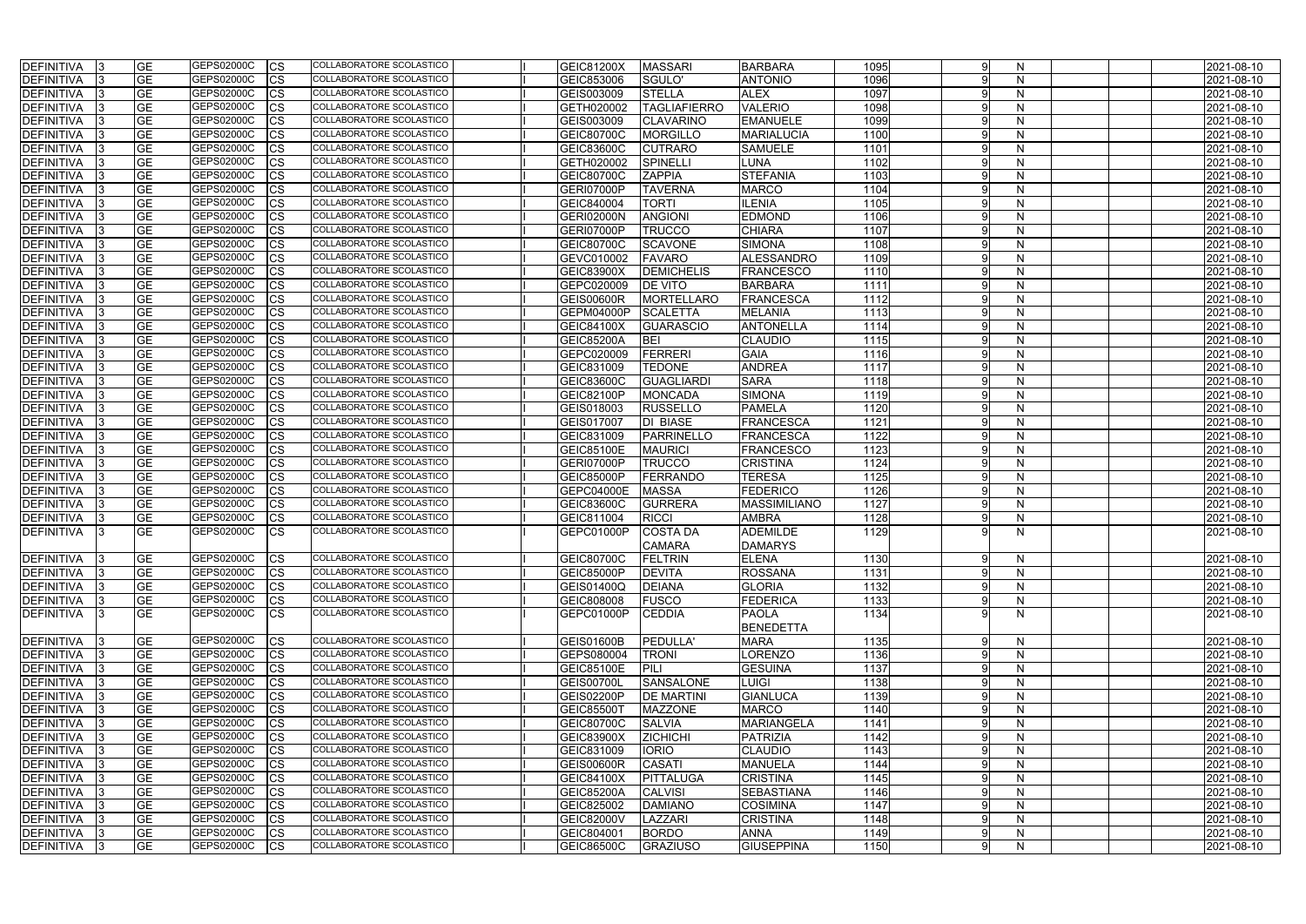| <b>GE</b><br>GEPS02000C<br><b>CS</b><br>COLLABORATORE SCOLASTICO<br>1096<br>N<br>GEIC853006<br>SGULO'<br><b>ANTONIO</b><br>2021-08-10<br><b>DEFINITIVA</b><br><b>GE</b><br>GEPS02000C<br>GEIS003009<br><b>STELLA</b><br>1097<br>$\mathsf{N}$<br><b>CS</b><br>COLLABORATORE SCOLASTICO<br><b>ALEX</b><br>2021-08-10<br>DEFINITIVA<br>GEPS02000C<br>1098<br>DEFINITIVA<br><b>GE</b><br><b>CS</b><br>COLLABORATORE SCOLASTICO<br>GETH020002<br><b>TAGLIAFIERRO</b><br><b>VALERIO</b><br>2021-08-10<br>N<br>GEPS02000C<br><b>GE</b><br><b>CS</b><br>COLLABORATORE SCOLASTICO<br>GEIS003009<br><b>CLAVARINO</b><br><b>EMANUELE</b><br>1099<br>$\mathsf{N}$<br>2021-08-10<br>DEFINITIVA<br>GEPS02000C<br><b>GE</b><br>COLLABORATORE SCOLASTICO<br><b>MARIALUCIA</b><br>1100<br><b>CS</b><br><b>GEIC80700C</b><br><b>MORGILLO</b><br>N<br>2021-08-10<br>DEFINITIVA<br>GEPS02000C<br>COLLABORATORE SCOLASTICO<br><b>GE</b><br><b>CS</b><br><b>GEIC83600C</b><br><b>CUTRARO</b><br><b>SAMUELE</b><br>1101<br>2021-08-10<br>DEFINITIVA<br>N<br><b>GE</b><br>GEPS02000C<br>COLLABORATORE SCOLASTICO<br>1102<br><b>CS</b><br>GETH020002<br>SPINELLI<br><b>LUNA</b><br>N<br>2021-08-10<br>DEFINITIVA<br><b>GE</b><br>GEPS02000C<br>COLLABORATORE SCOLASTICO<br><b>CS</b><br><b>STEFANIA</b><br>1103<br>N<br>2021-08-10<br>GEIC80700C<br><b>ZAPPIA</b><br><b>DEFINITIVA</b><br><b>GE</b><br>GEPS02000C<br><b>COLLABORATORE SCOLASTICO</b><br><b>TAVERNA</b><br>1104<br><b>CS</b><br><b>GERI07000P</b><br><b>MARCO</b><br>N<br>2021-08-10<br><b>DEFINITIVA</b><br><b>GE</b><br>GEPS02000C<br>COLLABORATORE SCOLASTICO<br><b>TORTI</b><br><b>ILENIA</b><br>1105<br><b>CS</b><br>GEIC840004<br>N<br>2021-08-10<br><b>DEFINITIVA</b><br><b>GE</b><br>GEPS02000C<br>COLLABORATORE SCOLASTICO<br><b>ANGIONI</b><br><b>EDMOND</b><br>1106<br><b>CS</b><br><b>GERI02000N</b><br>N<br>2021-08-10<br><b>DEFINITIVA</b><br><b>GE</b><br>GEPS02000C<br><b>CS</b><br>COLLABORATORE SCOLASTICO<br><b>CHIARA</b><br>1107<br><b>GERI07000P</b><br><b>TRUCCO</b><br>N<br>2021-08-10<br><b>DEFINITIVA</b><br><b>GE</b><br>GEPS02000C<br>1108<br><b>CS</b><br>COLLABORATORE SCOLASTICO<br><b>GEIC80700C</b><br><b>SCAVONE</b><br><b>SIMONA</b><br>N<br>2021-08-10<br><b>DEFINITIVA</b><br><b>GE</b><br>GEPS02000C<br><b>CS</b><br>COLLABORATORE SCOLASTICO<br>1109<br>GEVC010002<br><b>ALESSANDRO</b><br>N<br>2021-08-10<br><b>DEFINITIVA</b><br><b>FAVARO</b><br><b>GE</b><br>GEPS02000C<br>COLLABORATORE SCOLASTICO<br>1110<br>DEFINITIVA<br><b>CS</b><br><b>GEIC83900X</b><br><b>FRANCESCO</b><br>N<br>2021-08-10<br><b>DEMICHELIS</b><br>GEPS02000C<br>GEPC020009<br>1111<br>DEFINITIVA<br><b>GE</b><br><b>CS</b><br><b>COLLABORATORE SCOLASTICO</b><br><b>DE VITO</b><br><b>BARBARA</b><br>N<br>2021-08-10<br>GEPS02000C<br>COLLABORATORE SCOLASTICO<br>1112<br><b>GE</b><br><b>CS</b><br><b>GEIS00600R</b><br><b>MORTELLARO</b><br><b>FRANCESCA</b><br>N<br>2021-08-10<br>DEFINITIVA<br><b>GE</b><br>GEPS02000C<br><b>COLLABORATORE SCOLASTICO</b><br>1113<br><b>CS</b><br>GEPM04000P<br><b>SCALETTA</b><br><b>MELANIA</b><br>N<br>2021-08-10<br>DEFINITIVA<br><b>GE</b><br>GEPS02000C<br><b>COLLABORATORE SCOLASTICO</b><br><b>ANTONELLA</b><br>1114<br><b>CS</b><br><b>GEIC84100X</b><br><b>GUARASCIO</b><br>N<br>2021-08-10<br> DEFINITIVA<br><b>GE</b><br>GEPS02000C<br>COLLABORATORE SCOLASTICO<br><b>BEI</b><br>1115<br><b>CS</b><br><b>GEIC85200A</b><br><b>CLAUDIO</b><br>N<br>2021-08-10<br><b>DEFINITIVA</b><br>a<br><b>GE</b><br>GEPS02000C<br>COLLABORATORE SCOLASTICO<br>1116<br>GEPC020009<br>FERRERI<br><b>GAIA</b><br><b>CS</b><br>N<br>2021-08-10<br><b>DEFINITIVA</b><br>COLLABORATORE SCOLASTICO<br><b>GE</b><br>GEPS02000C<br>GEIC831009<br><b>TEDONE</b><br><b>ANDREA</b><br>1117<br><b>CS</b><br>N<br>2021-08-10<br>DEFINITIVA<br><b>GE</b><br>GEPS02000C<br><b>CS</b><br>COLLABORATORE SCOLASTICO<br>GEIC83600C<br><b>GUAGLIARDI</b><br><b>SARA</b><br>1118<br>N<br>2021-08-10<br>DEFINITIVA<br><b>GE</b><br>GEPS02000C<br>1119<br>COLLABORATORE SCOLASTICO<br><b>SIMONA</b><br><b>CS</b><br><b>GEIC82100P</b><br>MONCADA<br>N<br>2021-08-10<br>DEFINITIVA<br><b>GE</b><br>GEPS02000C<br>COLLABORATORE SCOLASTICO<br><b>PAMELA</b><br>1120<br><b>CS</b><br>GEIS018003<br><b>RUSSELLO</b><br>N<br>2021-08-10<br>DEFINITIVA<br><b>GE</b><br>GEPS02000C<br><b>CS</b><br><b>FRANCESCA</b><br>1121<br>COLLABORATORE SCOLASTICO<br>GEIS017007<br><b>DI BIASE</b><br>N<br>2021-08-10<br><b>DEFINITIVA</b><br><b>GE</b><br>1122<br>GEPS02000C<br><b>CS</b><br>COLLABORATORE SCOLASTICO<br>GEIC831009<br>PARRINELLO<br><b>FRANCESCA</b><br>N<br>2021-08-10<br>DEFINITIVA<br><b>GE</b><br>GEPS02000C<br>COLLABORATORE SCOLASTICO<br>1123<br>DEFINITIVA<br><b>CS</b><br><b>GEIC85100E</b><br><b>MAURICI</b><br><b>FRANCESCO</b><br>N<br>2021-08-10<br>GEPS02000C<br><b>GE</b><br><b>CS</b><br>COLLABORATORE SCOLASTICO<br><b>TRUCCO</b><br><b>CRISTINA</b><br>1124<br>DEFINITIVA<br>GERI07000P<br>N<br>2021-08-10<br><b>GE</b><br>GEPS02000C<br><b>COLLABORATORE SCOLASTICO</b><br>FERRANDO<br>1125<br><b>CS</b><br><b>GEIC85000P</b><br><b>TERESA</b><br>N<br>2021-08-10<br>DEFINITIVA<br><b>GE</b><br>GEPS02000C<br>COLLABORATORE SCOLASTICO<br><b>FEDERICO</b><br>1126<br><b>CS</b><br>GEPC04000E<br><b>MASSA</b><br>N<br>2021-08-10<br><b>DEFINITIVA</b><br>GEPS02000C<br>COLLABORATORE SCOLASTICO<br>1127<br><b>GE</b><br><b>CS</b><br>GURRERA<br><b>MASSIMILIANO</b><br>2021-08-10<br><b>GEIC83600C</b><br>q<br>N<br> DEFINITIVA<br><b>GE</b><br>GEPS02000C<br>COLLABORATORE SCOLASTICO<br><b>RICCI</b><br><b>AMBRA</b><br>1128<br><b>CS</b><br>GEIC811004<br>N<br>2021-08-10<br>DEFINITIVA<br>a<br><b>IGE</b><br>COLLABORATORE SCOLASTICO<br>GEPS02000C<br>GEPC01000P<br><b>COSTA DA</b><br><b>ADEMILDE</b><br>1129<br>ICS<br>N.<br>2021-08-10<br><b>DAMARYS</b><br><b>CAMARA</b><br>GEPS02000C<br><b>GE</b><br>$ {\rm CS}$<br>COLLABORATORE SCOLASTICO<br><b>ELENA</b><br>DEFINITIVA 3<br><b>GEIC80700C</b><br>FELTRIN<br>1130<br>2021-08-10<br>N<br>GEPS02000C<br>COLLABORATORE SCOLASTICO<br>DEFINITIVA 3<br><b>GE</b><br><b>CS</b><br>GEIC85000P<br><b>DEVITA</b><br><b>ROSSANA</b><br>1131<br>N<br>2021-08-10<br>GEPS02000C<br>COLLABORATORE SCOLASTICO<br><b>GE</b><br><b>CS</b><br><b>GLORIA</b><br>1132<br>$\mathsf{N}$<br><b>GEIS01400Q</b><br><b>DEIANA</b><br>2021-08-10<br>DEFINITIVA  3<br>GEPS02000C<br>COLLABORATORE SCOLASTICO<br><b>GE</b><br>1133<br>DEFINITIVA 3<br><b>CS</b><br>GEIC808008<br><b>FUSCO</b><br><b>FEDERICA</b><br>N<br>2021-08-10<br><b>GE</b><br>GEPS02000C<br>COLLABORATORE SCOLASTICO<br>1134<br>DEFINITIVA 3<br><b>CS</b><br>GEPC01000P<br><b>CEDDIA</b><br><b>PAOLA</b><br>N<br>2021-08-10<br><b>BENEDETTA</b><br>GEPS02000C<br>COLLABORATORE SCOLASTICO<br><b>CS</b><br><b>MARA</b><br>1135<br>2021-08-10<br>DEFINITIVA 3<br><b>GE</b><br><b>GEIS01600B</b><br>PEDULLA'<br>N<br>a<br>GEPS02000C<br><b>GE</b><br>COLLABORATORE SCOLASTICO<br>GEPS080004<br><b>TRONI</b><br><b>LORENZO</b><br>1136<br>2021-08-10<br>DEFINITIVA 3<br><b>CS</b><br>N<br>GEPS02000C<br>COLLABORATORE SCOLASTICO<br><b>GE</b><br><b>GESUINA</b><br>1137<br>2021-08-10<br>DEFINITIVA 3<br><b>CS</b><br><b>GEIC85100E</b><br>PILI<br>N<br>a<br>GEPS02000C<br>COLLABORATORE SCOLASTICO<br><b>GE</b><br><b>GEIS00700L</b><br><b>SANSALONE</b><br><b>LUIGI</b><br>1138<br><b>CS</b><br>N<br>2021-08-10<br>DEFINITIVA<br>GEPS02000C<br>COLLABORATORE SCOLASTICO<br><b>GE</b><br>GEIS02200P<br><b>GIANLUCA</b><br>1139<br><b>CS</b><br><b>DE MARTINI</b><br>2021-08-10<br>N<br>- 13<br><b>GE</b><br>GEPS02000C<br>COLLABORATORE SCOLASTICO<br><b>GEIC85500T</b><br>MAZZONE<br>1140<br>DEFINITIVA 3<br><b>CS</b><br><b>MARCO</b><br>N<br>2021-08-10<br><b>GE</b><br>GEPS02000C<br>COLLABORATORE SCOLASTICO<br><b>MARIANGELA</b><br>1141<br>DEFINITIVA 3<br><b>CS</b><br><b>GEIC80700C</b><br><b>SALVIA</b><br>N<br>2021-08-10<br><b>GE</b><br>GEPS02000C<br>COLLABORATORE SCOLASTICO<br>PATRIZIA<br>1142<br>DEFINITIVA 3<br><b>CS</b><br><b>GEIC83900X</b><br><b>ZICHICHI</b><br>2021-08-10<br>N<br><b>GE</b><br>GEPS02000C<br>COLLABORATORE SCOLASTICO<br>1143<br>DEFINITIVA 3<br><b>CS</b><br>GEIC831009<br><b>IORIO</b><br><b>CLAUDIO</b><br>N<br>2021-08-10<br><b>GE</b><br>GEPS02000C<br><b>CS</b><br>COLLABORATORE SCOLASTICO<br><b>GEIS00600R</b><br><b>CASATI</b><br>1144<br>$\mathsf{N}$<br>DEFINITIVA 3<br><b>MANUELA</b><br>2021-08-10<br><b>GE</b><br>GEPS02000C<br>COLLABORATORE SCOLASTICO<br><b>CRISTINA</b><br>1145<br>DEFINITIVA 3<br><b>CS</b><br><b>GEIC84100X</b><br>PITTALUGA<br>N<br>2021-08-10<br>GEPS02000C<br>COLLABORATORE SCOLASTICO<br><b>GE</b><br><b>GEIC85200A</b><br><b>SEBASTIANA</b><br>1146<br>DEFINITIVA 3<br><b>CS</b><br><b>CALVISI</b><br>N<br>2021-08-10<br>GEPS02000C<br>1147<br>DEFINITIVA 3<br><b>GE</b><br><b>CS</b><br>COLLABORATORE SCOLASTICO<br>GEIC825002<br><b>COSIMINA</b><br>$\mathsf{N}$<br><b>DAMIANO</b><br>2021-08-10<br>GEPS02000C<br>COLLABORATORE SCOLASTICO<br><b>GE</b><br><b>GEIC82000V</b><br>1148<br>DEFINITIVA 3<br><b>ICS</b><br>LAZZARI<br><b>CRISTINA</b><br>2021-08-10<br>N<br>GEPS02000C<br>COLLABORATORE SCOLASTICO<br><b>GE</b><br>GEIC804001<br>1149<br>2021-08-10<br>DEFINITIVA 3<br><b>CS</b><br><b>BORDO</b><br><b>ANNA</b><br>N<br><b>GE</b><br>GEPS02000C<br>COLLABORATORE SCOLASTICO<br>1150<br><b>CS</b><br>GRAZIUSO<br><b>GIUSEPPINA</b><br>DEFINITIVA 3<br><b>GEIC86500C</b><br>9<br>N<br>2021-08-10 | DEFINITIVA 3      | <b>GE</b> | GEPS02000C | <b>CS</b> | COLLABORATORE SCOLASTICO | <b>GEIC81200X</b> | <b>MASSARI</b> | <b>BARBARA</b> | 1095 | <sub>N</sub> |  | 2021-08-10 |
|-------------------------------------------------------------------------------------------------------------------------------------------------------------------------------------------------------------------------------------------------------------------------------------------------------------------------------------------------------------------------------------------------------------------------------------------------------------------------------------------------------------------------------------------------------------------------------------------------------------------------------------------------------------------------------------------------------------------------------------------------------------------------------------------------------------------------------------------------------------------------------------------------------------------------------------------------------------------------------------------------------------------------------------------------------------------------------------------------------------------------------------------------------------------------------------------------------------------------------------------------------------------------------------------------------------------------------------------------------------------------------------------------------------------------------------------------------------------------------------------------------------------------------------------------------------------------------------------------------------------------------------------------------------------------------------------------------------------------------------------------------------------------------------------------------------------------------------------------------------------------------------------------------------------------------------------------------------------------------------------------------------------------------------------------------------------------------------------------------------------------------------------------------------------------------------------------------------------------------------------------------------------------------------------------------------------------------------------------------------------------------------------------------------------------------------------------------------------------------------------------------------------------------------------------------------------------------------------------------------------------------------------------------------------------------------------------------------------------------------------------------------------------------------------------------------------------------------------------------------------------------------------------------------------------------------------------------------------------------------------------------------------------------------------------------------------------------------------------------------------------------------------------------------------------------------------------------------------------------------------------------------------------------------------------------------------------------------------------------------------------------------------------------------------------------------------------------------------------------------------------------------------------------------------------------------------------------------------------------------------------------------------------------------------------------------------------------------------------------------------------------------------------------------------------------------------------------------------------------------------------------------------------------------------------------------------------------------------------------------------------------------------------------------------------------------------------------------------------------------------------------------------------------------------------------------------------------------------------------------------------------------------------------------------------------------------------------------------------------------------------------------------------------------------------------------------------------------------------------------------------------------------------------------------------------------------------------------------------------------------------------------------------------------------------------------------------------------------------------------------------------------------------------------------------------------------------------------------------------------------------------------------------------------------------------------------------------------------------------------------------------------------------------------------------------------------------------------------------------------------------------------------------------------------------------------------------------------------------------------------------------------------------------------------------------------------------------------------------------------------------------------------------------------------------------------------------------------------------------------------------------------------------------------------------------------------------------------------------------------------------------------------------------------------------------------------------------------------------------------------------------------------------------------------------------------------------------------------------------------------------------------------------------------------------------------------------------------------------------------------------------------------------------------------------------------------------------------------------------------------------------------------------------------------------------------------------------------------------------------------------------------------------------------------------------------------------------------------------------------------------------------------------------------------------------------------------------------------------------------------------------------------------------------------------------------------------------------------------------------------------------------------------------------------------------------------------------------------------------------------------------------------------------------------------------------------------------------------------------------------------------------------------------------------------------------------------------------------------------------------------------------------------------------------------------------------------------------------------------------------------------------------------------------------------------------------------------------------------------------------------------------------------------------------------------------------------------------------------------------------------------------------------------------------------------------------------------------------------------------------------------------------------------------------------------------------------------------------------------------------------------------------------------------------------------------------------------------------------------------------------------------------------------------------------------------------------------------------------------------------------------------------------------------------------------------------------------------------------------------------------------------------------------------------------------------------------------------------------------------------------------------------------------------------------------------------------------------------------------------------------------------------------------------------------------------------------------------------------------------------------------------------------------------------------------------------------------------------------------------------------------------------------------------------------------------------------------------------------------------------------------------------------------------------------------------------------------------------------------------------------------------------------------------------------------------------------------------------------------------------------------------------------------------------------------------------------------------------------------------------------------------------------------------------------------------------------------------------------------------------------------------------------------------------------------------------------------------------------------------------------------------------------------------------------------------------------------------------------------------------------------------------------------------------------------------------------------------------------------------------|-------------------|-----------|------------|-----------|--------------------------|-------------------|----------------|----------------|------|--------------|--|------------|
|                                                                                                                                                                                                                                                                                                                                                                                                                                                                                                                                                                                                                                                                                                                                                                                                                                                                                                                                                                                                                                                                                                                                                                                                                                                                                                                                                                                                                                                                                                                                                                                                                                                                                                                                                                                                                                                                                                                                                                                                                                                                                                                                                                                                                                                                                                                                                                                                                                                                                                                                                                                                                                                                                                                                                                                                                                                                                                                                                                                                                                                                                                                                                                                                                                                                                                                                                                                                                                                                                                                                                                                                                                                                                                                                                                                                                                                                                                                                                                                                                                                                                                                                                                                                                                                                                                                                                                                                                                                                                                                                                                                                                                                                                                                                                                                                                                                                                                                                                                                                                                                                                                                                                                                                                                                                                                                                                                                                                                                                                                                                                                                                                                                                                                                                                                                                                                                                                                                                                                                                                                                                                                                                                                                                                                                                                                                                                                                                                                                                                                                                                                                                                                                                                                                                                                                                                                                                                                                                                                                                                                                                                                                                                                                                                                                                                                                                                                                                                                                                                                                                                                                                                                                                                                                                                                                                                                                                                                                                                                                                                                                                                                                                                                                                                                                                                                                                                                                                                                                                                                                                                                                                                                                                                                                                                                                                                                                                                                                                                                                                                                                                                                                                                                                                                                                                                                                                                                                                                                                                                           |                   |           |            |           |                          |                   |                |                |      |              |  |            |
|                                                                                                                                                                                                                                                                                                                                                                                                                                                                                                                                                                                                                                                                                                                                                                                                                                                                                                                                                                                                                                                                                                                                                                                                                                                                                                                                                                                                                                                                                                                                                                                                                                                                                                                                                                                                                                                                                                                                                                                                                                                                                                                                                                                                                                                                                                                                                                                                                                                                                                                                                                                                                                                                                                                                                                                                                                                                                                                                                                                                                                                                                                                                                                                                                                                                                                                                                                                                                                                                                                                                                                                                                                                                                                                                                                                                                                                                                                                                                                                                                                                                                                                                                                                                                                                                                                                                                                                                                                                                                                                                                                                                                                                                                                                                                                                                                                                                                                                                                                                                                                                                                                                                                                                                                                                                                                                                                                                                                                                                                                                                                                                                                                                                                                                                                                                                                                                                                                                                                                                                                                                                                                                                                                                                                                                                                                                                                                                                                                                                                                                                                                                                                                                                                                                                                                                                                                                                                                                                                                                                                                                                                                                                                                                                                                                                                                                                                                                                                                                                                                                                                                                                                                                                                                                                                                                                                                                                                                                                                                                                                                                                                                                                                                                                                                                                                                                                                                                                                                                                                                                                                                                                                                                                                                                                                                                                                                                                                                                                                                                                                                                                                                                                                                                                                                                                                                                                                                                                                                                                                           |                   |           |            |           |                          |                   |                |                |      |              |  |            |
|                                                                                                                                                                                                                                                                                                                                                                                                                                                                                                                                                                                                                                                                                                                                                                                                                                                                                                                                                                                                                                                                                                                                                                                                                                                                                                                                                                                                                                                                                                                                                                                                                                                                                                                                                                                                                                                                                                                                                                                                                                                                                                                                                                                                                                                                                                                                                                                                                                                                                                                                                                                                                                                                                                                                                                                                                                                                                                                                                                                                                                                                                                                                                                                                                                                                                                                                                                                                                                                                                                                                                                                                                                                                                                                                                                                                                                                                                                                                                                                                                                                                                                                                                                                                                                                                                                                                                                                                                                                                                                                                                                                                                                                                                                                                                                                                                                                                                                                                                                                                                                                                                                                                                                                                                                                                                                                                                                                                                                                                                                                                                                                                                                                                                                                                                                                                                                                                                                                                                                                                                                                                                                                                                                                                                                                                                                                                                                                                                                                                                                                                                                                                                                                                                                                                                                                                                                                                                                                                                                                                                                                                                                                                                                                                                                                                                                                                                                                                                                                                                                                                                                                                                                                                                                                                                                                                                                                                                                                                                                                                                                                                                                                                                                                                                                                                                                                                                                                                                                                                                                                                                                                                                                                                                                                                                                                                                                                                                                                                                                                                                                                                                                                                                                                                                                                                                                                                                                                                                                                                                           |                   |           |            |           |                          |                   |                |                |      |              |  |            |
|                                                                                                                                                                                                                                                                                                                                                                                                                                                                                                                                                                                                                                                                                                                                                                                                                                                                                                                                                                                                                                                                                                                                                                                                                                                                                                                                                                                                                                                                                                                                                                                                                                                                                                                                                                                                                                                                                                                                                                                                                                                                                                                                                                                                                                                                                                                                                                                                                                                                                                                                                                                                                                                                                                                                                                                                                                                                                                                                                                                                                                                                                                                                                                                                                                                                                                                                                                                                                                                                                                                                                                                                                                                                                                                                                                                                                                                                                                                                                                                                                                                                                                                                                                                                                                                                                                                                                                                                                                                                                                                                                                                                                                                                                                                                                                                                                                                                                                                                                                                                                                                                                                                                                                                                                                                                                                                                                                                                                                                                                                                                                                                                                                                                                                                                                                                                                                                                                                                                                                                                                                                                                                                                                                                                                                                                                                                                                                                                                                                                                                                                                                                                                                                                                                                                                                                                                                                                                                                                                                                                                                                                                                                                                                                                                                                                                                                                                                                                                                                                                                                                                                                                                                                                                                                                                                                                                                                                                                                                                                                                                                                                                                                                                                                                                                                                                                                                                                                                                                                                                                                                                                                                                                                                                                                                                                                                                                                                                                                                                                                                                                                                                                                                                                                                                                                                                                                                                                                                                                                                                           |                   |           |            |           |                          |                   |                |                |      |              |  |            |
|                                                                                                                                                                                                                                                                                                                                                                                                                                                                                                                                                                                                                                                                                                                                                                                                                                                                                                                                                                                                                                                                                                                                                                                                                                                                                                                                                                                                                                                                                                                                                                                                                                                                                                                                                                                                                                                                                                                                                                                                                                                                                                                                                                                                                                                                                                                                                                                                                                                                                                                                                                                                                                                                                                                                                                                                                                                                                                                                                                                                                                                                                                                                                                                                                                                                                                                                                                                                                                                                                                                                                                                                                                                                                                                                                                                                                                                                                                                                                                                                                                                                                                                                                                                                                                                                                                                                                                                                                                                                                                                                                                                                                                                                                                                                                                                                                                                                                                                                                                                                                                                                                                                                                                                                                                                                                                                                                                                                                                                                                                                                                                                                                                                                                                                                                                                                                                                                                                                                                                                                                                                                                                                                                                                                                                                                                                                                                                                                                                                                                                                                                                                                                                                                                                                                                                                                                                                                                                                                                                                                                                                                                                                                                                                                                                                                                                                                                                                                                                                                                                                                                                                                                                                                                                                                                                                                                                                                                                                                                                                                                                                                                                                                                                                                                                                                                                                                                                                                                                                                                                                                                                                                                                                                                                                                                                                                                                                                                                                                                                                                                                                                                                                                                                                                                                                                                                                                                                                                                                                                                           |                   |           |            |           |                          |                   |                |                |      |              |  |            |
|                                                                                                                                                                                                                                                                                                                                                                                                                                                                                                                                                                                                                                                                                                                                                                                                                                                                                                                                                                                                                                                                                                                                                                                                                                                                                                                                                                                                                                                                                                                                                                                                                                                                                                                                                                                                                                                                                                                                                                                                                                                                                                                                                                                                                                                                                                                                                                                                                                                                                                                                                                                                                                                                                                                                                                                                                                                                                                                                                                                                                                                                                                                                                                                                                                                                                                                                                                                                                                                                                                                                                                                                                                                                                                                                                                                                                                                                                                                                                                                                                                                                                                                                                                                                                                                                                                                                                                                                                                                                                                                                                                                                                                                                                                                                                                                                                                                                                                                                                                                                                                                                                                                                                                                                                                                                                                                                                                                                                                                                                                                                                                                                                                                                                                                                                                                                                                                                                                                                                                                                                                                                                                                                                                                                                                                                                                                                                                                                                                                                                                                                                                                                                                                                                                                                                                                                                                                                                                                                                                                                                                                                                                                                                                                                                                                                                                                                                                                                                                                                                                                                                                                                                                                                                                                                                                                                                                                                                                                                                                                                                                                                                                                                                                                                                                                                                                                                                                                                                                                                                                                                                                                                                                                                                                                                                                                                                                                                                                                                                                                                                                                                                                                                                                                                                                                                                                                                                                                                                                                                                           |                   |           |            |           |                          |                   |                |                |      |              |  |            |
|                                                                                                                                                                                                                                                                                                                                                                                                                                                                                                                                                                                                                                                                                                                                                                                                                                                                                                                                                                                                                                                                                                                                                                                                                                                                                                                                                                                                                                                                                                                                                                                                                                                                                                                                                                                                                                                                                                                                                                                                                                                                                                                                                                                                                                                                                                                                                                                                                                                                                                                                                                                                                                                                                                                                                                                                                                                                                                                                                                                                                                                                                                                                                                                                                                                                                                                                                                                                                                                                                                                                                                                                                                                                                                                                                                                                                                                                                                                                                                                                                                                                                                                                                                                                                                                                                                                                                                                                                                                                                                                                                                                                                                                                                                                                                                                                                                                                                                                                                                                                                                                                                                                                                                                                                                                                                                                                                                                                                                                                                                                                                                                                                                                                                                                                                                                                                                                                                                                                                                                                                                                                                                                                                                                                                                                                                                                                                                                                                                                                                                                                                                                                                                                                                                                                                                                                                                                                                                                                                                                                                                                                                                                                                                                                                                                                                                                                                                                                                                                                                                                                                                                                                                                                                                                                                                                                                                                                                                                                                                                                                                                                                                                                                                                                                                                                                                                                                                                                                                                                                                                                                                                                                                                                                                                                                                                                                                                                                                                                                                                                                                                                                                                                                                                                                                                                                                                                                                                                                                                                                           |                   |           |            |           |                          |                   |                |                |      |              |  |            |
|                                                                                                                                                                                                                                                                                                                                                                                                                                                                                                                                                                                                                                                                                                                                                                                                                                                                                                                                                                                                                                                                                                                                                                                                                                                                                                                                                                                                                                                                                                                                                                                                                                                                                                                                                                                                                                                                                                                                                                                                                                                                                                                                                                                                                                                                                                                                                                                                                                                                                                                                                                                                                                                                                                                                                                                                                                                                                                                                                                                                                                                                                                                                                                                                                                                                                                                                                                                                                                                                                                                                                                                                                                                                                                                                                                                                                                                                                                                                                                                                                                                                                                                                                                                                                                                                                                                                                                                                                                                                                                                                                                                                                                                                                                                                                                                                                                                                                                                                                                                                                                                                                                                                                                                                                                                                                                                                                                                                                                                                                                                                                                                                                                                                                                                                                                                                                                                                                                                                                                                                                                                                                                                                                                                                                                                                                                                                                                                                                                                                                                                                                                                                                                                                                                                                                                                                                                                                                                                                                                                                                                                                                                                                                                                                                                                                                                                                                                                                                                                                                                                                                                                                                                                                                                                                                                                                                                                                                                                                                                                                                                                                                                                                                                                                                                                                                                                                                                                                                                                                                                                                                                                                                                                                                                                                                                                                                                                                                                                                                                                                                                                                                                                                                                                                                                                                                                                                                                                                                                                                                           |                   |           |            |           |                          |                   |                |                |      |              |  |            |
|                                                                                                                                                                                                                                                                                                                                                                                                                                                                                                                                                                                                                                                                                                                                                                                                                                                                                                                                                                                                                                                                                                                                                                                                                                                                                                                                                                                                                                                                                                                                                                                                                                                                                                                                                                                                                                                                                                                                                                                                                                                                                                                                                                                                                                                                                                                                                                                                                                                                                                                                                                                                                                                                                                                                                                                                                                                                                                                                                                                                                                                                                                                                                                                                                                                                                                                                                                                                                                                                                                                                                                                                                                                                                                                                                                                                                                                                                                                                                                                                                                                                                                                                                                                                                                                                                                                                                                                                                                                                                                                                                                                                                                                                                                                                                                                                                                                                                                                                                                                                                                                                                                                                                                                                                                                                                                                                                                                                                                                                                                                                                                                                                                                                                                                                                                                                                                                                                                                                                                                                                                                                                                                                                                                                                                                                                                                                                                                                                                                                                                                                                                                                                                                                                                                                                                                                                                                                                                                                                                                                                                                                                                                                                                                                                                                                                                                                                                                                                                                                                                                                                                                                                                                                                                                                                                                                                                                                                                                                                                                                                                                                                                                                                                                                                                                                                                                                                                                                                                                                                                                                                                                                                                                                                                                                                                                                                                                                                                                                                                                                                                                                                                                                                                                                                                                                                                                                                                                                                                                                                           |                   |           |            |           |                          |                   |                |                |      |              |  |            |
|                                                                                                                                                                                                                                                                                                                                                                                                                                                                                                                                                                                                                                                                                                                                                                                                                                                                                                                                                                                                                                                                                                                                                                                                                                                                                                                                                                                                                                                                                                                                                                                                                                                                                                                                                                                                                                                                                                                                                                                                                                                                                                                                                                                                                                                                                                                                                                                                                                                                                                                                                                                                                                                                                                                                                                                                                                                                                                                                                                                                                                                                                                                                                                                                                                                                                                                                                                                                                                                                                                                                                                                                                                                                                                                                                                                                                                                                                                                                                                                                                                                                                                                                                                                                                                                                                                                                                                                                                                                                                                                                                                                                                                                                                                                                                                                                                                                                                                                                                                                                                                                                                                                                                                                                                                                                                                                                                                                                                                                                                                                                                                                                                                                                                                                                                                                                                                                                                                                                                                                                                                                                                                                                                                                                                                                                                                                                                                                                                                                                                                                                                                                                                                                                                                                                                                                                                                                                                                                                                                                                                                                                                                                                                                                                                                                                                                                                                                                                                                                                                                                                                                                                                                                                                                                                                                                                                                                                                                                                                                                                                                                                                                                                                                                                                                                                                                                                                                                                                                                                                                                                                                                                                                                                                                                                                                                                                                                                                                                                                                                                                                                                                                                                                                                                                                                                                                                                                                                                                                                                                           |                   |           |            |           |                          |                   |                |                |      |              |  |            |
|                                                                                                                                                                                                                                                                                                                                                                                                                                                                                                                                                                                                                                                                                                                                                                                                                                                                                                                                                                                                                                                                                                                                                                                                                                                                                                                                                                                                                                                                                                                                                                                                                                                                                                                                                                                                                                                                                                                                                                                                                                                                                                                                                                                                                                                                                                                                                                                                                                                                                                                                                                                                                                                                                                                                                                                                                                                                                                                                                                                                                                                                                                                                                                                                                                                                                                                                                                                                                                                                                                                                                                                                                                                                                                                                                                                                                                                                                                                                                                                                                                                                                                                                                                                                                                                                                                                                                                                                                                                                                                                                                                                                                                                                                                                                                                                                                                                                                                                                                                                                                                                                                                                                                                                                                                                                                                                                                                                                                                                                                                                                                                                                                                                                                                                                                                                                                                                                                                                                                                                                                                                                                                                                                                                                                                                                                                                                                                                                                                                                                                                                                                                                                                                                                                                                                                                                                                                                                                                                                                                                                                                                                                                                                                                                                                                                                                                                                                                                                                                                                                                                                                                                                                                                                                                                                                                                                                                                                                                                                                                                                                                                                                                                                                                                                                                                                                                                                                                                                                                                                                                                                                                                                                                                                                                                                                                                                                                                                                                                                                                                                                                                                                                                                                                                                                                                                                                                                                                                                                                                                           |                   |           |            |           |                          |                   |                |                |      |              |  |            |
|                                                                                                                                                                                                                                                                                                                                                                                                                                                                                                                                                                                                                                                                                                                                                                                                                                                                                                                                                                                                                                                                                                                                                                                                                                                                                                                                                                                                                                                                                                                                                                                                                                                                                                                                                                                                                                                                                                                                                                                                                                                                                                                                                                                                                                                                                                                                                                                                                                                                                                                                                                                                                                                                                                                                                                                                                                                                                                                                                                                                                                                                                                                                                                                                                                                                                                                                                                                                                                                                                                                                                                                                                                                                                                                                                                                                                                                                                                                                                                                                                                                                                                                                                                                                                                                                                                                                                                                                                                                                                                                                                                                                                                                                                                                                                                                                                                                                                                                                                                                                                                                                                                                                                                                                                                                                                                                                                                                                                                                                                                                                                                                                                                                                                                                                                                                                                                                                                                                                                                                                                                                                                                                                                                                                                                                                                                                                                                                                                                                                                                                                                                                                                                                                                                                                                                                                                                                                                                                                                                                                                                                                                                                                                                                                                                                                                                                                                                                                                                                                                                                                                                                                                                                                                                                                                                                                                                                                                                                                                                                                                                                                                                                                                                                                                                                                                                                                                                                                                                                                                                                                                                                                                                                                                                                                                                                                                                                                                                                                                                                                                                                                                                                                                                                                                                                                                                                                                                                                                                                                                           |                   |           |            |           |                          |                   |                |                |      |              |  |            |
|                                                                                                                                                                                                                                                                                                                                                                                                                                                                                                                                                                                                                                                                                                                                                                                                                                                                                                                                                                                                                                                                                                                                                                                                                                                                                                                                                                                                                                                                                                                                                                                                                                                                                                                                                                                                                                                                                                                                                                                                                                                                                                                                                                                                                                                                                                                                                                                                                                                                                                                                                                                                                                                                                                                                                                                                                                                                                                                                                                                                                                                                                                                                                                                                                                                                                                                                                                                                                                                                                                                                                                                                                                                                                                                                                                                                                                                                                                                                                                                                                                                                                                                                                                                                                                                                                                                                                                                                                                                                                                                                                                                                                                                                                                                                                                                                                                                                                                                                                                                                                                                                                                                                                                                                                                                                                                                                                                                                                                                                                                                                                                                                                                                                                                                                                                                                                                                                                                                                                                                                                                                                                                                                                                                                                                                                                                                                                                                                                                                                                                                                                                                                                                                                                                                                                                                                                                                                                                                                                                                                                                                                                                                                                                                                                                                                                                                                                                                                                                                                                                                                                                                                                                                                                                                                                                                                                                                                                                                                                                                                                                                                                                                                                                                                                                                                                                                                                                                                                                                                                                                                                                                                                                                                                                                                                                                                                                                                                                                                                                                                                                                                                                                                                                                                                                                                                                                                                                                                                                                                                           |                   |           |            |           |                          |                   |                |                |      |              |  |            |
|                                                                                                                                                                                                                                                                                                                                                                                                                                                                                                                                                                                                                                                                                                                                                                                                                                                                                                                                                                                                                                                                                                                                                                                                                                                                                                                                                                                                                                                                                                                                                                                                                                                                                                                                                                                                                                                                                                                                                                                                                                                                                                                                                                                                                                                                                                                                                                                                                                                                                                                                                                                                                                                                                                                                                                                                                                                                                                                                                                                                                                                                                                                                                                                                                                                                                                                                                                                                                                                                                                                                                                                                                                                                                                                                                                                                                                                                                                                                                                                                                                                                                                                                                                                                                                                                                                                                                                                                                                                                                                                                                                                                                                                                                                                                                                                                                                                                                                                                                                                                                                                                                                                                                                                                                                                                                                                                                                                                                                                                                                                                                                                                                                                                                                                                                                                                                                                                                                                                                                                                                                                                                                                                                                                                                                                                                                                                                                                                                                                                                                                                                                                                                                                                                                                                                                                                                                                                                                                                                                                                                                                                                                                                                                                                                                                                                                                                                                                                                                                                                                                                                                                                                                                                                                                                                                                                                                                                                                                                                                                                                                                                                                                                                                                                                                                                                                                                                                                                                                                                                                                                                                                                                                                                                                                                                                                                                                                                                                                                                                                                                                                                                                                                                                                                                                                                                                                                                                                                                                                                                           |                   |           |            |           |                          |                   |                |                |      |              |  |            |
|                                                                                                                                                                                                                                                                                                                                                                                                                                                                                                                                                                                                                                                                                                                                                                                                                                                                                                                                                                                                                                                                                                                                                                                                                                                                                                                                                                                                                                                                                                                                                                                                                                                                                                                                                                                                                                                                                                                                                                                                                                                                                                                                                                                                                                                                                                                                                                                                                                                                                                                                                                                                                                                                                                                                                                                                                                                                                                                                                                                                                                                                                                                                                                                                                                                                                                                                                                                                                                                                                                                                                                                                                                                                                                                                                                                                                                                                                                                                                                                                                                                                                                                                                                                                                                                                                                                                                                                                                                                                                                                                                                                                                                                                                                                                                                                                                                                                                                                                                                                                                                                                                                                                                                                                                                                                                                                                                                                                                                                                                                                                                                                                                                                                                                                                                                                                                                                                                                                                                                                                                                                                                                                                                                                                                                                                                                                                                                                                                                                                                                                                                                                                                                                                                                                                                                                                                                                                                                                                                                                                                                                                                                                                                                                                                                                                                                                                                                                                                                                                                                                                                                                                                                                                                                                                                                                                                                                                                                                                                                                                                                                                                                                                                                                                                                                                                                                                                                                                                                                                                                                                                                                                                                                                                                                                                                                                                                                                                                                                                                                                                                                                                                                                                                                                                                                                                                                                                                                                                                                                                           |                   |           |            |           |                          |                   |                |                |      |              |  |            |
|                                                                                                                                                                                                                                                                                                                                                                                                                                                                                                                                                                                                                                                                                                                                                                                                                                                                                                                                                                                                                                                                                                                                                                                                                                                                                                                                                                                                                                                                                                                                                                                                                                                                                                                                                                                                                                                                                                                                                                                                                                                                                                                                                                                                                                                                                                                                                                                                                                                                                                                                                                                                                                                                                                                                                                                                                                                                                                                                                                                                                                                                                                                                                                                                                                                                                                                                                                                                                                                                                                                                                                                                                                                                                                                                                                                                                                                                                                                                                                                                                                                                                                                                                                                                                                                                                                                                                                                                                                                                                                                                                                                                                                                                                                                                                                                                                                                                                                                                                                                                                                                                                                                                                                                                                                                                                                                                                                                                                                                                                                                                                                                                                                                                                                                                                                                                                                                                                                                                                                                                                                                                                                                                                                                                                                                                                                                                                                                                                                                                                                                                                                                                                                                                                                                                                                                                                                                                                                                                                                                                                                                                                                                                                                                                                                                                                                                                                                                                                                                                                                                                                                                                                                                                                                                                                                                                                                                                                                                                                                                                                                                                                                                                                                                                                                                                                                                                                                                                                                                                                                                                                                                                                                                                                                                                                                                                                                                                                                                                                                                                                                                                                                                                                                                                                                                                                                                                                                                                                                                                                           |                   |           |            |           |                          |                   |                |                |      |              |  |            |
|                                                                                                                                                                                                                                                                                                                                                                                                                                                                                                                                                                                                                                                                                                                                                                                                                                                                                                                                                                                                                                                                                                                                                                                                                                                                                                                                                                                                                                                                                                                                                                                                                                                                                                                                                                                                                                                                                                                                                                                                                                                                                                                                                                                                                                                                                                                                                                                                                                                                                                                                                                                                                                                                                                                                                                                                                                                                                                                                                                                                                                                                                                                                                                                                                                                                                                                                                                                                                                                                                                                                                                                                                                                                                                                                                                                                                                                                                                                                                                                                                                                                                                                                                                                                                                                                                                                                                                                                                                                                                                                                                                                                                                                                                                                                                                                                                                                                                                                                                                                                                                                                                                                                                                                                                                                                                                                                                                                                                                                                                                                                                                                                                                                                                                                                                                                                                                                                                                                                                                                                                                                                                                                                                                                                                                                                                                                                                                                                                                                                                                                                                                                                                                                                                                                                                                                                                                                                                                                                                                                                                                                                                                                                                                                                                                                                                                                                                                                                                                                                                                                                                                                                                                                                                                                                                                                                                                                                                                                                                                                                                                                                                                                                                                                                                                                                                                                                                                                                                                                                                                                                                                                                                                                                                                                                                                                                                                                                                                                                                                                                                                                                                                                                                                                                                                                                                                                                                                                                                                                                                           |                   |           |            |           |                          |                   |                |                |      |              |  |            |
|                                                                                                                                                                                                                                                                                                                                                                                                                                                                                                                                                                                                                                                                                                                                                                                                                                                                                                                                                                                                                                                                                                                                                                                                                                                                                                                                                                                                                                                                                                                                                                                                                                                                                                                                                                                                                                                                                                                                                                                                                                                                                                                                                                                                                                                                                                                                                                                                                                                                                                                                                                                                                                                                                                                                                                                                                                                                                                                                                                                                                                                                                                                                                                                                                                                                                                                                                                                                                                                                                                                                                                                                                                                                                                                                                                                                                                                                                                                                                                                                                                                                                                                                                                                                                                                                                                                                                                                                                                                                                                                                                                                                                                                                                                                                                                                                                                                                                                                                                                                                                                                                                                                                                                                                                                                                                                                                                                                                                                                                                                                                                                                                                                                                                                                                                                                                                                                                                                                                                                                                                                                                                                                                                                                                                                                                                                                                                                                                                                                                                                                                                                                                                                                                                                                                                                                                                                                                                                                                                                                                                                                                                                                                                                                                                                                                                                                                                                                                                                                                                                                                                                                                                                                                                                                                                                                                                                                                                                                                                                                                                                                                                                                                                                                                                                                                                                                                                                                                                                                                                                                                                                                                                                                                                                                                                                                                                                                                                                                                                                                                                                                                                                                                                                                                                                                                                                                                                                                                                                                                                           |                   |           |            |           |                          |                   |                |                |      |              |  |            |
|                                                                                                                                                                                                                                                                                                                                                                                                                                                                                                                                                                                                                                                                                                                                                                                                                                                                                                                                                                                                                                                                                                                                                                                                                                                                                                                                                                                                                                                                                                                                                                                                                                                                                                                                                                                                                                                                                                                                                                                                                                                                                                                                                                                                                                                                                                                                                                                                                                                                                                                                                                                                                                                                                                                                                                                                                                                                                                                                                                                                                                                                                                                                                                                                                                                                                                                                                                                                                                                                                                                                                                                                                                                                                                                                                                                                                                                                                                                                                                                                                                                                                                                                                                                                                                                                                                                                                                                                                                                                                                                                                                                                                                                                                                                                                                                                                                                                                                                                                                                                                                                                                                                                                                                                                                                                                                                                                                                                                                                                                                                                                                                                                                                                                                                                                                                                                                                                                                                                                                                                                                                                                                                                                                                                                                                                                                                                                                                                                                                                                                                                                                                                                                                                                                                                                                                                                                                                                                                                                                                                                                                                                                                                                                                                                                                                                                                                                                                                                                                                                                                                                                                                                                                                                                                                                                                                                                                                                                                                                                                                                                                                                                                                                                                                                                                                                                                                                                                                                                                                                                                                                                                                                                                                                                                                                                                                                                                                                                                                                                                                                                                                                                                                                                                                                                                                                                                                                                                                                                                                                           |                   |           |            |           |                          |                   |                |                |      |              |  |            |
|                                                                                                                                                                                                                                                                                                                                                                                                                                                                                                                                                                                                                                                                                                                                                                                                                                                                                                                                                                                                                                                                                                                                                                                                                                                                                                                                                                                                                                                                                                                                                                                                                                                                                                                                                                                                                                                                                                                                                                                                                                                                                                                                                                                                                                                                                                                                                                                                                                                                                                                                                                                                                                                                                                                                                                                                                                                                                                                                                                                                                                                                                                                                                                                                                                                                                                                                                                                                                                                                                                                                                                                                                                                                                                                                                                                                                                                                                                                                                                                                                                                                                                                                                                                                                                                                                                                                                                                                                                                                                                                                                                                                                                                                                                                                                                                                                                                                                                                                                                                                                                                                                                                                                                                                                                                                                                                                                                                                                                                                                                                                                                                                                                                                                                                                                                                                                                                                                                                                                                                                                                                                                                                                                                                                                                                                                                                                                                                                                                                                                                                                                                                                                                                                                                                                                                                                                                                                                                                                                                                                                                                                                                                                                                                                                                                                                                                                                                                                                                                                                                                                                                                                                                                                                                                                                                                                                                                                                                                                                                                                                                                                                                                                                                                                                                                                                                                                                                                                                                                                                                                                                                                                                                                                                                                                                                                                                                                                                                                                                                                                                                                                                                                                                                                                                                                                                                                                                                                                                                                                                           |                   |           |            |           |                          |                   |                |                |      |              |  |            |
|                                                                                                                                                                                                                                                                                                                                                                                                                                                                                                                                                                                                                                                                                                                                                                                                                                                                                                                                                                                                                                                                                                                                                                                                                                                                                                                                                                                                                                                                                                                                                                                                                                                                                                                                                                                                                                                                                                                                                                                                                                                                                                                                                                                                                                                                                                                                                                                                                                                                                                                                                                                                                                                                                                                                                                                                                                                                                                                                                                                                                                                                                                                                                                                                                                                                                                                                                                                                                                                                                                                                                                                                                                                                                                                                                                                                                                                                                                                                                                                                                                                                                                                                                                                                                                                                                                                                                                                                                                                                                                                                                                                                                                                                                                                                                                                                                                                                                                                                                                                                                                                                                                                                                                                                                                                                                                                                                                                                                                                                                                                                                                                                                                                                                                                                                                                                                                                                                                                                                                                                                                                                                                                                                                                                                                                                                                                                                                                                                                                                                                                                                                                                                                                                                                                                                                                                                                                                                                                                                                                                                                                                                                                                                                                                                                                                                                                                                                                                                                                                                                                                                                                                                                                                                                                                                                                                                                                                                                                                                                                                                                                                                                                                                                                                                                                                                                                                                                                                                                                                                                                                                                                                                                                                                                                                                                                                                                                                                                                                                                                                                                                                                                                                                                                                                                                                                                                                                                                                                                                                                           |                   |           |            |           |                          |                   |                |                |      |              |  |            |
|                                                                                                                                                                                                                                                                                                                                                                                                                                                                                                                                                                                                                                                                                                                                                                                                                                                                                                                                                                                                                                                                                                                                                                                                                                                                                                                                                                                                                                                                                                                                                                                                                                                                                                                                                                                                                                                                                                                                                                                                                                                                                                                                                                                                                                                                                                                                                                                                                                                                                                                                                                                                                                                                                                                                                                                                                                                                                                                                                                                                                                                                                                                                                                                                                                                                                                                                                                                                                                                                                                                                                                                                                                                                                                                                                                                                                                                                                                                                                                                                                                                                                                                                                                                                                                                                                                                                                                                                                                                                                                                                                                                                                                                                                                                                                                                                                                                                                                                                                                                                                                                                                                                                                                                                                                                                                                                                                                                                                                                                                                                                                                                                                                                                                                                                                                                                                                                                                                                                                                                                                                                                                                                                                                                                                                                                                                                                                                                                                                                                                                                                                                                                                                                                                                                                                                                                                                                                                                                                                                                                                                                                                                                                                                                                                                                                                                                                                                                                                                                                                                                                                                                                                                                                                                                                                                                                                                                                                                                                                                                                                                                                                                                                                                                                                                                                                                                                                                                                                                                                                                                                                                                                                                                                                                                                                                                                                                                                                                                                                                                                                                                                                                                                                                                                                                                                                                                                                                                                                                                                                           |                   |           |            |           |                          |                   |                |                |      |              |  |            |
|                                                                                                                                                                                                                                                                                                                                                                                                                                                                                                                                                                                                                                                                                                                                                                                                                                                                                                                                                                                                                                                                                                                                                                                                                                                                                                                                                                                                                                                                                                                                                                                                                                                                                                                                                                                                                                                                                                                                                                                                                                                                                                                                                                                                                                                                                                                                                                                                                                                                                                                                                                                                                                                                                                                                                                                                                                                                                                                                                                                                                                                                                                                                                                                                                                                                                                                                                                                                                                                                                                                                                                                                                                                                                                                                                                                                                                                                                                                                                                                                                                                                                                                                                                                                                                                                                                                                                                                                                                                                                                                                                                                                                                                                                                                                                                                                                                                                                                                                                                                                                                                                                                                                                                                                                                                                                                                                                                                                                                                                                                                                                                                                                                                                                                                                                                                                                                                                                                                                                                                                                                                                                                                                                                                                                                                                                                                                                                                                                                                                                                                                                                                                                                                                                                                                                                                                                                                                                                                                                                                                                                                                                                                                                                                                                                                                                                                                                                                                                                                                                                                                                                                                                                                                                                                                                                                                                                                                                                                                                                                                                                                                                                                                                                                                                                                                                                                                                                                                                                                                                                                                                                                                                                                                                                                                                                                                                                                                                                                                                                                                                                                                                                                                                                                                                                                                                                                                                                                                                                                                                           |                   |           |            |           |                          |                   |                |                |      |              |  |            |
|                                                                                                                                                                                                                                                                                                                                                                                                                                                                                                                                                                                                                                                                                                                                                                                                                                                                                                                                                                                                                                                                                                                                                                                                                                                                                                                                                                                                                                                                                                                                                                                                                                                                                                                                                                                                                                                                                                                                                                                                                                                                                                                                                                                                                                                                                                                                                                                                                                                                                                                                                                                                                                                                                                                                                                                                                                                                                                                                                                                                                                                                                                                                                                                                                                                                                                                                                                                                                                                                                                                                                                                                                                                                                                                                                                                                                                                                                                                                                                                                                                                                                                                                                                                                                                                                                                                                                                                                                                                                                                                                                                                                                                                                                                                                                                                                                                                                                                                                                                                                                                                                                                                                                                                                                                                                                                                                                                                                                                                                                                                                                                                                                                                                                                                                                                                                                                                                                                                                                                                                                                                                                                                                                                                                                                                                                                                                                                                                                                                                                                                                                                                                                                                                                                                                                                                                                                                                                                                                                                                                                                                                                                                                                                                                                                                                                                                                                                                                                                                                                                                                                                                                                                                                                                                                                                                                                                                                                                                                                                                                                                                                                                                                                                                                                                                                                                                                                                                                                                                                                                                                                                                                                                                                                                                                                                                                                                                                                                                                                                                                                                                                                                                                                                                                                                                                                                                                                                                                                                                                                           |                   |           |            |           |                          |                   |                |                |      |              |  |            |
|                                                                                                                                                                                                                                                                                                                                                                                                                                                                                                                                                                                                                                                                                                                                                                                                                                                                                                                                                                                                                                                                                                                                                                                                                                                                                                                                                                                                                                                                                                                                                                                                                                                                                                                                                                                                                                                                                                                                                                                                                                                                                                                                                                                                                                                                                                                                                                                                                                                                                                                                                                                                                                                                                                                                                                                                                                                                                                                                                                                                                                                                                                                                                                                                                                                                                                                                                                                                                                                                                                                                                                                                                                                                                                                                                                                                                                                                                                                                                                                                                                                                                                                                                                                                                                                                                                                                                                                                                                                                                                                                                                                                                                                                                                                                                                                                                                                                                                                                                                                                                                                                                                                                                                                                                                                                                                                                                                                                                                                                                                                                                                                                                                                                                                                                                                                                                                                                                                                                                                                                                                                                                                                                                                                                                                                                                                                                                                                                                                                                                                                                                                                                                                                                                                                                                                                                                                                                                                                                                                                                                                                                                                                                                                                                                                                                                                                                                                                                                                                                                                                                                                                                                                                                                                                                                                                                                                                                                                                                                                                                                                                                                                                                                                                                                                                                                                                                                                                                                                                                                                                                                                                                                                                                                                                                                                                                                                                                                                                                                                                                                                                                                                                                                                                                                                                                                                                                                                                                                                                                                           |                   |           |            |           |                          |                   |                |                |      |              |  |            |
|                                                                                                                                                                                                                                                                                                                                                                                                                                                                                                                                                                                                                                                                                                                                                                                                                                                                                                                                                                                                                                                                                                                                                                                                                                                                                                                                                                                                                                                                                                                                                                                                                                                                                                                                                                                                                                                                                                                                                                                                                                                                                                                                                                                                                                                                                                                                                                                                                                                                                                                                                                                                                                                                                                                                                                                                                                                                                                                                                                                                                                                                                                                                                                                                                                                                                                                                                                                                                                                                                                                                                                                                                                                                                                                                                                                                                                                                                                                                                                                                                                                                                                                                                                                                                                                                                                                                                                                                                                                                                                                                                                                                                                                                                                                                                                                                                                                                                                                                                                                                                                                                                                                                                                                                                                                                                                                                                                                                                                                                                                                                                                                                                                                                                                                                                                                                                                                                                                                                                                                                                                                                                                                                                                                                                                                                                                                                                                                                                                                                                                                                                                                                                                                                                                                                                                                                                                                                                                                                                                                                                                                                                                                                                                                                                                                                                                                                                                                                                                                                                                                                                                                                                                                                                                                                                                                                                                                                                                                                                                                                                                                                                                                                                                                                                                                                                                                                                                                                                                                                                                                                                                                                                                                                                                                                                                                                                                                                                                                                                                                                                                                                                                                                                                                                                                                                                                                                                                                                                                                                                           |                   |           |            |           |                          |                   |                |                |      |              |  |            |
|                                                                                                                                                                                                                                                                                                                                                                                                                                                                                                                                                                                                                                                                                                                                                                                                                                                                                                                                                                                                                                                                                                                                                                                                                                                                                                                                                                                                                                                                                                                                                                                                                                                                                                                                                                                                                                                                                                                                                                                                                                                                                                                                                                                                                                                                                                                                                                                                                                                                                                                                                                                                                                                                                                                                                                                                                                                                                                                                                                                                                                                                                                                                                                                                                                                                                                                                                                                                                                                                                                                                                                                                                                                                                                                                                                                                                                                                                                                                                                                                                                                                                                                                                                                                                                                                                                                                                                                                                                                                                                                                                                                                                                                                                                                                                                                                                                                                                                                                                                                                                                                                                                                                                                                                                                                                                                                                                                                                                                                                                                                                                                                                                                                                                                                                                                                                                                                                                                                                                                                                                                                                                                                                                                                                                                                                                                                                                                                                                                                                                                                                                                                                                                                                                                                                                                                                                                                                                                                                                                                                                                                                                                                                                                                                                                                                                                                                                                                                                                                                                                                                                                                                                                                                                                                                                                                                                                                                                                                                                                                                                                                                                                                                                                                                                                                                                                                                                                                                                                                                                                                                                                                                                                                                                                                                                                                                                                                                                                                                                                                                                                                                                                                                                                                                                                                                                                                                                                                                                                                                                           |                   |           |            |           |                          |                   |                |                |      |              |  |            |
|                                                                                                                                                                                                                                                                                                                                                                                                                                                                                                                                                                                                                                                                                                                                                                                                                                                                                                                                                                                                                                                                                                                                                                                                                                                                                                                                                                                                                                                                                                                                                                                                                                                                                                                                                                                                                                                                                                                                                                                                                                                                                                                                                                                                                                                                                                                                                                                                                                                                                                                                                                                                                                                                                                                                                                                                                                                                                                                                                                                                                                                                                                                                                                                                                                                                                                                                                                                                                                                                                                                                                                                                                                                                                                                                                                                                                                                                                                                                                                                                                                                                                                                                                                                                                                                                                                                                                                                                                                                                                                                                                                                                                                                                                                                                                                                                                                                                                                                                                                                                                                                                                                                                                                                                                                                                                                                                                                                                                                                                                                                                                                                                                                                                                                                                                                                                                                                                                                                                                                                                                                                                                                                                                                                                                                                                                                                                                                                                                                                                                                                                                                                                                                                                                                                                                                                                                                                                                                                                                                                                                                                                                                                                                                                                                                                                                                                                                                                                                                                                                                                                                                                                                                                                                                                                                                                                                                                                                                                                                                                                                                                                                                                                                                                                                                                                                                                                                                                                                                                                                                                                                                                                                                                                                                                                                                                                                                                                                                                                                                                                                                                                                                                                                                                                                                                                                                                                                                                                                                                                                           |                   |           |            |           |                          |                   |                |                |      |              |  |            |
|                                                                                                                                                                                                                                                                                                                                                                                                                                                                                                                                                                                                                                                                                                                                                                                                                                                                                                                                                                                                                                                                                                                                                                                                                                                                                                                                                                                                                                                                                                                                                                                                                                                                                                                                                                                                                                                                                                                                                                                                                                                                                                                                                                                                                                                                                                                                                                                                                                                                                                                                                                                                                                                                                                                                                                                                                                                                                                                                                                                                                                                                                                                                                                                                                                                                                                                                                                                                                                                                                                                                                                                                                                                                                                                                                                                                                                                                                                                                                                                                                                                                                                                                                                                                                                                                                                                                                                                                                                                                                                                                                                                                                                                                                                                                                                                                                                                                                                                                                                                                                                                                                                                                                                                                                                                                                                                                                                                                                                                                                                                                                                                                                                                                                                                                                                                                                                                                                                                                                                                                                                                                                                                                                                                                                                                                                                                                                                                                                                                                                                                                                                                                                                                                                                                                                                                                                                                                                                                                                                                                                                                                                                                                                                                                                                                                                                                                                                                                                                                                                                                                                                                                                                                                                                                                                                                                                                                                                                                                                                                                                                                                                                                                                                                                                                                                                                                                                                                                                                                                                                                                                                                                                                                                                                                                                                                                                                                                                                                                                                                                                                                                                                                                                                                                                                                                                                                                                                                                                                                                                           |                   |           |            |           |                          |                   |                |                |      |              |  |            |
|                                                                                                                                                                                                                                                                                                                                                                                                                                                                                                                                                                                                                                                                                                                                                                                                                                                                                                                                                                                                                                                                                                                                                                                                                                                                                                                                                                                                                                                                                                                                                                                                                                                                                                                                                                                                                                                                                                                                                                                                                                                                                                                                                                                                                                                                                                                                                                                                                                                                                                                                                                                                                                                                                                                                                                                                                                                                                                                                                                                                                                                                                                                                                                                                                                                                                                                                                                                                                                                                                                                                                                                                                                                                                                                                                                                                                                                                                                                                                                                                                                                                                                                                                                                                                                                                                                                                                                                                                                                                                                                                                                                                                                                                                                                                                                                                                                                                                                                                                                                                                                                                                                                                                                                                                                                                                                                                                                                                                                                                                                                                                                                                                                                                                                                                                                                                                                                                                                                                                                                                                                                                                                                                                                                                                                                                                                                                                                                                                                                                                                                                                                                                                                                                                                                                                                                                                                                                                                                                                                                                                                                                                                                                                                                                                                                                                                                                                                                                                                                                                                                                                                                                                                                                                                                                                                                                                                                                                                                                                                                                                                                                                                                                                                                                                                                                                                                                                                                                                                                                                                                                                                                                                                                                                                                                                                                                                                                                                                                                                                                                                                                                                                                                                                                                                                                                                                                                                                                                                                                                                           |                   |           |            |           |                          |                   |                |                |      |              |  |            |
|                                                                                                                                                                                                                                                                                                                                                                                                                                                                                                                                                                                                                                                                                                                                                                                                                                                                                                                                                                                                                                                                                                                                                                                                                                                                                                                                                                                                                                                                                                                                                                                                                                                                                                                                                                                                                                                                                                                                                                                                                                                                                                                                                                                                                                                                                                                                                                                                                                                                                                                                                                                                                                                                                                                                                                                                                                                                                                                                                                                                                                                                                                                                                                                                                                                                                                                                                                                                                                                                                                                                                                                                                                                                                                                                                                                                                                                                                                                                                                                                                                                                                                                                                                                                                                                                                                                                                                                                                                                                                                                                                                                                                                                                                                                                                                                                                                                                                                                                                                                                                                                                                                                                                                                                                                                                                                                                                                                                                                                                                                                                                                                                                                                                                                                                                                                                                                                                                                                                                                                                                                                                                                                                                                                                                                                                                                                                                                                                                                                                                                                                                                                                                                                                                                                                                                                                                                                                                                                                                                                                                                                                                                                                                                                                                                                                                                                                                                                                                                                                                                                                                                                                                                                                                                                                                                                                                                                                                                                                                                                                                                                                                                                                                                                                                                                                                                                                                                                                                                                                                                                                                                                                                                                                                                                                                                                                                                                                                                                                                                                                                                                                                                                                                                                                                                                                                                                                                                                                                                                                                           |                   |           |            |           |                          |                   |                |                |      |              |  |            |
|                                                                                                                                                                                                                                                                                                                                                                                                                                                                                                                                                                                                                                                                                                                                                                                                                                                                                                                                                                                                                                                                                                                                                                                                                                                                                                                                                                                                                                                                                                                                                                                                                                                                                                                                                                                                                                                                                                                                                                                                                                                                                                                                                                                                                                                                                                                                                                                                                                                                                                                                                                                                                                                                                                                                                                                                                                                                                                                                                                                                                                                                                                                                                                                                                                                                                                                                                                                                                                                                                                                                                                                                                                                                                                                                                                                                                                                                                                                                                                                                                                                                                                                                                                                                                                                                                                                                                                                                                                                                                                                                                                                                                                                                                                                                                                                                                                                                                                                                                                                                                                                                                                                                                                                                                                                                                                                                                                                                                                                                                                                                                                                                                                                                                                                                                                                                                                                                                                                                                                                                                                                                                                                                                                                                                                                                                                                                                                                                                                                                                                                                                                                                                                                                                                                                                                                                                                                                                                                                                                                                                                                                                                                                                                                                                                                                                                                                                                                                                                                                                                                                                                                                                                                                                                                                                                                                                                                                                                                                                                                                                                                                                                                                                                                                                                                                                                                                                                                                                                                                                                                                                                                                                                                                                                                                                                                                                                                                                                                                                                                                                                                                                                                                                                                                                                                                                                                                                                                                                                                                                           |                   |           |            |           |                          |                   |                |                |      |              |  |            |
|                                                                                                                                                                                                                                                                                                                                                                                                                                                                                                                                                                                                                                                                                                                                                                                                                                                                                                                                                                                                                                                                                                                                                                                                                                                                                                                                                                                                                                                                                                                                                                                                                                                                                                                                                                                                                                                                                                                                                                                                                                                                                                                                                                                                                                                                                                                                                                                                                                                                                                                                                                                                                                                                                                                                                                                                                                                                                                                                                                                                                                                                                                                                                                                                                                                                                                                                                                                                                                                                                                                                                                                                                                                                                                                                                                                                                                                                                                                                                                                                                                                                                                                                                                                                                                                                                                                                                                                                                                                                                                                                                                                                                                                                                                                                                                                                                                                                                                                                                                                                                                                                                                                                                                                                                                                                                                                                                                                                                                                                                                                                                                                                                                                                                                                                                                                                                                                                                                                                                                                                                                                                                                                                                                                                                                                                                                                                                                                                                                                                                                                                                                                                                                                                                                                                                                                                                                                                                                                                                                                                                                                                                                                                                                                                                                                                                                                                                                                                                                                                                                                                                                                                                                                                                                                                                                                                                                                                                                                                                                                                                                                                                                                                                                                                                                                                                                                                                                                                                                                                                                                                                                                                                                                                                                                                                                                                                                                                                                                                                                                                                                                                                                                                                                                                                                                                                                                                                                                                                                                                                           |                   |           |            |           |                          |                   |                |                |      |              |  |            |
|                                                                                                                                                                                                                                                                                                                                                                                                                                                                                                                                                                                                                                                                                                                                                                                                                                                                                                                                                                                                                                                                                                                                                                                                                                                                                                                                                                                                                                                                                                                                                                                                                                                                                                                                                                                                                                                                                                                                                                                                                                                                                                                                                                                                                                                                                                                                                                                                                                                                                                                                                                                                                                                                                                                                                                                                                                                                                                                                                                                                                                                                                                                                                                                                                                                                                                                                                                                                                                                                                                                                                                                                                                                                                                                                                                                                                                                                                                                                                                                                                                                                                                                                                                                                                                                                                                                                                                                                                                                                                                                                                                                                                                                                                                                                                                                                                                                                                                                                                                                                                                                                                                                                                                                                                                                                                                                                                                                                                                                                                                                                                                                                                                                                                                                                                                                                                                                                                                                                                                                                                                                                                                                                                                                                                                                                                                                                                                                                                                                                                                                                                                                                                                                                                                                                                                                                                                                                                                                                                                                                                                                                                                                                                                                                                                                                                                                                                                                                                                                                                                                                                                                                                                                                                                                                                                                                                                                                                                                                                                                                                                                                                                                                                                                                                                                                                                                                                                                                                                                                                                                                                                                                                                                                                                                                                                                                                                                                                                                                                                                                                                                                                                                                                                                                                                                                                                                                                                                                                                                                                           | <b>DEFINITIVA</b> |           |            |           |                          |                   |                |                |      |              |  |            |
|                                                                                                                                                                                                                                                                                                                                                                                                                                                                                                                                                                                                                                                                                                                                                                                                                                                                                                                                                                                                                                                                                                                                                                                                                                                                                                                                                                                                                                                                                                                                                                                                                                                                                                                                                                                                                                                                                                                                                                                                                                                                                                                                                                                                                                                                                                                                                                                                                                                                                                                                                                                                                                                                                                                                                                                                                                                                                                                                                                                                                                                                                                                                                                                                                                                                                                                                                                                                                                                                                                                                                                                                                                                                                                                                                                                                                                                                                                                                                                                                                                                                                                                                                                                                                                                                                                                                                                                                                                                                                                                                                                                                                                                                                                                                                                                                                                                                                                                                                                                                                                                                                                                                                                                                                                                                                                                                                                                                                                                                                                                                                                                                                                                                                                                                                                                                                                                                                                                                                                                                                                                                                                                                                                                                                                                                                                                                                                                                                                                                                                                                                                                                                                                                                                                                                                                                                                                                                                                                                                                                                                                                                                                                                                                                                                                                                                                                                                                                                                                                                                                                                                                                                                                                                                                                                                                                                                                                                                                                                                                                                                                                                                                                                                                                                                                                                                                                                                                                                                                                                                                                                                                                                                                                                                                                                                                                                                                                                                                                                                                                                                                                                                                                                                                                                                                                                                                                                                                                                                                                                           |                   |           |            |           |                          |                   |                |                |      |              |  |            |
|                                                                                                                                                                                                                                                                                                                                                                                                                                                                                                                                                                                                                                                                                                                                                                                                                                                                                                                                                                                                                                                                                                                                                                                                                                                                                                                                                                                                                                                                                                                                                                                                                                                                                                                                                                                                                                                                                                                                                                                                                                                                                                                                                                                                                                                                                                                                                                                                                                                                                                                                                                                                                                                                                                                                                                                                                                                                                                                                                                                                                                                                                                                                                                                                                                                                                                                                                                                                                                                                                                                                                                                                                                                                                                                                                                                                                                                                                                                                                                                                                                                                                                                                                                                                                                                                                                                                                                                                                                                                                                                                                                                                                                                                                                                                                                                                                                                                                                                                                                                                                                                                                                                                                                                                                                                                                                                                                                                                                                                                                                                                                                                                                                                                                                                                                                                                                                                                                                                                                                                                                                                                                                                                                                                                                                                                                                                                                                                                                                                                                                                                                                                                                                                                                                                                                                                                                                                                                                                                                                                                                                                                                                                                                                                                                                                                                                                                                                                                                                                                                                                                                                                                                                                                                                                                                                                                                                                                                                                                                                                                                                                                                                                                                                                                                                                                                                                                                                                                                                                                                                                                                                                                                                                                                                                                                                                                                                                                                                                                                                                                                                                                                                                                                                                                                                                                                                                                                                                                                                                                                           |                   |           |            |           |                          |                   |                |                |      |              |  |            |
|                                                                                                                                                                                                                                                                                                                                                                                                                                                                                                                                                                                                                                                                                                                                                                                                                                                                                                                                                                                                                                                                                                                                                                                                                                                                                                                                                                                                                                                                                                                                                                                                                                                                                                                                                                                                                                                                                                                                                                                                                                                                                                                                                                                                                                                                                                                                                                                                                                                                                                                                                                                                                                                                                                                                                                                                                                                                                                                                                                                                                                                                                                                                                                                                                                                                                                                                                                                                                                                                                                                                                                                                                                                                                                                                                                                                                                                                                                                                                                                                                                                                                                                                                                                                                                                                                                                                                                                                                                                                                                                                                                                                                                                                                                                                                                                                                                                                                                                                                                                                                                                                                                                                                                                                                                                                                                                                                                                                                                                                                                                                                                                                                                                                                                                                                                                                                                                                                                                                                                                                                                                                                                                                                                                                                                                                                                                                                                                                                                                                                                                                                                                                                                                                                                                                                                                                                                                                                                                                                                                                                                                                                                                                                                                                                                                                                                                                                                                                                                                                                                                                                                                                                                                                                                                                                                                                                                                                                                                                                                                                                                                                                                                                                                                                                                                                                                                                                                                                                                                                                                                                                                                                                                                                                                                                                                                                                                                                                                                                                                                                                                                                                                                                                                                                                                                                                                                                                                                                                                                                                           |                   |           |            |           |                          |                   |                |                |      |              |  |            |
|                                                                                                                                                                                                                                                                                                                                                                                                                                                                                                                                                                                                                                                                                                                                                                                                                                                                                                                                                                                                                                                                                                                                                                                                                                                                                                                                                                                                                                                                                                                                                                                                                                                                                                                                                                                                                                                                                                                                                                                                                                                                                                                                                                                                                                                                                                                                                                                                                                                                                                                                                                                                                                                                                                                                                                                                                                                                                                                                                                                                                                                                                                                                                                                                                                                                                                                                                                                                                                                                                                                                                                                                                                                                                                                                                                                                                                                                                                                                                                                                                                                                                                                                                                                                                                                                                                                                                                                                                                                                                                                                                                                                                                                                                                                                                                                                                                                                                                                                                                                                                                                                                                                                                                                                                                                                                                                                                                                                                                                                                                                                                                                                                                                                                                                                                                                                                                                                                                                                                                                                                                                                                                                                                                                                                                                                                                                                                                                                                                                                                                                                                                                                                                                                                                                                                                                                                                                                                                                                                                                                                                                                                                                                                                                                                                                                                                                                                                                                                                                                                                                                                                                                                                                                                                                                                                                                                                                                                                                                                                                                                                                                                                                                                                                                                                                                                                                                                                                                                                                                                                                                                                                                                                                                                                                                                                                                                                                                                                                                                                                                                                                                                                                                                                                                                                                                                                                                                                                                                                                                                           |                   |           |            |           |                          |                   |                |                |      |              |  |            |
|                                                                                                                                                                                                                                                                                                                                                                                                                                                                                                                                                                                                                                                                                                                                                                                                                                                                                                                                                                                                                                                                                                                                                                                                                                                                                                                                                                                                                                                                                                                                                                                                                                                                                                                                                                                                                                                                                                                                                                                                                                                                                                                                                                                                                                                                                                                                                                                                                                                                                                                                                                                                                                                                                                                                                                                                                                                                                                                                                                                                                                                                                                                                                                                                                                                                                                                                                                                                                                                                                                                                                                                                                                                                                                                                                                                                                                                                                                                                                                                                                                                                                                                                                                                                                                                                                                                                                                                                                                                                                                                                                                                                                                                                                                                                                                                                                                                                                                                                                                                                                                                                                                                                                                                                                                                                                                                                                                                                                                                                                                                                                                                                                                                                                                                                                                                                                                                                                                                                                                                                                                                                                                                                                                                                                                                                                                                                                                                                                                                                                                                                                                                                                                                                                                                                                                                                                                                                                                                                                                                                                                                                                                                                                                                                                                                                                                                                                                                                                                                                                                                                                                                                                                                                                                                                                                                                                                                                                                                                                                                                                                                                                                                                                                                                                                                                                                                                                                                                                                                                                                                                                                                                                                                                                                                                                                                                                                                                                                                                                                                                                                                                                                                                                                                                                                                                                                                                                                                                                                                                                           |                   |           |            |           |                          |                   |                |                |      |              |  |            |
|                                                                                                                                                                                                                                                                                                                                                                                                                                                                                                                                                                                                                                                                                                                                                                                                                                                                                                                                                                                                                                                                                                                                                                                                                                                                                                                                                                                                                                                                                                                                                                                                                                                                                                                                                                                                                                                                                                                                                                                                                                                                                                                                                                                                                                                                                                                                                                                                                                                                                                                                                                                                                                                                                                                                                                                                                                                                                                                                                                                                                                                                                                                                                                                                                                                                                                                                                                                                                                                                                                                                                                                                                                                                                                                                                                                                                                                                                                                                                                                                                                                                                                                                                                                                                                                                                                                                                                                                                                                                                                                                                                                                                                                                                                                                                                                                                                                                                                                                                                                                                                                                                                                                                                                                                                                                                                                                                                                                                                                                                                                                                                                                                                                                                                                                                                                                                                                                                                                                                                                                                                                                                                                                                                                                                                                                                                                                                                                                                                                                                                                                                                                                                                                                                                                                                                                                                                                                                                                                                                                                                                                                                                                                                                                                                                                                                                                                                                                                                                                                                                                                                                                                                                                                                                                                                                                                                                                                                                                                                                                                                                                                                                                                                                                                                                                                                                                                                                                                                                                                                                                                                                                                                                                                                                                                                                                                                                                                                                                                                                                                                                                                                                                                                                                                                                                                                                                                                                                                                                                                                           |                   |           |            |           |                          |                   |                |                |      |              |  |            |
|                                                                                                                                                                                                                                                                                                                                                                                                                                                                                                                                                                                                                                                                                                                                                                                                                                                                                                                                                                                                                                                                                                                                                                                                                                                                                                                                                                                                                                                                                                                                                                                                                                                                                                                                                                                                                                                                                                                                                                                                                                                                                                                                                                                                                                                                                                                                                                                                                                                                                                                                                                                                                                                                                                                                                                                                                                                                                                                                                                                                                                                                                                                                                                                                                                                                                                                                                                                                                                                                                                                                                                                                                                                                                                                                                                                                                                                                                                                                                                                                                                                                                                                                                                                                                                                                                                                                                                                                                                                                                                                                                                                                                                                                                                                                                                                                                                                                                                                                                                                                                                                                                                                                                                                                                                                                                                                                                                                                                                                                                                                                                                                                                                                                                                                                                                                                                                                                                                                                                                                                                                                                                                                                                                                                                                                                                                                                                                                                                                                                                                                                                                                                                                                                                                                                                                                                                                                                                                                                                                                                                                                                                                                                                                                                                                                                                                                                                                                                                                                                                                                                                                                                                                                                                                                                                                                                                                                                                                                                                                                                                                                                                                                                                                                                                                                                                                                                                                                                                                                                                                                                                                                                                                                                                                                                                                                                                                                                                                                                                                                                                                                                                                                                                                                                                                                                                                                                                                                                                                                                                           |                   |           |            |           |                          |                   |                |                |      |              |  |            |
|                                                                                                                                                                                                                                                                                                                                                                                                                                                                                                                                                                                                                                                                                                                                                                                                                                                                                                                                                                                                                                                                                                                                                                                                                                                                                                                                                                                                                                                                                                                                                                                                                                                                                                                                                                                                                                                                                                                                                                                                                                                                                                                                                                                                                                                                                                                                                                                                                                                                                                                                                                                                                                                                                                                                                                                                                                                                                                                                                                                                                                                                                                                                                                                                                                                                                                                                                                                                                                                                                                                                                                                                                                                                                                                                                                                                                                                                                                                                                                                                                                                                                                                                                                                                                                                                                                                                                                                                                                                                                                                                                                                                                                                                                                                                                                                                                                                                                                                                                                                                                                                                                                                                                                                                                                                                                                                                                                                                                                                                                                                                                                                                                                                                                                                                                                                                                                                                                                                                                                                                                                                                                                                                                                                                                                                                                                                                                                                                                                                                                                                                                                                                                                                                                                                                                                                                                                                                                                                                                                                                                                                                                                                                                                                                                                                                                                                                                                                                                                                                                                                                                                                                                                                                                                                                                                                                                                                                                                                                                                                                                                                                                                                                                                                                                                                                                                                                                                                                                                                                                                                                                                                                                                                                                                                                                                                                                                                                                                                                                                                                                                                                                                                                                                                                                                                                                                                                                                                                                                                                                           |                   |           |            |           |                          |                   |                |                |      |              |  |            |
|                                                                                                                                                                                                                                                                                                                                                                                                                                                                                                                                                                                                                                                                                                                                                                                                                                                                                                                                                                                                                                                                                                                                                                                                                                                                                                                                                                                                                                                                                                                                                                                                                                                                                                                                                                                                                                                                                                                                                                                                                                                                                                                                                                                                                                                                                                                                                                                                                                                                                                                                                                                                                                                                                                                                                                                                                                                                                                                                                                                                                                                                                                                                                                                                                                                                                                                                                                                                                                                                                                                                                                                                                                                                                                                                                                                                                                                                                                                                                                                                                                                                                                                                                                                                                                                                                                                                                                                                                                                                                                                                                                                                                                                                                                                                                                                                                                                                                                                                                                                                                                                                                                                                                                                                                                                                                                                                                                                                                                                                                                                                                                                                                                                                                                                                                                                                                                                                                                                                                                                                                                                                                                                                                                                                                                                                                                                                                                                                                                                                                                                                                                                                                                                                                                                                                                                                                                                                                                                                                                                                                                                                                                                                                                                                                                                                                                                                                                                                                                                                                                                                                                                                                                                                                                                                                                                                                                                                                                                                                                                                                                                                                                                                                                                                                                                                                                                                                                                                                                                                                                                                                                                                                                                                                                                                                                                                                                                                                                                                                                                                                                                                                                                                                                                                                                                                                                                                                                                                                                                                                           |                   |           |            |           |                          |                   |                |                |      |              |  |            |
|                                                                                                                                                                                                                                                                                                                                                                                                                                                                                                                                                                                                                                                                                                                                                                                                                                                                                                                                                                                                                                                                                                                                                                                                                                                                                                                                                                                                                                                                                                                                                                                                                                                                                                                                                                                                                                                                                                                                                                                                                                                                                                                                                                                                                                                                                                                                                                                                                                                                                                                                                                                                                                                                                                                                                                                                                                                                                                                                                                                                                                                                                                                                                                                                                                                                                                                                                                                                                                                                                                                                                                                                                                                                                                                                                                                                                                                                                                                                                                                                                                                                                                                                                                                                                                                                                                                                                                                                                                                                                                                                                                                                                                                                                                                                                                                                                                                                                                                                                                                                                                                                                                                                                                                                                                                                                                                                                                                                                                                                                                                                                                                                                                                                                                                                                                                                                                                                                                                                                                                                                                                                                                                                                                                                                                                                                                                                                                                                                                                                                                                                                                                                                                                                                                                                                                                                                                                                                                                                                                                                                                                                                                                                                                                                                                                                                                                                                                                                                                                                                                                                                                                                                                                                                                                                                                                                                                                                                                                                                                                                                                                                                                                                                                                                                                                                                                                                                                                                                                                                                                                                                                                                                                                                                                                                                                                                                                                                                                                                                                                                                                                                                                                                                                                                                                                                                                                                                                                                                                                                                           |                   |           |            |           |                          |                   |                |                |      |              |  |            |
|                                                                                                                                                                                                                                                                                                                                                                                                                                                                                                                                                                                                                                                                                                                                                                                                                                                                                                                                                                                                                                                                                                                                                                                                                                                                                                                                                                                                                                                                                                                                                                                                                                                                                                                                                                                                                                                                                                                                                                                                                                                                                                                                                                                                                                                                                                                                                                                                                                                                                                                                                                                                                                                                                                                                                                                                                                                                                                                                                                                                                                                                                                                                                                                                                                                                                                                                                                                                                                                                                                                                                                                                                                                                                                                                                                                                                                                                                                                                                                                                                                                                                                                                                                                                                                                                                                                                                                                                                                                                                                                                                                                                                                                                                                                                                                                                                                                                                                                                                                                                                                                                                                                                                                                                                                                                                                                                                                                                                                                                                                                                                                                                                                                                                                                                                                                                                                                                                                                                                                                                                                                                                                                                                                                                                                                                                                                                                                                                                                                                                                                                                                                                                                                                                                                                                                                                                                                                                                                                                                                                                                                                                                                                                                                                                                                                                                                                                                                                                                                                                                                                                                                                                                                                                                                                                                                                                                                                                                                                                                                                                                                                                                                                                                                                                                                                                                                                                                                                                                                                                                                                                                                                                                                                                                                                                                                                                                                                                                                                                                                                                                                                                                                                                                                                                                                                                                                                                                                                                                                                                           |                   |           |            |           |                          |                   |                |                |      |              |  |            |
|                                                                                                                                                                                                                                                                                                                                                                                                                                                                                                                                                                                                                                                                                                                                                                                                                                                                                                                                                                                                                                                                                                                                                                                                                                                                                                                                                                                                                                                                                                                                                                                                                                                                                                                                                                                                                                                                                                                                                                                                                                                                                                                                                                                                                                                                                                                                                                                                                                                                                                                                                                                                                                                                                                                                                                                                                                                                                                                                                                                                                                                                                                                                                                                                                                                                                                                                                                                                                                                                                                                                                                                                                                                                                                                                                                                                                                                                                                                                                                                                                                                                                                                                                                                                                                                                                                                                                                                                                                                                                                                                                                                                                                                                                                                                                                                                                                                                                                                                                                                                                                                                                                                                                                                                                                                                                                                                                                                                                                                                                                                                                                                                                                                                                                                                                                                                                                                                                                                                                                                                                                                                                                                                                                                                                                                                                                                                                                                                                                                                                                                                                                                                                                                                                                                                                                                                                                                                                                                                                                                                                                                                                                                                                                                                                                                                                                                                                                                                                                                                                                                                                                                                                                                                                                                                                                                                                                                                                                                                                                                                                                                                                                                                                                                                                                                                                                                                                                                                                                                                                                                                                                                                                                                                                                                                                                                                                                                                                                                                                                                                                                                                                                                                                                                                                                                                                                                                                                                                                                                                                           | DEFINITIVA        |           |            |           |                          |                   |                |                |      |              |  |            |
|                                                                                                                                                                                                                                                                                                                                                                                                                                                                                                                                                                                                                                                                                                                                                                                                                                                                                                                                                                                                                                                                                                                                                                                                                                                                                                                                                                                                                                                                                                                                                                                                                                                                                                                                                                                                                                                                                                                                                                                                                                                                                                                                                                                                                                                                                                                                                                                                                                                                                                                                                                                                                                                                                                                                                                                                                                                                                                                                                                                                                                                                                                                                                                                                                                                                                                                                                                                                                                                                                                                                                                                                                                                                                                                                                                                                                                                                                                                                                                                                                                                                                                                                                                                                                                                                                                                                                                                                                                                                                                                                                                                                                                                                                                                                                                                                                                                                                                                                                                                                                                                                                                                                                                                                                                                                                                                                                                                                                                                                                                                                                                                                                                                                                                                                                                                                                                                                                                                                                                                                                                                                                                                                                                                                                                                                                                                                                                                                                                                                                                                                                                                                                                                                                                                                                                                                                                                                                                                                                                                                                                                                                                                                                                                                                                                                                                                                                                                                                                                                                                                                                                                                                                                                                                                                                                                                                                                                                                                                                                                                                                                                                                                                                                                                                                                                                                                                                                                                                                                                                                                                                                                                                                                                                                                                                                                                                                                                                                                                                                                                                                                                                                                                                                                                                                                                                                                                                                                                                                                                                           |                   |           |            |           |                          |                   |                |                |      |              |  |            |
|                                                                                                                                                                                                                                                                                                                                                                                                                                                                                                                                                                                                                                                                                                                                                                                                                                                                                                                                                                                                                                                                                                                                                                                                                                                                                                                                                                                                                                                                                                                                                                                                                                                                                                                                                                                                                                                                                                                                                                                                                                                                                                                                                                                                                                                                                                                                                                                                                                                                                                                                                                                                                                                                                                                                                                                                                                                                                                                                                                                                                                                                                                                                                                                                                                                                                                                                                                                                                                                                                                                                                                                                                                                                                                                                                                                                                                                                                                                                                                                                                                                                                                                                                                                                                                                                                                                                                                                                                                                                                                                                                                                                                                                                                                                                                                                                                                                                                                                                                                                                                                                                                                                                                                                                                                                                                                                                                                                                                                                                                                                                                                                                                                                                                                                                                                                                                                                                                                                                                                                                                                                                                                                                                                                                                                                                                                                                                                                                                                                                                                                                                                                                                                                                                                                                                                                                                                                                                                                                                                                                                                                                                                                                                                                                                                                                                                                                                                                                                                                                                                                                                                                                                                                                                                                                                                                                                                                                                                                                                                                                                                                                                                                                                                                                                                                                                                                                                                                                                                                                                                                                                                                                                                                                                                                                                                                                                                                                                                                                                                                                                                                                                                                                                                                                                                                                                                                                                                                                                                                                                           |                   |           |            |           |                          |                   |                |                |      |              |  |            |
|                                                                                                                                                                                                                                                                                                                                                                                                                                                                                                                                                                                                                                                                                                                                                                                                                                                                                                                                                                                                                                                                                                                                                                                                                                                                                                                                                                                                                                                                                                                                                                                                                                                                                                                                                                                                                                                                                                                                                                                                                                                                                                                                                                                                                                                                                                                                                                                                                                                                                                                                                                                                                                                                                                                                                                                                                                                                                                                                                                                                                                                                                                                                                                                                                                                                                                                                                                                                                                                                                                                                                                                                                                                                                                                                                                                                                                                                                                                                                                                                                                                                                                                                                                                                                                                                                                                                                                                                                                                                                                                                                                                                                                                                                                                                                                                                                                                                                                                                                                                                                                                                                                                                                                                                                                                                                                                                                                                                                                                                                                                                                                                                                                                                                                                                                                                                                                                                                                                                                                                                                                                                                                                                                                                                                                                                                                                                                                                                                                                                                                                                                                                                                                                                                                                                                                                                                                                                                                                                                                                                                                                                                                                                                                                                                                                                                                                                                                                                                                                                                                                                                                                                                                                                                                                                                                                                                                                                                                                                                                                                                                                                                                                                                                                                                                                                                                                                                                                                                                                                                                                                                                                                                                                                                                                                                                                                                                                                                                                                                                                                                                                                                                                                                                                                                                                                                                                                                                                                                                                                                           |                   |           |            |           |                          |                   |                |                |      |              |  |            |
|                                                                                                                                                                                                                                                                                                                                                                                                                                                                                                                                                                                                                                                                                                                                                                                                                                                                                                                                                                                                                                                                                                                                                                                                                                                                                                                                                                                                                                                                                                                                                                                                                                                                                                                                                                                                                                                                                                                                                                                                                                                                                                                                                                                                                                                                                                                                                                                                                                                                                                                                                                                                                                                                                                                                                                                                                                                                                                                                                                                                                                                                                                                                                                                                                                                                                                                                                                                                                                                                                                                                                                                                                                                                                                                                                                                                                                                                                                                                                                                                                                                                                                                                                                                                                                                                                                                                                                                                                                                                                                                                                                                                                                                                                                                                                                                                                                                                                                                                                                                                                                                                                                                                                                                                                                                                                                                                                                                                                                                                                                                                                                                                                                                                                                                                                                                                                                                                                                                                                                                                                                                                                                                                                                                                                                                                                                                                                                                                                                                                                                                                                                                                                                                                                                                                                                                                                                                                                                                                                                                                                                                                                                                                                                                                                                                                                                                                                                                                                                                                                                                                                                                                                                                                                                                                                                                                                                                                                                                                                                                                                                                                                                                                                                                                                                                                                                                                                                                                                                                                                                                                                                                                                                                                                                                                                                                                                                                                                                                                                                                                                                                                                                                                                                                                                                                                                                                                                                                                                                                                                           |                   |           |            |           |                          |                   |                |                |      |              |  |            |
|                                                                                                                                                                                                                                                                                                                                                                                                                                                                                                                                                                                                                                                                                                                                                                                                                                                                                                                                                                                                                                                                                                                                                                                                                                                                                                                                                                                                                                                                                                                                                                                                                                                                                                                                                                                                                                                                                                                                                                                                                                                                                                                                                                                                                                                                                                                                                                                                                                                                                                                                                                                                                                                                                                                                                                                                                                                                                                                                                                                                                                                                                                                                                                                                                                                                                                                                                                                                                                                                                                                                                                                                                                                                                                                                                                                                                                                                                                                                                                                                                                                                                                                                                                                                                                                                                                                                                                                                                                                                                                                                                                                                                                                                                                                                                                                                                                                                                                                                                                                                                                                                                                                                                                                                                                                                                                                                                                                                                                                                                                                                                                                                                                                                                                                                                                                                                                                                                                                                                                                                                                                                                                                                                                                                                                                                                                                                                                                                                                                                                                                                                                                                                                                                                                                                                                                                                                                                                                                                                                                                                                                                                                                                                                                                                                                                                                                                                                                                                                                                                                                                                                                                                                                                                                                                                                                                                                                                                                                                                                                                                                                                                                                                                                                                                                                                                                                                                                                                                                                                                                                                                                                                                                                                                                                                                                                                                                                                                                                                                                                                                                                                                                                                                                                                                                                                                                                                                                                                                                                                                           |                   |           |            |           |                          |                   |                |                |      |              |  |            |
|                                                                                                                                                                                                                                                                                                                                                                                                                                                                                                                                                                                                                                                                                                                                                                                                                                                                                                                                                                                                                                                                                                                                                                                                                                                                                                                                                                                                                                                                                                                                                                                                                                                                                                                                                                                                                                                                                                                                                                                                                                                                                                                                                                                                                                                                                                                                                                                                                                                                                                                                                                                                                                                                                                                                                                                                                                                                                                                                                                                                                                                                                                                                                                                                                                                                                                                                                                                                                                                                                                                                                                                                                                                                                                                                                                                                                                                                                                                                                                                                                                                                                                                                                                                                                                                                                                                                                                                                                                                                                                                                                                                                                                                                                                                                                                                                                                                                                                                                                                                                                                                                                                                                                                                                                                                                                                                                                                                                                                                                                                                                                                                                                                                                                                                                                                                                                                                                                                                                                                                                                                                                                                                                                                                                                                                                                                                                                                                                                                                                                                                                                                                                                                                                                                                                                                                                                                                                                                                                                                                                                                                                                                                                                                                                                                                                                                                                                                                                                                                                                                                                                                                                                                                                                                                                                                                                                                                                                                                                                                                                                                                                                                                                                                                                                                                                                                                                                                                                                                                                                                                                                                                                                                                                                                                                                                                                                                                                                                                                                                                                                                                                                                                                                                                                                                                                                                                                                                                                                                                                                           |                   |           |            |           |                          |                   |                |                |      |              |  |            |
|                                                                                                                                                                                                                                                                                                                                                                                                                                                                                                                                                                                                                                                                                                                                                                                                                                                                                                                                                                                                                                                                                                                                                                                                                                                                                                                                                                                                                                                                                                                                                                                                                                                                                                                                                                                                                                                                                                                                                                                                                                                                                                                                                                                                                                                                                                                                                                                                                                                                                                                                                                                                                                                                                                                                                                                                                                                                                                                                                                                                                                                                                                                                                                                                                                                                                                                                                                                                                                                                                                                                                                                                                                                                                                                                                                                                                                                                                                                                                                                                                                                                                                                                                                                                                                                                                                                                                                                                                                                                                                                                                                                                                                                                                                                                                                                                                                                                                                                                                                                                                                                                                                                                                                                                                                                                                                                                                                                                                                                                                                                                                                                                                                                                                                                                                                                                                                                                                                                                                                                                                                                                                                                                                                                                                                                                                                                                                                                                                                                                                                                                                                                                                                                                                                                                                                                                                                                                                                                                                                                                                                                                                                                                                                                                                                                                                                                                                                                                                                                                                                                                                                                                                                                                                                                                                                                                                                                                                                                                                                                                                                                                                                                                                                                                                                                                                                                                                                                                                                                                                                                                                                                                                                                                                                                                                                                                                                                                                                                                                                                                                                                                                                                                                                                                                                                                                                                                                                                                                                                                                           |                   |           |            |           |                          |                   |                |                |      |              |  |            |
|                                                                                                                                                                                                                                                                                                                                                                                                                                                                                                                                                                                                                                                                                                                                                                                                                                                                                                                                                                                                                                                                                                                                                                                                                                                                                                                                                                                                                                                                                                                                                                                                                                                                                                                                                                                                                                                                                                                                                                                                                                                                                                                                                                                                                                                                                                                                                                                                                                                                                                                                                                                                                                                                                                                                                                                                                                                                                                                                                                                                                                                                                                                                                                                                                                                                                                                                                                                                                                                                                                                                                                                                                                                                                                                                                                                                                                                                                                                                                                                                                                                                                                                                                                                                                                                                                                                                                                                                                                                                                                                                                                                                                                                                                                                                                                                                                                                                                                                                                                                                                                                                                                                                                                                                                                                                                                                                                                                                                                                                                                                                                                                                                                                                                                                                                                                                                                                                                                                                                                                                                                                                                                                                                                                                                                                                                                                                                                                                                                                                                                                                                                                                                                                                                                                                                                                                                                                                                                                                                                                                                                                                                                                                                                                                                                                                                                                                                                                                                                                                                                                                                                                                                                                                                                                                                                                                                                                                                                                                                                                                                                                                                                                                                                                                                                                                                                                                                                                                                                                                                                                                                                                                                                                                                                                                                                                                                                                                                                                                                                                                                                                                                                                                                                                                                                                                                                                                                                                                                                                                                           |                   |           |            |           |                          |                   |                |                |      |              |  |            |
|                                                                                                                                                                                                                                                                                                                                                                                                                                                                                                                                                                                                                                                                                                                                                                                                                                                                                                                                                                                                                                                                                                                                                                                                                                                                                                                                                                                                                                                                                                                                                                                                                                                                                                                                                                                                                                                                                                                                                                                                                                                                                                                                                                                                                                                                                                                                                                                                                                                                                                                                                                                                                                                                                                                                                                                                                                                                                                                                                                                                                                                                                                                                                                                                                                                                                                                                                                                                                                                                                                                                                                                                                                                                                                                                                                                                                                                                                                                                                                                                                                                                                                                                                                                                                                                                                                                                                                                                                                                                                                                                                                                                                                                                                                                                                                                                                                                                                                                                                                                                                                                                                                                                                                                                                                                                                                                                                                                                                                                                                                                                                                                                                                                                                                                                                                                                                                                                                                                                                                                                                                                                                                                                                                                                                                                                                                                                                                                                                                                                                                                                                                                                                                                                                                                                                                                                                                                                                                                                                                                                                                                                                                                                                                                                                                                                                                                                                                                                                                                                                                                                                                                                                                                                                                                                                                                                                                                                                                                                                                                                                                                                                                                                                                                                                                                                                                                                                                                                                                                                                                                                                                                                                                                                                                                                                                                                                                                                                                                                                                                                                                                                                                                                                                                                                                                                                                                                                                                                                                                                                           |                   |           |            |           |                          |                   |                |                |      |              |  |            |
|                                                                                                                                                                                                                                                                                                                                                                                                                                                                                                                                                                                                                                                                                                                                                                                                                                                                                                                                                                                                                                                                                                                                                                                                                                                                                                                                                                                                                                                                                                                                                                                                                                                                                                                                                                                                                                                                                                                                                                                                                                                                                                                                                                                                                                                                                                                                                                                                                                                                                                                                                                                                                                                                                                                                                                                                                                                                                                                                                                                                                                                                                                                                                                                                                                                                                                                                                                                                                                                                                                                                                                                                                                                                                                                                                                                                                                                                                                                                                                                                                                                                                                                                                                                                                                                                                                                                                                                                                                                                                                                                                                                                                                                                                                                                                                                                                                                                                                                                                                                                                                                                                                                                                                                                                                                                                                                                                                                                                                                                                                                                                                                                                                                                                                                                                                                                                                                                                                                                                                                                                                                                                                                                                                                                                                                                                                                                                                                                                                                                                                                                                                                                                                                                                                                                                                                                                                                                                                                                                                                                                                                                                                                                                                                                                                                                                                                                                                                                                                                                                                                                                                                                                                                                                                                                                                                                                                                                                                                                                                                                                                                                                                                                                                                                                                                                                                                                                                                                                                                                                                                                                                                                                                                                                                                                                                                                                                                                                                                                                                                                                                                                                                                                                                                                                                                                                                                                                                                                                                                                                           |                   |           |            |           |                          |                   |                |                |      |              |  |            |
|                                                                                                                                                                                                                                                                                                                                                                                                                                                                                                                                                                                                                                                                                                                                                                                                                                                                                                                                                                                                                                                                                                                                                                                                                                                                                                                                                                                                                                                                                                                                                                                                                                                                                                                                                                                                                                                                                                                                                                                                                                                                                                                                                                                                                                                                                                                                                                                                                                                                                                                                                                                                                                                                                                                                                                                                                                                                                                                                                                                                                                                                                                                                                                                                                                                                                                                                                                                                                                                                                                                                                                                                                                                                                                                                                                                                                                                                                                                                                                                                                                                                                                                                                                                                                                                                                                                                                                                                                                                                                                                                                                                                                                                                                                                                                                                                                                                                                                                                                                                                                                                                                                                                                                                                                                                                                                                                                                                                                                                                                                                                                                                                                                                                                                                                                                                                                                                                                                                                                                                                                                                                                                                                                                                                                                                                                                                                                                                                                                                                                                                                                                                                                                                                                                                                                                                                                                                                                                                                                                                                                                                                                                                                                                                                                                                                                                                                                                                                                                                                                                                                                                                                                                                                                                                                                                                                                                                                                                                                                                                                                                                                                                                                                                                                                                                                                                                                                                                                                                                                                                                                                                                                                                                                                                                                                                                                                                                                                                                                                                                                                                                                                                                                                                                                                                                                                                                                                                                                                                                                                           |                   |           |            |           |                          |                   |                |                |      |              |  |            |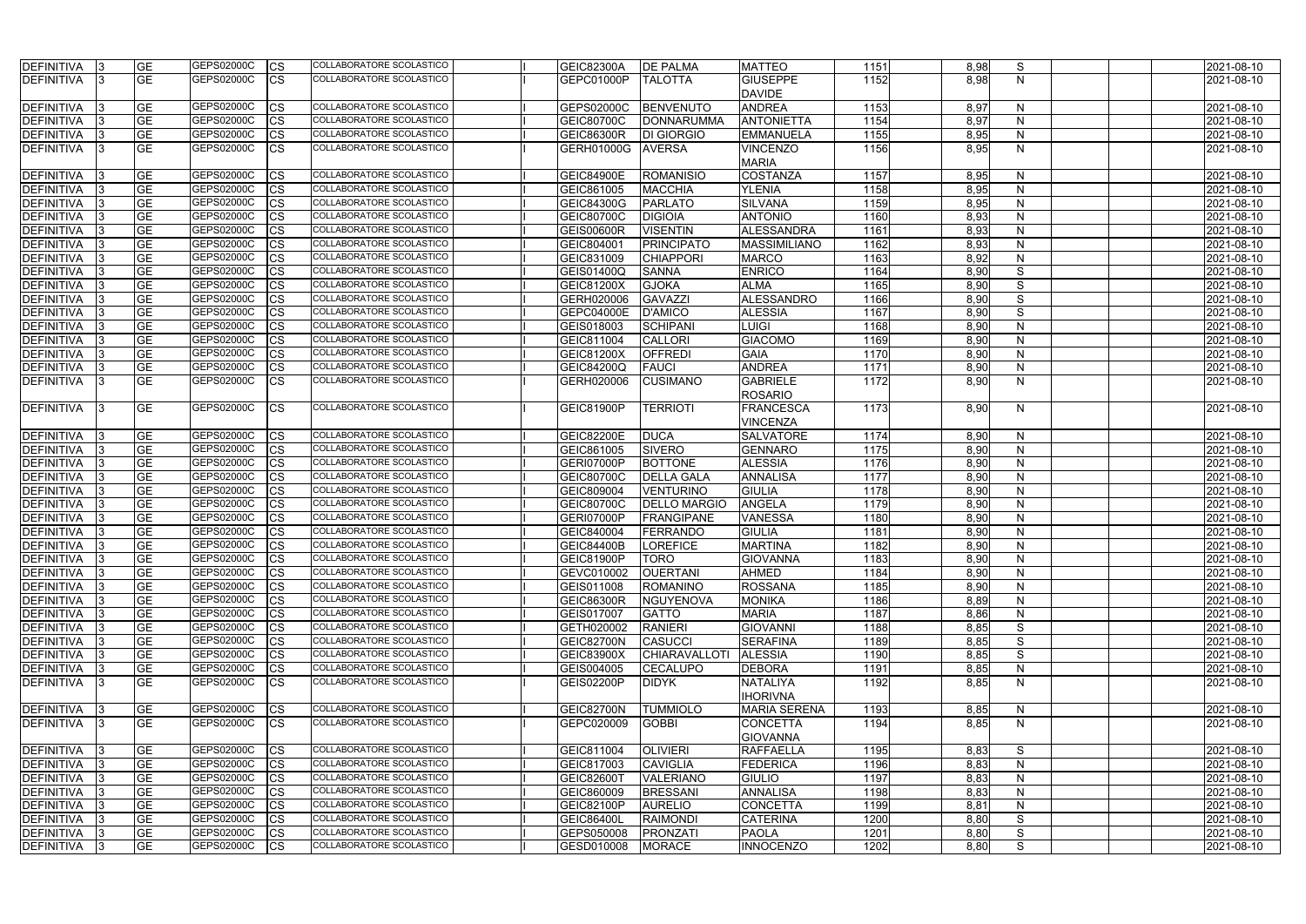| <b>GE</b><br>GEPS02000C<br>СS<br>COLLABORATORE SCOLASTICO<br><b>GIUSEPPE</b><br>N<br>GEPC01000P<br><b>TALOTTA</b><br>1152<br>8,98<br>2021-08-10<br><b>DAVIDE</b><br>GEPS02000C<br>2021-08-10<br><b>GE</b><br>CS<br>COLLABORATORE SCOLASTICO<br>GEPS02000C<br><b>BENVENUTO</b><br><b>ANDREA</b><br>1153<br>8,97<br>N<br>GEPS02000C<br><b>GE</b><br><b>CS</b><br>COLLABORATORE SCOLASTICO<br><b>ANTONIETTA</b><br>1154<br>$\mathsf{N}$<br>2021-08-10<br><b>GEIC80700C</b><br><b>DONNARUMMA</b><br>8,97<br>GEPS02000C<br><b>GE</b><br><b>CS</b><br>COLLABORATORE SCOLASTICO<br><b>EMMANUELA</b><br>1155<br>8,95<br>$\mathsf{N}$<br>2021-08-10<br><b>GEIC86300R</b><br><b>DI GIORGIO</b><br>COLLABORATORE SCOLASTICO<br><b>GE</b><br>GEPS02000C<br>CS<br><b>VINCENZO</b><br>1156<br>8,95<br>N<br>2021-08-10<br>GERH01000G<br><b>AVERSA</b><br><b>MARIA</b><br>GEPS02000C<br>COLLABORATORE SCOLASTICO<br><b>COSTANZA</b><br>GЕ<br>СS<br><b>GEIC84900E</b><br>1157<br>8,95<br>N<br>2021-08-10<br><b>ROMANISIO</b><br><b>GE</b><br>COLLABORATORE SCOLASTICO<br>GEPS02000C<br><b>CS</b><br><b>MACCHIA</b><br>$\mathsf{N}$<br>GEIC861005<br><b>YLENIA</b><br>1158<br>8,95<br>2021-08-10<br><b>GE</b><br>GEPS02000C<br>COLLABORATORE SCOLASTICO<br><b>PARLATO</b><br><b>SILVANA</b><br>1159<br>$\mathsf{N}$<br>2021-08-10<br>CS<br><b>GEIC84300G</b><br>8,95<br>GE<br>GEPS02000C<br>CS<br>COLLABORATORE SCOLASTICO<br><b>DIGIOIA</b><br><b>ANTONIO</b><br>1160<br>8,93<br>$\mathsf{N}$<br><b>DEFINITIVA</b><br>GEIC80700C<br>2021-08-10<br>GE<br>GEPS02000C<br>CS<br>COLLABORATORE SCOLASTICO<br><b>VISENTIN</b><br><b>ALESSANDRA</b><br>1161<br>8,93<br>$\mathsf{N}$<br><b>DEFINITIVA</b><br><b>GEIS00600R</b><br>2021-08-10<br>GЕ<br>GEPS02000C<br>СS<br><b>MASSIMILIANO</b><br>1162<br>8,93<br>$\mathsf{N}$<br><b>DEFINITIVA</b><br>COLLABORATORE SCOLASTICO<br>GEIC804001<br><b>PRINCIPATO</b><br>2021-08-10<br>GE<br>GEPS02000C<br>СS<br>COLLABORATORE SCOLASTICO<br>8,92<br>N<br><b>DEFINITIVA</b><br>GEIC831009<br><b>CHIAPPORI</b><br><b>MARCO</b><br>1163<br>2021-08-10<br>GEPS02000C<br>S<br>GЕ<br>CS<br>COLLABORATORE SCOLASTICO<br>8,90<br><b>DEFINITIVA</b><br>GEIS01400Q<br><b>SANNA</b><br><b>ENRICO</b><br>1164<br>2021-08-10<br>S<br><b>DEFINITIVA</b><br>GЕ<br>GEPS02000C<br>1165<br>СS<br>COLLABORATORE SCOLASTICO<br><b>GEIC81200X</b><br><b>GJOKA</b><br><b>ALMA</b><br>8,90<br>2021-08-10<br>S<br><b>DEFINITIVA</b><br>GEPS02000C<br>GERH020006<br><b>ALESSANDRO</b><br>1166<br>2021-08-10<br>GЕ<br>CS<br><b>COLLABORATORE SCOLASTICO</b><br><b>GAVAZZI</b><br>8,90<br>GEPS02000C<br>COLLABORATORE SCOLASTICO<br>S<br>GЕ<br>CS<br><b>ALESSIA</b><br>1167<br>GEPC04000E<br><b>D'AMICO</b><br>8,90<br>2021-08-10<br>GЕ<br>GEPS02000C<br><b>CS</b><br>COLLABORATORE SCOLASTICO<br><b>LUIGI</b><br>1168<br>8,90<br>GEIS018003<br>SCHIPANI<br>N<br>2021-08-10<br><b>GE</b><br>GEPS02000C<br><b>CS</b><br>COLLABORATORE SCOLASTICO<br>GEIC811004<br><b>GIACOMO</b><br>1169<br>8,90<br>N<br>2021-08-10<br><b>CALLORI</b><br>GEPS02000C<br>COLLABORATORE SCOLASTICO<br><b>GE</b><br><b>CS</b><br><b>GEIC81200X</b><br><b>OFFREDI</b><br><b>GAIA</b><br>1170<br>8,90<br>N<br>2021-08-10<br><b>GE</b><br>GEPS02000C<br>COLLABORATORE SCOLASTICO<br><b>CS</b><br>GEIC84200Q<br><b>FAUCI</b><br><b>ANDREA</b><br>1171<br>8,90<br>N<br>2021-08-10<br><b>DEFINITIVA</b><br><b>GE</b><br>GEPS02000C<br>CS<br>COLLABORATORE SCOLASTICO<br><b>CUSIMANO</b><br><b>GABRIELE</b><br>1172<br>$\mathsf{N}$<br>GERH020006<br>8,90<br>2021-08-10<br><b>ROSARIO</b><br><b>GE</b><br>GEPS02000C<br>COLLABORATORE SCOLASTICO<br><b>FRANCESCA</b><br>CS<br><b>TERRIOTI</b><br>1173<br>N<br><b>GEIC81900P</b><br>8,90<br>2021-08-10<br><b>VINCENZA</b><br>GEPS02000C<br>2021-08-10<br>GЕ<br>CS<br>COLLABORATORE SCOLASTICO<br><b>GEIC82200E</b><br><b>DUCA</b><br><b>SALVATORE</b><br>1174<br>N<br>8,90<br><b>DEFINITIVA</b><br>GЕ<br>GEPS02000C<br>COLLABORATORE SCOLASTICO<br><b>SIVERO</b><br>1175<br>2021-08-10<br>СS<br>GEIC861005<br><b>GENNARO</b><br>8,90<br>N<br>GEPS02000C<br><b>DEFINITIVA</b><br>GЕ<br>COLLABORATORE SCOLASTICO<br><b>BOTTONE</b><br><b>ALESSIA</b><br>1176<br>$\mathsf{N}$<br>2021-08-10<br>CS<br><b>GERI07000P</b><br>8,90<br><b>DEFINITIVA</b><br>GЕ<br>GEPS02000C<br>СS<br>COLLABORATORE SCOLASTICO<br><b>ANNALISA</b><br>1177<br><b>DELLA GALA</b><br>8,90<br>N<br>2021-08-10<br>GEIC80700C<br>COLLABORATORE SCOLASTICO<br><b>DEFINITIVA</b><br>GЕ<br>GEPS02000C<br>СS<br>1178<br>$\mathsf{N}$<br>2021-08-10<br>GEIC809004<br><b>VENTURINO</b><br><b>GIULIA</b><br>8,90<br>GEPS02000C<br>COLLABORATORE SCOLASTICO<br><b>DEFINITIVA</b><br><b>GE</b><br><b>CS</b><br><b>ANGELA</b><br>1179<br>8,90<br>N<br>2021-08-10<br><b>GEIC80700C</b><br><b>DELLO MARGIO</b><br><b>GE</b><br>GEPS02000C<br><b>CS</b><br>COLLABORATORE SCOLASTICO<br>$\mathsf{N}$<br>2021-08-10<br>GERI07000P<br><b>FRANGIPANE</b><br><b>VANESSA</b><br>1180<br>8,90<br><b>GE</b><br>COLLABORATORE SCOLASTICO<br><b>DEFINITIVA</b><br>GEPS02000C<br>СS<br><b>FERRANDO</b><br><b>GIULIA</b><br>1181<br>8,90<br>N<br>2021-08-10<br>GEIC840004<br>DEFINITIVA 3<br><b>GE</b><br>GEPS02000C<br>COLLABORATORE SCOLASTICO<br>CS<br><b>LOREFICE</b><br><b>MARTINA</b><br>1182<br>8,90<br>2021-08-10<br><b>GEIC84400B</b><br>N.<br>DEFINITIVA  3<br>GEPS02000C<br><b>GE</b><br><b>ICS</b><br>COLLABORATORE SCOLASTICO<br><b>TORO</b><br><b>GEIC81900P</b><br><b>GIOVANNA</b><br>1183<br>8,90<br>2021-08-10<br>N<br>DEFINITIVA  3<br>GEPS02000C<br>COLLABORATORE SCOLASTICO<br>GE<br><b>CS</b><br><b>OUERTANI</b><br><b>AHMED</b><br>1184<br>8,90<br>N<br>2021-08-10<br>GEVC010002<br><b>GE</b><br>GEPS02000C<br>COLLABORATORE SCOLASTICO<br>DEFINITIVA  3<br><b>CS</b><br><b>ROSSANA</b><br>1185<br>8,90<br>$\mathsf{N}$<br>GEIS011008<br><b>ROMANINO</b><br>2021-08-10<br>GEPS02000C<br>COLLABORATORE SCOLASTICO<br><b>GE</b><br><b>CS</b><br>$\mathsf{N}$<br>DEFINITIVA 3<br><b>GEIC86300R</b><br>NGUYENOVA<br>1186<br>8,89<br>2021-08-10<br><b>MONIKA</b><br><b>GE</b><br>GEPS02000C<br>COLLABORATORE SCOLASTICO<br>DEFINITIVA 3<br>CS<br>GEIS017007<br><b>GATTO</b><br><b>MARIA</b><br>1187<br>8,86<br>N<br>2021-08-10<br>S<br>DEFINITIVA 3<br>GEPS02000C<br>COLLABORATORE SCOLASTICO<br>1188<br>8,85<br><b>GE</b><br>CS<br>GETH020002<br><b>RANIERI</b><br><b>GIOVANNI</b><br>2021-08-10<br>GEPS02000C<br>COLLABORATORE SCOLASTICO<br>S<br><b>GE</b><br><b>CS</b><br><b>SERAFINA</b><br>1189<br>2021-08-10<br><b>GEIC82700N</b><br><b>CASUCCI</b><br>8,85<br><b>DEFINITIVA</b><br>GEPS02000C<br><b>GE</b><br><b>CS</b><br>COLLABORATORE SCOLASTICO<br>S<br><b>GEIC83900X</b><br><b>CHIARAVALLOTI</b><br><b>ALESSIA</b><br>1190<br>8,85<br>2021-08-10<br><b>DEFINITIVA</b><br>COLLABORATORE SCOLASTICO<br><b>GE</b><br>GEPS02000C<br>1191<br>8,85<br>$\mathsf{N}$<br>2021-08-10<br>CS<br>GEIS004005<br><b>CECALUPO</b><br><b>DEBORA</b><br>GEPS02000C<br>COLLABORATORE SCOLASTICO<br>DEFINITIVA<br><b>GE</b><br>$\mathsf{N}$<br><b>CS</b><br><b>GEIS02200P</b><br><b>NATALIYA</b><br>1192<br>8,85<br>2021-08-10<br><b>DIDYK</b><br><b>IHORIVNA</b><br>DEFINITIVA 3<br>GEPS02000C<br>COLLABORATORE SCOLASTICO<br>2021-08-10<br><b>GE</b><br><b>CS</b><br><b>TUMMIOLO</b><br><b>MARIA SERENA</b><br>1193<br>8,85<br><b>GEIC82700N</b><br>N<br><b>DEFINITIVA</b><br><b>GE</b><br>COLLABORATORE SCOLASTICO<br>GEPS02000C<br><b>CS</b><br><b>GOBBI</b><br><b>CONCETTA</b><br>1194<br>8,85<br>N<br>2021-08-10<br>GEPC020009<br><b>GIOVANNA</b><br>DEFINITIVA  3<br><b>GE</b><br>GEPS02000C<br><b>CS</b><br>COLLABORATORE SCOLASTICO<br><b>RAFFAELLA</b><br>S<br>GEIC811004<br><b>OLIVIERI</b><br>1195<br>8,83<br>2021-08-10<br><b>GE</b><br>GEPS02000C<br>COLLABORATORE SCOLASTICO<br>$\mathsf{N}$<br>DEFINITIVA 3<br><b>CS</b><br><b>CAVIGLIA</b><br><b>FEDERICA</b><br>1196<br>2021-08-10<br>GEIC817003<br>8,83<br><b>GE</b><br>GEPS02000C<br>COLLABORATORE SCOLASTICO<br>DEFINITIVA  3<br><b>CS</b><br><b>GEIC82600T</b><br><b>VALERIANO</b><br><b>GIULIO</b><br>1197<br>8,83<br>N<br>2021-08-10<br>GEPS02000C<br>COLLABORATORE SCOLASTICO<br>DEFINITIVA 3<br><b>GE</b><br>1198<br>$\mathsf{N}$<br>CS<br>GEIC860009<br><b>BRESSANI</b><br><b>ANNALISA</b><br>8,83<br>2021-08-10<br>DEFINITIVA 3<br>GEPS02000C<br>COLLABORATORE SCOLASTICO<br><b>GE</b><br><b>CONCETTA</b><br>1199<br>8,81<br>$\mathsf{N}$<br>2021-08-10<br>CS<br><b>GEIC82100P</b><br><b>AURELIO</b><br>GEPS02000C<br>COLLABORATORE SCOLASTICO<br>S<br><b>GE</b><br><b>CS</b><br><b>CATERINA</b><br>1200<br>8,80<br><b>GEIC86400L</b><br><b>RAIMONDI</b><br>2021-08-10<br>DEFINITIVA  3<br>COLLABORATORE SCOLASTICO<br>GEPS02000C<br><b>CS</b><br>GEPS050008<br>1201<br>S<br>2021-08-10<br><b>GE</b><br>8,80<br>PRONZATI<br><b>PAOLA</b><br>DEFINITIVA 3<br>COLLABORATORE SCOLASTICO<br><b>GE</b><br>GEPS02000C<br><b>CS</b><br><b>INNOCENZO</b><br>1202<br>8,80<br>S<br>GESD010008<br><b>MORACE</b><br>2021-08-10 | <b>DEFINITIVA</b> | <b>GE</b> | GEPS02000C | <b>CS</b> | COLLABORATORE SCOLASTICO | <b>GEIC82300A</b> | <b>DE PALMA</b> | <b>MATTEO</b> | 1151 | 8,98 | S | 2021-08-10 |
|---------------------------------------------------------------------------------------------------------------------------------------------------------------------------------------------------------------------------------------------------------------------------------------------------------------------------------------------------------------------------------------------------------------------------------------------------------------------------------------------------------------------------------------------------------------------------------------------------------------------------------------------------------------------------------------------------------------------------------------------------------------------------------------------------------------------------------------------------------------------------------------------------------------------------------------------------------------------------------------------------------------------------------------------------------------------------------------------------------------------------------------------------------------------------------------------------------------------------------------------------------------------------------------------------------------------------------------------------------------------------------------------------------------------------------------------------------------------------------------------------------------------------------------------------------------------------------------------------------------------------------------------------------------------------------------------------------------------------------------------------------------------------------------------------------------------------------------------------------------------------------------------------------------------------------------------------------------------------------------------------------------------------------------------------------------------------------------------------------------------------------------------------------------------------------------------------------------------------------------------------------------------------------------------------------------------------------------------------------------------------------------------------------------------------------------------------------------------------------------------------------------------------------------------------------------------------------------------------------------------------------------------------------------------------------------------------------------------------------------------------------------------------------------------------------------------------------------------------------------------------------------------------------------------------------------------------------------------------------------------------------------------------------------------------------------------------------------------------------------------------------------------------------------------------------------------------------------------------------------------------------------------------------------------------------------------------------------------------------------------------------------------------------------------------------------------------------------------------------------------------------------------------------------------------------------------------------------------------------------------------------------------------------------------------------------------------------------------------------------------------------------------------------------------------------------------------------------------------------------------------------------------------------------------------------------------------------------------------------------------------------------------------------------------------------------------------------------------------------------------------------------------------------------------------------------------------------------------------------------------------------------------------------------------------------------------------------------------------------------------------------------------------------------------------------------------------------------------------------------------------------------------------------------------------------------------------------------------------------------------------------------------------------------------------------------------------------------------------------------------------------------------------------------------------------------------------------------------------------------------------------------------------------------------------------------------------------------------------------------------------------------------------------------------------------------------------------------------------------------------------------------------------------------------------------------------------------------------------------------------------------------------------------------------------------------------------------------------------------------------------------------------------------------------------------------------------------------------------------------------------------------------------------------------------------------------------------------------------------------------------------------------------------------------------------------------------------------------------------------------------------------------------------------------------------------------------------------------------------------------------------------------------------------------------------------------------------------------------------------------------------------------------------------------------------------------------------------------------------------------------------------------------------------------------------------------------------------------------------------------------------------------------------------------------------------------------------------------------------------------------------------------------------------------------------------------------------------------------------------------------------------------------------------------------------------------------------------------------------------------------------------------------------------------------------------------------------------------------------------------------------------------------------------------------------------------------------------------------------------------------------------------------------------------------------------------------------------------------------------------------------------------------------------------------------------------------------------------------------------------------------------------------------------------------------------------------------------------------------------------------------------------------------------------------------------------------------------------------------------------------------------------------------------------------------------------------------------------------------------------------------------------------------------------------------------------------------------------------------------------------------------------------------------------------------------------------------------------------------------------------------------------------------------------------------------------------------------------------------------------------------------------------------------------------------------------------------------------------------------------------------------------------------------------------------------------------------------------------------------------------------------------------------------------------------------------------------------------------------------------------------------------------------------------------------------------------------------------------------------------------------------------------------------------------------------------------------------------------------------------------------------------------------------------------------------------------------------------------------------------------------------------------------------------------------------------------------------------------------------------------------------------------------------------------------------------------------------------------------------------------------------------------------------------------------------------------------------|-------------------|-----------|------------|-----------|--------------------------|-------------------|-----------------|---------------|------|------|---|------------|
|                                                                                                                                                                                                                                                                                                                                                                                                                                                                                                                                                                                                                                                                                                                                                                                                                                                                                                                                                                                                                                                                                                                                                                                                                                                                                                                                                                                                                                                                                                                                                                                                                                                                                                                                                                                                                                                                                                                                                                                                                                                                                                                                                                                                                                                                                                                                                                                                                                                                                                                                                                                                                                                                                                                                                                                                                                                                                                                                                                                                                                                                                                                                                                                                                                                                                                                                                                                                                                                                                                                                                                                                                                                                                                                                                                                                                                                                                                                                                                                                                                                                                                                                                                                                                                                                                                                                                                                                                                                                                                                                                                                                                                                                                                                                                                                                                                                                                                                                                                                                                                                                                                                                                                                                                                                                                                                                                                                                                                                                                                                                                                                                                                                                                                                                                                                                                                                                                                                                                                                                                                                                                                                                                                                                                                                                                                                                                                                                                                                                                                                                                                                                                                                                                                                                                                                                                                                                                                                                                                                                                                                                                                                                                                                                                                                                                                                                                                                                                                                                                                                                                                                                                                                                                                                                                                                                                                                                                                                                                                                                                                                                                                                                                                                                                                                                                                                                                                                                                                                                                                                                                                                                                                                                                                                                                                                                                                                                                                                                                               | <b>DEFINITIVA</b> |           |            |           |                          |                   |                 |               |      |      |   |            |
|                                                                                                                                                                                                                                                                                                                                                                                                                                                                                                                                                                                                                                                                                                                                                                                                                                                                                                                                                                                                                                                                                                                                                                                                                                                                                                                                                                                                                                                                                                                                                                                                                                                                                                                                                                                                                                                                                                                                                                                                                                                                                                                                                                                                                                                                                                                                                                                                                                                                                                                                                                                                                                                                                                                                                                                                                                                                                                                                                                                                                                                                                                                                                                                                                                                                                                                                                                                                                                                                                                                                                                                                                                                                                                                                                                                                                                                                                                                                                                                                                                                                                                                                                                                                                                                                                                                                                                                                                                                                                                                                                                                                                                                                                                                                                                                                                                                                                                                                                                                                                                                                                                                                                                                                                                                                                                                                                                                                                                                                                                                                                                                                                                                                                                                                                                                                                                                                                                                                                                                                                                                                                                                                                                                                                                                                                                                                                                                                                                                                                                                                                                                                                                                                                                                                                                                                                                                                                                                                                                                                                                                                                                                                                                                                                                                                                                                                                                                                                                                                                                                                                                                                                                                                                                                                                                                                                                                                                                                                                                                                                                                                                                                                                                                                                                                                                                                                                                                                                                                                                                                                                                                                                                                                                                                                                                                                                                                                                                                                                               |                   |           |            |           |                          |                   |                 |               |      |      |   |            |
|                                                                                                                                                                                                                                                                                                                                                                                                                                                                                                                                                                                                                                                                                                                                                                                                                                                                                                                                                                                                                                                                                                                                                                                                                                                                                                                                                                                                                                                                                                                                                                                                                                                                                                                                                                                                                                                                                                                                                                                                                                                                                                                                                                                                                                                                                                                                                                                                                                                                                                                                                                                                                                                                                                                                                                                                                                                                                                                                                                                                                                                                                                                                                                                                                                                                                                                                                                                                                                                                                                                                                                                                                                                                                                                                                                                                                                                                                                                                                                                                                                                                                                                                                                                                                                                                                                                                                                                                                                                                                                                                                                                                                                                                                                                                                                                                                                                                                                                                                                                                                                                                                                                                                                                                                                                                                                                                                                                                                                                                                                                                                                                                                                                                                                                                                                                                                                                                                                                                                                                                                                                                                                                                                                                                                                                                                                                                                                                                                                                                                                                                                                                                                                                                                                                                                                                                                                                                                                                                                                                                                                                                                                                                                                                                                                                                                                                                                                                                                                                                                                                                                                                                                                                                                                                                                                                                                                                                                                                                                                                                                                                                                                                                                                                                                                                                                                                                                                                                                                                                                                                                                                                                                                                                                                                                                                                                                                                                                                                                                               | <b>DEFINITIVA</b> |           |            |           |                          |                   |                 |               |      |      |   |            |
|                                                                                                                                                                                                                                                                                                                                                                                                                                                                                                                                                                                                                                                                                                                                                                                                                                                                                                                                                                                                                                                                                                                                                                                                                                                                                                                                                                                                                                                                                                                                                                                                                                                                                                                                                                                                                                                                                                                                                                                                                                                                                                                                                                                                                                                                                                                                                                                                                                                                                                                                                                                                                                                                                                                                                                                                                                                                                                                                                                                                                                                                                                                                                                                                                                                                                                                                                                                                                                                                                                                                                                                                                                                                                                                                                                                                                                                                                                                                                                                                                                                                                                                                                                                                                                                                                                                                                                                                                                                                                                                                                                                                                                                                                                                                                                                                                                                                                                                                                                                                                                                                                                                                                                                                                                                                                                                                                                                                                                                                                                                                                                                                                                                                                                                                                                                                                                                                                                                                                                                                                                                                                                                                                                                                                                                                                                                                                                                                                                                                                                                                                                                                                                                                                                                                                                                                                                                                                                                                                                                                                                                                                                                                                                                                                                                                                                                                                                                                                                                                                                                                                                                                                                                                                                                                                                                                                                                                                                                                                                                                                                                                                                                                                                                                                                                                                                                                                                                                                                                                                                                                                                                                                                                                                                                                                                                                                                                                                                                                                               | DEFINITIVA        |           |            |           |                          |                   |                 |               |      |      |   |            |
|                                                                                                                                                                                                                                                                                                                                                                                                                                                                                                                                                                                                                                                                                                                                                                                                                                                                                                                                                                                                                                                                                                                                                                                                                                                                                                                                                                                                                                                                                                                                                                                                                                                                                                                                                                                                                                                                                                                                                                                                                                                                                                                                                                                                                                                                                                                                                                                                                                                                                                                                                                                                                                                                                                                                                                                                                                                                                                                                                                                                                                                                                                                                                                                                                                                                                                                                                                                                                                                                                                                                                                                                                                                                                                                                                                                                                                                                                                                                                                                                                                                                                                                                                                                                                                                                                                                                                                                                                                                                                                                                                                                                                                                                                                                                                                                                                                                                                                                                                                                                                                                                                                                                                                                                                                                                                                                                                                                                                                                                                                                                                                                                                                                                                                                                                                                                                                                                                                                                                                                                                                                                                                                                                                                                                                                                                                                                                                                                                                                                                                                                                                                                                                                                                                                                                                                                                                                                                                                                                                                                                                                                                                                                                                                                                                                                                                                                                                                                                                                                                                                                                                                                                                                                                                                                                                                                                                                                                                                                                                                                                                                                                                                                                                                                                                                                                                                                                                                                                                                                                                                                                                                                                                                                                                                                                                                                                                                                                                                                                               | <b>DEFINITIVA</b> |           |            |           |                          |                   |                 |               |      |      |   |            |
|                                                                                                                                                                                                                                                                                                                                                                                                                                                                                                                                                                                                                                                                                                                                                                                                                                                                                                                                                                                                                                                                                                                                                                                                                                                                                                                                                                                                                                                                                                                                                                                                                                                                                                                                                                                                                                                                                                                                                                                                                                                                                                                                                                                                                                                                                                                                                                                                                                                                                                                                                                                                                                                                                                                                                                                                                                                                                                                                                                                                                                                                                                                                                                                                                                                                                                                                                                                                                                                                                                                                                                                                                                                                                                                                                                                                                                                                                                                                                                                                                                                                                                                                                                                                                                                                                                                                                                                                                                                                                                                                                                                                                                                                                                                                                                                                                                                                                                                                                                                                                                                                                                                                                                                                                                                                                                                                                                                                                                                                                                                                                                                                                                                                                                                                                                                                                                                                                                                                                                                                                                                                                                                                                                                                                                                                                                                                                                                                                                                                                                                                                                                                                                                                                                                                                                                                                                                                                                                                                                                                                                                                                                                                                                                                                                                                                                                                                                                                                                                                                                                                                                                                                                                                                                                                                                                                                                                                                                                                                                                                                                                                                                                                                                                                                                                                                                                                                                                                                                                                                                                                                                                                                                                                                                                                                                                                                                                                                                                                                               | <b>DEFINITIVA</b> |           |            |           |                          |                   |                 |               |      |      |   |            |
|                                                                                                                                                                                                                                                                                                                                                                                                                                                                                                                                                                                                                                                                                                                                                                                                                                                                                                                                                                                                                                                                                                                                                                                                                                                                                                                                                                                                                                                                                                                                                                                                                                                                                                                                                                                                                                                                                                                                                                                                                                                                                                                                                                                                                                                                                                                                                                                                                                                                                                                                                                                                                                                                                                                                                                                                                                                                                                                                                                                                                                                                                                                                                                                                                                                                                                                                                                                                                                                                                                                                                                                                                                                                                                                                                                                                                                                                                                                                                                                                                                                                                                                                                                                                                                                                                                                                                                                                                                                                                                                                                                                                                                                                                                                                                                                                                                                                                                                                                                                                                                                                                                                                                                                                                                                                                                                                                                                                                                                                                                                                                                                                                                                                                                                                                                                                                                                                                                                                                                                                                                                                                                                                                                                                                                                                                                                                                                                                                                                                                                                                                                                                                                                                                                                                                                                                                                                                                                                                                                                                                                                                                                                                                                                                                                                                                                                                                                                                                                                                                                                                                                                                                                                                                                                                                                                                                                                                                                                                                                                                                                                                                                                                                                                                                                                                                                                                                                                                                                                                                                                                                                                                                                                                                                                                                                                                                                                                                                                                                               |                   |           |            |           |                          |                   |                 |               |      |      |   |            |
|                                                                                                                                                                                                                                                                                                                                                                                                                                                                                                                                                                                                                                                                                                                                                                                                                                                                                                                                                                                                                                                                                                                                                                                                                                                                                                                                                                                                                                                                                                                                                                                                                                                                                                                                                                                                                                                                                                                                                                                                                                                                                                                                                                                                                                                                                                                                                                                                                                                                                                                                                                                                                                                                                                                                                                                                                                                                                                                                                                                                                                                                                                                                                                                                                                                                                                                                                                                                                                                                                                                                                                                                                                                                                                                                                                                                                                                                                                                                                                                                                                                                                                                                                                                                                                                                                                                                                                                                                                                                                                                                                                                                                                                                                                                                                                                                                                                                                                                                                                                                                                                                                                                                                                                                                                                                                                                                                                                                                                                                                                                                                                                                                                                                                                                                                                                                                                                                                                                                                                                                                                                                                                                                                                                                                                                                                                                                                                                                                                                                                                                                                                                                                                                                                                                                                                                                                                                                                                                                                                                                                                                                                                                                                                                                                                                                                                                                                                                                                                                                                                                                                                                                                                                                                                                                                                                                                                                                                                                                                                                                                                                                                                                                                                                                                                                                                                                                                                                                                                                                                                                                                                                                                                                                                                                                                                                                                                                                                                                                                               | <b>DEFINITIVA</b> |           |            |           |                          |                   |                 |               |      |      |   |            |
|                                                                                                                                                                                                                                                                                                                                                                                                                                                                                                                                                                                                                                                                                                                                                                                                                                                                                                                                                                                                                                                                                                                                                                                                                                                                                                                                                                                                                                                                                                                                                                                                                                                                                                                                                                                                                                                                                                                                                                                                                                                                                                                                                                                                                                                                                                                                                                                                                                                                                                                                                                                                                                                                                                                                                                                                                                                                                                                                                                                                                                                                                                                                                                                                                                                                                                                                                                                                                                                                                                                                                                                                                                                                                                                                                                                                                                                                                                                                                                                                                                                                                                                                                                                                                                                                                                                                                                                                                                                                                                                                                                                                                                                                                                                                                                                                                                                                                                                                                                                                                                                                                                                                                                                                                                                                                                                                                                                                                                                                                                                                                                                                                                                                                                                                                                                                                                                                                                                                                                                                                                                                                                                                                                                                                                                                                                                                                                                                                                                                                                                                                                                                                                                                                                                                                                                                                                                                                                                                                                                                                                                                                                                                                                                                                                                                                                                                                                                                                                                                                                                                                                                                                                                                                                                                                                                                                                                                                                                                                                                                                                                                                                                                                                                                                                                                                                                                                                                                                                                                                                                                                                                                                                                                                                                                                                                                                                                                                                                                                               | DEFINITIVA        |           |            |           |                          |                   |                 |               |      |      |   |            |
|                                                                                                                                                                                                                                                                                                                                                                                                                                                                                                                                                                                                                                                                                                                                                                                                                                                                                                                                                                                                                                                                                                                                                                                                                                                                                                                                                                                                                                                                                                                                                                                                                                                                                                                                                                                                                                                                                                                                                                                                                                                                                                                                                                                                                                                                                                                                                                                                                                                                                                                                                                                                                                                                                                                                                                                                                                                                                                                                                                                                                                                                                                                                                                                                                                                                                                                                                                                                                                                                                                                                                                                                                                                                                                                                                                                                                                                                                                                                                                                                                                                                                                                                                                                                                                                                                                                                                                                                                                                                                                                                                                                                                                                                                                                                                                                                                                                                                                                                                                                                                                                                                                                                                                                                                                                                                                                                                                                                                                                                                                                                                                                                                                                                                                                                                                                                                                                                                                                                                                                                                                                                                                                                                                                                                                                                                                                                                                                                                                                                                                                                                                                                                                                                                                                                                                                                                                                                                                                                                                                                                                                                                                                                                                                                                                                                                                                                                                                                                                                                                                                                                                                                                                                                                                                                                                                                                                                                                                                                                                                                                                                                                                                                                                                                                                                                                                                                                                                                                                                                                                                                                                                                                                                                                                                                                                                                                                                                                                                                                               | <b>DEFINITIVA</b> |           |            |           |                          |                   |                 |               |      |      |   |            |
|                                                                                                                                                                                                                                                                                                                                                                                                                                                                                                                                                                                                                                                                                                                                                                                                                                                                                                                                                                                                                                                                                                                                                                                                                                                                                                                                                                                                                                                                                                                                                                                                                                                                                                                                                                                                                                                                                                                                                                                                                                                                                                                                                                                                                                                                                                                                                                                                                                                                                                                                                                                                                                                                                                                                                                                                                                                                                                                                                                                                                                                                                                                                                                                                                                                                                                                                                                                                                                                                                                                                                                                                                                                                                                                                                                                                                                                                                                                                                                                                                                                                                                                                                                                                                                                                                                                                                                                                                                                                                                                                                                                                                                                                                                                                                                                                                                                                                                                                                                                                                                                                                                                                                                                                                                                                                                                                                                                                                                                                                                                                                                                                                                                                                                                                                                                                                                                                                                                                                                                                                                                                                                                                                                                                                                                                                                                                                                                                                                                                                                                                                                                                                                                                                                                                                                                                                                                                                                                                                                                                                                                                                                                                                                                                                                                                                                                                                                                                                                                                                                                                                                                                                                                                                                                                                                                                                                                                                                                                                                                                                                                                                                                                                                                                                                                                                                                                                                                                                                                                                                                                                                                                                                                                                                                                                                                                                                                                                                                                                               |                   |           |            |           |                          |                   |                 |               |      |      |   |            |
|                                                                                                                                                                                                                                                                                                                                                                                                                                                                                                                                                                                                                                                                                                                                                                                                                                                                                                                                                                                                                                                                                                                                                                                                                                                                                                                                                                                                                                                                                                                                                                                                                                                                                                                                                                                                                                                                                                                                                                                                                                                                                                                                                                                                                                                                                                                                                                                                                                                                                                                                                                                                                                                                                                                                                                                                                                                                                                                                                                                                                                                                                                                                                                                                                                                                                                                                                                                                                                                                                                                                                                                                                                                                                                                                                                                                                                                                                                                                                                                                                                                                                                                                                                                                                                                                                                                                                                                                                                                                                                                                                                                                                                                                                                                                                                                                                                                                                                                                                                                                                                                                                                                                                                                                                                                                                                                                                                                                                                                                                                                                                                                                                                                                                                                                                                                                                                                                                                                                                                                                                                                                                                                                                                                                                                                                                                                                                                                                                                                                                                                                                                                                                                                                                                                                                                                                                                                                                                                                                                                                                                                                                                                                                                                                                                                                                                                                                                                                                                                                                                                                                                                                                                                                                                                                                                                                                                                                                                                                                                                                                                                                                                                                                                                                                                                                                                                                                                                                                                                                                                                                                                                                                                                                                                                                                                                                                                                                                                                                                               |                   |           |            |           |                          |                   |                 |               |      |      |   |            |
|                                                                                                                                                                                                                                                                                                                                                                                                                                                                                                                                                                                                                                                                                                                                                                                                                                                                                                                                                                                                                                                                                                                                                                                                                                                                                                                                                                                                                                                                                                                                                                                                                                                                                                                                                                                                                                                                                                                                                                                                                                                                                                                                                                                                                                                                                                                                                                                                                                                                                                                                                                                                                                                                                                                                                                                                                                                                                                                                                                                                                                                                                                                                                                                                                                                                                                                                                                                                                                                                                                                                                                                                                                                                                                                                                                                                                                                                                                                                                                                                                                                                                                                                                                                                                                                                                                                                                                                                                                                                                                                                                                                                                                                                                                                                                                                                                                                                                                                                                                                                                                                                                                                                                                                                                                                                                                                                                                                                                                                                                                                                                                                                                                                                                                                                                                                                                                                                                                                                                                                                                                                                                                                                                                                                                                                                                                                                                                                                                                                                                                                                                                                                                                                                                                                                                                                                                                                                                                                                                                                                                                                                                                                                                                                                                                                                                                                                                                                                                                                                                                                                                                                                                                                                                                                                                                                                                                                                                                                                                                                                                                                                                                                                                                                                                                                                                                                                                                                                                                                                                                                                                                                                                                                                                                                                                                                                                                                                                                                                                               |                   |           |            |           |                          |                   |                 |               |      |      |   |            |
|                                                                                                                                                                                                                                                                                                                                                                                                                                                                                                                                                                                                                                                                                                                                                                                                                                                                                                                                                                                                                                                                                                                                                                                                                                                                                                                                                                                                                                                                                                                                                                                                                                                                                                                                                                                                                                                                                                                                                                                                                                                                                                                                                                                                                                                                                                                                                                                                                                                                                                                                                                                                                                                                                                                                                                                                                                                                                                                                                                                                                                                                                                                                                                                                                                                                                                                                                                                                                                                                                                                                                                                                                                                                                                                                                                                                                                                                                                                                                                                                                                                                                                                                                                                                                                                                                                                                                                                                                                                                                                                                                                                                                                                                                                                                                                                                                                                                                                                                                                                                                                                                                                                                                                                                                                                                                                                                                                                                                                                                                                                                                                                                                                                                                                                                                                                                                                                                                                                                                                                                                                                                                                                                                                                                                                                                                                                                                                                                                                                                                                                                                                                                                                                                                                                                                                                                                                                                                                                                                                                                                                                                                                                                                                                                                                                                                                                                                                                                                                                                                                                                                                                                                                                                                                                                                                                                                                                                                                                                                                                                                                                                                                                                                                                                                                                                                                                                                                                                                                                                                                                                                                                                                                                                                                                                                                                                                                                                                                                                                               |                   |           |            |           |                          |                   |                 |               |      |      |   |            |
|                                                                                                                                                                                                                                                                                                                                                                                                                                                                                                                                                                                                                                                                                                                                                                                                                                                                                                                                                                                                                                                                                                                                                                                                                                                                                                                                                                                                                                                                                                                                                                                                                                                                                                                                                                                                                                                                                                                                                                                                                                                                                                                                                                                                                                                                                                                                                                                                                                                                                                                                                                                                                                                                                                                                                                                                                                                                                                                                                                                                                                                                                                                                                                                                                                                                                                                                                                                                                                                                                                                                                                                                                                                                                                                                                                                                                                                                                                                                                                                                                                                                                                                                                                                                                                                                                                                                                                                                                                                                                                                                                                                                                                                                                                                                                                                                                                                                                                                                                                                                                                                                                                                                                                                                                                                                                                                                                                                                                                                                                                                                                                                                                                                                                                                                                                                                                                                                                                                                                                                                                                                                                                                                                                                                                                                                                                                                                                                                                                                                                                                                                                                                                                                                                                                                                                                                                                                                                                                                                                                                                                                                                                                                                                                                                                                                                                                                                                                                                                                                                                                                                                                                                                                                                                                                                                                                                                                                                                                                                                                                                                                                                                                                                                                                                                                                                                                                                                                                                                                                                                                                                                                                                                                                                                                                                                                                                                                                                                                                                               |                   |           |            |           |                          |                   |                 |               |      |      |   |            |
|                                                                                                                                                                                                                                                                                                                                                                                                                                                                                                                                                                                                                                                                                                                                                                                                                                                                                                                                                                                                                                                                                                                                                                                                                                                                                                                                                                                                                                                                                                                                                                                                                                                                                                                                                                                                                                                                                                                                                                                                                                                                                                                                                                                                                                                                                                                                                                                                                                                                                                                                                                                                                                                                                                                                                                                                                                                                                                                                                                                                                                                                                                                                                                                                                                                                                                                                                                                                                                                                                                                                                                                                                                                                                                                                                                                                                                                                                                                                                                                                                                                                                                                                                                                                                                                                                                                                                                                                                                                                                                                                                                                                                                                                                                                                                                                                                                                                                                                                                                                                                                                                                                                                                                                                                                                                                                                                                                                                                                                                                                                                                                                                                                                                                                                                                                                                                                                                                                                                                                                                                                                                                                                                                                                                                                                                                                                                                                                                                                                                                                                                                                                                                                                                                                                                                                                                                                                                                                                                                                                                                                                                                                                                                                                                                                                                                                                                                                                                                                                                                                                                                                                                                                                                                                                                                                                                                                                                                                                                                                                                                                                                                                                                                                                                                                                                                                                                                                                                                                                                                                                                                                                                                                                                                                                                                                                                                                                                                                                                                               |                   |           |            |           |                          |                   |                 |               |      |      |   |            |
|                                                                                                                                                                                                                                                                                                                                                                                                                                                                                                                                                                                                                                                                                                                                                                                                                                                                                                                                                                                                                                                                                                                                                                                                                                                                                                                                                                                                                                                                                                                                                                                                                                                                                                                                                                                                                                                                                                                                                                                                                                                                                                                                                                                                                                                                                                                                                                                                                                                                                                                                                                                                                                                                                                                                                                                                                                                                                                                                                                                                                                                                                                                                                                                                                                                                                                                                                                                                                                                                                                                                                                                                                                                                                                                                                                                                                                                                                                                                                                                                                                                                                                                                                                                                                                                                                                                                                                                                                                                                                                                                                                                                                                                                                                                                                                                                                                                                                                                                                                                                                                                                                                                                                                                                                                                                                                                                                                                                                                                                                                                                                                                                                                                                                                                                                                                                                                                                                                                                                                                                                                                                                                                                                                                                                                                                                                                                                                                                                                                                                                                                                                                                                                                                                                                                                                                                                                                                                                                                                                                                                                                                                                                                                                                                                                                                                                                                                                                                                                                                                                                                                                                                                                                                                                                                                                                                                                                                                                                                                                                                                                                                                                                                                                                                                                                                                                                                                                                                                                                                                                                                                                                                                                                                                                                                                                                                                                                                                                                                                               |                   |           |            |           |                          |                   |                 |               |      |      |   |            |
|                                                                                                                                                                                                                                                                                                                                                                                                                                                                                                                                                                                                                                                                                                                                                                                                                                                                                                                                                                                                                                                                                                                                                                                                                                                                                                                                                                                                                                                                                                                                                                                                                                                                                                                                                                                                                                                                                                                                                                                                                                                                                                                                                                                                                                                                                                                                                                                                                                                                                                                                                                                                                                                                                                                                                                                                                                                                                                                                                                                                                                                                                                                                                                                                                                                                                                                                                                                                                                                                                                                                                                                                                                                                                                                                                                                                                                                                                                                                                                                                                                                                                                                                                                                                                                                                                                                                                                                                                                                                                                                                                                                                                                                                                                                                                                                                                                                                                                                                                                                                                                                                                                                                                                                                                                                                                                                                                                                                                                                                                                                                                                                                                                                                                                                                                                                                                                                                                                                                                                                                                                                                                                                                                                                                                                                                                                                                                                                                                                                                                                                                                                                                                                                                                                                                                                                                                                                                                                                                                                                                                                                                                                                                                                                                                                                                                                                                                                                                                                                                                                                                                                                                                                                                                                                                                                                                                                                                                                                                                                                                                                                                                                                                                                                                                                                                                                                                                                                                                                                                                                                                                                                                                                                                                                                                                                                                                                                                                                                                                               | DEFINITIVA        |           |            |           |                          |                   |                 |               |      |      |   |            |
|                                                                                                                                                                                                                                                                                                                                                                                                                                                                                                                                                                                                                                                                                                                                                                                                                                                                                                                                                                                                                                                                                                                                                                                                                                                                                                                                                                                                                                                                                                                                                                                                                                                                                                                                                                                                                                                                                                                                                                                                                                                                                                                                                                                                                                                                                                                                                                                                                                                                                                                                                                                                                                                                                                                                                                                                                                                                                                                                                                                                                                                                                                                                                                                                                                                                                                                                                                                                                                                                                                                                                                                                                                                                                                                                                                                                                                                                                                                                                                                                                                                                                                                                                                                                                                                                                                                                                                                                                                                                                                                                                                                                                                                                                                                                                                                                                                                                                                                                                                                                                                                                                                                                                                                                                                                                                                                                                                                                                                                                                                                                                                                                                                                                                                                                                                                                                                                                                                                                                                                                                                                                                                                                                                                                                                                                                                                                                                                                                                                                                                                                                                                                                                                                                                                                                                                                                                                                                                                                                                                                                                                                                                                                                                                                                                                                                                                                                                                                                                                                                                                                                                                                                                                                                                                                                                                                                                                                                                                                                                                                                                                                                                                                                                                                                                                                                                                                                                                                                                                                                                                                                                                                                                                                                                                                                                                                                                                                                                                                                               | DEFINITIVA        |           |            |           |                          |                   |                 |               |      |      |   |            |
|                                                                                                                                                                                                                                                                                                                                                                                                                                                                                                                                                                                                                                                                                                                                                                                                                                                                                                                                                                                                                                                                                                                                                                                                                                                                                                                                                                                                                                                                                                                                                                                                                                                                                                                                                                                                                                                                                                                                                                                                                                                                                                                                                                                                                                                                                                                                                                                                                                                                                                                                                                                                                                                                                                                                                                                                                                                                                                                                                                                                                                                                                                                                                                                                                                                                                                                                                                                                                                                                                                                                                                                                                                                                                                                                                                                                                                                                                                                                                                                                                                                                                                                                                                                                                                                                                                                                                                                                                                                                                                                                                                                                                                                                                                                                                                                                                                                                                                                                                                                                                                                                                                                                                                                                                                                                                                                                                                                                                                                                                                                                                                                                                                                                                                                                                                                                                                                                                                                                                                                                                                                                                                                                                                                                                                                                                                                                                                                                                                                                                                                                                                                                                                                                                                                                                                                                                                                                                                                                                                                                                                                                                                                                                                                                                                                                                                                                                                                                                                                                                                                                                                                                                                                                                                                                                                                                                                                                                                                                                                                                                                                                                                                                                                                                                                                                                                                                                                                                                                                                                                                                                                                                                                                                                                                                                                                                                                                                                                                                                               | <b>DEFINITIVA</b> |           |            |           |                          |                   |                 |               |      |      |   |            |
|                                                                                                                                                                                                                                                                                                                                                                                                                                                                                                                                                                                                                                                                                                                                                                                                                                                                                                                                                                                                                                                                                                                                                                                                                                                                                                                                                                                                                                                                                                                                                                                                                                                                                                                                                                                                                                                                                                                                                                                                                                                                                                                                                                                                                                                                                                                                                                                                                                                                                                                                                                                                                                                                                                                                                                                                                                                                                                                                                                                                                                                                                                                                                                                                                                                                                                                                                                                                                                                                                                                                                                                                                                                                                                                                                                                                                                                                                                                                                                                                                                                                                                                                                                                                                                                                                                                                                                                                                                                                                                                                                                                                                                                                                                                                                                                                                                                                                                                                                                                                                                                                                                                                                                                                                                                                                                                                                                                                                                                                                                                                                                                                                                                                                                                                                                                                                                                                                                                                                                                                                                                                                                                                                                                                                                                                                                                                                                                                                                                                                                                                                                                                                                                                                                                                                                                                                                                                                                                                                                                                                                                                                                                                                                                                                                                                                                                                                                                                                                                                                                                                                                                                                                                                                                                                                                                                                                                                                                                                                                                                                                                                                                                                                                                                                                                                                                                                                                                                                                                                                                                                                                                                                                                                                                                                                                                                                                                                                                                                                               | DEFINITIVA        |           |            |           |                          |                   |                 |               |      |      |   |            |
|                                                                                                                                                                                                                                                                                                                                                                                                                                                                                                                                                                                                                                                                                                                                                                                                                                                                                                                                                                                                                                                                                                                                                                                                                                                                                                                                                                                                                                                                                                                                                                                                                                                                                                                                                                                                                                                                                                                                                                                                                                                                                                                                                                                                                                                                                                                                                                                                                                                                                                                                                                                                                                                                                                                                                                                                                                                                                                                                                                                                                                                                                                                                                                                                                                                                                                                                                                                                                                                                                                                                                                                                                                                                                                                                                                                                                                                                                                                                                                                                                                                                                                                                                                                                                                                                                                                                                                                                                                                                                                                                                                                                                                                                                                                                                                                                                                                                                                                                                                                                                                                                                                                                                                                                                                                                                                                                                                                                                                                                                                                                                                                                                                                                                                                                                                                                                                                                                                                                                                                                                                                                                                                                                                                                                                                                                                                                                                                                                                                                                                                                                                                                                                                                                                                                                                                                                                                                                                                                                                                                                                                                                                                                                                                                                                                                                                                                                                                                                                                                                                                                                                                                                                                                                                                                                                                                                                                                                                                                                                                                                                                                                                                                                                                                                                                                                                                                                                                                                                                                                                                                                                                                                                                                                                                                                                                                                                                                                                                                                               |                   |           |            |           |                          |                   |                 |               |      |      |   |            |
|                                                                                                                                                                                                                                                                                                                                                                                                                                                                                                                                                                                                                                                                                                                                                                                                                                                                                                                                                                                                                                                                                                                                                                                                                                                                                                                                                                                                                                                                                                                                                                                                                                                                                                                                                                                                                                                                                                                                                                                                                                                                                                                                                                                                                                                                                                                                                                                                                                                                                                                                                                                                                                                                                                                                                                                                                                                                                                                                                                                                                                                                                                                                                                                                                                                                                                                                                                                                                                                                                                                                                                                                                                                                                                                                                                                                                                                                                                                                                                                                                                                                                                                                                                                                                                                                                                                                                                                                                                                                                                                                                                                                                                                                                                                                                                                                                                                                                                                                                                                                                                                                                                                                                                                                                                                                                                                                                                                                                                                                                                                                                                                                                                                                                                                                                                                                                                                                                                                                                                                                                                                                                                                                                                                                                                                                                                                                                                                                                                                                                                                                                                                                                                                                                                                                                                                                                                                                                                                                                                                                                                                                                                                                                                                                                                                                                                                                                                                                                                                                                                                                                                                                                                                                                                                                                                                                                                                                                                                                                                                                                                                                                                                                                                                                                                                                                                                                                                                                                                                                                                                                                                                                                                                                                                                                                                                                                                                                                                                                                               | DEFINITIVA        |           |            |           |                          |                   |                 |               |      |      |   |            |
|                                                                                                                                                                                                                                                                                                                                                                                                                                                                                                                                                                                                                                                                                                                                                                                                                                                                                                                                                                                                                                                                                                                                                                                                                                                                                                                                                                                                                                                                                                                                                                                                                                                                                                                                                                                                                                                                                                                                                                                                                                                                                                                                                                                                                                                                                                                                                                                                                                                                                                                                                                                                                                                                                                                                                                                                                                                                                                                                                                                                                                                                                                                                                                                                                                                                                                                                                                                                                                                                                                                                                                                                                                                                                                                                                                                                                                                                                                                                                                                                                                                                                                                                                                                                                                                                                                                                                                                                                                                                                                                                                                                                                                                                                                                                                                                                                                                                                                                                                                                                                                                                                                                                                                                                                                                                                                                                                                                                                                                                                                                                                                                                                                                                                                                                                                                                                                                                                                                                                                                                                                                                                                                                                                                                                                                                                                                                                                                                                                                                                                                                                                                                                                                                                                                                                                                                                                                                                                                                                                                                                                                                                                                                                                                                                                                                                                                                                                                                                                                                                                                                                                                                                                                                                                                                                                                                                                                                                                                                                                                                                                                                                                                                                                                                                                                                                                                                                                                                                                                                                                                                                                                                                                                                                                                                                                                                                                                                                                                                                               |                   |           |            |           |                          |                   |                 |               |      |      |   |            |
|                                                                                                                                                                                                                                                                                                                                                                                                                                                                                                                                                                                                                                                                                                                                                                                                                                                                                                                                                                                                                                                                                                                                                                                                                                                                                                                                                                                                                                                                                                                                                                                                                                                                                                                                                                                                                                                                                                                                                                                                                                                                                                                                                                                                                                                                                                                                                                                                                                                                                                                                                                                                                                                                                                                                                                                                                                                                                                                                                                                                                                                                                                                                                                                                                                                                                                                                                                                                                                                                                                                                                                                                                                                                                                                                                                                                                                                                                                                                                                                                                                                                                                                                                                                                                                                                                                                                                                                                                                                                                                                                                                                                                                                                                                                                                                                                                                                                                                                                                                                                                                                                                                                                                                                                                                                                                                                                                                                                                                                                                                                                                                                                                                                                                                                                                                                                                                                                                                                                                                                                                                                                                                                                                                                                                                                                                                                                                                                                                                                                                                                                                                                                                                                                                                                                                                                                                                                                                                                                                                                                                                                                                                                                                                                                                                                                                                                                                                                                                                                                                                                                                                                                                                                                                                                                                                                                                                                                                                                                                                                                                                                                                                                                                                                                                                                                                                                                                                                                                                                                                                                                                                                                                                                                                                                                                                                                                                                                                                                                                               | DEFINITIVA        |           |            |           |                          |                   |                 |               |      |      |   |            |
|                                                                                                                                                                                                                                                                                                                                                                                                                                                                                                                                                                                                                                                                                                                                                                                                                                                                                                                                                                                                                                                                                                                                                                                                                                                                                                                                                                                                                                                                                                                                                                                                                                                                                                                                                                                                                                                                                                                                                                                                                                                                                                                                                                                                                                                                                                                                                                                                                                                                                                                                                                                                                                                                                                                                                                                                                                                                                                                                                                                                                                                                                                                                                                                                                                                                                                                                                                                                                                                                                                                                                                                                                                                                                                                                                                                                                                                                                                                                                                                                                                                                                                                                                                                                                                                                                                                                                                                                                                                                                                                                                                                                                                                                                                                                                                                                                                                                                                                                                                                                                                                                                                                                                                                                                                                                                                                                                                                                                                                                                                                                                                                                                                                                                                                                                                                                                                                                                                                                                                                                                                                                                                                                                                                                                                                                                                                                                                                                                                                                                                                                                                                                                                                                                                                                                                                                                                                                                                                                                                                                                                                                                                                                                                                                                                                                                                                                                                                                                                                                                                                                                                                                                                                                                                                                                                                                                                                                                                                                                                                                                                                                                                                                                                                                                                                                                                                                                                                                                                                                                                                                                                                                                                                                                                                                                                                                                                                                                                                                                               |                   |           |            |           |                          |                   |                 |               |      |      |   |            |
|                                                                                                                                                                                                                                                                                                                                                                                                                                                                                                                                                                                                                                                                                                                                                                                                                                                                                                                                                                                                                                                                                                                                                                                                                                                                                                                                                                                                                                                                                                                                                                                                                                                                                                                                                                                                                                                                                                                                                                                                                                                                                                                                                                                                                                                                                                                                                                                                                                                                                                                                                                                                                                                                                                                                                                                                                                                                                                                                                                                                                                                                                                                                                                                                                                                                                                                                                                                                                                                                                                                                                                                                                                                                                                                                                                                                                                                                                                                                                                                                                                                                                                                                                                                                                                                                                                                                                                                                                                                                                                                                                                                                                                                                                                                                                                                                                                                                                                                                                                                                                                                                                                                                                                                                                                                                                                                                                                                                                                                                                                                                                                                                                                                                                                                                                                                                                                                                                                                                                                                                                                                                                                                                                                                                                                                                                                                                                                                                                                                                                                                                                                                                                                                                                                                                                                                                                                                                                                                                                                                                                                                                                                                                                                                                                                                                                                                                                                                                                                                                                                                                                                                                                                                                                                                                                                                                                                                                                                                                                                                                                                                                                                                                                                                                                                                                                                                                                                                                                                                                                                                                                                                                                                                                                                                                                                                                                                                                                                                                                               | <b>DEFINITIVA</b> |           |            |           |                          |                   |                 |               |      |      |   |            |
|                                                                                                                                                                                                                                                                                                                                                                                                                                                                                                                                                                                                                                                                                                                                                                                                                                                                                                                                                                                                                                                                                                                                                                                                                                                                                                                                                                                                                                                                                                                                                                                                                                                                                                                                                                                                                                                                                                                                                                                                                                                                                                                                                                                                                                                                                                                                                                                                                                                                                                                                                                                                                                                                                                                                                                                                                                                                                                                                                                                                                                                                                                                                                                                                                                                                                                                                                                                                                                                                                                                                                                                                                                                                                                                                                                                                                                                                                                                                                                                                                                                                                                                                                                                                                                                                                                                                                                                                                                                                                                                                                                                                                                                                                                                                                                                                                                                                                                                                                                                                                                                                                                                                                                                                                                                                                                                                                                                                                                                                                                                                                                                                                                                                                                                                                                                                                                                                                                                                                                                                                                                                                                                                                                                                                                                                                                                                                                                                                                                                                                                                                                                                                                                                                                                                                                                                                                                                                                                                                                                                                                                                                                                                                                                                                                                                                                                                                                                                                                                                                                                                                                                                                                                                                                                                                                                                                                                                                                                                                                                                                                                                                                                                                                                                                                                                                                                                                                                                                                                                                                                                                                                                                                                                                                                                                                                                                                                                                                                                                               |                   |           |            |           |                          |                   |                 |               |      |      |   |            |
|                                                                                                                                                                                                                                                                                                                                                                                                                                                                                                                                                                                                                                                                                                                                                                                                                                                                                                                                                                                                                                                                                                                                                                                                                                                                                                                                                                                                                                                                                                                                                                                                                                                                                                                                                                                                                                                                                                                                                                                                                                                                                                                                                                                                                                                                                                                                                                                                                                                                                                                                                                                                                                                                                                                                                                                                                                                                                                                                                                                                                                                                                                                                                                                                                                                                                                                                                                                                                                                                                                                                                                                                                                                                                                                                                                                                                                                                                                                                                                                                                                                                                                                                                                                                                                                                                                                                                                                                                                                                                                                                                                                                                                                                                                                                                                                                                                                                                                                                                                                                                                                                                                                                                                                                                                                                                                                                                                                                                                                                                                                                                                                                                                                                                                                                                                                                                                                                                                                                                                                                                                                                                                                                                                                                                                                                                                                                                                                                                                                                                                                                                                                                                                                                                                                                                                                                                                                                                                                                                                                                                                                                                                                                                                                                                                                                                                                                                                                                                                                                                                                                                                                                                                                                                                                                                                                                                                                                                                                                                                                                                                                                                                                                                                                                                                                                                                                                                                                                                                                                                                                                                                                                                                                                                                                                                                                                                                                                                                                                                               |                   |           |            |           |                          |                   |                 |               |      |      |   |            |
|                                                                                                                                                                                                                                                                                                                                                                                                                                                                                                                                                                                                                                                                                                                                                                                                                                                                                                                                                                                                                                                                                                                                                                                                                                                                                                                                                                                                                                                                                                                                                                                                                                                                                                                                                                                                                                                                                                                                                                                                                                                                                                                                                                                                                                                                                                                                                                                                                                                                                                                                                                                                                                                                                                                                                                                                                                                                                                                                                                                                                                                                                                                                                                                                                                                                                                                                                                                                                                                                                                                                                                                                                                                                                                                                                                                                                                                                                                                                                                                                                                                                                                                                                                                                                                                                                                                                                                                                                                                                                                                                                                                                                                                                                                                                                                                                                                                                                                                                                                                                                                                                                                                                                                                                                                                                                                                                                                                                                                                                                                                                                                                                                                                                                                                                                                                                                                                                                                                                                                                                                                                                                                                                                                                                                                                                                                                                                                                                                                                                                                                                                                                                                                                                                                                                                                                                                                                                                                                                                                                                                                                                                                                                                                                                                                                                                                                                                                                                                                                                                                                                                                                                                                                                                                                                                                                                                                                                                                                                                                                                                                                                                                                                                                                                                                                                                                                                                                                                                                                                                                                                                                                                                                                                                                                                                                                                                                                                                                                                                               |                   |           |            |           |                          |                   |                 |               |      |      |   |            |
|                                                                                                                                                                                                                                                                                                                                                                                                                                                                                                                                                                                                                                                                                                                                                                                                                                                                                                                                                                                                                                                                                                                                                                                                                                                                                                                                                                                                                                                                                                                                                                                                                                                                                                                                                                                                                                                                                                                                                                                                                                                                                                                                                                                                                                                                                                                                                                                                                                                                                                                                                                                                                                                                                                                                                                                                                                                                                                                                                                                                                                                                                                                                                                                                                                                                                                                                                                                                                                                                                                                                                                                                                                                                                                                                                                                                                                                                                                                                                                                                                                                                                                                                                                                                                                                                                                                                                                                                                                                                                                                                                                                                                                                                                                                                                                                                                                                                                                                                                                                                                                                                                                                                                                                                                                                                                                                                                                                                                                                                                                                                                                                                                                                                                                                                                                                                                                                                                                                                                                                                                                                                                                                                                                                                                                                                                                                                                                                                                                                                                                                                                                                                                                                                                                                                                                                                                                                                                                                                                                                                                                                                                                                                                                                                                                                                                                                                                                                                                                                                                                                                                                                                                                                                                                                                                                                                                                                                                                                                                                                                                                                                                                                                                                                                                                                                                                                                                                                                                                                                                                                                                                                                                                                                                                                                                                                                                                                                                                                                                               |                   |           |            |           |                          |                   |                 |               |      |      |   |            |
|                                                                                                                                                                                                                                                                                                                                                                                                                                                                                                                                                                                                                                                                                                                                                                                                                                                                                                                                                                                                                                                                                                                                                                                                                                                                                                                                                                                                                                                                                                                                                                                                                                                                                                                                                                                                                                                                                                                                                                                                                                                                                                                                                                                                                                                                                                                                                                                                                                                                                                                                                                                                                                                                                                                                                                                                                                                                                                                                                                                                                                                                                                                                                                                                                                                                                                                                                                                                                                                                                                                                                                                                                                                                                                                                                                                                                                                                                                                                                                                                                                                                                                                                                                                                                                                                                                                                                                                                                                                                                                                                                                                                                                                                                                                                                                                                                                                                                                                                                                                                                                                                                                                                                                                                                                                                                                                                                                                                                                                                                                                                                                                                                                                                                                                                                                                                                                                                                                                                                                                                                                                                                                                                                                                                                                                                                                                                                                                                                                                                                                                                                                                                                                                                                                                                                                                                                                                                                                                                                                                                                                                                                                                                                                                                                                                                                                                                                                                                                                                                                                                                                                                                                                                                                                                                                                                                                                                                                                                                                                                                                                                                                                                                                                                                                                                                                                                                                                                                                                                                                                                                                                                                                                                                                                                                                                                                                                                                                                                                                               |                   |           |            |           |                          |                   |                 |               |      |      |   |            |
|                                                                                                                                                                                                                                                                                                                                                                                                                                                                                                                                                                                                                                                                                                                                                                                                                                                                                                                                                                                                                                                                                                                                                                                                                                                                                                                                                                                                                                                                                                                                                                                                                                                                                                                                                                                                                                                                                                                                                                                                                                                                                                                                                                                                                                                                                                                                                                                                                                                                                                                                                                                                                                                                                                                                                                                                                                                                                                                                                                                                                                                                                                                                                                                                                                                                                                                                                                                                                                                                                                                                                                                                                                                                                                                                                                                                                                                                                                                                                                                                                                                                                                                                                                                                                                                                                                                                                                                                                                                                                                                                                                                                                                                                                                                                                                                                                                                                                                                                                                                                                                                                                                                                                                                                                                                                                                                                                                                                                                                                                                                                                                                                                                                                                                                                                                                                                                                                                                                                                                                                                                                                                                                                                                                                                                                                                                                                                                                                                                                                                                                                                                                                                                                                                                                                                                                                                                                                                                                                                                                                                                                                                                                                                                                                                                                                                                                                                                                                                                                                                                                                                                                                                                                                                                                                                                                                                                                                                                                                                                                                                                                                                                                                                                                                                                                                                                                                                                                                                                                                                                                                                                                                                                                                                                                                                                                                                                                                                                                                                               | DEFINITIVA        |           |            |           |                          |                   |                 |               |      |      |   |            |
|                                                                                                                                                                                                                                                                                                                                                                                                                                                                                                                                                                                                                                                                                                                                                                                                                                                                                                                                                                                                                                                                                                                                                                                                                                                                                                                                                                                                                                                                                                                                                                                                                                                                                                                                                                                                                                                                                                                                                                                                                                                                                                                                                                                                                                                                                                                                                                                                                                                                                                                                                                                                                                                                                                                                                                                                                                                                                                                                                                                                                                                                                                                                                                                                                                                                                                                                                                                                                                                                                                                                                                                                                                                                                                                                                                                                                                                                                                                                                                                                                                                                                                                                                                                                                                                                                                                                                                                                                                                                                                                                                                                                                                                                                                                                                                                                                                                                                                                                                                                                                                                                                                                                                                                                                                                                                                                                                                                                                                                                                                                                                                                                                                                                                                                                                                                                                                                                                                                                                                                                                                                                                                                                                                                                                                                                                                                                                                                                                                                                                                                                                                                                                                                                                                                                                                                                                                                                                                                                                                                                                                                                                                                                                                                                                                                                                                                                                                                                                                                                                                                                                                                                                                                                                                                                                                                                                                                                                                                                                                                                                                                                                                                                                                                                                                                                                                                                                                                                                                                                                                                                                                                                                                                                                                                                                                                                                                                                                                                                                               |                   |           |            |           |                          |                   |                 |               |      |      |   |            |
|                                                                                                                                                                                                                                                                                                                                                                                                                                                                                                                                                                                                                                                                                                                                                                                                                                                                                                                                                                                                                                                                                                                                                                                                                                                                                                                                                                                                                                                                                                                                                                                                                                                                                                                                                                                                                                                                                                                                                                                                                                                                                                                                                                                                                                                                                                                                                                                                                                                                                                                                                                                                                                                                                                                                                                                                                                                                                                                                                                                                                                                                                                                                                                                                                                                                                                                                                                                                                                                                                                                                                                                                                                                                                                                                                                                                                                                                                                                                                                                                                                                                                                                                                                                                                                                                                                                                                                                                                                                                                                                                                                                                                                                                                                                                                                                                                                                                                                                                                                                                                                                                                                                                                                                                                                                                                                                                                                                                                                                                                                                                                                                                                                                                                                                                                                                                                                                                                                                                                                                                                                                                                                                                                                                                                                                                                                                                                                                                                                                                                                                                                                                                                                                                                                                                                                                                                                                                                                                                                                                                                                                                                                                                                                                                                                                                                                                                                                                                                                                                                                                                                                                                                                                                                                                                                                                                                                                                                                                                                                                                                                                                                                                                                                                                                                                                                                                                                                                                                                                                                                                                                                                                                                                                                                                                                                                                                                                                                                                                                               |                   |           |            |           |                          |                   |                 |               |      |      |   |            |
|                                                                                                                                                                                                                                                                                                                                                                                                                                                                                                                                                                                                                                                                                                                                                                                                                                                                                                                                                                                                                                                                                                                                                                                                                                                                                                                                                                                                                                                                                                                                                                                                                                                                                                                                                                                                                                                                                                                                                                                                                                                                                                                                                                                                                                                                                                                                                                                                                                                                                                                                                                                                                                                                                                                                                                                                                                                                                                                                                                                                                                                                                                                                                                                                                                                                                                                                                                                                                                                                                                                                                                                                                                                                                                                                                                                                                                                                                                                                                                                                                                                                                                                                                                                                                                                                                                                                                                                                                                                                                                                                                                                                                                                                                                                                                                                                                                                                                                                                                                                                                                                                                                                                                                                                                                                                                                                                                                                                                                                                                                                                                                                                                                                                                                                                                                                                                                                                                                                                                                                                                                                                                                                                                                                                                                                                                                                                                                                                                                                                                                                                                                                                                                                                                                                                                                                                                                                                                                                                                                                                                                                                                                                                                                                                                                                                                                                                                                                                                                                                                                                                                                                                                                                                                                                                                                                                                                                                                                                                                                                                                                                                                                                                                                                                                                                                                                                                                                                                                                                                                                                                                                                                                                                                                                                                                                                                                                                                                                                                                               |                   |           |            |           |                          |                   |                 |               |      |      |   |            |
|                                                                                                                                                                                                                                                                                                                                                                                                                                                                                                                                                                                                                                                                                                                                                                                                                                                                                                                                                                                                                                                                                                                                                                                                                                                                                                                                                                                                                                                                                                                                                                                                                                                                                                                                                                                                                                                                                                                                                                                                                                                                                                                                                                                                                                                                                                                                                                                                                                                                                                                                                                                                                                                                                                                                                                                                                                                                                                                                                                                                                                                                                                                                                                                                                                                                                                                                                                                                                                                                                                                                                                                                                                                                                                                                                                                                                                                                                                                                                                                                                                                                                                                                                                                                                                                                                                                                                                                                                                                                                                                                                                                                                                                                                                                                                                                                                                                                                                                                                                                                                                                                                                                                                                                                                                                                                                                                                                                                                                                                                                                                                                                                                                                                                                                                                                                                                                                                                                                                                                                                                                                                                                                                                                                                                                                                                                                                                                                                                                                                                                                                                                                                                                                                                                                                                                                                                                                                                                                                                                                                                                                                                                                                                                                                                                                                                                                                                                                                                                                                                                                                                                                                                                                                                                                                                                                                                                                                                                                                                                                                                                                                                                                                                                                                                                                                                                                                                                                                                                                                                                                                                                                                                                                                                                                                                                                                                                                                                                                                                               |                   |           |            |           |                          |                   |                 |               |      |      |   |            |
|                                                                                                                                                                                                                                                                                                                                                                                                                                                                                                                                                                                                                                                                                                                                                                                                                                                                                                                                                                                                                                                                                                                                                                                                                                                                                                                                                                                                                                                                                                                                                                                                                                                                                                                                                                                                                                                                                                                                                                                                                                                                                                                                                                                                                                                                                                                                                                                                                                                                                                                                                                                                                                                                                                                                                                                                                                                                                                                                                                                                                                                                                                                                                                                                                                                                                                                                                                                                                                                                                                                                                                                                                                                                                                                                                                                                                                                                                                                                                                                                                                                                                                                                                                                                                                                                                                                                                                                                                                                                                                                                                                                                                                                                                                                                                                                                                                                                                                                                                                                                                                                                                                                                                                                                                                                                                                                                                                                                                                                                                                                                                                                                                                                                                                                                                                                                                                                                                                                                                                                                                                                                                                                                                                                                                                                                                                                                                                                                                                                                                                                                                                                                                                                                                                                                                                                                                                                                                                                                                                                                                                                                                                                                                                                                                                                                                                                                                                                                                                                                                                                                                                                                                                                                                                                                                                                                                                                                                                                                                                                                                                                                                                                                                                                                                                                                                                                                                                                                                                                                                                                                                                                                                                                                                                                                                                                                                                                                                                                                                               |                   |           |            |           |                          |                   |                 |               |      |      |   |            |
|                                                                                                                                                                                                                                                                                                                                                                                                                                                                                                                                                                                                                                                                                                                                                                                                                                                                                                                                                                                                                                                                                                                                                                                                                                                                                                                                                                                                                                                                                                                                                                                                                                                                                                                                                                                                                                                                                                                                                                                                                                                                                                                                                                                                                                                                                                                                                                                                                                                                                                                                                                                                                                                                                                                                                                                                                                                                                                                                                                                                                                                                                                                                                                                                                                                                                                                                                                                                                                                                                                                                                                                                                                                                                                                                                                                                                                                                                                                                                                                                                                                                                                                                                                                                                                                                                                                                                                                                                                                                                                                                                                                                                                                                                                                                                                                                                                                                                                                                                                                                                                                                                                                                                                                                                                                                                                                                                                                                                                                                                                                                                                                                                                                                                                                                                                                                                                                                                                                                                                                                                                                                                                                                                                                                                                                                                                                                                                                                                                                                                                                                                                                                                                                                                                                                                                                                                                                                                                                                                                                                                                                                                                                                                                                                                                                                                                                                                                                                                                                                                                                                                                                                                                                                                                                                                                                                                                                                                                                                                                                                                                                                                                                                                                                                                                                                                                                                                                                                                                                                                                                                                                                                                                                                                                                                                                                                                                                                                                                                                               |                   |           |            |           |                          |                   |                 |               |      |      |   |            |
|                                                                                                                                                                                                                                                                                                                                                                                                                                                                                                                                                                                                                                                                                                                                                                                                                                                                                                                                                                                                                                                                                                                                                                                                                                                                                                                                                                                                                                                                                                                                                                                                                                                                                                                                                                                                                                                                                                                                                                                                                                                                                                                                                                                                                                                                                                                                                                                                                                                                                                                                                                                                                                                                                                                                                                                                                                                                                                                                                                                                                                                                                                                                                                                                                                                                                                                                                                                                                                                                                                                                                                                                                                                                                                                                                                                                                                                                                                                                                                                                                                                                                                                                                                                                                                                                                                                                                                                                                                                                                                                                                                                                                                                                                                                                                                                                                                                                                                                                                                                                                                                                                                                                                                                                                                                                                                                                                                                                                                                                                                                                                                                                                                                                                                                                                                                                                                                                                                                                                                                                                                                                                                                                                                                                                                                                                                                                                                                                                                                                                                                                                                                                                                                                                                                                                                                                                                                                                                                                                                                                                                                                                                                                                                                                                                                                                                                                                                                                                                                                                                                                                                                                                                                                                                                                                                                                                                                                                                                                                                                                                                                                                                                                                                                                                                                                                                                                                                                                                                                                                                                                                                                                                                                                                                                                                                                                                                                                                                                                                               |                   |           |            |           |                          |                   |                 |               |      |      |   |            |
|                                                                                                                                                                                                                                                                                                                                                                                                                                                                                                                                                                                                                                                                                                                                                                                                                                                                                                                                                                                                                                                                                                                                                                                                                                                                                                                                                                                                                                                                                                                                                                                                                                                                                                                                                                                                                                                                                                                                                                                                                                                                                                                                                                                                                                                                                                                                                                                                                                                                                                                                                                                                                                                                                                                                                                                                                                                                                                                                                                                                                                                                                                                                                                                                                                                                                                                                                                                                                                                                                                                                                                                                                                                                                                                                                                                                                                                                                                                                                                                                                                                                                                                                                                                                                                                                                                                                                                                                                                                                                                                                                                                                                                                                                                                                                                                                                                                                                                                                                                                                                                                                                                                                                                                                                                                                                                                                                                                                                                                                                                                                                                                                                                                                                                                                                                                                                                                                                                                                                                                                                                                                                                                                                                                                                                                                                                                                                                                                                                                                                                                                                                                                                                                                                                                                                                                                                                                                                                                                                                                                                                                                                                                                                                                                                                                                                                                                                                                                                                                                                                                                                                                                                                                                                                                                                                                                                                                                                                                                                                                                                                                                                                                                                                                                                                                                                                                                                                                                                                                                                                                                                                                                                                                                                                                                                                                                                                                                                                                                                               |                   |           |            |           |                          |                   |                 |               |      |      |   |            |
|                                                                                                                                                                                                                                                                                                                                                                                                                                                                                                                                                                                                                                                                                                                                                                                                                                                                                                                                                                                                                                                                                                                                                                                                                                                                                                                                                                                                                                                                                                                                                                                                                                                                                                                                                                                                                                                                                                                                                                                                                                                                                                                                                                                                                                                                                                                                                                                                                                                                                                                                                                                                                                                                                                                                                                                                                                                                                                                                                                                                                                                                                                                                                                                                                                                                                                                                                                                                                                                                                                                                                                                                                                                                                                                                                                                                                                                                                                                                                                                                                                                                                                                                                                                                                                                                                                                                                                                                                                                                                                                                                                                                                                                                                                                                                                                                                                                                                                                                                                                                                                                                                                                                                                                                                                                                                                                                                                                                                                                                                                                                                                                                                                                                                                                                                                                                                                                                                                                                                                                                                                                                                                                                                                                                                                                                                                                                                                                                                                                                                                                                                                                                                                                                                                                                                                                                                                                                                                                                                                                                                                                                                                                                                                                                                                                                                                                                                                                                                                                                                                                                                                                                                                                                                                                                                                                                                                                                                                                                                                                                                                                                                                                                                                                                                                                                                                                                                                                                                                                                                                                                                                                                                                                                                                                                                                                                                                                                                                                                                               | DEFINITIVA        |           |            |           |                          |                   |                 |               |      |      |   |            |
|                                                                                                                                                                                                                                                                                                                                                                                                                                                                                                                                                                                                                                                                                                                                                                                                                                                                                                                                                                                                                                                                                                                                                                                                                                                                                                                                                                                                                                                                                                                                                                                                                                                                                                                                                                                                                                                                                                                                                                                                                                                                                                                                                                                                                                                                                                                                                                                                                                                                                                                                                                                                                                                                                                                                                                                                                                                                                                                                                                                                                                                                                                                                                                                                                                                                                                                                                                                                                                                                                                                                                                                                                                                                                                                                                                                                                                                                                                                                                                                                                                                                                                                                                                                                                                                                                                                                                                                                                                                                                                                                                                                                                                                                                                                                                                                                                                                                                                                                                                                                                                                                                                                                                                                                                                                                                                                                                                                                                                                                                                                                                                                                                                                                                                                                                                                                                                                                                                                                                                                                                                                                                                                                                                                                                                                                                                                                                                                                                                                                                                                                                                                                                                                                                                                                                                                                                                                                                                                                                                                                                                                                                                                                                                                                                                                                                                                                                                                                                                                                                                                                                                                                                                                                                                                                                                                                                                                                                                                                                                                                                                                                                                                                                                                                                                                                                                                                                                                                                                                                                                                                                                                                                                                                                                                                                                                                                                                                                                                                                               |                   |           |            |           |                          |                   |                 |               |      |      |   |            |
|                                                                                                                                                                                                                                                                                                                                                                                                                                                                                                                                                                                                                                                                                                                                                                                                                                                                                                                                                                                                                                                                                                                                                                                                                                                                                                                                                                                                                                                                                                                                                                                                                                                                                                                                                                                                                                                                                                                                                                                                                                                                                                                                                                                                                                                                                                                                                                                                                                                                                                                                                                                                                                                                                                                                                                                                                                                                                                                                                                                                                                                                                                                                                                                                                                                                                                                                                                                                                                                                                                                                                                                                                                                                                                                                                                                                                                                                                                                                                                                                                                                                                                                                                                                                                                                                                                                                                                                                                                                                                                                                                                                                                                                                                                                                                                                                                                                                                                                                                                                                                                                                                                                                                                                                                                                                                                                                                                                                                                                                                                                                                                                                                                                                                                                                                                                                                                                                                                                                                                                                                                                                                                                                                                                                                                                                                                                                                                                                                                                                                                                                                                                                                                                                                                                                                                                                                                                                                                                                                                                                                                                                                                                                                                                                                                                                                                                                                                                                                                                                                                                                                                                                                                                                                                                                                                                                                                                                                                                                                                                                                                                                                                                                                                                                                                                                                                                                                                                                                                                                                                                                                                                                                                                                                                                                                                                                                                                                                                                                                               |                   |           |            |           |                          |                   |                 |               |      |      |   |            |
|                                                                                                                                                                                                                                                                                                                                                                                                                                                                                                                                                                                                                                                                                                                                                                                                                                                                                                                                                                                                                                                                                                                                                                                                                                                                                                                                                                                                                                                                                                                                                                                                                                                                                                                                                                                                                                                                                                                                                                                                                                                                                                                                                                                                                                                                                                                                                                                                                                                                                                                                                                                                                                                                                                                                                                                                                                                                                                                                                                                                                                                                                                                                                                                                                                                                                                                                                                                                                                                                                                                                                                                                                                                                                                                                                                                                                                                                                                                                                                                                                                                                                                                                                                                                                                                                                                                                                                                                                                                                                                                                                                                                                                                                                                                                                                                                                                                                                                                                                                                                                                                                                                                                                                                                                                                                                                                                                                                                                                                                                                                                                                                                                                                                                                                                                                                                                                                                                                                                                                                                                                                                                                                                                                                                                                                                                                                                                                                                                                                                                                                                                                                                                                                                                                                                                                                                                                                                                                                                                                                                                                                                                                                                                                                                                                                                                                                                                                                                                                                                                                                                                                                                                                                                                                                                                                                                                                                                                                                                                                                                                                                                                                                                                                                                                                                                                                                                                                                                                                                                                                                                                                                                                                                                                                                                                                                                                                                                                                                                                               |                   |           |            |           |                          |                   |                 |               |      |      |   |            |
|                                                                                                                                                                                                                                                                                                                                                                                                                                                                                                                                                                                                                                                                                                                                                                                                                                                                                                                                                                                                                                                                                                                                                                                                                                                                                                                                                                                                                                                                                                                                                                                                                                                                                                                                                                                                                                                                                                                                                                                                                                                                                                                                                                                                                                                                                                                                                                                                                                                                                                                                                                                                                                                                                                                                                                                                                                                                                                                                                                                                                                                                                                                                                                                                                                                                                                                                                                                                                                                                                                                                                                                                                                                                                                                                                                                                                                                                                                                                                                                                                                                                                                                                                                                                                                                                                                                                                                                                                                                                                                                                                                                                                                                                                                                                                                                                                                                                                                                                                                                                                                                                                                                                                                                                                                                                                                                                                                                                                                                                                                                                                                                                                                                                                                                                                                                                                                                                                                                                                                                                                                                                                                                                                                                                                                                                                                                                                                                                                                                                                                                                                                                                                                                                                                                                                                                                                                                                                                                                                                                                                                                                                                                                                                                                                                                                                                                                                                                                                                                                                                                                                                                                                                                                                                                                                                                                                                                                                                                                                                                                                                                                                                                                                                                                                                                                                                                                                                                                                                                                                                                                                                                                                                                                                                                                                                                                                                                                                                                                                               |                   |           |            |           |                          |                   |                 |               |      |      |   |            |
|                                                                                                                                                                                                                                                                                                                                                                                                                                                                                                                                                                                                                                                                                                                                                                                                                                                                                                                                                                                                                                                                                                                                                                                                                                                                                                                                                                                                                                                                                                                                                                                                                                                                                                                                                                                                                                                                                                                                                                                                                                                                                                                                                                                                                                                                                                                                                                                                                                                                                                                                                                                                                                                                                                                                                                                                                                                                                                                                                                                                                                                                                                                                                                                                                                                                                                                                                                                                                                                                                                                                                                                                                                                                                                                                                                                                                                                                                                                                                                                                                                                                                                                                                                                                                                                                                                                                                                                                                                                                                                                                                                                                                                                                                                                                                                                                                                                                                                                                                                                                                                                                                                                                                                                                                                                                                                                                                                                                                                                                                                                                                                                                                                                                                                                                                                                                                                                                                                                                                                                                                                                                                                                                                                                                                                                                                                                                                                                                                                                                                                                                                                                                                                                                                                                                                                                                                                                                                                                                                                                                                                                                                                                                                                                                                                                                                                                                                                                                                                                                                                                                                                                                                                                                                                                                                                                                                                                                                                                                                                                                                                                                                                                                                                                                                                                                                                                                                                                                                                                                                                                                                                                                                                                                                                                                                                                                                                                                                                                                                               |                   |           |            |           |                          |                   |                 |               |      |      |   |            |
|                                                                                                                                                                                                                                                                                                                                                                                                                                                                                                                                                                                                                                                                                                                                                                                                                                                                                                                                                                                                                                                                                                                                                                                                                                                                                                                                                                                                                                                                                                                                                                                                                                                                                                                                                                                                                                                                                                                                                                                                                                                                                                                                                                                                                                                                                                                                                                                                                                                                                                                                                                                                                                                                                                                                                                                                                                                                                                                                                                                                                                                                                                                                                                                                                                                                                                                                                                                                                                                                                                                                                                                                                                                                                                                                                                                                                                                                                                                                                                                                                                                                                                                                                                                                                                                                                                                                                                                                                                                                                                                                                                                                                                                                                                                                                                                                                                                                                                                                                                                                                                                                                                                                                                                                                                                                                                                                                                                                                                                                                                                                                                                                                                                                                                                                                                                                                                                                                                                                                                                                                                                                                                                                                                                                                                                                                                                                                                                                                                                                                                                                                                                                                                                                                                                                                                                                                                                                                                                                                                                                                                                                                                                                                                                                                                                                                                                                                                                                                                                                                                                                                                                                                                                                                                                                                                                                                                                                                                                                                                                                                                                                                                                                                                                                                                                                                                                                                                                                                                                                                                                                                                                                                                                                                                                                                                                                                                                                                                                                                               |                   |           |            |           |                          |                   |                 |               |      |      |   |            |
|                                                                                                                                                                                                                                                                                                                                                                                                                                                                                                                                                                                                                                                                                                                                                                                                                                                                                                                                                                                                                                                                                                                                                                                                                                                                                                                                                                                                                                                                                                                                                                                                                                                                                                                                                                                                                                                                                                                                                                                                                                                                                                                                                                                                                                                                                                                                                                                                                                                                                                                                                                                                                                                                                                                                                                                                                                                                                                                                                                                                                                                                                                                                                                                                                                                                                                                                                                                                                                                                                                                                                                                                                                                                                                                                                                                                                                                                                                                                                                                                                                                                                                                                                                                                                                                                                                                                                                                                                                                                                                                                                                                                                                                                                                                                                                                                                                                                                                                                                                                                                                                                                                                                                                                                                                                                                                                                                                                                                                                                                                                                                                                                                                                                                                                                                                                                                                                                                                                                                                                                                                                                                                                                                                                                                                                                                                                                                                                                                                                                                                                                                                                                                                                                                                                                                                                                                                                                                                                                                                                                                                                                                                                                                                                                                                                                                                                                                                                                                                                                                                                                                                                                                                                                                                                                                                                                                                                                                                                                                                                                                                                                                                                                                                                                                                                                                                                                                                                                                                                                                                                                                                                                                                                                                                                                                                                                                                                                                                                                                               |                   |           |            |           |                          |                   |                 |               |      |      |   |            |
|                                                                                                                                                                                                                                                                                                                                                                                                                                                                                                                                                                                                                                                                                                                                                                                                                                                                                                                                                                                                                                                                                                                                                                                                                                                                                                                                                                                                                                                                                                                                                                                                                                                                                                                                                                                                                                                                                                                                                                                                                                                                                                                                                                                                                                                                                                                                                                                                                                                                                                                                                                                                                                                                                                                                                                                                                                                                                                                                                                                                                                                                                                                                                                                                                                                                                                                                                                                                                                                                                                                                                                                                                                                                                                                                                                                                                                                                                                                                                                                                                                                                                                                                                                                                                                                                                                                                                                                                                                                                                                                                                                                                                                                                                                                                                                                                                                                                                                                                                                                                                                                                                                                                                                                                                                                                                                                                                                                                                                                                                                                                                                                                                                                                                                                                                                                                                                                                                                                                                                                                                                                                                                                                                                                                                                                                                                                                                                                                                                                                                                                                                                                                                                                                                                                                                                                                                                                                                                                                                                                                                                                                                                                                                                                                                                                                                                                                                                                                                                                                                                                                                                                                                                                                                                                                                                                                                                                                                                                                                                                                                                                                                                                                                                                                                                                                                                                                                                                                                                                                                                                                                                                                                                                                                                                                                                                                                                                                                                                                                               |                   |           |            |           |                          |                   |                 |               |      |      |   |            |
|                                                                                                                                                                                                                                                                                                                                                                                                                                                                                                                                                                                                                                                                                                                                                                                                                                                                                                                                                                                                                                                                                                                                                                                                                                                                                                                                                                                                                                                                                                                                                                                                                                                                                                                                                                                                                                                                                                                                                                                                                                                                                                                                                                                                                                                                                                                                                                                                                                                                                                                                                                                                                                                                                                                                                                                                                                                                                                                                                                                                                                                                                                                                                                                                                                                                                                                                                                                                                                                                                                                                                                                                                                                                                                                                                                                                                                                                                                                                                                                                                                                                                                                                                                                                                                                                                                                                                                                                                                                                                                                                                                                                                                                                                                                                                                                                                                                                                                                                                                                                                                                                                                                                                                                                                                                                                                                                                                                                                                                                                                                                                                                                                                                                                                                                                                                                                                                                                                                                                                                                                                                                                                                                                                                                                                                                                                                                                                                                                                                                                                                                                                                                                                                                                                                                                                                                                                                                                                                                                                                                                                                                                                                                                                                                                                                                                                                                                                                                                                                                                                                                                                                                                                                                                                                                                                                                                                                                                                                                                                                                                                                                                                                                                                                                                                                                                                                                                                                                                                                                                                                                                                                                                                                                                                                                                                                                                                                                                                                                                               |                   |           |            |           |                          |                   |                 |               |      |      |   |            |
|                                                                                                                                                                                                                                                                                                                                                                                                                                                                                                                                                                                                                                                                                                                                                                                                                                                                                                                                                                                                                                                                                                                                                                                                                                                                                                                                                                                                                                                                                                                                                                                                                                                                                                                                                                                                                                                                                                                                                                                                                                                                                                                                                                                                                                                                                                                                                                                                                                                                                                                                                                                                                                                                                                                                                                                                                                                                                                                                                                                                                                                                                                                                                                                                                                                                                                                                                                                                                                                                                                                                                                                                                                                                                                                                                                                                                                                                                                                                                                                                                                                                                                                                                                                                                                                                                                                                                                                                                                                                                                                                                                                                                                                                                                                                                                                                                                                                                                                                                                                                                                                                                                                                                                                                                                                                                                                                                                                                                                                                                                                                                                                                                                                                                                                                                                                                                                                                                                                                                                                                                                                                                                                                                                                                                                                                                                                                                                                                                                                                                                                                                                                                                                                                                                                                                                                                                                                                                                                                                                                                                                                                                                                                                                                                                                                                                                                                                                                                                                                                                                                                                                                                                                                                                                                                                                                                                                                                                                                                                                                                                                                                                                                                                                                                                                                                                                                                                                                                                                                                                                                                                                                                                                                                                                                                                                                                                                                                                                                                                               |                   |           |            |           |                          |                   |                 |               |      |      |   |            |
|                                                                                                                                                                                                                                                                                                                                                                                                                                                                                                                                                                                                                                                                                                                                                                                                                                                                                                                                                                                                                                                                                                                                                                                                                                                                                                                                                                                                                                                                                                                                                                                                                                                                                                                                                                                                                                                                                                                                                                                                                                                                                                                                                                                                                                                                                                                                                                                                                                                                                                                                                                                                                                                                                                                                                                                                                                                                                                                                                                                                                                                                                                                                                                                                                                                                                                                                                                                                                                                                                                                                                                                                                                                                                                                                                                                                                                                                                                                                                                                                                                                                                                                                                                                                                                                                                                                                                                                                                                                                                                                                                                                                                                                                                                                                                                                                                                                                                                                                                                                                                                                                                                                                                                                                                                                                                                                                                                                                                                                                                                                                                                                                                                                                                                                                                                                                                                                                                                                                                                                                                                                                                                                                                                                                                                                                                                                                                                                                                                                                                                                                                                                                                                                                                                                                                                                                                                                                                                                                                                                                                                                                                                                                                                                                                                                                                                                                                                                                                                                                                                                                                                                                                                                                                                                                                                                                                                                                                                                                                                                                                                                                                                                                                                                                                                                                                                                                                                                                                                                                                                                                                                                                                                                                                                                                                                                                                                                                                                                                                               |                   |           |            |           |                          |                   |                 |               |      |      |   |            |
|                                                                                                                                                                                                                                                                                                                                                                                                                                                                                                                                                                                                                                                                                                                                                                                                                                                                                                                                                                                                                                                                                                                                                                                                                                                                                                                                                                                                                                                                                                                                                                                                                                                                                                                                                                                                                                                                                                                                                                                                                                                                                                                                                                                                                                                                                                                                                                                                                                                                                                                                                                                                                                                                                                                                                                                                                                                                                                                                                                                                                                                                                                                                                                                                                                                                                                                                                                                                                                                                                                                                                                                                                                                                                                                                                                                                                                                                                                                                                                                                                                                                                                                                                                                                                                                                                                                                                                                                                                                                                                                                                                                                                                                                                                                                                                                                                                                                                                                                                                                                                                                                                                                                                                                                                                                                                                                                                                                                                                                                                                                                                                                                                                                                                                                                                                                                                                                                                                                                                                                                                                                                                                                                                                                                                                                                                                                                                                                                                                                                                                                                                                                                                                                                                                                                                                                                                                                                                                                                                                                                                                                                                                                                                                                                                                                                                                                                                                                                                                                                                                                                                                                                                                                                                                                                                                                                                                                                                                                                                                                                                                                                                                                                                                                                                                                                                                                                                                                                                                                                                                                                                                                                                                                                                                                                                                                                                                                                                                                                                               |                   |           |            |           |                          |                   |                 |               |      |      |   |            |
|                                                                                                                                                                                                                                                                                                                                                                                                                                                                                                                                                                                                                                                                                                                                                                                                                                                                                                                                                                                                                                                                                                                                                                                                                                                                                                                                                                                                                                                                                                                                                                                                                                                                                                                                                                                                                                                                                                                                                                                                                                                                                                                                                                                                                                                                                                                                                                                                                                                                                                                                                                                                                                                                                                                                                                                                                                                                                                                                                                                                                                                                                                                                                                                                                                                                                                                                                                                                                                                                                                                                                                                                                                                                                                                                                                                                                                                                                                                                                                                                                                                                                                                                                                                                                                                                                                                                                                                                                                                                                                                                                                                                                                                                                                                                                                                                                                                                                                                                                                                                                                                                                                                                                                                                                                                                                                                                                                                                                                                                                                                                                                                                                                                                                                                                                                                                                                                                                                                                                                                                                                                                                                                                                                                                                                                                                                                                                                                                                                                                                                                                                                                                                                                                                                                                                                                                                                                                                                                                                                                                                                                                                                                                                                                                                                                                                                                                                                                                                                                                                                                                                                                                                                                                                                                                                                                                                                                                                                                                                                                                                                                                                                                                                                                                                                                                                                                                                                                                                                                                                                                                                                                                                                                                                                                                                                                                                                                                                                                                                               | DEFINITIVA        |           |            |           |                          |                   |                 |               |      |      |   |            |
|                                                                                                                                                                                                                                                                                                                                                                                                                                                                                                                                                                                                                                                                                                                                                                                                                                                                                                                                                                                                                                                                                                                                                                                                                                                                                                                                                                                                                                                                                                                                                                                                                                                                                                                                                                                                                                                                                                                                                                                                                                                                                                                                                                                                                                                                                                                                                                                                                                                                                                                                                                                                                                                                                                                                                                                                                                                                                                                                                                                                                                                                                                                                                                                                                                                                                                                                                                                                                                                                                                                                                                                                                                                                                                                                                                                                                                                                                                                                                                                                                                                                                                                                                                                                                                                                                                                                                                                                                                                                                                                                                                                                                                                                                                                                                                                                                                                                                                                                                                                                                                                                                                                                                                                                                                                                                                                                                                                                                                                                                                                                                                                                                                                                                                                                                                                                                                                                                                                                                                                                                                                                                                                                                                                                                                                                                                                                                                                                                                                                                                                                                                                                                                                                                                                                                                                                                                                                                                                                                                                                                                                                                                                                                                                                                                                                                                                                                                                                                                                                                                                                                                                                                                                                                                                                                                                                                                                                                                                                                                                                                                                                                                                                                                                                                                                                                                                                                                                                                                                                                                                                                                                                                                                                                                                                                                                                                                                                                                                                                               |                   |           |            |           |                          |                   |                 |               |      |      |   |            |
|                                                                                                                                                                                                                                                                                                                                                                                                                                                                                                                                                                                                                                                                                                                                                                                                                                                                                                                                                                                                                                                                                                                                                                                                                                                                                                                                                                                                                                                                                                                                                                                                                                                                                                                                                                                                                                                                                                                                                                                                                                                                                                                                                                                                                                                                                                                                                                                                                                                                                                                                                                                                                                                                                                                                                                                                                                                                                                                                                                                                                                                                                                                                                                                                                                                                                                                                                                                                                                                                                                                                                                                                                                                                                                                                                                                                                                                                                                                                                                                                                                                                                                                                                                                                                                                                                                                                                                                                                                                                                                                                                                                                                                                                                                                                                                                                                                                                                                                                                                                                                                                                                                                                                                                                                                                                                                                                                                                                                                                                                                                                                                                                                                                                                                                                                                                                                                                                                                                                                                                                                                                                                                                                                                                                                                                                                                                                                                                                                                                                                                                                                                                                                                                                                                                                                                                                                                                                                                                                                                                                                                                                                                                                                                                                                                                                                                                                                                                                                                                                                                                                                                                                                                                                                                                                                                                                                                                                                                                                                                                                                                                                                                                                                                                                                                                                                                                                                                                                                                                                                                                                                                                                                                                                                                                                                                                                                                                                                                                                                               |                   |           |            |           |                          |                   |                 |               |      |      |   |            |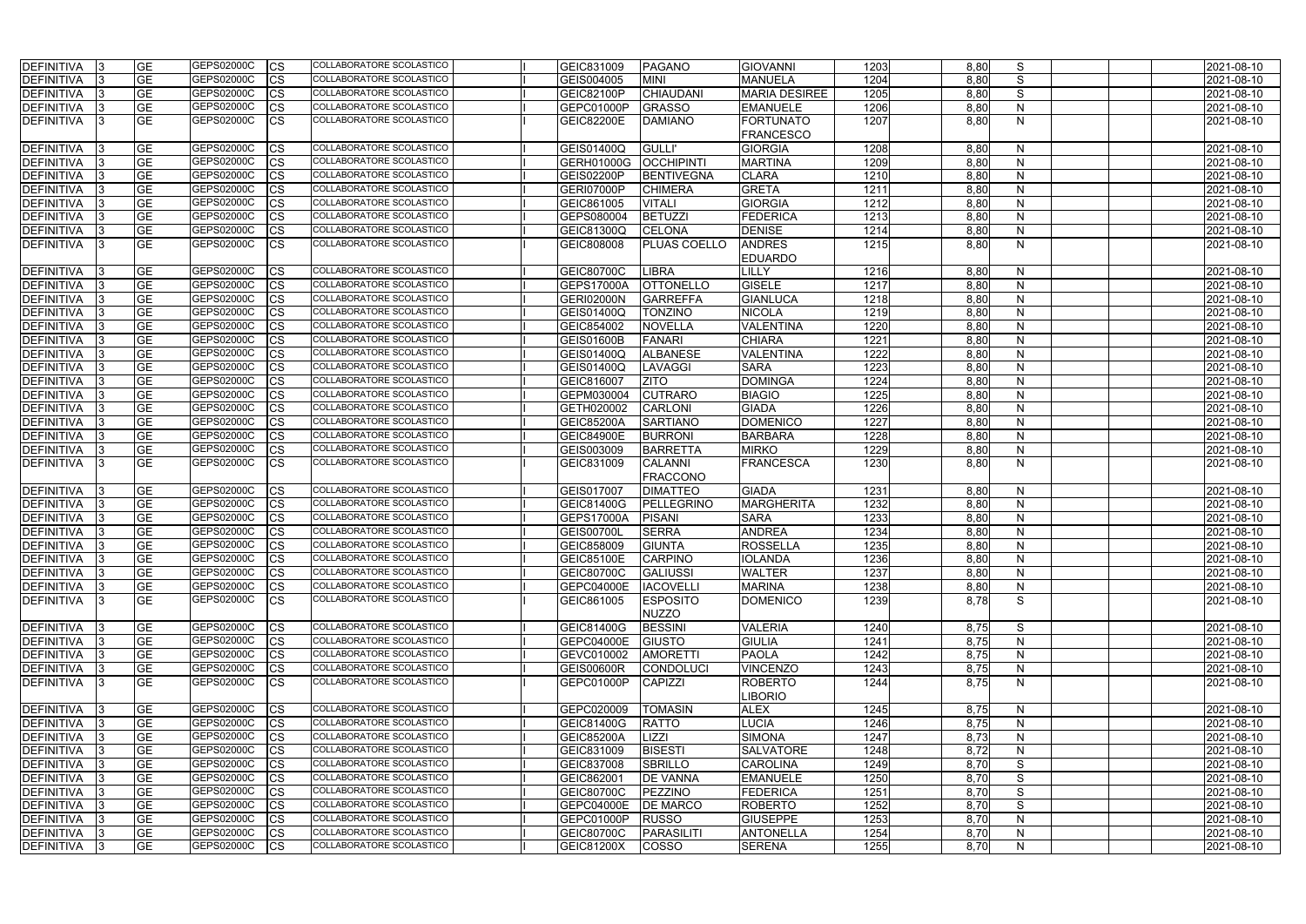| DEFINITIVA        | <b>GE</b> | GEPS02000C | <b>CS</b>  | COLLABORATORE SCOLASTICO        | GEIC831009        | PAGANO              | <b>GIOVANNI</b>                      | 1203 | 8,80 | S            |  | 2021-08-10 |
|-------------------|-----------|------------|------------|---------------------------------|-------------------|---------------------|--------------------------------------|------|------|--------------|--|------------|
| <b>DEFINITIVA</b> | <b>GE</b> | GEPS02000C | <b>CS</b>  | COLLABORATORE SCOLASTICO        | GEIS004005        | <b>MINI</b>         | <b>MANUELA</b>                       | 1204 | 8,80 | S            |  | 2021-08-10 |
| <b>DEFINITIVA</b> | <b>GE</b> | GEPS02000C | <b>CS</b>  | COLLABORATORE SCOLASTICO        | <b>GEIC82100P</b> | <b>CHIAUDANI</b>    | <b>MARIA DESIREE</b>                 | 1205 | 8,80 | S            |  | 2021-08-10 |
| <b>DEFINITIVA</b> | <b>GE</b> | GEPS02000C | CS         | COLLABORATORE SCOLASTICO        | GEPC01000P        | <b>GRASSO</b>       | <b>EMANUELE</b>                      | 1206 | 8,80 | $\mathsf{N}$ |  | 2021-08-10 |
| <b>DEFINITIVA</b> | <b>GE</b> | GEPS02000C | <b>ICS</b> | COLLABORATORE SCOLASTICO        | <b>GEIC82200E</b> | <b>DAMIANO</b>      | <b>FORTUNATO</b><br><b>FRANCESCO</b> | 1207 | 8,80 | $\mathsf{N}$ |  | 2021-08-10 |
| <b>DEFINITIVA</b> | <b>GE</b> | GEPS02000C | <b>CS</b>  | COLLABORATORE SCOLASTICO        | GEIS01400Q        | <b>GULLI'</b>       | <b>GIORGIA</b>                       | 1208 | 8,80 | $\mathsf{N}$ |  | 2021-08-10 |
| <b>DEFINITIVA</b> | <b>GE</b> | GEPS02000C | <b>CS</b>  | COLLABORATORE SCOLASTICO        | GERH01000G        | <b>OCCHIPINTI</b>   | <b>MARTINA</b>                       | 1209 | 8,80 | N            |  | 2021-08-10 |
| <b>DEFINITIVA</b> | <b>GE</b> | GEPS02000C | <b>CS</b>  | COLLABORATORE SCOLASTICO        | <b>GEIS02200P</b> | BENTIVEGNA          | <b>CLARA</b>                         | 1210 | 8,80 | N            |  | 2021-08-10 |
| <b>DEFINITIVA</b> | <b>GE</b> | GEPS02000C | <b>CS</b>  | COLLABORATORE SCOLASTICO        | GERI07000P        | <b>CHIMERA</b>      | <b>GRETA</b>                         | 1211 | 8,80 | N            |  | 2021-08-10 |
| <b>DEFINITIVA</b> | <b>GE</b> | GEPS02000C | <b>ICS</b> | COLLABORATORE SCOLASTICO        | GEIC861005        | <b>VITALI</b>       | <b>GIORGIA</b>                       | 1212 | 8,80 | $\mathsf{N}$ |  | 2021-08-10 |
| <b>DEFINITIVA</b> | <b>GE</b> | GEPS02000C | CS         | COLLABORATORE SCOLASTICO        | GEPS080004        | <b>BETUZZI</b>      | <b>FEDERICA</b>                      | 1213 | 8,80 | N            |  | 2021-08-10 |
| <b>DEFINITIVA</b> | <b>GE</b> | GEPS02000C | <b>CS</b>  | COLLABORATORE SCOLASTICO        | <b>GEIC81300Q</b> | <b>CELONA</b>       | <b>DENISE</b>                        | 1214 | 8,80 | $\mathsf{N}$ |  | 2021-08-10 |
| <b>DEFINITIVA</b> | <b>GE</b> | GEPS02000C | <b>CS</b>  | COLLABORATORE SCOLASTICO        | GEIC808008        | <b>PLUAS COELLO</b> | <b>ANDRES</b>                        | 1215 | 8,80 | N            |  | 2021-08-10 |
|                   |           |            |            |                                 |                   |                     | <b>EDUARDO</b>                       |      |      |              |  |            |
| <b>DEFINITIVA</b> | <b>GE</b> | GEPS02000C | <b>CS</b>  | COLLABORATORE SCOLASTICO        | <b>GEIC80700C</b> | LIBRA               | LILLY                                | 1216 | 8,80 | N            |  | 2021-08-10 |
| <b>DEFINITIVA</b> | <b>GE</b> | GEPS02000C | CS         | COLLABORATORE SCOLASTICO        | <b>GEPS17000A</b> | <b>OTTONELLO</b>    | <b>GISELE</b>                        | 1217 | 8,80 | $\mathsf{N}$ |  | 2021-08-10 |
| <b>DEFINITIVA</b> | <b>GE</b> | GEPS02000C | CS         | COLLABORATORE SCOLASTICO        | <b>GERI02000N</b> | <b>GARREFFA</b>     | <b>GIANLUCA</b>                      | 1218 | 8,80 | N            |  | 2021-08-10 |
| <b>DEFINITIVA</b> | <b>GE</b> | GEPS02000C | <b>CS</b>  | COLLABORATORE SCOLASTICO        | <b>GEIS01400Q</b> | <b>TONZINO</b>      | <b>NICOLA</b>                        | 1219 | 8,80 | N            |  | 2021-08-10 |
| <b>DEFINITIVA</b> | <b>GE</b> | GEPS02000C | <b>CS</b>  | COLLABORATORE SCOLASTICO        | GEIC854002        | <b>NOVELLA</b>      | <b>VALENTINA</b>                     | 1220 | 8,80 | $\mathsf{N}$ |  | 2021-08-10 |
| <b>DEFINITIVA</b> | <b>GE</b> | GEPS02000C | <b>CS</b>  | COLLABORATORE SCOLASTICO        | <b>GEIS01600B</b> | <b>FANARI</b>       | <b>CHIARA</b>                        | 1221 | 8,80 | N            |  | 2021-08-10 |
| <b>DEFINITIVA</b> | <b>GE</b> | GEPS02000C | <b>CS</b>  | COLLABORATORE SCOLASTICO        | <b>GEIS01400Q</b> | <b>ALBANESE</b>     | VALENTINA                            | 1222 | 8,80 | N            |  | 2021-08-10 |
| <b>DEFINITIVA</b> | <b>GE</b> | GEPS02000C | CS         | COLLABORATORE SCOLASTICO        | <b>GEIS01400Q</b> | <b>LAVAGGI</b>      | <b>SARA</b>                          | 1223 | 8,80 | $\mathsf{N}$ |  | 2021-08-10 |
| <b>DEFINITIVA</b> | <b>GE</b> | GEPS02000C | <b>CS</b>  | COLLABORATORE SCOLASTICO        | GEIC816007        | <b>ZITO</b>         | <b>DOMINGA</b>                       | 1224 | 8,80 | $\mathsf{N}$ |  | 2021-08-10 |
| <b>DEFINITIVA</b> | <b>GE</b> | GEPS02000C | <b>CS</b>  | COLLABORATORE SCOLASTICO        | GEPM030004        | <b>CUTRARO</b>      | <b>BIAGIO</b>                        | 1225 | 8,80 | N            |  | 2021-08-10 |
| <b>DEFINITIVA</b> | <b>GE</b> | GEPS02000C | <b>CS</b>  | COLLABORATORE SCOLASTICO        | GETH020002        | <b>CARLONI</b>      | <b>GIADA</b>                         | 1226 | 8,80 | $\mathsf{N}$ |  | 2021-08-10 |
| <b>DEFINITIVA</b> | <b>GE</b> | GEPS02000C | <b>CS</b>  | COLLABORATORE SCOLASTICO        | <b>GEIC85200A</b> | SARTIANO            | <b>DOMENICO</b>                      | 1227 | 8,80 | $\mathsf{N}$ |  | 2021-08-10 |
| <b>DEFINITIVA</b> | <b>GE</b> | GEPS02000C | CS         | COLLABORATORE SCOLASTICO        | <b>GEIC84900E</b> | <b>BURRONI</b>      | <b>BARBARA</b>                       | 1228 | 8,80 | N            |  | 2021-08-10 |
| <b>DEFINITIVA</b> | <b>GE</b> | GEPS02000C | <b>CS</b>  | COLLABORATORE SCOLASTICO        | GEIS003009        | <b>BARRETTA</b>     | <b>MIRKO</b>                         | 1229 | 8,80 | $\mathsf{N}$ |  | 2021-08-10 |
| <b>DEFINITIVA</b> | <b>GE</b> | GEPS02000C | <b>CS</b>  | COLLABORATORE SCOLASTICO        | GEIC831009        | <b>CALANNI</b>      | <b>FRANCESCA</b>                     | 1230 | 8,80 | $\mathsf{N}$ |  | 2021-08-10 |
|                   |           |            |            |                                 |                   | <b>FRACCONO</b>     |                                      |      |      |              |  |            |
| <b>DEFINITIVA</b> | <b>GE</b> | GEPS02000C | <b>CS</b>  | <b>COLLABORATORE SCOLASTICO</b> | GEIS017007        | <b>DIMATTEO</b>     | <b>GIADA</b>                         | 1231 | 8,80 | N            |  | 2021-08-10 |
| <b>DEFINITIVA</b> | <b>GE</b> | GEPS02000C | <b>CS</b>  | COLLABORATORE SCOLASTICO        | GEIC81400G        | PELLEGRINO          | <b>MARGHERITA</b>                    | 1232 | 8,80 | $\mathsf{N}$ |  | 2021-08-10 |
| <b>DEFINITIVA</b> | <b>GE</b> | GEPS02000C | CS         | <b>COLLABORATORE SCOLASTICO</b> | <b>GEPS17000A</b> | PISANI              | <b>SARA</b>                          | 1233 | 8,80 | N            |  | 2021-08-10 |
| <b>DEFINITIVA</b> | <b>GE</b> | GEPS02000C | CS         | COLLABORATORE SCOLASTICO        | <b>GEIS00700L</b> | <b>SERRA</b>        | <b>ANDREA</b>                        | 1234 | 8,80 | $\mathsf{N}$ |  | 2021-08-10 |
| <b>DEFINITIVA</b> | <b>GE</b> | GEPS02000C | <b>ICS</b> | COLLABORATORE SCOLASTICO        | GEIC858009        | GIUNTA              | <b>ROSSELLA</b>                      | 1235 | 8,80 | N            |  | 2021-08-10 |
| <b>DEFINITIVA</b> | <b>GE</b> | GEPS02000C | <b>CS</b>  | <b>COLLABORATORE SCOLASTICO</b> | <b>GEIC85100E</b> | <b>CARPINO</b>      | <b>IOLANDA</b>                       | 1236 | 8,80 | N            |  | 2021-08-10 |
| DEFINITIVA        | <b>GE</b> | GEPS02000C | <b>CS</b>  | COLLABORATORE SCOLASTICO        | <b>GEIC80700C</b> | GALIUSSI            | <b>WALTER</b>                        | 1237 | 8,80 | $\mathsf{N}$ |  | 2021-08-10 |
| <b>DEFINITIVA</b> | <b>GE</b> | GEPS02000C | <b>ICS</b> | COLLABORATORE SCOLASTICO        | <b>GEPC04000E</b> | <b>IACOVELLI</b>    | <b>MARINA</b>                        | 1238 | 8,80 | $\mathsf{N}$ |  | 2021-08-10 |
| <b>DEFINITIVA</b> | <b>GE</b> | GEPS02000C | <b>CS</b>  | COLLABORATORE SCOLASTICO        | GEIC861005        | <b>ESPOSITO</b>     | <b>DOMENICO</b>                      | 1239 | 8,78 | S            |  | 2021-08-10 |
|                   |           |            |            |                                 |                   | <b>NUZZO</b>        |                                      |      |      |              |  |            |
| <b>DEFINITIVA</b> | <b>GE</b> | GEPS02000C | <b>ICS</b> | COLLABORATORE SCOLASTICO        | <b>GEIC81400G</b> | <b>BESSINI</b>      | <b>VALERIA</b>                       | 1240 | 8,75 | S            |  | 2021-08-10 |
| <b>DEFINITIVA</b> | <b>GE</b> | GEPS02000C | <b>ICS</b> | COLLABORATORE SCOLASTICO        | GEPC04000E        | <b>GIUSTO</b>       | <b>GIULIA</b>                        | 1241 | 8,75 | $\mathsf{N}$ |  | 2021-08-10 |
| DEFINITIVA        | <b>GE</b> | GEPS02000C | <b>ICS</b> | COLLABORATORE SCOLASTICO        | GEVC010002        | <b>AMORETTI</b>     | <b>PAOLA</b>                         | 1242 | 8,75 | $\mathsf{N}$ |  | 2021-08-10 |
| <b>DEFINITIVA</b> | <b>GE</b> | GEPS02000C | <b>ICS</b> | COLLABORATORE SCOLASTICO        | <b>GEIS00600R</b> | CONDOLUCI           | <b>VINCENZO</b>                      | 1243 | 8,75 | $\mathsf{N}$ |  | 2021-08-10 |
| <b>DEFINITIVA</b> | <b>GE</b> | GEPS02000C | ICS        | COLLABORATORE SCOLASTICO        | GEPC01000P        | <b>CAPIZZI</b>      | <b>ROBERTO</b>                       | 1244 | 8,75 | N            |  | 2021-08-10 |
|                   |           |            |            |                                 |                   |                     | <b>LIBORIO</b>                       |      |      |              |  |            |
| <b>DEFINITIVA</b> | <b>GE</b> | GEPS02000C | <b>CS</b>  | COLLABORATORE SCOLASTICO        | GEPC020009        | <b>TOMASIN</b>      | <b>ALEX</b>                          | 1245 | 8,75 | N            |  | 2021-08-10 |
| <b>DEFINITIVA</b> | <b>GE</b> | GEPS02000C | <b>CS</b>  | COLLABORATORE SCOLASTICO        | GEIC81400G        | <b>RATTO</b>        | <b>LUCIA</b>                         | 1246 | 8,75 | $\mathsf{N}$ |  | 2021-08-10 |
| DEFINITIVA        | <b>GE</b> | GEPS02000C | <b>CS</b>  | COLLABORATORE SCOLASTICO        | <b>GEIC85200A</b> | LIZZI               | <b>SIMONA</b>                        | 1247 | 8,73 | $\mathsf{N}$ |  | 2021-08-10 |
| <b>DEFINITIVA</b> | <b>GE</b> | GEPS02000C | <b>CS</b>  | COLLABORATORE SCOLASTICO        | GEIC831009        | <b>BISESTI</b>      | <b>SALVATORE</b>                     | 1248 | 8,72 | $\mathsf{N}$ |  | 2021-08-10 |
| DEFINITIVA        | <b>GE</b> | GEPS02000C | <b>CS</b>  | COLLABORATORE SCOLASTICO        | GEIC837008        | SBRILLO             | <b>CAROLINA</b>                      | 1249 | 8,70 | S            |  | 2021-08-10 |
| <b>DEFINITIVA</b> | <b>GE</b> | GEPS02000C | <b>CS</b>  | COLLABORATORE SCOLASTICO        | GEIC862001        | <b>DE VANNA</b>     | <b>EMANUELE</b>                      | 1250 | 8,70 | $\mathsf{S}$ |  | 2021-08-10 |
| <b>DEFINITIVA</b> | <b>GE</b> | GEPS02000C | <b>ICS</b> | COLLABORATORE SCOLASTICO        | GEIC80700C        | PEZZINO             | <b>FEDERICA</b>                      | 1251 | 8,70 | S            |  | 2021-08-10 |
| <b>DEFINITIVA</b> | <b>GE</b> | GEPS02000C | <b>ICS</b> | COLLABORATORE SCOLASTICO        | GEPC04000E        | <b>DE MARCO</b>     | <b>ROBERTO</b>                       | 1252 | 8,70 | S            |  | 2021-08-10 |
| DEFINITIVA        | <b>GE</b> | GEPS02000C | <b>ICS</b> | COLLABORATORE SCOLASTICO        | GEPC01000P        | <b>RUSSO</b>        | <b>GIUSEPPE</b>                      | 1253 | 8,70 | $\mathsf{N}$ |  | 2021-08-10 |
| <b>DEFINITIVA</b> | <b>GE</b> | GEPS02000C | <b>ICS</b> | COLLABORATORE SCOLASTICO        | <b>GEIC80700C</b> | PARASILITI          | <b>ANTONELLA</b>                     | 1254 | 8,70 | $\mathsf{N}$ |  | 2021-08-10 |
| <b>DEFINITIVA</b> | <b>GE</b> | GEPS02000C | <b>CS</b>  | COLLABORATORE SCOLASTICO        | <b>GEIC81200X</b> | <b>COSSO</b>        | <b>SERENA</b>                        | 1255 | 8,70 | $\mathsf{N}$ |  | 2021-08-10 |
|                   |           |            |            |                                 |                   |                     |                                      |      |      |              |  |            |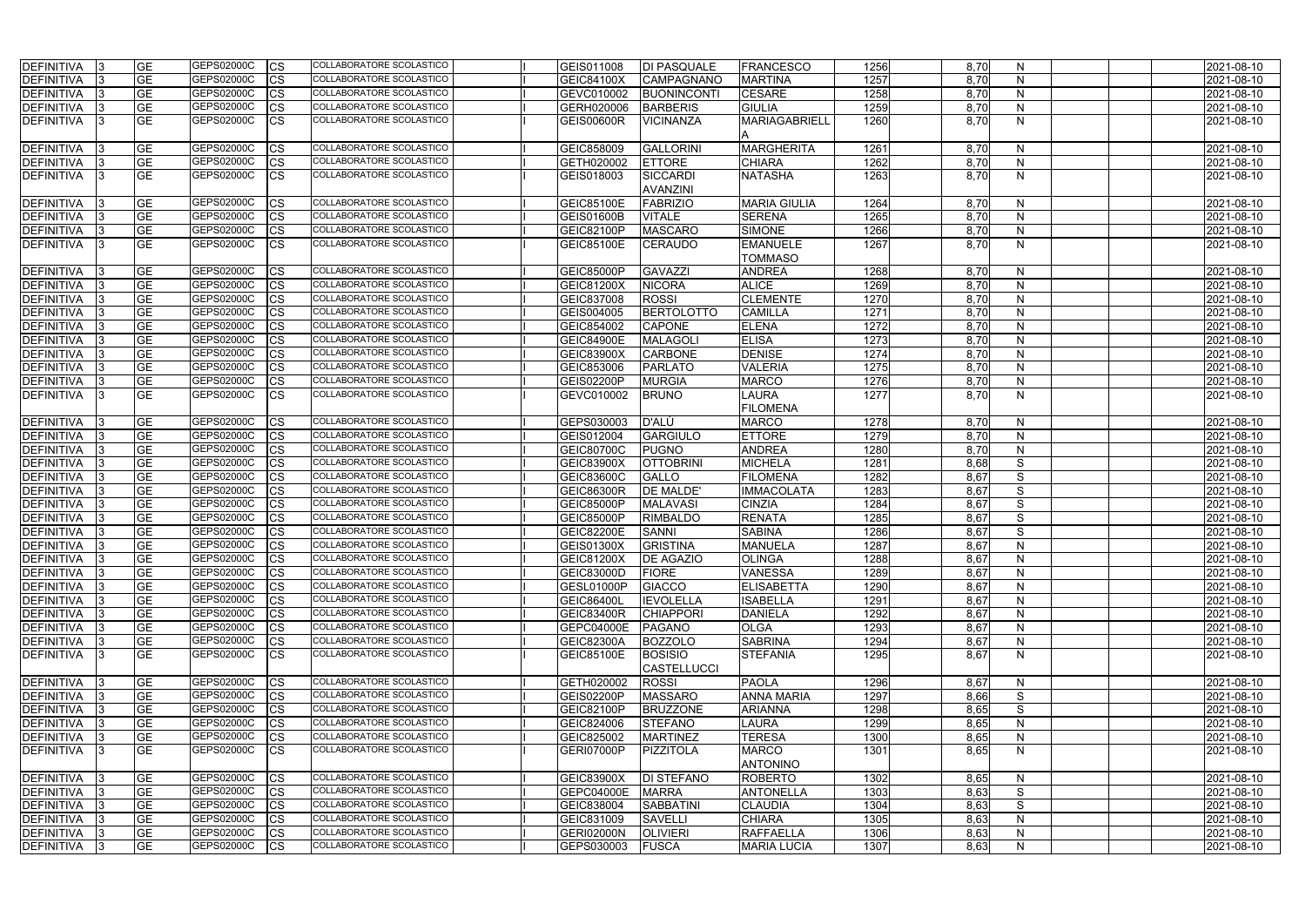| <b>DEFINITIVA</b>                 | <b>GE</b>              | GEPS02000C        | <b>CS</b>              | COLLABORATORE SCOLASTICO        | GEIS011008                      | <b>DI PASQUALE</b>                   | <b>FRANCESCO</b>                   | 1256         | 8,70         | N                 |  | 2021-08-10               |
|-----------------------------------|------------------------|-------------------|------------------------|---------------------------------|---------------------------------|--------------------------------------|------------------------------------|--------------|--------------|-------------------|--|--------------------------|
| <b>DEFINITIVA</b>                 | <b>GE</b>              | GEPS02000C        | CS                     | COLLABORATORE SCOLASTICO        | <b>GEIC84100X</b>               | CAMPAGNANO                           | <b>MARTINA</b>                     | 1257         | 8,70         | N                 |  | 2021-08-10               |
| <b>DEFINITIVA</b>                 | <b>GE</b>              | GEPS02000C        | CS                     | COLLABORATORE SCOLASTICO        | GEVC010002                      | <b>BUONINCONTI</b>                   | <b>CESARE</b>                      | 1258         | 8,70         | N                 |  | 2021-08-10               |
| <b>DEFINITIVA</b>                 | <b>GE</b>              | GEPS02000C        | CS                     | COLLABORATORE SCOLASTICO        | GERH020006                      | <b>BARBERIS</b>                      | <b>GIULIA</b>                      | 1259         | 8,70         | N                 |  | 2021-08-10               |
| DEFINITIVA                        | <b>GE</b>              | GEPS02000C        | <b>CS</b>              | COLLABORATORE SCOLASTICO        | <b>GEIS00600R</b>               | <b>VICINANZA</b>                     | <b>MARIAGABRIELI</b>               | 1260         | 8,70         | $\mathsf{N}$      |  | 2021-08-10               |
| <b>DEFINITIVA</b>                 | <b>GE</b>              | GEPS02000C        | <b>CS</b>              | COLLABORATORE SCOLASTICO        | GEIC858009                      | <b>GALLORINI</b>                     | <b>MARGHERITA</b>                  | 1261         | 8,70         | $\mathsf{N}$      |  | 2021-08-10               |
| <b>DEFINITIVA</b>                 | <b>GE</b>              | GEPS02000C        | <b>CS</b>              | COLLABORATORE SCOLASTICO        | GETH020002                      | <b>ETTORE</b>                        | <b>CHIARA</b>                      | 1262         | 8,70         | N                 |  | 2021-08-10               |
| <b>DEFINITIVA</b>                 | <b>GE</b>              | GEPS02000C        | <b>CS</b>              | COLLABORATORE SCOLASTICO        | GEIS018003                      | <b>SICCARDI</b>                      | <b>NATASHA</b>                     | 1263         | 8,70         | N                 |  | 2021-08-10               |
|                                   |                        |                   |                        |                                 |                                 | <b>AVANZINI</b>                      |                                    |              |              |                   |  |                          |
| <b>DEFINITIVA</b>                 | <b>GE</b>              | <b>GEPS02000C</b> | <b>CS</b>              | COLLABORATORE SCOLASTICO        | <b>GEIC85100E</b>               | FABRIZIO                             | <b>MARIA GIULIA</b>                | 1264         | 8,70         | N                 |  | 2021-08-10               |
| DEFINITIVA                        | <b>GE</b>              | GEPS02000C        | <b>CS</b>              | COLLABORATORE SCOLASTICO        | GEIS01600B                      | <b>VITALE</b>                        | <b>SERENA</b>                      | 1265         | 8,70         | N                 |  | 2021-08-10               |
| <b>DEFINITIVA</b>                 | <b>GE</b>              | GEPS02000C        | <b>CS</b>              | COLLABORATORE SCOLASTICO        | <b>GEIC82100P</b>               | <b>MASCARO</b>                       | <b>SIMONE</b>                      | 1266         | 8,70         | $\mathsf{N}$      |  | 2021-08-10               |
| <b>DEFINITIVA</b>                 | <b>GE</b>              | GEPS02000C        | <b>CS</b>              | COLLABORATORE SCOLASTICO        | <b>GEIC85100E</b>               | <b>CERAUDO</b>                       | <b>EMANUELE</b>                    | 1267         | 8,70         | N                 |  | 2021-08-10               |
|                                   |                        |                   |                        |                                 |                                 |                                      | <b>TOMMASO</b>                     |              |              |                   |  |                          |
| <b>DEFINITIVA</b>                 | <b>GE</b>              | GEPS02000C        | CS                     | COLLABORATORE SCOLASTICO        | <b>GEIC85000P</b>               | <b>GAVAZZI</b>                       | <b>ANDREA</b>                      | 1268         | 8,70         | N                 |  | 2021-08-10               |
| <b>DEFINITIVA</b>                 | <b>GE</b>              | GEPS02000C        | CS                     | COLLABORATORE SCOLASTICO        | <b>GEIC81200X</b>               | <b>NICORA</b>                        | <b>ALICE</b>                       | 1269         | 8,70         | $\mathsf{N}$      |  | 2021-08-10               |
| <b>DEFINITIVA</b>                 | <b>GE</b>              | GEPS02000C        | <b>CS</b>              | COLLABORATORE SCOLASTICO        | GEIC837008                      | <b>ROSSI</b>                         | <b>CLEMENTE</b>                    | 1270         | 8,70         | N                 |  | 2021-08-10               |
| <b>DEFINITIVA</b>                 | <b>GE</b>              | GEPS02000C        | <b>CS</b>              | COLLABORATORE SCOLASTICO        | GEIS004005                      | <b>BERTOLOTTO</b>                    | <b>CAMILLA</b>                     | 1271         | 8,70         | N                 |  | 2021-08-10               |
| <b>DEFINITIVA</b>                 | <b>GE</b>              | GEPS02000C        | <b>CS</b>              | COLLABORATORE SCOLASTICO        | GEIC854002                      | <b>CAPONE</b>                        | <b>ELENA</b>                       | 1272         | 8,70         | $\mathsf{N}$      |  | 2021-08-10               |
| <b>DEFINITIVA</b>                 | <b>GE</b>              | GEPS02000C        | CS                     | COLLABORATORE SCOLASTICO        | <b>GEIC84900E</b>               | <b>MALAGOLI</b>                      | <b>ELISA</b>                       | 1273         | 8,70         | N                 |  | 2021-08-10               |
| <b>DEFINITIVA</b>                 | <b>GE</b>              | GEPS02000C        | <b>CS</b>              | <b>COLLABORATORE SCOLASTICO</b> | <b>GEIC83900X</b>               | <b>CARBONE</b>                       | <b>DENISE</b>                      | 1274         | 8,70         | N                 |  | 2021-08-10               |
| DEFINITIVA                        | <b>GE</b>              | GEPS02000C        | <b>CS</b>              | <b>COLLABORATORE SCOLASTICO</b> | GEIC853006                      | <b>PARLATO</b>                       | <b>VALERIA</b>                     | 1275         | 8,70         | $\mathsf{N}$      |  | 2021-08-10               |
| DEFINITIVA                        | <b>GE</b>              | GEPS02000C        | <b>CS</b>              | COLLABORATORE SCOLASTICO        | <b>GEIS02200P</b>               | <b>MURGIA</b>                        | <b>MARCO</b>                       | 1276         | 8,70         | $\mathsf{N}$      |  | 2021-08-10               |
| DEFINITIVA                        | <b>GE</b>              | GEPS02000C        | <b>CS</b>              | COLLABORATORE SCOLASTICO        | GEVC010002                      | <b>BRUNO</b>                         | <b>LAURA</b><br><b>FILOMENA</b>    | 1277         | 8,70         | N                 |  | 2021-08-10               |
| <b>DEFINITIVA</b>                 | <b>GE</b>              | GEPS02000C        | <b>CS</b>              | COLLABORATORE SCOLASTICO        | GEPS030003                      | D'ALÙ                                | <b>MARCO</b>                       | 1278         | 8,70         | N                 |  | 2021-08-10               |
| <b>DEFINITIVA</b>                 | <b>GE</b>              | GEPS02000C        | СS                     | COLLABORATORE SCOLASTICO        | GEIS012004                      | <b>GARGIULO</b>                      | <b>ETTORE</b>                      | 1279         | 8,70         | N                 |  | 2021-08-10               |
| <b>DEFINITIVA</b>                 | <b>GE</b>              | GEPS02000C        | CS                     | COLLABORATORE SCOLASTICO        | <b>GEIC80700C</b>               | <b>PUGNO</b>                         | <b>ANDREA</b>                      | 1280         | 8,70         | $\mathsf{N}$      |  | 2021-08-10               |
| <b>DEFINITIVA</b>                 | <b>GE</b>              | GEPS02000C        | <b>CS</b>              | COLLABORATORE SCOLASTICO        | <b>GEIC83900X</b>               | <b>OTTOBRINI</b>                     | <b>MICHELA</b>                     | 1281         | 8,68         | $\mathsf S$       |  | 2021-08-10               |
| <b>DEFINITIVA</b>                 | <b>GE</b>              | GEPS02000C        | CS                     | COLLABORATORE SCOLASTICO        | <b>GEIC83600C</b>               | <b>GALLO</b>                         | <b>FILOMENA</b>                    | 1282         | 8,67         | S                 |  | 2021-08-10               |
| <b>DEFINITIVA</b>                 | <b>GE</b>              | GEPS02000C        | <b>CS</b>              | <b>COLLABORATORE SCOLASTICO</b> | <b>GEIC86300R</b>               | <b>DE MALDE'</b>                     | <b>IMMACOLATA</b>                  | 1283         | 8,67         | S                 |  | 2021-08-10               |
| <b>DEFINITIVA</b>                 | <b>GE</b>              | GEPS02000C        | <b>CS</b>              | COLLABORATORE SCOLASTICO        | <b>GEIC85000P</b>               | <b>MALAVASI</b>                      | <b>CINZIA</b>                      | 1284         | 8,67         | S                 |  | 2021-08-10               |
| <b>DEFINITIVA</b>                 | <b>GE</b>              | GEPS02000C        | CS                     | <b>COLLABORATORE SCOLASTICO</b> | <b>GEIC85000P</b>               | <b>RIMBALDO</b>                      | <b>RENATA</b>                      | 1285         | 8,67         | S                 |  | 2021-08-10               |
| <b>DEFINITIVA</b>                 | <b>GE</b>              | GEPS02000C        | CS                     | <b>COLLABORATORE SCOLASTICO</b> | <b>GEIC82200E</b>               | <b>SANNI</b>                         | <b>SABINA</b>                      | 1286         | 8,67         | ${\mathsf S}$     |  | 2021-08-10               |
| <b>DEFINITIVA</b>                 | <b>IGE</b>             | <b>GEPS02000C</b> | <b>CS</b>              | COLLABORATORE SCOLASTICO        | <b>GEIS01300X</b>               | <b>GRISTINA</b>                      | <b>MANUELA</b>                     | 1287         | 8,67         | N                 |  | 2021-08-10               |
| <b>DEFINITIVA</b>                 | <b>GE</b>              | GEPS02000C        | <b>CS</b>              | COLLABORATORE SCOLASTICO        | <b>GEIC81200X</b>               | <b>DE AGAZIO</b>                     | <b>OLINGA</b>                      | 1288         | 8,67         | N                 |  | 2021-08-10               |
| <b>DEFINITIVA</b>                 | <b>GE</b>              | GEPS02000C        | <b>CS</b>              | COLLABORATORE SCOLASTICO        | <b>GEIC83000D</b>               | <b>FIORE</b>                         | <b>VANESSA</b>                     | 1289         | 8,67         | $\mathsf{N}$      |  | 2021-08-10               |
| DEFINITIVA                        | <b>GE</b>              | GEPS02000C        | <b>CS</b>              | COLLABORATORE SCOLASTICO        | GESL01000P                      | <b>GIACCO</b>                        | <b>ELISABETTA</b>                  | 1290         | 8,67         | $\mathsf{N}$      |  | 2021-08-10               |
| DEFINITIVA                        | <b>GE</b>              | GEPS02000C        | <b>CS</b>              | COLLABORATORE SCOLASTICO        | <b>GEIC86400L</b>               | <b>IEVOLELLA</b>                     | <b>ISABELLA</b>                    | 1291         | 8,67         | N                 |  | 2021-08-10               |
| DEFINITIVA                        | <b>GE</b>              | GEPS02000C        | <b>CS</b>              | <b>COLLABORATORE SCOLASTICO</b> | <b>GEIC83400R</b>               | <b>CHIAPPORI</b>                     | <b>DANIELA</b>                     | 1292         | 8,67         | N                 |  | 2021-08-10               |
| <b>DEFINITIVA</b>                 | <b>GE</b>              | GEPS02000C        | <b>CS</b>              | COLLABORATORE SCOLASTICO        | <b>GEPC04000E</b>               | PAGANO                               | <b>OLGA</b>                        | 1293         | 8,67         | N                 |  | 2021-08-10               |
| <b>DEFINITIVA</b>                 | <b>GE</b>              | GEPS02000C        | <b>CS</b>              | COLLABORATORE SCOLASTICO        | <b>GEIC82300A</b>               | <b>BOZZOLO</b>                       | <b>SABRINA</b>                     | 1294         | 8,67         | $\mathsf{N}$      |  | 2021-08-10               |
| DEFINITIVA                        | <b>GE</b>              | GEPS02000C        | <b>CS</b>              | COLLABORATORE SCOLASTICO        | <b>GEIC85100E</b>               | <b>BOSISIO</b><br><b>CASTELLUCCI</b> | <b>STEFANIA</b>                    | 1295         | 8,67         | N                 |  | 2021-08-10               |
| <b>DEFINITIVA</b>                 | <b>GE</b>              | GEPS02000C        | <b>CS</b>              | COLLABORATORE SCOLASTICO        | GETH020002                      | <b>ROSSI</b>                         | <b>PAOLA</b>                       | 1296         | 8,67         | N                 |  | 2021-08-10               |
| DEFINITIVA                        | <b>GE</b>              | GEPS02000C        | <b>CS</b>              | COLLABORATORE SCOLASTICO        | <b>GEIS02200P</b>               | <b>MASSARO</b>                       | <b>ANNA MARIA</b>                  | 1297         | 8,66         | S                 |  | 2021-08-10               |
| <b>DEFINITIVA</b>                 | <b>GE</b>              | GEPS02000C        | <b>CS</b>              | COLLABORATORE SCOLASTICO        | <b>GEIC82100P</b>               | <b>BRUZZONE</b>                      | <b>ARIANNA</b>                     | 1298         | 8,65         | S                 |  | 2021-08-10               |
| <b>DEFINITIVA</b>                 | <b>GE</b>              | GEPS02000C        | <b>CS</b>              | COLLABORATORE SCOLASTICO        | GEIC824006                      | <b>STEFANO</b>                       | <b>LAURA</b>                       | 1299         | 8,65         | $\mathsf{N}$      |  | 2021-08-10               |
| DEFINITIVA                        | <b>GE</b>              | GEPS02000C        | <b>CS</b>              | COLLABORATORE SCOLASTICO        | GEIC825002                      | <b>MARTINEZ</b>                      | <b>TERESA</b>                      | 1300         | 8,65         | N                 |  | 2021-08-10               |
| <b>DEFINITIVA</b>                 | <b>GE</b>              | GEPS02000C        | <b>CS</b>              | COLLABORATORE SCOLASTICO        | <b>GERI07000P</b>               | <b>PIZZITOLA</b>                     | <b>MARCO</b>                       | 1301         | 8,65         | $\mathsf{N}$      |  | 2021-08-10               |
|                                   |                        | GEPS02000C        |                        | COLLABORATORE SCOLASTICO        |                                 |                                      | <b>ANTONINO</b>                    |              |              |                   |  |                          |
| <b>DEFINITIVA</b><br>DEFINITIVA 3 | <b>GE</b><br><b>GE</b> | GEPS02000C        | <b>CS</b>              | COLLABORATORE SCOLASTICO        | <b>GEIC83900X</b>               | <b>DI STEFANO</b>                    | <b>ROBERTO</b><br><b>ANTONELLA</b> | 1302<br>1303 | 8,65         | N<br>S            |  | 2021-08-10<br>2021-08-10 |
| <b>DEFINITIVA</b>                 | <b>GE</b>              | GEPS02000C        | <b>CS</b><br><b>CS</b> | COLLABORATORE SCOLASTICO        | <b>GEPC04000E</b><br>GEIC838004 | <b>MARRA</b><br><b>SABBATINI</b>     | <b>CLAUDIA</b>                     | 1304         | 8,63         | S                 |  | 2021-08-10               |
| <b>DEFINITIVA</b>                 |                        | GEPS02000C        |                        | COLLABORATORE SCOLASTICO        |                                 |                                      |                                    | 1305         | 8,63         |                   |  |                          |
| DEFINITIVA 3                      | <b>GE</b><br><b>GE</b> | GEPS02000C        | <b>CS</b><br><b>CS</b> | COLLABORATORE SCOLASTICO        | GEIC831009<br><b>GERI02000N</b> | <b>SAVELLI</b><br><b>OLIVIERI</b>    | <b>CHIARA</b><br><b>RAFFAELLA</b>  | 1306         | 8,63<br>8,63 | $\mathsf{N}$<br>N |  | 2021-08-10<br>2021-08-10 |
|                                   | <b>GE</b>              | GEPS02000C        | <b>CS</b>              | COLLABORATORE SCOLASTICO        |                                 | <b>FUSCA</b>                         |                                    |              |              |                   |  |                          |
| DEFINITIVA 3                      |                        |                   |                        |                                 | GEPS030003                      |                                      | <b>MARIA LUCIA</b>                 | 1307         | 8,63         | N                 |  | 2021-08-10               |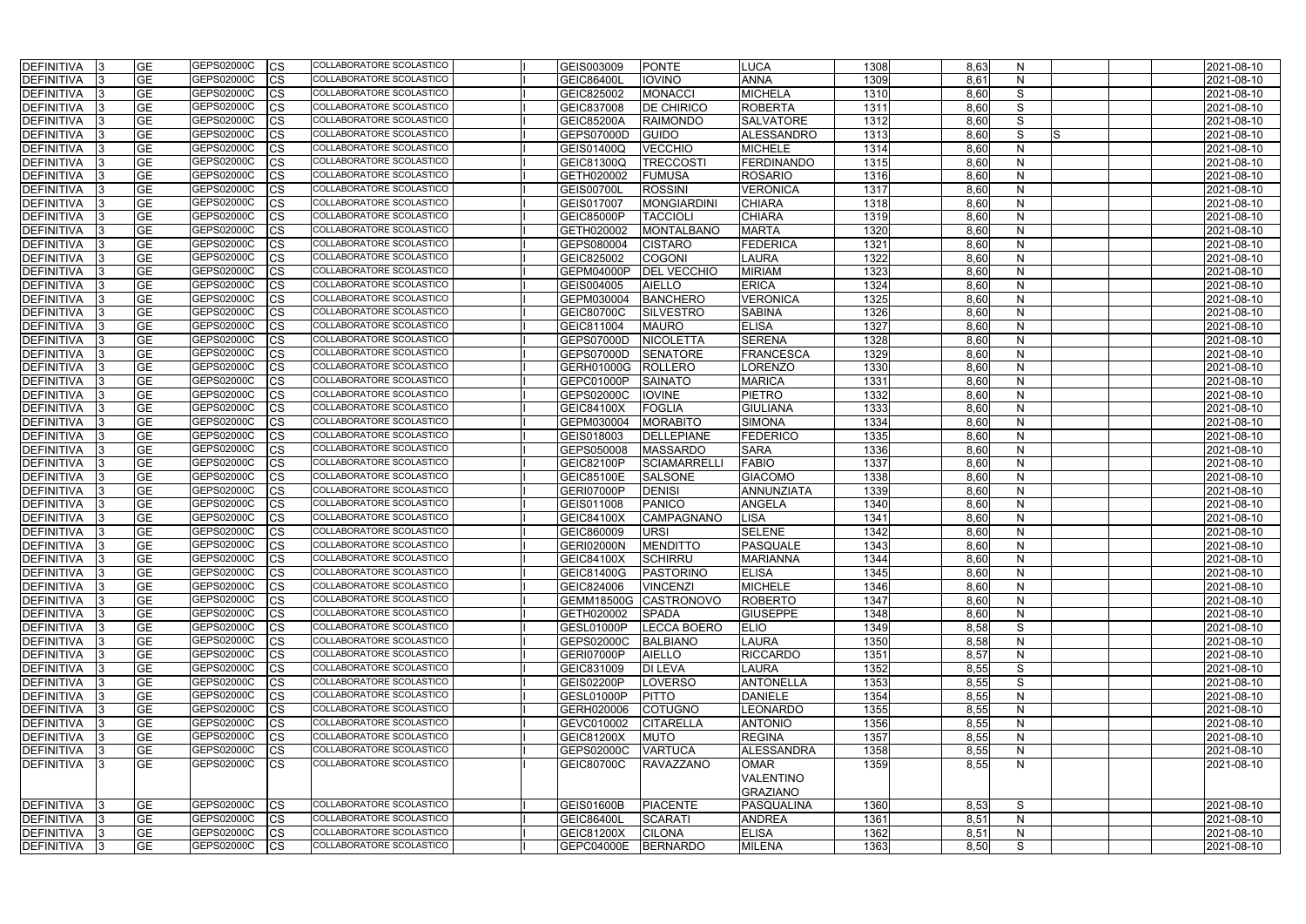| <b>DEFINITIVA</b> | <b>GE</b>       | <b>GEPS02000C</b><br>CS  | COLLABORATORE SCOLASTICO        | GEIS003009        | <b>PONTE</b>       | LUCA              | 1308 | 8,63 | N.           |     | 2021-08-10 |
|-------------------|-----------------|--------------------------|---------------------------------|-------------------|--------------------|-------------------|------|------|--------------|-----|------------|
| <b>DEFINITIVA</b> | <b>GE</b>       | GEPS02000C<br>CS         | COLLABORATORE SCOLASTICO        | <b>GEIC86400L</b> | <b>IOVINO</b>      | <b>ANNA</b>       | 1309 | 8,61 | N            |     | 2021-08-10 |
| <b>DEFINITIVA</b> | <b>GE</b>       | GEPS02000C<br>СS         | COLLABORATORE SCOLASTICO        | GEIC825002        | <b>MONACCI</b>     | <b>MICHELA</b>    | 1310 | 8,60 | S            |     | 2021-08-10 |
| <b>DEFINITIVA</b> | <b>GE</b>       | <b>GEPS02000C</b><br>СS  | COLLABORATORE SCOLASTICO        | GEIC837008        | <b>DE CHIRICO</b>  | <b>ROBERTA</b>    | 1311 | 8,60 | S            |     | 2021-08-10 |
| <b>DEFINITIVA</b> | <b>GE</b>       | <b>GEPS02000C</b><br>CS  | COLLABORATORE SCOLASTICO        | <b>GEIC85200A</b> | <b>RAIMONDO</b>    | <b>SALVATORE</b>  | 1312 | 8,60 | S            |     | 2021-08-10 |
| <b>DEFINITIVA</b> | <b>GE</b>       | GEPS02000C<br>СS         | COLLABORATORE SCOLASTICO        | <b>GEPS07000D</b> | <b>GUIDO</b>       | <b>ALESSANDRO</b> | 1313 | 8,60 | S            | lS. | 2021-08-10 |
| <b>DEFINITIVA</b> | <b>GE</b>       | GEPS02000C<br>СS         | COLLABORATORE SCOLASTICO        | GEIS01400Q        | <b>VECCHIO</b>     | <b>MICHELE</b>    | 1314 | 8,60 | <sub>N</sub> |     | 2021-08-10 |
| <b>DEFINITIVA</b> | <b>GE</b>       | GEPS02000C<br>CS         | COLLABORATORE SCOLASTICO        | GEIC81300Q        | <b>TRECCOSTI</b>   | <b>FERDINANDO</b> | 1315 | 8,60 | N            |     | 2021-08-10 |
| <b>DEFINITIVA</b> | <b>GE</b>       | GEPS02000C<br>СS         | COLLABORATORE SCOLASTICO        | GETH020002        | <b>FUMUSA</b>      | <b>ROSARIO</b>    | 1316 | 8,60 | N            |     | 2021-08-10 |
| <b>DEFINITIVA</b> | <b>GE</b>       | GEPS02000C<br>СS         | COLLABORATORE SCOLASTICO        | <b>GEIS00700L</b> | <b>ROSSINI</b>     | VERONICA          | 1317 | 8,60 | N            |     | 2021-08-10 |
| <b>DEFINITIVA</b> | $\overline{GE}$ | GEPS02000C<br>СS         | COLLABORATORE SCOLASTICO        | GEIS017007        | <b>MONGIARDINI</b> | <b>CHIARA</b>     | 1318 | 8,60 | N            |     | 2021-08-10 |
| <b>DEFINITIVA</b> | <b>GE</b>       | GEPS02000C<br>СS         | COLLABORATORE SCOLASTICO        | GEIC85000P        | <b>TACCIOL</b>     | <b>CHIARA</b>     | 1319 | 8,60 | $\mathsf{N}$ |     | 2021-08-10 |
| DEFINITIVA        | <b>GE</b>       | GEPS02000C<br>СS         | COLLABORATORE SCOLASTICO        | GETH020002        | MONTALBANO         | <b>MARTA</b>      | 1320 | 8,60 | $\mathsf{N}$ |     | 2021-08-10 |
| <b>DEFINITIVA</b> | $\overline{GE}$ | GEPS02000C<br>СS         | COLLABORATORE SCOLASTICO        | GEPS080004        | <b>CISTARO</b>     | <b>FEDERICA</b>   | 1321 | 8,60 | N            |     | 2021-08-10 |
| <b>DEFINITIVA</b> | <b>GE</b>       | GEPS02000C<br>СS         | COLLABORATORE SCOLASTICO        | GEIC825002        | <b>COGONI</b>      | LAURA             | 1322 | 8,60 | N            |     | 2021-08-10 |
| <b>DEFINITIVA</b> | <b>GE</b>       | GEPS02000C<br>СS         | COLLABORATORE SCOLASTICO        | <b>GEPM04000P</b> | <b>DEL VECCHIO</b> | MIRIAM            | 1323 | 8,60 | N            |     | 2021-08-10 |
| <b>DEFINITIVA</b> | <b>GE</b>       | GEPS02000C<br>СS         | COLLABORATORE SCOLASTICO        | GEIS004005        | <b>AIELLO</b>      | <b>ERICA</b>      | 1324 | 8,60 | N            |     | 2021-08-10 |
| <b>DEFINITIVA</b> | <b>GE</b>       | GEPS02000C<br>СS         | <b>COLLABORATORE SCOLASTICO</b> | GEPM030004        | <b>BANCHERO</b>    | VERONICA          | 1325 | 8,60 | N            |     | 2021-08-10 |
| <b>DEFINITIVA</b> | <b>GE</b>       | GEPS02000C<br>СS         | COLLABORATORE SCOLASTICO        | <b>GEIC80700C</b> | SILVESTRO          | <b>SABINA</b>     | 1326 | 8,60 | N            |     | 2021-08-10 |
| <b>DEFINITIVA</b> | <b>GE</b>       | GEPS02000C<br>СS         | COLLABORATORE SCOLASTICO        | GEIC811004        | <b>MAURO</b>       | <b>ELISA</b>      | 1327 | 8,60 | N            |     | 2021-08-10 |
| <b>DEFINITIVA</b> | <b>GE</b>       | GEPS02000C<br>СS         | COLLABORATORE SCOLASTICO        | <b>GEPS07000D</b> | <b>NICOLETTA</b>   | <b>SERENA</b>     | 1328 | 8,60 | N            |     | 2021-08-10 |
| <b>DEFINITIVA</b> | <b>GE</b>       | GEPS02000C<br>СS         | COLLABORATORE SCOLASTICO        | GEPS07000D        | <b>SENATORE</b>    | <b>FRANCESCA</b>  | 1329 | 8,60 | N            |     | 2021-08-10 |
| DEFINITIVA        | <b>GE</b>       | GEPS02000C<br>СS         | <b>COLLABORATORE SCOLASTICO</b> | GERH01000G        | <b>ROLLERO</b>     | LORENZO           | 1330 | 8,60 | N            |     | 2021-08-10 |
| <b>DEFINITIVA</b> | <b>GE</b>       | GEPS02000C<br>СS         | COLLABORATORE SCOLASTICO        | GEPC01000P        | <b>SAINATO</b>     | <b>MARICA</b>     | 1331 | 8,60 | N            |     | 2021-08-10 |
| <b>DEFINITIVA</b> | <b>GE</b>       | GEPS02000C<br>СS         | COLLABORATORE SCOLASTICO        | GEPS02000C        | <b>IOVINE</b>      | <b>PIETRO</b>     | 1332 | 8,60 | $\mathsf{N}$ |     | 2021-08-10 |
| DEFINITIVA        | <b>GE</b>       | GEPS02000C<br>СS         | COLLABORATORE SCOLASTICO        | GEIC84100X        | <b>FOGLIA</b>      | <b>GIULIANA</b>   | 1333 | 8,60 | N            |     | 2021-08-10 |
| <b>DEFINITIVA</b> | <b>GE</b>       | GEPS02000C<br>СS         | COLLABORATORE SCOLASTICO        | GEPM030004        | <b>MORABITO</b>    | <b>SIMONA</b>     | 1334 | 8,60 | N            |     | 2021-08-10 |
| DEFINITIVA        | <b>GE</b>       | GEPS02000C<br>СS         | COLLABORATORE SCOLASTICO        | GEIS018003        | <b>DELLEPIANE</b>  | <b>FEDERICO</b>   | 1335 | 8,60 | N            |     | 2021-08-10 |
| <b>DEFINITIVA</b> | <b>GE</b>       | GEPS02000C<br>СS         | COLLABORATORE SCOLASTICO        | GEPS050008        | <b>MASSARDO</b>    | <b>SARA</b>       | 1336 | 8,60 | N            |     | 2021-08-10 |
| <b>DEFINITIVA</b> | <b>GE</b>       | GEPS02000C<br>СS         | COLLABORATORE SCOLASTICO        | <b>GEIC82100P</b> | <b>SCIAMARRELL</b> | <b>FABIO</b>      | 1337 | 8,60 | N            |     | 2021-08-10 |
| DEFINITIVA        | <b>GE</b>       | GEPS02000C<br>СS         | COLLABORATORE SCOLASTICO        | <b>GEIC85100E</b> | <b>SALSONE</b>     | <b>GIACOMO</b>    | 1338 | 8,60 | N            |     | 2021-08-10 |
| <b>DEFINITIVA</b> | <b>GE</b>       | GEPS02000C<br>СS         | COLLABORATORE SCOLASTICO        | <b>GERI07000P</b> | <b>DENISI</b>      | ANNUNZIATA        | 1339 | 8,60 | N            |     | 2021-08-10 |
| <b>DEFINITIVA</b> | <b>GE</b>       | GEPS02000C<br>СS         | COLLABORATORE SCOLASTICO        | GEIS011008        | <b>PANICO</b>      | <b>ANGELA</b>     | 1340 | 8,60 | N            |     | 2021-08-10 |
| <b>DEFINITIVA</b> | <b>GE</b>       | GEPS02000C<br>СS         | COLLABORATORE SCOLASTICO        | <b>GEIC84100X</b> | <b>CAMPAGNANO</b>  | LISA              | 1341 | 8,60 | N            |     | 2021-08-10 |
| <b>DEFINITIVA</b> | <b>GE</b>       | GEPS02000C<br>СS         | <b>COLLABORATORE SCOLASTICO</b> | GEIC860009        | <b>URSI</b>        | <b>SELENE</b>     | 1342 | 8,60 | N            |     | 2021-08-10 |
| DEFINITIVA        | <b>GE</b>       | GEPS02000C<br><b>CS</b>  | COLLABORATORE SCOLASTICO        | GERI02000N        | <b>MENDITTO</b>    | <b>PASQUALE</b>   | 1343 | 8,60 | N            |     | 2021-08-10 |
| DEFINITIVA 3      | <b>GE</b>       | GEPS02000C<br><b>CS</b>  | <b>COLLABORATORE SCOLASTICO</b> | <b>GEIC84100X</b> | SCHIRRU            | <b>MARIANNA</b>   | 1344 | 8,60 | N            |     | 2021-08-10 |
| DEFINITIVA        | <b>GE</b>       | GEPS02000C<br><b>CS</b>  | COLLABORATORE SCOLASTICO        | GEIC81400G        | <b>PASTORINO</b>   | <b>ELISA</b>      | 1345 | 8,60 | N            |     | 2021-08-10 |
| DEFINITIVA        | <b>GE</b>       | GEPS02000C<br><b>CS</b>  | COLLABORATORE SCOLASTICO        | GEIC824006        | <b>VINCENZI</b>    | <b>MICHELE</b>    | 1346 | 8,60 | $\mathsf{N}$ |     | 2021-08-10 |
| DEFINITIVA        | <b>GE</b>       | GEPS02000C<br><b>CS</b>  | COLLABORATORE SCOLASTICO        | <b>GEMM18500G</b> | <b>CASTRONOVO</b>  | <b>ROBERTO</b>    | 1347 | 8,60 | $\mathsf{N}$ |     | 2021-08-10 |
| DEFINITIVA        | <b>GE</b>       | GEPS02000C<br>СS         | COLLABORATORE SCOLASTICO        | GETH020002        | <b>SPADA</b>       | <b>GIUSEPPE</b>   | 1348 | 8,60 | $\mathsf{N}$ |     | 2021-08-10 |
| DEFINITIVA        | <b>GE</b>       | GEPS02000C<br>СS         | COLLABORATORE SCOLASTICO        | GESL01000P        | LECCA BOERO        | <b>ELIO</b>       | 1349 | 8,58 | S            |     | 2021-08-10 |
| DEFINITIVA        | <b>GE</b>       | GEPS02000C<br>CS         | COLLABORATORE SCOLASTICO        | GEPS02000C        | <b>BALBIANO</b>    | <b>LAURA</b>      | 1350 | 8,58 | $\mathsf{N}$ |     | 2021-08-10 |
| <b>DEFINITIVA</b> | <b>GE</b>       | GEPS02000C<br>CS         | <b>COLLABORATORE SCOLASTICO</b> | <b>GERI07000P</b> | <b>AIELLO</b>      | <b>RICCARDO</b>   | 1351 | 8,57 | N            |     | 2021-08-10 |
| <b>DEFINITIVA</b> | <b>GE</b>       | GEPS02000C<br><b>CS</b>  | <b>COLLABORATORE SCOLASTICO</b> | GEIC831009        | <b>DI LEVA</b>     | <b>LAURA</b>      | 1352 | 8,55 | S            |     | 2021-08-10 |
| <b>DEFINITIVA</b> | <b>GE</b>       | GEPS02000C<br>CS         | COLLABORATORE SCOLASTICO        | <b>GEIS02200P</b> | <b>LOVERSO</b>     | <b>ANTONELLA</b>  | 1353 | 8,55 | S            |     | 2021-08-10 |
| DEFINITIVA        | <b>GE</b>       | GEPS02000C<br>СS         | COLLABORATORE SCOLASTICO        | <b>GESL01000P</b> | <b>PITTO</b>       | <b>DANIELE</b>    | 1354 | 8,55 | N            |     | 2021-08-10 |
| DEFINITIVA        | <b>GE</b>       | GEPS02000C<br><b>CS</b>  | COLLABORATORE SCOLASTICO        | GERH020006        | <b>COTUGNO</b>     | <b>LEONARDO</b>   | 1355 | 8,55 | N            |     | 2021-08-10 |
| DEFINITIVA        | <b>GE</b>       | GEPS02000C<br><b>CS</b>  | COLLABORATORE SCOLASTICO        | GEVC010002        | <b>CITARELLA</b>   | <b>ANTONIO</b>    | 1356 | 8,55 | $\mathsf{N}$ |     | 2021-08-10 |
| DEFINITIVA        | <b>GE</b>       | GEPS02000C<br>CS         | COLLABORATORE SCOLASTICO        | <b>GEIC81200X</b> | <b>MUTO</b>        | <b>REGINA</b>     | 1357 | 8,55 | N            |     | 2021-08-10 |
| <b>DEFINITIVA</b> | <b>GE</b>       | GEPS02000C<br><b>CS</b>  | COLLABORATORE SCOLASTICO        | GEPS02000C        | <b>VARTUCA</b>     | <b>ALESSANDRA</b> | 1358 | 8,55 | N            |     | 2021-08-10 |
| DEFINITIVA        | <b>GE</b>       | GEPS02000C<br><b>CS</b>  | COLLABORATORE SCOLASTICO        | <b>GEIC80700C</b> | <b>RAVAZZANO</b>   | <b>OMAR</b>       | 1359 | 8,55 | $\mathsf{N}$ |     | 2021-08-10 |
|                   |                 |                          |                                 |                   |                    | <b>VALENTINO</b>  |      |      |              |     |            |
|                   |                 |                          |                                 |                   |                    | <b>GRAZIANO</b>   |      |      |              |     |            |
| <b>DEFINITIVA</b> | <b>GE</b>       | GEPS02000C<br><b>ICS</b> | COLLABORATORE SCOLASTICO        | <b>GEIS01600B</b> | <b>PIACENTE</b>    | PASQUALINA        | 1360 | 8,53 | S            |     | 2021-08-10 |
| <b>DEFINITIVA</b> | <b>GE</b>       | GEPS02000C<br>CS         | COLLABORATORE SCOLASTICO        | <b>GEIC86400L</b> | <b>SCARATI</b>     | <b>ANDREA</b>     | 1361 | 8,51 | N            |     | 2021-08-10 |
| <b>DEFINITIVA</b> | <b>GE</b>       | GEPS02000C<br><b>CS</b>  | COLLABORATORE SCOLASTICO        | <b>GEIC81200X</b> | <b>CILONA</b>      | <b>ELISA</b>      | 1362 | 8,51 | N            |     | 2021-08-10 |
| <b>DEFINITIVA</b> | <b>GE</b>       | GEPS02000C<br><b>CS</b>  | COLLABORATORE SCOLASTICO        | GEPC04000E        | BERNARDO           | <b>MILENA</b>     | 1363 | 8,50 | S            |     | 2021-08-10 |
|                   |                 |                          |                                 |                   |                    |                   |      |      |              |     |            |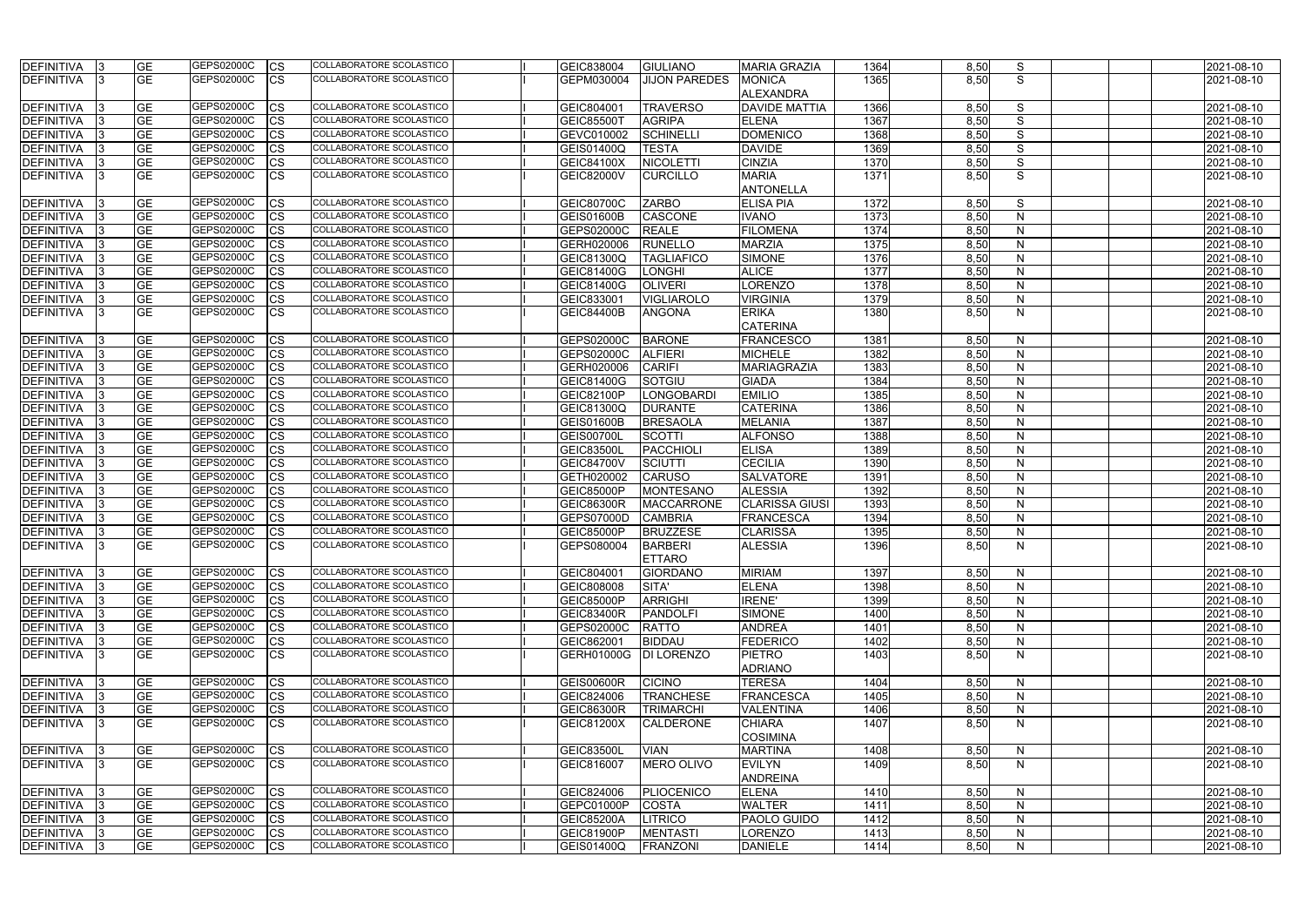| <b>DEFINITIVA</b> | <b>GE</b>  | GEPS02000C | <b>CS</b>   | COLLABORATORE SCOLASTICO        | GEIC838004        | <b>GIULIANO</b>      | <b>MARIA GRAZIA</b>   | 1364 | 8,50 | S            |  | 2021-08-10 |
|-------------------|------------|------------|-------------|---------------------------------|-------------------|----------------------|-----------------------|------|------|--------------|--|------------|
| <b>DEFINITIVA</b> | <b>GE</b>  | GEPS02000C | CS          | COLLABORATORE SCOLASTICO        | GEPM030004        | <b>JIJON PAREDES</b> | <b>MONICA</b>         | 1365 | 8,50 | S            |  | 2021-08-10 |
|                   |            |            |             |                                 |                   |                      | <b>ALEXANDRA</b>      |      |      |              |  |            |
| <b>DEFINITIVA</b> | <b>GE</b>  | GEPS02000C | <b>CS</b>   | COLLABORATORE SCOLASTICO        | GEIC804001        | <b>TRAVERSO</b>      | <b>DAVIDE MATTIA</b>  | 1366 | 8,50 | S            |  | 2021-08-10 |
| DEFINITIVA        | <b>GE</b>  | GEPS02000C | CS          | COLLABORATORE SCOLASTICO        | GEIC855001        | <b>AGRIPA</b>        | <b>ELENA</b>          | 1367 | 8,50 | S            |  | 2021-08-10 |
| <b>DEFINITIVA</b> | <b>GE</b>  | GEPS02000C | <b>CS</b>   | <b>COLLABORATORE SCOLASTICO</b> | GEVC010002        | SCHINELLI            | <b>DOMENICO</b>       | 1368 | 8,50 | S            |  | 2021-08-10 |
| <b>DEFINITIVA</b> | <b>GE</b>  | GEPS02000C | <b>CS</b>   | COLLABORATORE SCOLASTICO        | GEIS01400Q        | <b>TESTA</b>         | <b>DAVIDE</b>         | 1369 | 8,50 | S            |  | 2021-08-10 |
| DEFINITIVA        | <b>GE</b>  | GEPS02000C | CS          | COLLABORATORE SCOLASTICO        | GEIC84100X        | <b>NICOLETTI</b>     | <b>CINZIA</b>         | 1370 | 8,50 | S            |  | 2021-08-10 |
| <b>DEFINITIVA</b> | <b>GE</b>  | GEPS02000C | CS          | COLLABORATORE SCOLASTICO        | GEIC82000V        | <b>CURCILLO</b>      | <b>MARIA</b>          | 1371 | 8,50 | S            |  | 2021-08-10 |
|                   |            |            |             |                                 |                   |                      | <b>ANTONELLA</b>      |      |      |              |  |            |
| <b>DEFINITIVA</b> | <b>GE</b>  | GEPS02000C | <b>CS</b>   | COLLABORATORE SCOLASTICO        | <b>GEIC80700C</b> | <b>ZARBO</b>         | <b>ELISA PIA</b>      | 1372 | 8,50 | S            |  | 2021-08-10 |
| DEFINITIVA        | <b>GE</b>  | GEPS02000C | CS          | COLLABORATORE SCOLASTICO        | GEIS01600B        | <b>CASCONE</b>       | IVANO                 | 1373 | 8,50 | N            |  | 2021-08-10 |
| <b>DEFINITIVA</b> | <b>GE</b>  | GEPS02000C | CS          | COLLABORATORE SCOLASTICO        | GEPS02000C        | <b>REALE</b>         | <b>FILOMENA</b>       | 1374 | 8,50 | N            |  | 2021-08-10 |
| <b>DEFINITIVA</b> | <b>GE</b>  | GEPS02000C | СS          | COLLABORATORE SCOLASTICO        | GERH020006        | <b>RUNELLO</b>       | <b>MARZIA</b>         | 1375 | 8,50 | N            |  | 2021-08-10 |
| <b>DEFINITIVA</b> | <b>GE</b>  | GEPS02000C | СS          | COLLABORATORE SCOLASTICO        | GEIC81300Q        | <b>TAGLIAFICO</b>    | <b>SIMONE</b>         | 1376 | 8,50 | N            |  | 2021-08-10 |
| <b>DEFINITIVA</b> | <b>GE</b>  | GEPS02000C | CS          | COLLABORATORE SCOLASTICO        | <b>GEIC81400G</b> | <b>LONGHI</b>        | <b>ALICE</b>          | 1377 | 8,50 | N            |  | 2021-08-10 |
| DEFINITIVA        | <b>GE</b>  | GEPS02000C | CS          | COLLABORATORE SCOLASTICO        | <b>GEIC81400G</b> | <b>OLIVERI</b>       | <b>LORENZO</b>        | 1378 | 8,50 | $\mathsf{N}$ |  | 2021-08-10 |
| <b>DEFINITIVA</b> | <b>GE</b>  | GEPS02000C | <b>CS</b>   | COLLABORATORE SCOLASTICO        | GEIC833001        | <b>VIGLIAROLO</b>    | <b>VIRGINIA</b>       | 1379 | 8,50 | N            |  | 2021-08-10 |
| DEFINITIVA        | <b>GE</b>  | GEPS02000C | <b>CS</b>   | <b>COLLABORATORE SCOLASTICO</b> | <b>GEIC84400B</b> | <b>ANGONA</b>        | <b>ERIKA</b>          | 1380 | 8,50 | $\mathsf{N}$ |  | 2021-08-10 |
|                   |            |            |             |                                 |                   |                      | <b>CATERINA</b>       |      |      |              |  |            |
| <b>DEFINITIVA</b> | <b>GE</b>  | GEPS02000C | CS          | COLLABORATORE SCOLASTICO        | GEPS02000C        | <b>BARONE</b>        | <b>FRANCESCO</b>      | 1381 | 8,50 | N.           |  | 2021-08-10 |
| DEFINITIVA        | <b>GE</b>  | GEPS02000C | <b>CS</b>   | COLLABORATORE SCOLASTICO        | GEPS02000C        | <b>ALFIERI</b>       | <b>MICHELE</b>        | 1382 | 8,50 | $\mathsf{N}$ |  | 2021-08-10 |
| <b>DEFINITIVA</b> | <b>GE</b>  | GEPS02000C | <b>CS</b>   | COLLABORATORE SCOLASTICO        | GERH020006        | <b>CARIFI</b>        | <b>MARIAGRAZIA</b>    | 1383 | 8,50 | $\mathsf{N}$ |  | 2021-08-10 |
| <b>DEFINITIVA</b> | <b>GE</b>  | GEPS02000C | CS          | COLLABORATORE SCOLASTICO        | GEIC81400G        | SOTGIU               | <b>GIADA</b>          | 1384 | 8,50 | N            |  | 2021-08-10 |
| <b>DEFINITIVA</b> | <b>GE</b>  | GEPS02000C | CS          | COLLABORATORE SCOLASTICO        | <b>GEIC82100P</b> | <b>LONGOBARDI</b>    | <b>EMILIO</b>         | 1385 | 8,50 | $\mathsf{N}$ |  | 2021-08-10 |
| <b>DEFINITIVA</b> | <b>GE</b>  | GEPS02000C | СS          | COLLABORATORE SCOLASTICO        | GEIC81300Q        | <b>DURANTE</b>       | <b>CATERINA</b>       | 1386 | 8,50 | N            |  | 2021-08-10 |
| <b>DEFINITIVA</b> | <b>GE</b>  | GEPS02000C | СS          | COLLABORATORE SCOLASTICO        | <b>GEIS01600B</b> | <b>BRESAOLA</b>      | <b>MELANIA</b>        | 1387 | 8,50 | N            |  | 2021-08-10 |
| <b>DEFINITIVA</b> | <b>GE</b>  | GEPS02000C | СS          | COLLABORATORE SCOLASTICO        | <b>GEIS00700L</b> | <b>SCOTTI</b>        | <b>ALFONSO</b>        | 1388 | 8,50 | N            |  | 2021-08-10 |
| <b>DEFINITIVA</b> | <b>GE</b>  | GEPS02000C | CS          | COLLABORATORE SCOLASTICO        | GEIC83500L        | PACCHIOLI            | <b>ELISA</b>          | 1389 | 8,50 | $\mathsf{N}$ |  | 2021-08-10 |
| <b>DEFINITIVA</b> | <b>GE</b>  | GEPS02000C | CS          | COLLABORATORE SCOLASTICO        | GEIC84700V        | SCIUTTI              | <b>CECILIA</b>        | 1390 | 8,50 | N            |  | 2021-08-10 |
| <b>DEFINITIVA</b> | <b>GE</b>  | GEPS02000C | <b>CS</b>   | COLLABORATORE SCOLASTICO        | GETH020002        | <b>CARUSO</b>        | <b>SALVATORE</b>      | 1391 | 8,50 | $\mathsf{N}$ |  | 2021-08-10 |
| DEFINITIVA        | <b>GE</b>  | GEPS02000C | <b>CS</b>   | <b>COLLABORATORE SCOLASTICO</b> | <b>GEIC85000P</b> | <b>MONTESANO</b>     | <b>ALESSIA</b>        | 1392 | 8,50 | N            |  | 2021-08-10 |
| DEFINITIVA        | <b>GE</b>  | GEPS02000C | CS          | COLLABORATORE SCOLASTICO        | GEIC86300R        | <b>MACCARRONE</b>    | <b>CLARISSA GIUSI</b> | 1393 | 8,50 | N            |  | 2021-08-10 |
| <b>DEFINITIVA</b> | <b>GE</b>  | GEPS02000C | <b>CS</b>   | COLLABORATORE SCOLASTICO        | <b>GEPS07000D</b> | <b>CAMBRIA</b>       | <b>FRANCESCA</b>      | 1394 | 8,50 | N            |  | 2021-08-10 |
| <b>DEFINITIVA</b> | <b>GE</b>  | GEPS02000C | <b>CS</b>   | COLLABORATORE SCOLASTICO        | GEIC85000P        | <b>BRUZZESE</b>      | <b>CLARISSA</b>       | 1395 | 8,50 | ${\sf N}$    |  | 2021-08-10 |
| <b>DEFINITIVA</b> | <b>IGE</b> | GEPS02000C | <b>I</b> CS | COLLABORATORE SCOLASTICO        | GEPS080004        | <b>BARBERI</b>       | <b>ALESSIA</b>        | 1396 | 8,50 | N            |  | 2021-08-10 |
|                   |            |            |             |                                 |                   | <b>ETTARO</b>        |                       |      |      |              |  |            |
| <b>DEFINITIVA</b> | <b>GE</b>  | GEPS02000C | <b>CS</b>   | COLLABORATORE SCOLASTICO        | GEIC804001        | <b>GIORDANO</b>      | <b>MIRIAM</b>         | 1397 | 8,50 | $\mathsf{N}$ |  | 2021-08-10 |
| DEFINITIVA        | <b>GE</b>  | GEPS02000C | CS          | COLLABORATORE SCOLASTICO        | GEIC808008        | SITA'                | <b>ELENA</b>          | 1398 | 8,50 | N            |  | 2021-08-10 |
| DEFINITIVA        | <b>GE</b>  | GEPS02000C | CS          | <b>COLLABORATORE SCOLASTICO</b> | <b>GEIC85000P</b> | <b>ARRIGHI</b>       | <b>IRENE</b>          | 1399 | 8,50 | N            |  | 2021-08-10 |
| <b>DEFINITIVA</b> | <b>GE</b>  | GEPS02000C | <b>CS</b>   | COLLABORATORE SCOLASTICO        | <b>GEIC83400R</b> | <b>PANDOLFI</b>      | <b>SIMONE</b>         | 1400 | 8,50 | $\mathsf{N}$ |  | 2021-08-10 |
| <b>DEFINITIVA</b> | <b>GE</b>  | GEPS02000C | <b>CS</b>   | <b>COLLABORATORE SCOLASTICO</b> | GEPS02000C        | <b>RATTO</b>         | <b>ANDREA</b>         | 1401 | 8,50 | N            |  | 2021-08-10 |
| <b>DEFINITIVA</b> | <b>GE</b>  | GEPS02000C | <b>CS</b>   | COLLABORATORE SCOLASTICO        | GEIC862001        | <b>BIDDAU</b>        | <b>FEDERICO</b>       | 1402 | 8,50 | N            |  | 2021-08-10 |
| <b>DEFINITIVA</b> | <b>GE</b>  | GEPS02000C | <b>CS</b>   | COLLABORATORE SCOLASTICO        | GERH01000G        | <b>DI LORENZO</b>    | <b>PIETRO</b>         | 1403 | 8,50 | $\mathsf{N}$ |  | 2021-08-10 |
|                   |            |            |             |                                 |                   |                      | <b>ADRIANO</b>        |      |      |              |  |            |
| <b>DEFINITIVA</b> | <b>GE</b>  | GEPS02000C | CS          | COLLABORATORE SCOLASTICO        | <b>GEIS00600R</b> | <b>CICINO</b>        | <b>TERESA</b>         | 1404 | 8,50 | N            |  | 2021-08-10 |
| <b>DEFINITIVA</b> | <b>GE</b>  | GEPS02000C | <b>CS</b>   | COLLABORATORE SCOLASTICO        | GEIC824006        | <b>TRANCHESE</b>     | <b>FRANCESCA</b>      | 1405 | 8,50 | $\mathsf{N}$ |  | 2021-08-10 |
| <b>DEFINITIVA</b> | <b>GE</b>  | GEPS02000C | <b>CS</b>   | COLLABORATORE SCOLASTICO        | <b>GEIC86300R</b> | <b>TRIMARCHI</b>     | <b>VALENTINA</b>      | 1406 | 8,50 | $\mathsf{N}$ |  | 2021-08-10 |
| <b>DEFINITIVA</b> | <b>GE</b>  | GEPS02000C | <b>CS</b>   | COLLABORATORE SCOLASTICO        | <b>GEIC81200X</b> | <b>CALDERONE</b>     | <b>CHIARA</b>         | 1407 | 8,50 | N            |  | 2021-08-10 |
|                   |            |            |             |                                 |                   |                      | <b>COSIMINA</b>       |      |      |              |  |            |
| <b>DEFINITIVA</b> | <b>GE</b>  | GEPS02000C | <b>CS</b>   | COLLABORATORE SCOLASTICO        | <b>GEIC83500L</b> | <b>VIAN</b>          | <b>MARTINA</b>        | 1408 | 8,50 | $\mathsf{N}$ |  | 2021-08-10 |
| DEFINITIVA        | <b>GE</b>  | GEPS02000C | <b>CS</b>   | COLLABORATORE SCOLASTICO        | GEIC816007        | <b>MERO OLIVO</b>    | <b>EVILYN</b>         | 1409 | 8,50 | N            |  | 2021-08-10 |
|                   |            |            |             |                                 |                   |                      | <b>ANDREINA</b>       |      |      |              |  |            |
| <b>DEFINITIVA</b> | <b>GE</b>  | GEPS02000C | <b>CS</b>   | COLLABORATORE SCOLASTICO        | GEIC824006        | PLIOCENICO           | <b>ELENA</b>          | 1410 | 8,50 | $\mathsf{N}$ |  | 2021-08-10 |
| <b>DEFINITIVA</b> | <b>GE</b>  | GEPS02000C | CS          | COLLABORATORE SCOLASTICO        | GEPC01000P        | <b>COSTA</b>         | <b>WALTER</b>         | 1411 | 8,50 | $\mathsf{N}$ |  | 2021-08-10 |
| <b>DEFINITIVA</b> | <b>GE</b>  | GEPS02000C | <b>CS</b>   | COLLABORATORE SCOLASTICO        | <b>GEIC85200A</b> | <b>LITRICO</b>       | PAOLO GUIDO           | 1412 | 8,50 | $\mathsf{N}$ |  | 2021-08-10 |
| <b>DEFINITIVA</b> | <b>GE</b>  | GEPS02000C | <b>CS</b>   | COLLABORATORE SCOLASTICO        | <b>GEIC81900P</b> | <b>MENTASTI</b>      | <b>LORENZO</b>        | 1413 | 8,50 | $\mathsf{N}$ |  | 2021-08-10 |
| <b>DEFINITIVA</b> | <b>GE</b>  | GEPS02000C | CS          | COLLABORATORE SCOLASTICO        | GEIS01400Q        | <b>FRANZONI</b>      | <b>DANIELE</b>        | 1414 | 8,50 | ${\sf N}$    |  | 2021-08-10 |
|                   |            |            |             |                                 |                   |                      |                       |      |      |              |  |            |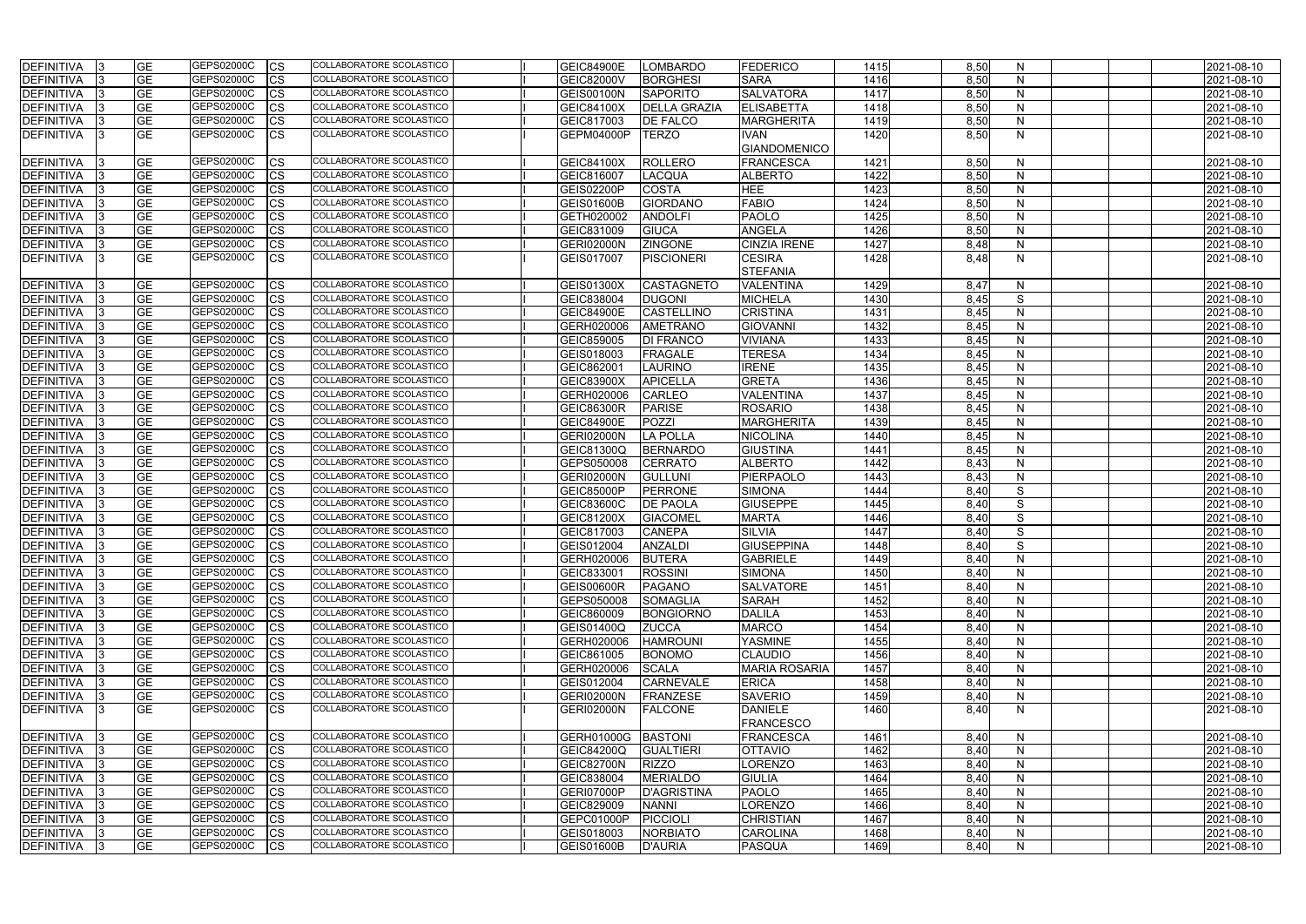| DEFINITIVA        | <b>GE</b> | GEPS02000C        | <b>CS</b>   | COLLABORATORE SCOLASTICO | <b>GEIC84900E</b> | <b>LOMBARDO</b>     | <b>FEDERICO</b>      | 1415 | 8,50 | <sub>N</sub> |  | 2021-08-10 |
|-------------------|-----------|-------------------|-------------|--------------------------|-------------------|---------------------|----------------------|------|------|--------------|--|------------|
| DEFINITIVA        | <b>GE</b> | GEPS02000C        | <b>CS</b>   | COLLABORATORE SCOLASTICO | <b>GEIC82000V</b> | <b>BORGHESI</b>     | <b>SARA</b>          | 1416 | 8,50 | $\mathsf{N}$ |  | 2021-08-10 |
| DEFINITIVA        | <b>GE</b> | GEPS02000C        | <b>CS</b>   | COLLABORATORE SCOLASTICO | <b>GEIS00100N</b> | SAPORITO            | <b>SALVATORA</b>     | 1417 | 8,50 | N            |  | 2021-08-10 |
| DEFINITIVA        | <b>GE</b> | GEPS02000C        | <b>CS</b>   | COLLABORATORE SCOLASTICO | <b>GEIC84100X</b> | <b>DELLA GRAZIA</b> | <b>ELISABETTA</b>    | 1418 | 8,50 | N            |  | 2021-08-10 |
| DEFINITIVA        | <b>GE</b> | GEPS02000C        | <b>CS</b>   | COLLABORATORE SCOLASTICO | GEIC817003        | <b>DE FALCO</b>     | <b>MARGHERITA</b>    | 1419 | 8,50 | $\mathsf{N}$ |  | 2021-08-10 |
| <b>DEFINITIVA</b> | <b>GE</b> | GEPS02000C        | <b>CS</b>   | COLLABORATORE SCOLASTICO | GEPM04000P        | <b>TERZO</b>        | <b>IVAN</b>          | 1420 | 8,50 | N            |  | 2021-08-10 |
|                   |           |                   |             |                          |                   |                     | <b>GIANDOMENICO</b>  |      |      |              |  |            |
| <b>DEFINITIVA</b> | <b>GE</b> | GEPS02000C        | <b>CS</b>   | COLLABORATORE SCOLASTICO | <b>GEIC84100X</b> | <b>ROLLERO</b>      | <b>FRANCESCA</b>     | 1421 | 8,50 | $\mathsf{N}$ |  | 2021-08-10 |
| DEFINITIVA        | <b>GE</b> | GEPS02000C        | <b>CS</b>   | COLLABORATORE SCOLASTICO | GEIC816007        | LACQUA              | <b>ALBERTO</b>       | 1422 | 8,50 | N            |  | 2021-08-10 |
| <b>DEFINITIVA</b> | <b>GE</b> | GEPS02000C        | <b>CS</b>   | COLLABORATORE SCOLASTICO | <b>GEIS02200P</b> | <b>COSTA</b>        | <b>HEE</b>           | 1423 | 8,50 | N            |  | 2021-08-10 |
| DEFINITIVA        | <b>GE</b> | <b>GEPS02000C</b> | <b>CS</b>   | COLLABORATORE SCOLASTICO | GEIS01600B        | GIORDANO            | <b>FABIO</b>         | 1424 | 8,50 | $\mathsf{N}$ |  | 2021-08-10 |
| <b>DEFINITIVA</b> | <b>GE</b> | GEPS02000C        | <b>CS</b>   | COLLABORATORE SCOLASTICO | GETH020002        | <b>ANDOLFI</b>      | <b>PAOLO</b>         | 1425 | 8,50 | N            |  | 2021-08-10 |
| <b>DEFINITIVA</b> | <b>GE</b> | GEPS02000C        | <b>CS</b>   | COLLABORATORE SCOLASTICO | GEIC831009        | <b>GIUCA</b>        | <b>ANGELA</b>        | 1426 | 8,50 | $\mathsf{N}$ |  | 2021-08-10 |
| DEFINITIVA        | <b>GE</b> | GEPS02000C        | <b>CS</b>   | COLLABORATORE SCOLASTICO | <b>GERI02000N</b> | <b>ZINGONE</b>      | <b>CINZIA IRENE</b>  | 1427 | 8,48 | $\mathsf{N}$ |  | 2021-08-10 |
| <b>DEFINITIVA</b> | <b>GE</b> | GEPS02000C        | <b>CS</b>   | COLLABORATORE SCOLASTICO | GEIS017007        | <b>PISCIONERI</b>   | <b>CESIRA</b>        | 1428 | 8,48 | N            |  | 2021-08-10 |
|                   |           |                   |             |                          |                   |                     | <b>STEFANIA</b>      |      |      |              |  |            |
| DEFINITIVA        | <b>GE</b> | GEPS02000C        | <b>CS</b>   | COLLABORATORE SCOLASTICO | <b>GEIS01300X</b> | <b>CASTAGNETO</b>   | <b>VALENTINA</b>     | 1429 | 8,47 | N            |  | 2021-08-10 |
| DEFINITIVA        | <b>GE</b> | GEPS02000C        | <b>CS</b>   | COLLABORATORE SCOLASTICO | GEIC838004        | <b>DUGONI</b>       | <b>MICHELA</b>       | 1430 | 8,45 | S            |  | 2021-08-10 |
| DEFINITIVA        | <b>GE</b> | GEPS02000C        | <b>CS</b>   | COLLABORATORE SCOLASTICO | <b>GEIC84900E</b> | <b>CASTELLINO</b>   | <b>CRISTINA</b>      | 1431 | 8,45 | $\mathsf{N}$ |  | 2021-08-10 |
| DEFINITIVA        | <b>GE</b> | GEPS02000C        | <b>CS</b>   | COLLABORATORE SCOLASTICO | GERH020006        | <b>AMETRANO</b>     | <b>GIOVANNI</b>      | 1432 | 8,45 | $\mathsf{N}$ |  | 2021-08-10 |
| DEFINITIVA        | <b>GE</b> | GEPS02000C        | <b>CS</b>   | COLLABORATORE SCOLASTICO | GEIC859005        | <b>DI FRANCO</b>    | <b>VIVIANA</b>       | 1433 | 8,45 | N            |  | 2021-08-10 |
| <b>DEFINITIVA</b> | <b>GE</b> | GEPS02000C        | <b>CS</b>   | COLLABORATORE SCOLASTICO | GEIS018003        | FRAGALE             | <b>TERESA</b>        | 1434 | 8,45 | N            |  | 2021-08-10 |
| DEFINITIVA        | <b>GE</b> | GEPS02000C        | <b>CS</b>   | COLLABORATORE SCOLASTICO | GEIC862001        | LAURINO             | <b>IRENE</b>         | 1435 | 8,45 | $\mathsf{N}$ |  | 2021-08-10 |
| DEFINITIVA        | <b>GE</b> | GEPS02000C        | <b>CS</b>   | COLLABORATORE SCOLASTICO | <b>GEIC83900X</b> | <b>APICELLA</b>     | <b>GRETA</b>         | 1436 | 8,45 | $\mathsf{N}$ |  | 2021-08-10 |
| DEFINITIVA        | <b>GE</b> | GEPS02000C        | <b>CS</b>   | COLLABORATORE SCOLASTICO | GERH020006        | <b>CARLEO</b>       | <b>VALENTINA</b>     | 1437 | 8,45 | $\mathsf{N}$ |  | 2021-08-10 |
| DEFINITIVA        | <b>GE</b> | GEPS02000C        | <b>CS</b>   | COLLABORATORE SCOLASTICO | <b>GEIC86300R</b> | PARISE              | <b>ROSARIO</b>       | 1438 | 8,45 | N            |  | 2021-08-10 |
| DEFINITIVA        | <b>GE</b> | GEPS02000C        | <b>CS</b>   | COLLABORATORE SCOLASTICO | <b>GEIC84900E</b> | POZZI               | <b>MARGHERITA</b>    | 1439 | 8,45 | N            |  | 2021-08-10 |
| DEFINITIVA        | <b>GE</b> | GEPS02000C        | <b>CS</b>   | COLLABORATORE SCOLASTICO | <b>GERI02000N</b> | <b>LA POLLA</b>     | <b>NICOLINA</b>      | 1440 | 8,45 | N            |  | 2021-08-10 |
| DEFINITIVA        | <b>GE</b> | GEPS02000C        | <b>CS</b>   | COLLABORATORE SCOLASTICO | <b>GEIC81300Q</b> | <b>BERNARDO</b>     | <b>GIUSTINA</b>      | 1441 | 8,45 | N            |  | 2021-08-10 |
| DEFINITIVA        | <b>GE</b> | GEPS02000C        | <b>CS</b>   | COLLABORATORE SCOLASTICO | GEPS050008        | <b>CERRATO</b>      | <b>ALBERTO</b>       | 1442 | 8,43 | $\mathsf{N}$ |  | 2021-08-10 |
| DEFINITIVA        | <b>GE</b> | GEPS02000C        | <b>CS</b>   | COLLABORATORE SCOLASTICO | <b>GERI02000N</b> | GULLUNI             | PIERPAOLO            | 1443 | 8,43 | N            |  | 2021-08-10 |
| DEFINITIVA        | <b>GE</b> | GEPS02000C        | <b>CS</b>   | COLLABORATORE SCOLASTICO | <b>GEIC85000P</b> | PERRONE             | <b>SIMONA</b>        | 1444 | 8,40 | S            |  | 2021-08-10 |
| DEFINITIVA        | <b>GE</b> | GEPS02000C        | <b>CS</b>   | COLLABORATORE SCOLASTICO | <b>GEIC83600C</b> | <b>DE PAOLA</b>     | <b>GIUSEPPE</b>      | 1445 | 8,40 | S            |  | 2021-08-10 |
| DEFINITIVA        | <b>GE</b> | GEPS02000C        | <b>CS</b>   | COLLABORATORE SCOLASTICO | <b>GEIC81200X</b> | <b>GIACOMEL</b>     | <b>MARTA</b>         | 1446 | 8,40 | S            |  | 2021-08-10 |
| DEFINITIVA        | <b>GE</b> | GEPS02000C        | <b>CS</b>   | COLLABORATORE SCOLASTICO | GEIC817003        | <b>CANEPA</b>       | <b>SILVIA</b>        | 1447 | 8,40 | S            |  | 2021-08-10 |
| DEFINITIVA<br>-13 | <b>GE</b> | GEPS02000C        | <b>CS</b>   | COLLABORATORE SCOLASTICO | GEIS012004        | ANZALDI             | <b>GIUSEPPINA</b>    | 1448 | 8,40 | S            |  | 2021-08-10 |
| DEFINITIVA 3      | <b>GE</b> | GEPS02000C        | $ {\rm CS}$ | COLLABORATORE SCOLASTICO | GERH020006        | <b>BUTERA</b>       | <b>GABRIELE</b>      | 1449 | 8,40 | N            |  | 2021-08-10 |
| DEFINITIVA 3      | <b>GE</b> | GEPS02000C        | <b>CS</b>   | COLLABORATORE SCOLASTICO | GEIC833001        | <b>ROSSINI</b>      | <b>SIMONA</b>        | 1450 | 8,40 | N            |  | 2021-08-10 |
| DEFINITIVA  3     | <b>GE</b> | GEPS02000C        | <b>CS</b>   | COLLABORATORE SCOLASTICO | <b>GEIS00600R</b> | PAGANO              | <b>SALVATORE</b>     | 1451 | 8,40 | $\mathsf{N}$ |  | 2021-08-10 |
| DEFINITIVA 3      | <b>GE</b> | GEPS02000C        | <b>CS</b>   | COLLABORATORE SCOLASTICO | GEPS050008        | SOMAGLIA            | <b>SARAH</b>         | 1452 | 8,40 | $\mathsf{N}$ |  | 2021-08-10 |
| DEFINITIVA 3      | <b>GE</b> | GEPS02000C        | <b>CS</b>   | COLLABORATORE SCOLASTICO | GEIC860009        | <b>BONGIORNO</b>    | <b>DALILA</b>        | 1453 | 8,40 | $\mathsf{N}$ |  | 2021-08-10 |
| DEFINITIVA 3      | <b>GE</b> | GEPS02000C        | <b>CS</b>   | COLLABORATORE SCOLASTICO | GEIS01400Q        | <b>ZUCCA</b>        | <b>MARCO</b>         | 1454 | 8,40 | $\mathsf{N}$ |  | 2021-08-10 |
| DEFINITIVA 3      | <b>GE</b> | GEPS02000C        | <b>CS</b>   | COLLABORATORE SCOLASTICO | GERH020006        | <b>HAMROUNI</b>     | <b>YASMINE</b>       | 1455 | 8,40 | N            |  | 2021-08-10 |
| DEFINITIVA 3      | <b>GE</b> | GEPS02000C        | <b>CS</b>   | COLLABORATORE SCOLASTICO | GEIC861005        | <b>BONOMO</b>       | <b>CLAUDIO</b>       | 1456 | 8,40 | N            |  | 2021-08-10 |
| DEFINITIVA 3      | <b>GE</b> | GEPS02000C        | <b>CS</b>   | COLLABORATORE SCOLASTICO | GERH020006        | <b>SCALA</b>        | <b>MARIA ROSARIA</b> | 1457 | 8,40 | $\mathsf{N}$ |  | 2021-08-10 |
| DEFINITIVA        | <b>GE</b> | GEPS02000C        | <b>CS</b>   | COLLABORATORE SCOLASTICO | GEIS012004        | <b>CARNEVALE</b>    | <b>ERICA</b>         | 1458 | 8,40 | N            |  | 2021-08-10 |
| DEFINITIVA        | <b>GE</b> | GEPS02000C        | <b>CS</b>   | COLLABORATORE SCOLASTICO | GERI02000N        | FRANZESE            | <b>SAVERIO</b>       | 1459 | 8,40 | N            |  | 2021-08-10 |
| DEFINITIVA        | <b>GE</b> | GEPS02000C        | <b>CS</b>   | COLLABORATORE SCOLASTICO | <b>GERI02000N</b> | <b>FALCONE</b>      | <b>DANIELE</b>       | 1460 | 8,40 | N            |  | 2021-08-10 |
|                   |           |                   |             |                          |                   |                     | <b>FRANCESCO</b>     |      |      |              |  |            |
| DEFINITIVA 3      | <b>GE</b> | GEPS02000C        | <b>ICS</b>  | COLLABORATORE SCOLASTICO | GERH01000G        | BASTONI             | <b>FRANCESCA</b>     | 1461 | 8,40 | N            |  | 2021-08-10 |
| DEFINITIVA 3      | <b>GE</b> | GEPS02000C        | <b>CS</b>   | COLLABORATORE SCOLASTICO | <b>GEIC84200Q</b> | <b>GUALTIERI</b>    | <b>OTTAVIO</b>       | 1462 | 8,40 | N            |  | 2021-08-10 |
| DEFINITIVA 3      | <b>GE</b> | GEPS02000C        | <b>CS</b>   | COLLABORATORE SCOLASTICO | GEIC82700N        | <b>RIZZO</b>        | <b>LORENZO</b>       | 1463 | 8,40 | $\mathsf{N}$ |  | 2021-08-10 |
| DEFINITIVA 3      | <b>GE</b> | GEPS02000C        | <b>CS</b>   | COLLABORATORE SCOLASTICO | GEIC838004        | <b>MERIALDO</b>     | <b>GIULIA</b>        | 1464 | 8,40 | N            |  | 2021-08-10 |
| DEFINITIVA 3      | <b>GE</b> | GEPS02000C        | <b>CS</b>   | COLLABORATORE SCOLASTICO | GERI07000P        | <b>D'AGRISTINA</b>  | <b>PAOLO</b>         | 1465 | 8,40 | N            |  | 2021-08-10 |
| DEFINITIVA 3      | <b>GE</b> | GEPS02000C        | <b>CS</b>   | COLLABORATORE SCOLASTICO | GEIC829009        | <b>NANNI</b>        | <b>LORENZO</b>       | 1466 | 8,40 | $\mathsf{N}$ |  | 2021-08-10 |
| DEFINITIVA 3      | <b>GE</b> | GEPS02000C        | <b>ICS</b>  | COLLABORATORE SCOLASTICO | GEPC01000P        | PICCIOLI            | <b>CHRISTIAN</b>     | 1467 | 8,40 | N            |  | 2021-08-10 |
| DEFINITIVA 3      | <b>GE</b> | GEPS02000C        | <b>CS</b>   | COLLABORATORE SCOLASTICO | GEIS018003        | <b>NORBIATO</b>     | <b>CAROLINA</b>      | 1468 | 8,40 | N            |  | 2021-08-10 |
| DEFINITIVA 3      | <b>GE</b> | GEPS02000C        | <b>CS</b>   | COLLABORATORE SCOLASTICO | <b>GEIS01600B</b> | <b>D'AURIA</b>      | <b>PASQUA</b>        | 1469 | 8,40 | $\mathsf{N}$ |  | 2021-08-10 |
|                   |           |                   |             |                          |                   |                     |                      |      |      |              |  |            |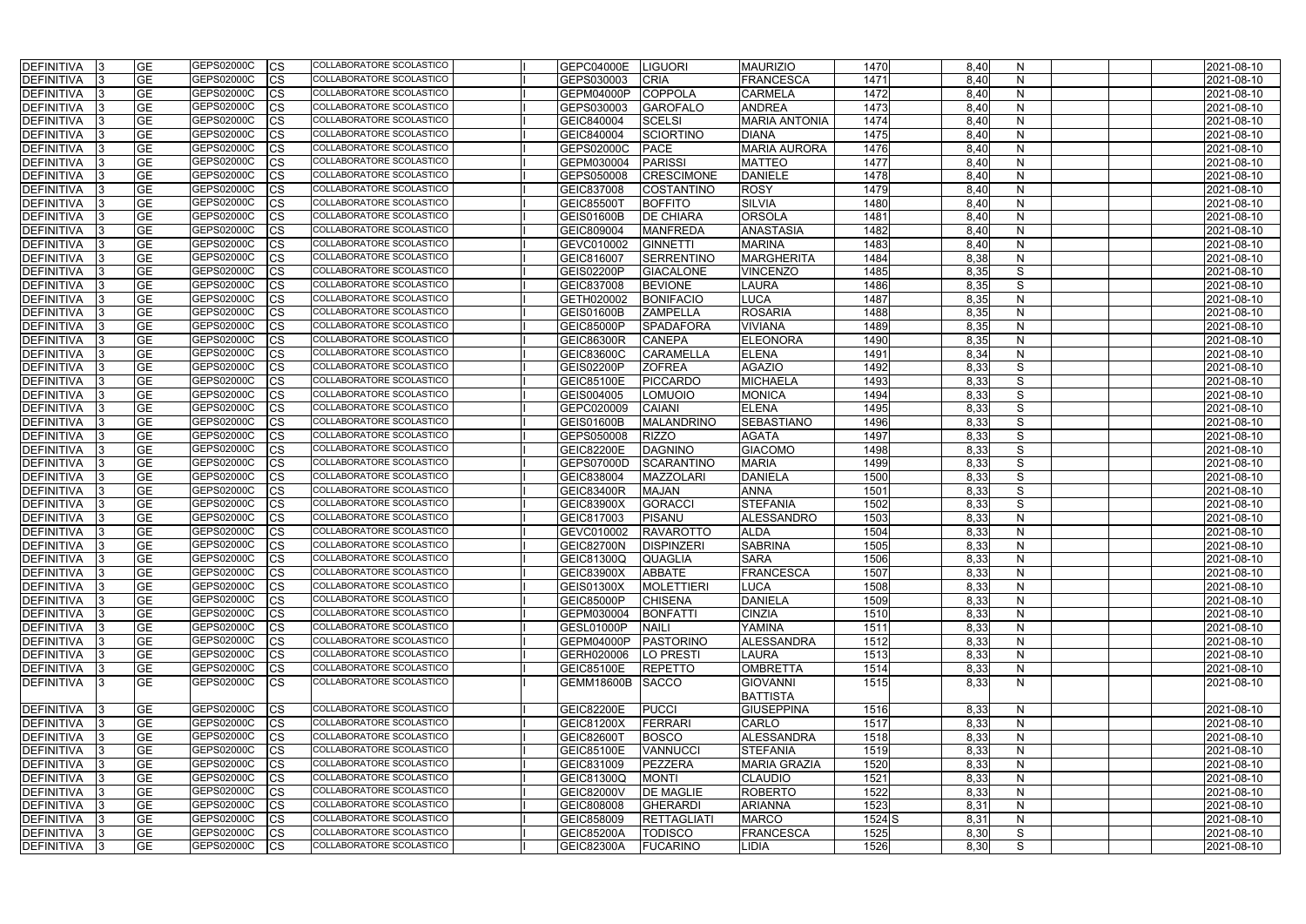| <b>DEFINITIVA</b>                      | <b>GE</b>              | GEPS02000C               | <b>CS</b>               | COLLABORATORE SCOLASTICO        | <b>GEPC04000E</b>                      | <b>IGUORI</b>      | <b>MAURIZIO</b>                   | 1470              | 8,40         | N                 |  | 2021-08-10               |
|----------------------------------------|------------------------|--------------------------|-------------------------|---------------------------------|----------------------------------------|--------------------|-----------------------------------|-------------------|--------------|-------------------|--|--------------------------|
| <b>DEFINITIVA</b>                      | <b>GE</b>              | GEPS02000C               | <b>CS</b>               | COLLABORATORE SCOLASTICO        | GEPS030003                             | <b>CRIA</b>        | FRANCESCA                         | 1471              | 8,40         | N                 |  | 2021-08-10               |
| <b>DEFINITIVA</b>                      | <b>GE</b>              | GEPS02000C               | CS                      | COLLABORATORE SCOLASTICO        | <b>GEPM04000P</b>                      | <b>COPPOLA</b>     | <b>CARMELA</b>                    | 1472              | 8,40         | N                 |  | 2021-08-10               |
| <b>DEFINITIVA</b>                      | <b>GE</b>              | GEPS02000C               | CS                      | COLLABORATORE SCOLASTICO        | GEPS030003                             | GAROFALO           | <b>ANDREA</b>                     | 1473              | 8,40         | N                 |  | 2021-08-10               |
| <b>DEFINITIVA</b>                      | <b>GE</b>              | GEPS02000C               | CS                      | COLLABORATORE SCOLASTICO        | GEIC840004                             | <b>SCELSI</b>      | <b>MARIA ANTONIA</b>              | 1474              | 8,40         | N                 |  | 2021-08-10               |
| <b>DEFINITIVA</b>                      | <b>GE</b>              | GEPS02000C               | <b>CS</b>               | COLLABORATORE SCOLASTICO        | GEIC840004                             | SCIORTINO          | <b>DIANA</b>                      | 1475              | 8,40         | N                 |  | 2021-08-10               |
| <b>DEFINITIVA</b>                      | <b>GE</b>              | GEPS02000C               | <b>CS</b>               | COLLABORATORE SCOLASTICO        | GEPS02000C                             | <b>PACE</b>        | <b>MARIA AURORA</b>               | 1476              | 8,40         | N                 |  | 2021-08-10               |
| DEFINITIVA                             | <b>GE</b>              | GEPS02000C               | СS                      | COLLABORATORE SCOLASTICO        | GEPM030004                             | <b>PARISSI</b>     | <b>MATTEO</b>                     | 1477              | 8,40         | N                 |  | 2021-08-10               |
| <b>DEFINITIVA</b>                      | <b>GE</b>              | GEPS02000C               | <b>CS</b>               | COLLABORATORE SCOLASTICO        | GEPS050008                             | <b>CRESCIMONE</b>  | <b>DANIELE</b>                    | 1478              | 8,40         | N                 |  | 2021-08-10               |
| <b>DEFINITIVA</b>                      | <b>GE</b>              | GEPS02000C               | <b>CS</b>               | COLLABORATORE SCOLASTICO        | GEIC837008                             | <b>COSTANTINO</b>  | <b>ROSY</b>                       | 1479              | 8,40         | N                 |  | 2021-08-10               |
| <b>DEFINITIVA</b>                      | <b>GE</b>              | GEPS02000C               | <b>ICS</b>              | COLLABORATORE SCOLASTICO        | <b>GEIC85500T</b>                      | <b>BOFFITO</b>     | <b>SILVIA</b>                     | 1480              | 8,40         | N                 |  | 2021-08-10               |
| DEFINITIVA                             | <b>GE</b>              | GEPS02000C               | CS                      | COLLABORATORE SCOLASTICO        | <b>GEIS01600B</b>                      | <b>DE CHIARA</b>   | <b>ORSOLA</b>                     | 1481              | 8,40         | N                 |  | 2021-08-10               |
| DEFINITIVA                             | <b>GE</b>              | GEPS02000C               | <b>CS</b>               | COLLABORATORE SCOLASTICO        | GEIC809004                             | <b>MANFREDA</b>    | <b>ANASTASIA</b>                  | 1482              | 8,40         | N                 |  | 2021-08-10               |
| <b>DEFINITIVA</b>                      | <b>GE</b>              | GEPS02000C               | CS                      | COLLABORATORE SCOLASTICO        | GEVC010002                             | <b>GINNETTI</b>    | <b>MARINA</b>                     | 1483              | 8,40         | $\mathsf{N}$      |  | 2021-08-10               |
| <b>DEFINITIVA</b>                      | <b>GE</b>              | GEPS02000C               | СS                      | COLLABORATORE SCOLASTICO        | GEIC816007                             | <b>SERRENTINO</b>  | <b>MARGHERITA</b>                 | 1484              | 8,38         | N                 |  | 2021-08-10               |
| <b>DEFINITIVA</b>                      | <b>GE</b>              | GEPS02000C               | CS                      | COLLABORATORE SCOLASTICO        | <b>GEIS02200P</b>                      | <b>GIACALONE</b>   | <b>VINCENZO</b>                   | 1485              | 8,35         | S                 |  | 2021-08-10               |
| <b>DEFINITIVA</b>                      | <b>GE</b>              | GEPS02000C               | CS                      | <b>COLLABORATORE SCOLASTICO</b> | GEIC837008                             | <b>BEVIONE</b>     | LAURA                             | 1486              | 8,35         | S                 |  | 2021-08-10               |
| DEFINITIVA                             | <b>GE</b>              | GEPS02000C               | CS                      | <b>COLLABORATORE SCOLASTICO</b> | GETH020002                             | BONIFACIO          | LUCA                              | 1487              | 8,35         | N                 |  | 2021-08-10               |
| <b>DEFINITIVA</b>                      | <b>GE</b>              | GEPS02000C               | <b>CS</b>               | <b>COLLABORATORE SCOLASTICO</b> | <b>GEIS01600B</b>                      | <b>ZAMPELLA</b>    | <b>ROSARIA</b>                    | 1488              | 8,35         | N                 |  | 2021-08-10               |
| <b>DEFINITIVA</b>                      | <b>GE</b>              | GEPS02000C               | <b>CS</b>               | COLLABORATORE SCOLASTICO        | <b>GEIC85000P</b>                      | <b>SPADAFORA</b>   | <b>VIVIANA</b>                    | 1489              | 8,35         | $\mathsf{N}$      |  | 2021-08-10               |
| <b>DEFINITIVA</b>                      | <b>GE</b>              | GEPS02000C               | СS                      | <b>COLLABORATORE SCOLASTICO</b> | <b>GEIC86300R</b>                      | <b>CANEPA</b>      | <b>ELEONORA</b>                   | 1490              | 8,35         | N                 |  | 2021-08-10               |
| <b>DEFINITIVA</b>                      | <b>GE</b>              | GEPS02000C               | CS                      | <b>COLLABORATORE SCOLASTICO</b> | GEIC83600C                             | <b>CARAMELLA</b>   | <b>ELENA</b>                      | 1491              | 8,34         | N                 |  | 2021-08-10               |
| <b>DEFINITIVA</b>                      | <b>GE</b>              | GEPS02000C               | CS                      | COLLABORATORE SCOLASTICO        | <b>GEIS02200P</b>                      | <b>ZOFREA</b>      | <b>AGAZIO</b>                     | 1492              | 8,33         | S                 |  | 2021-08-10               |
| <b>DEFINITIVA</b>                      | <b>GE</b>              | GEPS02000C               | CS                      | COLLABORATORE SCOLASTICO        | <b>GEIC85100E</b>                      | <b>PICCARDO</b>    | <b>MICHAELA</b>                   | 1493              | 8,33         | S                 |  | 2021-08-10               |
| DEFINITIVA                             | <b>GE</b>              | GEPS02000C               | CS                      | COLLABORATORE SCOLASTICO        | GEIS004005                             | LOMUOIO            | <b>MONICA</b>                     | 1494              | 8,33         | S                 |  | 2021-08-10               |
| <b>DEFINITIVA</b>                      | <b>GE</b>              | GEPS02000C               | <b>CS</b>               | COLLABORATORE SCOLASTICO        | GEPC020009                             | <b>CAIANI</b>      | <b>ELENA</b>                      | 1495              | 8,33         | S                 |  | 2021-08-10               |
| <b>DEFINITIVA</b>                      | <b>GE</b>              | GEPS02000C               | CS                      | COLLABORATORE SCOLASTICO        | <b>GEIS01600B</b>                      | <b>MALANDRINO</b>  | <b>SEBASTIANO</b>                 | 1496              | 8,33         | S                 |  | 2021-08-10               |
| <b>DEFINITIVA</b>                      | <b>GE</b>              | GEPS02000C               | CS                      | COLLABORATORE SCOLASTICO        | GEPS050008                             | <b>RIZZO</b>       | AGATA                             | 1497              | 8,33         | S                 |  | 2021-08-10               |
| <b>DEFINITIVA</b>                      | <b>GE</b>              | GEPS02000C               | CS                      | COLLABORATORE SCOLASTICO        | <b>GEIC82200E</b>                      | <b>DAGNINO</b>     | <b>GIACOMO</b>                    | 1498              | 8,33         | S                 |  | 2021-08-10               |
| <b>DEFINITIVA</b>                      | <b>GE</b>              | GEPS02000C               | CS                      | COLLABORATORE SCOLASTICO        | <b>GEPS07000D</b>                      | SCARANTINO         | <b>MARIA</b>                      | 1499              | 8,33         | S                 |  | 2021-08-10               |
| DEFINITIVA                             | <b>GE</b>              | GEPS02000C               | <b>CS</b>               | COLLABORATORE SCOLASTICO        | GEIC838004                             | MAZZOLARI          | <b>DANIELA</b>                    | 1500              | 8,33         | S                 |  | 2021-08-10               |
| <b>DEFINITIVA</b>                      | <b>GE</b>              | GEPS02000C               | <b>CS</b>               | COLLABORATORE SCOLASTICO        | <b>GEIC83400R</b>                      | <b>MAJAN</b>       | <b>ANNA</b>                       | 1501              | 8,33         | S                 |  | 2021-08-10               |
| DEFINITIVA                             | <b>IGE</b>             | GEPS02000C               | <b>CS</b>               | <b>COLLABORATORE SCOLASTICO</b> | GEIC83900X                             | <b>GORACCI</b>     | <b>STEFANIA</b>                   | 1502              | 8,33         | S                 |  | 2021-08-10               |
| <b>DEFINITIVA</b>                      | <b>GE</b>              | GEPS02000C               | CS                      | COLLABORATORE SCOLASTICO        | GEIC817003                             | PISANU             | <b>ALESSANDRO</b>                 | 1503              | 8,33         | N                 |  | 2021-08-10               |
| <b>DEFINITIVA</b>                      | <b>GE</b>              | GEPS02000C               | CS                      | COLLABORATORE SCOLASTICO        | GEVC010002                             | <b>RAVAROTTO</b>   | <b>ALDA</b>                       | 1504              | 8,33         | $\mathsf{N}$      |  | 2021-08-10               |
| <b>DEFINITIVA</b>                      | <b>IGE</b>             | GEPS02000C               | <b>ICS</b>              | COLLABORATORE SCOLASTICO        | GEIC82700N                             | <b>DISPINZERI</b>  | <b>SABRINA</b>                    | 1505              | 8,33         | N                 |  | 2021-08-10               |
| <b>DEFINITIVA</b>                      | <b>GE</b>              | GEPS02000C               | <b>CS</b>               | <b>COLLABORATORE SCOLASTICO</b> | <b>GEIC81300Q</b>                      | <b>QUAGLIA</b>     | <b>SARA</b>                       | 1506              | 8,33         | N                 |  | 2021-08-10               |
| DEFINITIVA                             | <b>GE</b>              | GEPS02000C               | <b>CS</b>               | COLLABORATORE SCOLASTICO        | GEIC83900X                             | <b>ABBATE</b>      | <b>FRANCESCA</b>                  | 1507              | 8,33         | $\mathsf{N}$      |  | 2021-08-10               |
| <b>DEFINITIVA</b>                      | <b>GE</b>              | GEPS02000C               | <b>ICS</b>              | COLLABORATORE SCOLASTICO        | <b>GEIS01300X</b>                      | <b>MOLETTIERI</b>  | <b>LUCA</b>                       | 1508              | 8,33         | $\mathsf{N}$      |  | 2021-08-10               |
| DEFINITIVA                             | <b>GE</b>              | GEPS02000C               | <b>CS</b>               | COLLABORATORE SCOLASTICO        | GEIC85000P                             | <b>CHISENA</b>     | <b>DANIELA</b>                    | 1509              | 8,33         | $\mathsf{N}$      |  | 2021-08-10               |
| DEFINITIVA                             | <b>GE</b>              | GEPS02000C               | <b>ICS</b>              | COLLABORATORE SCOLASTICO        | GEPM030004                             | BONFATTI           | <b>CINZIA</b>                     | 1510              | 8,33         | $\mathsf{N}$      |  | 2021-08-10               |
| DEFINITIVA                             | <b>GE</b>              | GEPS02000C               | <b>ICS</b>              | COLLABORATORE SCOLASTICO        | GESL01000P                             | <b>NAILI</b>       | YAMINA                            | 1511              | 8,33         | N                 |  | 2021-08-10               |
| DEFINITIVA                             | <b>GE</b>              | GEPS02000C               | <b>CS</b>               | COLLABORATORE SCOLASTICO        | GEPM04000P                             | PASTORINO          | <b>ALESSANDRA</b>                 | 1512              | 8,33         | $\mathsf{N}$      |  | 2021-08-10               |
| DEFINITIVA                             | <b>GE</b>              | GEPS02000C               | <b>ICS</b>              | COLLABORATORE SCOLASTICO        | GERH020006                             | LO PRESTI          | <b>LAURA</b>                      | 1513              | 8,33         | $\mathsf{N}$      |  | 2021-08-10               |
| <b>DEFINITIVA</b>                      | <b>GE</b>              | GEPS02000C               | <b>ICS</b>              | COLLABORATORE SCOLASTICO        | <b>GEIC85100E</b>                      | <b>REPETTO</b>     | <b>OMBRETTA</b>                   | 1514              | 8,33         | $\mathsf{N}$      |  | 2021-08-10               |
| <b>DEFINITIVA</b>                      | <b>GE</b>              | GEPS02000C               | ICS                     | COLLABORATORE SCOLASTICO        | <b>GEMM18600B</b>                      | <b>SACCO</b>       | <b>GIOVANNI</b>                   | 1515              | 8,33         | N                 |  | 2021-08-10               |
|                                        |                        |                          |                         |                                 |                                        |                    | <b>BATTISTA</b>                   |                   |              |                   |  |                          |
|                                        |                        | GEPS02000C               |                         | COLLABORATORE SCOLASTICO        |                                        |                    |                                   |                   |              |                   |  |                          |
| <b>DEFINITIVA</b><br><b>DEFINITIVA</b> | <b>GE</b><br><b>GE</b> | GEPS02000C               | <b>CS</b><br><b>ICS</b> | COLLABORATORE SCOLASTICO        | <b>GEIC82200E</b><br><b>GEIC81200X</b> | PUCCI<br>FERRARI   | <b>GIUSEPPINA</b><br><b>CARLO</b> | 1516<br>1517      | 8,33<br>8,33 | N<br>$\mathsf{N}$ |  | 2021-08-10<br>2021-08-10 |
|                                        |                        |                          |                         | COLLABORATORE SCOLASTICO        |                                        |                    |                                   |                   |              |                   |  |                          |
| <b>DEFINITIVA</b>                      | <b>GE</b>              | GEPS02000C               | <b>CS</b>               | COLLABORATORE SCOLASTICO        | <b>GEIC82600T</b>                      | <b>BOSCO</b>       | <b>ALESSANDRA</b>                 | 1518              | 8,33         | $\mathsf{N}$      |  | 2021-08-10               |
| <b>DEFINITIVA</b>                      | <b>GE</b>              | GEPS02000C               | <b>ICS</b>              | COLLABORATORE SCOLASTICO        | <b>GEIC85100E</b>                      | <b>VANNUCCI</b>    | <b>STEFANIA</b>                   | 1519              | 8,33         | $\mathsf{N}$      |  | 2021-08-10               |
| DEFINITIVA                             | <b>GE</b>              | GEPS02000C               | <b>CS</b>               | COLLABORATORE SCOLASTICO        | GEIC831009                             | PEZZERA            | <b>MARIA GRAZIA</b>               | 1520              | 8,33         | $\mathsf{N}$      |  | 2021-08-10               |
| <b>DEFINITIVA</b>                      | <b>GE</b>              | GEPS02000C<br>GEPS02000C | <b>CS</b>               | COLLABORATORE SCOLASTICO        | GEIC81300Q                             | <b>MONTI</b>       | <b>CLAUDIO</b>                    | 1521              | 8,33         | N                 |  | 2021-08-10               |
| <b>DEFINITIVA</b>                      | <b>GE</b>              | GEPS02000C               | <b>ICS</b>              | COLLABORATORE SCOLASTICO        | <b>GEIC82000V</b>                      | <b>DE MAGLIE</b>   | <b>ROBERTO</b>                    | 1522              | 8,33         | $\mathsf{N}$      |  | 2021-08-10               |
| <b>DEFINITIVA</b>                      | <b>GE</b>              | GEPS02000C               | <b>CS</b>               | COLLABORATORE SCOLASTICO        | GEIC808008                             | GHERARDI           | <b>ARIANNA</b>                    | 1523              | 8,31         | N                 |  | 2021-08-10               |
| DEFINITIVA                             | <b>GE</b>              | GEPS02000C               | <b>ICS</b>              | COLLABORATORE SCOLASTICO        | GEIC858009                             | <b>RETTAGLIATI</b> | <b>MARCO</b>                      | 1524 <sub>S</sub> | 8,31         | $\mathsf{N}$      |  | 2021-08-10               |
| <b>DEFINITIVA</b>                      | <b>GE</b>              |                          | <b>ICS</b>              | COLLABORATORE SCOLASTICO        | <b>GEIC85200A</b>                      | <b>TODISCO</b>     | <b>FRANCESCA</b>                  | 1525              | 8,30         | S                 |  | 2021-08-10               |
| <b>DEFINITIVA</b>                      | <b>GE</b>              | GEPS02000C               | <b>CS</b>               |                                 | <b>GEIC82300A</b>                      | FUCARINO           | LIDIA                             | 1526              | 8,30         | S                 |  | 2021-08-10               |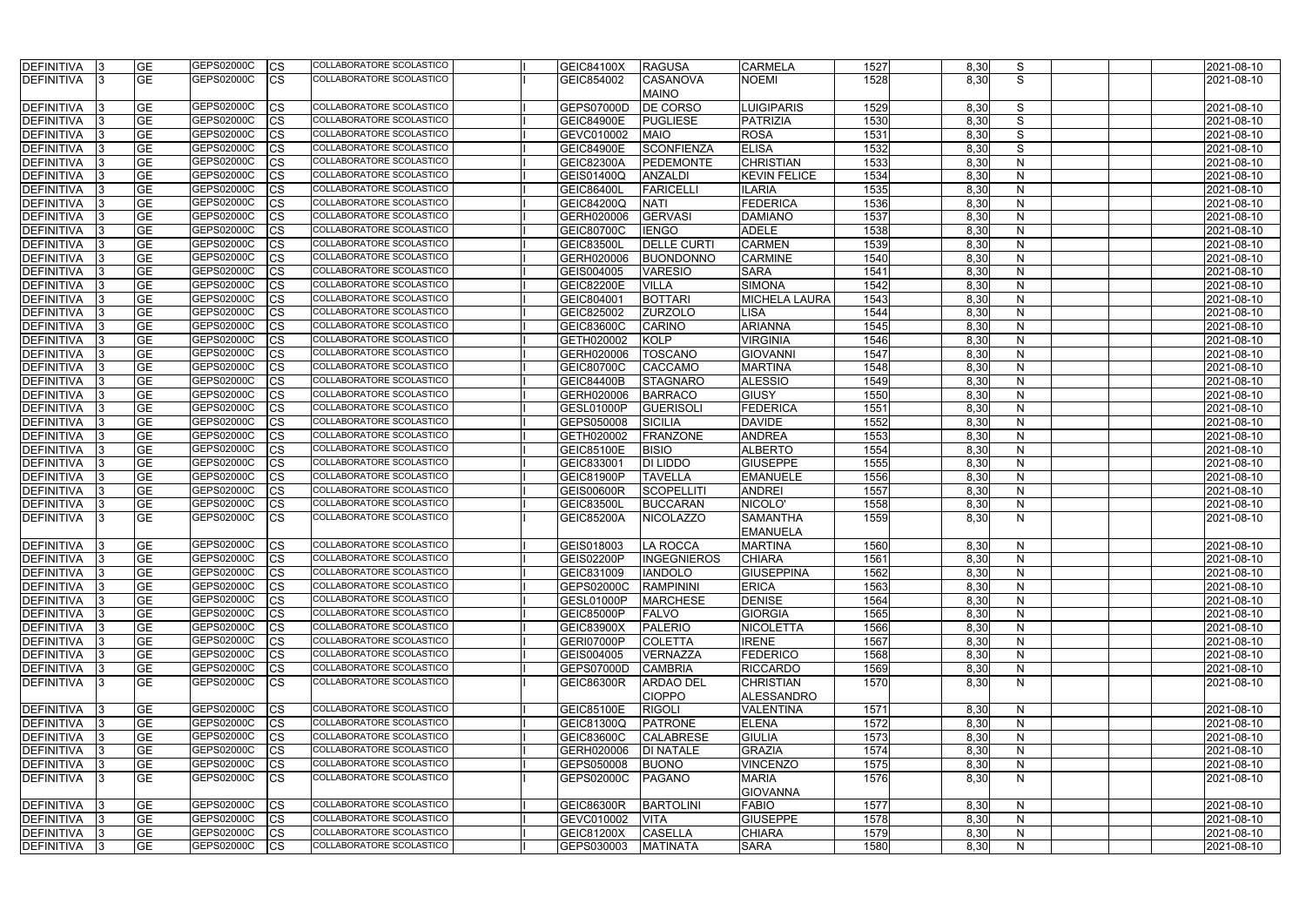| <b>DEFINITIVA</b> | <b>GE</b> | GEPS02000C | <b>ICS</b> | COLLABORATORE SCOLASTICO        | <b>GEIC84100X</b> | <b>RAGUSA</b>                     | <b>CARMELA</b>                        | 1527 | 8,30 | S            | 2021-08-10 |
|-------------------|-----------|------------|------------|---------------------------------|-------------------|-----------------------------------|---------------------------------------|------|------|--------------|------------|
| DEFINITIVA        | <b>GE</b> | GEPS02000C | lCS        | COLLABORATORE SCOLASTICO        | GEIC854002        | <b>CASANOVA</b><br><b>MAINO</b>   | <b>NOEMI</b>                          | 1528 | 8,30 | S            | 2021-08-10 |
| <b>DEFINITIVA</b> | <b>GE</b> | GEPS02000C | <b>CS</b>  | COLLABORATORE SCOLASTICO        | <b>GEPS07000D</b> | <b>DE CORSO</b>                   | <b>LUIGIPARIS</b>                     | 1529 | 8,30 | S            | 2021-08-10 |
| <b>DEFINITIVA</b> | <b>GE</b> | GEPS02000C | СS         | COLLABORATORE SCOLASTICO        | <b>GEIC84900E</b> | <b>PUGLIESE</b>                   | <b>PATRIZIA</b>                       | 1530 | 8,30 | S            | 2021-08-10 |
| DEFINITIVA        | <b>GE</b> | GEPS02000C | CS         | COLLABORATORE SCOLASTICO        | GEVC010002        | <b>MAIO</b>                       | <b>ROSA</b>                           | 1531 | 8,30 | S            | 2021-08-10 |
| <b>DEFINITIVA</b> | <b>GE</b> | GEPS02000C | <b>CS</b>  | COLLABORATORE SCOLASTICO        | <b>GEIC84900E</b> | <b>SCONFIENZA</b>                 | <b>ELISA</b>                          | 1532 | 8,30 | S            | 2021-08-10 |
| <b>DEFINITIVA</b> | <b>GE</b> | GEPS02000C | CS         | COLLABORATORE SCOLASTICO        | <b>GEIC82300A</b> | PEDEMONTE                         | <b>CHRISTIAN</b>                      | 1533 | 8,30 | N            | 2021-08-10 |
| DEFINITIVA        | <b>GE</b> | GEPS02000C | <b>CS</b>  | COLLABORATORE SCOLASTICO        | GEIS01400Q        | <b>ANZALDI</b>                    | <b>KEVIN FELICE</b>                   | 1534 | 8,30 | N            | 2021-08-10 |
| <b>DEFINITIVA</b> | <b>GE</b> | GEPS02000C | CS         | COLLABORATORE SCOLASTICO        | GEIC86400L        | <b>FARICELLI</b>                  | <b>ILARIA</b>                         | 1535 | 8,30 | $\mathsf{N}$ | 2021-08-10 |
| <b>DEFINITIVA</b> | <b>GE</b> | GEPS02000C | <b>CS</b>  | <b>COLLABORATORE SCOLASTICO</b> | GEIC84200Q        | <b>NATI</b>                       | <b>FEDERICA</b>                       | 1536 | 8,30 | N            | 2021-08-10 |
| <b>DEFINITIVA</b> | <b>GE</b> | GEPS02000C | СS         | COLLABORATORE SCOLASTICO        | GERH020006        | <b>GERVASI</b>                    | <b>DAMIANO</b>                        | 1537 | 8,30 | N            | 2021-08-10 |
| <b>DEFINITIVA</b> | <b>GE</b> | GEPS02000C | CS         | COLLABORATORE SCOLASTICO        | <b>GEIC80700C</b> | <b>IENGO</b>                      | <b>ADELE</b>                          | 1538 | 8,30 | $\mathsf{N}$ | 2021-08-10 |
| <b>DEFINITIVA</b> | <b>GE</b> | GEPS02000C | CS         | COLLABORATORE SCOLASTICO        | <b>GEIC83500L</b> | <b>DELLE CURTI</b>                | <b>CARMEN</b>                         | 1539 | 8,30 | N            | 2021-08-10 |
| <b>DEFINITIVA</b> | <b>GE</b> | GEPS02000C | CS         | COLLABORATORE SCOLASTICO        | GERH020006        | <b>BUONDONNO</b>                  | <b>CARMINE</b>                        | 1540 | 8,30 | N            | 2021-08-10 |
| <b>DEFINITIVA</b> | <b>GE</b> | GEPS02000C | СS         | COLLABORATORE SCOLASTICO        | GEIS004005        | <b>VARESIO</b>                    | <b>SARA</b>                           | 1541 | 8,30 | $\mathsf{N}$ | 2021-08-10 |
| <b>DEFINITIVA</b> | <b>GE</b> | GEPS02000C | СS         | COLLABORATORE SCOLASTICO        | <b>GEIC82200E</b> | <b>VILLA</b>                      | <b>SIMONA</b>                         | 1542 | 8,30 | N            | 2021-08-10 |
| <b>DEFINITIVA</b> | <b>GE</b> | GEPS02000C | СS         | COLLABORATORE SCOLASTICO        | GEIC804001        | <b>BOTTARI</b>                    | <b>MICHELA LAURA</b>                  | 1543 | 8,30 | N            | 2021-08-10 |
| <b>DEFINITIVA</b> | <b>GE</b> | GEPS02000C | CS         | COLLABORATORE SCOLASTICO        | GEIC825002        | <b>ZURZOLO</b>                    | LISA                                  | 1544 | 8,30 | N            | 2021-08-10 |
| <b>DEFINITIVA</b> | <b>GE</b> | GEPS02000C | <b>CS</b>  | COLLABORATORE SCOLASTICO        | <b>GEIC83600C</b> | <b>CARINO</b>                     | <b>ARIANNA</b>                        | 1545 | 8,30 | N            | 2021-08-10 |
| <b>DEFINITIVA</b> | <b>GE</b> | GEPS02000C | CS         | COLLABORATORE SCOLASTICO        | GETH020002        | <b>KOLP</b>                       | <b>VIRGINIA</b>                       | 1546 | 8,30 | N            | 2021-08-10 |
| <b>DEFINITIVA</b> | <b>GE</b> | GEPS02000C | <b>CS</b>  | COLLABORATORE SCOLASTICO        | GERH020006        | <b>TOSCANO</b>                    | <b>GIOVANNI</b>                       | 1547 | 8,30 | $\mathsf{N}$ | 2021-08-10 |
| <b>DEFINITIVA</b> | <b>GE</b> | GEPS02000C | <b>CS</b>  | COLLABORATORE SCOLASTICO        | <b>GEIC80700C</b> | <b>CACCAMO</b>                    | <b>MARTINA</b>                        | 1548 | 8,30 | N            | 2021-08-10 |
| <b>DEFINITIVA</b> | <b>GE</b> | GEPS02000C | СS         | COLLABORATORE SCOLASTICO        | <b>GEIC84400B</b> | <b>STAGNARO</b>                   | <b>ALESSIO</b>                        | 1549 | 8,30 | N            | 2021-08-10 |
| <b>DEFINITIVA</b> | <b>GE</b> | GEPS02000C | <b>CS</b>  | COLLABORATORE SCOLASTICO        | GERH020006        | <b>BARRACO</b>                    | <b>GIUSY</b>                          | 1550 | 8,30 | N            | 2021-08-10 |
| <b>DEFINITIVA</b> | <b>GE</b> | GEPS02000C | <b>CS</b>  | COLLABORATORE SCOLASTICO        | <b>GESL01000P</b> | <b>GUERISOLI</b>                  | <b>FEDERICA</b>                       | 1551 | 8,30 | $\mathsf{N}$ | 2021-08-10 |
| <b>DEFINITIVA</b> | <b>GE</b> | GEPS02000C | СS         | COLLABORATORE SCOLASTICO        | GEPS050008        | <b>SICILIA</b>                    | <b>DAVIDE</b>                         | 1552 | 8,30 | N            | 2021-08-10 |
| <b>DEFINITIVA</b> | <b>GE</b> | GEPS02000C | СS         | COLLABORATORE SCOLASTICO        | GETH020002        | <b>FRANZONE</b>                   | <b>ANDREA</b>                         | 1553 | 8,30 | $\mathsf{N}$ | 2021-08-10 |
| <b>DEFINITIVA</b> | <b>GE</b> | GEPS02000C | СS         | COLLABORATORE SCOLASTICO        | <b>GEIC85100E</b> | <b>BISIO</b>                      | <b>ALBERTO</b>                        | 1554 | 8,30 | N            | 2021-08-10 |
| <b>DEFINITIVA</b> | <b>GE</b> | GEPS02000C | СS         | COLLABORATORE SCOLASTICO        | GEIC833001        | <b>DI LIDDO</b>                   | <b>GIUSEPPE</b>                       | 1555 | 8,30 | N            | 2021-08-10 |
| <b>DEFINITIVA</b> | <b>GE</b> | GEPS02000C | CS         | COLLABORATORE SCOLASTICO        | <b>GEIC81900P</b> | <b>TAVELLA</b>                    | <b>EMANUELE</b>                       | 1556 | 8,30 | N            | 2021-08-10 |
| <b>DEFINITIVA</b> | <b>GE</b> | GEPS02000C | lCS        | COLLABORATORE SCOLASTICO        | <b>GEIS00600R</b> | SCOPELLITI                        | <b>ANDREI</b>                         | 1557 | 8,30 | N            | 2021-08-10 |
| DEFINITIVA        | <b>GE</b> | GEPS02000C | CS         | COLLABORATORE SCOLASTICO        | <b>GEIC83500L</b> | <b>BUCCARAN</b>                   | NICOLO'                               | 1558 | 8,30 | N            | 2021-08-10 |
| <b>DEFINITIVA</b> | <b>GE</b> | GEPS02000C | <b>CS</b>  | COLLABORATORE SCOLASTICO        | <b>GEIC85200A</b> | <b>NICOLAZZO</b>                  | <b>SAMANTHA</b>                       | 1559 | 8,30 | N            | 2021-08-10 |
|                   |           |            |            |                                 |                   |                                   | <b>EMANUELA</b>                       |      |      |              |            |
| <b>DEFINITIVA</b> | <b>GE</b> | GEPS02000C | <b>CS</b>  | COLLABORATORE SCOLASTICO        | GEIS018003        | LA ROCCA                          | <b>MARTINA</b>                        | 1560 | 8,30 | N.           | 2021-08-10 |
| DEFINITIVA 3      | <b>GE</b> | GEPS02000C | <b>CS</b>  | COLLABORATORE SCOLASTICO        | GEIS02200P        | <b>INGEGNIEROS</b>                | <b>CHIARA</b>                         | 1561 | 8,30 | N            | 2021-08-10 |
| <b>DEFINITIVA</b> | <b>GE</b> | GEPS02000C | <b>CS</b>  | COLLABORATORE SCOLASTICO        | GEIC831009        | <b>IANDOLO</b>                    | <b>GIUSEPPINA</b>                     | 1562 | 8,30 | N            | 2021-08-10 |
| <b>DEFINITIVA</b> | <b>GE</b> | GEPS02000C | <b>CS</b>  | COLLABORATORE SCOLASTICO        | GEPS02000C        | <b>RAMPININI</b>                  | <b>ERICA</b>                          | 1563 | 8,30 | $\mathsf{N}$ | 2021-08-10 |
| DEFINITIVA        | <b>GE</b> | GEPS02000C | <b>CS</b>  | COLLABORATORE SCOLASTICO        | <b>GESL01000P</b> | <b>MARCHESE</b>                   | <b>DENISE</b>                         | 1564 | 8,30 | N            | 2021-08-10 |
| DEFINITIVA        | <b>GE</b> | GEPS02000C | <b>CS</b>  | COLLABORATORE SCOLASTICO        | <b>GEIC85000P</b> | <b>FALVO</b>                      | <b>GIORGIA</b>                        | 1565 | 8,30 | $\mathsf{N}$ | 2021-08-10 |
| DEFINITIVA        | <b>GE</b> | GEPS02000C | CS         | COLLABORATORE SCOLASTICO        | <b>GEIC83900X</b> | <b>PALERIO</b>                    | <b>NICOLETTA</b>                      | 1566 | 8,30 | $\mathsf{N}$ | 2021-08-10 |
| DEFINITIVA        | <b>GE</b> | GEPS02000C | CS         | COLLABORATORE SCOLASTICO        | GERI07000P        | <b>COLETTA</b>                    | <b>IRENE</b>                          | 1567 | 8,30 | N            | 2021-08-10 |
| DEFINITIVA        | <b>GE</b> | GEPS02000C | <b>CS</b>  | COLLABORATORE SCOLASTICO        | GEIS004005        | <b>VERNAZZA</b>                   | <b>FEDERICO</b>                       | 1568 | 8,30 | $\mathsf{N}$ | 2021-08-10 |
| <b>DEFINITIVA</b> | <b>GE</b> | GEPS02000C | <b>CS</b>  | COLLABORATORE SCOLASTICO        | <b>GEPS07000D</b> | <b>CAMBRIA</b>                    | <b>RICCARDO</b>                       | 1569 | 8,30 | N            | 2021-08-10 |
| <b>DEFINITIVA</b> | <b>GE</b> | GEPS02000C | <b>CS</b>  | <b>COLLABORATORE SCOLASTICO</b> | <b>GEIC86300R</b> | <b>ARDAO DEL</b><br><b>CIOPPO</b> | <b>CHRISTIAN</b><br><b>ALESSANDRO</b> | 1570 | 8,30 | N            | 2021-08-10 |
| <b>DEFINITIVA</b> | <b>GE</b> | GEPS02000C | <b>CS</b>  | COLLABORATORE SCOLASTICO        | <b>GEIC85100E</b> | <b>RIGOLI</b>                     | <b>VALENTINA</b>                      | 1571 | 8,30 | $\mathsf{N}$ | 2021-08-10 |
| <b>DEFINITIVA</b> | <b>GE</b> | GEPS02000C | <b>CS</b>  | COLLABORATORE SCOLASTICO        | GEIC81300Q        | <b>PATRONE</b>                    | <b>ELENA</b>                          | 1572 | 8,30 | N            | 2021-08-10 |
| DEFINITIVA        | <b>GE</b> | GEPS02000C | <b>CS</b>  | COLLABORATORE SCOLASTICO        | <b>GEIC83600C</b> | <b>CALABRESE</b>                  | <b>GIULIA</b>                         | 1573 | 8,30 | $\mathsf{N}$ | 2021-08-10 |
| <b>DEFINITIVA</b> | <b>GE</b> | GEPS02000C | <b>CS</b>  | COLLABORATORE SCOLASTICO        | GERH020006        | <b>DI NATALE</b>                  | <b>GRAZIA</b>                         | 1574 | 8,30 | N            | 2021-08-10 |
| <b>DEFINITIVA</b> | <b>GE</b> | GEPS02000C | <b>CS</b>  | COLLABORATORE SCOLASTICO        | GEPS050008        | <b>BUONO</b>                      | <b>VINCENZO</b>                       | 1575 | 8,30 | N            | 2021-08-10 |
| DEFINITIVA        | <b>GE</b> | GEPS02000C | <b>CS</b>  | COLLABORATORE SCOLASTICO        | GEPS02000C        | <b>PAGANO</b>                     | <b>MARIA</b><br><b>GIOVANNA</b>       | 1576 | 8,30 | N            | 2021-08-10 |
| <b>DEFINITIVA</b> | <b>GE</b> | GEPS02000C | <b>CS</b>  | COLLABORATORE SCOLASTICO        | <b>GEIC86300R</b> | <b>BARTOLINI</b>                  | <b>FABIO</b>                          | 1577 | 8,30 | N            | 2021-08-10 |
| DEFINITIVA 3      | <b>GE</b> | GEPS02000C | <b>CS</b>  | COLLABORATORE SCOLASTICO        | GEVC010002        | <b>VITA</b>                       | <b>GIUSEPPE</b>                       | 1578 | 8,30 | $\mathsf{N}$ | 2021-08-10 |
| <b>DEFINITIVA</b> | <b>GE</b> | GEPS02000C | <b>ICS</b> | COLLABORATORE SCOLASTICO        | <b>GEIC81200X</b> | <b>CASELLA</b>                    | <b>CHIARA</b>                         | 1579 | 8,30 | N            | 2021-08-10 |
| <b>DEFINITIVA</b> | <b>GE</b> | GEPS02000C | <b>CS</b>  | COLLABORATORE SCOLASTICO        | GEPS030003        | <b>MATINATA</b>                   | <b>SARA</b>                           | 1580 | 8,30 | N            | 2021-08-10 |
|                   |           |            |            |                                 |                   |                                   |                                       |      |      |              |            |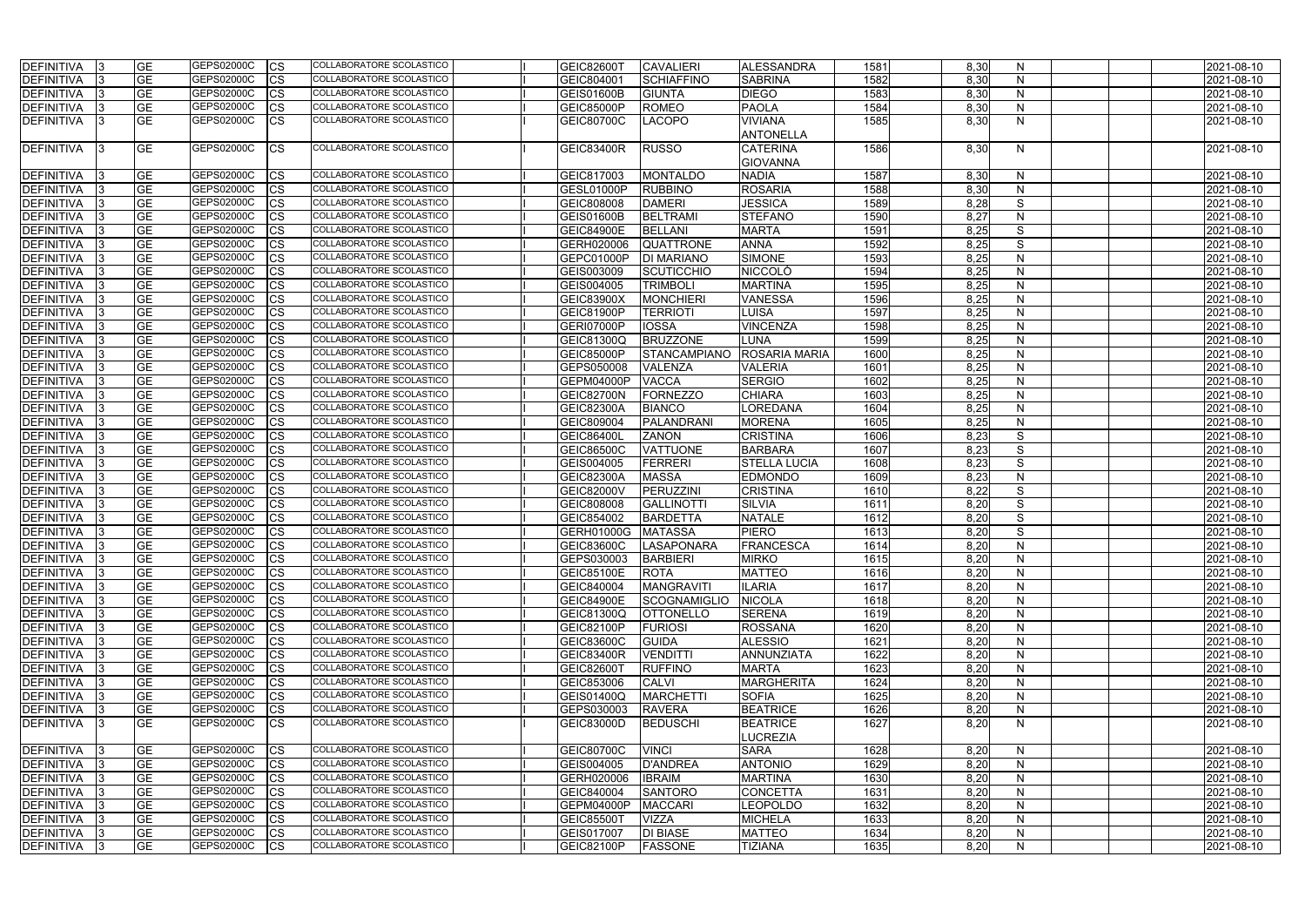| DEFINITIVA        | <b>GE</b>       | <b>GEPS02000C</b><br>CS  | COLLABORATORE SCOLASTICO        | <b>GEIC82600T</b> | <b>CAVALIERI</b>    | <b>ALESSANDRA</b>                  | 1581 | 8,30 | <sup>N</sup> |  | 2021-08-10 |
|-------------------|-----------------|--------------------------|---------------------------------|-------------------|---------------------|------------------------------------|------|------|--------------|--|------------|
| <b>DEFINITIVA</b> | <b>GE</b>       | GEPS02000C<br>CS         | COLLABORATORE SCOLASTICO        | GEIC804001        | <b>SCHIAFFINO</b>   | <b>SABRINA</b>                     | 1582 | 8,30 | N            |  | 2021-08-10 |
| <b>DEFINITIVA</b> | <b>GE</b>       | GEPS02000C<br>СS         | COLLABORATORE SCOLASTICO        | <b>GEIS01600B</b> | <b>GIUNTA</b>       | <b>DIEGO</b>                       | 1583 | 8,30 | N            |  | 2021-08-10 |
| <b>DEFINITIVA</b> | <b>GE</b>       | GEPS02000C<br>СS         | COLLABORATORE SCOLASTICO        | <b>GEIC85000P</b> | <b>ROMEO</b>        | <b>PAOLA</b>                       | 1584 | 8,30 | N            |  | 2021-08-10 |
| DEFINITIVA        | <b>GE</b>       | GEPS02000C<br>CS         | COLLABORATORE SCOLASTICO        | <b>GEIC80700C</b> | <b>LACOPO</b>       | <b>VIVIANA</b><br><b>ANTONELLA</b> | 1585 | 8,30 | N            |  | 2021-08-10 |
| <b>DEFINITIVA</b> | <b>GE</b>       | GEPS02000C<br><b>CS</b>  | COLLABORATORE SCOLASTICO        | <b>GEIC83400R</b> | <b>RUSSO</b>        | <b>CATERINA</b><br><b>GIOVANNA</b> | 1586 | 8,30 | N            |  | 2021-08-10 |
| <b>DEFINITIVA</b> | <b>GE</b>       | GEPS02000C<br>CS         | COLLABORATORE SCOLASTICO        | GEIC817003        | <b>MONTALDO</b>     | <b>NADIA</b>                       | 1587 | 8,30 | N            |  | 2021-08-10 |
| <b>DEFINITIVA</b> | <b>GE</b>       | GEPS02000C<br>СS         | COLLABORATORE SCOLASTICO        | <b>GESL01000P</b> | <b>RUBBINO</b>      | <b>ROSARIA</b>                     | 1588 | 8,30 | $\mathsf{N}$ |  | 2021-08-10 |
| <b>DEFINITIVA</b> | $\overline{GE}$ | GEPS02000C<br>СS         | <b>COLLABORATORE SCOLASTICO</b> | GEIC808008        | <b>DAMERI</b>       | <b>JESSICA</b>                     | 1589 | 8,28 | S            |  | 2021-08-10 |
| <b>DEFINITIVA</b> | <b>GE</b>       | GEPS02000C<br>CS         | COLLABORATORE SCOLASTICO        | GEIS01600B        | <b>BELTRAMI</b>     | <b>STEFANO</b>                     | 1590 | 8,27 | $\mathsf{N}$ |  | 2021-08-10 |
| DEFINITIVA        | <b>GE</b>       | GEPS02000C<br>CS         | COLLABORATORE SCOLASTICO        | <b>GEIC84900E</b> | <b>BELLANI</b>      | <b>MARTA</b>                       | 1591 | 8,25 | S            |  | 2021-08-10 |
| <b>DEFINITIVA</b> | $\overline{GE}$ | GEPS02000C<br>СS         | COLLABORATORE SCOLASTICO        | GERH020006        | <b>QUATTRONE</b>    | <b>ANNA</b>                        | 1592 | 8,25 | S            |  | 2021-08-10 |
| <b>DEFINITIVA</b> | <b>GE</b>       | GEPS02000C<br>СS         | COLLABORATORE SCOLASTICO        | GEPC01000P        | <b>DI MARIANO</b>   | <b>SIMONE</b>                      | 1593 | 8,25 | N            |  | 2021-08-10 |
| <b>DEFINITIVA</b> | <b>GE</b>       | GEPS02000C<br>СS         | COLLABORATORE SCOLASTICO        | GEIS003009        | SCUTICCHIO          | NICCOLÒ                            | 1594 | 8,25 | N            |  | 2021-08-10 |
| <b>DEFINITIVA</b> | <b>GE</b>       | GEPS02000C<br>СS         | COLLABORATORE SCOLASTICO        | GEIS004005        | <b>TRIMBOLI</b>     | <b>MARTINA</b>                     | 1595 | 8,25 | $\mathsf{N}$ |  | 2021-08-10 |
| <b>DEFINITIVA</b> | <b>GE</b>       | GEPS02000C<br>СS         | COLLABORATORE SCOLASTICO        | <b>GEIC83900X</b> | <b>MONCHIERI</b>    | VANESSA                            | 1596 | 8,25 | N            |  | 2021-08-10 |
| DEFINITIVA        | <b>GE</b>       | GEPS02000C<br>СS         | COLLABORATORE SCOLASTICO        | <b>GEIC81900P</b> | <b>TERRIOTI</b>     | LUISA                              | 1597 | 8,25 | $\mathsf{N}$ |  | 2021-08-10 |
| <b>DEFINITIVA</b> | <b>GE</b>       | GEPS02000C<br>СS         | COLLABORATORE SCOLASTICO        | GERI07000P        | <b>IOSSA</b>        | VINCENZA                           | 1598 | 8,25 | $\mathsf{N}$ |  | 2021-08-10 |
| <b>DEFINITIVA</b> | <b>GE</b>       | GEPS02000C<br>СS         | <b>COLLABORATORE SCOLASTICO</b> | GEIC81300Q        | <b>BRUZZONE</b>     | LUNA                               | 1599 | 8,25 | N            |  | 2021-08-10 |
| <b>DEFINITIVA</b> | <b>GE</b>       | GEPS02000C<br>CS         | COLLABORATORE SCOLASTICO        | <b>GEIC85000P</b> | <b>STANCAMPIANO</b> | <b>ROSARIA MARIA</b>               | 1600 | 8,25 | N            |  | 2021-08-10 |
| <b>DEFINITIVA</b> | <b>GE</b>       | GEPS02000C<br>СS         | COLLABORATORE SCOLASTICO        | GEPS050008        | <b>VALENZA</b>      | <b>VALERIA</b>                     | 1601 | 8,25 | N            |  | 2021-08-10 |
| <b>DEFINITIVA</b> | <b>GE</b>       | GEPS02000C<br>CS         | COLLABORATORE SCOLASTICO        | GEPM04000P        | <b>VACCA</b>        | <b>SERGIO</b>                      | 1602 | 8,25 | $\mathsf{N}$ |  | 2021-08-10 |
| <b>DEFINITIVA</b> | <b>GE</b>       | GEPS02000C<br>СS         | <b>COLLABORATORE SCOLASTICO</b> | <b>GEIC82700N</b> | <b>FORNEZZO</b>     | <b>CHIARA</b>                      | 1603 | 8,25 | $\mathsf{N}$ |  | 2021-08-10 |
| DEFINITIVA        | <b>GE</b>       | GEPS02000C<br>СS         | COLLABORATORE SCOLASTICO        | GEIC82300A        | <b>BIANCO</b>       | LOREDANA                           | 1604 | 8,25 | N            |  | 2021-08-10 |
| <b>DEFINITIVA</b> | <b>GE</b>       | GEPS02000C<br>СS         | COLLABORATORE SCOLASTICO        | GEIC809004        | PALANDRANI          | <b>MORENA</b>                      | 1605 | 8,25 | N            |  | 2021-08-10 |
| DEFINITIVA        | <b>GE</b>       | GEPS02000C<br>СS         | COLLABORATORE SCOLASTICO        | <b>GEIC86400L</b> | <b>ZANON</b>        | <b>CRISTINA</b>                    | 1606 | 8,23 | S            |  | 2021-08-10 |
| <b>DEFINITIVA</b> | <b>GE</b>       | GEPS02000C<br>СS         | COLLABORATORE SCOLASTICO        | GEIC86500C        | <b>VATTUONE</b>     | <b>BARBARA</b>                     | 1607 | 8,23 | S            |  | 2021-08-10 |
| <b>DEFINITIVA</b> | <b>GE</b>       | GEPS02000C<br>СS         | COLLABORATORE SCOLASTICO        | GEIS004005        | FERRERI             | <b>STELLA LUCIA</b>                | 1608 | 8,23 | S            |  | 2021-08-10 |
| <b>DEFINITIVA</b> | <b>GE</b>       | GEPS02000C<br>СS         | COLLABORATORE SCOLASTICO        | <b>GEIC82300A</b> | <b>MASSA</b>        | <b>EDMONDO</b>                     | 1609 | 8,23 | $\mathsf{N}$ |  | 2021-08-10 |
| <b>DEFINITIVA</b> | <b>GE</b>       | GEPS02000C<br>СS         | COLLABORATORE SCOLASTICO        | <b>GEIC82000V</b> | PERUZZINI           | <b>CRISTINA</b>                    | 1610 | 8,22 | S            |  | 2021-08-10 |
| <b>DEFINITIVA</b> | <b>GE</b>       | GEPS02000C<br>CS         | COLLABORATORE SCOLASTICO        | GEIC808008        | <b>GALLINOTTI</b>   | <b>SILVIA</b>                      | 1611 | 8,20 | S            |  | 2021-08-10 |
| <b>DEFINITIVA</b> | <b>GE</b>       | GEPS02000C<br>СS         | COLLABORATORE SCOLASTICO        | GEIC854002        | <b>BARDETTA</b>     | <b>NATALE</b>                      | 1612 | 8,20 | S            |  | 2021-08-10 |
| DEFINITIVA        | <b>GE</b>       | GEPS02000C<br>СS         | COLLABORATORE SCOLASTICO        | GERH01000G        | <b>MATASSA</b>      | <b>PIERO</b>                       | 1613 | 8,20 | S            |  | 2021-08-10 |
| DEFINITIVA        | <b>GE</b>       | GEPS02000C<br>Ics        | COLLABORATORE SCOLASTICO        | <b>GEIC83600C</b> | <b>LASAPONARA</b>   | FRANCESCA                          | 1614 | 8,20 | N            |  | 2021-08-10 |
| DEFINITIVA 3      | <b>GE</b>       | GEPS02000C<br><b>CS</b>  | <b>COLLABORATORE SCOLASTICO</b> | GEPS030003        | <b>BARBIERI</b>     | <b>MIRKO</b>                       | 1615 | 8,20 | N.           |  | 2021-08-10 |
| DEFINITIVA        | <b>GE</b>       | GEPS02000C<br><b>CS</b>  | COLLABORATORE SCOLASTICO        | <b>GEIC85100E</b> | <b>ROTA</b>         | <b>MATTEO</b>                      | 1616 | 8,20 | N            |  | 2021-08-10 |
| DEFINITIVA        | <b>GE</b>       | GEPS02000C<br><b>CS</b>  | COLLABORATORE SCOLASTICO        | GEIC840004        | <b>MANGRAVITI</b>   | <b>ILARIA</b>                      | 1617 | 8,20 | $\mathsf{N}$ |  | 2021-08-10 |
| DEFINITIVA        | <b>GE</b>       | GEPS02000C<br>CS         | COLLABORATORE SCOLASTICO        | <b>GEIC84900E</b> | SCOGNAMIGLIO        | <b>NICOLA</b>                      | 1618 | 8,20 | N            |  | 2021-08-10 |
| DEFINITIVA        | <b>GE</b>       | GEPS02000C<br>СS         | COLLABORATORE SCOLASTICO        | <b>GEIC81300Q</b> | <b>OTTONELLO</b>    | <b>SERENA</b>                      | 1619 | 8,20 | $\mathsf{N}$ |  | 2021-08-10 |
| DEFINITIVA        | <b>GE</b>       | GEPS02000C<br>СS         | COLLABORATORE SCOLASTICO        | GEIC82100P        | <b>FURIOSI</b>      | <b>ROSSANA</b>                     | 1620 | 8,20 | $\mathsf{N}$ |  | 2021-08-10 |
| DEFINITIVA        | <b>GE</b>       | GEPS02000C<br>CS         | COLLABORATORE SCOLASTICO        | <b>GEIC83600C</b> | <b>GUIDA</b>        | <b>ALESSIO</b>                     | 1621 | 8,20 | $\mathsf{N}$ |  | 2021-08-10 |
| <b>DEFINITIVA</b> | <b>GE</b>       | GEPS02000C<br>CS         | <b>COLLABORATORE SCOLASTICO</b> | <b>GEIC83400R</b> | <b>VENDITTI</b>     | ANNUNZIATA                         | 1622 | 8,20 | N            |  | 2021-08-10 |
| <b>DEFINITIVA</b> | <b>GE</b>       | GEPS02000C<br><b>CS</b>  | COLLABORATORE SCOLASTICO        | <b>GEIC82600T</b> | <b>RUFFINO</b>      | <b>MARTA</b>                       | 1623 | 8,20 | $\mathsf{N}$ |  | 2021-08-10 |
| DEFINITIVA        | <b>GE</b>       | GEPS02000C<br>CS         | COLLABORATORE SCOLASTICO        | GEIC853006        | <b>CALVI</b>        | <b>MARGHERITA</b>                  | 1624 | 8,20 | N            |  | 2021-08-10 |
| <b>DEFINITIVA</b> | <b>GE</b>       | GEPS02000C<br>CS         | COLLABORATORE SCOLASTICO        | <b>GEIS01400Q</b> | <b>MARCHETTI</b>    | <b>SOFIA</b>                       | 1625 | 8,20 | N            |  | 2021-08-10 |
| DEFINITIVA        | <b>GE</b>       | GEPS02000C<br><b>CS</b>  | COLLABORATORE SCOLASTICO        | GEPS030003        | <b>RAVERA</b>       | <b>BEATRICE</b>                    | 1626 | 8,20 | N            |  | 2021-08-10 |
| DEFINITIVA        | <b>GE</b>       | GEPS02000C<br><b>ICS</b> | COLLABORATORE SCOLASTICO        | <b>GEIC83000D</b> | <b>BEDUSCHI</b>     | <b>BEATRICE</b>                    | 1627 | 8,20 | N            |  | 2021-08-10 |
|                   |                 |                          |                                 |                   |                     | <b>LUCREZIA</b>                    |      |      |              |  |            |
| <b>DEFINITIVA</b> | <b>GE</b>       | GEPS02000C<br><b>CS</b>  | COLLABORATORE SCOLASTICO        | <b>GEIC80700C</b> | <b>VINCI</b>        | <b>SARA</b>                        | 1628 | 8,20 | N            |  | 2021-08-10 |
| DEFINITIVA        | <b>GE</b>       | GEPS02000C<br>CS         | COLLABORATORE SCOLASTICO        | GEIS004005        | <b>D'ANDREA</b>     | <b>ANTONIO</b>                     | 1629 | 8,20 | $\mathsf{N}$ |  | 2021-08-10 |
| DEFINITIVA        | <b>GE</b>       | GEPS02000C<br>СS         | COLLABORATORE SCOLASTICO        | GERH020006        | <b>IBRAIM</b>       | <b>MARTINA</b>                     | 1630 | 8,20 | N            |  | 2021-08-10 |
| DEFINITIVA        | <b>GE</b>       | GEPS02000C<br>СS         | COLLABORATORE SCOLASTICO        | GEIC840004        | <b>SANTORO</b>      | <b>CONCETTA</b>                    | 1631 | 8,20 | N            |  | 2021-08-10 |
| <b>DEFINITIVA</b> | <b>GE</b>       | GEPS02000C<br><b>CS</b>  | COLLABORATORE SCOLASTICO        | <b>GEPM04000P</b> | <b>MACCARI</b>      | <b>LEOPOLDO</b>                    | 1632 | 8,20 | $\mathsf{N}$ |  | 2021-08-10 |
| <b>DEFINITIVA</b> | <b>GE</b>       | GEPS02000C<br>CS         | COLLABORATORE SCOLASTICO        | <b>GEIC85500T</b> | <b>VIZZA</b>        | <b>MICHELA</b>                     | 1633 | 8,20 | N            |  | 2021-08-10 |
| <b>DEFINITIVA</b> | <b>GE</b>       | GEPS02000C<br><b>CS</b>  | COLLABORATORE SCOLASTICO        | GEIS017007        | <b>DI BIASE</b>     | <b>MATTEO</b>                      | 1634 | 8,20 | N            |  | 2021-08-10 |
| <b>DEFINITIVA</b> | <b>GE</b>       | GEPS02000C<br><b>CS</b>  | COLLABORATORE SCOLASTICO        | GEIC82100P        | <b>FASSONE</b>      | <b>TIZIANA</b>                     | 1635 | 8,20 | $\mathsf{N}$ |  | 2021-08-10 |
|                   |                 |                          |                                 |                   |                     |                                    |      |      |              |  |            |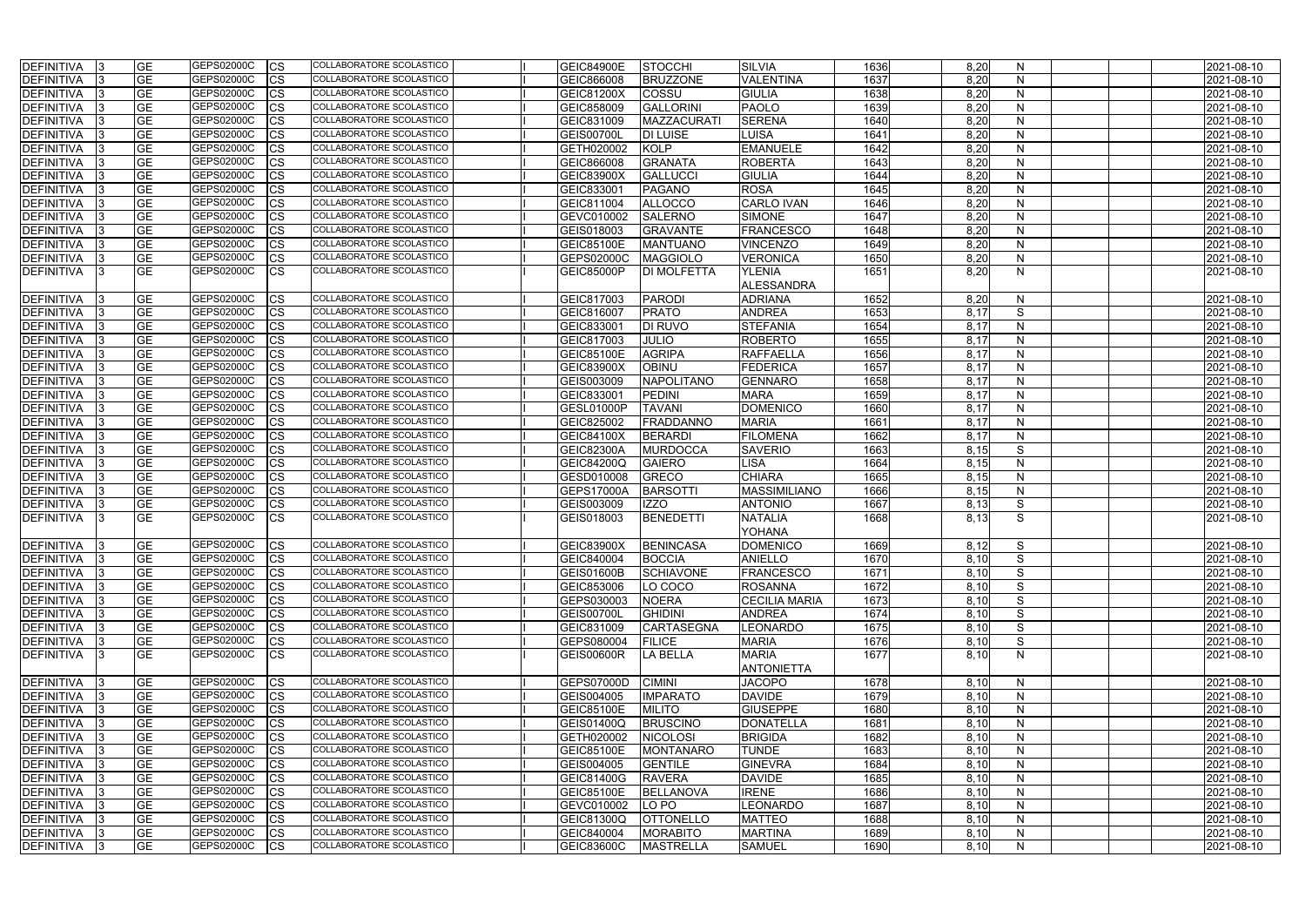| <b>DEFINITIVA</b>           |                 | <b>GE</b> | GEPS02000C | <b>CS</b>  | COLLABORATORE SCOLASTICO        | <b>GEIC84900E</b> | <b>STOCCHI</b>     | <b>SILVIA</b>        | 1636 | 8,20 | N            |  | 2021-08-10 |
|-----------------------------|-----------------|-----------|------------|------------|---------------------------------|-------------------|--------------------|----------------------|------|------|--------------|--|------------|
| DEFINITIVA                  |                 | <b>GE</b> | GEPS02000C | <b>CS</b>  | COLLABORATORE SCOLASTICO        | GEIC866008        | <b>BRUZZONE</b>    | <b>VALENTINA</b>     | 1637 | 8,20 | N            |  | 2021-08-10 |
| DEFINITIVA                  |                 | <b>GE</b> | GEPS02000C | <b>CS</b>  | COLLABORATORE SCOLASTICO        | <b>GEIC81200X</b> | <b>COSSU</b>       | <b>GIULIA</b>        | 1638 | 8,20 | N            |  | 2021-08-10 |
| DEFINITIVA                  |                 | <b>GE</b> | GEPS02000C | <b>CS</b>  | COLLABORATORE SCOLASTICO        | GEIC858009        | <b>GALLORINI</b>   | <b>PAOLO</b>         | 1639 | 8,20 | N            |  | 2021-08-10 |
| <b>DEFINITIVA</b>           |                 | <b>GE</b> | GEPS02000C | <b>CS</b>  | COLLABORATORE SCOLASTICO        | GEIC831009        | MAZZACURATI        | <b>SERENA</b>        | 1640 | 8,20 | N            |  | 2021-08-10 |
| DEFINITIVA                  |                 | <b>GE</b> | GEPS02000C | <b>CS</b>  | COLLABORATORE SCOLASTICO        | GEIS00700L        | <b>DI LUISE</b>    | <b>LUISA</b>         | 1641 | 8,20 | N            |  | 2021-08-10 |
| <b>DEFINITIVA</b>           |                 | <b>GE</b> | GEPS02000C | <b>CS</b>  | COLLABORATORE SCOLASTICO        | GETH020002        | <b>KOLP</b>        | <b>EMANUELE</b>      | 1642 | 8,20 | N            |  | 2021-08-10 |
| <b>DEFINITIVA</b>           |                 | <b>GE</b> | GEPS02000C | <b>CS</b>  | COLLABORATORE SCOLASTICO        | GEIC866008        | GRANATA            | <b>ROBERTA</b>       | 1643 | 8,20 | N            |  | 2021-08-10 |
| <b>DEFINITIVA</b>           |                 | <b>GE</b> | GEPS02000C | <b>CS</b>  | COLLABORATORE SCOLASTICO        | <b>GEIC83900X</b> | GALLUCCI           | <b>GIULIA</b>        | 1644 | 8,20 | N            |  | 2021-08-10 |
| <b>DEFINITIVA</b>           |                 | <b>GE</b> | GEPS02000C | <b>CS</b>  | COLLABORATORE SCOLASTICO        | GEIC833001        | <b>PAGANO</b>      | <b>ROSA</b>          | 1645 | 8,20 | $\mathsf{N}$ |  | 2021-08-10 |
| <b>DEFINITIVA</b>           |                 | <b>GE</b> | GEPS02000C | CS         | COLLABORATORE SCOLASTICO        | GEIC811004        | <b>ALLOCCO</b>     | <b>CARLO IVAN</b>    | 1646 | 8,20 | $\mathsf{N}$ |  | 2021-08-10 |
| DEFINITIVA                  |                 | <b>GE</b> | GEPS02000C | <b>CS</b>  | COLLABORATORE SCOLASTICO        | GEVC010002        | <b>SALERNO</b>     | <b>SIMONE</b>        | 1647 | 8,20 | N            |  | 2021-08-10 |
| <b>DEFINITIVA</b>           |                 | <b>GE</b> | GEPS02000C | <b>CS</b>  | COLLABORATORE SCOLASTICO        | GEIS018003        | <b>GRAVANTE</b>    | <b>FRANCESCO</b>     | 1648 | 8,20 | $\mathsf{N}$ |  | 2021-08-10 |
| DEFINITIVA                  |                 | <b>GE</b> | GEPS02000C | <b>CS</b>  | COLLABORATORE SCOLASTICO        | GEIC85100E        | <b>MANTUANO</b>    | <b>VINCENZO</b>      | 1649 | 8,20 | $\mathsf{N}$ |  | 2021-08-10 |
| <b>DEFINITIVA</b>           |                 | <b>GE</b> | GEPS02000C | <b>CS</b>  | COLLABORATORE SCOLASTICO        | GEPS02000C        | <b>MAGGIOLO</b>    | <b>VERONICA</b>      | 1650 | 8,20 | $\mathsf{N}$ |  | 2021-08-10 |
| <b>DEFINITIVA</b>           |                 | <b>GE</b> | GEPS02000C | <b>CS</b>  | COLLABORATORE SCOLASTICO        | GEIC85000P        | <b>DI MOLFETTA</b> | <b>YLENIA</b>        | 1651 | 8,20 | N            |  | 2021-08-10 |
|                             |                 |           |            |            |                                 |                   |                    | <b>ALESSANDRA</b>    |      |      |              |  |            |
| DEFINITIVA                  |                 | <b>GE</b> | GEPS02000C | <b>CS</b>  | COLLABORATORE SCOLASTICO        | GEIC817003        | PARODI             | <b>ADRIANA</b>       | 1652 | 8,20 | N            |  | 2021-08-10 |
| DEFINITIVA                  |                 | <b>GE</b> | GEPS02000C | <b>CS</b>  | COLLABORATORE SCOLASTICO        | GEIC816007        | <b>PRATO</b>       | <b>ANDREA</b>        | 1653 | 8,17 | S            |  | 2021-08-10 |
| DEFINITIVA                  |                 | <b>GE</b> | GEPS02000C | <b>CS</b>  | <b>COLLABORATORE SCOLASTICO</b> | GEIC833001        | <b>DI RUVO</b>     | <b>STEFANIA</b>      | 1654 | 8,17 | N            |  | 2021-08-10 |
| DEFINITIVA                  |                 | <b>GE</b> | GEPS02000C | <b>CS</b>  | COLLABORATORE SCOLASTICO        | GEIC817003        | <b>JULIO</b>       | <b>ROBERTO</b>       | 1655 | 8,17 | N            |  | 2021-08-10 |
| DEFINITIVA                  |                 | <b>GE</b> | GEPS02000C | <b>CS</b>  | COLLABORATORE SCOLASTICO        | <b>GEIC85100E</b> | <b>AGRIPA</b>      | <b>RAFFAELLA</b>     | 1656 | 8,17 | $\mathsf{N}$ |  | 2021-08-10 |
| DEFINITIVA                  |                 | <b>GE</b> | GEPS02000C | <b>CS</b>  | COLLABORATORE SCOLASTICO        | <b>GEIC83900X</b> | OBINU              | <b>FEDERICA</b>      | 1657 | 8,17 | $\mathsf{N}$ |  | 2021-08-10 |
| DEFINITIVA                  |                 | <b>GE</b> | GEPS02000C | <b>CS</b>  | COLLABORATORE SCOLASTICO        | GEIS003009        | NAPOLITANO         | <b>GENNARO</b>       | 1658 | 8,17 | N            |  | 2021-08-10 |
| DEFINITIVA                  |                 | <b>GE</b> | GEPS02000C | <b>CS</b>  | COLLABORATORE SCOLASTICO        | GEIC833001        | PEDINI             | <b>MARA</b>          | 1659 | 8,17 | N            |  | 2021-08-10 |
| DEFINITIVA                  |                 | <b>GE</b> | GEPS02000C | <b>CS</b>  | COLLABORATORE SCOLASTICO        | <b>GESL01000P</b> | <b>TAVANI</b>      | <b>DOMENICO</b>      | 1660 | 8,17 | N            |  | 2021-08-10 |
| DEFINITIVA                  |                 | <b>GE</b> | GEPS02000C | <b>CS</b>  | COLLABORATORE SCOLASTICO        | GEIC825002        | FRADDANNO          | <b>MARIA</b>         | 1661 | 8,17 | N            |  | 2021-08-10 |
| DEFINITIVA                  |                 | <b>GE</b> | GEPS02000C | <b>CS</b>  | COLLABORATORE SCOLASTICO        | <b>GEIC84100X</b> | <b>BERARDI</b>     | <b>FILOMENA</b>      | 1662 | 8,17 | N            |  | 2021-08-10 |
| DEFINITIVA                  |                 | <b>GE</b> | GEPS02000C | <b>CS</b>  | COLLABORATORE SCOLASTICO        | <b>GEIC82300A</b> | <b>MURDOCCA</b>    | <b>SAVERIO</b>       | 1663 | 8,15 | S            |  | 2021-08-10 |
| DEFINITIVA                  |                 | <b>GE</b> | GEPS02000C | <b>CS</b>  | COLLABORATORE SCOLASTICO        | <b>GEIC84200Q</b> | <b>GAIERO</b>      | <b>LISA</b>          | 1664 | 8,15 | N            |  | 2021-08-10 |
| DEFINITIVA                  |                 | <b>GE</b> | GEPS02000C | <b>CS</b>  | COLLABORATORE SCOLASTICO        | GESD010008        | GRECO              | <b>CHIARA</b>        | 1665 | 8,15 | $\mathsf{N}$ |  | 2021-08-10 |
| <b>DEFINITIVA</b>           |                 | <b>GE</b> | GEPS02000C | <b>CS</b>  | COLLABORATORE SCOLASTICO        | <b>GEPS17000A</b> | <b>BARSOTTI</b>    | <b>MASSIMILIANO</b>  | 1666 | 8,15 | N            |  | 2021-08-10 |
| <b>DEFINITIVA</b>           |                 | <b>GE</b> | GEPS02000C | <b>CS</b>  | COLLABORATORE SCOLASTICO        | GEIS003009        | <b>IZZO</b>        | <b>ANTONIO</b>       | 1667 | 8,13 | S            |  | 2021-08-10 |
| DEFINITIVA                  |                 | <b>GE</b> | GEPS02000C | <b>CS</b>  | COLLABORATORE SCOLASTICO        | GEIS018003        | BENEDETTI          | <b>NATALIA</b>       | 1668 | 8,13 | S            |  | 2021-08-10 |
|                             |                 |           |            |            |                                 |                   |                    | YOHANA               |      |      |              |  |            |
| DEFINITIVA  3               |                 | <b>GE</b> | GEPS02000C | <b>ICS</b> | COLLABORATORE SCOLASTICO        | <b>GEIC83900X</b> | <b>BENINCASA</b>   | <b>DOMENICO</b>      | 1669 | 8.12 | S            |  | 2021-08-10 |
| DEFINITIVA 3                |                 | <b>GE</b> | GEPS02000C | <b>CS</b>  | COLLABORATORE SCOLASTICO        | GEIC840004        | <b>BOCCIA</b>      | <b>ANIELLO</b>       | 1670 | 8,10 | S            |  | 2021-08-10 |
| DEFINITIVA 3                |                 | <b>GE</b> | GEPS02000C | <b>CS</b>  | COLLABORATORE SCOLASTICO        | <b>GEIS01600B</b> | <b>SCHIAVONE</b>   | <b>FRANCESCO</b>     | 1671 | 8,10 | S            |  | 2021-08-10 |
| DEFINITIVA 3                |                 | <b>GE</b> | GEPS02000C | <b>ICS</b> | COLLABORATORE SCOLASTICO        | GEIC853006        | LO COCO            | <b>ROSANNA</b>       | 1672 | 8,10 | S            |  | 2021-08-10 |
| DEFINITIVA 3                |                 | <b>GE</b> | GEPS02000C | <b>CS</b>  | COLLABORATORE SCOLASTICO        | GEPS030003        | <b>NOERA</b>       | <b>CECILIA MARIA</b> | 1673 | 8,10 | S            |  | 2021-08-10 |
| DEFINITIVA 3                |                 | <b>GE</b> | GEPS02000C | <b>CS</b>  | COLLABORATORE SCOLASTICO        | GEIS00700L        | <b>GHIDINI</b>     | <b>ANDREA</b>        | 1674 | 8,10 | S            |  | 2021-08-10 |
| DEFINITIVA 3                |                 | <b>GE</b> | GEPS02000C | <b>CS</b>  | COLLABORATORE SCOLASTICO        | GEIC831009        | <b>CARTASEGNA</b>  | <b>LEONARDO</b>      | 1675 | 8,10 | S            |  | 2021-08-10 |
| DEFINITIVA                  | - 13            | <b>GE</b> | GEPS02000C | <b>CS</b>  | COLLABORATORE SCOLASTICO        | GEPS080004        | <b>FILICE</b>      | <b>MARIA</b>         | 1676 | 8,10 | S            |  | 2021-08-10 |
| DEFINITIVA                  | 13              | <b>GE</b> | GEPS02000C | <b>CS</b>  | COLLABORATORE SCOLASTICO        | <b>GEIS00600R</b> | <b>LA BELLA</b>    | <b>MARIA</b>         | 1677 | 8,10 | $\mathsf{N}$ |  | 2021-08-10 |
|                             |                 |           |            |            |                                 |                   |                    | <b>ANTONIETTA</b>    |      |      |              |  |            |
| DEFINITIVA 3                |                 | <b>GE</b> | GEPS02000C | <b>CS</b>  | COLLABORATORE SCOLASTICO        | GEPS07000D        | <b>CIMINI</b>      | <b>JACOPO</b>        | 1678 | 8,10 | N            |  | 2021-08-10 |
| DEFINITIVA 3                |                 | <b>GE</b> | GEPS02000C | <b>CS</b>  | COLLABORATORE SCOLASTICO        | GEIS004005        | <b>IMPARATO</b>    | <b>DAVIDE</b>        | 1679 | 8,10 | $\mathsf{N}$ |  | 2021-08-10 |
| DEFINITIVA 3                |                 | <b>GE</b> | GEPS02000C | <b>CS</b>  | COLLABORATORE SCOLASTICO        | <b>GEIC85100E</b> | <b>MILITO</b>      | <b>GIUSEPPE</b>      | 1680 | 8,10 | $\mathsf{N}$ |  | 2021-08-10 |
| DEFINITIVA  3               |                 | <b>GE</b> | GEPS02000C | <b>CS</b>  | COLLABORATORE SCOLASTICO        | GEIS01400Q        | <b>BRUSCINO</b>    | <b>DONATELLA</b>     | 1681 | 8,10 | N            |  | 2021-08-10 |
| DEFINITIVA 3                |                 | <b>GE</b> | GEPS02000C | <b>CS</b>  | COLLABORATORE SCOLASTICO        | GETH020002        | <b>NICOLOSI</b>    | <b>BRIGIDA</b>       | 1682 | 8,10 | $\mathsf{N}$ |  | 2021-08-10 |
| DEFINITIVA 3                |                 | <b>GE</b> | GEPS02000C | <b>CS</b>  | COLLABORATORE SCOLASTICO        | <b>GEIC85100E</b> | <b>MONTANARO</b>   | <b>TUNDE</b>         | 1683 | 8,10 | $\mathsf{N}$ |  | 2021-08-10 |
| $DEFINITIVA$ $\overline{3}$ |                 | <b>GE</b> | GEPS02000C | <b>CS</b>  | COLLABORATORE SCOLASTICO        | GEIS004005        | <b>GENTILE</b>     | <b>GINEVRA</b>       | 1684 | 8,10 | N            |  | 2021-08-10 |
| DEFINITIVA 3                |                 | <b>GE</b> | GEPS02000C | <b>CS</b>  | COLLABORATORE SCOLASTICO        | GEIC81400G        | <b>RAVERA</b>      | <b>DAVIDE</b>        | 1685 | 8,10 | $\mathsf{N}$ |  | 2021-08-10 |
| DEFINITIVA 3                |                 | <b>GE</b> | GEPS02000C | <b>CS</b>  | COLLABORATORE SCOLASTICO        | GEIC85100E        | BELLANOVA          | <b>IRENE</b>         | 1686 | 8,10 | $\mathsf{N}$ |  | 2021-08-10 |
| DEFINITIVA                  |                 | <b>GE</b> | GEPS02000C | <b>CS</b>  | COLLABORATORE SCOLASTICO        | GEVC010002        | LO PO              | <b>LEONARDO</b>      | 1687 | 8,10 | N            |  | 2021-08-10 |
| DEFINITIVA                  |                 | <b>GE</b> | GEPS02000C | <b>CS</b>  | COLLABORATORE SCOLASTICO        | GEIC81300Q        | <b>OTTONELLO</b>   | <b>MATTEO</b>        | 1688 | 8,10 | N            |  | 2021-08-10 |
| DEFINITIVA                  | 13              | <b>GE</b> | GEPS02000C | <b>CS</b>  | COLLABORATORE SCOLASTICO        | GEIC840004        | <b>MORABITO</b>    | <b>MARTINA</b>       | 1689 | 8,10 | N            |  | 2021-08-10 |
| DEFINITIVA                  | $\vert 3 \vert$ | <b>GE</b> | GEPS02000C | <b>CS</b>  | COLLABORATORE SCOLASTICO        | <b>GEIC83600C</b> | <b>MASTRELLA</b>   | <b>SAMUEL</b>        | 1690 | 8,10 | N            |  | 2021-08-10 |
|                             |                 |           |            |            |                                 |                   |                    |                      |      |      |              |  |            |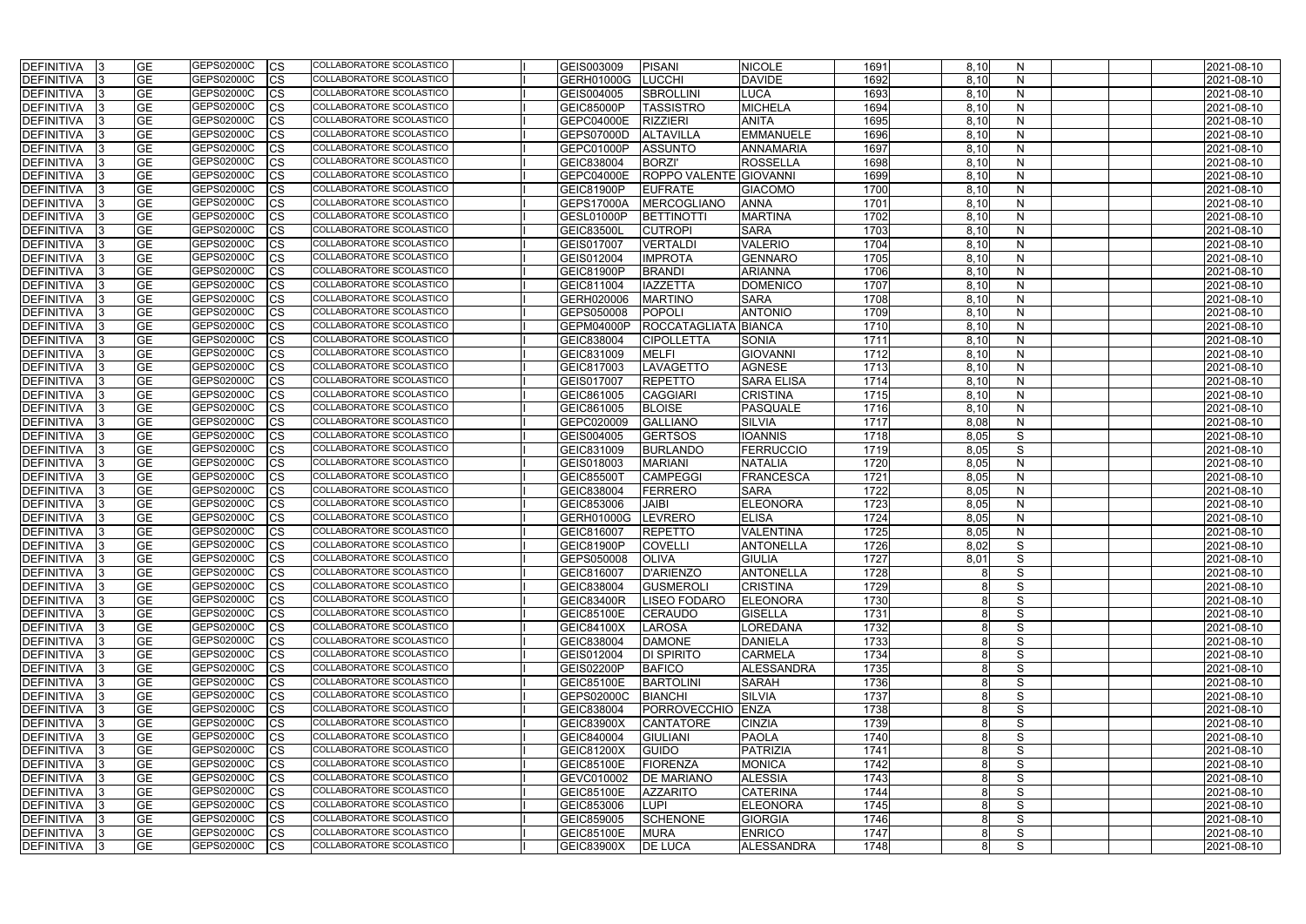| DEFINITIVA 3       |     | <b>GE</b>  | GEPS02000C | <b>CS</b>  | COLLABORATORE SCOLASTICO        | GEIS003009        | PISANI               | <b>NICOLE</b>     | 1691 | 8,10 | N            |  | 2021-08-10 |
|--------------------|-----|------------|------------|------------|---------------------------------|-------------------|----------------------|-------------------|------|------|--------------|--|------------|
| DEFINITIVA         |     | <b>GE</b>  | GEPS02000C | <b>CS</b>  | COLLABORATORE SCOLASTICO        | GERH01000G        | <b>LUCCHI</b>        | <b>DAVIDE</b>     | 1692 | 8,10 | N            |  | 2021-08-10 |
| DEFINITIVA         |     | <b>GE</b>  | GEPS02000C | <b>CS</b>  | COLLABORATORE SCOLASTICO        | GEIS004005        | <b>SBROLLINI</b>     | <b>LUCA</b>       | 1693 | 8,10 | N            |  | 2021-08-10 |
| DEFINITIVA         |     | <b>GE</b>  | GEPS02000C | <b>CS</b>  | COLLABORATORE SCOLASTICO        | <b>GEIC85000P</b> | <b>TASSISTRO</b>     | <b>MICHELA</b>    | 1694 | 8,10 | N            |  | 2021-08-10 |
| DEFINITIVA         |     | <b>GE</b>  | GEPS02000C | <b>CS</b>  | COLLABORATORE SCOLASTICO        | GEPC04000E        | <b>RIZZIERI</b>      | <b>ANITA</b>      | 1695 | 8,10 | N            |  | 2021-08-10 |
| DEFINITIVA         |     | <b>GE</b>  | GEPS02000C | <b>CS</b>  | COLLABORATORE SCOLASTICO        | GEPS07000D        | <b>ALTAVILLA</b>     | <b>EMMANUELE</b>  | 1696 | 8,10 | N            |  | 2021-08-10 |
| DEFINITIVA         |     | <b>GE</b>  | GEPS02000C | <b>CS</b>  | COLLABORATORE SCOLASTICO        | GEPC01000P        | <b>ASSUNTO</b>       | <b>ANNAMARIA</b>  | 1697 | 8,10 | N            |  | 2021-08-10 |
| <b>DEFINITIVA</b>  |     | <b>GE</b>  | GEPS02000C | <b>CS</b>  | COLLABORATORE SCOLASTICO        | GEIC838004        | <b>BORZI'</b>        | <b>ROSSELLA</b>   | 1698 | 8,10 | N            |  | 2021-08-10 |
| <b>DEFINITIVA</b>  |     | <b>GE</b>  | GEPS02000C | <b>CS</b>  | COLLABORATORE SCOLASTICO        | <b>GEPC04000E</b> | <b>ROPPO VALENTE</b> | GIOVANNI          | 1699 | 8,10 | N            |  | 2021-08-10 |
| <b>DEFINITIVA</b>  |     | <b>GE</b>  | GEPS02000C | <b>CS</b>  | COLLABORATORE SCOLASTICO        | <b>GEIC81900P</b> | <b>EUFRATE</b>       | <b>GIACOMO</b>    | 1700 | 8,10 | N            |  | 2021-08-10 |
| <b>DEFINITIVA</b>  |     | <b>GE</b>  | GEPS02000C | <b>CS</b>  | COLLABORATORE SCOLASTICO        | <b>GEPS17000A</b> | <b>MERCOGLIANO</b>   | <b>ANNA</b>       | 1701 | 8,10 | N            |  | 2021-08-10 |
| DEFINITIVA         |     | <b>GE</b>  | GEPS02000C | <b>CS</b>  | COLLABORATORE SCOLASTICO        | <b>GESL01000P</b> | BETTINOTTI           | <b>MARTINA</b>    | 1702 | 8,10 | N            |  | 2021-08-10 |
| DEFINITIVA         |     | <b>GE</b>  | GEPS02000C | <b>CS</b>  | COLLABORATORE SCOLASTICO        | <b>GEIC83500L</b> | <b>CUTROPI</b>       | <b>SARA</b>       | 1703 | 8,10 | N            |  | 2021-08-10 |
| <b>DEFINITIVA</b>  |     | <b>GE</b>  | GEPS02000C | <b>CS</b>  | COLLABORATORE SCOLASTICO        | GEIS017007        | VERTALDI             | <b>VALERIO</b>    | 1704 | 8,10 | $\mathsf{N}$ |  | 2021-08-10 |
| DEFINITIVA         |     | <b>GE</b>  | GEPS02000C | <b>CS</b>  | COLLABORATORE SCOLASTICO        | GEIS012004        | <b>IMPROTA</b>       | <b>GENNARO</b>    | 1705 | 8,10 | N            |  | 2021-08-10 |
| DEFINITIVA         |     | <b>GE</b>  | GEPS02000C | <b>CS</b>  | COLLABORATORE SCOLASTICO        | GEIC81900P        | <b>BRANDI</b>        | <b>ARIANNA</b>    | 1706 | 8,10 | N            |  | 2021-08-10 |
| DEFINITIVA         |     | <b>GE</b>  | GEPS02000C | <b>CS</b>  | COLLABORATORE SCOLASTICO        | GEIC811004        | <b>IAZZETTA</b>      | <b>DOMENICO</b>   | 1707 | 8,10 | $\mathsf{N}$ |  | 2021-08-10 |
| <b>DEFINITIVA</b>  |     | <b>IGE</b> | GEPS02000C | <b>CS</b>  | COLLABORATORE SCOLASTICO        | GERH020006        | <b>MARTINO</b>       | <b>SARA</b>       | 1708 | 8,10 | N            |  | 2021-08-10 |
| <b>DEFINITIVA</b>  |     | <b>GE</b>  | GEPS02000C | <b>CS</b>  | COLLABORATORE SCOLASTICO        | GEPS050008        | POPOLI               | <b>ANTONIO</b>    | 1709 | 8,10 | N            |  | 2021-08-10 |
| <b>DEFINITIVA</b>  |     | <b>GE</b>  | GEPS02000C | <b>CS</b>  | COLLABORATORE SCOLASTICO        | GEPM04000P        | ROCCATAGLIATA        | BIANCA            | 1710 | 8,10 | $\mathsf{N}$ |  | 2021-08-10 |
| <b>DEFINITIVA</b>  |     | <b>GE</b>  | GEPS02000C | <b>CS</b>  | COLLABORATORE SCOLASTICO        | GEIC838004        | <b>CIPOLLETTA</b>    | <b>SONIA</b>      | 1711 | 8,10 | N            |  | 2021-08-10 |
| <b>DEFINITIVA</b>  |     | <b>GE</b>  | GEPS02000C | <b>CS</b>  | <b>COLLABORATORE SCOLASTICO</b> | GEIC831009        | <b>MELFI</b>         | <b>GIOVANNI</b>   | 1712 | 8,10 | N            |  | 2021-08-10 |
| <b>DEFINITIVA</b>  |     | <b>GE</b>  | GEPS02000C | <b>CS</b>  | COLLABORATORE SCOLASTICO        | GEIC817003        | <b>LAVAGETTO</b>     | <b>AGNESE</b>     | 1713 | 8,10 | N            |  | 2021-08-10 |
| <b>DEFINITIVA</b>  |     | <b>GE</b>  | GEPS02000C | <b>CS</b>  | COLLABORATORE SCOLASTICO        | GEIS017007        | <b>REPETTO</b>       | <b>SARA ELISA</b> | 1714 | 8,10 | $\mathsf{N}$ |  | 2021-08-10 |
| DEFINITIVA         |     | <b>GE</b>  | GEPS02000C | <b>CS</b>  | COLLABORATORE SCOLASTICO        | GEIC861005        | <b>CAGGIARI</b>      | <b>CRISTINA</b>   | 1715 | 8,10 | N            |  | 2021-08-10 |
| <b>DEFINITIVA</b>  |     | <b>GE</b>  | GEPS02000C | <b>CS</b>  | COLLABORATORE SCOLASTICO        | GEIC861005        | <b>BLOISE</b>        | <b>PASQUALE</b>   | 1716 | 8,10 | $\mathsf{N}$ |  | 2021-08-10 |
| DEFINITIVA         |     | <b>GE</b>  | GEPS02000C | <b>CS</b>  | COLLABORATORE SCOLASTICO        | GEPC020009        | <b>GALLIANO</b>      | <b>SILVIA</b>     | 1717 | 8,08 | $\mathsf{N}$ |  | 2021-08-10 |
| DEFINITIVA         |     | <b>GE</b>  | GEPS02000C | <b>CS</b>  | COLLABORATORE SCOLASTICO        | GEIS004005        | <b>GERTSOS</b>       | <b>IOANNIS</b>    | 1718 | 8,05 | S            |  | 2021-08-10 |
| DEFINITIVA         |     | <b>GE</b>  | GEPS02000C | <b>CS</b>  | COLLABORATORE SCOLASTICO        | GEIC831009        | <b>BURLANDO</b>      | <b>FERRUCCIO</b>  | 1719 | 8,05 | S            |  | 2021-08-10 |
| <b>DEFINITIVA</b>  |     | <b>GE</b>  | GEPS02000C | <b>CS</b>  | COLLABORATORE SCOLASTICO        | GEIS018003        | <b>MARIANI</b>       | <b>NATALIA</b>    | 1720 | 8,05 | $\mathsf{N}$ |  | 2021-08-10 |
| DEFINITIVA         |     | <b>GE</b>  | GEPS02000C | <b>CS</b>  | COLLABORATORE SCOLASTICO        | <b>GEIC85500T</b> | <b>CAMPEGGI</b>      | <b>FRANCESCA</b>  | 1721 | 8,05 | N            |  | 2021-08-10 |
| <b>DEFINITIVA</b>  |     | <b>GE</b>  | GEPS02000C | <b>CS</b>  | <b>COLLABORATORE SCOLASTICO</b> | GEIC838004        | FERRERO              | <b>SARA</b>       | 1722 | 8,05 | $\mathsf{N}$ |  | 2021-08-10 |
| <b>DEFINITIVA</b>  |     | <b>GE</b>  | GEPS02000C | <b>CS</b>  | <b>COLLABORATORE SCOLASTICO</b> | GEIC853006        | <b>JAIBI</b>         | <b>ELEONORA</b>   | 1723 | 8,05 | $\mathsf{N}$ |  | 2021-08-10 |
| <b>DEFINITIVA</b>  |     | <b>GE</b>  | GEPS02000C | <b>CS</b>  | <b>COLLABORATORE SCOLASTICO</b> | GERH01000G        | <b>LEVRERO</b>       | <b>ELISA</b>      | 1724 | 8,05 | N            |  | 2021-08-10 |
| DEFINITIVA         |     | <b>GE</b>  | GEPS02000C | <b>CS</b>  | COLLABORATORE SCOLASTICO        | GEIC816007        | <b>REPETTO</b>       | <b>VALENTINA</b>  | 1725 | 8,05 | N            |  | 2021-08-10 |
| <b>DEFINITIVA</b>  |     | <b>IGE</b> | GEPS02000C | <b>CS</b>  | COLLABORATORE SCOLASTICO        | GEIC81900P        | <b>COVELLI</b>       | <b>ANTONELLA</b>  | 1726 | 8.02 | S            |  | 2021-08-10 |
| DEFINITIVA 3       |     | <b>GE</b>  | GEPS02000C | <b>CS</b>  | COLLABORATORE SCOLASTICO        | GEPS050008        | <b>OLIVA</b>         | <b>GIULIA</b>     | 1727 | 8,01 | S            |  | 2021-08-10 |
| DEFINITIVA 3       |     | <b>GE</b>  | GEPS02000C | <b>CS</b>  | COLLABORATORE SCOLASTICO        | GEIC816007        | D'ARIENZO            | <b>ANTONELLA</b>  | 1728 |      | S            |  | 2021-08-10 |
| DEFINITIVA 3       |     | <b>GE</b>  | GEPS02000C | <b>CS</b>  | COLLABORATORE SCOLASTICO        | GEIC838004        | <b>GUSMEROLI</b>     | <b>CRISTINA</b>   | 1729 |      | S            |  | 2021-08-10 |
| DEFINITIVA         |     | <b>GE</b>  | GEPS02000C | <b>CS</b>  | COLLABORATORE SCOLASTICO        | GEIC83400R        | <b>LISEO FODARO</b>  | <b>ELEONORA</b>   | 1730 |      | S            |  | 2021-08-10 |
| DEFINITIVA 3       |     | <b>GE</b>  | GEPS02000C | <b>CS</b>  | COLLABORATORE SCOLASTICO        | <b>GEIC85100E</b> | <b>CERAUDO</b>       | <b>GISELLA</b>    | 1731 |      | S            |  | 2021-08-10 |
| DEFINITIVA<br>- 13 |     | <b>GE</b>  | GEPS02000C | <b>CS</b>  | COLLABORATORE SCOLASTICO        | <b>GEIC84100X</b> | <b>LAROSA</b>        | <b>LOREDANA</b>   | 1732 |      | S            |  | 2021-08-10 |
| DEFINITIVA         |     | <b>GE</b>  | GEPS02000C | <b>CS</b>  | COLLABORATORE SCOLASTICO        | GEIC838004        | <b>DAMONE</b>        | <b>DANIELA</b>    | 1733 |      | S            |  | 2021-08-10 |
| DEFINITIVA         | -13 | <b>GE</b>  | GEPS02000C | <b>CS</b>  | COLLABORATORE SCOLASTICO        | GEIS012004        | <b>DI SPIRITO</b>    | <b>CARMELA</b>    | 1734 |      | S            |  | 2021-08-10 |
| DEFINITIVA         |     | <b>GE</b>  | GEPS02000C | <b>CS</b>  | COLLABORATORE SCOLASTICO        | GEIS02200P        | <b>BAFICO</b>        | <b>ALESSANDRA</b> | 1735 |      | S            |  | 2021-08-10 |
| DEFINITIVA         |     | <b>GE</b>  | GEPS02000C | <b>CS</b>  | COLLABORATORE SCOLASTICO        | <b>GEIC85100E</b> | BARTOLINI            | <b>SARAH</b>      | 1736 |      | S            |  | 2021-08-10 |
| <b>DEFINITIVA</b>  |     | <b>GE</b>  | GEPS02000C | <b>CS</b>  | COLLABORATORE SCOLASTICO        | GEPS02000C        | <b>BIANCHI</b>       | <b>SILVIA</b>     | 1737 |      | S            |  | 2021-08-10 |
| DEFINITIVA         |     | <b>GE</b>  | GEPS02000C | <b>CS</b>  | COLLABORATORE SCOLASTICO        | GEIC838004        | PORROVECCHIO         | ENZA              | 1738 |      | S            |  | 2021-08-10 |
| DEFINITIVA         |     | <b>GE</b>  | GEPS02000C | <b>CS</b>  | COLLABORATORE SCOLASTICO        | <b>GEIC83900X</b> | <b>CANTATORE</b>     | <b>CINZIA</b>     | 1739 |      | S            |  | 2021-08-10 |
| DEFINITIVA  3      |     | <b>GE</b>  | GEPS02000C | <b>CS</b>  | COLLABORATORE SCOLASTICO        | GEIC840004        | <b>GIULIANI</b>      | <b>PAOLA</b>      | 1740 |      | S            |  | 2021-08-10 |
| DEFINITIVA  3      |     | <b>GE</b>  | GEPS02000C | <b>CS</b>  | COLLABORATORE SCOLASTICO        | <b>GEIC81200X</b> | GUIDO                | <b>PATRIZIA</b>   | 1741 |      | S            |  | 2021-08-10 |
| DEFINITIVA         |     | <b>GE</b>  | GEPS02000C | <b>CS</b>  | COLLABORATORE SCOLASTICO        | GEIC85100E        | <b>FIORENZA</b>      | <b>MONICA</b>     | 1742 |      | S            |  | 2021-08-10 |
| DEFINITIVA         |     | <b>GE</b>  | GEPS02000C | <b>CS</b>  | COLLABORATORE SCOLASTICO        | GEVC010002        | <b>DE MARIANO</b>    | <b>ALESSIA</b>    | 1743 |      | S            |  | 2021-08-10 |
| DEFINITIVA 3       |     | <b>GE</b>  | GEPS02000C | <b>CS</b>  | COLLABORATORE SCOLASTICO        | <b>GEIC85100E</b> | <b>AZZARITO</b>      | <b>CATERINA</b>   | 1744 |      | S            |  | 2021-08-10 |
| DEFINITIVA         |     | <b>GE</b>  | GEPS02000C | <b>CS</b>  | COLLABORATORE SCOLASTICO        | GEIC853006        | <b>LUPI</b>          | <b>ELEONORA</b>   | 1745 |      | S            |  | 2021-08-10 |
| DEFINITIVA 3       |     | <b>GE</b>  | GEPS02000C | <b>CS</b>  | COLLABORATORE SCOLASTICO        | GEIC859005        | <b>SCHENONE</b>      | <b>GIORGIA</b>    | 1746 |      | S            |  | 2021-08-10 |
| DEFINITIVA  3      |     | <b>GE</b>  | GEPS02000C | <b>ICS</b> | COLLABORATORE SCOLASTICO        | <b>GEIC85100E</b> | <b>MURA</b>          | <b>ENRICO</b>     | 1747 | я    | S            |  | 2021-08-10 |
| DEFINITIVA 3       |     | <b>GE</b>  | GEPS02000C | <b>CS</b>  | COLLABORATORE SCOLASTICO        | <b>GEIC83900X</b> | <b>DE LUCA</b>       | <b>ALESSANDRA</b> | 1748 | 8    | S            |  | 2021-08-10 |
|                    |     |            |            |            |                                 |                   |                      |                   |      |      |              |  |            |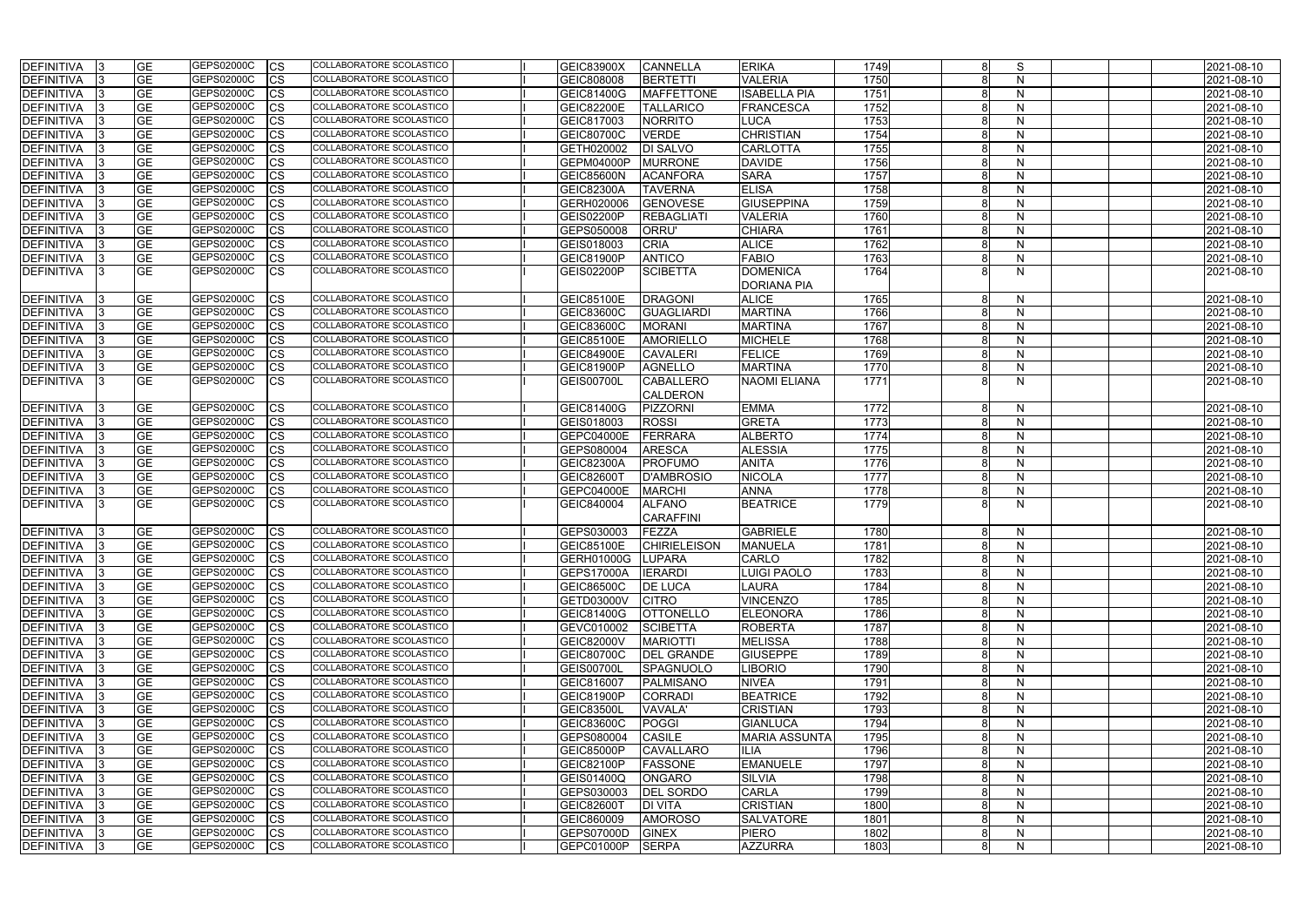| <b>DEFINITIVA</b> | <b>GE</b> | GEPS02000C | <b>ICS</b> | COLLABORATORE SCOLASTICO        | GEIC83900X        | <b>CANNELLA</b>                     | <b>ERIKA</b>                          | 1749 |   | S            |  | 2021-08-10 |
|-------------------|-----------|------------|------------|---------------------------------|-------------------|-------------------------------------|---------------------------------------|------|---|--------------|--|------------|
| <b>DEFINITIVA</b> | <b>GE</b> | GEPS02000C | <b>CS</b>  | COLLABORATORE SCOLASTICO        | GEIC808008        | <b>BERTETTI</b>                     | <b>VALERIA</b>                        | 1750 |   | N            |  | 2021-08-10 |
| <b>DEFINITIVA</b> | GЕ        | GEPS02000C | <b>CS</b>  | COLLABORATORE SCOLASTICO        | GEIC81400G        | <b>MAFFETTONE</b>                   | <b>ISABELLA PIA</b>                   | 1751 |   | N            |  | 2021-08-10 |
| <b>DEFINITIVA</b> | GЕ        | GEPS02000C | CS         | <b>COLLABORATORE SCOLASTICO</b> | <b>GEIC82200E</b> | <b>TALLARICO</b>                    | <b>FRANCESCA</b>                      | 1752 |   | N            |  | 2021-08-10 |
| <b>DEFINITIVA</b> | GЕ        | GEPS02000C | <b>CS</b>  | COLLABORATORE SCOLASTICO        | GEIC817003        | NORRITO                             | <b>LUCA</b>                           | 1753 |   | N            |  | 2021-08-10 |
| DEFINITIVA        | GE        | GEPS02000C | CS         | COLLABORATORE SCOLASTICO        | <b>GEIC80700C</b> | <b>VERDE</b>                        | <b>CHRISTIAN</b>                      | 1754 |   | N            |  | 2021-08-10 |
| DEFINITIVA        | <b>GE</b> | GEPS02000C | <b>CS</b>  | COLLABORATORE SCOLASTICO        | GETH020002        | <b>DI SALVO</b>                     | <b>CARLOTTA</b>                       | 1755 |   | N            |  | 2021-08-10 |
| <b>DEFINITIVA</b> | <b>GE</b> | GEPS02000C | <b>CS</b>  | COLLABORATORE SCOLASTICO        | <b>GEPM04000P</b> | <b>MURRONE</b>                      | <b>DAVIDE</b>                         | 1756 |   | N            |  | 2021-08-10 |
| <b>DEFINITIVA</b> | <b>GE</b> | GEPS02000C | CS         | COLLABORATORE SCOLASTICO        | <b>GEIC85600N</b> | <b>ACANFORA</b>                     | <b>SARA</b>                           | 1757 |   | N            |  | 2021-08-10 |
| <b>DEFINITIVA</b> | <b>GE</b> | GEPS02000C | <b>CS</b>  | <b>COLLABORATORE SCOLASTICO</b> | GEIC82300A        | <b>TAVERNA</b>                      | <b>ELISA</b>                          | 1758 |   | N            |  | 2021-08-10 |
| <b>DEFINITIVA</b> | GЕ        | GEPS02000C | CS         | COLLABORATORE SCOLASTICO        | GERH020006        | <b>GENOVESE</b>                     | <b>GIUSEPPINA</b>                     | 1759 |   | N            |  | 2021-08-10 |
| <b>DEFINITIVA</b> | GE        | GEPS02000C | CS         | COLLABORATORE SCOLASTICO        | <b>GEIS02200P</b> | <b>REBAGLIATI</b>                   | <b>VALERIA</b>                        | 1760 |   | N            |  | 2021-08-10 |
| <b>DEFINITIVA</b> | GE        | GEPS02000C | <b>CS</b>  | COLLABORATORE SCOLASTICO        | GEPS050008        | <b>ORRU</b>                         | <b>CHIARA</b>                         | 1761 |   | N            |  | 2021-08-10 |
| <b>DEFINITIVA</b> | GЕ        | GEPS02000C | CS         | COLLABORATORE SCOLASTICO        | GEIS018003        | <b>CRIA</b>                         | <b>ALICE</b>                          | 1762 |   | N            |  | 2021-08-10 |
| <b>DEFINITIVA</b> | GE        | GEPS02000C | CS         | COLLABORATORE SCOLASTICO        | GEIC81900P        | <b>ANTICO</b>                       | <b>FABIO</b>                          | 1763 |   | N            |  | 2021-08-10 |
| <b>DEFINITIVA</b> | GE        | GEPS02000C | <b>CS</b>  | COLLABORATORE SCOLASTICO        | GEIS02200P        | <b>SCIBETTA</b>                     | <b>DOMENICA</b><br><b>DORIANA PIA</b> | 1764 |   | N            |  | 2021-08-10 |
| <b>DEFINITIVA</b> | GЕ        | GEPS02000C | CS         | COLLABORATORE SCOLASTICO        | <b>GEIC85100E</b> | <b>DRAGONI</b>                      | <b>ALICE</b>                          | 1765 |   | N            |  | 2021-08-10 |
| <b>DEFINITIVA</b> | <b>GE</b> | GEPS02000C | <b>CS</b>  | <b>COLLABORATORE SCOLASTICO</b> | <b>GEIC83600C</b> | <b>GUAGLIARDI</b>                   | <b>MARTINA</b>                        | 1766 | я | N            |  | 2021-08-10 |
| DEFINITIVA        | GЕ        | GEPS02000C | <b>CS</b>  | COLLABORATORE SCOLASTICO        | GEIC83600C        | <b>MORANI</b>                       | <b>MARTINA</b>                        | 1767 |   | N            |  | 2021-08-10 |
| <b>DEFINITIVA</b> | GЕ        | GEPS02000C | <b>CS</b>  | COLLABORATORE SCOLASTICO        | <b>GEIC85100E</b> | <b>AMORIELLO</b>                    | <b>MICHELE</b>                        | 1768 |   | N            |  | 2021-08-10 |
| <b>DEFINITIVA</b> | <b>GE</b> | GEPS02000C | <b>CS</b>  | COLLABORATORE SCOLASTICO        | <b>GEIC84900E</b> | <b>CAVALERI</b>                     | <b>FELICE</b>                         | 1769 |   | N            |  | 2021-08-10 |
| <b>DEFINITIVA</b> | GЕ        | GEPS02000C | <b>CS</b>  | COLLABORATORE SCOLASTICO        | <b>GEIC81900P</b> | <b>AGNELLO</b>                      | <b>MARTINA</b>                        | 1770 |   | N            |  | 2021-08-10 |
| DEFINITIVA        | GE        | GEPS02000C | <b>CS</b>  | COLLABORATORE SCOLASTICO        | GEIS00700L        | <b>CABALLERO</b><br><b>CALDERON</b> | <b>NAOMI ELIANA</b>                   | 1771 |   | N            |  | 2021-08-10 |
| <b>DEFINITIVA</b> | <b>GE</b> | GEPS02000C | <b>ICS</b> | COLLABORATORE SCOLASTICO        | GEIC81400G        | PIZZORNI                            | <b>EMMA</b>                           | 1772 |   | N            |  | 2021-08-10 |
| <b>DEFINITIVA</b> | GE        | GEPS02000C | CS         | COLLABORATORE SCOLASTICO        | GEIS018003        | <b>ROSSI</b>                        | <b>GRETA</b>                          | 1773 |   | N            |  | 2021-08-10 |
| <b>DEFINITIVA</b> | GЕ        | GEPS02000C | CS         | COLLABORATORE SCOLASTICO        | <b>GEPC04000E</b> | FERRARA                             | <b>ALBERTO</b>                        | 1774 |   | N            |  | 2021-08-10 |
| <b>DEFINITIVA</b> | GЕ        | GEPS02000C | <b>CS</b>  | COLLABORATORE SCOLASTICO        | GEPS080004        | <b>ARESCA</b>                       | <b>ALESSIA</b>                        | 1775 |   | N            |  | 2021-08-10 |
| <b>DEFINITIVA</b> | GЕ        | GEPS02000C | <b>CS</b>  | COLLABORATORE SCOLASTICO        | <b>GEIC82300A</b> | <b>PROFUMO</b>                      | <b>ANITA</b>                          | 1776 |   | N            |  | 2021-08-10 |
| <b>DEFINITIVA</b> | GЕ        | GEPS02000C | <b>CS</b>  | COLLABORATORE SCOLASTICO        | <b>GEIC82600T</b> | D'AMBROSIO                          | <b>NICOLA</b>                         | 1777 |   | N            |  | 2021-08-10 |
| DEFINITIVA        | GЕ        | GEPS02000C | <b>CS</b>  | COLLABORATORE SCOLASTICO        | GEPC04000E        | <b>MARCHI</b>                       | <b>ANNA</b>                           | 1778 |   | N            |  | 2021-08-10 |
| DEFINITIVA        | <b>GE</b> | GEPS02000C | <b>CS</b>  | COLLABORATORE SCOLASTICO        | GEIC840004        | <b>ALFANO</b><br><b>CARAFFINI</b>   | <b>BEATRICE</b>                       | 1779 |   | N            |  | 2021-08-10 |
| <b>DEFINITIVA</b> | <b>GE</b> | GEPS02000C | <b>ICS</b> | COLLABORATORE SCOLASTICO        | GEPS030003        | FEZZA                               | <b>GABRIELE</b>                       | 1780 |   | N            |  | 2021-08-10 |
| <b>DEFINITIVA</b> | GЕ        | GEPS02000C | Ics        | COLLABORATORE SCOLASTICO        | GEIC85100E        | <b>CHIRIELEISON</b>                 | MANUELA                               | 1781 |   | N            |  | 2021-08-10 |
| DEFINITIVA 3      | <b>GE</b> | GEPS02000C | <b>CS</b>  | COLLABORATORE SCOLASTICO        | GERH01000G LUPARA |                                     | <b>CARLO</b>                          | 1782 |   | N            |  | 2021-08-10 |
| DEFINITIVA 3      | <b>GE</b> | GEPS02000C | <b>CS</b>  | COLLABORATORE SCOLASTICO        | <b>GEPS17000A</b> | <b>IERARDI</b>                      | LUIGI PAOLO                           | 1783 |   | N            |  | 2021-08-10 |
| DEFINITIVA        | <b>GE</b> | GEPS02000C | <b>CS</b>  | COLLABORATORE SCOLASTICO        | <b>GEIC86500C</b> | <b>DE LUCA</b>                      | <b>LAURA</b>                          | 1784 |   | N            |  | 2021-08-10 |
| DEFINITIVA        | GЕ        | GEPS02000C | <b>ICS</b> | COLLABORATORE SCOLASTICO        | <b>GETD03000V</b> | <b>CITRO</b>                        | <b>VINCENZO</b>                       | 1785 |   | N            |  | 2021-08-10 |
| <b>DEFINITIVA</b> | GЕ        | GEPS02000C | <b>ICS</b> | COLLABORATORE SCOLASTICO        | GEIC81400G        | <b>OTTONELLO</b>                    | <b>ELEONORA</b>                       | 1786 |   | $\mathsf{N}$ |  | 2021-08-10 |
| <b>DEFINITIVA</b> | GЕ        | GEPS02000C | <b>CS</b>  | COLLABORATORE SCOLASTICO        | GEVC010002        | <b>SCIBETTA</b>                     | <b>ROBERTA</b>                        | 1787 |   | N            |  | 2021-08-10 |
| <b>DEFINITIVA</b> | GЕ        | GEPS02000C | <b>CS</b>  | COLLABORATORE SCOLASTICO        | <b>GEIC82000V</b> | <b>MARIOTTI</b>                     | <b>MELISSA</b>                        | 1788 |   | N            |  | 2021-08-10 |
| <b>DEFINITIVA</b> | <b>GE</b> | GEPS02000C | <b>CS</b>  | COLLABORATORE SCOLASTICO        | <b>GEIC80700C</b> | <b>DEL GRANDE</b>                   | <b>GIUSEPPE</b>                       | 1789 |   | N            |  | 2021-08-10 |
| <b>DEFINITIVA</b> | <b>GE</b> | GEPS02000C | <b>CS</b>  | COLLABORATORE SCOLASTICO        | GEIS00700L        | SPAGNUOLO                           | <b>LIBORIO</b>                        | 1790 |   | N            |  | 2021-08-10 |
| <b>DEFINITIVA</b> | <b>GE</b> | GEPS02000C | <b>ICS</b> | COLLABORATORE SCOLASTICO        | GEIC816007        | PALMISANO                           | <b>NIVEA</b>                          | 1791 |   | N            |  | 2021-08-10 |
| <b>DEFINITIVA</b> | <b>GE</b> | GEPS02000C | <b>CS</b>  | COLLABORATORE SCOLASTICO        | GEIC81900P        | <b>CORRADI</b>                      | <b>BEATRICE</b>                       | 1792 |   | $\mathsf{N}$ |  | 2021-08-10 |
| <b>DEFINITIVA</b> | GE        | GEPS02000C | <b>ICS</b> | COLLABORATORE SCOLASTICO        | <b>GEIC83500L</b> | VAVALA'                             | <b>CRISTIAN</b>                       | 1793 |   | N            |  | 2021-08-10 |
| DEFINITIVA        | GE        | GEPS02000C | <b>CS</b>  | COLLABORATORE SCOLASTICO        | <b>GEIC83600C</b> | <b>POGGI</b>                        | <b>GIANLUCA</b>                       | 1794 |   | N            |  | 2021-08-10 |
| DEFINITIVA        | <b>GE</b> | GEPS02000C | <b>CS</b>  | COLLABORATORE SCOLASTICO        | GEPS080004        | <b>CASILE</b>                       | <b>MARIA ASSUNTA</b>                  | 1795 |   | $\mathsf{N}$ |  | 2021-08-10 |
| <b>DEFINITIVA</b> | <b>GE</b> | GEPS02000C | <b>CS</b>  | COLLABORATORE SCOLASTICO        | GEIC85000P        | <b>CAVALLARO</b>                    | ILIA                                  | 1796 |   | N            |  | 2021-08-10 |
| DEFINITIVA        | GЕ        | GEPS02000C | <b>CS</b>  | COLLABORATORE SCOLASTICO        | GEIC82100P        | <b>FASSONE</b>                      | <b>EMANUELE</b>                       | 1797 |   | N            |  | 2021-08-10 |
| <b>DEFINITIVA</b> | GЕ        | GEPS02000C | <b>ICS</b> | COLLABORATORE SCOLASTICO        | GEIS01400Q        | <b>ONGARO</b>                       | <b>SILVIA</b>                         | 1798 |   | N            |  | 2021-08-10 |
| <b>DEFINITIVA</b> | GE        | GEPS02000C | <b>ICS</b> | COLLABORATORE SCOLASTICO        | GEPS030003        | <b>DEL SORDO</b>                    | <b>CARLA</b>                          | 1799 |   | N            |  | 2021-08-10 |
| <b>DEFINITIVA</b> | GE        | GEPS02000C | CS         | COLLABORATORE SCOLASTICO        | <b>GEIC82600T</b> | <b>DI VITA</b>                      | <b>CRISTIAN</b>                       | 1800 |   | N            |  | 2021-08-10 |
| <b>DEFINITIVA</b> | <b>GE</b> | GEPS02000C | <b>CS</b>  | COLLABORATORE SCOLASTICO        | GEIC860009        | <b>AMOROSO</b>                      | <b>SALVATORE</b>                      | 1801 |   | N            |  | 2021-08-10 |
| <b>DEFINITIVA</b> | <b>GE</b> | GEPS02000C | <b>CS</b>  | COLLABORATORE SCOLASTICO        | GEPS07000D        | <b>GINEX</b>                        | <b>PIERO</b>                          | 1802 |   | N            |  | 2021-08-10 |
| <b>DEFINITIVA</b> | GE        | GEPS02000C | <b>CS</b>  | COLLABORATORE SCOLASTICO        | GEPC01000P        | <b>SERPA</b>                        | <b>AZZURRA</b>                        | 1803 |   | N            |  | 2021-08-10 |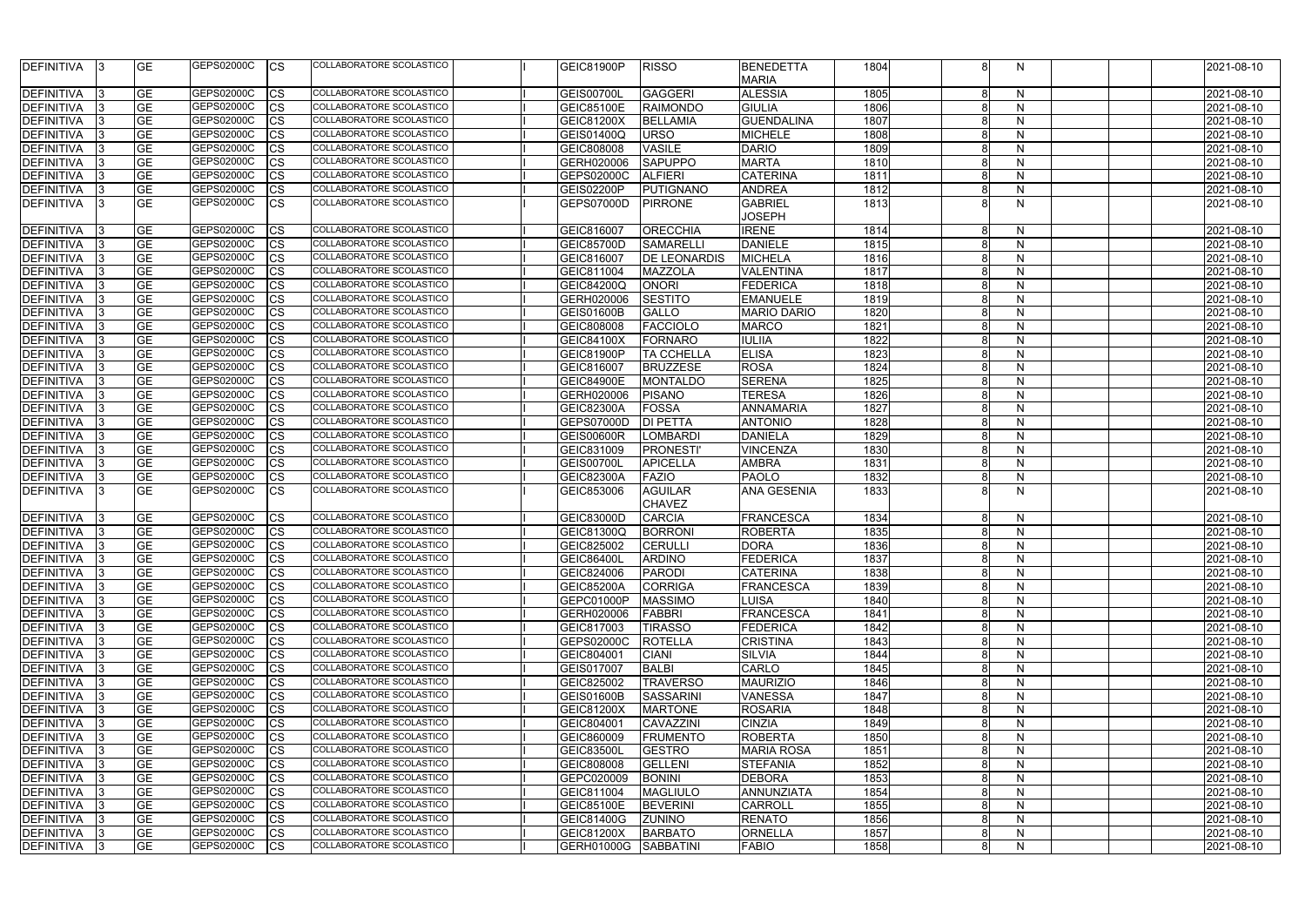| <b>DEFINITIVA</b> | <b>GE</b>                | GEPS02000C | <b>ICS</b> | COLLABORATORE SCOLASTICO        | GEIC81900P        | <b>RISSO</b>        | BENEDETTA          | 1804 |              | N  |  | 2021-08-10 |
|-------------------|--------------------------|------------|------------|---------------------------------|-------------------|---------------------|--------------------|------|--------------|----|--|------------|
|                   |                          |            |            |                                 |                   |                     | <b>MARIA</b>       |      |              |    |  |            |
| <b>DEFINITIVA</b> | GЕ                       | GEPS02000C | CS         | COLLABORATORE SCOLASTICO        | <b>GEIS00700L</b> | GAGGERI             | <b>ALESSIA</b>     | 1805 |              | N  |  | 2021-08-10 |
| <b>DEFINITIVA</b> | GЕ                       | GEPS02000C | CS         | COLLABORATORE SCOLASTICO        | <b>GEIC85100E</b> | <b>RAIMONDO</b>     | <b>GIULIA</b>      | 1806 |              | N  |  | 2021-08-10 |
| <b>DEFINITIVA</b> | GЕ                       | GEPS02000C | <b>CS</b>  | COLLABORATORE SCOLASTICO        | <b>GEIC81200X</b> | <b>BELLAMIA</b>     | GUENDALINA         | 1807 |              | N  |  | 2021-08-10 |
| DEFINITIVA        | GE                       | GEPS02000C | CS         | COLLABORATORE SCOLASTICO        | GEIS01400Q        | <b>URSO</b>         | <b>MICHELE</b>     | 1808 |              | N  |  | 2021-08-10 |
| DEFINITIVA        | GE                       | GEPS02000C | CS         | COLLABORATORE SCOLASTICO        | GEIC808008        | <b>VASILE</b>       | <b>DARIO</b>       | 1809 | R            | N  |  | 2021-08-10 |
| <b>DEFINITIVA</b> | <b>GE</b>                | GEPS02000C | <b>CS</b>  | COLLABORATORE SCOLASTICO        | GERH020006        | <b>SAPUPPO</b>      | <b>MARTA</b>       | 1810 | 8            | N  |  | 2021-08-10 |
| <b>DEFINITIVA</b> | GE                       | GEPS02000C | CS         | COLLABORATORE SCOLASTICO        | GEPS02000C        | <b>ALFIERI</b>      | <b>CATERINA</b>    | 1811 |              | N  |  | 2021-08-10 |
| DEFINITIVA        | GЕ                       | GEPS02000C | CS         | <b>COLLABORATORE SCOLASTICO</b> | <b>GEIS02200P</b> | PUTIGNANO           | <b>ANDREA</b>      | 1812 |              | N  |  | 2021-08-10 |
| DEFINITIVA        | $\overline{\mathsf{GE}}$ | GEPS02000C | <b>CS</b>  | COLLABORATORE SCOLASTICO        | GEPS07000D        | <b>PIRRONE</b>      | <b>GABRIEL</b>     | 1813 |              | N  |  | 2021-08-10 |
|                   |                          |            |            |                                 |                   |                     | <b>JOSEPH</b>      |      |              |    |  |            |
| <b>DEFINITIVA</b> | GE                       | GEPS02000C | <b>CS</b>  | COLLABORATORE SCOLASTICO        | GEIC816007        | <b>ORECCHIA</b>     | <b>IRENE</b>       | 1814 | 8            | N  |  | 2021-08-10 |
| <b>DEFINITIVA</b> | GE                       | GEPS02000C | CS         | COLLABORATORE SCOLASTICO        | <b>GEIC85700D</b> | <b>SAMARELLI</b>    | <b>DANIELE</b>     | 1815 | 8            | N  |  | 2021-08-10 |
| <b>DEFINITIVA</b> | GE                       | GEPS02000C | CS         | COLLABORATORE SCOLASTICO        | GEIC816007        | <b>DE LEONARDIS</b> | <b>MICHELA</b>     | 1816 | 8            | N  |  | 2021-08-10 |
| <b>DEFINITIVA</b> | GE                       | GEPS02000C | CS         | COLLABORATORE SCOLASTICO        | GEIC811004        | MAZZOLA             | VALENTINA          | 1817 | 8            | N  |  | 2021-08-10 |
| <b>DEFINITIVA</b> | GЕ                       | GEPS02000C | CS         | COLLABORATORE SCOLASTICO        | <b>GEIC84200Q</b> | <b>ONORI</b>        | FEDERICA           | 1818 | 8            | N  |  | 2021-08-10 |
| <b>DEFINITIVA</b> | GЕ                       | GEPS02000C | CS         | COLLABORATORE SCOLASTICO        | GERH020006        | <b>SESTITO</b>      | <b>EMANUELE</b>    | 1819 |              | N  |  | 2021-08-10 |
| <b>DEFINITIVA</b> | <b>GE</b>                | GEPS02000C | <b>CS</b>  | <b>COLLABORATORE SCOLASTICO</b> | <b>GEIS01600B</b> | <b>GALLO</b>        | <b>MARIO DARIO</b> | 1820 | 8            | N  |  | 2021-08-10 |
| DEFINITIVA        | GЕ                       | GEPS02000C | CS         | COLLABORATORE SCOLASTICO        | GEIC808008        | <b>FACCIOLO</b>     | <b>MARCO</b>       | 1821 | 8            | N  |  | 2021-08-10 |
| <b>DEFINITIVA</b> | GЕ                       | GEPS02000C | CS         | COLLABORATORE SCOLASTICO        | <b>GEIC84100X</b> | FORNARO             | <b>IULIIA</b>      | 1822 | 8            | N. |  | 2021-08-10 |
| <b>DEFINITIVA</b> | GЕ                       | GEPS02000C | CS         | COLLABORATORE SCOLASTICO        | <b>GEIC81900P</b> | <b>TA CCHELLA</b>   | <b>ELISA</b>       | 1823 | 8            | N  |  | 2021-08-10 |
| <b>DEFINITIVA</b> | GЕ                       | GEPS02000C | <b>CS</b>  | COLLABORATORE SCOLASTICO        | GEIC816007        | <b>BRUZZESE</b>     | <b>ROSA</b>        | 1824 |              | N  |  | 2021-08-10 |
| <b>DEFINITIVA</b> | GЕ                       | GEPS02000C | CS         | COLLABORATORE SCOLASTICO        | <b>GEIC84900E</b> | <b>MONTALDO</b>     | <b>SERENA</b>      | 1825 |              | N  |  | 2021-08-10 |
| <b>DEFINITIVA</b> | <b>GE</b>                | GEPS02000C | <b>CS</b>  | COLLABORATORE SCOLASTICO        | GERH020006        | <b>PISANO</b>       | <b>TERESA</b>      | 1826 | R            | N  |  | 2021-08-10 |
| <b>DEFINITIVA</b> | GE                       | GEPS02000C | CS         | COLLABORATORE SCOLASTICO        | <b>GEIC82300A</b> | <b>FOSSA</b>        | <b>ANNAMARIA</b>   | 1827 | 8            | N  |  | 2021-08-10 |
| <b>DEFINITIVA</b> | GE                       | GEPS02000C | CS         | COLLABORATORE SCOLASTICO        | <b>GEPS07000D</b> | <b>DI PETTA</b>     | <b>ANTONIO</b>     | 1828 |              | N  |  | 2021-08-10 |
| <b>DEFINITIVA</b> | GE                       | GEPS02000C | CS         | COLLABORATORE SCOLASTICO        | GEIS00600R        | <b>LOMBARDI</b>     | DANIELA            | 1829 |              | N  |  | 2021-08-10 |
| <b>DEFINITIVA</b> | GE                       | GEPS02000C | <b>CS</b>  | COLLABORATORE SCOLASTICO        | GEIC831009        | <b>PRONESTI'</b>    | <b>VINCENZA</b>    | 1830 |              | N  |  | 2021-08-10 |
| <b>DEFINITIVA</b> | GЕ                       | GEPS02000C | <b>CS</b>  | COLLABORATORE SCOLASTICO        | <b>GEIS00700L</b> | <b>APICELLA</b>     | <b>AMBRA</b>       | 1831 |              | N  |  | 2021-08-10 |
| <b>DEFINITIVA</b> | $\overline{\mathsf{GE}}$ | GEPS02000C | CS         | COLLABORATORE SCOLASTICO        | <b>GEIC82300A</b> | FAZIO               | <b>PAOLO</b>       | 1832 | я            | N  |  | 2021-08-10 |
| DEFINITIVA        | <b>GE</b>                | GEPS02000C | <b>CS</b>  | COLLABORATORE SCOLASTICO        | GEIC853006        | <b>AGUILAR</b>      | <b>ANA GESENIA</b> | 1833 |              | N  |  | 2021-08-10 |
|                   |                          |            |            |                                 |                   | <b>CHAVEZ</b>       |                    |      |              |    |  |            |
| <b>DEFINITIVA</b> | GE                       | GEPS02000C | <b>CS</b>  | COLLABORATORE SCOLASTICO        | <b>GEIC83000D</b> | <b>CARCIA</b>       | FRANCESCA          | 1834 |              | N  |  | 2021-08-10 |
| <b>DEFINITIVA</b> | GE                       | GEPS02000C | <b>CS</b>  | COLLABORATORE SCOLASTICO        | GEIC81300Q        | <b>BORRON</b>       | <b>ROBERTA</b>     | 1835 |              | N  |  | 2021-08-10 |
| DEFINITIVA        | GE                       | GEPS02000C | <b>CS</b>  | COLLABORATORE SCOLASTICO        | GEIC825002        | <b>CERULLI</b>      | <b>DORA</b>        | 1836 |              | N  |  | 2021-08-10 |
| DEFINITIVA 3      | <b>GE</b>                | GEPS02000C | <b>CS</b>  | COLLABORATORE SCOLASTICO        | <b>GEIC86400L</b> | <b>ARDINO</b>       | FEDERICA           | 1837 | 8            | N  |  | 2021-08-10 |
| DEFINITIVA 3      | <b>GE</b>                | GEPS02000C | <b>CS</b>  | COLLABORATORE SCOLASTICO        | GEIC824006        | PARODI              | <b>CATERINA</b>    | 1838 | $\mathsf{R}$ | N  |  | 2021-08-10 |
| <b>DEFINITIVA</b> | <b>GE</b>                | GEPS02000C | <b>ICS</b> | COLLABORATORE SCOLASTICO        | <b>GEIC85200A</b> | <b>CORRIGA</b>      | <b>FRANCESCA</b>   | 1839 | 8            | N  |  | 2021-08-10 |
| <b>DEFINITIVA</b> | GЕ                       | GEPS02000C | ICS        | COLLABORATORE SCOLASTICO        | GEPC01000P        | <b>MASSIMO</b>      | <b>LUISA</b>       | 1840 |              | N  |  | 2021-08-10 |
| <b>DEFINITIVA</b> | GE                       | GEPS02000C | <b>ICS</b> | COLLABORATORE SCOLASTICO        | GERH020006        | FABBRI              | FRANCESCA          | 1841 |              | N  |  | 2021-08-10 |
| <b>DEFINITIVA</b> | GЕ                       | GEPS02000C | <b>CS</b>  | COLLABORATORE SCOLASTICO        | GEIC817003        | <b>TIRASSO</b>      | FEDERICA           | 1842 |              | N  |  | 2021-08-10 |
| <b>DEFINITIVA</b> | GE                       | GEPS02000C | <b>CS</b>  | <b>COLLABORATORE SCOLASTICO</b> | GEPS02000C        | <b>ROTELLA</b>      | <b>CRISTINA</b>    | 1843 |              | N  |  | 2021-08-10 |
| <b>DEFINITIVA</b> | <b>GE</b>                | GEPS02000C | <b>ICS</b> | COLLABORATORE SCOLASTICO        | GEIC804001        | <b>CIANI</b>        | <b>SILVIA</b>      | 1844 | 8            | N  |  | 2021-08-10 |
| <b>DEFINITIVA</b> | <b>GE</b>                | GEPS02000C | <b>CS</b>  | COLLABORATORE SCOLASTICO        | GEIS017007        | <b>BALBI</b>        | <b>CARLO</b>       | 1845 | 8            | N  |  | 2021-08-10 |
|                   | <b>GE</b>                | GEPS02000C | ICS        | COLLABORATORE SCOLASTICO        | GEIC825002        |                     | <b>MAURIZIO</b>    | 1846 | 8            |    |  |            |
| <b>DEFINITIVA</b> |                          | GEPS02000C |            | COLLABORATORE SCOLASTICO        |                   | <b>TRAVERSO</b>     |                    |      |              | N  |  | 2021-08-10 |
| <b>DEFINITIVA</b> | <b>GE</b>                |            | <b>CS</b>  | COLLABORATORE SCOLASTICO        | <b>GEIS01600B</b> | <b>SASSARINI</b>    | <b>VANESSA</b>     | 1847 |              | N  |  | 2021-08-10 |
| <b>DEFINITIVA</b> | GE                       | GEPS02000C | <b>CS</b>  |                                 | <b>GEIC81200X</b> | <b>MARTONE</b>      | <b>ROSARIA</b>     | 1848 |              | N  |  | 2021-08-10 |
| DEFINITIVA        | GЕ                       | GEPS02000C | <b>CS</b>  | COLLABORATORE SCOLASTICO        | GEIC804001        | CAVAZZINI           | <b>CINZIA</b>      | 1849 |              | N  |  | 2021-08-10 |
| <b>DEFINITIVA</b> | <b>GE</b>                | GEPS02000C | <b>CS</b>  | COLLABORATORE SCOLASTICO        | GEIC860009        | <b>FRUMENTO</b>     | <b>ROBERTA</b>     | 1850 | 8            | N  |  | 2021-08-10 |
| <b>DEFINITIVA</b> | <b>GE</b>                | GEPS02000C | <b>CS</b>  | COLLABORATORE SCOLASTICO        | <b>GEIC83500L</b> | <b>GESTRO</b>       | <b>MARIA ROSA</b>  | 1851 | 8            | N  |  | 2021-08-10 |
| DEFINITIVA        | GE                       | GEPS02000C | <b>CS</b>  | COLLABORATORE SCOLASTICO        | GEIC808008        | <b>GELLENI</b>      | STEFANIA           | 1852 | 8            | N  |  | 2021-08-10 |
| <b>DEFINITIVA</b> | GE                       | GEPS02000C | Ics        | COLLABORATORE SCOLASTICO        | GEPC020009        | <b>BONINI</b>       | <b>DEBORA</b>      | 1853 |              | N  |  | 2021-08-10 |
| <b>DEFINITIVA</b> | GE                       | GEPS02000C | ICS        | COLLABORATORE SCOLASTICO        | GEIC811004        | <b>MAGLIULO</b>     | ANNUNZIATA         | 1854 |              | N  |  | 2021-08-10 |
| <b>DEFINITIVA</b> | GE                       | GEPS02000C | CS         | COLLABORATORE SCOLASTICO        | <b>GEIC85100E</b> | <b>BEVERINI</b>     | <b>CARROLL</b>     | 1855 |              | N  |  | 2021-08-10 |
| <b>DEFINITIVA</b> | <b>GE</b>                | GEPS02000C | <b>ICS</b> | COLLABORATORE SCOLASTICO        | GEIC81400G        | <b>ZUNINO</b>       | <b>RENATO</b>      | 1856 | 8            | N  |  | 2021-08-10 |
| <b>DEFINITIVA</b> | <b>GE</b>                | GEPS02000C | <b>ICS</b> | COLLABORATORE SCOLASTICO        | GEIC81200X        | <b>BARBATO</b>      | <b>ORNELLA</b>     | 1857 | 8            | N  |  | 2021-08-10 |
| <b>DEFINITIVA</b> | GE                       | GEPS02000C | <b>CS</b>  | COLLABORATORE SCOLASTICO        | <b>GERH01000G</b> | SABBATINI           | FABIO              | 1858 | 8            | N  |  | 2021-08-10 |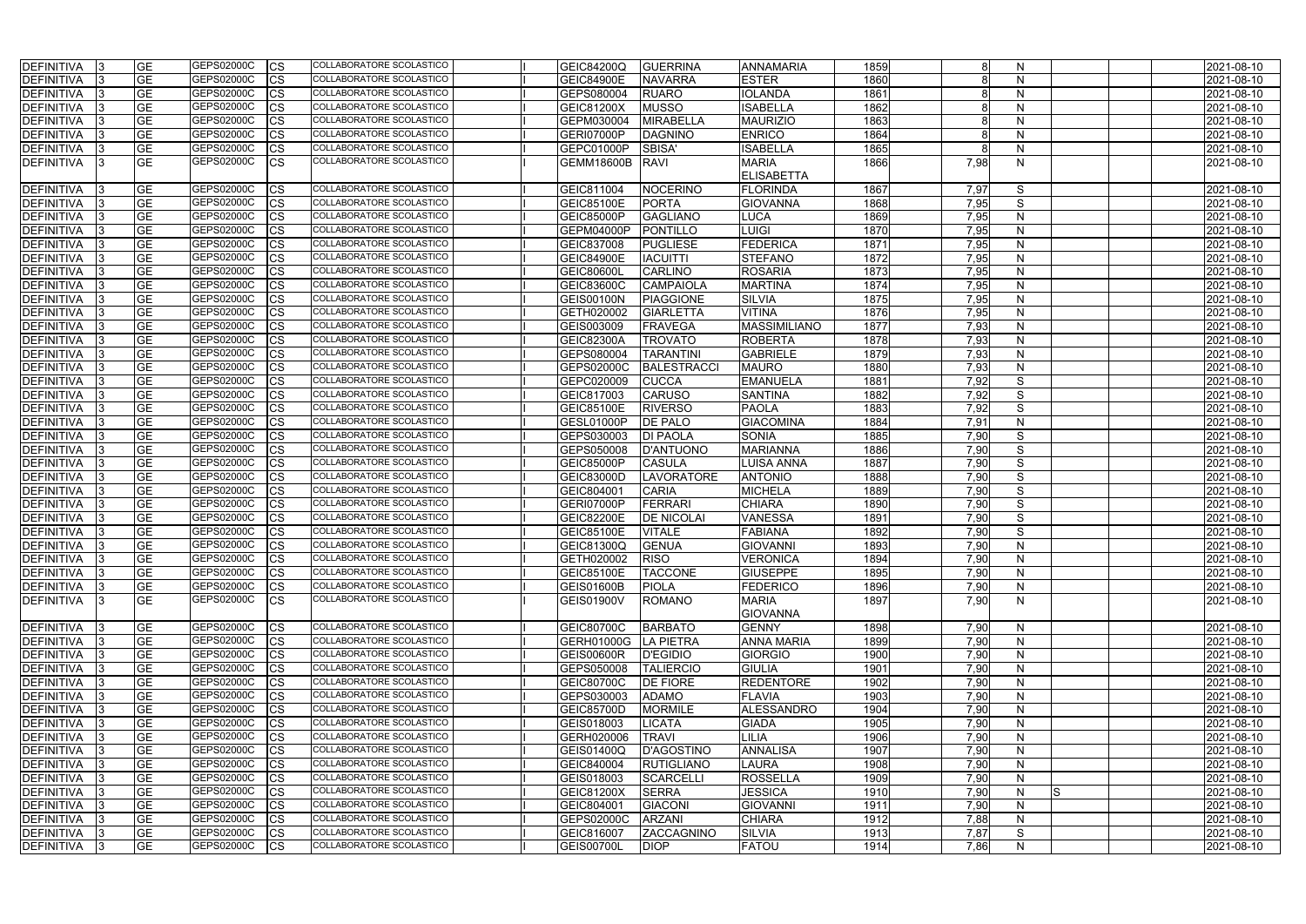| <b>DEFINITIVA</b> | <b>GE</b>  | GEPS02000C | CS        | COLLABORATORE SCOLASTICO        | GEIC84200Q        | <b>GUERRINA</b>   | <b>ANNAMARIA</b>    | 1859 |      | N            |     | 2021-08-10 |
|-------------------|------------|------------|-----------|---------------------------------|-------------------|-------------------|---------------------|------|------|--------------|-----|------------|
| DEFINITIVA        | <b>GE</b>  | GEPS02000C | СS        | COLLABORATORE SCOLASTICO        | <b>GEIC84900E</b> | <b>NAVARRA</b>    | <b>ESTER</b>        | 1860 |      | N            |     | 2021-08-10 |
| <b>DEFINITIVA</b> | <b>GE</b>  | GEPS02000C | CS        | COLLABORATORE SCOLASTICO        | GEPS080004        | <b>RUARO</b>      | <b>IOLANDA</b>      | 1861 |      | N            |     | 2021-08-10 |
| <b>DEFINITIVA</b> | <b>GE</b>  | GEPS02000C | CS        | COLLABORATORE SCOLASTICO        | <b>GEIC81200X</b> | <b>MUSSO</b>      | <b>ISABELLA</b>     | 1862 |      | N            |     | 2021-08-10 |
| DEFINITIVA        | <b>GE</b>  | GEPS02000C | СS        | COLLABORATORE SCOLASTICO        | GEPM030004        | <b>MIRABELLA</b>  | <b>MAURIZIO</b>     | 1863 |      | N            |     | 2021-08-10 |
| DEFINITIVA        | <b>GE</b>  | GEPS02000C | CS        | COLLABORATORE SCOLASTICO        | GERI07000P        | <b>DAGNINO</b>    | <b>ENRICO</b>       | 1864 |      | N            |     | 2021-08-10 |
| <b>DEFINITIVA</b> | <b>GE</b>  | GEPS02000C | СS        | <b>COLLABORATORE SCOLASTICO</b> | GEPC01000P        | <b>SBISA</b>      | <b>ISABELLA</b>     | 1865 |      | N            |     | 2021-08-10 |
| <b>DEFINITIVA</b> | <b>GE</b>  | GEPS02000C | <b>CS</b> | COLLABORATORE SCOLASTICO        | GEMM18600B        | <b>RAVI</b>       | <b>MARIA</b>        | 1866 | 7,98 | N.           |     | 2021-08-10 |
|                   |            |            |           |                                 |                   |                   | <b>ELISABETTA</b>   |      |      |              |     |            |
| <b>DEFINITIVA</b> | <b>GE</b>  | GEPS02000C | <b>CS</b> | COLLABORATORE SCOLASTICO        | GEIC811004        | NOCERINO          | <b>FLORINDA</b>     | 1867 | 7,97 | S            |     | 2021-08-10 |
| DEFINITIVA        | <b>GE</b>  | GEPS02000C | CS        | COLLABORATORE SCOLASTICO        | GEIC85100E        | <b>PORTA</b>      | <b>GIOVANNA</b>     | 1868 | 7,95 | S            |     | 2021-08-10 |
| <b>DEFINITIVA</b> | <b>GE</b>  | GEPS02000C | CS        | COLLABORATORE SCOLASTICO        | <b>GEIC85000P</b> | <b>GAGLIANO</b>   | <b>LUCA</b>         | 1869 | 7,95 | $\mathsf{N}$ |     | 2021-08-10 |
| <b>DEFINITIVA</b> | <b>GE</b>  | GEPS02000C | CS        | COLLABORATORE SCOLASTICO        | <b>GEPM04000P</b> | PONTILLO          | <b>LUIGI</b>        | 1870 | 7,95 | N            |     | 2021-08-10 |
| <b>DEFINITIVA</b> | <b>GE</b>  | GEPS02000C | СS        | COLLABORATORE SCOLASTICO        | GEIC837008        | <b>PUGLIESE</b>   | <b>FEDERICA</b>     | 1871 | 7,95 | N            |     | 2021-08-10 |
| <b>DEFINITIVA</b> | <b>GE</b>  | GEPS02000C | CS        | COLLABORATORE SCOLASTICO        | <b>GEIC84900E</b> | <b>IACUITTI</b>   | <b>STEFANO</b>      | 1872 | 7,95 | $\mathsf{N}$ |     | 2021-08-10 |
| <b>DEFINITIVA</b> | <b>GE</b>  | GEPS02000C | CS        | COLLABORATORE SCOLASTICO        | <b>GEIC80600L</b> | <b>CARLINO</b>    | <b>ROSARIA</b>      | 1873 | 7,95 | $\mathsf{N}$ |     | 2021-08-10 |
| DEFINITIVA        | <b>GE</b>  | GEPS02000C | СS        | COLLABORATORE SCOLASTICO        | GEIC83600C        | <b>CAMPAIOLA</b>  | <b>MARTINA</b>      | 1874 | 7,95 | N            |     | 2021-08-10 |
| <b>DEFINITIVA</b> | <b>GE</b>  | GEPS02000C | CS        | <b>COLLABORATORE SCOLASTICO</b> | <b>GEIS00100N</b> | <b>PIAGGIONE</b>  | <b>SILVIA</b>       | 1875 | 7,95 | $\mathsf{N}$ |     | 2021-08-10 |
| <b>DEFINITIVA</b> | <b>GE</b>  | GEPS02000C | <b>CS</b> | <b>COLLABORATORE SCOLASTICO</b> | GETH020002        | <b>GIARLETTA</b>  | <b>VITINA</b>       | 1876 | 7,95 | N            |     | 2021-08-10 |
| <b>DEFINITIVA</b> | <b>GE</b>  | GEPS02000C | СS        | <b>COLLABORATORE SCOLASTICO</b> | GEIS003009        | <b>FRAVEGA</b>    | <b>MASSIMILIANO</b> | 1877 | 7,93 | $\mathsf{N}$ |     | 2021-08-10 |
| <b>DEFINITIVA</b> | <b>GE</b>  | GEPS02000C | CS        | COLLABORATORE SCOLASTICO        | <b>GEIC82300A</b> | <b>TROVATO</b>    | <b>ROBERTA</b>      | 1878 | 7,93 | N            |     | 2021-08-10 |
| <b>DEFINITIVA</b> | <b>GE</b>  | GEPS02000C | CS        | <b>COLLABORATORE SCOLASTICO</b> | GEPS080004        | <b>TARANTINI</b>  | <b>GABRIELE</b>     | 1879 | 7,93 | $\mathsf{N}$ |     | 2021-08-10 |
| <b>DEFINITIVA</b> | <b>GE</b>  | GEPS02000C | CS        | COLLABORATORE SCOLASTICO        | GEPS02000C        | <b>BALESTRACC</b> | <b>MAURO</b>        | 1880 | 7,93 | $\mathsf{N}$ |     | 2021-08-10 |
| <b>DEFINITIVA</b> | <b>GE</b>  | GEPS02000C | CS        | COLLABORATORE SCOLASTICO        | GEPC020009        | <b>CUCCA</b>      | <b>EMANUELA</b>     | 1881 | 7,92 | S            |     | 2021-08-10 |
| <b>DEFINITIVA</b> | <b>GE</b>  | GEPS02000C | СS        | COLLABORATORE SCOLASTICO        | GEIC817003        | <b>CARUSO</b>     | <b>SANTINA</b>      | 1882 | 7,92 | S            |     | 2021-08-10 |
| <b>DEFINITIVA</b> | <b>GE</b>  | GEPS02000C | СS        | COLLABORATORE SCOLASTICO        | <b>GEIC85100E</b> | <b>RIVERSO</b>    | <b>PAOLA</b>        | 1883 | 7,92 | S            |     | 2021-08-10 |
| <b>DEFINITIVA</b> | <b>GE</b>  | GEPS02000C | CS        | COLLABORATORE SCOLASTICO        | <b>GESL01000P</b> | <b>DE PALO</b>    | <b>GIACOMINA</b>    | 1884 | 7,91 | N            |     | 2021-08-10 |
| <b>DEFINITIVA</b> | <b>GE</b>  | GEPS02000C | CS        | COLLABORATORE SCOLASTICO        | GEPS030003        | <b>DI PAOLA</b>   | <b>SONIA</b>        | 1885 | 7,90 | S            |     | 2021-08-10 |
| DEFINITIVA        | <b>GE</b>  | GEPS02000C | CS        | COLLABORATORE SCOLASTICO        | GEPS050008        | D'ANTUONO         | <b>MARIANNA</b>     | 1886 | 7,90 | S            |     | 2021-08-10 |
| DEFINITIVA        | <b>GE</b>  | GEPS02000C | CS        | COLLABORATORE SCOLASTICO        | <b>GEIC85000P</b> | <b>CASULA</b>     | <b>LUISA ANNA</b>   | 1887 | 7,90 | S            |     | 2021-08-10 |
| <b>DEFINITIVA</b> | <b>GE</b>  | GEPS02000C | <b>CS</b> | <b>COLLABORATORE SCOLASTICO</b> | GEIC83000D        | <b>LAVORATORE</b> | <b>ANTONIO</b>      | 1888 | 7,90 | S            |     | 2021-08-10 |
| <b>DEFINITIVA</b> | <b>GE</b>  | GEPS02000C | СS        | <b>COLLABORATORE SCOLASTICO</b> | GEIC804001        | <b>CARIA</b>      | <b>MICHELA</b>      | 1889 | 7,90 | S            |     | 2021-08-10 |
| <b>DEFINITIVA</b> | <b>GE</b>  | GEPS02000C | СS        | COLLABORATORE SCOLASTICO        | GERI07000P        | <b>FERRARI</b>    | <b>CHIARA</b>       | 1890 | 7,90 | S            |     | 2021-08-10 |
| <b>DEFINITIVA</b> | <b>GE</b>  | GEPS02000C | CS        | <b>COLLABORATORE SCOLASTICO</b> | GEIC82200E        | <b>DE NICOLAI</b> | <b>VANESSA</b>      | 1891 | 7,90 | S            |     | 2021-08-10 |
| <b>DEFINITIVA</b> | <b>GE</b>  | GEPS02000C | СS        | COLLABORATORE SCOLASTICO        | <b>GEIC85100E</b> | <b>VITALE</b>     | <b>FABIANA</b>      | 1892 | 7,90 | S            |     | 2021-08-10 |
| <b>DEFINITIVA</b> | <b>IGE</b> | GEPS02000C | <b>CS</b> | COLLABORATORE SCOLASTICO        | GEIC81300Q        | <b>GENUA</b>      | <b>GIOVANNI</b>     | 1893 | 7,90 | N            |     | 2021-08-10 |
| <b>DEFINITIVA</b> | <b>GE</b>  | GEPS02000C | <b>CS</b> | COLLABORATORE SCOLASTICO        | GETH020002        | <b>RISO</b>       | <b>VERONICA</b>     | 1894 | 7,90 | N            |     | 2021-08-10 |
| <b>DEFINITIVA</b> | <b>GE</b>  | GEPS02000C | <b>CS</b> | COLLABORATORE SCOLASTICO        | <b>GEIC85100E</b> | <b>TACCONE</b>    | <b>GIUSEPPE</b>     | 1895 | 7,90 | N            |     | 2021-08-10 |
| DEFINITIVA        | <b>GE</b>  | GEPS02000C | <b>CS</b> | COLLABORATORE SCOLASTICO        | <b>GEIS01600B</b> | <b>PIOLA</b>      | <b>FEDERICO</b>     | 1896 | 7,90 | N            |     | 2021-08-10 |
| DEFINITIVA        | <b>GE</b>  | GEPS02000C | <b>CS</b> | COLLABORATORE SCOLASTICO        | <b>GEIS01900V</b> | <b>ROMANO</b>     | <b>MARIA</b>        | 1897 | 7,90 | N            |     | 2021-08-10 |
|                   |            |            |           |                                 |                   |                   | <b>GIOVANNA</b>     |      |      |              |     |            |
| <b>DEFINITIVA</b> | <b>GE</b>  | GEPS02000C | <b>CS</b> | <b>COLLABORATORE SCOLASTICO</b> | <b>GEIC80700C</b> | <b>BARBATO</b>    | <b>GENNY</b>        | 1898 | 7,90 | N            |     | 2021-08-10 |
| <b>DEFINITIVA</b> | <b>GE</b>  | GEPS02000C | <b>CS</b> | COLLABORATORE SCOLASTICO        | GERH01000G        | <b>LA PIETRA</b>  | <b>ANNA MARIA</b>   | 1899 | 7,90 | N            |     | 2021-08-10 |
| <b>DEFINITIVA</b> | <b>GE</b>  | GEPS02000C | <b>CS</b> | <b>COLLABORATORE SCOLASTICO</b> | <b>GEIS00600R</b> | <b>D'EGIDIO</b>   | <b>GIORGIO</b>      | 1900 | 7,90 | $\mathsf{N}$ |     | 2021-08-10 |
| <b>DEFINITIVA</b> | <b>GE</b>  | GEPS02000C | <b>CS</b> | COLLABORATORE SCOLASTICO        | GEPS050008        | <b>TALIERCIO</b>  | <b>GIULIA</b>       | 1901 | 7,90 | N            |     | 2021-08-10 |
| <b>DEFINITIVA</b> | <b>GE</b>  | GEPS02000C | <b>CS</b> | COLLABORATORE SCOLASTICO        | <b>GEIC80700C</b> | <b>DE FIORE</b>   | <b>REDENTORE</b>    | 1902 | 7,90 | $\mathsf{N}$ |     | 2021-08-10 |
| DEFINITIVA        | <b>GE</b>  | GEPS02000C | <b>CS</b> | COLLABORATORE SCOLASTICO        | GEPS030003        | <b>ADAMO</b>      | <b>FLAVIA</b>       | 1903 | 7,90 | $\mathsf{N}$ |     | 2021-08-10 |
| DEFINITIVA        | <b>GE</b>  | GEPS02000C | <b>CS</b> | COLLABORATORE SCOLASTICO        | <b>GEIC85700D</b> | <b>MORMILE</b>    | <b>ALESSANDRO</b>   | 1904 | 7,90 | N            |     | 2021-08-10 |
| DEFINITIVA        | <b>GE</b>  | GEPS02000C | <b>CS</b> | COLLABORATORE SCOLASTICO        | GEIS018003        | <b>LICATA</b>     | <b>GIADA</b>        | 1905 | 7,90 | $\mathsf{N}$ |     | 2021-08-10 |
| DEFINITIVA        | <b>GE</b>  | GEPS02000C | <b>CS</b> | COLLABORATORE SCOLASTICO        | GERH020006        | <b>TRAVI</b>      | <b>LILIA</b>        | 1906 | 7,90 | $\mathsf{N}$ |     | 2021-08-10 |
| DEFINITIVA        | <b>GE</b>  | GEPS02000C | CS        | COLLABORATORE SCOLASTICO        | GEIS01400Q        | <b>D'AGOSTINO</b> | <b>ANNALISA</b>     | 1907 | 7,90 | N            |     | 2021-08-10 |
| DEFINITIVA        | <b>GE</b>  | GEPS02000C | <b>CS</b> | COLLABORATORE SCOLASTICO        | GEIC840004        | <b>RUTIGLIANO</b> | <b>LAURA</b>        | 1908 | 7,90 | $\mathsf{N}$ |     | 2021-08-10 |
| <b>DEFINITIVA</b> | <b>GE</b>  | GEPS02000C | <b>CS</b> | COLLABORATORE SCOLASTICO        | GEIS018003        | <b>SCARCELLI</b>  | <b>ROSSELLA</b>     | 1909 | 7,90 | $\mathsf{N}$ |     | 2021-08-10 |
| <b>DEFINITIVA</b> | <b>GE</b>  | GEPS02000C | <b>CS</b> | COLLABORATORE SCOLASTICO        | <b>GEIC81200X</b> | <b>SERRA</b>      | <b>JESSICA</b>      | 1910 | 7,90 | N            | IS. | 2021-08-10 |
| DEFINITIVA        | <b>GE</b>  | GEPS02000C | <b>CS</b> | COLLABORATORE SCOLASTICO        | GEIC804001        | <b>GIACONI</b>    | <b>GIOVANNI</b>     | 1911 | 7,90 | N            |     | 2021-08-10 |
| <b>DEFINITIVA</b> | <b>GE</b>  | GEPS02000C | <b>CS</b> | COLLABORATORE SCOLASTICO        | GEPS02000C        | <b>ARZANI</b>     | <b>CHIARA</b>       | 1912 | 7,88 | N            |     | 2021-08-10 |
| DEFINITIVA        | <b>GE</b>  | GEPS02000C | <b>CS</b> | COLLABORATORE SCOLASTICO        | GEIC816007        | <b>ZACCAGNINO</b> | <b>SILVIA</b>       | 1913 | 7,87 | S            |     | 2021-08-10 |
| DEFINITIVA        | <b>GE</b>  | GEPS02000C | <b>CS</b> | COLLABORATORE SCOLASTICO        | <b>GEIS00700L</b> | <b>DIOP</b>       | <b>FATOU</b>        | 1914 | 7,86 | N            |     | 2021-08-10 |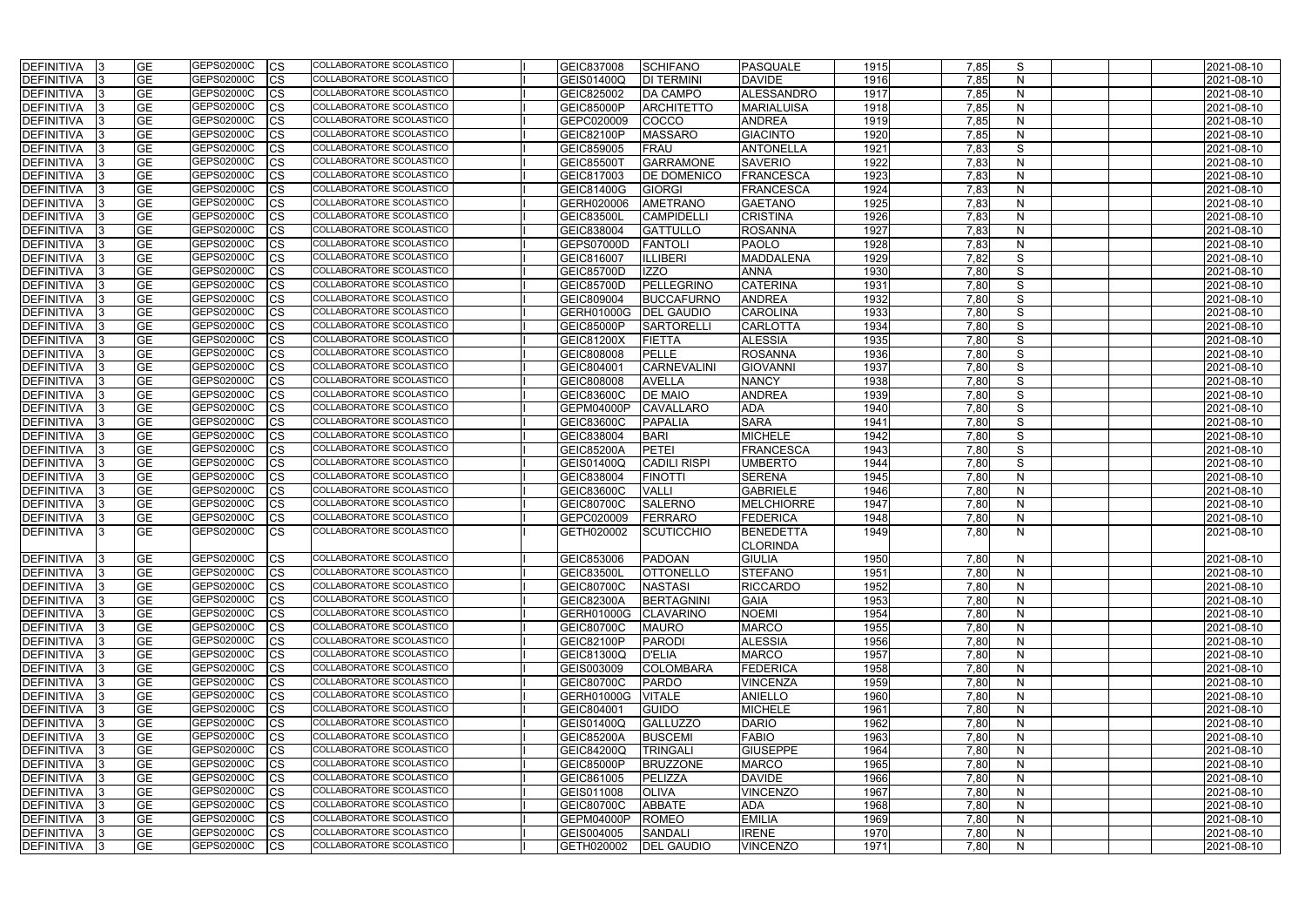| <b>GE</b><br>GEPS02000C<br><b>CS</b><br>COLLABORATORE SCOLASTICO<br><b>DEFINITIVA</b><br><b>GEIS01400Q</b><br><b>DI TERMINI</b><br><b>DAVIDE</b><br>1916<br>7,85<br>N<br><b>GE</b><br><b>ALESSANDRO</b><br>1917<br><b>DEFINITIVA</b><br>GEPS02000C<br><b>CS</b><br>COLLABORATORE SCOLASTICO<br>GEIC825002<br><b>DA CAMPO</b><br>7,85<br>N<br><b>GE</b><br>GEPS02000C<br>1918<br>7,85<br><b>DEFINITIVA</b><br><b>CS</b><br>COLLABORATORE SCOLASTICO<br><b>GEIC85000P</b><br><b>ARCHITETTO</b><br><b>MARIALUISA</b><br>N<br>GEPS02000C<br><b>GE</b><br>COLLABORATORE SCOLASTICO<br>GEPC020009<br>COCCO<br><b>ANDREA</b><br>1919<br>$\mathsf{N}$<br><b>DEFINITIVA</b><br><b>ICS</b><br>7,85<br><b>GE</b><br>GEPS02000C<br>COLLABORATORE SCOLASTICO<br><b>MASSARO</b><br><b>GIACINTO</b><br>1920<br><b>DEFINITIVA</b><br><b>CS</b><br><b>GEIC82100P</b><br>7,85<br>N<br>1921<br>S<br><b>GE</b><br>GEPS02000C<br>COLLABORATORE SCOLASTICO<br>GEIC859005<br>FRAU<br><b>ANTONELLA</b><br>7,83<br><b>DEFINITIVA</b><br><b>CS</b><br><b>GE</b><br>GEPS02000C<br>COLLABORATORE SCOLASTICO<br><b>CS</b><br><b>GARRAMONE</b><br><b>SAVERIO</b><br>1922<br>N<br><b>GEIC85500T</b><br>7,83<br>DEFINITIVA<br><b>GE</b><br>GEPS02000C<br>COLLABORATORE SCOLASTICO<br>1923<br><b>CS</b><br>GEIC817003<br><b>DE DOMENICO</b><br><b>FRANCESCA</b><br>7,83<br>N<br><b>DEFINITIVA</b><br><b>GE</b><br>GEPS02000C<br>COLLABORATORE SCOLASTICO<br><b>GIORGI</b><br><b>FRANCESCA</b><br>1924<br><b>DEFINITIVA</b><br><b>CS</b><br><b>GEIC81400G</b><br>7,83<br>N<br><b>GE</b><br>GEPS02000C<br><b>AMETRANO</b><br><b>GAETANO</b><br>1925<br>7,83<br>$\mathsf{N}$<br><b>DEFINITIVA</b><br><b>CS</b><br>COLLABORATORE SCOLASTICO<br>GERH020006<br><b>GE</b><br>GEPS02000C<br><b>CS</b><br>COLLABORATORE SCOLASTICO<br>1926<br><b>GEIC83500L</b><br><b>CAMPIDELLI</b><br><b>CRISTINA</b><br>7,83<br>N<br><b>DEFINITIVA</b><br><b>GE</b><br>GEPS02000C<br><b>CS</b><br>1927<br>7,83<br>COLLABORATORE SCOLASTICO<br>GEIC838004<br><b>GATTULLO</b><br><b>ROSANNA</b><br>N<br><b>DEFINITIVA</b><br><b>GE</b><br>GEPS02000C<br>1928<br>N<br><b>DEFINITIVA</b><br><b>CS</b><br>COLLABORATORE SCOLASTICO<br>GEPS07000D<br><b>FANTOLI</b><br><b>PAOLO</b><br>7,83<br><b>GE</b><br>GEPS02000C<br>S<br><b>CS</b><br>COLLABORATORE SCOLASTICO<br>1929<br><b>DEFINITIVA</b><br>GEIC816007<br><b>ILLIBERI</b><br><b>MADDALENA</b><br>7,82<br><b>GE</b><br>GEPS02000C<br>COLLABORATORE SCOLASTICO<br><b>IZZO</b><br>1930<br>S<br><b>DEFINITIVA</b><br>CS<br>GEIC85700D<br><b>ANNA</b><br>7,80<br><b>GE</b><br>GEPS02000C<br>1931<br>S<br>CS<br><b>COLLABORATORE SCOLASTICO</b><br>PELLEGRINO<br><b>CATERINA</b><br>7,80<br><b>DEFINITIVA</b><br>GEIC85700D<br><b>GE</b><br>GEPS02000C<br><b>COLLABORATORE SCOLASTICO</b><br><b>BUCCAFURNO</b><br><b>ANDREA</b><br>1932<br>S<br><b>DEFINITIVA</b><br><b>CS</b><br>GEIC809004<br>7,80<br><b>GE</b><br>GEPS02000C<br><b>COLLABORATORE SCOLASTICO</b><br><b>CS</b><br>GERH01000G<br><b>CAROLINA</b><br>1933<br>7,80<br>S<br><b>DEFINITIVA</b><br><b>DEL GAUDIO</b><br><b>GE</b><br>GEPS02000C<br>1934<br>S<br><b>CS</b><br>COLLABORATORE SCOLASTICO<br><b>GEIC85000P</b><br><b>SARTORELLI</b><br><b>CARLOTTA</b><br>7,80<br><b>DEFINITIVA</b><br>GEPS02000C<br><b>GE</b><br><b>COLLABORATORE SCOLASTICO</b><br><b>ALESSIA</b><br>1935<br>S<br><b>CS</b><br><b>GEIC81200X</b><br><b>FIETTA</b><br>7,80<br><b>DEFINITIVA</b> | 2021-08-10<br>2021-08-10<br>2021-08-10<br>2021-08-10<br>2021-08-10<br>2021-08-10<br>2021-08-10<br>2021-08-10<br>2021-08-10<br>2021-08-10<br>2021-08-10<br>2021-08-10<br>2021-08-10<br>2021-08-10<br>2021-08-10<br>2021-08-10<br>2021-08-10<br>2021-08-10<br>2021-08-10<br>2021-08-10<br>2021-08-10<br>2021-08-10 |
|-------------------------------------------------------------------------------------------------------------------------------------------------------------------------------------------------------------------------------------------------------------------------------------------------------------------------------------------------------------------------------------------------------------------------------------------------------------------------------------------------------------------------------------------------------------------------------------------------------------------------------------------------------------------------------------------------------------------------------------------------------------------------------------------------------------------------------------------------------------------------------------------------------------------------------------------------------------------------------------------------------------------------------------------------------------------------------------------------------------------------------------------------------------------------------------------------------------------------------------------------------------------------------------------------------------------------------------------------------------------------------------------------------------------------------------------------------------------------------------------------------------------------------------------------------------------------------------------------------------------------------------------------------------------------------------------------------------------------------------------------------------------------------------------------------------------------------------------------------------------------------------------------------------------------------------------------------------------------------------------------------------------------------------------------------------------------------------------------------------------------------------------------------------------------------------------------------------------------------------------------------------------------------------------------------------------------------------------------------------------------------------------------------------------------------------------------------------------------------------------------------------------------------------------------------------------------------------------------------------------------------------------------------------------------------------------------------------------------------------------------------------------------------------------------------------------------------------------------------------------------------------------------------------------------------------------------------------------------------------------------------------------------------------------------------------------------------------------------------------------------------------------------------------------------------------------------------------------------------------------------------------------------------------------------------------------------------------------------------------------------------------------------------------------------------|------------------------------------------------------------------------------------------------------------------------------------------------------------------------------------------------------------------------------------------------------------------------------------------------------------------|
|                                                                                                                                                                                                                                                                                                                                                                                                                                                                                                                                                                                                                                                                                                                                                                                                                                                                                                                                                                                                                                                                                                                                                                                                                                                                                                                                                                                                                                                                                                                                                                                                                                                                                                                                                                                                                                                                                                                                                                                                                                                                                                                                                                                                                                                                                                                                                                                                                                                                                                                                                                                                                                                                                                                                                                                                                                                                                                                                                                                                                                                                                                                                                                                                                                                                                                                                                                                                                               |                                                                                                                                                                                                                                                                                                                  |
|                                                                                                                                                                                                                                                                                                                                                                                                                                                                                                                                                                                                                                                                                                                                                                                                                                                                                                                                                                                                                                                                                                                                                                                                                                                                                                                                                                                                                                                                                                                                                                                                                                                                                                                                                                                                                                                                                                                                                                                                                                                                                                                                                                                                                                                                                                                                                                                                                                                                                                                                                                                                                                                                                                                                                                                                                                                                                                                                                                                                                                                                                                                                                                                                                                                                                                                                                                                                                               |                                                                                                                                                                                                                                                                                                                  |
|                                                                                                                                                                                                                                                                                                                                                                                                                                                                                                                                                                                                                                                                                                                                                                                                                                                                                                                                                                                                                                                                                                                                                                                                                                                                                                                                                                                                                                                                                                                                                                                                                                                                                                                                                                                                                                                                                                                                                                                                                                                                                                                                                                                                                                                                                                                                                                                                                                                                                                                                                                                                                                                                                                                                                                                                                                                                                                                                                                                                                                                                                                                                                                                                                                                                                                                                                                                                                               |                                                                                                                                                                                                                                                                                                                  |
|                                                                                                                                                                                                                                                                                                                                                                                                                                                                                                                                                                                                                                                                                                                                                                                                                                                                                                                                                                                                                                                                                                                                                                                                                                                                                                                                                                                                                                                                                                                                                                                                                                                                                                                                                                                                                                                                                                                                                                                                                                                                                                                                                                                                                                                                                                                                                                                                                                                                                                                                                                                                                                                                                                                                                                                                                                                                                                                                                                                                                                                                                                                                                                                                                                                                                                                                                                                                                               |                                                                                                                                                                                                                                                                                                                  |
|                                                                                                                                                                                                                                                                                                                                                                                                                                                                                                                                                                                                                                                                                                                                                                                                                                                                                                                                                                                                                                                                                                                                                                                                                                                                                                                                                                                                                                                                                                                                                                                                                                                                                                                                                                                                                                                                                                                                                                                                                                                                                                                                                                                                                                                                                                                                                                                                                                                                                                                                                                                                                                                                                                                                                                                                                                                                                                                                                                                                                                                                                                                                                                                                                                                                                                                                                                                                                               |                                                                                                                                                                                                                                                                                                                  |
|                                                                                                                                                                                                                                                                                                                                                                                                                                                                                                                                                                                                                                                                                                                                                                                                                                                                                                                                                                                                                                                                                                                                                                                                                                                                                                                                                                                                                                                                                                                                                                                                                                                                                                                                                                                                                                                                                                                                                                                                                                                                                                                                                                                                                                                                                                                                                                                                                                                                                                                                                                                                                                                                                                                                                                                                                                                                                                                                                                                                                                                                                                                                                                                                                                                                                                                                                                                                                               |                                                                                                                                                                                                                                                                                                                  |
|                                                                                                                                                                                                                                                                                                                                                                                                                                                                                                                                                                                                                                                                                                                                                                                                                                                                                                                                                                                                                                                                                                                                                                                                                                                                                                                                                                                                                                                                                                                                                                                                                                                                                                                                                                                                                                                                                                                                                                                                                                                                                                                                                                                                                                                                                                                                                                                                                                                                                                                                                                                                                                                                                                                                                                                                                                                                                                                                                                                                                                                                                                                                                                                                                                                                                                                                                                                                                               |                                                                                                                                                                                                                                                                                                                  |
|                                                                                                                                                                                                                                                                                                                                                                                                                                                                                                                                                                                                                                                                                                                                                                                                                                                                                                                                                                                                                                                                                                                                                                                                                                                                                                                                                                                                                                                                                                                                                                                                                                                                                                                                                                                                                                                                                                                                                                                                                                                                                                                                                                                                                                                                                                                                                                                                                                                                                                                                                                                                                                                                                                                                                                                                                                                                                                                                                                                                                                                                                                                                                                                                                                                                                                                                                                                                                               |                                                                                                                                                                                                                                                                                                                  |
|                                                                                                                                                                                                                                                                                                                                                                                                                                                                                                                                                                                                                                                                                                                                                                                                                                                                                                                                                                                                                                                                                                                                                                                                                                                                                                                                                                                                                                                                                                                                                                                                                                                                                                                                                                                                                                                                                                                                                                                                                                                                                                                                                                                                                                                                                                                                                                                                                                                                                                                                                                                                                                                                                                                                                                                                                                                                                                                                                                                                                                                                                                                                                                                                                                                                                                                                                                                                                               |                                                                                                                                                                                                                                                                                                                  |
|                                                                                                                                                                                                                                                                                                                                                                                                                                                                                                                                                                                                                                                                                                                                                                                                                                                                                                                                                                                                                                                                                                                                                                                                                                                                                                                                                                                                                                                                                                                                                                                                                                                                                                                                                                                                                                                                                                                                                                                                                                                                                                                                                                                                                                                                                                                                                                                                                                                                                                                                                                                                                                                                                                                                                                                                                                                                                                                                                                                                                                                                                                                                                                                                                                                                                                                                                                                                                               |                                                                                                                                                                                                                                                                                                                  |
|                                                                                                                                                                                                                                                                                                                                                                                                                                                                                                                                                                                                                                                                                                                                                                                                                                                                                                                                                                                                                                                                                                                                                                                                                                                                                                                                                                                                                                                                                                                                                                                                                                                                                                                                                                                                                                                                                                                                                                                                                                                                                                                                                                                                                                                                                                                                                                                                                                                                                                                                                                                                                                                                                                                                                                                                                                                                                                                                                                                                                                                                                                                                                                                                                                                                                                                                                                                                                               |                                                                                                                                                                                                                                                                                                                  |
|                                                                                                                                                                                                                                                                                                                                                                                                                                                                                                                                                                                                                                                                                                                                                                                                                                                                                                                                                                                                                                                                                                                                                                                                                                                                                                                                                                                                                                                                                                                                                                                                                                                                                                                                                                                                                                                                                                                                                                                                                                                                                                                                                                                                                                                                                                                                                                                                                                                                                                                                                                                                                                                                                                                                                                                                                                                                                                                                                                                                                                                                                                                                                                                                                                                                                                                                                                                                                               |                                                                                                                                                                                                                                                                                                                  |
|                                                                                                                                                                                                                                                                                                                                                                                                                                                                                                                                                                                                                                                                                                                                                                                                                                                                                                                                                                                                                                                                                                                                                                                                                                                                                                                                                                                                                                                                                                                                                                                                                                                                                                                                                                                                                                                                                                                                                                                                                                                                                                                                                                                                                                                                                                                                                                                                                                                                                                                                                                                                                                                                                                                                                                                                                                                                                                                                                                                                                                                                                                                                                                                                                                                                                                                                                                                                                               |                                                                                                                                                                                                                                                                                                                  |
|                                                                                                                                                                                                                                                                                                                                                                                                                                                                                                                                                                                                                                                                                                                                                                                                                                                                                                                                                                                                                                                                                                                                                                                                                                                                                                                                                                                                                                                                                                                                                                                                                                                                                                                                                                                                                                                                                                                                                                                                                                                                                                                                                                                                                                                                                                                                                                                                                                                                                                                                                                                                                                                                                                                                                                                                                                                                                                                                                                                                                                                                                                                                                                                                                                                                                                                                                                                                                               |                                                                                                                                                                                                                                                                                                                  |
|                                                                                                                                                                                                                                                                                                                                                                                                                                                                                                                                                                                                                                                                                                                                                                                                                                                                                                                                                                                                                                                                                                                                                                                                                                                                                                                                                                                                                                                                                                                                                                                                                                                                                                                                                                                                                                                                                                                                                                                                                                                                                                                                                                                                                                                                                                                                                                                                                                                                                                                                                                                                                                                                                                                                                                                                                                                                                                                                                                                                                                                                                                                                                                                                                                                                                                                                                                                                                               |                                                                                                                                                                                                                                                                                                                  |
|                                                                                                                                                                                                                                                                                                                                                                                                                                                                                                                                                                                                                                                                                                                                                                                                                                                                                                                                                                                                                                                                                                                                                                                                                                                                                                                                                                                                                                                                                                                                                                                                                                                                                                                                                                                                                                                                                                                                                                                                                                                                                                                                                                                                                                                                                                                                                                                                                                                                                                                                                                                                                                                                                                                                                                                                                                                                                                                                                                                                                                                                                                                                                                                                                                                                                                                                                                                                                               |                                                                                                                                                                                                                                                                                                                  |
|                                                                                                                                                                                                                                                                                                                                                                                                                                                                                                                                                                                                                                                                                                                                                                                                                                                                                                                                                                                                                                                                                                                                                                                                                                                                                                                                                                                                                                                                                                                                                                                                                                                                                                                                                                                                                                                                                                                                                                                                                                                                                                                                                                                                                                                                                                                                                                                                                                                                                                                                                                                                                                                                                                                                                                                                                                                                                                                                                                                                                                                                                                                                                                                                                                                                                                                                                                                                                               |                                                                                                                                                                                                                                                                                                                  |
|                                                                                                                                                                                                                                                                                                                                                                                                                                                                                                                                                                                                                                                                                                                                                                                                                                                                                                                                                                                                                                                                                                                                                                                                                                                                                                                                                                                                                                                                                                                                                                                                                                                                                                                                                                                                                                                                                                                                                                                                                                                                                                                                                                                                                                                                                                                                                                                                                                                                                                                                                                                                                                                                                                                                                                                                                                                                                                                                                                                                                                                                                                                                                                                                                                                                                                                                                                                                                               |                                                                                                                                                                                                                                                                                                                  |
|                                                                                                                                                                                                                                                                                                                                                                                                                                                                                                                                                                                                                                                                                                                                                                                                                                                                                                                                                                                                                                                                                                                                                                                                                                                                                                                                                                                                                                                                                                                                                                                                                                                                                                                                                                                                                                                                                                                                                                                                                                                                                                                                                                                                                                                                                                                                                                                                                                                                                                                                                                                                                                                                                                                                                                                                                                                                                                                                                                                                                                                                                                                                                                                                                                                                                                                                                                                                                               |                                                                                                                                                                                                                                                                                                                  |
|                                                                                                                                                                                                                                                                                                                                                                                                                                                                                                                                                                                                                                                                                                                                                                                                                                                                                                                                                                                                                                                                                                                                                                                                                                                                                                                                                                                                                                                                                                                                                                                                                                                                                                                                                                                                                                                                                                                                                                                                                                                                                                                                                                                                                                                                                                                                                                                                                                                                                                                                                                                                                                                                                                                                                                                                                                                                                                                                                                                                                                                                                                                                                                                                                                                                                                                                                                                                                               |                                                                                                                                                                                                                                                                                                                  |
|                                                                                                                                                                                                                                                                                                                                                                                                                                                                                                                                                                                                                                                                                                                                                                                                                                                                                                                                                                                                                                                                                                                                                                                                                                                                                                                                                                                                                                                                                                                                                                                                                                                                                                                                                                                                                                                                                                                                                                                                                                                                                                                                                                                                                                                                                                                                                                                                                                                                                                                                                                                                                                                                                                                                                                                                                                                                                                                                                                                                                                                                                                                                                                                                                                                                                                                                                                                                                               |                                                                                                                                                                                                                                                                                                                  |
| <b>GE</b><br>GEPS02000C<br>COLLABORATORE SCOLASTICO<br>GEIC808008<br>PELLE<br><b>ROSANNA</b><br>1936<br>S<br><b>DEFINITIVA</b><br><b>CS</b><br>7,80                                                                                                                                                                                                                                                                                                                                                                                                                                                                                                                                                                                                                                                                                                                                                                                                                                                                                                                                                                                                                                                                                                                                                                                                                                                                                                                                                                                                                                                                                                                                                                                                                                                                                                                                                                                                                                                                                                                                                                                                                                                                                                                                                                                                                                                                                                                                                                                                                                                                                                                                                                                                                                                                                                                                                                                                                                                                                                                                                                                                                                                                                                                                                                                                                                                                           |                                                                                                                                                                                                                                                                                                                  |
| <b>GE</b><br>GEPS02000C<br><b>CARNEVALINI</b><br>1937<br>S<br><b>CS</b><br>COLLABORATORE SCOLASTICO<br>GEIC804001<br><b>GIOVANNI</b><br>7,80<br><b>DEFINITIVA</b>                                                                                                                                                                                                                                                                                                                                                                                                                                                                                                                                                                                                                                                                                                                                                                                                                                                                                                                                                                                                                                                                                                                                                                                                                                                                                                                                                                                                                                                                                                                                                                                                                                                                                                                                                                                                                                                                                                                                                                                                                                                                                                                                                                                                                                                                                                                                                                                                                                                                                                                                                                                                                                                                                                                                                                                                                                                                                                                                                                                                                                                                                                                                                                                                                                                             |                                                                                                                                                                                                                                                                                                                  |
| <b>GE</b><br>S<br>GEPS02000C<br><b>CS</b><br>COLLABORATORE SCOLASTICO<br><b>AVELLA</b><br><b>NANCY</b><br>1938<br>7,80<br><b>DEFINITIVA</b><br>GEIC808008                                                                                                                                                                                                                                                                                                                                                                                                                                                                                                                                                                                                                                                                                                                                                                                                                                                                                                                                                                                                                                                                                                                                                                                                                                                                                                                                                                                                                                                                                                                                                                                                                                                                                                                                                                                                                                                                                                                                                                                                                                                                                                                                                                                                                                                                                                                                                                                                                                                                                                                                                                                                                                                                                                                                                                                                                                                                                                                                                                                                                                                                                                                                                                                                                                                                     | 2021-08-10                                                                                                                                                                                                                                                                                                       |
| <b>GE</b><br>S<br>GEPS02000C<br><b>CS</b><br>COLLABORATORE SCOLASTICO<br><b>DE MAIO</b><br>1939<br>7,80<br><b>DEFINITIVA</b><br>GEIC83600C<br><b>ANDREA</b>                                                                                                                                                                                                                                                                                                                                                                                                                                                                                                                                                                                                                                                                                                                                                                                                                                                                                                                                                                                                                                                                                                                                                                                                                                                                                                                                                                                                                                                                                                                                                                                                                                                                                                                                                                                                                                                                                                                                                                                                                                                                                                                                                                                                                                                                                                                                                                                                                                                                                                                                                                                                                                                                                                                                                                                                                                                                                                                                                                                                                                                                                                                                                                                                                                                                   | 2021-08-10                                                                                                                                                                                                                                                                                                       |
| <b>GE</b><br>$\mathsf{S}$<br>GEPS02000C<br>1940<br><b>CS</b><br>COLLABORATORE SCOLASTICO<br><b>CAVALLARO</b><br>7,80<br><b>DEFINITIVA</b><br><b>GEPM04000P</b><br><b>ADA</b>                                                                                                                                                                                                                                                                                                                                                                                                                                                                                                                                                                                                                                                                                                                                                                                                                                                                                                                                                                                                                                                                                                                                                                                                                                                                                                                                                                                                                                                                                                                                                                                                                                                                                                                                                                                                                                                                                                                                                                                                                                                                                                                                                                                                                                                                                                                                                                                                                                                                                                                                                                                                                                                                                                                                                                                                                                                                                                                                                                                                                                                                                                                                                                                                                                                  | 2021-08-10                                                                                                                                                                                                                                                                                                       |
| <b>GE</b><br>S<br>GEPS02000C<br><b>SARA</b><br>1941<br>7,80<br><b>DEFINITIVA</b><br><b>CS</b><br>COLLABORATORE SCOLASTICO<br><b>GEIC83600C</b><br>PAPALIA                                                                                                                                                                                                                                                                                                                                                                                                                                                                                                                                                                                                                                                                                                                                                                                                                                                                                                                                                                                                                                                                                                                                                                                                                                                                                                                                                                                                                                                                                                                                                                                                                                                                                                                                                                                                                                                                                                                                                                                                                                                                                                                                                                                                                                                                                                                                                                                                                                                                                                                                                                                                                                                                                                                                                                                                                                                                                                                                                                                                                                                                                                                                                                                                                                                                     | 2021-08-10                                                                                                                                                                                                                                                                                                       |
| <b>GE</b><br>GEPS02000C<br>1942<br>S<br><b>DEFINITIVA</b><br>CS<br>COLLABORATORE SCOLASTICO<br>GEIC838004<br><b>MICHELE</b><br>7,80<br><b>BARI</b>                                                                                                                                                                                                                                                                                                                                                                                                                                                                                                                                                                                                                                                                                                                                                                                                                                                                                                                                                                                                                                                                                                                                                                                                                                                                                                                                                                                                                                                                                                                                                                                                                                                                                                                                                                                                                                                                                                                                                                                                                                                                                                                                                                                                                                                                                                                                                                                                                                                                                                                                                                                                                                                                                                                                                                                                                                                                                                                                                                                                                                                                                                                                                                                                                                                                            | 2021-08-10                                                                                                                                                                                                                                                                                                       |
| <b>GE</b><br>GEPS02000C<br>1943<br>S<br><b>CS</b><br>COLLABORATORE SCOLASTICO<br><b>GEIC85200A</b><br>PETEI<br><b>FRANCESCA</b><br>7,80<br><b>DEFINITIVA</b>                                                                                                                                                                                                                                                                                                                                                                                                                                                                                                                                                                                                                                                                                                                                                                                                                                                                                                                                                                                                                                                                                                                                                                                                                                                                                                                                                                                                                                                                                                                                                                                                                                                                                                                                                                                                                                                                                                                                                                                                                                                                                                                                                                                                                                                                                                                                                                                                                                                                                                                                                                                                                                                                                                                                                                                                                                                                                                                                                                                                                                                                                                                                                                                                                                                                  | 2021-08-10                                                                                                                                                                                                                                                                                                       |
| GEPS02000C<br>S<br><b>GE</b><br>COLLABORATORE SCOLASTICO<br><b>CADILI RISPI</b><br><b>UMBERTO</b><br>1944<br>7,80<br><b>DEFINITIVA</b><br><b>ICS</b><br><b>GEIS01400Q</b>                                                                                                                                                                                                                                                                                                                                                                                                                                                                                                                                                                                                                                                                                                                                                                                                                                                                                                                                                                                                                                                                                                                                                                                                                                                                                                                                                                                                                                                                                                                                                                                                                                                                                                                                                                                                                                                                                                                                                                                                                                                                                                                                                                                                                                                                                                                                                                                                                                                                                                                                                                                                                                                                                                                                                                                                                                                                                                                                                                                                                                                                                                                                                                                                                                                     | 2021-08-10                                                                                                                                                                                                                                                                                                       |
| COLLABORATORE SCOLASTICO<br><b>DEFINITIVA</b><br><b>GE</b><br>GEPS02000C<br><b>CS</b><br>GEIC838004<br><b>SERENA</b><br>1945<br>7,80<br>N<br><b>FINOTTI</b>                                                                                                                                                                                                                                                                                                                                                                                                                                                                                                                                                                                                                                                                                                                                                                                                                                                                                                                                                                                                                                                                                                                                                                                                                                                                                                                                                                                                                                                                                                                                                                                                                                                                                                                                                                                                                                                                                                                                                                                                                                                                                                                                                                                                                                                                                                                                                                                                                                                                                                                                                                                                                                                                                                                                                                                                                                                                                                                                                                                                                                                                                                                                                                                                                                                                   | 2021-08-10                                                                                                                                                                                                                                                                                                       |
| <b>GE</b><br>GEPS02000C<br>COLLABORATORE SCOLASTICO<br><b>VALLI</b><br><b>GABRIELE</b><br>1946<br><b>ICS</b><br>GEIC83600C<br>7,80<br>$\mathsf{N}$<br><b>DEFINITIVA</b>                                                                                                                                                                                                                                                                                                                                                                                                                                                                                                                                                                                                                                                                                                                                                                                                                                                                                                                                                                                                                                                                                                                                                                                                                                                                                                                                                                                                                                                                                                                                                                                                                                                                                                                                                                                                                                                                                                                                                                                                                                                                                                                                                                                                                                                                                                                                                                                                                                                                                                                                                                                                                                                                                                                                                                                                                                                                                                                                                                                                                                                                                                                                                                                                                                                       | 2021-08-10                                                                                                                                                                                                                                                                                                       |
| <b>GE</b><br>GEPS02000C<br>COLLABORATORE SCOLASTICO<br><b>MELCHIORRE</b><br>1947<br>7,80<br>N<br><b>CS</b><br><b>GEIC80700C</b><br><b>SALERNO</b><br><b>DEFINITIVA</b>                                                                                                                                                                                                                                                                                                                                                                                                                                                                                                                                                                                                                                                                                                                                                                                                                                                                                                                                                                                                                                                                                                                                                                                                                                                                                                                                                                                                                                                                                                                                                                                                                                                                                                                                                                                                                                                                                                                                                                                                                                                                                                                                                                                                                                                                                                                                                                                                                                                                                                                                                                                                                                                                                                                                                                                                                                                                                                                                                                                                                                                                                                                                                                                                                                                        | 2021-08-10                                                                                                                                                                                                                                                                                                       |
| <b>GE</b><br>GEPS02000C<br>COLLABORATORE SCOLASTICO<br><b>FEDERICA</b><br>1948<br>CS<br>GEPC020009<br>FERRARO<br>7,80<br>N<br><b>DEFINITIVA</b>                                                                                                                                                                                                                                                                                                                                                                                                                                                                                                                                                                                                                                                                                                                                                                                                                                                                                                                                                                                                                                                                                                                                                                                                                                                                                                                                                                                                                                                                                                                                                                                                                                                                                                                                                                                                                                                                                                                                                                                                                                                                                                                                                                                                                                                                                                                                                                                                                                                                                                                                                                                                                                                                                                                                                                                                                                                                                                                                                                                                                                                                                                                                                                                                                                                                               | 2021-08-10                                                                                                                                                                                                                                                                                                       |
| <b>GE</b><br>1949<br>GEPS02000C<br><b>CS</b><br>COLLABORATORE SCOLASTICO<br>GETH020002<br><b>SCUTICCHIO</b><br>7,80<br>N<br><b>DEFINITIVA</b><br><b>BENEDETTA</b>                                                                                                                                                                                                                                                                                                                                                                                                                                                                                                                                                                                                                                                                                                                                                                                                                                                                                                                                                                                                                                                                                                                                                                                                                                                                                                                                                                                                                                                                                                                                                                                                                                                                                                                                                                                                                                                                                                                                                                                                                                                                                                                                                                                                                                                                                                                                                                                                                                                                                                                                                                                                                                                                                                                                                                                                                                                                                                                                                                                                                                                                                                                                                                                                                                                             | 2021-08-10                                                                                                                                                                                                                                                                                                       |
| <b>CLORINDA</b>                                                                                                                                                                                                                                                                                                                                                                                                                                                                                                                                                                                                                                                                                                                                                                                                                                                                                                                                                                                                                                                                                                                                                                                                                                                                                                                                                                                                                                                                                                                                                                                                                                                                                                                                                                                                                                                                                                                                                                                                                                                                                                                                                                                                                                                                                                                                                                                                                                                                                                                                                                                                                                                                                                                                                                                                                                                                                                                                                                                                                                                                                                                                                                                                                                                                                                                                                                                                               |                                                                                                                                                                                                                                                                                                                  |
| GEPS02000C<br><b>DEFINITIVA</b><br><b>GE</b><br><b>CS</b><br><b>COLLABORATORE SCOLASTICO</b><br><b>GIULIA</b><br>1950<br>GEIC853006<br>PADOAN<br>7,80<br>N                                                                                                                                                                                                                                                                                                                                                                                                                                                                                                                                                                                                                                                                                                                                                                                                                                                                                                                                                                                                                                                                                                                                                                                                                                                                                                                                                                                                                                                                                                                                                                                                                                                                                                                                                                                                                                                                                                                                                                                                                                                                                                                                                                                                                                                                                                                                                                                                                                                                                                                                                                                                                                                                                                                                                                                                                                                                                                                                                                                                                                                                                                                                                                                                                                                                    | 2021-08-10                                                                                                                                                                                                                                                                                                       |
| <b>GE</b><br>GEPS02000C<br><b>CS</b><br>COLLABORATORE SCOLASTICO<br><b>STEFANO</b><br>1951<br>7,80<br>$\mathsf{N}$<br><b>DEFINITIVA</b><br><b>GEIC83500L</b><br><b>OTTONELLO</b>                                                                                                                                                                                                                                                                                                                                                                                                                                                                                                                                                                                                                                                                                                                                                                                                                                                                                                                                                                                                                                                                                                                                                                                                                                                                                                                                                                                                                                                                                                                                                                                                                                                                                                                                                                                                                                                                                                                                                                                                                                                                                                                                                                                                                                                                                                                                                                                                                                                                                                                                                                                                                                                                                                                                                                                                                                                                                                                                                                                                                                                                                                                                                                                                                                              | 2021-08-10                                                                                                                                                                                                                                                                                                       |
| <b>GE</b><br>GEPS02000C<br>COLLABORATORE SCOLASTICO<br><b>ICS</b><br>1952<br>7,80<br>$\mathsf{N}$<br><b>DEFINITIVA</b><br><b>GEIC80700C</b><br><b>NASTASI</b><br><b>RICCARDO</b>                                                                                                                                                                                                                                                                                                                                                                                                                                                                                                                                                                                                                                                                                                                                                                                                                                                                                                                                                                                                                                                                                                                                                                                                                                                                                                                                                                                                                                                                                                                                                                                                                                                                                                                                                                                                                                                                                                                                                                                                                                                                                                                                                                                                                                                                                                                                                                                                                                                                                                                                                                                                                                                                                                                                                                                                                                                                                                                                                                                                                                                                                                                                                                                                                                              | 2021-08-10                                                                                                                                                                                                                                                                                                       |
| GEPS02000C<br>COLLABORATORE SCOLASTICO<br><b>GE</b><br>1953<br><b>DEFINITIVA</b><br><b>CS</b><br><b>GEIC82300A</b><br>BERTAGNINI<br>7,80<br>N<br><b>GAIA</b>                                                                                                                                                                                                                                                                                                                                                                                                                                                                                                                                                                                                                                                                                                                                                                                                                                                                                                                                                                                                                                                                                                                                                                                                                                                                                                                                                                                                                                                                                                                                                                                                                                                                                                                                                                                                                                                                                                                                                                                                                                                                                                                                                                                                                                                                                                                                                                                                                                                                                                                                                                                                                                                                                                                                                                                                                                                                                                                                                                                                                                                                                                                                                                                                                                                                  | 2021-08-10                                                                                                                                                                                                                                                                                                       |
| <b>GE</b><br>GEPS02000C<br>COLLABORATORE SCOLASTICO<br>GERH01000G<br><b>NOEMI</b><br>1954<br>DEFINITIVA<br><b>ICS</b><br><b>CLAVARINO</b><br>7,80<br>N                                                                                                                                                                                                                                                                                                                                                                                                                                                                                                                                                                                                                                                                                                                                                                                                                                                                                                                                                                                                                                                                                                                                                                                                                                                                                                                                                                                                                                                                                                                                                                                                                                                                                                                                                                                                                                                                                                                                                                                                                                                                                                                                                                                                                                                                                                                                                                                                                                                                                                                                                                                                                                                                                                                                                                                                                                                                                                                                                                                                                                                                                                                                                                                                                                                                        | 2021-08-10                                                                                                                                                                                                                                                                                                       |
| <b>GE</b><br>GEPS02000C<br>COLLABORATORE SCOLASTICO<br>DEFINITIVA<br><b>ICS</b><br><b>MARCO</b><br>1955<br>7,80<br>N<br><b>GEIC80700C</b><br><b>MAURO</b>                                                                                                                                                                                                                                                                                                                                                                                                                                                                                                                                                                                                                                                                                                                                                                                                                                                                                                                                                                                                                                                                                                                                                                                                                                                                                                                                                                                                                                                                                                                                                                                                                                                                                                                                                                                                                                                                                                                                                                                                                                                                                                                                                                                                                                                                                                                                                                                                                                                                                                                                                                                                                                                                                                                                                                                                                                                                                                                                                                                                                                                                                                                                                                                                                                                                     | 2021-08-10                                                                                                                                                                                                                                                                                                       |
| GEPS02000C<br>COLLABORATORE SCOLASTICO<br><b>GE</b><br><b>ICS</b><br><b>ALESSIA</b><br>1956<br>7,80<br><b>DEFINITIVA</b><br><b>GEIC82100P</b><br>PARODI<br>N                                                                                                                                                                                                                                                                                                                                                                                                                                                                                                                                                                                                                                                                                                                                                                                                                                                                                                                                                                                                                                                                                                                                                                                                                                                                                                                                                                                                                                                                                                                                                                                                                                                                                                                                                                                                                                                                                                                                                                                                                                                                                                                                                                                                                                                                                                                                                                                                                                                                                                                                                                                                                                                                                                                                                                                                                                                                                                                                                                                                                                                                                                                                                                                                                                                                  | 2021-08-10                                                                                                                                                                                                                                                                                                       |
| GEPS02000C<br><b>GE</b><br>COLLABORATORE SCOLASTICO<br>1957<br>DEFINITIVA<br><b>ICS</b><br>GEIC81300Q<br><b>D'ELIA</b><br><b>MARCO</b><br>7,80<br>N                                                                                                                                                                                                                                                                                                                                                                                                                                                                                                                                                                                                                                                                                                                                                                                                                                                                                                                                                                                                                                                                                                                                                                                                                                                                                                                                                                                                                                                                                                                                                                                                                                                                                                                                                                                                                                                                                                                                                                                                                                                                                                                                                                                                                                                                                                                                                                                                                                                                                                                                                                                                                                                                                                                                                                                                                                                                                                                                                                                                                                                                                                                                                                                                                                                                           | 2021-08-10                                                                                                                                                                                                                                                                                                       |
| <b>GE</b><br>GEPS02000C<br>COLLABORATORE SCOLASTICO<br><b>FEDERICA</b><br>1958<br>$\mathsf{N}$<br><b>ICS</b><br>GEIS003009<br><b>COLOMBARA</b><br>7,80<br><b>DEFINITIVA</b>                                                                                                                                                                                                                                                                                                                                                                                                                                                                                                                                                                                                                                                                                                                                                                                                                                                                                                                                                                                                                                                                                                                                                                                                                                                                                                                                                                                                                                                                                                                                                                                                                                                                                                                                                                                                                                                                                                                                                                                                                                                                                                                                                                                                                                                                                                                                                                                                                                                                                                                                                                                                                                                                                                                                                                                                                                                                                                                                                                                                                                                                                                                                                                                                                                                   | 2021-08-10                                                                                                                                                                                                                                                                                                       |
| <b>GE</b><br>GEPS02000C<br>COLLABORATORE SCOLASTICO<br><b>CS</b><br><b>VINCENZA</b><br>1959<br><b>DEFINITIVA</b><br><b>GEIC80700C</b><br>PARDO<br>7,80<br>N                                                                                                                                                                                                                                                                                                                                                                                                                                                                                                                                                                                                                                                                                                                                                                                                                                                                                                                                                                                                                                                                                                                                                                                                                                                                                                                                                                                                                                                                                                                                                                                                                                                                                                                                                                                                                                                                                                                                                                                                                                                                                                                                                                                                                                                                                                                                                                                                                                                                                                                                                                                                                                                                                                                                                                                                                                                                                                                                                                                                                                                                                                                                                                                                                                                                   | 2021-08-10                                                                                                                                                                                                                                                                                                       |
| GEPS02000C<br>COLLABORATORE SCOLASTICO<br><b>GE</b><br><b>VITALE</b><br><b>ANIELLO</b><br>1960<br><b>DEFINITIVA</b><br><b>CS</b><br><b>GERH01000G</b><br>7,80<br>N                                                                                                                                                                                                                                                                                                                                                                                                                                                                                                                                                                                                                                                                                                                                                                                                                                                                                                                                                                                                                                                                                                                                                                                                                                                                                                                                                                                                                                                                                                                                                                                                                                                                                                                                                                                                                                                                                                                                                                                                                                                                                                                                                                                                                                                                                                                                                                                                                                                                                                                                                                                                                                                                                                                                                                                                                                                                                                                                                                                                                                                                                                                                                                                                                                                            | 2021-08-10                                                                                                                                                                                                                                                                                                       |
| <b>GE</b><br>GEPS02000C<br>COLLABORATORE SCOLASTICO                                                                                                                                                                                                                                                                                                                                                                                                                                                                                                                                                                                                                                                                                                                                                                                                                                                                                                                                                                                                                                                                                                                                                                                                                                                                                                                                                                                                                                                                                                                                                                                                                                                                                                                                                                                                                                                                                                                                                                                                                                                                                                                                                                                                                                                                                                                                                                                                                                                                                                                                                                                                                                                                                                                                                                                                                                                                                                                                                                                                                                                                                                                                                                                                                                                                                                                                                                           |                                                                                                                                                                                                                                                                                                                  |
| <b>GUIDO</b><br><b>MICHELE</b><br>1961<br>$\mathsf{N}$<br><b>DEFINITIVA</b><br><b>CS</b><br>GEIC804001<br>7,80<br><b>GE</b><br>GEPS02000C<br><b>ICS</b><br>COLLABORATORE SCOLASTICO<br>1962<br><b>GEIS01400Q</b><br><b>GALLUZZO</b><br><b>DARIO</b><br>7,80<br>N<br><b>DEFINITIVA</b>                                                                                                                                                                                                                                                                                                                                                                                                                                                                                                                                                                                                                                                                                                                                                                                                                                                                                                                                                                                                                                                                                                                                                                                                                                                                                                                                                                                                                                                                                                                                                                                                                                                                                                                                                                                                                                                                                                                                                                                                                                                                                                                                                                                                                                                                                                                                                                                                                                                                                                                                                                                                                                                                                                                                                                                                                                                                                                                                                                                                                                                                                                                                         | 2021-08-10<br>2021-08-10                                                                                                                                                                                                                                                                                         |
| COLLABORATORE SCOLASTICO                                                                                                                                                                                                                                                                                                                                                                                                                                                                                                                                                                                                                                                                                                                                                                                                                                                                                                                                                                                                                                                                                                                                                                                                                                                                                                                                                                                                                                                                                                                                                                                                                                                                                                                                                                                                                                                                                                                                                                                                                                                                                                                                                                                                                                                                                                                                                                                                                                                                                                                                                                                                                                                                                                                                                                                                                                                                                                                                                                                                                                                                                                                                                                                                                                                                                                                                                                                                      |                                                                                                                                                                                                                                                                                                                  |
| <b>GE</b><br>GEPS02000C<br>$\mathsf{N}$<br><b>CS</b><br><b>GEIC85200A</b><br><b>BUSCEMI</b><br><b>FABIO</b><br>1963<br>7,80<br><b>DEFINITIVA</b><br>COLLABORATORE SCOLASTICO                                                                                                                                                                                                                                                                                                                                                                                                                                                                                                                                                                                                                                                                                                                                                                                                                                                                                                                                                                                                                                                                                                                                                                                                                                                                                                                                                                                                                                                                                                                                                                                                                                                                                                                                                                                                                                                                                                                                                                                                                                                                                                                                                                                                                                                                                                                                                                                                                                                                                                                                                                                                                                                                                                                                                                                                                                                                                                                                                                                                                                                                                                                                                                                                                                                  | 2021-08-10                                                                                                                                                                                                                                                                                                       |
| <b>GE</b><br>GEPS02000C<br><b>CS</b><br>1964<br>$\mathsf{N}$<br><b>DEFINITIVA</b><br><b>GEIC84200Q</b><br><b>TRINGALI</b><br><b>GIUSEPPE</b><br>7,80                                                                                                                                                                                                                                                                                                                                                                                                                                                                                                                                                                                                                                                                                                                                                                                                                                                                                                                                                                                                                                                                                                                                                                                                                                                                                                                                                                                                                                                                                                                                                                                                                                                                                                                                                                                                                                                                                                                                                                                                                                                                                                                                                                                                                                                                                                                                                                                                                                                                                                                                                                                                                                                                                                                                                                                                                                                                                                                                                                                                                                                                                                                                                                                                                                                                          | 2021-08-10                                                                                                                                                                                                                                                                                                       |
| <b>GE</b><br>GEPS02000C<br>COLLABORATORE SCOLASTICO<br>1965<br>$\mathsf{N}$<br><b>CS</b><br><b>GEIC85000P</b><br><b>BRUZZONE</b><br><b>MARCO</b><br>7,80<br><b>DEFINITIVA</b>                                                                                                                                                                                                                                                                                                                                                                                                                                                                                                                                                                                                                                                                                                                                                                                                                                                                                                                                                                                                                                                                                                                                                                                                                                                                                                                                                                                                                                                                                                                                                                                                                                                                                                                                                                                                                                                                                                                                                                                                                                                                                                                                                                                                                                                                                                                                                                                                                                                                                                                                                                                                                                                                                                                                                                                                                                                                                                                                                                                                                                                                                                                                                                                                                                                 | 2021-08-10                                                                                                                                                                                                                                                                                                       |
| GEPS02000C<br><b>GE</b><br>COLLABORATORE SCOLASTICO<br>GEIC861005<br>1966<br>DEFINITIVA<br><b>CS</b><br>PELIZZA<br><b>DAVIDE</b><br>7,80<br>N                                                                                                                                                                                                                                                                                                                                                                                                                                                                                                                                                                                                                                                                                                                                                                                                                                                                                                                                                                                                                                                                                                                                                                                                                                                                                                                                                                                                                                                                                                                                                                                                                                                                                                                                                                                                                                                                                                                                                                                                                                                                                                                                                                                                                                                                                                                                                                                                                                                                                                                                                                                                                                                                                                                                                                                                                                                                                                                                                                                                                                                                                                                                                                                                                                                                                 | 2021-08-10                                                                                                                                                                                                                                                                                                       |
| GEPS02000C<br>COLLABORATORE SCOLASTICO<br><b>DEFINITIVA</b><br><b>GE</b><br><b>ICS</b><br>GEIS011008<br><b>OLIVA</b><br><b>VINCENZO</b><br>1967<br>7,80<br>$\mathsf{N}$                                                                                                                                                                                                                                                                                                                                                                                                                                                                                                                                                                                                                                                                                                                                                                                                                                                                                                                                                                                                                                                                                                                                                                                                                                                                                                                                                                                                                                                                                                                                                                                                                                                                                                                                                                                                                                                                                                                                                                                                                                                                                                                                                                                                                                                                                                                                                                                                                                                                                                                                                                                                                                                                                                                                                                                                                                                                                                                                                                                                                                                                                                                                                                                                                                                       | 2021-08-10                                                                                                                                                                                                                                                                                                       |
| GEPS02000C<br><b>GE</b><br>COLLABORATORE SCOLASTICO<br>1968<br>7,80<br>DEFINITIVA<br><b>CS</b><br><b>GEIC80700C</b><br><b>ABBATE</b><br><b>ADA</b><br>N                                                                                                                                                                                                                                                                                                                                                                                                                                                                                                                                                                                                                                                                                                                                                                                                                                                                                                                                                                                                                                                                                                                                                                                                                                                                                                                                                                                                                                                                                                                                                                                                                                                                                                                                                                                                                                                                                                                                                                                                                                                                                                                                                                                                                                                                                                                                                                                                                                                                                                                                                                                                                                                                                                                                                                                                                                                                                                                                                                                                                                                                                                                                                                                                                                                                       | 2021-08-10                                                                                                                                                                                                                                                                                                       |
| GEPS02000C<br>COLLABORATORE SCOLASTICO<br><b>GE</b><br>1969<br>DEFINITIVA<br><b>ICS</b><br>GEPM04000P<br><b>ROMEO</b><br><b>EMILIA</b><br>7,80<br>N                                                                                                                                                                                                                                                                                                                                                                                                                                                                                                                                                                                                                                                                                                                                                                                                                                                                                                                                                                                                                                                                                                                                                                                                                                                                                                                                                                                                                                                                                                                                                                                                                                                                                                                                                                                                                                                                                                                                                                                                                                                                                                                                                                                                                                                                                                                                                                                                                                                                                                                                                                                                                                                                                                                                                                                                                                                                                                                                                                                                                                                                                                                                                                                                                                                                           | 2021-08-10                                                                                                                                                                                                                                                                                                       |
| COLLABORATORE SCOLASTICO<br>GEPS02000C<br><b>GE</b><br><b>ICS</b><br><b>IRENE</b><br>1970<br>7,80<br>$\mathsf{N}$<br><b>DEFINITIVA</b><br>GEIS004005<br><b>SANDALI</b>                                                                                                                                                                                                                                                                                                                                                                                                                                                                                                                                                                                                                                                                                                                                                                                                                                                                                                                                                                                                                                                                                                                                                                                                                                                                                                                                                                                                                                                                                                                                                                                                                                                                                                                                                                                                                                                                                                                                                                                                                                                                                                                                                                                                                                                                                                                                                                                                                                                                                                                                                                                                                                                                                                                                                                                                                                                                                                                                                                                                                                                                                                                                                                                                                                                        | 2021-08-10                                                                                                                                                                                                                                                                                                       |
| COLLABORATORE SCOLASTICO<br><b>GE</b><br>GEPS02000C<br><b>ICS</b><br>$\mathsf{N}$<br><b>DEFINITIVA</b><br>GETH020002<br><b>DEL GAUDIO</b><br><b>VINCENZO</b><br>1971<br>7,80                                                                                                                                                                                                                                                                                                                                                                                                                                                                                                                                                                                                                                                                                                                                                                                                                                                                                                                                                                                                                                                                                                                                                                                                                                                                                                                                                                                                                                                                                                                                                                                                                                                                                                                                                                                                                                                                                                                                                                                                                                                                                                                                                                                                                                                                                                                                                                                                                                                                                                                                                                                                                                                                                                                                                                                                                                                                                                                                                                                                                                                                                                                                                                                                                                                  | 2021-08-10                                                                                                                                                                                                                                                                                                       |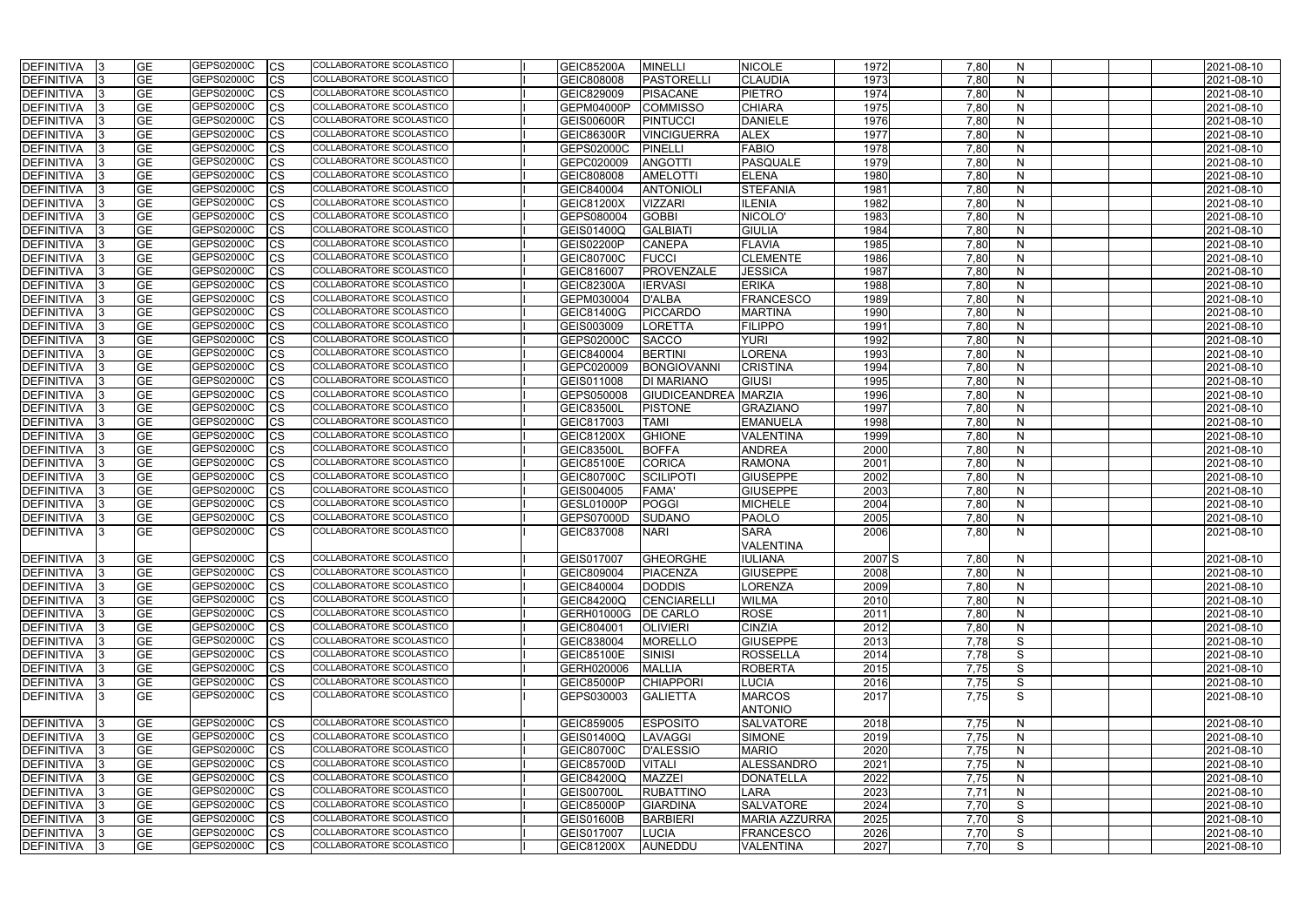| <b>DEFINITIVA</b> | <b>GE</b> | GEPS02000C | <b>ICS</b> | COLLABORATORE SCOLASTICO        | GEIC85200A        | <b>MINELLI</b>       | <b>NICOLE</b>        | 1972              | 7,80 | N            |  | 2021-08-10 |
|-------------------|-----------|------------|------------|---------------------------------|-------------------|----------------------|----------------------|-------------------|------|--------------|--|------------|
| <b>DEFINITIVA</b> | <b>GE</b> | GEPS02000C | <b>CS</b>  | <b>COLLABORATORE SCOLASTICO</b> | GEIC808008        | PASTORELLI           | <b>CLAUDIA</b>       | 1973              | 7,80 | N            |  | 2021-08-10 |
| <b>DEFINITIVA</b> | <b>GE</b> | GEPS02000C | <b>CS</b>  | COLLABORATORE SCOLASTICO        | GEIC829009        | <b>PISACANE</b>      | <b>PIETRO</b>        | 1974              | 7,80 | N            |  | 2021-08-10 |
| <b>DEFINITIVA</b> | <b>GE</b> | GEPS02000C | <b>CS</b>  | COLLABORATORE SCOLASTICO        | GEPM04000P        | <b>COMMISSO</b>      | <b>CHIARA</b>        | 1975              | 7,80 | N            |  | 2021-08-10 |
| <b>DEFINITIVA</b> | <b>GE</b> | GEPS02000C | <b>CS</b>  | COLLABORATORE SCOLASTICO        | <b>GEIS00600R</b> | PINTUCCI             | <b>DANIELE</b>       | 1976              | 7,80 | N            |  | 2021-08-10 |
| <b>DEFINITIVA</b> | <b>GE</b> | GEPS02000C | <b>ICS</b> | COLLABORATORE SCOLASTICO        | <b>GEIC86300R</b> | <b>VINCIGUERRA</b>   | <b>ALEX</b>          | 1977              | 7,80 | $\mathsf{N}$ |  | 2021-08-10 |
| <b>DEFINITIVA</b> | <b>GE</b> | GEPS02000C | <b>CS</b>  | COLLABORATORE SCOLASTICO        | GEPS02000C        | PINELLI              | <b>FABIO</b>         | 1978              | 7,80 | N            |  | 2021-08-10 |
| <b>DEFINITIVA</b> | <b>GE</b> | GEPS02000C | <b>ICS</b> | COLLABORATORE SCOLASTICO        | GEPC020009        | <b>ANGOTTI</b>       | <b>PASQUALE</b>      | 1979              | 7,80 | N            |  | 2021-08-10 |
| <b>DEFINITIVA</b> | <b>GE</b> | GEPS02000C | <b>CS</b>  | COLLABORATORE SCOLASTICO        | GEIC808008        | <b>AMELOTTI</b>      | <b>ELENA</b>         | 1980              | 7,80 | N            |  | 2021-08-10 |
| DEFINITIVA        | <b>GE</b> | GEPS02000C | CS         | <b>COLLABORATORE SCOLASTICO</b> | GEIC840004        | ANTONIOLI            | <b>STEFANIA</b>      | 1981              | 7,80 | $\mathsf{N}$ |  | 2021-08-10 |
| <b>DEFINITIVA</b> | <b>GE</b> | GEPS02000C | <b>CS</b>  | COLLABORATORE SCOLASTICO        | <b>GEIC81200X</b> | <b>VIZZARI</b>       | <b>ILENIA</b>        | 1982              | 7,80 | N            |  | 2021-08-10 |
| <b>DEFINITIVA</b> | <b>GE</b> | GEPS02000C | <b>CS</b>  | COLLABORATORE SCOLASTICO        | GEPS080004        | <b>GOBBI</b>         | NICOLO'              | 1983              | 7,80 | N            |  | 2021-08-10 |
| <b>DEFINITIVA</b> | <b>GE</b> | GEPS02000C | <b>CS</b>  | COLLABORATORE SCOLASTICO        | GEIS01400Q        | <b>GALBIATI</b>      | <b>GIULIA</b>        | 1984              | 7,80 | $\mathsf{N}$ |  | 2021-08-10 |
| <b>DEFINITIVA</b> | <b>GE</b> | GEPS02000C | <b>CS</b>  | COLLABORATORE SCOLASTICO        | <b>GEIS02200P</b> | <b>CANEPA</b>        | <b>FLAVIA</b>        | 1985              | 7,80 | N            |  | 2021-08-10 |
|                   |           | GEPS02000C |            | COLLABORATORE SCOLASTICO        |                   |                      |                      |                   |      |              |  |            |
| <b>DEFINITIVA</b> | <b>GE</b> |            | <b>CS</b>  | COLLABORATORE SCOLASTICO        | <b>GEIC80700C</b> | <b>FUCCI</b>         | <b>CLEMENTE</b>      | 1986              | 7,80 | N            |  | 2021-08-10 |
| <b>DEFINITIVA</b> | <b>GE</b> | GEPS02000C | <b>CS</b>  |                                 | GEIC816007        | <b>PROVENZALE</b>    | <b>JESSICA</b>       | 1987              | 7,80 | N            |  | 2021-08-10 |
| <b>DEFINITIVA</b> | <b>GE</b> | GEPS02000C | CS         | COLLABORATORE SCOLASTICO        | <b>GEIC82300A</b> | <b>IERVASI</b>       | <b>ERIKA</b>         | 1988              | 7,80 | N            |  | 2021-08-10 |
| <b>DEFINITIVA</b> | <b>GE</b> | GEPS02000C | <b>CS</b>  | COLLABORATORE SCOLASTICO        | GEPM030004        | <b>D'ALBA</b>        | <b>FRANCESCO</b>     | 1989              | 7,80 | N            |  | 2021-08-10 |
| <b>DEFINITIVA</b> | <b>GE</b> | GEPS02000C | <b>CS</b>  | COLLABORATORE SCOLASTICO        | <b>GEIC81400G</b> | PICCARDO             | <b>MARTINA</b>       | 1990              | 7,80 | $\mathsf{N}$ |  | 2021-08-10 |
| <b>DEFINITIVA</b> | <b>GE</b> | GEPS02000C | <b>CS</b>  | COLLABORATORE SCOLASTICO        | GEIS003009        | <b>LORETTA</b>       | <b>FILIPPO</b>       | 1991              | 7,80 | N            |  | 2021-08-10 |
| <b>DEFINITIVA</b> | <b>GE</b> | GEPS02000C | <b>CS</b>  | COLLABORATORE SCOLASTICO        | GEPS02000C        | <b>SACCO</b>         | <b>YURI</b>          | 1992              | 7,80 | N            |  | 2021-08-10 |
| <b>DEFINITIVA</b> | <b>GE</b> | GEPS02000C | <b>CS</b>  | COLLABORATORE SCOLASTICO        | GEIC840004        | <b>BERTINI</b>       | LORENA               | 1993              | 7,80 | N            |  | 2021-08-10 |
| <b>DEFINITIVA</b> | <b>GE</b> | GEPS02000C | <b>CS</b>  | COLLABORATORE SCOLASTICO        | GEPC020009        | <b>BONGIOVANNI</b>   | <b>CRISTINA</b>      | 1994              | 7,80 | N            |  | 2021-08-10 |
| <b>DEFINITIVA</b> | <b>GE</b> | GEPS02000C | <b>CS</b>  | COLLABORATORE SCOLASTICO        | GEIS011008        | <b>DI MARIANO</b>    | <b>GIUSI</b>         | 1995              | 7,80 | $\mathsf{N}$ |  | 2021-08-10 |
| <b>DEFINITIVA</b> | <b>GE</b> | GEPS02000C | <b>CS</b>  | COLLABORATORE SCOLASTICO        | GEPS050008        | <b>GIUDICEANDREA</b> | <b>MARZIA</b>        | 1996              | 7,80 | $\mathsf{N}$ |  | 2021-08-10 |
| <b>DEFINITIVA</b> | <b>GE</b> | GEPS02000C | <b>CS</b>  | COLLABORATORE SCOLASTICO        | <b>GEIC83500L</b> | <b>PISTONE</b>       | <b>GRAZIANO</b>      | 1997              | 7,80 | $\mathsf{N}$ |  | 2021-08-10 |
| <b>DEFINITIVA</b> | <b>GE</b> | GEPS02000C | <b>CS</b>  | COLLABORATORE SCOLASTICO        | GEIC817003        | <b>TAMI</b>          | <b>EMANUELA</b>      | 1998              | 7,80 | N            |  | 2021-08-10 |
| <b>DEFINITIVA</b> | <b>GE</b> | GEPS02000C | <b>CS</b>  | COLLABORATORE SCOLASTICO        | <b>GEIC81200X</b> | <b>GHIONE</b>        | <b>VALENTINA</b>     | 1999              | 7,80 | N            |  | 2021-08-10 |
| <b>DEFINITIVA</b> | <b>GE</b> | GEPS02000C | CS         | COLLABORATORE SCOLASTICO        | <b>GEIC83500L</b> | <b>BOFFA</b>         | <b>ANDREA</b>        | 2000              | 7,80 | N            |  | 2021-08-10 |
| <b>DEFINITIVA</b> | <b>GE</b> | GEPS02000C | <b>CS</b>  | COLLABORATORE SCOLASTICO        | <b>GEIC85100E</b> | <b>CORICA</b>        | <b>RAMONA</b>        | 2001              | 7,80 | N            |  | 2021-08-10 |
| <b>DEFINITIVA</b> | <b>GE</b> | GEPS02000C | <b>CS</b>  | COLLABORATORE SCOLASTICO        | <b>GEIC80700C</b> | SCILIPOTI            | <b>GIUSEPPE</b>      | 2002              | 7,80 | N            |  | 2021-08-10 |
| <b>DEFINITIVA</b> | <b>GE</b> | GEPS02000C | <b>CS</b>  | COLLABORATORE SCOLASTICO        | GEIS004005        | <b>FAMA</b>          | <b>GIUSEPPE</b>      | 2003              | 7,80 | $\mathsf{N}$ |  | 2021-08-10 |
| <b>DEFINITIVA</b> | <b>GE</b> | GEPS02000C | <b>CS</b>  | COLLABORATORE SCOLASTICO        | GESL01000P        | POGGI                | <b>MICHELE</b>       | 2004              | 7,80 | N            |  | 2021-08-10 |
| <b>DEFINITIVA</b> | <b>GE</b> | GEPS02000C | <b>CS</b>  | COLLABORATORE SCOLASTICO        | <b>GEPS07000D</b> | <b>SUDANO</b>        | <b>PAOLO</b>         | 2005              | 7,80 | N            |  | 2021-08-10 |
| <b>DEFINITIVA</b> | <b>GE</b> | GEPS02000C | ICS.       | COLLABORATORE SCOLASTICO        | GEIC837008        | <b>NARI</b>          | <b>SARA</b>          | 2006              | 7,80 | N            |  | 2021-08-10 |
|                   |           |            |            |                                 |                   |                      | <b>VALENTINA</b>     |                   |      |              |  |            |
| <b>DEFINITIVA</b> | <b>GE</b> | GEPS02000C | <b>ICS</b> | COLLABORATORE SCOLASTICO        | GEIS017007        | <b>GHEORGHE</b>      | <b>IULIANA</b>       | 2007 <sub>S</sub> | 7,80 | N            |  | 2021-08-10 |
| <b>DEFINITIVA</b> | <b>GE</b> | GEPS02000C | <b>CS</b>  | COLLABORATORE SCOLASTICO        | GEIC809004        | PIACENZA             | <b>GIUSEPPE</b>      | 2008              | 7,80 | N            |  | 2021-08-10 |
| <b>DEFINITIVA</b> | <b>GE</b> | GEPS02000C |            | COLLABORATORE SCOLASTICO        |                   |                      | LORENZA              | 2009              |      |              |  |            |
|                   |           | GEPS02000C | <b>CS</b>  | COLLABORATORE SCOLASTICO        | GEIC840004        | <b>DODDIS</b>        |                      |                   | 7,80 | $\mathsf{N}$ |  | 2021-08-10 |
| <b>DEFINITIVA</b> | <b>GE</b> | GEPS02000C | <b>CS</b>  |                                 | <b>GEIC84200Q</b> | <b>CENCIARELLI</b>   | <b>WILMA</b>         | 2010              | 7,80 | $\mathsf{N}$ |  | 2021-08-10 |
| DEFINITIVA        | <b>GE</b> |            | <b>CS</b>  | COLLABORATORE SCOLASTICO        | <b>GERH01000G</b> | <b>DE CARLO</b>      | <b>ROSE</b>          | 2011              | 7,80 | $\mathsf{N}$ |  | 2021-08-10 |
| DEFINITIVA        | <b>GE</b> | GEPS02000C | <b>CS</b>  | COLLABORATORE SCOLASTICO        | GEIC804001        | <b>OLIVIERI</b>      | <b>CINZIA</b>        | 2012              | 7,80 | $\mathsf{N}$ |  | 2021-08-10 |
| DEFINITIVA        | <b>GE</b> | GEPS02000C | <b>CS</b>  | COLLABORATORE SCOLASTICO        | GEIC838004        | <b>MORELLO</b>       | <b>GIUSEPPE</b>      | 2013              | 7,78 | S            |  | 2021-08-10 |
| DEFINITIVA        | <b>GE</b> | GEPS02000C | <b>ICS</b> | COLLABORATORE SCOLASTICO        | <b>GEIC85100E</b> | SINISI               | <b>ROSSELLA</b>      | 2014              | 7,78 | S            |  | 2021-08-10 |
| DEFINITIVA        | <b>GE</b> | GEPS02000C | <b>ICS</b> | COLLABORATORE SCOLASTICO        | GERH020006        | <b>MALLIA</b>        | <b>ROBERTA</b>       | 2015              | 7,75 | S            |  | 2021-08-10 |
| <b>DEFINITIVA</b> | <b>GE</b> | GEPS02000C | <b>ICS</b> | COLLABORATORE SCOLASTICO        | GEIC85000P        | <b>CHIAPPORI</b>     | <b>LUCIA</b>         | 2016              | 7,75 | S            |  | 2021-08-10 |
| <b>DEFINITIVA</b> | <b>GE</b> | GEPS02000C | <b>ICS</b> | COLLABORATORE SCOLASTICO        | GEPS030003        | <b>GALIETTA</b>      | <b>MARCOS</b>        | 2017              | 7,75 | S            |  | 2021-08-10 |
|                   |           |            |            |                                 |                   |                      | <b>ANTONIO</b>       |                   |      |              |  |            |
| <b>DEFINITIVA</b> | <b>GE</b> | GEPS02000C | <b>ICS</b> | COLLABORATORE SCOLASTICO        | GEIC859005        | <b>ESPOSITO</b>      | <b>SALVATORE</b>     | 2018              | 7,75 | N            |  | 2021-08-10 |
| <b>DEFINITIVA</b> | <b>GE</b> | GEPS02000C | <b>ICS</b> | COLLABORATORE SCOLASTICO        | <b>GEIS01400Q</b> | <b>LAVAGGI</b>       | <b>SIMONE</b>        | 2019              | 7,75 | N            |  | 2021-08-10 |
| DEFINITIVA        | <b>GE</b> | GEPS02000C | <b>CS</b>  | COLLABORATORE SCOLASTICO        | <b>GEIC80700C</b> | <b>D'ALESSIO</b>     | <b>MARIO</b>         | 2020              | 7,75 | N            |  | 2021-08-10 |
| <b>DEFINITIVA</b> | <b>GE</b> | GEPS02000C | <b>CS</b>  | COLLABORATORE SCOLASTICO        | GEIC85700D        | <b>VITALI</b>        | <b>ALESSANDRO</b>    | 2021              | 7,75 | $\mathsf{N}$ |  | 2021-08-10 |
| DEFINITIVA        | <b>GE</b> | GEPS02000C | <b>ICS</b> | COLLABORATORE SCOLASTICO        | <b>GEIC84200Q</b> | <b>MAZZEI</b>        | <b>DONATELLA</b>     | 2022              | 7,75 | N            |  | 2021-08-10 |
| DEFINITIVA        | <b>GE</b> | GEPS02000C | <b>CS</b>  | COLLABORATORE SCOLASTICO        | GEIS00700L        | <b>RUBATTINO</b>     | <b>LARA</b>          | 2023              | 7,71 | N            |  | 2021-08-10 |
| <b>DEFINITIVA</b> | <b>GE</b> | GEPS02000C | <b>CS</b>  | COLLABORATORE SCOLASTICO        | GEIC85000P        | <b>GIARDINA</b>      | <b>SALVATORE</b>     | 2024              | 7,70 | S            |  | 2021-08-10 |
| DEFINITIVA        | <b>GE</b> | GEPS02000C | <b>ICS</b> | COLLABORATORE SCOLASTICO        | <b>GEIS01600B</b> | <b>BARBIERI</b>      | <b>MARIA AZZURRA</b> | 2025              | 7,70 | S            |  | 2021-08-10 |
| DEFINITIVA        | <b>GE</b> | GEPS02000C | <b>CS</b>  | COLLABORATORE SCOLASTICO        | GEIS017007        | <b>LUCIA</b>         | FRANCESCO            | 2026              | 7,70 | S            |  | 2021-08-10 |
| DEFINITIVA        | <b>GE</b> | GEPS02000C | <b>CS</b>  | COLLABORATORE SCOLASTICO        | <b>GEIC81200X</b> | AUNEDDU              | <b>VALENTINA</b>     | 2027              | 7,70 | S            |  | 2021-08-10 |
|                   |           |            |            |                                 |                   |                      |                      |                   |      |              |  |            |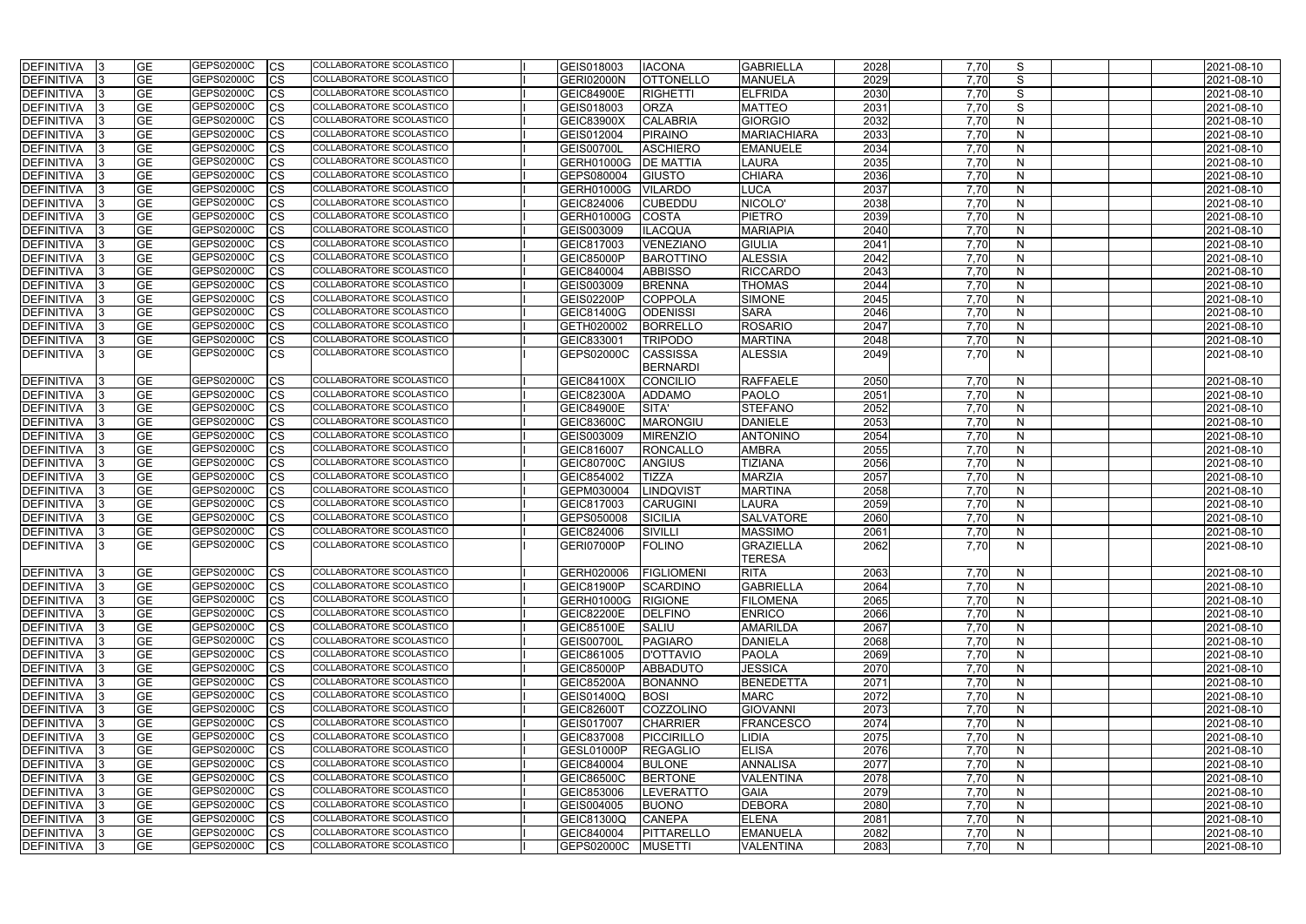| <b>DEFINITIVA</b> | <b>GE</b>  | GEPS02000C | <b>CS</b>  | COLLABORATORE SCOLASTICO        | GEIS018003        | <b>IACONA</b>    | <b>GABRIELLA</b>   | 2028 | 7,70 | S            | 2021-08-10 |  |
|-------------------|------------|------------|------------|---------------------------------|-------------------|------------------|--------------------|------|------|--------------|------------|--|
| DEFINITIVA        | <b>GE</b>  | GEPS02000C | <b>CS</b>  | COLLABORATORE SCOLASTICO        | <b>GERI02000N</b> | <b>OTTONELLO</b> | <b>MANUELA</b>     | 2029 | 7,70 | S            | 2021-08-10 |  |
| <b>DEFINITIVA</b> | <b>GE</b>  | GEPS02000C | <b>CS</b>  | COLLABORATORE SCOLASTICO        | <b>GEIC84900E</b> | <b>RIGHETTI</b>  | <b>ELFRIDA</b>     | 2030 | 7,70 | S            | 2021-08-10 |  |
| <b>DEFINITIVA</b> | <b>GE</b>  | GEPS02000C | CS         | COLLABORATORE SCOLASTICO        | GEIS018003        | <b>ORZA</b>      | <b>MATTEO</b>      | 2031 | 7,70 | S            | 2021-08-10 |  |
| <b>DEFINITIVA</b> | <b>GE</b>  | GEPS02000C | <b>ICS</b> | COLLABORATORE SCOLASTICO        | GEIC83900X        | <b>CALABRIA</b>  | <b>GIORGIO</b>     | 2032 | 7,70 | N            | 2021-08-10 |  |
| DEFINITIVA        | <b>GE</b>  | GEPS02000C | <b>CS</b>  | COLLABORATORE SCOLASTICO        | GEIS012004        | PIRAINO          | <b>MARIACHIARA</b> | 2033 | 7,70 | N            | 2021-08-10 |  |
| <b>DEFINITIVA</b> | <b>GE</b>  | GEPS02000C | <b>CS</b>  | COLLABORATORE SCOLASTICO        | GEIS00700L        | <b>ASCHIERO</b>  | <b>EMANUELE</b>    | 2034 | 7,70 | N            | 2021-08-10 |  |
| DEFINITIVA        | <b>GE</b>  | GEPS02000C | <b>CS</b>  | COLLABORATORE SCOLASTICO        | GERH01000G        | <b>DE MATTIA</b> | <b>LAURA</b>       | 2035 | 7,70 | N            | 2021-08-10 |  |
| <b>DEFINITIVA</b> | <b>GE</b>  | GEPS02000C | <b>CS</b>  | <b>COLLABORATORE SCOLASTICO</b> | GEPS080004        | GIUSTO           | <b>CHIARA</b>      | 2036 | 7,70 | N            | 2021-08-10 |  |
| <b>DEFINITIVA</b> | <b>GE</b>  | GEPS02000C | <b>CS</b>  | COLLABORATORE SCOLASTICO        | GERH01000G        | <b>VILARDO</b>   | <b>LUCA</b>        | 2037 | 7,70 | N            | 2021-08-10 |  |
| <b>DEFINITIVA</b> | <b>GE</b>  | GEPS02000C | <b>CS</b>  | COLLABORATORE SCOLASTICO        | GEIC824006        | <b>CUBEDDU</b>   | NICOLO'            | 2038 | 7,70 | N            | 2021-08-10 |  |
| <b>DEFINITIVA</b> | <b>GE</b>  | GEPS02000C | CS         | COLLABORATORE SCOLASTICO        | GERH01000G        | <b>COSTA</b>     | <b>PIETRO</b>      | 2039 | 7,70 | <sub>N</sub> | 2021-08-10 |  |
| <b>DEFINITIVA</b> | <b>GE</b>  | GEPS02000C | <b>CS</b>  | COLLABORATORE SCOLASTICO        | GEIS003009        | <b>ILACQUA</b>   | <b>MARIAPIA</b>    | 2040 | 7,70 | N            | 2021-08-10 |  |
| <b>DEFINITIVA</b> | <b>GE</b>  | GEPS02000C | CS         | COLLABORATORE SCOLASTICO        | GEIC817003        | <b>VENEZIANO</b> | <b>GIULIA</b>      | 2041 | 7,70 | N            | 2021-08-10 |  |
| <b>DEFINITIVA</b> | <b>GE</b>  | GEPS02000C | <b>CS</b>  | COLLABORATORE SCOLASTICO        | <b>GEIC85000P</b> | <b>BAROTTINO</b> | <b>ALESSIA</b>     | 2042 | 7,70 | N            | 2021-08-10 |  |
| <b>DEFINITIVA</b> | <b>GE</b>  | GEPS02000C | CS         | COLLABORATORE SCOLASTICO        | GEIC840004        | <b>ABBISSO</b>   | <b>RICCARDO</b>    | 2043 | 7,70 | N            | 2021-08-10 |  |
| <b>DEFINITIVA</b> | <b>GE</b>  | GEPS02000C | <b>CS</b>  | COLLABORATORE SCOLASTICO        | GEIS003009        | <b>BRENNA</b>    | <b>THOMAS</b>      | 2044 | 7,70 | N            | 2021-08-10 |  |
| <b>DEFINITIVA</b> | <b>GE</b>  | GEPS02000C | CS         | COLLABORATORE SCOLASTICO        | <b>GEIS02200P</b> | COPPOLA          | <b>SIMONE</b>      | 2045 | 7,70 | N            | 2021-08-10 |  |
| <b>DEFINITIVA</b> | <b>GE</b>  | GEPS02000C | <b>CS</b>  | COLLABORATORE SCOLASTICO        | <b>GEIC81400G</b> | <b>ODENISSI</b>  | <b>SARA</b>        | 2046 | 7,70 | N            | 2021-08-10 |  |
| <b>DEFINITIVA</b> | <b>GE</b>  | GEPS02000C | <b>CS</b>  | COLLABORATORE SCOLASTICO        | GETH020002        | <b>BORRELLO</b>  | <b>ROSARIO</b>     | 2047 | 7,70 | N            | 2021-08-10 |  |
| <b>DEFINITIVA</b> | <b>GE</b>  | GEPS02000C | <b>CS</b>  | <b>COLLABORATORE SCOLASTICO</b> | GEIC833001        | <b>TRIPODO</b>   | <b>MARTINA</b>     | 2048 | 7,70 | N            | 2021-08-10 |  |
| <b>DEFINITIVA</b> | <b>GE</b>  | GEPS02000C | <b>CS</b>  | COLLABORATORE SCOLASTICO        | GEPS02000C        | <b>CASSISSA</b>  | <b>ALESSIA</b>     | 2049 | 7,70 | N            | 2021-08-10 |  |
|                   |            |            |            |                                 |                   | <b>BERNARDI</b>  |                    |      |      |              |            |  |
| <b>DEFINITIVA</b> | <b>GE</b>  | GEPS02000C | <b>ICS</b> | COLLABORATORE SCOLASTICO        | <b>GEIC84100X</b> | CONCILIO         | <b>RAFFAELE</b>    | 2050 | 7,70 | N            | 2021-08-10 |  |
| <b>DEFINITIVA</b> | <b>GE</b>  | GEPS02000C | <b>CS</b>  | COLLABORATORE SCOLASTICO        | <b>GEIC82300A</b> | <b>ADDAMO</b>    | <b>PAOLO</b>       | 2051 | 7,70 | <sub>N</sub> | 2021-08-10 |  |
| <b>DEFINITIVA</b> | <b>GE</b>  | GEPS02000C | <b>CS</b>  | COLLABORATORE SCOLASTICO        | <b>GEIC84900E</b> | SITA'            | <b>STEFANO</b>     | 2052 | 7,70 | N            | 2021-08-10 |  |
| <b>DEFINITIVA</b> | <b>GE</b>  | GEPS02000C | <b>CS</b>  | COLLABORATORE SCOLASTICO        | <b>GEIC83600C</b> | <b>MARONGIU</b>  | <b>DANIELE</b>     | 2053 | 7,70 | N            | 2021-08-10 |  |
| <b>DEFINITIVA</b> | <b>GE</b>  | GEPS02000C | CS         | COLLABORATORE SCOLASTICO        | GEIS003009        | <b>MIRENZIO</b>  | <b>ANTONINO</b>    | 2054 | 7,70 | N            | 2021-08-10 |  |
| <b>DEFINITIVA</b> | <b>GE</b>  | GEPS02000C | CS         | COLLABORATORE SCOLASTICO        | GEIC816007        | <b>RONCALLO</b>  | <b>AMBRA</b>       | 2055 | 7,70 | N            | 2021-08-10 |  |
| <b>DEFINITIVA</b> | <b>GE</b>  | GEPS02000C | <b>CS</b>  | COLLABORATORE SCOLASTICO        | <b>GEIC80700C</b> | <b>ANGIUS</b>    | <b>TIZIANA</b>     | 2056 | 7,70 | N            | 2021-08-10 |  |
| DEFINITIVA        | <b>GE</b>  | GEPS02000C | <b>CS</b>  | COLLABORATORE SCOLASTICO        | GEIC854002        | <b>TIZZA</b>     | <b>MARZIA</b>      | 2057 | 7,70 | N            | 2021-08-10 |  |
| <b>DEFINITIVA</b> | <b>GE</b>  | GEPS02000C | <b>CS</b>  | <b>COLLABORATORE SCOLASTICO</b> | GEPM030004        | LINDQVIST        | <b>MARTINA</b>     | 2058 | 7,70 | N            | 2021-08-10 |  |
| DEFINITIVA        | <b>GE</b>  | GEPS02000C | <b>CS</b>  | COLLABORATORE SCOLASTICO        | GEIC817003        | <b>CARUGINI</b>  | <b>LAURA</b>       | 2059 | 7,70 | N            | 2021-08-10 |  |
| <b>DEFINITIVA</b> | <b>GE</b>  | GEPS02000C | CS         | COLLABORATORE SCOLASTICO        | GEPS050008        | SICILIA          | <b>SALVATORE</b>   | 2060 | 7,70 | N            | 2021-08-10 |  |
| <b>DEFINITIVA</b> | <b>GE</b>  | GEPS02000C | CS         | COLLABORATORE SCOLASTICO        | GEIC824006        | SIVILLI          | <b>MASSIMO</b>     | 2061 | 7,70 | N            | 2021-08-10 |  |
| <b>DEFINITIVA</b> | <b>IGE</b> | GEPS02000C | <b>ICS</b> | COLLABORATORE SCOLASTICO        | GERI07000P        | <b>FOLINO</b>    | GRAZIELLA          | 2062 | 7.70 | N            | 2021-08-10 |  |
|                   |            |            |            |                                 |                   |                  | <b>TERESA</b>      |      |      |              |            |  |
| <b>DEFINITIVA</b> | <b>GE</b>  | GEPS02000C | <b>ICS</b> | COLLABORATORE SCOLASTICO        | GERH020006        | FIGLIOMENI       | <b>RITA</b>        | 2063 | 7,70 | N            | 2021-08-10 |  |
| <b>DEFINITIVA</b> | <b>GE</b>  | GEPS02000C | <b>ICS</b> | COLLABORATORE SCOLASTICO        | GEIC81900P        | SCARDINO         | <b>GABRIELLA</b>   | 2064 | 7,70 | $\mathsf{N}$ | 2021-08-10 |  |
| <b>DEFINITIVA</b> | <b>GE</b>  | GEPS02000C | <b>CS</b>  | COLLABORATORE SCOLASTICO        | <b>GERH01000G</b> | <b>RIGIONE</b>   | <b>FILOMENA</b>    | 2065 | 7,70 | N            | 2021-08-10 |  |
| DEFINITIVA        | <b>GE</b>  | GEPS02000C | <b>ICS</b> | COLLABORATORE SCOLASTICO        | <b>GEIC82200E</b> | <b>DELFINO</b>   | <b>ENRICO</b>      | 2066 | 7,70 | N            | 2021-08-10 |  |
| DEFINITIVA        | <b>GE</b>  | GEPS02000C | <b>ICS</b> | COLLABORATORE SCOLASTICO        | <b>GEIC85100E</b> | SALIU            | <b>AMARILDA</b>    | 2067 | 7,70 | N            | 2021-08-10 |  |
| <b>DEFINITIVA</b> | <b>GE</b>  | GEPS02000C | <b>CS</b>  | COLLABORATORE SCOLASTICO        | GEIS00700L        | PAGIARO          | <b>DANIELA</b>     | 2068 | 7,70 | N            | 2021-08-10 |  |
| <b>DEFINITIVA</b> | <b>GE</b>  | GEPS02000C | <b>ICS</b> | COLLABORATORE SCOLASTICO        | GEIC861005        | <b>D'OTTAVIO</b> | <b>PAOLA</b>       | 2069 | 7,70 | N            | 2021-08-10 |  |
| <b>DEFINITIVA</b> | <b>GE</b>  | GEPS02000C | <b>ICS</b> | COLLABORATORE SCOLASTICO        | GEIC85000P        | <b>ABBADUTO</b>  | <b>JESSICA</b>     | 2070 | 7,70 | N            | 2021-08-10 |  |
| <b>DEFINITIVA</b> | <b>GE</b>  | GEPS02000C | <b>ICS</b> | COLLABORATORE SCOLASTICO        | <b>GEIC85200A</b> | <b>BONANNO</b>   | BENEDETTA          | 2071 | 7,70 | N            | 2021-08-10 |  |
| <b>DEFINITIVA</b> | <b>GE</b>  | GEPS02000C | <b>CS</b>  | COLLABORATORE SCOLASTICO        | <b>GEIS01400Q</b> | <b>BOSI</b>      | <b>MARC</b>        | 2072 | 7,70 | N            | 2021-08-10 |  |
| <b>DEFINITIVA</b> | <b>GE</b>  | GEPS02000C | <b>ICS</b> | COLLABORATORE SCOLASTICO        | <b>GEIC82600T</b> | COZZOLINO        | <b>GIOVANNI</b>    | 2073 | 7,70 | $\mathsf{N}$ | 2021-08-10 |  |
| <b>DEFINITIVA</b> | <b>GE</b>  | GEPS02000C | <b>CS</b>  | COLLABORATORE SCOLASTICO        | GEIS017007        | <b>CHARRIER</b>  | <b>FRANCESCO</b>   | 2074 | 7,70 | N            | 2021-08-10 |  |
| <b>DEFINITIVA</b> | <b>GE</b>  | GEPS02000C | <b>CS</b>  | COLLABORATORE SCOLASTICO        | GEIC837008        | PICCIRILLO       | <b>LIDIA</b>       | 2075 | 7,70 | N            | 2021-08-10 |  |
| <b>DEFINITIVA</b> | <b>GE</b>  | GEPS02000C | <b>CS</b>  | COLLABORATORE SCOLASTICO        | GESL01000P        | <b>REGAGLIO</b>  | <b>ELISA</b>       | 2076 | 7,70 | N            | 2021-08-10 |  |
| <b>DEFINITIVA</b> | <b>GE</b>  | GEPS02000C | <b>CS</b>  | COLLABORATORE SCOLASTICO        | GEIC840004        | <b>BULONE</b>    | <b>ANNALISA</b>    | 2077 | 7,70 | N            | 2021-08-10 |  |
| <b>DEFINITIVA</b> | <b>GE</b>  | GEPS02000C | <b>CS</b>  | COLLABORATORE SCOLASTICO        | <b>GEIC86500C</b> | <b>BERTONE</b>   | <b>VALENTINA</b>   | 2078 | 7,70 | N            | 2021-08-10 |  |
| DEFINITIVA        | <b>GE</b>  | GEPS02000C | <b>ICS</b> | COLLABORATORE SCOLASTICO        | GEIC853006        | <b>LEVERATTO</b> | <b>GAIA</b>        | 2079 | 7,70 | $\mathsf{N}$ | 2021-08-10 |  |
| DEFINITIVA        | <b>GE</b>  | GEPS02000C | <b>CS</b>  | COLLABORATORE SCOLASTICO        | GEIS004005        | <b>BUONO</b>     | <b>DEBORA</b>      | 2080 | 7,70 | N            | 2021-08-10 |  |
| <b>DEFINITIVA</b> | <b>GE</b>  | GEPS02000C | <b>ICS</b> | COLLABORATORE SCOLASTICO        | GEIC81300Q        | <b>CANEPA</b>    | <b>ELENA</b>       | 2081 | 7,70 | N            | 2021-08-10 |  |
| <b>DEFINITIVA</b> | <b>GE</b>  | GEPS02000C | <b>ICS</b> | COLLABORATORE SCOLASTICO        | GEIC840004        | PITTARELLO       | <b>EMANUELA</b>    | 2082 | 7,70 | N            | 2021-08-10 |  |
| DEFINITIVA        | <b>GE</b>  | GEPS02000C | <b>ICS</b> | COLLABORATORE SCOLASTICO        | GEPS02000C        | <b>MUSETTI</b>   | <b>VALENTINA</b>   | 2083 | 7,70 | N            | 2021-08-10 |  |
|                   |            |            |            |                                 |                   |                  |                    |      |      |              |            |  |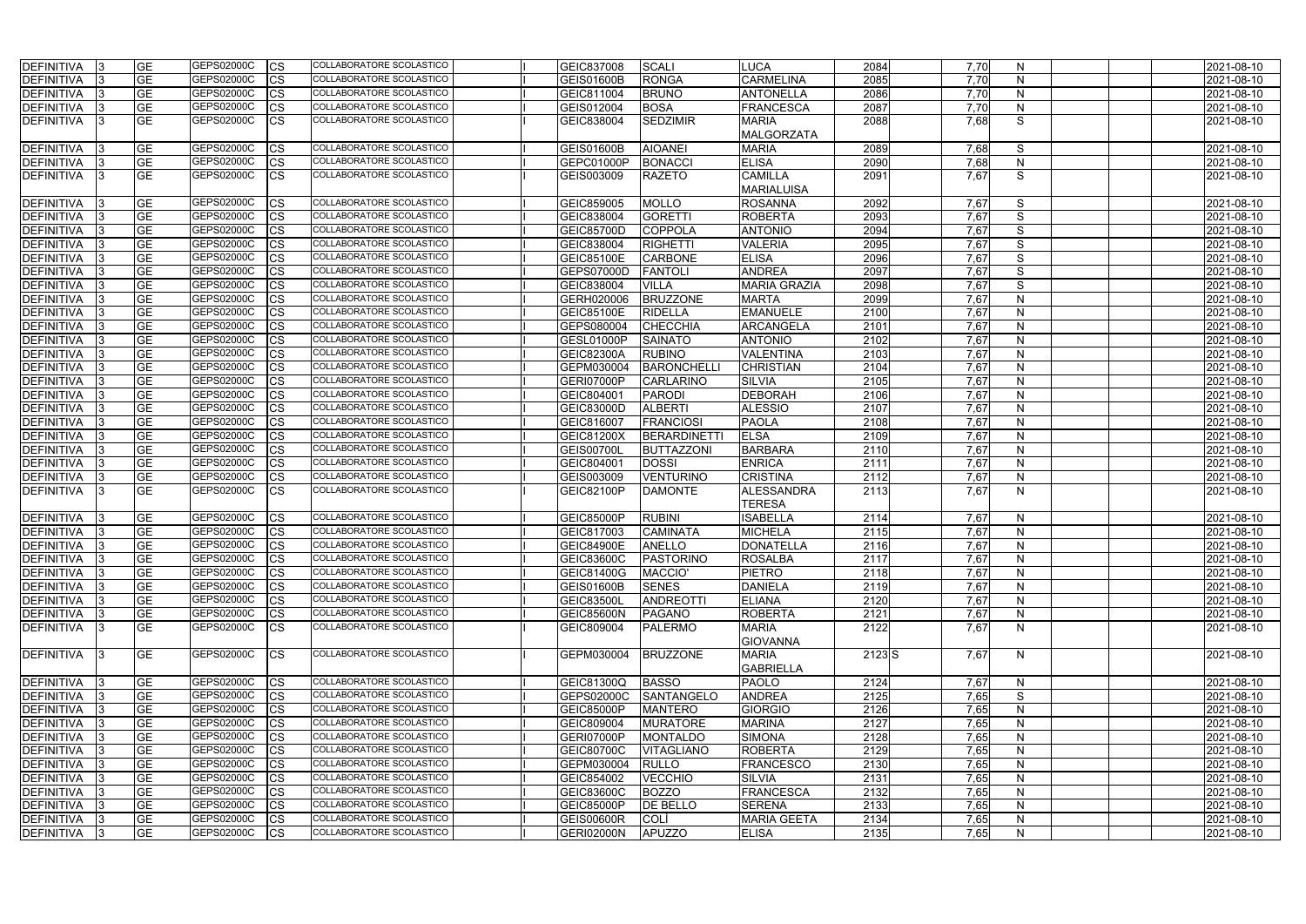| <b>DEFINITIVA</b> | <b>GE</b>  | GEPS02000C        | CS         | COLLABORATORE SCOLASTICO        | GEIC837008        | <b>SCALI</b>       | LUCA                | 2084  | 7,70 | N            | 2021-08-10 |
|-------------------|------------|-------------------|------------|---------------------------------|-------------------|--------------------|---------------------|-------|------|--------------|------------|
| DEFINITIVA        | <b>GE</b>  | GEPS02000C        | СS         | COLLABORATORE SCOLASTICO        | <b>GEIS01600B</b> | <b>RONGA</b>       | <b>CARMELINA</b>    | 2085  | 7,70 | N            | 2021-08-10 |
| <b>DEFINITIVA</b> | <b>GE</b>  | GEPS02000C        | <b>CS</b>  | COLLABORATORE SCOLASTICO        | GEIC811004        | <b>BRUNO</b>       | <b>ANTONELLA</b>    | 2086  | 7,70 | N            | 2021-08-10 |
| <b>DEFINITIVA</b> | <b>GE</b>  | GEPS02000C        | CS         | COLLABORATORE SCOLASTICO        | GEIS012004        | <b>BOSA</b>        | <b>FRANCESCA</b>    | 2087  | 7,70 | N            | 2021-08-10 |
| DEFINITIVA        | <b>GE</b>  | GEPS02000C        | <b>CS</b>  | COLLABORATORE SCOLASTICO        | GEIC838004        | <b>SEDZIMIR</b>    | <b>MARIA</b>        | 2088  | 7,68 | S            | 2021-08-10 |
|                   |            |                   |            |                                 |                   |                    | <b>MALGORZATA</b>   |       |      |              |            |
| <b>DEFINITIVA</b> | <b>GE</b>  | GEPS02000C        | CS         | COLLABORATORE SCOLASTICO        | <b>GEIS01600B</b> | <b>AIOANEI</b>     | <b>MARIA</b>        | 2089  | 7,68 | S            | 2021-08-10 |
| DEFINITIVA        | <b>GE</b>  | GEPS02000C        | СS         | <b>COLLABORATORE SCOLASTICO</b> | <b>GEPC01000P</b> | <b>BONACCI</b>     | <b>ELISA</b>        | 2090  | 7,68 | N            | 2021-08-10 |
| <b>DEFINITIVA</b> | <b>GE</b>  | GEPS02000C        | <b>CS</b>  | COLLABORATORE SCOLASTICO        | GEIS003009        | <b>RAZETO</b>      | <b>CAMILLA</b>      | 2091  | 7,67 | S            | 2021-08-10 |
|                   |            |                   |            |                                 |                   |                    | <b>MARIALUISA</b>   |       |      |              |            |
| <b>DEFINITIVA</b> | <b>GE</b>  | GEPS02000C        | CS         | COLLABORATORE SCOLASTICO        | GEIC859005        | <b>MOLLO</b>       | <b>ROSANNA</b>      | 2092  | 7,67 | S            | 2021-08-10 |
| DEFINITIVA        | <b>GE</b>  | GEPS02000C        | CS         | COLLABORATORE SCOLASTICO        | GEIC838004        | <b>GORETTI</b>     | <b>ROBERTA</b>      | 2093  | 7,67 | $\mathsf{S}$ | 2021-08-10 |
| <b>DEFINITIVA</b> | <b>GE</b>  | GEPS02000C        | CS         | COLLABORATORE SCOLASTICO        | <b>GEIC85700D</b> | <b>COPPOLA</b>     | <b>ANTONIO</b>      | 2094  | 7,67 | S            | 2021-08-10 |
| <b>DEFINITIVA</b> | <b>GE</b>  | GEPS02000C        | СS         | COLLABORATORE SCOLASTICO        | GEIC838004        | <b>RIGHETTI</b>    | <b>VALERIA</b>      | 2095  | 7,67 | S            | 2021-08-10 |
| <b>DEFINITIVA</b> | <b>GE</b>  | GEPS02000C        | CS         | COLLABORATORE SCOLASTICO        | <b>GEIC85100E</b> | <b>CARBONE</b>     | <b>ELISA</b>        | 2096  | 7,67 | S            | 2021-08-10 |
| <b>DEFINITIVA</b> | <b>GE</b>  | GEPS02000C        | CS         | <b>COLLABORATORE SCOLASTICO</b> | <b>GEPS07000D</b> | <b>FANTOLI</b>     | <b>ANDREA</b>       | 2097  | 7,67 | S            | 2021-08-10 |
| <b>DEFINITIVA</b> | <b>GE</b>  | GEPS02000C        | СS         | COLLABORATORE SCOLASTICO        | GEIC838004        | <b>VILLA</b>       | <b>MARIA GRAZIA</b> | 2098  | 7,67 | S            | 2021-08-10 |
| <b>DEFINITIVA</b> | <b>GE</b>  | GEPS02000C        | CS         | COLLABORATORE SCOLASTICO        | GERH020006        | <b>BRUZZONE</b>    | <b>MARTA</b>        | 2099  | 7,67 | $\mathsf{N}$ | 2021-08-10 |
| <b>DEFINITIVA</b> | <b>GE</b>  | GEPS02000C        | <b>CS</b>  | COLLABORATORE SCOLASTICO        | <b>GEIC85100E</b> | <b>RIDELLA</b>     | <b>EMANUELE</b>     | 2100  | 7,67 | N            | 2021-08-10 |
| <b>DEFINITIVA</b> | <b>GE</b>  | GEPS02000C        | СS         | <b>COLLABORATORE SCOLASTICO</b> | GEPS080004        | <b>CHECCHIA</b>    | <b>ARCANGELA</b>    | 2101  | 7,67 | $\mathsf{N}$ | 2021-08-10 |
| <b>DEFINITIVA</b> | <b>GE</b>  | GEPS02000C        | CS         | <b>COLLABORATORE SCOLASTICO</b> | <b>GESL01000P</b> | <b>SAINATO</b>     | <b>ANTONIO</b>      | 2102  | 7,67 | $\mathsf{N}$ | 2021-08-10 |
| <b>DEFINITIVA</b> | <b>GE</b>  | GEPS02000C        | <b>CS</b>  | COLLABORATORE SCOLASTICO        | GEIC82300A        | <b>RUBINO</b>      | <b>VALENTINA</b>    | 2103  | 7,67 | $\mathsf{N}$ | 2021-08-10 |
| <b>DEFINITIVA</b> | <b>GE</b>  | GEPS02000C        | CS         | COLLABORATORE SCOLASTICO        | GEPM030004        | <b>BARONCHELLI</b> | <b>CHRISTIAN</b>    | 2104  | 7,67 | $\mathsf{N}$ | 2021-08-10 |
| <b>DEFINITIVA</b> | <b>GE</b>  | GEPS02000C        | CS         | COLLABORATORE SCOLASTICO        | <b>GERI07000P</b> | <b>CARLARINO</b>   | <b>SILVIA</b>       | 2105  | 7,67 | $\mathsf{N}$ | 2021-08-10 |
| <b>DEFINITIVA</b> | <b>GE</b>  | GEPS02000C        | СS         | COLLABORATORE SCOLASTICO        | GEIC804001        | <b>PARODI</b>      | <b>DEBORAH</b>      | 2106  | 7,67 | N            | 2021-08-10 |
| <b>DEFINITIVA</b> | <b>GE</b>  | GEPS02000C        | СS         | COLLABORATORE SCOLASTICO        | <b>GEIC83000D</b> | <b>ALBERTI</b>     | <b>ALESSIO</b>      | 2107  | 7,67 | N            | 2021-08-10 |
| <b>DEFINITIVA</b> | <b>GE</b>  | GEPS02000C        | СS         | COLLABORATORE SCOLASTICO        | GEIC816007        | <b>FRANCIOSI</b>   | <b>PAOLA</b>        | 2108  | 7,67 | N            | 2021-08-10 |
| <b>DEFINITIVA</b> | <b>GE</b>  | GEPS02000C        | CS         | COLLABORATORE SCOLASTICO        | <b>GEIC81200X</b> | BERARDINETT        | <b>ELSA</b>         | 2109  | 7,67 | N            | 2021-08-10 |
| <b>DEFINITIVA</b> | <b>GE</b>  | GEPS02000C        | CS         | COLLABORATORE SCOLASTICO        | <b>GEIS00700L</b> | <b>BUTTAZZONI</b>  | <b>BARBARA</b>      | 2110  | 7,67 | N            | 2021-08-10 |
| DEFINITIVA        | <b>GE</b>  | GEPS02000C        | CS         | COLLABORATORE SCOLASTICO        | GEIC804001        | <b>DOSSI</b>       | <b>ENRICA</b>       | 2111  | 7,67 | N            | 2021-08-10 |
| <b>DEFINITIVA</b> | <b>GE</b>  | GEPS02000C        | <b>CS</b>  | COLLABORATORE SCOLASTICO        | GEIS003009        | <b>VENTURINO</b>   | <b>CRISTINA</b>     | 2112  | 7,67 | N            | 2021-08-10 |
| DEFINITIVA        | <b>GE</b>  | GEPS02000C        | CS         | <b>COLLABORATORE SCOLASTICO</b> | <b>GEIC82100P</b> | <b>DAMONTE</b>     | <b>ALESSANDRA</b>   | 2113  | 7,67 | $\mathsf{N}$ | 2021-08-10 |
|                   |            |                   |            |                                 |                   |                    | <b>TERESA</b>       |       |      |              |            |
| <b>DEFINITIVA</b> | <b>GE</b>  | GEPS02000C        | <b>ICS</b> | <b>COLLABORATORE SCOLASTICO</b> | <b>GEIC85000P</b> | <b>RUBINI</b>      | <b>ISABELLA</b>     | 2114  | 7,67 | N            | 2021-08-10 |
| <b>DEFINITIVA</b> | <b>GE</b>  | GEPS02000C        | CS         | COLLABORATORE SCOLASTICO        | GEIC817003        | <b>CAMINATA</b>    | <b>MICHELA</b>      | 2115  | 7,67 | N            | 2021-08-10 |
| <b>DEFINITIVA</b> | <b>IGE</b> | GEPS02000C        | <b>CS</b>  | COLLABORATORE SCOLASTICO        | <b>GEIC84900E</b> | <b>ANELLO</b>      | <b>DONATELLA</b>    | 2116  | 7.67 | N            | 2021-08-10 |
| <b>DEFINITIVA</b> | <b>GE</b>  | <b>GEPS02000C</b> | <b>CS</b>  | COLLABORATORE SCOLASTICO        | GEIC83600C        | PASTORINO          | <b>ROSALBA</b>      | 2117  | 7,67 | N            | 2021-08-10 |
| <b>DEFINITIVA</b> | <b>GE</b>  | GEPS02000C        | <b>CS</b>  | COLLABORATORE SCOLASTICO        | GEIC81400G        | MACCIO'            | <b>PIETRO</b>       | 2118  | 7,67 | N            | 2021-08-10 |
| DEFINITIVA        | <b>GE</b>  | GEPS02000C        | <b>CS</b>  | COLLABORATORE SCOLASTICO        | <b>GEIS01600B</b> | <b>SENES</b>       | <b>DANIELA</b>      | 2119  | 7,67 | $\mathsf{N}$ | 2021-08-10 |
| DEFINITIVA 3      | <b>GE</b>  | GEPS02000C        | <b>CS</b>  | COLLABORATORE SCOLASTICO        | GEIC83500L        | <b>ANDREOTTI</b>   | <b>ELIANA</b>       | 2120  | 7,67 | $\mathsf{N}$ | 2021-08-10 |
| <b>DEFINITIVA</b> | <b>GE</b>  | GEPS02000C        | <b>CS</b>  | COLLABORATORE SCOLASTICO        | <b>GEIC85600N</b> | <b>PAGANO</b>      | <b>ROBERTA</b>      | 2121  | 7,67 | N            | 2021-08-10 |
| <b>DEFINITIVA</b> | <b>GE</b>  | GEPS02000C        | <b>ICS</b> | COLLABORATORE SCOLASTICO        | GEIC809004        | <b>PALERMO</b>     | <b>MARIA</b>        | 2122  | 7,67 | N            | 2021-08-10 |
|                   |            |                   |            |                                 |                   |                    | <b>GIOVANNA</b>     |       |      |              |            |
| <b>DEFINITIVA</b> | <b>GE</b>  | GEPS02000C        | <b>CS</b>  | COLLABORATORE SCOLASTICO        | GEPM030004        | <b>BRUZZONE</b>    | <b>MARIA</b>        | 2123S | 7,67 | N            | 2021-08-10 |
|                   |            |                   |            |                                 |                   |                    | <b>GABRIELLA</b>    |       |      |              |            |
| DEFINITIVA 3      | <b>GE</b>  | GEPS02000C        | <b>CS</b>  | COLLABORATORE SCOLASTICO        | GEIC81300Q        | <b>BASSO</b>       | <b>PAOLO</b>        | 2124  | 7,67 | N            | 2021-08-10 |
| <b>DEFINITIVA</b> | <b>GE</b>  | GEPS02000C        | <b>CS</b>  | COLLABORATORE SCOLASTICO        | GEPS02000C        | <b>SANTANGELO</b>  | <b>ANDREA</b>       | 2125  | 7,65 | S            | 2021-08-10 |
| DEFINITIVA        | <b>GE</b>  | GEPS02000C        | <b>CS</b>  | COLLABORATORE SCOLASTICO        | <b>GEIC85000P</b> | <b>MANTERO</b>     | <b>GIORGIO</b>      | 2126  | 7,65 | N            | 2021-08-10 |
| DEFINITIVA 3      | <b>GE</b>  | GEPS02000C        | <b>CS</b>  | COLLABORATORE SCOLASTICO        | GEIC809004        | <b>MURATORE</b>    | <b>MARINA</b>       | 2127  | 7,65 | $\mathsf{N}$ | 2021-08-10 |
| <b>DEFINITIVA</b> | <b>GE</b>  | GEPS02000C        | <b>CS</b>  | COLLABORATORE SCOLASTICO        | <b>GERI07000P</b> | <b>MONTALDO</b>    | <b>SIMONA</b>       | 2128  | 7,65 | $\mathsf{N}$ | 2021-08-10 |
| DEFINITIVA        | <b>GE</b>  | GEPS02000C        | <b>CS</b>  | COLLABORATORE SCOLASTICO        | <b>GEIC80700C</b> | <b>VITAGLIANO</b>  | <b>ROBERTA</b>      | 2129  | 7,65 | N            | 2021-08-10 |
| DEFINITIVA 3      | <b>GE</b>  | GEPS02000C        | <b>CS</b>  | COLLABORATORE SCOLASTICO        | GEPM030004        | <b>RULLO</b>       | <b>FRANCESCO</b>    | 2130  | 7,65 | $\mathsf{N}$ | 2021-08-10 |
| DEFINITIVA        | <b>GE</b>  | GEPS02000C        | <b>CS</b>  | COLLABORATORE SCOLASTICO        | GEIC854002        | <b>VECCHIO</b>     | <b>SILVIA</b>       | 2131  | 7,65 | $\mathsf{N}$ | 2021-08-10 |
| <b>DEFINITIVA</b> | <b>GE</b>  | GEPS02000C        | <b>CS</b>  | COLLABORATORE SCOLASTICO        | <b>GEIC83600C</b> | <b>BOZZO</b>       | <b>FRANCESCA</b>    | 2132  | 7,65 | N            | 2021-08-10 |
| <b>DEFINITIVA</b> | <b>GE</b>  | GEPS02000C        | <b>CS</b>  | COLLABORATORE SCOLASTICO        | <b>GEIC85000P</b> | <b>DE BELLO</b>    | <b>SERENA</b>       | 2133  | 7,65 | N            | 2021-08-10 |
| <b>DEFINITIVA</b> | <b>GE</b>  | GEPS02000C        | <b>CS</b>  | COLLABORATORE SCOLASTICO        | <b>GEIS00600R</b> | <b>COLI</b>        | <b>MARIA GEETA</b>  | 2134  | 7,65 | N            | 2021-08-10 |
| DEFINITIVA        | <b>GE</b>  | GEPS02000C        | <b>CS</b>  | COLLABORATORE SCOLASTICO        | <b>GERI02000N</b> | APUZZO             | <b>ELISA</b>        | 2135  | 7,65 | N            | 2021-08-10 |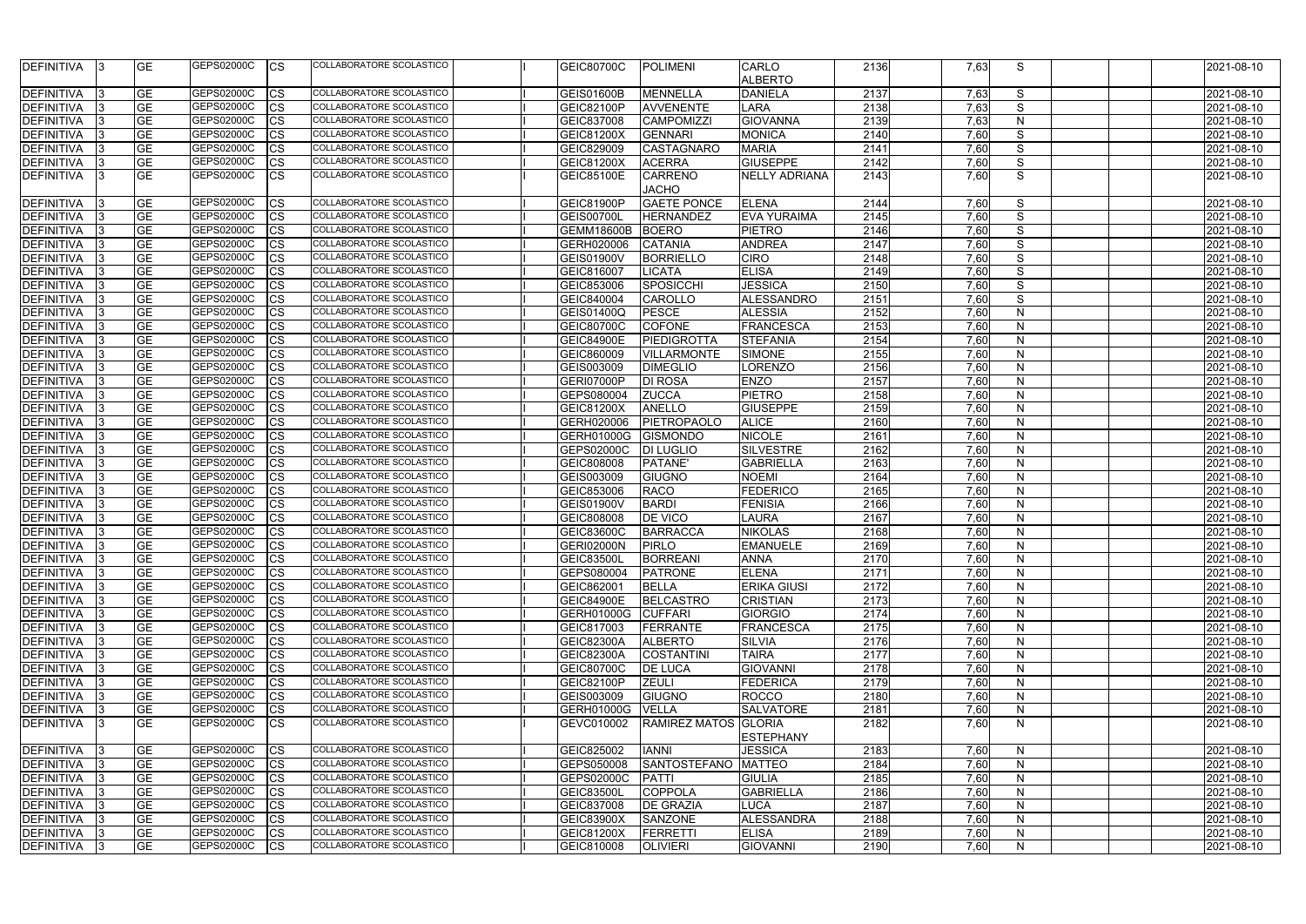| <b>DEFINITIVA</b>               | <b>GE</b>       | GEPS02000C        | <b>CS</b>       | COLLABORATORE SCOLASTICO        | <b>GEIC80700C</b>                      | POLIMENI                            | CARLO                              | 2136         | 7,63         | S                 |  | 2021-08-10               |
|---------------------------------|-----------------|-------------------|-----------------|---------------------------------|----------------------------------------|-------------------------------------|------------------------------------|--------------|--------------|-------------------|--|--------------------------|
|                                 |                 |                   |                 |                                 |                                        |                                     | <b>ALBERTO</b>                     |              |              |                   |  |                          |
| DEFINITIVA                      | <b>GE</b>       | GEPS02000C        | СS              | COLLABORATORE SCOLASTICO        | <b>GEIS01600B</b>                      | <b>MENNELLA</b>                     | <b>DANIELA</b>                     | 2137         | 7,63         | S                 |  | 2021-08-10               |
| <b>DEFINITIVA</b>               | <b>GE</b>       | GEPS02000C        | СS              | COLLABORATORE SCOLASTICO        | <b>GEIC82100P</b>                      | AVVENENTE                           | LARA                               | 2138         | 7,63         | S                 |  | 2021-08-10               |
| DEFINITIVA                      | <b>GE</b>       | GEPS02000C        | CS              | COLLABORATORE SCOLASTICO        | GEIC837008                             | <b>CAMPOMIZZI</b>                   | <b>GIOVANNA</b>                    | 2139         | 7,63         | $\mathsf{N}$      |  | 2021-08-10               |
| <b>DEFINITIVA</b>               | <b>GE</b>       | GEPS02000C        | СS              | COLLABORATORE SCOLASTICO        | <b>GEIC81200X</b>                      | <b>GENNARI</b>                      | <b>MONICA</b>                      | 2140         | 7,60         | S                 |  | 2021-08-10               |
| <b>DEFINITIVA</b>               | <b>GE</b>       | GEPS02000C        | СS              | COLLABORATORE SCOLASTICO        | GEIC829009                             | <b>CASTAGNARO</b>                   | <b>MARIA</b>                       | 2141         | 7,60         | S                 |  | 2021-08-10               |
| DEFINITIVA                      | <b>GE</b>       | GEPS02000C        | CS              | COLLABORATORE SCOLASTICO        | <b>GEIC81200X</b>                      | <b>ACERRA</b>                       | <b>GIUSEPPE</b>                    | 2142         | 7,60         | S                 |  | 2021-08-10               |
| <b>DEFINITIVA</b>               | <b>GE</b>       | GEPS02000C        | CS              | COLLABORATORE SCOLASTICO        | GEIC85100E                             | <b>CARRENO</b>                      | <b>NELLY ADRIANA</b>               | 2143         | 7,60         | S                 |  | 2021-08-10               |
|                                 |                 |                   |                 |                                 |                                        | <b>JACHO</b>                        |                                    |              |              |                   |  |                          |
| <b>DEFINITIVA</b>               | <b>GE</b>       | GEPS02000C        | <b>CS</b>       | COLLABORATORE SCOLASTICO        | <b>GEIC81900P</b>                      | <b>GAETE PONCE</b>                  | <b>ELENA</b>                       | 2144         | 7,60         | S                 |  | 2021-08-10               |
| <b>DEFINITIVA</b>               | <b>GE</b>       | GEPS02000C        | CS              | <b>COLLABORATORE SCOLASTICO</b> | GEIS00700L                             | <b>HERNANDEZ</b>                    | <b>EVA YURAIMA</b>                 | 2145         | 7,60         | S                 |  | 2021-08-10               |
| DEFINITIVA                      | <b>GE</b>       | <b>GEPS02000C</b> | СS              | COLLABORATORE SCOLASTICO        | <b>GEMM18600B</b>                      | <b>BOERO</b>                        | <b>PIETRO</b>                      | 2146         | 7,60         | S                 |  | 2021-08-10               |
| <b>DEFINITIVA</b>               | $\overline{GE}$ | GEPS02000C        | СS              | COLLABORATORE SCOLASTICO        | GERH020006                             | <b>CATANIA</b>                      | <b>ANDREA</b>                      | 2147         | 7,60         | S                 |  | 2021-08-10               |
| <b>DEFINITIVA</b>               | <b>GE</b>       | GEPS02000C        | СS              | COLLABORATORE SCOLASTICO        | <b>GEIS01900V</b>                      | <b>BORRIELLO</b>                    | <b>CIRO</b>                        | 2148         | 7,60         | S                 |  | 2021-08-10               |
| <b>DEFINITIVA</b>               | <b>GE</b>       | GEPS02000C        | СS              | COLLABORATORE SCOLASTICO        | GEIC816007                             | LICATA                              | <b>ELISA</b>                       | 2149         | 7,60         | S                 |  | 2021-08-10               |
| DEFINITIVA                      | <b>GE</b>       | GEPS02000C        | CS              | COLLABORATORE SCOLASTICO        | GEIC853006                             | SPOSICCHI                           | <b>JESSICA</b>                     | 2150         | 7,60         | S                 |  | 2021-08-10               |
| <b>DEFINITIVA</b>               | <b>GE</b>       | GEPS02000C        | СS              | COLLABORATORE SCOLASTICO        | GEIC840004                             | <b>CAROLLO</b>                      | <b>ALESSANDRO</b>                  | 2151         | 7,60         | S                 |  | 2021-08-10               |
| <b>DEFINITIVA</b>               | <b>GE</b>       | GEPS02000C        | СS              | COLLABORATORE SCOLASTICO        | GEIS01400Q                             | <b>PESCE</b>                        | <b>ALESSIA</b>                     | 2152         | 7,60         | N                 |  | 2021-08-10               |
| <b>DEFINITIVA</b>               | <b>GE</b>       | GEPS02000C        | CS              | COLLABORATORE SCOLASTICO        | <b>GEIC80700C</b>                      | <b>COFONE</b>                       | <b>FRANCESCA</b>                   | 2153         | 7,60         | $\mathsf{N}$      |  | 2021-08-10               |
| <b>DEFINITIVA</b>               | <b>GE</b>       | GEPS02000C        | СS              | <b>COLLABORATORE SCOLASTICO</b> | <b>GEIC84900E</b>                      | PIEDIGROTTA                         | <b>STEFANIA</b>                    | 2154         | 7,60         | $\mathsf{N}$      |  | 2021-08-10               |
| <b>DEFINITIVA</b>               | <b>GE</b>       | GEPS02000C        | СS              | <b>COLLABORATORE SCOLASTICO</b> | GEIC860009                             | <b>VILLARMONTE</b>                  | <b>SIMONE</b>                      | 2155         | 7,60         | N                 |  | 2021-08-10               |
| <b>DEFINITIVA</b>               | <b>GE</b>       | GEPS02000C        | CS              | <b>COLLABORATORE SCOLASTICO</b> | GEIS003009                             | <b>DIMEGLIO</b>                     | LORENZO                            | 2156         | 7,60         | $\mathsf{N}$      |  | 2021-08-10               |
| <b>DEFINITIVA</b>               | <b>GE</b>       | GEPS02000C        | CS              | COLLABORATORE SCOLASTICO        | <b>GERI07000P</b>                      | <b>DI ROSA</b>                      | <b>ENZO</b>                        | 2157         | 7,60         | $\mathsf{N}$      |  | 2021-08-10               |
| <b>DEFINITIVA</b>               | <b>GE</b>       | <b>GEPS02000C</b> | СS              | COLLABORATORE SCOLASTICO        | GEPS080004                             | <b>ZUCCA</b>                        | <b>PIETRO</b>                      | 2158         | 7,60         | N                 |  | 2021-08-10               |
| <b>DEFINITIVA</b>               | <b>GE</b>       | GEPS02000C        | CS              | COLLABORATORE SCOLASTICO        | <b>GEIC81200X</b>                      | <b>ANELLO</b>                       | <b>GIUSEPPE</b>                    | 2159         | 7,60         | $\mathsf{N}$      |  | 2021-08-10               |
| <b>DEFINITIVA</b>               | <b>GE</b>       | GEPS02000C        | СS              | COLLABORATORE SCOLASTICO        | GERH020006                             | <b>PIETROPAOLO</b>                  | <b>ALICE</b>                       | 2160         | 7,60         | $\mathsf{N}$      |  | 2021-08-10               |
| <b>DEFINITIVA</b>               | <b>GE</b>       | GEPS02000C        | СS              | COLLABORATORE SCOLASTICO        | GERH01000G                             | <b>GISMONDO</b>                     | <b>NICOLE</b>                      | 2161         | 7,60         | N                 |  | 2021-08-10               |
| <b>DEFINITIVA</b>               | <b>GE</b>       | GEPS02000C        | CS              | COLLABORATORE SCOLASTICO        | GEPS02000C                             | <b>DI LUGLIO</b>                    | <b>SILVESTRE</b>                   | 2162         | 7,60         | N                 |  | 2021-08-10               |
| DEFINITIVA                      | <b>GE</b>       | GEPS02000C        | CS              | COLLABORATORE SCOLASTICO        | GEIC808008                             | PATANE'                             | <b>GABRIELLA</b>                   | 2163         | 7,60         | $\mathsf{N}$      |  | 2021-08-10               |
| DEFINITIVA                      | <b>GE</b>       | GEPS02000C        | СS              | COLLABORATORE SCOLASTICO        | GEIS003009                             | <b>GIUGNO</b>                       | <b>NOEMI</b>                       | 2164         | 7,60         | N                 |  | 2021-08-10               |
| DEFINITIVA                      | <b>GE</b>       | GEPS02000C        | CS              | <b>COLLABORATORE SCOLASTICO</b> | GEIC853006                             | <b>RACO</b>                         | <b>FEDERICO</b>                    | 2165         | 7,60         | $\mathsf{N}$      |  | 2021-08-10               |
| DEFINITIVA                      | <b>GE</b>       | GEPS02000C        | CS              | COLLABORATORE SCOLASTICO        | GEIS01900V                             | <b>BARDI</b>                        | FENISIA                            | 2166         | 7,60         | $\mathsf{N}$      |  | 2021-08-10               |
| <b>DEFINITIVA</b>               | <b>GE</b>       | GEPS02000C        | СS              | COLLABORATORE SCOLASTICO        | GEIC808008                             | <b>DE VICO</b>                      | <b>LAURA</b>                       | 2167         | 7,60         | $\mathsf{N}$      |  | 2021-08-10               |
| <b>DEFINITIVA</b>               | $\overline{GE}$ | GEPS02000C        | СS              | <b>COLLABORATORE SCOLASTICO</b> | GEIC83600C                             | <b>BARRACCA</b>                     | <b>NIKOLAS</b>                     | 2168         | 7,60         | $\mathsf{N}$      |  | 2021-08-10               |
| DEFINITIVA                      | <b>GE</b>       | GEPS02000C        | <b>I</b> CS     | COLLABORATORE SCOLASTICO        | GERI02000N                             | PIRLO                               | <b>EMANUELE</b>                    | 2169         | 7,60         | N                 |  | 2021-08-10               |
| <b>DEFINITIVA</b>               | <b>GE</b>       | GEPS02000C        | <b>CS</b>       | COLLABORATORE SCOLASTICO        | <b>GEIC83500L</b>                      | <b>BORREANI</b>                     | <b>ANNA</b>                        | 2170         | 7,60         |                   |  | 2021-08-10               |
| DEFINITIVA                      | <b>GE</b>       | GEPS02000C        |                 | COLLABORATORE SCOLASTICO        | GEPS080004                             | <b>PATRONE</b>                      | <b>ELENA</b>                       | 2171         | 7,60         | N<br>$\mathsf{N}$ |  | 2021-08-10               |
| DEFINITIVA                      | <b>GE</b>       | GEPS02000C        | <b>CS</b>       | COLLABORATORE SCOLASTICO        |                                        |                                     |                                    | 2172         |              |                   |  |                          |
|                                 | <b>GE</b>       | GEPS02000C        | <b>CS</b>       | COLLABORATORE SCOLASTICO        | GEIC862001                             | <b>BELLA</b>                        | <b>ERIKA GIUSI</b>                 |              | 7,60         | $\mathsf{N}$      |  | 2021-08-10               |
| DEFINITIVA                      | <b>GE</b>       | GEPS02000C        | СS              | <b>COLLABORATORE SCOLASTICO</b> | <b>GEIC84900E</b><br>GERH01000G        | BELCASTRO                           | <b>CRISTIAN</b>                    | 2173         | 7,60         | $\mathsf{N}$      |  | 2021-08-10               |
| DEFINITIVA<br><b>DEFINITIVA</b> | <b>GE</b>       | GEPS02000C        | СS<br>CS        | COLLABORATORE SCOLASTICO        |                                        | <b>CUFFARI</b><br>FERRANTE          | <b>GIORGIO</b><br><b>FRANCESCA</b> | 2174<br>2175 | 7,60<br>7,60 | $\mathsf{N}$<br>N |  | 2021-08-10<br>2021-08-10 |
| <b>DEFINITIVA</b>               | <b>GE</b>       | GEPS02000C        |                 | COLLABORATORE SCOLASTICO        | GEIC817003<br><b>GEIC82300A</b>        |                                     |                                    |              |              |                   |  |                          |
| <b>DEFINITIVA</b>               | <b>GE</b>       | GEPS02000C        | CS<br><b>CS</b> | <b>COLLABORATORE SCOLASTICO</b> |                                        | <b>ALBERTO</b><br><b>COSTANTINI</b> | <b>SILVIA</b><br><b>TAIRA</b>      | 2176<br>2177 | 7,60         | N                 |  | 2021-08-10               |
| <b>DEFINITIVA</b>               | <b>GE</b>       | GEPS02000C        | <b>CS</b>       | COLLABORATORE SCOLASTICO        | <b>GEIC82300A</b><br><b>GEIC80700C</b> | <b>DE LUCA</b>                      | <b>GIOVANNI</b>                    | 2178         | 7,60<br>7,60 | N<br>$\mathsf{N}$ |  | 2021-08-10<br>2021-08-10 |
|                                 | <b>GE</b>       | GEPS02000C        |                 | COLLABORATORE SCOLASTICO        |                                        |                                     |                                    |              |              |                   |  |                          |
| <b>DEFINITIVA</b>               |                 | GEPS02000C        | CS              | COLLABORATORE SCOLASTICO        | <b>GEIC82100P</b>                      | <b>ZEULI</b>                        | <b>FEDERICA</b>                    | 2179         | 7,60         | N                 |  | 2021-08-10               |
| <b>DEFINITIVA</b>               | <b>GE</b>       |                   | СS              |                                 | GEIS003009                             | <b>GIUGNO</b>                       | <b>ROCCO</b>                       | 2180         | 7,60         | $\mathsf{N}$      |  | 2021-08-10               |
| <b>DEFINITIVA</b>               | <b>GE</b>       | GEPS02000C        | CS              | COLLABORATORE SCOLASTICO        | <b>GERH01000G</b>                      | <b>VELLA</b>                        | <b>SALVATORE</b>                   | 2181         | 7,60         | $\mathsf{N}$      |  | 2021-08-10               |
| DEFINITIVA                      | <b>GE</b>       | GEPS02000C        | <b>CS</b>       | COLLABORATORE SCOLASTICO        | GEVC010002                             | <b>RAMIREZ MATOS</b>                | <b>GLORIA</b>                      | 2182         | 7,60         | N                 |  | 2021-08-10               |
|                                 |                 |                   |                 |                                 |                                        |                                     | <b>ESTEPHANY</b>                   |              |              |                   |  |                          |
| DEFINITIVA                      | <b>GE</b>       | GEPS02000C        | <b>CS</b>       | COLLABORATORE SCOLASTICO        | GEIC825002                             | <b>IANNI</b>                        | <b>JESSICA</b>                     | 2183         | 7,60         | $\mathsf{N}$      |  | 2021-08-10               |
| DEFINITIVA                      | <b>GE</b>       | GEPS02000C        | СS              | COLLABORATORE SCOLASTICO        | GEPS050008                             | SANTOSTEFANO                        | <b>MATTEO</b>                      | 2184         | 7,60         | $\mathsf{N}$      |  | 2021-08-10               |
| DEFINITIVA                      | <b>GE</b>       | GEPS02000C        | СS              | COLLABORATORE SCOLASTICO        | GEPS02000C                             | <b>PATTI</b>                        | <b>GIULIA</b>                      | 2185         | 7,60         | N                 |  | 2021-08-10               |
| DEFINITIVA                      | <b>GE</b>       | GEPS02000C        | СS              | COLLABORATORE SCOLASTICO        | GEIC83500L                             | <b>COPPOLA</b>                      | <b>GABRIELLA</b>                   | 2186         | 7,60         | $\mathsf{N}$      |  | 2021-08-10               |
| <b>DEFINITIVA</b>               | <b>GE</b>       | GEPS02000C        | CS              | COLLABORATORE SCOLASTICO        | GEIC837008                             | <b>DE GRAZIA</b>                    | <b>LUCA</b>                        | 2187         | 7,60         | N                 |  | 2021-08-10               |
| <b>DEFINITIVA</b>               | <b>GE</b>       | GEPS02000C        | <b>CS</b>       | COLLABORATORE SCOLASTICO        | <b>GEIC83900X</b>                      | <b>SANZONE</b>                      | <b>ALESSANDRA</b>                  | 2188         | 7,60         | $\mathsf{N}$      |  | 2021-08-10               |
| <b>DEFINITIVA</b>               | <b>GE</b>       | GEPS02000C        | <b>CS</b>       | COLLABORATORE SCOLASTICO        | <b>GEIC81200X</b>                      | FERRETTI                            | <b>ELISA</b>                       | 2189         | 7,60         | N                 |  | 2021-08-10               |
| DEFINITIVA                      | <b>GE</b>       | GEPS02000C        | <b>CS</b>       | COLLABORATORE SCOLASTICO        | GEIC810008                             | <b>OLIVIERI</b>                     | <b>GIOVANNI</b>                    | 2190         | 7,60         | $\mathsf{N}$      |  | 2021-08-10               |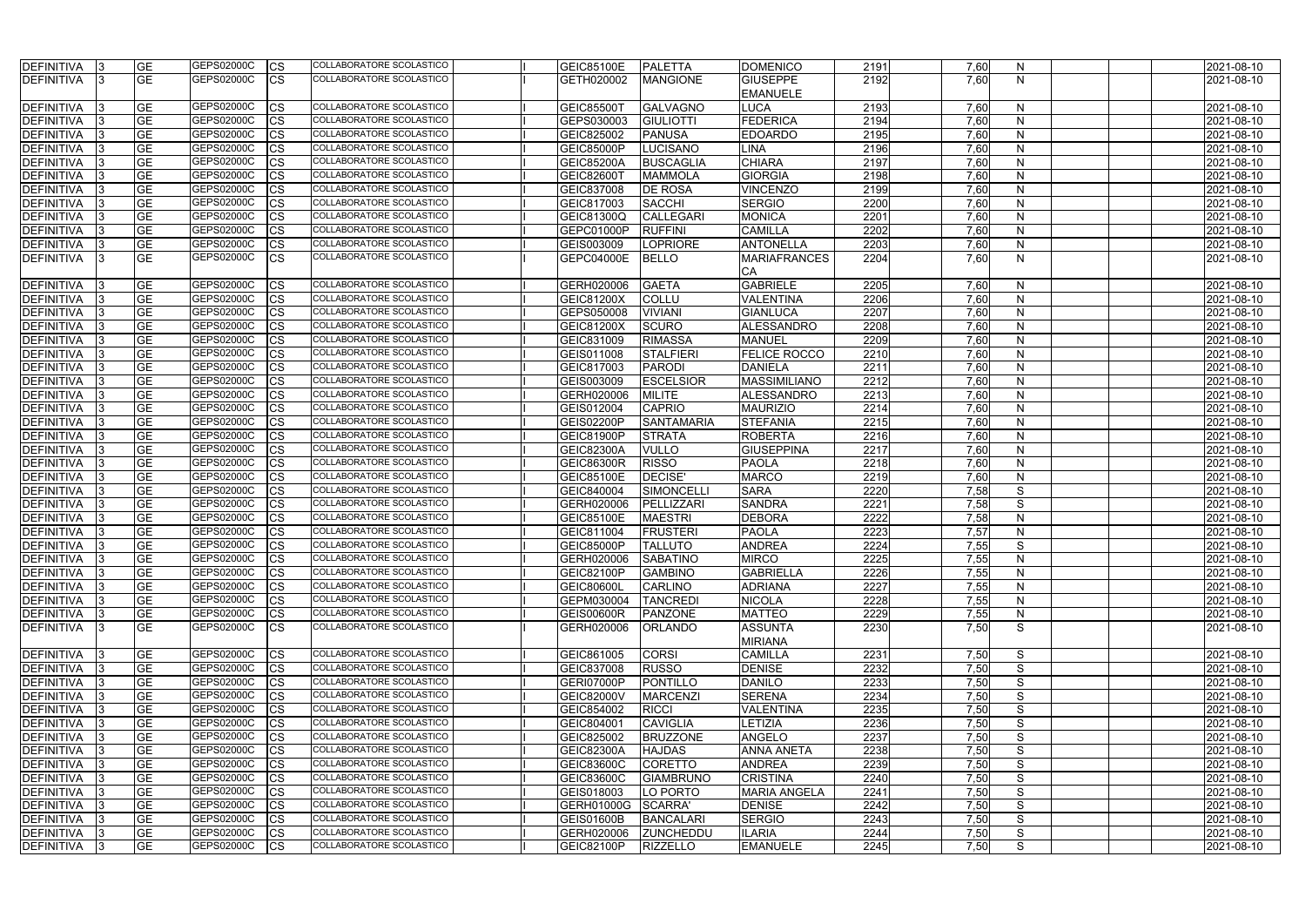| <b>DEFINITIVA</b> | <b>GE</b>       | GEPS02000C<br>CS        | COLLABORATORE SCOLASTICO        | <b>GEIC85100E</b> | <b>PALETTA</b>    | <b>DOMENICO</b>     | 2191 | 7,60 | N            | 2021-08-10 |
|-------------------|-----------------|-------------------------|---------------------------------|-------------------|-------------------|---------------------|------|------|--------------|------------|
| <b>DEFINITIVA</b> | <b>GE</b>       | <b>GEPS02000C</b><br>CS | COLLABORATORE SCOLASTICO        | GETH020002        | <b>MANGIONE</b>   | <b>GIUSEPPE</b>     | 2192 | 7,60 | N            | 2021-08-10 |
|                   |                 |                         |                                 |                   |                   | <b>EMANUELE</b>     |      |      |              |            |
| DEFINITIVA        | <b>GE</b>       | GEPS02000C<br>СS        | COLLABORATORE SCOLASTICO        | <b>GEIC85500T</b> | <b>GALVAGNO</b>   | <b>LUCA</b>         | 2193 | 7,60 | N            | 2021-08-10 |
| <b>DEFINITIVA</b> | <b>GE</b>       | GEPS02000C<br>CS        | COLLABORATORE SCOLASTICO        | GEPS030003        | GIULIOTTI         | <b>FEDERICA</b>     | 2194 | 7,60 | N            | 2021-08-10 |
| DEFINITIVA        | <b>GE</b>       | GEPS02000C<br>СS        | <b>COLLABORATORE SCOLASTICO</b> | GEIC825002        | <b>PANUSA</b>     | <b>EDOARDO</b>      | 2195 | 7,60 | N            | 2021-08-10 |
| <b>DEFINITIVA</b> | <b>GE</b>       | GEPS02000C<br>СS        | COLLABORATORE SCOLASTICO        | <b>GEIC85000P</b> | <b>LUCISANO</b>   | LINA                | 2196 | 7,60 | N            | 2021-08-10 |
| DEFINITIVA        | <b>GE</b>       | GEPS02000C<br>СS        | <b>COLLABORATORE SCOLASTICO</b> | <b>GEIC85200A</b> | <b>BUSCAGLIA</b>  | <b>CHIARA</b>       | 2197 | 7,60 | N            | 2021-08-10 |
| <b>DEFINITIVA</b> | <b>GE</b>       | GEPS02000C<br>СS        | <b>COLLABORATORE SCOLASTICO</b> | <b>GEIC82600T</b> | <b>MAMMOLA</b>    | <b>GIORGIA</b>      | 2198 | 7,60 | N            | 2021-08-10 |
| <b>DEFINITIVA</b> | <b>GE</b>       | GEPS02000C<br>СS        | COLLABORATORE SCOLASTICO        | GEIC837008        | <b>DE ROSA</b>    | <b>VINCENZO</b>     | 2199 | 7,60 | N            | 2021-08-10 |
| <b>DEFINITIVA</b> | <b>GE</b>       | GEPS02000C<br>CS        | COLLABORATORE SCOLASTICO        | GEIC817003        | <b>SACCHI</b>     | <b>SERGIO</b>       | 2200 | 7,60 | $\mathsf{N}$ | 2021-08-10 |
| <b>DEFINITIVA</b> | <b>GE</b>       | GEPS02000C<br>СS        | COLLABORATORE SCOLASTICO        | GEIC81300Q        | <b>CALLEGARI</b>  | <b>MONICA</b>       | 2201 | 7,60 | N            | 2021-08-10 |
| <b>DEFINITIVA</b> | <b>GE</b>       | GEPS02000C<br>СS        | COLLABORATORE SCOLASTICO        | <b>GEPC01000P</b> | <b>RUFFINI</b>    | <b>CAMILLA</b>      | 2202 | 7,60 | N            | 2021-08-10 |
| <b>DEFINITIVA</b> | <b>GE</b>       | GEPS02000C<br>СS        | COLLABORATORE SCOLASTICO        | GEIS003009        | <b>LOPRIORE</b>   | <b>ANTONELLA</b>    | 2203 | 7,60 | $\mathsf{N}$ | 2021-08-10 |
| <b>DEFINITIVA</b> | <b>GE</b>       | GEPS02000C<br>CS        | COLLABORATORE SCOLASTICO        | <b>GEPC04000E</b> | <b>BELLO</b>      | <b>MARIAFRANCES</b> | 2204 | 7,60 | N            | 2021-08-10 |
|                   |                 |                         |                                 |                   |                   |                     |      |      |              |            |
| <b>DEFINITIVA</b> | <b>GE</b>       | GEPS02000C<br>CS        | COLLABORATORE SCOLASTICO        | GERH020006        | <b>GAETA</b>      | <b>GABRIELE</b>     | 2205 | 7,60 | N            | 2021-08-10 |
| <b>DEFINITIVA</b> | <b>GE</b>       | GEPS02000C<br>СS        | COLLABORATORE SCOLASTICO        | <b>GEIC81200X</b> | <b>COLLU</b>      | VALENTINA           | 2206 | 7,60 | N            | 2021-08-10 |
| <b>DEFINITIVA</b> | <b>GE</b>       | GEPS02000C<br>СS        | COLLABORATORE SCOLASTICO        | GEPS050008        | <b>VIVIANI</b>    | <b>GIANLUCA</b>     | 2207 | 7,60 | N            | 2021-08-10 |
| DEFINITIVA        | <b>GE</b>       | GEPS02000C<br>CS        | <b>COLLABORATORE SCOLASTICO</b> | <b>GEIC81200X</b> | <b>SCURO</b>      | <b>ALESSANDRO</b>   | 2208 | 7,60 | $\mathsf{N}$ | 2021-08-10 |
| <b>DEFINITIVA</b> | <b>GE</b>       | GEPS02000C              | COLLABORATORE SCOLASTICO        | GEIC831009        | <b>RIMASSA</b>    | <b>MANUEL</b>       | 2209 | 7,60 |              | 2021-08-10 |
|                   |                 | СS<br>GEPS02000C        | <b>COLLABORATORE SCOLASTICO</b> |                   |                   |                     |      |      | N            |            |
| <b>DEFINITIVA</b> | <b>GE</b>       | СS<br>GEPS02000C        | <b>COLLABORATORE SCOLASTICO</b> | GEIS011008        | <b>STALFIERI</b>  | <b>FELICE ROCCO</b> | 2210 | 7,60 | N            | 2021-08-10 |
| <b>DEFINITIVA</b> | <b>GE</b>       | CS                      | COLLABORATORE SCOLASTICO        | GEIC817003        | PARODI            | <b>DANIELA</b>      | 2211 | 7,60 | $\mathsf{N}$ | 2021-08-10 |
| <b>DEFINITIVA</b> | <b>GE</b>       | GEPS02000C<br>CS        |                                 | GEIS003009        | <b>ESCELSIOR</b>  | <b>MASSIMILIANO</b> | 2212 | 7,60 | $\mathsf{N}$ | 2021-08-10 |
| <b>DEFINITIVA</b> | <b>GE</b>       | <b>GEPS02000C</b><br>СS | COLLABORATORE SCOLASTICO        | GERH020006        | <b>MILITE</b>     | <b>ALESSANDRO</b>   | 2213 | 7,60 | N            | 2021-08-10 |
| <b>DEFINITIVA</b> | <b>GE</b>       | GEPS02000C<br>CS        | COLLABORATORE SCOLASTICO        | GEIS012004        | <b>CAPRIO</b>     | <b>MAURIZIO</b>     | 2214 | 7,60 | $\mathsf{N}$ | 2021-08-10 |
| <b>DEFINITIVA</b> | <b>GE</b>       | GEPS02000C<br>СS        | COLLABORATORE SCOLASTICO        | <b>GEIS02200P</b> | <b>SANTAMARIA</b> | <b>STEFANIA</b>     | 2215 | 7,60 | $\mathsf{N}$ | 2021-08-10 |
| <b>DEFINITIVA</b> | <b>GE</b>       | <b>GEPS02000C</b><br>СS | COLLABORATORE SCOLASTICO        | GEIC81900P        | <b>STRATA</b>     | <b>ROBERTA</b>      | 2216 | 7,60 | N            | 2021-08-10 |
| <b>DEFINITIVA</b> | <b>GE</b>       | GEPS02000C<br>CS        | COLLABORATORE SCOLASTICO        | <b>GEIC82300A</b> | <b>VULLO</b>      | <b>GIUSEPPINA</b>   | 2217 | 7,60 | $\mathsf{N}$ | 2021-08-10 |
| <b>DEFINITIVA</b> | <b>GE</b>       | GEPS02000C<br>CS        | COLLABORATORE SCOLASTICO        | <b>GEIC86300R</b> | <b>RISSO</b>      | <b>PAOLA</b>        | 2218 | 7,60 | N            | 2021-08-10 |
| DEFINITIVA        | <b>GE</b>       | GEPS02000C<br>СS        | COLLABORATORE SCOLASTICO        | <b>GEIC85100E</b> | <b>DECISE'</b>    | <b>MARCO</b>        | 2219 | 7,60 | N            | 2021-08-10 |
| DEFINITIVA        | <b>GE</b>       | GEPS02000C<br>CS        | COLLABORATORE SCOLASTICO        | GEIC840004        | SIMONCELL         | <b>SARA</b>         | 2220 | 7,58 | S            | 2021-08-10 |
| <b>DEFINITIVA</b> | <b>GE</b>       | GEPS02000C<br>СS        | <b>COLLABORATORE SCOLASTICO</b> | GERH020006        | PELLIZZARI        | <b>SANDRA</b>       | 2221 | 7,58 | S            | 2021-08-10 |
| <b>DEFINITIVA</b> | <b>GE</b>       | GEPS02000C<br>СS        | COLLABORATORE SCOLASTICO        | <b>GEIC85100E</b> | <b>MAESTRI</b>    | <b>DEBORA</b>       | 2222 | 7,58 | N            | 2021-08-10 |
| <b>DEFINITIVA</b> | $\overline{GE}$ | GEPS02000C<br>СS        | <b>COLLABORATORE SCOLASTICO</b> | GEIC811004        | FRUSTERI          | <b>PAOLA</b>        | 2223 | 7,57 | N            | 2021-08-10 |
| DEFINITIVA        | <b>GE</b>       | GEPS02000C<br>Ics       | COLLABORATORE SCOLASTICO        | GEIC85000P        | <b>TALLUTO</b>    | <b>ANDREA</b>       | 2224 | 7.55 | S            | 2021-08-10 |
| <b>DEFINITIVA</b> | <b>GE</b>       | GEPS02000C<br><b>CS</b> | <b>COLLABORATORE SCOLASTICO</b> | GERH020006        | SABATINO          | <b>MIRCO</b>        | 2225 | 7,55 | N            | 2021-08-10 |
| DEFINITIVA        | <b>GE</b>       | GEPS02000C<br><b>CS</b> | COLLABORATORE SCOLASTICO        | GEIC82100P        | <b>GAMBINO</b>    | <b>GABRIELLA</b>    | 2226 | 7,55 | $\mathsf{N}$ | 2021-08-10 |
| DEFINITIVA        | <b>GE</b>       | GEPS02000C<br><b>CS</b> | COLLABORATORE SCOLASTICO        | GEIC80600L        | <b>CARLINO</b>    | <b>ADRIANA</b>      | 2227 | 7,55 | $\mathsf{N}$ | 2021-08-10 |
| DEFINITIVA        | <b>GE</b>       | GEPS02000C<br>СS        | COLLABORATORE SCOLASTICO        | GEPM030004        | <b>TANCREDI</b>   | <b>NICOLA</b>       | 2228 | 7,55 | N            | 2021-08-10 |
| <b>DEFINITIVA</b> | <b>GE</b>       | GEPS02000C<br>CS        | COLLABORATORE SCOLASTICO        | <b>GEIS00600R</b> | PANZONE           | <b>MATTEO</b>       | 2229 | 7,55 | N            | 2021-08-10 |
| <b>DEFINITIVA</b> | <b>GE</b>       | GEPS02000C<br><b>CS</b> | COLLABORATORE SCOLASTICO        | GERH020006        | <b>ORLANDO</b>    | <b>ASSUNTA</b>      | 2230 | 7,50 | S            | 2021-08-10 |
|                   |                 |                         |                                 |                   |                   | <b>MIRIANA</b>      |      |      |              |            |
| <b>DEFINITIVA</b> | <b>GE</b>       | GEPS02000C<br><b>CS</b> | COLLABORATORE SCOLASTICO        | GEIC861005        | <b>CORSI</b>      | CAMILLA             | 2231 | 7,50 | S            | 2021-08-10 |
| <b>DEFINITIVA</b> | <b>GE</b>       | GEPS02000C<br><b>CS</b> | COLLABORATORE SCOLASTICO        | GEIC837008        | <b>RUSSO</b>      | <b>DENISE</b>       | 2232 | 7,50 | S            | 2021-08-10 |
| <b>DEFINITIVA</b> | <b>GE</b>       | GEPS02000C<br><b>CS</b> | <b>COLLABORATORE SCOLASTICO</b> | GERI07000P        | PONTILLO          | <b>DANILO</b>       | 2233 | 7,50 | S            | 2021-08-10 |
| <b>DEFINITIVA</b> | <b>GE</b>       | GEPS02000C<br><b>CS</b> | COLLABORATORE SCOLASTICO        | <b>GEIC82000V</b> | <b>MARCENZI</b>   | <b>SERENA</b>       | 2234 | 7,50 | S            | 2021-08-10 |
| DEFINITIVA        | <b>GE</b>       | GEPS02000C<br><b>CS</b> | COLLABORATORE SCOLASTICO        | GEIC854002        | <b>RICCI</b>      | <b>VALENTINA</b>    | 2235 | 7,50 | S            | 2021-08-10 |
| <b>DEFINITIVA</b> | <b>GE</b>       | GEPS02000C<br><b>CS</b> | COLLABORATORE SCOLASTICO        | GEIC804001        | <b>CAVIGLIA</b>   | <b>LETIZIA</b>      | 2236 | 7,50 | S            | 2021-08-10 |
| <b>DEFINITIVA</b> | <b>GE</b>       | GEPS02000C<br>CS        | COLLABORATORE SCOLASTICO        | GEIC825002        | <b>BRUZZONE</b>   | <b>ANGELO</b>       | 2237 | 7,50 | S            | 2021-08-10 |
| DEFINITIVA        | <b>GE</b>       | GEPS02000C<br>CS        | COLLABORATORE SCOLASTICO        | <b>GEIC82300A</b> | <b>HAJDAS</b>     | <b>ANNA ANETA</b>   | 2238 | 7,50 | S            | 2021-08-10 |
| DEFINITIVA        | <b>GE</b>       | GEPS02000C<br>СS        | COLLABORATORE SCOLASTICO        | <b>GEIC83600C</b> | <b>CORETTO</b>    | <b>ANDREA</b>       | 2239 | 7,50 | S            | 2021-08-10 |
| DEFINITIVA        | <b>GE</b>       | GEPS02000C<br>СS        | COLLABORATORE SCOLASTICO        | <b>GEIC83600C</b> | <b>GIAMBRUNO</b>  | <b>CRISTINA</b>     | 2240 | 7,50 | S            | 2021-08-10 |
| DEFINITIVA        | <b>GE</b>       | GEPS02000C<br>CS        | COLLABORATORE SCOLASTICO        | GEIS018003        | LO PORTO          | <b>MARIA ANGELA</b> | 2241 | 7,50 | S            | 2021-08-10 |
| <b>DEFINITIVA</b> | <b>GE</b>       | GEPS02000C<br>ICS       | COLLABORATORE SCOLASTICO        | GERH01000G        | SCARRA'           | <b>DENISE</b>       | 2242 | 7,50 | S            | 2021-08-10 |
| <b>DEFINITIVA</b> | <b>GE</b>       | GEPS02000C<br><b>CS</b> | COLLABORATORE SCOLASTICO        | GEIS01600B        | BANCALARI         | <b>SERGIO</b>       | 2243 | 7,50 | S            | 2021-08-10 |
| <b>DEFINITIVA</b> | <b>GE</b>       | GEPS02000C<br><b>CS</b> | COLLABORATORE SCOLASTICO        | GERH020006        | <b>ZUNCHEDDU</b>  | <b>ILARIA</b>       | 2244 | 7,50 | S            | 2021-08-10 |
| DEFINITIVA        | <b>GE</b>       | GEPS02000C<br><b>CS</b> | COLLABORATORE SCOLASTICO        | GEIC82100P        | <b>RIZZELLO</b>   | <b>EMANUELE</b>     | 2245 | 7,50 | S            | 2021-08-10 |
|                   |                 |                         |                                 |                   |                   |                     |      |      |              |            |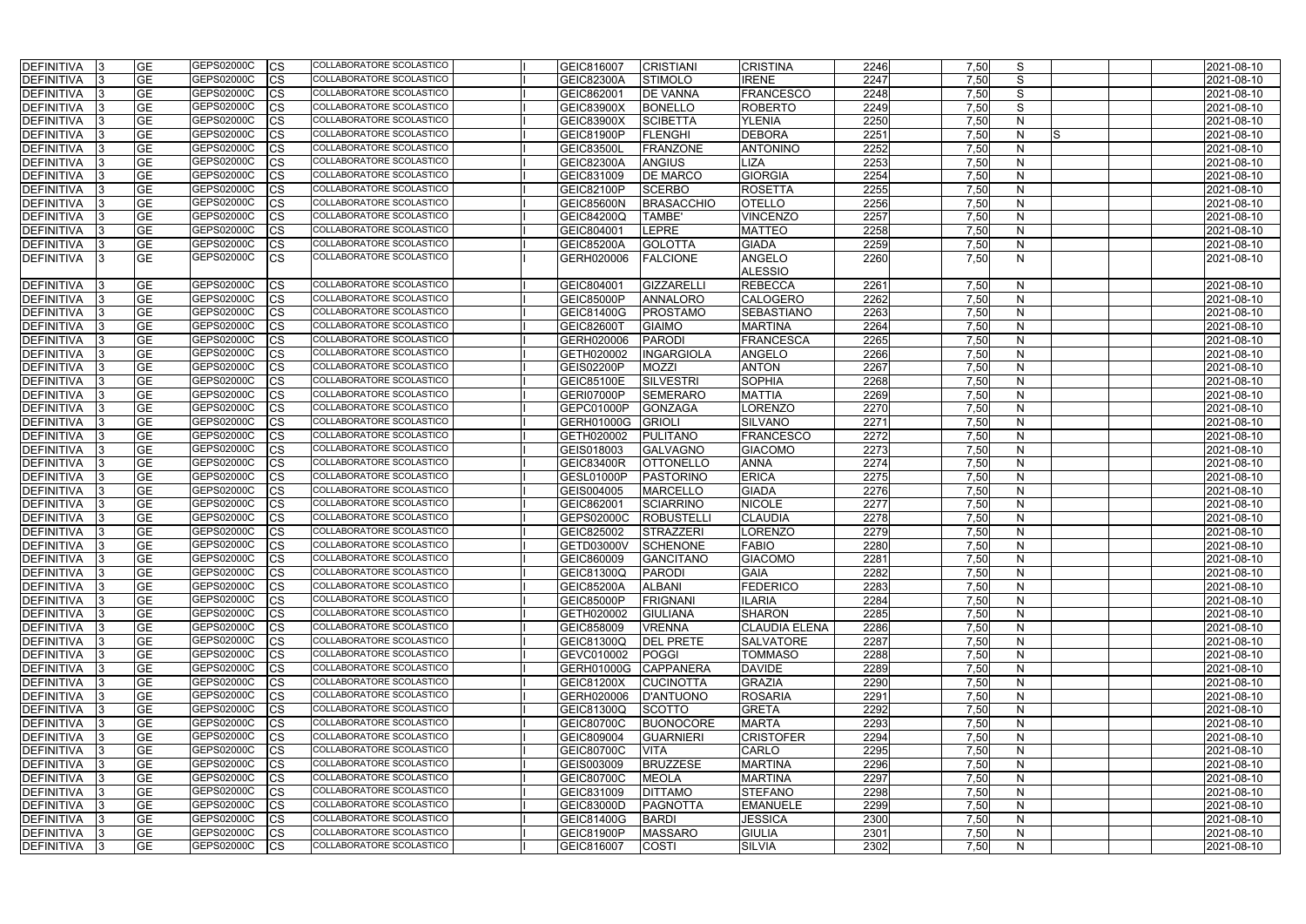| DEFINITIVA        | <b>GE</b>              | GEPS02000C | <b>CS</b>               | COLLABORATORE SCOLASTICO        | GEIC816007        | <b>CRISTIANI</b>               | <b>CRISTINA</b>                 | 2246         | 7,50         | S            |  | 2021-08-10               |
|-------------------|------------------------|------------|-------------------------|---------------------------------|-------------------|--------------------------------|---------------------------------|--------------|--------------|--------------|--|--------------------------|
| <b>DEFINITIVA</b> | <b>GE</b>              | GEPS02000C | <b>CS</b>               | COLLABORATORE SCOLASTICO        | <b>GEIC82300A</b> | <b>STIMOLO</b>                 | <b>IRENE</b>                    | 2247         | 7,50         | S            |  | 2021-08-10               |
| <b>DEFINITIVA</b> | GЕ                     | GEPS02000C | CS                      | COLLABORATORE SCOLASTICO        | GEIC862001        | <b>DE VANNA</b>                | <b>FRANCESCO</b>                | 2248         | 7,50         | S            |  | 2021-08-10               |
| <b>DEFINITIVA</b> | GЕ                     | GEPS02000C | CS                      | COLLABORATORE SCOLASTICO        | <b>GEIC83900X</b> | <b>BONELLO</b>                 | <b>ROBERTO</b>                  | 2249         | 7,50         | S            |  | 2021-08-10               |
| <b>DEFINITIVA</b> | GЕ                     | GEPS02000C | CS                      | COLLABORATORE SCOLASTICO        | <b>GEIC83900X</b> | <b>SCIBETTA</b>                | <b>YLENIA</b>                   | 2250         | 7,50         | N            |  | 2021-08-10               |
| DEFINITIVA        | GЕ                     | GEPS02000C | CS                      | COLLABORATORE SCOLASTICO        | <b>GEIC81900P</b> | <b>FLENGHI</b>                 | <b>DEBORA</b>                   | 2251         | 7,50         | N            |  | 2021-08-10               |
| <b>DEFINITIVA</b> | GЕ                     | GEPS02000C | <b>CS</b>               | COLLABORATORE SCOLASTICO        | <b>GEIC83500L</b> | FRANZONE                       | <b>ANTONINO</b>                 | 2252         | 7,50         | N            |  | 2021-08-10               |
| <b>DEFINITIVA</b> | GЕ                     | GEPS02000C | <b>CS</b>               | COLLABORATORE SCOLASTICO        | <b>GEIC82300A</b> | <b>ANGIUS</b>                  | <b>LIZA</b>                     | 2253         | 7,50         | N            |  | 2021-08-10               |
| DEFINITIVA        | GЕ                     | GEPS02000C | CS                      | COLLABORATORE SCOLASTICO        | GEIC831009        | <b>DE MARCO</b>                | <b>GIORGIA</b>                  | 2254         | 7,50         | N            |  | 2021-08-10               |
| <b>DEFINITIVA</b> | GЕ                     | GEPS02000C | CS                      | COLLABORATORE SCOLASTICO        | <b>GEIC82100P</b> | <b>SCERBO</b>                  | <b>ROSETTA</b>                  | 2255         | 7,50         | N            |  | 2021-08-10               |
| <b>DEFINITIVA</b> | GЕ                     | GEPS02000C | <b>CS</b>               | <b>COLLABORATORE SCOLASTICO</b> | <b>GEIC85600N</b> | <b>BRASACCHIO</b>              | <b>OTELLO</b>                   | 2256         | 7,50         | N            |  | 2021-08-10               |
| <b>DEFINITIVA</b> | GЕ                     | GEPS02000C | CS                      | COLLABORATORE SCOLASTICO        | <b>GEIC84200Q</b> | <b>TAMBE'</b>                  | <b>VINCENZO</b>                 | 2257         | 7,50         | N            |  | 2021-08-10               |
| <b>DEFINITIVA</b> | GЕ                     | GEPS02000C | CS                      | COLLABORATORE SCOLASTICO        | GEIC804001        | LEPRE                          | <b>MATTEO</b>                   | 2258         | 7,50         | N            |  | 2021-08-10               |
| <b>DEFINITIVA</b> | GЕ                     | GEPS02000C | CS                      | COLLABORATORE SCOLASTICO        | <b>GEIC85200A</b> | <b>GOLOTTA</b>                 | <b>GIADA</b>                    | 2259         | 7,50         | $\mathsf{N}$ |  | 2021-08-10               |
| <b>DEFINITIVA</b> | GE                     | GEPS02000C | <b>CS</b>               | COLLABORATORE SCOLASTICO        | GERH020006        | <b>FALCIONE</b>                | <b>ANGELO</b><br><b>ALESSIO</b> | 2260         | 7,50         | N            |  | 2021-08-10               |
| <b>DEFINITIVA</b> | GЕ                     | GEPS02000C | <b>ICS</b>              | COLLABORATORE SCOLASTICO        | GEIC804001        | GIZZARELL                      | <b>REBECCA</b>                  | 2261         | 7,50         | N            |  | 2021-08-10               |
| <b>DEFINITIVA</b> | GЕ                     | GEPS02000C | CS                      | COLLABORATORE SCOLASTICO        | GEIC85000P        | <b>ANNALORO</b>                | <b>CALOGERO</b>                 | 2262         | 7,50         | N            |  | 2021-08-10               |
| <b>DEFINITIVA</b> | GЕ                     | GEPS02000C | CS                      | <b>COLLABORATORE SCOLASTICO</b> | <b>GEIC81400G</b> | <b>PROSTAMO</b>                | SEBASTIANO                      | 2263         | 7,50         | N            |  | 2021-08-10               |
| DEFINITIVA        | GЕ                     | GEPS02000C | CS                      | <b>COLLABORATORE SCOLASTICO</b> | <b>GEIC82600T</b> | <b>GIAIMO</b>                  | <b>MARTINA</b>                  | 2264         | 7,50         | $\mathsf{N}$ |  | 2021-08-10               |
| DEFINITIVA        | GЕ                     | GEPS02000C | CS                      | COLLABORATORE SCOLASTICO        | GERH020006        | PARODI                         | <b>FRANCESCA</b>                | 2265         | 7,50         | N            |  | 2021-08-10               |
| <b>DEFINITIVA</b> | GЕ                     | GEPS02000C | CS                      | COLLABORATORE SCOLASTICO        | GETH020002        | <b>INGARGIOLA</b>              | <b>ANGELO</b>                   | 2266         | 7,50         | N            |  | 2021-08-10               |
| <b>DEFINITIVA</b> | <b>GE</b>              | GEPS02000C | <b>CS</b>               | COLLABORATORE SCOLASTICO        | <b>GEIS02200P</b> | <b>MOZZI</b>                   | <b>ANTON</b>                    | 2267         | 7,50         | N            |  | 2021-08-10               |
| <b>DEFINITIVA</b> | GЕ                     | GEPS02000C | <b>CS</b>               | COLLABORATORE SCOLASTICO        | <b>GEIC85100E</b> | SILVESTRI                      | <b>SOPHIA</b>                   | 2268         | 7,50         | $\mathsf{N}$ |  | 2021-08-10               |
| <b>DEFINITIVA</b> | GЕ                     | GEPS02000C | CS                      | COLLABORATORE SCOLASTICO        | <b>GERI07000P</b> | <b>SEMERARO</b>                | <b>MATTIA</b>                   | 2269         | 7,50         | N            |  | 2021-08-10               |
| <b>DEFINITIVA</b> | <b>GE</b>              | GEPS02000C | CS                      | COLLABORATORE SCOLASTICO        | GEPC01000P        | <b>GONZAGA</b>                 | <b>LORENZO</b>                  | 2270         | 7,50         | $\mathsf{N}$ |  | 2021-08-10               |
| DEFINITIVA        | GЕ                     | GEPS02000C | CS                      | COLLABORATORE SCOLASTICO        | <b>GERH01000G</b> | GRIOLI                         | <b>SILVANO</b>                  | 2271         | 7,50         | $\mathsf{N}$ |  | 2021-08-10               |
| <b>DEFINITIVA</b> | GЕ                     | GEPS02000C | CS                      | COLLABORATORE SCOLASTICO        | GETH020002        | <b>PULITANO</b>                | <b>FRANCESCO</b>                | 2272         | 7,50         | N            |  | 2021-08-10               |
| <b>DEFINITIVA</b> | GЕ                     | GEPS02000C | <b>CS</b>               | COLLABORATORE SCOLASTICO        | GEIS018003        | <b>GALVAGNO</b>                | <b>GIACOMO</b>                  | 2273         | 7,50         | $\mathsf{N}$ |  | 2021-08-10               |
| <b>DEFINITIVA</b> | GЕ                     | GEPS02000C | <b>ICS</b>              | COLLABORATORE SCOLASTICO        | <b>GEIC83400R</b> | <b>OTTONELLO</b>               | <b>ANNA</b>                     | 2274         | 7,50         | N            |  | 2021-08-10               |
| DEFINITIVA        | GЕ                     | GEPS02000C | CS                      | <b>COLLABORATORE SCOLASTICO</b> | GESL01000P        | PASTORINO                      | <b>ERICA</b>                    | 2275         | 7,50         | N            |  | 2021-08-10               |
| <b>DEFINITIVA</b> | <b>GE</b>              | GEPS02000C | <b>CS</b>               | COLLABORATORE SCOLASTICO        | GEIS004005        | <b>MARCELLO</b>                | <b>GIADA</b>                    | 2276         | 7,50         | $\mathsf{N}$ |  | 2021-08-10               |
| <b>DEFINITIVA</b> | <b>GE</b>              | GEPS02000C | <b>CS</b>               | <b>COLLABORATORE SCOLASTICO</b> | GEIC862001        | SCIARRINO                      | <b>NICOLE</b>                   | 2277         | 7,50         | $\mathsf{N}$ |  | 2021-08-10               |
| <b>DEFINITIVA</b> | <b>GE</b>              | GEPS02000C | CS                      | COLLABORATORE SCOLASTICO        | GEPS02000C        | <b>ROBUSTELL</b>               | <b>CLAUDIA</b>                  | 2278         | 7,50         | N            |  | 2021-08-10               |
| <b>DEFINITIVA</b> | GЕ                     | GEPS02000C | CS                      | <b>COLLABORATORE SCOLASTICO</b> | GEIC825002        | <b>STRAZZERI</b>               | <b>LORENZO</b>                  | 2279         | 7,50         | N            |  | 2021-08-10               |
| <b>DEFINITIVA</b> | <b>GE</b>              | GEPS02000C | <b>ICS</b>              | COLLABORATORE SCOLASTICO        | <b>GETD03000V</b> | <b>SCHENONE</b>                | FABIO                           | 2280         | 7.50         | N            |  | 2021-08-10               |
| DEFINITIVA        | GE                     | GEPS02000C | <b>CS</b>               | COLLABORATORE SCOLASTICO        | GEIC860009        | <b>GANCITANO</b>               | <b>GIACOMO</b>                  | 2281         | 7,50         | N            |  | 2021-08-10               |
| DEFINITIVA        | <b>GE</b>              | GEPS02000C | <b>CS</b>               | COLLABORATORE SCOLASTICO        | <b>GEIC81300Q</b> | PARODI                         | <b>GAIA</b>                     | 2282         | 7,50         | N            |  | 2021-08-10               |
| <b>DEFINITIVA</b> | <b>GE</b>              | GEPS02000C | <b>CS</b>               | COLLABORATORE SCOLASTICO        | <b>GEIC85200A</b> | <b>ALBANI</b>                  | <b>FEDERICO</b>                 | 2283         | 7,50         | $\mathsf{N}$ |  | 2021-08-10               |
| <b>DEFINITIVA</b> | <b>GE</b>              | GEPS02000C | <b>CS</b>               | COLLABORATORE SCOLASTICO        | GEIC85000P        | <b>FRIGNANI</b>                | <b>ILARIA</b>                   | 2284         | 7,50         | N            |  | 2021-08-10               |
| <b>DEFINITIVA</b> | GE                     | GEPS02000C | <b>CS</b>               | COLLABORATORE SCOLASTICO        | GETH020002        | <b>GIULIANA</b>                | <b>SHARON</b>                   | 2285         | 7,50         | N            |  | 2021-08-10               |
| <b>DEFINITIVA</b> | GЕ                     | GEPS02000C | <b>CS</b>               | COLLABORATORE SCOLASTICO        | GEIC858009        | <b>VRENNA</b>                  | <b>CLAUDIA ELENA</b>            | 2286         | 7,50         | N            |  | 2021-08-10               |
| <b>DEFINITIVA</b> | GE                     | GEPS02000C | <b>CS</b>               | COLLABORATORE SCOLASTICO        | <b>GEIC81300Q</b> | <b>DEL PRETE</b>               | <b>SALVATORE</b>                | 2287         | 7,50         | N            |  | 2021-08-10               |
| <b>DEFINITIVA</b> | GE                     | GEPS02000C | <b>CS</b>               | COLLABORATORE SCOLASTICO        | GEVC010002        | <b>POGGI</b>                   | <b>TOMMASO</b>                  | 2288         | 7,50         | N            |  | 2021-08-10               |
| <b>DEFINITIVA</b> | <b>GE</b>              | GEPS02000C | <b>CS</b>               | COLLABORATORE SCOLASTICO        | <b>GERH01000G</b> | <b>CAPPANERA</b>               | <b>DAVIDE</b>                   | 2289         | 7,50         | N            |  | 2021-08-10               |
| <b>DEFINITIVA</b> | <b>GE</b>              | GEPS02000C | <b>CS</b>               | COLLABORATORE SCOLASTICO        | GEIC81200X        | <b>CUCINOTTA</b>               | <b>GRAZIA</b>                   | 2290         | 7,50         | N            |  | 2021-08-10               |
| <b>DEFINITIVA</b> | <b>GE</b>              | GEPS02000C | <b>ICS</b>              | COLLABORATORE SCOLASTICO        | GERH020006        | <b>D'ANTUONO</b>               | <b>ROSARIA</b>                  | 2291         | 7,50         | N            |  | 2021-08-10               |
| <b>DEFINITIVA</b> | GE                     | GEPS02000C | <b>CS</b>               | COLLABORATORE SCOLASTICO        | <b>GEIC81300Q</b> | SCOTTO                         | <b>GRETA</b>                    | 2292         | 7,50         | N            |  | 2021-08-10               |
| <b>DEFINITIVA</b> | GЕ                     | GEPS02000C | <b>CS</b>               | COLLABORATORE SCOLASTICO        | GEIC80700C        | <b>BUONOCORE</b>               | <b>MARTA</b>                    | 2293         | 7,50         | N            |  | 2021-08-10               |
| DEFINITIVA        | <b>GE</b>              | GEPS02000C | <b>CS</b>               | COLLABORATORE SCOLASTICO        | GEIC809004        | <b>GUARNIERI</b>               | <b>CRISTOFER</b>                | 2294         | 7,50         | N            |  | 2021-08-10               |
| DEFINITIVA        | <b>GE</b>              | GEPS02000C | <b>CS</b>               | COLLABORATORE SCOLASTICO        | <b>GEIC80700C</b> | <b>VITA</b>                    | CARLO                           | 2295         | 7,50         | N            |  | 2021-08-10               |
| <b>DEFINITIVA</b> | <b>GE</b>              | GEPS02000C | <b>CS</b>               | COLLABORATORE SCOLASTICO        | GEIS003009        | <b>BRUZZESE</b>                | <b>MARTINA</b>                  | 2296         | 7,50         | N            |  | 2021-08-10               |
| <b>DEFINITIVA</b> |                        | GEPS02000C | <b>CS</b>               | COLLABORATORE SCOLASTICO        | GEIC80700C        |                                | <b>MARTINA</b>                  | 2297         | 7,50         |              |  | 2021-08-10               |
| <b>DEFINITIVA</b> | GЕ<br><b>GE</b>        | GEPS02000C | <b>ICS</b>              | COLLABORATORE SCOLASTICO        | GEIC831009        | <b>MEOLA</b><br><b>DITTAMO</b> | <b>STEFANO</b>                  | 2298         | 7,50         | N            |  | 2021-08-10               |
| <b>DEFINITIVA</b> | GE                     | GEPS02000C | <b>ICS</b>              | COLLABORATORE SCOLASTICO        | GEIC83000D        | PAGNOTTA                       | <b>EMANUELE</b>                 | 2299         | 7,50         | N<br>N       |  | 2021-08-10               |
|                   |                        | GEPS02000C |                         | COLLABORATORE SCOLASTICO        | GEIC81400G        |                                |                                 |              |              |              |  |                          |
| <b>DEFINITIVA</b> | <b>GE</b><br><b>GE</b> | GEPS02000C | <b>ICS</b><br><b>CS</b> | COLLABORATORE SCOLASTICO        | GEIC81900P        | <b>BARDI</b><br><b>MASSARO</b> | <b>JESSICA</b><br><b>GIULIA</b> | 2300<br>2301 | 7,50<br>7,50 | N            |  | 2021-08-10<br>2021-08-10 |
| DEFINITIVA        | <b>GE</b>              | GEPS02000C | <b>CS</b>               | COLLABORATORE SCOLASTICO        |                   |                                |                                 |              |              | N            |  |                          |
| <b>DEFINITIVA</b> |                        |            |                         |                                 | GEIC816007        | COSTI                          | <b>SILVIA</b>                   | 2302         | 7,50         | N            |  | 2021-08-10               |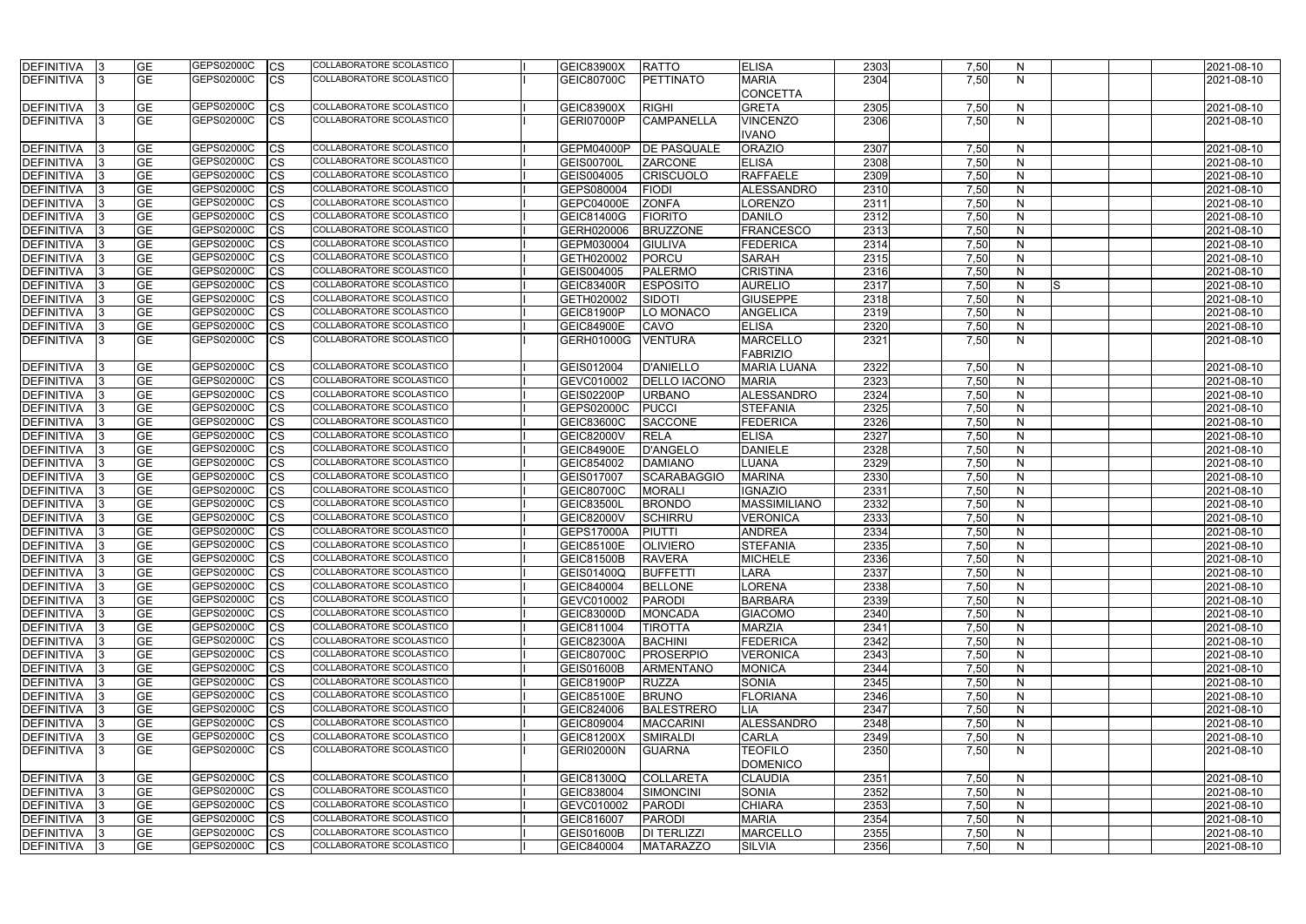| DEFINITIVA  3        | <b>GE</b> | GEPS02000C | <b>CS</b> | COLLABORATORE SCOLASTICO        | <b>GEIC83900X</b> | <b>RATTO</b>        | <b>ELISA</b>        | 2303 | 7,50 | N            |     | 2021-08-10 |
|----------------------|-----------|------------|-----------|---------------------------------|-------------------|---------------------|---------------------|------|------|--------------|-----|------------|
| <b>DEFINITIVA</b>    | <b>GE</b> | GEPS02000C | <b>CS</b> | COLLABORATORE SCOLASTICO        | GEIC80700C        | <b>PETTINATO</b>    | <b>MARIA</b>        | 2304 | 7,50 | $\mathsf{N}$ |     | 2021-08-10 |
|                      |           |            |           |                                 |                   |                     | <b>CONCETTA</b>     |      |      |              |     |            |
| DEFINITIVA           | <b>GE</b> | GEPS02000C | CS        | COLLABORATORE SCOLASTICO        | <b>GEIC83900X</b> | <b>RIGHI</b>        | <b>GRETA</b>        | 2305 | 7,50 | N            |     | 2021-08-10 |
| DEFINITIVA           | <b>GE</b> | GEPS02000C | <b>CS</b> | COLLABORATORE SCOLASTICO        | <b>GERI07000P</b> | <b>CAMPANELLA</b>   | <b>VINCENZO</b>     | 2306 | 7,50 | $\mathsf{N}$ |     | 2021-08-10 |
|                      |           |            |           |                                 |                   |                     | <b>IVANO</b>        |      |      |              |     |            |
| <b>DEFINITIVA</b>    | <b>GE</b> | GEPS02000C | СS        | COLLABORATORE SCOLASTICO        | GEPM04000P        | <b>DE PASQUALE</b>  | <b>ORAZIO</b>       | 2307 | 7,50 | N            |     | 2021-08-10 |
| <b>DEFINITIVA</b>    | GE        | GEPS02000C | <b>CS</b> | COLLABORATORE SCOLASTICO        | <b>GEIS00700L</b> | <b>ZARCONE</b>      | <b>ELISA</b>        | 2308 | 7,50 | N            |     | 2021-08-10 |
| <b>DEFINITIVA</b>    | <b>GE</b> | GEPS02000C | <b>CS</b> | COLLABORATORE SCOLASTICO        | GEIS004005        | <b>CRISCUOLO</b>    | <b>RAFFAELE</b>     | 2309 | 7,50 | N            |     | 2021-08-10 |
| <b>DEFINITIVA</b>    | <b>GE</b> | GEPS02000C | CS        | <b>COLLABORATORE SCOLASTICO</b> | GEPS080004        | <b>FIODI</b>        | <b>ALESSANDRO</b>   | 2310 | 7,50 | $\mathsf{N}$ |     | 2021-08-10 |
| <b>DEFINITIVA</b>    | <b>GE</b> | GEPS02000C | CS        | COLLABORATORE SCOLASTICO        | GEPC04000E        | <b>ZONFA</b>        | LORENZO             | 2311 | 7,50 | $\mathsf{N}$ |     | 2021-08-10 |
| <b>DEFINITIVA</b>    | GE        | GEPS02000C | СS        | <b>COLLABORATORE SCOLASTICO</b> | GEIC81400G        | <b>FIORITO</b>      | <b>DANILO</b>       | 2312 | 7,50 | N            |     | 2021-08-10 |
| <b>DEFINITIVA</b>    | <b>GE</b> | GEPS02000C | СS        | COLLABORATORE SCOLASTICO        | GERH020006        | <b>BRUZZONE</b>     | <b>FRANCESCO</b>    | 2313 | 7,50 | $\mathsf{N}$ |     | 2021-08-10 |
| <b>DEFINITIVA</b>    | <b>GE</b> | GEPS02000C | СS        | COLLABORATORE SCOLASTICO        | GEPM030004        | <b>GIULIVA</b>      | <b>FEDERICA</b>     | 2314 | 7,50 | N            |     | 2021-08-10 |
| <b>DEFINITIVA</b>    | GE        | GEPS02000C | СS        | COLLABORATORE SCOLASTICO        | GETH020002        | <b>PORCU</b>        | <b>SARAH</b>        | 2315 | 7,50 | N            |     | 2021-08-10 |
| <b>DEFINITIVA</b>    | GЕ        | GEPS02000C | СS        | COLLABORATORE SCOLASTICO        | GEIS004005        | <b>PALERMO</b>      | <b>CRISTINA</b>     | 2316 | 7,50 | $\mathsf{N}$ |     | 2021-08-10 |
| <b>DEFINITIVA</b>    | GЕ        | GEPS02000C | СS        | COLLABORATORE SCOLASTICO        | <b>GEIC83400R</b> | <b>ESPOSITO</b>     | <b>AURELIO</b>      | 2317 | 7,50 | N            | IS. | 2021-08-10 |
| <b>DEFINITIVA</b>    | GЕ        | GEPS02000C | СS        | COLLABORATORE SCOLASTICO        | GETH020002        | SIDOTI              | <b>GIUSEPPE</b>     | 2318 | 7,50 | N            |     | 2021-08-10 |
| <b>DEFINITIVA</b>    | GЕ        | GEPS02000C | СS        | <b>COLLABORATORE SCOLASTICO</b> | <b>GEIC81900P</b> | LO MONACO           | <b>ANGELICA</b>     | 2319 | 7,50 | $\mathsf{N}$ |     | 2021-08-10 |
| <b>DEFINITIVA</b>    | <b>GE</b> | GEPS02000C | СS        | COLLABORATORE SCOLASTICO        | <b>GEIC84900E</b> | CAVO                | <b>ELISA</b>        | 2320 | 7,50 | N            |     | 2021-08-10 |
| <b>DEFINITIVA</b>    | <b>GE</b> | GEPS02000C | СS        | <b>COLLABORATORE SCOLASTICO</b> | GERH01000G        | <b>VENTURA</b>      | <b>MARCELLO</b>     | 2321 | 7,50 | N            |     | 2021-08-10 |
|                      |           |            |           |                                 |                   |                     | <b>FABRIZIO</b>     |      |      |              |     |            |
| DEFINITIVA           | <b>GE</b> | GEPS02000C | <b>CS</b> | COLLABORATORE SCOLASTICO        | GEIS012004        | <b>D'ANIELLO</b>    | <b>MARIA LUANA</b>  | 2322 | 7,50 | N            |     | 2021-08-10 |
| <b>DEFINITIVA</b>    | <b>GE</b> | GEPS02000C | CS        | <b>COLLABORATORE SCOLASTICO</b> | GEVC010002        | <b>DELLO IACONO</b> | <b>MARIA</b>        | 2323 | 7,50 | $\mathsf{N}$ |     | 2021-08-10 |
| <b>DEFINITIVA</b>    | GЕ        | GEPS02000C | СS        | COLLABORATORE SCOLASTICO        | <b>GEIS02200P</b> | <b>URBANO</b>       | <b>ALESSANDRO</b>   | 2324 | 7,50 | $\mathsf{N}$ |     | 2021-08-10 |
| <b>DEFINITIVA</b>    | GE        | GEPS02000C | СS        | COLLABORATORE SCOLASTICO        | GEPS02000C        | PUCCI               | <b>STEFANIA</b>     | 2325 | 7,50 | $\mathsf{N}$ |     | 2021-08-10 |
| <b>DEFINITIVA</b>    | GЕ        | GEPS02000C | СS        | COLLABORATORE SCOLASTICO        | GEIC83600C        | <b>SACCONE</b>      | <b>FEDERICA</b>     | 2326 | 7,50 | $\mathsf{N}$ |     | 2021-08-10 |
| <b>DEFINITIVA</b>    | GЕ        | GEPS02000C | СS        | COLLABORATORE SCOLASTICO        | <b>GEIC82000V</b> | <b>RELA</b>         | <b>ELISA</b>        | 2327 | 7,50 | N            |     | 2021-08-10 |
| <b>DEFINITIVA</b>    | <b>GE</b> | GEPS02000C | CS        | COLLABORATORE SCOLASTICO        | <b>GEIC84900E</b> | <b>D'ANGELO</b>     | <b>DANIELE</b>      | 2328 | 7,50 | N            |     | 2021-08-10 |
| <b>DEFINITIVA</b>    | GЕ        | GEPS02000C | CS        | COLLABORATORE SCOLASTICO        | GEIC854002        | <b>DAMIANO</b>      | <b>LUANA</b>        | 2329 | 7,50 | $\mathsf{N}$ |     | 2021-08-10 |
| <b>DEFINITIVA</b>    | GЕ        | GEPS02000C | СS        | COLLABORATORE SCOLASTICO        | GEIS017007        | <b>SCARABAGGIO</b>  | <b>MARINA</b>       | 2330 | 7,50 | N            |     | 2021-08-10 |
| <b>DEFINITIVA</b>    | <b>GE</b> | GEPS02000C | СS        | <b>COLLABORATORE SCOLASTICO</b> | GEIC80700C        | <b>MORALI</b>       | <b>IGNAZIO</b>      | 2331 | 7,50 | $\mathsf{N}$ |     | 2021-08-10 |
| DEFINITIVA           | GE        | GEPS02000C | СS        | <b>COLLABORATORE SCOLASTICO</b> | GEIC83500L        | <b>BRONDO</b>       | <b>MASSIMILIANO</b> | 2332 | 7,50 | $\mathsf{N}$ |     | 2021-08-10 |
| DEFINITIVA           | <b>GE</b> | GEPS02000C | СS        | <b>COLLABORATORE SCOLASTICO</b> | GEIC82000V        | <b>SCHIRRU</b>      | VERONICA            | 2333 | 7,50 | N            |     | 2021-08-10 |
| <b>DEFINITIVA</b>    | <b>GE</b> | GEPS02000C | СS        | COLLABORATORE SCOLASTICO        | GEPS17000A        | PIUTTI              | <b>ANDREA</b>       | 2334 | 7,50 | $\mathsf{N}$ |     | 2021-08-10 |
| DEFINITIVA           | <b>GE</b> | GEPS02000C | <b>CS</b> | COLLABORATORE SCOLASTICO        | <b>GEIC85100E</b> | <b>OLIVIERO</b>     | <b>STEFANIA</b>     | 2335 | 7,50 | N            |     | 2021-08-10 |
| DEFINITIVA 3         | <b>GE</b> | GEPS02000C | <b>CS</b> | <b>COLLABORATORE SCOLASTICO</b> | <b>GEIC81500B</b> | <b>RAVERA</b>       | <b>MICHELE</b>      | 2336 | 7,50 | N            |     | 2021-08-10 |
| <b>DEFINITIVA</b>  3 | <b>GE</b> | GEPS02000C | <b>CS</b> | COLLABORATORE SCOLASTICO        | GEIS01400Q        | <b>BUFFETTI</b>     | <b>LARA</b>         | 2337 | 7,50 | $\mathsf{N}$ |     | 2021-08-10 |
| <b>DEFINITIVA</b>    | <b>GE</b> | GEPS02000C | <b>CS</b> | COLLABORATORE SCOLASTICO        | GEIC840004        | <b>BELLONE</b>      | <b>LORENA</b>       | 2338 | 7,50 | $\mathsf{N}$ |     | 2021-08-10 |
| DEFINITIVA           | <b>GE</b> | GEPS02000C | CS        | <b>COLLABORATORE SCOLASTICO</b> | GEVC010002        | PARODI              | <b>BARBARA</b>      | 2339 | 7,50 | N            |     | 2021-08-10 |
| DEFINITIVA 3         | <b>GE</b> | GEPS02000C | CS        | COLLABORATORE SCOLASTICO        | <b>GEIC83000D</b> | <b>MONCADA</b>      | <b>GIACOMO</b>      | 2340 | 7,50 | N            |     | 2021-08-10 |
| DEFINITIVA           | <b>GE</b> | GEPS02000C | <b>CS</b> | COLLABORATORE SCOLASTICO        | GEIC811004        | <b>TIROTTA</b>      | <b>MARZIA</b>       | 2341 | 7,50 | N            |     | 2021-08-10 |
| DEFINITIVA           | <b>GE</b> | GEPS02000C | <b>CS</b> | COLLABORATORE SCOLASTICO        | <b>GEIC82300A</b> | <b>BACHINI</b>      | <b>FEDERICA</b>     | 2342 | 7,50 | N            |     | 2021-08-10 |
| <b>DEFINITIVA</b>    | <b>GE</b> | GEPS02000C | <b>CS</b> | COLLABORATORE SCOLASTICO        | <b>GEIC80700C</b> | <b>PROSERPIO</b>    | <b>VERONICA</b>     | 2343 | 7,50 | N            |     | 2021-08-10 |
| <b>DEFINITIVA</b>    | <b>GE</b> | GEPS02000C | CS        | COLLABORATORE SCOLASTICO        | <b>GEIS01600B</b> | <b>ARMENTANO</b>    | <b>MONICA</b>       | 2344 | 7,50 | $\mathsf{N}$ |     | 2021-08-10 |
| <b>DEFINITIVA</b>    | <b>GE</b> | GEPS02000C | <b>CS</b> | <b>COLLABORATORE SCOLASTICO</b> | <b>GEIC81900P</b> | <b>RUZZA</b>        | <b>SONIA</b>        | 2345 | 7,50 | N            |     | 2021-08-10 |
| <b>DEFINITIVA</b>    | <b>GE</b> | GEPS02000C | CS        | COLLABORATORE SCOLASTICO        | <b>GEIC85100E</b> | <b>BRUNO</b>        | <b>FLORIANA</b>     | 2346 | 7,50 | N            |     | 2021-08-10 |
| <b>DEFINITIVA</b>    | <b>GE</b> | GEPS02000C | <b>CS</b> | COLLABORATORE SCOLASTICO        | GEIC824006        | <b>BALESTRERO</b>   | <b>LIA</b>          | 2347 | 7,50 | $\mathsf{N}$ |     | 2021-08-10 |
| <b>DEFINITIVA</b>    | <b>GE</b> | GEPS02000C | <b>CS</b> | COLLABORATORE SCOLASTICO        | GEIC809004        | <b>MACCARINI</b>    | <b>ALESSANDRO</b>   | 2348 | 7,50 | N            |     | 2021-08-10 |
| <b>DEFINITIVA</b>    | GЕ        | GEPS02000C | <b>CS</b> | COLLABORATORE SCOLASTICO        | <b>GEIC81200X</b> | <b>SMIRALDI</b>     | <b>CARLA</b>        | 2349 | 7,50 | N            |     | 2021-08-10 |
| DEFINITIVA           | <b>GE</b> | GEPS02000C | CS.       | COLLABORATORE SCOLASTICO        | <b>GERI02000N</b> | <b>GUARNA</b>       | <b>TEOFILO</b>      | 2350 | 7,50 | $\mathsf{N}$ |     | 2021-08-10 |
|                      |           |            |           |                                 |                   |                     | <b>DOMENICO</b>     |      |      |              |     |            |
| DEFINITIVA  3        | <b>GE</b> | GEPS02000C | <b>CS</b> | COLLABORATORE SCOLASTICO        | <b>GEIC81300Q</b> | <b>COLLARETA</b>    | <b>CLAUDIA</b>      | 2351 | 7,50 | N            |     | 2021-08-10 |
| DEFINITIVA 3         | <b>GE</b> | GEPS02000C | <b>CS</b> | COLLABORATORE SCOLASTICO        | GEIC838004        | SIMONCINI           | <b>SONIA</b>        | 2352 | 7,50 | $\mathsf{N}$ |     | 2021-08-10 |
| DEFINITIVA           | <b>GE</b> | GEPS02000C | <b>CS</b> | COLLABORATORE SCOLASTICO        | GEVC010002        | PARODI              | <b>CHIARA</b>       | 2353 | 7,50 | $\mathsf{N}$ |     | 2021-08-10 |
| DEFINITIVA           | GЕ        | GEPS02000C | <b>CS</b> | COLLABORATORE SCOLASTICO        | GEIC816007        | <b>PARODI</b>       | <b>MARIA</b>        | 2354 | 7,50 | N            |     | 2021-08-10 |
| DEFINITIVA  3        | <b>GE</b> | GEPS02000C | <b>CS</b> | COLLABORATORE SCOLASTICO        | <b>GEIS01600B</b> | <b>DI TERLIZZI</b>  | <b>MARCELLO</b>     | 2355 | 7,50 | $\mathsf{N}$ |     | 2021-08-10 |
| DEFINITIVA 3         | <b>GE</b> | GEPS02000C | <b>CS</b> | COLLABORATORE SCOLASTICO        | GEIC840004        | <b>MATARAZZO</b>    | <b>SILVIA</b>       | 2356 | 7,50 | $\mathsf{N}$ |     | 2021-08-10 |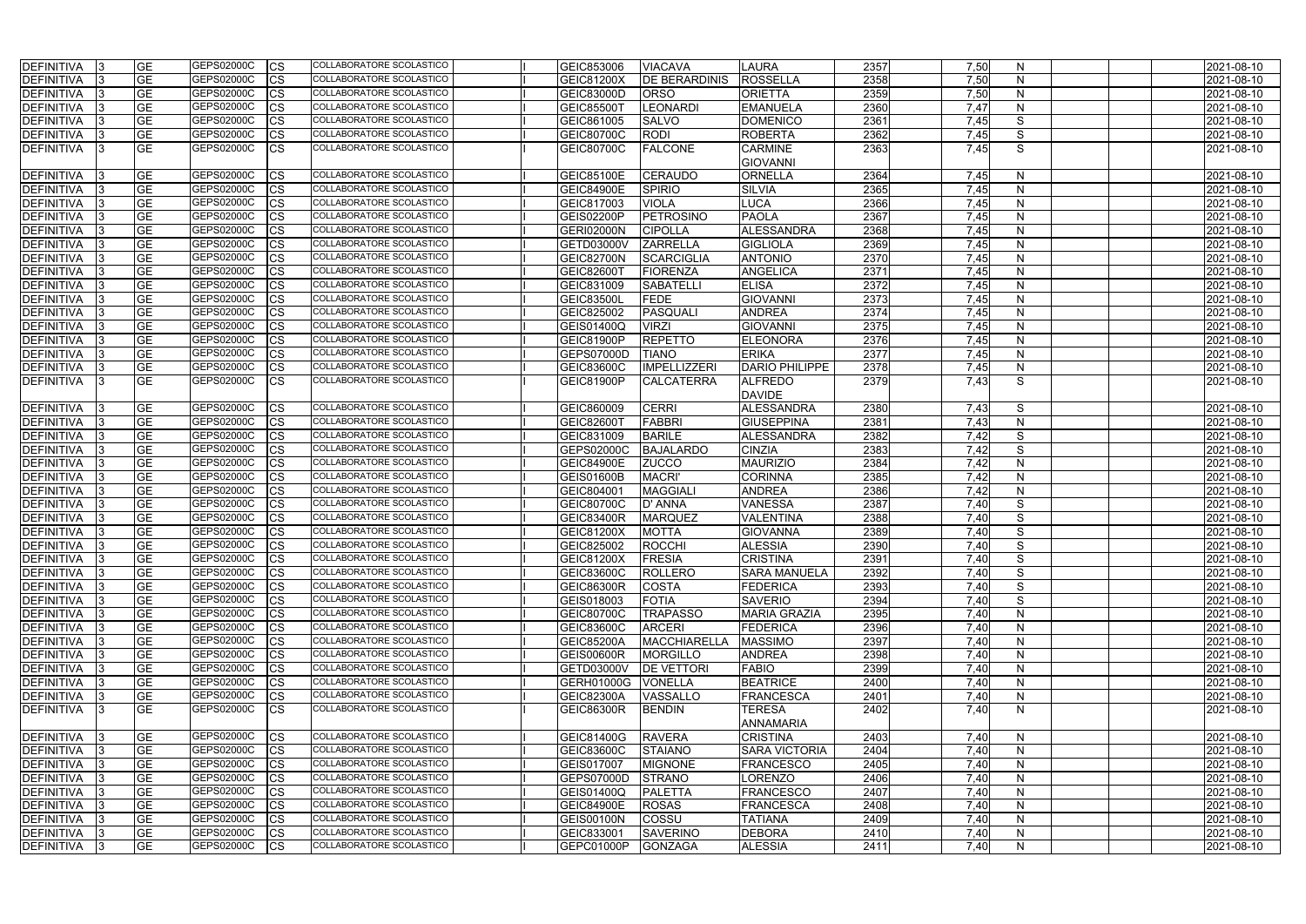| <b>DEFINITIVA</b> | <b>GE</b>       | GEPS02000C<br>CS          | COLLABORATORE SCOLASTICO        | GEIC853006        | <b>VIACAVA</b>       | LAURA                 | 2357 | 7,50 | N            |  | 2021-08-10 |
|-------------------|-----------------|---------------------------|---------------------------------|-------------------|----------------------|-----------------------|------|------|--------------|--|------------|
| <b>DEFINITIVA</b> | <b>GE</b>       | GEPS02000C<br>CS          | COLLABORATORE SCOLASTICO        | <b>GEIC81200X</b> | <b>DE BERARDINIS</b> | <b>ROSSELLA</b>       | 2358 | 7,50 | N            |  | 2021-08-10 |
| <b>DEFINITIVA</b> | <b>GE</b>       | GEPS02000C<br>СS          | <b>COLLABORATORE SCOLASTICO</b> | <b>GEIC83000D</b> | <b>ORSO</b>          | <b>ORIETTA</b>        | 2359 | 7,50 | N            |  | 2021-08-10 |
| <b>DEFINITIVA</b> | <b>GE</b>       | GEPS02000C<br>СS          | COLLABORATORE SCOLASTICO        | <b>GEIC85500T</b> | <b>LEONARDI</b>      | <b>EMANUELA</b>       | 2360 | 7,47 | N            |  | 2021-08-10 |
| DEFINITIVA        | <b>GE</b>       | GEPS02000C<br>СS          | COLLABORATORE SCOLASTICO        | GEIC861005        | <b>SALVO</b>         | <b>DOMENICO</b>       | 2361 | 7,45 | S            |  | 2021-08-10 |
| <b>DEFINITIVA</b> | <b>GE</b>       | GEPS02000C<br>СS          | COLLABORATORE SCOLASTICO        | GEIC80700C        | <b>RODI</b>          | <b>ROBERTA</b>        | 2362 | 7,45 | S            |  | 2021-08-10 |
| <b>DEFINITIVA</b> | <b>GE</b>       | GEPS02000C<br><b>CS</b>   | COLLABORATORE SCOLASTICO        | <b>GEIC80700C</b> | <b>FALCONE</b>       | <b>CARMINE</b>        | 2363 | 7,45 | S            |  | 2021-08-10 |
|                   |                 |                           |                                 |                   |                      | <b>GIOVANNI</b>       |      |      |              |  |            |
| <b>DEFINITIVA</b> | <b>GE</b>       | GEPS02000C<br>CS          | COLLABORATORE SCOLASTICO        | <b>GEIC85100E</b> | <b>CERAUDO</b>       | <b>ORNELLA</b>        | 2364 | 7,45 | N            |  | 2021-08-10 |
| DEFINITIVA        | <b>GE</b>       | GEPS02000C<br>СS          | COLLABORATORE SCOLASTICO        | <b>GEIC84900E</b> | <b>SPIRIO</b>        | <b>SILVIA</b>         | 2365 | 7,45 | N            |  | 2021-08-10 |
| <b>DEFINITIVA</b> | <b>GE</b>       | GEPS02000C<br>CS          | COLLABORATORE SCOLASTICO        | GEIC817003        | <b>VIOLA</b>         | LUCA                  | 2366 | 7,45 | $\mathsf{N}$ |  | 2021-08-10 |
| <b>DEFINITIVA</b> | <b>GE</b>       | GEPS02000C<br>СS          | COLLABORATORE SCOLASTICO        | <b>GEIS02200P</b> | <b>PETROSINO</b>     | <b>PAOLA</b>          | 2367 | 7,45 | N            |  | 2021-08-10 |
| DEFINITIVA        | <b>GE</b>       | GEPS02000C<br>СS          | COLLABORATORE SCOLASTICO        | <b>GERI02000N</b> | <b>CIPOLLA</b>       | <b>ALESSANDRA</b>     | 2368 | 7,45 | N            |  | 2021-08-10 |
| <b>DEFINITIVA</b> | <b>GE</b>       | GEPS02000C<br>СS          | COLLABORATORE SCOLASTICO        | GETD03000V        | <b>ZARRELLA</b>      | <b>GIGLIOLA</b>       | 2369 | 7,45 | N            |  | 2021-08-10 |
| <b>DEFINITIVA</b> | <b>GE</b>       | GEPS02000C<br>СS          | COLLABORATORE SCOLASTICO        | <b>GEIC82700N</b> | SCARCIGLIA           | <b>ANTONIO</b>        | 2370 | 7,45 | N            |  | 2021-08-10 |
| <b>DEFINITIVA</b> | <b>GE</b>       | GEPS02000C<br>СS          | COLLABORATORE SCOLASTICO        | <b>GEIC82600T</b> | <b>FIORENZA</b>      | <b>ANGELICA</b>       | 2371 | 7,45 | N            |  | 2021-08-10 |
| <b>DEFINITIVA</b> | <b>GE</b>       | GEPS02000C<br>CS          | COLLABORATORE SCOLASTICO        | GEIC831009        | <b>SABATELLI</b>     | <b>ELISA</b>          | 2372 | 7,45 | $\mathsf{N}$ |  | 2021-08-10 |
| <b>DEFINITIVA</b> | <b>GE</b>       | GEPS02000C<br>СS          | <b>COLLABORATORE SCOLASTICO</b> | <b>GEIC83500L</b> | <b>FEDE</b>          | <b>GIOVANNI</b>       | 2373 | 7,45 | N            |  | 2021-08-10 |
| <b>DEFINITIVA</b> | <b>GE</b>       | GEPS02000C<br>СS          | COLLABORATORE SCOLASTICO        | GEIC825002        | PASQUALI             | <b>ANDREA</b>         | 2374 | 7,45 | N            |  | 2021-08-10 |
| DEFINITIVA        | <b>GE</b>       | GEPS02000C<br>CS          | COLLABORATORE SCOLASTICO        | GEIS01400Q        | <b>VIRZI</b>         | <b>GIOVANNI</b>       | 2375 | 7,45 | $\mathsf{N}$ |  | 2021-08-10 |
| <b>DEFINITIVA</b> | <b>GE</b>       | GEPS02000C<br>СS          | COLLABORATORE SCOLASTICO        | <b>GEIC81900P</b> | <b>REPETTO</b>       | <b>ELEONORA</b>       | 2376 | 7,45 | N            |  | 2021-08-10 |
| <b>DEFINITIVA</b> | <b>GE</b>       | GEPS02000C<br>СS          | <b>COLLABORATORE SCOLASTICO</b> | <b>GEPS07000D</b> | <b>TIANO</b>         | <b>ERIKA</b>          | 2377 | 7,45 | N            |  | 2021-08-10 |
| <b>DEFINITIVA</b> | <b>GE</b>       | GEPS02000C<br>CS          | <b>COLLABORATORE SCOLASTICO</b> | <b>GEIC83600C</b> | <b>IMPELLIZZERI</b>  | <b>DARIO PHILIPPE</b> | 2378 | 7,45 | $\mathsf{N}$ |  | 2021-08-10 |
| <b>DEFINITIVA</b> | <b>GE</b>       | GEPS02000C<br>CS          | COLLABORATORE SCOLASTICO        | GEIC81900P        | <b>CALCATERRA</b>    | <b>ALFREDO</b>        | 2379 | 7,43 | S            |  | 2021-08-10 |
|                   |                 |                           |                                 |                   |                      | <b>DAVIDE</b>         |      |      |              |  |            |
| <b>DEFINITIVA</b> | <b>GE</b>       | GEPS02000C<br>CS          | COLLABORATORE SCOLASTICO        | GEIC860009        | <b>CERRI</b>         | <b>ALESSANDRA</b>     | 2380 | 7,43 | S            |  | 2021-08-10 |
| <b>DEFINITIVA</b> | <b>GE</b>       | GEPS02000C<br>СS          | COLLABORATORE SCOLASTICO        | GEIC82600T        | <b>FABBRI</b>        | <b>GIUSEPPINA</b>     | 2381 | 7,43 | N            |  | 2021-08-10 |
| <b>DEFINITIVA</b> | <b>GE</b>       | <b>GEPS02000C</b><br>СS   | COLLABORATORE SCOLASTICO        | GEIC831009        | <b>BARILE</b>        | ALESSANDRA            | 2382 | 7,42 | S            |  | 2021-08-10 |
| <b>DEFINITIVA</b> | <b>GE</b>       | GEPS02000C<br>CS          | COLLABORATORE SCOLASTICO        | GEPS02000C        | <b>BAJALARDO</b>     | <b>CINZIA</b>         | 2383 | 7,42 | S            |  | 2021-08-10 |
| <b>DEFINITIVA</b> | <b>GE</b>       | GEPS02000C<br>CS          | COLLABORATORE SCOLASTICO        | <b>GEIC84900E</b> | <b>ZUCCO</b>         | <b>MAURIZIO</b>       | 2384 | 7,42 | $\mathsf{N}$ |  | 2021-08-10 |
| <b>DEFINITIVA</b> | <b>GE</b>       | GEPS02000C<br>СS          | COLLABORATORE SCOLASTICO        | <b>GEIS01600B</b> | <b>MACRI'</b>        | <b>CORINNA</b>        | 2385 | 7,42 | N            |  | 2021-08-10 |
| DEFINITIVA        | <b>GE</b>       | GEPS02000C<br>CS          | COLLABORATORE SCOLASTICO        | GEIC804001        | <b>MAGGIAL</b>       | <b>ANDREA</b>         | 2386 | 7,42 | $\mathsf{N}$ |  | 2021-08-10 |
| DEFINITIVA        | <b>GE</b>       | GEPS02000C<br>СS          | COLLABORATORE SCOLASTICO        | GEIC80700C        | D' ANNA              | <b>VANESSA</b>        | 2387 | 7,40 | S            |  | 2021-08-10 |
| <b>DEFINITIVA</b> | <b>GE</b>       | GEPS02000C<br>СS          | COLLABORATORE SCOLASTICO        | <b>GEIC83400R</b> | <b>MARQUEZ</b>       | VALENTINA             | 2388 | 7,40 | S            |  | 2021-08-10 |
| <b>DEFINITIVA</b> | $\overline{GE}$ | GEPS02000C<br>СS          | <b>COLLABORATORE SCOLASTICO</b> | GEIC81200X        | <b>MOTTA</b>         | GIOVANNA              | 2389 | 7,40 | S            |  | 2021-08-10 |
| DEFINITIVA        | <b>GE</b>       | GEPS02000C<br><b>I</b> CS | COLLABORATORE SCOLASTICO        | GEIC825002        | <b>ROCCHI</b>        | <b>ALESSIA</b>        | 2390 | 7,40 | S            |  | 2021-08-10 |
| <b>DEFINITIVA</b> | <b>GE</b>       | GEPS02000C<br><b>CS</b>   | COLLABORATORE SCOLASTICO        | <b>GEIC81200X</b> | FRESIA               | <b>CRISTINA</b>       | 2391 | 7,40 | S            |  | 2021-08-10 |
| DEFINITIVA        | <b>GE</b>       | GEPS02000C<br><b>CS</b>   | COLLABORATORE SCOLASTICO        | <b>GEIC83600C</b> | <b>ROLLERO</b>       | <b>SARA MANUELA</b>   | 2392 | 7,40 | S            |  | 2021-08-10 |
| DEFINITIVA        | <b>GE</b>       | GEPS02000C<br><b>CS</b>   | COLLABORATORE SCOLASTICO        | <b>GEIC86300R</b> | <b>COSTA</b>         | <b>FEDERICA</b>       | 2393 | 7,40 | S            |  | 2021-08-10 |
| DEFINITIVA        | <b>GE</b>       | GEPS02000C<br>СS          | <b>COLLABORATORE SCOLASTICO</b> | GEIS018003        | <b>FOTIA</b>         | <b>SAVERIO</b>        | 2394 | 7,40 | S            |  | 2021-08-10 |
| DEFINITIVA        | <b>GE</b>       | GEPS02000C<br>CS          | <b>COLLABORATORE SCOLASTICO</b> | <b>GEIC80700C</b> | <b>TRAPASSO</b>      | <b>MARIA GRAZIA</b>   | 2395 | 7,40 | $\mathsf{N}$ |  | 2021-08-10 |
| <b>DEFINITIVA</b> | <b>GE</b>       | GEPS02000C<br>CS          | COLLABORATORE SCOLASTICO        | <b>GEIC83600C</b> | <b>ARCERI</b>        | <b>FEDERICA</b>       | 2396 | 7,40 | N            |  | 2021-08-10 |
| <b>DEFINITIVA</b> | <b>GE</b>       | GEPS02000C<br>CS          | COLLABORATORE SCOLASTICO        | <b>GEIC85200A</b> | MACCHIARELLA         | <b>MASSIMO</b>        | 2397 | 7,40 | N            |  | 2021-08-10 |
| DEFINITIVA        | <b>GE</b>       | GEPS02000C<br><b>CS</b>   | <b>COLLABORATORE SCOLASTICO</b> | <b>GEIS00600R</b> | <b>MORGILLO</b>      | <b>ANDREA</b>         | 2398 | 7,40 | N            |  | 2021-08-10 |
| <b>DEFINITIVA</b> | <b>GE</b>       | GEPS02000C<br><b>CS</b>   | COLLABORATORE SCOLASTICO        | <b>GETD03000V</b> | <b>DE VETTORI</b>    | <b>FABIO</b>          | 2399 | 7,40 | $\mathsf{N}$ |  | 2021-08-10 |
| <b>DEFINITIVA</b> | <b>GE</b>       | GEPS02000C<br>CS          | COLLABORATORE SCOLASTICO        | <b>GERH01000G</b> | <b>VONELLA</b>       | <b>BEATRICE</b>       | 2400 | 7,40 | N            |  | 2021-08-10 |
| <b>DEFINITIVA</b> | <b>GE</b>       | GEPS02000C<br><b>CS</b>   | COLLABORATORE SCOLASTICO        | <b>GEIC82300A</b> | <b>VASSALLO</b>      | <b>FRANCESCA</b>      | 2401 | 7,40 | $\mathsf{N}$ |  | 2021-08-10 |
| DEFINITIVA        | <b>GE</b>       | GEPS02000C<br><b>CS</b>   | COLLABORATORE SCOLASTICO        | <b>GEIC86300R</b> | <b>BENDIN</b>        | <b>TERESA</b>         | 2402 | 7,40 | N            |  | 2021-08-10 |
|                   |                 |                           |                                 |                   |                      | ANNAMARIA             |      |      |              |  |            |
| DEFINITIVA        | <b>GE</b>       | GEPS02000C<br><b>CS</b>   | COLLABORATORE SCOLASTICO        | <b>GEIC81400G</b> | <b>RAVERA</b>        | <b>CRISTINA</b>       | 2403 | 7,40 | N            |  | 2021-08-10 |
| DEFINITIVA        | <b>GE</b>       | GEPS02000C<br><b>CS</b>   | COLLABORATORE SCOLASTICO        | GEIC83600C        | <b>STAIANO</b>       | <b>SARA VICTORIA</b>  | 2404 | 7,40 | $\mathsf{N}$ |  | 2021-08-10 |
| DEFINITIVA        | <b>GE</b>       | GEPS02000C<br>СS          | COLLABORATORE SCOLASTICO        | GEIS017007        | <b>MIGNONE</b>       | <b>FRANCESCO</b>      | 2405 | 7,40 | $\mathsf{N}$ |  | 2021-08-10 |
| DEFINITIVA        | <b>GE</b>       | GEPS02000C<br>СS          | COLLABORATORE SCOLASTICO        | GEPS07000D        | <b>STRANO</b>        | <b>LORENZO</b>        | 2406 | 7,40 | N            |  | 2021-08-10 |
| DEFINITIVA        | <b>GE</b>       | GEPS02000C<br>CS          | COLLABORATORE SCOLASTICO        | <b>GEIS01400Q</b> | <b>PALETTA</b>       | <b>FRANCESCO</b>      | 2407 | 7,40 | $\mathsf{N}$ |  | 2021-08-10 |
| <b>DEFINITIVA</b> | <b>GE</b>       | GEPS02000C<br>CS          | COLLABORATORE SCOLASTICO        | <b>GEIC84900E</b> | <b>ROSAS</b>         | <b>FRANCESCA</b>      | 2408 | 7,40 | N            |  | 2021-08-10 |
| DEFINITIVA        | <b>GE</b>       | GEPS02000C<br><b>CS</b>   | COLLABORATORE SCOLASTICO        | GEIS00100N        | COSSU                | <b>TATIANA</b>        | 2409 | 7,40 | $\mathsf{N}$ |  | 2021-08-10 |
| <b>DEFINITIVA</b> | <b>GE</b>       | GEPS02000C<br><b>CS</b>   | COLLABORATORE SCOLASTICO        | GEIC833001        | <b>SAVERINO</b>      | <b>DEBORA</b>         | 2410 | 7,40 | N            |  | 2021-08-10 |
| DEFINITIVA        | <b>GE</b>       | GEPS02000C<br><b>CS</b>   | COLLABORATORE SCOLASTICO        | GEPC01000P        | <b>GONZAGA</b>       | <b>ALESSIA</b>        | 2411 | 7,40 | $\mathsf{N}$ |  | 2021-08-10 |
|                   |                 |                           |                                 |                   |                      |                       |      |      |              |  |            |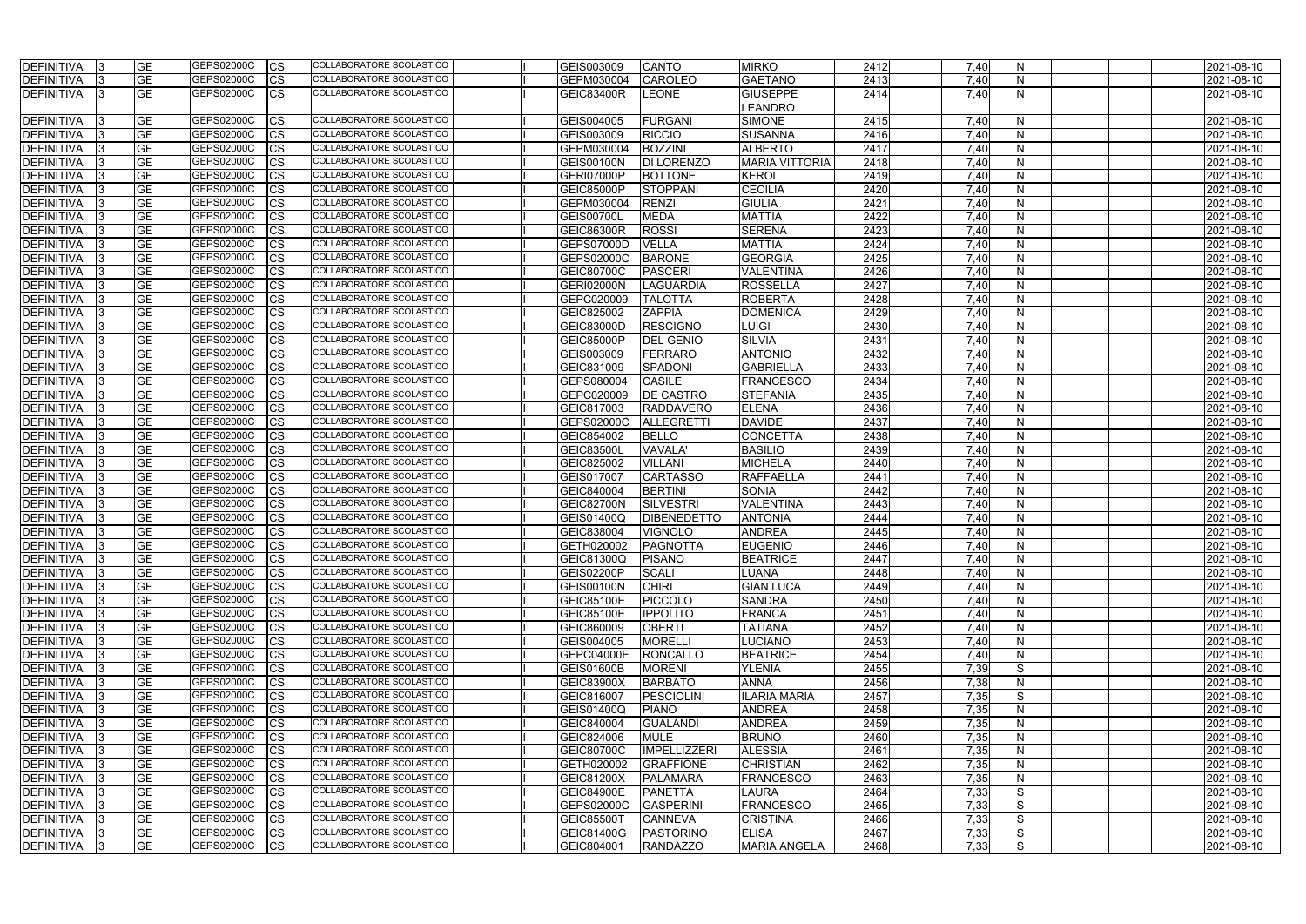| <b>DEFINITIVA</b> | <b>GE</b>  | GEPS02000C | <b>CS</b>  | COLLABORATORE SCOLASTICO        | GEIS003009        | <b>CANTO</b>        | <b>MIRKO</b>          | 2412 | 7,40 | N            | 2021-08-10 |
|-------------------|------------|------------|------------|---------------------------------|-------------------|---------------------|-----------------------|------|------|--------------|------------|
| <b>DEFINITIVA</b> | <b>GE</b>  | GEPS02000C | <b>CS</b>  | COLLABORATORE SCOLASTICO        | GEPM030004        | <b>CAROLEO</b>      | <b>GAETANO</b>        | 2413 | 7,40 | N            | 2021-08-10 |
| <b>DEFINITIVA</b> | <b>GE</b>  | GEPS02000C | <b>CS</b>  | COLLABORATORE SCOLASTICO        | GEIC83400R        | <b>LEONE</b>        | <b>GIUSEPPE</b>       | 2414 | 7,40 | N            | 2021-08-10 |
|                   |            |            |            |                                 |                   |                     | <b>LEANDRO</b>        |      |      |              |            |
| <b>DEFINITIVA</b> | <b>GE</b>  | GEPS02000C | <b>ICS</b> | COLLABORATORE SCOLASTICO        | GEIS004005        | FURGANI             | <b>SIMONE</b>         | 2415 | 7,40 | N            | 2021-08-10 |
| <b>DEFINITIVA</b> | <b>GE</b>  | GEPS02000C | <b>CS</b>  | <b>COLLABORATORE SCOLASTICO</b> | GEIS003009        | <b>RICCIO</b>       | <b>SUSANNA</b>        | 2416 | 7,40 | N            | 2021-08-10 |
| <b>DEFINITIVA</b> | <b>GE</b>  | GEPS02000C | <b>CS</b>  | COLLABORATORE SCOLASTICO        | GEPM030004        | <b>BOZZINI</b>      | <b>ALBERTO</b>        | 2417 | 7,40 | N            | 2021-08-10 |
| <b>DEFINITIVA</b> | <b>GE</b>  | GEPS02000C | <b>CS</b>  | COLLABORATORE SCOLASTICO        | <b>GEIS00100N</b> | <b>DI LORENZO</b>   | <b>MARIA VITTORIA</b> | 2418 | 7,40 | N            | 2021-08-10 |
| <b>DEFINITIVA</b> | <b>GE</b>  | GEPS02000C | <b>CS</b>  | COLLABORATORE SCOLASTICO        | <b>GERI07000P</b> | <b>BOTTONE</b>      | <b>KEROL</b>          | 2419 | 7,40 | N            | 2021-08-10 |
| <b>DEFINITIVA</b> | <b>GE</b>  | GEPS02000C | <b>CS</b>  | COLLABORATORE SCOLASTICO        | <b>GEIC85000P</b> | STOPPANI            | <b>CECILIA</b>        | 2420 | 7,40 | N            | 2021-08-10 |
| <b>DEFINITIVA</b> | <b>GE</b>  | GEPS02000C | <b>CS</b>  | COLLABORATORE SCOLASTICO        | GEPM030004        | <b>RENZI</b>        | <b>GIULIA</b>         | 2421 | 7,40 | N            | 2021-08-10 |
|                   | <b>GE</b>  | GEPS02000C | <b>CS</b>  | COLLABORATORE SCOLASTICO        | <b>GEIS00700L</b> | <b>MEDA</b>         | <b>MATTIA</b>         | 2422 | 7,40 |              |            |
| DEFINITIVA        | <b>GE</b>  | GEPS02000C |            | COLLABORATORE SCOLASTICO        |                   | <b>ROSSI</b>        |                       |      |      | <sub>N</sub> | 2021-08-10 |
| DEFINITIVA        |            | GEPS02000C | <b>CS</b>  | COLLABORATORE SCOLASTICO        | <b>GEIC86300R</b> |                     | <b>SERENA</b>         | 2423 | 7,40 | N            | 2021-08-10 |
| <b>DEFINITIVA</b> | <b>GE</b>  | GEPS02000C | CS         | COLLABORATORE SCOLASTICO        | <b>GEPS07000D</b> | <b>VELLA</b>        | <b>MATTIA</b>         | 2424 | 7,40 | N            | 2021-08-10 |
| <b>DEFINITIVA</b> | <b>GE</b>  |            | <b>CS</b>  |                                 | GEPS02000C        | <b>BARONE</b>       | <b>GEORGIA</b>        | 2425 | 7,40 | N            | 2021-08-10 |
| <b>DEFINITIVA</b> | <b>GE</b>  | GEPS02000C | CS         | COLLABORATORE SCOLASTICO        | <b>GEIC80700C</b> | PASCERI             | <b>VALENTINA</b>      | 2426 | 7,40 | N            | 2021-08-10 |
| <b>DEFINITIVA</b> | <b>GE</b>  | GEPS02000C | CS         | COLLABORATORE SCOLASTICO        | <b>GERI02000N</b> | LAGUARDIA           | <b>ROSSELLA</b>       | 2427 | 7,40 | N            | 2021-08-10 |
| <b>DEFINITIVA</b> | <b>GE</b>  | GEPS02000C | CS         | COLLABORATORE SCOLASTICO        | GEPC020009        | <b>TALOTTA</b>      | <b>ROBERTA</b>        | 2428 | 7,40 | N            | 2021-08-10 |
| <b>DEFINITIVA</b> | <b>GE</b>  | GEPS02000C | <b>CS</b>  | <b>COLLABORATORE SCOLASTICO</b> | GEIC825002        | <b>ZAPPIA</b>       | <b>DOMENICA</b>       | 2429 | 7,40 | <sub>N</sub> | 2021-08-10 |
| <b>DEFINITIVA</b> | <b>GE</b>  | GEPS02000C | <b>CS</b>  | COLLABORATORE SCOLASTICO        | GEIC83000D        | <b>RESCIGNO</b>     | <b>LUIGI</b>          | 2430 | 7,40 | N            | 2021-08-10 |
| <b>DEFINITIVA</b> | <b>GE</b>  | GEPS02000C | <b>CS</b>  | COLLABORATORE SCOLASTICO        | <b>GEIC85000P</b> | <b>DEL GENIO</b>    | <b>SILVIA</b>         | 2431 | 7,40 | N            | 2021-08-10 |
| <b>DEFINITIVA</b> | <b>GE</b>  | GEPS02000C | <b>CS</b>  | COLLABORATORE SCOLASTICO        | GEIS003009        | FERRARO             | <b>ANTONIO</b>        | 2432 | 7,40 | N            | 2021-08-10 |
| <b>DEFINITIVA</b> | <b>GE</b>  | GEPS02000C | <b>CS</b>  | COLLABORATORE SCOLASTICO        | GEIC831009        | SPADONI             | <b>GABRIELLA</b>      | 2433 | 7,40 | $\mathsf{N}$ | 2021-08-10 |
| <b>DEFINITIVA</b> | <b>GE</b>  | GEPS02000C | <b>CS</b>  | COLLABORATORE SCOLASTICO        | GEPS080004        | <b>CASILE</b>       | <b>FRANCESCO</b>      | 2434 | 7,40 | $\mathsf{N}$ | 2021-08-10 |
| DEFINITIVA        | <b>GE</b>  | GEPS02000C | <b>CS</b>  | COLLABORATORE SCOLASTICO        | GEPC020009        | <b>DE CASTRO</b>    | <b>STEFANIA</b>       | 2435 | 7,40 | <sub>N</sub> | 2021-08-10 |
| <b>DEFINITIVA</b> | <b>GE</b>  | GEPS02000C | <b>CS</b>  | COLLABORATORE SCOLASTICO        | GEIC817003        | <b>RADDAVERO</b>    | <b>ELENA</b>          | 2436 | 7,40 | N            | 2021-08-10 |
| <b>DEFINITIVA</b> | <b>GE</b>  | GEPS02000C | <b>CS</b>  | COLLABORATORE SCOLASTICO        | GEPS02000C        | ALLEGRETTI          | <b>DAVIDE</b>         | 2437 | 7,40 | N            | 2021-08-10 |
| <b>DEFINITIVA</b> | <b>GE</b>  | GEPS02000C | CS         | COLLABORATORE SCOLASTICO        | GEIC854002        | <b>BELLO</b>        | <b>CONCETTA</b>       | 2438 | 7,40 | N            | 2021-08-10 |
| <b>DEFINITIVA</b> | <b>GE</b>  | GEPS02000C | <b>CS</b>  | COLLABORATORE SCOLASTICO        | <b>GEIC83500L</b> | VAVALA'             | <b>BASILIO</b>        | 2439 | 7,40 | N            | 2021-08-10 |
| <b>DEFINITIVA</b> | <b>GE</b>  | GEPS02000C | <b>CS</b>  | COLLABORATORE SCOLASTICO        | GEIC825002        | <b>VILLANI</b>      | <b>MICHELA</b>        | 2440 | 7,40 | N            | 2021-08-10 |
| DEFINITIVA        | <b>GE</b>  | GEPS02000C | <b>CS</b>  | COLLABORATORE SCOLASTICO        | GEIS017007        | <b>CARTASSO</b>     | <b>RAFFAELLA</b>      | 2441 | 7,40 | <sub>N</sub> | 2021-08-10 |
| <b>DEFINITIVA</b> | <b>GE</b>  | GEPS02000C | <b>CS</b>  | COLLABORATORE SCOLASTICO        | GEIC840004        | <b>BERTINI</b>      | <b>SONIA</b>          | 2442 | 7,40 | N            | 2021-08-10 |
| DEFINITIVA        | <b>GE</b>  | GEPS02000C | <b>CS</b>  | COLLABORATORE SCOLASTICO        | <b>GEIC82700N</b> | <b>SILVESTRI</b>    | <b>VALENTINA</b>      | 2443 | 7,40 | $\mathsf{N}$ | 2021-08-10 |
| <b>DEFINITIVA</b> | <b>GE</b>  | GEPS02000C | CS         | COLLABORATORE SCOLASTICO        | GEIS01400Q        | <b>DIBENEDETTO</b>  | <b>ANTONIA</b>        | 2444 | 7,40 | N            | 2021-08-10 |
| <b>DEFINITIVA</b> | <b>GE</b>  | GEPS02000C | CS         | COLLABORATORE SCOLASTICO        | GEIC838004        | <b>VIGNOLO</b>      | <b>ANDREA</b>         | 2445 | 7,40 | N            | 2021-08-10 |
| <b>DEFINITIVA</b> | <b>IGE</b> | GEPS02000C | <b>ICS</b> | COLLABORATORE SCOLASTICO        | GETH020002        | PAGNOTTA            | <b>EUGENIO</b>        | 2446 | 7.40 | N            | 2021-08-10 |
| <b>DEFINITIVA</b> | <b>GE</b>  | GEPS02000C | <b>CS</b>  | <b>COLLABORATORE SCOLASTICO</b> | <b>GEIC81300Q</b> | PISANO              | <b>BEATRICE</b>       | 2447 | 7,40 | N            | 2021-08-10 |
| <b>DEFINITIVA</b> | <b>GE</b>  | GEPS02000C | <b>CS</b>  | COLLABORATORE SCOLASTICO        | GEIS02200P        | <b>SCALI</b>        | <b>LUANA</b>          | 2448 | 7,40 | $\mathsf{N}$ | 2021-08-10 |
| <b>DEFINITIVA</b> | <b>GE</b>  | GEPS02000C | <b>ICS</b> | COLLABORATORE SCOLASTICO        | <b>GEIS00100N</b> | <b>CHIRI</b>        | <b>GIAN LUCA</b>      | 2449 | 7,40 | $\mathsf{N}$ | 2021-08-10 |
| <b>DEFINITIVA</b> | <b>GE</b>  | GEPS02000C | <b>ICS</b> | COLLABORATORE SCOLASTICO        | <b>GEIC85100E</b> | PICCOLO             | <b>SANDRA</b>         | 2450 | 7,40 | N            | 2021-08-10 |
| DEFINITIVA        | <b>GE</b>  | GEPS02000C | <b>ICS</b> | COLLABORATORE SCOLASTICO        | <b>GEIC85100E</b> | <b>IPPOLITO</b>     | <b>FRANCA</b>         | 2451 | 7,40 | N            | 2021-08-10 |
| DEFINITIVA        | <b>GE</b>  | GEPS02000C | <b>ICS</b> | COLLABORATORE SCOLASTICO        | GEIC860009        | <b>OBERTI</b>       | <b>TATIANA</b>        | 2452 | 7,40 | N            | 2021-08-10 |
| <b>DEFINITIVA</b> | <b>GE</b>  | GEPS02000C | <b>CS</b>  | COLLABORATORE SCOLASTICO        | GEIS004005        | <b>MORELLI</b>      | <b>LUCIANO</b>        | 2453 | 7,40 | N            | 2021-08-10 |
| DEFINITIVA        | <b>GE</b>  | GEPS02000C | <b>ICS</b> | COLLABORATORE SCOLASTICO        | <b>GEPC04000E</b> | <b>RONCALLO</b>     | <b>BEATRICE</b>       | 2454 | 7,40 | N            | 2021-08-10 |
| <b>DEFINITIVA</b> | <b>GE</b>  | GEPS02000C | <b>ICS</b> | COLLABORATORE SCOLASTICO        | <b>GEIS01600B</b> | <b>MORENI</b>       | <b>YLENIA</b>         | 2455 | 7,39 | S            | 2021-08-10 |
| <b>DEFINITIVA</b> | <b>GE</b>  | GEPS02000C | <b>ICS</b> | COLLABORATORE SCOLASTICO        | <b>GEIC83900X</b> | <b>BARBATO</b>      | <b>ANNA</b>           | 2456 | 7,38 | N            | 2021-08-10 |
| <b>DEFINITIVA</b> | <b>GE</b>  | GEPS02000C | <b>CS</b>  | COLLABORATORE SCOLASTICO        | GEIC816007        | PESCIOLINI          | <b>ILARIA MARIA</b>   | 2457 | 7,35 | S            | 2021-08-10 |
| <b>DEFINITIVA</b> | <b>GE</b>  | GEPS02000C | <b>CS</b>  | COLLABORATORE SCOLASTICO        | <b>GEIS01400Q</b> | <b>PIANO</b>        | <b>ANDREA</b>         | 2458 | 7,35 | $\mathsf{N}$ | 2021-08-10 |
| <b>DEFINITIVA</b> | <b>GE</b>  | GEPS02000C | <b>ICS</b> | COLLABORATORE SCOLASTICO        | GEIC840004        | <b>GUALANDI</b>     | <b>ANDREA</b>         | 2459 | 7,35 | N            | 2021-08-10 |
| <b>DEFINITIVA</b> | <b>GE</b>  | GEPS02000C | <b>CS</b>  | COLLABORATORE SCOLASTICO        | GEIC824006        | <b>MULE</b>         | <b>BRUNO</b>          | 2460 | 7,35 | N            | 2021-08-10 |
| <b>DEFINITIVA</b> | <b>GE</b>  | GEPS02000C | <b>ICS</b> | COLLABORATORE SCOLASTICO        | <b>GEIC80700C</b> | <b>IMPELLIZZERI</b> | <b>ALESSIA</b>        | 2461 | 7,35 | N            | 2021-08-10 |
| DEFINITIVA        | <b>GE</b>  | GEPS02000C | <b>ICS</b> | COLLABORATORE SCOLASTICO        | GETH020002        | <b>GRAFFIONE</b>    | <b>CHRISTIAN</b>      | 2462 | 7,35 | N            | 2021-08-10 |
| DEFINITIVA        | <b>GE</b>  | GEPS02000C | <b>CS</b>  | COLLABORATORE SCOLASTICO        | <b>GEIC81200X</b> | PALAMARA            | <b>FRANCESCO</b>      | 2463 | 7,35 | N            | 2021-08-10 |
| <b>DEFINITIVA</b> | <b>GE</b>  | GEPS02000C | <b>ICS</b> | COLLABORATORE SCOLASTICO        | <b>GEIC84900E</b> | <b>PANETTA</b>      | <b>LAURA</b>          | 2464 | 7,33 | S            | 2021-08-10 |
| DEFINITIVA        | <b>GE</b>  | GEPS02000C | <b>CS</b>  | COLLABORATORE SCOLASTICO        | GEPS02000C        | <b>GASPERINI</b>    | <b>FRANCESCO</b>      | 2465 | 7,33 | S            | 2021-08-10 |
| DEFINITIVA        | <b>GE</b>  | GEPS02000C | <b>ICS</b> | COLLABORATORE SCOLASTICO        | <b>GEIC85500T</b> | <b>CANNEVA</b>      | <b>CRISTINA</b>       | 2466 | 7,33 | S            | 2021-08-10 |
| <b>DEFINITIVA</b> | <b>GE</b>  | GEPS02000C | <b>CS</b>  | COLLABORATORE SCOLASTICO        | <b>GEIC81400G</b> | PASTORINO           | <b>ELISA</b>          | 2467 | 7,33 | S            | 2021-08-10 |
| <b>DEFINITIVA</b> | <b>GE</b>  | GEPS02000C | <b>CS</b>  | COLLABORATORE SCOLASTICO        | GEIC804001        | <b>RANDAZZO</b>     | <b>MARIA ANGELA</b>   | 2468 | 7,33 | S            | 2021-08-10 |
|                   |            |            |            |                                 |                   |                     |                       |      |      |              |            |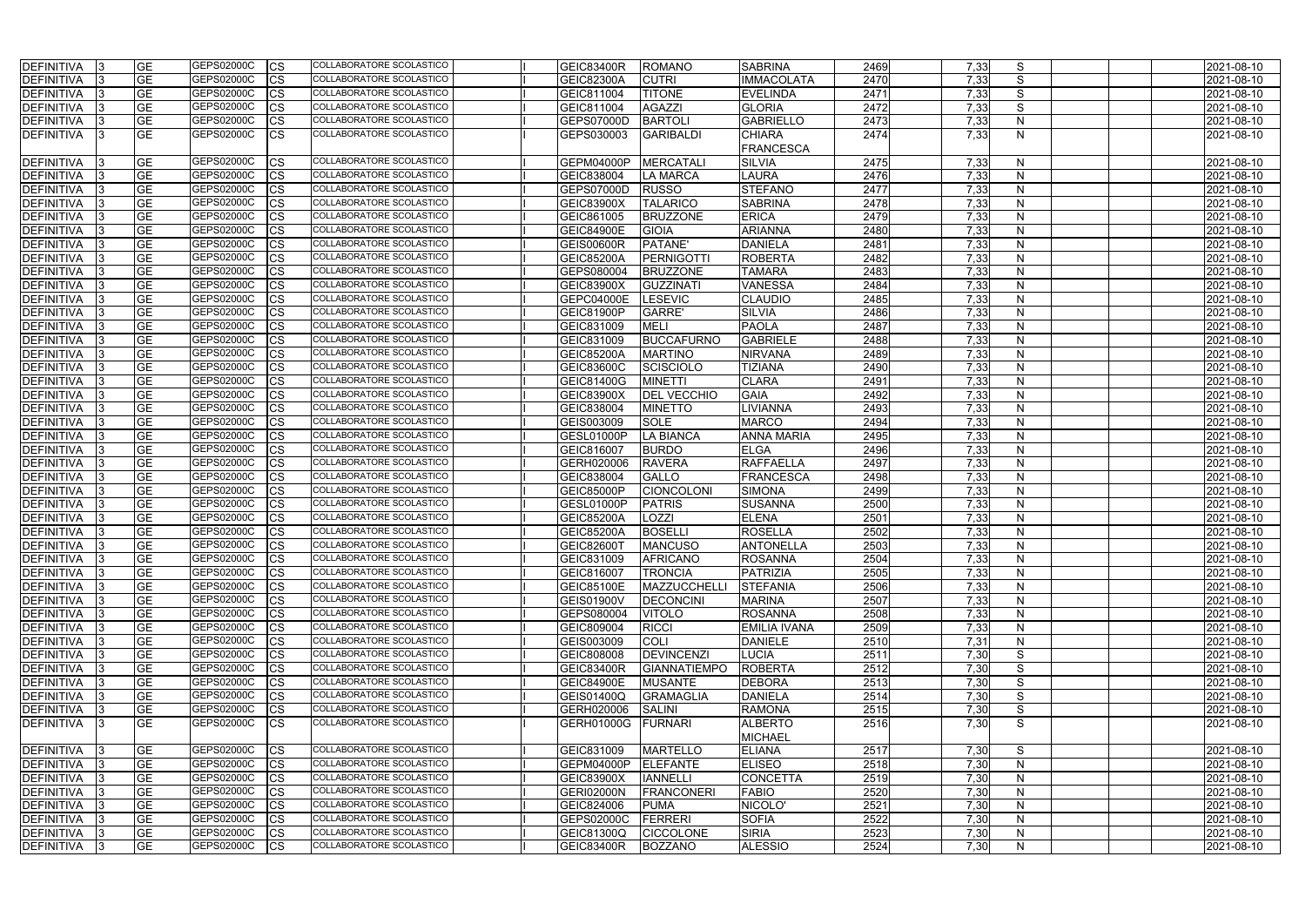| <b>DEFINITIVA</b> | <b>GE</b> | GEPS02000C | <b>CS</b>  | COLLABORATORE SCOLASTICO        | <b>GEIC83400R</b> | <b>ROMANO</b>       | <b>SABRINA</b>      | 2469 | 7,33 | S            |  | 2021-08-10 |
|-------------------|-----------|------------|------------|---------------------------------|-------------------|---------------------|---------------------|------|------|--------------|--|------------|
| <b>DEFINITIVA</b> | <b>GE</b> | GEPS02000C | CS         | COLLABORATORE SCOLASTICO        | <b>GEIC82300A</b> | <b>CUTRI</b>        | <b>IMMACOLATA</b>   | 2470 | 7,33 | S            |  | 2021-08-10 |
| <b>DEFINITIVA</b> | <b>GE</b> | GEPS02000C | <b>CS</b>  | COLLABORATORE SCOLASTICO        | GEIC811004        | <b>TITONE</b>       | <b>EVELINDA</b>     | 2471 | 7,33 | S            |  | 2021-08-10 |
| <b>DEFINITIVA</b> | <b>GE</b> | GEPS02000C | СS         | COLLABORATORE SCOLASTICO        | GEIC811004        | <b>AGAZZI</b>       | <b>GLORIA</b>       | 2472 | 7,33 | S            |  | 2021-08-10 |
| <b>DEFINITIVA</b> | <b>GE</b> | GEPS02000C | CS         | COLLABORATORE SCOLASTICO        | <b>GEPS07000D</b> | <b>BARTOLI</b>      | <b>GABRIELLO</b>    | 2473 | 7,33 | N            |  | 2021-08-10 |
| DEFINITIVA        | <b>GE</b> | GEPS02000C | lCS        | <b>COLLABORATORE SCOLASTICO</b> | GEPS030003        | <b>GARIBALDI</b>    | <b>CHIARA</b>       | 2474 | 7,33 | N            |  | 2021-08-10 |
|                   |           |            |            |                                 |                   |                     | <b>FRANCESCA</b>    |      |      |              |  |            |
| <b>DEFINITIVA</b> | <b>GE</b> | GEPS02000C | CS         | COLLABORATORE SCOLASTICO        | GEPM04000P        | <b>MERCATALI</b>    | <b>SILVIA</b>       | 2475 | 7,33 | N            |  | 2021-08-10 |
| DEFINITIVA        | <b>GE</b> | GEPS02000C | <b>CS</b>  | COLLABORATORE SCOLASTICO        | GEIC838004        | <b>LA MARCA</b>     | <b>LAURA</b>        | 2476 | 7,33 | N            |  | 2021-08-10 |
| <b>DEFINITIVA</b> | <b>GE</b> | GEPS02000C | СS         | <b>COLLABORATORE SCOLASTICO</b> | GEPS07000D        | <b>RUSSO</b>        | <b>STEFANO</b>      | 2477 | 7,33 | N            |  | 2021-08-10 |
| <b>DEFINITIVA</b> | <b>GE</b> | GEPS02000C | CS         | <b>COLLABORATORE SCOLASTICO</b> | GEIC83900X        | <b>TALARICO</b>     | <b>SABRINA</b>      | 2478 | 7,33 | N            |  | 2021-08-10 |
| <b>DEFINITIVA</b> | <b>GE</b> | GEPS02000C | CS         | <b>COLLABORATORE SCOLASTICO</b> | GEIC861005        | <b>BRUZZONE</b>     | <b>ERICA</b>        | 2479 | 7,33 | $\mathsf{N}$ |  | 2021-08-10 |
| <b>DEFINITIVA</b> | <b>GE</b> | GEPS02000C | СS         | COLLABORATORE SCOLASTICO        | <b>GEIC84900E</b> | <b>GIOIA</b>        | <b>ARIANNA</b>      | 2480 | 7,33 | $\mathsf{N}$ |  | 2021-08-10 |
| <b>DEFINITIVA</b> | <b>GE</b> | GEPS02000C | СS         | COLLABORATORE SCOLASTICO        | <b>GEIS00600R</b> | PATANE'             | <b>DANIELA</b>      | 2481 | 7,33 | N            |  | 2021-08-10 |
| <b>DEFINITIVA</b> | <b>GE</b> | GEPS02000C | CS         | COLLABORATORE SCOLASTICO        | <b>GEIC85200A</b> | PERNIGOTTI          | <b>ROBERTA</b>      | 2482 | 7,33 | N            |  | 2021-08-10 |
| <b>DEFINITIVA</b> | <b>GE</b> | GEPS02000C | СS         | COLLABORATORE SCOLASTICO        | GEPS080004        | <b>BRUZZONE</b>     | <b>TAMARA</b>       | 2483 | 7,33 | N            |  | 2021-08-10 |
| <b>DEFINITIVA</b> | <b>GE</b> | GEPS02000C | CS         | COLLABORATORE SCOLASTICO        | <b>GEIC83900X</b> | <b>GUZZINATI</b>    | <b>VANESSA</b>      | 2484 | 7,33 | N            |  | 2021-08-10 |
| <b>DEFINITIVA</b> | <b>GE</b> | GEPS02000C | CS         | <b>COLLABORATORE SCOLASTICO</b> | GEPC04000E        | <b>LESEVIC</b>      | <b>CLAUDIO</b>      | 2485 | 7,33 | N            |  | 2021-08-10 |
| DEFINITIVA        | <b>GE</b> | GEPS02000C | CS         | COLLABORATORE SCOLASTICO        | <b>GEIC81900P</b> | <b>GARRE</b>        | <b>SILVIA</b>       | 2486 | 7,33 | $\mathsf{N}$ |  | 2021-08-10 |
| DEFINITIVA        | <b>GE</b> | GEPS02000C | <b>CS</b>  | <b>COLLABORATORE SCOLASTICO</b> | GEIC831009        | <b>MELI</b>         | <b>PAOLA</b>        | 2487 | 7,33 | $\mathsf{N}$ |  | 2021-08-10 |
| <b>DEFINITIVA</b> | <b>GE</b> | GEPS02000C | <b>CS</b>  | COLLABORATORE SCOLASTICO        | GEIC831009        | <b>BUCCAFURNO</b>   | <b>GABRIELE</b>     | 2488 | 7,33 | N            |  | 2021-08-10 |
| <b>DEFINITIVA</b> | <b>GE</b> | GEPS02000C | CS         | COLLABORATORE SCOLASTICO        | <b>GEIC85200A</b> | <b>MARTINO</b>      | <b>NIRVANA</b>      | 2489 | 7,33 | N            |  | 2021-08-10 |
| <b>DEFINITIVA</b> | <b>GE</b> | GEPS02000C | CS         | <b>COLLABORATORE SCOLASTICO</b> | <b>GEIC83600C</b> | SCISCIOLO           | <b>TIZIANA</b>      | 2490 | 7,33 | N            |  | 2021-08-10 |
| <b>DEFINITIVA</b> | <b>GE</b> | GEPS02000C | CS         | <b>COLLABORATORE SCOLASTICO</b> | GEIC81400G        | <b>MINETTI</b>      | <b>CLARA</b>        | 2491 | 7,33 | $\mathsf{N}$ |  | 2021-08-10 |
| <b>DEFINITIVA</b> | <b>GE</b> | GEPS02000C | CS         | COLLABORATORE SCOLASTICO        | GEIC83900X        | <b>DEL VECCHIO</b>  | <b>GAIA</b>         | 2492 | 7,33 | $\mathsf{N}$ |  | 2021-08-10 |
| <b>DEFINITIVA</b> | <b>GE</b> | GEPS02000C | CS         | COLLABORATORE SCOLASTICO        | GEIC838004        | <b>MINETTO</b>      | LIVIANNA            | 2493 | 7,33 | N            |  | 2021-08-10 |
| <b>DEFINITIVA</b> | <b>GE</b> | GEPS02000C | СS         | COLLABORATORE SCOLASTICO        | GEIS003009        | <b>SOLE</b>         | <b>MARCO</b>        | 2494 | 7,33 | N            |  | 2021-08-10 |
| <b>DEFINITIVA</b> | <b>GE</b> | GEPS02000C | СS         | COLLABORATORE SCOLASTICO        | <b>GESL01000P</b> | <b>LA BIANCA</b>    | <b>ANNA MARIA</b>   | 2495 | 7,33 | N            |  | 2021-08-10 |
| <b>DEFINITIVA</b> | <b>GE</b> | GEPS02000C | СS         | COLLABORATORE SCOLASTICO        | GEIC816007        | <b>BURDO</b>        | <b>ELGA</b>         | 2496 | 7,33 | N            |  | 2021-08-10 |
| <b>DEFINITIVA</b> | <b>GE</b> | GEPS02000C | CS         | COLLABORATORE SCOLASTICO        | GERH020006        | <b>RAVERA</b>       | <b>RAFFAELLA</b>    | 2497 | 7,33 | N            |  | 2021-08-10 |
| <b>DEFINITIVA</b> | <b>GE</b> | GEPS02000C | СS         | COLLABORATORE SCOLASTICO        | GEIC838004        | <b>GALLO</b>        | <b>FRANCESCA</b>    | 2498 | 7,33 | N            |  | 2021-08-10 |
| DEFINITIVA        | <b>GE</b> | GEPS02000C | CS         | COLLABORATORE SCOLASTICO        | <b>GEIC85000P</b> | <b>CIONCOLONI</b>   | <b>SIMONA</b>       | 2499 | 7,33 | N            |  | 2021-08-10 |
| DEFINITIVA        | <b>GE</b> | GEPS02000C | <b>CS</b>  | COLLABORATORE SCOLASTICO        | <b>GESL01000P</b> | <b>PATRIS</b>       | <b>SUSANNA</b>      | 2500 | 7,33 | N            |  | 2021-08-10 |
| <b>DEFINITIVA</b> | <b>GE</b> | GEPS02000C | <b>CS</b>  | COLLABORATORE SCOLASTICO        | <b>GEIC85200A</b> | LOZZI               | <b>ELENA</b>        | 2501 | 7,33 | N            |  | 2021-08-10 |
| <b>DEFINITIVA</b> | <b>GE</b> | GEPS02000C | СS         | <b>COLLABORATORE SCOLASTICO</b> | <b>GEIC85200A</b> | <b>BOSELLI</b>      | <b>ROSELLA</b>      | 2502 | 7,33 | N            |  | 2021-08-10 |
| DEFINITIVA        | <b>GE</b> | GEPS02000C | <b>ICS</b> | COLLABORATORE SCOLASTICO        | <b>GEIC82600T</b> | <b>MANCUSO</b>      | <b>ANTONELLA</b>    | 2503 | 7,33 | N            |  | 2021-08-10 |
| DEFINITIVA 3      | <b>GE</b> | GEPS02000C | <b>CS</b>  | COLLABORATORE SCOLASTICO        | GEIC831009        | <b>AFRICANO</b>     | <b>ROSANNA</b>      | 2504 | 7,33 | N.           |  | 2021-08-10 |
| <b>DEFINITIVA</b> | <b>GE</b> | GEPS02000C | <b>CS</b>  | COLLABORATORE SCOLASTICO        | GEIC816007        | <b>TRONCIA</b>      | <b>PATRIZIA</b>     | 2505 | 7,33 | N            |  | 2021-08-10 |
| DEFINITIVA  3     | <b>GE</b> | GEPS02000C | <b>CS</b>  | COLLABORATORE SCOLASTICO        | GEIC85100E        | MAZZUCCHELLI        | STEFANIA            | 2506 | 7,33 | $\mathsf{N}$ |  | 2021-08-10 |
| DEFINITIVA        | <b>GE</b> | GEPS02000C | <b>CS</b>  | COLLABORATORE SCOLASTICO        | <b>GEIS01900V</b> | <b>DECONCINI</b>    | <b>MARINA</b>       | 2507 | 7,33 | N            |  | 2021-08-10 |
| DEFINITIVA        | <b>GE</b> | GEPS02000C | <b>CS</b>  | <b>COLLABORATORE SCOLASTICO</b> | GEPS080004        | <b>VITOLO</b>       | <b>ROSANNA</b>      | 2508 | 7,33 | N            |  | 2021-08-10 |
| DEFINITIVA 3      | <b>GE</b> | GEPS02000C | <b>CS</b>  | COLLABORATORE SCOLASTICO        | GEIC809004        | <b>RICCI</b>        | <b>EMILIA IVANA</b> | 2509 | 7,33 | N            |  | 2021-08-10 |
| <b>DEFINITIVA</b> | <b>GE</b> | GEPS02000C | <b>CS</b>  | COLLABORATORE SCOLASTICO        | GEIS003009        | <b>COLI</b>         | <b>DANIELE</b>      | 2510 | 7,31 | $\mathsf{N}$ |  | 2021-08-10 |
| <b>DEFINITIVA</b> | <b>GE</b> | GEPS02000C | <b>CS</b>  | <b>COLLABORATORE SCOLASTICO</b> | GEIC808008        | DEVINCENZI          | <b>LUCIA</b>        | 2511 | 7,30 | S            |  | 2021-08-10 |
| <b>DEFINITIVA</b> | <b>GE</b> | GEPS02000C | <b>CS</b>  | COLLABORATORE SCOLASTICO        | <b>GEIC83400R</b> | <b>GIANNATIEMPO</b> | <b>ROBERTA</b>      | 2512 | 7,30 | S            |  | 2021-08-10 |
| <b>DEFINITIVA</b> | <b>GE</b> | GEPS02000C | <b>CS</b>  | COLLABORATORE SCOLASTICO        | <b>GEIC84900E</b> | <b>MUSANTE</b>      | <b>DEBORA</b>       | 2513 | 7,30 | S            |  | 2021-08-10 |
| DEFINITIVA        | <b>GE</b> | GEPS02000C | <b>CS</b>  | COLLABORATORE SCOLASTICO        | GEIS01400Q        | <b>GRAMAGLIA</b>    | <b>DANIELA</b>      | 2514 | 7,30 | S            |  | 2021-08-10 |
| <b>DEFINITIVA</b> | <b>GE</b> | GEPS02000C | <b>CS</b>  | COLLABORATORE SCOLASTICO        | GERH020006        | <b>SALINI</b>       | <b>RAMONA</b>       | 2515 | 7,30 | S            |  | 2021-08-10 |
| <b>DEFINITIVA</b> | <b>GE</b> | GEPS02000C | <b>CS</b>  | COLLABORATORE SCOLASTICO        | GERH01000G        | FURNARI             | <b>ALBERTO</b>      | 2516 | 7,30 | S            |  | 2021-08-10 |
|                   |           |            |            |                                 |                   |                     | <b>MICHAEL</b>      |      |      |              |  |            |
| <b>DEFINITIVA</b> | <b>GE</b> | GEPS02000C | <b>CS</b>  | COLLABORATORE SCOLASTICO        | GEIC831009        | <b>MARTELLO</b>     | <b>ELIANA</b>       | 2517 | 7,30 | S            |  | 2021-08-10 |
| DEFINITIVA  3     | <b>GE</b> | GEPS02000C | <b>CS</b>  | COLLABORATORE SCOLASTICO        | <b>GEPM04000P</b> | <b>IELEFANTE</b>    | <b>ELISEO</b>       | 2518 | 7,30 | $\mathsf{N}$ |  | 2021-08-10 |
| DEFINITIVA        | <b>GE</b> | GEPS02000C | <b>CS</b>  | COLLABORATORE SCOLASTICO        | <b>GEIC83900X</b> | <b>IANNELLI</b>     | <b>CONCETTA</b>     | 2519 | 7,30 | N            |  | 2021-08-10 |
| DEFINITIVA        | <b>GE</b> | GEPS02000C | <b>CS</b>  | COLLABORATORE SCOLASTICO        | <b>GERI02000N</b> | <b>FRANCONERI</b>   | <b>FABIO</b>        | 2520 | 7,30 | N            |  | 2021-08-10 |
| <b>DEFINITIVA</b> | <b>GE</b> | GEPS02000C | <b>CS</b>  | COLLABORATORE SCOLASTICO        | GEIC824006        | <b>PUMA</b>         | NICOLO'             | 2521 | 7,30 | $\mathsf{N}$ |  | 2021-08-10 |
| <b>DEFINITIVA</b> | <b>GE</b> | GEPS02000C | <b>CS</b>  | COLLABORATORE SCOLASTICO        | GEPS02000C        | FERRERI             | <b>SOFIA</b>        | 2522 | 7,30 | N            |  | 2021-08-10 |
| <b>DEFINITIVA</b> | <b>GE</b> | GEPS02000C | <b>CS</b>  | COLLABORATORE SCOLASTICO        | GEIC81300Q        | <b>CICCOLONE</b>    | <b>SIRIA</b>        | 2523 | 7,30 | N            |  | 2021-08-10 |
| <b>DEFINITIVA</b> | <b>GE</b> | GEPS02000C | <b>CS</b>  | COLLABORATORE SCOLASTICO        | <b>GEIC83400R</b> | <b>BOZZANO</b>      | <b>ALESSIO</b>      | 2524 | 7,30 | ${\sf N}$    |  | 2021-08-10 |
|                   |           |            |            |                                 |                   |                     |                     |      |      |              |  |            |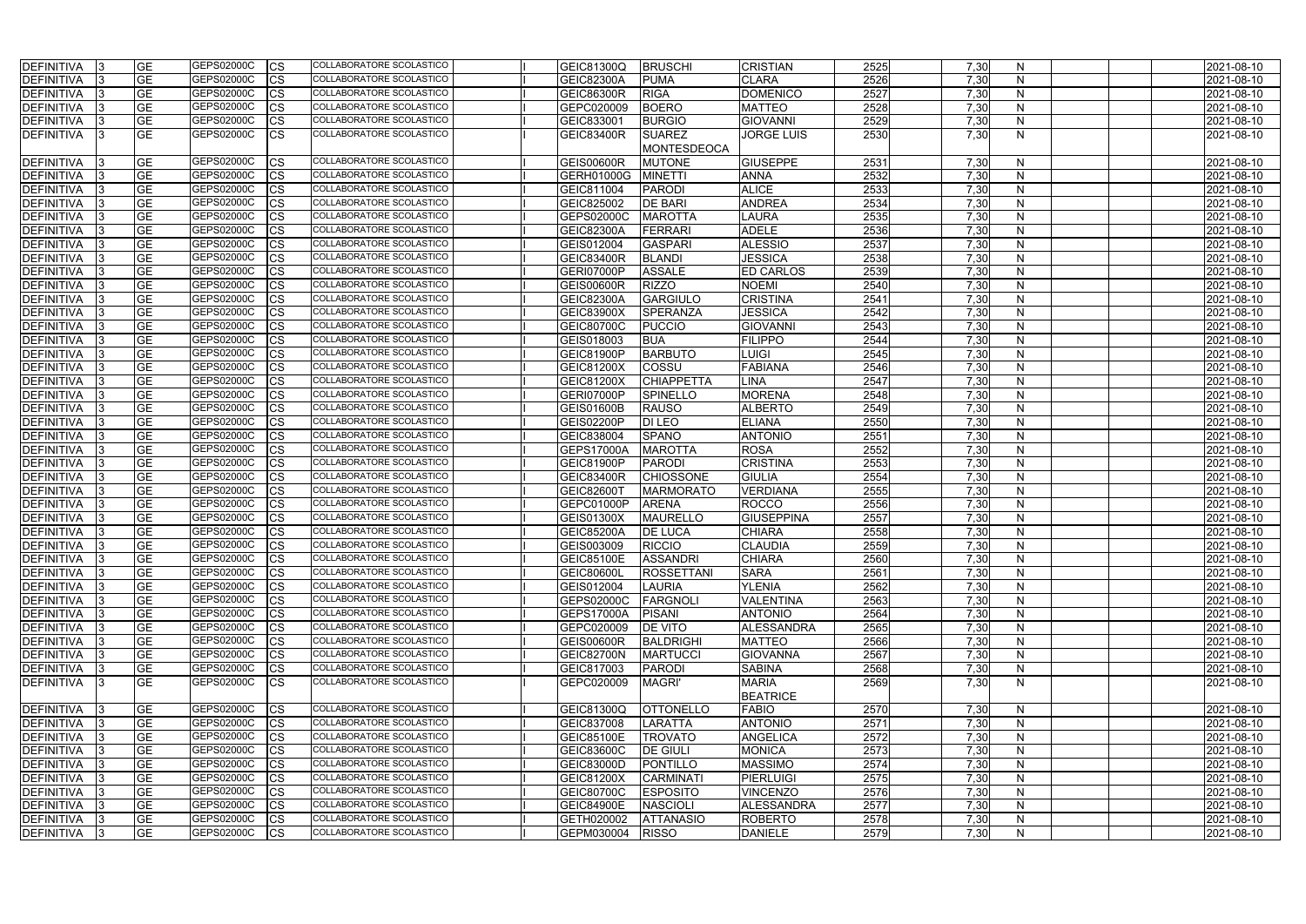| <b>GE</b><br>GEPS02000C<br>CS<br>COLLABORATORE SCOLASTICO<br>2526<br>7,30<br><b>GEIC82300A</b><br><b>PUMA</b><br><b>CLARA</b><br>N<br>2021-08-10<br><b>GE</b><br><b>RIGA</b><br>2527<br>GEPS02000C<br><b>CS</b><br>COLLABORATORE SCOLASTICO<br><b>GEIC86300R</b><br><b>DOMENICO</b><br>7,30<br>N<br>2021-08-10<br><b>GE</b><br>GEPS02000C<br>COLLABORATORE SCOLASTICO<br>GEPC020009<br><b>BOERO</b><br>2528<br>7,30<br>2021-08-10<br>СS<br><b>MATTEO</b><br>N<br><b>GE</b><br>GEPS02000C<br>COLLABORATORE SCOLASTICO<br><b>BURGIO</b><br>2529<br>7,30<br>N<br>2021-08-10<br>CS<br>GEIC833001<br><b>GIOVANNI</b><br><b>GE</b><br>GEPS02000C<br><b>COLLABORATORE SCOLASTICO</b><br>2530<br>lCS<br><b>SUAREZ</b><br><b>JORGE LUIS</b><br>7,30<br>N<br>2021-08-10<br><b>GEIC83400R</b><br>MONTESDEOCA<br>GEPS02000C<br>COLLABORATORE SCOLASTICO<br><b>GE</b><br>CS<br><b>GEIS00600R</b><br><b>MUTONE</b><br><b>GIUSEPPE</b><br>2531<br>7,30<br>$\mathsf{N}$<br>2021-08-10<br><b>GE</b><br>GEPS02000C<br><b>COLLABORATORE SCOLASTICO</b><br><b>CS</b><br><b>MINETTI</b><br>2532<br>7,30<br>N<br><b>GERH01000G</b><br>2021-08-10<br><b>ANNA</b><br><b>GE</b><br><b>ALICE</b><br>GEPS02000C<br><b>COLLABORATORE SCOLASTICO</b><br>2533<br>СS<br>GEIC811004<br><b>PARODI</b><br>7,30<br>N<br>2021-08-10<br><b>GE</b><br>GEPS02000C<br><b>COLLABORATORE SCOLASTICO</b><br><b>DE BARI</b><br>2534<br>CS<br>GEIC825002<br><b>ANDREA</b><br>7,30<br>N<br>2021-08-10<br><b>GE</b><br>2535<br>GEPS02000C<br>COLLABORATORE SCOLASTICO<br><b>MAROTTA</b><br>LAURA<br>7,30<br>$\mathsf{N}$<br><b>CS</b><br>GEPS02000C<br>2021-08-10<br><b>GE</b><br>GEPS02000C<br>СS<br>COLLABORATORE SCOLASTICO<br><b>ADELE</b><br>2536<br>7,30<br>GEIC82300A<br><b>FERRARI</b><br>N<br>2021-08-10<br><b>GE</b><br>2537<br>7,30<br>GEPS02000C<br>СS<br>COLLABORATORE SCOLASTICO<br><b>GASPARI</b><br><b>ALESSIO</b><br>N<br>2021-08-10<br>GEIS012004<br><b>GE</b><br>GEPS02000C<br>CS<br>COLLABORATORE SCOLASTICO<br>7,30<br><b>GEIC83400R</b><br><b>JESSICA</b><br>2538<br>N<br>2021-08-10<br><b>BLANDI</b><br><b>GE</b><br>GEPS02000C<br>COLLABORATORE SCOLASTICO<br>2539<br>СS<br><b>GERI07000P</b><br><b>ASSALE</b><br><b>ED CARLOS</b><br>7,30<br>N<br>2021-08-10<br><b>GE</b><br>GEPS02000C<br>СS<br>COLLABORATORE SCOLASTICO<br><b>GEIS00600R</b><br><b>RIZZO</b><br><b>NOEMI</b><br>2540<br>7,30<br>N<br>2021-08-10<br><b>GE</b><br>GEPS02000C<br>COLLABORATORE SCOLASTICO<br><b>GARGIULO</b><br><b>CRISTINA</b><br>2541<br>7,30<br>N<br>2021-08-10<br>CS<br><b>GEIC82300A</b><br><b>GE</b><br>GEPS02000C<br>COLLABORATORE SCOLASTICO<br>2542<br>7,30<br>CS<br><b>GEIC83900X</b><br>SPERANZA<br><b>JESSICA</b><br>N<br>2021-08-10<br><b>GE</b><br>COLLABORATORE SCOLASTICO<br><b>GIOVANNI</b><br>GEPS02000C<br>CS<br><b>GEIC80700C</b><br><b>PUCCIO</b><br>2543<br>7,30<br>N<br>2021-08-10<br><b>GE</b><br>GEPS02000C<br><b>COLLABORATORE SCOLASTICO</b><br><b>BUA</b><br>2544<br>7,30<br>N<br><b>CS</b><br>GEIS018003<br><b>FILIPPO</b><br>2021-08-10<br><b>GE</b><br>GEPS02000C<br><b>COLLABORATORE SCOLASTICO</b><br>CS<br><b>GEIC81900P</b><br>LUIGI<br>2545<br>7,30<br><b>BARBUTO</b><br>N<br>2021-08-10<br><b>GE</b><br><b>COLLABORATORE SCOLASTICO</b><br>GEPS02000C<br>COSSU<br>2546<br>СS<br><b>GEIC81200X</b><br><b>FABIANA</b><br>7,30<br>N<br>2021-08-10<br><b>GE</b><br>GEPS02000C<br><b>COLLABORATORE SCOLASTICO</b><br><b>CHIAPPETTA</b><br>2547<br>$\mathsf{N}$<br>CS<br>GEIC81200X<br>LINA<br>7,30<br>2021-08-10<br><b>GE</b><br>GEPS02000C<br>СS<br>COLLABORATORE SCOLASTICO<br><b>MORENA</b><br>2548<br>7,30<br>GERI07000P<br><b>SPINELLO</b><br>N<br>2021-08-10<br><b>GE</b><br>GEPS02000C<br>COLLABORATORE SCOLASTICO<br><b>ALBERTO</b><br>7,30<br>CS<br>2549<br>N<br>2021-08-10<br>GEIS01600B<br><b>RAUSO</b><br><b>GE</b><br>СS<br>2550<br>7,30<br>GEPS02000C<br>COLLABORATORE SCOLASTICO<br>DI LEO<br>N<br>2021-08-10<br><b>GEIS02200P</b><br><b>ELIANA</b><br><b>GE</b><br>2551<br>GEPS02000C<br>СS<br>COLLABORATORE SCOLASTICO<br><b>SPANO</b><br><b>ANTONIO</b><br>7,30<br>N<br>2021-08-10<br>GEIC838004<br><b>GE</b><br>GEPS02000C<br>COLLABORATORE SCOLASTICO<br>2552<br>СS<br><b>GEPS17000A</b><br><b>MAROTTA</b><br><b>ROSA</b><br>7,30<br>N<br>2021-08-10<br><b>GE</b><br>GEPS02000C<br>COLLABORATORE SCOLASTICO<br>2553<br>2021-08-10<br>CS<br><b>GEIC81900P</b><br><b>PARODI</b><br><b>CRISTINA</b><br>7,30<br>N<br><b>GE</b><br>GEPS02000C<br>COLLABORATORE SCOLASTICO<br>2554<br>СS<br><b>CHIOSSONE</b><br>GIULIA<br>7,30<br>N<br>2021-08-10<br>GEIC83400R<br><b>GE</b><br>GEPS02000C<br>COLLABORATORE SCOLASTICO<br>2555<br>CS<br>GEIC82600T<br><b>MARMORATO</b><br>VERDIANA<br>7,30<br>N<br>2021-08-10<br><b>GE</b><br>COLLABORATORE SCOLASTICO<br>GEPS02000C<br><b>CS</b><br><b>ARENA</b><br><b>ROCCO</b><br>2556<br>7,30<br>2021-08-10<br>GEPC01000P<br>N<br><b>GE</b><br>GEPS02000C<br><b>COLLABORATORE SCOLASTICO</b><br><b>GIUSEPPINA</b><br>2557<br><b>CS</b><br><b>GEIS01300X</b><br><b>MAURELLO</b><br>7,30<br>N<br>2021-08-10<br><b>GE</b><br>GEPS02000C<br>COLLABORATORE SCOLASTICO<br>DE LUCA<br><b>CHIARA</b><br>2558<br>СS<br><b>GEIC85200A</b><br>7,30<br>N.<br>2021-08-10<br><b>GE</b><br>GEPS02000C<br>COLLABORATORE SCOLASTICO<br><b>I</b> CS<br><b>RICCIO</b><br><b>CLAUDIA</b><br>2559<br>7,30<br>GEIS003009<br>N<br>2021-08-10<br>DEFINITIVA 3<br>GEPS02000C<br><b>GE</b><br><b>CS</b><br>COLLABORATORE SCOLASTICO<br><b>CHIARA</b><br>2560<br><b>GEIC85100E</b><br><b>ASSANDRI</b><br>7,30<br>2021-08-10<br>N<br><b>GE</b><br>COLLABORATORE SCOLASTICO<br>GEPS02000C<br><b>CS</b><br><b>ROSSETTANI</b><br><b>SARA</b><br>2561<br>7,30<br>N<br><b>GEIC80600L</b><br>2021-08-10<br><b>GE</b><br>GEPS02000C<br>COLLABORATORE SCOLASTICO<br>7,30<br>DEFINITIVA  3<br><b>CS</b><br><b>YLENIA</b><br>2562<br>$\mathsf{N}$<br>GEIS012004<br><b>LAURIA</b><br>2021-08-10<br><b>GE</b><br>GEPS02000C<br>COLLABORATORE SCOLASTICO<br><b>CS</b><br>2563<br>7,30<br>$\mathsf{N}$<br>GEPS02000C<br>FARGNOLI<br><b>VALENTINA</b><br>2021-08-10<br><b>GE</b><br>GEPS02000C<br>COLLABORATORE SCOLASTICO<br><b>ANTONIO</b><br>2564<br>7,30<br><b>CS</b><br><b>GEPS17000A</b><br><b>PISANI</b><br>N<br>2021-08-10<br>DEFINITIVA 3<br><b>GE</b><br>GEPS02000C<br>COLLABORATORE SCOLASTICO<br><b>ALESSANDRA</b><br>2565<br>7,30<br>$\mathsf{N}$<br><b>CS</b><br>GEPC020009<br><b>DE VITO</b><br>2021-08-10<br>GEPS02000C<br>COLLABORATORE SCOLASTICO<br><b>GE</b><br><b>GEIS00600R</b><br><b>MATTEO</b><br>2566<br>7,30<br>2021-08-10<br><b>ICS</b><br>BALDRIGHI<br>N<br><b>GE</b><br>GEPS02000C<br>COLLABORATORE SCOLASTICO<br><b>GIOVANNA</b><br>2567<br>7,30<br><b>CS</b><br><b>GEIC82700N</b><br><b>MARTUCCI</b><br>2021-08-10<br>N<br><b>GE</b><br>GEPS02000C<br>COLLABORATORE SCOLASTICO<br>2568<br>7,30<br>$\mathsf{N}$<br><b>CS</b><br>GEIC817003<br><b>PARODI</b><br><b>SABINA</b><br>2021-08-10<br><b>GE</b><br>GEPS02000C<br>COLLABORATORE SCOLASTICO<br><b>ICS</b><br>GEPC020009<br><b>MAGRI'</b><br><b>MARIA</b><br>2569<br>7,30<br>N<br>2021-08-10<br><b>BEATRICE</b><br>DEFINITIVA 3<br>GEPS02000C<br>COLLABORATORE SCOLASTICO<br><b>GE</b><br>GEIC81300Q<br><b>FABIO</b><br>2570<br>7,30<br>2021-08-10<br><b>CS</b><br><b>OTTONELLO</b><br>N<br><b>GE</b><br>GEPS02000C<br>COLLABORATORE SCOLASTICO<br><b>LARATTA</b><br><b>ANTONIO</b><br>2571<br>7,30<br>$\mathsf{N}$<br><b>CS</b><br>GEIC837008<br>2021-08-10<br><b>GE</b><br>GEPS02000C<br>COLLABORATORE SCOLASTICO<br><b>CS</b><br><b>ANGELICA</b><br>2572<br>7,30<br><b>GEIC85100E</b><br><b>TROVATO</b><br>N<br>2021-08-10<br><b>GE</b><br>GEPS02000C<br>COLLABORATORE SCOLASTICO<br>2573<br>7,30<br><b>CS</b><br>GEIC83600C<br><b>DE GIULI</b><br><b>MONICA</b><br>N<br>2021-08-10<br><b>GE</b><br><b>DEFINITIVA</b><br>GEPS02000C<br>COLLABORATORE SCOLASTICO<br>2574<br>7,30<br>$\mathsf{N}$<br><b>CS</b><br><b>GEIC83000D</b><br><b>MASSIMO</b><br>2021-08-10<br><b>PONTILLO</b><br><b>GE</b><br>GEPS02000C<br>COLLABORATORE SCOLASTICO<br><b>CS</b><br>2575<br>7,30<br><b>GEIC81200X</b><br><b>CARMINATI</b><br><b>PIERLUIGI</b><br>N<br>2021-08-10<br>GEPS02000C<br>COLLABORATORE SCOLASTICO<br><b>GE</b><br>2576<br>7,30<br><b>CS</b><br><b>GEIC80700C</b><br><b>ESPOSITO</b><br><b>VINCENZO</b><br>N<br>2021-08-10<br><b>GE</b><br>GEPS02000C<br>COLLABORATORE SCOLASTICO<br>2577<br><b>ALESSANDRA</b><br>7,30<br>$\mathsf{N}$<br>2021-08-10<br><b>CS</b><br><b>GEIC84900E</b><br><b>NASCIOLI</b><br>COLLABORATORE SCOLASTICO<br><b>GE</b><br>GEPS02000C<br><b>ICS</b><br>2578<br>7,30<br>GETH020002<br><b>ATTANASIO</b><br><b>ROBERTO</b><br>2021-08-10<br>N<br>GEPS02000C<br>COLLABORATORE SCOLASTICO<br><b>GE</b><br><b>CS</b><br>2579<br>7,30<br>GEPM030004<br><b>RISSO</b><br><b>DANIELE</b><br>2021-08-10<br>N | <b>DEFINITIVA</b> | <b>GE</b> | GEPS02000C | <b>CS</b> | COLLABORATORE SCOLASTICO | GEIC81300Q | <b>BRUSCHI</b> | <b>CRISTIAN</b> | 2525 | 7,30 | <sub>N</sub> | 2021-08-10 |
|--------------------------------------------------------------------------------------------------------------------------------------------------------------------------------------------------------------------------------------------------------------------------------------------------------------------------------------------------------------------------------------------------------------------------------------------------------------------------------------------------------------------------------------------------------------------------------------------------------------------------------------------------------------------------------------------------------------------------------------------------------------------------------------------------------------------------------------------------------------------------------------------------------------------------------------------------------------------------------------------------------------------------------------------------------------------------------------------------------------------------------------------------------------------------------------------------------------------------------------------------------------------------------------------------------------------------------------------------------------------------------------------------------------------------------------------------------------------------------------------------------------------------------------------------------------------------------------------------------------------------------------------------------------------------------------------------------------------------------------------------------------------------------------------------------------------------------------------------------------------------------------------------------------------------------------------------------------------------------------------------------------------------------------------------------------------------------------------------------------------------------------------------------------------------------------------------------------------------------------------------------------------------------------------------------------------------------------------------------------------------------------------------------------------------------------------------------------------------------------------------------------------------------------------------------------------------------------------------------------------------------------------------------------------------------------------------------------------------------------------------------------------------------------------------------------------------------------------------------------------------------------------------------------------------------------------------------------------------------------------------------------------------------------------------------------------------------------------------------------------------------------------------------------------------------------------------------------------------------------------------------------------------------------------------------------------------------------------------------------------------------------------------------------------------------------------------------------------------------------------------------------------------------------------------------------------------------------------------------------------------------------------------------------------------------------------------------------------------------------------------------------------------------------------------------------------------------------------------------------------------------------------------------------------------------------------------------------------------------------------------------------------------------------------------------------------------------------------------------------------------------------------------------------------------------------------------------------------------------------------------------------------------------------------------------------------------------------------------------------------------------------------------------------------------------------------------------------------------------------------------------------------------------------------------------------------------------------------------------------------------------------------------------------------------------------------------------------------------------------------------------------------------------------------------------------------------------------------------------------------------------------------------------------------------------------------------------------------------------------------------------------------------------------------------------------------------------------------------------------------------------------------------------------------------------------------------------------------------------------------------------------------------------------------------------------------------------------------------------------------------------------------------------------------------------------------------------------------------------------------------------------------------------------------------------------------------------------------------------------------------------------------------------------------------------------------------------------------------------------------------------------------------------------------------------------------------------------------------------------------------------------------------------------------------------------------------------------------------------------------------------------------------------------------------------------------------------------------------------------------------------------------------------------------------------------------------------------------------------------------------------------------------------------------------------------------------------------------------------------------------------------------------------------------------------------------------------------------------------------------------------------------------------------------------------------------------------------------------------------------------------------------------------------------------------------------------------------------------------------------------------------------------------------------------------------------------------------------------------------------------------------------------------------------------------------------------------------------------------------------------------------------------------------------------------------------------------------------------------------------------------------------------------------------------------------------------------------------------------------------------------------------------------------------------------------------------------------------------------------------------------------------------------------------------------------------------------------------------------------------------------------------------------------------------------------------------------------------------------------------------------------------------------------------------------------------------------------------------------------------------------------------------------------------------------------------------------------------------------------------------------------------------------------------------------------------------------------------------------------------------------------------------------------------------------------------------------------------------------------------------------------------------------------------------------------------------------------------------------------------------------------------------------------------------------------------------------------------------------------------------------------------------------------------------------------------------------------------------------------------------------------------------------------------------------------------------------------------------------------------------------------------------------------------------------------------------------------------------------------------------------------------------------------------------------------------|-------------------|-----------|------------|-----------|--------------------------|------------|----------------|-----------------|------|------|--------------|------------|
|                                                                                                                                                                                                                                                                                                                                                                                                                                                                                                                                                                                                                                                                                                                                                                                                                                                                                                                                                                                                                                                                                                                                                                                                                                                                                                                                                                                                                                                                                                                                                                                                                                                                                                                                                                                                                                                                                                                                                                                                                                                                                                                                                                                                                                                                                                                                                                                                                                                                                                                                                                                                                                                                                                                                                                                                                                                                                                                                                                                                                                                                                                                                                                                                                                                                                                                                                                                                                                                                                                                                                                                                                                                                                                                                                                                                                                                                                                                                                                                                                                                                                                                                                                                                                                                                                                                                                                                                                                                                                                                                                                                                                                                                                                                                                                                                                                                                                                                                                                                                                                                                                                                                                                                                                                                                                                                                                                                                                                                                                                                                                                                                                                                                                                                                                                                                                                                                                                                                                                                                                                                                                                                                                                                                                                                                                                                                                                                                                                                                                                                                                                                                                                                                                                                                                                                                                                                                                                                                                                                                                                                                                                                                                                                                                                                                                                                                                                                                                                                                                                                                                                                                                                                                                                                                                                                                                                                                                                                                                                                                                                                                                                                                                                                                                                                                                                                                                                                                                                                                                                                                                                                                                                                                                                                                                                                                                    | DEFINITIVA        |           |            |           |                          |            |                |                 |      |      |              |            |
|                                                                                                                                                                                                                                                                                                                                                                                                                                                                                                                                                                                                                                                                                                                                                                                                                                                                                                                                                                                                                                                                                                                                                                                                                                                                                                                                                                                                                                                                                                                                                                                                                                                                                                                                                                                                                                                                                                                                                                                                                                                                                                                                                                                                                                                                                                                                                                                                                                                                                                                                                                                                                                                                                                                                                                                                                                                                                                                                                                                                                                                                                                                                                                                                                                                                                                                                                                                                                                                                                                                                                                                                                                                                                                                                                                                                                                                                                                                                                                                                                                                                                                                                                                                                                                                                                                                                                                                                                                                                                                                                                                                                                                                                                                                                                                                                                                                                                                                                                                                                                                                                                                                                                                                                                                                                                                                                                                                                                                                                                                                                                                                                                                                                                                                                                                                                                                                                                                                                                                                                                                                                                                                                                                                                                                                                                                                                                                                                                                                                                                                                                                                                                                                                                                                                                                                                                                                                                                                                                                                                                                                                                                                                                                                                                                                                                                                                                                                                                                                                                                                                                                                                                                                                                                                                                                                                                                                                                                                                                                                                                                                                                                                                                                                                                                                                                                                                                                                                                                                                                                                                                                                                                                                                                                                                                                                                                    | <b>DEFINITIVA</b> |           |            |           |                          |            |                |                 |      |      |              |            |
|                                                                                                                                                                                                                                                                                                                                                                                                                                                                                                                                                                                                                                                                                                                                                                                                                                                                                                                                                                                                                                                                                                                                                                                                                                                                                                                                                                                                                                                                                                                                                                                                                                                                                                                                                                                                                                                                                                                                                                                                                                                                                                                                                                                                                                                                                                                                                                                                                                                                                                                                                                                                                                                                                                                                                                                                                                                                                                                                                                                                                                                                                                                                                                                                                                                                                                                                                                                                                                                                                                                                                                                                                                                                                                                                                                                                                                                                                                                                                                                                                                                                                                                                                                                                                                                                                                                                                                                                                                                                                                                                                                                                                                                                                                                                                                                                                                                                                                                                                                                                                                                                                                                                                                                                                                                                                                                                                                                                                                                                                                                                                                                                                                                                                                                                                                                                                                                                                                                                                                                                                                                                                                                                                                                                                                                                                                                                                                                                                                                                                                                                                                                                                                                                                                                                                                                                                                                                                                                                                                                                                                                                                                                                                                                                                                                                                                                                                                                                                                                                                                                                                                                                                                                                                                                                                                                                                                                                                                                                                                                                                                                                                                                                                                                                                                                                                                                                                                                                                                                                                                                                                                                                                                                                                                                                                                                                                    | <b>DEFINITIVA</b> |           |            |           |                          |            |                |                 |      |      |              |            |
|                                                                                                                                                                                                                                                                                                                                                                                                                                                                                                                                                                                                                                                                                                                                                                                                                                                                                                                                                                                                                                                                                                                                                                                                                                                                                                                                                                                                                                                                                                                                                                                                                                                                                                                                                                                                                                                                                                                                                                                                                                                                                                                                                                                                                                                                                                                                                                                                                                                                                                                                                                                                                                                                                                                                                                                                                                                                                                                                                                                                                                                                                                                                                                                                                                                                                                                                                                                                                                                                                                                                                                                                                                                                                                                                                                                                                                                                                                                                                                                                                                                                                                                                                                                                                                                                                                                                                                                                                                                                                                                                                                                                                                                                                                                                                                                                                                                                                                                                                                                                                                                                                                                                                                                                                                                                                                                                                                                                                                                                                                                                                                                                                                                                                                                                                                                                                                                                                                                                                                                                                                                                                                                                                                                                                                                                                                                                                                                                                                                                                                                                                                                                                                                                                                                                                                                                                                                                                                                                                                                                                                                                                                                                                                                                                                                                                                                                                                                                                                                                                                                                                                                                                                                                                                                                                                                                                                                                                                                                                                                                                                                                                                                                                                                                                                                                                                                                                                                                                                                                                                                                                                                                                                                                                                                                                                                                                    | <b>DEFINITIVA</b> |           |            |           |                          |            |                |                 |      |      |              |            |
|                                                                                                                                                                                                                                                                                                                                                                                                                                                                                                                                                                                                                                                                                                                                                                                                                                                                                                                                                                                                                                                                                                                                                                                                                                                                                                                                                                                                                                                                                                                                                                                                                                                                                                                                                                                                                                                                                                                                                                                                                                                                                                                                                                                                                                                                                                                                                                                                                                                                                                                                                                                                                                                                                                                                                                                                                                                                                                                                                                                                                                                                                                                                                                                                                                                                                                                                                                                                                                                                                                                                                                                                                                                                                                                                                                                                                                                                                                                                                                                                                                                                                                                                                                                                                                                                                                                                                                                                                                                                                                                                                                                                                                                                                                                                                                                                                                                                                                                                                                                                                                                                                                                                                                                                                                                                                                                                                                                                                                                                                                                                                                                                                                                                                                                                                                                                                                                                                                                                                                                                                                                                                                                                                                                                                                                                                                                                                                                                                                                                                                                                                                                                                                                                                                                                                                                                                                                                                                                                                                                                                                                                                                                                                                                                                                                                                                                                                                                                                                                                                                                                                                                                                                                                                                                                                                                                                                                                                                                                                                                                                                                                                                                                                                                                                                                                                                                                                                                                                                                                                                                                                                                                                                                                                                                                                                                                                    | DEFINITIVA        |           |            |           |                          |            |                |                 |      |      |              |            |
|                                                                                                                                                                                                                                                                                                                                                                                                                                                                                                                                                                                                                                                                                                                                                                                                                                                                                                                                                                                                                                                                                                                                                                                                                                                                                                                                                                                                                                                                                                                                                                                                                                                                                                                                                                                                                                                                                                                                                                                                                                                                                                                                                                                                                                                                                                                                                                                                                                                                                                                                                                                                                                                                                                                                                                                                                                                                                                                                                                                                                                                                                                                                                                                                                                                                                                                                                                                                                                                                                                                                                                                                                                                                                                                                                                                                                                                                                                                                                                                                                                                                                                                                                                                                                                                                                                                                                                                                                                                                                                                                                                                                                                                                                                                                                                                                                                                                                                                                                                                                                                                                                                                                                                                                                                                                                                                                                                                                                                                                                                                                                                                                                                                                                                                                                                                                                                                                                                                                                                                                                                                                                                                                                                                                                                                                                                                                                                                                                                                                                                                                                                                                                                                                                                                                                                                                                                                                                                                                                                                                                                                                                                                                                                                                                                                                                                                                                                                                                                                                                                                                                                                                                                                                                                                                                                                                                                                                                                                                                                                                                                                                                                                                                                                                                                                                                                                                                                                                                                                                                                                                                                                                                                                                                                                                                                                                                    |                   |           |            |           |                          |            |                |                 |      |      |              |            |
|                                                                                                                                                                                                                                                                                                                                                                                                                                                                                                                                                                                                                                                                                                                                                                                                                                                                                                                                                                                                                                                                                                                                                                                                                                                                                                                                                                                                                                                                                                                                                                                                                                                                                                                                                                                                                                                                                                                                                                                                                                                                                                                                                                                                                                                                                                                                                                                                                                                                                                                                                                                                                                                                                                                                                                                                                                                                                                                                                                                                                                                                                                                                                                                                                                                                                                                                                                                                                                                                                                                                                                                                                                                                                                                                                                                                                                                                                                                                                                                                                                                                                                                                                                                                                                                                                                                                                                                                                                                                                                                                                                                                                                                                                                                                                                                                                                                                                                                                                                                                                                                                                                                                                                                                                                                                                                                                                                                                                                                                                                                                                                                                                                                                                                                                                                                                                                                                                                                                                                                                                                                                                                                                                                                                                                                                                                                                                                                                                                                                                                                                                                                                                                                                                                                                                                                                                                                                                                                                                                                                                                                                                                                                                                                                                                                                                                                                                                                                                                                                                                                                                                                                                                                                                                                                                                                                                                                                                                                                                                                                                                                                                                                                                                                                                                                                                                                                                                                                                                                                                                                                                                                                                                                                                                                                                                                                                    | <b>DEFINITIVA</b> |           |            |           |                          |            |                |                 |      |      |              |            |
|                                                                                                                                                                                                                                                                                                                                                                                                                                                                                                                                                                                                                                                                                                                                                                                                                                                                                                                                                                                                                                                                                                                                                                                                                                                                                                                                                                                                                                                                                                                                                                                                                                                                                                                                                                                                                                                                                                                                                                                                                                                                                                                                                                                                                                                                                                                                                                                                                                                                                                                                                                                                                                                                                                                                                                                                                                                                                                                                                                                                                                                                                                                                                                                                                                                                                                                                                                                                                                                                                                                                                                                                                                                                                                                                                                                                                                                                                                                                                                                                                                                                                                                                                                                                                                                                                                                                                                                                                                                                                                                                                                                                                                                                                                                                                                                                                                                                                                                                                                                                                                                                                                                                                                                                                                                                                                                                                                                                                                                                                                                                                                                                                                                                                                                                                                                                                                                                                                                                                                                                                                                                                                                                                                                                                                                                                                                                                                                                                                                                                                                                                                                                                                                                                                                                                                                                                                                                                                                                                                                                                                                                                                                                                                                                                                                                                                                                                                                                                                                                                                                                                                                                                                                                                                                                                                                                                                                                                                                                                                                                                                                                                                                                                                                                                                                                                                                                                                                                                                                                                                                                                                                                                                                                                                                                                                                                                    | DEFINITIVA        |           |            |           |                          |            |                |                 |      |      |              |            |
|                                                                                                                                                                                                                                                                                                                                                                                                                                                                                                                                                                                                                                                                                                                                                                                                                                                                                                                                                                                                                                                                                                                                                                                                                                                                                                                                                                                                                                                                                                                                                                                                                                                                                                                                                                                                                                                                                                                                                                                                                                                                                                                                                                                                                                                                                                                                                                                                                                                                                                                                                                                                                                                                                                                                                                                                                                                                                                                                                                                                                                                                                                                                                                                                                                                                                                                                                                                                                                                                                                                                                                                                                                                                                                                                                                                                                                                                                                                                                                                                                                                                                                                                                                                                                                                                                                                                                                                                                                                                                                                                                                                                                                                                                                                                                                                                                                                                                                                                                                                                                                                                                                                                                                                                                                                                                                                                                                                                                                                                                                                                                                                                                                                                                                                                                                                                                                                                                                                                                                                                                                                                                                                                                                                                                                                                                                                                                                                                                                                                                                                                                                                                                                                                                                                                                                                                                                                                                                                                                                                                                                                                                                                                                                                                                                                                                                                                                                                                                                                                                                                                                                                                                                                                                                                                                                                                                                                                                                                                                                                                                                                                                                                                                                                                                                                                                                                                                                                                                                                                                                                                                                                                                                                                                                                                                                                                                    | <b>DEFINITIVA</b> |           |            |           |                          |            |                |                 |      |      |              |            |
|                                                                                                                                                                                                                                                                                                                                                                                                                                                                                                                                                                                                                                                                                                                                                                                                                                                                                                                                                                                                                                                                                                                                                                                                                                                                                                                                                                                                                                                                                                                                                                                                                                                                                                                                                                                                                                                                                                                                                                                                                                                                                                                                                                                                                                                                                                                                                                                                                                                                                                                                                                                                                                                                                                                                                                                                                                                                                                                                                                                                                                                                                                                                                                                                                                                                                                                                                                                                                                                                                                                                                                                                                                                                                                                                                                                                                                                                                                                                                                                                                                                                                                                                                                                                                                                                                                                                                                                                                                                                                                                                                                                                                                                                                                                                                                                                                                                                                                                                                                                                                                                                                                                                                                                                                                                                                                                                                                                                                                                                                                                                                                                                                                                                                                                                                                                                                                                                                                                                                                                                                                                                                                                                                                                                                                                                                                                                                                                                                                                                                                                                                                                                                                                                                                                                                                                                                                                                                                                                                                                                                                                                                                                                                                                                                                                                                                                                                                                                                                                                                                                                                                                                                                                                                                                                                                                                                                                                                                                                                                                                                                                                                                                                                                                                                                                                                                                                                                                                                                                                                                                                                                                                                                                                                                                                                                                                                    | <b>DEFINITIVA</b> |           |            |           |                          |            |                |                 |      |      |              |            |
|                                                                                                                                                                                                                                                                                                                                                                                                                                                                                                                                                                                                                                                                                                                                                                                                                                                                                                                                                                                                                                                                                                                                                                                                                                                                                                                                                                                                                                                                                                                                                                                                                                                                                                                                                                                                                                                                                                                                                                                                                                                                                                                                                                                                                                                                                                                                                                                                                                                                                                                                                                                                                                                                                                                                                                                                                                                                                                                                                                                                                                                                                                                                                                                                                                                                                                                                                                                                                                                                                                                                                                                                                                                                                                                                                                                                                                                                                                                                                                                                                                                                                                                                                                                                                                                                                                                                                                                                                                                                                                                                                                                                                                                                                                                                                                                                                                                                                                                                                                                                                                                                                                                                                                                                                                                                                                                                                                                                                                                                                                                                                                                                                                                                                                                                                                                                                                                                                                                                                                                                                                                                                                                                                                                                                                                                                                                                                                                                                                                                                                                                                                                                                                                                                                                                                                                                                                                                                                                                                                                                                                                                                                                                                                                                                                                                                                                                                                                                                                                                                                                                                                                                                                                                                                                                                                                                                                                                                                                                                                                                                                                                                                                                                                                                                                                                                                                                                                                                                                                                                                                                                                                                                                                                                                                                                                                                                    | <b>DEFINITIVA</b> |           |            |           |                          |            |                |                 |      |      |              |            |
|                                                                                                                                                                                                                                                                                                                                                                                                                                                                                                                                                                                                                                                                                                                                                                                                                                                                                                                                                                                                                                                                                                                                                                                                                                                                                                                                                                                                                                                                                                                                                                                                                                                                                                                                                                                                                                                                                                                                                                                                                                                                                                                                                                                                                                                                                                                                                                                                                                                                                                                                                                                                                                                                                                                                                                                                                                                                                                                                                                                                                                                                                                                                                                                                                                                                                                                                                                                                                                                                                                                                                                                                                                                                                                                                                                                                                                                                                                                                                                                                                                                                                                                                                                                                                                                                                                                                                                                                                                                                                                                                                                                                                                                                                                                                                                                                                                                                                                                                                                                                                                                                                                                                                                                                                                                                                                                                                                                                                                                                                                                                                                                                                                                                                                                                                                                                                                                                                                                                                                                                                                                                                                                                                                                                                                                                                                                                                                                                                                                                                                                                                                                                                                                                                                                                                                                                                                                                                                                                                                                                                                                                                                                                                                                                                                                                                                                                                                                                                                                                                                                                                                                                                                                                                                                                                                                                                                                                                                                                                                                                                                                                                                                                                                                                                                                                                                                                                                                                                                                                                                                                                                                                                                                                                                                                                                                                                    | DEFINITIVA        |           |            |           |                          |            |                |                 |      |      |              |            |
|                                                                                                                                                                                                                                                                                                                                                                                                                                                                                                                                                                                                                                                                                                                                                                                                                                                                                                                                                                                                                                                                                                                                                                                                                                                                                                                                                                                                                                                                                                                                                                                                                                                                                                                                                                                                                                                                                                                                                                                                                                                                                                                                                                                                                                                                                                                                                                                                                                                                                                                                                                                                                                                                                                                                                                                                                                                                                                                                                                                                                                                                                                                                                                                                                                                                                                                                                                                                                                                                                                                                                                                                                                                                                                                                                                                                                                                                                                                                                                                                                                                                                                                                                                                                                                                                                                                                                                                                                                                                                                                                                                                                                                                                                                                                                                                                                                                                                                                                                                                                                                                                                                                                                                                                                                                                                                                                                                                                                                                                                                                                                                                                                                                                                                                                                                                                                                                                                                                                                                                                                                                                                                                                                                                                                                                                                                                                                                                                                                                                                                                                                                                                                                                                                                                                                                                                                                                                                                                                                                                                                                                                                                                                                                                                                                                                                                                                                                                                                                                                                                                                                                                                                                                                                                                                                                                                                                                                                                                                                                                                                                                                                                                                                                                                                                                                                                                                                                                                                                                                                                                                                                                                                                                                                                                                                                                                                    | <b>DEFINITIVA</b> |           |            |           |                          |            |                |                 |      |      |              |            |
|                                                                                                                                                                                                                                                                                                                                                                                                                                                                                                                                                                                                                                                                                                                                                                                                                                                                                                                                                                                                                                                                                                                                                                                                                                                                                                                                                                                                                                                                                                                                                                                                                                                                                                                                                                                                                                                                                                                                                                                                                                                                                                                                                                                                                                                                                                                                                                                                                                                                                                                                                                                                                                                                                                                                                                                                                                                                                                                                                                                                                                                                                                                                                                                                                                                                                                                                                                                                                                                                                                                                                                                                                                                                                                                                                                                                                                                                                                                                                                                                                                                                                                                                                                                                                                                                                                                                                                                                                                                                                                                                                                                                                                                                                                                                                                                                                                                                                                                                                                                                                                                                                                                                                                                                                                                                                                                                                                                                                                                                                                                                                                                                                                                                                                                                                                                                                                                                                                                                                                                                                                                                                                                                                                                                                                                                                                                                                                                                                                                                                                                                                                                                                                                                                                                                                                                                                                                                                                                                                                                                                                                                                                                                                                                                                                                                                                                                                                                                                                                                                                                                                                                                                                                                                                                                                                                                                                                                                                                                                                                                                                                                                                                                                                                                                                                                                                                                                                                                                                                                                                                                                                                                                                                                                                                                                                                                                    | <b>DEFINITIVA</b> |           |            |           |                          |            |                |                 |      |      |              |            |
|                                                                                                                                                                                                                                                                                                                                                                                                                                                                                                                                                                                                                                                                                                                                                                                                                                                                                                                                                                                                                                                                                                                                                                                                                                                                                                                                                                                                                                                                                                                                                                                                                                                                                                                                                                                                                                                                                                                                                                                                                                                                                                                                                                                                                                                                                                                                                                                                                                                                                                                                                                                                                                                                                                                                                                                                                                                                                                                                                                                                                                                                                                                                                                                                                                                                                                                                                                                                                                                                                                                                                                                                                                                                                                                                                                                                                                                                                                                                                                                                                                                                                                                                                                                                                                                                                                                                                                                                                                                                                                                                                                                                                                                                                                                                                                                                                                                                                                                                                                                                                                                                                                                                                                                                                                                                                                                                                                                                                                                                                                                                                                                                                                                                                                                                                                                                                                                                                                                                                                                                                                                                                                                                                                                                                                                                                                                                                                                                                                                                                                                                                                                                                                                                                                                                                                                                                                                                                                                                                                                                                                                                                                                                                                                                                                                                                                                                                                                                                                                                                                                                                                                                                                                                                                                                                                                                                                                                                                                                                                                                                                                                                                                                                                                                                                                                                                                                                                                                                                                                                                                                                                                                                                                                                                                                                                                                                    | <b>DEFINITIVA</b> |           |            |           |                          |            |                |                 |      |      |              |            |
|                                                                                                                                                                                                                                                                                                                                                                                                                                                                                                                                                                                                                                                                                                                                                                                                                                                                                                                                                                                                                                                                                                                                                                                                                                                                                                                                                                                                                                                                                                                                                                                                                                                                                                                                                                                                                                                                                                                                                                                                                                                                                                                                                                                                                                                                                                                                                                                                                                                                                                                                                                                                                                                                                                                                                                                                                                                                                                                                                                                                                                                                                                                                                                                                                                                                                                                                                                                                                                                                                                                                                                                                                                                                                                                                                                                                                                                                                                                                                                                                                                                                                                                                                                                                                                                                                                                                                                                                                                                                                                                                                                                                                                                                                                                                                                                                                                                                                                                                                                                                                                                                                                                                                                                                                                                                                                                                                                                                                                                                                                                                                                                                                                                                                                                                                                                                                                                                                                                                                                                                                                                                                                                                                                                                                                                                                                                                                                                                                                                                                                                                                                                                                                                                                                                                                                                                                                                                                                                                                                                                                                                                                                                                                                                                                                                                                                                                                                                                                                                                                                                                                                                                                                                                                                                                                                                                                                                                                                                                                                                                                                                                                                                                                                                                                                                                                                                                                                                                                                                                                                                                                                                                                                                                                                                                                                                                                    | <b>DEFINITIVA</b> |           |            |           |                          |            |                |                 |      |      |              |            |
|                                                                                                                                                                                                                                                                                                                                                                                                                                                                                                                                                                                                                                                                                                                                                                                                                                                                                                                                                                                                                                                                                                                                                                                                                                                                                                                                                                                                                                                                                                                                                                                                                                                                                                                                                                                                                                                                                                                                                                                                                                                                                                                                                                                                                                                                                                                                                                                                                                                                                                                                                                                                                                                                                                                                                                                                                                                                                                                                                                                                                                                                                                                                                                                                                                                                                                                                                                                                                                                                                                                                                                                                                                                                                                                                                                                                                                                                                                                                                                                                                                                                                                                                                                                                                                                                                                                                                                                                                                                                                                                                                                                                                                                                                                                                                                                                                                                                                                                                                                                                                                                                                                                                                                                                                                                                                                                                                                                                                                                                                                                                                                                                                                                                                                                                                                                                                                                                                                                                                                                                                                                                                                                                                                                                                                                                                                                                                                                                                                                                                                                                                                                                                                                                                                                                                                                                                                                                                                                                                                                                                                                                                                                                                                                                                                                                                                                                                                                                                                                                                                                                                                                                                                                                                                                                                                                                                                                                                                                                                                                                                                                                                                                                                                                                                                                                                                                                                                                                                                                                                                                                                                                                                                                                                                                                                                                                                    | <b>DEFINITIVA</b> |           |            |           |                          |            |                |                 |      |      |              |            |
|                                                                                                                                                                                                                                                                                                                                                                                                                                                                                                                                                                                                                                                                                                                                                                                                                                                                                                                                                                                                                                                                                                                                                                                                                                                                                                                                                                                                                                                                                                                                                                                                                                                                                                                                                                                                                                                                                                                                                                                                                                                                                                                                                                                                                                                                                                                                                                                                                                                                                                                                                                                                                                                                                                                                                                                                                                                                                                                                                                                                                                                                                                                                                                                                                                                                                                                                                                                                                                                                                                                                                                                                                                                                                                                                                                                                                                                                                                                                                                                                                                                                                                                                                                                                                                                                                                                                                                                                                                                                                                                                                                                                                                                                                                                                                                                                                                                                                                                                                                                                                                                                                                                                                                                                                                                                                                                                                                                                                                                                                                                                                                                                                                                                                                                                                                                                                                                                                                                                                                                                                                                                                                                                                                                                                                                                                                                                                                                                                                                                                                                                                                                                                                                                                                                                                                                                                                                                                                                                                                                                                                                                                                                                                                                                                                                                                                                                                                                                                                                                                                                                                                                                                                                                                                                                                                                                                                                                                                                                                                                                                                                                                                                                                                                                                                                                                                                                                                                                                                                                                                                                                                                                                                                                                                                                                                                                                    | DEFINITIVA        |           |            |           |                          |            |                |                 |      |      |              |            |
|                                                                                                                                                                                                                                                                                                                                                                                                                                                                                                                                                                                                                                                                                                                                                                                                                                                                                                                                                                                                                                                                                                                                                                                                                                                                                                                                                                                                                                                                                                                                                                                                                                                                                                                                                                                                                                                                                                                                                                                                                                                                                                                                                                                                                                                                                                                                                                                                                                                                                                                                                                                                                                                                                                                                                                                                                                                                                                                                                                                                                                                                                                                                                                                                                                                                                                                                                                                                                                                                                                                                                                                                                                                                                                                                                                                                                                                                                                                                                                                                                                                                                                                                                                                                                                                                                                                                                                                                                                                                                                                                                                                                                                                                                                                                                                                                                                                                                                                                                                                                                                                                                                                                                                                                                                                                                                                                                                                                                                                                                                                                                                                                                                                                                                                                                                                                                                                                                                                                                                                                                                                                                                                                                                                                                                                                                                                                                                                                                                                                                                                                                                                                                                                                                                                                                                                                                                                                                                                                                                                                                                                                                                                                                                                                                                                                                                                                                                                                                                                                                                                                                                                                                                                                                                                                                                                                                                                                                                                                                                                                                                                                                                                                                                                                                                                                                                                                                                                                                                                                                                                                                                                                                                                                                                                                                                                                                    | DEFINITIVA        |           |            |           |                          |            |                |                 |      |      |              |            |
|                                                                                                                                                                                                                                                                                                                                                                                                                                                                                                                                                                                                                                                                                                                                                                                                                                                                                                                                                                                                                                                                                                                                                                                                                                                                                                                                                                                                                                                                                                                                                                                                                                                                                                                                                                                                                                                                                                                                                                                                                                                                                                                                                                                                                                                                                                                                                                                                                                                                                                                                                                                                                                                                                                                                                                                                                                                                                                                                                                                                                                                                                                                                                                                                                                                                                                                                                                                                                                                                                                                                                                                                                                                                                                                                                                                                                                                                                                                                                                                                                                                                                                                                                                                                                                                                                                                                                                                                                                                                                                                                                                                                                                                                                                                                                                                                                                                                                                                                                                                                                                                                                                                                                                                                                                                                                                                                                                                                                                                                                                                                                                                                                                                                                                                                                                                                                                                                                                                                                                                                                                                                                                                                                                                                                                                                                                                                                                                                                                                                                                                                                                                                                                                                                                                                                                                                                                                                                                                                                                                                                                                                                                                                                                                                                                                                                                                                                                                                                                                                                                                                                                                                                                                                                                                                                                                                                                                                                                                                                                                                                                                                                                                                                                                                                                                                                                                                                                                                                                                                                                                                                                                                                                                                                                                                                                                                                    | <b>DEFINITIVA</b> |           |            |           |                          |            |                |                 |      |      |              |            |
|                                                                                                                                                                                                                                                                                                                                                                                                                                                                                                                                                                                                                                                                                                                                                                                                                                                                                                                                                                                                                                                                                                                                                                                                                                                                                                                                                                                                                                                                                                                                                                                                                                                                                                                                                                                                                                                                                                                                                                                                                                                                                                                                                                                                                                                                                                                                                                                                                                                                                                                                                                                                                                                                                                                                                                                                                                                                                                                                                                                                                                                                                                                                                                                                                                                                                                                                                                                                                                                                                                                                                                                                                                                                                                                                                                                                                                                                                                                                                                                                                                                                                                                                                                                                                                                                                                                                                                                                                                                                                                                                                                                                                                                                                                                                                                                                                                                                                                                                                                                                                                                                                                                                                                                                                                                                                                                                                                                                                                                                                                                                                                                                                                                                                                                                                                                                                                                                                                                                                                                                                                                                                                                                                                                                                                                                                                                                                                                                                                                                                                                                                                                                                                                                                                                                                                                                                                                                                                                                                                                                                                                                                                                                                                                                                                                                                                                                                                                                                                                                                                                                                                                                                                                                                                                                                                                                                                                                                                                                                                                                                                                                                                                                                                                                                                                                                                                                                                                                                                                                                                                                                                                                                                                                                                                                                                                                                    | <b>DEFINITIVA</b> |           |            |           |                          |            |                |                 |      |      |              |            |
|                                                                                                                                                                                                                                                                                                                                                                                                                                                                                                                                                                                                                                                                                                                                                                                                                                                                                                                                                                                                                                                                                                                                                                                                                                                                                                                                                                                                                                                                                                                                                                                                                                                                                                                                                                                                                                                                                                                                                                                                                                                                                                                                                                                                                                                                                                                                                                                                                                                                                                                                                                                                                                                                                                                                                                                                                                                                                                                                                                                                                                                                                                                                                                                                                                                                                                                                                                                                                                                                                                                                                                                                                                                                                                                                                                                                                                                                                                                                                                                                                                                                                                                                                                                                                                                                                                                                                                                                                                                                                                                                                                                                                                                                                                                                                                                                                                                                                                                                                                                                                                                                                                                                                                                                                                                                                                                                                                                                                                                                                                                                                                                                                                                                                                                                                                                                                                                                                                                                                                                                                                                                                                                                                                                                                                                                                                                                                                                                                                                                                                                                                                                                                                                                                                                                                                                                                                                                                                                                                                                                                                                                                                                                                                                                                                                                                                                                                                                                                                                                                                                                                                                                                                                                                                                                                                                                                                                                                                                                                                                                                                                                                                                                                                                                                                                                                                                                                                                                                                                                                                                                                                                                                                                                                                                                                                                                                    | <b>DEFINITIVA</b> |           |            |           |                          |            |                |                 |      |      |              |            |
|                                                                                                                                                                                                                                                                                                                                                                                                                                                                                                                                                                                                                                                                                                                                                                                                                                                                                                                                                                                                                                                                                                                                                                                                                                                                                                                                                                                                                                                                                                                                                                                                                                                                                                                                                                                                                                                                                                                                                                                                                                                                                                                                                                                                                                                                                                                                                                                                                                                                                                                                                                                                                                                                                                                                                                                                                                                                                                                                                                                                                                                                                                                                                                                                                                                                                                                                                                                                                                                                                                                                                                                                                                                                                                                                                                                                                                                                                                                                                                                                                                                                                                                                                                                                                                                                                                                                                                                                                                                                                                                                                                                                                                                                                                                                                                                                                                                                                                                                                                                                                                                                                                                                                                                                                                                                                                                                                                                                                                                                                                                                                                                                                                                                                                                                                                                                                                                                                                                                                                                                                                                                                                                                                                                                                                                                                                                                                                                                                                                                                                                                                                                                                                                                                                                                                                                                                                                                                                                                                                                                                                                                                                                                                                                                                                                                                                                                                                                                                                                                                                                                                                                                                                                                                                                                                                                                                                                                                                                                                                                                                                                                                                                                                                                                                                                                                                                                                                                                                                                                                                                                                                                                                                                                                                                                                                                                                    | <b>DEFINITIVA</b> |           |            |           |                          |            |                |                 |      |      |              |            |
|                                                                                                                                                                                                                                                                                                                                                                                                                                                                                                                                                                                                                                                                                                                                                                                                                                                                                                                                                                                                                                                                                                                                                                                                                                                                                                                                                                                                                                                                                                                                                                                                                                                                                                                                                                                                                                                                                                                                                                                                                                                                                                                                                                                                                                                                                                                                                                                                                                                                                                                                                                                                                                                                                                                                                                                                                                                                                                                                                                                                                                                                                                                                                                                                                                                                                                                                                                                                                                                                                                                                                                                                                                                                                                                                                                                                                                                                                                                                                                                                                                                                                                                                                                                                                                                                                                                                                                                                                                                                                                                                                                                                                                                                                                                                                                                                                                                                                                                                                                                                                                                                                                                                                                                                                                                                                                                                                                                                                                                                                                                                                                                                                                                                                                                                                                                                                                                                                                                                                                                                                                                                                                                                                                                                                                                                                                                                                                                                                                                                                                                                                                                                                                                                                                                                                                                                                                                                                                                                                                                                                                                                                                                                                                                                                                                                                                                                                                                                                                                                                                                                                                                                                                                                                                                                                                                                                                                                                                                                                                                                                                                                                                                                                                                                                                                                                                                                                                                                                                                                                                                                                                                                                                                                                                                                                                                                                    | <b>DEFINITIVA</b> |           |            |           |                          |            |                |                 |      |      |              |            |
|                                                                                                                                                                                                                                                                                                                                                                                                                                                                                                                                                                                                                                                                                                                                                                                                                                                                                                                                                                                                                                                                                                                                                                                                                                                                                                                                                                                                                                                                                                                                                                                                                                                                                                                                                                                                                                                                                                                                                                                                                                                                                                                                                                                                                                                                                                                                                                                                                                                                                                                                                                                                                                                                                                                                                                                                                                                                                                                                                                                                                                                                                                                                                                                                                                                                                                                                                                                                                                                                                                                                                                                                                                                                                                                                                                                                                                                                                                                                                                                                                                                                                                                                                                                                                                                                                                                                                                                                                                                                                                                                                                                                                                                                                                                                                                                                                                                                                                                                                                                                                                                                                                                                                                                                                                                                                                                                                                                                                                                                                                                                                                                                                                                                                                                                                                                                                                                                                                                                                                                                                                                                                                                                                                                                                                                                                                                                                                                                                                                                                                                                                                                                                                                                                                                                                                                                                                                                                                                                                                                                                                                                                                                                                                                                                                                                                                                                                                                                                                                                                                                                                                                                                                                                                                                                                                                                                                                                                                                                                                                                                                                                                                                                                                                                                                                                                                                                                                                                                                                                                                                                                                                                                                                                                                                                                                                                                    | <b>DEFINITIVA</b> |           |            |           |                          |            |                |                 |      |      |              |            |
|                                                                                                                                                                                                                                                                                                                                                                                                                                                                                                                                                                                                                                                                                                                                                                                                                                                                                                                                                                                                                                                                                                                                                                                                                                                                                                                                                                                                                                                                                                                                                                                                                                                                                                                                                                                                                                                                                                                                                                                                                                                                                                                                                                                                                                                                                                                                                                                                                                                                                                                                                                                                                                                                                                                                                                                                                                                                                                                                                                                                                                                                                                                                                                                                                                                                                                                                                                                                                                                                                                                                                                                                                                                                                                                                                                                                                                                                                                                                                                                                                                                                                                                                                                                                                                                                                                                                                                                                                                                                                                                                                                                                                                                                                                                                                                                                                                                                                                                                                                                                                                                                                                                                                                                                                                                                                                                                                                                                                                                                                                                                                                                                                                                                                                                                                                                                                                                                                                                                                                                                                                                                                                                                                                                                                                                                                                                                                                                                                                                                                                                                                                                                                                                                                                                                                                                                                                                                                                                                                                                                                                                                                                                                                                                                                                                                                                                                                                                                                                                                                                                                                                                                                                                                                                                                                                                                                                                                                                                                                                                                                                                                                                                                                                                                                                                                                                                                                                                                                                                                                                                                                                                                                                                                                                                                                                                                                    | <b>DEFINITIVA</b> |           |            |           |                          |            |                |                 |      |      |              |            |
|                                                                                                                                                                                                                                                                                                                                                                                                                                                                                                                                                                                                                                                                                                                                                                                                                                                                                                                                                                                                                                                                                                                                                                                                                                                                                                                                                                                                                                                                                                                                                                                                                                                                                                                                                                                                                                                                                                                                                                                                                                                                                                                                                                                                                                                                                                                                                                                                                                                                                                                                                                                                                                                                                                                                                                                                                                                                                                                                                                                                                                                                                                                                                                                                                                                                                                                                                                                                                                                                                                                                                                                                                                                                                                                                                                                                                                                                                                                                                                                                                                                                                                                                                                                                                                                                                                                                                                                                                                                                                                                                                                                                                                                                                                                                                                                                                                                                                                                                                                                                                                                                                                                                                                                                                                                                                                                                                                                                                                                                                                                                                                                                                                                                                                                                                                                                                                                                                                                                                                                                                                                                                                                                                                                                                                                                                                                                                                                                                                                                                                                                                                                                                                                                                                                                                                                                                                                                                                                                                                                                                                                                                                                                                                                                                                                                                                                                                                                                                                                                                                                                                                                                                                                                                                                                                                                                                                                                                                                                                                                                                                                                                                                                                                                                                                                                                                                                                                                                                                                                                                                                                                                                                                                                                                                                                                                                                    | <b>DEFINITIVA</b> |           |            |           |                          |            |                |                 |      |      |              |            |
|                                                                                                                                                                                                                                                                                                                                                                                                                                                                                                                                                                                                                                                                                                                                                                                                                                                                                                                                                                                                                                                                                                                                                                                                                                                                                                                                                                                                                                                                                                                                                                                                                                                                                                                                                                                                                                                                                                                                                                                                                                                                                                                                                                                                                                                                                                                                                                                                                                                                                                                                                                                                                                                                                                                                                                                                                                                                                                                                                                                                                                                                                                                                                                                                                                                                                                                                                                                                                                                                                                                                                                                                                                                                                                                                                                                                                                                                                                                                                                                                                                                                                                                                                                                                                                                                                                                                                                                                                                                                                                                                                                                                                                                                                                                                                                                                                                                                                                                                                                                                                                                                                                                                                                                                                                                                                                                                                                                                                                                                                                                                                                                                                                                                                                                                                                                                                                                                                                                                                                                                                                                                                                                                                                                                                                                                                                                                                                                                                                                                                                                                                                                                                                                                                                                                                                                                                                                                                                                                                                                                                                                                                                                                                                                                                                                                                                                                                                                                                                                                                                                                                                                                                                                                                                                                                                                                                                                                                                                                                                                                                                                                                                                                                                                                                                                                                                                                                                                                                                                                                                                                                                                                                                                                                                                                                                                                                    | <b>DEFINITIVA</b> |           |            |           |                          |            |                |                 |      |      |              |            |
|                                                                                                                                                                                                                                                                                                                                                                                                                                                                                                                                                                                                                                                                                                                                                                                                                                                                                                                                                                                                                                                                                                                                                                                                                                                                                                                                                                                                                                                                                                                                                                                                                                                                                                                                                                                                                                                                                                                                                                                                                                                                                                                                                                                                                                                                                                                                                                                                                                                                                                                                                                                                                                                                                                                                                                                                                                                                                                                                                                                                                                                                                                                                                                                                                                                                                                                                                                                                                                                                                                                                                                                                                                                                                                                                                                                                                                                                                                                                                                                                                                                                                                                                                                                                                                                                                                                                                                                                                                                                                                                                                                                                                                                                                                                                                                                                                                                                                                                                                                                                                                                                                                                                                                                                                                                                                                                                                                                                                                                                                                                                                                                                                                                                                                                                                                                                                                                                                                                                                                                                                                                                                                                                                                                                                                                                                                                                                                                                                                                                                                                                                                                                                                                                                                                                                                                                                                                                                                                                                                                                                                                                                                                                                                                                                                                                                                                                                                                                                                                                                                                                                                                                                                                                                                                                                                                                                                                                                                                                                                                                                                                                                                                                                                                                                                                                                                                                                                                                                                                                                                                                                                                                                                                                                                                                                                                                                    | <b>DEFINITIVA</b> |           |            |           |                          |            |                |                 |      |      |              |            |
|                                                                                                                                                                                                                                                                                                                                                                                                                                                                                                                                                                                                                                                                                                                                                                                                                                                                                                                                                                                                                                                                                                                                                                                                                                                                                                                                                                                                                                                                                                                                                                                                                                                                                                                                                                                                                                                                                                                                                                                                                                                                                                                                                                                                                                                                                                                                                                                                                                                                                                                                                                                                                                                                                                                                                                                                                                                                                                                                                                                                                                                                                                                                                                                                                                                                                                                                                                                                                                                                                                                                                                                                                                                                                                                                                                                                                                                                                                                                                                                                                                                                                                                                                                                                                                                                                                                                                                                                                                                                                                                                                                                                                                                                                                                                                                                                                                                                                                                                                                                                                                                                                                                                                                                                                                                                                                                                                                                                                                                                                                                                                                                                                                                                                                                                                                                                                                                                                                                                                                                                                                                                                                                                                                                                                                                                                                                                                                                                                                                                                                                                                                                                                                                                                                                                                                                                                                                                                                                                                                                                                                                                                                                                                                                                                                                                                                                                                                                                                                                                                                                                                                                                                                                                                                                                                                                                                                                                                                                                                                                                                                                                                                                                                                                                                                                                                                                                                                                                                                                                                                                                                                                                                                                                                                                                                                                                                    | <b>DEFINITIVA</b> |           |            |           |                          |            |                |                 |      |      |              |            |
|                                                                                                                                                                                                                                                                                                                                                                                                                                                                                                                                                                                                                                                                                                                                                                                                                                                                                                                                                                                                                                                                                                                                                                                                                                                                                                                                                                                                                                                                                                                                                                                                                                                                                                                                                                                                                                                                                                                                                                                                                                                                                                                                                                                                                                                                                                                                                                                                                                                                                                                                                                                                                                                                                                                                                                                                                                                                                                                                                                                                                                                                                                                                                                                                                                                                                                                                                                                                                                                                                                                                                                                                                                                                                                                                                                                                                                                                                                                                                                                                                                                                                                                                                                                                                                                                                                                                                                                                                                                                                                                                                                                                                                                                                                                                                                                                                                                                                                                                                                                                                                                                                                                                                                                                                                                                                                                                                                                                                                                                                                                                                                                                                                                                                                                                                                                                                                                                                                                                                                                                                                                                                                                                                                                                                                                                                                                                                                                                                                                                                                                                                                                                                                                                                                                                                                                                                                                                                                                                                                                                                                                                                                                                                                                                                                                                                                                                                                                                                                                                                                                                                                                                                                                                                                                                                                                                                                                                                                                                                                                                                                                                                                                                                                                                                                                                                                                                                                                                                                                                                                                                                                                                                                                                                                                                                                                                                    | DEFINITIVA        |           |            |           |                          |            |                |                 |      |      |              |            |
|                                                                                                                                                                                                                                                                                                                                                                                                                                                                                                                                                                                                                                                                                                                                                                                                                                                                                                                                                                                                                                                                                                                                                                                                                                                                                                                                                                                                                                                                                                                                                                                                                                                                                                                                                                                                                                                                                                                                                                                                                                                                                                                                                                                                                                                                                                                                                                                                                                                                                                                                                                                                                                                                                                                                                                                                                                                                                                                                                                                                                                                                                                                                                                                                                                                                                                                                                                                                                                                                                                                                                                                                                                                                                                                                                                                                                                                                                                                                                                                                                                                                                                                                                                                                                                                                                                                                                                                                                                                                                                                                                                                                                                                                                                                                                                                                                                                                                                                                                                                                                                                                                                                                                                                                                                                                                                                                                                                                                                                                                                                                                                                                                                                                                                                                                                                                                                                                                                                                                                                                                                                                                                                                                                                                                                                                                                                                                                                                                                                                                                                                                                                                                                                                                                                                                                                                                                                                                                                                                                                                                                                                                                                                                                                                                                                                                                                                                                                                                                                                                                                                                                                                                                                                                                                                                                                                                                                                                                                                                                                                                                                                                                                                                                                                                                                                                                                                                                                                                                                                                                                                                                                                                                                                                                                                                                                                                    | DEFINITIVA        |           |            |           |                          |            |                |                 |      |      |              |            |
|                                                                                                                                                                                                                                                                                                                                                                                                                                                                                                                                                                                                                                                                                                                                                                                                                                                                                                                                                                                                                                                                                                                                                                                                                                                                                                                                                                                                                                                                                                                                                                                                                                                                                                                                                                                                                                                                                                                                                                                                                                                                                                                                                                                                                                                                                                                                                                                                                                                                                                                                                                                                                                                                                                                                                                                                                                                                                                                                                                                                                                                                                                                                                                                                                                                                                                                                                                                                                                                                                                                                                                                                                                                                                                                                                                                                                                                                                                                                                                                                                                                                                                                                                                                                                                                                                                                                                                                                                                                                                                                                                                                                                                                                                                                                                                                                                                                                                                                                                                                                                                                                                                                                                                                                                                                                                                                                                                                                                                                                                                                                                                                                                                                                                                                                                                                                                                                                                                                                                                                                                                                                                                                                                                                                                                                                                                                                                                                                                                                                                                                                                                                                                                                                                                                                                                                                                                                                                                                                                                                                                                                                                                                                                                                                                                                                                                                                                                                                                                                                                                                                                                                                                                                                                                                                                                                                                                                                                                                                                                                                                                                                                                                                                                                                                                                                                                                                                                                                                                                                                                                                                                                                                                                                                                                                                                                                                    | <b>DEFINITIVA</b> |           |            |           |                          |            |                |                 |      |      |              |            |
|                                                                                                                                                                                                                                                                                                                                                                                                                                                                                                                                                                                                                                                                                                                                                                                                                                                                                                                                                                                                                                                                                                                                                                                                                                                                                                                                                                                                                                                                                                                                                                                                                                                                                                                                                                                                                                                                                                                                                                                                                                                                                                                                                                                                                                                                                                                                                                                                                                                                                                                                                                                                                                                                                                                                                                                                                                                                                                                                                                                                                                                                                                                                                                                                                                                                                                                                                                                                                                                                                                                                                                                                                                                                                                                                                                                                                                                                                                                                                                                                                                                                                                                                                                                                                                                                                                                                                                                                                                                                                                                                                                                                                                                                                                                                                                                                                                                                                                                                                                                                                                                                                                                                                                                                                                                                                                                                                                                                                                                                                                                                                                                                                                                                                                                                                                                                                                                                                                                                                                                                                                                                                                                                                                                                                                                                                                                                                                                                                                                                                                                                                                                                                                                                                                                                                                                                                                                                                                                                                                                                                                                                                                                                                                                                                                                                                                                                                                                                                                                                                                                                                                                                                                                                                                                                                                                                                                                                                                                                                                                                                                                                                                                                                                                                                                                                                                                                                                                                                                                                                                                                                                                                                                                                                                                                                                                                                    | DEFINITIVA        |           |            |           |                          |            |                |                 |      |      |              |            |
|                                                                                                                                                                                                                                                                                                                                                                                                                                                                                                                                                                                                                                                                                                                                                                                                                                                                                                                                                                                                                                                                                                                                                                                                                                                                                                                                                                                                                                                                                                                                                                                                                                                                                                                                                                                                                                                                                                                                                                                                                                                                                                                                                                                                                                                                                                                                                                                                                                                                                                                                                                                                                                                                                                                                                                                                                                                                                                                                                                                                                                                                                                                                                                                                                                                                                                                                                                                                                                                                                                                                                                                                                                                                                                                                                                                                                                                                                                                                                                                                                                                                                                                                                                                                                                                                                                                                                                                                                                                                                                                                                                                                                                                                                                                                                                                                                                                                                                                                                                                                                                                                                                                                                                                                                                                                                                                                                                                                                                                                                                                                                                                                                                                                                                                                                                                                                                                                                                                                                                                                                                                                                                                                                                                                                                                                                                                                                                                                                                                                                                                                                                                                                                                                                                                                                                                                                                                                                                                                                                                                                                                                                                                                                                                                                                                                                                                                                                                                                                                                                                                                                                                                                                                                                                                                                                                                                                                                                                                                                                                                                                                                                                                                                                                                                                                                                                                                                                                                                                                                                                                                                                                                                                                                                                                                                                                                                    | <b>DEFINITIVA</b> |           |            |           |                          |            |                |                 |      |      |              |            |
|                                                                                                                                                                                                                                                                                                                                                                                                                                                                                                                                                                                                                                                                                                                                                                                                                                                                                                                                                                                                                                                                                                                                                                                                                                                                                                                                                                                                                                                                                                                                                                                                                                                                                                                                                                                                                                                                                                                                                                                                                                                                                                                                                                                                                                                                                                                                                                                                                                                                                                                                                                                                                                                                                                                                                                                                                                                                                                                                                                                                                                                                                                                                                                                                                                                                                                                                                                                                                                                                                                                                                                                                                                                                                                                                                                                                                                                                                                                                                                                                                                                                                                                                                                                                                                                                                                                                                                                                                                                                                                                                                                                                                                                                                                                                                                                                                                                                                                                                                                                                                                                                                                                                                                                                                                                                                                                                                                                                                                                                                                                                                                                                                                                                                                                                                                                                                                                                                                                                                                                                                                                                                                                                                                                                                                                                                                                                                                                                                                                                                                                                                                                                                                                                                                                                                                                                                                                                                                                                                                                                                                                                                                                                                                                                                                                                                                                                                                                                                                                                                                                                                                                                                                                                                                                                                                                                                                                                                                                                                                                                                                                                                                                                                                                                                                                                                                                                                                                                                                                                                                                                                                                                                                                                                                                                                                                                                    |                   |           |            |           |                          |            |                |                 |      |      |              |            |
|                                                                                                                                                                                                                                                                                                                                                                                                                                                                                                                                                                                                                                                                                                                                                                                                                                                                                                                                                                                                                                                                                                                                                                                                                                                                                                                                                                                                                                                                                                                                                                                                                                                                                                                                                                                                                                                                                                                                                                                                                                                                                                                                                                                                                                                                                                                                                                                                                                                                                                                                                                                                                                                                                                                                                                                                                                                                                                                                                                                                                                                                                                                                                                                                                                                                                                                                                                                                                                                                                                                                                                                                                                                                                                                                                                                                                                                                                                                                                                                                                                                                                                                                                                                                                                                                                                                                                                                                                                                                                                                                                                                                                                                                                                                                                                                                                                                                                                                                                                                                                                                                                                                                                                                                                                                                                                                                                                                                                                                                                                                                                                                                                                                                                                                                                                                                                                                                                                                                                                                                                                                                                                                                                                                                                                                                                                                                                                                                                                                                                                                                                                                                                                                                                                                                                                                                                                                                                                                                                                                                                                                                                                                                                                                                                                                                                                                                                                                                                                                                                                                                                                                                                                                                                                                                                                                                                                                                                                                                                                                                                                                                                                                                                                                                                                                                                                                                                                                                                                                                                                                                                                                                                                                                                                                                                                                                                    | <b>DEFINITIVA</b> |           |            |           |                          |            |                |                 |      |      |              |            |
|                                                                                                                                                                                                                                                                                                                                                                                                                                                                                                                                                                                                                                                                                                                                                                                                                                                                                                                                                                                                                                                                                                                                                                                                                                                                                                                                                                                                                                                                                                                                                                                                                                                                                                                                                                                                                                                                                                                                                                                                                                                                                                                                                                                                                                                                                                                                                                                                                                                                                                                                                                                                                                                                                                                                                                                                                                                                                                                                                                                                                                                                                                                                                                                                                                                                                                                                                                                                                                                                                                                                                                                                                                                                                                                                                                                                                                                                                                                                                                                                                                                                                                                                                                                                                                                                                                                                                                                                                                                                                                                                                                                                                                                                                                                                                                                                                                                                                                                                                                                                                                                                                                                                                                                                                                                                                                                                                                                                                                                                                                                                                                                                                                                                                                                                                                                                                                                                                                                                                                                                                                                                                                                                                                                                                                                                                                                                                                                                                                                                                                                                                                                                                                                                                                                                                                                                                                                                                                                                                                                                                                                                                                                                                                                                                                                                                                                                                                                                                                                                                                                                                                                                                                                                                                                                                                                                                                                                                                                                                                                                                                                                                                                                                                                                                                                                                                                                                                                                                                                                                                                                                                                                                                                                                                                                                                                                                    |                   |           |            |           |                          |            |                |                 |      |      |              |            |
|                                                                                                                                                                                                                                                                                                                                                                                                                                                                                                                                                                                                                                                                                                                                                                                                                                                                                                                                                                                                                                                                                                                                                                                                                                                                                                                                                                                                                                                                                                                                                                                                                                                                                                                                                                                                                                                                                                                                                                                                                                                                                                                                                                                                                                                                                                                                                                                                                                                                                                                                                                                                                                                                                                                                                                                                                                                                                                                                                                                                                                                                                                                                                                                                                                                                                                                                                                                                                                                                                                                                                                                                                                                                                                                                                                                                                                                                                                                                                                                                                                                                                                                                                                                                                                                                                                                                                                                                                                                                                                                                                                                                                                                                                                                                                                                                                                                                                                                                                                                                                                                                                                                                                                                                                                                                                                                                                                                                                                                                                                                                                                                                                                                                                                                                                                                                                                                                                                                                                                                                                                                                                                                                                                                                                                                                                                                                                                                                                                                                                                                                                                                                                                                                                                                                                                                                                                                                                                                                                                                                                                                                                                                                                                                                                                                                                                                                                                                                                                                                                                                                                                                                                                                                                                                                                                                                                                                                                                                                                                                                                                                                                                                                                                                                                                                                                                                                                                                                                                                                                                                                                                                                                                                                                                                                                                                                                    | DEFINITIVA        |           |            |           |                          |            |                |                 |      |      |              |            |
|                                                                                                                                                                                                                                                                                                                                                                                                                                                                                                                                                                                                                                                                                                                                                                                                                                                                                                                                                                                                                                                                                                                                                                                                                                                                                                                                                                                                                                                                                                                                                                                                                                                                                                                                                                                                                                                                                                                                                                                                                                                                                                                                                                                                                                                                                                                                                                                                                                                                                                                                                                                                                                                                                                                                                                                                                                                                                                                                                                                                                                                                                                                                                                                                                                                                                                                                                                                                                                                                                                                                                                                                                                                                                                                                                                                                                                                                                                                                                                                                                                                                                                                                                                                                                                                                                                                                                                                                                                                                                                                                                                                                                                                                                                                                                                                                                                                                                                                                                                                                                                                                                                                                                                                                                                                                                                                                                                                                                                                                                                                                                                                                                                                                                                                                                                                                                                                                                                                                                                                                                                                                                                                                                                                                                                                                                                                                                                                                                                                                                                                                                                                                                                                                                                                                                                                                                                                                                                                                                                                                                                                                                                                                                                                                                                                                                                                                                                                                                                                                                                                                                                                                                                                                                                                                                                                                                                                                                                                                                                                                                                                                                                                                                                                                                                                                                                                                                                                                                                                                                                                                                                                                                                                                                                                                                                                                                    | DEFINITIVA        |           |            |           |                          |            |                |                 |      |      |              |            |
|                                                                                                                                                                                                                                                                                                                                                                                                                                                                                                                                                                                                                                                                                                                                                                                                                                                                                                                                                                                                                                                                                                                                                                                                                                                                                                                                                                                                                                                                                                                                                                                                                                                                                                                                                                                                                                                                                                                                                                                                                                                                                                                                                                                                                                                                                                                                                                                                                                                                                                                                                                                                                                                                                                                                                                                                                                                                                                                                                                                                                                                                                                                                                                                                                                                                                                                                                                                                                                                                                                                                                                                                                                                                                                                                                                                                                                                                                                                                                                                                                                                                                                                                                                                                                                                                                                                                                                                                                                                                                                                                                                                                                                                                                                                                                                                                                                                                                                                                                                                                                                                                                                                                                                                                                                                                                                                                                                                                                                                                                                                                                                                                                                                                                                                                                                                                                                                                                                                                                                                                                                                                                                                                                                                                                                                                                                                                                                                                                                                                                                                                                                                                                                                                                                                                                                                                                                                                                                                                                                                                                                                                                                                                                                                                                                                                                                                                                                                                                                                                                                                                                                                                                                                                                                                                                                                                                                                                                                                                                                                                                                                                                                                                                                                                                                                                                                                                                                                                                                                                                                                                                                                                                                                                                                                                                                                                                    |                   |           |            |           |                          |            |                |                 |      |      |              |            |
|                                                                                                                                                                                                                                                                                                                                                                                                                                                                                                                                                                                                                                                                                                                                                                                                                                                                                                                                                                                                                                                                                                                                                                                                                                                                                                                                                                                                                                                                                                                                                                                                                                                                                                                                                                                                                                                                                                                                                                                                                                                                                                                                                                                                                                                                                                                                                                                                                                                                                                                                                                                                                                                                                                                                                                                                                                                                                                                                                                                                                                                                                                                                                                                                                                                                                                                                                                                                                                                                                                                                                                                                                                                                                                                                                                                                                                                                                                                                                                                                                                                                                                                                                                                                                                                                                                                                                                                                                                                                                                                                                                                                                                                                                                                                                                                                                                                                                                                                                                                                                                                                                                                                                                                                                                                                                                                                                                                                                                                                                                                                                                                                                                                                                                                                                                                                                                                                                                                                                                                                                                                                                                                                                                                                                                                                                                                                                                                                                                                                                                                                                                                                                                                                                                                                                                                                                                                                                                                                                                                                                                                                                                                                                                                                                                                                                                                                                                                                                                                                                                                                                                                                                                                                                                                                                                                                                                                                                                                                                                                                                                                                                                                                                                                                                                                                                                                                                                                                                                                                                                                                                                                                                                                                                                                                                                                                                    | <b>DEFINITIVA</b> |           |            |           |                          |            |                |                 |      |      |              |            |
|                                                                                                                                                                                                                                                                                                                                                                                                                                                                                                                                                                                                                                                                                                                                                                                                                                                                                                                                                                                                                                                                                                                                                                                                                                                                                                                                                                                                                                                                                                                                                                                                                                                                                                                                                                                                                                                                                                                                                                                                                                                                                                                                                                                                                                                                                                                                                                                                                                                                                                                                                                                                                                                                                                                                                                                                                                                                                                                                                                                                                                                                                                                                                                                                                                                                                                                                                                                                                                                                                                                                                                                                                                                                                                                                                                                                                                                                                                                                                                                                                                                                                                                                                                                                                                                                                                                                                                                                                                                                                                                                                                                                                                                                                                                                                                                                                                                                                                                                                                                                                                                                                                                                                                                                                                                                                                                                                                                                                                                                                                                                                                                                                                                                                                                                                                                                                                                                                                                                                                                                                                                                                                                                                                                                                                                                                                                                                                                                                                                                                                                                                                                                                                                                                                                                                                                                                                                                                                                                                                                                                                                                                                                                                                                                                                                                                                                                                                                                                                                                                                                                                                                                                                                                                                                                                                                                                                                                                                                                                                                                                                                                                                                                                                                                                                                                                                                                                                                                                                                                                                                                                                                                                                                                                                                                                                                                                    | <b>DEFINITIVA</b> |           |            |           |                          |            |                |                 |      |      |              |            |
|                                                                                                                                                                                                                                                                                                                                                                                                                                                                                                                                                                                                                                                                                                                                                                                                                                                                                                                                                                                                                                                                                                                                                                                                                                                                                                                                                                                                                                                                                                                                                                                                                                                                                                                                                                                                                                                                                                                                                                                                                                                                                                                                                                                                                                                                                                                                                                                                                                                                                                                                                                                                                                                                                                                                                                                                                                                                                                                                                                                                                                                                                                                                                                                                                                                                                                                                                                                                                                                                                                                                                                                                                                                                                                                                                                                                                                                                                                                                                                                                                                                                                                                                                                                                                                                                                                                                                                                                                                                                                                                                                                                                                                                                                                                                                                                                                                                                                                                                                                                                                                                                                                                                                                                                                                                                                                                                                                                                                                                                                                                                                                                                                                                                                                                                                                                                                                                                                                                                                                                                                                                                                                                                                                                                                                                                                                                                                                                                                                                                                                                                                                                                                                                                                                                                                                                                                                                                                                                                                                                                                                                                                                                                                                                                                                                                                                                                                                                                                                                                                                                                                                                                                                                                                                                                                                                                                                                                                                                                                                                                                                                                                                                                                                                                                                                                                                                                                                                                                                                                                                                                                                                                                                                                                                                                                                                                                    | <b>DEFINITIVA</b> |           |            |           |                          |            |                |                 |      |      |              |            |
|                                                                                                                                                                                                                                                                                                                                                                                                                                                                                                                                                                                                                                                                                                                                                                                                                                                                                                                                                                                                                                                                                                                                                                                                                                                                                                                                                                                                                                                                                                                                                                                                                                                                                                                                                                                                                                                                                                                                                                                                                                                                                                                                                                                                                                                                                                                                                                                                                                                                                                                                                                                                                                                                                                                                                                                                                                                                                                                                                                                                                                                                                                                                                                                                                                                                                                                                                                                                                                                                                                                                                                                                                                                                                                                                                                                                                                                                                                                                                                                                                                                                                                                                                                                                                                                                                                                                                                                                                                                                                                                                                                                                                                                                                                                                                                                                                                                                                                                                                                                                                                                                                                                                                                                                                                                                                                                                                                                                                                                                                                                                                                                                                                                                                                                                                                                                                                                                                                                                                                                                                                                                                                                                                                                                                                                                                                                                                                                                                                                                                                                                                                                                                                                                                                                                                                                                                                                                                                                                                                                                                                                                                                                                                                                                                                                                                                                                                                                                                                                                                                                                                                                                                                                                                                                                                                                                                                                                                                                                                                                                                                                                                                                                                                                                                                                                                                                                                                                                                                                                                                                                                                                                                                                                                                                                                                                                                    | <b>DEFINITIVA</b> |           |            |           |                          |            |                |                 |      |      |              |            |
|                                                                                                                                                                                                                                                                                                                                                                                                                                                                                                                                                                                                                                                                                                                                                                                                                                                                                                                                                                                                                                                                                                                                                                                                                                                                                                                                                                                                                                                                                                                                                                                                                                                                                                                                                                                                                                                                                                                                                                                                                                                                                                                                                                                                                                                                                                                                                                                                                                                                                                                                                                                                                                                                                                                                                                                                                                                                                                                                                                                                                                                                                                                                                                                                                                                                                                                                                                                                                                                                                                                                                                                                                                                                                                                                                                                                                                                                                                                                                                                                                                                                                                                                                                                                                                                                                                                                                                                                                                                                                                                                                                                                                                                                                                                                                                                                                                                                                                                                                                                                                                                                                                                                                                                                                                                                                                                                                                                                                                                                                                                                                                                                                                                                                                                                                                                                                                                                                                                                                                                                                                                                                                                                                                                                                                                                                                                                                                                                                                                                                                                                                                                                                                                                                                                                                                                                                                                                                                                                                                                                                                                                                                                                                                                                                                                                                                                                                                                                                                                                                                                                                                                                                                                                                                                                                                                                                                                                                                                                                                                                                                                                                                                                                                                                                                                                                                                                                                                                                                                                                                                                                                                                                                                                                                                                                                                                                    |                   |           |            |           |                          |            |                |                 |      |      |              |            |
|                                                                                                                                                                                                                                                                                                                                                                                                                                                                                                                                                                                                                                                                                                                                                                                                                                                                                                                                                                                                                                                                                                                                                                                                                                                                                                                                                                                                                                                                                                                                                                                                                                                                                                                                                                                                                                                                                                                                                                                                                                                                                                                                                                                                                                                                                                                                                                                                                                                                                                                                                                                                                                                                                                                                                                                                                                                                                                                                                                                                                                                                                                                                                                                                                                                                                                                                                                                                                                                                                                                                                                                                                                                                                                                                                                                                                                                                                                                                                                                                                                                                                                                                                                                                                                                                                                                                                                                                                                                                                                                                                                                                                                                                                                                                                                                                                                                                                                                                                                                                                                                                                                                                                                                                                                                                                                                                                                                                                                                                                                                                                                                                                                                                                                                                                                                                                                                                                                                                                                                                                                                                                                                                                                                                                                                                                                                                                                                                                                                                                                                                                                                                                                                                                                                                                                                                                                                                                                                                                                                                                                                                                                                                                                                                                                                                                                                                                                                                                                                                                                                                                                                                                                                                                                                                                                                                                                                                                                                                                                                                                                                                                                                                                                                                                                                                                                                                                                                                                                                                                                                                                                                                                                                                                                                                                                                                                    |                   |           |            |           |                          |            |                |                 |      |      |              |            |
|                                                                                                                                                                                                                                                                                                                                                                                                                                                                                                                                                                                                                                                                                                                                                                                                                                                                                                                                                                                                                                                                                                                                                                                                                                                                                                                                                                                                                                                                                                                                                                                                                                                                                                                                                                                                                                                                                                                                                                                                                                                                                                                                                                                                                                                                                                                                                                                                                                                                                                                                                                                                                                                                                                                                                                                                                                                                                                                                                                                                                                                                                                                                                                                                                                                                                                                                                                                                                                                                                                                                                                                                                                                                                                                                                                                                                                                                                                                                                                                                                                                                                                                                                                                                                                                                                                                                                                                                                                                                                                                                                                                                                                                                                                                                                                                                                                                                                                                                                                                                                                                                                                                                                                                                                                                                                                                                                                                                                                                                                                                                                                                                                                                                                                                                                                                                                                                                                                                                                                                                                                                                                                                                                                                                                                                                                                                                                                                                                                                                                                                                                                                                                                                                                                                                                                                                                                                                                                                                                                                                                                                                                                                                                                                                                                                                                                                                                                                                                                                                                                                                                                                                                                                                                                                                                                                                                                                                                                                                                                                                                                                                                                                                                                                                                                                                                                                                                                                                                                                                                                                                                                                                                                                                                                                                                                                                                    | <b>DEFINITIVA</b> |           |            |           |                          |            |                |                 |      |      |              |            |
|                                                                                                                                                                                                                                                                                                                                                                                                                                                                                                                                                                                                                                                                                                                                                                                                                                                                                                                                                                                                                                                                                                                                                                                                                                                                                                                                                                                                                                                                                                                                                                                                                                                                                                                                                                                                                                                                                                                                                                                                                                                                                                                                                                                                                                                                                                                                                                                                                                                                                                                                                                                                                                                                                                                                                                                                                                                                                                                                                                                                                                                                                                                                                                                                                                                                                                                                                                                                                                                                                                                                                                                                                                                                                                                                                                                                                                                                                                                                                                                                                                                                                                                                                                                                                                                                                                                                                                                                                                                                                                                                                                                                                                                                                                                                                                                                                                                                                                                                                                                                                                                                                                                                                                                                                                                                                                                                                                                                                                                                                                                                                                                                                                                                                                                                                                                                                                                                                                                                                                                                                                                                                                                                                                                                                                                                                                                                                                                                                                                                                                                                                                                                                                                                                                                                                                                                                                                                                                                                                                                                                                                                                                                                                                                                                                                                                                                                                                                                                                                                                                                                                                                                                                                                                                                                                                                                                                                                                                                                                                                                                                                                                                                                                                                                                                                                                                                                                                                                                                                                                                                                                                                                                                                                                                                                                                                                                    | <b>DEFINITIVA</b> |           |            |           |                          |            |                |                 |      |      |              |            |
|                                                                                                                                                                                                                                                                                                                                                                                                                                                                                                                                                                                                                                                                                                                                                                                                                                                                                                                                                                                                                                                                                                                                                                                                                                                                                                                                                                                                                                                                                                                                                                                                                                                                                                                                                                                                                                                                                                                                                                                                                                                                                                                                                                                                                                                                                                                                                                                                                                                                                                                                                                                                                                                                                                                                                                                                                                                                                                                                                                                                                                                                                                                                                                                                                                                                                                                                                                                                                                                                                                                                                                                                                                                                                                                                                                                                                                                                                                                                                                                                                                                                                                                                                                                                                                                                                                                                                                                                                                                                                                                                                                                                                                                                                                                                                                                                                                                                                                                                                                                                                                                                                                                                                                                                                                                                                                                                                                                                                                                                                                                                                                                                                                                                                                                                                                                                                                                                                                                                                                                                                                                                                                                                                                                                                                                                                                                                                                                                                                                                                                                                                                                                                                                                                                                                                                                                                                                                                                                                                                                                                                                                                                                                                                                                                                                                                                                                                                                                                                                                                                                                                                                                                                                                                                                                                                                                                                                                                                                                                                                                                                                                                                                                                                                                                                                                                                                                                                                                                                                                                                                                                                                                                                                                                                                                                                                                                    | DEFINITIVA        |           |            |           |                          |            |                |                 |      |      |              |            |
|                                                                                                                                                                                                                                                                                                                                                                                                                                                                                                                                                                                                                                                                                                                                                                                                                                                                                                                                                                                                                                                                                                                                                                                                                                                                                                                                                                                                                                                                                                                                                                                                                                                                                                                                                                                                                                                                                                                                                                                                                                                                                                                                                                                                                                                                                                                                                                                                                                                                                                                                                                                                                                                                                                                                                                                                                                                                                                                                                                                                                                                                                                                                                                                                                                                                                                                                                                                                                                                                                                                                                                                                                                                                                                                                                                                                                                                                                                                                                                                                                                                                                                                                                                                                                                                                                                                                                                                                                                                                                                                                                                                                                                                                                                                                                                                                                                                                                                                                                                                                                                                                                                                                                                                                                                                                                                                                                                                                                                                                                                                                                                                                                                                                                                                                                                                                                                                                                                                                                                                                                                                                                                                                                                                                                                                                                                                                                                                                                                                                                                                                                                                                                                                                                                                                                                                                                                                                                                                                                                                                                                                                                                                                                                                                                                                                                                                                                                                                                                                                                                                                                                                                                                                                                                                                                                                                                                                                                                                                                                                                                                                                                                                                                                                                                                                                                                                                                                                                                                                                                                                                                                                                                                                                                                                                                                                                                    |                   |           |            |           |                          |            |                |                 |      |      |              |            |
|                                                                                                                                                                                                                                                                                                                                                                                                                                                                                                                                                                                                                                                                                                                                                                                                                                                                                                                                                                                                                                                                                                                                                                                                                                                                                                                                                                                                                                                                                                                                                                                                                                                                                                                                                                                                                                                                                                                                                                                                                                                                                                                                                                                                                                                                                                                                                                                                                                                                                                                                                                                                                                                                                                                                                                                                                                                                                                                                                                                                                                                                                                                                                                                                                                                                                                                                                                                                                                                                                                                                                                                                                                                                                                                                                                                                                                                                                                                                                                                                                                                                                                                                                                                                                                                                                                                                                                                                                                                                                                                                                                                                                                                                                                                                                                                                                                                                                                                                                                                                                                                                                                                                                                                                                                                                                                                                                                                                                                                                                                                                                                                                                                                                                                                                                                                                                                                                                                                                                                                                                                                                                                                                                                                                                                                                                                                                                                                                                                                                                                                                                                                                                                                                                                                                                                                                                                                                                                                                                                                                                                                                                                                                                                                                                                                                                                                                                                                                                                                                                                                                                                                                                                                                                                                                                                                                                                                                                                                                                                                                                                                                                                                                                                                                                                                                                                                                                                                                                                                                                                                                                                                                                                                                                                                                                                                                                    | <b>DEFINITIVA</b> |           |            |           |                          |            |                |                 |      |      |              |            |
|                                                                                                                                                                                                                                                                                                                                                                                                                                                                                                                                                                                                                                                                                                                                                                                                                                                                                                                                                                                                                                                                                                                                                                                                                                                                                                                                                                                                                                                                                                                                                                                                                                                                                                                                                                                                                                                                                                                                                                                                                                                                                                                                                                                                                                                                                                                                                                                                                                                                                                                                                                                                                                                                                                                                                                                                                                                                                                                                                                                                                                                                                                                                                                                                                                                                                                                                                                                                                                                                                                                                                                                                                                                                                                                                                                                                                                                                                                                                                                                                                                                                                                                                                                                                                                                                                                                                                                                                                                                                                                                                                                                                                                                                                                                                                                                                                                                                                                                                                                                                                                                                                                                                                                                                                                                                                                                                                                                                                                                                                                                                                                                                                                                                                                                                                                                                                                                                                                                                                                                                                                                                                                                                                                                                                                                                                                                                                                                                                                                                                                                                                                                                                                                                                                                                                                                                                                                                                                                                                                                                                                                                                                                                                                                                                                                                                                                                                                                                                                                                                                                                                                                                                                                                                                                                                                                                                                                                                                                                                                                                                                                                                                                                                                                                                                                                                                                                                                                                                                                                                                                                                                                                                                                                                                                                                                                                                    | DEFINITIVA        |           |            |           |                          |            |                |                 |      |      |              |            |
|                                                                                                                                                                                                                                                                                                                                                                                                                                                                                                                                                                                                                                                                                                                                                                                                                                                                                                                                                                                                                                                                                                                                                                                                                                                                                                                                                                                                                                                                                                                                                                                                                                                                                                                                                                                                                                                                                                                                                                                                                                                                                                                                                                                                                                                                                                                                                                                                                                                                                                                                                                                                                                                                                                                                                                                                                                                                                                                                                                                                                                                                                                                                                                                                                                                                                                                                                                                                                                                                                                                                                                                                                                                                                                                                                                                                                                                                                                                                                                                                                                                                                                                                                                                                                                                                                                                                                                                                                                                                                                                                                                                                                                                                                                                                                                                                                                                                                                                                                                                                                                                                                                                                                                                                                                                                                                                                                                                                                                                                                                                                                                                                                                                                                                                                                                                                                                                                                                                                                                                                                                                                                                                                                                                                                                                                                                                                                                                                                                                                                                                                                                                                                                                                                                                                                                                                                                                                                                                                                                                                                                                                                                                                                                                                                                                                                                                                                                                                                                                                                                                                                                                                                                                                                                                                                                                                                                                                                                                                                                                                                                                                                                                                                                                                                                                                                                                                                                                                                                                                                                                                                                                                                                                                                                                                                                                                                    | <b>DEFINITIVA</b> |           |            |           |                          |            |                |                 |      |      |              |            |
|                                                                                                                                                                                                                                                                                                                                                                                                                                                                                                                                                                                                                                                                                                                                                                                                                                                                                                                                                                                                                                                                                                                                                                                                                                                                                                                                                                                                                                                                                                                                                                                                                                                                                                                                                                                                                                                                                                                                                                                                                                                                                                                                                                                                                                                                                                                                                                                                                                                                                                                                                                                                                                                                                                                                                                                                                                                                                                                                                                                                                                                                                                                                                                                                                                                                                                                                                                                                                                                                                                                                                                                                                                                                                                                                                                                                                                                                                                                                                                                                                                                                                                                                                                                                                                                                                                                                                                                                                                                                                                                                                                                                                                                                                                                                                                                                                                                                                                                                                                                                                                                                                                                                                                                                                                                                                                                                                                                                                                                                                                                                                                                                                                                                                                                                                                                                                                                                                                                                                                                                                                                                                                                                                                                                                                                                                                                                                                                                                                                                                                                                                                                                                                                                                                                                                                                                                                                                                                                                                                                                                                                                                                                                                                                                                                                                                                                                                                                                                                                                                                                                                                                                                                                                                                                                                                                                                                                                                                                                                                                                                                                                                                                                                                                                                                                                                                                                                                                                                                                                                                                                                                                                                                                                                                                                                                                                                    | <b>DEFINITIVA</b> |           |            |           |                          |            |                |                 |      |      |              |            |
|                                                                                                                                                                                                                                                                                                                                                                                                                                                                                                                                                                                                                                                                                                                                                                                                                                                                                                                                                                                                                                                                                                                                                                                                                                                                                                                                                                                                                                                                                                                                                                                                                                                                                                                                                                                                                                                                                                                                                                                                                                                                                                                                                                                                                                                                                                                                                                                                                                                                                                                                                                                                                                                                                                                                                                                                                                                                                                                                                                                                                                                                                                                                                                                                                                                                                                                                                                                                                                                                                                                                                                                                                                                                                                                                                                                                                                                                                                                                                                                                                                                                                                                                                                                                                                                                                                                                                                                                                                                                                                                                                                                                                                                                                                                                                                                                                                                                                                                                                                                                                                                                                                                                                                                                                                                                                                                                                                                                                                                                                                                                                                                                                                                                                                                                                                                                                                                                                                                                                                                                                                                                                                                                                                                                                                                                                                                                                                                                                                                                                                                                                                                                                                                                                                                                                                                                                                                                                                                                                                                                                                                                                                                                                                                                                                                                                                                                                                                                                                                                                                                                                                                                                                                                                                                                                                                                                                                                                                                                                                                                                                                                                                                                                                                                                                                                                                                                                                                                                                                                                                                                                                                                                                                                                                                                                                                                                    | <b>DEFINITIVA</b> |           |            |           |                          |            |                |                 |      |      |              |            |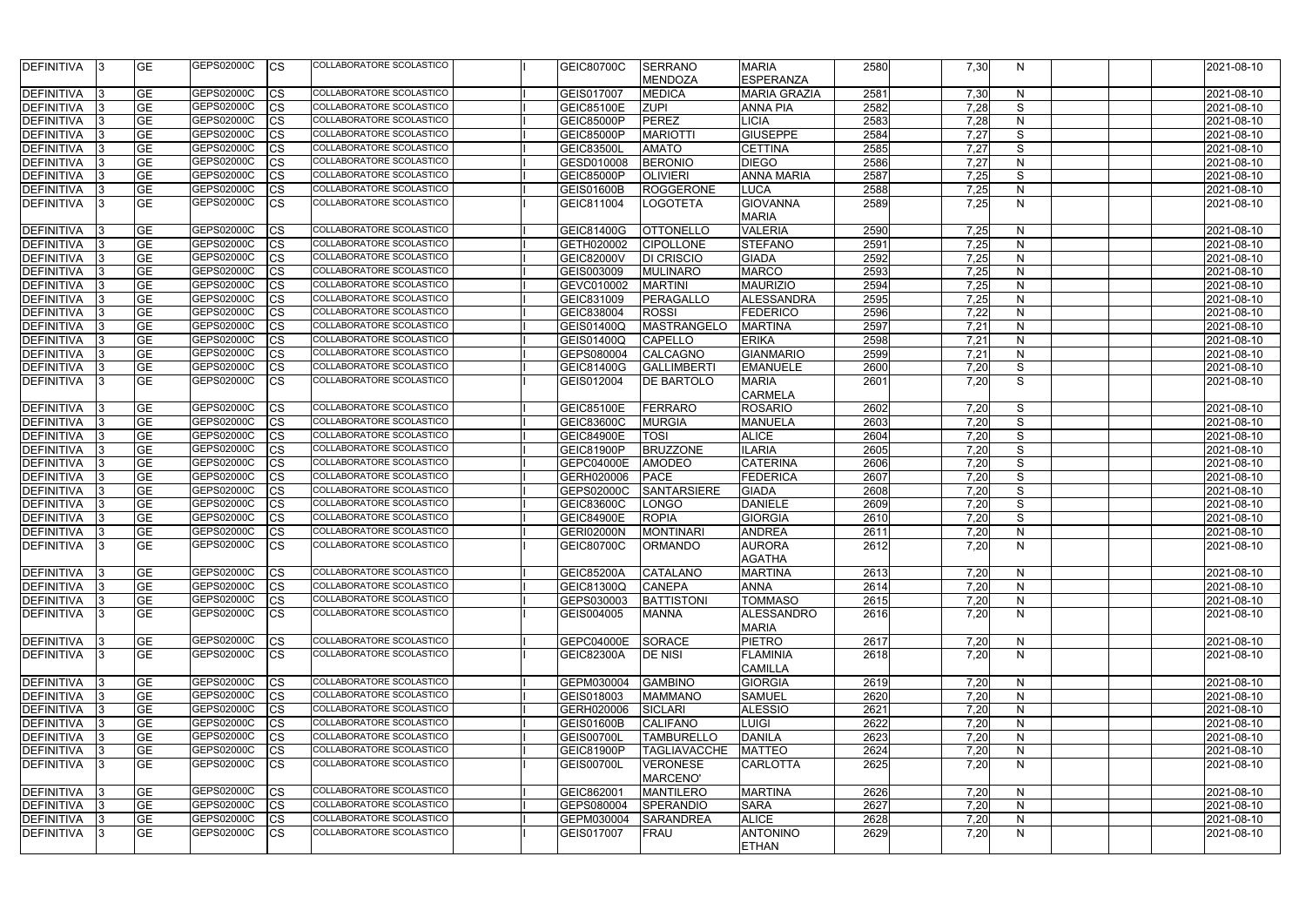| <b>DEFINITIVA</b> | <b>GE</b>       | GEPS02000C<br><b>CS</b>   | COLLABORATORE SCOLASTICO        | <b>GEIC80700C</b> | <b>SERRANO</b>      | <b>MARIA</b>        | 2580 | 7,30 | N            | 2021-08-10 |
|-------------------|-----------------|---------------------------|---------------------------------|-------------------|---------------------|---------------------|------|------|--------------|------------|
|                   |                 |                           |                                 |                   | MENDOZA             | <b>ESPERANZA</b>    |      |      |              |            |
| DEFINITIVA        | <b>GE</b>       | GEPS02000C<br>СS          | COLLABORATORE SCOLASTICO        | GEIS017007        | <b>MEDICA</b>       | <b>MARIA GRAZIA</b> | 2581 | 7,30 | N            | 2021-08-10 |
| <b>DEFINITIVA</b> | <b>GE</b>       | GEPS02000C<br>СS          | COLLABORATORE SCOLASTICO        | <b>GEIC85100E</b> | <b>ZUPI</b>         | <b>ANNA PIA</b>     | 2582 | 7,28 | S            | 2021-08-10 |
| DEFINITIVA        | <b>GE</b>       | GEPS02000C<br>CS          | COLLABORATORE SCOLASTICO        | <b>GEIC85000P</b> | PEREZ               | LICIA               | 2583 | 7,28 | $\mathsf{N}$ | 2021-08-10 |
| <b>DEFINITIVA</b> | <b>GE</b>       | GEPS02000C<br>СS          | COLLABORATORE SCOLASTICO        | <b>GEIC85000P</b> | <b>MARIOTTI</b>     | <b>GIUSEPPE</b>     | 2584 | 7,27 | S            | 2021-08-10 |
| <b>DEFINITIVA</b> | <b>GE</b>       | GEPS02000C<br>СS          | COLLABORATORE SCOLASTICO        | <b>GEIC83500L</b> | <b>AMATO</b>        | <b>CETTINA</b>      | 2585 | 7,27 | S            | 2021-08-10 |
| <b>DEFINITIVA</b> | <b>GE</b>       | GEPS02000C<br>CS          | COLLABORATORE SCOLASTICO        | GESD010008        | <b>BERONIO</b>      | <b>DIEGO</b>        | 2586 | 7,27 | $\mathsf{N}$ | 2021-08-10 |
| <b>DEFINITIVA</b> | <b>GE</b>       | GEPS02000C<br>СS          | COLLABORATORE SCOLASTICO        | <b>GEIC85000P</b> | <b>OLIVIERI</b>     | <b>ANNA MARIA</b>   | 2587 | 7,25 | S            | 2021-08-10 |
| <b>DEFINITIVA</b> | <b>GE</b>       | GEPS02000C<br>СS          | COLLABORATORE SCOLASTICO        | GEIS01600B        | <b>ROGGERONE</b>    | <b>LUCA</b>         | 2588 | 7,25 | $\mathsf{N}$ | 2021-08-10 |
| DEFINITIVA        | <b>GE</b>       | GEPS02000C<br><b>CS</b>   | COLLABORATORE SCOLASTICO        | GEIC811004        | LOGOTETA            | <b>GIOVANNA</b>     | 2589 | 7,25 | $\mathsf{N}$ | 2021-08-10 |
|                   |                 |                           |                                 |                   |                     | <b>MARIA</b>        |      |      |              |            |
| <b>DEFINITIVA</b> | <b>GE</b>       | GEPS02000C<br>CS          | COLLABORATORE SCOLASTICO        | <b>GEIC81400G</b> | <b>OTTONELLO</b>    | <b>VALERIA</b>      | 2590 | 7,25 | N            | 2021-08-10 |
| <b>DEFINITIVA</b> | $\overline{GE}$ | GEPS02000C<br>СS          | COLLABORATORE SCOLASTICO        | GETH020002        | <b>CIPOLLONE</b>    | <b>STEFANO</b>      | 2591 | 7,25 | $\mathsf{N}$ | 2021-08-10 |
| <b>DEFINITIVA</b> | <b>GE</b>       | GEPS02000C<br>СS          | COLLABORATORE SCOLASTICO        | <b>GEIC82000V</b> | <b>DI CRISCIO</b>   | <b>GIADA</b>        | 2592 | 7,25 | N            | 2021-08-10 |
| <b>DEFINITIVA</b> | <b>GE</b>       | GEPS02000C<br>СS          | COLLABORATORE SCOLASTICO        | GEIS003009        | MULINARO            | <b>MARCO</b>        | 2593 | 7,25 | N            | 2021-08-10 |
| DEFINITIVA        | <b>GE</b>       | GEPS02000C<br>CS          | COLLABORATORE SCOLASTICO        | GEVC010002        | <b>MARTINI</b>      | <b>MAURIZIO</b>     | 2594 | 7,25 | $\mathsf{N}$ | 2021-08-10 |
| <b>DEFINITIVA</b> | <b>GE</b>       | GEPS02000C<br>СS          | COLLABORATORE SCOLASTICO        | GEIC831009        | PERAGALLO           | <b>ALESSANDRA</b>   | 2595 | 7,25 | N            | 2021-08-10 |
| <b>DEFINITIVA</b> | <b>GE</b>       | GEPS02000C<br>CS          | COLLABORATORE SCOLASTICO        | GEIC838004        | <b>ROSSI</b>        | <b>FEDERICO</b>     | 2596 | 7,22 | N            | 2021-08-10 |
| <b>DEFINITIVA</b> | <b>GE</b>       | GEPS02000C<br>CS          | COLLABORATORE SCOLASTICO        | <b>GEIS01400Q</b> | <b>MASTRANGELO</b>  | <b>MARTINA</b>      | 2597 | 7,21 | $\mathsf{N}$ | 2021-08-10 |
| <b>DEFINITIVA</b> | <b>GE</b>       | GEPS02000C<br>СS          | COLLABORATORE SCOLASTICO        | <b>GEIS01400Q</b> | <b>CAPELLO</b>      | <b>ERIKA</b>        | 2598 | 7,21 | N            | 2021-08-10 |
| <b>DEFINITIVA</b> | <b>GE</b>       | GEPS02000C<br>СS          | COLLABORATORE SCOLASTICO        | GEPS080004        | <b>CALCAGNO</b>     | <b>GIANMARIO</b>    | 2599 | 7,21 | N            | 2021-08-10 |
| <b>DEFINITIVA</b> | <b>GE</b>       | GEPS02000C<br>CS          | <b>COLLABORATORE SCOLASTICO</b> | <b>GEIC81400G</b> | <b>GALLIMBERT</b>   | <b>EMANUELE</b>     | 2600 | 7,20 | S            | 2021-08-10 |
| <b>DEFINITIVA</b> | <b>GE</b>       | GEPS02000C<br>CS          | COLLABORATORE SCOLASTICO        | GEIS012004        | <b>DE BARTOLO</b>   | <b>MARIA</b>        | 2601 | 7,20 | S            | 2021-08-10 |
|                   |                 |                           |                                 |                   |                     | <b>CARMELA</b>      |      |      |              |            |
| <b>DEFINITIVA</b> | <b>GE</b>       | GEPS02000C<br>CS          | COLLABORATORE SCOLASTICO        | <b>GEIC85100E</b> | FERRARO             | <b>ROSARIO</b>      | 2602 | 7,20 | S            | 2021-08-10 |
| <b>DEFINITIVA</b> | <b>GE</b>       | <b>GEPS02000C</b><br>СS   | COLLABORATORE SCOLASTICO        | <b>GEIC83600C</b> | <b>MURGIA</b>       | <b>MANUELA</b>      | 2603 | 7,20 | S            | 2021-08-10 |
| <b>DEFINITIVA</b> | <b>GE</b>       | GEPS02000C<br>СS          | COLLABORATORE SCOLASTICO        | <b>GEIC84900E</b> | <b>TOSI</b>         | <b>ALICE</b>        | 2604 | 7,20 | S            | 2021-08-10 |
| <b>DEFINITIVA</b> | <b>GE</b>       | GEPS02000C<br>CS          | COLLABORATORE SCOLASTICO        | GEIC81900P        | <b>BRUZZONE</b>     | <b>ILARIA</b>       | 2605 | 7,20 | S            | 2021-08-10 |
| DEFINITIVA        | <b>GE</b>       | GEPS02000C<br>CS          | COLLABORATORE SCOLASTICO        | <b>GEPC04000E</b> | <b>AMODEO</b>       | <b>CATERINA</b>     | 2606 | 7,20 | S            | 2021-08-10 |
| DEFINITIVA        | <b>GE</b>       | GEPS02000C<br>СS          | COLLABORATORE SCOLASTICO        | GERH020006        | <b>PACE</b>         | <b>FEDERICA</b>     | 2607 | 7,20 | S            | 2021-08-10 |
| DEFINITIVA        | <b>GE</b>       | GEPS02000C<br>CS          | <b>COLLABORATORE SCOLASTICO</b> | GEPS02000C        | <b>SANTARSIERE</b>  | <b>GIADA</b>        | 2608 | 7,20 | S            | 2021-08-10 |
| DEFINITIVA        | <b>GE</b>       | GEPS02000C<br>CS          | <b>COLLABORATORE SCOLASTICO</b> | <b>GEIC83600C</b> | <b>LONGO</b>        | <b>DANIELE</b>      | 2609 | 7,20 | S            | 2021-08-10 |
| <b>DEFINITIVA</b> | <b>GE</b>       | GEPS02000C<br>СS          | COLLABORATORE SCOLASTICO        | <b>GEIC84900E</b> | <b>ROPIA</b>        | <b>GIORGIA</b>      | 2610 | 7,20 | S            | 2021-08-10 |
| <b>DEFINITIVA</b> | $\overline{GE}$ | GEPS02000C<br>СS          | <b>COLLABORATORE SCOLASTICO</b> | <b>GERI02000N</b> | <b>MONTINARI</b>    | <b>ANDREA</b>       | 2611 | 7,20 | $\mathsf{N}$ | 2021-08-10 |
| <b>DEFINITIVA</b> | <b>GE</b>       | GEPS02000C<br><b>I</b> CS | COLLABORATORE SCOLASTICO        | <b>GEIC80700C</b> | <b>ORMANDO</b>      | <b>AURORA</b>       | 2612 | 7,20 | N            | 2021-08-10 |
|                   |                 |                           |                                 |                   |                     | <b>AGATHA</b>       |      |      |              |            |
| <b>DEFINITIVA</b> | <b>GE</b>       | GEPS02000C<br><b>CS</b>   | COLLABORATORE SCOLASTICO        | <b>GEIC85200A</b> | <b>CATALANO</b>     | <b>MARTINA</b>      | 2613 | 7,20 | N            | 2021-08-10 |
| DEFINITIVA        | <b>GE</b>       | GEPS02000C<br><b>CS</b>   | COLLABORATORE SCOLASTICO        | GEIC81300Q        | <b>CANEPA</b>       | <b>ANNA</b>         | 2614 | 7,20 | $\mathsf{N}$ | 2021-08-10 |
| DEFINITIVA        | <b>GE</b>       | GEPS02000C<br>CS          | COLLABORATORE SCOLASTICO        | GEPS030003        | <b>BATTISTONI</b>   | <b>TOMMASO</b>      | 2615 | 7,20 | $\mathsf{N}$ | 2021-08-10 |
| DEFINITIVA        | <b>GE</b>       | GEPS02000C<br><b>CS</b>   | COLLABORATORE SCOLASTICO        | GEIS004005        | <b>MANNA</b>        | <b>ALESSANDRO</b>   | 2616 | 7,20 | $\mathsf{N}$ | 2021-08-10 |
|                   |                 |                           |                                 |                   |                     | <b>MARIA</b>        |      |      |              |            |
| <b>DEFINITIVA</b> | <b>GE</b>       | GEPS02000C<br><b>CS</b>   | <b>COLLABORATORE SCOLASTICO</b> | GEPC04000E        | <b>SORACE</b>       | <b>PIETRO</b>       | 2617 | 7,20 | $\mathsf{N}$ | 2021-08-10 |
| <b>DEFINITIVA</b> | <b>GE</b>       | GEPS02000C<br><b>CS</b>   | <b>COLLABORATORE SCOLASTICO</b> | GEIC82300A        | <b>DE NISI</b>      | <b>FLAMINIA</b>     | 2618 | 7,20 | ${\sf N}$    | 2021-08-10 |
|                   |                 |                           |                                 |                   |                     | <b>CAMILLA</b>      |      |      |              |            |
| <b>DEFINITIVA</b> | <b>GE</b>       | GEPS02000C<br><b>CS</b>   | <b>COLLABORATORE SCOLASTICO</b> | GEPM030004        | <b>GAMBINO</b>      | <b>GIORGIA</b>      | 2619 | 7,20 | N            | 2021-08-10 |
| <b>DEFINITIVA</b> | <b>GE</b>       | GEPS02000C<br>CS          | COLLABORATORE SCOLASTICO        | GEIS018003        | <b>MAMMANO</b>      | <b>SAMUEL</b>       | 2620 | 7,20 | $\mathsf{N}$ | 2021-08-10 |
| <b>DEFINITIVA</b> | <b>GE</b>       | GEPS02000C<br><b>CS</b>   | COLLABORATORE SCOLASTICO        | GERH020006        | SICLARI             | <b>ALESSIO</b>      | 2621 | 7,20 | $\mathsf{N}$ | 2021-08-10 |
| <b>DEFINITIVA</b> | <b>GE</b>       | GEPS02000C<br>CS          | <b>COLLABORATORE SCOLASTICO</b> | <b>GEIS01600B</b> | <b>CALIFANO</b>     | <b>LUIGI</b>        | 2622 | 7,20 | $\mathsf{N}$ | 2021-08-10 |
| <b>DEFINITIVA</b> | <b>GE</b>       | GEPS02000C<br>СS          | COLLABORATORE SCOLASTICO        | GEIS00700L        | <b>TAMBURELLO</b>   | <b>DANILA</b>       | 2623 | 7,20 | $\mathsf{N}$ | 2021-08-10 |
| <b>DEFINITIVA</b> | <b>GE</b>       | GEPS02000C<br>CS          | COLLABORATORE SCOLASTICO        | GEIC81900P        | <b>TAGLIAVACCHE</b> | <b>MATTEO</b>       | 2624 | 7,20 | $\mathsf{N}$ | 2021-08-10 |
| <b>DEFINITIVA</b> | <b>GE</b>       | GEPS02000C<br>CS          | COLLABORATORE SCOLASTICO        | GEIS00700L        | <b>VERONESE</b>     | <b>CARLOTTA</b>     | 2625 | 7,20 | N            | 2021-08-10 |
|                   |                 |                           |                                 |                   | MARCENO'            |                     |      |      |              |            |
| <b>DEFINITIVA</b> | <b>GE</b>       | GEPS02000C<br><b>CS</b>   | COLLABORATORE SCOLASTICO        | GEIC862001        | <b>MANTILERO</b>    | <b>MARTINA</b>      | 2626 | 7,20 | N            | 2021-08-10 |
| <b>DEFINITIVA</b> | <b>GE</b>       | GEPS02000C<br>ICS         | COLLABORATORE SCOLASTICO        | GEPS080004        | SPERANDIO           | <b>SARA</b>         | 2627 | 7,20 | N            | 2021-08-10 |
| <b>DEFINITIVA</b> | <b>GE</b>       | GEPS02000C<br><b>CS</b>   | COLLABORATORE SCOLASTICO        | GEPM030004        | <b>SARANDREA</b>    | <b>ALICE</b>        | 2628 | 7,20 | $\mathsf{N}$ | 2021-08-10 |
| DEFINITIVA        | <b>GE</b>       | GEPS02000C<br><b>CS</b>   | COLLABORATORE SCOLASTICO        | GEIS017007        | FRAU                | <b>ANTONINO</b>     | 2629 | 7,20 | N            | 2021-08-10 |
|                   |                 |                           |                                 |                   |                     | <b>ETHAN</b>        |      |      |              |            |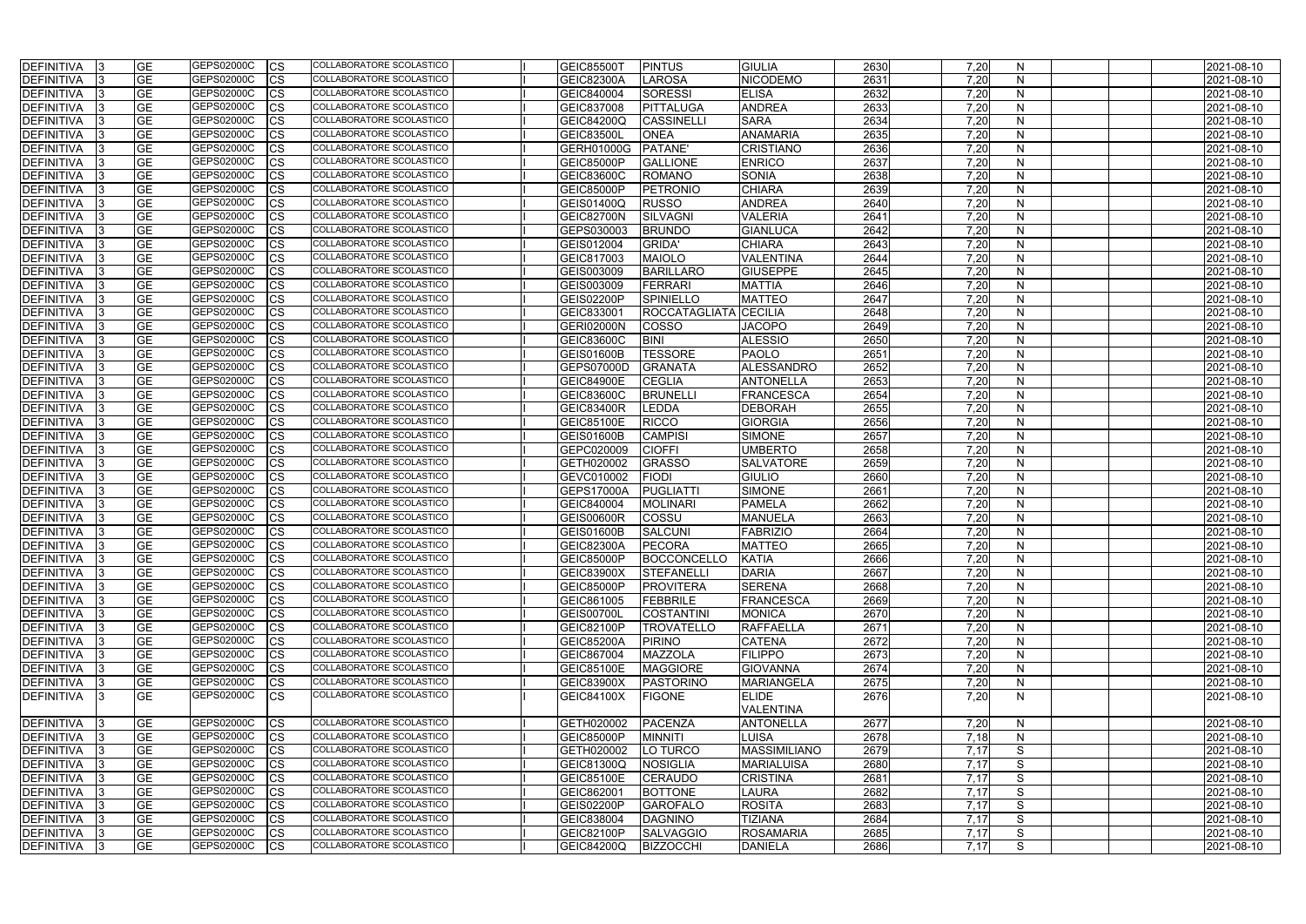| <b>DEFINITIVA</b> | <b>GE</b>       | <b>GEPS02000C</b><br>CS | COLLABORATORE SCOLASTICO        | <b>GEIC85500T</b> | <b>PINTUS</b>        | <b>GIULIA</b>       | 2630 | 7,20 | N.           |  | 2021-08-10 |
|-------------------|-----------------|-------------------------|---------------------------------|-------------------|----------------------|---------------------|------|------|--------------|--|------------|
| <b>DEFINITIVA</b> | <b>GE</b>       | GEPS02000C<br>CS        | COLLABORATORE SCOLASTICO        | <b>GEIC82300A</b> | LAROSA               | <b>NICODEMO</b>     | 2631 | 7,20 | N            |  | 2021-08-10 |
| <b>DEFINITIVA</b> | <b>GE</b>       | GEPS02000C<br>СS        | COLLABORATORE SCOLASTICO        | GEIC840004        | <b>SORESSI</b>       | <b>ELISA</b>        | 2632 | 7,20 | N            |  | 2021-08-10 |
| <b>DEFINITIVA</b> | <b>GE</b>       | <b>GEPS02000C</b><br>СS | COLLABORATORE SCOLASTICO        | GEIC837008        | PITTALUGA            | <b>ANDREA</b>       | 2633 | 7,20 | N            |  | 2021-08-10 |
| <b>DEFINITIVA</b> | <b>GE</b>       | GEPS02000C<br>CS        | COLLABORATORE SCOLASTICO        | <b>GEIC84200Q</b> | <b>CASSINELLI</b>    | <b>SARA</b>         | 2634 | 7,20 | $\mathsf{N}$ |  | 2021-08-10 |
| DEFINITIVA        | <b>GE</b>       | GEPS02000C<br>СS        | COLLABORATORE SCOLASTICO        | <b>GEIC83500L</b> | <b>ONEA</b>          | <b>ANAMARIA</b>     | 2635 | 7,20 | N            |  | 2021-08-10 |
| <b>DEFINITIVA</b> | <b>GE</b>       | GEPS02000C<br>СS        | COLLABORATORE SCOLASTICO        | <b>GERH01000G</b> | <b>PATANE</b>        | <b>CRISTIANO</b>    | 2636 | 7,20 | N.           |  | 2021-08-10 |
| DEFINITIVA        | <b>GE</b>       | GEPS02000C<br>CS        | COLLABORATORE SCOLASTICO        | <b>GEIC85000P</b> | <b>GALLIONE</b>      | <b>ENRICO</b>       | 2637 | 7,20 | N            |  | 2021-08-10 |
| <b>DEFINITIVA</b> | <b>GE</b>       | GEPS02000C<br>СS        | COLLABORATORE SCOLASTICO        | GEIC83600C        | <b>ROMANO</b>        | SONIA               | 2638 | 7,20 | $\mathsf{N}$ |  | 2021-08-10 |
| <b>DEFINITIVA</b> | <b>GE</b>       | GEPS02000C<br>СS        | COLLABORATORE SCOLASTICO        | <b>GEIC85000P</b> | <b>PETRONIO</b>      | <b>CHIARA</b>       | 2639 | 7,20 | N            |  | 2021-08-10 |
| <b>DEFINITIVA</b> | $\overline{GE}$ | GEPS02000C<br>СS        | COLLABORATORE SCOLASTICO        | GEIS01400Q        | <b>RUSSO</b>         | <b>ANDREA</b>       | 2640 | 7,20 | N            |  | 2021-08-10 |
| <b>DEFINITIVA</b> | <b>GE</b>       | GEPS02000C<br>СS        | <b>COLLABORATORE SCOLASTICO</b> | <b>GEIC82700N</b> | SILVAGNI             | <b>VALERIA</b>      | 2641 | 7,20 | $\mathsf{N}$ |  | 2021-08-10 |
| DEFINITIVA        | <b>GE</b>       | GEPS02000C<br>СS        | COLLABORATORE SCOLASTICO        | GEPS030003        | <b>BRUNDO</b>        | <b>GIANLUCA</b>     | 2642 | 7,20 | N            |  | 2021-08-10 |
| <b>DEFINITIVA</b> | $\overline{GE}$ | GEPS02000C<br>СS        | COLLABORATORE SCOLASTICO        | GEIS012004        | <b>GRIDA</b>         | <b>CHIARA</b>       | 2643 | 7,20 | $\mathsf{N}$ |  | 2021-08-10 |
| <b>DEFINITIVA</b> | <b>GE</b>       | GEPS02000C<br>СS        | COLLABORATORE SCOLASTICO        | GEIC817003        | <b>MAIOLO</b>        | <b>VALENTINA</b>    | 2644 | 7,20 | $\mathsf{N}$ |  | 2021-08-10 |
| <b>DEFINITIVA</b> | <b>GE</b>       | GEPS02000C<br>СS        | COLLABORATORE SCOLASTICO        | GEIS003009        | <b>BARILLARO</b>     | <b>GIUSEPPE</b>     | 2645 | 7,20 | N            |  | 2021-08-10 |
| <b>DEFINITIVA</b> | <b>GE</b>       | GEPS02000C<br>СS        | COLLABORATORE SCOLASTICO        | GEIS003009        | FERRARI              | <b>MATTIA</b>       | 2646 | 7,20 | N            |  | 2021-08-10 |
| <b>DEFINITIVA</b> | <b>GE</b>       | GEPS02000C<br>СS        | <b>COLLABORATORE SCOLASTICO</b> | <b>GEIS02200P</b> | <b>SPINIELLO</b>     | <b>MATTEO</b>       | 2647 | 7,20 | N            |  | 2021-08-10 |
| <b>DEFINITIVA</b> | <b>GE</b>       | GEPS02000C<br>СS        | COLLABORATORE SCOLASTICO        | GEIC833001        | <b>ROCCATAGLIATA</b> | <b>CECILIA</b>      | 2648 | 7,20 | N            |  | 2021-08-10 |
|                   | <b>GE</b>       | GEPS02000C              | <b>COLLABORATORE SCOLASTICO</b> |                   |                      |                     |      |      |              |  |            |
| <b>DEFINITIVA</b> |                 | СS                      | COLLABORATORE SCOLASTICO        | <b>GERI02000N</b> | <b>COSSO</b>         | <b>JACOPO</b>       | 2649 | 7,20 | N            |  | 2021-08-10 |
| <b>DEFINITIVA</b> | <b>GE</b>       | GEPS02000C<br>СS        |                                 | GEIC83600C        | <b>BINI</b>          | <b>ALESSIO</b>      | 2650 | 7,20 | N            |  | 2021-08-10 |
| <b>DEFINITIVA</b> | <b>GE</b>       | GEPS02000C<br>СS        | COLLABORATORE SCOLASTICO        | GEIS01600B        | <b>TESSORE</b>       | <b>PAOLO</b>        | 2651 | 7,20 | $\mathsf{N}$ |  | 2021-08-10 |
| DEFINITIVA        | <b>GE</b>       | GEPS02000C<br>СS        | COLLABORATORE SCOLASTICO        | <b>GEPS07000D</b> | <b>GRANATA</b>       | <b>ALESSANDRO</b>   | 2652 | 7,20 | N            |  | 2021-08-10 |
| <b>DEFINITIVA</b> | <b>GE</b>       | GEPS02000C<br>СS        | COLLABORATORE SCOLASTICO        | <b>GEIC84900E</b> | <b>CEGLIA</b>        | <b>ANTONELLA</b>    | 2653 | 7,20 | N            |  | 2021-08-10 |
| <b>DEFINITIVA</b> | <b>GE</b>       | GEPS02000C<br>СS        | COLLABORATORE SCOLASTICO        | GEIC83600C        | <b>BRUNELL</b>       | <b>FRANCESCA</b>    | 2654 | 7,20 | $\mathsf{N}$ |  | 2021-08-10 |
| <b>DEFINITIVA</b> | <b>GE</b>       | GEPS02000C<br>СS        | COLLABORATORE SCOLASTICO        | GEIC83400R        | LEDDA                | <b>DEBORAH</b>      | 2655 | 7,20 | N            |  | 2021-08-10 |
| <b>DEFINITIVA</b> | <b>GE</b>       | GEPS02000C<br>СS        | COLLABORATORE SCOLASTICO        | GEIC85100E        | <b>RICCO</b>         | <b>GIORGIA</b>      | 2656 | 7,20 | N            |  | 2021-08-10 |
| <b>DEFINITIVA</b> | <b>GE</b>       | GEPS02000C<br>СS        | COLLABORATORE SCOLASTICO        | <b>GEIS01600B</b> | <b>CAMPISI</b>       | <b>SIMONE</b>       | 2657 | 7,20 | N            |  | 2021-08-10 |
| <b>DEFINITIVA</b> | <b>GE</b>       | GEPS02000C<br>СS        | COLLABORATORE SCOLASTICO        | GEPC020009        | <b>CIOFFI</b>        | <b>UMBERTO</b>      | 2658 | 7,20 | N            |  | 2021-08-10 |
| <b>DEFINITIVA</b> | <b>GE</b>       | GEPS02000C<br>СS        | COLLABORATORE SCOLASTICO        | GETH020002        | <b>GRASSO</b>        | <b>SALVATORE</b>    | 2659 | 7,20 | N            |  | 2021-08-10 |
| DEFINITIVA        | <b>GE</b>       | GEPS02000C<br>СS        | COLLABORATORE SCOLASTICO        | GEVC010002        | <b>FIODI</b>         | Giulio              | 2660 | 7,20 | N            |  | 2021-08-10 |
| <b>DEFINITIVA</b> | <b>GE</b>       | GEPS02000C<br>СS        | COLLABORATORE SCOLASTICO        | GEPS17000A        | PUGLIATTI            | <b>SIMONE</b>       | 2661 | 7,20 | N            |  | 2021-08-10 |
| <b>DEFINITIVA</b> | <b>GE</b>       | GEPS02000C<br>СS        | COLLABORATORE SCOLASTICO        | GEIC840004        | <b>MOLINARI</b>      | <b>PAMELA</b>       | 2662 | 7,20 | N            |  | 2021-08-10 |
| <b>DEFINITIVA</b> | <b>GE</b>       | GEPS02000C<br>СS        | COLLABORATORE SCOLASTICO        | <b>GEIS00600R</b> | COSSU                | <b>MANUELA</b>      | 2663 | 7,20 | N            |  | 2021-08-10 |
| <b>DEFINITIVA</b> | <b>GE</b>       | GEPS02000C<br>СS        | COLLABORATORE SCOLASTICO        | GEIS01600B        | <b>SALCUNI</b>       | <b>FABRIZIO</b>     | 2664 | 7,20 | N            |  | 2021-08-10 |
| DEFINITIVA        | <b>GE</b>       | GEPS02000C<br><b>CS</b> | COLLABORATORE SCOLASTICO        | <b>GEIC82300A</b> | <b>PECORA</b>        | <b>MATTEO</b>       | 2665 | 7,20 | N            |  | 2021-08-10 |
| DEFINITIVA 3      | <b>GE</b>       | GEPS02000C<br><b>CS</b> | COLLABORATORE SCOLASTICO        | <b>GEIC85000P</b> | <b>BOCCONCELLO</b>   | <b>KATIA</b>        | 2666 | 7,20 | N            |  | 2021-08-10 |
| DEFINITIVA        | <b>GE</b>       | GEPS02000C<br><b>CS</b> | COLLABORATORE SCOLASTICO        | <b>GEIC83900X</b> | STEFANELLI           | <b>DARIA</b>        | 2667 | 7,20 | N            |  | 2021-08-10 |
| DEFINITIVA        | <b>GE</b>       | GEPS02000C<br><b>CS</b> | COLLABORATORE SCOLASTICO        | <b>GEIC85000P</b> | <b>PROVITERA</b>     | <b>SERENA</b>       | 2668 | 7,20 | $\mathsf{N}$ |  | 2021-08-10 |
| DEFINITIVA        | <b>GE</b>       | GEPS02000C<br><b>CS</b> | COLLABORATORE SCOLASTICO        | GEIC861005        | FEBBRILE             | <b>FRANCESCA</b>    | 2669 | 7,20 | $\mathsf{N}$ |  | 2021-08-10 |
| DEFINITIVA        | <b>GE</b>       | GEPS02000C<br>СS        | COLLABORATORE SCOLASTICO        | <b>GEIS00700L</b> | <b>COSTANTINI</b>    | <b>MONICA</b>       | 2670 | 7,20 | $\mathsf{N}$ |  | 2021-08-10 |
| <b>DEFINITIVA</b> | <b>GE</b>       | GEPS02000C<br>CS        | COLLABORATORE SCOLASTICO        | GEIC82100P        | <b>TROVATELLO</b>    | <b>RAFFAELLA</b>    | 2671 | 7,20 | $\mathsf{N}$ |  | 2021-08-10 |
| DEFINITIVA        | <b>GE</b>       | GEPS02000C<br><b>CS</b> | COLLABORATORE SCOLASTICO        | <b>GEIC85200A</b> | <b>PIRINO</b>        | <b>CATENA</b>       | 2672 | 7,20 | $\mathsf{N}$ |  | 2021-08-10 |
| <b>DEFINITIVA</b> | <b>GE</b>       | GEPS02000C<br><b>CS</b> | <b>COLLABORATORE SCOLASTICO</b> | GEIC867004        | <b>MAZZOLA</b>       | <b>FILIPPO</b>      | 2673 | 7,20 | N            |  | 2021-08-10 |
| <b>DEFINITIVA</b> | <b>GE</b>       | GEPS02000C<br><b>CS</b> | <b>COLLABORATORE SCOLASTICO</b> | <b>GEIC85100E</b> | <b>MAGGIORE</b>      | <b>GIOVANNA</b>     | 2674 | 7,20 | $\mathsf{N}$ |  | 2021-08-10 |
| <b>DEFINITIVA</b> | <b>GE</b>       | GEPS02000C<br><b>CS</b> | COLLABORATORE SCOLASTICO        | <b>GEIC83900X</b> | PASTORINO            | <b>MARIANGELA</b>   | 2675 | 7,20 | N            |  | 2021-08-10 |
| DEFINITIVA        | <b>GE</b>       | GEPS02000C<br><b>CS</b> | COLLABORATORE SCOLASTICO        | <b>GEIC84100X</b> | <b>FIGONE</b>        | <b>ELIDE</b>        | 2676 | 7,20 | N            |  | 2021-08-10 |
|                   |                 |                         |                                 |                   |                      |                     |      |      |              |  |            |
|                   |                 |                         |                                 |                   |                      | <b>VALENTINA</b>    |      |      |              |  |            |
| <b>DEFINITIVA</b> | <b>GE</b>       | GEPS02000C<br><b>CS</b> | COLLABORATORE SCOLASTICO        | GETH020002        | <b>PACENZA</b>       | <b>ANTONELLA</b>    | 2677 | 7,20 | N            |  | 2021-08-10 |
| DEFINITIVA        | <b>GE</b>       | GEPS02000C<br>CS        | COLLABORATORE SCOLASTICO        | <b>GEIC85000P</b> | <b>MINNITI</b>       | LUISA               | 2678 | 7,18 | N            |  | 2021-08-10 |
| DEFINITIVA        | <b>GE</b>       | GEPS02000C<br><b>CS</b> | COLLABORATORE SCOLASTICO        | GETH020002        | LO TURCO             | <b>MASSIMILIANO</b> | 2679 | 7,17 | S            |  | 2021-08-10 |
| DEFINITIVA        | <b>GE</b>       | GEPS02000C<br>СS        | COLLABORATORE SCOLASTICO        | <b>GEIC81300Q</b> | <b>NOSIGLIA</b>      | <b>MARIALUISA</b>   | 2680 | 7,17 | S            |  | 2021-08-10 |
| DEFINITIVA        | <b>GE</b>       | GEPS02000C<br>СS        | COLLABORATORE SCOLASTICO        | <b>GEIC85100E</b> | <b>CERAUDO</b>       | <b>CRISTINA</b>     | 2681 | 7,17 | S            |  | 2021-08-10 |
| DEFINITIVA        | <b>GE</b>       | GEPS02000C<br>СS        | COLLABORATORE SCOLASTICO        | GEIC862001        | <b>BOTTONE</b>       | <b>LAURA</b>        | 2682 | 7,17 | S            |  | 2021-08-10 |
| <b>DEFINITIVA</b> | <b>GE</b>       | GEPS02000C<br><b>CS</b> | COLLABORATORE SCOLASTICO        | <b>GEIS02200P</b> | <b>GAROFALO</b>      | <b>ROSITA</b>       | 2683 | 7,17 | S            |  | 2021-08-10 |
| <b>DEFINITIVA</b> | <b>GE</b>       | GEPS02000C<br>CS        | COLLABORATORE SCOLASTICO        | GEIC838004        | <b>DAGNINO</b>       | <b>TIZIANA</b>      | 2684 | 7,17 | S            |  | 2021-08-10 |
| DEFINITIVA        | <b>GE</b>       | GEPS02000C<br><b>CS</b> | COLLABORATORE SCOLASTICO        | <b>GEIC82100P</b> | <b>SALVAGGIO</b>     | <b>ROSAMARIA</b>    | 2685 | 7,17 | S            |  | 2021-08-10 |
| <b>DEFINITIVA</b> | <b>GE</b>       | GEPS02000C<br><b>CS</b> | COLLABORATORE SCOLASTICO        | <b>GEIC84200Q</b> | <b>BIZZOCCHI</b>     | <b>DANIELA</b>      | 2686 | 7,17 | S            |  | 2021-08-10 |
|                   |                 |                         |                                 |                   |                      |                     |      |      |              |  |            |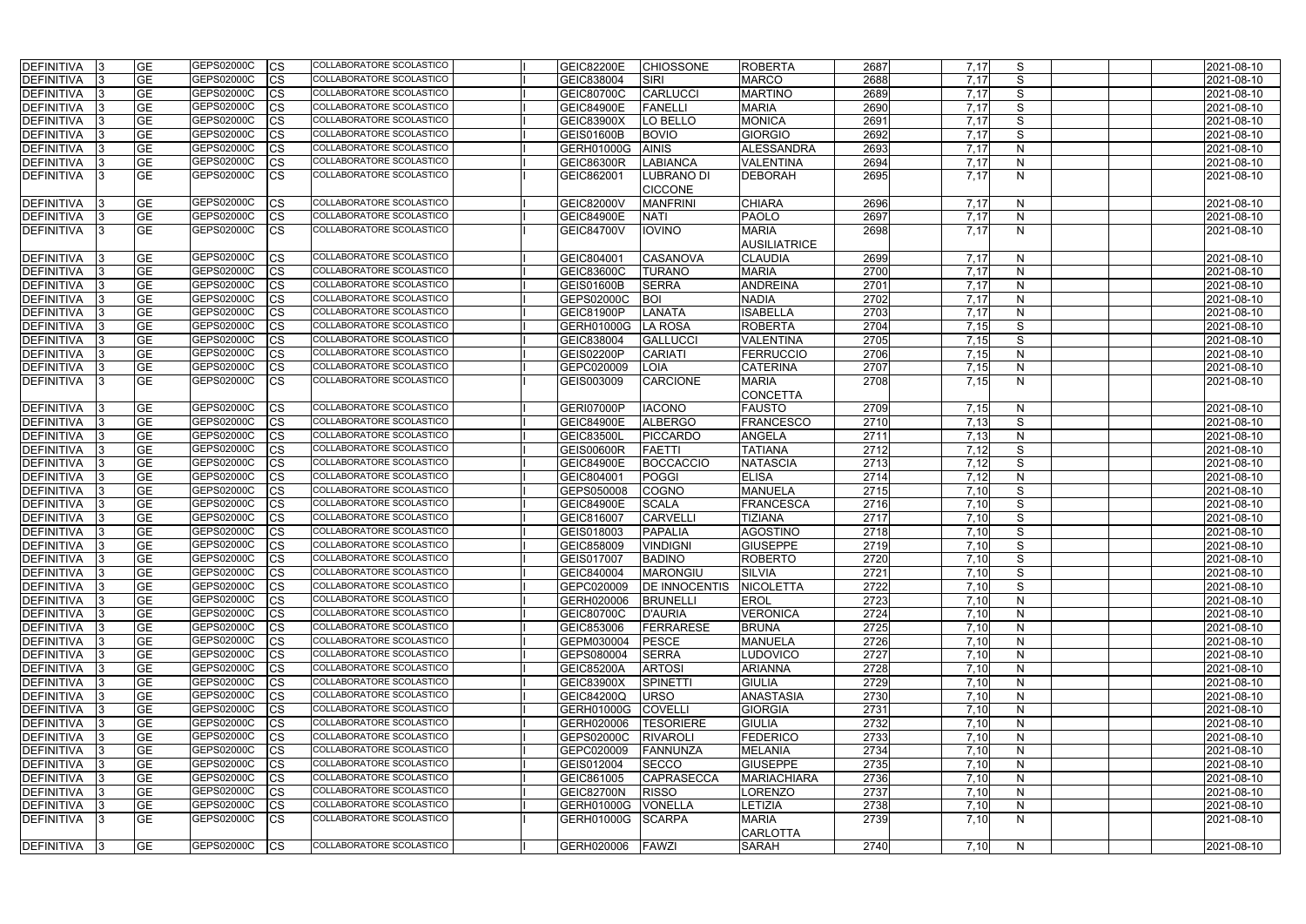| <b>DEFINITIVA</b> | <b>GE</b>       | GEPS02000C<br><b>CS</b>        | COLLABORATORE SCOLASTICO        | <b>GEIC82200E</b> | <b>CHIOSSONE</b>     | <b>ROBERTA</b>      | 2687 | 7,17 | S            |  | 2021-08-10 |
|-------------------|-----------------|--------------------------------|---------------------------------|-------------------|----------------------|---------------------|------|------|--------------|--|------------|
| DEFINITIVA        | <b>GE</b>       | <b>GEPS02000C</b><br>СS        | COLLABORATORE SCOLASTICO        | GEIC838004        | SIRI                 | <b>MARCO</b>        | 2688 | 7,17 | S            |  | 2021-08-10 |
| DEFINITIVA        | <b>GE</b>       | GEPS02000C<br>CS               | COLLABORATORE SCOLASTICO        | <b>GEIC80700C</b> | <b>CARLUCCI</b>      | <b>MARTINO</b>      | 2689 | 7,17 | S            |  | 2021-08-10 |
| <b>DEFINITIVA</b> | <b>GE</b>       | GEPS02000C<br>СS               | COLLABORATORE SCOLASTICO        | <b>GEIC84900E</b> | FANELLI              | <b>MARIA</b>        | 2690 | 7,17 | S            |  | 2021-08-10 |
| <b>DEFINITIVA</b> | <b>GE</b>       | GEPS02000C<br>СS               | COLLABORATORE SCOLASTICO        | <b>GEIC83900X</b> | LO BELLO             | <b>MONICA</b>       | 2691 | 7,17 | S            |  | 2021-08-10 |
| <b>DEFINITIVA</b> | <b>GE</b>       | GEPS02000C<br>CS               | COLLABORATORE SCOLASTICO        | <b>GEIS01600B</b> | <b>BOVIO</b>         | <b>GIORGIO</b>      | 2692 | 7,17 | S            |  | 2021-08-10 |
| <b>DEFINITIVA</b> | <b>GE</b>       | GEPS02000C<br>СS               | COLLABORATORE SCOLASTICO        | GERH01000G        | <b>AINIS</b>         | <b>ALESSANDRA</b>   | 2693 | 7,17 | N            |  | 2021-08-10 |
| <b>DEFINITIVA</b> | <b>GE</b>       | GEPS02000C<br>СS               | COLLABORATORE SCOLASTICO        | <b>GEIC86300R</b> | <b>LABIANCA</b>      | <b>VALENTINA</b>    | 2694 | 7,17 | N            |  | 2021-08-10 |
| <b>DEFINITIVA</b> | <b>GE</b>       | GEPS02000C<br>CS               | COLLABORATORE SCOLASTICO        | GEIC862001        | LUBRANO DI           | <b>DEBORAH</b>      | 2695 | 7,17 | N            |  | 2021-08-10 |
|                   |                 |                                |                                 |                   | <b>CICCONE</b>       |                     |      |      |              |  |            |
| <b>DEFINITIVA</b> | <b>GE</b>       | GEPS02000C<br>CS               | COLLABORATORE SCOLASTICO        | <b>GEIC82000V</b> | <b>MANFRINI</b>      | <b>CHIARA</b>       | 2696 | 7,17 | N            |  | 2021-08-10 |
| <b>DEFINITIVA</b> | <b>GE</b>       | GEPS02000C<br>CS               | COLLABORATORE SCOLASTICO        | <b>GEIC84900E</b> | <b>NATI</b>          | <b>PAOLO</b>        | 2697 | 7,17 | $\mathsf{N}$ |  | 2021-08-10 |
| <b>DEFINITIVA</b> | <b>GE</b>       | <b>GEPS02000C</b><br>СS        | COLLABORATORE SCOLASTICO        | <b>GEIC84700V</b> | <b>IOVINO</b>        | <b>MARIA</b>        | 2698 | 7,17 | N            |  | 2021-08-10 |
|                   |                 |                                |                                 |                   |                      | <b>AUSILIATRICE</b> |      |      |              |  |            |
| <b>DEFINITIVA</b> | <b>GE</b>       | GEPS02000C<br><b>CS</b>        | COLLABORATORE SCOLASTICO        | GEIC804001        | <b>CASANOVA</b>      | <b>CLAUDIA</b>      | 2699 | 7,17 | $\mathsf{N}$ |  | 2021-08-10 |
| <b>DEFINITIVA</b> | <b>GE</b>       | GEPS02000C<br>CS               | COLLABORATORE SCOLASTICO        | GEIC83600C        | <b>TURANO</b>        | <b>MARIA</b>        | 2700 | 7,17 | $\mathsf{N}$ |  | 2021-08-10 |
| DEFINITIVA        | <b>GE</b>       | GEPS02000C<br>СS               | <b>COLLABORATORE SCOLASTICO</b> | <b>GEIS01600B</b> | <b>SERRA</b>         | <b>ANDREINA</b>     | 2701 | 7,17 | $\mathsf{N}$ |  | 2021-08-10 |
| <b>DEFINITIVA</b> | <b>GE</b>       | GEPS02000C<br>СS               | COLLABORATORE SCOLASTICO        | GEPS02000C        | <b>BOI</b>           | <b>NADIA</b>        | 2702 | 7,17 | $\mathsf{N}$ |  | 2021-08-10 |
| DEFINITIVA        | <b>GE</b>       | GEPS02000C<br>CS               | COLLABORATORE SCOLASTICO        | <b>GEIC81900P</b> | LANATA               | <b>ISABELLA</b>     | 2703 | 7,17 | $\mathsf{N}$ |  | 2021-08-10 |
| <b>DEFINITIVA</b> | <b>GE</b>       | GEPS02000C<br>CS               | COLLABORATORE SCOLASTICO        | GERH01000G        | <b>LA ROSA</b>       | <b>ROBERTA</b>      | 2704 | 7,15 | S            |  | 2021-08-10 |
| <b>DEFINITIVA</b> | $\overline{GE}$ | GEPS02000C<br>СS               | <b>COLLABORATORE SCOLASTICO</b> | GEIC838004        | <b>GALLUCCI</b>      | <b>VALENTINA</b>    | 2705 | 7,15 | S            |  | 2021-08-10 |
| <b>DEFINITIVA</b> | <b>GE</b>       | GEPS02000C<br>CS               | COLLABORATORE SCOLASTICO        | <b>GEIS02200P</b> | <b>CARIATI</b>       | <b>FERRUCCIO</b>    | 2706 | 7,15 | $\mathsf{N}$ |  | 2021-08-10 |
| DEFINITIVA        | <b>GE</b>       | GEPS02000C<br>СS               | <b>COLLABORATORE SCOLASTICO</b> | GEPC020009        | LOIA                 | <b>CATERINA</b>     | 2707 | 7,15 | $\mathsf{N}$ |  | 2021-08-10 |
| <b>DEFINITIVA</b> | <b>GE</b>       | <b>GEPS02000C</b><br>СS        | COLLABORATORE SCOLASTICO        | GEIS003009        | <b>CARCIONE</b>      | <b>MARIA</b>        | 2708 | 7,15 | N            |  | 2021-08-10 |
|                   |                 |                                |                                 |                   |                      | <b>CONCETTA</b>     |      |      |              |  |            |
| DEFINITIVA        | <b>GE</b>       | GEPS02000C<br>CS               | COLLABORATORE SCOLASTICO        | <b>GERI07000P</b> | <b>IACONO</b>        | <b>FAUSTO</b>       | 2709 | 7,15 | N            |  | 2021-08-10 |
| <b>DEFINITIVA</b> | <b>GE</b>       | GEPS02000C<br>СS               | COLLABORATORE SCOLASTICO        | <b>GEIC84900E</b> | <b>ALBERGO</b>       | <b>FRANCESCO</b>    | 2710 | 7,13 | S            |  | 2021-08-10 |
| <b>DEFINITIVA</b> | <b>GE</b>       | GEPS02000C<br>СS               | COLLABORATORE SCOLASTICO        | <b>GEIC83500L</b> | <b>PICCARDO</b>      | <b>ANGELA</b>       | 2711 | 7,13 | N            |  | 2021-08-10 |
| DEFINITIVA        | <b>GE</b>       | GEPS02000C<br>CS               | COLLABORATORE SCOLASTICO        | <b>GEIS00600R</b> | <b>FAETTI</b>        | <b>TATIANA</b>      | 2712 | 7,12 | S            |  | 2021-08-10 |
| DEFINITIVA        | <b>GE</b>       | GEPS02000C<br>СS               | COLLABORATORE SCOLASTICO        | <b>GEIC84900E</b> | <b>BOCCACCIO</b>     | <b>NATASCIA</b>     | 2713 | 7,12 | S            |  | 2021-08-10 |
| <b>DEFINITIVA</b> | <b>GE</b>       | GEPS02000C<br>СS               | COLLABORATORE SCOLASTICO        | GEIC804001        | <b>POGGI</b>         | <b>ELISA</b>        | 2714 | 7,12 | N            |  | 2021-08-10 |
| <b>DEFINITIVA</b> | <b>GE</b>       | GEPS02000C<br>CS               | COLLABORATORE SCOLASTICO        | GEPS050008        | <b>COGNO</b>         | <b>MANUELA</b>      | 2715 | 7,10 | S            |  | 2021-08-10 |
| <b>DEFINITIVA</b> | <b>GE</b>       | GEPS02000C<br>СS               | <b>COLLABORATORE SCOLASTICO</b> | <b>GEIC84900E</b> | <b>SCALA</b>         | <b>FRANCESCA</b>    | 2716 | 7,10 | S            |  | 2021-08-10 |
| <b>DEFINITIVA</b> | <b>GE</b>       | GEPS02000C<br>CS               | COLLABORATORE SCOLASTICO        | GEIC816007        | <b>CARVELL</b>       | <b>TIZIANA</b>      | 2717 | 7,10 | S            |  | 2021-08-10 |
| <b>DEFINITIVA</b> | <b>GE</b>       | GEPS02000C<br>CS               | COLLABORATORE SCOLASTICO        | GEIS018003        | <b>PAPALIA</b>       | <b>AGOSTINO</b>     | 2718 | 7,10 | S            |  | 2021-08-10 |
| DEFINITIVA        | <b>IGE</b>      | <b>GEPS02000C</b><br><b>CS</b> | COLLABORATORE SCOLASTICO        | GEIC858009        | <b>VINDIGNI</b>      | <b>GIUSEPPE</b>     | 2719 | 7.10 | S.           |  | 2021-08-10 |
| <b>DEFINITIVA</b> | <b>GE</b>       | GEPS02000C<br><b>CS</b>        | COLLABORATORE SCOLASTICO        | GEIS017007        | <b>BADINO</b>        | <b>ROBERTO</b>      | 2720 | 7,10 | S            |  | 2021-08-10 |
| DEFINITIVA        | <b>GE</b>       | GEPS02000C<br><b>CS</b>        | COLLABORATORE SCOLASTICO        | GEIC840004        | <b>MARONGIU</b>      | <b>SILVIA</b>       | 2721 | 7,10 | S            |  | 2021-08-10 |
| DEFINITIVA        | <b>GE</b>       | GEPS02000C<br>СS               | COLLABORATORE SCOLASTICO        | GEPC020009        | <b>DE INNOCENTIS</b> | <b>NICOLETTA</b>    | 2722 | 7,10 | S            |  | 2021-08-10 |
| DEFINITIVA        | <b>GE</b>       | GEPS02000C<br>CS               | COLLABORATORE SCOLASTICO        | GERH020006        | <b>BRUNELLI</b>      | <b>EROL</b>         | 2723 | 7,10 | $\mathsf{N}$ |  | 2021-08-10 |
| DEFINITIVA        | <b>GE</b>       | GEPS02000C<br>CS               | COLLABORATORE SCOLASTICO        | GEIC80700C        | <b>D'AURIA</b>       | <b>VERONICA</b>     | 2724 | 7,10 | N            |  | 2021-08-10 |
| <b>DEFINITIVA</b> | <b>GE</b>       | GEPS02000C<br>CS               | COLLABORATORE SCOLASTICO        | GEIC853006        | FERRARESE            | <b>BRUNA</b>        | 2725 | 7,10 | N            |  | 2021-08-10 |
| <b>DEFINITIVA</b> | <b>GE</b>       | GEPS02000C<br><b>CS</b>        | COLLABORATORE SCOLASTICO        | GEPM030004        | <b>PESCE</b>         | <b>MANUELA</b>      | 2726 | 7,10 | N            |  | 2021-08-10 |
| DEFINITIVA        | <b>GE</b>       | GEPS02000C<br><b>CS</b>        | <b>COLLABORATORE SCOLASTICO</b> | GEPS080004        | <b>SERRA</b>         | LUDOVICO            | 2727 | 7,10 | $\mathsf{N}$ |  | 2021-08-10 |
| DEFINITIVA        | <b>GE</b>       | GEPS02000C<br>CS               | COLLABORATORE SCOLASTICO        | <b>GEIC85200A</b> | <b>ARTOSI</b>        | <b>ARIANNA</b>      | 2728 | 7,10 | N            |  | 2021-08-10 |
| DEFINITIVA        | <b>GE</b>       | GEPS02000C<br>CS               | COLLABORATORE SCOLASTICO        | <b>GEIC83900X</b> | <b>SPINETTI</b>      | <b>GIULIA</b>       | 2729 | 7,10 | $\mathsf{N}$ |  | 2021-08-10 |
| <b>DEFINITIVA</b> | <b>GE</b>       | GEPS02000C<br><b>CS</b>        | COLLABORATORE SCOLASTICO        | <b>GEIC84200Q</b> | <b>URSO</b>          | <b>ANASTASIA</b>    | 2730 | 7,10 | $\mathsf{N}$ |  | 2021-08-10 |
| DEFINITIVA        | <b>GE</b>       | GEPS02000C<br>СS               | COLLABORATORE SCOLASTICO        | <b>GERH01000G</b> | <b>COVELLI</b>       | <b>GIORGIA</b>      | 2731 | 7,10 | N            |  | 2021-08-10 |
| DEFINITIVA        | <b>GE</b>       | GEPS02000C<br>CS               | COLLABORATORE SCOLASTICO        | GERH020006        | <b>TESORIERE</b>     | <b>GIULIA</b>       | 2732 | 7,10 | $\mathsf{N}$ |  | 2021-08-10 |
| DEFINITIVA        | <b>GE</b>       | GEPS02000C<br>СS               | COLLABORATORE SCOLASTICO        | GEPS02000C        | <b>RIVAROLI</b>      | <b>FEDERICO</b>     | 2733 | 7,10 | $\mathsf{N}$ |  | 2021-08-10 |
| DEFINITIVA        | <b>GE</b>       | GEPS02000C<br>СS               | COLLABORATORE SCOLASTICO        | GEPC020009        | FANNUNZA             | <b>MELANIA</b>      | 2734 | 7,10 | N            |  | 2021-08-10 |
| DEFINITIVA        | <b>GE</b>       | GEPS02000C<br>СS               | COLLABORATORE SCOLASTICO        | GEIS012004        | <b>SECCO</b>         | <b>GIUSEPPE</b>     | 2735 | 7,10 | $\mathsf{N}$ |  | 2021-08-10 |
| DEFINITIVA        | <b>GE</b>       | GEPS02000C<br>CS               | COLLABORATORE SCOLASTICO        | GEIC861005        | <b>CAPRASECCA</b>    | <b>MARIACHIARA</b>  | 2736 | 7,10 | $\mathsf{N}$ |  | 2021-08-10 |
| <b>DEFINITIVA</b> | <b>GE</b>       | GEPS02000C<br>CS               | COLLABORATORE SCOLASTICO        | GEIC82700N        | <b>RISSO</b>         | LORENZO             | 2737 | 7,10 | N            |  | 2021-08-10 |
| <b>DEFINITIVA</b> | <b>GE</b>       | GEPS02000C<br><b>CS</b>        | COLLABORATORE SCOLASTICO        | <b>GERH01000G</b> | <b>VONELLA</b>       | <b>LETIZIA</b>      | 2738 | 7,10 | N            |  | 2021-08-10 |
| <b>DEFINITIVA</b> | <b>GE</b>       | GEPS02000C<br><b>CS</b>        | COLLABORATORE SCOLASTICO        | <b>GERH01000G</b> | <b>SCARPA</b>        | <b>MARIA</b>        | 2739 | 7,10 | N            |  | 2021-08-10 |
|                   |                 |                                |                                 |                   |                      | <b>CARLOTTA</b>     |      |      |              |  |            |
| DEFINITIVA        | <b>GE</b>       | GEPS02000C<br><b>CS</b>        | COLLABORATORE SCOLASTICO        | GERH020006        | FAWZI                | <b>SARAH</b>        | 2740 | 7,10 | N            |  | 2021-08-10 |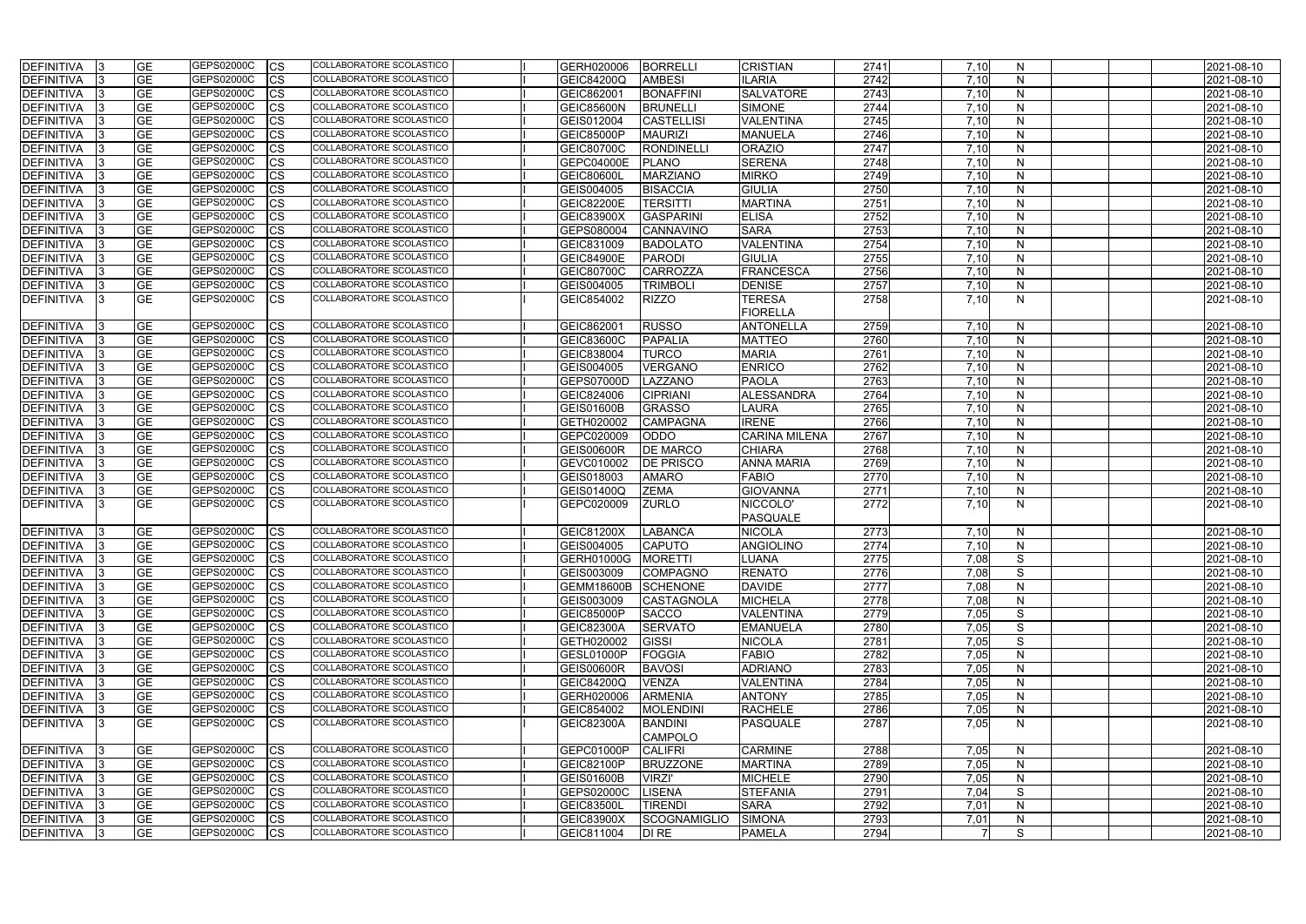| <b>DEFINITIVA</b> | <b>GE</b>  | GEPS02000C | <b>ICS</b> | COLLABORATORE SCOLASTICO        | GERH020006           | <b>BORRELL</b>    | <b>CRISTIAN</b>      | 2741 | 7,10         | N                 | 2021-08-10 |
|-------------------|------------|------------|------------|---------------------------------|----------------------|-------------------|----------------------|------|--------------|-------------------|------------|
| <b>DEFINITIVA</b> | <b>GE</b>  | GEPS02000C | <b>CS</b>  | COLLABORATORE SCOLASTICO        | <b>GEIC84200Q</b>    | <b>AMBESI</b>     | <b>ILARIA</b>        | 2742 | 7,10         | N                 | 2021-08-10 |
| <b>DEFINITIVA</b> | <b>GE</b>  | GEPS02000C | <b>CS</b>  | COLLABORATORE SCOLASTICO        | GEIC862001           | <b>BONAFFINI</b>  | <b>SALVATORE</b>     | 2743 | 7,10         | N                 | 2021-08-10 |
| <b>DEFINITIVA</b> | <b>GE</b>  | GEPS02000C | <b>CS</b>  | COLLABORATORE SCOLASTICO        | <b>GEIC85600N</b>    | <b>BRUNELLI</b>   | SIMONE               | 2744 | 7,10         | N                 | 2021-08-10 |
| <b>DEFINITIVA</b> | <b>GE</b>  | GEPS02000C | <b>CS</b>  | COLLABORATORE SCOLASTICO        | GEIS012004           | <b>CASTELLISI</b> | <b>VALENTINA</b>     | 2745 | 7,10         | N                 | 2021-08-10 |
| DEFINITIVA        | <b>GE</b>  | GEPS02000C | <b>CS</b>  | COLLABORATORE SCOLASTICO        | <b>GEIC85000P</b>    | MAURIZI           | <b>MANUELA</b>       | 2746 | 7,10         | N                 | 2021-08-10 |
| <b>DEFINITIVA</b> | <b>GE</b>  | GEPS02000C | <b>CS</b>  | COLLABORATORE SCOLASTICO        | <b>GEIC80700C</b>    | RONDINELLI        | <b>ORAZIO</b>        | 2747 | 7,10         | N                 | 2021-08-10 |
| <b>DEFINITIVA</b> | <b>GE</b>  | GEPS02000C | <b>CS</b>  | COLLABORATORE SCOLASTICO        | GEPC04000E           | <b>PLANO</b>      | <b>SERENA</b>        | 2748 | 7,10         | N                 | 2021-08-10 |
| <b>DEFINITIVA</b> | <b>GE</b>  | GEPS02000C | <b>CS</b>  | COLLABORATORE SCOLASTICO        | <b>GEIC80600L</b>    | <b>MARZIANO</b>   | <b>MIRKO</b>         | 2749 | 7,10         | N                 | 2021-08-10 |
| <b>DEFINITIVA</b> | <b>GE</b>  | GEPS02000C | <b>CS</b>  | COLLABORATORE SCOLASTICO        | GEIS004005           | <b>BISACCIA</b>   | <b>GIULIA</b>        | 2750 | 7,10         | $\mathsf{N}$      | 2021-08-10 |
| <b>DEFINITIVA</b> | <b>GE</b>  | GEPS02000C | CS         | COLLABORATORE SCOLASTICO        | <b>GEIC82200E</b>    | <b>TERSITTI</b>   | <b>MARTINA</b>       | 2751 | 7,10         | N                 | 2021-08-10 |
| <b>DEFINITIVA</b> | <b>GE</b>  | GEPS02000C | CS         | COLLABORATORE SCOLASTICO        | <b>GEIC83900X</b>    | GASPARINI         | <b>ELISA</b>         | 2752 | 7,10         | N                 | 2021-08-10 |
| <b>DEFINITIVA</b> | <b>GE</b>  | GEPS02000C | <b>CS</b>  | COLLABORATORE SCOLASTICO        | GEPS080004           | CANNAVINO         | <b>SARA</b>          | 2753 | 7,10         | N                 | 2021-08-10 |
| <b>DEFINITIVA</b> | <b>GE</b>  | GEPS02000C | CS         | COLLABORATORE SCOLASTICO        | GEIC831009           | <b>BADOLATO</b>   | <b>VALENTINA</b>     | 2754 | 7,10         | N                 | 2021-08-10 |
| <b>DEFINITIVA</b> | <b>GE</b>  | GEPS02000C | CS         | COLLABORATORE SCOLASTICO        | <b>GEIC84900E</b>    | PARODI            | <b>GIULIA</b>        | 2755 | 7,10         | N                 | 2021-08-10 |
| <b>DEFINITIVA</b> | <b>GE</b>  | GEPS02000C | CS         | COLLABORATORE SCOLASTICO        | <b>GEIC80700C</b>    | <b>CARROZZA</b>   | FRANCESCA            | 2756 | 7,10         | N                 | 2021-08-10 |
| <b>DEFINITIVA</b> | <b>GE</b>  | GEPS02000C | <b>CS</b>  | COLLABORATORE SCOLASTICO        | GEIS004005           | <b>TRIMBOLI</b>   | <b>DENISE</b>        | 2757 | 7,10         | N                 | 2021-08-10 |
| <b>DEFINITIVA</b> | <b>GE</b>  | GEPS02000C | <b>CS</b>  | COLLABORATORE SCOLASTICO        | GEIC854002           | <b>RIZZO</b>      | <b>TERESA</b>        | 2758 | 7,10         | N                 | 2021-08-10 |
|                   |            |            |            |                                 |                      |                   | <b>FIORELLA</b>      |      |              |                   |            |
| <b>DEFINITIVA</b> | <b>GE</b>  | GEPS02000C | <b>CS</b>  | <b>COLLABORATORE SCOLASTICO</b> | GEIC862001           | <b>RUSSO</b>      | <b>ANTONELLA</b>     | 2759 | 7,10         | N                 | 2021-08-10 |
| <b>DEFINITIVA</b> | <b>GE</b>  | GEPS02000C | <b>CS</b>  | <b>COLLABORATORE SCOLASTICO</b> | <b>GEIC83600C</b>    | PAPALIA           | <b>MATTEO</b>        | 2760 | 7,10         | N                 | 2021-08-10 |
| <b>DEFINITIVA</b> | <b>GE</b>  | GEPS02000C | <b>CS</b>  | COLLABORATORE SCOLASTICO        | GEIC838004           | <b>TURCO</b>      | <b>MARIA</b>         | 2761 | 7,10         | $\mathsf{N}$      | 2021-08-10 |
| <b>DEFINITIVA</b> | <b>GE</b>  | GEPS02000C | <b>CS</b>  | COLLABORATORE SCOLASTICO        | GEIS004005           | <b>VERGANO</b>    | <b>ENRICO</b>        | 2762 | 7,10         | N                 | 2021-08-10 |
| <b>DEFINITIVA</b> | <b>GE</b>  | GEPS02000C | <b>CS</b>  | COLLABORATORE SCOLASTICO        | <b>GEPS07000D</b>    | LAZZANO           | <b>PAOLA</b>         | 2763 | 7,10         | N                 | 2021-08-10 |
| <b>DEFINITIVA</b> | <b>GE</b>  | GEPS02000C | <b>CS</b>  | COLLABORATORE SCOLASTICO        | GEIC824006           | <b>CIPRIANI</b>   | <b>ALESSANDRA</b>    | 2764 | 7,10         | $\mathsf{N}$      | 2021-08-10 |
| <b>DEFINITIVA</b> | <b>GE</b>  | GEPS02000C | <b>CS</b>  | COLLABORATORE SCOLASTICO        | <b>GEIS01600B</b>    | <b>GRASSO</b>     | <b>LAURA</b>         | 2765 | 7,10         | N                 | 2021-08-10 |
| <b>DEFINITIVA</b> | <b>GE</b>  | GEPS02000C | <b>CS</b>  | COLLABORATORE SCOLASTICO        | GETH020002           | <b>CAMPAGNA</b>   | <b>IRENE</b>         | 2766 | 7,10         | N                 | 2021-08-10 |
| <b>DEFINITIVA</b> | <b>GE</b>  | GEPS02000C | CS         | COLLABORATORE SCOLASTICO        | GEPC020009           | <b>ODDO</b>       | <b>CARINA MILENA</b> | 2767 | 7,10         | N                 | 2021-08-10 |
| <b>DEFINITIVA</b> | <b>GE</b>  | GEPS02000C | <b>CS</b>  | COLLABORATORE SCOLASTICO        | <b>GEIS00600R</b>    | <b>DE MARCO</b>   | <b>CHIARA</b>        | 2768 | 7,10         | N                 | 2021-08-10 |
| <b>DEFINITIVA</b> | <b>GE</b>  | GEPS02000C | <b>CS</b>  | <b>COLLABORATORE SCOLASTICO</b> | GEVC010002           | <b>DE PRISCO</b>  | <b>ANNA MARIA</b>    | 2769 | 7,10         | N                 | 2021-08-10 |
| <b>DEFINITIVA</b> | <b>GE</b>  | GEPS02000C | <b>ICS</b> | COLLABORATORE SCOLASTICO        | GEIS018003           | <b>AMARO</b>      | <b>FABIO</b>         | 2770 | 7,10         | $\mathsf{N}$      | 2021-08-10 |
| <b>DEFINITIVA</b> | <b>GE</b>  | GEPS02000C | <b>CS</b>  | COLLABORATORE SCOLASTICO        | GEIS01400Q           | <b>ZEMA</b>       | <b>GIOVANNA</b>      | 2771 | 7,10         | N                 | 2021-08-10 |
| <b>DEFINITIVA</b> | <b>GE</b>  | GEPS02000C | <b>CS</b>  | COLLABORATORE SCOLASTICO        | GEPC020009           | <b>ZURLO</b>      | NICCOLO'             | 2772 | 7,10         | N                 | 2021-08-10 |
|                   |            |            |            |                                 |                      |                   | <b>PASQUALE</b>      |      |              |                   |            |
| <b>DEFINITIVA</b> | <b>GE</b>  | GEPS02000C | <b>ICS</b> | COLLABORATORE SCOLASTICO        | <b>GEIC81200X</b>    | <b>LABANCA</b>    | <b>NICOLA</b>        | 2773 | 7,10         | N                 | 2021-08-10 |
| DEFINITIVA        | <b>IGE</b> | GEPS02000C | <b>ICS</b> | COLLABORATORE SCOLASTICO        | GEIS004005           | <b>CAPUTO</b>     | ANGIOLINO            | 2774 | 7.10         | <sub>N</sub>      | 2021-08-10 |
| <b>DEFINITIVA</b> | <b>GE</b>  | GEPS02000C | <b>CS</b>  | COLLABORATORE SCOLASTICO        | GERH01000G   MORETTI |                   | <b>LUANA</b>         | 2775 | 7,08         | S                 | 2021-08-10 |
| <b>DEFINITIVA</b> | <b>GE</b>  | GEPS02000C | <b>CS</b>  | COLLABORATORE SCOLASTICO        | GEIS003009           | <b>COMPAGNO</b>   | <b>RENATO</b>        | 2776 | 7,08         | S                 | 2021-08-10 |
| DEFINITIVA        | <b>GE</b>  | GEPS02000C | <b>CS</b>  | COLLABORATORE SCOLASTICO        | <b>GEMM18600B</b>    | SCHENONE          | <b>DAVIDE</b>        | 2777 | 7,08         | $\mathsf{N}$      | 2021-08-10 |
| DEFINITIVA        | <b>GE</b>  | GEPS02000C | <b>CS</b>  | COLLABORATORE SCOLASTICO        | GEIS003009           | <b>CASTAGNOLA</b> | <b>MICHELA</b>       | 2778 | 7,08         | N                 | 2021-08-10 |
| <b>DEFINITIVA</b> | <b>GE</b>  | GEPS02000C | <b>ICS</b> | COLLABORATORE SCOLASTICO        | GEIC85000P           | <b>SACCO</b>      | <b>VALENTINA</b>     | 2779 | 7,05         | S                 | 2021-08-10 |
| DEFINITIVA        | <b>GE</b>  | GEPS02000C | <b>ICS</b> | COLLABORATORE SCOLASTICO        | <b>GEIC82300A</b>    | <b>SERVATO</b>    | <b>EMANUELA</b>      | 2780 | 7,05         | S                 | 2021-08-10 |
| DEFINITIVA        | <b>GE</b>  | GEPS02000C | <b>CS</b>  | COLLABORATORE SCOLASTICO        | GETH020002           | GISSI             | <b>NICOLA</b>        | 2781 | 7,05         | S                 | 2021-08-10 |
| <b>DEFINITIVA</b> | <b>GE</b>  | GEPS02000C | <b>ICS</b> | COLLABORATORE SCOLASTICO        | GESL01000P           | <b>FOGGIA</b>     | <b>FABIO</b>         | 2782 | 7,05         | $\mathsf{N}$      | 2021-08-10 |
| <b>DEFINITIVA</b> | <b>GE</b>  | GEPS02000C | <b>ICS</b> | COLLABORATORE SCOLASTICO        | <b>GEIS00600R</b>    | <b>BAVOSI</b>     | <b>ADRIANO</b>       | 2783 | 7,05         | N                 | 2021-08-10 |
| <b>DEFINITIVA</b> | <b>GE</b>  | GEPS02000C | <b>CS</b>  | COLLABORATORE SCOLASTICO        | <b>GEIC84200Q</b>    | <b>VENZA</b>      | VALENTINA            | 2784 | 7,05         | N                 | 2021-08-10 |
| <b>DEFINITIVA</b> | <b>GE</b>  | GEPS02000C | <b>ICS</b> | COLLABORATORE SCOLASTICO        | GERH020006           | <b>ARMENIA</b>    | <b>ANTONY</b>        | 2785 | 7,05         | $\mathsf{N}$      | 2021-08-10 |
| <b>DEFINITIVA</b> | <b>GE</b>  | GEPS02000C | <b>ICS</b> | COLLABORATORE SCOLASTICO        | GEIC854002           | MOLENDINI         | <b>RACHELE</b>       | 2786 | 7,05         | $\mathsf{N}$      | 2021-08-10 |
| <b>DEFINITIVA</b> | <b>GE</b>  | GEPS02000C | <b>ICS</b> | COLLABORATORE SCOLASTICO        | <b>GEIC82300A</b>    | <b>BANDINI</b>    | PASQUALE             | 2787 | 7,05         | N                 | 2021-08-10 |
|                   |            |            |            |                                 |                      | <b>CAMPOLO</b>    |                      |      |              |                   |            |
| DEFINITIVA        | <b>GE</b>  | GEPS02000C | <b>CS</b>  | COLLABORATORE SCOLASTICO        | GEPC01000P           | <b>CALIFRI</b>    | <b>CARMINE</b>       | 2788 | 7,05         | N                 | 2021-08-10 |
| <b>DEFINITIVA</b> | <b>GE</b>  | GEPS02000C | <b>ICS</b> | COLLABORATORE SCOLASTICO        | GEIC82100P           | <b>BRUZZONE</b>   | <b>MARTINA</b>       | 2789 |              |                   | 2021-08-10 |
| <b>DEFINITIVA</b> | <b>GE</b>  | GEPS02000C | <b>ICS</b> | COLLABORATORE SCOLASTICO        | <b>GEIS01600B</b>    | <b>VIRZI'</b>     | <b>MICHELE</b>       | 2790 | 7,05<br>7,05 | N<br>$\mathsf{N}$ | 2021-08-10 |
| DEFINITIVA        | <b>GE</b>  | GEPS02000C | <b>CS</b>  | COLLABORATORE SCOLASTICO        | GEPS02000C           | <b>LISENA</b>     | <b>STEFANIA</b>      | 2791 | 7,04         | S                 | 2021-08-10 |
| DEFINITIVA        | <b>GE</b>  | GEPS02000C | <b>CS</b>  | COLLABORATORE SCOLASTICO        | <b>GEIC83500L</b>    | <b>TIRENDI</b>    | <b>SARA</b>          | 2792 | 7,01         | N                 | 2021-08-10 |
|                   | <b>GE</b>  | GEPS02000C | <b>ICS</b> | COLLABORATORE SCOLASTICO        | <b>GEIC83900X</b>    | SCOGNAMIGLIO      | SIMONA               | 2793 | 7,01         |                   | 2021-08-10 |
| <b>DEFINITIVA</b> | <b>GE</b>  | GEPS02000C | <b>ICS</b> | COLLABORATORE SCOLASTICO        |                      | DI RE             |                      |      |              | $\mathsf{N}$<br>S |            |
| <b>DEFINITIVA</b> |            |            |            |                                 | GEIC811004           |                   | <b>PAMELA</b>        | 2794 |              |                   | 2021-08-10 |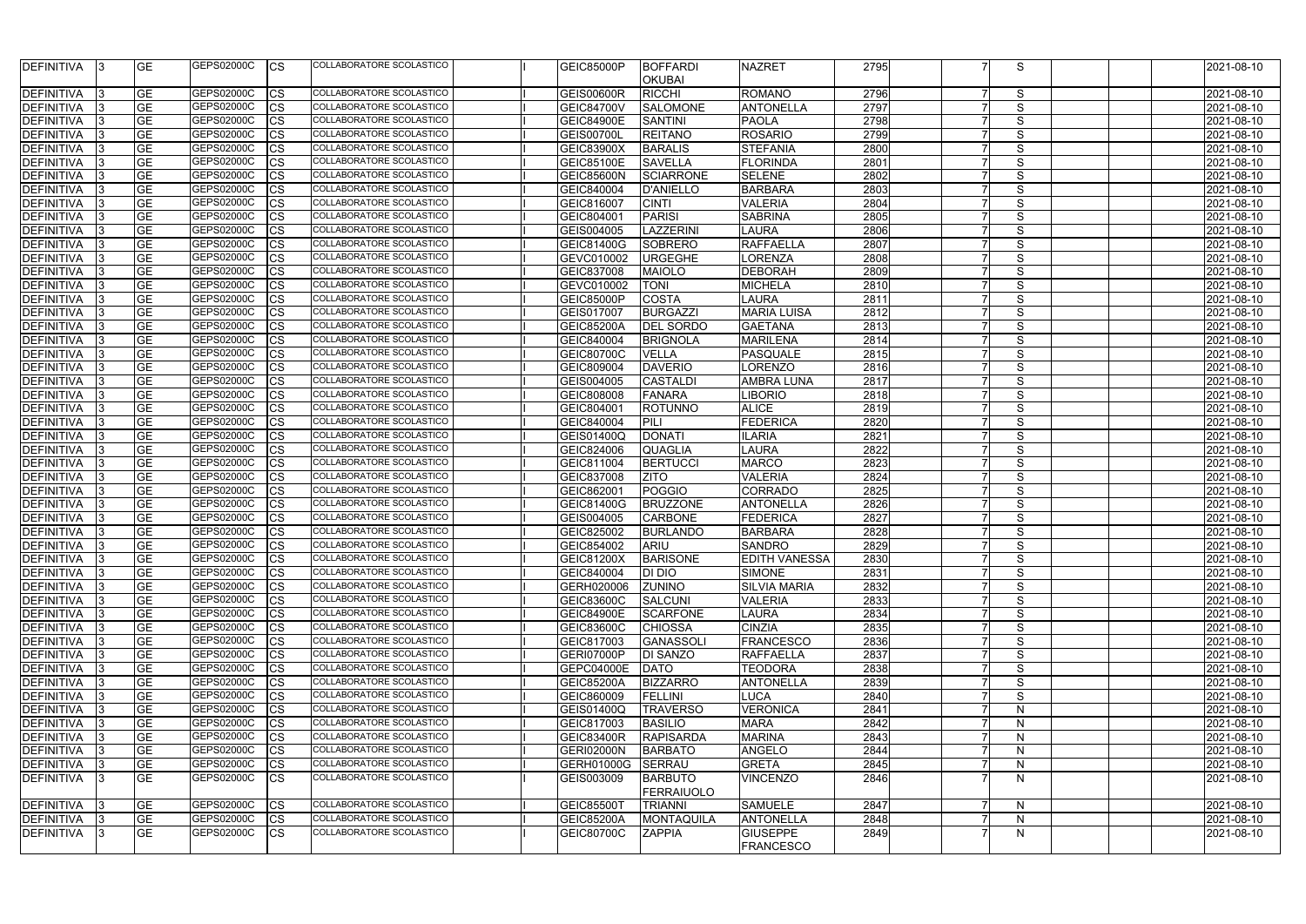| DEFINITIVA                             | GE                       | GEPS02000C | ICS                    | COLLABORATORE SCOLASTICO        | GEIC85000P               | <b>BOFFARDI</b>                    | <b>NAZRET</b>                | 2795         | S      |  | 2021-08-10               |
|----------------------------------------|--------------------------|------------|------------------------|---------------------------------|--------------------------|------------------------------------|------------------------------|--------------|--------|--|--------------------------|
|                                        |                          |            |                        |                                 |                          | <b>OKUBAI</b>                      |                              |              |        |  |                          |
| <b>DEFINITIVA</b>                      | GE                       | GEPS02000C | CS                     | COLLABORATORE SCOLASTICO        | GEIS00600R               | <b>RICCHI</b>                      | <b>ROMANO</b>                | 2796         | S      |  | 2021-08-10               |
| <b>DEFINITIVA</b>                      | GE                       | GEPS02000C | CS                     | COLLABORATORE SCOLASTICO        | <b>GEIC84700V</b>        | <b>SALOMONE</b>                    | ANTONELLA                    | 2797         | S      |  | 2021-08-10               |
| <b>DEFINITIVA</b>                      | GE                       | GEPS02000C | <b>CS</b>              | COLLABORATORE SCOLASTICO        | <b>GEIC84900E</b>        | <b>SANTINI</b>                     | <b>PAOLA</b>                 | 2798         | S      |  | 2021-08-10               |
| <b>DEFINITIVA</b>                      | GЕ                       | GEPS02000C | CS                     | COLLABORATORE SCOLASTICO        | <b>GEIS00700L</b>        | <b>REITANO</b>                     | <b>ROSARIO</b>               | 2799         | S      |  | 2021-08-10               |
| <b>DEFINITIVA</b>                      | GЕ                       | GEPS02000C | CS                     | COLLABORATORE SCOLASTICO        | GEIC83900X               | <b>BARALIS</b>                     | <b>STEFANIA</b>              | 2800         | S      |  | 2021-08-10               |
| <b>DEFINITIVA</b>                      | GЕ                       | GEPS02000C | CS                     | COLLABORATORE SCOLASTICO        | <b>GEIC85100E</b>        | <b>SAVELLA</b>                     | <b>FLORINDA</b>              | 2801         | S      |  | 2021-08-10               |
| DEFINITIVA                             | GE                       | GEPS02000C | CS                     | COLLABORATORE SCOLASTICO        | <b>GEIC85600N</b>        | <b>SCIARRONE</b>                   | <b>SELENE</b>                | 2802         | S      |  | 2021-08-10               |
| DEFINITIVA                             | GE                       | GEPS02000C | CS                     | COLLABORATORE SCOLASTICO        | GEIC840004               | <b>D'ANIELLO</b>                   | <b>BARBARA</b>               | 2803         | S      |  | 2021-08-10               |
| DEFINITIVA                             | GE                       | GEPS02000C | CS                     | COLLABORATORE SCOLASTICO        | GEIC816007               | <b>CINTI</b>                       | <b>VALERIA</b>               | 2804         | S      |  | 2021-08-10               |
| <b>DEFINITIVA</b>                      | GE                       | GEPS02000C | CS                     | COLLABORATORE SCOLASTICO        | GEIC804001               | <b>PARISI</b>                      | <b>SABRINA</b>               | 2805         | S      |  | 2021-08-10               |
| <b>DEFINITIVA</b>                      | GE                       | GEPS02000C | CS                     | COLLABORATORE SCOLASTICO        | GEIS004005               | LAZZERINI                          | <b>LAURA</b>                 | 2806         | S      |  | 2021-08-10               |
| <b>DEFINITIVA</b>                      | GE                       | GEPS02000C | CS                     | COLLABORATORE SCOLASTICO        | GEIC81400G               | <b>SOBRERO</b>                     | RAFFAELLA                    | 2807         | S      |  | 2021-08-10               |
| <b>DEFINITIVA</b>                      | GE                       | GEPS02000C | CS                     | COLLABORATORE SCOLASTICO        | GEVC010002               | <b>URGEGHE</b>                     | LORENZA                      | 2808         | S      |  | 2021-08-10               |
| DEFINITIVA                             | <b>GE</b>                | GEPS02000C | CS                     | COLLABORATORE SCOLASTICO        | GEIC837008               | <b>MAIOLO</b>                      | <b>DEBORAH</b>               | 2809         | S      |  | 2021-08-10               |
| DEFINITIVA                             | GE                       | GEPS02000C | <b>CS</b>              | COLLABORATORE SCOLASTICO        | GEVC010002               | <b>TONI</b>                        | <b>MICHELA</b>               | 2810         | S      |  | 2021-08-10               |
| <b>DEFINITIVA</b>                      | GЕ                       | GEPS02000C | CS                     | COLLABORATORE SCOLASTICO        | GEIC85000P               | <b>COSTA</b>                       | <b>LAURA</b>                 | 2811         | S      |  | 2021-08-10               |
| <b>DEFINITIVA</b>                      | GE                       | GEPS02000C | <b>CS</b>              | COLLABORATORE SCOLASTICO        | GEIS017007               | <b>BURGAZZI</b>                    | <b>MARIA LUISA</b>           | 2812         | S      |  | 2021-08-10               |
| <b>DEFINITIVA</b>                      | GE                       | GEPS02000C | <b>CS</b>              | <b>COLLABORATORE SCOLASTICO</b> | <b>GEIC85200A</b>        | <b>DEL SORDO</b>                   | <b>GAETANA</b>               | 2813         | S      |  | 2021-08-10               |
| DEFINITIVA                             | GЕ                       | GEPS02000C | CS                     | COLLABORATORE SCOLASTICO        | GEIC840004               | <b>BRIGNOLA</b>                    | <b>MARILENA</b>              | 2814         | S      |  | 2021-08-10               |
| DEFINITIVA                             | <b>GE</b>                | GEPS02000C | <b>CS</b>              | COLLABORATORE SCOLASTICO        | <b>GEIC80700C</b>        | <b>VELLA</b>                       | PASQUALE                     | 2815         | S      |  | 2021-08-10               |
| DEFINITIVA                             | <b>GE</b>                | GEPS02000C | <b>CS</b>              | COLLABORATORE SCOLASTICO        | GEIC809004               | <b>DAVERIO</b>                     | LORENZO                      | 2816         | S      |  | 2021-08-10               |
| <b>DEFINITIVA</b>                      | GЕ                       | GEPS02000C | CS                     | COLLABORATORE SCOLASTICO        | GEIS004005               | <b>CASTALD</b>                     | <b>AMBRA LUNA</b>            | 2817         | S      |  | 2021-08-10               |
| <b>DEFINITIVA</b>                      | GE                       | GEPS02000C | CS                     | COLLABORATORE SCOLASTICO        | GEIC808008               | FANARA                             | <b>LIBORIO</b>               | 2818         | S      |  | 2021-08-10               |
| <b>DEFINITIVA</b>                      | GE                       | GEPS02000C | CS                     | COLLABORATORE SCOLASTICO        | GEIC804001               | <b>ROTUNNO</b>                     | <b>ALICE</b>                 | 2819         | S      |  | 2021-08-10               |
| <b>DEFINITIVA</b>                      | GЕ                       | GEPS02000C | CS                     | COLLABORATORE SCOLASTICO        | GEIC840004               | PILI                               | <b>FEDERICA</b>              | 2820         | S      |  | 2021-08-10               |
| <b>DEFINITIVA</b>                      | $\overline{\mathsf{GE}}$ | GEPS02000C | CS                     | COLLABORATORE SCOLASTICO        | GEIS01400Q               | <b>DONATI</b>                      | <b>ILARIA</b>                | 2821         | S      |  | 2021-08-10               |
| <b>DEFINITIVA</b>                      | GE                       | GEPS02000C | <b>CS</b>              | COLLABORATORE SCOLASTICO        | GEIC824006               | <b>QUAGLIA</b>                     | <b>LAURA</b>                 | 2822         | S      |  | 2021-08-10               |
| <b>DEFINITIVA</b>                      | GE                       | GEPS02000C | <b>CS</b>              | COLLABORATORE SCOLASTICO        | GEIC811004               | <b>BERTUCCI</b>                    | <b>MARCO</b>                 | 2823         | S      |  | 2021-08-10               |
| <b>DEFINITIVA</b>                      | GЕ                       | GEPS02000C | CS                     | COLLABORATORE SCOLASTICO        | GEIC837008               | <b>ZITO</b>                        | <b>VALERIA</b>               | 2824         | S      |  | 2021-08-10               |
| <b>DEFINITIVA</b>                      | GE                       | GEPS02000C | CS                     | COLLABORATORE SCOLASTICO        | GEIC862001               | POGGIO                             | <b>CORRADO</b>               | 2825         | S      |  | 2021-08-10               |
| DEFINITIVA                             | GЕ                       | GEPS02000C | CS                     | COLLABORATORE SCOLASTICO        | GEIC81400G               | <b>BRUZZONE</b>                    | <b>ANTONELLA</b>             | 2826         | S      |  | 2021-08-10               |
| DEFINITIVA                             | GE                       | GEPS02000C | CS                     | <b>COLLABORATORE SCOLASTICO</b> | GEIS004005               | <b>CARBONE</b>                     | FEDERICA                     | 2827         | S      |  | 2021-08-10               |
| DEFINITIVA                             | GE                       | GEPS02000C | CS                     | COLLABORATORE SCOLASTICO        | GEIC825002               | <b>BURLANDO</b>                    | <b>BARBARA</b>               | 2828         | S      |  | 2021-08-10               |
| <b>DEFINITIVA</b>                      | <b>GE</b>                | GEPS02000C | <b>CS</b>              | COLLABORATORE SCOLASTICO        | GEIC854002               | ARIU                               | <b>SANDRO</b>                | 2829         | S      |  | 2021-08-10               |
| DEFINITIVA 3                           | <b>GE</b>                | GEPS02000C | <b>CS</b>              | COLLABORATORE SCOLASTICO        | GEIC81200X               | <b>BARISONE</b>                    | <b>EDITH VANESSA</b>         | 2830         | S      |  | 2021-08-10               |
| DEFINITIVA                             | GE                       | GEPS02000C | <b>CS</b>              | COLLABORATORE SCOLASTICO        | GEIC840004               | <b>DI DIO</b>                      | <b>SIMONE</b>                | 2831         | S      |  | 2021-08-10               |
| <b>DEFINITIVA</b>                      | <b>GE</b>                | GEPS02000C | <b>CS</b>              | COLLABORATORE SCOLASTICO        | GERH020006               | <b>ZUNINO</b>                      | <b>SILVIA MARIA</b>          | 2832         | S      |  | 2021-08-10               |
| DEFINITIVA                             | <b>GE</b>                | GEPS02000C | <b>CS</b>              | COLLABORATORE SCOLASTICO        | <b>GEIC83600C</b>        | <b>SALCUNI</b>                     | <b>VALERIA</b>               | 2833         | S      |  | 2021-08-10               |
| <b>DEFINITIVA</b>                      | <b>GE</b>                | GEPS02000C | <b>CS</b>              | COLLABORATORE SCOLASTICO        | <b>GEIC84900E</b>        | <b>SCARFONE</b>                    | <b>LAURA</b>                 | 2834         | S      |  | 2021-08-10               |
| <b>DEFINITIVA</b>                      | <b>GE</b>                | GEPS02000C | <b>CS</b>              | COLLABORATORE SCOLASTICO        | <b>GEIC83600C</b>        | <b>CHIOSSA</b>                     | <b>CINZIA</b>                | 2835         | S      |  | 2021-08-10               |
| <b>DEFINITIVA</b>                      | GE                       | GEPS02000C | CS                     | COLLABORATORE SCOLASTICO        | GEIC817003               | GANASSOLI                          | <b>FRANCESCO</b>             | 2836         | S      |  | 2021-08-10               |
| <b>DEFINITIVA</b>                      | GE                       | GEPS02000C | <b>CS</b>              | COLLABORATORE SCOLASTICO        | GERI07000P               | <b>DI SANZO</b>                    | <b>RAFFAELLA</b>             | 2837         | S      |  | 2021-08-10               |
| <b>DEFINITIVA</b>                      | GE                       | GEPS02000C | <b>CS</b>              | COLLABORATORE SCOLASTICO        | <b>GEPC04000E</b>        | DATO                               | <b>TEODORA</b>               | 2838         | S      |  | 2021-08-10               |
| <b>DEFINITIVA</b>                      | <b>GE</b>                | GEPS02000C | <b>CS</b>              | COLLABORATORE SCOLASTICO        | <b>GEIC85200A</b>        | BIZZARRO                           | <b>ANTONELLA</b>             | 2839         | S      |  | 2021-08-10               |
| <b>DEFINITIVA</b>                      | <b>GE</b>                | GEPS02000C | <b>CS</b>              | COLLABORATORE SCOLASTICO        | GEIC860009               | FELLINI                            | <b>LUCA</b>                  | 2840         | S      |  | 2021-08-10               |
|                                        | <b>GE</b>                | GEPS02000C | <b>CS</b>              | COLLABORATORE SCOLASTICO        | <b>GEIS01400Q</b>        | <b>TRAVERSO</b>                    | <b>VERONICA</b>              | 2841         | N      |  | 2021-08-10               |
| DEFINITIVA                             |                          | GEPS02000C |                        | COLLABORATORE SCOLASTICO        |                          |                                    |                              |              |        |  |                          |
| DEFINITIVA                             | <b>GE</b>                | GEPS02000C | <b>CS</b><br><b>CS</b> | COLLABORATORE SCOLASTICO        | GEIC817003<br>GEIC83400R | <b>BASILIO</b><br><b>RAPISARDA</b> | <b>MARA</b><br><b>MARINA</b> | 2842<br>2843 | N      |  | 2021-08-10               |
| <b>DEFINITIVA</b><br><b>DEFINITIVA</b> | <b>GE</b>                | GEPS02000C | <b>CS</b>              | COLLABORATORE SCOLASTICO        | <b>GERI02000N</b>        | <b>BARBATO</b>                     | <b>ANGELO</b>                | 2844         | N<br>N |  | 2021-08-10<br>2021-08-10 |
|                                        | GE                       |            |                        |                                 |                          |                                    |                              |              |        |  |                          |
| DEFINITIVA                             | GE                       | GEPS02000C | <b>CS</b>              | COLLABORATORE SCOLASTICO        | <b>GERH01000G</b>        | SERRAU                             | <b>GRETA</b>                 | 2845         | N      |  | 2021-08-10               |
| <b>DEFINITIVA</b>                      | <b>GE</b>                | GEPS02000C | <b>CS</b>              | COLLABORATORE SCOLASTICO        | GEIS003009               | <b>BARBUTO</b><br>FERRAIUOLO       | <b>VINCENZO</b>              | 2846         | N      |  | 2021-08-10               |
| <b>DEFINITIVA</b>                      | <b>GE</b>                | GEPS02000C | <b>ICS</b>             | COLLABORATORE SCOLASTICO        | <b>GEIC85500T</b>        | <b>TRIANNI</b>                     | <b>SAMUELE</b>               | 2847         | N      |  | 2021-08-10               |
| <b>DEFINITIVA</b>                      | <b>GE</b>                | GEPS02000C | Ics                    | COLLABORATORE SCOLASTICO        | GEIC85200A               | <b>MONTAQUILA</b>                  | <b>ANTONELLA</b>             | 2848         | N      |  | 2021-08-10               |
| <b>DEFINITIVA</b>                      | <b>GE</b><br>13.         | GEPS02000C | Ics                    | COLLABORATORE SCOLASTICO        | <b>GEIC80700C</b>        | <b>ZAPPIA</b>                      | <b>GIUSEPPE</b>              | 2849         | N      |  | 2021-08-10               |
|                                        |                          |            |                        |                                 |                          |                                    | <b>FRANCESCO</b>             |              |        |  |                          |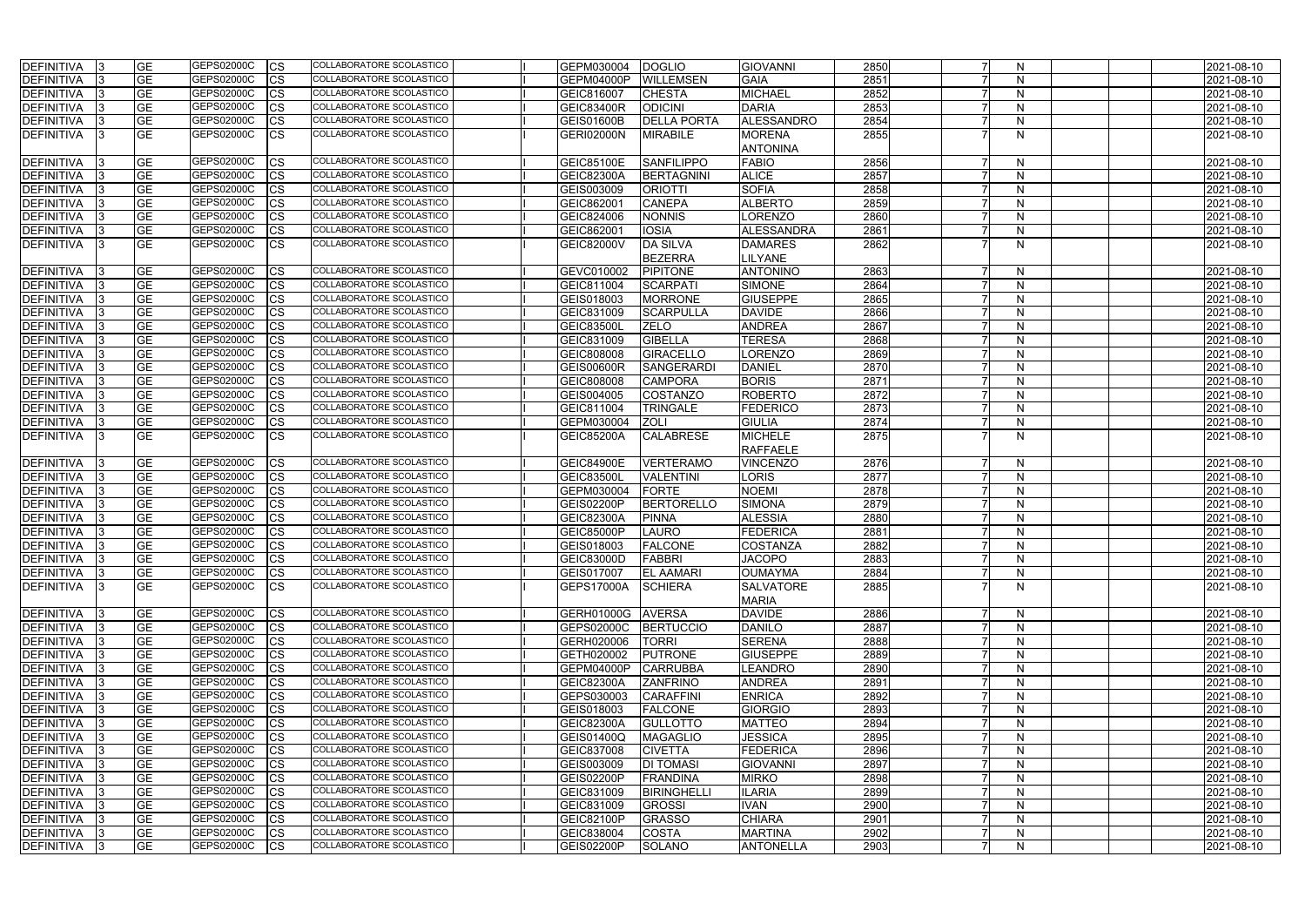| <b>DEFINITIVA</b> |     | GE        | GEPS02000C | <b>CS</b>  | COLLABORATORE SCOLASTICO | GEPM030004        | <b>DOGLIO</b>      | <b>GIOVANNI</b>                  | 2850 | <sub>N</sub> | 2021-08-10 |
|-------------------|-----|-----------|------------|------------|--------------------------|-------------------|--------------------|----------------------------------|------|--------------|------------|
| <b>DEFINITIVA</b> |     | <b>GE</b> | GEPS02000C | <b>CS</b>  | COLLABORATORE SCOLASTICO | GEPM04000P        | <b>WILLEMSEN</b>   | <b>GAIA</b>                      | 2851 | N            | 2021-08-10 |
| <b>DEFINITIVA</b> |     | <b>GE</b> | GEPS02000C | <b>CS</b>  | COLLABORATORE SCOLASTICO | GEIC816007        | <b>CHESTA</b>      | <b>MICHAEL</b>                   | 2852 | N            | 2021-08-10 |
| <b>DEFINITIVA</b> |     | GЕ        | GEPS02000C | CS         | COLLABORATORE SCOLASTICO | GEIC83400R        | <b>ODICINI</b>     | <b>DARIA</b>                     | 2853 | N            | 2021-08-10 |
| <b>DEFINITIVA</b> |     | GЕ        | GEPS02000C | <b>ICS</b> | COLLABORATORE SCOLASTICO | <b>GEIS01600B</b> | <b>DELLA PORTA</b> | ALESSANDRO                       | 2854 | $\mathsf{N}$ | 2021-08-10 |
| <b>DEFINITIVA</b> |     | GE        | GEPS02000C | <b>CS</b>  | COLLABORATORE SCOLASTICO | GERI02000N        | <b>MIRABILE</b>    | <b>MORENA</b><br><b>ANTONINA</b> | 2855 | N            | 2021-08-10 |
| <b>DEFINITIVA</b> |     | <b>GE</b> | GEPS02000C | <b>ICS</b> | COLLABORATORE SCOLASTICO | <b>GEIC85100E</b> | <b>SANFILIPPO</b>  | <b>FABIO</b>                     | 2856 | N            | 2021-08-10 |
| <b>DEFINITIVA</b> |     | <b>GE</b> | GEPS02000C | <b>ICS</b> | COLLABORATORE SCOLASTICO | <b>GEIC82300A</b> | BERTAGNINI         | <b>ALICE</b>                     | 2857 | N            | 2021-08-10 |
| <b>DEFINITIVA</b> |     | <b>GE</b> | GEPS02000C | CS         | COLLABORATORE SCOLASTICO | GEIS003009        | <b>ORIOTTI</b>     | <b>SOFIA</b>                     | 2858 | N            | 2021-08-10 |
| <b>DEFINITIVA</b> |     | <b>GE</b> | GEPS02000C | <b>CS</b>  | COLLABORATORE SCOLASTICO | GEIC862001        | <b>CANEPA</b>      | <b>ALBERTO</b>                   | 2859 | N            | 2021-08-10 |
| <b>DEFINITIVA</b> |     | GЕ        | GEPS02000C | <b>CS</b>  | COLLABORATORE SCOLASTICO | GEIC824006        | <b>NONNIS</b>      | <b>LORENZO</b>                   | 2860 | N            | 2021-08-10 |
| DEFINITIVA        |     | GЕ        | GEPS02000C | CS         | COLLABORATORE SCOLASTICO | GEIC862001        | <b>IOSIA</b>       | <b>ALESSANDRA</b>                | 2861 | N            | 2021-08-10 |
| DEFINITIVA        |     | <b>GE</b> | GEPS02000C | CS         | COLLABORATORE SCOLASTICO | <b>GEIC82000V</b> | <b>DA SILVA</b>    | <b>DAMARES</b>                   | 2862 | N            | 2021-08-10 |
|                   |     |           |            |            |                          |                   | <b>BEZERRA</b>     | <b>LILYANE</b>                   |      |              |            |
| <b>DEFINITIVA</b> |     | GE        | GEPS02000C | <b>ICS</b> | COLLABORATORE SCOLASTICO | GEVC010002        | <b>PIPITONE</b>    | <b>ANTONINO</b>                  | 2863 | N.           | 2021-08-10 |
| <b>DEFINITIVA</b> |     | GЕ        | GEPS02000C | <b>CS</b>  | COLLABORATORE SCOLASTICO | GEIC811004        | <b>SCARPATI</b>    | <b>SIMONE</b>                    | 2864 | N            | 2021-08-10 |
| <b>DEFINITIVA</b> |     | GЕ        | GEPS02000C | <b>CS</b>  | COLLABORATORE SCOLASTICO | GEIS018003        | <b>MORRONE</b>     | <b>GIUSEPPE</b>                  | 2865 | N            | 2021-08-10 |
| <b>DEFINITIVA</b> |     | GЕ        | GEPS02000C | <b>CS</b>  | COLLABORATORE SCOLASTICO | GEIC831009        | <b>SCARPULLA</b>   | <b>DAVIDE</b>                    | 2866 | N            | 2021-08-10 |
| DEFINITIVA        |     | GE        | GEPS02000C | <b>CS</b>  | COLLABORATORE SCOLASTICO | <b>GEIC83500L</b> | <b>ZELO</b>        | <b>ANDREA</b>                    | 2867 | N            | 2021-08-10 |
| <b>DEFINITIVA</b> |     | <b>GE</b> | GEPS02000C | <b>CS</b>  | COLLABORATORE SCOLASTICO | GEIC831009        | <b>GIBELLA</b>     | <b>TERESA</b>                    | 2868 | N            | 2021-08-10 |
| <b>DEFINITIVA</b> |     | <b>GE</b> | GEPS02000C | <b>CS</b>  | COLLABORATORE SCOLASTICO | GEIC808008        | GIRACELLO          | <b>LORENZO</b>                   | 2869 | N            | 2021-08-10 |
| <b>DEFINITIVA</b> |     | <b>GE</b> | GEPS02000C | <b>CS</b>  | COLLABORATORE SCOLASTICO | <b>GEIS00600R</b> | SANGERARDI         | DANIEL                           | 2870 | N            | 2021-08-10 |
| <b>DEFINITIVA</b> |     | <b>GE</b> | GEPS02000C | <b>CS</b>  | COLLABORATORE SCOLASTICO | GEIC808008        | <b>CAMPORA</b>     | <b>BORIS</b>                     | 2871 | N            | 2021-08-10 |
| <b>DEFINITIVA</b> |     | GЕ        | GEPS02000C | CS         | COLLABORATORE SCOLASTICO | GEIS004005        | COSTANZO           | <b>ROBERTO</b>                   | 2872 | N            | 2021-08-10 |
| <b>DEFINITIVA</b> |     | GE        | GEPS02000C | CS         | COLLABORATORE SCOLASTICO | GEIC811004        | <b>TRINGALE</b>    | <b>FEDERICO</b>                  | 2873 | N            | 2021-08-10 |
| <b>DEFINITIVA</b> |     | <b>GE</b> | GEPS02000C | <b>CS</b>  | COLLABORATORE SCOLASTICO | GEPM030004        | <b>ZOLI</b>        | <b>GIULIA</b>                    | 2874 | N            | 2021-08-10 |
| <b>DEFINITIVA</b> |     | <b>GE</b> | GEPS02000C | <b>CS</b>  | COLLABORATORE SCOLASTICO | <b>GEIC85200A</b> | <b>CALABRESE</b>   | <b>MICHELE</b>                   | 2875 | N            | 2021-08-10 |
|                   |     |           |            |            |                          |                   |                    | <b>RAFFAELE</b>                  |      |              |            |
| <b>DEFINITIVA</b> |     | GE        | GEPS02000C | <b>ICS</b> | COLLABORATORE SCOLASTICO | <b>GEIC84900E</b> | <b>VERTERAMO</b>   | <b>VINCENZO</b>                  | 2876 | N            | 2021-08-10 |
| <b>DEFINITIVA</b> |     | GЕ        | GEPS02000C | <b>ICS</b> | COLLABORATORE SCOLASTICO | <b>GEIC83500L</b> | <b>VALENTINI</b>   | <b>LORIS</b>                     | 2877 | N            | 2021-08-10 |
| <b>DEFINITIVA</b> |     | GE        | GEPS02000C | <b>CS</b>  | COLLABORATORE SCOLASTICO | GEPM030004        | <b>FORTE</b>       | <b>NOEMI</b>                     | 2878 | N            | 2021-08-10 |
| <b>DEFINITIVA</b> |     | <b>GE</b> | GEPS02000C | <b>CS</b>  | COLLABORATORE SCOLASTICO | <b>GEIS02200P</b> | <b>BERTORELLO</b>  | <b>SIMONA</b>                    | 2879 | N            | 2021-08-10 |
| <b>DEFINITIVA</b> |     | <b>GE</b> | GEPS02000C | <b>CS</b>  | COLLABORATORE SCOLASTICO | <b>GEIC82300A</b> | PINNA              | <b>ALESSIA</b>                   | 2880 | N            | 2021-08-10 |
| <b>DEFINITIVA</b> |     | GЕ        | GEPS02000C | CS         | COLLABORATORE SCOLASTICO | <b>GEIC85000P</b> | <b>LAURO</b>       | <b>FEDERICA</b>                  | 2881 | N            | 2021-08-10 |
| <b>DEFINITIVA</b> |     | <b>GE</b> | GEPS02000C | <b>ICS</b> | COLLABORATORE SCOLASTICO | GEIS018003        | <b>FALCONE</b>     | <b>COSTANZA</b>                  | 2882 | N            | 2021-08-10 |
| DEFINITIVA 3      |     | GE        | GEPS02000C | <b>CS</b>  | COLLABORATORE SCOLASTICO | <b>GEIC83000D</b> | FABBRI             | <b>JACOPO</b>                    | 2883 | N            | 2021-08-10 |
| DEFINITIVA 3      |     | <b>GE</b> | GEPS02000C | <b>CS</b>  | COLLABORATORE SCOLASTICO | GEIS017007        | <b>EL AAMARI</b>   | <b>OUMAYMA</b>                   | 2884 | N            | 2021-08-10 |
| DEFINITIVA        | 13. | <b>GE</b> | GEPS02000C | <b>CS</b>  | COLLABORATORE SCOLASTICO | <b>GEPS17000A</b> | <b>SCHIERA</b>     | <b>SALVATORE</b>                 | 2885 | N            | 2021-08-10 |
|                   |     |           |            |            |                          |                   |                    | <b>MARIA</b>                     |      |              |            |
| DEFINITIVA        |     | <b>GE</b> | GEPS02000C | <b>CS</b>  | COLLABORATORE SCOLASTICO | <b>GERH01000G</b> | <b>AVERSA</b>      | <b>DAVIDE</b>                    | 2886 | N            | 2021-08-10 |
| DEFINITIVA        |     | <b>GE</b> | GEPS02000C | <b>CS</b>  | COLLABORATORE SCOLASTICO | GEPS02000C        | BERTUCCIO          | <b>DANILO</b>                    | 2887 | N            | 2021-08-10 |
| <b>DEFINITIVA</b> |     | GE        | GEPS02000C | <b>ICS</b> | COLLABORATORE SCOLASTICO | GERH020006        | <b>TORRI</b>       | <b>SERENA</b>                    | 2888 | N            | 2021-08-10 |
| <b>DEFINITIVA</b> |     | GE        | GEPS02000C | <b>ICS</b> | COLLABORATORE SCOLASTICO | GETH020002        | <b>PUTRONE</b>     | <b>GIUSEPPE</b>                  | 2889 | N            | 2021-08-10 |
| DEFINITIVA        |     | <b>GE</b> | GEPS02000C | <b>CS</b>  | COLLABORATORE SCOLASTICO | GEPM04000P        | <b>CARRUBBA</b>    | <b>LEANDRO</b>                   | 2890 | N            | 2021-08-10 |
| <b>DEFINITIVA</b> |     | <b>GE</b> | GEPS02000C | <b>CS</b>  | COLLABORATORE SCOLASTICO | <b>GEIC82300A</b> | <b>ZANFRINO</b>    | <b>ANDREA</b>                    | 2891 | N            | 2021-08-10 |
| <b>DEFINITIVA</b> |     | <b>GE</b> | GEPS02000C | <b>ICS</b> | COLLABORATORE SCOLASTICO | GEPS030003        | <b>CARAFFINI</b>   | <b>ENRICA</b>                    | 2892 | N            | 2021-08-10 |
| DEFINITIVA        |     | <b>GE</b> | GEPS02000C | <b>ICS</b> | COLLABORATORE SCOLASTICO | GEIS018003        | <b>FALCONE</b>     | GIORGIO                          | 2893 | N            | 2021-08-10 |
| DEFINITIVA        |     | <b>GE</b> | GEPS02000C | <b>ICS</b> | COLLABORATORE SCOLASTICO | <b>GEIC82300A</b> | <b>GULLOTTO</b>    | <b>MATTEO</b>                    | 2894 | N            | 2021-08-10 |
| <b>DEFINITIVA</b> |     | GЕ        | GEPS02000C | <b>CS</b>  | COLLABORATORE SCOLASTICO | <b>GEIS01400Q</b> | <b>MAGAGLIO</b>    | <b>JESSICA</b>                   | 2895 | N            | 2021-08-10 |
| DEFINITIVA 3      |     | <b>GE</b> | GEPS02000C | <b>CS</b>  | COLLABORATORE SCOLASTICO | GEIC837008        | <b>CIVETTA</b>     | FEDERICA                         | 2896 | N            | 2021-08-10 |
| DEFINITIVA 3      |     | <b>GE</b> | GEPS02000C | <b>CS</b>  | COLLABORATORE SCOLASTICO | GEIS003009        | <b>DI TOMASI</b>   | <b>GIOVANNI</b>                  | 2897 | N            | 2021-08-10 |
| DEFINITIVA        |     | <b>GE</b> | GEPS02000C | <b>ICS</b> | COLLABORATORE SCOLASTICO | GEIS02200P        | <b>FRANDINA</b>    | <b>MIRKO</b>                     | 2898 | N            | 2021-08-10 |
| DEFINITIVA        |     | GЕ        | GEPS02000C | <b>ICS</b> | COLLABORATORE SCOLASTICO | GEIC831009        | <b>BIRINGHELLI</b> | <b>ILARIA</b>                    | 2899 | N            | 2021-08-10 |
| <b>DEFINITIVA</b> |     | GЕ        | GEPS02000C | <b>ICS</b> | COLLABORATORE SCOLASTICO | GEIC831009        | <b>GROSSI</b>      | <b>IVAN</b>                      | 2900 | N            | 2021-08-10 |
| <b>DEFINITIVA</b> |     | GЕ        | GEPS02000C | ICS.       | COLLABORATORE SCOLASTICO | GEIC82100P        | <b>GRASSO</b>      | <b>CHIARA</b>                    | 2901 | N            | 2021-08-10 |
| DEFINITIVA        |     | GE        | GEPS02000C | <b>CS</b>  | COLLABORATORE SCOLASTICO | GEIC838004        | <b>COSTA</b>       | <b>MARTINA</b>                   | 2902 | N            | 2021-08-10 |
| DEFINITIVA        | -13 | <b>GE</b> | GEPS02000C | <b>CS</b>  | COLLABORATORE SCOLASTICO | GEIS02200P        | <b>SOLANO</b>      | <b>ANTONELLA</b>                 | 2903 | N            | 2021-08-10 |
|                   |     |           |            |            |                          |                   |                    |                                  |      |              |            |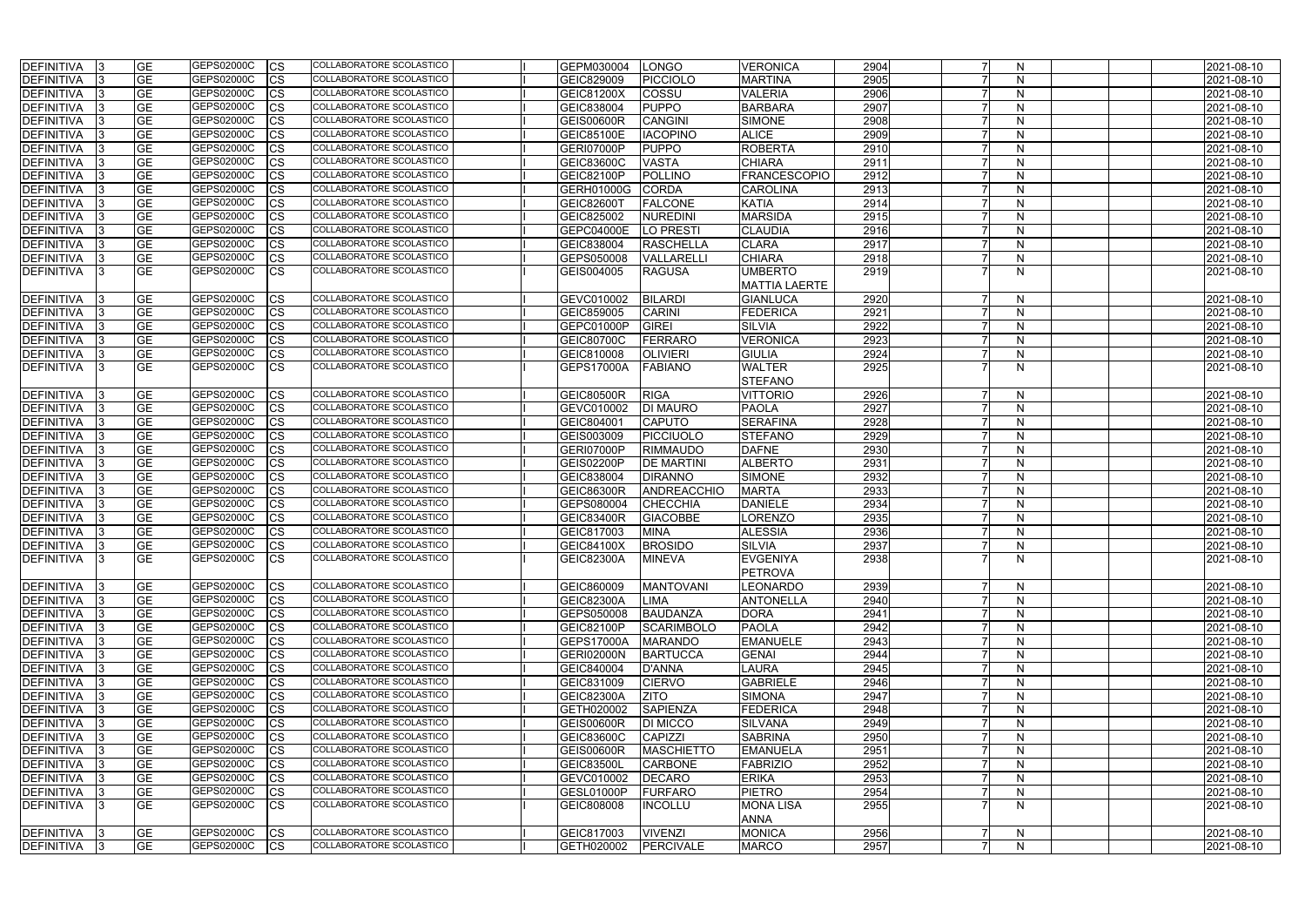| <b>DEFINITIVA</b> | <b>GE</b> | GEPS02000C | <b>CS</b>   | COLLABORATORE SCOLASTICO        | GEPM030004        | <b>LONGO</b>      | <b>VERONICA</b>                 | 2904 | N            | 2021-08-10 |
|-------------------|-----------|------------|-------------|---------------------------------|-------------------|-------------------|---------------------------------|------|--------------|------------|
| <b>DEFINITIVA</b> | <b>GE</b> | GEPS02000C | <b>CS</b>   | COLLABORATORE SCOLASTICO        | GEIC829009        | <b>PICCIOLO</b>   | <b>MARTINA</b>                  | 2905 | N            | 2021-08-10 |
| <b>DEFINITIVA</b> | <b>GE</b> | GEPS02000C | CS          | COLLABORATORE SCOLASTICO        | <b>GEIC81200X</b> | <b>COSSU</b>      | <b>VALERIA</b>                  | 2906 | N            | 2021-08-10 |
| <b>DEFINITIVA</b> | <b>GE</b> | GEPS02000C | CS          | COLLABORATORE SCOLASTICO        | GEIC838004        | <b>PUPPO</b>      | <b>BARBARA</b>                  | 2907 | N            | 2021-08-10 |
| DEFINITIVA        | GE        | GEPS02000C | <b>CS</b>   | COLLABORATORE SCOLASTICO        | <b>GEIS00600R</b> | <b>CANGINI</b>    | <b>SIMONE</b>                   | 2908 | N            | 2021-08-10 |
| <b>DEFINITIVA</b> | <b>GE</b> | GEPS02000C | <b>CS</b>   | COLLABORATORE SCOLASTICO        | <b>GEIC85100E</b> | <b>IACOPINO</b>   | <b>ALICE</b>                    | 2909 | N            | 2021-08-10 |
| DEFINITIVA        | <b>GE</b> | GEPS02000C | <b>CS</b>   | COLLABORATORE SCOLASTICO        | <b>GERI07000P</b> | <b>PUPPO</b>      | <b>ROBERTA</b>                  | 2910 | N            | 2021-08-10 |
| <b>DEFINITIVA</b> | <b>GE</b> | GEPS02000C | <b>CS</b>   | COLLABORATORE SCOLASTICO        | GEIC83600C        | <b>VASTA</b>      | <b>CHIARA</b>                   | 2911 | N            | 2021-08-10 |
| <b>DEFINITIVA</b> | <b>GE</b> | GEPS02000C | CS          | COLLABORATORE SCOLASTICO        | <b>GEIC82100P</b> | POLLINO           | <b>FRANCESCOPIO</b>             | 2912 | N            | 2021-08-10 |
| <b>DEFINITIVA</b> | <b>GE</b> | GEPS02000C | CS          | <b>COLLABORATORE SCOLASTICO</b> | GERH01000G        | <b>CORDA</b>      | <b>CAROLINA</b>                 | 2913 | N            | 2021-08-10 |
| <b>DEFINITIVA</b> | GЕ        | GEPS02000C | CS          | COLLABORATORE SCOLASTICO        | GEIC826001        | <b>FALCONE</b>    | <b>KATIA</b>                    | 2914 | N            | 2021-08-10 |
| <b>DEFINITIVA</b> | GE        | GEPS02000C | CS          | COLLABORATORE SCOLASTICO        | GEIC825002        | NUREDINI          | <b>MARSIDA</b>                  | 2915 | N            | 2021-08-10 |
| <b>DEFINITIVA</b> | GE        | GEPS02000C | CS          | COLLABORATORE SCOLASTICO        | GEPC04000E        | <b>LO PRESTI</b>  | <b>CLAUDIA</b>                  | 2916 | N            | 2021-08-10 |
| <b>DEFINITIVA</b> | GE        | GEPS02000C | CS          | COLLABORATORE SCOLASTICO        | GEIC838004        | <b>RASCHELLA</b>  | <b>CLARA</b>                    | 2917 | N            | 2021-08-10 |
| <b>DEFINITIVA</b> | GЕ        | GEPS02000C | CS          | COLLABORATORE SCOLASTICO        | GEPS050008        | VALLARELLI        | <b>CHIARA</b>                   | 2918 | N            | 2021-08-10 |
| <b>DEFINITIVA</b> | <b>GE</b> | GEPS02000C | <b>CS</b>   | COLLABORATORE SCOLASTICO        | GEIS004005        | <b>RAGUSA</b>     | <b>UMBERTO</b>                  | 2919 | N            | 2021-08-10 |
|                   |           |            |             |                                 |                   |                   | <b>MATTIA LAERTE</b>            |      |              |            |
| <b>DEFINITIVA</b> | GЕ        | GEPS02000C | <b>CS</b>   | COLLABORATORE SCOLASTICO        | GEVC010002        | <b>BILARDI</b>    | <b>GIANLUCA</b>                 | 2920 | N            | 2021-08-10 |
| <b>DEFINITIVA</b> | <b>GE</b> | GEPS02000C | <b>CS</b>   | <b>COLLABORATORE SCOLASTICO</b> | GEIC859005        | <b>CARINI</b>     | <b>FEDERICA</b>                 | 2921 | N            | 2021-08-10 |
| <b>DEFINITIVA</b> | <b>GE</b> | GEPS02000C | CS          | COLLABORATORE SCOLASTICO        | GEPC01000P        | <b>GIREI</b>      | <b>SILVIA</b>                   | 2922 | N            | 2021-08-10 |
| <b>DEFINITIVA</b> | <b>GE</b> | GEPS02000C | CS          | COLLABORATORE SCOLASTICO        | <b>GEIC80700C</b> | FERRARO           | <b>VERONICA</b>                 | 2923 | N            | 2021-08-10 |
| <b>DEFINITIVA</b> | <b>GE</b> | GEPS02000C | CS          | COLLABORATORE SCOLASTICO        | GEIC810008        | <b>OLIVIERI</b>   | <b>GIULIA</b>                   | 2924 | N            | 2021-08-10 |
| DEFINITIVA        | GE        | GEPS02000C | <b>CS</b>   | COLLABORATORE SCOLASTICO        | <b>GEPS17000A</b> | <b>FABIANO</b>    | <b>WALTER</b>                   | 2925 | N            | 2021-08-10 |
|                   |           |            |             |                                 |                   |                   | <b>STEFANO</b>                  |      |              |            |
| <b>DEFINITIVA</b> | <b>GE</b> | GEPS02000C | CS          | COLLABORATORE SCOLASTICO        | <b>GEIC80500R</b> | <b>RIGA</b>       | <b>VITTORIO</b>                 | 2926 | N            | 2021-08-10 |
| <b>DEFINITIVA</b> | GE        | GEPS02000C | <b>CS</b>   | COLLABORATORE SCOLASTICO        | GEVC010002        | <b>DI MAURO</b>   | <b>PAOLA</b>                    | 2927 | N            | 2021-08-10 |
| <b>DEFINITIVA</b> | GЕ        | GEPS02000C | CS          | COLLABORATORE SCOLASTICO        | GEIC804001        | <b>CAPUTO</b>     | <b>SERAFINA</b>                 | 2928 | N            | 2021-08-10 |
| <b>DEFINITIVA</b> | <b>GE</b> | GEPS02000C | <b>CS</b>   | COLLABORATORE SCOLASTICO        | GEIS003009        | PICCIUOLO         | <b>STEFANO</b>                  | 2929 | N            | 2021-08-10 |
| <b>DEFINITIVA</b> | GЕ        | GEPS02000C | <b>CS</b>   | COLLABORATORE SCOLASTICO        | <b>GERI07000P</b> | <b>RIMMAUDO</b>   | <b>DAFNE</b>                    | 2930 | N            | 2021-08-10 |
| <b>DEFINITIVA</b> | GE        | GEPS02000C | <b>CS</b>   | COLLABORATORE SCOLASTICO        | <b>GEIS02200P</b> | <b>DE MARTINI</b> | <b>ALBERTO</b>                  | 2931 | N            | 2021-08-10 |
| <b>DEFINITIVA</b> | <b>GE</b> | GEPS02000C | <b>CS</b>   | COLLABORATORE SCOLASTICO        | GEIC838004        | <b>DIRANNO</b>    | <b>SIMONE</b>                   | 2932 | N            | 2021-08-10 |
| <b>DEFINITIVA</b> | GE        | GEPS02000C | <b>CS</b>   | COLLABORATORE SCOLASTICO        | GEIC86300R        | ANDREACCHIO       | <b>MARTA</b>                    | 2933 | N            | 2021-08-10 |
| <b>DEFINITIVA</b> | GE        | GEPS02000C | <b>CS</b>   | COLLABORATORE SCOLASTICO        | GEPS080004        | <b>CHECCHIA</b>   | <b>DANIELE</b>                  | 2934 | N            | 2021-08-10 |
| <b>DEFINITIVA</b> | <b>GE</b> | GEPS02000C | <b>CS</b>   | COLLABORATORE SCOLASTICO        | <b>GEIC83400R</b> | <b>GIACOBBE</b>   | <b>LORENZO</b>                  | 2935 | N            | 2021-08-10 |
| <b>DEFINITIVA</b> | GЕ        | GEPS02000C | CS          | COLLABORATORE SCOLASTICO        | GEIC817003        | <b>MINA</b>       | <b>ALESSIA</b>                  | 2936 | N            | 2021-08-10 |
| <b>DEFINITIVA</b> | <b>GE</b> | GEPS02000C | CS          | COLLABORATORE SCOLASTICO        | <b>GEIC84100X</b> | <b>BROSIDO</b>    | <b>SILVIA</b>                   | 2937 | N            | 2021-08-10 |
| <b>DEFINITIVA</b> | <b>GE</b> | GEPS02000C | <b>I</b> CS | COLLABORATORE SCOLASTICO        | GEIC82300A        | <b>MINEVA</b>     | <b>EVGENIYA</b>                 | 2938 | N.           | 2021-08-10 |
|                   |           |            |             |                                 |                   |                   | <b>PETROVA</b>                  |      |              |            |
| DEFINITIVA        | <b>GE</b> | GEPS02000C | <b>ICS</b>  | COLLABORATORE SCOLASTICO        | GEIC860009        | <b>MANTOVANI</b>  | <b>LEONARDO</b>                 | 2939 | N            | 2021-08-10 |
| <b>DEFINITIVA</b> | <b>GE</b> | GEPS02000C | <b>ICS</b>  | COLLABORATORE SCOLASTICO        | <b>GEIC82300A</b> | <b>LIMA</b>       | <b>ANTONELLA</b>                | 2940 | N            | 2021-08-10 |
| <b>DEFINITIVA</b> | <b>GE</b> | GEPS02000C | <b>CS</b>   | COLLABORATORE SCOLASTICO        | GEPS050008        | BAUDANZA          | <b>DORA</b>                     | 2941 | $\mathsf{N}$ | 2021-08-10 |
| <b>DEFINITIVA</b> | <b>GE</b> | GEPS02000C | <b>CS</b>   | COLLABORATORE SCOLASTICO        | GEIC82100P        | SCARIMBOLO        | <b>PAOLA</b>                    | 2942 | <sub>N</sub> | 2021-08-10 |
| <b>DEFINITIVA</b> | <b>GE</b> | GEPS02000C | <b>CS</b>   | COLLABORATORE SCOLASTICO        | GEPS17000A        | <b>MARANDO</b>    | <b>EMANUELE</b>                 | 2943 | N            | 2021-08-10 |
| <b>DEFINITIVA</b> | <b>GE</b> | GEPS02000C | <b>CS</b>   | COLLABORATORE SCOLASTICO        | <b>GERI02000N</b> | BARTUCCA          | <b>GENAI</b>                    | 2944 | N            | 2021-08-10 |
| <b>DEFINITIVA</b> | <b>GE</b> | GEPS02000C | <b>CS</b>   | COLLABORATORE SCOLASTICO        | GEIC840004        | D'ANNA            | <b>LAURA</b>                    | 2945 | N            | 2021-08-10 |
| <b>DEFINITIVA</b> | <b>GE</b> | GEPS02000C | <b>CS</b>   | COLLABORATORE SCOLASTICO        | GEIC831009        | <b>CIERVO</b>     | <b>GABRIELE</b>                 | 2946 | N            | 2021-08-10 |
| <b>DEFINITIVA</b> | <b>GE</b> | GEPS02000C | <b>CS</b>   | COLLABORATORE SCOLASTICO        | GEIC82300A        | <b>ZITO</b>       | <b>SIMONA</b>                   | 2947 | $\mathsf{N}$ | 2021-08-10 |
| <b>DEFINITIVA</b> | <b>GE</b> | GEPS02000C | <b>CS</b>   | COLLABORATORE SCOLASTICO        | GETH020002        | SAPIENZA          | FEDERICA                        | 2948 | N            | 2021-08-10 |
| <b>DEFINITIVA</b> | <b>GE</b> | GEPS02000C | CS          | COLLABORATORE SCOLASTICO        | <b>GEIS00600R</b> | <b>DI MICCO</b>   | <b>SILVANA</b>                  | 2949 | N            | 2021-08-10 |
| <b>DEFINITIVA</b> | <b>GE</b> | GEPS02000C | <b>CS</b>   | COLLABORATORE SCOLASTICO        | GEIC83600C        | CAPIZZI           | <b>SABRINA</b>                  | 2950 | $\mathsf{N}$ | 2021-08-10 |
| <b>DEFINITIVA</b> | <b>GE</b> | GEPS02000C | <b>CS</b>   | COLLABORATORE SCOLASTICO        | <b>GEIS00600R</b> | <b>MASCHIETTO</b> | <b>EMANUELA</b>                 | 2951 | N            | 2021-08-10 |
| DEFINITIVA        | <b>GE</b> | GEPS02000C | <b>CS</b>   | COLLABORATORE SCOLASTICO        | <b>GEIC83500L</b> | <b>CARBONE</b>    | FABRIZIO                        | 2952 | N            | 2021-08-10 |
| <b>DEFINITIVA</b> | <b>GE</b> | GEPS02000C | <b>ICS</b>  | COLLABORATORE SCOLASTICO        | GEVC010002        | DECARO            | <b>ERIKA</b>                    | 2953 | $\mathsf{N}$ | 2021-08-10 |
| <b>DEFINITIVA</b> | <b>GE</b> | GEPS02000C | <b>ICS</b>  | COLLABORATORE SCOLASTICO        | GESL01000P        | FURFARO           | <b>PIETRO</b>                   | 2954 | N            | 2021-08-10 |
| <b>DEFINITIVA</b> | <b>GE</b> | GEPS02000C | <b>ICS</b>  | COLLABORATORE SCOLASTICO        | GEIC808008        | <b>INCOLLU</b>    | <b>MONA LISA</b><br><b>ANNA</b> | 2955 | N            | 2021-08-10 |
| <b>DEFINITIVA</b> | <b>GE</b> | GEPS02000C | <b>ICS</b>  | COLLABORATORE SCOLASTICO        | GEIC817003        | <b>VIVENZI</b>    | <b>MONICA</b>                   | 2956 | N            | 2021-08-10 |
| <b>DEFINITIVA</b> | <b>GE</b> | GEPS02000C | <b>CS</b>   | COLLABORATORE SCOLASTICO        | GETH020002        | PERCIVALE         | <b>MARCO</b>                    | 2957 | N            | 2021-08-10 |
|                   |           |            |             |                                 |                   |                   |                                 |      |              |            |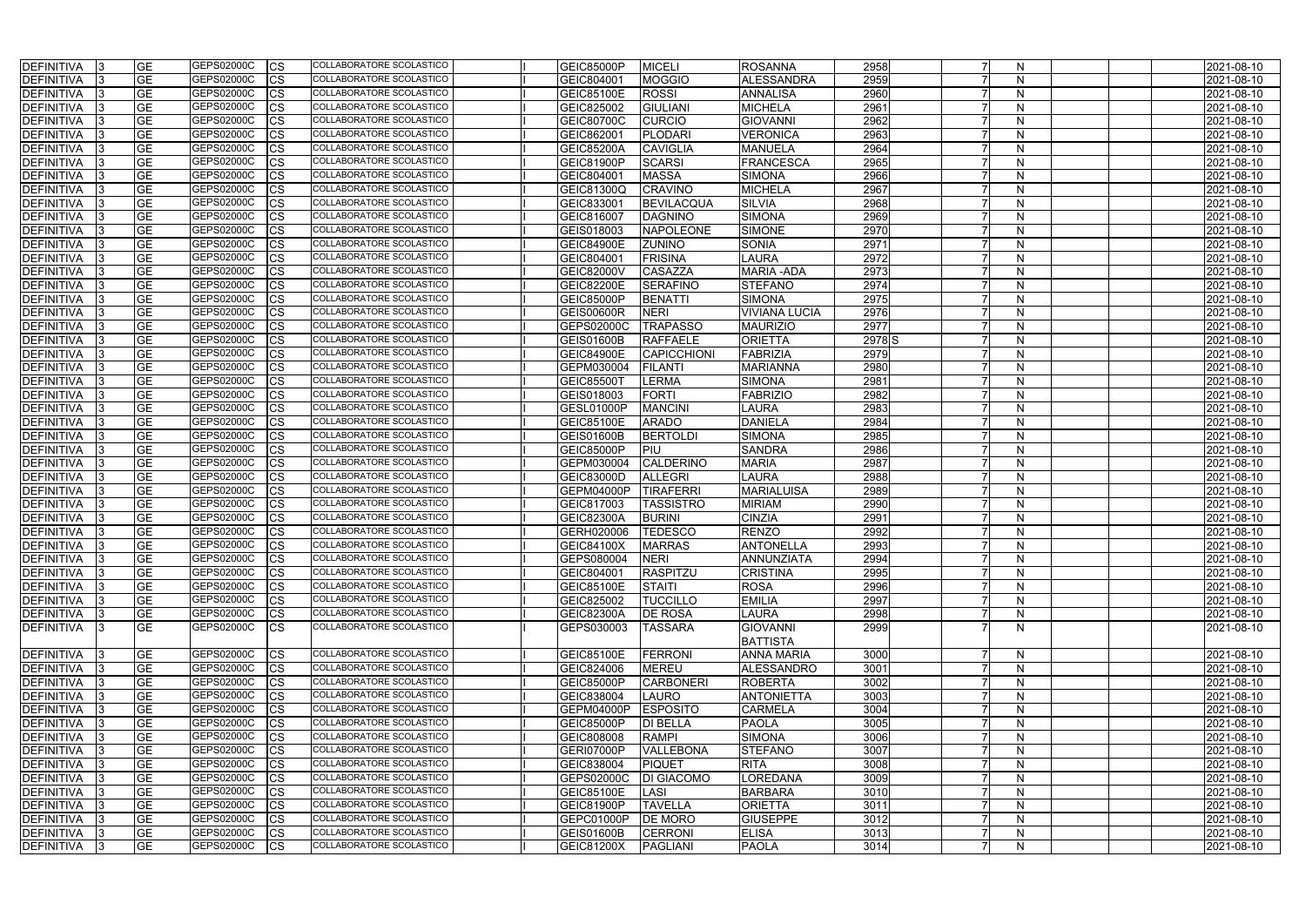| <b>DEFINITIVA</b> | <b>GE</b> | GEPS02000C | <b>CS</b>  | COLLABORATORE SCOLASTICO        | GEIC85000P        | <b>MICELI</b>     | ROSANNA              | 2958              | N            |  | 2021-08-10 |
|-------------------|-----------|------------|------------|---------------------------------|-------------------|-------------------|----------------------|-------------------|--------------|--|------------|
| <b>DEFINITIVA</b> | <b>GE</b> | GEPS02000C | CS         | COLLABORATORE SCOLASTICO        | GEIC804001        | <b>MOGGIO</b>     | <b>ALESSANDRA</b>    | 2959              | N            |  | 2021-08-10 |
| <b>DEFINITIVA</b> | GЕ        | GEPS02000C | <b>CS</b>  | COLLABORATORE SCOLASTICO        | <b>GEIC85100E</b> | <b>ROSSI</b>      | <b>ANNALISA</b>      | 2960              | N            |  | 2021-08-10 |
| <b>DEFINITIVA</b> | GЕ        | GEPS02000C | CS         | COLLABORATORE SCOLASTICO        | GEIC825002        | <b>GIULIANI</b>   | <b>MICHELA</b>       | 2961              | N            |  | 2021-08-10 |
| <b>DEFINITIVA</b> | GЕ        | GEPS02000C | <b>CS</b>  | COLLABORATORE SCOLASTICO        | <b>GEIC80700C</b> | <b>CURCIO</b>     | <b>GIOVANNI</b>      | 2962              | N            |  | 2021-08-10 |
| <b>DEFINITIVA</b> | GЕ        | GEPS02000C | CS         | COLLABORATORE SCOLASTICO        | GEIC862001        | PLODARI           | VERONICA             | 2963              | N            |  | 2021-08-10 |
| DEFINITIVA        | GЕ        | GEPS02000C | СS         | COLLABORATORE SCOLASTICO        | <b>GEIC85200A</b> | <b>CAVIGLIA</b>   | <b>MANUELA</b>       | 2964              | N            |  | 2021-08-10 |
| DEFINITIVA        | GЕ        | GEPS02000C | <b>CS</b>  | COLLABORATORE SCOLASTICO        | <b>GEIC81900P</b> | <b>SCARSI</b>     | <b>FRANCESCA</b>     | 2965              | N            |  | 2021-08-10 |
| <b>DEFINITIVA</b> | <b>GE</b> | GEPS02000C | <b>CS</b>  | COLLABORATORE SCOLASTICO        | GEIC804001        | <b>MASSA</b>      | <b>SIMONA</b>        | 2966              | N            |  | 2021-08-10 |
| <b>DEFINITIVA</b> | GЕ        | GEPS02000C | CS         | COLLABORATORE SCOLASTICO        | GEIC81300Q        | <b>CRAVINO</b>    | <b>MICHELA</b>       | 2967              | N            |  | 2021-08-10 |
| <b>DEFINITIVA</b> | <b>GE</b> | GEPS02000C | CS         | <b>COLLABORATORE SCOLASTICO</b> | GEIC833001        | <b>BEVILACQUA</b> | <b>SILVIA</b>        | 2968              | N            |  | 2021-08-10 |
| <b>DEFINITIVA</b> | GЕ        | GEPS02000C | CS         | COLLABORATORE SCOLASTICO        | GEIC816007        | DAGNINO           | <b>SIMONA</b>        | 2969              | N            |  | 2021-08-10 |
| <b>DEFINITIVA</b> | GЕ        | GEPS02000C | CS         | COLLABORATORE SCOLASTICO        | GEIS018003        | NAPOLEONE         | <b>SIMONE</b>        | 2970              | N            |  | 2021-08-10 |
| <b>DEFINITIVA</b> | GЕ        | GEPS02000C | CS         | COLLABORATORE SCOLASTICO        | <b>GEIC84900E</b> | <b>ZUNINO</b>     | <b>SONIA</b>         | 2971              | N            |  | 2021-08-10 |
| <b>DEFINITIVA</b> | GЕ        | GEPS02000C | <b>CS</b>  | COLLABORATORE SCOLASTICO        | GEIC804001        | <b>FRISINA</b>    | <b>LAURA</b>         | 2972              | N            |  | 2021-08-10 |
| <b>DEFINITIVA</b> | GЕ        | GEPS02000C | <b>CS</b>  | COLLABORATORE SCOLASTICO        | <b>GEIC82000V</b> | <b>CASAZZA</b>    | <b>MARIA - ADA</b>   | 2973              | N            |  | 2021-08-10 |
| <b>DEFINITIVA</b> | GЕ        | GEPS02000C | CS         | COLLABORATORE SCOLASTICO        | <b>GEIC82200E</b> | <b>SERAFINO</b>   | <b>STEFANO</b>       | 2974              | N            |  | 2021-08-10 |
| <b>DEFINITIVA</b> | GЕ        | GEPS02000C | CS         | COLLABORATORE SCOLASTICO        | <b>GEIC85000P</b> | <b>BENATTI</b>    | <b>SIMONA</b>        | 2975              | N            |  | 2021-08-10 |
| <b>DEFINITIVA</b> | GЕ        | GEPS02000C | CS         | <b>COLLABORATORE SCOLASTICO</b> | <b>GEIS00600R</b> | <b>NERI</b>       | <b>VIVIANA LUCIA</b> | 2976              | N            |  | 2021-08-10 |
| <b>DEFINITIVA</b> | GЕ        | GEPS02000C | CS         | COLLABORATORE SCOLASTICO        | GEPS02000C        | <b>TRAPASSO</b>   | MAURIZIO             | 2977              | N            |  | 2021-08-10 |
| DEFINITIVA        | GЕ        | GEPS02000C | CS         | COLLABORATORE SCOLASTICO        | <b>GEIS01600B</b> | <b>RAFFAELE</b>   | <b>ORIETTA</b>       | 2978 <sub>S</sub> | N            |  | 2021-08-10 |
| <b>DEFINITIVA</b> | GЕ        | GEPS02000C | CS         | COLLABORATORE SCOLASTICO        | <b>GEIC84900E</b> | CAPICCHIONI       | FABRIZIA             | 2979              | N            |  | 2021-08-10 |
| <b>DEFINITIVA</b> | GЕ        | GEPS02000C | CS         | COLLABORATORE SCOLASTICO        | GEPM030004        | FILANTI           | <b>MARIANNA</b>      | 2980              | N            |  | 2021-08-10 |
| <b>DEFINITIVA</b> | GЕ        | GEPS02000C | <b>CS</b>  | COLLABORATORE SCOLASTICO        | <b>GEIC85500T</b> | <b>LERMA</b>      | <b>SIMONA</b>        | 2981              | N            |  | 2021-08-10 |
| <b>DEFINITIVA</b> | GЕ        | GEPS02000C | CS         | COLLABORATORE SCOLASTICO        | GEIS018003        | FORTI             | <b>FABRIZIO</b>      | 2982              | N            |  | 2021-08-10 |
| <b>DEFINITIVA</b> | GЕ        | GEPS02000C | CS         | COLLABORATORE SCOLASTICO        | GESL01000P        | <b>MANCINI</b>    | <b>LAURA</b>         | 2983              | N            |  | 2021-08-10 |
| <b>DEFINITIVA</b> | GЕ        | GEPS02000C | CS         | COLLABORATORE SCOLASTICO        | <b>GEIC85100E</b> | <b>ARADO</b>      | <b>DANIELA</b>       | 2984              | N            |  | 2021-08-10 |
| <b>DEFINITIVA</b> | GЕ        | GEPS02000C | CS         | COLLABORATORE SCOLASTICO        | <b>GEIS01600B</b> | <b>BERTOLDI</b>   | <b>SIMONA</b>        | 2985              | N            |  | 2021-08-10 |
| <b>DEFINITIVA</b> | GЕ        | GEPS02000C | CS         | COLLABORATORE SCOLASTICO        | <b>GEIC85000P</b> | PIU               | <b>SANDRA</b>        | 2986              | N            |  | 2021-08-10 |
| <b>DEFINITIVA</b> | GЕ        | GEPS02000C | <b>CS</b>  | COLLABORATORE SCOLASTICO        | GEPM030004        | <b>CALDERINO</b>  | <b>MARIA</b>         | 2987              | N            |  | 2021-08-10 |
| DEFINITIVA        | GЕ        | GEPS02000C | CS         | <b>COLLABORATORE SCOLASTICO</b> | <b>GEIC83000D</b> | <b>ALLEGRI</b>    | <b>LAURA</b>         | 2988              | N            |  | 2021-08-10 |
| <b>DEFINITIVA</b> | GE        | GEPS02000C | CS         | COLLABORATORE SCOLASTICO        | GEPM04000P        | <b>TIRAFERRI</b>  | MARIALUISA           | 2989              | N            |  | 2021-08-10 |
| <b>DEFINITIVA</b> | GЕ        | GEPS02000C | <b>CS</b>  | COLLABORATORE SCOLASTICO        | GEIC817003        | <b>TASSISTRO</b>  | <b>MIRIAM</b>        | 2990              | N            |  | 2021-08-10 |
| DEFINITIVA        | GЕ        | GEPS02000C | CS         | COLLABORATORE SCOLASTICO        | <b>GEIC82300A</b> | <b>BURINI</b>     | <b>CINZIA</b>        | 2991              | N            |  | 2021-08-10 |
| <b>DEFINITIVA</b> | GЕ        | GEPS02000C | CS         | COLLABORATORE SCOLASTICO        | GERH020006        | <b>TEDESCO</b>    | <b>RENZO</b>         | 2992              | N            |  | 2021-08-10 |
| <b>DEFINITIVA</b> | GЕ        | GEPS02000C | <b>ICS</b> | COLLABORATORE SCOLASTICO        | <b>GEIC84100X</b> | <b>MARRAS</b>     | ANTONELLA            | 2993              | N            |  | 2021-08-10 |
| DEFINITIVA 3      | GE        | GEPS02000C | <b>CS</b>  | COLLABORATORE SCOLASTICO        | GEPS080004        | <b>NERI</b>       | ANNUNZIATA           | 2994              | N            |  | 2021-08-10 |
| DEFINITIVA  3     | GE        | GEPS02000C | <b>CS</b>  | COLLABORATORE SCOLASTICO        | GEIC804001        | <b>RASPITZU</b>   | <b>CRISTINA</b>      | 2995              | N            |  | 2021-08-10 |
| DEFINITIVA 3      | <b>GE</b> | GEPS02000C | <b>CS</b>  | COLLABORATORE SCOLASTICO        | <b>GEIC85100E</b> | STAITI            | <b>ROSA</b>          | 2996              | $\mathsf{N}$ |  | 2021-08-10 |
| DEFINITIVA        | <b>GE</b> | GEPS02000C | <b>CS</b>  | COLLABORATORE SCOLASTICO        | GEIC825002        | <b>TUCCILLO</b>   | <b>EMILIA</b>        | 2997              | $\mathsf{N}$ |  | 2021-08-10 |
| <b>DEFINITIVA</b> | <b>GE</b> | GEPS02000C | <b>CS</b>  | COLLABORATORE SCOLASTICO        | <b>GEIC82300A</b> | <b>DE ROSA</b>    | <b>LAURA</b>         | 2998              | N            |  | 2021-08-10 |
| DEFINITIVA        | <b>GE</b> | GEPS02000C | <b>ICS</b> | COLLABORATORE SCOLASTICO        | GEPS030003        | <b>TASSARA</b>    | <b>GIOVANNI</b>      | 2999              | N            |  | 2021-08-10 |
|                   |           |            |            |                                 |                   |                   | <b>BATTISTA</b>      |                   |              |  |            |
| DEFINITIVA        | GE        | GEPS02000C | <b>CS</b>  | COLLABORATORE SCOLASTICO        | <b>GEIC85100E</b> | FERRONI           | <b>ANNA MARIA</b>    | 3000              | N            |  | 2021-08-10 |
| DEFINITIVA        | <b>GE</b> | GEPS02000C | <b>CS</b>  | COLLABORATORE SCOLASTICO        | GEIC824006        | <b>MEREU</b>      | ALESSANDRO           | 3001              | N            |  | 2021-08-10 |
| <b>DEFINITIVA</b> | <b>GE</b> | GEPS02000C | <b>CS</b>  | COLLABORATORE SCOLASTICO        | GEIC85000P        | <b>CARBONERI</b>  | <b>ROBERTA</b>       | 3002              | N            |  | 2021-08-10 |
| <b>DEFINITIVA</b> | <b>GE</b> | GEPS02000C | <b>ICS</b> | COLLABORATORE SCOLASTICO        | GEIC838004        | <b>LAURO</b>      | <b>ANTONIETTA</b>    | 3003              | N            |  | 2021-08-10 |
| DEFINITIVA        | <b>GE</b> | GEPS02000C | <b>ICS</b> | COLLABORATORE SCOLASTICO        | GEPM04000P        | <b>ESPOSITO</b>   | <b>CARMELA</b>       | 3004              | N            |  | 2021-08-10 |
| DEFINITIVA        | <b>GE</b> | GEPS02000C | <b>ICS</b> | COLLABORATORE SCOLASTICO        | GEIC85000P        | <b>DI BELLA</b>   | <b>PAOLA</b>         | 3005              | N            |  | 2021-08-10 |
| <b>DEFINITIVA</b> | GЕ        | GEPS02000C | <b>CS</b>  | COLLABORATORE SCOLASTICO        | GEIC808008        | <b>RAMPI</b>      | <b>SIMONA</b>        | 3006              | N            |  | 2021-08-10 |
| DEFINITIVA 3      | <b>GE</b> | GEPS02000C | <b>CS</b>  | COLLABORATORE SCOLASTICO        | GERI07000P        | <b>VALLEBONA</b>  | <b>STEFANO</b>       | 3007              | N            |  | 2021-08-10 |
| DEFINITIVA 3      | <b>GE</b> | GEPS02000C | <b>CS</b>  | COLLABORATORE SCOLASTICO        | GEIC838004        | PIQUET            | <b>RITA</b>          | 3008              | N            |  | 2021-08-10 |
| DEFINITIVA        | <b>GE</b> | GEPS02000C | <b>ICS</b> | COLLABORATORE SCOLASTICO        | GEPS02000C        | <b>DI GIACOMO</b> | <b>LOREDANA</b>      | 3009              | N            |  | 2021-08-10 |
| DEFINITIVA        | GЕ        | GEPS02000C | <b>ICS</b> | COLLABORATORE SCOLASTICO        | <b>GEIC85100E</b> | LASI              | <b>BARBARA</b>       | 3010              | N            |  | 2021-08-10 |
| <b>DEFINITIVA</b> | GЕ        | GEPS02000C | <b>ICS</b> | COLLABORATORE SCOLASTICO        | GEIC81900P        | <b>TAVELLA</b>    | <b>ORIETTA</b>       | 3011              | $\mathsf{N}$ |  | 2021-08-10 |
| <b>DEFINITIVA</b> | GЕ        | GEPS02000C | ICS.       | COLLABORATORE SCOLASTICO        | GEPC01000P        | <b>DE MORO</b>    | <b>GIUSEPPE</b>      | 3012              | N            |  | 2021-08-10 |
| DEFINITIVA        | GE        | GEPS02000C | <b>CS</b>  | COLLABORATORE SCOLASTICO        | <b>GEIS01600B</b> | <b>CERRONI</b>    | <b>ELISA</b>         | 3013              | N            |  | 2021-08-10 |
| DEFINITIVA<br>-13 | <b>GE</b> | GEPS02000C | <b>CS</b>  | COLLABORATORE SCOLASTICO        | <b>GEIC81200X</b> | PAGLIANI          | <b>PAOLA</b>         | 3014              | N            |  | 2021-08-10 |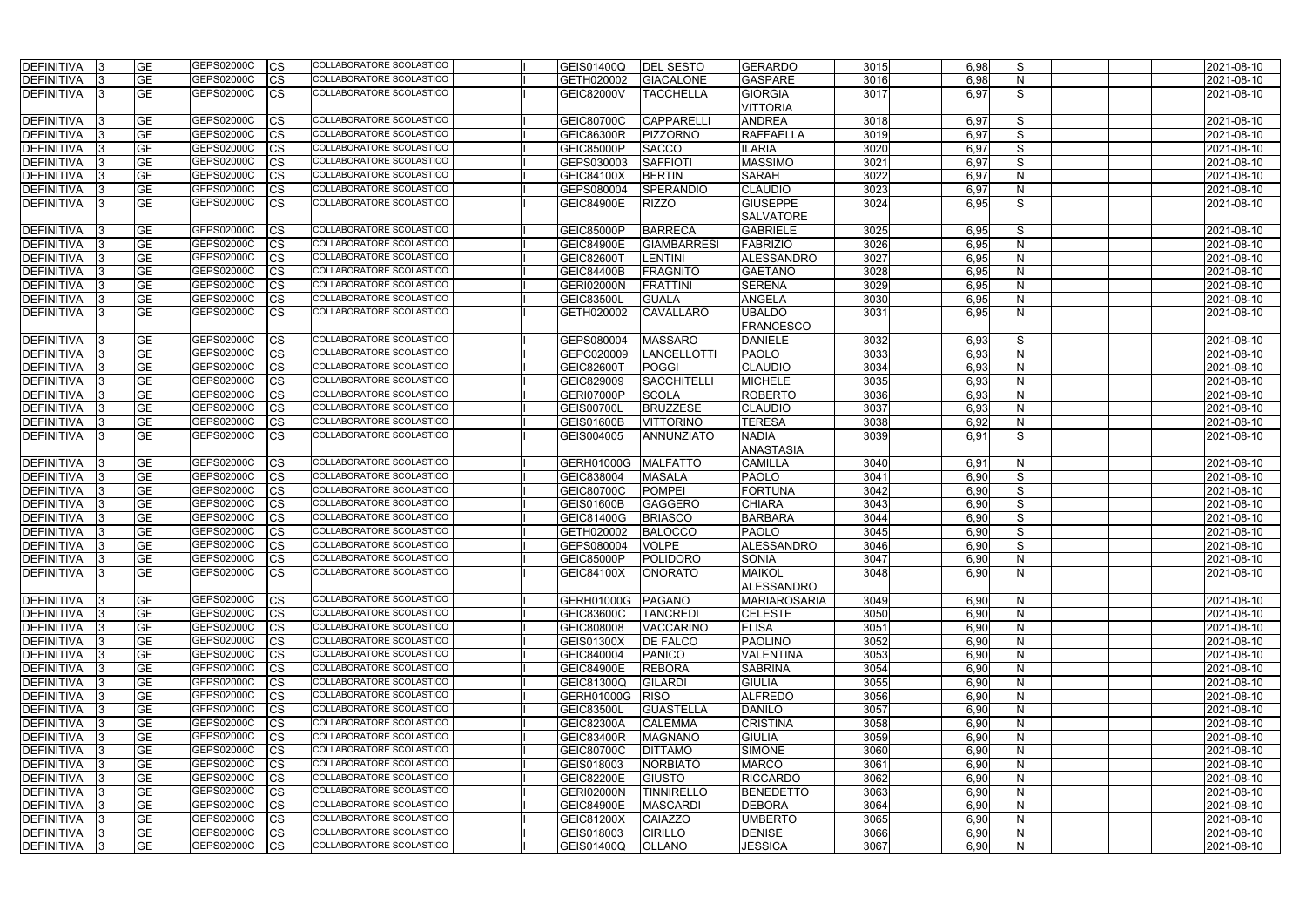| DEFINITIVA 3      |     | <b>GE</b> | GEPS02000C        | <b>CS</b> | COLLABORATORE SCOLASTICO        | <b>GEIS01400Q</b> | <b>DEL SESTO</b>   | GERARDO             | 3015 | 6,98 | S            | 2021-08-10 |
|-------------------|-----|-----------|-------------------|-----------|---------------------------------|-------------------|--------------------|---------------------|------|------|--------------|------------|
| DEFINITIVA        |     | <b>GE</b> | GEPS02000C        | <b>CS</b> | COLLABORATORE SCOLASTICO        | GETH020002        | <b>GIACALONE</b>   | <b>GASPARE</b>      | 3016 | 6,98 | N            | 2021-08-10 |
| <b>DEFINITIVA</b> |     | <b>GE</b> | GEPS02000C        | <b>CS</b> | COLLABORATORE SCOLASTICO        | <b>GEIC82000V</b> | <b>TACCHELLA</b>   | <b>GIORGIA</b>      | 3017 | 6,97 | S            | 2021-08-10 |
|                   |     |           |                   |           |                                 |                   |                    | <b>VITTORIA</b>     |      |      |              |            |
| DEFINITIVA        |     | <b>GE</b> | GEPS02000C        | <b>CS</b> | COLLABORATORE SCOLASTICO        | GEIC80700C        | <b>CAPPARELL</b>   | <b>ANDREA</b>       | 3018 | 6,97 | S            | 2021-08-10 |
| DEFINITIVA        |     | <b>GE</b> | GEPS02000C        | <b>CS</b> | COLLABORATORE SCOLASTICO        | <b>GEIC86300R</b> | PIZZORNO           | <b>RAFFAELLA</b>    | 3019 | 6,97 | S            | 2021-08-10 |
| DEFINITIVA        | -13 | <b>GE</b> | GEPS02000C        | <b>CS</b> | COLLABORATORE SCOLASTICO        | GEIC85000P        | <b>SACCO</b>       | <b>ILARIA</b>       | 3020 | 6,97 | S            | 2021-08-10 |
| <b>DEFINITIVA</b> |     | <b>GE</b> | GEPS02000C        | <b>CS</b> | COLLABORATORE SCOLASTICO        | GEPS030003        | <b>SAFFIOTI</b>    | <b>MASSIMO</b>      | 3021 | 6,97 | S            | 2021-08-10 |
| DEFINITIVA        |     | <b>GE</b> | GEPS02000C        | <b>CS</b> | COLLABORATORE SCOLASTICO        | <b>GEIC84100X</b> | <b>BERTIN</b>      | <b>SARAH</b>        | 3022 | 6,97 | $\mathsf{N}$ | 2021-08-10 |
| DEFINITIVA        |     | <b>GE</b> | GEPS02000C        | <b>CS</b> | COLLABORATORE SCOLASTICO        | GEPS080004        | SPERANDIO          | <b>CLAUDIO</b>      | 3023 | 6,97 | N            | 2021-08-10 |
| DEFINITIVA        |     | <b>GE</b> | GEPS02000C        | <b>CS</b> | COLLABORATORE SCOLASTICO        | <b>GEIC84900E</b> | <b>RIZZO</b>       | <b>GIUSEPPE</b>     | 3024 | 6,95 | S            | 2021-08-10 |
|                   |     |           |                   |           |                                 |                   |                    | <b>SALVATORE</b>    |      |      |              |            |
| DEFINITIVA        |     | <b>GE</b> | GEPS02000C        | <b>CS</b> | COLLABORATORE SCOLASTICO        | GEIC85000P        | <b>BARRECA</b>     | <b>GABRIELE</b>     | 3025 | 6,95 | S            | 2021-08-10 |
| DEFINITIVA        |     | <b>GE</b> | GEPS02000C        | <b>CS</b> | COLLABORATORE SCOLASTICO        | <b>GEIC84900E</b> | <b>GIAMBARRESI</b> | <b>FABRIZIO</b>     | 3026 | 6,95 | N            | 2021-08-10 |
| DEFINITIVA        |     | <b>GE</b> | GEPS02000C        | <b>CS</b> | COLLABORATORE SCOLASTICO        | <b>GEIC82600T</b> | <b>LENTINI</b>     | ALESSANDRO          | 3027 | 6,95 | N            | 2021-08-10 |
| DEFINITIVA        |     | <b>GE</b> | GEPS02000C        | <b>CS</b> | COLLABORATORE SCOLASTICO        | <b>GEIC84400B</b> | <b>FRAGNITO</b>    | <b>GAETANO</b>      | 3028 | 6,95 | N            | 2021-08-10 |
| DEFINITIVA        |     | <b>GE</b> | GEPS02000C        | <b>CS</b> | COLLABORATORE SCOLASTICO        | <b>GERI02000N</b> | <b>FRATTINI</b>    | <b>SERENA</b>       | 3029 | 6,95 | N            | 2021-08-10 |
| DEFINITIVA        |     | <b>GE</b> | GEPS02000C        | <b>CS</b> | COLLABORATORE SCOLASTICO        | <b>GEIC83500L</b> | <b>GUALA</b>       | <b>ANGELA</b>       | 3030 | 6,95 | N            | 2021-08-10 |
| <b>DEFINITIVA</b> |     | <b>GE</b> | GEPS02000C        | <b>CS</b> | COLLABORATORE SCOLASTICO        | GETH020002        | <b>CAVALLARO</b>   | <b>UBALDO</b>       | 3031 | 6,95 | N            | 2021-08-10 |
|                   |     |           |                   |           |                                 |                   |                    | <b>FRANCESCO</b>    |      |      |              |            |
| DEFINITIVA        |     | <b>GE</b> | <b>GEPS02000C</b> | <b>CS</b> | COLLABORATORE SCOLASTICO        | GEPS080004        | <b>MASSARO</b>     | <b>DANIELE</b>      | 3032 | 6,93 | S            | 2021-08-10 |
| DEFINITIVA        |     | <b>GE</b> | GEPS02000C        | <b>CS</b> | <b>COLLABORATORE SCOLASTICO</b> | GEPC020009        | <b>LANCELLOTTI</b> | <b>PAOLO</b>        | 3033 | 6,93 | N            | 2021-08-10 |
| <b>DEFINITIVA</b> |     | <b>GE</b> | <b>GEPS02000C</b> | <b>CS</b> | COLLABORATORE SCOLASTICO        | <b>GEIC82600T</b> | POGGI              | <b>CLAUDIO</b>      | 3034 | 6,93 | $\mathsf{N}$ | 2021-08-10 |
| DEFINITIVA        |     | <b>GE</b> | GEPS02000C        | <b>CS</b> | COLLABORATORE SCOLASTICO        | GEIC829009        | SACCHITELLI        | <b>MICHELE</b>      | 3035 | 6,93 | $\mathsf{N}$ | 2021-08-10 |
| DEFINITIVA        |     | <b>GE</b> | GEPS02000C        | <b>CS</b> | COLLABORATORE SCOLASTICO        | GERI07000P        | <b>SCOLA</b>       | <b>ROBERTO</b>      | 3036 | 6,93 | N            | 2021-08-10 |
| DEFINITIVA        |     | <b>GE</b> | GEPS02000C        | <b>CS</b> | COLLABORATORE SCOLASTICO        | GEIS00700L        | <b>BRUZZESE</b>    | <b>CLAUDIO</b>      | 3037 | 6,93 | $\mathsf{N}$ | 2021-08-10 |
| DEFINITIVA        |     | <b>GE</b> | GEPS02000C        | <b>CS</b> | COLLABORATORE SCOLASTICO        | GEIS01600B        | <b>VITTORINO</b>   | <b>TERESA</b>       | 3038 | 6,92 | N            | 2021-08-10 |
| <b>DEFINITIVA</b> |     | <b>GE</b> | GEPS02000C        | <b>CS</b> | COLLABORATORE SCOLASTICO        | GEIS004005        | <b>ANNUNZIATO</b>  | <b>NADIA</b>        | 3039 | 6,91 | S            | 2021-08-10 |
|                   |     |           |                   |           |                                 |                   |                    | <b>ANASTASIA</b>    |      |      |              |            |
| <b>DEFINITIVA</b> |     | <b>GE</b> | GEPS02000C        | <b>CS</b> | COLLABORATORE SCOLASTICO        | GERH01000G        | <b>MALFATTO</b>    | <b>CAMILLA</b>      | 3040 | 6,91 | $\mathsf{N}$ | 2021-08-10 |
| DEFINITIVA        |     | <b>GE</b> | GEPS02000C        | <b>CS</b> | COLLABORATORE SCOLASTICO        | GEIC838004        | <b>MASALA</b>      | <b>PAOLO</b>        | 3041 | 6,90 | S            | 2021-08-10 |
| <b>DEFINITIVA</b> |     | <b>GE</b> | GEPS02000C        | <b>CS</b> | <b>COLLABORATORE SCOLASTICO</b> | GEIC80700C        | <b>POMPEI</b>      | FORTUNA             | 3042 | 6,90 | S            | 2021-08-10 |
| <b>DEFINITIVA</b> |     | <b>GE</b> | GEPS02000C        | <b>CS</b> | <b>COLLABORATORE SCOLASTICO</b> | <b>GEIS01600B</b> | <b>GAGGERO</b>     | <b>CHIARA</b>       | 3043 | 6,90 | S            | 2021-08-10 |
| DEFINITIVA        |     | <b>GE</b> | GEPS02000C        | <b>CS</b> | COLLABORATORE SCOLASTICO        | GEIC81400G        | <b>BRIASCO</b>     | <b>BARBARA</b>      | 3044 | 6,90 | S            | 2021-08-10 |
| DEFINITIVA        |     | <b>GE</b> | GEPS02000C        | <b>CS</b> | <b>COLLABORATORE SCOLASTICO</b> | GETH020002        | <b>BALOCCO</b>     | <b>PAOLO</b>        | 3045 | 6,90 | S            | 2021-08-10 |
| DEFINITIVA        |     | <b>GE</b> | GEPS02000C        | <b>CS</b> | COLLABORATORE SCOLASTICO        | GEPS080004        | <b>VOLPE</b>       | <b>ALESSANDRO</b>   | 3046 | 6.90 | S            | 2021-08-10 |
| DEFINITIVA  3     |     | <b>GE</b> | GEPS02000C        | <b>CS</b> | COLLABORATORE SCOLASTICO        | GEIC85000P        | POLIDORO           | <b>SONIA</b>        | 3047 | 6,90 | N            | 2021-08-10 |
| DEFINITIVA        | -13 | <b>GE</b> | GEPS02000C        | <b>CS</b> | COLLABORATORE SCOLASTICO        | <b>GEIC84100X</b> | <b>ONORATO</b>     | <b>MAIKOL</b>       | 3048 | 6,90 | $\mathsf{N}$ | 2021-08-10 |
|                   |     |           |                   |           |                                 |                   |                    | <b>ALESSANDRO</b>   |      |      |              |            |
| DEFINITIVA        | 13  | <b>GE</b> | GEPS02000C        | <b>CS</b> | COLLABORATORE SCOLASTICO        | <b>GERH01000G</b> | PAGANO             | <b>MARIAROSARIA</b> | 3049 | 6,90 | N            | 2021-08-10 |
| DEFINITIVA 3      |     | <b>GE</b> | GEPS02000C        | <b>CS</b> | COLLABORATORE SCOLASTICO        | <b>GEIC83600C</b> | <b>TANCREDI</b>    | <b>CELESTE</b>      | 3050 | 6,90 | N            | 2021-08-10 |
| DEFINITIVA 3      |     | <b>GE</b> | <b>GEPS02000C</b> | <b>CS</b> | COLLABORATORE SCOLASTICO        | GEIC808008        | <b>VACCARINO</b>   | <b>ELISA</b>        | 3051 | 6,90 | N            | 2021-08-10 |
| DEFINITIVA        | 13  | <b>GE</b> | GEPS02000C        | <b>CS</b> | COLLABORATORE SCOLASTICO        | GEIS01300X        | <b>DE FALCO</b>    | PAOLINO             | 3052 | 6,90 | N            | 2021-08-10 |
| DEFINITIVA        | -13 | <b>GE</b> | GEPS02000C        | <b>CS</b> | COLLABORATORE SCOLASTICO        | GEIC840004        | PANICO             | <b>VALENTINA</b>    | 3053 | 6,90 | $\mathsf{N}$ | 2021-08-10 |
| DEFINITIVA        |     | <b>GE</b> | GEPS02000C        | <b>CS</b> | COLLABORATORE SCOLASTICO        | <b>GEIC84900E</b> | <b>REBORA</b>      | <b>SABRINA</b>      | 3054 | 6,90 | $\mathsf{N}$ | 2021-08-10 |
| DEFINITIVA        |     | <b>GE</b> | GEPS02000C        | <b>CS</b> | COLLABORATORE SCOLASTICO        | GEIC81300Q        | <b>GILARDI</b>     | <b>GIULIA</b>       | 3055 | 6,90 | N            | 2021-08-10 |
| DEFINITIVA        |     | <b>GE</b> | GEPS02000C        | <b>CS</b> | COLLABORATORE SCOLASTICO        | <b>GERH01000G</b> | <b>RISO</b>        | <b>ALFREDO</b>      | 3056 | 6,90 | $\mathsf{N}$ | 2021-08-10 |
| DEFINITIVA        |     | <b>GE</b> | GEPS02000C        | <b>CS</b> | COLLABORATORE SCOLASTICO        | <b>GEIC83500L</b> | <b>GUASTELLA</b>   | <b>DANILO</b>       | 3057 | 6,90 | $\mathsf{N}$ | 2021-08-10 |
| DEFINITIVA        |     | <b>GE</b> | GEPS02000C        | <b>CS</b> | COLLABORATORE SCOLASTICO        | <b>GEIC82300A</b> | <b>CALEMMA</b>     | <b>CRISTINA</b>     | 3058 | 6,90 | N            | 2021-08-10 |
| DEFINITIVA 3      |     | <b>GE</b> | GEPS02000C        | <b>CS</b> | COLLABORATORE SCOLASTICO        | GEIC83400R        | <b>MAGNANO</b>     | <b>GIULIA</b>       | 3059 | 6,90 | $\mathsf{N}$ | 2021-08-10 |
| DEFINITIVA  3     |     | <b>GE</b> | GEPS02000C        | <b>CS</b> | COLLABORATORE SCOLASTICO        | <b>GEIC80700C</b> | <b>DITTAMO</b>     | <b>SIMONE</b>       | 3060 | 6,90 | N            | 2021-08-10 |
| DEFINITIVA        |     | <b>GE</b> | GEPS02000C        | <b>CS</b> | COLLABORATORE SCOLASTICO        | GEIS018003        | <b>NORBIATO</b>    | <b>MARCO</b>        | 3061 | 6,90 | N            | 2021-08-10 |
| DEFINITIVA        |     | <b>GE</b> | GEPS02000C        | <b>CS</b> | COLLABORATORE SCOLASTICO        | <b>GEIC82200E</b> | <b>GIUSTO</b>      | <b>RICCARDO</b>     | 3062 | 6,90 | N            | 2021-08-10 |
| DEFINITIVA 3      |     | <b>GE</b> | GEPS02000C        | <b>CS</b> | COLLABORATORE SCOLASTICO        | GERI02000N        | <b>TINNIRELLO</b>  | BENEDETTO           | 3063 | 6,90 | $\mathsf{N}$ | 2021-08-10 |
| DEFINITIVA 3      |     | <b>GE</b> | GEPS02000C        | <b>CS</b> | COLLABORATORE SCOLASTICO        | <b>GEIC84900E</b> | <b>MASCARDI</b>    | <b>DEBORA</b>       | 3064 | 6,90 | N            | 2021-08-10 |
| DEFINITIVA 3      |     | <b>GE</b> | GEPS02000C        | <b>CS</b> | COLLABORATORE SCOLASTICO        | <b>GEIC81200X</b> | <b>CAIAZZO</b>     | <b>UMBERTO</b>      | 3065 | 6,90 | $\mathsf{N}$ | 2021-08-10 |
| DEFINITIVA 3      |     | <b>GE</b> | GEPS02000C        | <b>CS</b> | COLLABORATORE SCOLASTICO        | GEIS018003        | <b>CIRILLO</b>     | <b>DENISE</b>       | 3066 | 6,90 | N            | 2021-08-10 |
| DEFINITIVA 3      |     | <b>GE</b> | GEPS02000C        | <b>CS</b> | COLLABORATORE SCOLASTICO        | <b>GEIS01400Q</b> | <b>OLLANO</b>      | <b>JESSICA</b>      | 3067 | 6,90 | N            | 2021-08-10 |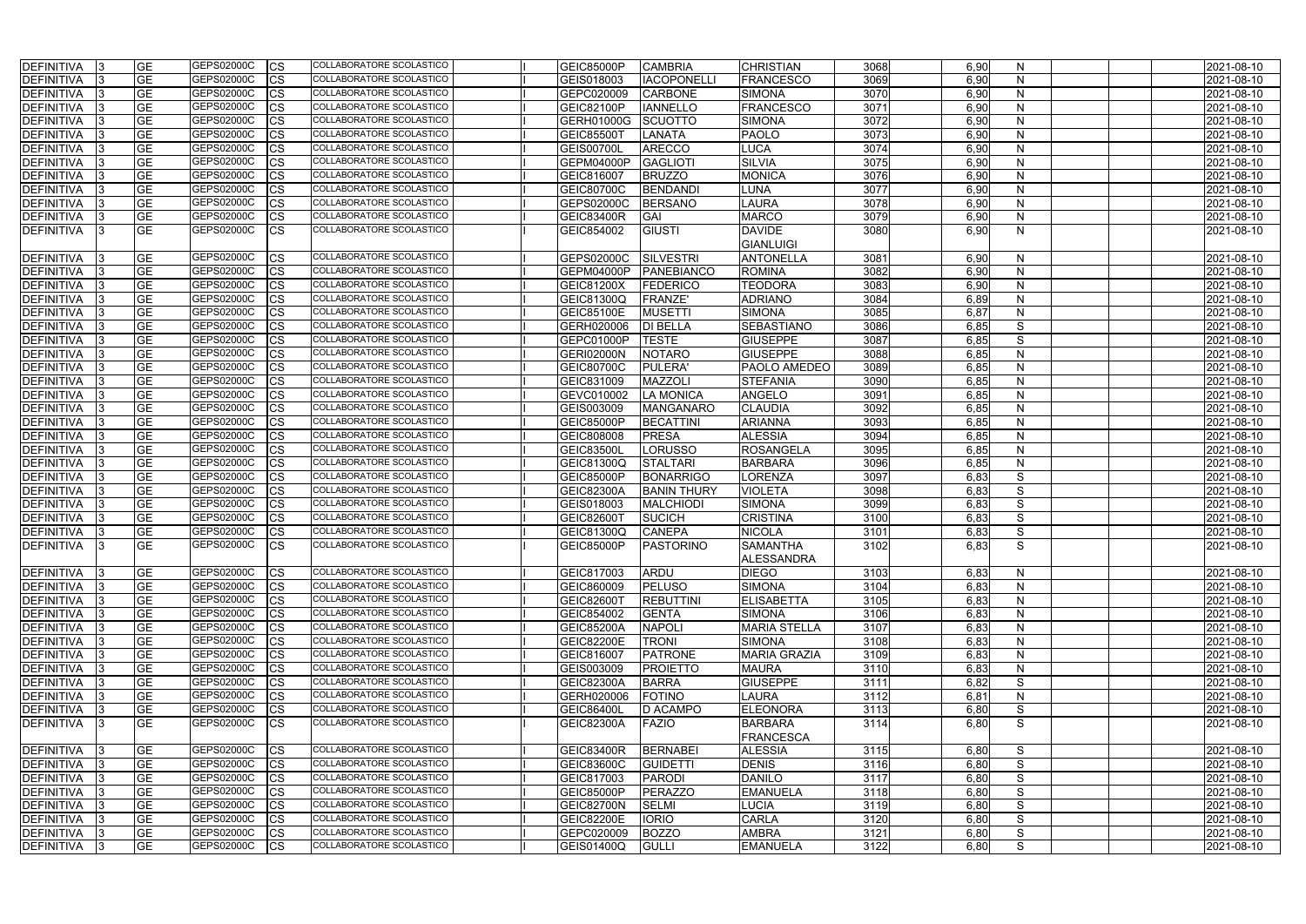| DEFINITIVA 3      | <b>GE</b> | GEPS02000C | <b>CS</b>  | COLLABORATORE SCOLASTICO        | GEIC85000P        | <b>CAMBRIA</b>     | <b>CHRISTIAN</b>    | 3068 | 6,90 | N            |  | 2021-08-10 |
|-------------------|-----------|------------|------------|---------------------------------|-------------------|--------------------|---------------------|------|------|--------------|--|------------|
| <b>DEFINITIVA</b> | <b>GE</b> | GEPS02000C | <b>CS</b>  | COLLABORATORE SCOLASTICO        | GEIS018003        | <b>IACOPONELL</b>  | <b>FRANCESCO</b>    | 3069 | 6,90 | N            |  | 2021-08-10 |
| <b>DEFINITIVA</b> | GЕ        | GEPS02000C | CS         | COLLABORATORE SCOLASTICO        | GEPC020009        | <b>CARBONE</b>     | SIMONA              | 3070 | 6,90 | N            |  | 2021-08-10 |
| <b>DEFINITIVA</b> | GЕ        | GEPS02000C | CS         | COLLABORATORE SCOLASTICO        | GEIC82100P        | <b>IANNELLO</b>    | <b>FRANCESCO</b>    | 3071 | 6,90 | N            |  | 2021-08-10 |
| <b>DEFINITIVA</b> | GЕ        | GEPS02000C | CS         | COLLABORATORE SCOLASTICO        | <b>GERH01000G</b> | SCUOTTO            | <b>SIMONA</b>       | 3072 | 6,90 | N            |  | 2021-08-10 |
| <b>DEFINITIVA</b> | GЕ        | GEPS02000C | CS         | COLLABORATORE SCOLASTICO        | <b>GEIC85500T</b> | <b>LANATA</b>      | <b>PAOLO</b>        | 3073 | 6,90 | N            |  | 2021-08-10 |
| <b>DEFINITIVA</b> | GЕ        | GEPS02000C | <b>CS</b>  | COLLABORATORE SCOLASTICO        | GEIS00700L        | <b>ARECCO</b>      | <b>LUCA</b>         | 3074 | 6,90 | N            |  | 2021-08-10 |
| DEFINITIVA        | GЕ        | GEPS02000C | <b>CS</b>  | COLLABORATORE SCOLASTICO        | <b>GEPM04000P</b> | GAGLIOTI           | <b>SILVIA</b>       | 3075 | 6,90 | N            |  | 2021-08-10 |
| DEFINITIVA        | GЕ        | GEPS02000C | CS         | COLLABORATORE SCOLASTICO        | GEIC816007        | <b>BRUZZO</b>      | <b>MONICA</b>       | 3076 | 6,90 | N            |  | 2021-08-10 |
| <b>DEFINITIVA</b> | GЕ        | GEPS02000C | CS         | COLLABORATORE SCOLASTICO        | <b>GEIC80700C</b> | BENDANDI           | <b>LUNA</b>         | 3077 | 6,90 | N            |  | 2021-08-10 |
| <b>DEFINITIVA</b> | GЕ        | GEPS02000C | <b>CS</b>  | <b>COLLABORATORE SCOLASTICO</b> | GEPS02000C        | <b>BERSANO</b>     | <b>LAURA</b>        | 3078 | 6,90 | N            |  | 2021-08-10 |
| DEFINITIVA        | GЕ        | GEPS02000C | CS         | COLLABORATORE SCOLASTICO        | <b>GEIC83400R</b> | GAI                | <b>MARCO</b>        | 3079 | 6,90 | N            |  | 2021-08-10 |
| <b>DEFINITIVA</b> | GЕ        | GEPS02000C | CS         | COLLABORATORE SCOLASTICO        | GEIC854002        | <b>GIUSTI</b>      | <b>DAVIDE</b>       | 3080 | 6,90 | N            |  | 2021-08-10 |
|                   |           |            |            |                                 |                   |                    | <b>GIANLUIGI</b>    |      |      |              |  |            |
| <b>DEFINITIVA</b> | GЕ        | GEPS02000C | Ics        | COLLABORATORE SCOLASTICO        | GEPS02000C        | <b>SILVESTRI</b>   | <b>ANTONELLA</b>    | 3081 | 6,90 | N.           |  | 2021-08-10 |
| <b>DEFINITIVA</b> | GЕ        | GEPS02000C | CS         | COLLABORATORE SCOLASTICO        | GEPM04000P        | PANEBIANCO         | <b>ROMINA</b>       | 3082 | 6,90 | N            |  | 2021-08-10 |
| <b>DEFINITIVA</b> | GЕ        | GEPS02000C | <b>CS</b>  | COLLABORATORE SCOLASTICO        | <b>GEIC81200X</b> | <b>FEDERICO</b>    | <b>TEODORA</b>      | 3083 | 6,90 | N            |  | 2021-08-10 |
| <b>DEFINITIVA</b> | GЕ        | GEPS02000C | CS         | <b>COLLABORATORE SCOLASTICO</b> | <b>GEIC81300Q</b> | <b>FRANZE'</b>     | <b>ADRIANO</b>      | 3084 | 6,89 | N            |  | 2021-08-10 |
| <b>DEFINITIVA</b> | GЕ        | GEPS02000C |            | <b>COLLABORATORE SCOLASTICO</b> | <b>GEIC85100E</b> | <b>MUSETTI</b>     | <b>SIMONA</b>       | 3085 | 6,87 | N            |  | 2021-08-10 |
|                   | <b>GE</b> | GEPS02000C | CS         | COLLABORATORE SCOLASTICO        | GERH020006        |                    | SEBASTIANO          | 3086 | 6,85 | S            |  | 2021-08-10 |
| DEFINITIVA        |           |            | CS         | COLLABORATORE SCOLASTICO        |                   | <b>DI BELLA</b>    |                     |      |      |              |  |            |
| DEFINITIVA        | GЕ        | GEPS02000C | CS         | COLLABORATORE SCOLASTICO        | GEPC01000P        | <b>TESTE</b>       | <b>GIUSEPPE</b>     | 3087 | 6,85 | S            |  | 2021-08-10 |
| <b>DEFINITIVA</b> | GЕ        | GEPS02000C | CS         | <b>COLLABORATORE SCOLASTICO</b> | <b>GERI02000N</b> | <b>NOTARO</b>      | <b>GIUSEPPE</b>     | 3088 | 6,85 | N            |  | 2021-08-10 |
| <b>DEFINITIVA</b> | <b>GE</b> | GEPS02000C | <b>CS</b>  |                                 | GEIC80700C        | <b>PULERA</b>      | <b>PAOLO AMEDEO</b> | 3089 | 6,85 | N            |  | 2021-08-10 |
| <b>DEFINITIVA</b> | GЕ        | GEPS02000C | <b>CS</b>  | COLLABORATORE SCOLASTICO        | GEIC831009        | MAZZOLI            | STEFANIA            | 3090 | 6,85 | $\mathsf{N}$ |  | 2021-08-10 |
| <b>DEFINITIVA</b> | GЕ        | GEPS02000C | CS         | COLLABORATORE SCOLASTICO        | GEVC010002        | <b>LA MONICA</b>   | <b>ANGELO</b>       | 3091 | 6,85 | N            |  | 2021-08-10 |
| <b>DEFINITIVA</b> | <b>GE</b> | GEPS02000C | CS         | COLLABORATORE SCOLASTICO        | GEIS003009        | <b>MANGANARO</b>   | <b>CLAUDIA</b>      | 3092 | 6,85 | $\mathsf{N}$ |  | 2021-08-10 |
| <b>DEFINITIVA</b> | GЕ        | GEPS02000C | CS         | COLLABORATORE SCOLASTICO        | <b>GEIC85000P</b> | <b>BECATTINI</b>   | <b>ARIANNA</b>      | 3093 | 6,85 | $\mathsf{N}$ |  | 2021-08-10 |
| <b>DEFINITIVA</b> | GЕ        | GEPS02000C | CS         | COLLABORATORE SCOLASTICO        | GEIC808008        | <b>PRESA</b>       | <b>ALESSIA</b>      | 3094 | 6,85 | N            |  | 2021-08-10 |
| <b>DEFINITIVA</b> | GЕ        | GEPS02000C | <b>CS</b>  | COLLABORATORE SCOLASTICO        | <b>GEIC83500L</b> | <b>LORUSSO</b>     | <b>ROSANGELA</b>    | 3095 | 6,85 | $\mathsf{N}$ |  | 2021-08-10 |
| <b>DEFINITIVA</b> | GЕ        | GEPS02000C | <b>ICS</b> | COLLABORATORE SCOLASTICO        | <b>GEIC81300Q</b> | <b>STALTARI</b>    | BARBARA             | 3096 | 6,85 | N            |  | 2021-08-10 |
| DEFINITIVA        | GЕ        | GEPS02000C | CS         | <b>COLLABORATORE SCOLASTICO</b> | GEIC85000P        | BONARRIGO          | <b>LORENZA</b>      | 3097 | 6,83 | S            |  | 2021-08-10 |
| DEFINITIVA        | <b>GE</b> | GEPS02000C | <b>CS</b>  | COLLABORATORE SCOLASTICO        | <b>GEIC82300A</b> | <b>BANIN THURY</b> | <b>VIOLETA</b>      | 3098 | 6,83 | S            |  | 2021-08-10 |
| <b>DEFINITIVA</b> | <b>GE</b> | GEPS02000C | <b>CS</b>  | COLLABORATORE SCOLASTICO        | GEIS018003        | MALCHIODI          | <b>SIMONA</b>       | 3099 | 6,83 | S            |  | 2021-08-10 |
| <b>DEFINITIVA</b> | <b>GE</b> | GEPS02000C | CS         | COLLABORATORE SCOLASTICO        | <b>GEIC82600T</b> | SUCICH             | <b>CRISTINA</b>     | 3100 | 6,83 | S            |  | 2021-08-10 |
| <b>DEFINITIVA</b> | GЕ        | GEPS02000C | CS         | <b>COLLABORATORE SCOLASTICO</b> | GEIC81300Q        | <b>CANEPA</b>      | <b>NICOLA</b>       | 3101 | 6,83 | S            |  | 2021-08-10 |
| <b>DEFINITIVA</b> | <b>GE</b> | GEPS02000C | <b>ICS</b> | COLLABORATORE SCOLASTICO        | GEIC85000P        | PASTORINO          | <b>SAMANTHA</b>     | 3102 | 6.83 | S            |  | 2021-08-10 |
|                   |           |            |            |                                 |                   |                    | <b>ALESSANDRA</b>   |      |      |              |  |            |
| DEFINITIVA        | <b>GE</b> | GEPS02000C | <b>CS</b>  | COLLABORATORE SCOLASTICO        | GEIC817003        | ARDU               | <b>DIEGO</b>        | 3103 | 6,83 | N            |  | 2021-08-10 |
| DEFINITIVA        | <b>GE</b> | GEPS02000C | <b>CS</b>  | COLLABORATORE SCOLASTICO        | GEIC860009        | <b>PELUSO</b>      | <b>SIMONA</b>       | 3104 | 6,83 | N            |  | 2021-08-10 |
| <b>DEFINITIVA</b> | <b>GE</b> | GEPS02000C | <b>CS</b>  | COLLABORATORE SCOLASTICO        | <b>GEIC82600T</b> | <b>REBUTTINI</b>   | <b>ELISABETTA</b>   | 3105 | 6,83 | N            |  | 2021-08-10 |
| <b>DEFINITIVA</b> | GE        | GEPS02000C | <b>CS</b>  | COLLABORATORE SCOLASTICO        | GEIC854002        | <b>GENTA</b>       | <b>SIMONA</b>       | 3106 | 6,83 | N            |  | 2021-08-10 |
| <b>DEFINITIVA</b> | GЕ        | GEPS02000C | <b>CS</b>  | COLLABORATORE SCOLASTICO        | <b>GEIC85200A</b> | <b>NAPOLI</b>      | <b>MARIA STELLA</b> | 3107 | 6,83 | N            |  | 2021-08-10 |
| <b>DEFINITIVA</b> | GE        | GEPS02000C | <b>ICS</b> | COLLABORATORE SCOLASTICO        | <b>GEIC82200E</b> | <b>TRONI</b>       | <b>SIMONA</b>       | 3108 | 6,83 | N            |  | 2021-08-10 |
| <b>DEFINITIVA</b> | <b>GE</b> | GEPS02000C | <b>CS</b>  | COLLABORATORE SCOLASTICO        | GEIC816007        | PATRONE            | <b>MARIA GRAZIA</b> | 3109 | 6,83 | N            |  | 2021-08-10 |
| <b>DEFINITIVA</b> | <b>GE</b> | GEPS02000C | <b>CS</b>  | COLLABORATORE SCOLASTICO        | GEIS003009        | <b>PROIETTO</b>    | <b>MAURA</b>        | 3110 | 6,83 | N            |  | 2021-08-10 |
| <b>DEFINITIVA</b> | <b>GE</b> | GEPS02000C | <b>CS</b>  | COLLABORATORE SCOLASTICO        | GEIC82300A        | <b>BARRA</b>       | <b>GIUSEPPE</b>     | 3111 | 6,82 | S            |  | 2021-08-10 |
| <b>DEFINITIVA</b> | <b>GE</b> | GEPS02000C | <b>CS</b>  | COLLABORATORE SCOLASTICO        | GERH020006        | FOTINO             | <b>LAURA</b>        | 3112 | 6,81 | N            |  | 2021-08-10 |
| <b>DEFINITIVA</b> | GE        | GEPS02000C | <b>CS</b>  | COLLABORATORE SCOLASTICO        | <b>GEIC86400L</b> | <b>D ACAMPO</b>    | <b>ELEONORA</b>     | 3113 | 6,80 | S            |  | 2021-08-10 |
| <b>DEFINITIVA</b> | <b>GE</b> | GEPS02000C | CS         | COLLABORATORE SCOLASTICO        | <b>GEIC82300A</b> | FAZIO              | <b>BARBARA</b>      | 3114 | 6,80 | S            |  | 2021-08-10 |
|                   |           |            |            |                                 |                   |                    | FRANCESCA           |      |      |              |  |            |
| <b>DEFINITIVA</b> | <b>GE</b> | GEPS02000C | <b>CS</b>  | COLLABORATORE SCOLASTICO        | GEIC83400R        | <b>BERNABEI</b>    | <b>ALESSIA</b>      | 3115 | 6,80 | S            |  | 2021-08-10 |
| <b>DEFINITIVA</b> | <b>GE</b> | GEPS02000C | <b>CS</b>  | COLLABORATORE SCOLASTICO        | <b>GEIC83600C</b> | <b>GUIDETTI</b>    | <b>DENIS</b>        | 3116 | 6,80 | S            |  | 2021-08-10 |
| <b>DEFINITIVA</b> |           | GEPS02000C |            | COLLABORATORE SCOLASTICO        |                   |                    |                     | 3117 |      |              |  |            |
|                   | GE        | GEPS02000C | <b>CS</b>  | COLLABORATORE SCOLASTICO        | GEIC817003        | PARODI             | DANILO              |      | 6,80 | S            |  | 2021-08-10 |
| <b>DEFINITIVA</b> | <b>GE</b> |            | <b>ICS</b> | COLLABORATORE SCOLASTICO        | GEIC85000P        | PERAZZO            | EMANUELA            | 3118 | 6,80 | S            |  | 2021-08-10 |
| <b>DEFINITIVA</b> | GE        | GEPS02000C | <b>ICS</b> | COLLABORATORE SCOLASTICO        | GEIC82700N        | <b>SELMI</b>       | <b>LUCIA</b>        | 3119 | 6,80 | S            |  | 2021-08-10 |
| <b>DEFINITIVA</b> | <b>GE</b> | GEPS02000C | <b>CS</b>  |                                 | <b>GEIC82200E</b> | <b>IORIO</b>       | <b>CARLA</b>        | 3120 | 6,80 | S            |  | 2021-08-10 |
| DEFINITIVA        | <b>GE</b> | GEPS02000C | <b>CS</b>  | COLLABORATORE SCOLASTICO        | GEPC020009        | <b>BOZZO</b>       | <b>AMBRA</b>        | 3121 | 6,80 | S            |  | 2021-08-10 |
| <b>DEFINITIVA</b> | <b>GE</b> | GEPS02000C | <b>CS</b>  | COLLABORATORE SCOLASTICO        | GEIS01400Q        | GULLI              | <b>EMANUELA</b>     | 3122 | 6,80 | S            |  | 2021-08-10 |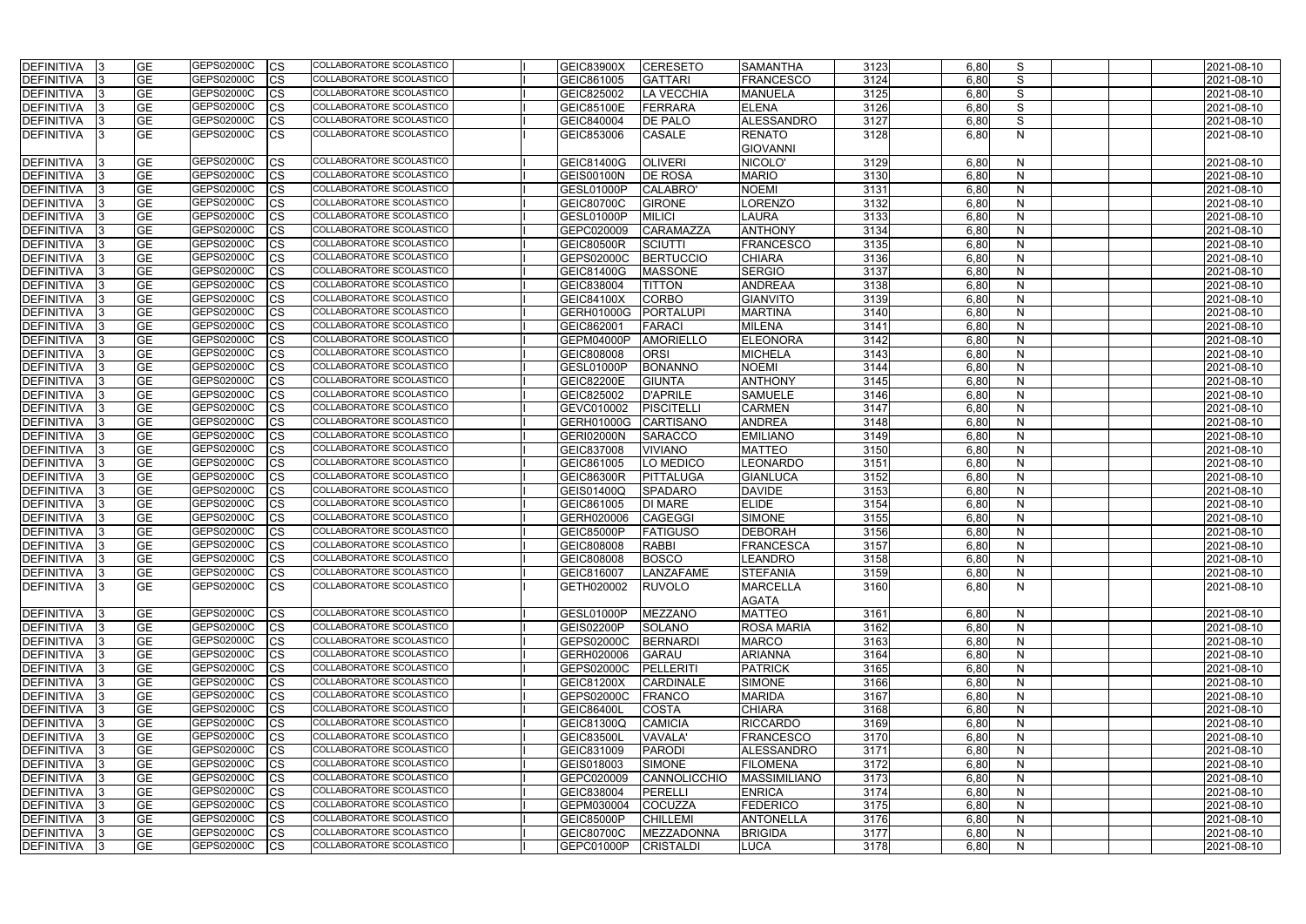| <b>DEFINITIVA</b>                      | <b>GE</b> | GEPS02000C               | <b>CS</b>  | COLLABORATORE SCOLASTICO                                           | <b>GEIC83900X</b> | <b>CERESETO</b>           | <b>SAMANTHA</b>                  | 3123         | 6,80 | S                 | 2021-08-10               |
|----------------------------------------|-----------|--------------------------|------------|--------------------------------------------------------------------|-------------------|---------------------------|----------------------------------|--------------|------|-------------------|--------------------------|
| DEFINITIVA                             | <b>GE</b> | GEPS02000C               | CS         | COLLABORATORE SCOLASTICO                                           | GEIC861005        | <b>GATTARI</b>            | <b>FRANCESCO</b>                 | 3124         | 6,80 | S                 | 2021-08-10               |
| <b>DEFINITIVA</b>                      | <b>GE</b> | GEPS02000C               | <b>CS</b>  | COLLABORATORE SCOLASTICO                                           | GEIC825002        | <b>LA VECCHIA</b>         | <b>MANUELA</b>                   | 3125         | 6,80 | S                 | 2021-08-10               |
| <b>DEFINITIVA</b>                      | <b>GE</b> | GEPS02000C               | СS         | COLLABORATORE SCOLASTICO                                           | <b>GEIC85100E</b> | FERRARA                   | <b>ELENA</b>                     | 3126         | 6,80 | S                 | 2021-08-10               |
| <b>DEFINITIVA</b>                      | <b>GE</b> | GEPS02000C               | CS         | COLLABORATORE SCOLASTICO                                           | GEIC840004        | <b>DE PALO</b>            | <b>ALESSANDRO</b>                | 3127         | 6,80 | S                 | 2021-08-10               |
| DEFINITIVA                             | <b>GE</b> | GEPS02000C               | lCS        | <b>COLLABORATORE SCOLASTICO</b>                                    | GEIC853006        | <b>CASALE</b>             | <b>RENATO</b><br><b>GIOVANNI</b> | 3128         | 6,80 | N                 | 2021-08-10               |
| <b>DEFINITIVA</b>                      | <b>GE</b> | GEPS02000C               | CS         | COLLABORATORE SCOLASTICO                                           | GEIC81400G        | <b>OLIVERI</b>            | NICOLO'                          | 3129         | 6,80 | $\mathsf{N}$      | 2021-08-10               |
| DEFINITIVA                             | <b>GE</b> | GEPS02000C               | <b>CS</b>  | <b>COLLABORATORE SCOLASTICO</b>                                    | <b>GEIS00100N</b> | <b>DE ROSA</b>            | <b>MARIO</b>                     | 3130         | 6,80 | N                 | 2021-08-10               |
| <b>DEFINITIVA</b>                      | <b>GE</b> | GEPS02000C               | СS         | <b>COLLABORATORE SCOLASTICO</b>                                    | <b>GESL01000P</b> | <b>CALABRO</b>            | <b>NOEMI</b>                     | 3131         | 6,80 | N                 | 2021-08-10               |
| <b>DEFINITIVA</b>                      | <b>GE</b> | GEPS02000C               | CS         | <b>COLLABORATORE SCOLASTICO</b>                                    | <b>GEIC80700C</b> | <b>GIRONE</b>             | LORENZO                          | 3132         | 6,80 | N                 | 2021-08-10               |
| <b>DEFINITIVA</b>                      | <b>GE</b> | GEPS02000C               | <b>CS</b>  | COLLABORATORE SCOLASTICO                                           | <b>GESL01000P</b> | <b>MILICI</b>             | LAURA                            | 3133         | 6,80 | $\mathsf{N}$      | 2021-08-10               |
| <b>DEFINITIVA</b>                      | <b>GE</b> | GEPS02000C               |            | COLLABORATORE SCOLASTICO                                           | GEPC020009        | <b>CARAMAZZA</b>          | <b>ANTHONY</b>                   | 3134         | 6,80 |                   |                          |
| <b>DEFINITIVA</b>                      | <b>GE</b> | GEPS02000C               | СS         | COLLABORATORE SCOLASTICO                                           | <b>GEIC80500R</b> | SCIUTTI                   | <b>FRANCESCO</b>                 | 3135         | 6,80 | N<br>$\mathsf{N}$ | 2021-08-10<br>2021-08-10 |
|                                        | <b>GE</b> | GEPS02000C               | СS<br>CS   | COLLABORATORE SCOLASTICO                                           |                   |                           |                                  |              |      | N                 |                          |
| <b>DEFINITIVA</b>                      | <b>GE</b> | GEPS02000C               |            | COLLABORATORE SCOLASTICO                                           | GEPS02000C        | <b>BERTUCCIO</b>          | <b>CHIARA</b>                    | 3136<br>3137 | 6,80 |                   | 2021-08-10               |
| <b>DEFINITIVA</b>                      |           | GEPS02000C               | СS         | COLLABORATORE SCOLASTICO                                           | GEIC81400G        | <b>MASSONE</b>            | <b>SERGIO</b>                    |              | 6,80 | N                 | 2021-08-10               |
| <b>DEFINITIVA</b><br><b>DEFINITIVA</b> | <b>GE</b> |                          | СS         | <b>COLLABORATORE SCOLASTICO</b>                                    | GEIC838004        | <b>TITTON</b>             | <b>ANDREAA</b>                   | 3138         | 6,80 | N                 | 2021-08-10               |
|                                        | <b>GE</b> | GEPS02000C<br>GEPS02000C | CS         | COLLABORATORE SCOLASTICO                                           | GEIC84100X        | <b>CORBO</b><br>PORTALUPI | <b>GIANVITO</b>                  | 3139         | 6,80 | N                 | 2021-08-10               |
| DEFINITIVA                             | <b>GE</b> |                          | CS         | COLLABORATORE SCOLASTICO                                           | GERH01000G        |                           | <b>MARTINA</b>                   | 3140         | 6,80 | N                 | 2021-08-10               |
| DEFINITIVA                             | <b>GE</b> | GEPS02000C<br>GEPS02000C | CS         | <b>COLLABORATORE SCOLASTICO</b>                                    | GEIC862001        | <b>FARACI</b>             | <b>MILENA</b>                    | 3141         | 6,80 | N                 | 2021-08-10               |
| <b>DEFINITIVA</b>                      | <b>GE</b> |                          | <b>CS</b>  |                                                                    | GEPM04000P        | <b>AMORIELLO</b>          | <b>ELEONORA</b>                  | 3142         | 6,80 | N                 | 2021-08-10               |
| <b>DEFINITIVA</b>                      | <b>GE</b> | GEPS02000C               | CS         | <b>COLLABORATORE SCOLASTICO</b><br><b>COLLABORATORE SCOLASTICO</b> | GEIC808008        | <b>ORSI</b>               | <b>MICHELA</b>                   | 3143         | 6,80 | N                 | 2021-08-10               |
| <b>DEFINITIVA</b>                      | <b>GE</b> | GEPS02000C               | СS         |                                                                    | <b>GESL01000P</b> | <b>BONANNO</b>            | <b>NOEMI</b>                     | 3144         | 6,80 | N                 | 2021-08-10               |
| <b>DEFINITIVA</b>                      | <b>GE</b> | GEPS02000C               | CS         | <b>COLLABORATORE SCOLASTICO</b>                                    | <b>GEIC82200E</b> | <b>GIUNTA</b>             | <b>ANTHONY</b>                   | 3145         | 6,80 | $\mathsf{N}$      | 2021-08-10               |
| <b>DEFINITIVA</b>                      | <b>GE</b> | GEPS02000C               | CS         | COLLABORATORE SCOLASTICO                                           | GEIC825002        | <b>D'APRILE</b>           | <b>SAMUELE</b>                   | 3146         | 6,80 | N                 | 2021-08-10               |
| <b>DEFINITIVA</b>                      | <b>GE</b> | GEPS02000C               | CS         | COLLABORATORE SCOLASTICO                                           | GEVC010002        | <b>PISCITELLI</b>         | <b>CARMEN</b>                    | 3147         | 6,80 | N                 | 2021-08-10               |
| <b>DEFINITIVA</b>                      | <b>GE</b> | GEPS02000C               | СS         | COLLABORATORE SCOLASTICO                                           | GERH01000G        | <b>CARTISANO</b>          | <b>ANDREA</b>                    | 3148         | 6,80 | $\mathsf{N}$      | 2021-08-10               |
| <b>DEFINITIVA</b>                      | <b>GE</b> | GEPS02000C               | СS         | COLLABORATORE SCOLASTICO                                           | <b>GERI02000N</b> | <b>SARACCO</b>            | <b>EMILIANO</b>                  | 3149         | 6,80 | N                 | 2021-08-10               |
| <b>DEFINITIVA</b>                      | <b>GE</b> | GEPS02000C               | СS         | COLLABORATORE SCOLASTICO                                           | GEIC837008        | <b>VIVIANO</b>            | <b>MATTEO</b>                    | 3150         | 6,80 | N                 | 2021-08-10               |
| <b>DEFINITIVA</b>                      | <b>GE</b> | GEPS02000C               | CS         | COLLABORATORE SCOLASTICO                                           | GEIC861005        | LO MEDICO                 | <b>LEONARDO</b>                  | 3151         | 6,80 | N                 | 2021-08-10               |
| <b>DEFINITIVA</b>                      | <b>GE</b> | GEPS02000C               | СS         | COLLABORATORE SCOLASTICO                                           | GEIC86300R        | PITTALUGA                 | <b>GIANLUCA</b>                  | 3152         | 6,80 | N                 | 2021-08-10               |
| DEFINITIVA                             | <b>GE</b> | GEPS02000C               | CS         | COLLABORATORE SCOLASTICO                                           | GEIS01400Q        | <b>SPADARO</b>            | <b>DAVIDE</b>                    | 3153         | 6,80 | N                 | 2021-08-10               |
| DEFINITIVA                             | <b>GE</b> | GEPS02000C               | <b>CS</b>  | COLLABORATORE SCOLASTICO                                           | GEIC861005        | <b>DI MARE</b>            | <b>ELIDE</b>                     | 3154         | 6,80 | N                 | 2021-08-10               |
| <b>DEFINITIVA</b>                      | <b>GE</b> | GEPS02000C               | <b>CS</b>  | <b>COLLABORATORE SCOLASTICO</b>                                    | GERH020006        | <b>CAGEGGI</b>            | <b>SIMONE</b>                    | 3155         | 6,80 | N                 | 2021-08-10               |
| DEFINITIVA                             | <b>GE</b> | GEPS02000C               | СS         | COLLABORATORE SCOLASTICO                                           | GEIC85000P        | <b>FATIGUSO</b>           | <b>DEBORAH</b>                   | 3156         | 6,80 | N                 | 2021-08-10               |
| <b>DEFINITIVA</b>                      | <b>GE</b> | GEPS02000C               | <b>ICS</b> | COLLABORATORE SCOLASTICO                                           | GEIC808008        | <b>RABBI</b>              | <b>FRANCESCA</b>                 | 3157         | 6,80 | N                 | 2021-08-10               |
| DEFINITIVA 3                           | <b>GE</b> | GEPS02000C               | <b>CS</b>  | COLLABORATORE SCOLASTICO                                           | GEIC808008        | <b>BOSCO</b>              | <b>LEANDRO</b>                   | 3158         | 6,80 | N                 | 2021-08-10               |
| <b>DEFINITIVA</b>                      | <b>GE</b> | GEPS02000C               | <b>CS</b>  | COLLABORATORE SCOLASTICO                                           | GEIC816007        | LANZAFAME                 | <b>STEFANIA</b>                  | 3159         | 6,80 | N                 | 2021-08-10               |
| DEFINITIVA                             | <b>GE</b> | GEPS02000C               | <b>CS</b>  | COLLABORATORE SCOLASTICO                                           | GETH020002        | <b>RUVOLO</b>             | <b>MARCELLA</b><br><b>AGATA</b>  | 3160         | 6,80 | $\mathsf{N}$      | 2021-08-10               |
| <b>DEFINITIVA</b>                      | <b>GE</b> | GEPS02000C               | <b>CS</b>  | <b>COLLABORATORE SCOLASTICO</b>                                    | GESL01000P        | <b>MEZZANO</b>            | <b>MATTEO</b>                    | 3161         | 6,80 | N                 | 2021-08-10               |
| DEFINITIVA 3                           | <b>GE</b> | GEPS02000C               | <b>CS</b>  | COLLABORATORE SCOLASTICO                                           | <b>GEIS02200P</b> | <b>SOLANO</b>             | <b>ROSA MARIA</b>                | 3162         | 6,80 | N                 | 2021-08-10               |
| <b>DEFINITIVA</b>                      | <b>GE</b> | GEPS02000C               | <b>ICS</b> | COLLABORATORE SCOLASTICO                                           | GEPS02000C        | <b>BERNARDI</b>           | <b>MARCO</b>                     | 3163         | 6,80 | $\mathsf{N}$      | 2021-08-10               |
| <b>DEFINITIVA</b>                      | <b>GE</b> | GEPS02000C               | <b>CS</b>  | <b>COLLABORATORE SCOLASTICO</b>                                    | GERH020006        | <b>GARAU</b>              | <b>ARIANNA</b>                   | 3164         | 6,80 | N                 | 2021-08-10               |
| DEFINITIVA 3                           | <b>GE</b> | GEPS02000C               | <b>CS</b>  | COLLABORATORE SCOLASTICO                                           | GEPS02000C        | PELLERITI                 | <b>PATRICK</b>                   | 3165         | 6,80 | $\mathsf{N}$      | 2021-08-10               |
| <b>DEFINITIVA</b>                      | <b>GE</b> | GEPS02000C               | <b>CS</b>  | COLLABORATORE SCOLASTICO                                           | <b>GEIC81200X</b> | <b>CARDINALE</b>          | <b>SIMONE</b>                    | 3166         | 6,80 | N                 | 2021-08-10               |
| DEFINITIVA                             | <b>GE</b> | GEPS02000C               | <b>CS</b>  | COLLABORATORE SCOLASTICO                                           | GEPS02000C        | <b>FRANCO</b>             | <b>MARIDA</b>                    | 3167         | 6,80 | N                 | 2021-08-10               |
| <b>DEFINITIVA</b>                      | <b>GE</b> | GEPS02000C               | <b>CS</b>  | COLLABORATORE SCOLASTICO                                           | <b>GEIC86400L</b> | <b>COSTA</b>              | <b>CHIARA</b>                    | 3168         | 6,80 | N                 | 2021-08-10               |
| <b>DEFINITIVA</b>                      | <b>GE</b> | GEPS02000C               | <b>CS</b>  | COLLABORATORE SCOLASTICO                                           | GEIC81300Q        | <b>CAMICIA</b>            | <b>RICCARDO</b>                  | 3169         | 6,80 | N                 | 2021-08-10               |
| <b>DEFINITIVA</b>                      | <b>GE</b> | GEPS02000C               | <b>CS</b>  | COLLABORATORE SCOLASTICO                                           | <b>GEIC83500L</b> | <b>VAVALA'</b>            | <b>FRANCESCO</b>                 | 3170         | 6,80 | N                 | 2021-08-10               |
| DEFINITIVA                             | <b>GE</b> | GEPS02000C               | <b>CS</b>  | COLLABORATORE SCOLASTICO                                           | GEIC831009        | PARODI                    | <b>ALESSANDRO</b>                | 3171         | 6,80 | N                 | 2021-08-10               |
| DEFINITIVA  3                          | <b>GE</b> | GEPS02000C               | <b>CS</b>  | COLLABORATORE SCOLASTICO                                           | GEIS018003        | <b>SIMONE</b>             | <b>FILOMENA</b>                  | 3172         | 6,80 | $\mathsf{N}$      | 2021-08-10               |
| <b>DEFINITIVA</b>                      | <b>GE</b> | GEPS02000C               | <b>CS</b>  | COLLABORATORE SCOLASTICO                                           | GEPC020009        | CANNOLICCHIO              | <b>MASSIMILIANO</b>              | 3173         | 6,80 | N                 | 2021-08-10               |
| DEFINITIVA                             | <b>GE</b> | GEPS02000C               | <b>CS</b>  | COLLABORATORE SCOLASTICO                                           | GEIC838004        | PERELLI                   | <b>ENRICA</b>                    | 3174         | 6,80 | N                 | 2021-08-10               |
| <b>DEFINITIVA</b>                      | <b>GE</b> | GEPS02000C               | <b>CS</b>  | COLLABORATORE SCOLASTICO                                           | GEPM030004        | <b>COCUZZA</b>            | <b>FEDERICO</b>                  | 3175         | 6,80 | $\mathsf{N}$      | 2021-08-10               |
| <b>DEFINITIVA</b>                      | <b>GE</b> | GEPS02000C               | <b>CS</b>  | COLLABORATORE SCOLASTICO                                           | <b>GEIC85000P</b> | <b>CHILLEMI</b>           | <b>ANTONELLA</b>                 | 3176         | 6,80 | N                 | 2021-08-10               |
| <b>DEFINITIVA</b>                      | <b>GE</b> | GEPS02000C               | <b>CS</b>  | COLLABORATORE SCOLASTICO                                           | <b>GEIC80700C</b> | <b>MEZZADONNA</b>         | <b>BRIGIDA</b>                   | 3177         | 6,80 | N                 | 2021-08-10               |
| <b>DEFINITIVA</b>                      | <b>GE</b> | GEPS02000C               | <b>CS</b>  | COLLABORATORE SCOLASTICO                                           | GEPC01000P        | <b>CRISTALDI</b>          | <b>LUCA</b>                      | 3178         | 6,80 | $\mathsf{N}$      | 2021-08-10               |
|                                        |           |                          |            |                                                                    |                   |                           |                                  |              |      |                   |                          |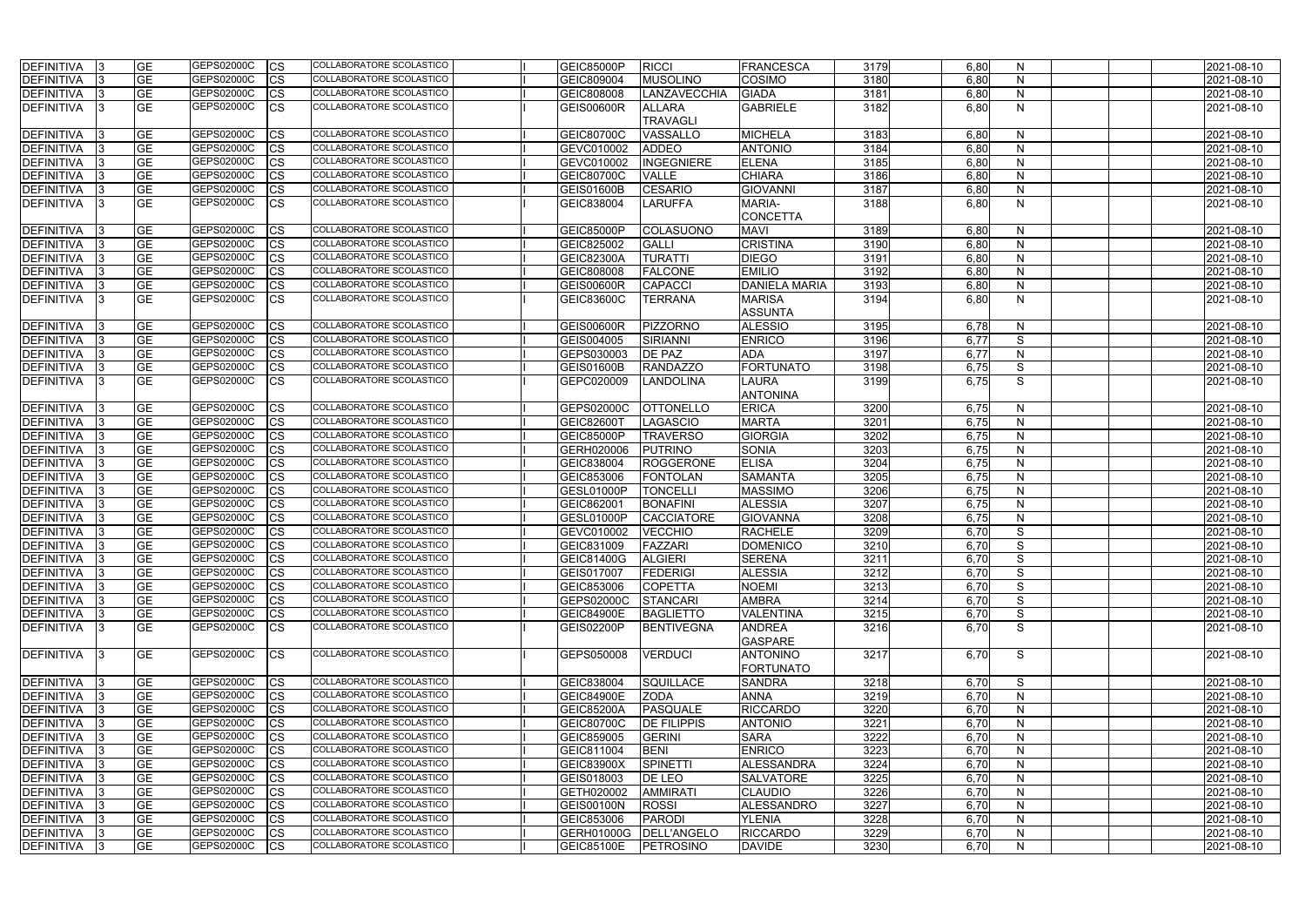| DEFINITIVA                      | <b>GE</b>              | GEPS02000C<br><b>CS</b>               | COLLABORATORE SCOLASTICO                             | GEIC85000P               | <b>RICCI</b>                    | <b>FRANCESCA</b>                   | 3179         | 6,80         | N                 | 2021-08-10               |
|---------------------------------|------------------------|---------------------------------------|------------------------------------------------------|--------------------------|---------------------------------|------------------------------------|--------------|--------------|-------------------|--------------------------|
| DEFINITIVA                      | <b>GE</b>              | <b>GEPS02000C</b><br>CS               | COLLABORATORE SCOLASTICO                             | GEIC809004               | <b>MUSOLINO</b>                 | <b>COSIMO</b>                      | 3180         | 6,80         | N                 | 2021-08-10               |
| <b>DEFINITIVA</b>               | <b>GE</b>              | GEPS02000C<br>CS                      | COLLABORATORE SCOLASTICO                             | GEIC808008               | LANZAVECCHIA                    | <b>GIADA</b>                       | 3181         | 6,80         | $\mathsf{N}$      | 2021-08-10               |
| DEFINITIVA                      | <b>GE</b>              | <b>GEPS02000C</b><br>CS               | COLLABORATORE SCOLASTICO                             | <b>GEIS00600R</b>        | <b>ALLARA</b>                   | <b>GABRIELE</b>                    | 3182         | 6,80         | N                 | 2021-08-10               |
|                                 |                        |                                       |                                                      |                          | <b>TRAVAGLI</b>                 |                                    |              |              |                   |                          |
| <b>DEFINITIVA</b>               | <b>GE</b>              | GEPS02000C<br>СS                      | <b>COLLABORATORE SCOLASTICO</b>                      | <b>GEIC80700C</b>        | <b>VASSALLO</b>                 | <b>MICHELA</b>                     | 3183         | 6,80         | N                 | 2021-08-10               |
| <b>DEFINITIVA</b>               | $\overline{GE}$        | GEPS02000C<br>CS                      | COLLABORATORE SCOLASTICO                             | GEVC010002               | <b>ADDEO</b>                    | <b>ANTONIO</b>                     | 3184         | 6,80         | $\mathsf{N}$      | 2021-08-10               |
| <b>DEFINITIVA</b>               | <b>GE</b>              | GEPS02000C<br>CS                      | COLLABORATORE SCOLASTICO                             | GEVC010002               | <b>INGEGNIERE</b>               | <b>ELENA</b>                       | 3185         | 6,80         | $\mathsf{N}$      | 2021-08-10               |
| <b>DEFINITIVA</b>               | <b>GE</b>              | GEPS02000C<br>СS                      | <b>COLLABORATORE SCOLASTICO</b>                      | <b>GEIC80700C</b>        | <b>VALLE</b>                    | <b>CHIARA</b>                      | 3186         | 6,80         | $\mathsf{N}$      | 2021-08-10               |
| <b>DEFINITIVA</b>               | <b>GE</b>              | GEPS02000C<br>CS                      | COLLABORATORE SCOLASTICO                             | <b>GEIS01600B</b>        | <b>CESARIO</b>                  | <b>GIOVANNI</b>                    | 3187         | 6,80         | $\mathsf{N}$      | 2021-08-10               |
| DEFINITIVA                      | <b>GE</b>              | GEPS02000C<br>CS                      | COLLABORATORE SCOLASTICO                             | GEIC838004               | LARUFFA                         | <b>MARIA-</b>                      | 3188         | 6,80         | $\mathsf{N}$      | 2021-08-10               |
|                                 |                        |                                       |                                                      |                          |                                 | <b>CONCETTA</b>                    |              |              |                   |                          |
| <b>DEFINITIVA</b>               | <b>GE</b>              | GEPS02000C<br>CS                      | COLLABORATORE SCOLASTICO                             | <b>GEIC85000P</b>        | <b>COLASUONO</b>                | <b>MAVI</b>                        | 3189         | 6,80         | N                 | 2021-08-10               |
| <b>DEFINITIVA</b>               | <b>GE</b>              | <b>GEPS02000C</b><br>СS               | COLLABORATORE SCOLASTICO                             | GEIC825002               | <b>GALLI</b>                    | <b>CRISTINA</b>                    | 3190         | 6,80         | N                 | 2021-08-10               |
| <b>DEFINITIVA</b>               | <b>GE</b>              | GEPS02000C<br>СS                      | COLLABORATORE SCOLASTICO                             | <b>GEIC82300A</b>        | <b>TURATTI</b>                  | <b>DIEGO</b>                       | 3191         | 6,80         | $\mathsf{N}$      | 2021-08-10               |
| <b>DEFINITIVA</b>               | <b>GE</b>              | GEPS02000C<br>СS                      | COLLABORATORE SCOLASTICO                             | GEIC808008               | <b>FALCONE</b>                  | <b>EMILIO</b>                      | 3192         | 6,80         | $\mathsf{N}$      | 2021-08-10               |
| <b>DEFINITIVA</b>               | <b>GE</b>              | GEPS02000C<br>CS                      | COLLABORATORE SCOLASTICO                             | <b>GEIS00600R</b>        | <b>CAPACCI</b>                  | <b>DANIELA MARIA</b>               | 3193         | 6,80         | $\mathsf{N}$      | 2021-08-10               |
| DEFINITIVA                      | <b>GE</b>              | <b>GEPS02000C</b><br>CS               | COLLABORATORE SCOLASTICO                             | <b>GEIC83600C</b>        | <b>TERRANA</b>                  | <b>MARISA</b>                      | 3194         | 6,80         | N                 | 2021-08-10               |
|                                 |                        |                                       |                                                      |                          |                                 | <b>ASSUNTA</b>                     |              |              |                   |                          |
| <b>DEFINITIVA</b>               | <b>GE</b>              | GEPS02000C<br>CS                      | <b>COLLABORATORE SCOLASTICO</b>                      | <b>GEIS00600R</b>        | <b>PIZZORNO</b>                 | <b>ALESSIO</b>                     | 3195         | 6,78         | $\mathsf{N}$      | 2021-08-10               |
| <b>DEFINITIVA</b>               | <b>GE</b>              | GEPS02000C<br>СS                      | <b>COLLABORATORE SCOLASTICO</b>                      | GEIS004005               | SIRIANNI                        | <b>ENRICO</b>                      | 3196         | 6,77         | S                 | 2021-08-10               |
| <b>DEFINITIVA</b>               | <b>GE</b>              | GEPS02000C<br>CS                      | COLLABORATORE SCOLASTICO                             | GEPS030003               | <b>DE PAZ</b>                   | <b>ADA</b>                         | 3197         | 6,77         | ${\sf N}$         | 2021-08-10               |
| <b>DEFINITIVA</b>               | <b>GE</b>              | GEPS02000C<br>CS                      | COLLABORATORE SCOLASTICO                             | <b>GEIS01600B</b>        | <b>RANDAZZO</b>                 | <b>FORTUNATO</b>                   | 3198         | 6,75         | S                 | 2021-08-10               |
| <b>DEFINITIVA</b>               | <b>GE</b>              | GEPS02000C<br>СS                      | COLLABORATORE SCOLASTICO                             | GEPC020009               | LANDOLINA                       | LAURA                              | 3199         | 6,75         | S                 | 2021-08-10               |
|                                 |                        |                                       |                                                      |                          |                                 | <b>ANTONINA</b>                    |              |              |                   |                          |
| DEFINITIVA                      | <b>GE</b>              | GEPS02000C<br>CS                      | COLLABORATORE SCOLASTICO                             | GEPS02000C               | <b>OTTONELLO</b>                | <b>ERICA</b>                       | 3200         | 6,75         | N                 | 2021-08-10               |
| DEFINITIVA                      | <b>GE</b>              | GEPS02000C<br>СS                      | COLLABORATORE SCOLASTICO                             | <b>GEIC82600T</b>        | <b>LAGASCIO</b>                 | <b>MARTA</b>                       | 3201         | 6,75         | N                 | 2021-08-10               |
| DEFINITIVA                      | <b>GE</b>              | GEPS02000C<br>СS                      | COLLABORATORE SCOLASTICO                             | <b>GEIC85000P</b>        | <b>TRAVERSO</b>                 | <b>GIORGIA</b>                     | 3202         | 6,75         | $\mathsf{N}$      | 2021-08-10               |
| <b>DEFINITIVA</b>               | <b>GE</b>              | GEPS02000C<br>CS                      | COLLABORATORE SCOLASTICO                             | GERH020006               | PUTRINO                         | <b>SONIA</b>                       | 3203         | 6,75         | $\mathsf{N}$      | 2021-08-10               |
| <b>DEFINITIVA</b>               | <b>GE</b>              | GEPS02000C<br>CS                      | COLLABORATORE SCOLASTICO                             | GEIC838004               | <b>ROGGERONE</b>                | <b>ELISA</b>                       | 3204         | 6,75         | N                 | 2021-08-10               |
| <b>DEFINITIVA</b>               | <b>GE</b>              | GEPS02000C<br>CS                      | <b>COLLABORATORE SCOLASTICO</b>                      | GEIC853006               | <b>FONTOLAN</b>                 | <b>SAMANTA</b>                     | 3205         | 6,75         | $\mathsf{N}$      | 2021-08-10               |
| DEFINITIVA                      | <b>GE</b>              | GEPS02000C<br>CS                      | COLLABORATORE SCOLASTICO                             | <b>GESL01000P</b>        | <b>TONCELL</b>                  | <b>MASSIMO</b>                     | 3206         | 6,75         | $\mathsf{N}$      | 2021-08-10               |
| <b>DEFINITIVA</b>               | <b>GE</b>              | GEPS02000C<br>СS                      | COLLABORATORE SCOLASTICO                             | GEIC862001               | <b>BONAFINI</b>                 | <b>ALESSIA</b>                     | 3207         | 6,75         | N                 | 2021-08-10               |
| <b>DEFINITIVA</b>               | <b>GE</b>              | GEPS02000C<br>СS                      | COLLABORATORE SCOLASTICO                             | <b>GESL01000P</b>        | <b>CACCIATORE</b>               | <b>GIOVANNA</b>                    | 3208         | 6,75         | N                 | 2021-08-10               |
| <b>DEFINITIVA</b>               | <b>GE</b>              | GEPS02000C<br>CS                      | COLLABORATORE SCOLASTICO                             | GEVC010002               | <b>VECCHIO</b>                  | <b>RACHELE</b>                     | 3209         | 6,70         | S                 | 2021-08-10               |
| DEFINITIVA                      | <b>GE</b>              | GEPS02000C<br>Ics                     | COLLABORATORE SCOLASTICO                             | GEIC831009               | FAZZARI                         | <b>DOMENICO</b>                    | 3210         | 6.70         | S                 | 2021-08-10               |
| <b>DEFINITIVA</b>               | <b>GE</b>              | GEPS02000C<br><b>CS</b>               | COLLABORATORE SCOLASTICO                             | GEIC81400G               | <b>ALGIERI</b>                  | <b>SERENA</b>                      | 3211         | 6,70         | S                 | 2021-08-10               |
| DEFINITIVA                      | <b>GE</b>              | GEPS02000C<br><b>CS</b>               | COLLABORATORE SCOLASTICO                             | GEIS017007               | FEDERIGI                        | <b>ALESSIA</b>                     | 3212         | 6,70         | S                 | 2021-08-10               |
| DEFINITIVA                      | <b>GE</b>              | GEPS02000C<br><b>CS</b>               | COLLABORATORE SCOLASTICO                             | GEIC853006               | <b>COPETTA</b>                  | <b>NOEMI</b>                       | 3213         | 6,70         | S                 | 2021-08-10               |
| <b>DEFINITIVA</b>               | <b>GE</b>              | GEPS02000C<br>СS                      | COLLABORATORE SCOLASTICO                             | <b>GEPS02000C</b>        | <b>STANCARI</b>                 | <b>AMBRA</b>                       | 3214         | 6,70         | S                 | 2021-08-10               |
| <b>DEFINITIVA</b>               | <b>GE</b>              | GEPS02000C<br><b>CS</b>               | COLLABORATORE SCOLASTICO                             | GEIC84900E               | <b>BAGLIETTO</b>                | <b>VALENTINA</b>                   | 3215         | 6,70         | $\mathsf{S}$      | 2021-08-10               |
| <b>DEFINITIVA</b>               | <b>GE</b>              | GEPS02000C<br><b>CS</b>               | COLLABORATORE SCOLASTICO                             | GEIS02200P               | BENTIVEGNA                      | <b>ANDREA</b>                      | 3216         | 6,70         | S                 | 2021-08-10               |
|                                 |                        |                                       |                                                      |                          |                                 | <b>GASPARE</b>                     |              |              |                   |                          |
| <b>DEFINITIVA</b>               | <b>GE</b>              | GEPS02000C<br><b>CS</b>               | COLLABORATORE SCOLASTICO                             | GEPS050008               | <b>VERDUCI</b>                  | <b>ANTONINO</b>                    | 3217         | 6,70         | S                 | 2021-08-10               |
|                                 |                        |                                       |                                                      |                          |                                 | <b>FORTUNATO</b>                   |              |              |                   |                          |
| <b>DEFINITIVA</b>               | <b>GE</b>              | GEPS02000C<br><b>CS</b><br>GEPS02000C | COLLABORATORE SCOLASTICO<br>COLLABORATORE SCOLASTICO | GEIC838004               | <b>SQUILLACE</b>                | <b>SANDRA</b>                      | 3218         | 6,70         | S                 | 2021-08-10               |
| <b>DEFINITIVA</b>               | <b>GE</b>              | <b>CS</b>                             |                                                      | GEIC84900E               | <b>ZODA</b>                     | <b>ANNA</b>                        | 3219         | 6,70         | ${\sf N}$         | 2021-08-10               |
| <b>DEFINITIVA</b>               | <b>GE</b>              | GEPS02000C<br><b>CS</b>               | COLLABORATORE SCOLASTICO                             | <b>GEIC85200A</b>        | PASQUALE                        | <b>RICCARDO</b>                    | 3220         | 6,70         | $\mathsf{N}$      | 2021-08-10               |
| DEFINITIVA                      | <b>GE</b>              | GEPS02000C<br>CS                      | COLLABORATORE SCOLASTICO<br>COLLABORATORE SCOLASTICO | <b>GEIC80700C</b>        | <b>DE FILIPPIS</b>              | <b>ANTONIO</b>                     | 3221         | 6,70         | N                 | 2021-08-10               |
| DEFINITIVA                      | <b>GE</b>              | GEPS02000C<br><b>CS</b>               |                                                      | GEIC859005               | <b>GERINI</b>                   | <b>SARA</b>                        | 3222         | 6,70         | ${\sf N}$         | 2021-08-10               |
| DEFINITIVA                      | <b>GE</b>              | GEPS02000C<br>CS<br>GEPS02000C        | COLLABORATORE SCOLASTICO<br>COLLABORATORE SCOLASTICO | GEIC811004               | <b>BENI</b>                     | <b>ENRICO</b>                      | 3223         | 6,70         | $\mathsf{N}$      | 2021-08-10               |
| DEFINITIVA                      | <b>GE</b>              | СS<br>GEPS02000C                      | COLLABORATORE SCOLASTICO                             | <b>GEIC83900X</b>        | SPINETTI                        | <b>ALESSANDRA</b>                  | 3224         | 6,70         | N                 | 2021-08-10               |
| DEFINITIVA<br><b>DEFINITIVA</b> | <b>GE</b><br><b>GE</b> | <b>CS</b><br>GEPS02000C<br>ICS        | COLLABORATORE SCOLASTICO                             | GEIS018003<br>GETH020002 | <b>DE LEO</b>                   | <b>SALVATORE</b><br><b>CLAUDIO</b> | 3225         | 6,70         | $\mathsf{N}$      | 2021-08-10<br>2021-08-10 |
| <b>DEFINITIVA</b>               | <b>GE</b>              | GEPS02000C<br>СS                      | COLLABORATORE SCOLASTICO                             | GEIS00100N               | <b>AMMIRATI</b><br><b>ROSSI</b> | <b>ALESSANDRO</b>                  | 3226<br>3227 | 6,70<br>6,70 | $\mathsf{N}$<br>N | 2021-08-10               |
| <b>DEFINITIVA</b>               | <b>GE</b>              | GEPS02000C<br><b>CS</b>               | COLLABORATORE SCOLASTICO                             | GEIC853006               | <b>PARODI</b>                   | <b>YLENIA</b>                      | 3228         | 6,70         | $\mathsf{N}$      | 2021-08-10               |
| DEFINITIVA                      | <b>GE</b>              | GEPS02000C<br><b>CS</b>               | COLLABORATORE SCOLASTICO                             | GERH01000G               | DELL'ANGELO                     | <b>RICCARDO</b>                    | 3229         | 6,70         | $\mathsf{N}$      | 2021-08-10               |
|                                 | <b>GE</b>              | GEPS02000C<br><b>CS</b>               | COLLABORATORE SCOLASTICO                             |                          |                                 |                                    |              |              |                   |                          |
| <b>DEFINITIVA</b>               |                        |                                       |                                                      | <b>GEIC85100E</b>        | PETROSINO                       | <b>DAVIDE</b>                      | 3230         | 6,70         | N                 | 2021-08-10               |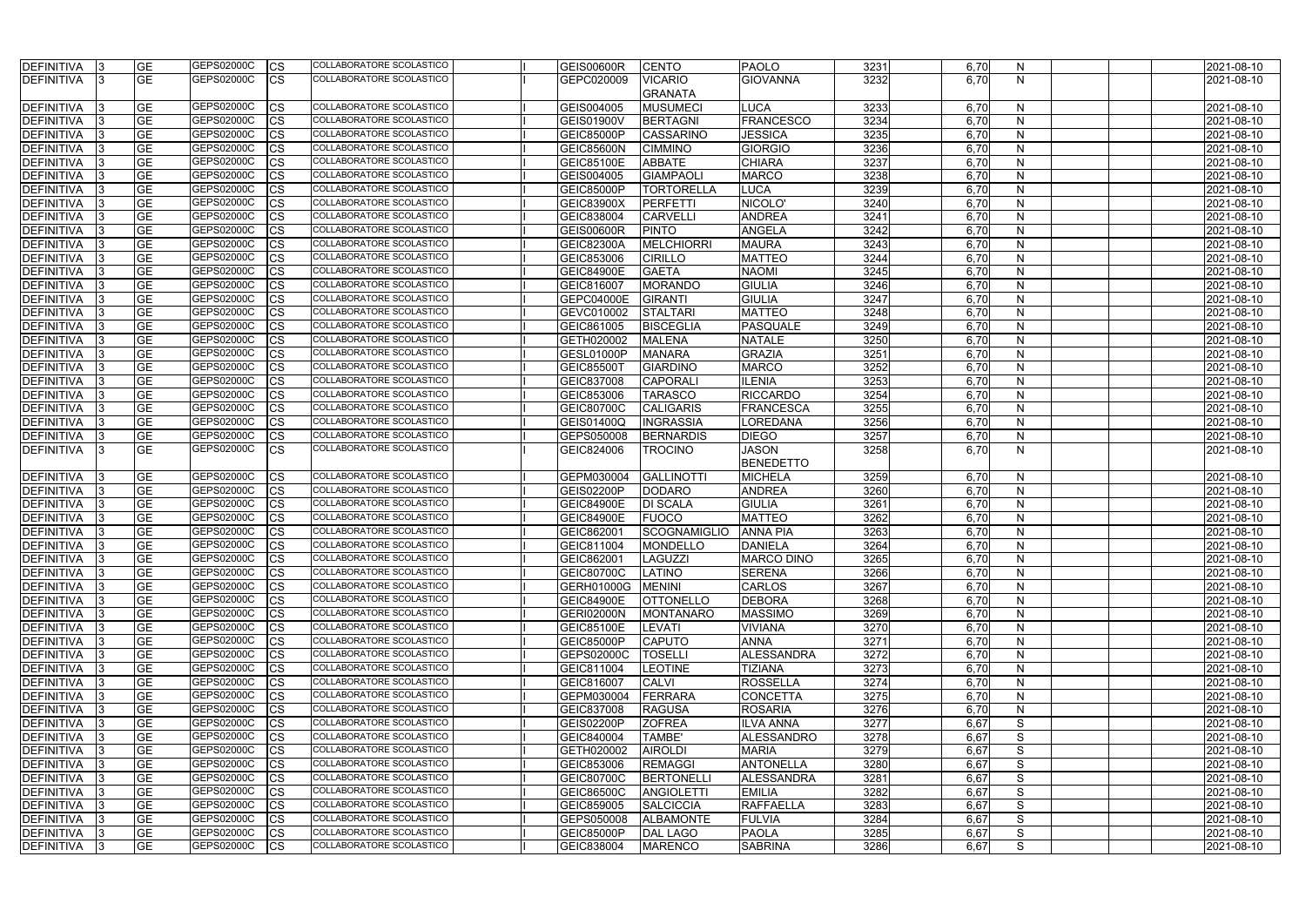| <b>DEFINITIVA</b> | <b>GE</b>  | GEPS02000C | <b>CS</b>  | COLLABORATORE SCOLASTICO        | <b>GEIS00600R</b> | <b>CENTO</b>      | <b>PAOLO</b>      | 3231 | 6,70 | N.           | 2021-08-10 |
|-------------------|------------|------------|------------|---------------------------------|-------------------|-------------------|-------------------|------|------|--------------|------------|
| <b>DEFINITIVA</b> | <b>GE</b>  | GEPS02000C | <b>CS</b>  | COLLABORATORE SCOLASTICO        | GEPC020009        | <b>VICARIO</b>    | <b>GIOVANNA</b>   | 3232 | 6,70 | N.           | 2021-08-10 |
|                   |            |            |            |                                 |                   | <b>GRANATA</b>    |                   |      |      |              |            |
| <b>DEFINITIVA</b> | <b>GE</b>  | GEPS02000C | <b>CS</b>  | COLLABORATORE SCOLASTICO        | GEIS004005        | MUSUMECI          | <b>LUCA</b>       | 3233 | 6,70 | N            | 2021-08-10 |
| <b>DEFINITIVA</b> | <b>GE</b>  | GEPS02000C | <b>CS</b>  | COLLABORATORE SCOLASTICO        | <b>GEIS01900V</b> | <b>BERTAGNI</b>   | <b>FRANCESCO</b>  | 3234 | 6,70 | N            | 2021-08-10 |
| <b>DEFINITIVA</b> | <b>GE</b>  | GEPS02000C | <b>CS</b>  | COLLABORATORE SCOLASTICO        | <b>GEIC85000P</b> | <b>CASSARINO</b>  | <b>JESSICA</b>    | 3235 | 6,70 | N            | 2021-08-10 |
| <b>DEFINITIVA</b> | <b>GE</b>  | GEPS02000C | <b>CS</b>  | COLLABORATORE SCOLASTICO        | <b>GEIC85600N</b> | <b>CIMMINO</b>    | <b>GIORGIO</b>    | 3236 | 6,70 | N            | 2021-08-10 |
| <b>DEFINITIVA</b> | <b>GE</b>  | GEPS02000C | <b>CS</b>  | COLLABORATORE SCOLASTICO        | <b>GEIC85100E</b> | <b>ABBATE</b>     | <b>CHIARA</b>     | 3237 | 6,70 | <sub>N</sub> | 2021-08-10 |
| <b>DEFINITIVA</b> | <b>GE</b>  | GEPS02000C | <b>CS</b>  | COLLABORATORE SCOLASTICO        | GEIS004005        | GIAMPAOLI         | <b>MARCO</b>      | 3238 | 6,70 | N            | 2021-08-10 |
| <b>DEFINITIVA</b> | <b>GE</b>  | GEPS02000C | <b>CS</b>  | COLLABORATORE SCOLASTICO        | <b>GEIC85000P</b> | <b>TORTORELLA</b> | <b>LUCA</b>       | 3239 | 6,70 | $\mathsf{N}$ | 2021-08-10 |
| <b>DEFINITIVA</b> | <b>GE</b>  | GEPS02000C | <b>CS</b>  | COLLABORATORE SCOLASTICO        | <b>GEIC83900X</b> | PERFETTI          | NICOLO'           | 3240 | 6,70 | N            | 2021-08-10 |
| <b>DEFINITIVA</b> | <b>GE</b>  | GEPS02000C | <b>CS</b>  | COLLABORATORE SCOLASTICO        | GEIC838004        | <b>CARVELLI</b>   | <b>ANDREA</b>     | 3241 | 6,70 | N            | 2021-08-10 |
| <b>DEFINITIVA</b> | <b>GE</b>  | GEPS02000C | <b>CS</b>  | COLLABORATORE SCOLASTICO        | <b>GEIS00600R</b> | PINTO             | <b>ANGELA</b>     | 3242 | 6,70 | $\mathsf{N}$ | 2021-08-10 |
|                   | <b>GE</b>  | GEPS02000C |            | COLLABORATORE SCOLASTICO        |                   |                   |                   |      |      |              |            |
| <b>DEFINITIVA</b> |            |            | CS         |                                 | GEIC82300A        | MELCHIORRI        | <b>MAURA</b>      | 3243 | 6,70 | N            | 2021-08-10 |
| DEFINITIVA        | <b>GE</b>  | GEPS02000C | <b>CS</b>  | COLLABORATORE SCOLASTICO        | GEIC853006        | <b>CIRILLO</b>    | <b>MATTEO</b>     | 3244 | 6,70 | N            | 2021-08-10 |
| <b>DEFINITIVA</b> | <b>GE</b>  | GEPS02000C | <b>CS</b>  | COLLABORATORE SCOLASTICO        | <b>GEIC84900E</b> | <b>GAETA</b>      | <b>NAOMI</b>      | 3245 | 6,70 | $\mathsf{N}$ | 2021-08-10 |
| <b>DEFINITIVA</b> | <b>GE</b>  | GEPS02000C | <b>CS</b>  | COLLABORATORE SCOLASTICO        | GEIC816007        | MORANDO           | <b>GIULIA</b>     | 3246 | 6,70 | N            | 2021-08-10 |
| <b>DEFINITIVA</b> | <b>GE</b>  | GEPS02000C | <b>CS</b>  | COLLABORATORE SCOLASTICO        | GEPC04000E        | GIRANTI           | <b>GIULIA</b>     | 3247 | 6,70 | N            | 2021-08-10 |
| <b>DEFINITIVA</b> | <b>GE</b>  | GEPS02000C | CS         | COLLABORATORE SCOLASTICO        | GEVC010002        | <b>STALTARI</b>   | <b>MATTEO</b>     | 3248 | 6,70 | N            | 2021-08-10 |
| <b>DEFINITIVA</b> | <b>GE</b>  | GEPS02000C | <b>CS</b>  | COLLABORATORE SCOLASTICO        | GEIC861005        | BISCEGLIA         | PASQUALE          | 3249 | 6,70 | N            | 2021-08-10 |
| <b>DEFINITIVA</b> | <b>GE</b>  | GEPS02000C | <b>CS</b>  | COLLABORATORE SCOLASTICO        | GETH020002        | <b>MALENA</b>     | <b>NATALE</b>     | 3250 | 6,70 | N.           | 2021-08-10 |
| <b>DEFINITIVA</b> | <b>GE</b>  | GEPS02000C | <b>CS</b>  | <b>COLLABORATORE SCOLASTICO</b> | GESL01000P        | <b>MANARA</b>     | <b>GRAZIA</b>     | 3251 | 6,70 | $\mathsf{N}$ | 2021-08-10 |
| <b>DEFINITIVA</b> | <b>GE</b>  | GEPS02000C | <b>CS</b>  | COLLABORATORE SCOLASTICO        | <b>GEIC85500T</b> | GIARDINO          | <b>MARCO</b>      | 3252 | 6,70 | $\mathsf{N}$ | 2021-08-10 |
| <b>DEFINITIVA</b> | <b>GE</b>  | GEPS02000C | <b>CS</b>  | COLLABORATORE SCOLASTICO        | GEIC837008        | <b>CAPORALI</b>   | <b>ILENIA</b>     | 3253 | 6,70 | N            | 2021-08-10 |
| <b>DEFINITIVA</b> | <b>GE</b>  | GEPS02000C | <b>CS</b>  | COLLABORATORE SCOLASTICO        | GEIC853006        | <b>TARASCO</b>    | <b>RICCARDO</b>   | 3254 | 6,70 | $\mathsf{N}$ | 2021-08-10 |
| <b>DEFINITIVA</b> | <b>GE</b>  | GEPS02000C | <b>CS</b>  | COLLABORATORE SCOLASTICO        | <b>GEIC80700C</b> | <b>CALIGARIS</b>  | <b>FRANCESCA</b>  | 3255 | 6,70 | $\mathsf{N}$ | 2021-08-10 |
| <b>DEFINITIVA</b> | <b>GE</b>  | GEPS02000C | <b>CS</b>  | COLLABORATORE SCOLASTICO        | GEIS01400Q        | <b>INGRASSIA</b>  | LOREDANA          | 3256 | 6,70 | $\mathsf{N}$ | 2021-08-10 |
| <b>DEFINITIVA</b> | <b>GE</b>  | GEPS02000C | <b>CS</b>  | COLLABORATORE SCOLASTICO        | GEPS050008        | <b>BERNARDIS</b>  | <b>DIEGO</b>      | 3257 | 6,70 | $\mathsf{N}$ | 2021-08-10 |
| <b>DEFINITIVA</b> | <b>GE</b>  | GEPS02000C | <b>CS</b>  | COLLABORATORE SCOLASTICO        | GEIC824006        | <b>TROCINO</b>    | <b>JASON</b>      | 3258 | 6,70 | N            | 2021-08-10 |
|                   |            |            |            |                                 |                   |                   | <b>BENEDETTO</b>  |      |      |              |            |
| DEFINITIVA        | <b>GE</b>  | GEPS02000C | <b>ICS</b> | COLLABORATORE SCOLASTICO        | GEPM030004        | <b>GALLINOTTI</b> | <b>MICHELA</b>    | 3259 | 6,70 | N            | 2021-08-10 |
| <b>DEFINITIVA</b> | <b>GE</b>  | GEPS02000C | <b>CS</b>  | COLLABORATORE SCOLASTICO        | GEIS02200P        | <b>DODARO</b>     | <b>ANDREA</b>     | 3260 | 6,70 | N            | 2021-08-10 |
| <b>DEFINITIVA</b> | <b>GE</b>  | GEPS02000C | <b>CS</b>  | COLLABORATORE SCOLASTICO        | <b>GEIC84900E</b> | <b>DI SCALA</b>   | <b>GIULIA</b>     | 3261 | 6,70 | N            | 2021-08-10 |
| <b>DEFINITIVA</b> | <b>GE</b>  | GEPS02000C | <b>ICS</b> | COLLABORATORE SCOLASTICO        | <b>GEIC84900E</b> | <b>FUOCO</b>      | <b>MATTEO</b>     | 3262 | 6,70 | N            | 2021-08-10 |
| <b>DEFINITIVA</b> | <b>GE</b>  | GEPS02000C | <b>CS</b>  | COLLABORATORE SCOLASTICO        | GEIC862001        | SCOGNAMIGLIO      | <b>ANNA PIA</b>   | 3263 | 6,70 | N            | 2021-08-10 |
|                   | <b>IGE</b> | GEPS02000C | <b>CS</b>  | COLLABORATORE SCOLASTICO        | GEIC811004        | MONDELLO          | <b>DANIELA</b>    | 3264 | 6,70 | N            |            |
| <b>DEFINITIVA</b> |            | GEPS02000C |            | COLLABORATORE SCOLASTICO        |                   |                   |                   |      |      |              | 2021-08-10 |
| <b>DEFINITIVA</b> | <b>GE</b>  |            | <b>CS</b>  | COLLABORATORE SCOLASTICO        | GEIC862001        | LAGUZZI           | <b>MARCO DINO</b> | 3265 | 6,70 | N            | 2021-08-10 |
| <b>DEFINITIVA</b> | <b>GE</b>  | GEPS02000C | <b>CS</b>  |                                 | <b>GEIC80700C</b> | LATINO            | <b>SERENA</b>     | 3266 | 6,70 | N            | 2021-08-10 |
| <b>DEFINITIVA</b> | <b>GE</b>  | GEPS02000C | <b>CS</b>  | COLLABORATORE SCOLASTICO        | <b>GERH01000G</b> | <b>MENINI</b>     | <b>CARLOS</b>     | 3267 | 6,70 | N            | 2021-08-10 |
| <b>DEFINITIVA</b> | <b>GE</b>  | GEPS02000C | <b>CS</b>  | COLLABORATORE SCOLASTICO        | <b>GEIC84900E</b> | <b>OTTONELLO</b>  | <b>DEBORA</b>     | 3268 | 6,70 | N            | 2021-08-10 |
| <b>DEFINITIVA</b> | <b>GE</b>  | GEPS02000C | <b>ICS</b> | COLLABORATORE SCOLASTICO        | <b>GERI02000N</b> | <b>MONTANARO</b>  | <b>MASSIMO</b>    | 3269 | 6,70 | N            | 2021-08-10 |
| DEFINITIVA        | <b>GE</b>  | GEPS02000C | <b>ICS</b> | COLLABORATORE SCOLASTICO        | <b>GEIC85100E</b> | <b>LEVATI</b>     | <b>VIVIANA</b>    | 3270 | 6,70 | N            | 2021-08-10 |
| DEFINITIVA        | <b>GE</b>  | GEPS02000C | <b>CS</b>  | COLLABORATORE SCOLASTICO        | GEIC85000P        | <b>CAPUTO</b>     | <b>ANNA</b>       | 3271 | 6,70 | N            | 2021-08-10 |
| DEFINITIVA        | <b>GE</b>  | GEPS02000C | <b>ICS</b> | COLLABORATORE SCOLASTICO        | GEPS02000C        | <b>TOSELLI</b>    | ALESSANDRA        | 3272 | 6,70 | N            | 2021-08-10 |
| DEFINITIVA        | <b>GE</b>  | GEPS02000C | <b>ICS</b> | COLLABORATORE SCOLASTICO        | GEIC811004        | <b>LEOTINE</b>    | <b>TIZIANA</b>    | 3273 | 6,70 | N            | 2021-08-10 |
| DEFINITIVA        | <b>GE</b>  | GEPS02000C | <b>ICS</b> | COLLABORATORE SCOLASTICO        | GEIC816007        | <b>CALVI</b>      | <b>ROSSELLA</b>   | 3274 | 6,70 | N            | 2021-08-10 |
| <b>DEFINITIVA</b> | <b>GE</b>  | GEPS02000C | <b>ICS</b> | COLLABORATORE SCOLASTICO        | GEPM030004        | FERRARA           | <b>CONCETTA</b>   | 3275 | 6,70 | $\mathsf{N}$ | 2021-08-10 |
| <b>DEFINITIVA</b> | <b>GE</b>  | GEPS02000C | <b>ICS</b> | COLLABORATORE SCOLASTICO        | GEIC837008        | <b>RAGUSA</b>     | <b>ROSARIA</b>    | 3276 | 6,70 | N            | 2021-08-10 |
| <b>DEFINITIVA</b> | <b>GE</b>  | GEPS02000C | <b>ICS</b> | COLLABORATORE SCOLASTICO        | GEIS02200P        | <b>ZOFREA</b>     | <b>ILVA ANNA</b>  | 3277 | 6,67 | S            | 2021-08-10 |
| <b>DEFINITIVA</b> | <b>GE</b>  | GEPS02000C | <b>ICS</b> | COLLABORATORE SCOLASTICO        | GEIC840004        | <b>TAMBE'</b>     | ALESSANDRO        | 3278 | 6,67 | S            | 2021-08-10 |
| <b>DEFINITIVA</b> | <b>GE</b>  | GEPS02000C | <b>ICS</b> | COLLABORATORE SCOLASTICO        | GETH020002        | <b>AIROLDI</b>    | <b>MARIA</b>      | 3279 | 6,67 | S            | 2021-08-10 |
| <b>DEFINITIVA</b> | <b>GE</b>  | GEPS02000C | <b>CS</b>  | COLLABORATORE SCOLASTICO        | GEIC853006        | <b>REMAGGI</b>    | <b>ANTONELLA</b>  | 3280 | 6,67 | S            | 2021-08-10 |
| <b>DEFINITIVA</b> | <b>GE</b>  | GEPS02000C | <b>ICS</b> | COLLABORATORE SCOLASTICO        | <b>GEIC80700C</b> | BERTONELLI        | ALESSANDRA        | 3281 | 6,67 | S            | 2021-08-10 |
| <b>DEFINITIVA</b> | <b>GE</b>  | GEPS02000C | <b>CS</b>  | COLLABORATORE SCOLASTICO        | <b>GEIC86500C</b> | <b>ANGIOLETTI</b> | <b>EMILIA</b>     | 3282 | 6,67 | S            | 2021-08-10 |
| DEFINITIVA        | <b>GE</b>  | GEPS02000C | <b>CS</b>  | COLLABORATORE SCOLASTICO        | GEIC859005        | <b>SALCICCIA</b>  | <b>RAFFAELLA</b>  | 3283 | 6,67 | S            | 2021-08-10 |
| <b>DEFINITIVA</b> | <b>GE</b>  | GEPS02000C | <b>ICS</b> | COLLABORATORE SCOLASTICO        | GEPS050008        | <b>ALBAMONTE</b>  | <b>FULVIA</b>     | 3284 | 6,67 | S            | 2021-08-10 |
| <b>DEFINITIVA</b> | <b>GE</b>  | GEPS02000C | <b>CS</b>  | COLLABORATORE SCOLASTICO        | GEIC85000P        | <b>DAL LAGO</b>   | <b>PAOLA</b>      | 3285 | 6,67 | S            | 2021-08-10 |
| <b>DEFINITIVA</b> | <b>GE</b>  | GEPS02000C | <b>CS</b>  | COLLABORATORE SCOLASTICO        | GEIC838004        | <b>MARENCO</b>    | <b>SABRINA</b>    | 3286 | 6,67 | S            | 2021-08-10 |
|                   |            |            |            |                                 |                   |                   |                   |      |      |              |            |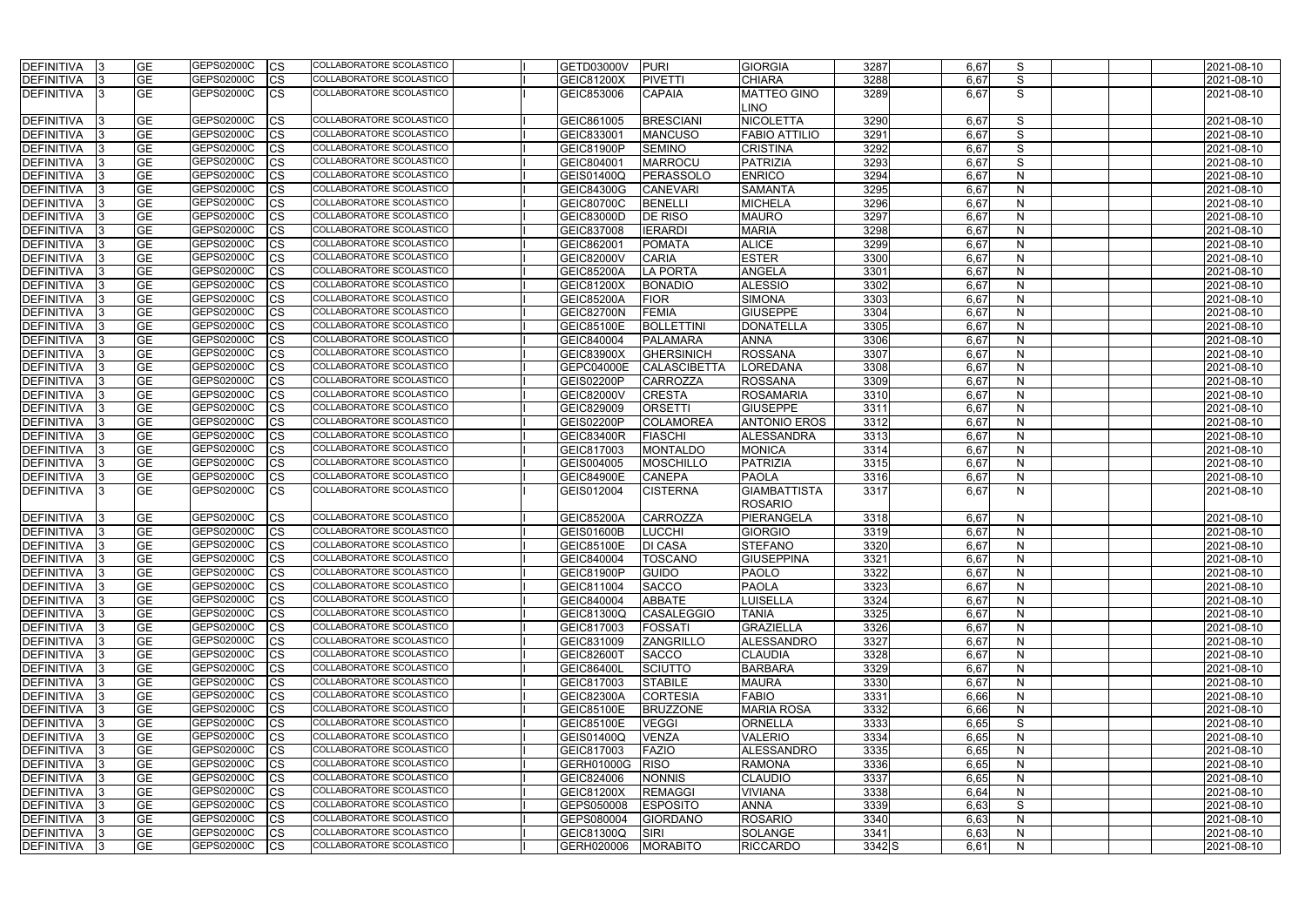| DEFINITIVA        | <b>GE</b>       | GEPS02000C<br><b>CS</b>  | COLLABORATORE SCOLASTICO        | GETD03000V        | <b>PURI</b>         | <b>GIORGIA</b>       | 3287  | 6,67 | S            | 2021-08-10 |
|-------------------|-----------------|--------------------------|---------------------------------|-------------------|---------------------|----------------------|-------|------|--------------|------------|
| <b>DEFINITIVA</b> | <b>GE</b>       | GEPS02000C<br>CS         | COLLABORATORE SCOLASTICO        | <b>GEIC81200X</b> | PIVETTI             | <b>CHIARA</b>        | 3288  | 6,67 | S            | 2021-08-10 |
| DEFINITIVA        | <b>GE</b>       | <b>GEPS02000C</b><br>CS  | COLLABORATORE SCOLASTICO        | GEIC853006        | <b>CAPAIA</b>       | <b>MATTEO GINO</b>   | 3289  | 6,67 | S            | 2021-08-10 |
|                   |                 |                          |                                 |                   |                     | LINO                 |       |      |              |            |
| <b>DEFINITIVA</b> | <b>GE</b>       | GEPS02000C<br>CS         | COLLABORATORE SCOLASTICO        | GEIC861005        | <b>BRESCIANI</b>    | <b>NICOLETTA</b>     | 3290  | 6,67 | S            | 2021-08-10 |
| <b>DEFINITIVA</b> | <b>GE</b>       | GEPS02000C<br>CS         | COLLABORATORE SCOLASTICO        | GEIC833001        | <b>MANCUSO</b>      | <b>FABIO ATTILIO</b> | 3291  | 6,67 | S            | 2021-08-10 |
| <b>DEFINITIVA</b> | <b>GE</b>       | GEPS02000C<br>СS         | COLLABORATORE SCOLASTICO        | GEIC81900P        | <b>SEMINO</b>       | <b>CRISTINA</b>      | 3292  | 6,67 | S            | 2021-08-10 |
| <b>DEFINITIVA</b> | <b>GE</b>       | GEPS02000C<br>CS         | <b>COLLABORATORE SCOLASTICO</b> | GEIC804001        | <b>MARROCU</b>      | <b>PATRIZIA</b>      | 3293  | 6,67 | S            | 2021-08-10 |
| <b>DEFINITIVA</b> | <b>GE</b>       | GEPS02000C<br>CS         | <b>COLLABORATORE SCOLASTICO</b> | GEIS01400Q        | PERASSOLO           | <b>ENRICO</b>        | 3294  | 6,67 | $\mathsf{N}$ | 2021-08-10 |
| <b>DEFINITIVA</b> | <b>GE</b>       | GEPS02000C<br>СS         | COLLABORATORE SCOLASTICO        | GEIC84300G        | <b>CANEVARI</b>     | <b>SAMANTA</b>       | 3295  | 6,67 | N            | 2021-08-10 |
| <b>DEFINITIVA</b> | $\overline{GE}$ | GEPS02000C<br>СS         | <b>COLLABORATORE SCOLASTICO</b> | <b>GEIC80700C</b> | <b>BENELLI</b>      | <b>MICHELA</b>       | 3296  | 6,67 | $\mathsf{N}$ | 2021-08-10 |
| <b>DEFINITIVA</b> | <b>GE</b>       | GEPS02000C<br>CS         | COLLABORATORE SCOLASTICO        | <b>GEIC83000D</b> | <b>DE RISO</b>      | <b>MAURO</b>         | 3297  | 6,67 | $\mathsf{N}$ | 2021-08-10 |
| DEFINITIVA        | <b>GE</b>       | GEPS02000C<br>СS         | COLLABORATORE SCOLASTICO        | GEIC837008        | <b>IERARDI</b>      | <b>MARIA</b>         | 3298  | 6,67 | N            | 2021-08-10 |
| <b>DEFINITIVA</b> | <b>GE</b>       | GEPS02000C<br>СS         | COLLABORATORE SCOLASTICO        | GEIC862001        | <b>POMATA</b>       | <b>ALICE</b>         | 3299  | 6,67 | $\mathsf{N}$ | 2021-08-10 |
| <b>DEFINITIVA</b> | <b>GE</b>       | GEPS02000C<br>СS         | COLLABORATORE SCOLASTICO        | <b>GEIC82000V</b> | <b>CARIA</b>        | <b>ESTER</b>         | 3300  | 6,67 | $\mathsf{N}$ | 2021-08-10 |
| <b>DEFINITIVA</b> | <b>GE</b>       | GEPS02000C<br>СS         | COLLABORATORE SCOLASTICO        | <b>GEIC85200A</b> | <b>LA PORTA</b>     | <b>ANGELA</b>        | 3301  | 6,67 | N            | 2021-08-10 |
| <b>DEFINITIVA</b> | <b>GE</b>       | GEPS02000C<br>СS         | COLLABORATORE SCOLASTICO        | <b>GEIC81200X</b> | <b>BONADIO</b>      | <b>ALESSIO</b>       | 3302  | 6,67 | N            | 2021-08-10 |
| <b>DEFINITIVA</b> | <b>GE</b>       | GEPS02000C<br>СS         | COLLABORATORE SCOLASTICO        | <b>GEIC85200A</b> | <b>FIOR</b>         | <b>SIMONA</b>        | 3303  | 6,67 | N            | 2021-08-10 |
| DEFINITIVA        | <b>GE</b>       | GEPS02000C<br>CS         | COLLABORATORE SCOLASTICO        | GEIC82700N        | <b>FEMIA</b>        | <b>GIUSEPPE</b>      | 3304  | 6,67 | N            | 2021-08-10 |
| <b>DEFINITIVA</b> | <b>GE</b>       | GEPS02000C<br>СS         | <b>COLLABORATORE SCOLASTICO</b> | <b>GEIC85100E</b> | <b>BOLLETTINI</b>   | <b>DONATELLA</b>     | 3305  | 6,67 | N            | 2021-08-10 |
| <b>DEFINITIVA</b> | <b>GE</b>       | GEPS02000C<br>СS         | <b>COLLABORATORE SCOLASTICO</b> | GEIC840004        | PALAMARA            | <b>ANNA</b>          | 3306  | 6,67 | $\mathsf{N}$ | 2021-08-10 |
| DEFINITIVA        | <b>GE</b>       | GEPS02000C<br>CS         | COLLABORATORE SCOLASTICO        | <b>GEIC83900X</b> | <b>GHERSINICH</b>   | <b>ROSSANA</b>       | 3307  | 6,67 | $\mathsf{N}$ | 2021-08-10 |
| <b>DEFINITIVA</b> | <b>GE</b>       | GEPS02000C<br>СS         | COLLABORATORE SCOLASTICO        | GEPC04000E        | <b>CALASCIBETTA</b> | LOREDANA             | 3308  | 6,67 | $\mathsf{N}$ | 2021-08-10 |
| <b>DEFINITIVA</b> | <b>GE</b>       | GEPS02000C<br>CS         | COLLABORATORE SCOLASTICO        | <b>GEIS02200P</b> | <b>CARROZZA</b>     | <b>ROSSANA</b>       | 3309  | 6,67 | $\mathsf{N}$ | 2021-08-10 |
| <b>DEFINITIVA</b> | <b>GE</b>       | GEPS02000C<br>СS         | <b>COLLABORATORE SCOLASTICO</b> | <b>GEIC82000V</b> | <b>CRESTA</b>       | <b>ROSAMARIA</b>     | 3310  | 6,67 | $\mathsf{N}$ | 2021-08-10 |
| DEFINITIVA        | <b>GE</b>       | GEPS02000C<br>СS         | COLLABORATORE SCOLASTICO        | GEIC829009        | <b>ORSETTI</b>      | <b>GIUSEPPE</b>      | 3311  | 6,67 | N            | 2021-08-10 |
| <b>DEFINITIVA</b> | <b>GE</b>       | GEPS02000C<br>СS         | COLLABORATORE SCOLASTICO        | <b>GEIS02200P</b> | <b>COLAMOREA</b>    | <b>ANTONIO EROS</b>  | 3312  | 6,67 | $\mathsf{N}$ | 2021-08-10 |
| DEFINITIVA        | <b>GE</b>       | GEPS02000C<br>СS         | COLLABORATORE SCOLASTICO        | GEIC83400R        | FIASCHI             | <b>ALESSANDRA</b>    | 3313  | 6,67 | N            | 2021-08-10 |
| <b>DEFINITIVA</b> | <b>GE</b>       | GEPS02000C<br>СS         | COLLABORATORE SCOLASTICO        | GEIC817003        | <b>MONTALDO</b>     | <b>MONICA</b>        | 3314  | 6,67 | N            | 2021-08-10 |
| <b>DEFINITIVA</b> | <b>GE</b>       | GEPS02000C<br>СS         | COLLABORATORE SCOLASTICO        | GEIS004005        | <b>MOSCHILLO</b>    | <b>PATRIZIA</b>      | 3315  | 6,67 | $\mathsf{N}$ | 2021-08-10 |
| <b>DEFINITIVA</b> | <b>GE</b>       | GEPS02000C<br>СS         | COLLABORATORE SCOLASTICO        | <b>GEIC84900E</b> | <b>CANEPA</b>       | <b>PAOLA</b>         | 3316  | 6,67 | N            | 2021-08-10 |
| <b>DEFINITIVA</b> | <b>GE</b>       | GEPS02000C<br>CS         | COLLABORATORE SCOLASTICO        | GEIS012004        | <b>CISTERNA</b>     | <b>GIAMBATTISTA</b>  | 3317  | 6,67 | N            | 2021-08-10 |
|                   |                 |                          |                                 |                   |                     | <b>ROSARIO</b>       |       |      |              |            |
| DEFINITIVA        | <b>GE</b>       | GEPS02000C<br><b>CS</b>  | COLLABORATORE SCOLASTICO        | <b>GEIC85200A</b> | <b>CARROZZA</b>     | PIERANGELA           | 3318  | 6,67 | N            | 2021-08-10 |
| <b>DEFINITIVA</b> | <b>GE</b>       | GEPS02000C<br>СS         | COLLABORATORE SCOLASTICO        | GEIS01600B        | <b>LUCCHI</b>       | <b>GIORGIO</b>       | 3319  | 6,67 | N            | 2021-08-10 |
| DEFINITIVA        | <b>GE</b>       | GEPS02000C<br>Ics        | COLLABORATORE SCOLASTICO        | <b>GEIC85100E</b> | <b>DI CASA</b>      | <b>STEFANO</b>       | 3320  | 6,67 | N            | 2021-08-10 |
| DEFINITIVA  3     | <b>GE</b>       | GEPS02000C<br><b>CS</b>  | COLLABORATORE SCOLASTICO        | GEIC840004        | <b>TOSCANO</b>      | <b>GIUSEPPINA</b>    | 3321  | 6,67 | N            | 2021-08-10 |
| DEFINITIVA        | <b>GE</b>       | GEPS02000C<br><b>CS</b>  | COLLABORATORE SCOLASTICO        | GEIC81900P        | GUIDO               | <b>PAOLO</b>         | 3322  | 6,67 | N            | 2021-08-10 |
| DEFINITIVA        | <b>GE</b>       | GEPS02000C<br><b>CS</b>  | COLLABORATORE SCOLASTICO        | GEIC811004        | <b>SACCO</b>        | <b>PAOLA</b>         | 3323  | 6,67 | $\mathsf{N}$ | 2021-08-10 |
| DEFINITIVA        | <b>GE</b>       | GEPS02000C<br><b>CS</b>  | <b>COLLABORATORE SCOLASTICO</b> | GEIC840004        | <b>ABBATE</b>       | <b>LUISELLA</b>      | 3324  | 6,67 | $\mathsf{N}$ | 2021-08-10 |
| DEFINITIVA        | <b>GE</b>       | GEPS02000C<br>СS         | COLLABORATORE SCOLASTICO        | GEIC81300Q        | <b>CASALEGGIO</b>   | <b>TANIA</b>         | 3325  | 6,67 | N            | 2021-08-10 |
| <b>DEFINITIVA</b> | <b>GE</b>       | GEPS02000C<br>CS         | COLLABORATORE SCOLASTICO        | GEIC817003        | FOSSATI             | <b>GRAZIELLA</b>     | 3326  | 6,67 | $\mathsf{N}$ | 2021-08-10 |
| DEFINITIVA        | <b>GE</b>       | GEPS02000C<br><b>ICS</b> | COLLABORATORE SCOLASTICO        | GEIC831009        | <b>ZANGRILLO</b>    | <b>ALESSANDRO</b>    | 3327  | 6,67 | N            | 2021-08-10 |
| <b>DEFINITIVA</b> | <b>GE</b>       | GEPS02000C<br><b>CS</b>  | <b>COLLABORATORE SCOLASTICO</b> | <b>GEIC82600T</b> | <b>SACCO</b>        | <b>CLAUDIA</b>       | 3328  | 6,67 | N            | 2021-08-10 |
| <b>DEFINITIVA</b> | <b>GE</b>       | GEPS02000C<br><b>CS</b>  | COLLABORATORE SCOLASTICO        | GEIC86400L        | <b>SCIUTTO</b>      | <b>BARBARA</b>       | 3329  | 6,67 | N            | 2021-08-10 |
| DEFINITIVA        | <b>GE</b>       | GEPS02000C<br><b>CS</b>  | COLLABORATORE SCOLASTICO        | GEIC817003        | <b>STABILE</b>      | <b>MAURA</b>         | 3330  | 6,67 | N            | 2021-08-10 |
| DEFINITIVA        | <b>GE</b>       | GEPS02000C<br><b>CS</b>  | COLLABORATORE SCOLASTICO        | <b>GEIC82300A</b> | <b>CORTESIA</b>     | <b>FABIO</b>         | 3331  | 6,66 | N            | 2021-08-10 |
| DEFINITIVA        | <b>GE</b>       | GEPS02000C<br><b>CS</b>  | COLLABORATORE SCOLASTICO        | <b>GEIC85100E</b> | <b>BRUZZONE</b>     | <b>MARIA ROSA</b>    | 3332  | 6,66 | N            | 2021-08-10 |
| DEFINITIVA        | <b>GE</b>       | GEPS02000C<br><b>ICS</b> | COLLABORATORE SCOLASTICO        | <b>GEIC85100E</b> | <b>VEGGI</b>        | <b>ORNELLA</b>       | 3333  | 6,65 | S            | 2021-08-10 |
| DEFINITIVA        | <b>GE</b>       | GEPS02000C<br>CS         | COLLABORATORE SCOLASTICO        | <b>GEIS01400Q</b> | <b>VENZA</b>        | <b>VALERIO</b>       | 3334  | 6,65 | N            | 2021-08-10 |
| DEFINITIVA        | <b>GE</b>       | GEPS02000C<br><b>CS</b>  | COLLABORATORE SCOLASTICO        | GEIC817003        | <b>FAZIO</b>        | <b>ALESSANDRO</b>    | 3335  | 6,65 | N            | 2021-08-10 |
| DEFINITIVA        | <b>GE</b>       | GEPS02000C<br>СS         | COLLABORATORE SCOLASTICO        | GERH01000G        | <b>RISO</b>         | <b>RAMONA</b>        | 3336  | 6,65 | $\mathsf{N}$ | 2021-08-10 |
| DEFINITIVA        | <b>GE</b>       | GEPS02000C<br>СS         | COLLABORATORE SCOLASTICO        | GEIC824006        | <b>NONNIS</b>       | <b>CLAUDIO</b>       | 3337  | 6,65 | N            | 2021-08-10 |
| DEFINITIVA        | <b>GE</b>       | GEPS02000C<br>СS         | COLLABORATORE SCOLASTICO        | <b>GEIC81200X</b> | <b>REMAGGI</b>      | <b>VIVIANA</b>       | 3338  | 6,64 | N            | 2021-08-10 |
| <b>DEFINITIVA</b> | <b>GE</b>       | GEPS02000C<br><b>CS</b>  | COLLABORATORE SCOLASTICO        | GEPS050008        | <b>ESPOSITO</b>     | <b>ANNA</b>          | 3339  | 6,63 | S            | 2021-08-10 |
| DEFINITIVA        | <b>GE</b>       | GEPS02000C<br><b>CS</b>  | COLLABORATORE SCOLASTICO        | GEPS080004        | GIORDANO            | <b>ROSARIO</b>       | 3340  | 6,63 | N            | 2021-08-10 |
| <b>DEFINITIVA</b> | <b>GE</b>       | GEPS02000C<br><b>CS</b>  | COLLABORATORE SCOLASTICO        | <b>GEIC81300Q</b> | <b>SIRI</b>         | <b>SOLANGE</b>       | 3341  | 6,63 | N            | 2021-08-10 |
| <b>DEFINITIVA</b> | <b>GE</b>       | GEPS02000C<br><b>ICS</b> | COLLABORATORE SCOLASTICO        | GERH020006        | <b>MORABITO</b>     | <b>RICCARDO</b>      | 3342S | 6,61 | $\mathsf{N}$ | 2021-08-10 |
|                   |                 |                          |                                 |                   |                     |                      |       |      |              |            |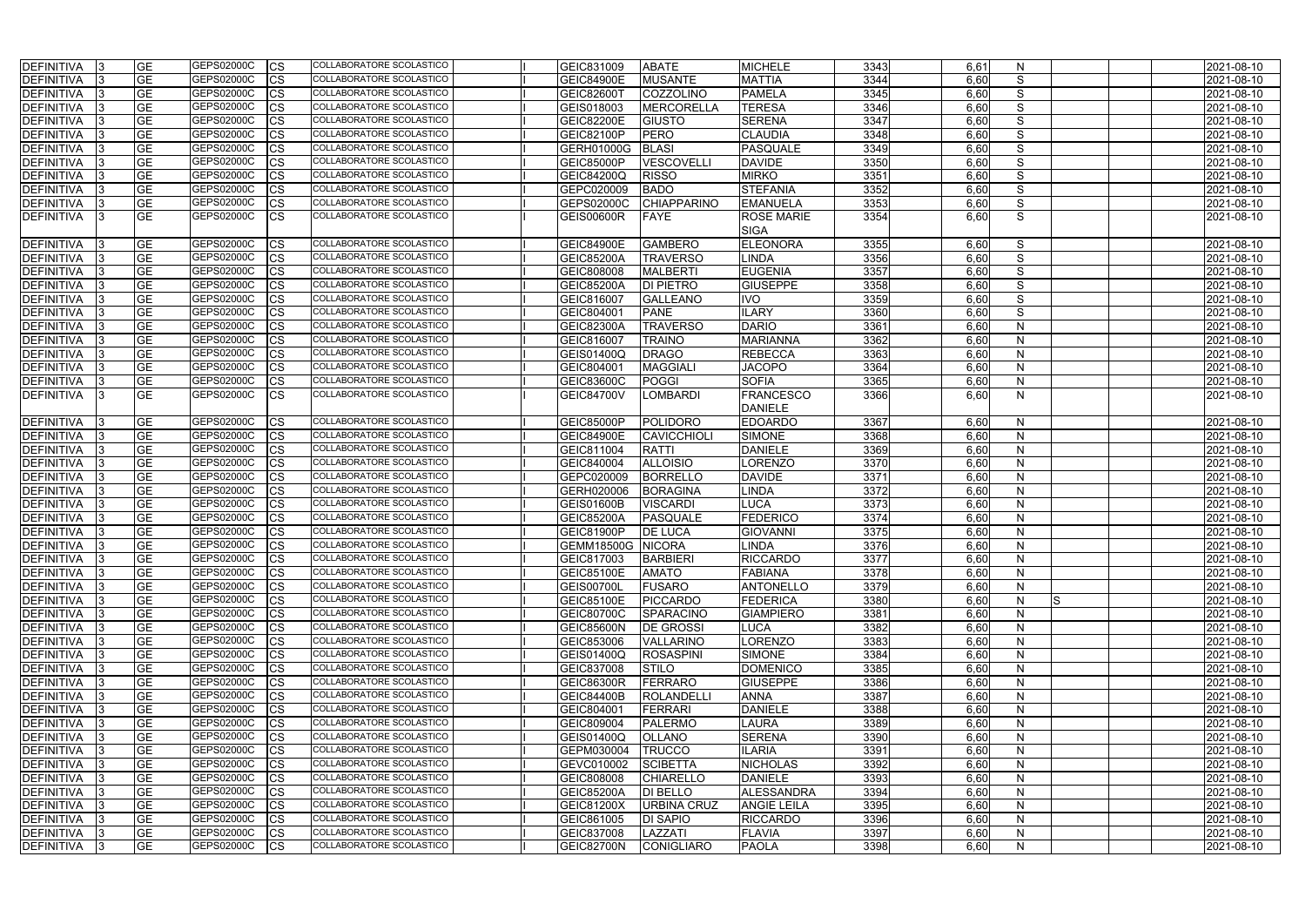| <b>DEFINITIVA</b> | <b>GE</b> | GEPS02000C | <b>CS</b>  | COLLABORATORE SCOLASTICO                             | GEIC831009        | <b>ABATE</b>       | <b>MICHELE</b>     | 3343 | 6,61 | N.           |    | 2021-08-10 |
|-------------------|-----------|------------|------------|------------------------------------------------------|-------------------|--------------------|--------------------|------|------|--------------|----|------------|
| <b>DEFINITIVA</b> | <b>GE</b> | GEPS02000C | <b>CS</b>  | COLLABORATORE SCOLASTICO                             | GEIC84900E        | <b>MUSANTE</b>     | <b>MATTIA</b>      | 3344 | 6,60 | S            |    | 2021-08-10 |
| <b>DEFINITIVA</b> | <b>GE</b> | GEPS02000C | <b>CS</b>  | COLLABORATORE SCOLASTICO                             | <b>GEIC82600T</b> | COZZOLINO          | <b>PAMELA</b>      | 3345 | 6,60 | S            |    | 2021-08-10 |
| DEFINITIVA        | <b>GE</b> | GEPS02000C | CS         | COLLABORATORE SCOLASTICO                             | GEIS018003        | MERCORELLA         | <b>TERESA</b>      | 3346 | 6,60 | S            |    | 2021-08-10 |
| <b>DEFINITIVA</b> | GE        | GEPS02000C | <b>CS</b>  | COLLABORATORE SCOLASTICO                             | <b>GEIC82200E</b> | <b>GIUSTO</b>      | <b>SERENA</b>      | 3347 | 6,60 | S            |    | 2021-08-10 |
| DEFINITIVA        | <b>GE</b> | GEPS02000C | <b>CS</b>  | COLLABORATORE SCOLASTICO                             | GEIC82100P        | PERO               | <b>CLAUDIA</b>     | 3348 | 6,60 | S            |    | 2021-08-10 |
| DEFINITIVA        | <b>GE</b> | GEPS02000C | <b>CS</b>  | COLLABORATORE SCOLASTICO                             | <b>GERH01000G</b> | <b>BLASI</b>       | <b>PASQUALE</b>    | 3349 | 6,60 | S            |    | 2021-08-10 |
| <b>DEFINITIVA</b> | <b>GE</b> | GEPS02000C | <b>CS</b>  | COLLABORATORE SCOLASTICO                             | <b>GEIC85000P</b> | VESCOVELLI         | <b>DAVIDE</b>      | 3350 | 6,60 | S            |    | 2021-08-10 |
| <b>DEFINITIVA</b> | <b>GE</b> | GEPS02000C | CS         | COLLABORATORE SCOLASTICO                             | <b>GEIC84200Q</b> | <b>RISSO</b>       | <b>MIRKO</b>       | 3351 | 6,60 | S            |    | 2021-08-10 |
| <b>DEFINITIVA</b> | <b>GE</b> | GEPS02000C | CS         | COLLABORATORE SCOLASTICO                             | GEPC020009        | <b>BADO</b>        | <b>STEFANIA</b>    | 3352 | 6,60 | S            |    | 2021-08-10 |
| <b>DEFINITIVA</b> | GЕ        | GEPS02000C | CS         | COLLABORATORE SCOLASTICO                             | GEPS02000C        | <b>CHIAPPARINO</b> | <b>EMANUELA</b>    | 3353 | 6,60 | S            |    | 2021-08-10 |
| <b>DEFINITIVA</b> | <b>GE</b> | GEPS02000C | <b>CS</b>  | COLLABORATORE SCOLASTICO                             | <b>GEIS00600R</b> | <b>FAYE</b>        | <b>ROSE MARIE</b>  | 3354 | 6,60 | S            |    | 2021-08-10 |
|                   |           |            |            |                                                      |                   |                    | <b>SIGA</b>        |      |      |              |    |            |
| <b>DEFINITIVA</b> | GE        | GEPS02000C | CS         | COLLABORATORE SCOLASTICO                             | <b>GEIC84900E</b> | <b>GAMBERO</b>     | <b>ELEONORA</b>    | 3355 | 6,60 | S            |    | 2021-08-10 |
| <b>DEFINITIVA</b> | GЕ        | GEPS02000C | CS         | COLLABORATORE SCOLASTICO                             | <b>GEIC85200A</b> | <b>TRAVERSO</b>    | <b>LINDA</b>       | 3356 | 6,60 | S            |    | 2021-08-10 |
| <b>DEFINITIVA</b> | <b>GE</b> | GEPS02000C | <b>CS</b>  | COLLABORATORE SCOLASTICO                             | GEIC808008        | <b>MALBERTI</b>    | <b>EUGENIA</b>     | 3357 | 6,60 | S            |    | 2021-08-10 |
| <b>DEFINITIVA</b> | GЕ        | GEPS02000C | CS         | COLLABORATORE SCOLASTICO                             | <b>GEIC85200A</b> | <b>DI PIETRO</b>   | <b>GIUSEPPE</b>    | 3358 | 6,60 | S            |    | 2021-08-10 |
| <b>DEFINITIVA</b> | <b>GE</b> | GEPS02000C | <b>CS</b>  | COLLABORATORE SCOLASTICO                             | GEIC816007        | <b>GALLEANO</b>    | <b>IVO</b>         | 3359 | 6,60 | S            |    | 2021-08-10 |
| <b>DEFINITIVA</b> | <b>GE</b> | GEPS02000C | <b>CS</b>  | COLLABORATORE SCOLASTICO                             | GEIC804001        | <b>PANE</b>        | <b>ILARY</b>       | 3360 | 6,60 | S            |    | 2021-08-10 |
| <b>DEFINITIVA</b> | <b>GE</b> | GEPS02000C | <b>CS</b>  | COLLABORATORE SCOLASTICO                             | GEIC82300A        | <b>TRAVERSO</b>    | <b>DARIO</b>       | 3361 | 6,60 | N            |    | 2021-08-10 |
| <b>DEFINITIVA</b> | <b>GE</b> | GEPS02000C | <b>CS</b>  | COLLABORATORE SCOLASTICO                             | GEIC816007        | <b>TRAINO</b>      | <b>MARIANNA</b>    | 3362 | 6,60 | N            |    | 2021-08-10 |
| <b>DEFINITIVA</b> | <b>GE</b> | GEPS02000C | <b>CS</b>  | COLLABORATORE SCOLASTICO                             | GEIS01400Q        | <b>DRAGO</b>       | <b>REBECCA</b>     | 3363 | 6,60 | N            |    | 2021-08-10 |
| <b>DEFINITIVA</b> | GE        | GEPS02000C | CS         | COLLABORATORE SCOLASTICO                             | GEIC804001        | <b>MAGGIAL</b>     | <b>JACOPO</b>      | 3364 | 6,60 | N            |    | 2021-08-10 |
| DEFINITIVA        | GЕ        | GEPS02000C | CS         | COLLABORATORE SCOLASTICO                             | GEIC83600C        | <b>POGGI</b>       | <b>SOFIA</b>       | 3365 | 6,60 | N            |    | 2021-08-10 |
| <b>DEFINITIVA</b> | <b>GE</b> | GEPS02000C | <b>CS</b>  | COLLABORATORE SCOLASTICO                             | <b>GEIC84700V</b> | LOMBARDI           | <b>FRANCESCO</b>   | 3366 | 6,60 | N            |    | 2021-08-10 |
|                   |           |            |            |                                                      |                   |                    | <b>DANIELE</b>     |      |      |              |    |            |
| <b>DEFINITIVA</b> | GЕ        | GEPS02000C | <b>CS</b>  | COLLABORATORE SCOLASTICO                             | GEIC85000P        | POLIDORO           | <b>EDOARDO</b>     | 3367 | 6,60 | N            |    | 2021-08-10 |
| <b>DEFINITIVA</b> | <b>GE</b> | GEPS02000C | CS         | COLLABORATORE SCOLASTICO                             | <b>GEIC84900E</b> | CAVICCHIOLI        | <b>SIMONE</b>      | 3368 | 6,60 | N            |    | 2021-08-10 |
| <b>DEFINITIVA</b> | GЕ        | GEPS02000C | <b>CS</b>  | COLLABORATORE SCOLASTICO                             | GEIC811004        | <b>RATTI</b>       | <b>DANIELE</b>     | 3369 | 6,60 | N            |    | 2021-08-10 |
| <b>DEFINITIVA</b> | GE        | GEPS02000C | CS         | COLLABORATORE SCOLASTICO                             | GEIC840004        | <b>ALLOISIO</b>    | <b>LORENZO</b>     | 3370 | 6,60 | N            |    | 2021-08-10 |
| <b>DEFINITIVA</b> | <b>GE</b> | GEPS02000C | <b>CS</b>  | COLLABORATORE SCOLASTICO                             | GEPC020009        | <b>BORRELLO</b>    | <b>DAVIDE</b>      | 3371 | 6,60 | N            |    | 2021-08-10 |
| <b>DEFINITIVA</b> | GE        | GEPS02000C | <b>CS</b>  | COLLABORATORE SCOLASTICO                             | GERH020006        | BORAGINA           | <b>LINDA</b>       | 3372 | 6,60 | N            |    | 2021-08-10 |
| <b>DEFINITIVA</b> | <b>GE</b> | GEPS02000C | <b>CS</b>  | COLLABORATORE SCOLASTICO                             | <b>GEIS01600B</b> | <b>VISCARDI</b>    | <b>LUCA</b>        | 3373 | 6,60 | N            |    | 2021-08-10 |
| <b>DEFINITIVA</b> | <b>GE</b> | GEPS02000C | <b>CS</b>  | COLLABORATORE SCOLASTICO                             | GEIC85200A        | PASQUALE           | <b>FEDERICO</b>    | 3374 | 6,60 | N            |    | 2021-08-10 |
| <b>DEFINITIVA</b> | GЕ        | GEPS02000C | CS         | COLLABORATORE SCOLASTICO                             | GEIC81900P        | <b>DE LUCA</b>     | <b>GIOVANNI</b>    | 3375 | 6,60 | N            |    | 2021-08-10 |
| <b>DEFINITIVA</b> | <b>GE</b> | GEPS02000C | <b>CS</b>  | COLLABORATORE SCOLASTICO                             | GEMM18500G NICORA |                    | <b>LINDA</b>       | 3376 | 6.60 | N            |    | 2021-08-10 |
| DEFINITIVA        | <b>GE</b> | GEPS02000C | <b>ICS</b> | COLLABORATORE SCOLASTICO                             | GEIC817003        | BARBIERI           | <b>RICCARDO</b>    | 3377 | 6,60 | N.           |    | 2021-08-10 |
| <b>DEFINITIVA</b> | <b>GE</b> | GEPS02000C | <b>CS</b>  | COLLABORATORE SCOLASTICO                             | <b>GEIC85100E</b> | <b>AMATO</b>       | <b>FABIANA</b>     | 3378 | 6,60 | N            |    | 2021-08-10 |
| DEFINITIVA        | <b>GE</b> | GEPS02000C | <b>ICS</b> | COLLABORATORE SCOLASTICO                             | <b>GEIS00700L</b> | <b>FUSARO</b>      | <b>ANTONELLO</b>   | 3379 | 6,60 | N            |    | 2021-08-10 |
| <b>DEFINITIVA</b> | <b>GE</b> | GEPS02000C | <b>CS</b>  | COLLABORATORE SCOLASTICO                             | <b>GEIC85100E</b> | PICCARDO           | <b>FEDERICA</b>    | 3380 | 6,60 | N            | 'S | 2021-08-10 |
| <b>DEFINITIVA</b> | <b>GE</b> | GEPS02000C | <b>CS</b>  | COLLABORATORE SCOLASTICO                             | <b>GEIC80700C</b> | <b>SPARACINO</b>   | <b>GIAMPIERO</b>   | 3381 | 6,60 | $\mathsf{N}$ |    | 2021-08-10 |
| <b>DEFINITIVA</b> | <b>GE</b> | GEPS02000C | <b>CS</b>  | COLLABORATORE SCOLASTICO                             | GEIC85600N        | <b>IDE GROSSI</b>  | <b>LUCA</b>        | 3382 | 6,60 | N            |    | 2021-08-10 |
| <b>DEFINITIVA</b> | <b>GE</b> | GEPS02000C | <b>CS</b>  | COLLABORATORE SCOLASTICO                             | GEIC853006        | <b>VALLARINO</b>   | <b>LORENZO</b>     | 3383 | 6,60 | N            |    | 2021-08-10 |
| <b>DEFINITIVA</b> | <b>GE</b> | GEPS02000C | <b>ICS</b> | COLLABORATORE SCOLASTICO                             | <b>GEIS01400Q</b> | <b>ROSASPINI</b>   | <b>SIMONE</b>      | 3384 | 6,60 | $\mathsf{N}$ |    | 2021-08-10 |
| DEFINITIVA        | <b>GE</b> | GEPS02000C | <b>CS</b>  | COLLABORATORE SCOLASTICO                             | GEIC837008        | <b>STILO</b>       | <b>DOMENICO</b>    | 3385 | 6,60 | N            |    | 2021-08-10 |
| <b>DEFINITIVA</b> | <b>GE</b> | GEPS02000C | <b>CS</b>  | COLLABORATORE SCOLASTICO                             | <b>GEIC86300R</b> | FERRARO            | <b>GIUSEPPE</b>    | 3386 | 6,60 | N            |    | 2021-08-10 |
| <b>DEFINITIVA</b> | <b>GE</b> | GEPS02000C | <b>CS</b>  | COLLABORATORE SCOLASTICO                             | <b>GEIC84400B</b> | ROLANDELLI         | <b>ANNA</b>        | 3387 | 6,60 | $\mathsf{N}$ |    | 2021-08-10 |
| <b>DEFINITIVA</b> | <b>GE</b> | GEPS02000C | <b>CS</b>  | COLLABORATORE SCOLASTICO                             | GEIC804001        | FERRARI            | <b>DANIELE</b>     | 3388 | 6,60 | N            |    | 2021-08-10 |
| <b>DEFINITIVA</b> | <b>GE</b> | GEPS02000C | CS         | COLLABORATORE SCOLASTICO                             | GEIC809004        | PALERMO            | <b>LAURA</b>       | 3389 | 6,60 | N            |    | 2021-08-10 |
| <b>DEFINITIVA</b> | <b>GE</b> | GEPS02000C | <b>CS</b>  | COLLABORATORE SCOLASTICO                             | <b>GEIS01400Q</b> | <b>OLLANO</b>      | <b>SERENA</b>      | 3390 | 6,60 | $\mathsf{N}$ |    | 2021-08-10 |
| DEFINITIVA        | <b>GE</b> | GEPS02000C | <b>CS</b>  | COLLABORATORE SCOLASTICO                             | GEPM030004        | <b>TRUCCO</b>      | <b>ILARIA</b>      | 3391 | 6,60 | N            |    | 2021-08-10 |
| DEFINITIVA        | <b>GE</b> | GEPS02000C | <b>CS</b>  | COLLABORATORE SCOLASTICO                             | GEVC010002        | <b>SCIBETTA</b>    | <b>NICHOLAS</b>    | 3392 | 6,60 | N            |    | 2021-08-10 |
| <b>DEFINITIVA</b> | <b>GE</b> | GEPS02000C | <b>ICS</b> | COLLABORATORE SCOLASTICO                             | GEIC808008        | <b>CHIARELLO</b>   | <b>DANIELE</b>     | 3393 | 6,60 | N            |    | 2021-08-10 |
| <b>DEFINITIVA</b> | <b>GE</b> | GEPS02000C | <b>ICS</b> | COLLABORATORE SCOLASTICO                             | <b>GEIC85200A</b> | <b>DI BELLO</b>    | ALESSANDRA         | 3394 | 6,60 | N            |    | 2021-08-10 |
| <b>DEFINITIVA</b> | <b>GE</b> | GEPS02000C | <b>CS</b>  | COLLABORATORE SCOLASTICO<br>COLLABORATORE SCOLASTICO | GEIC81200X        | <b>URBINA CRUZ</b> | <b>ANGIE LEILA</b> | 3395 | 6,60 | N            |    | 2021-08-10 |
| <b>DEFINITIVA</b> | <b>GE</b> | GEPS02000C | <b>CS</b>  | COLLABORATORE SCOLASTICO                             | GEIC861005        | <b>DI SAPIO</b>    | <b>RICCARDO</b>    | 3396 | 6,60 | $\mathsf{N}$ |    | 2021-08-10 |
| <b>DEFINITIVA</b> | <b>GE</b> | GEPS02000C | <b>ICS</b> | COLLABORATORE SCOLASTICO                             | GEIC837008        | LAZZATI            | <b>FLAVIA</b>      | 3397 | 6,60 | N            |    | 2021-08-10 |
| <b>DEFINITIVA</b> | <b>GE</b> | GEPS02000C | <b>CS</b>  |                                                      | GEIC82700N        | CONIGLIARO         | <b>PAOLA</b>       | 3398 | 6,60 | N            |    | 2021-08-10 |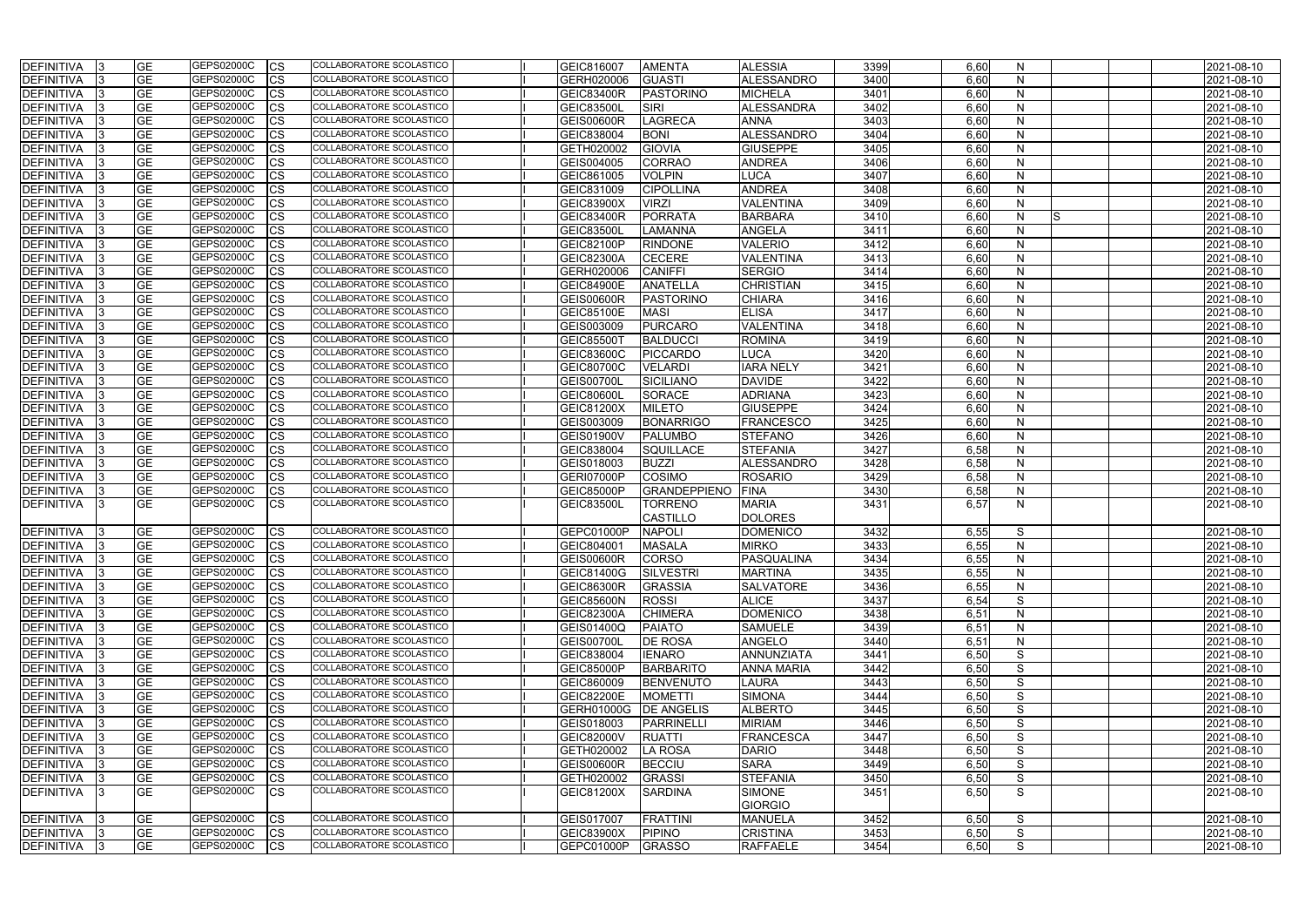| <b>GE</b><br>GEPS02000C<br>CS<br>COLLABORATORE SCOLASTICO<br><b>GUASTI</b><br><b>ALESSANDRO</b><br>3400<br>6,60<br>$\mathsf{N}$<br>DEFINITIVA<br>GERH020006<br>2021-08-10<br><b>GE</b><br>GEPS02000C<br>6,60<br>$\mathsf{N}$<br><b>DEFINITIVA</b><br>СS<br>COLLABORATORE SCOLASTICO<br>GEIC83400R<br>3401<br>2021-08-10<br><b>PASTORINO</b><br><b>MICHELA</b><br><b>GE</b><br>GEPS02000C<br><b>DEFINITIVA</b><br>СS<br>COLLABORATORE SCOLASTICO<br>GEIC83500L<br><b>ALESSANDRA</b><br>3402<br>6,60<br>2021-08-10<br><b>SIRI</b><br>N<br><b>GE</b><br>GEPS02000C<br><b>DEFINITIVA</b><br>CS<br>COLLABORATORE SCOLASTICO<br>GEIS00600R<br><b>LAGRECA</b><br>3403<br>6,60<br>$\mathsf{N}$<br>2021-08-10<br><b>ANNA</b><br><b>GE</b><br>GEPS02000C<br><b>COLLABORATORE SCOLASTICO</b><br><b>ALESSANDRO</b><br>6,60<br>2021-08-10<br>DEFINITIVA<br>CS<br>GEIC838004<br><b>BONI</b><br>3404<br>N<br><b>GE</b><br>GEPS02000C<br>COLLABORATORE SCOLASTICO<br>DEFINITIVA<br>GETH020002<br>GIOVIA<br><b>GIUSEPPE</b><br>3405<br>6,60<br>2021-08-10<br>СS<br>N<br><b>GE</b><br>GEPS02000C<br><b>COLLABORATORE SCOLASTICO</b><br>DEFINITIVA<br>CS<br>GEIS004005<br><b>CORRAO</b><br><b>ANDREA</b><br>3406<br>6,60<br>$\mathsf{N}$<br>2021-08-10<br><b>GE</b><br>GEPS02000C<br>COLLABORATORE SCOLASTICO<br>LUCA<br>3407<br>6,60<br>$\mathsf{N}$<br>2021-08-10<br><b>DEFINITIVA</b><br>CS<br>GEIC861005<br><b>VOLPIN</b><br><b>GE</b><br>GEPS02000C<br><b>COLLABORATORE SCOLASTICO</b><br><b>CIPOLLINA</b><br><b>ANDREA</b><br>3408<br>6,60<br><b>DEFINITIVA</b><br>СS<br>GEIC831009<br>N<br>2021-08-10<br>$\overline{GE}$<br>GEPS02000C<br><b>COLLABORATORE SCOLASTICO</b><br><b>VIRZI</b><br><b>VALENTINA</b><br>3409<br>$\mathsf{N}$<br><b>DEFINITIVA</b><br>СS<br><b>GEIC83900X</b><br>6,60<br>2021-08-10<br><b>GE</b><br>GEPS02000C<br>COLLABORATORE SCOLASTICO<br>PORRATA<br>3410<br>6,60<br>$\mathsf{N}$<br><b>DEFINITIVA</b><br>CS<br><b>GEIC83400R</b><br><b>BARBARA</b><br>2021-08-10<br><b>GE</b><br>GEPS02000C<br>CS<br>LAMANNA<br>3411<br>6,60<br>DEFINITIVA<br>COLLABORATORE SCOLASTICO<br><b>GEIC83500L</b><br><b>ANGELA</b><br>N<br>2021-08-10<br><b>GE</b><br>GEPS02000C<br>3412<br>6,60<br>$\mathsf{N}$<br><b>DEFINITIVA</b><br>СS<br>COLLABORATORE SCOLASTICO<br><b>GEIC82100P</b><br><b>RINDONE</b><br><b>VALERIO</b><br>2021-08-10<br><b>GE</b><br>GEPS02000C<br>COLLABORATORE SCOLASTICO<br>6,60<br><b>DEFINITIVA</b><br>СS<br><b>GEIC82300A</b><br><b>CECERE</b><br><b>VALENTINA</b><br>3413<br>N<br>2021-08-10<br><b>GE</b><br>GEPS02000C<br>COLLABORATORE SCOLASTICO<br>3414<br>6,60<br><b>DEFINITIVA</b><br>СS<br>GERH020006<br><b>CANIFFI</b><br><b>SERGIO</b><br>N<br>2021-08-10<br><b>GE</b><br>GEPS02000C<br><b>CHRISTIAN</b><br>3415<br><b>DEFINITIVA</b><br>СS<br>COLLABORATORE SCOLASTICO<br><b>GEIC84900E</b><br><b>ANATELLA</b><br>6,60<br>N<br>2021-08-10<br><b>GE</b><br>GEPS02000C<br><b>DEFINITIVA</b><br>СS<br>COLLABORATORE SCOLASTICO<br><b>GEIS00600R</b><br>PASTORINO<br><b>CHIARA</b><br>3416<br>6,60<br>N<br>2021-08-10<br><b>GE</b><br>GEPS02000C<br>COLLABORATORE SCOLASTICO<br>DEFINITIVA<br>CS<br><b>MASI</b><br>3417<br><b>GEIC85100E</b><br><b>ELISA</b><br>6,60<br>N<br>2021-08-10<br><b>GE</b><br>GEPS02000C<br>COLLABORATORE SCOLASTICO<br>PURCARO<br><b>VALENTINA</b><br><b>DEFINITIVA</b><br>СS<br>GEIS003009<br>3418<br>6,60<br>N<br>2021-08-10<br><b>GE</b><br>GEPS02000C<br>COLLABORATORE SCOLASTICO<br>3419<br>6,60<br>$\mathsf{N}$<br><b>DEFINITIVA</b><br>СS<br><b>GEIC85500T</b><br><b>BALDUCCI</b><br><b>ROMINA</b><br>2021-08-10<br><b>GE</b><br>GEPS02000C<br>COLLABORATORE SCOLASTICO<br>CS<br>GEIC83600C<br>PICCARDO<br><b>LUCA</b><br>3420<br>6,60<br>$\mathsf{N}$<br><b>DEFINITIVA</b><br>2021-08-10<br><b>GE</b><br>GEPS02000C<br><b>COLLABORATORE SCOLASTICO</b><br><b>VELARDI</b><br>3421<br><b>DEFINITIVA</b><br>СS<br><b>GEIC80700C</b><br><b>IARA NELY</b><br>6,60<br>N<br>2021-08-10<br><b>GE</b><br>GEPS02000C<br>COLLABORATORE SCOLASTICO<br>SICILIANO<br><b>DAVIDE</b><br>3422<br>6,60<br>$\mathsf{N}$<br><b>DEFINITIVA</b><br>CS<br><b>GEIS00700L</b><br>2021-08-10<br><b>GE</b><br>GEPS02000C<br><b>COLLABORATORE SCOLASTICO</b><br>CS<br><b>ADRIANA</b><br>3423<br>6,60<br>$\mathsf{N}$<br><b>DEFINITIVA</b><br><b>GEIC80600L</b><br><b>SORACE</b><br>2021-08-10<br><b>GE</b><br>GEPS02000C<br>COLLABORATORE SCOLASTICO<br>3424<br>6,60<br>СS<br><b>MILETO</b><br><b>GIUSEPPE</b><br>N<br>2021-08-10<br>DEFINITIVA<br>GEIC81200X<br><b>GE</b><br>GEPS02000C<br>3425<br>6,60<br><b>DEFINITIVA</b><br>СS<br>COLLABORATORE SCOLASTICO<br>GEIS003009<br><b>BONARRIGO</b><br><b>FRANCESCO</b><br>N<br>2021-08-10<br><b>GE</b><br>GEPS02000C<br>6,60<br>СS<br>COLLABORATORE SCOLASTICO<br><b>GEIS01900V</b><br><b>STEFANO</b><br>3426<br>N<br>2021-08-10<br>DEFINITIVA<br><b>PALUMBO</b><br><b>GE</b><br>GEPS02000C<br>COLLABORATORE SCOLASTICO<br>3427<br>2021-08-10<br><b>DEFINITIVA</b><br>СS<br>GEIC838004<br><b>SQUILLACE</b><br><b>STEFANIA</b><br>6,58<br>N<br><b>GE</b><br>GEPS02000C<br><b>DEFINITIVA</b><br>COLLABORATORE SCOLASTICO<br><b>BUZZI</b><br><b>ALESSANDRO</b><br>3428<br>6,58<br>2021-08-10<br>СS<br>GEIS018003<br>N<br><b>GE</b><br>GEPS02000C<br><b>COLLABORATORE SCOLASTICO</b><br>3429<br><b>DEFINITIVA</b><br>СS<br><b>GERI07000P</b><br><b>COSIMO</b><br><b>ROSARIO</b><br>6,58<br>N<br>2021-08-10<br><b>GE</b><br>GEPS02000C<br>COLLABORATORE SCOLASTICO<br>СS<br><b>GEIC85000P</b><br><b>GRANDEPPIENO</b><br>3430<br>6,58<br>N<br>2021-08-10<br><b>DEFINITIVA</b><br><b>FINA</b><br><b>GE</b><br>COLLABORATORE SCOLASTICO<br><b>GEPS02000C</b><br><b>CS</b><br><b>MARIA</b><br>6,57<br><b>GEIC83500L</b><br><b>TORRENO</b><br>3431<br>N<br>2021-08-10<br><b>DEFINITIVA</b><br><b>CASTILLO</b><br><b>DOLORES</b><br><b>GE</b><br>GEPS02000C<br>COLLABORATORE SCOLASTICO<br>DEFINITIVA<br><b>GEPC01000P</b><br><b>NAPOLI</b><br><b>DOMENICO</b><br>3432<br>6,55<br>S<br>2021-08-10<br>CS<br><b>DEFINITIVA</b><br><b>GE</b><br>GEPS02000C<br>COLLABORATORE SCOLASTICO<br>3433<br><b>I</b> CS<br><b>MASALA</b><br>6,55<br>GEIC804001<br><b>MIRKO</b><br>N<br>2021-08-10<br>DEFINITIVA 3<br><b>GE</b><br>GEPS02000C<br><b>CS</b><br><b>COLLABORATORE SCOLASTICO</b><br><b>CORSO</b><br>3434<br>6,55<br>GEIS00600R<br><b>PASQUALINA</b><br>2021-08-10<br>N<br><b>GE</b><br>GEPS02000C<br>COLLABORATORE SCOLASTICO<br>DEFINITIVA<br><b>CS</b><br><b>GEIC81400G</b><br>SILVESTRI<br><b>MARTINA</b><br>3435<br>6,55<br>N<br>2021-08-10<br><b>GE</b><br>GEPS02000C<br>COLLABORATORE SCOLASTICO<br>3436<br>6,55<br><b>CS</b><br><b>GRASSIA</b><br><b>SALVATORE</b><br>$\mathsf{N}$<br>DEFINITIVA<br><b>GEIC86300R</b><br>2021-08-10<br><b>GE</b><br>GEPS02000C<br>COLLABORATORE SCOLASTICO<br><b>ALICE</b><br>3437<br>6,54<br>S<br>DEFINITIVA<br><b>CS</b><br><b>GEIC85600N</b><br><b>ROSSI</b><br>2021-08-10<br><b>GE</b><br>GEPS02000C<br>COLLABORATORE SCOLASTICO<br>GEIC82300A<br>3438<br>6,51<br>DEFINITIVA<br>СS<br><b>CHIMERA</b><br><b>DOMENICO</b><br>N<br>2021-08-10<br><b>GE</b><br><b>DEFINITIVA</b><br>GEPS02000C<br>COLLABORATORE SCOLASTICO<br><b>SAMUELE</b><br>3439<br>6,51<br>$\mathsf{N}$<br>2021-08-10<br>CS<br><b>GEIS01400Q</b><br><b>PAIATO</b><br>DEFINITIVA<br><b>GE</b><br>GEPS02000C<br>COLLABORATORE SCOLASTICO<br><b>ANGELO</b><br>3440<br>6,51<br>2021-08-10<br><b>ICS</b><br><b>GEIS00700L</b><br><b>DE ROSA</b><br>N<br><b>DEFINITIVA</b><br><b>GE</b><br>GEPS02000C<br>COLLABORATORE SCOLASTICO<br><b>ANNUNZIATA</b><br>3441<br>6,50<br>S<br><b>CS</b><br>GEIC838004<br><b>IENARO</b><br>2021-08-10<br><b>DEFINITIVA</b><br><b>GE</b><br>GEPS02000C<br>COLLABORATORE SCOLASTICO<br>6,50<br>S<br>GEIC85000P<br><b>ANNA MARIA</b><br>3442<br>2021-08-10<br><b>CS</b><br><b>BARBARITO</b><br>GEPS02000C<br><b>GE</b><br>COLLABORATORE SCOLASTICO<br>S<br><b>DEFINITIVA</b><br>3443<br>6,50<br><b>CS</b><br>GEIC860009<br><b>BENVENUTO</b><br><b>LAURA</b><br>2021-08-10<br>GEPS02000C<br>COLLABORATORE SCOLASTICO<br><b>DEFINITIVA</b><br><b>GE</b><br>S<br><b>GEIC82200E</b><br><b>SIMONA</b><br>3444<br>6,50<br><b>CS</b><br><b>MOMETTI</b><br>2021-08-10<br><b>GE</b><br>GEPS02000C<br>COLLABORATORE SCOLASTICO<br>S<br>DEFINITIVA<br>GERH01000G<br><b>ALBERTO</b><br>3445<br>6,50<br><b>CS</b><br><b>DE ANGELIS</b><br>2021-08-10<br><b>GE</b><br>S<br>DEFINITIVA<br>GEPS02000C<br>COLLABORATORE SCOLASTICO<br><b>MIRIAM</b><br>3446<br>6,50<br><b>CS</b><br>GEIS018003<br>PARRINELLI<br>2021-08-10<br><b>GE</b><br>GEPS02000C<br>COLLABORATORE SCOLASTICO<br>CS<br><b>FRANCESCA</b><br>S<br>DEFINITIVA<br><b>GEIC82000V</b><br><b>RUATTI</b><br>3447<br>6,50<br>2021-08-10<br><b>GE</b><br>S<br>GEPS02000C<br>COLLABORATORE SCOLASTICO<br>3448<br>6,50<br>DEFINITIVA<br><b>CS</b><br>GETH020002<br>LA ROSA<br><b>DARIO</b><br>2021-08-10<br><b>GE</b><br>6,50<br>S<br>GEPS02000C<br>COLLABORATORE SCOLASTICO<br><b>GEIS00600R</b><br>3449<br>DEFINITIVA<br>СS<br><b>BECCIU</b><br><b>SARA</b><br>2021-08-10<br><b>GE</b><br>GEPS02000C<br>COLLABORATORE SCOLASTICO<br>S<br>3450<br>6,50<br>DEFINITIVA<br>CS<br>GETH020002<br><b>GRASSI</b><br><b>STEFANIA</b><br>2021-08-10<br><b>GE</b><br>GEPS02000C<br>COLLABORATORE SCOLASTICO<br>S<br>3451<br>6,50<br>DEFINITIVA<br><b>CS</b><br><b>GEIC81200X</b><br><b>SIMONE</b><br>2021-08-10<br><b>SARDINA</b><br><b>GIORGIO</b><br><b>DEFINITIVA</b><br>GEPS02000C<br>COLLABORATORE SCOLASTICO<br><b>GE</b><br><b>CS</b><br>FRATTINI<br><b>MANUELA</b><br>3452<br>6,50<br>S<br>2021-08-10<br>GEIS017007<br><b>DEFINITIVA</b><br><b>GE</b><br>GEPS02000C<br>COLLABORATORE SCOLASTICO<br>GEIC83900X<br><b>CRISTINA</b><br>3453<br>6,50<br>S<br>2021-08-10<br><b>CS</b><br><b>PIPINO</b><br><b>DEFINITIVA</b><br><b>GE</b><br>GEPS02000C<br>COLLABORATORE SCOLASTICO<br>6,50<br>S<br><b>CS</b><br>GEPC01000P<br><b>GRASSO</b><br><b>RAFFAELE</b><br>3454<br>2021-08-10 | <b>DEFINITIVA</b> | <b>GE</b> | <b>GEPS02000C</b><br>CS | COLLABORATORE SCOLASTICO | GEIC816007 | <b>AMENTA</b> | <b>ALESSIA</b> | 3399 | 6,60 | <sub>N</sub> | 2021-08-10 |
|--------------------------------------------------------------------------------------------------------------------------------------------------------------------------------------------------------------------------------------------------------------------------------------------------------------------------------------------------------------------------------------------------------------------------------------------------------------------------------------------------------------------------------------------------------------------------------------------------------------------------------------------------------------------------------------------------------------------------------------------------------------------------------------------------------------------------------------------------------------------------------------------------------------------------------------------------------------------------------------------------------------------------------------------------------------------------------------------------------------------------------------------------------------------------------------------------------------------------------------------------------------------------------------------------------------------------------------------------------------------------------------------------------------------------------------------------------------------------------------------------------------------------------------------------------------------------------------------------------------------------------------------------------------------------------------------------------------------------------------------------------------------------------------------------------------------------------------------------------------------------------------------------------------------------------------------------------------------------------------------------------------------------------------------------------------------------------------------------------------------------------------------------------------------------------------------------------------------------------------------------------------------------------------------------------------------------------------------------------------------------------------------------------------------------------------------------------------------------------------------------------------------------------------------------------------------------------------------------------------------------------------------------------------------------------------------------------------------------------------------------------------------------------------------------------------------------------------------------------------------------------------------------------------------------------------------------------------------------------------------------------------------------------------------------------------------------------------------------------------------------------------------------------------------------------------------------------------------------------------------------------------------------------------------------------------------------------------------------------------------------------------------------------------------------------------------------------------------------------------------------------------------------------------------------------------------------------------------------------------------------------------------------------------------------------------------------------------------------------------------------------------------------------------------------------------------------------------------------------------------------------------------------------------------------------------------------------------------------------------------------------------------------------------------------------------------------------------------------------------------------------------------------------------------------------------------------------------------------------------------------------------------------------------------------------------------------------------------------------------------------------------------------------------------------------------------------------------------------------------------------------------------------------------------------------------------------------------------------------------------------------------------------------------------------------------------------------------------------------------------------------------------------------------------------------------------------------------------------------------------------------------------------------------------------------------------------------------------------------------------------------------------------------------------------------------------------------------------------------------------------------------------------------------------------------------------------------------------------------------------------------------------------------------------------------------------------------------------------------------------------------------------------------------------------------------------------------------------------------------------------------------------------------------------------------------------------------------------------------------------------------------------------------------------------------------------------------------------------------------------------------------------------------------------------------------------------------------------------------------------------------------------------------------------------------------------------------------------------------------------------------------------------------------------------------------------------------------------------------------------------------------------------------------------------------------------------------------------------------------------------------------------------------------------------------------------------------------------------------------------------------------------------------------------------------------------------------------------------------------------------------------------------------------------------------------------------------------------------------------------------------------------------------------------------------------------------------------------------------------------------------------------------------------------------------------------------------------------------------------------------------------------------------------------------------------------------------------------------------------------------------------------------------------------------------------------------------------------------------------------------------------------------------------------------------------------------------------------------------------------------------------------------------------------------------------------------------------------------------------------------------------------------------------------------------------------------------------------------------------------------------------------------------------------------------------------------------------------------------------------------------------------------------------------------------------------------------------------------------------------------------------------------------------------------------------------------------------------------------------------------------------------------------------------------------------------------------------------------------------------------------------------------------------------------------------------------------------------------------------------------------------------------------------------------------------------------------------------------------------------------------------------------------------------------------------------------------------------------------------------------------------------------------------------------------------------------------------------------------------------------------------------------------------------------------------------------------------------------------------------------------------------------------------------------------------------------------------------------------------------------------------------------------------------------------------------------------------------------------------------------------------------------------------------------------------------------------------------------------------------------------------------------------------------------------------------------------------------------------------------------------------------------------------------------------------------------------------------------------------------------------------------------------------------------------------------------------------------------------------------------------------------------------------------------------------------------------------------------------------------------------------------------------------------------------------------------------------------------------------------------------------------------------------------------------------------------------------------------------------------------------------------------------------------------------------------------------------------------------------------------------------------------------------------------------------|-------------------|-----------|-------------------------|--------------------------|------------|---------------|----------------|------|------|--------------|------------|
|                                                                                                                                                                                                                                                                                                                                                                                                                                                                                                                                                                                                                                                                                                                                                                                                                                                                                                                                                                                                                                                                                                                                                                                                                                                                                                                                                                                                                                                                                                                                                                                                                                                                                                                                                                                                                                                                                                                                                                                                                                                                                                                                                                                                                                                                                                                                                                                                                                                                                                                                                                                                                                                                                                                                                                                                                                                                                                                                                                                                                                                                                                                                                                                                                                                                                                                                                                                                                                                                                                                                                                                                                                                                                                                                                                                                                                                                                                                                                                                                                                                                                                                                                                                                                                                                                                                                                                                                                                                                                                                                                                                                                                                                                                                                                                                                                                                                                                                                                                                                                                                                                                                                                                                                                                                                                                                                                                                                                                                                                                                                                                                                                                                                                                                                                                                                                                                                                                                                                                                                                                                                                                                                                                                                                                                                                                                                                                                                                                                                                                                                                                                                                                                                                                                                                                                                                                                                                                                                                                                                                                                                                                                                                                                                                                                                                                                                                                                                                                                                                                                                                                                                                                                                                                                                                                                                                                                                                                                                                                                                                                                                                                                                                                                                                                                                                                                                                                                                                                                                                                                                                                                                                                                                                                                                                                                                                                                                                                                                                                                                                                                                                                                                                                                                                                                                                                                                                                                                                                                                                                                                                                                                                                                                                                                                                                                                                                                                                                                                      |                   |           |                         |                          |            |               |                |      |      |              |            |
|                                                                                                                                                                                                                                                                                                                                                                                                                                                                                                                                                                                                                                                                                                                                                                                                                                                                                                                                                                                                                                                                                                                                                                                                                                                                                                                                                                                                                                                                                                                                                                                                                                                                                                                                                                                                                                                                                                                                                                                                                                                                                                                                                                                                                                                                                                                                                                                                                                                                                                                                                                                                                                                                                                                                                                                                                                                                                                                                                                                                                                                                                                                                                                                                                                                                                                                                                                                                                                                                                                                                                                                                                                                                                                                                                                                                                                                                                                                                                                                                                                                                                                                                                                                                                                                                                                                                                                                                                                                                                                                                                                                                                                                                                                                                                                                                                                                                                                                                                                                                                                                                                                                                                                                                                                                                                                                                                                                                                                                                                                                                                                                                                                                                                                                                                                                                                                                                                                                                                                                                                                                                                                                                                                                                                                                                                                                                                                                                                                                                                                                                                                                                                                                                                                                                                                                                                                                                                                                                                                                                                                                                                                                                                                                                                                                                                                                                                                                                                                                                                                                                                                                                                                                                                                                                                                                                                                                                                                                                                                                                                                                                                                                                                                                                                                                                                                                                                                                                                                                                                                                                                                                                                                                                                                                                                                                                                                                                                                                                                                                                                                                                                                                                                                                                                                                                                                                                                                                                                                                                                                                                                                                                                                                                                                                                                                                                                                                                                                                                      |                   |           |                         |                          |            |               |                |      |      |              |            |
|                                                                                                                                                                                                                                                                                                                                                                                                                                                                                                                                                                                                                                                                                                                                                                                                                                                                                                                                                                                                                                                                                                                                                                                                                                                                                                                                                                                                                                                                                                                                                                                                                                                                                                                                                                                                                                                                                                                                                                                                                                                                                                                                                                                                                                                                                                                                                                                                                                                                                                                                                                                                                                                                                                                                                                                                                                                                                                                                                                                                                                                                                                                                                                                                                                                                                                                                                                                                                                                                                                                                                                                                                                                                                                                                                                                                                                                                                                                                                                                                                                                                                                                                                                                                                                                                                                                                                                                                                                                                                                                                                                                                                                                                                                                                                                                                                                                                                                                                                                                                                                                                                                                                                                                                                                                                                                                                                                                                                                                                                                                                                                                                                                                                                                                                                                                                                                                                                                                                                                                                                                                                                                                                                                                                                                                                                                                                                                                                                                                                                                                                                                                                                                                                                                                                                                                                                                                                                                                                                                                                                                                                                                                                                                                                                                                                                                                                                                                                                                                                                                                                                                                                                                                                                                                                                                                                                                                                                                                                                                                                                                                                                                                                                                                                                                                                                                                                                                                                                                                                                                                                                                                                                                                                                                                                                                                                                                                                                                                                                                                                                                                                                                                                                                                                                                                                                                                                                                                                                                                                                                                                                                                                                                                                                                                                                                                                                                                                                                                                      |                   |           |                         |                          |            |               |                |      |      |              |            |
|                                                                                                                                                                                                                                                                                                                                                                                                                                                                                                                                                                                                                                                                                                                                                                                                                                                                                                                                                                                                                                                                                                                                                                                                                                                                                                                                                                                                                                                                                                                                                                                                                                                                                                                                                                                                                                                                                                                                                                                                                                                                                                                                                                                                                                                                                                                                                                                                                                                                                                                                                                                                                                                                                                                                                                                                                                                                                                                                                                                                                                                                                                                                                                                                                                                                                                                                                                                                                                                                                                                                                                                                                                                                                                                                                                                                                                                                                                                                                                                                                                                                                                                                                                                                                                                                                                                                                                                                                                                                                                                                                                                                                                                                                                                                                                                                                                                                                                                                                                                                                                                                                                                                                                                                                                                                                                                                                                                                                                                                                                                                                                                                                                                                                                                                                                                                                                                                                                                                                                                                                                                                                                                                                                                                                                                                                                                                                                                                                                                                                                                                                                                                                                                                                                                                                                                                                                                                                                                                                                                                                                                                                                                                                                                                                                                                                                                                                                                                                                                                                                                                                                                                                                                                                                                                                                                                                                                                                                                                                                                                                                                                                                                                                                                                                                                                                                                                                                                                                                                                                                                                                                                                                                                                                                                                                                                                                                                                                                                                                                                                                                                                                                                                                                                                                                                                                                                                                                                                                                                                                                                                                                                                                                                                                                                                                                                                                                                                                                                                      |                   |           |                         |                          |            |               |                |      |      |              |            |
|                                                                                                                                                                                                                                                                                                                                                                                                                                                                                                                                                                                                                                                                                                                                                                                                                                                                                                                                                                                                                                                                                                                                                                                                                                                                                                                                                                                                                                                                                                                                                                                                                                                                                                                                                                                                                                                                                                                                                                                                                                                                                                                                                                                                                                                                                                                                                                                                                                                                                                                                                                                                                                                                                                                                                                                                                                                                                                                                                                                                                                                                                                                                                                                                                                                                                                                                                                                                                                                                                                                                                                                                                                                                                                                                                                                                                                                                                                                                                                                                                                                                                                                                                                                                                                                                                                                                                                                                                                                                                                                                                                                                                                                                                                                                                                                                                                                                                                                                                                                                                                                                                                                                                                                                                                                                                                                                                                                                                                                                                                                                                                                                                                                                                                                                                                                                                                                                                                                                                                                                                                                                                                                                                                                                                                                                                                                                                                                                                                                                                                                                                                                                                                                                                                                                                                                                                                                                                                                                                                                                                                                                                                                                                                                                                                                                                                                                                                                                                                                                                                                                                                                                                                                                                                                                                                                                                                                                                                                                                                                                                                                                                                                                                                                                                                                                                                                                                                                                                                                                                                                                                                                                                                                                                                                                                                                                                                                                                                                                                                                                                                                                                                                                                                                                                                                                                                                                                                                                                                                                                                                                                                                                                                                                                                                                                                                                                                                                                                                                      |                   |           |                         |                          |            |               |                |      |      |              |            |
|                                                                                                                                                                                                                                                                                                                                                                                                                                                                                                                                                                                                                                                                                                                                                                                                                                                                                                                                                                                                                                                                                                                                                                                                                                                                                                                                                                                                                                                                                                                                                                                                                                                                                                                                                                                                                                                                                                                                                                                                                                                                                                                                                                                                                                                                                                                                                                                                                                                                                                                                                                                                                                                                                                                                                                                                                                                                                                                                                                                                                                                                                                                                                                                                                                                                                                                                                                                                                                                                                                                                                                                                                                                                                                                                                                                                                                                                                                                                                                                                                                                                                                                                                                                                                                                                                                                                                                                                                                                                                                                                                                                                                                                                                                                                                                                                                                                                                                                                                                                                                                                                                                                                                                                                                                                                                                                                                                                                                                                                                                                                                                                                                                                                                                                                                                                                                                                                                                                                                                                                                                                                                                                                                                                                                                                                                                                                                                                                                                                                                                                                                                                                                                                                                                                                                                                                                                                                                                                                                                                                                                                                                                                                                                                                                                                                                                                                                                                                                                                                                                                                                                                                                                                                                                                                                                                                                                                                                                                                                                                                                                                                                                                                                                                                                                                                                                                                                                                                                                                                                                                                                                                                                                                                                                                                                                                                                                                                                                                                                                                                                                                                                                                                                                                                                                                                                                                                                                                                                                                                                                                                                                                                                                                                                                                                                                                                                                                                                                                                      |                   |           |                         |                          |            |               |                |      |      |              |            |
|                                                                                                                                                                                                                                                                                                                                                                                                                                                                                                                                                                                                                                                                                                                                                                                                                                                                                                                                                                                                                                                                                                                                                                                                                                                                                                                                                                                                                                                                                                                                                                                                                                                                                                                                                                                                                                                                                                                                                                                                                                                                                                                                                                                                                                                                                                                                                                                                                                                                                                                                                                                                                                                                                                                                                                                                                                                                                                                                                                                                                                                                                                                                                                                                                                                                                                                                                                                                                                                                                                                                                                                                                                                                                                                                                                                                                                                                                                                                                                                                                                                                                                                                                                                                                                                                                                                                                                                                                                                                                                                                                                                                                                                                                                                                                                                                                                                                                                                                                                                                                                                                                                                                                                                                                                                                                                                                                                                                                                                                                                                                                                                                                                                                                                                                                                                                                                                                                                                                                                                                                                                                                                                                                                                                                                                                                                                                                                                                                                                                                                                                                                                                                                                                                                                                                                                                                                                                                                                                                                                                                                                                                                                                                                                                                                                                                                                                                                                                                                                                                                                                                                                                                                                                                                                                                                                                                                                                                                                                                                                                                                                                                                                                                                                                                                                                                                                                                                                                                                                                                                                                                                                                                                                                                                                                                                                                                                                                                                                                                                                                                                                                                                                                                                                                                                                                                                                                                                                                                                                                                                                                                                                                                                                                                                                                                                                                                                                                                                                                      |                   |           |                         |                          |            |               |                |      |      |              |            |
|                                                                                                                                                                                                                                                                                                                                                                                                                                                                                                                                                                                                                                                                                                                                                                                                                                                                                                                                                                                                                                                                                                                                                                                                                                                                                                                                                                                                                                                                                                                                                                                                                                                                                                                                                                                                                                                                                                                                                                                                                                                                                                                                                                                                                                                                                                                                                                                                                                                                                                                                                                                                                                                                                                                                                                                                                                                                                                                                                                                                                                                                                                                                                                                                                                                                                                                                                                                                                                                                                                                                                                                                                                                                                                                                                                                                                                                                                                                                                                                                                                                                                                                                                                                                                                                                                                                                                                                                                                                                                                                                                                                                                                                                                                                                                                                                                                                                                                                                                                                                                                                                                                                                                                                                                                                                                                                                                                                                                                                                                                                                                                                                                                                                                                                                                                                                                                                                                                                                                                                                                                                                                                                                                                                                                                                                                                                                                                                                                                                                                                                                                                                                                                                                                                                                                                                                                                                                                                                                                                                                                                                                                                                                                                                                                                                                                                                                                                                                                                                                                                                                                                                                                                                                                                                                                                                                                                                                                                                                                                                                                                                                                                                                                                                                                                                                                                                                                                                                                                                                                                                                                                                                                                                                                                                                                                                                                                                                                                                                                                                                                                                                                                                                                                                                                                                                                                                                                                                                                                                                                                                                                                                                                                                                                                                                                                                                                                                                                                                                      |                   |           |                         |                          |            |               |                |      |      |              |            |
|                                                                                                                                                                                                                                                                                                                                                                                                                                                                                                                                                                                                                                                                                                                                                                                                                                                                                                                                                                                                                                                                                                                                                                                                                                                                                                                                                                                                                                                                                                                                                                                                                                                                                                                                                                                                                                                                                                                                                                                                                                                                                                                                                                                                                                                                                                                                                                                                                                                                                                                                                                                                                                                                                                                                                                                                                                                                                                                                                                                                                                                                                                                                                                                                                                                                                                                                                                                                                                                                                                                                                                                                                                                                                                                                                                                                                                                                                                                                                                                                                                                                                                                                                                                                                                                                                                                                                                                                                                                                                                                                                                                                                                                                                                                                                                                                                                                                                                                                                                                                                                                                                                                                                                                                                                                                                                                                                                                                                                                                                                                                                                                                                                                                                                                                                                                                                                                                                                                                                                                                                                                                                                                                                                                                                                                                                                                                                                                                                                                                                                                                                                                                                                                                                                                                                                                                                                                                                                                                                                                                                                                                                                                                                                                                                                                                                                                                                                                                                                                                                                                                                                                                                                                                                                                                                                                                                                                                                                                                                                                                                                                                                                                                                                                                                                                                                                                                                                                                                                                                                                                                                                                                                                                                                                                                                                                                                                                                                                                                                                                                                                                                                                                                                                                                                                                                                                                                                                                                                                                                                                                                                                                                                                                                                                                                                                                                                                                                                                                                      |                   |           |                         |                          |            |               |                |      |      |              |            |
|                                                                                                                                                                                                                                                                                                                                                                                                                                                                                                                                                                                                                                                                                                                                                                                                                                                                                                                                                                                                                                                                                                                                                                                                                                                                                                                                                                                                                                                                                                                                                                                                                                                                                                                                                                                                                                                                                                                                                                                                                                                                                                                                                                                                                                                                                                                                                                                                                                                                                                                                                                                                                                                                                                                                                                                                                                                                                                                                                                                                                                                                                                                                                                                                                                                                                                                                                                                                                                                                                                                                                                                                                                                                                                                                                                                                                                                                                                                                                                                                                                                                                                                                                                                                                                                                                                                                                                                                                                                                                                                                                                                                                                                                                                                                                                                                                                                                                                                                                                                                                                                                                                                                                                                                                                                                                                                                                                                                                                                                                                                                                                                                                                                                                                                                                                                                                                                                                                                                                                                                                                                                                                                                                                                                                                                                                                                                                                                                                                                                                                                                                                                                                                                                                                                                                                                                                                                                                                                                                                                                                                                                                                                                                                                                                                                                                                                                                                                                                                                                                                                                                                                                                                                                                                                                                                                                                                                                                                                                                                                                                                                                                                                                                                                                                                                                                                                                                                                                                                                                                                                                                                                                                                                                                                                                                                                                                                                                                                                                                                                                                                                                                                                                                                                                                                                                                                                                                                                                                                                                                                                                                                                                                                                                                                                                                                                                                                                                                                                                      |                   |           |                         |                          |            |               |                |      |      |              |            |
|                                                                                                                                                                                                                                                                                                                                                                                                                                                                                                                                                                                                                                                                                                                                                                                                                                                                                                                                                                                                                                                                                                                                                                                                                                                                                                                                                                                                                                                                                                                                                                                                                                                                                                                                                                                                                                                                                                                                                                                                                                                                                                                                                                                                                                                                                                                                                                                                                                                                                                                                                                                                                                                                                                                                                                                                                                                                                                                                                                                                                                                                                                                                                                                                                                                                                                                                                                                                                                                                                                                                                                                                                                                                                                                                                                                                                                                                                                                                                                                                                                                                                                                                                                                                                                                                                                                                                                                                                                                                                                                                                                                                                                                                                                                                                                                                                                                                                                                                                                                                                                                                                                                                                                                                                                                                                                                                                                                                                                                                                                                                                                                                                                                                                                                                                                                                                                                                                                                                                                                                                                                                                                                                                                                                                                                                                                                                                                                                                                                                                                                                                                                                                                                                                                                                                                                                                                                                                                                                                                                                                                                                                                                                                                                                                                                                                                                                                                                                                                                                                                                                                                                                                                                                                                                                                                                                                                                                                                                                                                                                                                                                                                                                                                                                                                                                                                                                                                                                                                                                                                                                                                                                                                                                                                                                                                                                                                                                                                                                                                                                                                                                                                                                                                                                                                                                                                                                                                                                                                                                                                                                                                                                                                                                                                                                                                                                                                                                                                                                      |                   |           |                         |                          |            |               |                |      |      |              |            |
|                                                                                                                                                                                                                                                                                                                                                                                                                                                                                                                                                                                                                                                                                                                                                                                                                                                                                                                                                                                                                                                                                                                                                                                                                                                                                                                                                                                                                                                                                                                                                                                                                                                                                                                                                                                                                                                                                                                                                                                                                                                                                                                                                                                                                                                                                                                                                                                                                                                                                                                                                                                                                                                                                                                                                                                                                                                                                                                                                                                                                                                                                                                                                                                                                                                                                                                                                                                                                                                                                                                                                                                                                                                                                                                                                                                                                                                                                                                                                                                                                                                                                                                                                                                                                                                                                                                                                                                                                                                                                                                                                                                                                                                                                                                                                                                                                                                                                                                                                                                                                                                                                                                                                                                                                                                                                                                                                                                                                                                                                                                                                                                                                                                                                                                                                                                                                                                                                                                                                                                                                                                                                                                                                                                                                                                                                                                                                                                                                                                                                                                                                                                                                                                                                                                                                                                                                                                                                                                                                                                                                                                                                                                                                                                                                                                                                                                                                                                                                                                                                                                                                                                                                                                                                                                                                                                                                                                                                                                                                                                                                                                                                                                                                                                                                                                                                                                                                                                                                                                                                                                                                                                                                                                                                                                                                                                                                                                                                                                                                                                                                                                                                                                                                                                                                                                                                                                                                                                                                                                                                                                                                                                                                                                                                                                                                                                                                                                                                                                                      |                   |           |                         |                          |            |               |                |      |      |              |            |
|                                                                                                                                                                                                                                                                                                                                                                                                                                                                                                                                                                                                                                                                                                                                                                                                                                                                                                                                                                                                                                                                                                                                                                                                                                                                                                                                                                                                                                                                                                                                                                                                                                                                                                                                                                                                                                                                                                                                                                                                                                                                                                                                                                                                                                                                                                                                                                                                                                                                                                                                                                                                                                                                                                                                                                                                                                                                                                                                                                                                                                                                                                                                                                                                                                                                                                                                                                                                                                                                                                                                                                                                                                                                                                                                                                                                                                                                                                                                                                                                                                                                                                                                                                                                                                                                                                                                                                                                                                                                                                                                                                                                                                                                                                                                                                                                                                                                                                                                                                                                                                                                                                                                                                                                                                                                                                                                                                                                                                                                                                                                                                                                                                                                                                                                                                                                                                                                                                                                                                                                                                                                                                                                                                                                                                                                                                                                                                                                                                                                                                                                                                                                                                                                                                                                                                                                                                                                                                                                                                                                                                                                                                                                                                                                                                                                                                                                                                                                                                                                                                                                                                                                                                                                                                                                                                                                                                                                                                                                                                                                                                                                                                                                                                                                                                                                                                                                                                                                                                                                                                                                                                                                                                                                                                                                                                                                                                                                                                                                                                                                                                                                                                                                                                                                                                                                                                                                                                                                                                                                                                                                                                                                                                                                                                                                                                                                                                                                                                                                      |                   |           |                         |                          |            |               |                |      |      |              |            |
|                                                                                                                                                                                                                                                                                                                                                                                                                                                                                                                                                                                                                                                                                                                                                                                                                                                                                                                                                                                                                                                                                                                                                                                                                                                                                                                                                                                                                                                                                                                                                                                                                                                                                                                                                                                                                                                                                                                                                                                                                                                                                                                                                                                                                                                                                                                                                                                                                                                                                                                                                                                                                                                                                                                                                                                                                                                                                                                                                                                                                                                                                                                                                                                                                                                                                                                                                                                                                                                                                                                                                                                                                                                                                                                                                                                                                                                                                                                                                                                                                                                                                                                                                                                                                                                                                                                                                                                                                                                                                                                                                                                                                                                                                                                                                                                                                                                                                                                                                                                                                                                                                                                                                                                                                                                                                                                                                                                                                                                                                                                                                                                                                                                                                                                                                                                                                                                                                                                                                                                                                                                                                                                                                                                                                                                                                                                                                                                                                                                                                                                                                                                                                                                                                                                                                                                                                                                                                                                                                                                                                                                                                                                                                                                                                                                                                                                                                                                                                                                                                                                                                                                                                                                                                                                                                                                                                                                                                                                                                                                                                                                                                                                                                                                                                                                                                                                                                                                                                                                                                                                                                                                                                                                                                                                                                                                                                                                                                                                                                                                                                                                                                                                                                                                                                                                                                                                                                                                                                                                                                                                                                                                                                                                                                                                                                                                                                                                                                                                                      |                   |           |                         |                          |            |               |                |      |      |              |            |
|                                                                                                                                                                                                                                                                                                                                                                                                                                                                                                                                                                                                                                                                                                                                                                                                                                                                                                                                                                                                                                                                                                                                                                                                                                                                                                                                                                                                                                                                                                                                                                                                                                                                                                                                                                                                                                                                                                                                                                                                                                                                                                                                                                                                                                                                                                                                                                                                                                                                                                                                                                                                                                                                                                                                                                                                                                                                                                                                                                                                                                                                                                                                                                                                                                                                                                                                                                                                                                                                                                                                                                                                                                                                                                                                                                                                                                                                                                                                                                                                                                                                                                                                                                                                                                                                                                                                                                                                                                                                                                                                                                                                                                                                                                                                                                                                                                                                                                                                                                                                                                                                                                                                                                                                                                                                                                                                                                                                                                                                                                                                                                                                                                                                                                                                                                                                                                                                                                                                                                                                                                                                                                                                                                                                                                                                                                                                                                                                                                                                                                                                                                                                                                                                                                                                                                                                                                                                                                                                                                                                                                                                                                                                                                                                                                                                                                                                                                                                                                                                                                                                                                                                                                                                                                                                                                                                                                                                                                                                                                                                                                                                                                                                                                                                                                                                                                                                                                                                                                                                                                                                                                                                                                                                                                                                                                                                                                                                                                                                                                                                                                                                                                                                                                                                                                                                                                                                                                                                                                                                                                                                                                                                                                                                                                                                                                                                                                                                                                                                      |                   |           |                         |                          |            |               |                |      |      |              |            |
|                                                                                                                                                                                                                                                                                                                                                                                                                                                                                                                                                                                                                                                                                                                                                                                                                                                                                                                                                                                                                                                                                                                                                                                                                                                                                                                                                                                                                                                                                                                                                                                                                                                                                                                                                                                                                                                                                                                                                                                                                                                                                                                                                                                                                                                                                                                                                                                                                                                                                                                                                                                                                                                                                                                                                                                                                                                                                                                                                                                                                                                                                                                                                                                                                                                                                                                                                                                                                                                                                                                                                                                                                                                                                                                                                                                                                                                                                                                                                                                                                                                                                                                                                                                                                                                                                                                                                                                                                                                                                                                                                                                                                                                                                                                                                                                                                                                                                                                                                                                                                                                                                                                                                                                                                                                                                                                                                                                                                                                                                                                                                                                                                                                                                                                                                                                                                                                                                                                                                                                                                                                                                                                                                                                                                                                                                                                                                                                                                                                                                                                                                                                                                                                                                                                                                                                                                                                                                                                                                                                                                                                                                                                                                                                                                                                                                                                                                                                                                                                                                                                                                                                                                                                                                                                                                                                                                                                                                                                                                                                                                                                                                                                                                                                                                                                                                                                                                                                                                                                                                                                                                                                                                                                                                                                                                                                                                                                                                                                                                                                                                                                                                                                                                                                                                                                                                                                                                                                                                                                                                                                                                                                                                                                                                                                                                                                                                                                                                                                                      |                   |           |                         |                          |            |               |                |      |      |              |            |
|                                                                                                                                                                                                                                                                                                                                                                                                                                                                                                                                                                                                                                                                                                                                                                                                                                                                                                                                                                                                                                                                                                                                                                                                                                                                                                                                                                                                                                                                                                                                                                                                                                                                                                                                                                                                                                                                                                                                                                                                                                                                                                                                                                                                                                                                                                                                                                                                                                                                                                                                                                                                                                                                                                                                                                                                                                                                                                                                                                                                                                                                                                                                                                                                                                                                                                                                                                                                                                                                                                                                                                                                                                                                                                                                                                                                                                                                                                                                                                                                                                                                                                                                                                                                                                                                                                                                                                                                                                                                                                                                                                                                                                                                                                                                                                                                                                                                                                                                                                                                                                                                                                                                                                                                                                                                                                                                                                                                                                                                                                                                                                                                                                                                                                                                                                                                                                                                                                                                                                                                                                                                                                                                                                                                                                                                                                                                                                                                                                                                                                                                                                                                                                                                                                                                                                                                                                                                                                                                                                                                                                                                                                                                                                                                                                                                                                                                                                                                                                                                                                                                                                                                                                                                                                                                                                                                                                                                                                                                                                                                                                                                                                                                                                                                                                                                                                                                                                                                                                                                                                                                                                                                                                                                                                                                                                                                                                                                                                                                                                                                                                                                                                                                                                                                                                                                                                                                                                                                                                                                                                                                                                                                                                                                                                                                                                                                                                                                                                                                      |                   |           |                         |                          |            |               |                |      |      |              |            |
|                                                                                                                                                                                                                                                                                                                                                                                                                                                                                                                                                                                                                                                                                                                                                                                                                                                                                                                                                                                                                                                                                                                                                                                                                                                                                                                                                                                                                                                                                                                                                                                                                                                                                                                                                                                                                                                                                                                                                                                                                                                                                                                                                                                                                                                                                                                                                                                                                                                                                                                                                                                                                                                                                                                                                                                                                                                                                                                                                                                                                                                                                                                                                                                                                                                                                                                                                                                                                                                                                                                                                                                                                                                                                                                                                                                                                                                                                                                                                                                                                                                                                                                                                                                                                                                                                                                                                                                                                                                                                                                                                                                                                                                                                                                                                                                                                                                                                                                                                                                                                                                                                                                                                                                                                                                                                                                                                                                                                                                                                                                                                                                                                                                                                                                                                                                                                                                                                                                                                                                                                                                                                                                                                                                                                                                                                                                                                                                                                                                                                                                                                                                                                                                                                                                                                                                                                                                                                                                                                                                                                                                                                                                                                                                                                                                                                                                                                                                                                                                                                                                                                                                                                                                                                                                                                                                                                                                                                                                                                                                                                                                                                                                                                                                                                                                                                                                                                                                                                                                                                                                                                                                                                                                                                                                                                                                                                                                                                                                                                                                                                                                                                                                                                                                                                                                                                                                                                                                                                                                                                                                                                                                                                                                                                                                                                                                                                                                                                                                                      |                   |           |                         |                          |            |               |                |      |      |              |            |
|                                                                                                                                                                                                                                                                                                                                                                                                                                                                                                                                                                                                                                                                                                                                                                                                                                                                                                                                                                                                                                                                                                                                                                                                                                                                                                                                                                                                                                                                                                                                                                                                                                                                                                                                                                                                                                                                                                                                                                                                                                                                                                                                                                                                                                                                                                                                                                                                                                                                                                                                                                                                                                                                                                                                                                                                                                                                                                                                                                                                                                                                                                                                                                                                                                                                                                                                                                                                                                                                                                                                                                                                                                                                                                                                                                                                                                                                                                                                                                                                                                                                                                                                                                                                                                                                                                                                                                                                                                                                                                                                                                                                                                                                                                                                                                                                                                                                                                                                                                                                                                                                                                                                                                                                                                                                                                                                                                                                                                                                                                                                                                                                                                                                                                                                                                                                                                                                                                                                                                                                                                                                                                                                                                                                                                                                                                                                                                                                                                                                                                                                                                                                                                                                                                                                                                                                                                                                                                                                                                                                                                                                                                                                                                                                                                                                                                                                                                                                                                                                                                                                                                                                                                                                                                                                                                                                                                                                                                                                                                                                                                                                                                                                                                                                                                                                                                                                                                                                                                                                                                                                                                                                                                                                                                                                                                                                                                                                                                                                                                                                                                                                                                                                                                                                                                                                                                                                                                                                                                                                                                                                                                                                                                                                                                                                                                                                                                                                                                                                      |                   |           |                         |                          |            |               |                |      |      |              |            |
|                                                                                                                                                                                                                                                                                                                                                                                                                                                                                                                                                                                                                                                                                                                                                                                                                                                                                                                                                                                                                                                                                                                                                                                                                                                                                                                                                                                                                                                                                                                                                                                                                                                                                                                                                                                                                                                                                                                                                                                                                                                                                                                                                                                                                                                                                                                                                                                                                                                                                                                                                                                                                                                                                                                                                                                                                                                                                                                                                                                                                                                                                                                                                                                                                                                                                                                                                                                                                                                                                                                                                                                                                                                                                                                                                                                                                                                                                                                                                                                                                                                                                                                                                                                                                                                                                                                                                                                                                                                                                                                                                                                                                                                                                                                                                                                                                                                                                                                                                                                                                                                                                                                                                                                                                                                                                                                                                                                                                                                                                                                                                                                                                                                                                                                                                                                                                                                                                                                                                                                                                                                                                                                                                                                                                                                                                                                                                                                                                                                                                                                                                                                                                                                                                                                                                                                                                                                                                                                                                                                                                                                                                                                                                                                                                                                                                                                                                                                                                                                                                                                                                                                                                                                                                                                                                                                                                                                                                                                                                                                                                                                                                                                                                                                                                                                                                                                                                                                                                                                                                                                                                                                                                                                                                                                                                                                                                                                                                                                                                                                                                                                                                                                                                                                                                                                                                                                                                                                                                                                                                                                                                                                                                                                                                                                                                                                                                                                                                                                                      |                   |           |                         |                          |            |               |                |      |      |              |            |
|                                                                                                                                                                                                                                                                                                                                                                                                                                                                                                                                                                                                                                                                                                                                                                                                                                                                                                                                                                                                                                                                                                                                                                                                                                                                                                                                                                                                                                                                                                                                                                                                                                                                                                                                                                                                                                                                                                                                                                                                                                                                                                                                                                                                                                                                                                                                                                                                                                                                                                                                                                                                                                                                                                                                                                                                                                                                                                                                                                                                                                                                                                                                                                                                                                                                                                                                                                                                                                                                                                                                                                                                                                                                                                                                                                                                                                                                                                                                                                                                                                                                                                                                                                                                                                                                                                                                                                                                                                                                                                                                                                                                                                                                                                                                                                                                                                                                                                                                                                                                                                                                                                                                                                                                                                                                                                                                                                                                                                                                                                                                                                                                                                                                                                                                                                                                                                                                                                                                                                                                                                                                                                                                                                                                                                                                                                                                                                                                                                                                                                                                                                                                                                                                                                                                                                                                                                                                                                                                                                                                                                                                                                                                                                                                                                                                                                                                                                                                                                                                                                                                                                                                                                                                                                                                                                                                                                                                                                                                                                                                                                                                                                                                                                                                                                                                                                                                                                                                                                                                                                                                                                                                                                                                                                                                                                                                                                                                                                                                                                                                                                                                                                                                                                                                                                                                                                                                                                                                                                                                                                                                                                                                                                                                                                                                                                                                                                                                                                                                      |                   |           |                         |                          |            |               |                |      |      |              |            |
|                                                                                                                                                                                                                                                                                                                                                                                                                                                                                                                                                                                                                                                                                                                                                                                                                                                                                                                                                                                                                                                                                                                                                                                                                                                                                                                                                                                                                                                                                                                                                                                                                                                                                                                                                                                                                                                                                                                                                                                                                                                                                                                                                                                                                                                                                                                                                                                                                                                                                                                                                                                                                                                                                                                                                                                                                                                                                                                                                                                                                                                                                                                                                                                                                                                                                                                                                                                                                                                                                                                                                                                                                                                                                                                                                                                                                                                                                                                                                                                                                                                                                                                                                                                                                                                                                                                                                                                                                                                                                                                                                                                                                                                                                                                                                                                                                                                                                                                                                                                                                                                                                                                                                                                                                                                                                                                                                                                                                                                                                                                                                                                                                                                                                                                                                                                                                                                                                                                                                                                                                                                                                                                                                                                                                                                                                                                                                                                                                                                                                                                                                                                                                                                                                                                                                                                                                                                                                                                                                                                                                                                                                                                                                                                                                                                                                                                                                                                                                                                                                                                                                                                                                                                                                                                                                                                                                                                                                                                                                                                                                                                                                                                                                                                                                                                                                                                                                                                                                                                                                                                                                                                                                                                                                                                                                                                                                                                                                                                                                                                                                                                                                                                                                                                                                                                                                                                                                                                                                                                                                                                                                                                                                                                                                                                                                                                                                                                                                                                                      |                   |           |                         |                          |            |               |                |      |      |              |            |
|                                                                                                                                                                                                                                                                                                                                                                                                                                                                                                                                                                                                                                                                                                                                                                                                                                                                                                                                                                                                                                                                                                                                                                                                                                                                                                                                                                                                                                                                                                                                                                                                                                                                                                                                                                                                                                                                                                                                                                                                                                                                                                                                                                                                                                                                                                                                                                                                                                                                                                                                                                                                                                                                                                                                                                                                                                                                                                                                                                                                                                                                                                                                                                                                                                                                                                                                                                                                                                                                                                                                                                                                                                                                                                                                                                                                                                                                                                                                                                                                                                                                                                                                                                                                                                                                                                                                                                                                                                                                                                                                                                                                                                                                                                                                                                                                                                                                                                                                                                                                                                                                                                                                                                                                                                                                                                                                                                                                                                                                                                                                                                                                                                                                                                                                                                                                                                                                                                                                                                                                                                                                                                                                                                                                                                                                                                                                                                                                                                                                                                                                                                                                                                                                                                                                                                                                                                                                                                                                                                                                                                                                                                                                                                                                                                                                                                                                                                                                                                                                                                                                                                                                                                                                                                                                                                                                                                                                                                                                                                                                                                                                                                                                                                                                                                                                                                                                                                                                                                                                                                                                                                                                                                                                                                                                                                                                                                                                                                                                                                                                                                                                                                                                                                                                                                                                                                                                                                                                                                                                                                                                                                                                                                                                                                                                                                                                                                                                                                                                      |                   |           |                         |                          |            |               |                |      |      |              |            |
|                                                                                                                                                                                                                                                                                                                                                                                                                                                                                                                                                                                                                                                                                                                                                                                                                                                                                                                                                                                                                                                                                                                                                                                                                                                                                                                                                                                                                                                                                                                                                                                                                                                                                                                                                                                                                                                                                                                                                                                                                                                                                                                                                                                                                                                                                                                                                                                                                                                                                                                                                                                                                                                                                                                                                                                                                                                                                                                                                                                                                                                                                                                                                                                                                                                                                                                                                                                                                                                                                                                                                                                                                                                                                                                                                                                                                                                                                                                                                                                                                                                                                                                                                                                                                                                                                                                                                                                                                                                                                                                                                                                                                                                                                                                                                                                                                                                                                                                                                                                                                                                                                                                                                                                                                                                                                                                                                                                                                                                                                                                                                                                                                                                                                                                                                                                                                                                                                                                                                                                                                                                                                                                                                                                                                                                                                                                                                                                                                                                                                                                                                                                                                                                                                                                                                                                                                                                                                                                                                                                                                                                                                                                                                                                                                                                                                                                                                                                                                                                                                                                                                                                                                                                                                                                                                                                                                                                                                                                                                                                                                                                                                                                                                                                                                                                                                                                                                                                                                                                                                                                                                                                                                                                                                                                                                                                                                                                                                                                                                                                                                                                                                                                                                                                                                                                                                                                                                                                                                                                                                                                                                                                                                                                                                                                                                                                                                                                                                                                                      |                   |           |                         |                          |            |               |                |      |      |              |            |
|                                                                                                                                                                                                                                                                                                                                                                                                                                                                                                                                                                                                                                                                                                                                                                                                                                                                                                                                                                                                                                                                                                                                                                                                                                                                                                                                                                                                                                                                                                                                                                                                                                                                                                                                                                                                                                                                                                                                                                                                                                                                                                                                                                                                                                                                                                                                                                                                                                                                                                                                                                                                                                                                                                                                                                                                                                                                                                                                                                                                                                                                                                                                                                                                                                                                                                                                                                                                                                                                                                                                                                                                                                                                                                                                                                                                                                                                                                                                                                                                                                                                                                                                                                                                                                                                                                                                                                                                                                                                                                                                                                                                                                                                                                                                                                                                                                                                                                                                                                                                                                                                                                                                                                                                                                                                                                                                                                                                                                                                                                                                                                                                                                                                                                                                                                                                                                                                                                                                                                                                                                                                                                                                                                                                                                                                                                                                                                                                                                                                                                                                                                                                                                                                                                                                                                                                                                                                                                                                                                                                                                                                                                                                                                                                                                                                                                                                                                                                                                                                                                                                                                                                                                                                                                                                                                                                                                                                                                                                                                                                                                                                                                                                                                                                                                                                                                                                                                                                                                                                                                                                                                                                                                                                                                                                                                                                                                                                                                                                                                                                                                                                                                                                                                                                                                                                                                                                                                                                                                                                                                                                                                                                                                                                                                                                                                                                                                                                                                                                      |                   |           |                         |                          |            |               |                |      |      |              |            |
|                                                                                                                                                                                                                                                                                                                                                                                                                                                                                                                                                                                                                                                                                                                                                                                                                                                                                                                                                                                                                                                                                                                                                                                                                                                                                                                                                                                                                                                                                                                                                                                                                                                                                                                                                                                                                                                                                                                                                                                                                                                                                                                                                                                                                                                                                                                                                                                                                                                                                                                                                                                                                                                                                                                                                                                                                                                                                                                                                                                                                                                                                                                                                                                                                                                                                                                                                                                                                                                                                                                                                                                                                                                                                                                                                                                                                                                                                                                                                                                                                                                                                                                                                                                                                                                                                                                                                                                                                                                                                                                                                                                                                                                                                                                                                                                                                                                                                                                                                                                                                                                                                                                                                                                                                                                                                                                                                                                                                                                                                                                                                                                                                                                                                                                                                                                                                                                                                                                                                                                                                                                                                                                                                                                                                                                                                                                                                                                                                                                                                                                                                                                                                                                                                                                                                                                                                                                                                                                                                                                                                                                                                                                                                                                                                                                                                                                                                                                                                                                                                                                                                                                                                                                                                                                                                                                                                                                                                                                                                                                                                                                                                                                                                                                                                                                                                                                                                                                                                                                                                                                                                                                                                                                                                                                                                                                                                                                                                                                                                                                                                                                                                                                                                                                                                                                                                                                                                                                                                                                                                                                                                                                                                                                                                                                                                                                                                                                                                                                                      |                   |           |                         |                          |            |               |                |      |      |              |            |
|                                                                                                                                                                                                                                                                                                                                                                                                                                                                                                                                                                                                                                                                                                                                                                                                                                                                                                                                                                                                                                                                                                                                                                                                                                                                                                                                                                                                                                                                                                                                                                                                                                                                                                                                                                                                                                                                                                                                                                                                                                                                                                                                                                                                                                                                                                                                                                                                                                                                                                                                                                                                                                                                                                                                                                                                                                                                                                                                                                                                                                                                                                                                                                                                                                                                                                                                                                                                                                                                                                                                                                                                                                                                                                                                                                                                                                                                                                                                                                                                                                                                                                                                                                                                                                                                                                                                                                                                                                                                                                                                                                                                                                                                                                                                                                                                                                                                                                                                                                                                                                                                                                                                                                                                                                                                                                                                                                                                                                                                                                                                                                                                                                                                                                                                                                                                                                                                                                                                                                                                                                                                                                                                                                                                                                                                                                                                                                                                                                                                                                                                                                                                                                                                                                                                                                                                                                                                                                                                                                                                                                                                                                                                                                                                                                                                                                                                                                                                                                                                                                                                                                                                                                                                                                                                                                                                                                                                                                                                                                                                                                                                                                                                                                                                                                                                                                                                                                                                                                                                                                                                                                                                                                                                                                                                                                                                                                                                                                                                                                                                                                                                                                                                                                                                                                                                                                                                                                                                                                                                                                                                                                                                                                                                                                                                                                                                                                                                                                                                      |                   |           |                         |                          |            |               |                |      |      |              |            |
|                                                                                                                                                                                                                                                                                                                                                                                                                                                                                                                                                                                                                                                                                                                                                                                                                                                                                                                                                                                                                                                                                                                                                                                                                                                                                                                                                                                                                                                                                                                                                                                                                                                                                                                                                                                                                                                                                                                                                                                                                                                                                                                                                                                                                                                                                                                                                                                                                                                                                                                                                                                                                                                                                                                                                                                                                                                                                                                                                                                                                                                                                                                                                                                                                                                                                                                                                                                                                                                                                                                                                                                                                                                                                                                                                                                                                                                                                                                                                                                                                                                                                                                                                                                                                                                                                                                                                                                                                                                                                                                                                                                                                                                                                                                                                                                                                                                                                                                                                                                                                                                                                                                                                                                                                                                                                                                                                                                                                                                                                                                                                                                                                                                                                                                                                                                                                                                                                                                                                                                                                                                                                                                                                                                                                                                                                                                                                                                                                                                                                                                                                                                                                                                                                                                                                                                                                                                                                                                                                                                                                                                                                                                                                                                                                                                                                                                                                                                                                                                                                                                                                                                                                                                                                                                                                                                                                                                                                                                                                                                                                                                                                                                                                                                                                                                                                                                                                                                                                                                                                                                                                                                                                                                                                                                                                                                                                                                                                                                                                                                                                                                                                                                                                                                                                                                                                                                                                                                                                                                                                                                                                                                                                                                                                                                                                                                                                                                                                                                                      |                   |           |                         |                          |            |               |                |      |      |              |            |
|                                                                                                                                                                                                                                                                                                                                                                                                                                                                                                                                                                                                                                                                                                                                                                                                                                                                                                                                                                                                                                                                                                                                                                                                                                                                                                                                                                                                                                                                                                                                                                                                                                                                                                                                                                                                                                                                                                                                                                                                                                                                                                                                                                                                                                                                                                                                                                                                                                                                                                                                                                                                                                                                                                                                                                                                                                                                                                                                                                                                                                                                                                                                                                                                                                                                                                                                                                                                                                                                                                                                                                                                                                                                                                                                                                                                                                                                                                                                                                                                                                                                                                                                                                                                                                                                                                                                                                                                                                                                                                                                                                                                                                                                                                                                                                                                                                                                                                                                                                                                                                                                                                                                                                                                                                                                                                                                                                                                                                                                                                                                                                                                                                                                                                                                                                                                                                                                                                                                                                                                                                                                                                                                                                                                                                                                                                                                                                                                                                                                                                                                                                                                                                                                                                                                                                                                                                                                                                                                                                                                                                                                                                                                                                                                                                                                                                                                                                                                                                                                                                                                                                                                                                                                                                                                                                                                                                                                                                                                                                                                                                                                                                                                                                                                                                                                                                                                                                                                                                                                                                                                                                                                                                                                                                                                                                                                                                                                                                                                                                                                                                                                                                                                                                                                                                                                                                                                                                                                                                                                                                                                                                                                                                                                                                                                                                                                                                                                                                                                      |                   |           |                         |                          |            |               |                |      |      |              |            |
|                                                                                                                                                                                                                                                                                                                                                                                                                                                                                                                                                                                                                                                                                                                                                                                                                                                                                                                                                                                                                                                                                                                                                                                                                                                                                                                                                                                                                                                                                                                                                                                                                                                                                                                                                                                                                                                                                                                                                                                                                                                                                                                                                                                                                                                                                                                                                                                                                                                                                                                                                                                                                                                                                                                                                                                                                                                                                                                                                                                                                                                                                                                                                                                                                                                                                                                                                                                                                                                                                                                                                                                                                                                                                                                                                                                                                                                                                                                                                                                                                                                                                                                                                                                                                                                                                                                                                                                                                                                                                                                                                                                                                                                                                                                                                                                                                                                                                                                                                                                                                                                                                                                                                                                                                                                                                                                                                                                                                                                                                                                                                                                                                                                                                                                                                                                                                                                                                                                                                                                                                                                                                                                                                                                                                                                                                                                                                                                                                                                                                                                                                                                                                                                                                                                                                                                                                                                                                                                                                                                                                                                                                                                                                                                                                                                                                                                                                                                                                                                                                                                                                                                                                                                                                                                                                                                                                                                                                                                                                                                                                                                                                                                                                                                                                                                                                                                                                                                                                                                                                                                                                                                                                                                                                                                                                                                                                                                                                                                                                                                                                                                                                                                                                                                                                                                                                                                                                                                                                                                                                                                                                                                                                                                                                                                                                                                                                                                                                                                                      |                   |           |                         |                          |            |               |                |      |      |              |            |
|                                                                                                                                                                                                                                                                                                                                                                                                                                                                                                                                                                                                                                                                                                                                                                                                                                                                                                                                                                                                                                                                                                                                                                                                                                                                                                                                                                                                                                                                                                                                                                                                                                                                                                                                                                                                                                                                                                                                                                                                                                                                                                                                                                                                                                                                                                                                                                                                                                                                                                                                                                                                                                                                                                                                                                                                                                                                                                                                                                                                                                                                                                                                                                                                                                                                                                                                                                                                                                                                                                                                                                                                                                                                                                                                                                                                                                                                                                                                                                                                                                                                                                                                                                                                                                                                                                                                                                                                                                                                                                                                                                                                                                                                                                                                                                                                                                                                                                                                                                                                                                                                                                                                                                                                                                                                                                                                                                                                                                                                                                                                                                                                                                                                                                                                                                                                                                                                                                                                                                                                                                                                                                                                                                                                                                                                                                                                                                                                                                                                                                                                                                                                                                                                                                                                                                                                                                                                                                                                                                                                                                                                                                                                                                                                                                                                                                                                                                                                                                                                                                                                                                                                                                                                                                                                                                                                                                                                                                                                                                                                                                                                                                                                                                                                                                                                                                                                                                                                                                                                                                                                                                                                                                                                                                                                                                                                                                                                                                                                                                                                                                                                                                                                                                                                                                                                                                                                                                                                                                                                                                                                                                                                                                                                                                                                                                                                                                                                                                                                      |                   |           |                         |                          |            |               |                |      |      |              |            |
|                                                                                                                                                                                                                                                                                                                                                                                                                                                                                                                                                                                                                                                                                                                                                                                                                                                                                                                                                                                                                                                                                                                                                                                                                                                                                                                                                                                                                                                                                                                                                                                                                                                                                                                                                                                                                                                                                                                                                                                                                                                                                                                                                                                                                                                                                                                                                                                                                                                                                                                                                                                                                                                                                                                                                                                                                                                                                                                                                                                                                                                                                                                                                                                                                                                                                                                                                                                                                                                                                                                                                                                                                                                                                                                                                                                                                                                                                                                                                                                                                                                                                                                                                                                                                                                                                                                                                                                                                                                                                                                                                                                                                                                                                                                                                                                                                                                                                                                                                                                                                                                                                                                                                                                                                                                                                                                                                                                                                                                                                                                                                                                                                                                                                                                                                                                                                                                                                                                                                                                                                                                                                                                                                                                                                                                                                                                                                                                                                                                                                                                                                                                                                                                                                                                                                                                                                                                                                                                                                                                                                                                                                                                                                                                                                                                                                                                                                                                                                                                                                                                                                                                                                                                                                                                                                                                                                                                                                                                                                                                                                                                                                                                                                                                                                                                                                                                                                                                                                                                                                                                                                                                                                                                                                                                                                                                                                                                                                                                                                                                                                                                                                                                                                                                                                                                                                                                                                                                                                                                                                                                                                                                                                                                                                                                                                                                                                                                                                                                                      |                   |           |                         |                          |            |               |                |      |      |              |            |
|                                                                                                                                                                                                                                                                                                                                                                                                                                                                                                                                                                                                                                                                                                                                                                                                                                                                                                                                                                                                                                                                                                                                                                                                                                                                                                                                                                                                                                                                                                                                                                                                                                                                                                                                                                                                                                                                                                                                                                                                                                                                                                                                                                                                                                                                                                                                                                                                                                                                                                                                                                                                                                                                                                                                                                                                                                                                                                                                                                                                                                                                                                                                                                                                                                                                                                                                                                                                                                                                                                                                                                                                                                                                                                                                                                                                                                                                                                                                                                                                                                                                                                                                                                                                                                                                                                                                                                                                                                                                                                                                                                                                                                                                                                                                                                                                                                                                                                                                                                                                                                                                                                                                                                                                                                                                                                                                                                                                                                                                                                                                                                                                                                                                                                                                                                                                                                                                                                                                                                                                                                                                                                                                                                                                                                                                                                                                                                                                                                                                                                                                                                                                                                                                                                                                                                                                                                                                                                                                                                                                                                                                                                                                                                                                                                                                                                                                                                                                                                                                                                                                                                                                                                                                                                                                                                                                                                                                                                                                                                                                                                                                                                                                                                                                                                                                                                                                                                                                                                                                                                                                                                                                                                                                                                                                                                                                                                                                                                                                                                                                                                                                                                                                                                                                                                                                                                                                                                                                                                                                                                                                                                                                                                                                                                                                                                                                                                                                                                                                      |                   |           |                         |                          |            |               |                |      |      |              |            |
|                                                                                                                                                                                                                                                                                                                                                                                                                                                                                                                                                                                                                                                                                                                                                                                                                                                                                                                                                                                                                                                                                                                                                                                                                                                                                                                                                                                                                                                                                                                                                                                                                                                                                                                                                                                                                                                                                                                                                                                                                                                                                                                                                                                                                                                                                                                                                                                                                                                                                                                                                                                                                                                                                                                                                                                                                                                                                                                                                                                                                                                                                                                                                                                                                                                                                                                                                                                                                                                                                                                                                                                                                                                                                                                                                                                                                                                                                                                                                                                                                                                                                                                                                                                                                                                                                                                                                                                                                                                                                                                                                                                                                                                                                                                                                                                                                                                                                                                                                                                                                                                                                                                                                                                                                                                                                                                                                                                                                                                                                                                                                                                                                                                                                                                                                                                                                                                                                                                                                                                                                                                                                                                                                                                                                                                                                                                                                                                                                                                                                                                                                                                                                                                                                                                                                                                                                                                                                                                                                                                                                                                                                                                                                                                                                                                                                                                                                                                                                                                                                                                                                                                                                                                                                                                                                                                                                                                                                                                                                                                                                                                                                                                                                                                                                                                                                                                                                                                                                                                                                                                                                                                                                                                                                                                                                                                                                                                                                                                                                                                                                                                                                                                                                                                                                                                                                                                                                                                                                                                                                                                                                                                                                                                                                                                                                                                                                                                                                                                                      |                   |           |                         |                          |            |               |                |      |      |              |            |
|                                                                                                                                                                                                                                                                                                                                                                                                                                                                                                                                                                                                                                                                                                                                                                                                                                                                                                                                                                                                                                                                                                                                                                                                                                                                                                                                                                                                                                                                                                                                                                                                                                                                                                                                                                                                                                                                                                                                                                                                                                                                                                                                                                                                                                                                                                                                                                                                                                                                                                                                                                                                                                                                                                                                                                                                                                                                                                                                                                                                                                                                                                                                                                                                                                                                                                                                                                                                                                                                                                                                                                                                                                                                                                                                                                                                                                                                                                                                                                                                                                                                                                                                                                                                                                                                                                                                                                                                                                                                                                                                                                                                                                                                                                                                                                                                                                                                                                                                                                                                                                                                                                                                                                                                                                                                                                                                                                                                                                                                                                                                                                                                                                                                                                                                                                                                                                                                                                                                                                                                                                                                                                                                                                                                                                                                                                                                                                                                                                                                                                                                                                                                                                                                                                                                                                                                                                                                                                                                                                                                                                                                                                                                                                                                                                                                                                                                                                                                                                                                                                                                                                                                                                                                                                                                                                                                                                                                                                                                                                                                                                                                                                                                                                                                                                                                                                                                                                                                                                                                                                                                                                                                                                                                                                                                                                                                                                                                                                                                                                                                                                                                                                                                                                                                                                                                                                                                                                                                                                                                                                                                                                                                                                                                                                                                                                                                                                                                                                                                      |                   |           |                         |                          |            |               |                |      |      |              |            |
|                                                                                                                                                                                                                                                                                                                                                                                                                                                                                                                                                                                                                                                                                                                                                                                                                                                                                                                                                                                                                                                                                                                                                                                                                                                                                                                                                                                                                                                                                                                                                                                                                                                                                                                                                                                                                                                                                                                                                                                                                                                                                                                                                                                                                                                                                                                                                                                                                                                                                                                                                                                                                                                                                                                                                                                                                                                                                                                                                                                                                                                                                                                                                                                                                                                                                                                                                                                                                                                                                                                                                                                                                                                                                                                                                                                                                                                                                                                                                                                                                                                                                                                                                                                                                                                                                                                                                                                                                                                                                                                                                                                                                                                                                                                                                                                                                                                                                                                                                                                                                                                                                                                                                                                                                                                                                                                                                                                                                                                                                                                                                                                                                                                                                                                                                                                                                                                                                                                                                                                                                                                                                                                                                                                                                                                                                                                                                                                                                                                                                                                                                                                                                                                                                                                                                                                                                                                                                                                                                                                                                                                                                                                                                                                                                                                                                                                                                                                                                                                                                                                                                                                                                                                                                                                                                                                                                                                                                                                                                                                                                                                                                                                                                                                                                                                                                                                                                                                                                                                                                                                                                                                                                                                                                                                                                                                                                                                                                                                                                                                                                                                                                                                                                                                                                                                                                                                                                                                                                                                                                                                                                                                                                                                                                                                                                                                                                                                                                                                                      |                   |           |                         |                          |            |               |                |      |      |              |            |
|                                                                                                                                                                                                                                                                                                                                                                                                                                                                                                                                                                                                                                                                                                                                                                                                                                                                                                                                                                                                                                                                                                                                                                                                                                                                                                                                                                                                                                                                                                                                                                                                                                                                                                                                                                                                                                                                                                                                                                                                                                                                                                                                                                                                                                                                                                                                                                                                                                                                                                                                                                                                                                                                                                                                                                                                                                                                                                                                                                                                                                                                                                                                                                                                                                                                                                                                                                                                                                                                                                                                                                                                                                                                                                                                                                                                                                                                                                                                                                                                                                                                                                                                                                                                                                                                                                                                                                                                                                                                                                                                                                                                                                                                                                                                                                                                                                                                                                                                                                                                                                                                                                                                                                                                                                                                                                                                                                                                                                                                                                                                                                                                                                                                                                                                                                                                                                                                                                                                                                                                                                                                                                                                                                                                                                                                                                                                                                                                                                                                                                                                                                                                                                                                                                                                                                                                                                                                                                                                                                                                                                                                                                                                                                                                                                                                                                                                                                                                                                                                                                                                                                                                                                                                                                                                                                                                                                                                                                                                                                                                                                                                                                                                                                                                                                                                                                                                                                                                                                                                                                                                                                                                                                                                                                                                                                                                                                                                                                                                                                                                                                                                                                                                                                                                                                                                                                                                                                                                                                                                                                                                                                                                                                                                                                                                                                                                                                                                                                                                      |                   |           |                         |                          |            |               |                |      |      |              |            |
|                                                                                                                                                                                                                                                                                                                                                                                                                                                                                                                                                                                                                                                                                                                                                                                                                                                                                                                                                                                                                                                                                                                                                                                                                                                                                                                                                                                                                                                                                                                                                                                                                                                                                                                                                                                                                                                                                                                                                                                                                                                                                                                                                                                                                                                                                                                                                                                                                                                                                                                                                                                                                                                                                                                                                                                                                                                                                                                                                                                                                                                                                                                                                                                                                                                                                                                                                                                                                                                                                                                                                                                                                                                                                                                                                                                                                                                                                                                                                                                                                                                                                                                                                                                                                                                                                                                                                                                                                                                                                                                                                                                                                                                                                                                                                                                                                                                                                                                                                                                                                                                                                                                                                                                                                                                                                                                                                                                                                                                                                                                                                                                                                                                                                                                                                                                                                                                                                                                                                                                                                                                                                                                                                                                                                                                                                                                                                                                                                                                                                                                                                                                                                                                                                                                                                                                                                                                                                                                                                                                                                                                                                                                                                                                                                                                                                                                                                                                                                                                                                                                                                                                                                                                                                                                                                                                                                                                                                                                                                                                                                                                                                                                                                                                                                                                                                                                                                                                                                                                                                                                                                                                                                                                                                                                                                                                                                                                                                                                                                                                                                                                                                                                                                                                                                                                                                                                                                                                                                                                                                                                                                                                                                                                                                                                                                                                                                                                                                                                                      |                   |           |                         |                          |            |               |                |      |      |              |            |
|                                                                                                                                                                                                                                                                                                                                                                                                                                                                                                                                                                                                                                                                                                                                                                                                                                                                                                                                                                                                                                                                                                                                                                                                                                                                                                                                                                                                                                                                                                                                                                                                                                                                                                                                                                                                                                                                                                                                                                                                                                                                                                                                                                                                                                                                                                                                                                                                                                                                                                                                                                                                                                                                                                                                                                                                                                                                                                                                                                                                                                                                                                                                                                                                                                                                                                                                                                                                                                                                                                                                                                                                                                                                                                                                                                                                                                                                                                                                                                                                                                                                                                                                                                                                                                                                                                                                                                                                                                                                                                                                                                                                                                                                                                                                                                                                                                                                                                                                                                                                                                                                                                                                                                                                                                                                                                                                                                                                                                                                                                                                                                                                                                                                                                                                                                                                                                                                                                                                                                                                                                                                                                                                                                                                                                                                                                                                                                                                                                                                                                                                                                                                                                                                                                                                                                                                                                                                                                                                                                                                                                                                                                                                                                                                                                                                                                                                                                                                                                                                                                                                                                                                                                                                                                                                                                                                                                                                                                                                                                                                                                                                                                                                                                                                                                                                                                                                                                                                                                                                                                                                                                                                                                                                                                                                                                                                                                                                                                                                                                                                                                                                                                                                                                                                                                                                                                                                                                                                                                                                                                                                                                                                                                                                                                                                                                                                                                                                                                                                      |                   |           |                         |                          |            |               |                |      |      |              |            |
|                                                                                                                                                                                                                                                                                                                                                                                                                                                                                                                                                                                                                                                                                                                                                                                                                                                                                                                                                                                                                                                                                                                                                                                                                                                                                                                                                                                                                                                                                                                                                                                                                                                                                                                                                                                                                                                                                                                                                                                                                                                                                                                                                                                                                                                                                                                                                                                                                                                                                                                                                                                                                                                                                                                                                                                                                                                                                                                                                                                                                                                                                                                                                                                                                                                                                                                                                                                                                                                                                                                                                                                                                                                                                                                                                                                                                                                                                                                                                                                                                                                                                                                                                                                                                                                                                                                                                                                                                                                                                                                                                                                                                                                                                                                                                                                                                                                                                                                                                                                                                                                                                                                                                                                                                                                                                                                                                                                                                                                                                                                                                                                                                                                                                                                                                                                                                                                                                                                                                                                                                                                                                                                                                                                                                                                                                                                                                                                                                                                                                                                                                                                                                                                                                                                                                                                                                                                                                                                                                                                                                                                                                                                                                                                                                                                                                                                                                                                                                                                                                                                                                                                                                                                                                                                                                                                                                                                                                                                                                                                                                                                                                                                                                                                                                                                                                                                                                                                                                                                                                                                                                                                                                                                                                                                                                                                                                                                                                                                                                                                                                                                                                                                                                                                                                                                                                                                                                                                                                                                                                                                                                                                                                                                                                                                                                                                                                                                                                                                                      |                   |           |                         |                          |            |               |                |      |      |              |            |
|                                                                                                                                                                                                                                                                                                                                                                                                                                                                                                                                                                                                                                                                                                                                                                                                                                                                                                                                                                                                                                                                                                                                                                                                                                                                                                                                                                                                                                                                                                                                                                                                                                                                                                                                                                                                                                                                                                                                                                                                                                                                                                                                                                                                                                                                                                                                                                                                                                                                                                                                                                                                                                                                                                                                                                                                                                                                                                                                                                                                                                                                                                                                                                                                                                                                                                                                                                                                                                                                                                                                                                                                                                                                                                                                                                                                                                                                                                                                                                                                                                                                                                                                                                                                                                                                                                                                                                                                                                                                                                                                                                                                                                                                                                                                                                                                                                                                                                                                                                                                                                                                                                                                                                                                                                                                                                                                                                                                                                                                                                                                                                                                                                                                                                                                                                                                                                                                                                                                                                                                                                                                                                                                                                                                                                                                                                                                                                                                                                                                                                                                                                                                                                                                                                                                                                                                                                                                                                                                                                                                                                                                                                                                                                                                                                                                                                                                                                                                                                                                                                                                                                                                                                                                                                                                                                                                                                                                                                                                                                                                                                                                                                                                                                                                                                                                                                                                                                                                                                                                                                                                                                                                                                                                                                                                                                                                                                                                                                                                                                                                                                                                                                                                                                                                                                                                                                                                                                                                                                                                                                                                                                                                                                                                                                                                                                                                                                                                                                                                      |                   |           |                         |                          |            |               |                |      |      |              |            |
|                                                                                                                                                                                                                                                                                                                                                                                                                                                                                                                                                                                                                                                                                                                                                                                                                                                                                                                                                                                                                                                                                                                                                                                                                                                                                                                                                                                                                                                                                                                                                                                                                                                                                                                                                                                                                                                                                                                                                                                                                                                                                                                                                                                                                                                                                                                                                                                                                                                                                                                                                                                                                                                                                                                                                                                                                                                                                                                                                                                                                                                                                                                                                                                                                                                                                                                                                                                                                                                                                                                                                                                                                                                                                                                                                                                                                                                                                                                                                                                                                                                                                                                                                                                                                                                                                                                                                                                                                                                                                                                                                                                                                                                                                                                                                                                                                                                                                                                                                                                                                                                                                                                                                                                                                                                                                                                                                                                                                                                                                                                                                                                                                                                                                                                                                                                                                                                                                                                                                                                                                                                                                                                                                                                                                                                                                                                                                                                                                                                                                                                                                                                                                                                                                                                                                                                                                                                                                                                                                                                                                                                                                                                                                                                                                                                                                                                                                                                                                                                                                                                                                                                                                                                                                                                                                                                                                                                                                                                                                                                                                                                                                                                                                                                                                                                                                                                                                                                                                                                                                                                                                                                                                                                                                                                                                                                                                                                                                                                                                                                                                                                                                                                                                                                                                                                                                                                                                                                                                                                                                                                                                                                                                                                                                                                                                                                                                                                                                                                                      |                   |           |                         |                          |            |               |                |      |      |              |            |
|                                                                                                                                                                                                                                                                                                                                                                                                                                                                                                                                                                                                                                                                                                                                                                                                                                                                                                                                                                                                                                                                                                                                                                                                                                                                                                                                                                                                                                                                                                                                                                                                                                                                                                                                                                                                                                                                                                                                                                                                                                                                                                                                                                                                                                                                                                                                                                                                                                                                                                                                                                                                                                                                                                                                                                                                                                                                                                                                                                                                                                                                                                                                                                                                                                                                                                                                                                                                                                                                                                                                                                                                                                                                                                                                                                                                                                                                                                                                                                                                                                                                                                                                                                                                                                                                                                                                                                                                                                                                                                                                                                                                                                                                                                                                                                                                                                                                                                                                                                                                                                                                                                                                                                                                                                                                                                                                                                                                                                                                                                                                                                                                                                                                                                                                                                                                                                                                                                                                                                                                                                                                                                                                                                                                                                                                                                                                                                                                                                                                                                                                                                                                                                                                                                                                                                                                                                                                                                                                                                                                                                                                                                                                                                                                                                                                                                                                                                                                                                                                                                                                                                                                                                                                                                                                                                                                                                                                                                                                                                                                                                                                                                                                                                                                                                                                                                                                                                                                                                                                                                                                                                                                                                                                                                                                                                                                                                                                                                                                                                                                                                                                                                                                                                                                                                                                                                                                                                                                                                                                                                                                                                                                                                                                                                                                                                                                                                                                                                                                      |                   |           |                         |                          |            |               |                |      |      |              |            |
|                                                                                                                                                                                                                                                                                                                                                                                                                                                                                                                                                                                                                                                                                                                                                                                                                                                                                                                                                                                                                                                                                                                                                                                                                                                                                                                                                                                                                                                                                                                                                                                                                                                                                                                                                                                                                                                                                                                                                                                                                                                                                                                                                                                                                                                                                                                                                                                                                                                                                                                                                                                                                                                                                                                                                                                                                                                                                                                                                                                                                                                                                                                                                                                                                                                                                                                                                                                                                                                                                                                                                                                                                                                                                                                                                                                                                                                                                                                                                                                                                                                                                                                                                                                                                                                                                                                                                                                                                                                                                                                                                                                                                                                                                                                                                                                                                                                                                                                                                                                                                                                                                                                                                                                                                                                                                                                                                                                                                                                                                                                                                                                                                                                                                                                                                                                                                                                                                                                                                                                                                                                                                                                                                                                                                                                                                                                                                                                                                                                                                                                                                                                                                                                                                                                                                                                                                                                                                                                                                                                                                                                                                                                                                                                                                                                                                                                                                                                                                                                                                                                                                                                                                                                                                                                                                                                                                                                                                                                                                                                                                                                                                                                                                                                                                                                                                                                                                                                                                                                                                                                                                                                                                                                                                                                                                                                                                                                                                                                                                                                                                                                                                                                                                                                                                                                                                                                                                                                                                                                                                                                                                                                                                                                                                                                                                                                                                                                                                                                                      |                   |           |                         |                          |            |               |                |      |      |              |            |
|                                                                                                                                                                                                                                                                                                                                                                                                                                                                                                                                                                                                                                                                                                                                                                                                                                                                                                                                                                                                                                                                                                                                                                                                                                                                                                                                                                                                                                                                                                                                                                                                                                                                                                                                                                                                                                                                                                                                                                                                                                                                                                                                                                                                                                                                                                                                                                                                                                                                                                                                                                                                                                                                                                                                                                                                                                                                                                                                                                                                                                                                                                                                                                                                                                                                                                                                                                                                                                                                                                                                                                                                                                                                                                                                                                                                                                                                                                                                                                                                                                                                                                                                                                                                                                                                                                                                                                                                                                                                                                                                                                                                                                                                                                                                                                                                                                                                                                                                                                                                                                                                                                                                                                                                                                                                                                                                                                                                                                                                                                                                                                                                                                                                                                                                                                                                                                                                                                                                                                                                                                                                                                                                                                                                                                                                                                                                                                                                                                                                                                                                                                                                                                                                                                                                                                                                                                                                                                                                                                                                                                                                                                                                                                                                                                                                                                                                                                                                                                                                                                                                                                                                                                                                                                                                                                                                                                                                                                                                                                                                                                                                                                                                                                                                                                                                                                                                                                                                                                                                                                                                                                                                                                                                                                                                                                                                                                                                                                                                                                                                                                                                                                                                                                                                                                                                                                                                                                                                                                                                                                                                                                                                                                                                                                                                                                                                                                                                                                                                      |                   |           |                         |                          |            |               |                |      |      |              |            |
|                                                                                                                                                                                                                                                                                                                                                                                                                                                                                                                                                                                                                                                                                                                                                                                                                                                                                                                                                                                                                                                                                                                                                                                                                                                                                                                                                                                                                                                                                                                                                                                                                                                                                                                                                                                                                                                                                                                                                                                                                                                                                                                                                                                                                                                                                                                                                                                                                                                                                                                                                                                                                                                                                                                                                                                                                                                                                                                                                                                                                                                                                                                                                                                                                                                                                                                                                                                                                                                                                                                                                                                                                                                                                                                                                                                                                                                                                                                                                                                                                                                                                                                                                                                                                                                                                                                                                                                                                                                                                                                                                                                                                                                                                                                                                                                                                                                                                                                                                                                                                                                                                                                                                                                                                                                                                                                                                                                                                                                                                                                                                                                                                                                                                                                                                                                                                                                                                                                                                                                                                                                                                                                                                                                                                                                                                                                                                                                                                                                                                                                                                                                                                                                                                                                                                                                                                                                                                                                                                                                                                                                                                                                                                                                                                                                                                                                                                                                                                                                                                                                                                                                                                                                                                                                                                                                                                                                                                                                                                                                                                                                                                                                                                                                                                                                                                                                                                                                                                                                                                                                                                                                                                                                                                                                                                                                                                                                                                                                                                                                                                                                                                                                                                                                                                                                                                                                                                                                                                                                                                                                                                                                                                                                                                                                                                                                                                                                                                                                                      |                   |           |                         |                          |            |               |                |      |      |              |            |
|                                                                                                                                                                                                                                                                                                                                                                                                                                                                                                                                                                                                                                                                                                                                                                                                                                                                                                                                                                                                                                                                                                                                                                                                                                                                                                                                                                                                                                                                                                                                                                                                                                                                                                                                                                                                                                                                                                                                                                                                                                                                                                                                                                                                                                                                                                                                                                                                                                                                                                                                                                                                                                                                                                                                                                                                                                                                                                                                                                                                                                                                                                                                                                                                                                                                                                                                                                                                                                                                                                                                                                                                                                                                                                                                                                                                                                                                                                                                                                                                                                                                                                                                                                                                                                                                                                                                                                                                                                                                                                                                                                                                                                                                                                                                                                                                                                                                                                                                                                                                                                                                                                                                                                                                                                                                                                                                                                                                                                                                                                                                                                                                                                                                                                                                                                                                                                                                                                                                                                                                                                                                                                                                                                                                                                                                                                                                                                                                                                                                                                                                                                                                                                                                                                                                                                                                                                                                                                                                                                                                                                                                                                                                                                                                                                                                                                                                                                                                                                                                                                                                                                                                                                                                                                                                                                                                                                                                                                                                                                                                                                                                                                                                                                                                                                                                                                                                                                                                                                                                                                                                                                                                                                                                                                                                                                                                                                                                                                                                                                                                                                                                                                                                                                                                                                                                                                                                                                                                                                                                                                                                                                                                                                                                                                                                                                                                                                                                                                                                      |                   |           |                         |                          |            |               |                |      |      |              |            |
|                                                                                                                                                                                                                                                                                                                                                                                                                                                                                                                                                                                                                                                                                                                                                                                                                                                                                                                                                                                                                                                                                                                                                                                                                                                                                                                                                                                                                                                                                                                                                                                                                                                                                                                                                                                                                                                                                                                                                                                                                                                                                                                                                                                                                                                                                                                                                                                                                                                                                                                                                                                                                                                                                                                                                                                                                                                                                                                                                                                                                                                                                                                                                                                                                                                                                                                                                                                                                                                                                                                                                                                                                                                                                                                                                                                                                                                                                                                                                                                                                                                                                                                                                                                                                                                                                                                                                                                                                                                                                                                                                                                                                                                                                                                                                                                                                                                                                                                                                                                                                                                                                                                                                                                                                                                                                                                                                                                                                                                                                                                                                                                                                                                                                                                                                                                                                                                                                                                                                                                                                                                                                                                                                                                                                                                                                                                                                                                                                                                                                                                                                                                                                                                                                                                                                                                                                                                                                                                                                                                                                                                                                                                                                                                                                                                                                                                                                                                                                                                                                                                                                                                                                                                                                                                                                                                                                                                                                                                                                                                                                                                                                                                                                                                                                                                                                                                                                                                                                                                                                                                                                                                                                                                                                                                                                                                                                                                                                                                                                                                                                                                                                                                                                                                                                                                                                                                                                                                                                                                                                                                                                                                                                                                                                                                                                                                                                                                                                                                                      |                   |           |                         |                          |            |               |                |      |      |              |            |
|                                                                                                                                                                                                                                                                                                                                                                                                                                                                                                                                                                                                                                                                                                                                                                                                                                                                                                                                                                                                                                                                                                                                                                                                                                                                                                                                                                                                                                                                                                                                                                                                                                                                                                                                                                                                                                                                                                                                                                                                                                                                                                                                                                                                                                                                                                                                                                                                                                                                                                                                                                                                                                                                                                                                                                                                                                                                                                                                                                                                                                                                                                                                                                                                                                                                                                                                                                                                                                                                                                                                                                                                                                                                                                                                                                                                                                                                                                                                                                                                                                                                                                                                                                                                                                                                                                                                                                                                                                                                                                                                                                                                                                                                                                                                                                                                                                                                                                                                                                                                                                                                                                                                                                                                                                                                                                                                                                                                                                                                                                                                                                                                                                                                                                                                                                                                                                                                                                                                                                                                                                                                                                                                                                                                                                                                                                                                                                                                                                                                                                                                                                                                                                                                                                                                                                                                                                                                                                                                                                                                                                                                                                                                                                                                                                                                                                                                                                                                                                                                                                                                                                                                                                                                                                                                                                                                                                                                                                                                                                                                                                                                                                                                                                                                                                                                                                                                                                                                                                                                                                                                                                                                                                                                                                                                                                                                                                                                                                                                                                                                                                                                                                                                                                                                                                                                                                                                                                                                                                                                                                                                                                                                                                                                                                                                                                                                                                                                                                                                      |                   |           |                         |                          |            |               |                |      |      |              |            |
|                                                                                                                                                                                                                                                                                                                                                                                                                                                                                                                                                                                                                                                                                                                                                                                                                                                                                                                                                                                                                                                                                                                                                                                                                                                                                                                                                                                                                                                                                                                                                                                                                                                                                                                                                                                                                                                                                                                                                                                                                                                                                                                                                                                                                                                                                                                                                                                                                                                                                                                                                                                                                                                                                                                                                                                                                                                                                                                                                                                                                                                                                                                                                                                                                                                                                                                                                                                                                                                                                                                                                                                                                                                                                                                                                                                                                                                                                                                                                                                                                                                                                                                                                                                                                                                                                                                                                                                                                                                                                                                                                                                                                                                                                                                                                                                                                                                                                                                                                                                                                                                                                                                                                                                                                                                                                                                                                                                                                                                                                                                                                                                                                                                                                                                                                                                                                                                                                                                                                                                                                                                                                                                                                                                                                                                                                                                                                                                                                                                                                                                                                                                                                                                                                                                                                                                                                                                                                                                                                                                                                                                                                                                                                                                                                                                                                                                                                                                                                                                                                                                                                                                                                                                                                                                                                                                                                                                                                                                                                                                                                                                                                                                                                                                                                                                                                                                                                                                                                                                                                                                                                                                                                                                                                                                                                                                                                                                                                                                                                                                                                                                                                                                                                                                                                                                                                                                                                                                                                                                                                                                                                                                                                                                                                                                                                                                                                                                                                                                                      |                   |           |                         |                          |            |               |                |      |      |              |            |
|                                                                                                                                                                                                                                                                                                                                                                                                                                                                                                                                                                                                                                                                                                                                                                                                                                                                                                                                                                                                                                                                                                                                                                                                                                                                                                                                                                                                                                                                                                                                                                                                                                                                                                                                                                                                                                                                                                                                                                                                                                                                                                                                                                                                                                                                                                                                                                                                                                                                                                                                                                                                                                                                                                                                                                                                                                                                                                                                                                                                                                                                                                                                                                                                                                                                                                                                                                                                                                                                                                                                                                                                                                                                                                                                                                                                                                                                                                                                                                                                                                                                                                                                                                                                                                                                                                                                                                                                                                                                                                                                                                                                                                                                                                                                                                                                                                                                                                                                                                                                                                                                                                                                                                                                                                                                                                                                                                                                                                                                                                                                                                                                                                                                                                                                                                                                                                                                                                                                                                                                                                                                                                                                                                                                                                                                                                                                                                                                                                                                                                                                                                                                                                                                                                                                                                                                                                                                                                                                                                                                                                                                                                                                                                                                                                                                                                                                                                                                                                                                                                                                                                                                                                                                                                                                                                                                                                                                                                                                                                                                                                                                                                                                                                                                                                                                                                                                                                                                                                                                                                                                                                                                                                                                                                                                                                                                                                                                                                                                                                                                                                                                                                                                                                                                                                                                                                                                                                                                                                                                                                                                                                                                                                                                                                                                                                                                                                                                                                                                      |                   |           |                         |                          |            |               |                |      |      |              |            |
|                                                                                                                                                                                                                                                                                                                                                                                                                                                                                                                                                                                                                                                                                                                                                                                                                                                                                                                                                                                                                                                                                                                                                                                                                                                                                                                                                                                                                                                                                                                                                                                                                                                                                                                                                                                                                                                                                                                                                                                                                                                                                                                                                                                                                                                                                                                                                                                                                                                                                                                                                                                                                                                                                                                                                                                                                                                                                                                                                                                                                                                                                                                                                                                                                                                                                                                                                                                                                                                                                                                                                                                                                                                                                                                                                                                                                                                                                                                                                                                                                                                                                                                                                                                                                                                                                                                                                                                                                                                                                                                                                                                                                                                                                                                                                                                                                                                                                                                                                                                                                                                                                                                                                                                                                                                                                                                                                                                                                                                                                                                                                                                                                                                                                                                                                                                                                                                                                                                                                                                                                                                                                                                                                                                                                                                                                                                                                                                                                                                                                                                                                                                                                                                                                                                                                                                                                                                                                                                                                                                                                                                                                                                                                                                                                                                                                                                                                                                                                                                                                                                                                                                                                                                                                                                                                                                                                                                                                                                                                                                                                                                                                                                                                                                                                                                                                                                                                                                                                                                                                                                                                                                                                                                                                                                                                                                                                                                                                                                                                                                                                                                                                                                                                                                                                                                                                                                                                                                                                                                                                                                                                                                                                                                                                                                                                                                                                                                                                                                                      |                   |           |                         |                          |            |               |                |      |      |              |            |
|                                                                                                                                                                                                                                                                                                                                                                                                                                                                                                                                                                                                                                                                                                                                                                                                                                                                                                                                                                                                                                                                                                                                                                                                                                                                                                                                                                                                                                                                                                                                                                                                                                                                                                                                                                                                                                                                                                                                                                                                                                                                                                                                                                                                                                                                                                                                                                                                                                                                                                                                                                                                                                                                                                                                                                                                                                                                                                                                                                                                                                                                                                                                                                                                                                                                                                                                                                                                                                                                                                                                                                                                                                                                                                                                                                                                                                                                                                                                                                                                                                                                                                                                                                                                                                                                                                                                                                                                                                                                                                                                                                                                                                                                                                                                                                                                                                                                                                                                                                                                                                                                                                                                                                                                                                                                                                                                                                                                                                                                                                                                                                                                                                                                                                                                                                                                                                                                                                                                                                                                                                                                                                                                                                                                                                                                                                                                                                                                                                                                                                                                                                                                                                                                                                                                                                                                                                                                                                                                                                                                                                                                                                                                                                                                                                                                                                                                                                                                                                                                                                                                                                                                                                                                                                                                                                                                                                                                                                                                                                                                                                                                                                                                                                                                                                                                                                                                                                                                                                                                                                                                                                                                                                                                                                                                                                                                                                                                                                                                                                                                                                                                                                                                                                                                                                                                                                                                                                                                                                                                                                                                                                                                                                                                                                                                                                                                                                                                                                                                      |                   |           |                         |                          |            |               |                |      |      |              |            |
|                                                                                                                                                                                                                                                                                                                                                                                                                                                                                                                                                                                                                                                                                                                                                                                                                                                                                                                                                                                                                                                                                                                                                                                                                                                                                                                                                                                                                                                                                                                                                                                                                                                                                                                                                                                                                                                                                                                                                                                                                                                                                                                                                                                                                                                                                                                                                                                                                                                                                                                                                                                                                                                                                                                                                                                                                                                                                                                                                                                                                                                                                                                                                                                                                                                                                                                                                                                                                                                                                                                                                                                                                                                                                                                                                                                                                                                                                                                                                                                                                                                                                                                                                                                                                                                                                                                                                                                                                                                                                                                                                                                                                                                                                                                                                                                                                                                                                                                                                                                                                                                                                                                                                                                                                                                                                                                                                                                                                                                                                                                                                                                                                                                                                                                                                                                                                                                                                                                                                                                                                                                                                                                                                                                                                                                                                                                                                                                                                                                                                                                                                                                                                                                                                                                                                                                                                                                                                                                                                                                                                                                                                                                                                                                                                                                                                                                                                                                                                                                                                                                                                                                                                                                                                                                                                                                                                                                                                                                                                                                                                                                                                                                                                                                                                                                                                                                                                                                                                                                                                                                                                                                                                                                                                                                                                                                                                                                                                                                                                                                                                                                                                                                                                                                                                                                                                                                                                                                                                                                                                                                                                                                                                                                                                                                                                                                                                                                                                                                                      |                   |           |                         |                          |            |               |                |      |      |              |            |
|                                                                                                                                                                                                                                                                                                                                                                                                                                                                                                                                                                                                                                                                                                                                                                                                                                                                                                                                                                                                                                                                                                                                                                                                                                                                                                                                                                                                                                                                                                                                                                                                                                                                                                                                                                                                                                                                                                                                                                                                                                                                                                                                                                                                                                                                                                                                                                                                                                                                                                                                                                                                                                                                                                                                                                                                                                                                                                                                                                                                                                                                                                                                                                                                                                                                                                                                                                                                                                                                                                                                                                                                                                                                                                                                                                                                                                                                                                                                                                                                                                                                                                                                                                                                                                                                                                                                                                                                                                                                                                                                                                                                                                                                                                                                                                                                                                                                                                                                                                                                                                                                                                                                                                                                                                                                                                                                                                                                                                                                                                                                                                                                                                                                                                                                                                                                                                                                                                                                                                                                                                                                                                                                                                                                                                                                                                                                                                                                                                                                                                                                                                                                                                                                                                                                                                                                                                                                                                                                                                                                                                                                                                                                                                                                                                                                                                                                                                                                                                                                                                                                                                                                                                                                                                                                                                                                                                                                                                                                                                                                                                                                                                                                                                                                                                                                                                                                                                                                                                                                                                                                                                                                                                                                                                                                                                                                                                                                                                                                                                                                                                                                                                                                                                                                                                                                                                                                                                                                                                                                                                                                                                                                                                                                                                                                                                                                                                                                                                                                      |                   |           |                         |                          |            |               |                |      |      |              |            |
|                                                                                                                                                                                                                                                                                                                                                                                                                                                                                                                                                                                                                                                                                                                                                                                                                                                                                                                                                                                                                                                                                                                                                                                                                                                                                                                                                                                                                                                                                                                                                                                                                                                                                                                                                                                                                                                                                                                                                                                                                                                                                                                                                                                                                                                                                                                                                                                                                                                                                                                                                                                                                                                                                                                                                                                                                                                                                                                                                                                                                                                                                                                                                                                                                                                                                                                                                                                                                                                                                                                                                                                                                                                                                                                                                                                                                                                                                                                                                                                                                                                                                                                                                                                                                                                                                                                                                                                                                                                                                                                                                                                                                                                                                                                                                                                                                                                                                                                                                                                                                                                                                                                                                                                                                                                                                                                                                                                                                                                                                                                                                                                                                                                                                                                                                                                                                                                                                                                                                                                                                                                                                                                                                                                                                                                                                                                                                                                                                                                                                                                                                                                                                                                                                                                                                                                                                                                                                                                                                                                                                                                                                                                                                                                                                                                                                                                                                                                                                                                                                                                                                                                                                                                                                                                                                                                                                                                                                                                                                                                                                                                                                                                                                                                                                                                                                                                                                                                                                                                                                                                                                                                                                                                                                                                                                                                                                                                                                                                                                                                                                                                                                                                                                                                                                                                                                                                                                                                                                                                                                                                                                                                                                                                                                                                                                                                                                                                                                                                                      |                   |           |                         |                          |            |               |                |      |      |              |            |
|                                                                                                                                                                                                                                                                                                                                                                                                                                                                                                                                                                                                                                                                                                                                                                                                                                                                                                                                                                                                                                                                                                                                                                                                                                                                                                                                                                                                                                                                                                                                                                                                                                                                                                                                                                                                                                                                                                                                                                                                                                                                                                                                                                                                                                                                                                                                                                                                                                                                                                                                                                                                                                                                                                                                                                                                                                                                                                                                                                                                                                                                                                                                                                                                                                                                                                                                                                                                                                                                                                                                                                                                                                                                                                                                                                                                                                                                                                                                                                                                                                                                                                                                                                                                                                                                                                                                                                                                                                                                                                                                                                                                                                                                                                                                                                                                                                                                                                                                                                                                                                                                                                                                                                                                                                                                                                                                                                                                                                                                                                                                                                                                                                                                                                                                                                                                                                                                                                                                                                                                                                                                                                                                                                                                                                                                                                                                                                                                                                                                                                                                                                                                                                                                                                                                                                                                                                                                                                                                                                                                                                                                                                                                                                                                                                                                                                                                                                                                                                                                                                                                                                                                                                                                                                                                                                                                                                                                                                                                                                                                                                                                                                                                                                                                                                                                                                                                                                                                                                                                                                                                                                                                                                                                                                                                                                                                                                                                                                                                                                                                                                                                                                                                                                                                                                                                                                                                                                                                                                                                                                                                                                                                                                                                                                                                                                                                                                                                                                                                      |                   |           |                         |                          |            |               |                |      |      |              |            |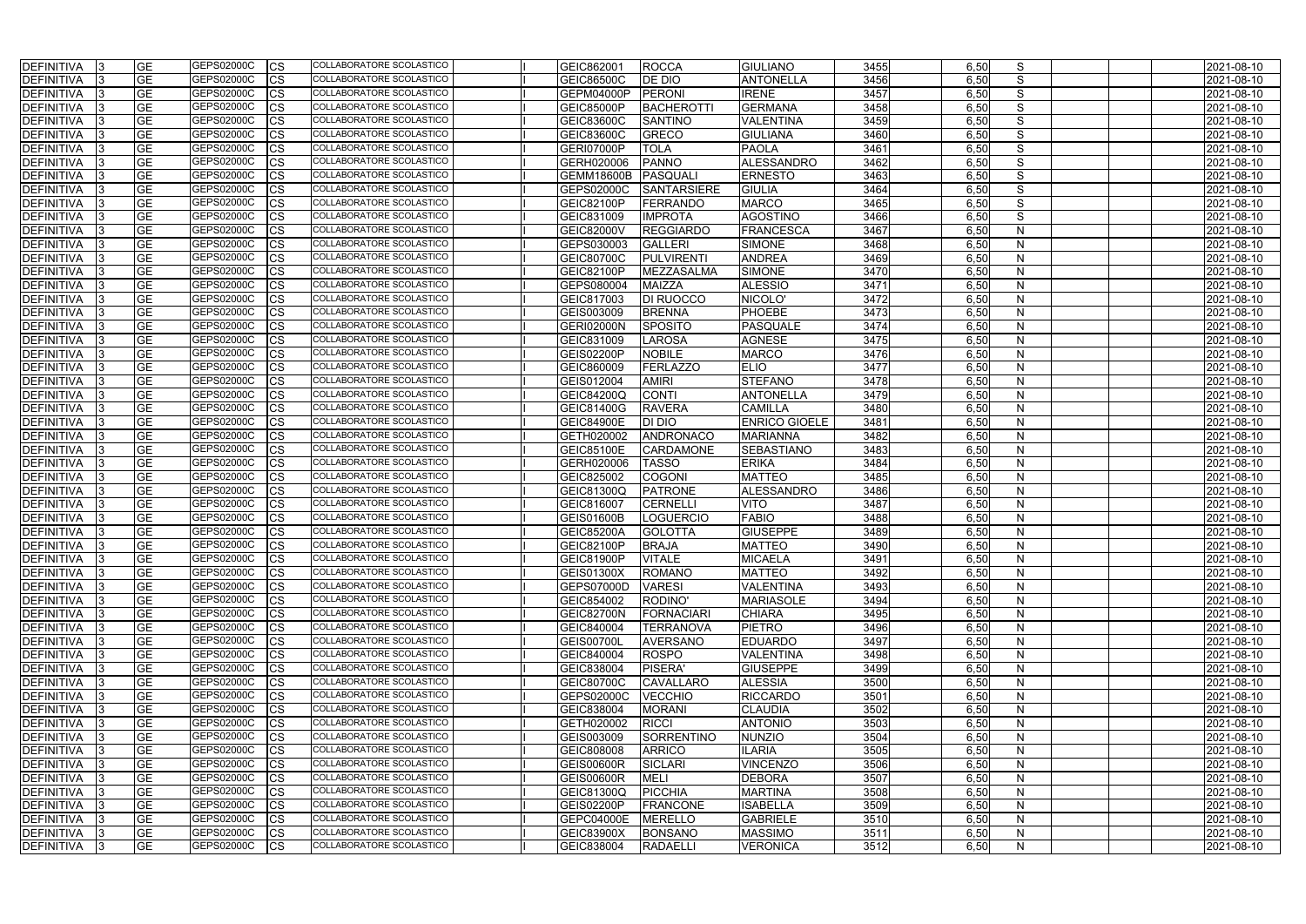| <b>DEFINITIVA</b> | <b>GE</b>  | GEPS02000C        | <b>CS</b>   | COLLABORATORE SCOLASTICO        | GEIC862001        | <b>ROCCA</b>       | <b>GIULIANO</b>      | 3455 | 6,50 | S            |  | 2021-08-10 |
|-------------------|------------|-------------------|-------------|---------------------------------|-------------------|--------------------|----------------------|------|------|--------------|--|------------|
| <b>DEFINITIVA</b> | <b>GE</b>  | GEPS02000C        | <b>CS</b>   | COLLABORATORE SCOLASTICO        | <b>GEIC86500C</b> | <b>DE DIO</b>      | <b>ANTONELLA</b>     | 3456 | 6,50 | S            |  | 2021-08-10 |
| DEFINITIVA        | <b>GE</b>  | GEPS02000C        | <b>CS</b>   | COLLABORATORE SCOLASTICO        | GEPM04000P        | PERONI             | <b>IRENE</b>         | 3457 | 6,50 | S            |  | 2021-08-10 |
| DEFINITIVA        | <b>GE</b>  | GEPS02000C        | <b>CS</b>   | COLLABORATORE SCOLASTICO        | <b>GEIC85000P</b> | BACHEROTTI         | <b>GERMANA</b>       | 3458 | 6,50 | S            |  | 2021-08-10 |
| DEFINITIVA        | <b>GE</b>  | GEPS02000C        | <b>CS</b>   | COLLABORATORE SCOLASTICO        | <b>GEIC83600C</b> | <b>SANTINO</b>     | <b>VALENTINA</b>     | 3459 | 6,50 | S            |  | 2021-08-10 |
| DEFINITIVA        | <b>IGE</b> | GEPS02000C        | <b>CS</b>   | COLLABORATORE SCOLASTICO        | <b>GEIC83600C</b> | GRECO              | <b>GIULIANA</b>      | 3460 | 6,50 | S            |  | 2021-08-10 |
| <b>DEFINITIVA</b> | <b>GE</b>  | GEPS02000C        | <b>CS</b>   | COLLABORATORE SCOLASTICO        | GERI07000P        | <b>TOLA</b>        | <b>PAOLA</b>         | 3461 | 6,50 | S            |  | 2021-08-10 |
| <b>DEFINITIVA</b> | <b>GE</b>  | GEPS02000C        | <b>CS</b>   | COLLABORATORE SCOLASTICO        | GERH020006        | <b>PANNO</b>       | <b>ALESSANDRO</b>    | 3462 | 6,50 | S            |  | 2021-08-10 |
| <b>DEFINITIVA</b> | <b>GE</b>  | GEPS02000C        | <b>CS</b>   | <b>COLLABORATORE SCOLASTICO</b> | <b>GEMM18600B</b> | PASQUALI           | <b>ERNESTO</b>       | 3463 | 6,50 | S            |  | 2021-08-10 |
| <b>DEFINITIVA</b> | <b>GE</b>  | GEPS02000C        | <b>CS</b>   | <b>COLLABORATORE SCOLASTICO</b> | GEPS02000C        | <b>SANTARSIERE</b> | <b>GIULIA</b>        | 3464 | 6,50 | S            |  | 2021-08-10 |
| <b>DEFINITIVA</b> | <b>GE</b>  | GEPS02000C        | <b>CS</b>   | COLLABORATORE SCOLASTICO        | <b>GEIC82100P</b> | FERRANDO           | <b>MARCO</b>         | 3465 | 6,50 | S            |  | 2021-08-10 |
| <b>DEFINITIVA</b> | <b>GE</b>  | GEPS02000C        | <b>CS</b>   | COLLABORATORE SCOLASTICO        | GEIC831009        | <b>IMPROTA</b>     | <b>AGOSTINO</b>      | 3466 | 6,50 | S            |  | 2021-08-10 |
| <b>DEFINITIVA</b> | <b>GE</b>  | GEPS02000C        | <b>CS</b>   | <b>COLLABORATORE SCOLASTICO</b> | <b>GEIC82000V</b> | <b>REGGIARDO</b>   | <b>FRANCESCA</b>     | 3467 | 6,50 | $\mathsf{N}$ |  | 2021-08-10 |
| <b>DEFINITIVA</b> | <b>GE</b>  | GEPS02000C        | <b>CS</b>   | COLLABORATORE SCOLASTICO        | GEPS030003        | <b>GALLERI</b>     | <b>SIMONE</b>        | 3468 | 6,50 | $\mathsf{N}$ |  | 2021-08-10 |
| <b>DEFINITIVA</b> | <b>GE</b>  | GEPS02000C        | <b>CS</b>   | COLLABORATORE SCOLASTICO        | <b>GEIC80700C</b> | <b>PULVIRENTI</b>  | <b>ANDREA</b>        | 3469 | 6,50 | N            |  | 2021-08-10 |
| DEFINITIVA        | <b>GE</b>  | GEPS02000C        | <b>CS</b>   | COLLABORATORE SCOLASTICO        | <b>GEIC82100P</b> | MEZZASALMA         | <b>SIMONE</b>        | 3470 | 6,50 | N            |  | 2021-08-10 |
| DEFINITIVA        | <b>GE</b>  | GEPS02000C        | <b>CS</b>   | COLLABORATORE SCOLASTICO        | GEPS080004        | <b>MAIZZA</b>      | <b>ALESSIO</b>       | 3471 | 6,50 | N            |  | 2021-08-10 |
| DEFINITIVA        | <b>GE</b>  | GEPS02000C        | <b>CS</b>   | COLLABORATORE SCOLASTICO        | GEIC817003        | <b>DI RUOCCO</b>   | NICOLO'              | 3472 | 6,50 | N            |  | 2021-08-10 |
| <b>DEFINITIVA</b> | <b>GE</b>  | GEPS02000C        | <b>CS</b>   | COLLABORATORE SCOLASTICO        | GEIS003009        | <b>BRENNA</b>      | <b>PHOEBE</b>        | 3473 | 6,50 | N            |  | 2021-08-10 |
| DEFINITIVA        | <b>GE</b>  | GEPS02000C        | <b>CS</b>   | <b>COLLABORATORE SCOLASTICO</b> | <b>GERI02000N</b> | SPOSITO            | <b>PASQUALE</b>      | 3474 | 6,50 | N            |  | 2021-08-10 |
| <b>DEFINITIVA</b> | <b>GE</b>  | GEPS02000C        | <b>CS</b>   | COLLABORATORE SCOLASTICO        | GEIC831009        | LAROSA             | <b>AGNESE</b>        | 3475 | 6,50 | N            |  | 2021-08-10 |
| <b>DEFINITIVA</b> | <b>GE</b>  | <b>GEPS02000C</b> | <b>CS</b>   | COLLABORATORE SCOLASTICO        | <b>GEIS02200P</b> | <b>NOBILE</b>      | <b>MARCO</b>         | 3476 | 6,50 | N            |  | 2021-08-10 |
| <b>DEFINITIVA</b> | <b>GE</b>  | GEPS02000C        | <b>CS</b>   | COLLABORATORE SCOLASTICO        | GEIC860009        | <b>FERLAZZO</b>    | <b>ELIO</b>          | 3477 | 6,50 | N            |  | 2021-08-10 |
| <b>DEFINITIVA</b> | <b>GE</b>  | GEPS02000C        | <b>CS</b>   | COLLABORATORE SCOLASTICO        | GEIS012004        | <b>AMIRI</b>       | <b>STEFANO</b>       | 3478 | 6,50 | $\mathsf{N}$ |  | 2021-08-10 |
| <b>DEFINITIVA</b> | <b>GE</b>  | GEPS02000C        | <b>CS</b>   | COLLABORATORE SCOLASTICO        | GEIC84200Q        | <b>CONTI</b>       | <b>ANTONELLA</b>     | 3479 | 6,50 | N            |  | 2021-08-10 |
| DEFINITIVA        | <b>GE</b>  | GEPS02000C        | <b>CS</b>   | COLLABORATORE SCOLASTICO        | <b>GEIC81400G</b> | <b>RAVERA</b>      | <b>CAMILLA</b>       | 3480 | 6,50 | N            |  | 2021-08-10 |
| <b>DEFINITIVA</b> | <b>GE</b>  | GEPS02000C        | <b>CS</b>   | COLLABORATORE SCOLASTICO        | <b>GEIC84900E</b> | <b>DI DIO</b>      | <b>ENRICO GIOELE</b> | 3481 | 6,50 | $\mathsf{N}$ |  | 2021-08-10 |
| DEFINITIVA        | <b>GE</b>  | GEPS02000C        | <b>CS</b>   | COLLABORATORE SCOLASTICO        | GETH020002        | <b>ANDRONACO</b>   | <b>MARIANNA</b>      | 3482 | 6,50 | N            |  | 2021-08-10 |
| DEFINITIVA        | <b>GE</b>  | GEPS02000C        | <b>CS</b>   | COLLABORATORE SCOLASTICO        | <b>GEIC85100E</b> | <b>CARDAMONE</b>   | <b>SEBASTIANO</b>    | 3483 | 6,50 | N            |  | 2021-08-10 |
| DEFINITIVA        | <b>GE</b>  | GEPS02000C        | <b>CS</b>   | COLLABORATORE SCOLASTICO        | GERH020006        | <b>TASSO</b>       | <b>ERIKA</b>         | 3484 | 6,50 | N            |  | 2021-08-10 |
| <b>DEFINITIVA</b> | <b>GE</b>  | GEPS02000C        | <b>CS</b>   | COLLABORATORE SCOLASTICO        | GEIC825002        | <b>COGONI</b>      | <b>MATTEO</b>        | 3485 | 6,50 | N            |  | 2021-08-10 |
| DEFINITIVA        | <b>GE</b>  | GEPS02000C        | <b>CS</b>   | COLLABORATORE SCOLASTICO        | GEIC81300Q        | PATRONE            | <b>ALESSANDRO</b>    | 3486 | 6,50 | N            |  | 2021-08-10 |
| <b>DEFINITIVA</b> | <b>GE</b>  | GEPS02000C        | <b>CS</b>   | COLLABORATORE SCOLASTICO        | GEIC816007        | <b>CERNELL</b>     | <b>VITO</b>          | 3487 | 6,50 | N            |  | 2021-08-10 |
| DEFINITIVA        | <b>GE</b>  | GEPS02000C        | <b>CS</b>   | COLLABORATORE SCOLASTICO        | <b>GEIS01600B</b> | LOGUERCIO          | <b>FABIO</b>         | 3488 | 6,50 | N            |  | 2021-08-10 |
| <b>DEFINITIVA</b> | <b>GE</b>  | GEPS02000C        | <b>CS</b>   | COLLABORATORE SCOLASTICO        | <b>GEIC85200A</b> | <b>GOLOTTA</b>     | <b>GIUSEPPE</b>      | 3489 | 6,50 | N            |  | 2021-08-10 |
| DEFINITIVA        | <b>GE</b>  | GEPS02000C        | <b>CS</b>   | COLLABORATORE SCOLASTICO        | GEIC82100P        | <b>BRAJA</b>       | <b>MATTEO</b>        | 3490 | 6,50 | N.           |  | 2021-08-10 |
| DEFINITIVA  3     | <b>GE</b>  | GEPS02000C        | $ {\rm CS}$ | COLLABORATORE SCOLASTICO        | GEIC81900P        | <b>VITALE</b>      | <b>MICAELA</b>       | 3491 | 6,50 | N            |  | 2021-08-10 |
| DEFINITIVA 3      | <b>GE</b>  | GEPS02000C        | <b>CS</b>   | COLLABORATORE SCOLASTICO        | <b>GEIS01300X</b> | ROMANO             | <b>MATTEO</b>        | 3492 | 6,50 | N            |  | 2021-08-10 |
| DEFINITIVA  3     | <b>GE</b>  | GEPS02000C        | <b>CS</b>   | COLLABORATORE SCOLASTICO        | GEPS07000D        | <b>VARESI</b>      | <b>VALENTINA</b>     | 3493 | 6,50 | $\mathsf{N}$ |  | 2021-08-10 |
| DEFINITIVA 3      | <b>GE</b>  | GEPS02000C        | <b>CS</b>   | COLLABORATORE SCOLASTICO        | GEIC854002        | RODINO'            | <b>MARIASOLE</b>     | 3494 | 6,50 | $\mathsf{N}$ |  | 2021-08-10 |
| DEFINITIVA 3      | <b>GE</b>  | GEPS02000C        | <b>CS</b>   | COLLABORATORE SCOLASTICO        | GEIC82700N        | FORNACIARI         | <b>CHIARA</b>        | 3495 | 6,50 | N            |  | 2021-08-10 |
| DEFINITIVA 3      | <b>GE</b>  | GEPS02000C        | <b>CS</b>   | COLLABORATORE SCOLASTICO        | GEIC840004        | <b>TERRANOVA</b>   | <b>PIETRO</b>        | 3496 | 6,50 | $\mathsf{N}$ |  | 2021-08-10 |
| DEFINITIVA 3      | <b>GE</b>  | GEPS02000C        | <b>CS</b>   | COLLABORATORE SCOLASTICO        | GEIS00700L        | <b>AVERSANO</b>    | <b>EDUARDO</b>       | 3497 | 6,50 | N            |  | 2021-08-10 |
| DEFINITIVA 3      | <b>GE</b>  | GEPS02000C        | <b>CS</b>   | COLLABORATORE SCOLASTICO        | GEIC840004        | <b>ROSPO</b>       | <b>VALENTINA</b>     | 3498 | 6,50 | N            |  | 2021-08-10 |
| DEFINITIVA 3      | <b>GE</b>  | GEPS02000C        | <b>CS</b>   | COLLABORATORE SCOLASTICO        | GEIC838004        | PISERA'            | <b>GIUSEPPE</b>      | 3499 | 6,50 | N            |  | 2021-08-10 |
| DEFINITIVA        | <b>GE</b>  | GEPS02000C        | <b>CS</b>   | COLLABORATORE SCOLASTICO        | <b>GEIC80700C</b> | <b>CAVALLARO</b>   | <b>ALESSIA</b>       | 3500 | 6,50 | N            |  | 2021-08-10 |
| DEFINITIVA        | <b>GE</b>  | GEPS02000C        | <b>CS</b>   | COLLABORATORE SCOLASTICO        | GEPS02000C        | <b>VECCHIO</b>     | <b>RICCARDO</b>      | 3501 | 6,50 | N            |  | 2021-08-10 |
| DEFINITIVA 3      | <b>GE</b>  | GEPS02000C        | <b>CS</b>   | COLLABORATORE SCOLASTICO        | GEIC838004        | <b>MORANI</b>      | <b>CLAUDIA</b>       | 3502 | 6,50 | N            |  | 2021-08-10 |
| DEFINITIVA 3      | <b>GE</b>  | GEPS02000C        | <b>CS</b>   | COLLABORATORE SCOLASTICO        | GETH020002        | <b>RICCI</b>       | <b>ANTONIO</b>       | 3503 | 6,50 | N            |  | 2021-08-10 |
| DEFINITIVA 3      | <b>GE</b>  | GEPS02000C        | <b>CS</b>   | COLLABORATORE SCOLASTICO        | GEIS003009        | SORRENTINO         | NUNZIO               | 3504 | 6,50 | N            |  | 2021-08-10 |
| DEFINITIVA 3      | <b>GE</b>  | GEPS02000C        | <b>CS</b>   | COLLABORATORE SCOLASTICO        | GEIC808008        | <b>ARRICO</b>      | <b>ILARIA</b>        | 3505 | 6,50 | N            |  | 2021-08-10 |
| DEFINITIVA 3      | <b>GE</b>  | GEPS02000C        | <b>CS</b>   | COLLABORATORE SCOLASTICO        | <b>GEIS00600R</b> | SICLARI            | <b>VINCENZO</b>      | 3506 | 6,50 | $\mathsf{N}$ |  | 2021-08-10 |
| DEFINITIVA 3      | <b>GE</b>  | GEPS02000C        | <b>CS</b>   | COLLABORATORE SCOLASTICO        | <b>GEIS00600R</b> | <b>MELI</b>        | <b>DEBORA</b>        | 3507 | 6,50 | N            |  | 2021-08-10 |
| DEFINITIVA 3      | <b>GE</b>  | GEPS02000C        | <b>CS</b>   | COLLABORATORE SCOLASTICO        | GEIC81300Q        | PICCHIA            | <b>MARTINA</b>       | 3508 | 6,50 | N            |  | 2021-08-10 |
| DEFINITIVA 3      | <b>GE</b>  | GEPS02000C        | <b>CS</b>   | COLLABORATORE SCOLASTICO        | GEIS02200P        | <b>FRANCONE</b>    | <b>ISABELLA</b>      | 3509 | 6,50 | $\mathsf{N}$ |  | 2021-08-10 |
| DEFINITIVA 3      | <b>GE</b>  | GEPS02000C        | <b>ICS</b>  | COLLABORATORE SCOLASTICO        | GEPC04000E        | <b>MERELLO</b>     | <b>GABRIELE</b>      | 3510 | 6,50 | N            |  | 2021-08-10 |
| DEFINITIVA 3      | <b>GE</b>  | GEPS02000C        | <b>ICS</b>  | COLLABORATORE SCOLASTICO        | <b>GEIC83900X</b> | <b>BONSANO</b>     | <b>MASSIMO</b>       | 3511 | 6,50 | N            |  | 2021-08-10 |
| DEFINITIVA 3      | <b>GE</b>  | GEPS02000C        | <b>CS</b>   | COLLABORATORE SCOLASTICO        | GEIC838004        | <b>RADAELLI</b>    | <b>VERONICA</b>      | 3512 | 6,50 | $\mathsf{N}$ |  | 2021-08-10 |
|                   |            |                   |             |                                 |                   |                    |                      |      |      |              |  |            |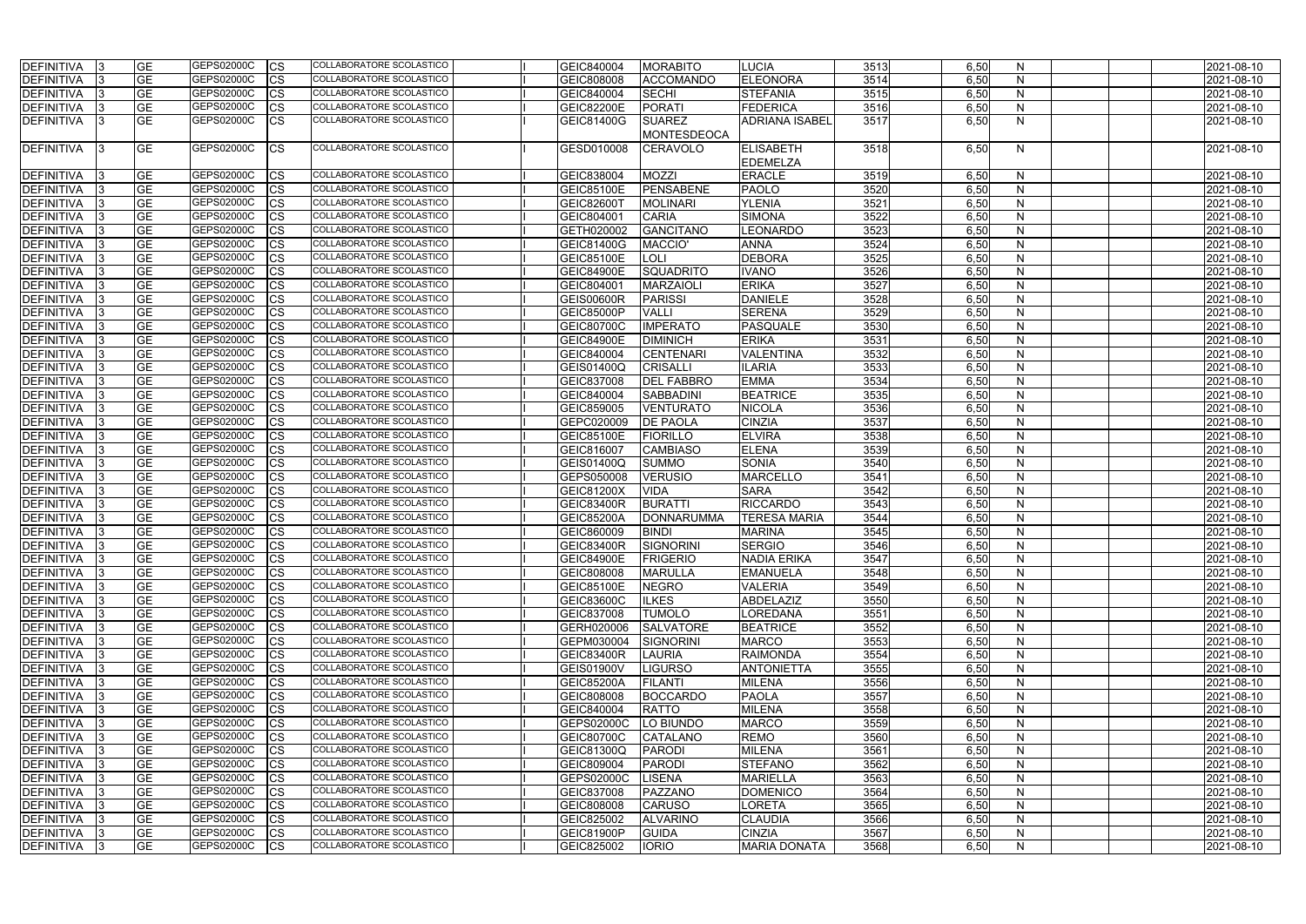| <b>GE</b><br>GEPS02000C<br>CS<br>COLLABORATORE SCOLASTICO<br><b>DEFINITIVA</b><br>GEIC808008<br><b>ACCOMANDO</b><br><b>ELEONORA</b><br>3514<br>6,50<br>N<br>2021-08-10<br><b>GE</b><br>3515<br>GEPS02000C<br>СS<br>COLLABORATORE SCOLASTICO<br>GEIC840004<br><b>SECHI</b><br><b>STEFANIA</b><br>6,50<br>N<br>2021-08-10<br><b>DEFINITIVA</b><br><b>GE</b><br>GEPS02000C<br>3516<br><b>DEFINITIVA</b><br>СS<br>COLLABORATORE SCOLASTICO<br><b>GEIC82200E</b><br><b>PORATI</b><br><b>FEDERICA</b><br>6,50<br>N<br>2021-08-10<br><b>GE</b><br><b>GEPS02000C</b><br>COLLABORATORE SCOLASTICO<br><b>SUAREZ</b><br><b>DEFINITIVA</b><br>CS<br><b>ADRIANA ISABEL</b><br>3517<br>6,50<br>N<br>2021-08-10<br><b>GEIC81400G</b><br><b>MONTESDEOCA</b><br><b>GE</b><br><b>DEFINITIVA</b><br>GEPS02000C<br><b>CS</b><br>COLLABORATORE SCOLASTICO<br>GESD010008<br><b>ELISABETH</b><br>2021-08-10<br><b>CERAVOLO</b><br>3518<br>6,50<br>N<br><b>EDEMELZA</b><br><b>DEFINITIVA</b><br>GEPS02000C<br><b>COLLABORATORE SCOLASTICO</b><br><b>ERACLE</b><br><b>GE</b><br>GEIC838004<br><b>MOZZI</b><br>3519<br>2021-08-10<br>CS<br>6,50<br>N.<br><b>GE</b><br>GEPS02000C<br>COLLABORATORE SCOLASTICO<br>PENSABENE<br>3520<br>6,50<br>DEFINITIVA<br>СS<br><b>GEIC85100E</b><br><b>PAOLO</b><br>N<br>2021-08-10<br><b>GE</b><br>3521<br>6,50<br>$\mathsf{N}$<br><b>DEFINITIVA</b><br>GEPS02000C<br>CS<br>COLLABORATORE SCOLASTICO<br><b>MOLINARI</b><br><b>YLENIA</b><br>2021-08-10<br><b>GEIC82600T</b><br><b>GE</b><br>GEPS02000C<br>COLLABORATORE SCOLASTICO<br><b>CARIA</b><br>3522<br><b>DEFINITIVA</b><br>СS<br>GEIC804001<br><b>SIMONA</b><br>6,50<br>N<br>2021-08-10<br><b>GE</b><br>GEPS02000C<br><b>GANCITANO</b><br>3523<br>6,50<br>СS<br>COLLABORATORE SCOLASTICO<br>GETH020002<br>LEONARDO<br>N<br>2021-08-10<br>DEFINITIVA<br><b>GE</b><br>GEPS02000C<br>3524<br>6,50<br>$\mathsf{N}$<br><b>DEFINITIVA</b><br>СS<br>COLLABORATORE SCOLASTICO<br>MACCIO'<br><b>ANNA</b><br>2021-08-10<br><b>GEIC81400G</b><br><b>GE</b><br>GEPS02000C<br>COLLABORATORE SCOLASTICO<br>3525<br>6,50<br><b>DEFINITIVA</b><br>СS<br><b>GEIC85100E</b><br>LOLI<br><b>DEBORA</b><br>N<br>2021-08-10<br><b>GE</b><br>GEPS02000C<br>COLLABORATORE SCOLASTICO<br>SQUADRITO<br>3526<br><b>DEFINITIVA</b><br>СS<br><b>GEIC84900E</b><br><b>IVANO</b><br>6,50<br>N<br>2021-08-10<br><b>GE</b><br>GEPS02000C<br>3527<br><b>DEFINITIVA</b><br>CS<br>COLLABORATORE SCOLASTICO<br>MARZAIOLI<br><b>ERIKA</b><br>6,50<br>$\mathsf{N}$<br>2021-08-10<br>GEIC804001<br><b>GE</b><br>GEPS02000C<br><b>COLLABORATORE SCOLASTICO</b><br>3528<br>6,50<br>DEFINITIVA<br>СS<br><b>GEIS00600R</b><br>PARISSI<br><b>DANIELE</b><br>2021-08-10<br>N<br><b>GE</b><br>GEPS02000C<br>COLLABORATORE SCOLASTICO<br><b>GEIC85000P</b><br><b>VALLI</b><br><b>SERENA</b><br>3529<br>6,50<br><b>DEFINITIVA</b><br>СS<br>2021-08-10<br>N<br><b>GE</b><br>GEPS02000C<br>3530<br>6,50<br>CS<br><b>COLLABORATORE SCOLASTICO</b><br><b>IMPERATO</b><br><b>PASQUALE</b><br>$\mathsf{N}$<br>2021-08-10<br>DEFINITIVA<br><b>GEIC80700C</b><br><b>GE</b><br>GEPS02000C<br>COLLABORATORE SCOLASTICO<br>3531<br>6,50<br><b>DEFINITIVA</b><br>СS<br><b>GEIC84900E</b><br><b>DIMINICH</b><br><b>ERIKA</b><br>N<br>2021-08-10<br><b>GE</b><br>GEPS02000C<br><b>COLLABORATORE SCOLASTICO</b><br>GEIC840004<br><b>VALENTINA</b><br>3532<br>6,50<br><b>DEFINITIVA</b><br>СS<br><b>CENTENARI</b><br>N<br>2021-08-10<br><b>GE</b><br>GEPS02000C<br><b>COLLABORATORE SCOLASTICO</b><br>3533<br>CS<br><b>CRISALLI</b><br><b>ILARIA</b><br>6,50<br>$\mathsf{N}$<br>2021-08-10<br><b>DEFINITIVA</b><br>GEIS01400Q<br><b>GE</b><br>GEPS02000C<br><b>EMMA</b><br>3534<br>6,50<br>$\mathsf{N}$<br><b>DEFINITIVA</b><br>CS<br>COLLABORATORE SCOLASTICO<br>GEIC837008<br><b>DEL FABBRO</b><br>2021-08-10<br><b>GE</b><br><b>GEPS02000C</b><br>COLLABORATORE SCOLASTICO<br><b>BEATRICE</b><br>3535<br>6,50<br><b>DEFINITIVA</b><br>СS<br>GEIC840004<br><b>SABBADINI</b><br>N<br>2021-08-10<br><b>GE</b><br>GEPS02000C<br>3536<br>6,50<br>CS<br>COLLABORATORE SCOLASTICO<br>$\mathsf{N}$<br>2021-08-10<br><b>DEFINITIVA</b><br>GEIC859005<br><b>VENTURATO</b><br><b>NICOLA</b><br><b>GE</b><br>GEPS02000C<br>3537<br>6,50<br>N<br><b>DEFINITIVA</b><br>СS<br>COLLABORATORE SCOLASTICO<br>GEPC020009<br><b>DE PAOLA</b><br><b>CINZIA</b><br>2021-08-10<br><b>GE</b><br>GEPS02000C<br>3538<br><b>DEFINITIVA</b><br>СS<br>COLLABORATORE SCOLASTICO<br><b>GEIC85100E</b><br>6,50<br>2021-08-10<br><b>FIORILLO</b><br><b>ELVIRA</b><br>N<br><b>GE</b><br>GEPS02000C<br><b>DEFINITIVA</b><br>CS<br>COLLABORATORE SCOLASTICO<br><b>CAMBIASO</b><br><b>ELENA</b><br>3539<br>6,50<br>$\mathsf{N}$<br>2021-08-10<br>GEIC816007<br><b>GE</b><br>GEPS02000C<br>COLLABORATORE SCOLASTICO<br>3540<br>6,50<br>$\mathsf{N}$<br><b>DEFINITIVA</b><br>CS<br><b>GEIS01400Q</b><br><b>SUMMO</b><br><b>SONIA</b><br>2021-08-10<br><b>GE</b><br>COLLABORATORE SCOLASTICO<br>DEFINITIVA<br>GEPS02000C<br>СS<br>GEPS050008<br><b>VERUSIO</b><br><b>MARCELLO</b><br>3541<br>6,50<br>2021-08-10<br>N<br><b>GE</b><br>GEPS02000C<br>COLLABORATORE SCOLASTICO<br>6,50<br>DEFINITIVA<br>CS<br><b>VIDA</b><br><b>SARA</b><br>3542<br>$\mathsf{N}$<br>2021-08-10<br><b>GEIC81200X</b><br><b>GE</b><br>GEPS02000C<br>COLLABORATORE SCOLASTICO<br><b>BURATTI</b><br><b>RICCARDO</b><br>3543<br>6,50<br>$\mathsf{N}$<br>2021-08-10<br>СS<br><b>GEIC83400R</b><br><b>DEFINITIVA</b><br><b>GE</b><br>GEPS02000C<br>COLLABORATORE SCOLASTICO<br><b>TERESA MARIA</b><br>3544<br>6,50<br><b>DEFINITIVA</b><br>СS<br><b>GEIC85200A</b><br><b>DONNARUMMA</b><br>N<br>2021-08-10<br>$\overline{GE}$<br><b>COLLABORATORE SCOLASTICO</b><br><b>BINDI</b><br>3545<br>N<br>GEPS02000C<br>СS<br><b>MARINA</b><br>6,50<br>2021-08-10<br><b>DEFINITIVA</b><br>GEIC860009<br><b>GE</b><br>GEPS02000C<br>COLLABORATORE SCOLASTICO<br><b>I</b> CS<br>SIGNORINI<br><b>SERGIO</b><br>3546<br>6.50<br>DEFINITIVA<br>GEIC83400R<br>N<br>2021-08-10<br>DEFINITIVA<br><b>GE</b><br>GEPS02000C<br><b>CS</b><br><b>COLLABORATORE SCOLASTICO</b><br>FRIGERIO<br>6,50<br><b>GEIC84900E</b><br><b>NADIA ERIKA</b><br>3547<br>2021-08-10<br>N<br><b>GE</b><br>6,50<br>DEFINITIVA<br>GEPS02000C<br>COLLABORATORE SCOLASTICO<br>3548<br>$\mathsf{N}$<br><b>CS</b><br>GEIC808008<br><b>MARULLA</b><br><b>EMANUELA</b><br>2021-08-10<br><b>GE</b><br>GEPS02000C<br>COLLABORATORE SCOLASTICO<br>6,50<br>3549<br>$\mathsf{N}$<br>DEFINITIVA<br><b>CS</b><br><b>GEIC85100E</b><br><b>NEGRO</b><br><b>VALERIA</b><br>2021-08-10<br><b>GE</b><br>GEPS02000C<br>COLLABORATORE SCOLASTICO<br><b>ABDELAZIZ</b><br>3550<br>6,50<br>DEFINITIVA<br>СS<br><b>GEIC83600C</b><br><b>ILKES</b><br>N<br>2021-08-10<br><b>GE</b><br>DEFINITIVA<br>GEPS02000C<br>COLLABORATORE SCOLASTICO<br><b>LOREDANA</b><br>3551<br>CS<br>GEIC837008<br><b>TUMOLO</b><br>6,50<br>N<br>2021-08-10<br>DEFINITIVA<br><b>GE</b><br>GEPS02000C<br>COLLABORATORE SCOLASTICO<br>3552<br><b>CS</b><br>GERH020006<br><b>SALVATORE</b><br><b>BEATRICE</b><br>6,50<br>N<br>2021-08-10<br><b>DEFINITIVA</b><br><b>GE</b><br>GEPS02000C<br>COLLABORATORE SCOLASTICO<br><b>MARCO</b><br>3553<br>6,50<br><b>CS</b><br>GEPM030004<br>SIGNORINI<br>N<br>2021-08-10<br>GEPS02000C<br><b>DEFINITIVA</b><br><b>GE</b><br><b>COLLABORATORE SCOLASTICO</b><br><b>RAIMONDA</b><br>3554<br><b>CS</b><br>GEIC83400R<br><b>LAURIA</b><br>6,50<br>N<br>2021-08-10<br><b>GE</b><br>GEPS02000C<br>COLLABORATORE SCOLASTICO<br>3555<br>6,50<br><b>DEFINITIVA</b><br><b>CS</b><br><b>GEIS01900V</b><br><b>LIGURSO</b><br><b>ANTONIETTA</b><br>N<br>2021-08-10<br><b>GE</b><br>GEPS02000C<br>COLLABORATORE SCOLASTICO<br>3556<br><b>DEFINITIVA</b><br><b>CS</b><br><b>MILENA</b><br>6,50<br><b>GEIC85200A</b><br>FILANTI<br>N<br>2021-08-10<br><b>GE</b><br>GEPS02000C<br>COLLABORATORE SCOLASTICO<br><b>BOCCARDO</b><br>3557<br><b>DEFINITIVA</b><br><b>CS</b><br>GEIC808008<br><b>PAOLA</b><br>6,50<br>N<br>2021-08-10<br><b>GE</b><br>GEPS02000C<br>COLLABORATORE SCOLASTICO<br><b>MILENA</b><br>3558<br>6,50<br>$\mathsf{N}$<br><b>DEFINITIVA</b><br><b>CS</b><br>GEIC840004<br><b>RATTO</b><br>2021-08-10<br><b>GE</b><br>GEPS02000C<br>COLLABORATORE SCOLASTICO<br><b>MARCO</b><br>3559<br><b>DEFINITIVA</b><br><b>CS</b><br>GEPS02000C<br>LO BIUNDO<br>6,50<br>N<br>2021-08-10<br><b>GE</b><br>GEPS02000C<br>COLLABORATORE SCOLASTICO<br>CS<br><b>CATALANO</b><br><b>REMO</b><br>3560<br>6,50<br>N<br>DEFINITIVA<br><b>GEIC80700C</b><br>2021-08-10<br><b>GE</b><br>GEPS02000C<br>COLLABORATORE SCOLASTICO<br>3561<br>6,50<br>DEFINITIVA<br>CS<br>PARODI<br><b>MILENA</b><br>N<br>2021-08-10<br><b>GEIC81300Q</b><br><b>GE</b><br>GEPS02000C<br>COLLABORATORE SCOLASTICO<br>3562<br>6,50<br>DEFINITIVA<br>СS<br>GEIC809004<br><b>STEFANO</b><br>N<br>2021-08-10<br>PARODI<br><b>GE</b><br>GEPS02000C<br>COLLABORATORE SCOLASTICO<br>DEFINITIVA<br>GEPS02000C<br><b>MARIELLA</b><br>3563<br>6,50<br>СS<br><b>LISENA</b><br>N<br>2021-08-10<br><b>GE</b><br>GEPS02000C<br>COLLABORATORE SCOLASTICO<br>DEFINITIVA<br>PAZZANO<br><b>DOMENICO</b><br>3564<br>6,50<br>$\mathsf{N}$<br>2021-08-10<br>CS<br>GEIC837008<br><b>GE</b><br>GEPS02000C<br>COLLABORATORE SCOLASTICO<br><b>CARUSO</b><br><b>LORETA</b><br>3565<br>6,50<br>ICS<br>GEIC808008<br>N<br>2021-08-10<br><b>DEFINITIVA</b><br><b>GE</b><br>GEPS02000C<br>COLLABORATORE SCOLASTICO<br>GEIC825002<br>3566<br>6,50<br><b>CS</b><br><b>ALVARINO</b><br><b>CLAUDIA</b><br>N<br>2021-08-10<br>COLLABORATORE SCOLASTICO<br><b>DEFINITIVA</b><br><b>GE</b><br>GEPS02000C<br><b>ICS</b><br><b>GUIDA</b><br><b>CINZIA</b><br>3567<br>6,50<br>2021-08-10<br>GEIC81900P<br>N<br>DEFINITIVA<br><b>GE</b><br>COLLABORATORE SCOLASTICO<br>GEPS02000C<br><b>MARIA DONATA</b><br>3568<br>$\mathsf{N}$<br><b>CS</b><br>GEIC825002<br><b>IORIO</b><br>6,50<br>2021-08-10 | <b>DEFINITIVA</b> | <b>GE</b> | GEPS02000C<br>CS | COLLABORATORE SCOLASTICO | GEIC840004 | <b>MORABITO</b> | <b>LUCIA</b> | 3513 | 6,50 | N | 2021-08-10 |
|-------------------------------------------------------------------------------------------------------------------------------------------------------------------------------------------------------------------------------------------------------------------------------------------------------------------------------------------------------------------------------------------------------------------------------------------------------------------------------------------------------------------------------------------------------------------------------------------------------------------------------------------------------------------------------------------------------------------------------------------------------------------------------------------------------------------------------------------------------------------------------------------------------------------------------------------------------------------------------------------------------------------------------------------------------------------------------------------------------------------------------------------------------------------------------------------------------------------------------------------------------------------------------------------------------------------------------------------------------------------------------------------------------------------------------------------------------------------------------------------------------------------------------------------------------------------------------------------------------------------------------------------------------------------------------------------------------------------------------------------------------------------------------------------------------------------------------------------------------------------------------------------------------------------------------------------------------------------------------------------------------------------------------------------------------------------------------------------------------------------------------------------------------------------------------------------------------------------------------------------------------------------------------------------------------------------------------------------------------------------------------------------------------------------------------------------------------------------------------------------------------------------------------------------------------------------------------------------------------------------------------------------------------------------------------------------------------------------------------------------------------------------------------------------------------------------------------------------------------------------------------------------------------------------------------------------------------------------------------------------------------------------------------------------------------------------------------------------------------------------------------------------------------------------------------------------------------------------------------------------------------------------------------------------------------------------------------------------------------------------------------------------------------------------------------------------------------------------------------------------------------------------------------------------------------------------------------------------------------------------------------------------------------------------------------------------------------------------------------------------------------------------------------------------------------------------------------------------------------------------------------------------------------------------------------------------------------------------------------------------------------------------------------------------------------------------------------------------------------------------------------------------------------------------------------------------------------------------------------------------------------------------------------------------------------------------------------------------------------------------------------------------------------------------------------------------------------------------------------------------------------------------------------------------------------------------------------------------------------------------------------------------------------------------------------------------------------------------------------------------------------------------------------------------------------------------------------------------------------------------------------------------------------------------------------------------------------------------------------------------------------------------------------------------------------------------------------------------------------------------------------------------------------------------------------------------------------------------------------------------------------------------------------------------------------------------------------------------------------------------------------------------------------------------------------------------------------------------------------------------------------------------------------------------------------------------------------------------------------------------------------------------------------------------------------------------------------------------------------------------------------------------------------------------------------------------------------------------------------------------------------------------------------------------------------------------------------------------------------------------------------------------------------------------------------------------------------------------------------------------------------------------------------------------------------------------------------------------------------------------------------------------------------------------------------------------------------------------------------------------------------------------------------------------------------------------------------------------------------------------------------------------------------------------------------------------------------------------------------------------------------------------------------------------------------------------------------------------------------------------------------------------------------------------------------------------------------------------------------------------------------------------------------------------------------------------------------------------------------------------------------------------------------------------------------------------------------------------------------------------------------------------------------------------------------------------------------------------------------------------------------------------------------------------------------------------------------------------------------------------------------------------------------------------------------------------------------------------------------------------------------------------------------------------------------------------------------------------------------------------------------------------------------------------------------------------------------------------------------------------------------------------------------------------------------------------------------------------------------------------------------------------------------------------------------------------------------------------------------------------------------------------------------------------------------------------------------------------------------------------------------------------------------------------------------------------------------------------------------------------------------------------------------------------------------------------------------------------------------------------------------------------------------------------------------------------------------------------------------------------------------------------------------------------------------------------------------------------------------------------------------------------------------------------------------------------------------------------------------------------------------------------------------------------------------------------------------------------------------------------------------------------------------------------------------------------------------------------------------------------------------------------------------------------------------------------------------------------------------------------------------------------------------------------------------------------------------------------------------------------------------------------------------------------------------------------------------------------------------------------------------------------------------------------------------------------------------------------------------------------------------------------------------------------------------------------------------------------------------------------------------------------------------------------------------------------------------------------------------------------------------------------------------------------------------------------------------------------------------------------------------------------|-------------------|-----------|------------------|--------------------------|------------|-----------------|--------------|------|------|---|------------|
|                                                                                                                                                                                                                                                                                                                                                                                                                                                                                                                                                                                                                                                                                                                                                                                                                                                                                                                                                                                                                                                                                                                                                                                                                                                                                                                                                                                                                                                                                                                                                                                                                                                                                                                                                                                                                                                                                                                                                                                                                                                                                                                                                                                                                                                                                                                                                                                                                                                                                                                                                                                                                                                                                                                                                                                                                                                                                                                                                                                                                                                                                                                                                                                                                                                                                                                                                                                                                                                                                                                                                                                                                                                                                                                                                                                                                                                                                                                                                                                                                                                                                                                                                                                                                                                                                                                                                                                                                                                                                                                                                                                                                                                                                                                                                                                                                                                                                                                                                                                                                                                                                                                                                                                                                                                                                                                                                                                                                                                                                                                                                                                                                                                                                                                                                                                                                                                                                                                                                                                                                                                                                                                                                                                                                                                                                                                                                                                                                                                                                                                                                                                                                                                                                                                                                                                                                                                                                                                                                                                                                                                                                                                                                                                                                                                                                                                                                                                                                                                                                                                                                                                                                                                                                                                                                                                                                                                                                                                                                                                                                                                                                                                                                                                                                                                                                                                                                                                                                                                                                                                                                                                                                                                                                                                                                                                                                                                                                                                                                                                                                                                                                                                                                                                                                                                                                                                                                                                                                                                                                                                                                                                                                                                                                                                                                                                                                                                                                           |                   |           |                  |                          |            |                 |              |      |      |   |            |
|                                                                                                                                                                                                                                                                                                                                                                                                                                                                                                                                                                                                                                                                                                                                                                                                                                                                                                                                                                                                                                                                                                                                                                                                                                                                                                                                                                                                                                                                                                                                                                                                                                                                                                                                                                                                                                                                                                                                                                                                                                                                                                                                                                                                                                                                                                                                                                                                                                                                                                                                                                                                                                                                                                                                                                                                                                                                                                                                                                                                                                                                                                                                                                                                                                                                                                                                                                                                                                                                                                                                                                                                                                                                                                                                                                                                                                                                                                                                                                                                                                                                                                                                                                                                                                                                                                                                                                                                                                                                                                                                                                                                                                                                                                                                                                                                                                                                                                                                                                                                                                                                                                                                                                                                                                                                                                                                                                                                                                                                                                                                                                                                                                                                                                                                                                                                                                                                                                                                                                                                                                                                                                                                                                                                                                                                                                                                                                                                                                                                                                                                                                                                                                                                                                                                                                                                                                                                                                                                                                                                                                                                                                                                                                                                                                                                                                                                                                                                                                                                                                                                                                                                                                                                                                                                                                                                                                                                                                                                                                                                                                                                                                                                                                                                                                                                                                                                                                                                                                                                                                                                                                                                                                                                                                                                                                                                                                                                                                                                                                                                                                                                                                                                                                                                                                                                                                                                                                                                                                                                                                                                                                                                                                                                                                                                                                                                                                                                                           |                   |           |                  |                          |            |                 |              |      |      |   |            |
|                                                                                                                                                                                                                                                                                                                                                                                                                                                                                                                                                                                                                                                                                                                                                                                                                                                                                                                                                                                                                                                                                                                                                                                                                                                                                                                                                                                                                                                                                                                                                                                                                                                                                                                                                                                                                                                                                                                                                                                                                                                                                                                                                                                                                                                                                                                                                                                                                                                                                                                                                                                                                                                                                                                                                                                                                                                                                                                                                                                                                                                                                                                                                                                                                                                                                                                                                                                                                                                                                                                                                                                                                                                                                                                                                                                                                                                                                                                                                                                                                                                                                                                                                                                                                                                                                                                                                                                                                                                                                                                                                                                                                                                                                                                                                                                                                                                                                                                                                                                                                                                                                                                                                                                                                                                                                                                                                                                                                                                                                                                                                                                                                                                                                                                                                                                                                                                                                                                                                                                                                                                                                                                                                                                                                                                                                                                                                                                                                                                                                                                                                                                                                                                                                                                                                                                                                                                                                                                                                                                                                                                                                                                                                                                                                                                                                                                                                                                                                                                                                                                                                                                                                                                                                                                                                                                                                                                                                                                                                                                                                                                                                                                                                                                                                                                                                                                                                                                                                                                                                                                                                                                                                                                                                                                                                                                                                                                                                                                                                                                                                                                                                                                                                                                                                                                                                                                                                                                                                                                                                                                                                                                                                                                                                                                                                                                                                                                                                           |                   |           |                  |                          |            |                 |              |      |      |   |            |
|                                                                                                                                                                                                                                                                                                                                                                                                                                                                                                                                                                                                                                                                                                                                                                                                                                                                                                                                                                                                                                                                                                                                                                                                                                                                                                                                                                                                                                                                                                                                                                                                                                                                                                                                                                                                                                                                                                                                                                                                                                                                                                                                                                                                                                                                                                                                                                                                                                                                                                                                                                                                                                                                                                                                                                                                                                                                                                                                                                                                                                                                                                                                                                                                                                                                                                                                                                                                                                                                                                                                                                                                                                                                                                                                                                                                                                                                                                                                                                                                                                                                                                                                                                                                                                                                                                                                                                                                                                                                                                                                                                                                                                                                                                                                                                                                                                                                                                                                                                                                                                                                                                                                                                                                                                                                                                                                                                                                                                                                                                                                                                                                                                                                                                                                                                                                                                                                                                                                                                                                                                                                                                                                                                                                                                                                                                                                                                                                                                                                                                                                                                                                                                                                                                                                                                                                                                                                                                                                                                                                                                                                                                                                                                                                                                                                                                                                                                                                                                                                                                                                                                                                                                                                                                                                                                                                                                                                                                                                                                                                                                                                                                                                                                                                                                                                                                                                                                                                                                                                                                                                                                                                                                                                                                                                                                                                                                                                                                                                                                                                                                                                                                                                                                                                                                                                                                                                                                                                                                                                                                                                                                                                                                                                                                                                                                                                                                                                                           |                   |           |                  |                          |            |                 |              |      |      |   |            |
|                                                                                                                                                                                                                                                                                                                                                                                                                                                                                                                                                                                                                                                                                                                                                                                                                                                                                                                                                                                                                                                                                                                                                                                                                                                                                                                                                                                                                                                                                                                                                                                                                                                                                                                                                                                                                                                                                                                                                                                                                                                                                                                                                                                                                                                                                                                                                                                                                                                                                                                                                                                                                                                                                                                                                                                                                                                                                                                                                                                                                                                                                                                                                                                                                                                                                                                                                                                                                                                                                                                                                                                                                                                                                                                                                                                                                                                                                                                                                                                                                                                                                                                                                                                                                                                                                                                                                                                                                                                                                                                                                                                                                                                                                                                                                                                                                                                                                                                                                                                                                                                                                                                                                                                                                                                                                                                                                                                                                                                                                                                                                                                                                                                                                                                                                                                                                                                                                                                                                                                                                                                                                                                                                                                                                                                                                                                                                                                                                                                                                                                                                                                                                                                                                                                                                                                                                                                                                                                                                                                                                                                                                                                                                                                                                                                                                                                                                                                                                                                                                                                                                                                                                                                                                                                                                                                                                                                                                                                                                                                                                                                                                                                                                                                                                                                                                                                                                                                                                                                                                                                                                                                                                                                                                                                                                                                                                                                                                                                                                                                                                                                                                                                                                                                                                                                                                                                                                                                                                                                                                                                                                                                                                                                                                                                                                                                                                                                                                           |                   |           |                  |                          |            |                 |              |      |      |   |            |
|                                                                                                                                                                                                                                                                                                                                                                                                                                                                                                                                                                                                                                                                                                                                                                                                                                                                                                                                                                                                                                                                                                                                                                                                                                                                                                                                                                                                                                                                                                                                                                                                                                                                                                                                                                                                                                                                                                                                                                                                                                                                                                                                                                                                                                                                                                                                                                                                                                                                                                                                                                                                                                                                                                                                                                                                                                                                                                                                                                                                                                                                                                                                                                                                                                                                                                                                                                                                                                                                                                                                                                                                                                                                                                                                                                                                                                                                                                                                                                                                                                                                                                                                                                                                                                                                                                                                                                                                                                                                                                                                                                                                                                                                                                                                                                                                                                                                                                                                                                                                                                                                                                                                                                                                                                                                                                                                                                                                                                                                                                                                                                                                                                                                                                                                                                                                                                                                                                                                                                                                                                                                                                                                                                                                                                                                                                                                                                                                                                                                                                                                                                                                                                                                                                                                                                                                                                                                                                                                                                                                                                                                                                                                                                                                                                                                                                                                                                                                                                                                                                                                                                                                                                                                                                                                                                                                                                                                                                                                                                                                                                                                                                                                                                                                                                                                                                                                                                                                                                                                                                                                                                                                                                                                                                                                                                                                                                                                                                                                                                                                                                                                                                                                                                                                                                                                                                                                                                                                                                                                                                                                                                                                                                                                                                                                                                                                                                                                                           |                   |           |                  |                          |            |                 |              |      |      |   |            |
|                                                                                                                                                                                                                                                                                                                                                                                                                                                                                                                                                                                                                                                                                                                                                                                                                                                                                                                                                                                                                                                                                                                                                                                                                                                                                                                                                                                                                                                                                                                                                                                                                                                                                                                                                                                                                                                                                                                                                                                                                                                                                                                                                                                                                                                                                                                                                                                                                                                                                                                                                                                                                                                                                                                                                                                                                                                                                                                                                                                                                                                                                                                                                                                                                                                                                                                                                                                                                                                                                                                                                                                                                                                                                                                                                                                                                                                                                                                                                                                                                                                                                                                                                                                                                                                                                                                                                                                                                                                                                                                                                                                                                                                                                                                                                                                                                                                                                                                                                                                                                                                                                                                                                                                                                                                                                                                                                                                                                                                                                                                                                                                                                                                                                                                                                                                                                                                                                                                                                                                                                                                                                                                                                                                                                                                                                                                                                                                                                                                                                                                                                                                                                                                                                                                                                                                                                                                                                                                                                                                                                                                                                                                                                                                                                                                                                                                                                                                                                                                                                                                                                                                                                                                                                                                                                                                                                                                                                                                                                                                                                                                                                                                                                                                                                                                                                                                                                                                                                                                                                                                                                                                                                                                                                                                                                                                                                                                                                                                                                                                                                                                                                                                                                                                                                                                                                                                                                                                                                                                                                                                                                                                                                                                                                                                                                                                                                                                                                           |                   |           |                  |                          |            |                 |              |      |      |   |            |
|                                                                                                                                                                                                                                                                                                                                                                                                                                                                                                                                                                                                                                                                                                                                                                                                                                                                                                                                                                                                                                                                                                                                                                                                                                                                                                                                                                                                                                                                                                                                                                                                                                                                                                                                                                                                                                                                                                                                                                                                                                                                                                                                                                                                                                                                                                                                                                                                                                                                                                                                                                                                                                                                                                                                                                                                                                                                                                                                                                                                                                                                                                                                                                                                                                                                                                                                                                                                                                                                                                                                                                                                                                                                                                                                                                                                                                                                                                                                                                                                                                                                                                                                                                                                                                                                                                                                                                                                                                                                                                                                                                                                                                                                                                                                                                                                                                                                                                                                                                                                                                                                                                                                                                                                                                                                                                                                                                                                                                                                                                                                                                                                                                                                                                                                                                                                                                                                                                                                                                                                                                                                                                                                                                                                                                                                                                                                                                                                                                                                                                                                                                                                                                                                                                                                                                                                                                                                                                                                                                                                                                                                                                                                                                                                                                                                                                                                                                                                                                                                                                                                                                                                                                                                                                                                                                                                                                                                                                                                                                                                                                                                                                                                                                                                                                                                                                                                                                                                                                                                                                                                                                                                                                                                                                                                                                                                                                                                                                                                                                                                                                                                                                                                                                                                                                                                                                                                                                                                                                                                                                                                                                                                                                                                                                                                                                                                                                                                                           |                   |           |                  |                          |            |                 |              |      |      |   |            |
|                                                                                                                                                                                                                                                                                                                                                                                                                                                                                                                                                                                                                                                                                                                                                                                                                                                                                                                                                                                                                                                                                                                                                                                                                                                                                                                                                                                                                                                                                                                                                                                                                                                                                                                                                                                                                                                                                                                                                                                                                                                                                                                                                                                                                                                                                                                                                                                                                                                                                                                                                                                                                                                                                                                                                                                                                                                                                                                                                                                                                                                                                                                                                                                                                                                                                                                                                                                                                                                                                                                                                                                                                                                                                                                                                                                                                                                                                                                                                                                                                                                                                                                                                                                                                                                                                                                                                                                                                                                                                                                                                                                                                                                                                                                                                                                                                                                                                                                                                                                                                                                                                                                                                                                                                                                                                                                                                                                                                                                                                                                                                                                                                                                                                                                                                                                                                                                                                                                                                                                                                                                                                                                                                                                                                                                                                                                                                                                                                                                                                                                                                                                                                                                                                                                                                                                                                                                                                                                                                                                                                                                                                                                                                                                                                                                                                                                                                                                                                                                                                                                                                                                                                                                                                                                                                                                                                                                                                                                                                                                                                                                                                                                                                                                                                                                                                                                                                                                                                                                                                                                                                                                                                                                                                                                                                                                                                                                                                                                                                                                                                                                                                                                                                                                                                                                                                                                                                                                                                                                                                                                                                                                                                                                                                                                                                                                                                                                                                           |                   |           |                  |                          |            |                 |              |      |      |   |            |
|                                                                                                                                                                                                                                                                                                                                                                                                                                                                                                                                                                                                                                                                                                                                                                                                                                                                                                                                                                                                                                                                                                                                                                                                                                                                                                                                                                                                                                                                                                                                                                                                                                                                                                                                                                                                                                                                                                                                                                                                                                                                                                                                                                                                                                                                                                                                                                                                                                                                                                                                                                                                                                                                                                                                                                                                                                                                                                                                                                                                                                                                                                                                                                                                                                                                                                                                                                                                                                                                                                                                                                                                                                                                                                                                                                                                                                                                                                                                                                                                                                                                                                                                                                                                                                                                                                                                                                                                                                                                                                                                                                                                                                                                                                                                                                                                                                                                                                                                                                                                                                                                                                                                                                                                                                                                                                                                                                                                                                                                                                                                                                                                                                                                                                                                                                                                                                                                                                                                                                                                                                                                                                                                                                                                                                                                                                                                                                                                                                                                                                                                                                                                                                                                                                                                                                                                                                                                                                                                                                                                                                                                                                                                                                                                                                                                                                                                                                                                                                                                                                                                                                                                                                                                                                                                                                                                                                                                                                                                                                                                                                                                                                                                                                                                                                                                                                                                                                                                                                                                                                                                                                                                                                                                                                                                                                                                                                                                                                                                                                                                                                                                                                                                                                                                                                                                                                                                                                                                                                                                                                                                                                                                                                                                                                                                                                                                                                                                                           |                   |           |                  |                          |            |                 |              |      |      |   |            |
|                                                                                                                                                                                                                                                                                                                                                                                                                                                                                                                                                                                                                                                                                                                                                                                                                                                                                                                                                                                                                                                                                                                                                                                                                                                                                                                                                                                                                                                                                                                                                                                                                                                                                                                                                                                                                                                                                                                                                                                                                                                                                                                                                                                                                                                                                                                                                                                                                                                                                                                                                                                                                                                                                                                                                                                                                                                                                                                                                                                                                                                                                                                                                                                                                                                                                                                                                                                                                                                                                                                                                                                                                                                                                                                                                                                                                                                                                                                                                                                                                                                                                                                                                                                                                                                                                                                                                                                                                                                                                                                                                                                                                                                                                                                                                                                                                                                                                                                                                                                                                                                                                                                                                                                                                                                                                                                                                                                                                                                                                                                                                                                                                                                                                                                                                                                                                                                                                                                                                                                                                                                                                                                                                                                                                                                                                                                                                                                                                                                                                                                                                                                                                                                                                                                                                                                                                                                                                                                                                                                                                                                                                                                                                                                                                                                                                                                                                                                                                                                                                                                                                                                                                                                                                                                                                                                                                                                                                                                                                                                                                                                                                                                                                                                                                                                                                                                                                                                                                                                                                                                                                                                                                                                                                                                                                                                                                                                                                                                                                                                                                                                                                                                                                                                                                                                                                                                                                                                                                                                                                                                                                                                                                                                                                                                                                                                                                                                                                           |                   |           |                  |                          |            |                 |              |      |      |   |            |
|                                                                                                                                                                                                                                                                                                                                                                                                                                                                                                                                                                                                                                                                                                                                                                                                                                                                                                                                                                                                                                                                                                                                                                                                                                                                                                                                                                                                                                                                                                                                                                                                                                                                                                                                                                                                                                                                                                                                                                                                                                                                                                                                                                                                                                                                                                                                                                                                                                                                                                                                                                                                                                                                                                                                                                                                                                                                                                                                                                                                                                                                                                                                                                                                                                                                                                                                                                                                                                                                                                                                                                                                                                                                                                                                                                                                                                                                                                                                                                                                                                                                                                                                                                                                                                                                                                                                                                                                                                                                                                                                                                                                                                                                                                                                                                                                                                                                                                                                                                                                                                                                                                                                                                                                                                                                                                                                                                                                                                                                                                                                                                                                                                                                                                                                                                                                                                                                                                                                                                                                                                                                                                                                                                                                                                                                                                                                                                                                                                                                                                                                                                                                                                                                                                                                                                                                                                                                                                                                                                                                                                                                                                                                                                                                                                                                                                                                                                                                                                                                                                                                                                                                                                                                                                                                                                                                                                                                                                                                                                                                                                                                                                                                                                                                                                                                                                                                                                                                                                                                                                                                                                                                                                                                                                                                                                                                                                                                                                                                                                                                                                                                                                                                                                                                                                                                                                                                                                                                                                                                                                                                                                                                                                                                                                                                                                                                                                                                                           |                   |           |                  |                          |            |                 |              |      |      |   |            |
|                                                                                                                                                                                                                                                                                                                                                                                                                                                                                                                                                                                                                                                                                                                                                                                                                                                                                                                                                                                                                                                                                                                                                                                                                                                                                                                                                                                                                                                                                                                                                                                                                                                                                                                                                                                                                                                                                                                                                                                                                                                                                                                                                                                                                                                                                                                                                                                                                                                                                                                                                                                                                                                                                                                                                                                                                                                                                                                                                                                                                                                                                                                                                                                                                                                                                                                                                                                                                                                                                                                                                                                                                                                                                                                                                                                                                                                                                                                                                                                                                                                                                                                                                                                                                                                                                                                                                                                                                                                                                                                                                                                                                                                                                                                                                                                                                                                                                                                                                                                                                                                                                                                                                                                                                                                                                                                                                                                                                                                                                                                                                                                                                                                                                                                                                                                                                                                                                                                                                                                                                                                                                                                                                                                                                                                                                                                                                                                                                                                                                                                                                                                                                                                                                                                                                                                                                                                                                                                                                                                                                                                                                                                                                                                                                                                                                                                                                                                                                                                                                                                                                                                                                                                                                                                                                                                                                                                                                                                                                                                                                                                                                                                                                                                                                                                                                                                                                                                                                                                                                                                                                                                                                                                                                                                                                                                                                                                                                                                                                                                                                                                                                                                                                                                                                                                                                                                                                                                                                                                                                                                                                                                                                                                                                                                                                                                                                                                                                           |                   |           |                  |                          |            |                 |              |      |      |   |            |
|                                                                                                                                                                                                                                                                                                                                                                                                                                                                                                                                                                                                                                                                                                                                                                                                                                                                                                                                                                                                                                                                                                                                                                                                                                                                                                                                                                                                                                                                                                                                                                                                                                                                                                                                                                                                                                                                                                                                                                                                                                                                                                                                                                                                                                                                                                                                                                                                                                                                                                                                                                                                                                                                                                                                                                                                                                                                                                                                                                                                                                                                                                                                                                                                                                                                                                                                                                                                                                                                                                                                                                                                                                                                                                                                                                                                                                                                                                                                                                                                                                                                                                                                                                                                                                                                                                                                                                                                                                                                                                                                                                                                                                                                                                                                                                                                                                                                                                                                                                                                                                                                                                                                                                                                                                                                                                                                                                                                                                                                                                                                                                                                                                                                                                                                                                                                                                                                                                                                                                                                                                                                                                                                                                                                                                                                                                                                                                                                                                                                                                                                                                                                                                                                                                                                                                                                                                                                                                                                                                                                                                                                                                                                                                                                                                                                                                                                                                                                                                                                                                                                                                                                                                                                                                                                                                                                                                                                                                                                                                                                                                                                                                                                                                                                                                                                                                                                                                                                                                                                                                                                                                                                                                                                                                                                                                                                                                                                                                                                                                                                                                                                                                                                                                                                                                                                                                                                                                                                                                                                                                                                                                                                                                                                                                                                                                                                                                                                                           |                   |           |                  |                          |            |                 |              |      |      |   |            |
|                                                                                                                                                                                                                                                                                                                                                                                                                                                                                                                                                                                                                                                                                                                                                                                                                                                                                                                                                                                                                                                                                                                                                                                                                                                                                                                                                                                                                                                                                                                                                                                                                                                                                                                                                                                                                                                                                                                                                                                                                                                                                                                                                                                                                                                                                                                                                                                                                                                                                                                                                                                                                                                                                                                                                                                                                                                                                                                                                                                                                                                                                                                                                                                                                                                                                                                                                                                                                                                                                                                                                                                                                                                                                                                                                                                                                                                                                                                                                                                                                                                                                                                                                                                                                                                                                                                                                                                                                                                                                                                                                                                                                                                                                                                                                                                                                                                                                                                                                                                                                                                                                                                                                                                                                                                                                                                                                                                                                                                                                                                                                                                                                                                                                                                                                                                                                                                                                                                                                                                                                                                                                                                                                                                                                                                                                                                                                                                                                                                                                                                                                                                                                                                                                                                                                                                                                                                                                                                                                                                                                                                                                                                                                                                                                                                                                                                                                                                                                                                                                                                                                                                                                                                                                                                                                                                                                                                                                                                                                                                                                                                                                                                                                                                                                                                                                                                                                                                                                                                                                                                                                                                                                                                                                                                                                                                                                                                                                                                                                                                                                                                                                                                                                                                                                                                                                                                                                                                                                                                                                                                                                                                                                                                                                                                                                                                                                                                                                           |                   |           |                  |                          |            |                 |              |      |      |   |            |
|                                                                                                                                                                                                                                                                                                                                                                                                                                                                                                                                                                                                                                                                                                                                                                                                                                                                                                                                                                                                                                                                                                                                                                                                                                                                                                                                                                                                                                                                                                                                                                                                                                                                                                                                                                                                                                                                                                                                                                                                                                                                                                                                                                                                                                                                                                                                                                                                                                                                                                                                                                                                                                                                                                                                                                                                                                                                                                                                                                                                                                                                                                                                                                                                                                                                                                                                                                                                                                                                                                                                                                                                                                                                                                                                                                                                                                                                                                                                                                                                                                                                                                                                                                                                                                                                                                                                                                                                                                                                                                                                                                                                                                                                                                                                                                                                                                                                                                                                                                                                                                                                                                                                                                                                                                                                                                                                                                                                                                                                                                                                                                                                                                                                                                                                                                                                                                                                                                                                                                                                                                                                                                                                                                                                                                                                                                                                                                                                                                                                                                                                                                                                                                                                                                                                                                                                                                                                                                                                                                                                                                                                                                                                                                                                                                                                                                                                                                                                                                                                                                                                                                                                                                                                                                                                                                                                                                                                                                                                                                                                                                                                                                                                                                                                                                                                                                                                                                                                                                                                                                                                                                                                                                                                                                                                                                                                                                                                                                                                                                                                                                                                                                                                                                                                                                                                                                                                                                                                                                                                                                                                                                                                                                                                                                                                                                                                                                                                                           |                   |           |                  |                          |            |                 |              |      |      |   |            |
|                                                                                                                                                                                                                                                                                                                                                                                                                                                                                                                                                                                                                                                                                                                                                                                                                                                                                                                                                                                                                                                                                                                                                                                                                                                                                                                                                                                                                                                                                                                                                                                                                                                                                                                                                                                                                                                                                                                                                                                                                                                                                                                                                                                                                                                                                                                                                                                                                                                                                                                                                                                                                                                                                                                                                                                                                                                                                                                                                                                                                                                                                                                                                                                                                                                                                                                                                                                                                                                                                                                                                                                                                                                                                                                                                                                                                                                                                                                                                                                                                                                                                                                                                                                                                                                                                                                                                                                                                                                                                                                                                                                                                                                                                                                                                                                                                                                                                                                                                                                                                                                                                                                                                                                                                                                                                                                                                                                                                                                                                                                                                                                                                                                                                                                                                                                                                                                                                                                                                                                                                                                                                                                                                                                                                                                                                                                                                                                                                                                                                                                                                                                                                                                                                                                                                                                                                                                                                                                                                                                                                                                                                                                                                                                                                                                                                                                                                                                                                                                                                                                                                                                                                                                                                                                                                                                                                                                                                                                                                                                                                                                                                                                                                                                                                                                                                                                                                                                                                                                                                                                                                                                                                                                                                                                                                                                                                                                                                                                                                                                                                                                                                                                                                                                                                                                                                                                                                                                                                                                                                                                                                                                                                                                                                                                                                                                                                                                                                           |                   |           |                  |                          |            |                 |              |      |      |   |            |
|                                                                                                                                                                                                                                                                                                                                                                                                                                                                                                                                                                                                                                                                                                                                                                                                                                                                                                                                                                                                                                                                                                                                                                                                                                                                                                                                                                                                                                                                                                                                                                                                                                                                                                                                                                                                                                                                                                                                                                                                                                                                                                                                                                                                                                                                                                                                                                                                                                                                                                                                                                                                                                                                                                                                                                                                                                                                                                                                                                                                                                                                                                                                                                                                                                                                                                                                                                                                                                                                                                                                                                                                                                                                                                                                                                                                                                                                                                                                                                                                                                                                                                                                                                                                                                                                                                                                                                                                                                                                                                                                                                                                                                                                                                                                                                                                                                                                                                                                                                                                                                                                                                                                                                                                                                                                                                                                                                                                                                                                                                                                                                                                                                                                                                                                                                                                                                                                                                                                                                                                                                                                                                                                                                                                                                                                                                                                                                                                                                                                                                                                                                                                                                                                                                                                                                                                                                                                                                                                                                                                                                                                                                                                                                                                                                                                                                                                                                                                                                                                                                                                                                                                                                                                                                                                                                                                                                                                                                                                                                                                                                                                                                                                                                                                                                                                                                                                                                                                                                                                                                                                                                                                                                                                                                                                                                                                                                                                                                                                                                                                                                                                                                                                                                                                                                                                                                                                                                                                                                                                                                                                                                                                                                                                                                                                                                                                                                                                                           |                   |           |                  |                          |            |                 |              |      |      |   |            |
|                                                                                                                                                                                                                                                                                                                                                                                                                                                                                                                                                                                                                                                                                                                                                                                                                                                                                                                                                                                                                                                                                                                                                                                                                                                                                                                                                                                                                                                                                                                                                                                                                                                                                                                                                                                                                                                                                                                                                                                                                                                                                                                                                                                                                                                                                                                                                                                                                                                                                                                                                                                                                                                                                                                                                                                                                                                                                                                                                                                                                                                                                                                                                                                                                                                                                                                                                                                                                                                                                                                                                                                                                                                                                                                                                                                                                                                                                                                                                                                                                                                                                                                                                                                                                                                                                                                                                                                                                                                                                                                                                                                                                                                                                                                                                                                                                                                                                                                                                                                                                                                                                                                                                                                                                                                                                                                                                                                                                                                                                                                                                                                                                                                                                                                                                                                                                                                                                                                                                                                                                                                                                                                                                                                                                                                                                                                                                                                                                                                                                                                                                                                                                                                                                                                                                                                                                                                                                                                                                                                                                                                                                                                                                                                                                                                                                                                                                                                                                                                                                                                                                                                                                                                                                                                                                                                                                                                                                                                                                                                                                                                                                                                                                                                                                                                                                                                                                                                                                                                                                                                                                                                                                                                                                                                                                                                                                                                                                                                                                                                                                                                                                                                                                                                                                                                                                                                                                                                                                                                                                                                                                                                                                                                                                                                                                                                                                                                                                           |                   |           |                  |                          |            |                 |              |      |      |   |            |
|                                                                                                                                                                                                                                                                                                                                                                                                                                                                                                                                                                                                                                                                                                                                                                                                                                                                                                                                                                                                                                                                                                                                                                                                                                                                                                                                                                                                                                                                                                                                                                                                                                                                                                                                                                                                                                                                                                                                                                                                                                                                                                                                                                                                                                                                                                                                                                                                                                                                                                                                                                                                                                                                                                                                                                                                                                                                                                                                                                                                                                                                                                                                                                                                                                                                                                                                                                                                                                                                                                                                                                                                                                                                                                                                                                                                                                                                                                                                                                                                                                                                                                                                                                                                                                                                                                                                                                                                                                                                                                                                                                                                                                                                                                                                                                                                                                                                                                                                                                                                                                                                                                                                                                                                                                                                                                                                                                                                                                                                                                                                                                                                                                                                                                                                                                                                                                                                                                                                                                                                                                                                                                                                                                                                                                                                                                                                                                                                                                                                                                                                                                                                                                                                                                                                                                                                                                                                                                                                                                                                                                                                                                                                                                                                                                                                                                                                                                                                                                                                                                                                                                                                                                                                                                                                                                                                                                                                                                                                                                                                                                                                                                                                                                                                                                                                                                                                                                                                                                                                                                                                                                                                                                                                                                                                                                                                                                                                                                                                                                                                                                                                                                                                                                                                                                                                                                                                                                                                                                                                                                                                                                                                                                                                                                                                                                                                                                                                                           |                   |           |                  |                          |            |                 |              |      |      |   |            |
|                                                                                                                                                                                                                                                                                                                                                                                                                                                                                                                                                                                                                                                                                                                                                                                                                                                                                                                                                                                                                                                                                                                                                                                                                                                                                                                                                                                                                                                                                                                                                                                                                                                                                                                                                                                                                                                                                                                                                                                                                                                                                                                                                                                                                                                                                                                                                                                                                                                                                                                                                                                                                                                                                                                                                                                                                                                                                                                                                                                                                                                                                                                                                                                                                                                                                                                                                                                                                                                                                                                                                                                                                                                                                                                                                                                                                                                                                                                                                                                                                                                                                                                                                                                                                                                                                                                                                                                                                                                                                                                                                                                                                                                                                                                                                                                                                                                                                                                                                                                                                                                                                                                                                                                                                                                                                                                                                                                                                                                                                                                                                                                                                                                                                                                                                                                                                                                                                                                                                                                                                                                                                                                                                                                                                                                                                                                                                                                                                                                                                                                                                                                                                                                                                                                                                                                                                                                                                                                                                                                                                                                                                                                                                                                                                                                                                                                                                                                                                                                                                                                                                                                                                                                                                                                                                                                                                                                                                                                                                                                                                                                                                                                                                                                                                                                                                                                                                                                                                                                                                                                                                                                                                                                                                                                                                                                                                                                                                                                                                                                                                                                                                                                                                                                                                                                                                                                                                                                                                                                                                                                                                                                                                                                                                                                                                                                                                                                                                           |                   |           |                  |                          |            |                 |              |      |      |   |            |
|                                                                                                                                                                                                                                                                                                                                                                                                                                                                                                                                                                                                                                                                                                                                                                                                                                                                                                                                                                                                                                                                                                                                                                                                                                                                                                                                                                                                                                                                                                                                                                                                                                                                                                                                                                                                                                                                                                                                                                                                                                                                                                                                                                                                                                                                                                                                                                                                                                                                                                                                                                                                                                                                                                                                                                                                                                                                                                                                                                                                                                                                                                                                                                                                                                                                                                                                                                                                                                                                                                                                                                                                                                                                                                                                                                                                                                                                                                                                                                                                                                                                                                                                                                                                                                                                                                                                                                                                                                                                                                                                                                                                                                                                                                                                                                                                                                                                                                                                                                                                                                                                                                                                                                                                                                                                                                                                                                                                                                                                                                                                                                                                                                                                                                                                                                                                                                                                                                                                                                                                                                                                                                                                                                                                                                                                                                                                                                                                                                                                                                                                                                                                                                                                                                                                                                                                                                                                                                                                                                                                                                                                                                                                                                                                                                                                                                                                                                                                                                                                                                                                                                                                                                                                                                                                                                                                                                                                                                                                                                                                                                                                                                                                                                                                                                                                                                                                                                                                                                                                                                                                                                                                                                                                                                                                                                                                                                                                                                                                                                                                                                                                                                                                                                                                                                                                                                                                                                                                                                                                                                                                                                                                                                                                                                                                                                                                                                                                                           |                   |           |                  |                          |            |                 |              |      |      |   |            |
|                                                                                                                                                                                                                                                                                                                                                                                                                                                                                                                                                                                                                                                                                                                                                                                                                                                                                                                                                                                                                                                                                                                                                                                                                                                                                                                                                                                                                                                                                                                                                                                                                                                                                                                                                                                                                                                                                                                                                                                                                                                                                                                                                                                                                                                                                                                                                                                                                                                                                                                                                                                                                                                                                                                                                                                                                                                                                                                                                                                                                                                                                                                                                                                                                                                                                                                                                                                                                                                                                                                                                                                                                                                                                                                                                                                                                                                                                                                                                                                                                                                                                                                                                                                                                                                                                                                                                                                                                                                                                                                                                                                                                                                                                                                                                                                                                                                                                                                                                                                                                                                                                                                                                                                                                                                                                                                                                                                                                                                                                                                                                                                                                                                                                                                                                                                                                                                                                                                                                                                                                                                                                                                                                                                                                                                                                                                                                                                                                                                                                                                                                                                                                                                                                                                                                                                                                                                                                                                                                                                                                                                                                                                                                                                                                                                                                                                                                                                                                                                                                                                                                                                                                                                                                                                                                                                                                                                                                                                                                                                                                                                                                                                                                                                                                                                                                                                                                                                                                                                                                                                                                                                                                                                                                                                                                                                                                                                                                                                                                                                                                                                                                                                                                                                                                                                                                                                                                                                                                                                                                                                                                                                                                                                                                                                                                                                                                                                                                           |                   |           |                  |                          |            |                 |              |      |      |   |            |
|                                                                                                                                                                                                                                                                                                                                                                                                                                                                                                                                                                                                                                                                                                                                                                                                                                                                                                                                                                                                                                                                                                                                                                                                                                                                                                                                                                                                                                                                                                                                                                                                                                                                                                                                                                                                                                                                                                                                                                                                                                                                                                                                                                                                                                                                                                                                                                                                                                                                                                                                                                                                                                                                                                                                                                                                                                                                                                                                                                                                                                                                                                                                                                                                                                                                                                                                                                                                                                                                                                                                                                                                                                                                                                                                                                                                                                                                                                                                                                                                                                                                                                                                                                                                                                                                                                                                                                                                                                                                                                                                                                                                                                                                                                                                                                                                                                                                                                                                                                                                                                                                                                                                                                                                                                                                                                                                                                                                                                                                                                                                                                                                                                                                                                                                                                                                                                                                                                                                                                                                                                                                                                                                                                                                                                                                                                                                                                                                                                                                                                                                                                                                                                                                                                                                                                                                                                                                                                                                                                                                                                                                                                                                                                                                                                                                                                                                                                                                                                                                                                                                                                                                                                                                                                                                                                                                                                                                                                                                                                                                                                                                                                                                                                                                                                                                                                                                                                                                                                                                                                                                                                                                                                                                                                                                                                                                                                                                                                                                                                                                                                                                                                                                                                                                                                                                                                                                                                                                                                                                                                                                                                                                                                                                                                                                                                                                                                                                                           |                   |           |                  |                          |            |                 |              |      |      |   |            |
|                                                                                                                                                                                                                                                                                                                                                                                                                                                                                                                                                                                                                                                                                                                                                                                                                                                                                                                                                                                                                                                                                                                                                                                                                                                                                                                                                                                                                                                                                                                                                                                                                                                                                                                                                                                                                                                                                                                                                                                                                                                                                                                                                                                                                                                                                                                                                                                                                                                                                                                                                                                                                                                                                                                                                                                                                                                                                                                                                                                                                                                                                                                                                                                                                                                                                                                                                                                                                                                                                                                                                                                                                                                                                                                                                                                                                                                                                                                                                                                                                                                                                                                                                                                                                                                                                                                                                                                                                                                                                                                                                                                                                                                                                                                                                                                                                                                                                                                                                                                                                                                                                                                                                                                                                                                                                                                                                                                                                                                                                                                                                                                                                                                                                                                                                                                                                                                                                                                                                                                                                                                                                                                                                                                                                                                                                                                                                                                                                                                                                                                                                                                                                                                                                                                                                                                                                                                                                                                                                                                                                                                                                                                                                                                                                                                                                                                                                                                                                                                                                                                                                                                                                                                                                                                                                                                                                                                                                                                                                                                                                                                                                                                                                                                                                                                                                                                                                                                                                                                                                                                                                                                                                                                                                                                                                                                                                                                                                                                                                                                                                                                                                                                                                                                                                                                                                                                                                                                                                                                                                                                                                                                                                                                                                                                                                                                                                                                                                           |                   |           |                  |                          |            |                 |              |      |      |   |            |
|                                                                                                                                                                                                                                                                                                                                                                                                                                                                                                                                                                                                                                                                                                                                                                                                                                                                                                                                                                                                                                                                                                                                                                                                                                                                                                                                                                                                                                                                                                                                                                                                                                                                                                                                                                                                                                                                                                                                                                                                                                                                                                                                                                                                                                                                                                                                                                                                                                                                                                                                                                                                                                                                                                                                                                                                                                                                                                                                                                                                                                                                                                                                                                                                                                                                                                                                                                                                                                                                                                                                                                                                                                                                                                                                                                                                                                                                                                                                                                                                                                                                                                                                                                                                                                                                                                                                                                                                                                                                                                                                                                                                                                                                                                                                                                                                                                                                                                                                                                                                                                                                                                                                                                                                                                                                                                                                                                                                                                                                                                                                                                                                                                                                                                                                                                                                                                                                                                                                                                                                                                                                                                                                                                                                                                                                                                                                                                                                                                                                                                                                                                                                                                                                                                                                                                                                                                                                                                                                                                                                                                                                                                                                                                                                                                                                                                                                                                                                                                                                                                                                                                                                                                                                                                                                                                                                                                                                                                                                                                                                                                                                                                                                                                                                                                                                                                                                                                                                                                                                                                                                                                                                                                                                                                                                                                                                                                                                                                                                                                                                                                                                                                                                                                                                                                                                                                                                                                                                                                                                                                                                                                                                                                                                                                                                                                                                                                                                                           |                   |           |                  |                          |            |                 |              |      |      |   |            |
|                                                                                                                                                                                                                                                                                                                                                                                                                                                                                                                                                                                                                                                                                                                                                                                                                                                                                                                                                                                                                                                                                                                                                                                                                                                                                                                                                                                                                                                                                                                                                                                                                                                                                                                                                                                                                                                                                                                                                                                                                                                                                                                                                                                                                                                                                                                                                                                                                                                                                                                                                                                                                                                                                                                                                                                                                                                                                                                                                                                                                                                                                                                                                                                                                                                                                                                                                                                                                                                                                                                                                                                                                                                                                                                                                                                                                                                                                                                                                                                                                                                                                                                                                                                                                                                                                                                                                                                                                                                                                                                                                                                                                                                                                                                                                                                                                                                                                                                                                                                                                                                                                                                                                                                                                                                                                                                                                                                                                                                                                                                                                                                                                                                                                                                                                                                                                                                                                                                                                                                                                                                                                                                                                                                                                                                                                                                                                                                                                                                                                                                                                                                                                                                                                                                                                                                                                                                                                                                                                                                                                                                                                                                                                                                                                                                                                                                                                                                                                                                                                                                                                                                                                                                                                                                                                                                                                                                                                                                                                                                                                                                                                                                                                                                                                                                                                                                                                                                                                                                                                                                                                                                                                                                                                                                                                                                                                                                                                                                                                                                                                                                                                                                                                                                                                                                                                                                                                                                                                                                                                                                                                                                                                                                                                                                                                                                                                                                                                           |                   |           |                  |                          |            |                 |              |      |      |   |            |
|                                                                                                                                                                                                                                                                                                                                                                                                                                                                                                                                                                                                                                                                                                                                                                                                                                                                                                                                                                                                                                                                                                                                                                                                                                                                                                                                                                                                                                                                                                                                                                                                                                                                                                                                                                                                                                                                                                                                                                                                                                                                                                                                                                                                                                                                                                                                                                                                                                                                                                                                                                                                                                                                                                                                                                                                                                                                                                                                                                                                                                                                                                                                                                                                                                                                                                                                                                                                                                                                                                                                                                                                                                                                                                                                                                                                                                                                                                                                                                                                                                                                                                                                                                                                                                                                                                                                                                                                                                                                                                                                                                                                                                                                                                                                                                                                                                                                                                                                                                                                                                                                                                                                                                                                                                                                                                                                                                                                                                                                                                                                                                                                                                                                                                                                                                                                                                                                                                                                                                                                                                                                                                                                                                                                                                                                                                                                                                                                                                                                                                                                                                                                                                                                                                                                                                                                                                                                                                                                                                                                                                                                                                                                                                                                                                                                                                                                                                                                                                                                                                                                                                                                                                                                                                                                                                                                                                                                                                                                                                                                                                                                                                                                                                                                                                                                                                                                                                                                                                                                                                                                                                                                                                                                                                                                                                                                                                                                                                                                                                                                                                                                                                                                                                                                                                                                                                                                                                                                                                                                                                                                                                                                                                                                                                                                                                                                                                                                                           |                   |           |                  |                          |            |                 |              |      |      |   |            |
|                                                                                                                                                                                                                                                                                                                                                                                                                                                                                                                                                                                                                                                                                                                                                                                                                                                                                                                                                                                                                                                                                                                                                                                                                                                                                                                                                                                                                                                                                                                                                                                                                                                                                                                                                                                                                                                                                                                                                                                                                                                                                                                                                                                                                                                                                                                                                                                                                                                                                                                                                                                                                                                                                                                                                                                                                                                                                                                                                                                                                                                                                                                                                                                                                                                                                                                                                                                                                                                                                                                                                                                                                                                                                                                                                                                                                                                                                                                                                                                                                                                                                                                                                                                                                                                                                                                                                                                                                                                                                                                                                                                                                                                                                                                                                                                                                                                                                                                                                                                                                                                                                                                                                                                                                                                                                                                                                                                                                                                                                                                                                                                                                                                                                                                                                                                                                                                                                                                                                                                                                                                                                                                                                                                                                                                                                                                                                                                                                                                                                                                                                                                                                                                                                                                                                                                                                                                                                                                                                                                                                                                                                                                                                                                                                                                                                                                                                                                                                                                                                                                                                                                                                                                                                                                                                                                                                                                                                                                                                                                                                                                                                                                                                                                                                                                                                                                                                                                                                                                                                                                                                                                                                                                                                                                                                                                                                                                                                                                                                                                                                                                                                                                                                                                                                                                                                                                                                                                                                                                                                                                                                                                                                                                                                                                                                                                                                                                                                           |                   |           |                  |                          |            |                 |              |      |      |   |            |
|                                                                                                                                                                                                                                                                                                                                                                                                                                                                                                                                                                                                                                                                                                                                                                                                                                                                                                                                                                                                                                                                                                                                                                                                                                                                                                                                                                                                                                                                                                                                                                                                                                                                                                                                                                                                                                                                                                                                                                                                                                                                                                                                                                                                                                                                                                                                                                                                                                                                                                                                                                                                                                                                                                                                                                                                                                                                                                                                                                                                                                                                                                                                                                                                                                                                                                                                                                                                                                                                                                                                                                                                                                                                                                                                                                                                                                                                                                                                                                                                                                                                                                                                                                                                                                                                                                                                                                                                                                                                                                                                                                                                                                                                                                                                                                                                                                                                                                                                                                                                                                                                                                                                                                                                                                                                                                                                                                                                                                                                                                                                                                                                                                                                                                                                                                                                                                                                                                                                                                                                                                                                                                                                                                                                                                                                                                                                                                                                                                                                                                                                                                                                                                                                                                                                                                                                                                                                                                                                                                                                                                                                                                                                                                                                                                                                                                                                                                                                                                                                                                                                                                                                                                                                                                                                                                                                                                                                                                                                                                                                                                                                                                                                                                                                                                                                                                                                                                                                                                                                                                                                                                                                                                                                                                                                                                                                                                                                                                                                                                                                                                                                                                                                                                                                                                                                                                                                                                                                                                                                                                                                                                                                                                                                                                                                                                                                                                                                                           |                   |           |                  |                          |            |                 |              |      |      |   |            |
|                                                                                                                                                                                                                                                                                                                                                                                                                                                                                                                                                                                                                                                                                                                                                                                                                                                                                                                                                                                                                                                                                                                                                                                                                                                                                                                                                                                                                                                                                                                                                                                                                                                                                                                                                                                                                                                                                                                                                                                                                                                                                                                                                                                                                                                                                                                                                                                                                                                                                                                                                                                                                                                                                                                                                                                                                                                                                                                                                                                                                                                                                                                                                                                                                                                                                                                                                                                                                                                                                                                                                                                                                                                                                                                                                                                                                                                                                                                                                                                                                                                                                                                                                                                                                                                                                                                                                                                                                                                                                                                                                                                                                                                                                                                                                                                                                                                                                                                                                                                                                                                                                                                                                                                                                                                                                                                                                                                                                                                                                                                                                                                                                                                                                                                                                                                                                                                                                                                                                                                                                                                                                                                                                                                                                                                                                                                                                                                                                                                                                                                                                                                                                                                                                                                                                                                                                                                                                                                                                                                                                                                                                                                                                                                                                                                                                                                                                                                                                                                                                                                                                                                                                                                                                                                                                                                                                                                                                                                                                                                                                                                                                                                                                                                                                                                                                                                                                                                                                                                                                                                                                                                                                                                                                                                                                                                                                                                                                                                                                                                                                                                                                                                                                                                                                                                                                                                                                                                                                                                                                                                                                                                                                                                                                                                                                                                                                                                                                           |                   |           |                  |                          |            |                 |              |      |      |   |            |
|                                                                                                                                                                                                                                                                                                                                                                                                                                                                                                                                                                                                                                                                                                                                                                                                                                                                                                                                                                                                                                                                                                                                                                                                                                                                                                                                                                                                                                                                                                                                                                                                                                                                                                                                                                                                                                                                                                                                                                                                                                                                                                                                                                                                                                                                                                                                                                                                                                                                                                                                                                                                                                                                                                                                                                                                                                                                                                                                                                                                                                                                                                                                                                                                                                                                                                                                                                                                                                                                                                                                                                                                                                                                                                                                                                                                                                                                                                                                                                                                                                                                                                                                                                                                                                                                                                                                                                                                                                                                                                                                                                                                                                                                                                                                                                                                                                                                                                                                                                                                                                                                                                                                                                                                                                                                                                                                                                                                                                                                                                                                                                                                                                                                                                                                                                                                                                                                                                                                                                                                                                                                                                                                                                                                                                                                                                                                                                                                                                                                                                                                                                                                                                                                                                                                                                                                                                                                                                                                                                                                                                                                                                                                                                                                                                                                                                                                                                                                                                                                                                                                                                                                                                                                                                                                                                                                                                                                                                                                                                                                                                                                                                                                                                                                                                                                                                                                                                                                                                                                                                                                                                                                                                                                                                                                                                                                                                                                                                                                                                                                                                                                                                                                                                                                                                                                                                                                                                                                                                                                                                                                                                                                                                                                                                                                                                                                                                                                                           |                   |           |                  |                          |            |                 |              |      |      |   |            |
|                                                                                                                                                                                                                                                                                                                                                                                                                                                                                                                                                                                                                                                                                                                                                                                                                                                                                                                                                                                                                                                                                                                                                                                                                                                                                                                                                                                                                                                                                                                                                                                                                                                                                                                                                                                                                                                                                                                                                                                                                                                                                                                                                                                                                                                                                                                                                                                                                                                                                                                                                                                                                                                                                                                                                                                                                                                                                                                                                                                                                                                                                                                                                                                                                                                                                                                                                                                                                                                                                                                                                                                                                                                                                                                                                                                                                                                                                                                                                                                                                                                                                                                                                                                                                                                                                                                                                                                                                                                                                                                                                                                                                                                                                                                                                                                                                                                                                                                                                                                                                                                                                                                                                                                                                                                                                                                                                                                                                                                                                                                                                                                                                                                                                                                                                                                                                                                                                                                                                                                                                                                                                                                                                                                                                                                                                                                                                                                                                                                                                                                                                                                                                                                                                                                                                                                                                                                                                                                                                                                                                                                                                                                                                                                                                                                                                                                                                                                                                                                                                                                                                                                                                                                                                                                                                                                                                                                                                                                                                                                                                                                                                                                                                                                                                                                                                                                                                                                                                                                                                                                                                                                                                                                                                                                                                                                                                                                                                                                                                                                                                                                                                                                                                                                                                                                                                                                                                                                                                                                                                                                                                                                                                                                                                                                                                                                                                                                                                           |                   |           |                  |                          |            |                 |              |      |      |   |            |
|                                                                                                                                                                                                                                                                                                                                                                                                                                                                                                                                                                                                                                                                                                                                                                                                                                                                                                                                                                                                                                                                                                                                                                                                                                                                                                                                                                                                                                                                                                                                                                                                                                                                                                                                                                                                                                                                                                                                                                                                                                                                                                                                                                                                                                                                                                                                                                                                                                                                                                                                                                                                                                                                                                                                                                                                                                                                                                                                                                                                                                                                                                                                                                                                                                                                                                                                                                                                                                                                                                                                                                                                                                                                                                                                                                                                                                                                                                                                                                                                                                                                                                                                                                                                                                                                                                                                                                                                                                                                                                                                                                                                                                                                                                                                                                                                                                                                                                                                                                                                                                                                                                                                                                                                                                                                                                                                                                                                                                                                                                                                                                                                                                                                                                                                                                                                                                                                                                                                                                                                                                                                                                                                                                                                                                                                                                                                                                                                                                                                                                                                                                                                                                                                                                                                                                                                                                                                                                                                                                                                                                                                                                                                                                                                                                                                                                                                                                                                                                                                                                                                                                                                                                                                                                                                                                                                                                                                                                                                                                                                                                                                                                                                                                                                                                                                                                                                                                                                                                                                                                                                                                                                                                                                                                                                                                                                                                                                                                                                                                                                                                                                                                                                                                                                                                                                                                                                                                                                                                                                                                                                                                                                                                                                                                                                                                                                                                                                                           |                   |           |                  |                          |            |                 |              |      |      |   |            |
|                                                                                                                                                                                                                                                                                                                                                                                                                                                                                                                                                                                                                                                                                                                                                                                                                                                                                                                                                                                                                                                                                                                                                                                                                                                                                                                                                                                                                                                                                                                                                                                                                                                                                                                                                                                                                                                                                                                                                                                                                                                                                                                                                                                                                                                                                                                                                                                                                                                                                                                                                                                                                                                                                                                                                                                                                                                                                                                                                                                                                                                                                                                                                                                                                                                                                                                                                                                                                                                                                                                                                                                                                                                                                                                                                                                                                                                                                                                                                                                                                                                                                                                                                                                                                                                                                                                                                                                                                                                                                                                                                                                                                                                                                                                                                                                                                                                                                                                                                                                                                                                                                                                                                                                                                                                                                                                                                                                                                                                                                                                                                                                                                                                                                                                                                                                                                                                                                                                                                                                                                                                                                                                                                                                                                                                                                                                                                                                                                                                                                                                                                                                                                                                                                                                                                                                                                                                                                                                                                                                                                                                                                                                                                                                                                                                                                                                                                                                                                                                                                                                                                                                                                                                                                                                                                                                                                                                                                                                                                                                                                                                                                                                                                                                                                                                                                                                                                                                                                                                                                                                                                                                                                                                                                                                                                                                                                                                                                                                                                                                                                                                                                                                                                                                                                                                                                                                                                                                                                                                                                                                                                                                                                                                                                                                                                                                                                                                                                           |                   |           |                  |                          |            |                 |              |      |      |   |            |
|                                                                                                                                                                                                                                                                                                                                                                                                                                                                                                                                                                                                                                                                                                                                                                                                                                                                                                                                                                                                                                                                                                                                                                                                                                                                                                                                                                                                                                                                                                                                                                                                                                                                                                                                                                                                                                                                                                                                                                                                                                                                                                                                                                                                                                                                                                                                                                                                                                                                                                                                                                                                                                                                                                                                                                                                                                                                                                                                                                                                                                                                                                                                                                                                                                                                                                                                                                                                                                                                                                                                                                                                                                                                                                                                                                                                                                                                                                                                                                                                                                                                                                                                                                                                                                                                                                                                                                                                                                                                                                                                                                                                                                                                                                                                                                                                                                                                                                                                                                                                                                                                                                                                                                                                                                                                                                                                                                                                                                                                                                                                                                                                                                                                                                                                                                                                                                                                                                                                                                                                                                                                                                                                                                                                                                                                                                                                                                                                                                                                                                                                                                                                                                                                                                                                                                                                                                                                                                                                                                                                                                                                                                                                                                                                                                                                                                                                                                                                                                                                                                                                                                                                                                                                                                                                                                                                                                                                                                                                                                                                                                                                                                                                                                                                                                                                                                                                                                                                                                                                                                                                                                                                                                                                                                                                                                                                                                                                                                                                                                                                                                                                                                                                                                                                                                                                                                                                                                                                                                                                                                                                                                                                                                                                                                                                                                                                                                                                                           |                   |           |                  |                          |            |                 |              |      |      |   |            |
|                                                                                                                                                                                                                                                                                                                                                                                                                                                                                                                                                                                                                                                                                                                                                                                                                                                                                                                                                                                                                                                                                                                                                                                                                                                                                                                                                                                                                                                                                                                                                                                                                                                                                                                                                                                                                                                                                                                                                                                                                                                                                                                                                                                                                                                                                                                                                                                                                                                                                                                                                                                                                                                                                                                                                                                                                                                                                                                                                                                                                                                                                                                                                                                                                                                                                                                                                                                                                                                                                                                                                                                                                                                                                                                                                                                                                                                                                                                                                                                                                                                                                                                                                                                                                                                                                                                                                                                                                                                                                                                                                                                                                                                                                                                                                                                                                                                                                                                                                                                                                                                                                                                                                                                                                                                                                                                                                                                                                                                                                                                                                                                                                                                                                                                                                                                                                                                                                                                                                                                                                                                                                                                                                                                                                                                                                                                                                                                                                                                                                                                                                                                                                                                                                                                                                                                                                                                                                                                                                                                                                                                                                                                                                                                                                                                                                                                                                                                                                                                                                                                                                                                                                                                                                                                                                                                                                                                                                                                                                                                                                                                                                                                                                                                                                                                                                                                                                                                                                                                                                                                                                                                                                                                                                                                                                                                                                                                                                                                                                                                                                                                                                                                                                                                                                                                                                                                                                                                                                                                                                                                                                                                                                                                                                                                                                                                                                                                                                           |                   |           |                  |                          |            |                 |              |      |      |   |            |
|                                                                                                                                                                                                                                                                                                                                                                                                                                                                                                                                                                                                                                                                                                                                                                                                                                                                                                                                                                                                                                                                                                                                                                                                                                                                                                                                                                                                                                                                                                                                                                                                                                                                                                                                                                                                                                                                                                                                                                                                                                                                                                                                                                                                                                                                                                                                                                                                                                                                                                                                                                                                                                                                                                                                                                                                                                                                                                                                                                                                                                                                                                                                                                                                                                                                                                                                                                                                                                                                                                                                                                                                                                                                                                                                                                                                                                                                                                                                                                                                                                                                                                                                                                                                                                                                                                                                                                                                                                                                                                                                                                                                                                                                                                                                                                                                                                                                                                                                                                                                                                                                                                                                                                                                                                                                                                                                                                                                                                                                                                                                                                                                                                                                                                                                                                                                                                                                                                                                                                                                                                                                                                                                                                                                                                                                                                                                                                                                                                                                                                                                                                                                                                                                                                                                                                                                                                                                                                                                                                                                                                                                                                                                                                                                                                                                                                                                                                                                                                                                                                                                                                                                                                                                                                                                                                                                                                                                                                                                                                                                                                                                                                                                                                                                                                                                                                                                                                                                                                                                                                                                                                                                                                                                                                                                                                                                                                                                                                                                                                                                                                                                                                                                                                                                                                                                                                                                                                                                                                                                                                                                                                                                                                                                                                                                                                                                                                                                                           |                   |           |                  |                          |            |                 |              |      |      |   |            |
|                                                                                                                                                                                                                                                                                                                                                                                                                                                                                                                                                                                                                                                                                                                                                                                                                                                                                                                                                                                                                                                                                                                                                                                                                                                                                                                                                                                                                                                                                                                                                                                                                                                                                                                                                                                                                                                                                                                                                                                                                                                                                                                                                                                                                                                                                                                                                                                                                                                                                                                                                                                                                                                                                                                                                                                                                                                                                                                                                                                                                                                                                                                                                                                                                                                                                                                                                                                                                                                                                                                                                                                                                                                                                                                                                                                                                                                                                                                                                                                                                                                                                                                                                                                                                                                                                                                                                                                                                                                                                                                                                                                                                                                                                                                                                                                                                                                                                                                                                                                                                                                                                                                                                                                                                                                                                                                                                                                                                                                                                                                                                                                                                                                                                                                                                                                                                                                                                                                                                                                                                                                                                                                                                                                                                                                                                                                                                                                                                                                                                                                                                                                                                                                                                                                                                                                                                                                                                                                                                                                                                                                                                                                                                                                                                                                                                                                                                                                                                                                                                                                                                                                                                                                                                                                                                                                                                                                                                                                                                                                                                                                                                                                                                                                                                                                                                                                                                                                                                                                                                                                                                                                                                                                                                                                                                                                                                                                                                                                                                                                                                                                                                                                                                                                                                                                                                                                                                                                                                                                                                                                                                                                                                                                                                                                                                                                                                                                                                           |                   |           |                  |                          |            |                 |              |      |      |   |            |
|                                                                                                                                                                                                                                                                                                                                                                                                                                                                                                                                                                                                                                                                                                                                                                                                                                                                                                                                                                                                                                                                                                                                                                                                                                                                                                                                                                                                                                                                                                                                                                                                                                                                                                                                                                                                                                                                                                                                                                                                                                                                                                                                                                                                                                                                                                                                                                                                                                                                                                                                                                                                                                                                                                                                                                                                                                                                                                                                                                                                                                                                                                                                                                                                                                                                                                                                                                                                                                                                                                                                                                                                                                                                                                                                                                                                                                                                                                                                                                                                                                                                                                                                                                                                                                                                                                                                                                                                                                                                                                                                                                                                                                                                                                                                                                                                                                                                                                                                                                                                                                                                                                                                                                                                                                                                                                                                                                                                                                                                                                                                                                                                                                                                                                                                                                                                                                                                                                                                                                                                                                                                                                                                                                                                                                                                                                                                                                                                                                                                                                                                                                                                                                                                                                                                                                                                                                                                                                                                                                                                                                                                                                                                                                                                                                                                                                                                                                                                                                                                                                                                                                                                                                                                                                                                                                                                                                                                                                                                                                                                                                                                                                                                                                                                                                                                                                                                                                                                                                                                                                                                                                                                                                                                                                                                                                                                                                                                                                                                                                                                                                                                                                                                                                                                                                                                                                                                                                                                                                                                                                                                                                                                                                                                                                                                                                                                                                                                                           |                   |           |                  |                          |            |                 |              |      |      |   |            |
|                                                                                                                                                                                                                                                                                                                                                                                                                                                                                                                                                                                                                                                                                                                                                                                                                                                                                                                                                                                                                                                                                                                                                                                                                                                                                                                                                                                                                                                                                                                                                                                                                                                                                                                                                                                                                                                                                                                                                                                                                                                                                                                                                                                                                                                                                                                                                                                                                                                                                                                                                                                                                                                                                                                                                                                                                                                                                                                                                                                                                                                                                                                                                                                                                                                                                                                                                                                                                                                                                                                                                                                                                                                                                                                                                                                                                                                                                                                                                                                                                                                                                                                                                                                                                                                                                                                                                                                                                                                                                                                                                                                                                                                                                                                                                                                                                                                                                                                                                                                                                                                                                                                                                                                                                                                                                                                                                                                                                                                                                                                                                                                                                                                                                                                                                                                                                                                                                                                                                                                                                                                                                                                                                                                                                                                                                                                                                                                                                                                                                                                                                                                                                                                                                                                                                                                                                                                                                                                                                                                                                                                                                                                                                                                                                                                                                                                                                                                                                                                                                                                                                                                                                                                                                                                                                                                                                                                                                                                                                                                                                                                                                                                                                                                                                                                                                                                                                                                                                                                                                                                                                                                                                                                                                                                                                                                                                                                                                                                                                                                                                                                                                                                                                                                                                                                                                                                                                                                                                                                                                                                                                                                                                                                                                                                                                                                                                                                                                           |                   |           |                  |                          |            |                 |              |      |      |   |            |
|                                                                                                                                                                                                                                                                                                                                                                                                                                                                                                                                                                                                                                                                                                                                                                                                                                                                                                                                                                                                                                                                                                                                                                                                                                                                                                                                                                                                                                                                                                                                                                                                                                                                                                                                                                                                                                                                                                                                                                                                                                                                                                                                                                                                                                                                                                                                                                                                                                                                                                                                                                                                                                                                                                                                                                                                                                                                                                                                                                                                                                                                                                                                                                                                                                                                                                                                                                                                                                                                                                                                                                                                                                                                                                                                                                                                                                                                                                                                                                                                                                                                                                                                                                                                                                                                                                                                                                                                                                                                                                                                                                                                                                                                                                                                                                                                                                                                                                                                                                                                                                                                                                                                                                                                                                                                                                                                                                                                                                                                                                                                                                                                                                                                                                                                                                                                                                                                                                                                                                                                                                                                                                                                                                                                                                                                                                                                                                                                                                                                                                                                                                                                                                                                                                                                                                                                                                                                                                                                                                                                                                                                                                                                                                                                                                                                                                                                                                                                                                                                                                                                                                                                                                                                                                                                                                                                                                                                                                                                                                                                                                                                                                                                                                                                                                                                                                                                                                                                                                                                                                                                                                                                                                                                                                                                                                                                                                                                                                                                                                                                                                                                                                                                                                                                                                                                                                                                                                                                                                                                                                                                                                                                                                                                                                                                                                                                                                                                                           |                   |           |                  |                          |            |                 |              |      |      |   |            |
|                                                                                                                                                                                                                                                                                                                                                                                                                                                                                                                                                                                                                                                                                                                                                                                                                                                                                                                                                                                                                                                                                                                                                                                                                                                                                                                                                                                                                                                                                                                                                                                                                                                                                                                                                                                                                                                                                                                                                                                                                                                                                                                                                                                                                                                                                                                                                                                                                                                                                                                                                                                                                                                                                                                                                                                                                                                                                                                                                                                                                                                                                                                                                                                                                                                                                                                                                                                                                                                                                                                                                                                                                                                                                                                                                                                                                                                                                                                                                                                                                                                                                                                                                                                                                                                                                                                                                                                                                                                                                                                                                                                                                                                                                                                                                                                                                                                                                                                                                                                                                                                                                                                                                                                                                                                                                                                                                                                                                                                                                                                                                                                                                                                                                                                                                                                                                                                                                                                                                                                                                                                                                                                                                                                                                                                                                                                                                                                                                                                                                                                                                                                                                                                                                                                                                                                                                                                                                                                                                                                                                                                                                                                                                                                                                                                                                                                                                                                                                                                                                                                                                                                                                                                                                                                                                                                                                                                                                                                                                                                                                                                                                                                                                                                                                                                                                                                                                                                                                                                                                                                                                                                                                                                                                                                                                                                                                                                                                                                                                                                                                                                                                                                                                                                                                                                                                                                                                                                                                                                                                                                                                                                                                                                                                                                                                                                                                                                                                           |                   |           |                  |                          |            |                 |              |      |      |   |            |
|                                                                                                                                                                                                                                                                                                                                                                                                                                                                                                                                                                                                                                                                                                                                                                                                                                                                                                                                                                                                                                                                                                                                                                                                                                                                                                                                                                                                                                                                                                                                                                                                                                                                                                                                                                                                                                                                                                                                                                                                                                                                                                                                                                                                                                                                                                                                                                                                                                                                                                                                                                                                                                                                                                                                                                                                                                                                                                                                                                                                                                                                                                                                                                                                                                                                                                                                                                                                                                                                                                                                                                                                                                                                                                                                                                                                                                                                                                                                                                                                                                                                                                                                                                                                                                                                                                                                                                                                                                                                                                                                                                                                                                                                                                                                                                                                                                                                                                                                                                                                                                                                                                                                                                                                                                                                                                                                                                                                                                                                                                                                                                                                                                                                                                                                                                                                                                                                                                                                                                                                                                                                                                                                                                                                                                                                                                                                                                                                                                                                                                                                                                                                                                                                                                                                                                                                                                                                                                                                                                                                                                                                                                                                                                                                                                                                                                                                                                                                                                                                                                                                                                                                                                                                                                                                                                                                                                                                                                                                                                                                                                                                                                                                                                                                                                                                                                                                                                                                                                                                                                                                                                                                                                                                                                                                                                                                                                                                                                                                                                                                                                                                                                                                                                                                                                                                                                                                                                                                                                                                                                                                                                                                                                                                                                                                                                                                                                                                                           |                   |           |                  |                          |            |                 |              |      |      |   |            |
|                                                                                                                                                                                                                                                                                                                                                                                                                                                                                                                                                                                                                                                                                                                                                                                                                                                                                                                                                                                                                                                                                                                                                                                                                                                                                                                                                                                                                                                                                                                                                                                                                                                                                                                                                                                                                                                                                                                                                                                                                                                                                                                                                                                                                                                                                                                                                                                                                                                                                                                                                                                                                                                                                                                                                                                                                                                                                                                                                                                                                                                                                                                                                                                                                                                                                                                                                                                                                                                                                                                                                                                                                                                                                                                                                                                                                                                                                                                                                                                                                                                                                                                                                                                                                                                                                                                                                                                                                                                                                                                                                                                                                                                                                                                                                                                                                                                                                                                                                                                                                                                                                                                                                                                                                                                                                                                                                                                                                                                                                                                                                                                                                                                                                                                                                                                                                                                                                                                                                                                                                                                                                                                                                                                                                                                                                                                                                                                                                                                                                                                                                                                                                                                                                                                                                                                                                                                                                                                                                                                                                                                                                                                                                                                                                                                                                                                                                                                                                                                                                                                                                                                                                                                                                                                                                                                                                                                                                                                                                                                                                                                                                                                                                                                                                                                                                                                                                                                                                                                                                                                                                                                                                                                                                                                                                                                                                                                                                                                                                                                                                                                                                                                                                                                                                                                                                                                                                                                                                                                                                                                                                                                                                                                                                                                                                                                                                                                                                           |                   |           |                  |                          |            |                 |              |      |      |   |            |
|                                                                                                                                                                                                                                                                                                                                                                                                                                                                                                                                                                                                                                                                                                                                                                                                                                                                                                                                                                                                                                                                                                                                                                                                                                                                                                                                                                                                                                                                                                                                                                                                                                                                                                                                                                                                                                                                                                                                                                                                                                                                                                                                                                                                                                                                                                                                                                                                                                                                                                                                                                                                                                                                                                                                                                                                                                                                                                                                                                                                                                                                                                                                                                                                                                                                                                                                                                                                                                                                                                                                                                                                                                                                                                                                                                                                                                                                                                                                                                                                                                                                                                                                                                                                                                                                                                                                                                                                                                                                                                                                                                                                                                                                                                                                                                                                                                                                                                                                                                                                                                                                                                                                                                                                                                                                                                                                                                                                                                                                                                                                                                                                                                                                                                                                                                                                                                                                                                                                                                                                                                                                                                                                                                                                                                                                                                                                                                                                                                                                                                                                                                                                                                                                                                                                                                                                                                                                                                                                                                                                                                                                                                                                                                                                                                                                                                                                                                                                                                                                                                                                                                                                                                                                                                                                                                                                                                                                                                                                                                                                                                                                                                                                                                                                                                                                                                                                                                                                                                                                                                                                                                                                                                                                                                                                                                                                                                                                                                                                                                                                                                                                                                                                                                                                                                                                                                                                                                                                                                                                                                                                                                                                                                                                                                                                                                                                                                                                                           |                   |           |                  |                          |            |                 |              |      |      |   |            |
|                                                                                                                                                                                                                                                                                                                                                                                                                                                                                                                                                                                                                                                                                                                                                                                                                                                                                                                                                                                                                                                                                                                                                                                                                                                                                                                                                                                                                                                                                                                                                                                                                                                                                                                                                                                                                                                                                                                                                                                                                                                                                                                                                                                                                                                                                                                                                                                                                                                                                                                                                                                                                                                                                                                                                                                                                                                                                                                                                                                                                                                                                                                                                                                                                                                                                                                                                                                                                                                                                                                                                                                                                                                                                                                                                                                                                                                                                                                                                                                                                                                                                                                                                                                                                                                                                                                                                                                                                                                                                                                                                                                                                                                                                                                                                                                                                                                                                                                                                                                                                                                                                                                                                                                                                                                                                                                                                                                                                                                                                                                                                                                                                                                                                                                                                                                                                                                                                                                                                                                                                                                                                                                                                                                                                                                                                                                                                                                                                                                                                                                                                                                                                                                                                                                                                                                                                                                                                                                                                                                                                                                                                                                                                                                                                                                                                                                                                                                                                                                                                                                                                                                                                                                                                                                                                                                                                                                                                                                                                                                                                                                                                                                                                                                                                                                                                                                                                                                                                                                                                                                                                                                                                                                                                                                                                                                                                                                                                                                                                                                                                                                                                                                                                                                                                                                                                                                                                                                                                                                                                                                                                                                                                                                                                                                                                                                                                                                                                           |                   |           |                  |                          |            |                 |              |      |      |   |            |
|                                                                                                                                                                                                                                                                                                                                                                                                                                                                                                                                                                                                                                                                                                                                                                                                                                                                                                                                                                                                                                                                                                                                                                                                                                                                                                                                                                                                                                                                                                                                                                                                                                                                                                                                                                                                                                                                                                                                                                                                                                                                                                                                                                                                                                                                                                                                                                                                                                                                                                                                                                                                                                                                                                                                                                                                                                                                                                                                                                                                                                                                                                                                                                                                                                                                                                                                                                                                                                                                                                                                                                                                                                                                                                                                                                                                                                                                                                                                                                                                                                                                                                                                                                                                                                                                                                                                                                                                                                                                                                                                                                                                                                                                                                                                                                                                                                                                                                                                                                                                                                                                                                                                                                                                                                                                                                                                                                                                                                                                                                                                                                                                                                                                                                                                                                                                                                                                                                                                                                                                                                                                                                                                                                                                                                                                                                                                                                                                                                                                                                                                                                                                                                                                                                                                                                                                                                                                                                                                                                                                                                                                                                                                                                                                                                                                                                                                                                                                                                                                                                                                                                                                                                                                                                                                                                                                                                                                                                                                                                                                                                                                                                                                                                                                                                                                                                                                                                                                                                                                                                                                                                                                                                                                                                                                                                                                                                                                                                                                                                                                                                                                                                                                                                                                                                                                                                                                                                                                                                                                                                                                                                                                                                                                                                                                                                                                                                                                                           |                   |           |                  |                          |            |                 |              |      |      |   |            |
|                                                                                                                                                                                                                                                                                                                                                                                                                                                                                                                                                                                                                                                                                                                                                                                                                                                                                                                                                                                                                                                                                                                                                                                                                                                                                                                                                                                                                                                                                                                                                                                                                                                                                                                                                                                                                                                                                                                                                                                                                                                                                                                                                                                                                                                                                                                                                                                                                                                                                                                                                                                                                                                                                                                                                                                                                                                                                                                                                                                                                                                                                                                                                                                                                                                                                                                                                                                                                                                                                                                                                                                                                                                                                                                                                                                                                                                                                                                                                                                                                                                                                                                                                                                                                                                                                                                                                                                                                                                                                                                                                                                                                                                                                                                                                                                                                                                                                                                                                                                                                                                                                                                                                                                                                                                                                                                                                                                                                                                                                                                                                                                                                                                                                                                                                                                                                                                                                                                                                                                                                                                                                                                                                                                                                                                                                                                                                                                                                                                                                                                                                                                                                                                                                                                                                                                                                                                                                                                                                                                                                                                                                                                                                                                                                                                                                                                                                                                                                                                                                                                                                                                                                                                                                                                                                                                                                                                                                                                                                                                                                                                                                                                                                                                                                                                                                                                                                                                                                                                                                                                                                                                                                                                                                                                                                                                                                                                                                                                                                                                                                                                                                                                                                                                                                                                                                                                                                                                                                                                                                                                                                                                                                                                                                                                                                                                                                                                                                           |                   |           |                  |                          |            |                 |              |      |      |   |            |
|                                                                                                                                                                                                                                                                                                                                                                                                                                                                                                                                                                                                                                                                                                                                                                                                                                                                                                                                                                                                                                                                                                                                                                                                                                                                                                                                                                                                                                                                                                                                                                                                                                                                                                                                                                                                                                                                                                                                                                                                                                                                                                                                                                                                                                                                                                                                                                                                                                                                                                                                                                                                                                                                                                                                                                                                                                                                                                                                                                                                                                                                                                                                                                                                                                                                                                                                                                                                                                                                                                                                                                                                                                                                                                                                                                                                                                                                                                                                                                                                                                                                                                                                                                                                                                                                                                                                                                                                                                                                                                                                                                                                                                                                                                                                                                                                                                                                                                                                                                                                                                                                                                                                                                                                                                                                                                                                                                                                                                                                                                                                                                                                                                                                                                                                                                                                                                                                                                                                                                                                                                                                                                                                                                                                                                                                                                                                                                                                                                                                                                                                                                                                                                                                                                                                                                                                                                                                                                                                                                                                                                                                                                                                                                                                                                                                                                                                                                                                                                                                                                                                                                                                                                                                                                                                                                                                                                                                                                                                                                                                                                                                                                                                                                                                                                                                                                                                                                                                                                                                                                                                                                                                                                                                                                                                                                                                                                                                                                                                                                                                                                                                                                                                                                                                                                                                                                                                                                                                                                                                                                                                                                                                                                                                                                                                                                                                                                                                                           |                   |           |                  |                          |            |                 |              |      |      |   |            |
|                                                                                                                                                                                                                                                                                                                                                                                                                                                                                                                                                                                                                                                                                                                                                                                                                                                                                                                                                                                                                                                                                                                                                                                                                                                                                                                                                                                                                                                                                                                                                                                                                                                                                                                                                                                                                                                                                                                                                                                                                                                                                                                                                                                                                                                                                                                                                                                                                                                                                                                                                                                                                                                                                                                                                                                                                                                                                                                                                                                                                                                                                                                                                                                                                                                                                                                                                                                                                                                                                                                                                                                                                                                                                                                                                                                                                                                                                                                                                                                                                                                                                                                                                                                                                                                                                                                                                                                                                                                                                                                                                                                                                                                                                                                                                                                                                                                                                                                                                                                                                                                                                                                                                                                                                                                                                                                                                                                                                                                                                                                                                                                                                                                                                                                                                                                                                                                                                                                                                                                                                                                                                                                                                                                                                                                                                                                                                                                                                                                                                                                                                                                                                                                                                                                                                                                                                                                                                                                                                                                                                                                                                                                                                                                                                                                                                                                                                                                                                                                                                                                                                                                                                                                                                                                                                                                                                                                                                                                                                                                                                                                                                                                                                                                                                                                                                                                                                                                                                                                                                                                                                                                                                                                                                                                                                                                                                                                                                                                                                                                                                                                                                                                                                                                                                                                                                                                                                                                                                                                                                                                                                                                                                                                                                                                                                                                                                                                                                           |                   |           |                  |                          |            |                 |              |      |      |   |            |
|                                                                                                                                                                                                                                                                                                                                                                                                                                                                                                                                                                                                                                                                                                                                                                                                                                                                                                                                                                                                                                                                                                                                                                                                                                                                                                                                                                                                                                                                                                                                                                                                                                                                                                                                                                                                                                                                                                                                                                                                                                                                                                                                                                                                                                                                                                                                                                                                                                                                                                                                                                                                                                                                                                                                                                                                                                                                                                                                                                                                                                                                                                                                                                                                                                                                                                                                                                                                                                                                                                                                                                                                                                                                                                                                                                                                                                                                                                                                                                                                                                                                                                                                                                                                                                                                                                                                                                                                                                                                                                                                                                                                                                                                                                                                                                                                                                                                                                                                                                                                                                                                                                                                                                                                                                                                                                                                                                                                                                                                                                                                                                                                                                                                                                                                                                                                                                                                                                                                                                                                                                                                                                                                                                                                                                                                                                                                                                                                                                                                                                                                                                                                                                                                                                                                                                                                                                                                                                                                                                                                                                                                                                                                                                                                                                                                                                                                                                                                                                                                                                                                                                                                                                                                                                                                                                                                                                                                                                                                                                                                                                                                                                                                                                                                                                                                                                                                                                                                                                                                                                                                                                                                                                                                                                                                                                                                                                                                                                                                                                                                                                                                                                                                                                                                                                                                                                                                                                                                                                                                                                                                                                                                                                                                                                                                                                                                                                                                                           | <b>DEFINITIVA</b> |           |                  |                          |            |                 |              |      |      |   |            |
|                                                                                                                                                                                                                                                                                                                                                                                                                                                                                                                                                                                                                                                                                                                                                                                                                                                                                                                                                                                                                                                                                                                                                                                                                                                                                                                                                                                                                                                                                                                                                                                                                                                                                                                                                                                                                                                                                                                                                                                                                                                                                                                                                                                                                                                                                                                                                                                                                                                                                                                                                                                                                                                                                                                                                                                                                                                                                                                                                                                                                                                                                                                                                                                                                                                                                                                                                                                                                                                                                                                                                                                                                                                                                                                                                                                                                                                                                                                                                                                                                                                                                                                                                                                                                                                                                                                                                                                                                                                                                                                                                                                                                                                                                                                                                                                                                                                                                                                                                                                                                                                                                                                                                                                                                                                                                                                                                                                                                                                                                                                                                                                                                                                                                                                                                                                                                                                                                                                                                                                                                                                                                                                                                                                                                                                                                                                                                                                                                                                                                                                                                                                                                                                                                                                                                                                                                                                                                                                                                                                                                                                                                                                                                                                                                                                                                                                                                                                                                                                                                                                                                                                                                                                                                                                                                                                                                                                                                                                                                                                                                                                                                                                                                                                                                                                                                                                                                                                                                                                                                                                                                                                                                                                                                                                                                                                                                                                                                                                                                                                                                                                                                                                                                                                                                                                                                                                                                                                                                                                                                                                                                                                                                                                                                                                                                                                                                                                                                           |                   |           |                  |                          |            |                 |              |      |      |   |            |
|                                                                                                                                                                                                                                                                                                                                                                                                                                                                                                                                                                                                                                                                                                                                                                                                                                                                                                                                                                                                                                                                                                                                                                                                                                                                                                                                                                                                                                                                                                                                                                                                                                                                                                                                                                                                                                                                                                                                                                                                                                                                                                                                                                                                                                                                                                                                                                                                                                                                                                                                                                                                                                                                                                                                                                                                                                                                                                                                                                                                                                                                                                                                                                                                                                                                                                                                                                                                                                                                                                                                                                                                                                                                                                                                                                                                                                                                                                                                                                                                                                                                                                                                                                                                                                                                                                                                                                                                                                                                                                                                                                                                                                                                                                                                                                                                                                                                                                                                                                                                                                                                                                                                                                                                                                                                                                                                                                                                                                                                                                                                                                                                                                                                                                                                                                                                                                                                                                                                                                                                                                                                                                                                                                                                                                                                                                                                                                                                                                                                                                                                                                                                                                                                                                                                                                                                                                                                                                                                                                                                                                                                                                                                                                                                                                                                                                                                                                                                                                                                                                                                                                                                                                                                                                                                                                                                                                                                                                                                                                                                                                                                                                                                                                                                                                                                                                                                                                                                                                                                                                                                                                                                                                                                                                                                                                                                                                                                                                                                                                                                                                                                                                                                                                                                                                                                                                                                                                                                                                                                                                                                                                                                                                                                                                                                                                                                                                                                                           |                   |           |                  |                          |            |                 |              |      |      |   |            |
|                                                                                                                                                                                                                                                                                                                                                                                                                                                                                                                                                                                                                                                                                                                                                                                                                                                                                                                                                                                                                                                                                                                                                                                                                                                                                                                                                                                                                                                                                                                                                                                                                                                                                                                                                                                                                                                                                                                                                                                                                                                                                                                                                                                                                                                                                                                                                                                                                                                                                                                                                                                                                                                                                                                                                                                                                                                                                                                                                                                                                                                                                                                                                                                                                                                                                                                                                                                                                                                                                                                                                                                                                                                                                                                                                                                                                                                                                                                                                                                                                                                                                                                                                                                                                                                                                                                                                                                                                                                                                                                                                                                                                                                                                                                                                                                                                                                                                                                                                                                                                                                                                                                                                                                                                                                                                                                                                                                                                                                                                                                                                                                                                                                                                                                                                                                                                                                                                                                                                                                                                                                                                                                                                                                                                                                                                                                                                                                                                                                                                                                                                                                                                                                                                                                                                                                                                                                                                                                                                                                                                                                                                                                                                                                                                                                                                                                                                                                                                                                                                                                                                                                                                                                                                                                                                                                                                                                                                                                                                                                                                                                                                                                                                                                                                                                                                                                                                                                                                                                                                                                                                                                                                                                                                                                                                                                                                                                                                                                                                                                                                                                                                                                                                                                                                                                                                                                                                                                                                                                                                                                                                                                                                                                                                                                                                                                                                                                                                           |                   |           |                  |                          |            |                 |              |      |      |   |            |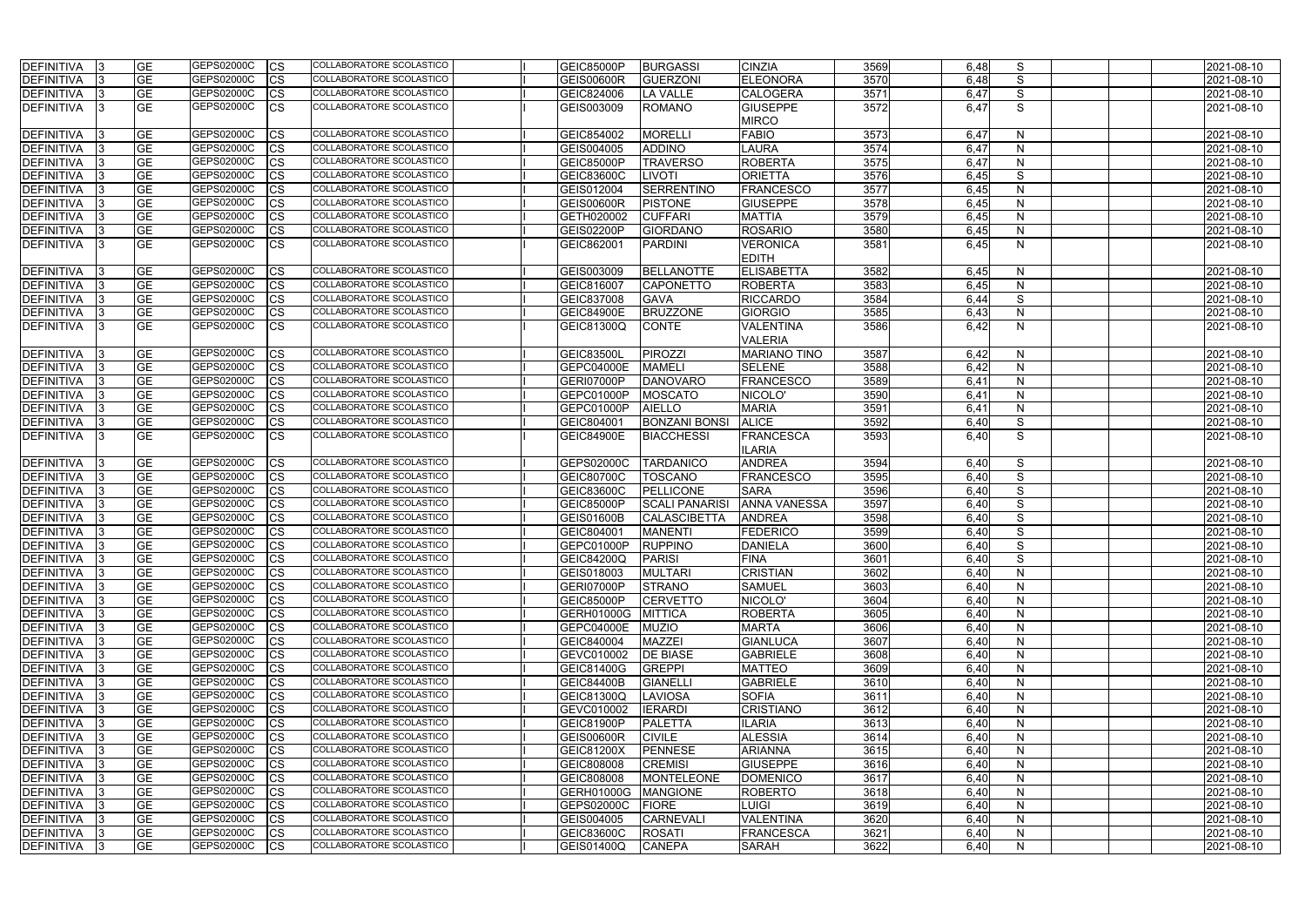| DEFINITIVA        | <b>GE</b>       | GEPS02000C<br>CS          | COLLABORATORE SCOLASTICO        | <b>GEIC85000P</b> | <b>BURGASSI</b>       | <b>CINZIA</b>       | 3569 | 6,48 | S            | 2021-08-10 |
|-------------------|-----------------|---------------------------|---------------------------------|-------------------|-----------------------|---------------------|------|------|--------------|------------|
| <b>DEFINITIVA</b> | <b>GE</b>       | GEPS02000C<br>CS          | COLLABORATORE SCOLASTICO        | <b>GEIS00600R</b> | GUERZONI              | <b>ELEONORA</b>     | 3570 | 6,48 | S            | 2021-08-10 |
| <b>DEFINITIVA</b> | <b>GE</b>       | GEPS02000C<br>СS          | COLLABORATORE SCOLASTICO        | GEIC824006        | <b>LA VALLE</b>       | <b>CALOGERA</b>     | 3571 | 6,47 | S            | 2021-08-10 |
| DEFINITIVA        | <b>GE</b>       | GEPS02000C<br>СS          | COLLABORATORE SCOLASTICO        | GEIS003009        | <b>ROMANO</b>         | <b>GIUSEPPE</b>     | 3572 | 6,47 | S            | 2021-08-10 |
|                   |                 |                           |                                 |                   |                       | <b>MIRCO</b>        |      |      |              |            |
| <b>DEFINITIVA</b> | <b>GE</b>       | GEPS02000C<br>CS          | COLLABORATORE SCOLASTICO        | GEIC854002        | <b>MORELLI</b>        | <b>FABIO</b>        | 3573 | 6,47 | N            | 2021-08-10 |
| <b>DEFINITIVA</b> | <b>GE</b>       | GEPS02000C<br>CS          | COLLABORATORE SCOLASTICO        | GEIS004005        | <b>ADDINO</b>         | <b>LAURA</b>        | 3574 | 6,47 | $\mathsf{N}$ | 2021-08-10 |
| <b>DEFINITIVA</b> | <b>GE</b>       | GEPS02000C<br>CS          | COLLABORATORE SCOLASTICO        | <b>GEIC85000P</b> | <b>TRAVERSO</b>       | <b>ROBERTA</b>      | 3575 | 6,47 | $\mathsf{N}$ | 2021-08-10 |
| DEFINITIVA        | <b>GE</b>       | GEPS02000C<br>СS          | COLLABORATORE SCOLASTICO        | <b>GEIC83600C</b> | <b>LIVOTI</b>         | <b>ORIETTA</b>      | 3576 | 6,45 | S            | 2021-08-10 |
| <b>DEFINITIVA</b> | <b>GE</b>       | GEPS02000C<br>СS          | COLLABORATORE SCOLASTICO        | GEIS012004        | SERRENTINO            | <b>FRANCESCO</b>    | 3577 | 6,45 | $\mathsf{N}$ | 2021-08-10 |
| <b>DEFINITIVA</b> | <b>GE</b>       | GEPS02000C<br>CS          | COLLABORATORE SCOLASTICO        | <b>GEIS00600R</b> | <b>PISTONE</b>        | <b>GIUSEPPE</b>     | 3578 | 6,45 | $\mathsf{N}$ | 2021-08-10 |
| <b>DEFINITIVA</b> | <b>GE</b>       | GEPS02000C<br>CS          | COLLABORATORE SCOLASTICO        | GETH020002        | <b>CUFFARI</b>        | <b>MATTIA</b>       | 3579 | 6,45 | N            | 2021-08-10 |
| DEFINITIVA        | <b>GE</b>       | <b>GEPS02000C</b><br>CS   | COLLABORATORE SCOLASTICO        | <b>GEIS02200P</b> | GIORDANO              | <b>ROSARIO</b>      | 3580 | 6,45 | $\mathsf{N}$ | 2021-08-10 |
| <b>DEFINITIVA</b> | <b>GE</b>       | GEPS02000C<br>СS          | COLLABORATORE SCOLASTICO        | GEIC862001        | PARDINI               | <b>VERONICA</b>     | 3581 | 6,45 | $\mathsf{N}$ | 2021-08-10 |
|                   |                 |                           |                                 |                   |                       | <b>EDITH</b>        |      |      |              |            |
| DEFINITIVA        | <b>GE</b>       | GEPS02000C<br>СS          | COLLABORATORE SCOLASTICO        | GEIS003009        | <b>BELLANOTTE</b>     | <b>ELISABETTA</b>   | 3582 | 6,45 | N            | 2021-08-10 |
| <b>DEFINITIVA</b> | <b>GE</b>       | GEPS02000C<br>CS          | COLLABORATORE SCOLASTICO        | GEIC816007        | <b>CAPONETTO</b>      | <b>ROBERTA</b>      | 3583 | 6,45 | $\mathsf{N}$ | 2021-08-10 |
| <b>DEFINITIVA</b> | <b>GE</b>       | GEPS02000C<br>СS          | COLLABORATORE SCOLASTICO        | GEIC837008        | <b>GAVA</b>           | <b>RICCARDO</b>     | 3584 | 6,44 | S            | 2021-08-10 |
| <b>DEFINITIVA</b> | <b>GE</b>       | GEPS02000C<br>CS          | COLLABORATORE SCOLASTICO        | <b>GEIC84900E</b> | <b>BRUZZONE</b>       | <b>GIORGIO</b>      | 3585 | 6,43 | N            | 2021-08-10 |
| <b>DEFINITIVA</b> | <b>GE</b>       | GEPS02000C<br><b>CS</b>   | COLLABORATORE SCOLASTICO        | <b>GEIC81300Q</b> | <b>CONTE</b>          | <b>VALENTINA</b>    | 3586 | 6,42 | $\mathsf{N}$ | 2021-08-10 |
|                   |                 |                           |                                 |                   |                       | <b>VALERIA</b>      |      |      |              |            |
| DEFINITIVA        | <b>GE</b>       | GEPS02000C<br>CS          | <b>COLLABORATORE SCOLASTICO</b> | <b>GEIC83500L</b> | PIROZZI               | <b>MARIANO TINO</b> | 3587 | 6,42 | N            | 2021-08-10 |
| <b>DEFINITIVA</b> | <b>GE</b>       | GEPS02000C<br>CS          | <b>COLLABORATORE SCOLASTICO</b> | <b>GEPC04000E</b> | <b>MAMELI</b>         | <b>SELENE</b>       | 3588 | 6,42 | ${\sf N}$    | 2021-08-10 |
| <b>DEFINITIVA</b> | <b>GE</b>       | GEPS02000C<br>CS          | COLLABORATORE SCOLASTICO        | GERI07000P        | <b>DANOVARO</b>       | <b>FRANCESCO</b>    | 3589 | 6,41 | $\mathsf{N}$ | 2021-08-10 |
| <b>DEFINITIVA</b> | <b>GE</b>       | GEPS02000C<br>CS          | COLLABORATORE SCOLASTICO        | GEPC01000P        | <b>MOSCATO</b>        | NICOLO'             | 3590 | 6,41 | N            | 2021-08-10 |
| <b>DEFINITIVA</b> | <b>GE</b>       | GEPS02000C<br>CS          | COLLABORATORE SCOLASTICO        | GEPC01000P        | <b>AIELLO</b>         | <b>MARIA</b>        | 3591 | 6,41 | $\mathsf{N}$ | 2021-08-10 |
| <b>DEFINITIVA</b> | <b>GE</b>       | GEPS02000C<br>CS          | COLLABORATORE SCOLASTICO        | GEIC804001        | <b>BONZANI BONSI</b>  | <b>ALICE</b>        | 3592 | 6,40 | S            | 2021-08-10 |
| DEFINITIVA        | <b>GE</b>       | GEPS02000C<br>СS          | COLLABORATORE SCOLASTICO        | <b>GEIC84900E</b> | <b>BIACCHESSI</b>     | <b>FRANCESCA</b>    | 3593 | 6,40 | S            | 2021-08-10 |
|                   |                 |                           |                                 |                   |                       | <b>ILARIA</b>       |      |      |              |            |
| <b>DEFINITIVA</b> | <b>GE</b>       | GEPS02000C<br>Ics         | COLLABORATORE SCOLASTICO        | GEPS02000C        | <b>TARDANICO</b>      | <b>ANDREA</b>       | 3594 | 6,40 | S            | 2021-08-10 |
| <b>DEFINITIVA</b> | <b>GE</b>       | GEPS02000C<br>СS          | COLLABORATORE SCOLASTICO        | <b>GEIC80700C</b> | <b>TOSCANO</b>        | <b>FRANCESCO</b>    | 3595 | 6,40 | S            | 2021-08-10 |
| DEFINITIVA        | <b>GE</b>       | GEPS02000C<br>CS          | <b>COLLABORATORE SCOLASTICO</b> | <b>GEIC83600C</b> | PELLICONE             | <b>SARA</b>         | 3596 | 6,40 | S            | 2021-08-10 |
| DEFINITIVA        | <b>GE</b>       | GEPS02000C<br>CS          | <b>COLLABORATORE SCOLASTICO</b> | <b>GEIC85000P</b> | <b>SCALI PANARISI</b> | <b>ANNA VANESSA</b> | 3597 | 6,40 | S            | 2021-08-10 |
| <b>DEFINITIVA</b> | <b>GE</b>       | GEPS02000C<br>СS          | COLLABORATORE SCOLASTICO        | <b>GEIS01600B</b> | <b>CALASCIBETTA</b>   | <b>ANDREA</b>       | 3598 | 6,40 | S            | 2021-08-10 |
| <b>DEFINITIVA</b> | $\overline{GE}$ | GEPS02000C<br>СS          | <b>COLLABORATORE SCOLASTICO</b> | GEIC804001        | <b>MANENTI</b>        | <b>FEDERICO</b>     | 3599 | 6,40 | S            | 2021-08-10 |
| DEFINITIVA        | <b>GE</b>       | GEPS02000C<br><b>I</b> CS | COLLABORATORE SCOLASTICO        | GEPC01000P        | RUPPINO               | <b>DANIELA</b>      | 3600 | 6.40 | S            | 2021-08-10 |
| DEFINITIVA        | <b>GE</b>       | GEPS02000C<br><b>CS</b>   | COLLABORATORE SCOLASTICO        | <b>GEIC84200Q</b> | PARISI                | <b>FINA</b>         | 3601 | 6,40 | S            | 2021-08-10 |
| DEFINITIVA        | <b>GE</b>       | GEPS02000C<br><b>CS</b>   | COLLABORATORE SCOLASTICO        | GEIS018003        | <b>MULTARI</b>        | <b>CRISTIAN</b>     | 3602 | 6,40 | $\mathsf{N}$ | 2021-08-10 |
| DEFINITIVA        | <b>GE</b>       | GEPS02000C<br><b>CS</b>   | COLLABORATORE SCOLASTICO        | GERI07000P        | <b>STRANO</b>         | <b>SAMUEL</b>       | 3603 | 6,40 | $\mathsf{N}$ | 2021-08-10 |
| DEFINITIVA        | <b>GE</b>       | GEPS02000C<br>СS          | COLLABORATORE SCOLASTICO        | GEIC85000P        | <b>CERVETTO</b>       | NICOLO'             | 3604 | 6,40 | N            | 2021-08-10 |
| DEFINITIVA        | <b>GE</b>       | GEPS02000C<br>CS          | COLLABORATORE SCOLASTICO        | GERH01000G        | <b>MITTICA</b>        | <b>ROBERTA</b>      | 3605 | 6,40 | N            | 2021-08-10 |
| DEFINITIVA        | <b>GE</b>       | GEPS02000C<br><b>CS</b>   | COLLABORATORE SCOLASTICO        | GEPC04000E        | <b>MUZIO</b>          | <b>MARTA</b>        | 3606 | 6,40 | N            | 2021-08-10 |
| <b>DEFINITIVA</b> | <b>GE</b>       | GEPS02000C<br><b>CS</b>   | COLLABORATORE SCOLASTICO        | GEIC840004        | <b>MAZZEI</b>         | <b>GIANLUCA</b>     | 3607 | 6,40 | N            | 2021-08-10 |
| DEFINITIVA        | <b>GE</b>       | GEPS02000C<br><b>CS</b>   | <b>COLLABORATORE SCOLASTICO</b> | GEVC010002        | <b>DE BIASE</b>       | <b>GABRIELE</b>     | 3608 | 6,40 | N            | 2021-08-10 |
| <b>DEFINITIVA</b> | <b>GE</b>       | GEPS02000C<br><b>CS</b>   | COLLABORATORE SCOLASTICO        | <b>GEIC81400G</b> | GREPPI                | <b>MATTEO</b>       | 3609 | 6,40 | N            | 2021-08-10 |
| <b>DEFINITIVA</b> | <b>GE</b>       | GEPS02000C<br><b>CS</b>   | COLLABORATORE SCOLASTICO        | GEIC84400B        | <b>GIANELLI</b>       | <b>GABRIELE</b>     | 3610 | 6,40 | N            | 2021-08-10 |
| <b>DEFINITIVA</b> | <b>GE</b>       | GEPS02000C<br>CS          | COLLABORATORE SCOLASTICO        | <b>GEIC81300Q</b> | <b>LAVIOSA</b>        | <b>SOFIA</b>        | 3611 | 6,40 | N            | 2021-08-10 |
| <b>DEFINITIVA</b> | <b>GE</b>       | GEPS02000C<br><b>CS</b>   | COLLABORATORE SCOLASTICO        | GEVC010002        | <b>IERARDI</b>        | <b>CRISTIANO</b>    | 3612 | 6,40 | $\mathsf{N}$ | 2021-08-10 |
| <b>DEFINITIVA</b> | <b>GE</b>       | GEPS02000C<br><b>CS</b>   | COLLABORATORE SCOLASTICO        | GEIC81900P        | PALETTA               | <b>ILARIA</b>       | 3613 | 6,40 | N            | 2021-08-10 |
| DEFINITIVA        | <b>GE</b>       | GEPS02000C<br>CS          | COLLABORATORE SCOLASTICO        | <b>GEIS00600R</b> | <b>CIVILE</b>         | <b>ALESSIA</b>      | 3614 | 6,40 | N            | 2021-08-10 |
| DEFINITIVA        | <b>GE</b>       | GEPS02000C<br>CS          | COLLABORATORE SCOLASTICO        | <b>GEIC81200X</b> | PENNESE               | <b>ARIANNA</b>      | 3615 | 6,40 | N            | 2021-08-10 |
| DEFINITIVA        | <b>GE</b>       | GEPS02000C<br>СS          | COLLABORATORE SCOLASTICO        | GEIC808008        | <b>CREMISI</b>        | <b>GIUSEPPE</b>     | 3616 | 6,40 | N            | 2021-08-10 |
| DEFINITIVA        | <b>GE</b>       | GEPS02000C<br>СS          | COLLABORATORE SCOLASTICO        | GEIC808008        | <b>MONTELEONE</b>     | <b>DOMENICO</b>     | 3617 | 6,40 | N            | 2021-08-10 |
| DEFINITIVA        | <b>GE</b>       | GEPS02000C<br>CS          | COLLABORATORE SCOLASTICO        | GERH01000G        | <b>MANGIONE</b>       | <b>ROBERTO</b>      | 3618 | 6,40 | $\mathsf{N}$ | 2021-08-10 |
| <b>DEFINITIVA</b> | <b>GE</b>       | GEPS02000C<br>ICS         | COLLABORATORE SCOLASTICO        | GEPS02000C        | <b>FIORE</b>          | <b>LUIGI</b>        | 3619 | 6,40 | N            | 2021-08-10 |
| DEFINITIVA        | <b>GE</b>       | GEPS02000C<br><b>CS</b>   | COLLABORATORE SCOLASTICO        | GEIS004005        | <b>CARNEVALI</b>      | <b>VALENTINA</b>    | 3620 | 6,40 | N            | 2021-08-10 |
| <b>DEFINITIVA</b> | <b>GE</b>       | GEPS02000C<br><b>ICS</b>  | COLLABORATORE SCOLASTICO        | <b>GEIC83600C</b> | <b>ROSATI</b>         | <b>FRANCESCA</b>    | 3621 | 6,40 | N            | 2021-08-10 |
| DEFINITIVA        | <b>GE</b>       | GEPS02000C<br><b>CS</b>   | COLLABORATORE SCOLASTICO        | <b>GEIS01400Q</b> | <b>CANEPA</b>         | <b>SARAH</b>        | 3622 | 6,40 | N            | 2021-08-10 |
|                   |                 |                           |                                 |                   |                       |                     |      |      |              |            |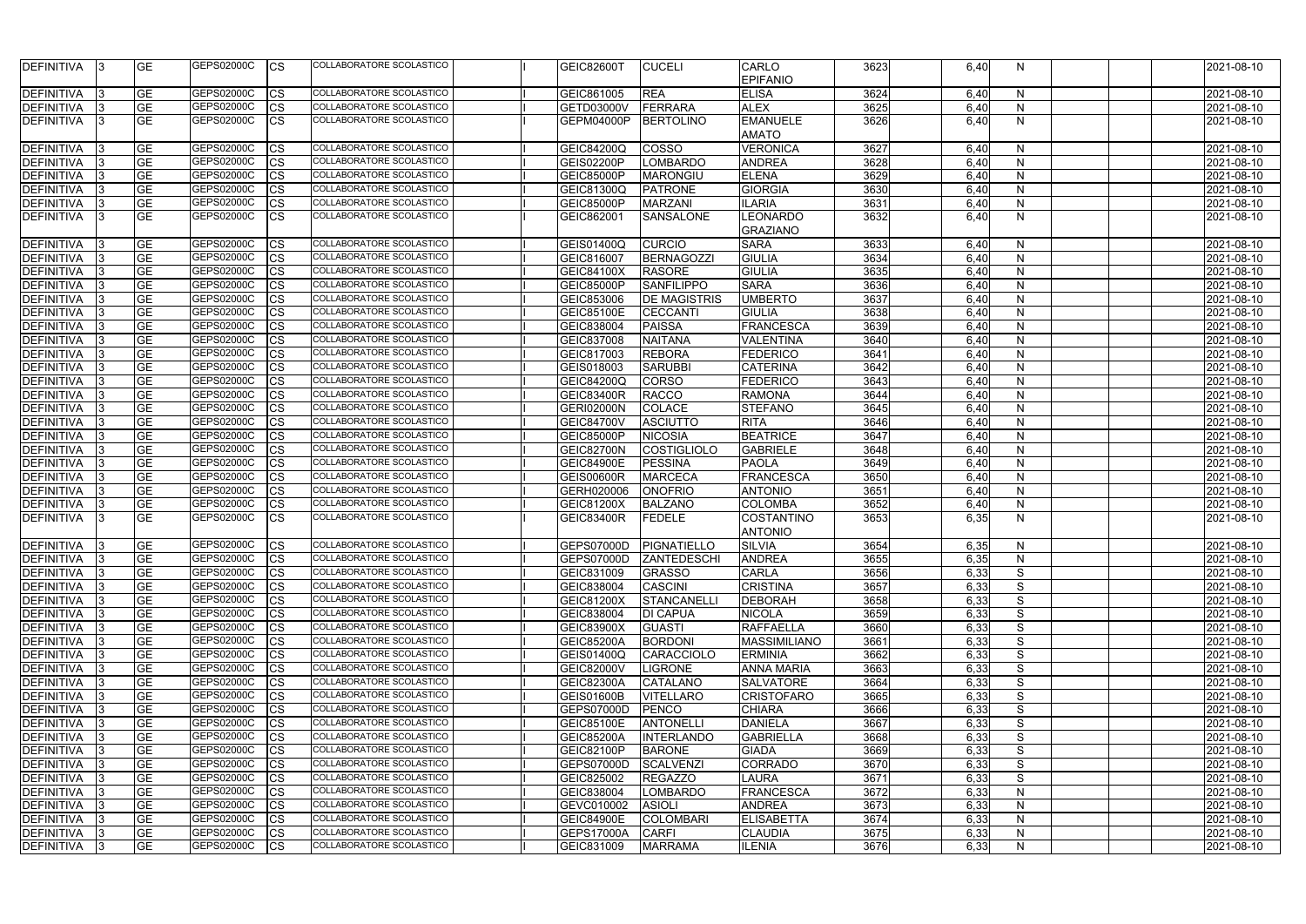| <b>DEFINITIVA</b>           |     | <b>GE</b> | GEPS02000C        | <b>CS</b>    | COLLABORATORE SCOLASTICO                             | <b>GEIC82600T</b>      | <b>CUCELI</b>       | <b>CARLO</b>                    | 3623 | 6,40 | N            | 2021-08-10 |
|-----------------------------|-----|-----------|-------------------|--------------|------------------------------------------------------|------------------------|---------------------|---------------------------------|------|------|--------------|------------|
|                             |     |           |                   |              |                                                      |                        |                     | <b>EPIFANIO</b>                 |      |      |              |            |
| DEFINITIVA                  |     | <b>GE</b> | GEPS02000C        | <b>CS</b>    | COLLABORATORE SCOLASTICO                             | GEIC861005             | <b>REA</b>          | <b>ELISA</b>                    | 3624 | 6,40 | N            | 2021-08-10 |
| <b>DEFINITIVA</b>           |     | <b>GE</b> | GEPS02000C        | <b>CS</b>    | COLLABORATORE SCOLASTICO                             | <b>GETD03000V</b>      | FERRARA             | <b>ALEX</b>                     | 3625 | 6,40 | N            | 2021-08-10 |
| DEFINITIVA                  |     | <b>GE</b> | GEPS02000C        | <b>CS</b>    | <b>COLLABORATORE SCOLASTICO</b>                      | GEPM04000P             | BERTOLINO           | <b>EMANUELE</b><br><b>AMATO</b> | 3626 | 6,40 | $\mathsf{N}$ | 2021-08-10 |
| <b>DEFINITIVA</b>           |     | <b>GE</b> | GEPS02000C        | <b>CS</b>    | COLLABORATORE SCOLASTICO                             | <b>GEIC84200Q</b>      | <b>COSSO</b>        | <b>VERONICA</b>                 | 3627 | 6,40 | N            | 2021-08-10 |
| DEFINITIVA                  |     | <b>GE</b> | <b>GEPS02000C</b> | <b>CS</b>    | COLLABORATORE SCOLASTICO                             | <b>GEIS02200P</b>      | <b>LOMBARDO</b>     | <b>ANDREA</b>                   | 3628 | 6,40 | N            | 2021-08-10 |
| DEFINITIVA                  |     | <b>GE</b> | GEPS02000C        | <b>CS</b>    | COLLABORATORE SCOLASTICO                             | GEIC85000P             | <b>MARONGIU</b>     | <b>ELENA</b>                    | 3629 | 6,40 | $\mathsf{N}$ | 2021-08-10 |
| DEFINITIVA                  |     | <b>GE</b> | GEPS02000C        | <b>CS</b>    | COLLABORATORE SCOLASTICO                             | GEIC81300Q             | <b>PATRONE</b>      | <b>GIORGIA</b>                  | 3630 | 6,40 | $\mathsf{N}$ | 2021-08-10 |
| DEFINITIVA                  |     | <b>GE</b> | GEPS02000C        | <b>CS</b>    | COLLABORATORE SCOLASTICO                             | <b>GEIC85000P</b>      | <b>MARZANI</b>      | <b>ILARIA</b>                   | 3631 | 6,40 | $\mathsf{N}$ | 2021-08-10 |
| DEFINITIVA                  |     | <b>GE</b> | GEPS02000C        | <b>CS</b>    | COLLABORATORE SCOLASTICO                             | GEIC862001             | SANSALONE           | <b>LEONARDO</b>                 | 3632 | 6,40 | $\mathsf{N}$ | 2021-08-10 |
|                             |     |           |                   |              |                                                      |                        |                     | <b>GRAZIANO</b>                 |      |      |              |            |
| <b>DEFINITIVA</b>           |     | <b>GE</b> | GEPS02000C        | <b>CS</b>    | COLLABORATORE SCOLASTICO                             | GEIS01400Q             | <b>CURCIO</b>       | <b>SARA</b>                     | 3633 | 6,40 | N            | 2021-08-10 |
| DEFINITIVA                  |     | <b>GE</b> | GEPS02000C        | <b>CS</b>    | COLLABORATORE SCOLASTICO                             | GEIC816007             | BERNAGOZZI          | <b>GIULIA</b>                   | 3634 | 6,40 | N            | 2021-08-10 |
| DEFINITIVA                  |     | <b>GE</b> | GEPS02000C        | <b>CS</b>    | COLLABORATORE SCOLASTICO                             | <b>GEIC84100X</b>      | <b>RASORE</b>       | <b>GIULIA</b>                   | 3635 | 6,40 | N            | 2021-08-10 |
| DEFINITIVA                  |     | <b>GE</b> | GEPS02000C        | <b>CS</b>    | COLLABORATORE SCOLASTICO                             | GEIC85000P             | <b>SANFILIPPO</b>   | <b>SARA</b>                     | 3636 | 6,40 | $\mathsf{N}$ | 2021-08-10 |
| DEFINITIVA                  |     | <b>GE</b> | GEPS02000C        | <b>CS</b>    | COLLABORATORE SCOLASTICO                             | GEIC853006             | <b>DE MAGISTRIS</b> | <b>UMBERTO</b>                  | 3637 | 6,40 | N            | 2021-08-10 |
| DEFINITIVA                  |     | <b>GE</b> | GEPS02000C        | <b>CS</b>    | COLLABORATORE SCOLASTICO                             | <b>GEIC85100E</b>      | <b>CECCANTI</b>     | <b>GIULIA</b>                   | 3638 | 6,40 | $\mathsf{N}$ | 2021-08-10 |
| DEFINITIVA                  |     | <b>GE</b> | GEPS02000C        | <b>CS</b>    | COLLABORATORE SCOLASTICO                             | GEIC838004             | <b>PAISSA</b>       | FRANCESCA                       | 3639 | 6,40 | $\mathsf{N}$ | 2021-08-10 |
| DEFINITIVA                  |     | <b>GE</b> | GEPS02000C        | <b>CS</b>    | COLLABORATORE SCOLASTICO                             | GEIC837008             | <b>NAITANA</b>      | <b>VALENTINA</b>                | 3640 | 6,40 | N            | 2021-08-10 |
| DEFINITIVA                  |     | <b>GE</b> | GEPS02000C        | <b>CS</b>    | COLLABORATORE SCOLASTICO                             | GEIC817003             | <b>REBORA</b>       | <b>FEDERICO</b>                 | 3641 | 6,40 | $\mathsf{N}$ | 2021-08-10 |
| DEFINITIVA                  |     | <b>GE</b> | GEPS02000C        | <b>CS</b>    | COLLABORATORE SCOLASTICO                             | GEIS018003             | <b>SARUBBI</b>      | <b>CATERINA</b>                 | 3642 | 6,40 | $\mathsf{N}$ | 2021-08-10 |
| DEFINITIVA                  |     | <b>GE</b> | GEPS02000C        | <b>CS</b>    | COLLABORATORE SCOLASTICO                             | <b>GEIC84200Q</b>      | <b>CORSO</b>        | <b>FEDERICO</b>                 | 3643 | 6,40 | N            | 2021-08-10 |
| DEFINITIVA                  |     | <b>GE</b> | GEPS02000C        | <b>CS</b>    | COLLABORATORE SCOLASTICO                             | <b>GEIC83400R</b>      | <b>RACCO</b>        | <b>RAMONA</b>                   | 3644 | 6,40 | $\mathsf{N}$ | 2021-08-10 |
| DEFINITIVA                  |     | <b>GE</b> | GEPS02000C        | <b>CS</b>    | COLLABORATORE SCOLASTICO                             | <b>GERI02000N</b>      | <b>COLACE</b>       | <b>STEFANO</b>                  | 3645 | 6,40 | N            | 2021-08-10 |
| DEFINITIVA                  |     | <b>GE</b> | GEPS02000C        | <b>CS</b>    | COLLABORATORE SCOLASTICO                             | <b>GEIC84700V</b>      | <b>ASCIUTTO</b>     | <b>RITA</b>                     | 3646 | 6,40 | N            | 2021-08-10 |
| DEFINITIVA                  |     | <b>GE</b> | GEPS02000C        | <b>CS</b>    | COLLABORATORE SCOLASTICO                             | GEIC85000P             | <b>NICOSIA</b>      | <b>BEATRICE</b>                 | 3647 | 6,40 | N            | 2021-08-10 |
| DEFINITIVA                  |     | <b>GE</b> | GEPS02000C        | <b>CS</b>    | COLLABORATORE SCOLASTICO                             | <b>GEIC82700N</b>      | COSTIGLIOLO         | <b>GABRIELE</b>                 | 3648 | 6,40 | $\mathsf{N}$ | 2021-08-10 |
| DEFINITIVA                  |     | <b>GE</b> | GEPS02000C        | <b>CS</b>    | COLLABORATORE SCOLASTICO                             | <b>GEIC84900E</b>      | <b>PESSINA</b>      | <b>PAOLA</b>                    | 3649 | 6,40 | N            | 2021-08-10 |
| DEFINITIVA                  |     | <b>GE</b> | GEPS02000C        | <b>CS</b>    | COLLABORATORE SCOLASTICO                             | <b>GEIS00600R</b>      | <b>MARCECA</b>      | FRANCESCA                       | 3650 | 6,40 | $\mathsf{N}$ | 2021-08-10 |
| <b>DEFINITIVA</b>           |     | <b>GE</b> | GEPS02000C        | <b>CS</b>    | COLLABORATORE SCOLASTICO                             | GERH020006             | <b>ONOFRIO</b>      | <b>ANTONIO</b>                  | 3651 | 6,40 | $\mathsf{N}$ | 2021-08-10 |
| <b>DEFINITIVA</b>           |     | <b>GE</b> | GEPS02000C        | <b>CS</b>    | COLLABORATORE SCOLASTICO                             | <b>GEIC81200X</b>      | <b>BALZANO</b>      | <b>COLOMBA</b>                  | 3652 | 6,40 | N            | 2021-08-10 |
| DEFINITIVA                  |     | <b>GE</b> | GEPS02000C        | <b>CS</b>    | COLLABORATORE SCOLASTICO                             | GEIC83400R             | FEDELE              | COSTANTINO<br><b>ANTONIO</b>    | 3653 | 6,35 | N            | 2021-08-10 |
| DEFINITIVA  3               |     | <b>GE</b> | GEPS02000C        | <b>ICS</b>   | COLLABORATORE SCOLASTICO                             | GEPS07000D PIGNATIELLO |                     | <b>SILVIA</b>                   | 3654 | 6.35 | N.           | 2021-08-10 |
| DEFINITIVA 3                |     | <b>GE</b> | GEPS02000C        | $ {\rm CS} $ | <b>COLLABORATORE SCOLASTICO</b>                      | GEPS07000D             | <b>ZANTEDESCHI</b>  | <b>ANDREA</b>                   | 3655 | 6,35 | N.           | 2021-08-10 |
| DEFINITIVA 3                |     | <b>GE</b> | GEPS02000C        | <b>CS</b>    | COLLABORATORE SCOLASTICO                             | GEIC831009             | <b>GRASSO</b>       | <b>CARLA</b>                    | 3656 | 6,33 | S            | 2021-08-10 |
| DEFINITIVA 3                |     | <b>GE</b> | GEPS02000C        | <b>CS</b>    | COLLABORATORE SCOLASTICO                             | GEIC838004             | <b>CASCINI</b>      | <b>CRISTINA</b>                 | 3657 | 6,33 | S            | 2021-08-10 |
| DEFINITIVA 3                |     | <b>GE</b> | GEPS02000C        | <b>CS</b>    | COLLABORATORE SCOLASTICO                             | <b>GEIC81200X</b>      | STANCANELLI         | <b>DEBORAH</b>                  | 3658 | 6,33 | S            | 2021-08-10 |
| DEFINITIVA 3                |     | <b>GE</b> | GEPS02000C        | <b>CS</b>    | COLLABORATORE SCOLASTICO                             | GEIC838004             | <b>DI CAPUA</b>     | <b>NICOLA</b>                   | 3659 | 6,33 | S            | 2021-08-10 |
| DEFINITIVA 3                |     | <b>GE</b> | GEPS02000C        | <b>CS</b>    | COLLABORATORE SCOLASTICO                             | GEIC83900X             | <b>GUASTI</b>       | <b>RAFFAELLA</b>                | 3660 | 6,33 | S            | 2021-08-10 |
| DEFINITIVA                  | -13 | <b>GE</b> | GEPS02000C        | <b>CS</b>    | COLLABORATORE SCOLASTICO                             | <b>GEIC85200A</b>      | <b>BORDONI</b>      | <b>MASSIMILIANO</b>             | 3661 | 6,33 | S            | 2021-08-10 |
| DEFINITIVA                  | -13 | <b>GE</b> | GEPS02000C        | <b>CS</b>    | COLLABORATORE SCOLASTICO                             | <b>GEIS01400Q</b>      | <b>CARACCIOLO</b>   | <b>ERMINIA</b>                  | 3662 | 6,33 | S            | 2021-08-10 |
| DEFINITIVA                  |     | <b>GE</b> | <b>GEPS02000C</b> | <b>CS</b>    | COLLABORATORE SCOLASTICO                             | GEIC82000V             | <b>LIGRONE</b>      | <b>ANNA MARIA</b>               | 3663 | 6,33 | S            | 2021-08-10 |
| DEFINITIVA                  |     | <b>GE</b> | GEPS02000C        | <b>CS</b>    | COLLABORATORE SCOLASTICO                             | <b>GEIC82300A</b>      | <b>CATALANO</b>     | <b>SALVATORE</b>                | 3664 | 6,33 | S            | 2021-08-10 |
| DEFINITIVA 3                |     | <b>GE</b> | GEPS02000C        | <b>CS</b>    | COLLABORATORE SCOLASTICO                             | <b>GEIS01600B</b>      | <b>VITELLARO</b>    | <b>CRISTOFARO</b>               | 3665 | 6,33 | S            | 2021-08-10 |
| DEFINITIVA                  |     | <b>GE</b> | GEPS02000C        | <b>CS</b>    | COLLABORATORE SCOLASTICO                             | GEPS07000D             | PENCO               | <b>CHIARA</b>                   | 3666 | 6,33 | S            | 2021-08-10 |
| DEFINITIVA 3                |     | <b>GE</b> | GEPS02000C        | <b>CS</b>    | COLLABORATORE SCOLASTICO                             | GEIC85100E             | <b>ANTONELLI</b>    | DANIELA                         | 3667 | 6,33 | S            | 2021-08-10 |
| DEFINITIVA 3                |     | <b>GE</b> | GEPS02000C        | <b>CS</b>    | COLLABORATORE SCOLASTICO                             | <b>GEIC85200A</b>      | <b>INTERLANDO</b>   | <b>GABRIELLA</b>                | 3668 | 6,33 | S            | 2021-08-10 |
| DEFINITIVA 3                |     | <b>GE</b> | GEPS02000C        | <b>CS</b>    | COLLABORATORE SCOLASTICO                             | GEIC82100P             | <b>BARONE</b>       | <b>GIADA</b>                    | 3669 | 6,33 | S            | 2021-08-10 |
| $DEFINITIVA$ $\overline{3}$ |     | <b>GE</b> | GEPS02000C        | <b>CS</b>    | COLLABORATORE SCOLASTICO                             | GEPS07000D             | <b>SCALVENZI</b>    | <b>CORRADO</b>                  | 3670 | 6,33 | S            | 2021-08-10 |
| DEFINITIVA 3                |     | <b>GE</b> | GEPS02000C        | <b>CS</b>    | COLLABORATORE SCOLASTICO                             | GEIC825002             | <b>REGAZZO</b>      | <b>LAURA</b>                    | 3671 | 6,33 | S            | 2021-08-10 |
| DEFINITIVA                  |     | <b>GE</b> | GEPS02000C        | <b>CS</b>    | COLLABORATORE SCOLASTICO                             | GEIC838004             | <b>LOMBARDO</b>     | <b>FRANCESCA</b>                | 3672 | 6,33 | $\mathsf{N}$ | 2021-08-10 |
| <b>DEFINITIVA</b>           |     | <b>GE</b> | GEPS02000C        | <b>CS</b>    | COLLABORATORE SCOLASTICO                             | GEVC010002             | <b>ASIOLI</b>       | <b>ANDREA</b>                   | 3673 | 6,33 | N            | 2021-08-10 |
| DEFINITIVA                  |     | <b>GE</b> | GEPS02000C        | <b>CS</b>    | COLLABORATORE SCOLASTICO<br>COLLABORATORE SCOLASTICO | <b>GEIC84900E</b>      | <b>COLOMBARI</b>    | <b>ELISABETTA</b>               | 3674 | 6,33 | $\mathsf{N}$ | 2021-08-10 |
| DEFINITIVA                  |     | <b>GE</b> | GEPS02000C        | <b>CS</b>    | COLLABORATORE SCOLASTICO                             | GEPS17000A             | <b>CARFI</b>        | <b>CLAUDIA</b>                  | 3675 | 6,33 | N            | 2021-08-10 |
| DEFINITIVA                  | 13  | <b>GE</b> | GEPS02000C        | <b>CS</b>    |                                                      | GEIC831009             | <b>MARRAMA</b>      | <b>ILENIA</b>                   | 3676 | 6,33 | N            | 2021-08-10 |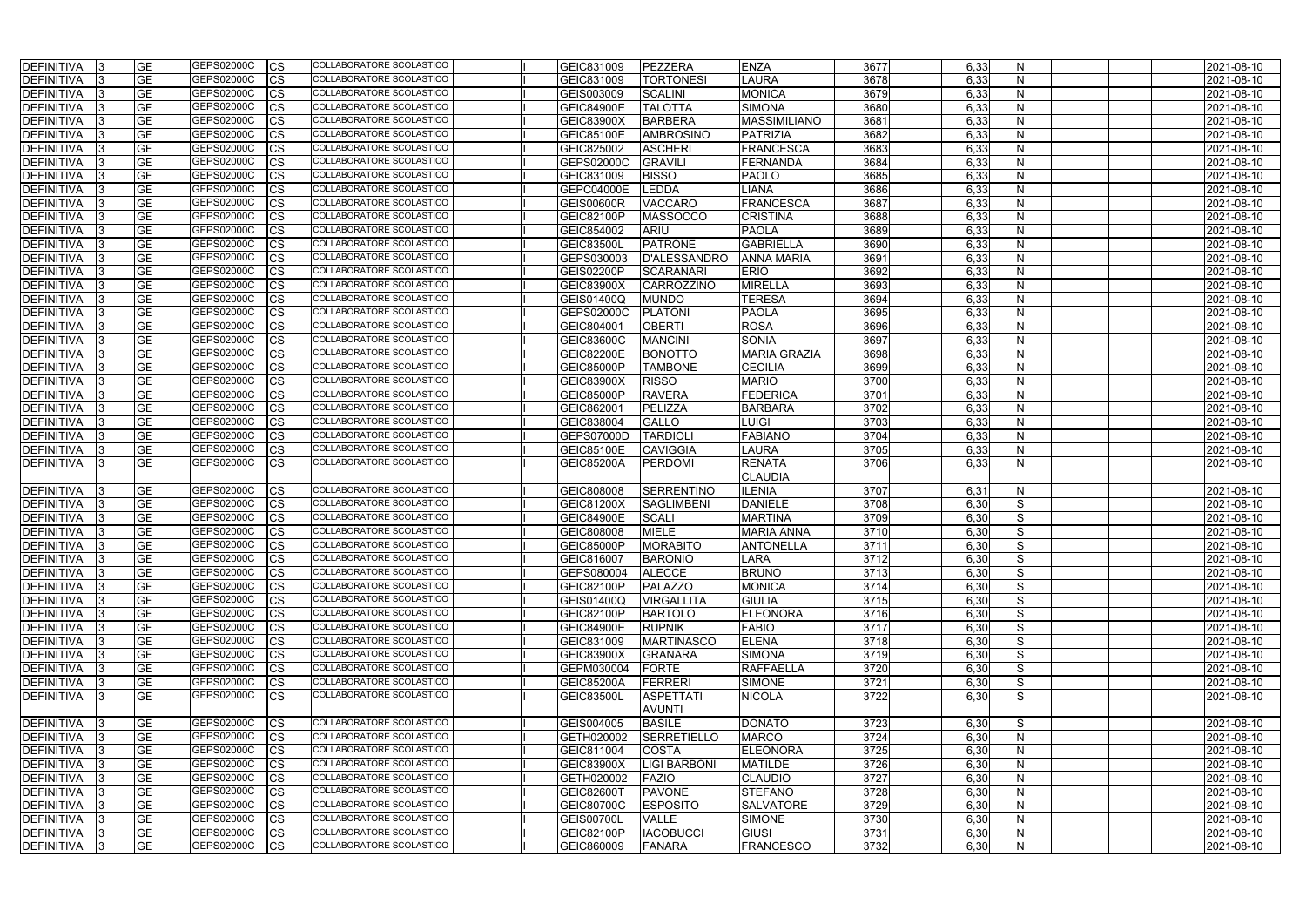| <b>DEFINITIVA</b> | <b>GE</b>       | <b>GEPS02000C</b><br>CS        | COLLABORATORE SCOLASTICO        | GEIC831009        | PEZZERA             | <b>ENZA</b>                     | 3677 | 6,33 | <sub>N</sub> | 2021-08-10 |
|-------------------|-----------------|--------------------------------|---------------------------------|-------------------|---------------------|---------------------------------|------|------|--------------|------------|
| <b>DEFINITIVA</b> | <b>GE</b>       | GEPS02000C<br>CS               | COLLABORATORE SCOLASTICO        | GEIC831009        | <b>TORTONESI</b>    | LAURA                           | 3678 | 6,33 | N            | 2021-08-10 |
| <b>DEFINITIVA</b> | <b>GE</b>       | <b>GEPS02000C</b><br>СS        | COLLABORATORE SCOLASTICO        | GEIS003009        | <b>SCALINI</b>      | <b>MONICA</b>                   | 3679 | 6,33 | N            | 2021-08-10 |
| <b>DEFINITIVA</b> | <b>GE</b>       | <b>GEPS02000C</b><br>СS        | COLLABORATORE SCOLASTICO        | <b>GEIC84900E</b> | <b>TALOTTA</b>      | <b>SIMONA</b>                   | 3680 | 6,33 | N            | 2021-08-10 |
| DEFINITIVA        | <b>GE</b>       | GEPS02000C<br>CS               | COLLABORATORE SCOLASTICO        | <b>GEIC83900X</b> | <b>BARBERA</b>      | <b>MASSIMILIANO</b>             | 3681 | 6,33 | $\mathsf{N}$ | 2021-08-10 |
| <b>DEFINITIVA</b> | <b>GE</b>       | GEPS02000C<br>CS               | COLLABORATORE SCOLASTICO        | <b>GEIC85100E</b> | AMBROSINO           | <b>PATRIZIA</b>                 | 3682 | 6,33 | N            | 2021-08-10 |
| DEFINITIVA        | <b>GE</b>       | GEPS02000C<br>СS               | COLLABORATORE SCOLASTICO        | GEIC825002        | <b>ASCHERI</b>      | <b>FRANCESCA</b>                | 3683 | 6,33 | N            | 2021-08-10 |
| <b>DEFINITIVA</b> | <b>GE</b>       | GEPS02000C<br>CS               | COLLABORATORE SCOLASTICO        | GEPS02000C        | <b>GRAVILI</b>      | <b>FERNANDA</b>                 | 3684 | 6,33 | N            | 2021-08-10 |
| <b>DEFINITIVA</b> | <b>GE</b>       | GEPS02000C<br>СS               | COLLABORATORE SCOLASTICO        | GEIC831009        | <b>BISSO</b>        | <b>PAOLO</b>                    | 3685 | 6,33 | $\mathsf{N}$ | 2021-08-10 |
| <b>DEFINITIVA</b> | <b>GE</b>       | GEPS02000C<br>СS               | <b>COLLABORATORE SCOLASTICO</b> | GEPC04000E        | <b>LEDDA</b>        | LIANA                           | 3686 | 6,33 | N            | 2021-08-10 |
| <b>DEFINITIVA</b> | $\overline{GE}$ | GEPS02000C<br>СS               | <b>COLLABORATORE SCOLASTICO</b> | <b>GEIS00600R</b> | <b>VACCARO</b>      | <b>FRANCESCA</b>                | 3687 | 6,33 | $\mathsf{N}$ | 2021-08-10 |
| <b>DEFINITIVA</b> | <b>GE</b>       | GEPS02000C<br>CS               | COLLABORATORE SCOLASTICO        | <b>GEIC82100P</b> | <b>MASSOCCO</b>     | <b>CRISTINA</b>                 | 3688 | 6,33 | $\mathsf{N}$ | 2021-08-10 |
| DEFINITIVA        | <b>GE</b>       | GEPS02000C<br>CS               | COLLABORATORE SCOLASTICO        | GEIC854002        | <b>ARIU</b>         | <b>PAOLA</b>                    | 3689 | 6,33 | N            | 2021-08-10 |
| <b>DEFINITIVA</b> | <b>GE</b>       | GEPS02000C<br>СS               | COLLABORATORE SCOLASTICO        | <b>GEIC83500L</b> | <b>PATRONE</b>      | <b>GABRIELLA</b>                | 3690 | 6,33 | $\mathsf{N}$ | 2021-08-10 |
| <b>DEFINITIVA</b> | <b>GE</b>       | GEPS02000C<br>СS               | COLLABORATORE SCOLASTICO        | GEPS030003        | <b>D'ALESSANDRO</b> | <b>ANNA MARIA</b>               | 3691 | 6,33 | N            | 2021-08-10 |
| <b>DEFINITIVA</b> | <b>GE</b>       | <b>GEPS02000C</b><br><b>CS</b> | COLLABORATORE SCOLASTICO        | <b>GEIS02200P</b> | <b>SCARANARI</b>    | <b>ERIO</b>                     | 3692 | 6,33 | N            | 2021-08-10 |
| <b>DEFINITIVA</b> | <b>GE</b>       | GEPS02000C<br>СS               | <b>COLLABORATORE SCOLASTICO</b> | <b>GEIC83900X</b> | <b>CARROZZINO</b>   | <b>MIRELLA</b>                  | 3693 | 6,33 | N            | 2021-08-10 |
| <b>DEFINITIVA</b> | <b>GE</b>       | GEPS02000C<br>СS               | COLLABORATORE SCOLASTICO        | <b>GEIS01400Q</b> | <b>MUNDO</b>        | <b>TERESA</b>                   | 3694 | 6,33 | N            | 2021-08-10 |
|                   |                 |                                | COLLABORATORE SCOLASTICO        |                   |                     |                                 |      |      |              |            |
| <b>DEFINITIVA</b> | <b>GE</b>       | GEPS02000C<br>СS               | COLLABORATORE SCOLASTICO        | GEPS02000C        | <b>PLATONI</b>      | <b>PAOLA</b>                    | 3695 | 6,33 | N            | 2021-08-10 |
| DEFINITIVA        | <b>GE</b>       | GEPS02000C<br>СS               |                                 | GEIC804001        | <b>OBERTI</b>       | <b>ROSA</b>                     | 3696 | 6,33 | N            | 2021-08-10 |
| DEFINITIVA        | <b>GE</b>       | GEPS02000C<br>СS               | COLLABORATORE SCOLASTICO        | <b>GEIC83600C</b> | <b>MANCINI</b>      | <b>SONIA</b>                    | 3697 | 6,33 | $\mathsf{N}$ | 2021-08-10 |
| <b>DEFINITIVA</b> | <b>GE</b>       | GEPS02000C<br>CS               | COLLABORATORE SCOLASTICO        | <b>GEIC82200E</b> | <b>BONOTTO</b>      | <b>MARIA GRAZIA</b>             | 3698 | 6,33 | $\mathsf{N}$ | 2021-08-10 |
| DEFINITIVA        | <b>GE</b>       | GEPS02000C<br>СS               | <b>COLLABORATORE SCOLASTICO</b> | <b>GEIC85000P</b> | <b>TAMBONE</b>      | <b>CECILIA</b>                  | 3699 | 6,33 | N            | 2021-08-10 |
| <b>DEFINITIVA</b> | <b>GE</b>       | GEPS02000C<br>СS               | COLLABORATORE SCOLASTICO        | <b>GEIC83900X</b> | <b>RISSO</b>        | <b>MARIO</b>                    | 3700 | 6,33 | $\mathsf{N}$ | 2021-08-10 |
| <b>DEFINITIVA</b> | <b>GE</b>       | GEPS02000C<br>CS               | COLLABORATORE SCOLASTICO        | <b>GEIC85000P</b> | <b>RAVERA</b>       | <b>FEDERICA</b>                 | 3701 | 6,33 | $\mathsf{N}$ | 2021-08-10 |
| DEFINITIVA        | <b>GE</b>       | GEPS02000C<br>СS               | COLLABORATORE SCOLASTICO        | GEIC862001        | PELIZZA             | <b>BARBARA</b>                  | 3702 | 6,33 | N            | 2021-08-10 |
| <b>DEFINITIVA</b> | <b>GE</b>       | GEPS02000C<br>СS               | COLLABORATORE SCOLASTICO        | GEIC838004        | <b>GALLO</b>        | <b>LUIGI</b>                    | 3703 | 6,33 | N            | 2021-08-10 |
| DEFINITIVA        | <b>GE</b>       | GEPS02000C<br>СS               | COLLABORATORE SCOLASTICO        | GEPS07000D        | <b>TARDIOLI</b>     | <b>FABIANO</b>                  | 3704 | 6,33 | N            | 2021-08-10 |
| <b>DEFINITIVA</b> | <b>GE</b>       | GEPS02000C<br>СS               | COLLABORATORE SCOLASTICO        | <b>GEIC85100E</b> | <b>CAVIGGIA</b>     | <b>LAURA</b>                    | 3705 | 6,33 | N            | 2021-08-10 |
| <b>DEFINITIVA</b> | <b>GE</b>       | <b>GEPS02000C</b><br>CS        | COLLABORATORE SCOLASTICO        | <b>GEIC85200A</b> | PERDOMI             | <b>RENATA</b><br><b>CLAUDIA</b> | 3706 | 6,33 | N            | 2021-08-10 |
| DEFINITIVA        | <b>GE</b>       | GEPS02000C<br>CS               | COLLABORATORE SCOLASTICO        | GEIC808008        | SERRENTINO          | ILENIA                          | 3707 | 6,31 | N            | 2021-08-10 |
| DEFINITIVA        | <b>GE</b>       | GEPS02000C                     | COLLABORATORE SCOLASTICO        | <b>GEIC81200X</b> | <b>SAGLIMBENI</b>   | <b>DANIELE</b>                  | 3708 | 6,30 | S            | 2021-08-10 |
|                   |                 | СS<br>GEPS02000C               | <b>COLLABORATORE SCOLASTICO</b> |                   |                     |                                 |      |      |              |            |
| DEFINITIVA        | <b>GE</b>       | СS                             |                                 | <b>GEIC84900E</b> | <b>SCALI</b>        | <b>MARTINA</b>                  | 3709 | 6,30 | S            | 2021-08-10 |
| DEFINITIVA        | <b>GE</b>       | GEPS02000C<br>СS               | COLLABORATORE SCOLASTICO        | GEIC808008        | <b>MIELE</b>        | <b>MARIA ANNA</b>               | 3710 | 6,30 | S            | 2021-08-10 |
| DEFINITIVA        | <b>GE</b>       | GEPS02000C<br><b>CS</b>        | COLLABORATORE SCOLASTICO        | GEIC85000P        | <b>MORABITO</b>     | <b>ANTONELLA</b>                | 3711 | 6,30 | S            | 2021-08-10 |
| DEFINITIVA 3      | <b>GE</b>       | GEPS02000C<br><b>CS</b>        | COLLABORATORE SCOLASTICO        | GEIC816007        | BARONIO             | <b>LARA</b>                     | 3712 | 6,30 | S            | 2021-08-10 |
| DEFINITIVA        | <b>GE</b>       | GEPS02000C<br><b>CS</b>        | COLLABORATORE SCOLASTICO        | GEPS080004        | <b>ALECCE</b>       | <b>BRUNO</b>                    | 3713 | 6,30 | S            | 2021-08-10 |
| DEFINITIVA        | <b>GE</b>       | GEPS02000C<br><b>CS</b>        | COLLABORATORE SCOLASTICO        | GEIC82100P        | PALAZZO             | <b>MONICA</b>                   | 3714 | 6,30 | S            | 2021-08-10 |
| DEFINITIVA        | <b>GE</b>       | GEPS02000C<br><b>CS</b>        | COLLABORATORE SCOLASTICO        | <b>GEIS01400Q</b> | <b>VIRGALLITA</b>   | <b>GIULIA</b>                   | 3715 | 6,30 | S            | 2021-08-10 |
| DEFINITIVA        | <b>GE</b>       | GEPS02000C<br>СS               | COLLABORATORE SCOLASTICO        | GEIC82100P        | <b>BARTOLO</b>      | <b>ELEONORA</b>                 | 3716 | 6,30 | S            | 2021-08-10 |
| DEFINITIVA        | <b>GE</b>       | GEPS02000C<br>CS               | COLLABORATORE SCOLASTICO        | <b>GEIC84900E</b> | <b>RUPNIK</b>       | <b>FABIO</b>                    | 3717 | 6,30 | S            | 2021-08-10 |
| DEFINITIVA        | <b>GE</b>       | GEPS02000C<br><b>ICS</b>       | COLLABORATORE SCOLASTICO        | GEIC831009        | <b>MARTINASCO</b>   | <b>ELENA</b>                    | 3718 | 6,30 | S            | 2021-08-10 |
| <b>DEFINITIVA</b> | <b>GE</b>       | GEPS02000C<br><b>CS</b>        | COLLABORATORE SCOLASTICO        | <b>GEIC83900X</b> | GRANARA             | <b>SIMONA</b>                   | 3719 | 6,30 | S            | 2021-08-10 |
| <b>DEFINITIVA</b> | <b>GE</b>       | GEPS02000C<br><b>CS</b>        | COLLABORATORE SCOLASTICO        | GEPM030004        | FORTE               | <b>RAFFAELLA</b>                | 3720 | 6,30 | S            | 2021-08-10 |
| <b>DEFINITIVA</b> | <b>GE</b>       | GEPS02000C<br><b>CS</b>        | COLLABORATORE SCOLASTICO        | <b>GEIC85200A</b> | FERRERI             | <b>SIMONE</b>                   | 3721 | 6,30 | S            | 2021-08-10 |
| DEFINITIVA        | <b>GE</b>       | GEPS02000C<br><b>CS</b>        | COLLABORATORE SCOLASTICO        | <b>GEIC83500L</b> | <b>ASPETTATI</b>    | <b>NICOLA</b>                   | 3722 | 6,30 | S            | 2021-08-10 |
|                   |                 |                                |                                 |                   | <b>AVUNTI</b>       |                                 |      |      |              |            |
| <b>DEFINITIVA</b> | <b>GE</b>       | GEPS02000C<br><b>CS</b>        | COLLABORATORE SCOLASTICO        | GEIS004005        | <b>BASILE</b>       | <b>DONATO</b>                   | 3723 | 6,30 | S            | 2021-08-10 |
| DEFINITIVA        | <b>GE</b>       | GEPS02000C<br><b>CS</b>        | COLLABORATORE SCOLASTICO        | GETH020002        | SERRETIELLO         | <b>MARCO</b>                    | 3724 | 6,30 | N            | 2021-08-10 |
| DEFINITIVA        | <b>GE</b>       | GEPS02000C<br><b>CS</b>        | COLLABORATORE SCOLASTICO        | GEIC811004        | <b>COSTA</b>        | <b>ELEONORA</b>                 | 3725 | 6,30 | N            | 2021-08-10 |
| DEFINITIVA        | <b>GE</b>       | GEPS02000C<br>СS               | COLLABORATORE SCOLASTICO        | <b>GEIC83900X</b> | <b>LIGI BARBONI</b> | <b>MATILDE</b>                  | 3726 | 6,30 | $\mathsf{N}$ | 2021-08-10 |
| <b>DEFINITIVA</b> | <b>GE</b>       | GEPS02000C<br>СS               | COLLABORATORE SCOLASTICO        | GETH020002        | FAZIO               | <b>CLAUDIO</b>                  | 3727 | 6,30 | N            | 2021-08-10 |
| DEFINITIVA        | <b>GE</b>       | GEPS02000C<br>СS               | COLLABORATORE SCOLASTICO        | GEIC82600T        | <b>PAVONE</b>       | <b>STEFANO</b>                  | 3728 | 6,30 | N            | 2021-08-10 |
| <b>DEFINITIVA</b> | <b>GE</b>       | GEPS02000C<br><b>CS</b>        | COLLABORATORE SCOLASTICO        | <b>GEIC80700C</b> | <b>ESPOSITO</b>     | <b>SALVATORE</b>                | 3729 | 6,30 | $\mathsf{N}$ | 2021-08-10 |
| <b>DEFINITIVA</b> | <b>GE</b>       | GEPS02000C<br><b>CS</b>        | COLLABORATORE SCOLASTICO        | <b>GEIS00700L</b> | <b>VALLE</b>        | <b>SIMONE</b>                   | 3730 |      |              | 2021-08-10 |
| DEFINITIVA        | <b>GE</b>       | GEPS02000C<br><b>CS</b>        | COLLABORATORE SCOLASTICO        | GEIC82100P        | <b>IACOBUCCI</b>    | <b>GIUSI</b>                    | 3731 | 6,30 | N            | 2021-08-10 |
|                   |                 | GEPS02000C                     | COLLABORATORE SCOLASTICO        |                   |                     |                                 |      | 6,30 | N            |            |
| <b>DEFINITIVA</b> | <b>GE</b>       | <b>CS</b>                      |                                 | GEIC860009        | FANARA              | <b>FRANCESCO</b>                | 3732 | 6,30 | $\mathsf{N}$ | 2021-08-10 |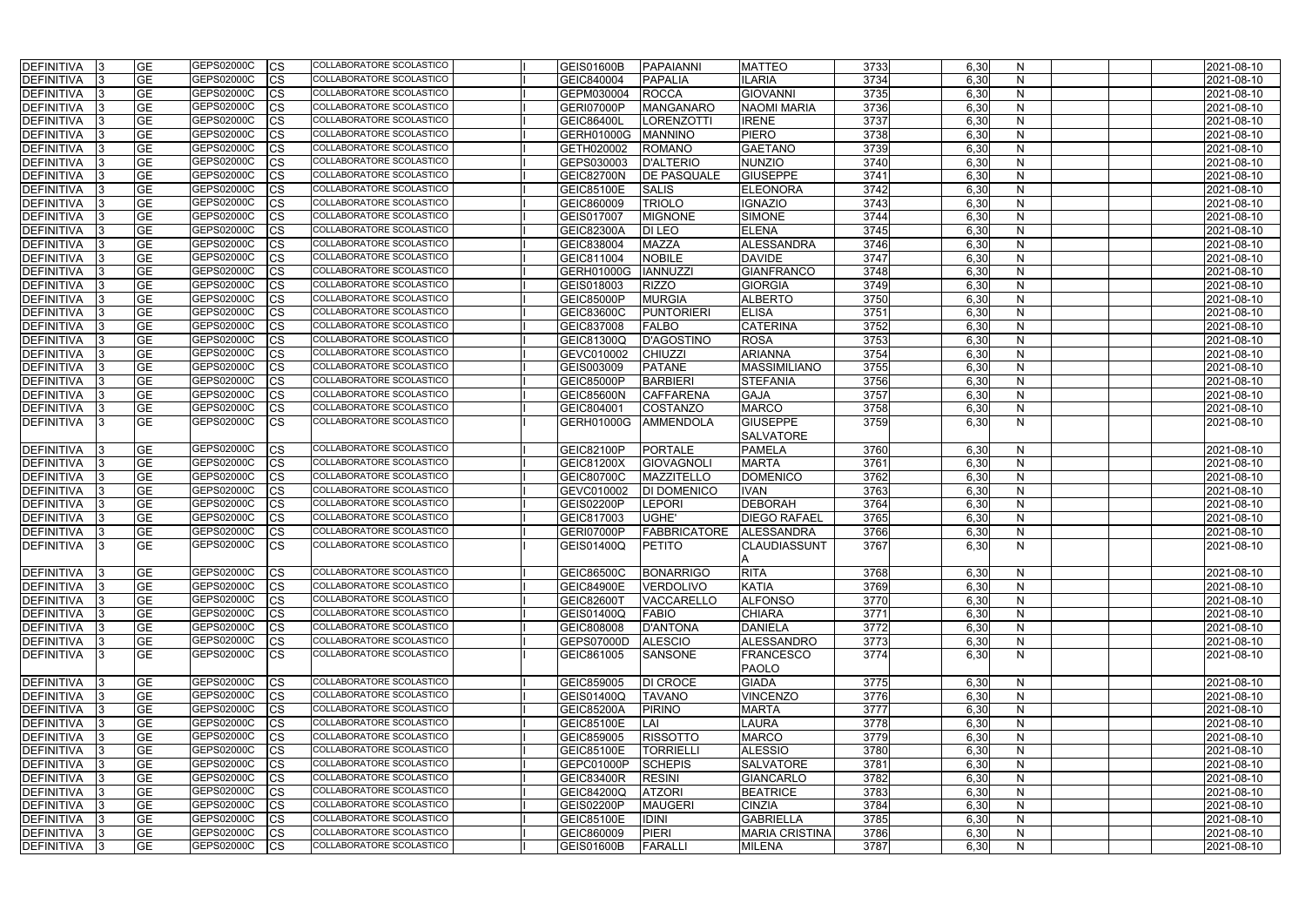| <b>DEFINITIVA</b> | <b>GE</b>  | GEPS02000C | <b>ICS</b>  | COLLABORATORE SCOLASTICO        | <b>GEIS01600B</b> | PAPAIANNI           | <b>MATTEO</b>                         | 3733 | 6,30 | N            | 2021-08-10 |
|-------------------|------------|------------|-------------|---------------------------------|-------------------|---------------------|---------------------------------------|------|------|--------------|------------|
| <b>DEFINITIVA</b> | <b>GE</b>  | GEPS02000C | <b>CS</b>   | COLLABORATORE SCOLASTICO        | GEIC840004        | <b>PAPALIA</b>      | ILARIA                                | 3734 | 6,30 | N            | 2021-08-10 |
| <b>DEFINITIVA</b> | <b>GE</b>  | GEPS02000C | <b>CS</b>   | COLLABORATORE SCOLASTICO        | GEPM030004        | <b>ROCCA</b>        | <b>GIOVANNI</b>                       | 3735 | 6,30 | N            | 2021-08-10 |
| <b>DEFINITIVA</b> | <b>GE</b>  | GEPS02000C | CS          | COLLABORATORE SCOLASTICO        | GERI07000P        | <b>MANGANARO</b>    | <b>NAOMI MARIA</b>                    | 3736 | 6,30 | N            | 2021-08-10 |
| <b>DEFINITIVA</b> | <b>GE</b>  | GEPS02000C | CS          | COLLABORATORE SCOLASTICO        | <b>GEIC86400L</b> | <b>LORENZOTTI</b>   | <b>IRENE</b>                          | 3737 | 6,30 | N            | 2021-08-10 |
| <b>DEFINITIVA</b> | <b>GE</b>  | GEPS02000C | <b>CS</b>   | COLLABORATORE SCOLASTICO        | GERH01000G        | MANNINO             | <b>PIERO</b>                          | 3738 | 6,30 | N            | 2021-08-10 |
| <b>DEFINITIVA</b> | <b>GE</b>  | GEPS02000C | <b>CS</b>   | COLLABORATORE SCOLASTICO        | GETH020002        | <b>ROMANO</b>       | <b>GAETANO</b>                        | 3739 | 6,30 | N            | 2021-08-10 |
| DEFINITIVA        | <b>GE</b>  | GEPS02000C | <b>CS</b>   | COLLABORATORE SCOLASTICO        | GEPS030003        | <b>D'ALTERIO</b>    | <b>NUNZIO</b>                         | 3740 | 6,30 | N            | 2021-08-10 |
| <b>DEFINITIVA</b> | <b>GE</b>  | GEPS02000C | <b>CS</b>   | COLLABORATORE SCOLASTICO        | <b>GEIC82700N</b> | <b>DE PASQUALE</b>  | <b>GIUSEPPE</b>                       | 3741 | 6,30 | N            | 2021-08-10 |
| <b>DEFINITIVA</b> | <b>GE</b>  | GEPS02000C | <b>CS</b>   | COLLABORATORE SCOLASTICO        | <b>GEIC85100E</b> | <b>SALIS</b>        | <b>ELEONORA</b>                       | 3742 | 6,30 | N            | 2021-08-10 |
| <b>DEFINITIVA</b> | <b>GE</b>  | GEPS02000C | <b>CS</b>   | COLLABORATORE SCOLASTICO        | GEIC860009        | <b>TRIOLO</b>       | <b>IGNAZIO</b>                        | 3743 | 6,30 | $\mathsf{N}$ | 2021-08-10 |
| DEFINITIVA        | <b>GE</b>  | GEPS02000C | CS          | COLLABORATORE SCOLASTICO        | GEIS017007        | <b>MIGNONE</b>      | <b>SIMONE</b>                         | 3744 | 6,30 | N            | 2021-08-10 |
| <b>DEFINITIVA</b> | <b>GE</b>  | GEPS02000C | <b>CS</b>   | COLLABORATORE SCOLASTICO        | <b>GEIC82300A</b> | <b>DI LEO</b>       | <b>ELENA</b>                          | 3745 | 6,30 | N            | 2021-08-10 |
| <b>DEFINITIVA</b> | <b>GE</b>  | GEPS02000C | CS          | COLLABORATORE SCOLASTICO        | GEIC838004        | <b>MAZZA</b>        | <b>ALESSANDRA</b>                     | 3746 | 6,30 | N            | 2021-08-10 |
| <b>DEFINITIVA</b> | <b>GE</b>  | GEPS02000C | <b>CS</b>   | COLLABORATORE SCOLASTICO        | GEIC811004        | <b>NOBILE</b>       | <b>DAVIDE</b>                         | 3747 | 6,30 | N            | 2021-08-10 |
| <b>DEFINITIVA</b> | <b>GE</b>  | GEPS02000C | CS          | COLLABORATORE SCOLASTICO        | GERH01000G        | <b>IANNUZZI</b>     | <b>GIANFRANCO</b>                     | 3748 | 6,30 | N            | 2021-08-10 |
| <b>DEFINITIVA</b> | <b>GE</b>  | GEPS02000C | <b>CS</b>   | <b>COLLABORATORE SCOLASTICO</b> | GEIS018003        | <b>RIZZO</b>        | <b>GIORGIA</b>                        | 3749 | 6,30 | N            | 2021-08-10 |
| <b>DEFINITIVA</b> | <b>GE</b>  | GEPS02000C | CS          | COLLABORATORE SCOLASTICO        | <b>GEIC85000P</b> | <b>MURGIA</b>       | <b>ALBERTO</b>                        | 3750 | 6,30 | N            | 2021-08-10 |
| <b>DEFINITIVA</b> | <b>GE</b>  | GEPS02000C | <b>CS</b>   | <b>COLLABORATORE SCOLASTICO</b> | GEIC83600C        | <b>PUNTORIERI</b>   | <b>ELISA</b>                          | 3751 | 6,30 | <sub>N</sub> | 2021-08-10 |
| <b>DEFINITIVA</b> | <b>GE</b>  | GEPS02000C | <b>CS</b>   | COLLABORATORE SCOLASTICO        | GEIC837008        | <b>FALBO</b>        | <b>CATERINA</b>                       | 3752 | 6,30 | N            | 2021-08-10 |
|                   | <b>GE</b>  | GEPS02000C | <b>CS</b>   | COLLABORATORE SCOLASTICO        | GEIC81300Q        | <b>D'AGOSTINO</b>   | <b>ROSA</b>                           | 3753 | 6,30 |              | 2021-08-10 |
| <b>DEFINITIVA</b> |            | GEPS02000C |             | COLLABORATORE SCOLASTICO        |                   |                     |                                       |      |      | N            |            |
| <b>DEFINITIVA</b> | <b>GE</b>  | GEPS02000C | <b>CS</b>   | COLLABORATORE SCOLASTICO        | GEVC010002        | CHIUZZI             | <b>ARIANNA</b><br><b>MASSIMILIANO</b> | 3754 | 6,30 | N            | 2021-08-10 |
| <b>DEFINITIVA</b> | <b>GE</b>  |            | <b>CS</b>   | COLLABORATORE SCOLASTICO        | GEIS003009        | PATANE              |                                       | 3755 | 6,30 | $\mathsf{N}$ | 2021-08-10 |
| <b>DEFINITIVA</b> | <b>GE</b>  | GEPS02000C | <b>CS</b>   |                                 | <b>GEIC85000P</b> | <b>BARBIERI</b>     | <b>STEFANIA</b>                       | 3756 | 6,30 | $\mathsf{N}$ | 2021-08-10 |
| DEFINITIVA        | <b>GE</b>  | GEPS02000C | <b>CS</b>   | COLLABORATORE SCOLASTICO        | <b>GEIC85600N</b> | <b>CAFFARENA</b>    | <b>GAJA</b>                           | 3757 | 6,30 | N            | 2021-08-10 |
| <b>DEFINITIVA</b> | <b>GE</b>  | GEPS02000C | <b>CS</b>   | COLLABORATORE SCOLASTICO        | GEIC804001        | <b>COSTANZO</b>     | <b>MARCO</b>                          | 3758 | 6,30 | N            | 2021-08-10 |
| <b>DEFINITIVA</b> | <b>GE</b>  | GEPS02000C | <b>CS</b>   | COLLABORATORE SCOLASTICO        | GERH01000G        | <b>AMMENDOLA</b>    | <b>GIUSEPPE</b>                       | 3759 | 6,30 | N            | 2021-08-10 |
|                   |            |            |             |                                 |                   |                     | <b>SALVATORE</b>                      |      |      |              |            |
| <b>DEFINITIVA</b> | <b>GE</b>  | GEPS02000C | <b>CS</b>   | COLLABORATORE SCOLASTICO        | GEIC82100P        | PORTALE             | <b>PAMELA</b>                         | 3760 | 6,30 | N            | 2021-08-10 |
| <b>DEFINITIVA</b> | <b>GE</b>  | GEPS02000C | <b>CS</b>   | COLLABORATORE SCOLASTICO        | <b>GEIC81200X</b> | <b>GIOVAGNOL</b>    | <b>MARTA</b>                          | 3761 | 6,30 | N            | 2021-08-10 |
| <b>DEFINITIVA</b> | <b>GE</b>  | GEPS02000C | ICS.        | COLLABORATORE SCOLASTICO        | <b>GEIC80700C</b> | <b>MAZZITELLO</b>   | <b>DOMENICO</b>                       | 3762 | 6,30 | <sub>N</sub> | 2021-08-10 |
| <b>DEFINITIVA</b> | <b>GE</b>  | GEPS02000C | <b>CS</b>   | COLLABORATORE SCOLASTICO        | GEVC010002        | <b>DI DOMENICO</b>  | <b>IVAN</b>                           | 3763 | 6,30 | N            | 2021-08-10 |
| DEFINITIVA        | <b>GE</b>  | GEPS02000C | <b>CS</b>   | COLLABORATORE SCOLASTICO        | <b>GEIS02200P</b> | <b>LEPORI</b>       | <b>DEBORAH</b>                        | 3764 | 6,30 | N            | 2021-08-10 |
| <b>DEFINITIVA</b> | <b>GE</b>  | GEPS02000C | CS          | <b>COLLABORATORE SCOLASTICO</b> | GEIC817003        | UGHE'               | <b>DIEGO RAFAEL</b>                   | 3765 | 6,30 | N            | 2021-08-10 |
| <b>DEFINITIVA</b> | <b>GE</b>  | GEPS02000C | CS          | COLLABORATORE SCOLASTICO        | GERI07000P        | <b>FABBRICATORE</b> | ALESSANDRA                            | 3766 | 6,30 | N            | 2021-08-10 |
| <b>DEFINITIVA</b> | <b>IGE</b> | GEPS02000C | <b>ICS</b>  | COLLABORATORE SCOLASTICO        | <b>GEIS01400Q</b> | PETITO              | <b>CLAUDIASSUNT</b>                   | 3767 | 6.30 | N            | 2021-08-10 |
|                   |            |            |             |                                 |                   |                     |                                       |      |      |              |            |
| <b>DEFINITIVA</b> | <b>GE</b>  | GEPS02000C | <b>ICS</b>  | COLLABORATORE SCOLASTICO        | <b>GEIC86500C</b> | BONARRIGO           | <b>RITA</b>                           | 3768 | 6,30 | N            | 2021-08-10 |
| <b>DEFINITIVA</b> | <b>GE</b>  | GEPS02000C | <b>CS</b>   | COLLABORATORE SCOLASTICO        | <b>GEIC84900E</b> | <b>VERDOLIVO</b>    | <b>KATIA</b>                          | 3769 | 6,30 | N            | 2021-08-10 |
| <b>DEFINITIVA</b> | <b>GE</b>  | GEPS02000C | <b>CS</b>   | COLLABORATORE SCOLASTICO        | <b>GEIC82600T</b> | <b>VACCARELLO</b>   | <b>ALFONSO</b>                        | 3770 | 6,30 | N            | 2021-08-10 |
| DEFINITIVA        | <b>GE</b>  | GEPS02000C | <b>CS</b>   | COLLABORATORE SCOLASTICO        | GEIS01400Q        | <b>FABIO</b>        | <b>CHIARA</b>                         | 3771 | 6,30 | N            | 2021-08-10 |
| DEFINITIVA        | <b>GE</b>  | GEPS02000C | <b>ICS</b>  | COLLABORATORE SCOLASTICO        | GEIC808008        | D'ANTONA            | DANIELA                               | 3772 | 6,30 | N            | 2021-08-10 |
| <b>DEFINITIVA</b> | <b>GE</b>  | GEPS02000C | <b>CS</b>   | COLLABORATORE SCOLASTICO        | GEPS07000D        | <b>ALESCIO</b>      | <b>ALESSANDRO</b>                     | 3773 | 6,30 | N            | 2021-08-10 |
| <b>DEFINITIVA</b> | <b>GE</b>  | GEPS02000C | <b>CS</b>   | COLLABORATORE SCOLASTICO        | GEIC861005        | <b>SANSONE</b>      | <b>FRANCESCO</b>                      | 3774 | 6,30 | N            | 2021-08-10 |
|                   |            |            |             |                                 |                   |                     | <b>PAOLO</b>                          |      |      |              |            |
| <b>DEFINITIVA</b> | <b>GE</b>  | GEPS02000C | <b>I</b> CS | <b>COLLABORATORE SCOLASTICO</b> | GEIC859005        | <b>DI CROCE</b>     | <b>GIADA</b>                          | 3775 | 6,30 | N            | 2021-08-10 |
| <b>DEFINITIVA</b> | <b>GE</b>  | GEPS02000C | <b>CS</b>   | COLLABORATORE SCOLASTICO        | <b>GEIS01400Q</b> | <b>TAVANO</b>       | <b>VINCENZO</b>                       | 3776 | 6,30 | N            | 2021-08-10 |
| <b>DEFINITIVA</b> | <b>GE</b>  | GEPS02000C | <b>ICS</b>  | COLLABORATORE SCOLASTICO        | <b>GEIC85200A</b> | <b>PIRINO</b>       | <b>MARTA</b>                          | 3777 | 6,30 | $\mathsf{N}$ | 2021-08-10 |
| <b>DEFINITIVA</b> | <b>GE</b>  | GEPS02000C | <b>CS</b>   | COLLABORATORE SCOLASTICO        | <b>GEIC85100E</b> | LAI                 | <b>LAURA</b>                          | 3778 | 6,30 | N            | 2021-08-10 |
| <b>DEFINITIVA</b> | <b>GE</b>  | GEPS02000C | <b>CS</b>   | COLLABORATORE SCOLASTICO        | GEIC859005        | <b>RISSOTTO</b>     | <b>MARCO</b>                          | 3779 | 6,30 | N            | 2021-08-10 |
| <b>DEFINITIVA</b> | <b>GE</b>  | GEPS02000C | <b>CS</b>   | COLLABORATORE SCOLASTICO        | <b>GEIC85100E</b> | <b>TORRIELLI</b>    | <b>ALESSIO</b>                        | 3780 | 6,30 | N            | 2021-08-10 |
| <b>DEFINITIVA</b> | <b>GE</b>  | GEPS02000C | <b>CS</b>   | COLLABORATORE SCOLASTICO        | GEPC01000P        | <b>SCHEPIS</b>      | <b>SALVATORE</b>                      | 3781 | 6,30 | N            | 2021-08-10 |
| <b>DEFINITIVA</b> | <b>GE</b>  | GEPS02000C | <b>CS</b>   | COLLABORATORE SCOLASTICO        | GEIC83400R        | <b>RESINI</b>       | GIANCARLO                             | 3782 | 6,30 | N            | 2021-08-10 |
| <b>DEFINITIVA</b> | <b>GE</b>  | GEPS02000C | <b>CS</b>   | COLLABORATORE SCOLASTICO        | GEIC84200Q        | <b>ATZORI</b>       | <b>BEATRICE</b>                       | 3783 | 6,30 | N            | 2021-08-10 |
| <b>DEFINITIVA</b> | <b>GE</b>  | GEPS02000C | <b>CS</b>   | COLLABORATORE SCOLASTICO        | <b>GEIS02200P</b> | <b>MAUGERI</b>      | <b>CINZIA</b>                         | 3784 | 6,30 | N            | 2021-08-10 |
| <b>DEFINITIVA</b> | <b>GE</b>  | GEPS02000C | <b>ICS</b>  | COLLABORATORE SCOLASTICO        | <b>GEIC85100E</b> | <b>IDINI</b>        | <b>GABRIELLA</b>                      | 3785 | 6,30 | N            | 2021-08-10 |
| <b>DEFINITIVA</b> | <b>GE</b>  | GEPS02000C | <b>ICS</b>  | COLLABORATORE SCOLASTICO        | GEIC860009        | PIERI               | <b>MARIA CRISTINA</b>                 | 3786 | 6,30 | N            | 2021-08-10 |
| DEFINITIVA        | <b>GE</b>  | GEPS02000C | <b>ICS</b>  | COLLABORATORE SCOLASTICO        | <b>GEIS01600B</b> | FARALLI             | <b>MILENA</b>                         | 3787 | 6,30 | N            | 2021-08-10 |
|                   |            |            |             |                                 |                   |                     |                                       |      |      |              |            |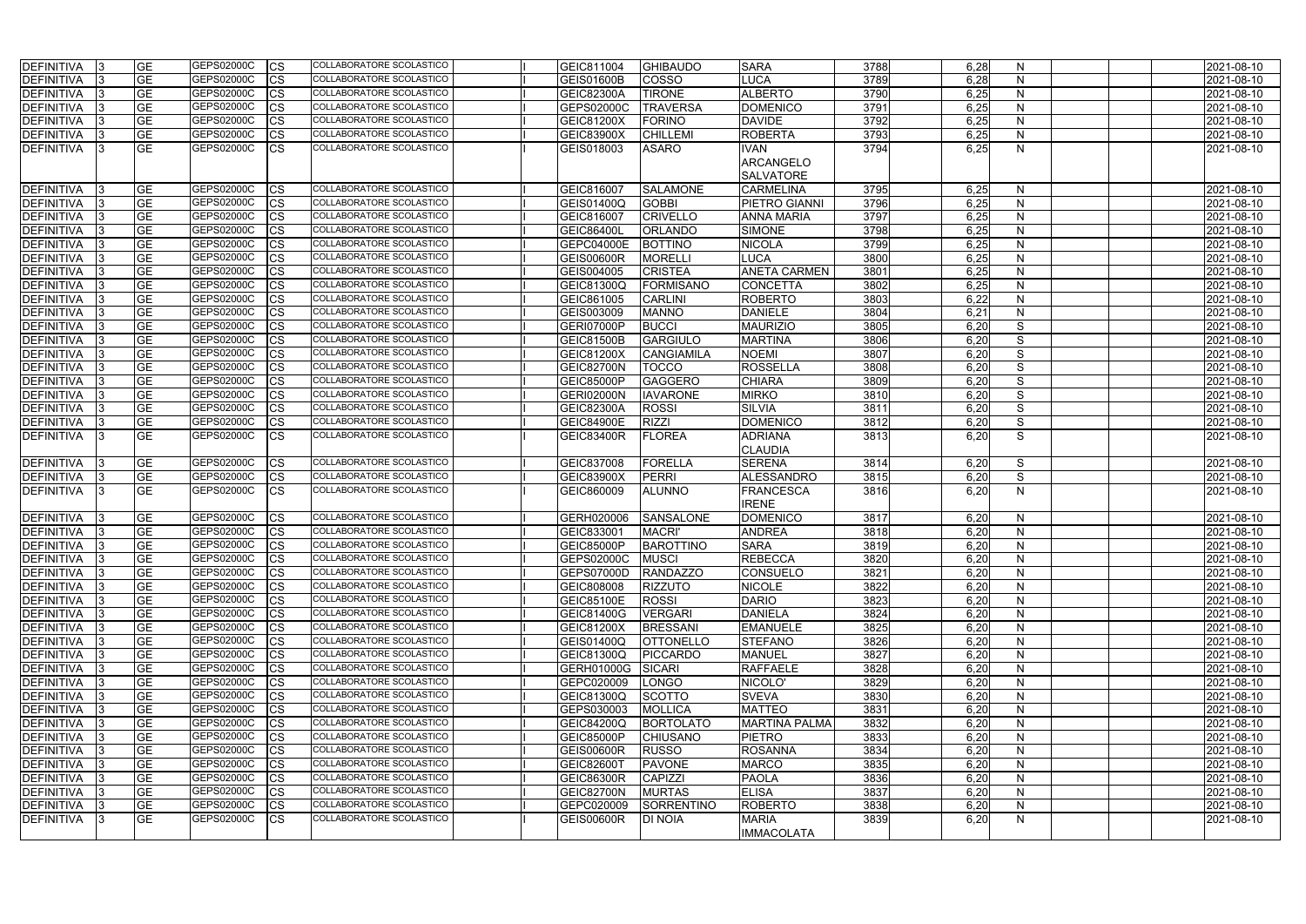| <b>DEFINITIVA</b> | <b>GE</b> | GEPS02000C | CS        | COLLABORATORE SCOLASTICO        | GEIC811004        | <b>GHIBAUDO</b>  | <b>SARA</b>          | 3788 | 6,28 | N            | 2021-08-10 |
|-------------------|-----------|------------|-----------|---------------------------------|-------------------|------------------|----------------------|------|------|--------------|------------|
| <b>DEFINITIVA</b> | <b>GE</b> | GEPS02000C | <b>CS</b> | COLLABORATORE SCOLASTICO        | <b>GEIS01600B</b> | <b>COSSO</b>     | <b>LUCA</b>          | 3789 | 6,28 | N            | 2021-08-10 |
|                   |           |            |           | COLLABORATORE SCOLASTICO        |                   |                  |                      |      |      |              |            |
| DEFINITIVA        | <b>GE</b> | GEPS02000C | <b>CS</b> |                                 | <b>GEIC82300A</b> | <b>TIRONE</b>    | <b>ALBERTO</b>       | 3790 | 6,25 | N            | 2021-08-10 |
| <b>DEFINITIVA</b> | <b>GE</b> | GEPS02000C | CS        | COLLABORATORE SCOLASTICO        | GEPS02000C        | <b>TRAVERSA</b>  | <b>DOMENICO</b>      | 3791 | 6,25 | N            | 2021-08-10 |
| <b>DEFINITIVA</b> | <b>GE</b> | GEPS02000C | <b>CS</b> | COLLABORATORE SCOLASTICO        | <b>GEIC81200X</b> | <b>FORINO</b>    | <b>DAVIDE</b>        | 3792 | 6,25 | N            | 2021-08-10 |
| DEFINITIVA        | <b>GE</b> | GEPS02000C | CS        | COLLABORATORE SCOLASTICO        | GEIC83900X        | <b>CHILLEMI</b>  | <b>ROBERTA</b>       | 3793 | 6,25 | N            | 2021-08-10 |
| <b>DEFINITIVA</b> | <b>GE</b> | GEPS02000C | CS        | COLLABORATORE SCOLASTICO        | GEIS018003        | <b>ASARO</b>     | <b>IVAN</b>          | 3794 | 6,25 | N            | 2021-08-10 |
|                   |           |            |           |                                 |                   |                  | <b>ARCANGELO</b>     |      |      |              |            |
|                   |           |            |           |                                 |                   |                  | <b>SALVATORE</b>     |      |      |              |            |
| <b>DEFINITIVA</b> | <b>GE</b> | GEPS02000C | <b>CS</b> | COLLABORATORE SCOLASTICO        | GEIC816007        | <b>SALAMONE</b>  | <b>CARMELINA</b>     | 3795 | 6,25 | N            | 2021-08-10 |
| <b>DEFINITIVA</b> | <b>GE</b> | GEPS02000C | CS        | COLLABORATORE SCOLASTICO        | GEIS01400Q        | <b>GOBBI</b>     | PIETRO GIANNI        | 3796 | 6,25 | $\mathsf{N}$ | 2021-08-10 |
| <b>DEFINITIVA</b> | <b>GE</b> | GEPS02000C | СS        | COLLABORATORE SCOLASTICO        | GEIC816007        | <b>CRIVELLO</b>  | <b>ANNA MARIA</b>    | 3797 | 6,25 | N            | 2021-08-10 |
| <b>DEFINITIVA</b> | <b>GE</b> | GEPS02000C | СS        | COLLABORATORE SCOLASTICO        | <b>GEIC86400L</b> | <b>ORLANDO</b>   | <b>SIMONE</b>        | 3798 | 6,25 | N            | 2021-08-10 |
| <b>DEFINITIVA</b> | <b>GE</b> | GEPS02000C | СS        | COLLABORATORE SCOLASTICO        | <b>GEPC04000E</b> | <b>BOTTINO</b>   | <b>NICOLA</b>        | 3799 | 6,25 | N            | 2021-08-10 |
| <b>DEFINITIVA</b> | <b>GE</b> | GEPS02000C | CS        | COLLABORATORE SCOLASTICO        | <b>GEIS00600R</b> | <b>MORELLI</b>   | <b>LUCA</b>          | 3800 | 6,25 | N            | 2021-08-10 |
|                   |           | GEPS02000C |           | COLLABORATORE SCOLASTICO        |                   |                  |                      |      |      |              |            |
| <b>DEFINITIVA</b> | <b>GE</b> |            | CS        |                                 | GEIS004005        | <b>CRISTEA</b>   | <b>ANETA CARMEN</b>  | 3801 | 6,25 | N            | 2021-08-10 |
| DEFINITIVA        | <b>GE</b> | GEPS02000C | CS        | COLLABORATORE SCOLASTICO        | GEIC81300Q        | <b>FORMISANO</b> | <b>CONCETTA</b>      | 3802 | 6,25 | N            | 2021-08-10 |
| <b>DEFINITIVA</b> | <b>GE</b> | GEPS02000C | <b>CS</b> | COLLABORATORE SCOLASTICO        | GEIC861005        | <b>CARLINI</b>   | <b>ROBERTO</b>       | 3803 | 6,22 | N            | 2021-08-10 |
| DEFINITIVA        | <b>GE</b> | GEPS02000C | <b>CS</b> | COLLABORATORE SCOLASTICO        | GEIS003009        | <b>MANNO</b>     | <b>DANIELE</b>       | 3804 | 6,21 | N            | 2021-08-10 |
| <b>DEFINITIVA</b> | <b>GE</b> | GEPS02000C | CS        | <b>COLLABORATORE SCOLASTICO</b> | <b>GERI07000P</b> | <b>BUCCI</b>     | <b>MAURIZIO</b>      | 3805 | 6,20 | S            | 2021-08-10 |
| <b>DEFINITIVA</b> | <b>GE</b> | GEPS02000C | <b>CS</b> | COLLABORATORE SCOLASTICO        | <b>GEIC81500B</b> | <b>GARGIULO</b>  | <b>MARTINA</b>       | 3806 | 6,20 | S            | 2021-08-10 |
| <b>DEFINITIVA</b> | <b>GE</b> | GEPS02000C | CS        | COLLABORATORE SCOLASTICO        | GEIC81200X        | CANGIAMILA       | <b>NOEMI</b>         | 3807 | 6,20 | S            | 2021-08-10 |
| <b>DEFINITIVA</b> | <b>GE</b> | GEPS02000C | CS        | COLLABORATORE SCOLASTICO        | <b>GEIC82700N</b> | <b>TOCCO</b>     | <b>ROSSELLA</b>      | 3808 | 6,20 | S            | 2021-08-10 |
| <b>DEFINITIVA</b> | <b>GE</b> | GEPS02000C | CS        | COLLABORATORE SCOLASTICO        | <b>GEIC85000P</b> | <b>GAGGERO</b>   | <b>CHIARA</b>        | 3809 | 6,20 | S            | 2021-08-10 |
| <b>DEFINITIVA</b> | <b>GE</b> | GEPS02000C | СS        | COLLABORATORE SCOLASTICO        | <b>GERI02000N</b> | <b>IAVARONE</b>  | <b>MIRKO</b>         | 3810 | 6,20 | S            | 2021-08-10 |
| <b>DEFINITIVA</b> | <b>GE</b> | GEPS02000C | СS        | COLLABORATORE SCOLASTICO        | <b>GEIC82300A</b> | <b>ROSSI</b>     | <b>SILVIA</b>        | 3811 | 6,20 | S            | 2021-08-10 |
| <b>DEFINITIVA</b> | <b>GE</b> | GEPS02000C | CS        | COLLABORATORE SCOLASTICO        | <b>GEIC84900E</b> | <b>RIZZI</b>     | <b>DOMENICO</b>      | 3812 | 6,20 | S            | 2021-08-10 |
| <b>DEFINITIVA</b> | <b>GE</b> | GEPS02000C | CS        | COLLABORATORE SCOLASTICO        | <b>GEIC83400R</b> | <b>FLOREA</b>    | <b>ADRIANA</b>       | 3813 | 6,20 | S            | 2021-08-10 |
|                   |           |            |           |                                 |                   |                  | <b>CLAUDIA</b>       |      |      |              |            |
|                   |           | GEPS02000C |           | COLLABORATORE SCOLASTICO        |                   | <b>FORELLA</b>   | <b>SERENA</b>        |      |      |              |            |
| <b>DEFINITIVA</b> | <b>GE</b> |            | <b>CS</b> |                                 | GEIC837008        |                  |                      | 3814 | 6,20 | S            | 2021-08-10 |
| <b>DEFINITIVA</b> | <b>GE</b> | GEPS02000C | CS        | COLLABORATORE SCOLASTICO        | <b>GEIC83900X</b> | PERRI            | <b>ALESSANDRO</b>    | 3815 | 6,20 | S            | 2021-08-10 |
| DEFINITIVA        | <b>GE</b> | GEPS02000C | <b>CS</b> | COLLABORATORE SCOLASTICO        | GEIC860009        | <b>ALUNNO</b>    | <b>FRANCESCA</b>     | 3816 | 6,20 | N            | 2021-08-10 |
|                   |           |            |           |                                 |                   |                  | <b>IRENE</b>         |      |      |              |            |
| <b>DEFINITIVA</b> | <b>GE</b> | GEPS02000C | <b>CS</b> | COLLABORATORE SCOLASTICO        | GERH020006        | SANSALONE        | <b>DOMENICO</b>      | 3817 | 6,20 | $\mathsf{N}$ | 2021-08-10 |
| <b>DEFINITIVA</b> | <b>GE</b> | GEPS02000C | CS        | COLLABORATORE SCOLASTICO        | GEIC833001        | <b>MACRI</b>     | ANDREA               | 3818 | 6,20 | N            | 2021-08-10 |
| DEFINITIVA        | <b>GE</b> | GEPS02000C | <b>CS</b> | COLLABORATORE SCOLASTICO        | <b>GEIC85000P</b> | <b>BAROTTINO</b> | <b>SARA</b>          | 3819 | 6.20 | N            | 2021-08-10 |
| <b>DEFINITIVA</b> | <b>GE</b> | GEPS02000C | <b>CS</b> | COLLABORATORE SCOLASTICO        | GEPS02000C        | <b>MUSCI</b>     | <b>REBECCA</b>       | 3820 | 6,20 | N            | 2021-08-10 |
| DEFINITIVA        | <b>GE</b> | GEPS02000C | <b>CS</b> | COLLABORATORE SCOLASTICO        | GEPS07000D        | <b>RANDAZZO</b>  | <b>CONSUELO</b>      | 3821 | 6,20 | N            | 2021-08-10 |
| <b>DEFINITIVA</b> | <b>GE</b> | GEPS02000C | <b>CS</b> | COLLABORATORE SCOLASTICO        | GEIC808008        | <b>RIZZUTO</b>   | <b>NICOLE</b>        | 3822 | 6,20 | $\mathsf{N}$ | 2021-08-10 |
| <b>DEFINITIVA</b> | <b>GE</b> | GEPS02000C | <b>CS</b> | COLLABORATORE SCOLASTICO        | <b>GEIC85100E</b> | <b>ROSSI</b>     | <b>DARIO</b>         | 3823 | 6,20 | $\mathsf{N}$ | 2021-08-10 |
| <b>DEFINITIVA</b> | <b>GE</b> | GEPS02000C | <b>CS</b> | <b>COLLABORATORE SCOLASTICO</b> | GEIC81400G        | <b>VERGARI</b>   | <b>DANIELA</b>       | 3824 | 6,20 | N            | 2021-08-10 |
| <b>DEFINITIVA</b> | <b>GE</b> | GEPS02000C | <b>CS</b> | <b>COLLABORATORE SCOLASTICO</b> | <b>GEIC81200X</b> | <b>BRESSANI</b>  | <b>EMANUELE</b>      | 3825 | 6,20 | $\mathsf{N}$ | 2021-08-10 |
| <b>DEFINITIVA</b> | <b>GE</b> | GEPS02000C | <b>CS</b> | COLLABORATORE SCOLASTICO        | GEIS01400Q        | <b>OTTONELLO</b> | <b>STEFANO</b>       | 3826 | 6,20 | N            | 2021-08-10 |
| DEFINITIVA        | <b>GE</b> | GEPS02000C | <b>CS</b> | <b>COLLABORATORE SCOLASTICO</b> | GEIC81300Q        | PICCARDO         | <b>MANUEL</b>        | 3827 | 6,20 | $\mathsf{N}$ | 2021-08-10 |
| <b>DEFINITIVA</b> | <b>GE</b> | GEPS02000C | <b>CS</b> | COLLABORATORE SCOLASTICO        | GERH01000G        | SICARI           | <b>RAFFAELE</b>      | 3828 | 6,20 | $\mathsf{N}$ | 2021-08-10 |
|                   |           |            |           |                                 |                   |                  |                      |      |      |              |            |
| <b>DEFINITIVA</b> | <b>GE</b> | GEPS02000C | <b>CS</b> | COLLABORATORE SCOLASTICO        | GEPC020009        | <b>LONGO</b>     | NICOLO'              | 3829 | 6,20 | $\mathsf{N}$ | 2021-08-10 |
| DEFINITIVA        | <b>GE</b> | GEPS02000C | <b>CS</b> | COLLABORATORE SCOLASTICO        | GEIC81300Q        | <b>SCOTTO</b>    | <b>SVEVA</b>         | 3830 | 6,20 | $\mathsf{N}$ | 2021-08-10 |
| DEFINITIVA        | <b>GE</b> | GEPS02000C | <b>CS</b> | COLLABORATORE SCOLASTICO        | GEPS030003        | <b>MOLLICA</b>   | <b>MATTEO</b>        | 3831 | 6,20 | $\mathsf{N}$ | 2021-08-10 |
| DEFINITIVA        | <b>GE</b> | GEPS02000C | <b>CS</b> | COLLABORATORE SCOLASTICO        | <b>GEIC84200Q</b> | <b>BORTOLATO</b> | <b>MARTINA PALMA</b> | 3832 | 6,20 | $\mathsf{N}$ | 2021-08-10 |
| DEFINITIVA        | <b>GE</b> | GEPS02000C | <b>CS</b> | COLLABORATORE SCOLASTICO        | <b>GEIC85000P</b> | <b>CHIUSANO</b>  | <b>PIETRO</b>        | 3833 | 6,20 | $\mathsf{N}$ | 2021-08-10 |
| DEFINITIVA        | <b>GE</b> | GEPS02000C | <b>CS</b> | COLLABORATORE SCOLASTICO        | <b>GEIS00600R</b> | <b>RUSSO</b>     | <b>ROSANNA</b>       | 3834 | 6,20 | N            | 2021-08-10 |
| <b>DEFINITIVA</b> | <b>GE</b> | GEPS02000C | <b>CS</b> | COLLABORATORE SCOLASTICO        | <b>GEIC82600T</b> | <b>PAVONE</b>    | <b>MARCO</b>         | 3835 | 6,20 | N            | 2021-08-10 |
| <b>DEFINITIVA</b> | <b>GE</b> | GEPS02000C | <b>CS</b> | COLLABORATORE SCOLASTICO        | <b>GEIC86300R</b> | <b>CAPIZZI</b>   | <b>PAOLA</b>         | 3836 | 6,20 | $\mathsf{N}$ | 2021-08-10 |
| <b>DEFINITIVA</b> | <b>GE</b> | GEPS02000C | <b>CS</b> | COLLABORATORE SCOLASTICO        | <b>GEIC82700N</b> | <b>MURTAS</b>    | <b>ELISA</b>         | 3837 | 6,20 | $\mathsf{N}$ | 2021-08-10 |
| <b>DEFINITIVA</b> | <b>GE</b> | GEPS02000C | <b>CS</b> | COLLABORATORE SCOLASTICO        | GEPC020009        | SORRENTINO       | <b>ROBERTO</b>       | 3838 | 6,20 | $\mathsf{N}$ | 2021-08-10 |
| <b>DEFINITIVA</b> | <b>GE</b> | GEPS02000C | <b>CS</b> | COLLABORATORE SCOLASTICO        | <b>GEIS00600R</b> | <b>DI NOIA</b>   | <b>MARIA</b>         | 3839 | 6,20 | N            | 2021-08-10 |
|                   |           |            |           |                                 |                   |                  | <b>IMMACOLATA</b>    |      |      |              |            |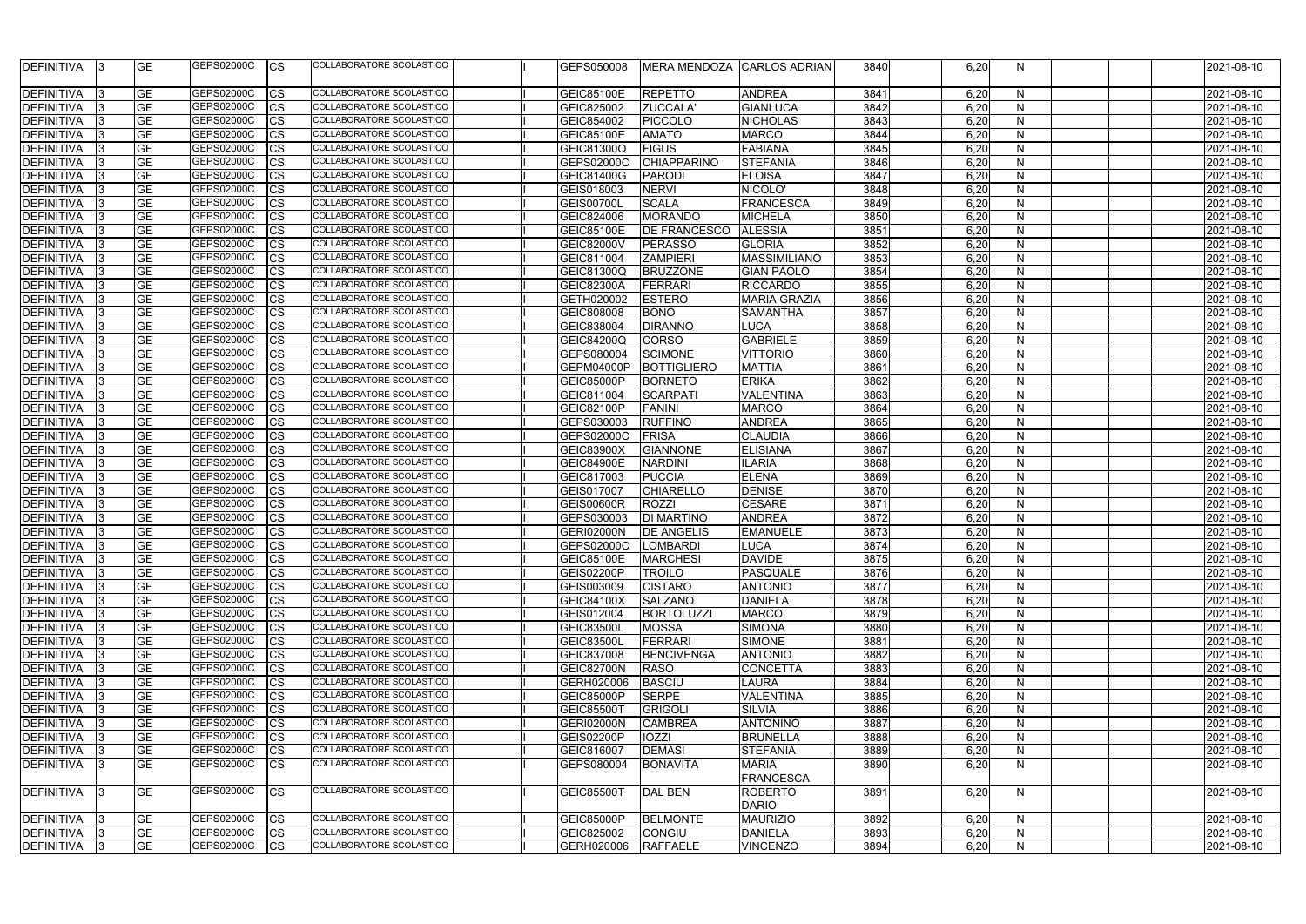| <b>DEFINITIVA</b> | <b>GE</b>       | <b>GEPS02000C</b><br><b>ICS</b> | COLLABORATORE SCOLASTICO        | GEPS050008        | <b>MERA MENDOZA</b> | <b>CARLOS ADRIAN</b> | 3840 | 6,20 | N.           | 2021-08-10 |
|-------------------|-----------------|---------------------------------|---------------------------------|-------------------|---------------------|----------------------|------|------|--------------|------------|
| <b>DEFINITIVA</b> | <b>GE</b>       | GEPS02000C<br>СS                | COLLABORATORE SCOLASTICO        | <b>GEIC85100E</b> | <b>REPETTO</b>      | <b>ANDREA</b>        | 3841 | 6,20 | N            | 2021-08-10 |
| <b>DEFINITIVA</b> | <b>GE</b>       | <b>GEPS02000C</b><br>СS         | COLLABORATORE SCOLASTICO        | GEIC825002        | ZUCCALA'            | <b>GIANLUCA</b>      | 3842 | 6,20 | N            | 2021-08-10 |
| <b>DEFINITIVA</b> | <b>GE</b>       | GEPS02000C<br>CS                | COLLABORATORE SCOLASTICO        | GEIC854002        | PICCOLO             | <b>NICHOLAS</b>      | 3843 | 6,20 | $\mathsf{N}$ | 2021-08-10 |
| DEFINITIVA        | <b>GE</b>       | GEPS02000C<br>CS                | COLLABORATORE SCOLASTICO        | <b>GEIC85100E</b> | <b>AMATO</b>        | <b>MARCO</b>         | 3844 | 6,20 | N            | 2021-08-10 |
| DEFINITIVA        | <b>GE</b>       | GEPS02000C<br>СS                | COLLABORATORE SCOLASTICO        | <b>GEIC81300Q</b> | <b>FIGUS</b>        | <b>FABIANA</b>       | 3845 | 6,20 | N            | 2021-08-10 |
| DEFINITIVA        | <b>GE</b>       | GEPS02000C<br>CS                | COLLABORATORE SCOLASTICO        | GEPS02000C        | <b>CHIAPPARINO</b>  | <b>STEFANIA</b>      | 3846 | 6,20 | $\mathsf{N}$ | 2021-08-10 |
| DEFINITIVA        | <b>GE</b>       | GEPS02000C<br>CS                | <b>COLLABORATORE SCOLASTICO</b> | <b>GEIC81400G</b> | PARODI              | <b>ELOISA</b>        | 3847 | 6,20 | $\mathsf{N}$ | 2021-08-10 |
| <b>DEFINITIVA</b> | <b>GE</b>       | GEPS02000C<br>СS                | COLLABORATORE SCOLASTICO        | GEIS018003        | <b>NERVI</b>        | NICOLO'              | 3848 | 6,20 | N            | 2021-08-10 |
| <b>DEFINITIVA</b> | $\overline{GE}$ | GEPS02000C<br>СS                | <b>COLLABORATORE SCOLASTICO</b> | <b>GEIS00700L</b> | <b>SCALA</b>        | <b>FRANCESCA</b>     | 3849 | 6,20 | $\mathsf{N}$ | 2021-08-10 |
| <b>DEFINITIVA</b> | <b>GE</b>       | GEPS02000C<br>CS                | COLLABORATORE SCOLASTICO        | GEIC824006        | <b>MORANDO</b>      | <b>MICHELA</b>       | 3850 | 6,20 | $\mathsf{N}$ | 2021-08-10 |
| DEFINITIVA        | <b>GE</b>       | GEPS02000C<br>CS                | COLLABORATORE SCOLASTICO        | <b>GEIC85100E</b> | <b>DE FRANCESCO</b> | <b>ALESSIA</b>       | 3851 | 6,20 | N            | 2021-08-10 |
| <b>DEFINITIVA</b> | <b>GE</b>       | GEPS02000C<br>СS                | COLLABORATORE SCOLASTICO        | <b>GEIC82000V</b> | <b>PERASSO</b>      | <b>GLORIA</b>        | 3852 | 6,20 | $\mathsf{N}$ | 2021-08-10 |
| <b>DEFINITIVA</b> | <b>GE</b>       | GEPS02000C<br>СS                | COLLABORATORE SCOLASTICO        | GEIC811004        | <b>ZAMPIERI</b>     | <b>MASSIMILIANO</b>  | 3853 | 6,20 | $\mathsf{N}$ | 2021-08-10 |
| <b>DEFINITIVA</b> | <b>GE</b>       | GEPS02000C<br>СS                | COLLABORATORE SCOLASTICO        | <b>GEIC81300Q</b> | <b>BRUZZONE</b>     | <b>GIAN PAOLO</b>    | 3854 | 6,20 | N            | 2021-08-10 |
| <b>DEFINITIVA</b> | <b>GE</b>       | GEPS02000C<br>СS                | COLLABORATORE SCOLASTICO        | GEIC82300A        | FERRARI             | <b>RICCARDO</b>      | 3855 | 6,20 | N            | 2021-08-10 |
| <b>DEFINITIVA</b> | <b>GE</b>       | GEPS02000C<br>СS                | COLLABORATORE SCOLASTICO        | GETH020002        | <b>ESTERO</b>       | <b>MARIA GRAZIA</b>  | 3856 | 6,20 | N            | 2021-08-10 |
|                   |                 | GEPS02000C                      | COLLABORATORE SCOLASTICO        |                   |                     |                      |      |      |              |            |
| DEFINITIVA        | <b>GE</b>       | CS                              | <b>COLLABORATORE SCOLASTICO</b> | GEIC808008        | <b>BONO</b>         | <b>SAMANTHA</b>      | 3857 | 6,20 | N            | 2021-08-10 |
| DEFINITIVA        | <b>GE</b>       | GEPS02000C<br>СS                |                                 | GEIC838004        | <b>DIRANNO</b>      | LUCA                 | 3858 | 6,20 | N            | 2021-08-10 |
| DEFINITIVA        | <b>GE</b>       | GEPS02000C<br>СS                | COLLABORATORE SCOLASTICO        | <b>GEIC84200Q</b> | <b>CORSO</b>        | <b>GABRIELE</b>      | 3859 | 6,20 | $\mathsf{N}$ | 2021-08-10 |
| <b>DEFINITIVA</b> | <b>GE</b>       | GEPS02000C<br>CS                | COLLABORATORE SCOLASTICO        | GEPS080004        | <b>SCIMONE</b>      | <b>VITTORIO</b>      | 3860 | 6,20 | $\mathsf{N}$ | 2021-08-10 |
| DEFINITIVA        | <b>GE</b>       | GEPS02000C<br>СS                | COLLABORATORE SCOLASTICO        | <b>GEPM04000P</b> | <b>BOTTIGLIERO</b>  | <b>MATTIA</b>        | 3861 | 6,20 | $\mathsf{N}$ | 2021-08-10 |
| DEFINITIVA        | <b>GE</b>       | GEPS02000C<br>CS                | COLLABORATORE SCOLASTICO        | <b>GEIC85000P</b> | <b>BORNETO</b>      | <b>ERIKA</b>         | 3862 | 6,20 | $\mathsf{N}$ | 2021-08-10 |
| <b>DEFINITIVA</b> | <b>GE</b>       | GEPS02000C<br>СS                | COLLABORATORE SCOLASTICO        | GEIC811004        | SCARPATI            | <b>VALENTINA</b>     | 3863 | 6,20 | $\mathsf{N}$ | 2021-08-10 |
| DEFINITIVA        | <b>GE</b>       | GEPS02000C<br>СS                | COLLABORATORE SCOLASTICO        | <b>GEIC82100P</b> | <b>FANINI</b>       | <b>MARCO</b>         | 3864 | 6,20 | N            | 2021-08-10 |
| DEFINITIVA        | <b>GE</b>       | GEPS02000C<br>СS                | COLLABORATORE SCOLASTICO        | GEPS030003        | <b>RUFFINO</b>      | <b>ANDREA</b>        | 3865 | 6,20 | $\mathsf{N}$ | 2021-08-10 |
| DEFINITIVA        | <b>GE</b>       | GEPS02000C<br>СS                | COLLABORATORE SCOLASTICO        | GEPS02000C        | FRISA               | <b>CLAUDIA</b>       | 3866 | 6,20 | N            | 2021-08-10 |
| <b>DEFINITIVA</b> | <b>GE</b>       | GEPS02000C<br>СS                | COLLABORATORE SCOLASTICO        | <b>GEIC83900X</b> | <b>GIANNONE</b>     | <b>ELISIANA</b>      | 3867 | 6,20 | N            | 2021-08-10 |
| <b>DEFINITIVA</b> | <b>GE</b>       | GEPS02000C<br>СS                | COLLABORATORE SCOLASTICO        | <b>GEIC84900E</b> | <b>NARDINI</b>      | <b>ILARIA</b>        | 3868 | 6,20 | N            | 2021-08-10 |
| <b>DEFINITIVA</b> | <b>GE</b>       | GEPS02000C<br>СS                | COLLABORATORE SCOLASTICO        | GEIC817003        | PUCCIA              | <b>ELENA</b>         | 3869 | 6,20 | N            | 2021-08-10 |
| DEFINITIVA        | <b>GE</b>       | GEPS02000C<br>СS                | COLLABORATORE SCOLASTICO        | GEIS017007        | <b>CHIARELLO</b>    | <b>DENISE</b>        | 3870 | 6,20 | N            | 2021-08-10 |
| <b>DEFINITIVA</b> | <b>GE</b>       | GEPS02000C<br>CS                | COLLABORATORE SCOLASTICO        | <b>GEIS00600R</b> | <b>ROZZI</b>        | <b>CESARE</b>        | 3871 | 6,20 | $\mathsf{N}$ | 2021-08-10 |
| DEFINITIVA        | <b>GE</b>       | GEPS02000C<br>СS                | COLLABORATORE SCOLASTICO        | GEPS030003        | <b>DI MARTINO</b>   | <b>ANDREA</b>        | 3872 | 6,20 | $\mathsf{N}$ | 2021-08-10 |
| DEFINITIVA        | <b>GE</b>       | GEPS02000C<br>СS                | COLLABORATORE SCOLASTICO        | <b>GERI02000N</b> | <b>DE ANGELIS</b>   | <b>EMANUELE</b>      | 3873 | 6,20 | N            | 2021-08-10 |
| <b>DEFINITIVA</b> | <b>GE</b>       | GEPS02000C<br><b>CS</b>         | COLLABORATORE SCOLASTICO        | GEPS02000C        | <b>LOMBARDI</b>     | <b>LUCA</b>          | 3874 | 6,20 | N            | 2021-08-10 |
| DEFINITIVA 3      | <b>GE</b>       | GEPS02000C<br><b>CS</b>         | COLLABORATORE SCOLASTICO        | GEIC85100E        | <b>MARCHESI</b>     | <b>DAVIDE</b>        | 3875 | 6,20 | N            | 2021-08-10 |
| <b>DEFINITIVA</b> | <b>GE</b>       | GEPS02000C<br><b>CS</b>         | COLLABORATORE SCOLASTICO        | <b>GEIS02200P</b> | <b>TROILO</b>       | <b>PASQUALE</b>      | 3876 | 6,20 | N            | 2021-08-10 |
| DEFINITIVA        | <b>GE</b>       | GEPS02000C<br><b>CS</b>         | COLLABORATORE SCOLASTICO        | GEIS003009        | <b>CISTARO</b>      | <b>ANTONIO</b>       | 3877 | 6,20 | $\mathsf{N}$ | 2021-08-10 |
| DEFINITIVA        | <b>GE</b>       | GEPS02000C<br><b>CS</b>         | COLLABORATORE SCOLASTICO        | <b>GEIC84100X</b> | <b>SALZANO</b>      | <b>DANIELA</b>       | 3878 | 6,20 | $\mathsf{N}$ | 2021-08-10 |
| DEFINITIVA        | <b>GE</b>       | GEPS02000C<br>СS                | COLLABORATORE SCOLASTICO        | GEIS012004        | <b>BORTOLUZZI</b>   | <b>MARCO</b>         | 3879 | 6,20 | N            | 2021-08-10 |
| DEFINITIVA        | <b>GE</b>       | GEPS02000C<br>CS                | COLLABORATORE SCOLASTICO        | GEIC83500L        | <b>MOSSA</b>        | <b>SIMONA</b>        | 3880 | 6,20 | $\mathsf{N}$ | 2021-08-10 |
| DEFINITIVA        | <b>GE</b>       | GEPS02000C<br>ICS               | COLLABORATORE SCOLASTICO        | <b>GEIC83500L</b> | FERRARI             | <b>SIMONE</b>        | 3881 | 6,20 | N            | 2021-08-10 |
| <b>DEFINITIVA</b> | <b>GE</b>       | GEPS02000C<br>CS                | COLLABORATORE SCOLASTICO        | GEIC837008        | <b>BENCIVENGA</b>   | <b>ANTONIO</b>       | 3882 | 6,20 | N            | 2021-08-10 |
| <b>DEFINITIVA</b> | <b>GE</b>       | GEPS02000C<br><b>CS</b>         | COLLABORATORE SCOLASTICO        | GEIC82700N        | <b>RASO</b>         | <b>CONCETTA</b>      | 3883 | 6,20 | N            | 2021-08-10 |
| <b>DEFINITIVA</b> | <b>GE</b>       | GEPS02000C<br><b>CS</b>         | COLLABORATORE SCOLASTICO        | GERH020006        | <b>BASCIU</b>       | <b>LAURA</b>         | 3884 | 6,20 | N            | 2021-08-10 |
| DEFINITIVA        | <b>GE</b>       | GEPS02000C<br><b>CS</b>         | COLLABORATORE SCOLASTICO        | GEIC85000P        | <b>SERPE</b>        | <b>VALENTINA</b>     | 3885 | 6,20 | N            | 2021-08-10 |
| DEFINITIVA        | <b>GE</b>       | GEPS02000C<br><b>CS</b>         | COLLABORATORE SCOLASTICO        | GEIC85500T        | GRIGOLI             | <b>SILVIA</b>        | 3886 | 6,20 | N            | 2021-08-10 |
| DEFINITIVA        | <b>GE</b>       | GEPS02000C<br><b>CS</b>         | COLLABORATORE SCOLASTICO        | <b>GERI02000N</b> | <b>CAMBREA</b>      | <b>ANTONINO</b>      | 3887 | 6,20 | $\mathsf{N}$ | 2021-08-10 |
| <b>DEFINITIVA</b> | <b>GE</b>       | GEPS02000C<br>CS                | COLLABORATORE SCOLASTICO        | <b>GEIS02200P</b> | <b>IOZZI</b>        | <b>BRUNELLA</b>      | 3888 | 6,20 | N            | 2021-08-10 |
| <b>DEFINITIVA</b> | <b>GE</b>       | GEPS02000C<br><b>CS</b>         | COLLABORATORE SCOLASTICO        | GEIC816007        | <b>DEMASI</b>       | <b>STEFANIA</b>      | 3889 | 6,20 | N            | 2021-08-10 |
| <b>DEFINITIVA</b> | <b>GE</b>       | GEPS02000C<br><b>CS</b>         | COLLABORATORE SCOLASTICO        | GEPS080004        | <b>BONAVITA</b>     | <b>MARIA</b>         | 3890 | 6,20 | $\mathsf{N}$ | 2021-08-10 |
|                   |                 |                                 |                                 |                   |                     | <b>FRANCESCA</b>     |      |      |              |            |
| <b>DEFINITIVA</b> | <b>GE</b>       | GEPS02000C<br><b>CS</b>         | COLLABORATORE SCOLASTICO        | GEIC85500T        | <b>DAL BEN</b>      | <b>ROBERTO</b>       | 3891 | 6,20 | N            | 2021-08-10 |
|                   |                 |                                 |                                 |                   |                     | <b>DARIO</b>         |      |      |              |            |
| <b>DEFINITIVA</b> | <b>GE</b>       | GEPS02000C<br><b>ICS</b>        | COLLABORATORE SCOLASTICO        | GEIC85000P        | <b>BELMONTE</b>     | <b>MAURIZIO</b>      | 3892 | 6,20 | N            | 2021-08-10 |
| <b>DEFINITIVA</b> | <b>GE</b>       | GEPS02000C<br><b>CS</b>         | COLLABORATORE SCOLASTICO        | GEIC825002        | <b>CONGIU</b>       | <b>DANIELA</b>       | 3893 | 6,20 | N            | 2021-08-10 |
|                   | <b>GE</b>       | GEPS02000C                      | COLLABORATORE SCOLASTICO        |                   |                     |                      |      |      |              |            |
| <b>DEFINITIVA</b> |                 | <b>CS</b>                       |                                 | GERH020006        | <b>RAFFAELE</b>     | <b>VINCENZO</b>      | 3894 | 6,20 | $\mathsf{N}$ | 2021-08-10 |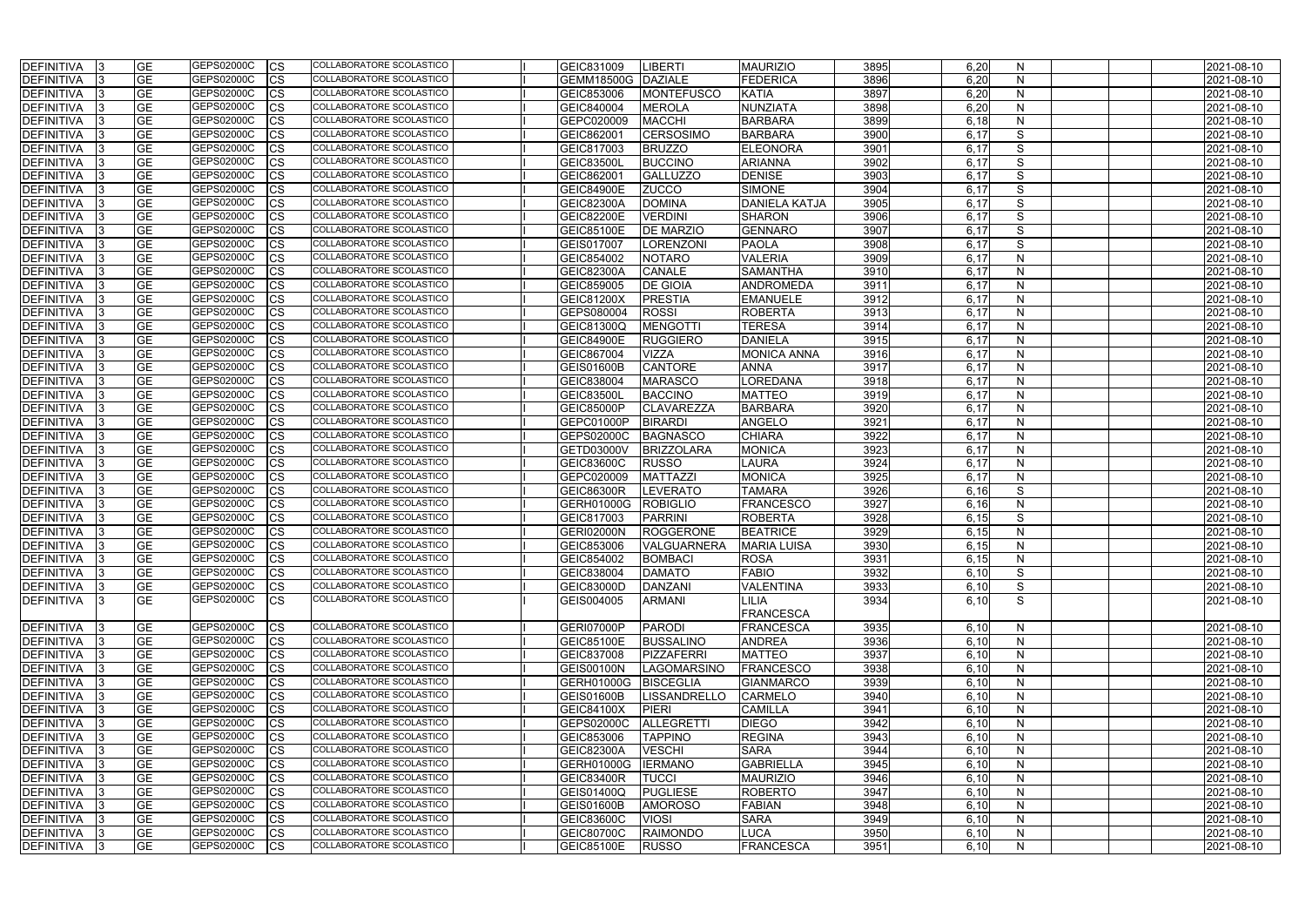| DEFINITIVA        | <b>GE</b> | GEPS02000C<br>CS        | COLLABORATORE SCOLASTICO        | GEIC831009        | <b>IBERTI</b>       | <b>MAURIZIO</b>      | 3895 | 6,20  | N            |  | 2021-08-10 |
|-------------------|-----------|-------------------------|---------------------------------|-------------------|---------------------|----------------------|------|-------|--------------|--|------------|
| <b>DEFINITIVA</b> | <b>GE</b> | GEPS02000C<br>СS        | COLLABORATORE SCOLASTICO        | GEMM18500G        | <b>DAZIALE</b>      | <b>FEDERICA</b>      | 3896 | 6,20  | N            |  | 2021-08-10 |
| <b>DEFINITIVA</b> | <b>GE</b> | GEPS02000C<br>СS        | COLLABORATORE SCOLASTICO        | GEIC853006        | <b>MONTEFUSCO</b>   | <b>KATIA</b>         | 3897 | 6,20  | N            |  | 2021-08-10 |
| <b>DEFINITIVA</b> | <b>GE</b> | GEPS02000C<br>СS        | COLLABORATORE SCOLASTICO        | GEIC840004        | <b>MEROLA</b>       | NUNZIATA             | 3898 | 6,20  | N            |  | 2021-08-10 |
| <b>DEFINITIVA</b> | <b>GE</b> | GEPS02000C<br>СS        | COLLABORATORE SCOLASTICO        | GEPC020009        | <b>MACCHI</b>       | <b>BARBARA</b>       | 3899 | 6,18  | N            |  | 2021-08-10 |
| <b>DEFINITIVA</b> | <b>GE</b> | GEPS02000C<br>СS        | COLLABORATORE SCOLASTICO        | GEIC862001        | <b>CERSOSIMO</b>    | <b>BARBARA</b>       | 3900 | 6,17  | S            |  | 2021-08-10 |
| <b>DEFINITIVA</b> | <b>GE</b> | GEPS02000C<br>СS        | COLLABORATORE SCOLASTICO        | GEIC817003        | <b>BRUZZO</b>       | <b>ELEONORA</b>      | 3901 | 6,17  | S            |  | 2021-08-10 |
| <b>DEFINITIVA</b> | <b>GE</b> | GEPS02000C<br>СS        | COLLABORATORE SCOLASTICO        | GEIC83500L        | <b>BUCCINO</b>      | <b>ARIANNA</b>       | 3902 | 6,17  | S            |  | 2021-08-10 |
| <b>DEFINITIVA</b> | <b>GE</b> | GEPS02000C<br>СS        | COLLABORATORE SCOLASTICO        | GEIC862001        | <b>GALLUZZO</b>     | <b>DENISE</b>        | 3903 | 6,17  | S            |  | 2021-08-10 |
| <b>DEFINITIVA</b> | <b>GE</b> | GEPS02000C<br>СS        | COLLABORATORE SCOLASTICO        | <b>GEIC84900E</b> | <b>ZUCCO</b>        | <b>SIMONE</b>        | 3904 | 6,17  | S            |  | 2021-08-10 |
| <b>DEFINITIVA</b> | <b>GE</b> | GEPS02000C<br>CS        | COLLABORATORE SCOLASTICO        | GEIC82300A        | <b>DOMINA</b>       | <b>DANIELA KATJA</b> | 3905 | 6,17  | S            |  | 2021-08-10 |
| <b>DEFINITIVA</b> | <b>GE</b> | GEPS02000C<br>СS        | COLLABORATORE SCOLASTICO        | <b>GEIC82200E</b> | <b>VERDINI</b>      | <b>SHARON</b>        | 3906 | 6,17  | S            |  | 2021-08-10 |
| <b>DEFINITIVA</b> | <b>GE</b> | GEPS02000C<br>СS        | COLLABORATORE SCOLASTICO        | GEIC85100E        | <b>DE MARZIO</b>    | <b>GENNARO</b>       | 3907 | 6,17  | S            |  | 2021-08-10 |
| <b>DEFINITIVA</b> | <b>GE</b> | GEPS02000C<br>СS        | COLLABORATORE SCOLASTICO        | GEIS017007        | <b>LORENZONI</b>    | <b>PAOLA</b>         | 3908 | 6,17  | S            |  | 2021-08-10 |
| <b>DEFINITIVA</b> | <b>GE</b> | GEPS02000C<br>СS        | COLLABORATORE SCOLASTICO        | GEIC854002        | <b>NOTARO</b>       | <b>VALERIA</b>       | 3909 | 6,17  | N            |  | 2021-08-10 |
| <b>DEFINITIVA</b> | <b>GE</b> | GEPS02000C<br>СS        | COLLABORATORE SCOLASTICO        | <b>GEIC82300A</b> | <b>CANALE</b>       | <b>SAMANTHA</b>      | 3910 | 6,17  | N            |  | 2021-08-10 |
| <b>DEFINITIVA</b> | <b>GE</b> | GEPS02000C<br>СS        | COLLABORATORE SCOLASTICO        | GEIC859005        | <b>DE GIOIA</b>     | <b>ANDROMEDA</b>     | 3911 | 6,17  | $\mathsf{N}$ |  | 2021-08-10 |
| <b>DEFINITIVA</b> | <b>GE</b> | GEPS02000C<br>СS        | COLLABORATORE SCOLASTICO        | <b>GEIC81200X</b> | <b>PRESTIA</b>      | <b>EMANUELE</b>      | 3912 | 6,17  | N.           |  | 2021-08-10 |
| DEFINITIVA        | <b>GE</b> | GEPS02000C<br>СS        | COLLABORATORE SCOLASTICO        | GEPS080004        | <b>ROSSI</b>        | <b>ROBERTA</b>       | 3913 | 6,17  | N            |  | 2021-08-10 |
| DEFINITIVA        | <b>GE</b> | GEPS02000C<br>СS        | COLLABORATORE SCOLASTICO        | GEIC81300Q        | <b>MENGOTTI</b>     | <b>TERESA</b>        | 3914 | 6,17  | $\mathsf{N}$ |  | 2021-08-10 |
| <b>DEFINITIVA</b> | <b>GE</b> | GEPS02000C<br>СS        | COLLABORATORE SCOLASTICO        | <b>GEIC84900E</b> | <b>RUGGIERO</b>     | <b>DANIELA</b>       | 3915 | 6,17  | N            |  | 2021-08-10 |
| <b>DEFINITIVA</b> | <b>GE</b> | GEPS02000C<br>СS        | COLLABORATORE SCOLASTICO        | GEIC867004        | <b>VIZZA</b>        | <b>MONICA ANNA</b>   | 3916 | 6,17  | N            |  | 2021-08-10 |
| <b>DEFINITIVA</b> | <b>GE</b> | GEPS02000C<br>CS        | COLLABORATORE SCOLASTICO        | GEIS01600B        | <b>CANTORE</b>      | <b>ANNA</b>          | 3917 | 6,17  | N            |  | 2021-08-10 |
| <b>DEFINITIVA</b> | <b>GE</b> | GEPS02000C<br>СS        | COLLABORATORE SCOLASTICO        | GEIC838004        | <b>MARASCO</b>      | LOREDANA             | 3918 | 6,17  | $\mathsf{N}$ |  | 2021-08-10 |
| <b>DEFINITIVA</b> | <b>GE</b> | GEPS02000C<br>СS        | COLLABORATORE SCOLASTICO        | GEIC83500L        | <b>BACCINO</b>      | <b>MATTEO</b>        | 3919 | 6,17  | N            |  | 2021-08-10 |
| <b>DEFINITIVA</b> | <b>GE</b> | GEPS02000C<br>CS        | COLLABORATORE SCOLASTICO        | <b>GEIC85000P</b> | <b>CLAVAREZZA</b>   | <b>BARBARA</b>       | 3920 | 6,17  | $\mathsf{N}$ |  | 2021-08-10 |
| <b>DEFINITIVA</b> | <b>GE</b> | GEPS02000C<br>СS        | COLLABORATORE SCOLASTICO        | <b>GEPC01000P</b> | <b>BIRARDI</b>      | <b>ANGELO</b>        | 3921 | 6,17  | $\mathsf{N}$ |  | 2021-08-10 |
| <b>DEFINITIVA</b> | <b>GE</b> | <b>GEPS02000C</b><br>СS | COLLABORATORE SCOLASTICO        | GEPS02000C        | <b>BAGNASCO</b>     | <b>CHIARA</b>        | 3922 | 6,17  | N            |  | 2021-08-10 |
| <b>DEFINITIVA</b> | <b>GE</b> | GEPS02000C<br>CS        | COLLABORATORE SCOLASTICO        | GETD03000V        | <b>BRIZZOLARA</b>   | <b>MONICA</b>        | 3923 | 6,17  | $\mathsf{N}$ |  | 2021-08-10 |
| <b>DEFINITIVA</b> | <b>GE</b> | GEPS02000C<br>СS        | COLLABORATORE SCOLASTICO        | GEIC83600C        | <b>RUSSO</b>        | LAURA                | 3924 | 6,17  | $\mathsf{N}$ |  | 2021-08-10 |
| <b>DEFINITIVA</b> | <b>GE</b> | GEPS02000C<br>СS        | COLLABORATORE SCOLASTICO        | GEPC020009        | <b>MATTAZZI</b>     | MONICA               | 3925 | 6,17  | N.           |  | 2021-08-10 |
| DEFINITIVA        | <b>GE</b> | GEPS02000C<br>CS        | COLLABORATORE SCOLASTICO        | GEIC86300R        | <b>LEVERATO</b>     | <b>TAMARA</b>        | 3926 | 6,16  | S            |  | 2021-08-10 |
| <b>DEFINITIVA</b> | <b>GE</b> | GEPS02000C<br>СS        | COLLABORATORE SCOLASTICO        | GERH01000G        | <b>ROBIGLIO</b>     | <b>FRANCESCO</b>     | 3927 | 6,16  | N            |  | 2021-08-10 |
| <b>DEFINITIVA</b> | <b>GE</b> | GEPS02000C<br>СS        | <b>COLLABORATORE SCOLASTICO</b> | GEIC817003        | PARRINI             | <b>ROBERTA</b>       | 3928 | 6,15  | S            |  | 2021-08-10 |
| <b>DEFINITIVA</b> | <b>GE</b> | GEPS02000C<br>СS        | COLLABORATORE SCOLASTICO        | GERI02000N        | <b>ROGGERONE</b>    | <b>BEATRICE</b>      | 3929 | 6.15  | $\mathsf{N}$ |  | 2021-08-10 |
| DEFINITIVA        | <b>GE</b> | GEPS02000C<br>Ics       | COLLABORATORE SCOLASTICO        | GEIC853006        | <b>VALGUARNERA</b>  | <b>MARIA LUISA</b>   | 3930 | 6.15  | N            |  | 2021-08-10 |
| <b>DEFINITIVA</b> | <b>GE</b> | GEPS02000C<br><b>CS</b> | COLLABORATORE SCOLASTICO        | GEIC854002        | BOMBACI             | <b>ROSA</b>          | 3931 | 6, 15 | N.           |  | 2021-08-10 |
| <b>DEFINITIVA</b> | <b>GE</b> | GEPS02000C<br><b>CS</b> | COLLABORATORE SCOLASTICO        | GEIC838004        | <b>DAMATO</b>       | <b>FABIO</b>         | 3932 | 6,10  | S            |  | 2021-08-10 |
| DEFINITIVA        | <b>GE</b> | GEPS02000C<br><b>CS</b> | COLLABORATORE SCOLASTICO        | <b>GEIC83000D</b> | <b>DANZANI</b>      | <b>VALENTINA</b>     | 3933 | 6,10  | S            |  | 2021-08-10 |
| <b>DEFINITIVA</b> | <b>GE</b> | GEPS02000C<br><b>CS</b> | COLLABORATORE SCOLASTICO        | GEIS004005        | <b>ARMANI</b>       | LILIA                | 3934 | 6, 10 | S            |  | 2021-08-10 |
|                   |           |                         |                                 |                   |                     | <b>FRANCESCA</b>     |      |       |              |  |            |
| <b>DEFINITIVA</b> | <b>GE</b> | GEPS02000C<br><b>CS</b> | <b>COLLABORATORE SCOLASTICO</b> | GERI07000P        | <b>PARODI</b>       | <b>FRANCESCA</b>     | 3935 | 6,10  | N            |  | 2021-08-10 |
| <b>DEFINITIVA</b> | <b>GE</b> | GEPS02000C<br>CS        | COLLABORATORE SCOLASTICO        | <b>GEIC85100E</b> | <b>BUSSALINO</b>    | <b>ANDREA</b>        | 3936 | 6, 10 | $\mathsf{N}$ |  | 2021-08-10 |
| DEFINITIVA        | <b>GE</b> | GEPS02000C<br><b>CS</b> | COLLABORATORE SCOLASTICO        | GEIC837008        | <b>PIZZAFERRI</b>   | <b>MATTEO</b>        | 3937 | 6, 10 | $\mathsf{N}$ |  | 2021-08-10 |
| <b>DEFINITIVA</b> | <b>GE</b> | GEPS02000C<br><b>CS</b> | COLLABORATORE SCOLASTICO        | GEIS00100N        | <b>LAGOMARSINO</b>  | <b>FRANCESCO</b>     | 3938 | 6,10  | $\mathsf{N}$ |  | 2021-08-10 |
| DEFINITIVA        | <b>GE</b> | GEPS02000C<br>CS        | <b>COLLABORATORE SCOLASTICO</b> | <b>GERH01000G</b> | <b>BISCEGLIA</b>    | <b>GIANMARCO</b>     | 3939 | 6,10  | N            |  | 2021-08-10 |
| DEFINITIVA        | <b>GE</b> | GEPS02000C<br>CS        | COLLABORATORE SCOLASTICO        | <b>GEIS01600B</b> | <b>LISSANDRELLO</b> | <b>CARMELO</b>       | 3940 | 6,10  | N            |  | 2021-08-10 |
| DEFINITIVA        | <b>GE</b> | GEPS02000C<br><b>CS</b> | COLLABORATORE SCOLASTICO        | <b>GEIC84100X</b> | <b>PIERI</b>        | <b>CAMILLA</b>       | 3941 | 6,10  | $\mathsf{N}$ |  | 2021-08-10 |
|                   | <b>GE</b> | GEPS02000C              | COLLABORATORE SCOLASTICO        |                   |                     |                      |      |       |              |  |            |
| DEFINITIVA        | <b>GE</b> | CS<br>GEPS02000C        | COLLABORATORE SCOLASTICO        | GEPS02000C        | <b>ALLEGRETTI</b>   | <b>DIEGO</b>         | 3942 | 6,10  | $\mathsf{N}$ |  | 2021-08-10 |
| DEFINITIVA        | <b>GE</b> | CS<br>GEPS02000C        | COLLABORATORE SCOLASTICO        | GEIC853006        | <b>TAPPINO</b>      | <b>REGINA</b>        | 3943 | 6,10  | $\mathsf{N}$ |  | 2021-08-10 |
| DEFINITIVA        |           | CS<br>GEPS02000C        | <b>COLLABORATORE SCOLASTICO</b> | <b>GEIC82300A</b> | <b>VESCHI</b>       | <b>SARA</b>          | 3944 | 6,10  | $\mathsf{N}$ |  | 2021-08-10 |
| DEFINITIVA        | <b>GE</b> | СS<br>GEPS02000C        | <b>COLLABORATORE SCOLASTICO</b> | GERH01000G        | <b>IERMANO</b>      | <b>GABRIELLA</b>     | 3945 | 6,10  | $\mathsf{N}$ |  | 2021-08-10 |
| DEFINITIVA        | <b>GE</b> | СS<br>GEPS02000C        | COLLABORATORE SCOLASTICO        | GEIC83400R        | <b>TUCCI</b>        | <b>MAURIZIO</b>      | 3946 | 6,10  | $\mathsf{N}$ |  | 2021-08-10 |
| DEFINITIVA        | <b>GE</b> | CS<br>GEPS02000C        | COLLABORATORE SCOLASTICO        | <b>GEIS01400Q</b> | <b>PUGLIESE</b>     | <b>ROBERTO</b>       | 3947 | 6, 10 | $\mathsf{N}$ |  | 2021-08-10 |
| <b>DEFINITIVA</b> | <b>GE</b> | CS                      | COLLABORATORE SCOLASTICO        | <b>GEIS01600B</b> | <b>AMOROSO</b>      | <b>FABIAN</b>        | 3948 | 6, 10 | N            |  | 2021-08-10 |
| <b>DEFINITIVA</b> | <b>GE</b> | GEPS02000C<br><b>CS</b> | COLLABORATORE SCOLASTICO        | <b>GEIC83600C</b> | <b>VIOSI</b>        | <b>SARA</b>          | 3949 | 6, 10 | $\mathsf{N}$ |  | 2021-08-10 |
| <b>DEFINITIVA</b> | <b>GE</b> | GEPS02000C<br><b>CS</b> |                                 | <b>GEIC80700C</b> | <b>RAIMONDO</b>     | <b>LUCA</b>          | 3950 | 6,10  | N            |  | 2021-08-10 |
| DEFINITIVA        | <b>GE</b> | GEPS02000C<br><b>CS</b> | COLLABORATORE SCOLASTICO        | <b>GEIC85100E</b> | <b>RUSSO</b>        | <b>FRANCESCA</b>     | 3951 | 6, 10 | $\mathsf{N}$ |  | 2021-08-10 |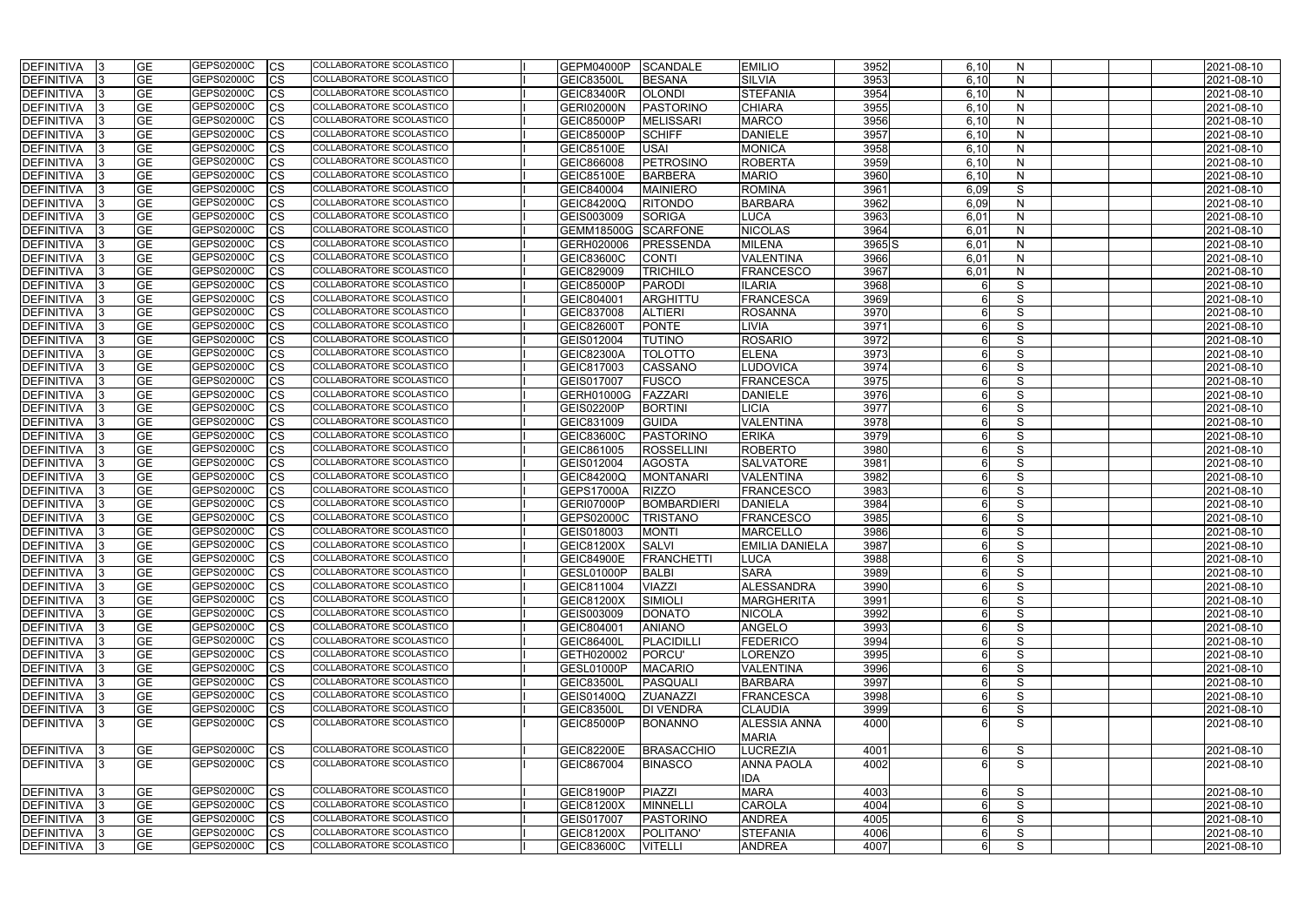| <b>DEFINITIVA</b>         |     | <b>GE</b> | GEPS02000C               | <b>CS</b>              | COLLABORATORE SCOLASTICO        | GEPM04000P        | <b>SCANDALE</b>    | <b>EMILIO</b>         | 3952  | 6, 10 | <sub>N</sub> |  | 2021-08-10 |
|---------------------------|-----|-----------|--------------------------|------------------------|---------------------------------|-------------------|--------------------|-----------------------|-------|-------|--------------|--|------------|
| <b>DEFINITIVA</b>         |     | <b>GE</b> | GEPS02000C               | <b>CS</b>              | COLLABORATORE SCOLASTICO        | <b>GEIC83500L</b> | <b>BESANA</b>      | <b>SILVIA</b>         | 3953  | 6,10  | $\mathsf{N}$ |  | 2021-08-10 |
| DEFINITIVA                |     | <b>GE</b> | GEPS02000C               | <b>CS</b>              | COLLABORATORE SCOLASTICO        | GEIC83400R        | <b>OLONDI</b>      | <b>STEFANIA</b>       | 3954  | 6,10  | N            |  | 2021-08-10 |
| DEFINITIVA                |     | <b>GE</b> | GEPS02000C               | <b>CS</b>              | COLLABORATORE SCOLASTICO        | GERI02000N        | PASTORINO          | <b>CHIARA</b>         | 3955  | 6,10  | N            |  | 2021-08-10 |
| DEFINITIVA                |     | <b>GE</b> | GEPS02000C               | <b>CS</b>              | COLLABORATORE SCOLASTICO        | <b>GEIC85000P</b> | <b>MELISSARI</b>   | <b>MARCO</b>          | 3956  | 6, 10 | $\mathsf{N}$ |  | 2021-08-10 |
| <b>DEFINITIVA</b>         |     | <b>GE</b> | GEPS02000C               | <b>CS</b>              | COLLABORATORE SCOLASTICO        | <b>GEIC85000P</b> | <b>SCHIFF</b>      | <b>DANIELE</b>        | 3957  | 6, 10 | N            |  | 2021-08-10 |
| <b>DEFINITIVA</b>         |     | <b>GE</b> | GEPS02000C               | <b>CS</b>              | COLLABORATORE SCOLASTICO        | <b>GEIC85100E</b> | <b>USAI</b>        | <b>MONICA</b>         | 3958  | 6, 10 | N            |  | 2021-08-10 |
| <b>DEFINITIVA</b>         |     | <b>GE</b> | GEPS02000C               | <b>CS</b>              | COLLABORATORE SCOLASTICO        | GEIC866008        | PETROSINO          | <b>ROBERTA</b>        | 3959  | 6, 10 | $\mathsf{N}$ |  | 2021-08-10 |
| <b>DEFINITIVA</b>         |     | <b>GE</b> | GEPS02000C               | <b>CS</b>              | <b>COLLABORATORE SCOLASTICO</b> | <b>GEIC85100E</b> | BARBERA            | <b>MARIO</b>          | 3960  | 6,10  | $\mathsf{N}$ |  | 2021-08-10 |
| <b>DEFINITIVA</b>         |     | <b>GE</b> | GEPS02000C               | <b>CS</b>              | <b>COLLABORATORE SCOLASTICO</b> | GEIC840004        | <b>MAINIERO</b>    | <b>ROMINA</b>         | 3961  | 6,09  | S            |  | 2021-08-10 |
| <b>DEFINITIVA</b>         |     | <b>GE</b> | <b>GEPS02000C</b>        | <b>CS</b>              | COLLABORATORE SCOLASTICO        | <b>GEIC84200Q</b> | <b>RITONDO</b>     | <b>BARBARA</b>        | 3962  | 6,09  | N            |  | 2021-08-10 |
| <b>DEFINITIVA</b>         |     | <b>GE</b> | GEPS02000C               | <b>CS</b>              | COLLABORATORE SCOLASTICO        | GEIS003009        | <b>SORIGA</b>      | <b>LUCA</b>           | 3963  | 6,01  | $\mathsf{N}$ |  | 2021-08-10 |
| <b>DEFINITIVA</b>         |     | <b>GE</b> | GEPS02000C               | <b>CS</b>              | <b>COLLABORATORE SCOLASTICO</b> | <b>GEMM18500G</b> | SCARFONE           | <b>NICOLAS</b>        | 3964  | 6,01  | N            |  | 2021-08-10 |
| <b>DEFINITIVA</b>         |     | <b>GE</b> | GEPS02000C               | <b>CS</b>              | COLLABORATORE SCOLASTICO        | GERH020006        | PRESSENDA          | <b>MILENA</b>         | 3965S | 6,01  | $\mathsf{N}$ |  | 2021-08-10 |
| <b>DEFINITIVA</b>         |     | <b>GE</b> | GEPS02000C               | <b>CS</b>              | COLLABORATORE SCOLASTICO        | GEIC83600C        | <b>CONTI</b>       | <b>VALENTINA</b>      | 3966  | 6,01  | N            |  | 2021-08-10 |
| DEFINITIVA                |     | <b>GE</b> | GEPS02000C               | <b>CS</b>              | COLLABORATORE SCOLASTICO        | GEIC829009        | <b>TRICHILO</b>    | <b>FRANCESCO</b>      | 3967  | 6,01  | N            |  | 2021-08-10 |
| DEFINITIVA                |     | <b>GE</b> | GEPS02000C               | <b>CS</b>              | COLLABORATORE SCOLASTICO        | <b>GEIC85000P</b> | PARODI             | <b>ILARIA</b>         | 3968  |       | S            |  | 2021-08-10 |
| DEFINITIVA                |     | <b>GE</b> | GEPS02000C               | <b>CS</b>              | COLLABORATORE SCOLASTICO        | GEIC804001        | ARGHITTU           | <b>FRANCESCA</b>      | 3969  |       | S            |  | 2021-08-10 |
| <b>DEFINITIVA</b>         |     | <b>GE</b> | GEPS02000C               | <b>CS</b>              | <b>COLLABORATORE SCOLASTICO</b> | GEIC837008        | <b>ALTIERI</b>     | <b>ROSANNA</b>        | 3970  |       | S            |  | 2021-08-10 |
| DEFINITIVA                |     | <b>GE</b> | GEPS02000C               | <b>CS</b>              | <b>COLLABORATORE SCOLASTICO</b> | <b>GEIC82600T</b> | <b>PONTE</b>       | LIVIA                 | 3971  |       | S            |  | 2021-08-10 |
| <b>DEFINITIVA</b>         |     | <b>GE</b> | GEPS02000C               | <b>CS</b>              | COLLABORATORE SCOLASTICO        | GEIS012004        | <b>TUTINO</b>      | <b>ROSARIO</b>        | 3972  |       | S            |  | 2021-08-10 |
| <b>DEFINITIVA</b>         |     | <b>GE</b> | <b>GEPS02000C</b>        | <b>CS</b>              | COLLABORATORE SCOLASTICO        | <b>GEIC82300A</b> | <b>Ι</b> τοιοττο   | <b>ELENA</b>          | 3973  |       | S            |  | 2021-08-10 |
| <b>DEFINITIVA</b>         |     | <b>GE</b> | GEPS02000C               | <b>CS</b>              | COLLABORATORE SCOLASTICO        | GEIC817003        | CASSANO            | LUDOVICA              | 3974  |       | S            |  | 2021-08-10 |
| <b>DEFINITIVA</b>         |     | <b>GE</b> | GEPS02000C               | <b>CS</b>              | COLLABORATORE SCOLASTICO        | GEIS017007        | <b>FUSCO</b>       | <b>FRANCESCA</b>      | 3975  |       | S            |  | 2021-08-10 |
| DEFINITIVA                |     | <b>GE</b> | GEPS02000C               | <b>CS</b>              | COLLABORATORE SCOLASTICO        | GERH01000G        | FAZZARI            | <b>DANIELE</b>        | 3976  |       | S            |  | 2021-08-10 |
|                           |     | <b>GE</b> | GEPS02000C               |                        | COLLABORATORE SCOLASTICO        | <b>GEIS02200P</b> | <b>BORTINI</b>     |                       | 3977  |       | S            |  |            |
| DEFINITIVA                |     | <b>GE</b> | GEPS02000C               | <b>CS</b><br><b>CS</b> | COLLABORATORE SCOLASTICO        |                   |                    | <b>LICIA</b>          | 3978  |       | S            |  | 2021-08-10 |
| <b>DEFINITIVA</b>         |     | <b>GE</b> | GEPS02000C               |                        | COLLABORATORE SCOLASTICO        | GEIC831009        | <b>GUIDA</b>       | <b>VALENTINA</b>      | 3979  |       | S            |  | 2021-08-10 |
| DEFINITIVA                |     |           |                          | <b>CS</b>              | COLLABORATORE SCOLASTICO        | <b>GEIC83600C</b> | PASTORINO          | <b>ERIKA</b>          |       |       |              |  | 2021-08-10 |
| DEFINITIVA                |     | <b>GE</b> | GEPS02000C<br>GEPS02000C | <b>CS</b>              | COLLABORATORE SCOLASTICO        | GEIC861005        | <b>ROSSELLINI</b>  | <b>ROBERTO</b>        | 3980  |       | S            |  | 2021-08-10 |
| DEFINITIVA                |     | <b>GE</b> |                          | <b>CS</b>              |                                 | GEIS012004        | <b>AGOSTA</b>      | <b>SALVATORE</b>      | 3981  |       | S            |  | 2021-08-10 |
| <b>DEFINITIVA</b>         |     | <b>GE</b> | GEPS02000C               | <b>CS</b>              | COLLABORATORE SCOLASTICO        | <b>GEIC84200Q</b> | <b>MONTANARI</b>   | <b>VALENTINA</b>      | 3982  |       | S            |  | 2021-08-10 |
| DEFINITIVA                |     | <b>GE</b> | GEPS02000C               | <b>CS</b>              | COLLABORATORE SCOLASTICO        | <b>GEPS17000A</b> | <b>RIZZO</b>       | <b>FRANCESCO</b>      | 3983  |       | S            |  | 2021-08-10 |
| <b>DEFINITIVA</b>         |     | <b>GE</b> | GEPS02000C               | <b>CS</b>              | COLLABORATORE SCOLASTICO        | <b>GERI07000P</b> | <b>BOMBARDIERI</b> | <b>DANIELA</b>        | 3984  |       | S            |  | 2021-08-10 |
| DEFINITIVA                |     | <b>GE</b> | GEPS02000C               | <b>CS</b>              | COLLABORATORE SCOLASTICO        | GEPS02000C        | <b>TRISTANO</b>    | <b>FRANCESCO</b>      | 3985  |       | S            |  | 2021-08-10 |
| <b>DEFINITIVA</b>         |     | <b>GE</b> | GEPS02000C               | <b>CS</b>              | COLLABORATORE SCOLASTICO        | GEIS018003        | <b>MONTI</b>       | <b>MARCELLO</b>       | 3986  |       | S            |  | 2021-08-10 |
| DEFINITIVA                |     | <b>GE</b> | GEPS02000C               | <b>CS</b>              | COLLABORATORE SCOLASTICO        | <b>GEIC81200X</b> | <b>SALVI</b>       | <b>EMILIA DANIELA</b> | 3987  |       | S            |  | 2021-08-10 |
| DEFINITIVA 3              |     | <b>GE</b> | GEPS02000C               | $ {\rm CS}$            | COLLABORATORE SCOLASTICO        | <b>GEIC84900E</b> | FRANCHETTI         | <b>LUCA</b>           | 3988  |       | S            |  | 2021-08-10 |
| DEFINITIVA 3              |     | <b>GE</b> | GEPS02000C               | <b>CS</b>              | COLLABORATORE SCOLASTICO        | GESL01000P        | <b>BALBI</b>       | <b>SARA</b>           | 3989  |       | S            |  | 2021-08-10 |
| DEFINITIVA 3              |     | <b>GE</b> | GEPS02000C               | <b>CS</b>              | COLLABORATORE SCOLASTICO        | GEIC811004        | <b>VIAZZI</b>      | <b>ALESSANDRA</b>     | 3990  |       | S            |  | 2021-08-10 |
| DEFINITIVA 3              |     | <b>GE</b> | GEPS02000C               | <b>CS</b>              | COLLABORATORE SCOLASTICO        | <b>GEIC81200X</b> | SIMIOLI            | <b>MARGHERITA</b>     | 3991  |       | S            |  | 2021-08-10 |
| DEFINITIVA 3              |     | <b>GE</b> | GEPS02000C               | <b>CS</b>              | COLLABORATORE SCOLASTICO        | GEIS003009        | <b>DONATO</b>      | <b>NICOLA</b>         | 3992  |       | S            |  | 2021-08-10 |
| DEFINITIVA 3              |     | <b>GE</b> | GEPS02000C               | <b>CS</b>              | COLLABORATORE SCOLASTICO        | GEIC804001        | <b>ANIANO</b>      | <b>ANGELO</b>         | 3993  |       | S            |  | 2021-08-10 |
| DEFINITIVA 3              |     | <b>GE</b> | GEPS02000C               | <b>CS</b>              | COLLABORATORE SCOLASTICO        | <b>GEIC86400L</b> | PLACIDILLI         | <b>FEDERICO</b>       | 3994  |       | S            |  | 2021-08-10 |
| DEFINITIVA 3              |     | <b>GE</b> | GEPS02000C               | <b>CS</b>              | COLLABORATORE SCOLASTICO        | GETH020002        | <b>PORCU</b>       | <b>LORENZO</b>        | 3995  |       | S            |  | 2021-08-10 |
| DEFINITIVA 3              |     | <b>GE</b> | GEPS02000C               | <b>CS</b>              | COLLABORATORE SCOLASTICO        | GESL01000P        | <b>MACARIO</b>     | <b>VALENTINA</b>      | 3996  |       | S            |  | 2021-08-10 |
| DEFINITIVA                |     | <b>GE</b> | <b>GEPS02000C</b>        | <b>CS</b>              | COLLABORATORE SCOLASTICO        | <b>GEIC83500L</b> | PASQUALI           | <b>BARBARA</b>        | 3997  |       | S            |  | 2021-08-10 |
| DEFINITIVA                |     | <b>GE</b> | GEPS02000C               | <b>CS</b>              | COLLABORATORE SCOLASTICO        | <b>GEIS01400Q</b> | ZUANAZZI           | <b>FRANCESCA</b>      | 3998  |       | S            |  | 2021-08-10 |
| DEFINITIVA 3              |     | <b>GE</b> | GEPS02000C               | <b>CS</b>              | COLLABORATORE SCOLASTICO        | <b>GEIC83500L</b> | <b>DI VENDRA</b>   | <b>CLAUDIA</b>        | 3999  |       | S            |  | 2021-08-10 |
| DEFINITIVA                | 13  | <b>GE</b> | GEPS02000C               | <b>CS</b>              | COLLABORATORE SCOLASTICO        | GEIC85000P        | <b>BONANNO</b>     | <b>ALESSIA ANNA</b>   | 4000  |       | S            |  | 2021-08-10 |
|                           |     |           |                          |                        |                                 |                   |                    | <b>MARIA</b>          |       |       |              |  |            |
| DEFINITIVA 3              |     | <b>GE</b> | GEPS02000C               | <b>CS</b>              | COLLABORATORE SCOLASTICO        | <b>GEIC82200E</b> | <b>BRASACCHIO</b>  | <b>LUCREZIA</b>       | 4001  |       | S            |  | 2021-08-10 |
| DEFINITIVA                | -13 | <b>GE</b> | GEPS02000C               | <b>CS</b>              | COLLABORATORE SCOLASTICO        | GEIC867004        | <b>BINASCO</b>     | <b>ANNA PAOLA</b>     | 4002  |       | S            |  | 2021-08-10 |
|                           |     |           |                          |                        |                                 |                   |                    | <b>IDA</b>            |       |       |              |  |            |
| DEFINITIVA $\overline{3}$ |     | <b>GE</b> | <b>GEPS02000C</b>        | <b>CS</b>              | COLLABORATORE SCOLASTICO        | GEIC81900P        | PIAZZI             | <b>MARA</b>           | 4003  |       | S            |  | 2021-08-10 |
| DEFINITIVA 3              |     | <b>GE</b> | GEPS02000C               | <b>CS</b>              | COLLABORATORE SCOLASTICO        | <b>GEIC81200X</b> | MINNELLI           | <b>CAROLA</b>         | 4004  |       | S            |  | 2021-08-10 |
| DEFINITIVA 3              |     | <b>GE</b> | GEPS02000C               | <b>ICS</b>             | COLLABORATORE SCOLASTICO        | GEIS017007        | <b>PASTORINO</b>   | <b>ANDREA</b>         | 4005  |       | S            |  | 2021-08-10 |
| DEFINITIVA 3              |     | <b>GE</b> | GEPS02000C               | <b>CS</b>              | COLLABORATORE SCOLASTICO        | GEIC81200X        | POLITANO'          | <b>STEFANIA</b>       | 4006  |       | S            |  | 2021-08-10 |
| DEFINITIVA 3              |     | <b>GE</b> | GEPS02000C               | <b>CS</b>              | COLLABORATORE SCOLASTICO        | GEIC83600C        | <b>VITELLI</b>     | <b>ANDREA</b>         | 4007  | 6     | S            |  | 2021-08-10 |
|                           |     |           |                          |                        |                                 |                   |                    |                       |       |       |              |  |            |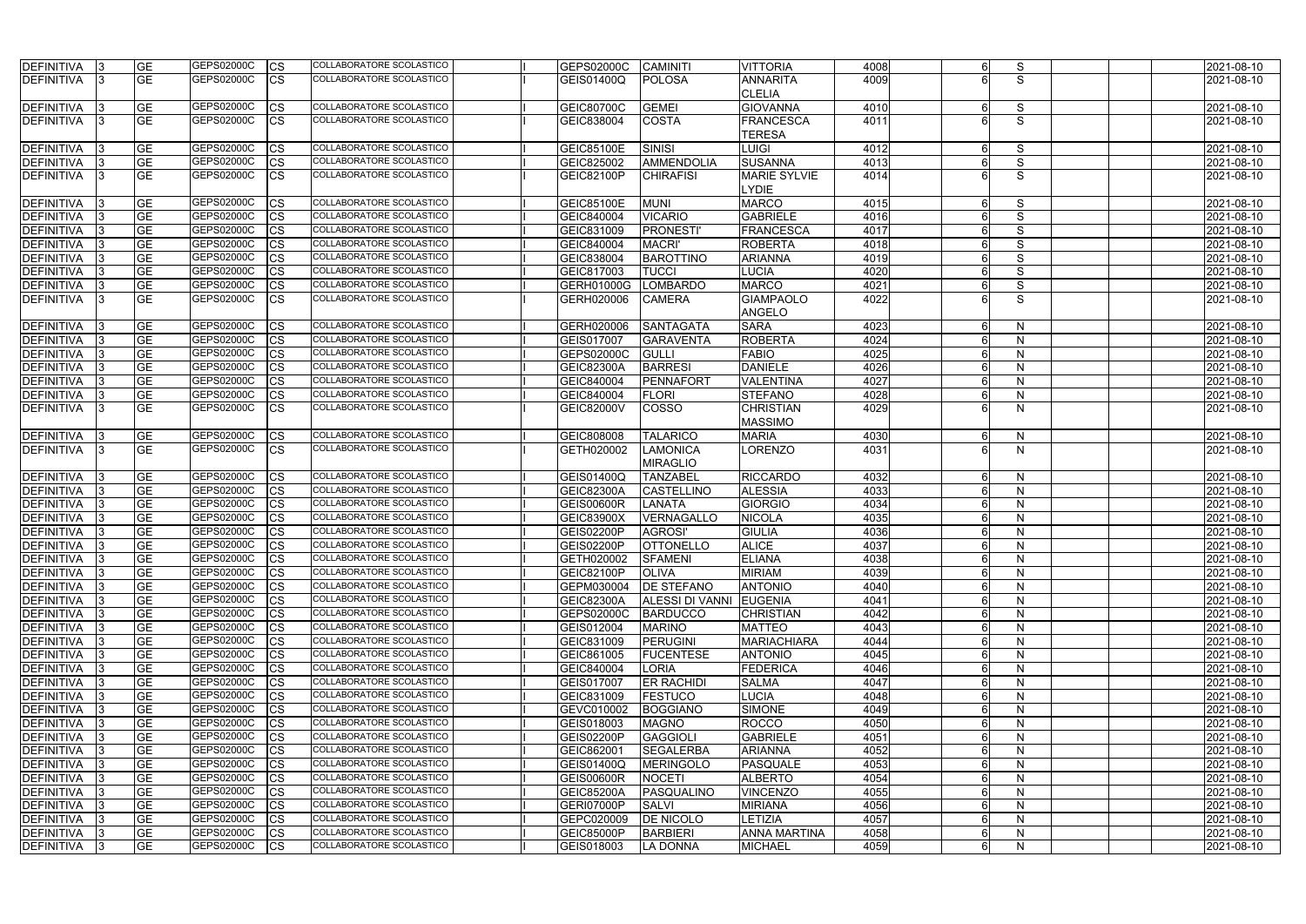| <b>DEFINITIVA</b>                 | <b>GE</b>              | GEPS02000C               | <b>CS</b>         | COLLABORATORE SCOLASTICO                                    | GEPS02000C               | <b>CAMINITI</b>                    | <b>VITTORIA</b>                    | 4008         |   | S      | 2021-08-10               |
|-----------------------------------|------------------------|--------------------------|-------------------|-------------------------------------------------------------|--------------------------|------------------------------------|------------------------------------|--------------|---|--------|--------------------------|
| DEFINITIVA                        | <b>GE</b>              | GEPS02000C               | <b>CS</b>         | COLLABORATORE SCOLASTICO                                    | <b>GEIS01400Q</b>        | <b>POLOSA</b>                      | <b>ANNARITA</b><br><b>CLELIA</b>   | 4009         |   | S      | 2021-08-10               |
| DEFINITIVA                        | <b>GE</b>              | GEPS02000C               | СS                | COLLABORATORE SCOLASTICO                                    | <b>GEIC80700C</b>        | <b>GEMEI</b>                       | <b>GIOVANNA</b>                    | 4010         |   | S      | 2021-08-10               |
| <b>DEFINITIVA</b>                 | <b>GE</b>              | GEPS02000C               | <b>CS</b>         | COLLABORATORE SCOLASTICO                                    | GEIC838004               | <b>COSTA</b>                       | <b>FRANCESCA</b>                   | 4011         |   | S      | 2021-08-10               |
|                                   |                        |                          |                   |                                                             |                          |                                    | <b>TERESA</b>                      |              |   |        |                          |
| <b>DEFINITIVA</b>                 | <b>GE</b>              | GEPS02000C               | СS                | COLLABORATORE SCOLASTICO                                    | <b>GEIC85100E</b>        | <b>SINISI</b>                      | LUIGI                              | 4012         |   | S      | 2021-08-10               |
| <b>DEFINITIVA</b>                 | <b>GE</b>              | GEPS02000C               | <b>CS</b>         | COLLABORATORE SCOLASTICO                                    | GEIC825002               | <b>AMMENDOLIA</b>                  | <b>SUSANNA</b>                     | 4013         |   | S      | 2021-08-10               |
| <b>DEFINITIVA</b>                 | <b>GE</b>              | GEPS02000C               | <b>CS</b>         | <b>COLLABORATORE SCOLASTICO</b>                             | <b>GEIC82100P</b>        | <b>CHIRAFISI</b>                   | <b>MARIE SYLVIE</b>                | 4014         |   | S      | 2021-08-10               |
|                                   |                        |                          |                   |                                                             |                          |                                    | LYDIE                              |              |   |        |                          |
| <b>DEFINITIVA</b>                 | <b>GE</b>              | GEPS02000C               | CS                | COLLABORATORE SCOLASTICO                                    | <b>GEIC85100E</b>        | <b>MUNI</b>                        | <b>MARCO</b>                       | 4015         |   | S      | 2021-08-10               |
| <b>DEFINITIVA</b>                 | <b>GE</b>              | GEPS02000C               | CS                | COLLABORATORE SCOLASTICO                                    | GEIC840004               | <b>VICARIO</b>                     | <b>GABRIELE</b>                    | 4016         |   | S      | 2021-08-10               |
| DEFINITIVA                        | <b>GE</b>              | GEPS02000C               | CS                | COLLABORATORE SCOLASTICO                                    | GEIC831009               | <b>PRONESTI</b>                    | <b>FRANCESCA</b>                   | 4017         |   | S      | 2021-08-10               |
| <b>DEFINITIVA</b>                 | <b>GE</b>              | GEPS02000C               | СS                | COLLABORATORE SCOLASTICO                                    | GEIC840004               | <b>MACRI'</b>                      | <b>ROBERTA</b>                     | 4018         |   | S      | 2021-08-10               |
| <b>DEFINITIVA</b>                 | <b>GE</b>              | GEPS02000C               | CS                | COLLABORATORE SCOLASTICO                                    | GEIC838004               | <b>BAROTTINO</b>                   | <b>ARIANNA</b>                     | 4019         |   | S      | 2021-08-10               |
| <b>DEFINITIVA</b>                 | <b>GE</b>              | GEPS02000C               | CS                | COLLABORATORE SCOLASTICO                                    | GEIC817003               | <b>TUCCI</b>                       | <b>LUCIA</b>                       | 4020         |   | S      | 2021-08-10               |
| <b>DEFINITIVA</b>                 | <b>GE</b>              | GEPS02000C               | СS                | COLLABORATORE SCOLASTICO                                    | <b>GERH01000G</b>        | <b>LOMBARDO</b>                    | <b>MARCO</b>                       | 4021         |   | S      | 2021-08-10               |
| <b>DEFINITIVA</b>                 | <b>GE</b>              | GEPS02000C               | CS                | COLLABORATORE SCOLASTICO                                    | GERH020006               | <b>CAMERA</b>                      | <b>GIAMPAOLO</b>                   | 4022         |   | S      | 2021-08-10               |
|                                   |                        |                          |                   |                                                             |                          |                                    | <b>ANGELO</b>                      |              |   |        |                          |
| <b>DEFINITIVA</b>                 | <b>GE</b>              | GEPS02000C               | CS                | <b>COLLABORATORE SCOLASTICO</b>                             | GERH020006               | SANTAGATA                          | <b>SARA</b>                        | 4023         |   | N      | 2021-08-10               |
| <b>DEFINITIVA</b>                 | $\overline{GE}$        | GEPS02000C<br>GEPS02000C | CS                | <b>COLLABORATORE SCOLASTICO</b>                             | GEIS017007               | <b>GARAVENTA</b>                   | <b>ROBERTA</b>                     | 4024         |   | N      | 2021-08-10               |
| <b>DEFINITIVA</b>                 | <b>GE</b>              | GEPS02000C               | CS                | COLLABORATORE SCOLASTICO<br>COLLABORATORE SCOLASTICO        | GEPS02000C               | GULLI                              | <b>FABIO</b>                       | 4025         |   | N      | 2021-08-10               |
| <b>DEFINITIVA</b>                 | <b>GE</b><br><b>GE</b> | GEPS02000C               | СS                | COLLABORATORE SCOLASTICO                                    | <b>GEIC82300A</b>        | <b>BARRESI</b><br>PENNAFORT        | <b>DANIELE</b><br><b>VALENTINA</b> | 4026<br>4027 |   | N<br>N | 2021-08-10               |
| <b>DEFINITIVA</b><br>DEFINITIVA   | <b>GE</b>              | GEPS02000C               | CS<br>СS          | COLLABORATORE SCOLASTICO                                    | GEIC840004<br>GEIC840004 | <b>FLORI</b>                       | <b>STEFANO</b>                     | 4028         |   | N      | 2021-08-10<br>2021-08-10 |
| DEFINITIVA                        | <b>GE</b>              | GEPS02000C               | СS                | COLLABORATORE SCOLASTICO                                    | <b>GEIC82000V</b>        | <b>COSSO</b>                       | <b>CHRISTIAN</b>                   | 4029         |   | N      | 2021-08-10               |
|                                   |                        |                          |                   |                                                             |                          |                                    | <b>MASSIMO</b>                     |              |   |        |                          |
| DEFINITIVA                        | <b>GE</b>              | GEPS02000C               | <b>CS</b>         | COLLABORATORE SCOLASTICO                                    | GEIC808008               | <b>TALARICO</b>                    | <b>MARIA</b>                       | 4030         |   | N      | 2021-08-10               |
| <b>DEFINITIVA</b>                 | <b>GE</b>              | GEPS02000C               | СS                | COLLABORATORE SCOLASTICO                                    | GETH020002               | <b>LAMONICA</b>                    | LORENZO                            | 4031         |   | N      | 2021-08-10               |
|                                   |                        |                          |                   |                                                             |                          | <b>MIRAGLIO</b>                    |                                    |              |   |        |                          |
| <b>DEFINITIVA</b>                 | <b>GE</b>              | GEPS02000C               | CS                | COLLABORATORE SCOLASTICO                                    | GEIS01400Q               | <b>TANZABEL</b>                    | <b>RICCARDO</b>                    | 4032         |   | N      | 2021-08-10               |
| <b>DEFINITIVA</b>                 | <b>GE</b>              | GEPS02000C               | СS                | COLLABORATORE SCOLASTICO                                    | <b>GEIC82300A</b>        | <b>CASTELLINO</b>                  | <b>ALESSIA</b>                     | 4033         |   | N      | 2021-08-10               |
| <b>DEFINITIVA</b>                 | <b>GE</b>              | GEPS02000C               | <b>CS</b>         | <b>COLLABORATORE SCOLASTICO</b><br>COLLABORATORE SCOLASTICO | <b>GEIS00600R</b>        | <b>LANATA</b>                      | <b>GIORGIO</b>                     | 4034         |   | N      | 2021-08-10               |
| <b>DEFINITIVA</b>                 | <b>GE</b>              | GEPS02000C               | СS                |                                                             | <b>GEIC83900X</b>        | VERNAGALLO                         | <b>NICOLA</b>                      | 4035         |   | N      | 2021-08-10               |
| <b>DEFINITIVA</b>                 | <b>GE</b><br><b>GE</b> | GEPS02000C<br>GEPS02000C | СS<br><b>I</b> CS | COLLABORATORE SCOLASTICO<br>COLLABORATORE SCOLASTICO        | <b>GEIS02200P</b>        | <b>AGROSI</b>                      | <b>GIULIA</b>                      | 4036         |   | N<br>N | 2021-08-10               |
| <b>DEFINITIVA</b><br>DEFINITIVA 3 |                        | GEPS02000C               | <b>CS</b>         | <b>COLLABORATORE SCOLASTICO</b>                             | GEIS02200P               | <b>OTTONELLO</b><br><b>SFAMENI</b> | <b>ALICE</b>                       | 4037         |   |        | 2021-08-10               |
| DEFINITIVA                        | <b>GE</b><br><b>GE</b> | GEPS02000C               | <b>CS</b>         | COLLABORATORE SCOLASTICO                                    | GETH020002<br>GEIC82100P | <b>OLIVA</b>                       | ELIANA<br><b>MIRIAM</b>            | 4038<br>4039 |   | N<br>N | 2021-08-10<br>2021-08-10 |
| DEFINITIVA                        | <b>GE</b>              | GEPS02000C               | <b>CS</b>         | COLLABORATORE SCOLASTICO                                    | GEPM030004               | <b>DE STEFANO</b>                  | <b>ANTONIO</b>                     | 4040         |   | N      | 2021-08-10               |
| DEFINITIVA                        | <b>GE</b>              | GEPS02000C               | <b>CS</b>         | <b>COLLABORATORE SCOLASTICO</b>                             | <b>GEIC82300A</b>        | <b>ALESSI DI VANNI</b>             | <b>EUGENIA</b>                     | 4041         |   | N      | 2021-08-10               |
| DEFINITIVA                        | <b>GE</b>              | GEPS02000C               | СS                | COLLABORATORE SCOLASTICO                                    | GEPS02000C               | <b>BARDUCCO</b>                    | <b>CHRISTIAN</b>                   | 4042         |   | N      | 2021-08-10               |
| <b>DEFINITIVA</b>                 | <b>GE</b>              | GEPS02000C               | CS                | COLLABORATORE SCOLASTICO                                    | GEIS012004               | <b>MARINO</b>                      | <b>MATTEO</b>                      | 4043         |   | N      | 2021-08-10               |
| DEFINITIVA                        | <b>GE</b>              | GEPS02000C               | <b>ICS</b>        | COLLABORATORE SCOLASTICO                                    | GEIC831009               | <b>PERUGINI</b>                    | <b>MARIACHIARA</b>                 | 4044         |   | N      | 2021-08-10               |
| <b>DEFINITIVA</b>                 | <b>GE</b>              | GEPS02000C               | <b>CS</b>         | COLLABORATORE SCOLASTICO                                    | GEIC861005               | <b>FUCENTESE</b>                   | <b>ANTONIO</b>                     | 4045         |   | N      | 2021-08-10               |
| <b>DEFINITIVA</b>                 | <b>GE</b>              | GEPS02000C               | <b>CS</b>         | COLLABORATORE SCOLASTICO                                    | GEIC840004               | <b>LORIA</b>                       | <b>FEDERICA</b>                    | 4046         |   | N      | 2021-08-10               |
| DEFINITIVA                        | <b>GE</b>              | GEPS02000C               | <b>CS</b>         | COLLABORATORE SCOLASTICO                                    | GEIS017007               | <b>ER RACHIDI</b>                  | <b>SALMA</b>                       | 4047         |   | N      | 2021-08-10               |
| DEFINITIVA                        | <b>GE</b>              | GEPS02000C               | <b>CS</b>         | COLLABORATORE SCOLASTICO                                    | GEIC831009               | <b>FESTUCO</b>                     | <b>LUCIA</b>                       | 4048         |   | N      | 2021-08-10               |
| DEFINITIVA                        | <b>GE</b>              | GEPS02000C               | <b>CS</b>         | COLLABORATORE SCOLASTICO                                    | GEVC010002               | <b>BOGGIANO</b>                    | <b>SIMONE</b>                      | 4049         |   | N      | 2021-08-10               |
| DEFINITIVA                        | <b>GE</b>              | GEPS02000C               | <b>ICS</b>        | COLLABORATORE SCOLASTICO                                    | GEIS018003               | <b>MAGNO</b>                       | <b>ROCCO</b>                       | 4050         |   | N      | 2021-08-10               |
| DEFINITIVA                        | <b>GE</b>              | GEPS02000C               | CS                | COLLABORATORE SCOLASTICO                                    | <b>GEIS02200P</b>        | GAGGIOLI                           | <b>GABRIELE</b>                    | 4051         |   | N      | 2021-08-10               |
| DEFINITIVA                        | <b>GE</b>              | GEPS02000C               | <b>CS</b>         | COLLABORATORE SCOLASTICO                                    | GEIC862001               | <b>SEGALERBA</b>                   | <b>ARIANNA</b>                     | 4052         |   | N      | 2021-08-10               |
| DEFINITIVA                        | <b>GE</b>              | GEPS02000C               | СS                | COLLABORATORE SCOLASTICO                                    | <b>GEIS01400Q</b>        | <b>MERINGOLO</b>                   | <b>PASQUALE</b>                    | 4053         |   | N      | 2021-08-10               |
| <b>DEFINITIVA</b>                 | <b>GE</b>              | GEPS02000C               | СS                | COLLABORATORE SCOLASTICO                                    | GEIS00600R               | <b>NOCETI</b>                      | <b>ALBERTO</b>                     | 4054         |   | N      | 2021-08-10               |
| DEFINITIVA                        | <b>GE</b>              | GEPS02000C               | СS                | COLLABORATORE SCOLASTICO                                    | <b>GEIC85200A</b>        | PASQUALINO                         | <b>VINCENZO</b>                    | 4055         |   | N      | 2021-08-10               |
| DEFINITIVA                        | <b>GE</b>              | GEPS02000C               | <b>CS</b>         | COLLABORATORE SCOLASTICO                                    | GERI07000P               | <b>SALVI</b>                       | <b>MIRIANA</b>                     | 4056         |   | N      | 2021-08-10               |
| <b>DEFINITIVA</b>                 | <b>GE</b>              | GEPS02000C               | CS                | COLLABORATORE SCOLASTICO                                    | GEPC020009               | <b>DE NICOLO</b>                   | <b>LETIZIA</b>                     | 4057         |   | N      | 2021-08-10               |
| DEFINITIVA                        | <b>GE</b>              | GEPS02000C               | <b>CS</b>         | COLLABORATORE SCOLASTICO                                    | GEIC85000P               | <b>BARBIERI</b>                    | <b>ANNA MARTINA</b>                | 4058         |   | N      | 2021-08-10               |
| <b>DEFINITIVA</b>                 | <b>GE</b>              | GEPS02000C               | <b>ICS</b>        | COLLABORATORE SCOLASTICO                                    | GEIS018003               | LA DONNA                           | <b>MICHAEL</b>                     | 4059         | 6 | N      | 2021-08-10               |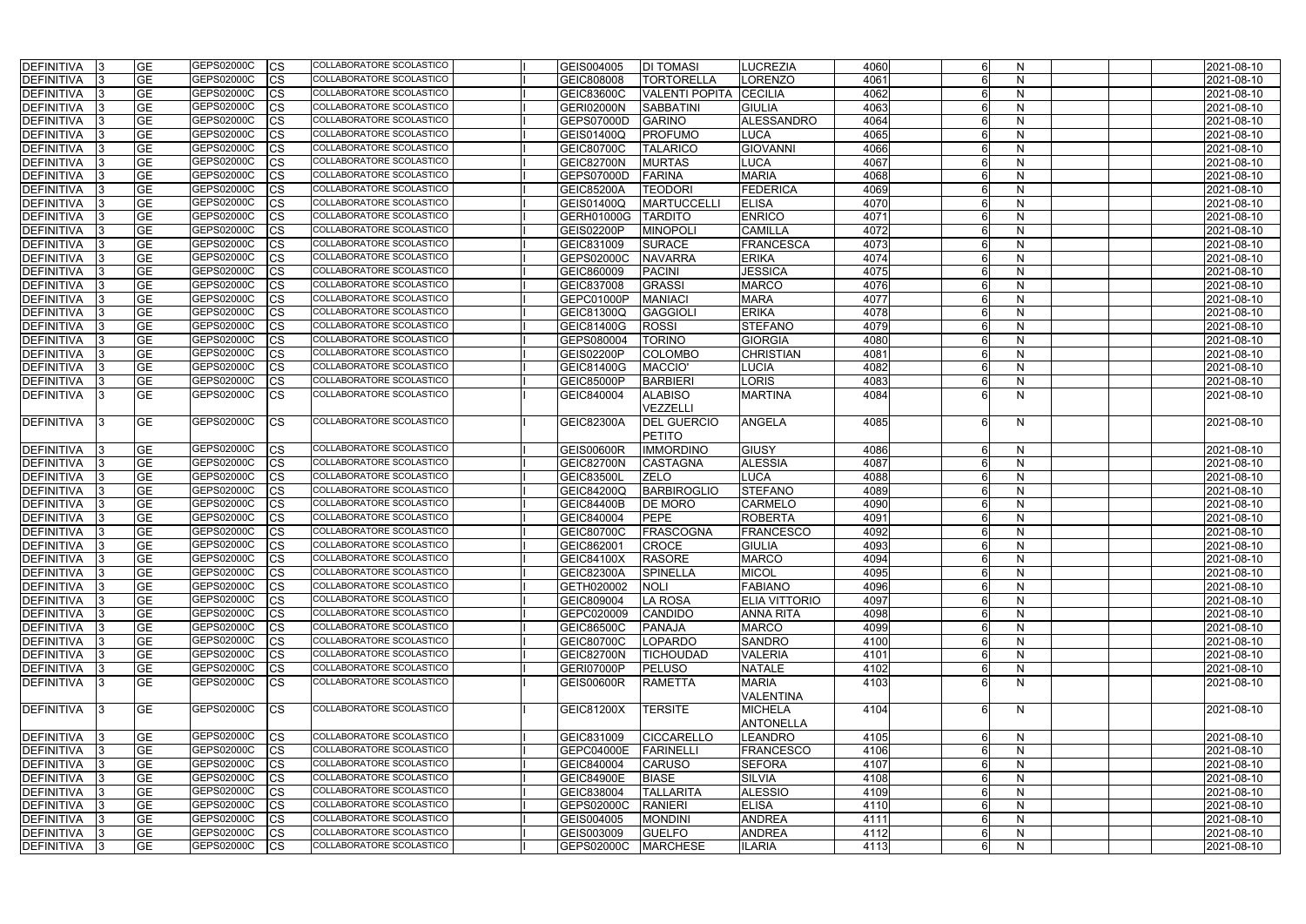| <b>DEFINITIVA</b> | <b>GE</b>                           | GEPS02000C | <b>ICS</b>  | COLLABORATORE SCOLASTICO        | GEIS004005        | <b>DI TOMASI</b>      | <b>LUCREZIA</b>      | 4060 |          | <sub>N</sub> |  | 2021-08-10 |
|-------------------|-------------------------------------|------------|-------------|---------------------------------|-------------------|-----------------------|----------------------|------|----------|--------------|--|------------|
| <b>DEFINITIVA</b> | <b>GE</b>                           | GEPS02000C | <b>CS</b>   | COLLABORATORE SCOLASTICO        | GEIC808008        | <b>TORTORELLA</b>     | <b>LORENZO</b>       | 4061 |          | N            |  | 2021-08-10 |
| <b>DEFINITIVA</b> | <b>GE</b>                           | GEPS02000C | <b>CS</b>   | COLLABORATORE SCOLASTICO        | <b>GEIC83600C</b> | <b>VALENTI POPITA</b> | <b>CECILIA</b>       | 4062 |          | N            |  | 2021-08-10 |
| <b>DEFINITIVA</b> | GЕ                                  | GEPS02000C | CS          | COLLABORATORE SCOLASTICO        | GERI02000N        | <b>SABBATINI</b>      | <b>GIULIA</b>        | 4063 |          | N            |  | 2021-08-10 |
| <b>DEFINITIVA</b> | GЕ                                  | GEPS02000C | <b>CS</b>   | COLLABORATORE SCOLASTICO        | GEPS07000D        | <b>GARINO</b>         | ALESSANDRO           | 4064 |          | N            |  | 2021-08-10 |
| <b>DEFINITIVA</b> | GЕ                                  | GEPS02000C | <b>ICS</b>  | COLLABORATORE SCOLASTICO        | GEIS01400Q        | <b>PROFUMO</b>        | <b>LUCA</b>          | 4065 |          | N            |  | 2021-08-10 |
| <b>DEFINITIVA</b> | GЕ                                  | GEPS02000C | CS          | COLLABORATORE SCOLASTICO        | <b>GEIC80700C</b> | <b>TALARICO</b>       | <b>GIOVANNI</b>      | 4066 |          | <sub>N</sub> |  | 2021-08-10 |
| DEFINITIVA        | <b>GE</b>                           | GEPS02000C | <b>CS</b>   | COLLABORATORE SCOLASTICO        | <b>GEIC82700N</b> | <b>MURTAS</b>         | <b>LUCA</b>          | 4067 |          | N            |  | 2021-08-10 |
| DEFINITIVA        | <b>GE</b>                           | GEPS02000C | <b>CS</b>   | COLLABORATORE SCOLASTICO        | <b>GEPS07000D</b> | <b>FARINA</b>         | <b>MARIA</b>         | 4068 |          | N            |  | 2021-08-10 |
| <b>DEFINITIVA</b> | <b>GE</b>                           | GEPS02000C | CS          | COLLABORATORE SCOLASTICO        | <b>GEIC85200A</b> | <b>TEODORI</b>        | <b>FEDERICA</b>      | 4069 |          | N            |  | 2021-08-10 |
| <b>DEFINITIVA</b> | <b>GE</b>                           | GEPS02000C | <b>CS</b>   | <b>COLLABORATORE SCOLASTICO</b> | GEIS01400Q        | <b>MARTUCCELL</b>     | <b>ELISA</b>         | 4070 |          | N            |  | 2021-08-10 |
| <b>DEFINITIVA</b> | GЕ                                  | GEPS02000C | CS          | <b>COLLABORATORE SCOLASTICO</b> | GERH01000G        | <b>TARDITO</b>        | <b>ENRICO</b>        | 4071 |          | N            |  | 2021-08-10 |
| <b>DEFINITIVA</b> | GЕ                                  | GEPS02000C | CS          | <b>COLLABORATORE SCOLASTICO</b> | <b>GEIS02200P</b> | <b>MINOPOL</b>        | <b>CAMILLA</b>       | 4072 |          | N            |  | 2021-08-10 |
| <b>DEFINITIVA</b> | $\overline{\overline{\mathsf{GE}}}$ | GEPS02000C | CS          | COLLABORATORE SCOLASTICO        | GEIC831009        | <b>SURACE</b>         | <b>FRANCESCA</b>     | 4073 |          | N            |  | 2021-08-10 |
| <b>DEFINITIVA</b> | <b>GE</b>                           | GEPS02000C | <b>CS</b>   | COLLABORATORE SCOLASTICO        | GEPS02000C        | <b>NAVARRA</b>        | <b>ERIKA</b>         | 4074 |          | N            |  | 2021-08-10 |
| <b>DEFINITIVA</b> | GЕ                                  | GEPS02000C | <b>CS</b>   | COLLABORATORE SCOLASTICO        | GEIC860009        | PACINI                | <b>JESSICA</b>       | 4075 |          | N            |  | 2021-08-10 |
| <b>DEFINITIVA</b> | GЕ                                  | GEPS02000C | CS          | COLLABORATORE SCOLASTICO        | GEIC837008        | GRASSI                | <b>MARCO</b>         | 4076 |          | N            |  | 2021-08-10 |
| <b>DEFINITIVA</b> | GЕ                                  | GEPS02000C | <b>CS</b>   | COLLABORATORE SCOLASTICO        | GEPC01000P        | <b>MANIACI</b>        | <b>MARA</b>          | 4077 |          | N            |  | 2021-08-10 |
| <b>DEFINITIVA</b> | GЕ                                  | GEPS02000C | <b>CS</b>   | COLLABORATORE SCOLASTICO        | <b>GEIC81300Q</b> | GAGGIOL               | <b>ERIKA</b>         | 4078 |          | N            |  | 2021-08-10 |
| <b>DEFINITIVA</b> | GE                                  | GEPS02000C | <b>CS</b>   | COLLABORATORE SCOLASTICO        | <b>GEIC81400G</b> | <b>ROSSI</b>          | <b>STEFANO</b>       | 4079 |          | N            |  | 2021-08-10 |
| DEFINITIVA        | <b>GE</b>                           | GEPS02000C | <b>CS</b>   | COLLABORATORE SCOLASTICO        | GEPS080004        | <b>TORINO</b>         | <b>GIORGIA</b>       | 4080 |          | N            |  | 2021-08-10 |
| <b>DEFINITIVA</b> | <b>GE</b>                           | GEPS02000C | CS          | COLLABORATORE SCOLASTICO        | <b>GEIS02200P</b> | <b>COLOMBO</b>        | <b>CHRISTIAN</b>     | 4081 |          | N            |  | 2021-08-10 |
| <b>DEFINITIVA</b> | <b>GE</b>                           | GEPS02000C | <b>CS</b>   | COLLABORATORE SCOLASTICO        | GEIC81400G        | MACCIO'               | <b>LUCIA</b>         | 4082 |          | N            |  | 2021-08-10 |
| <b>DEFINITIVA</b> | <b>GE</b>                           | GEPS02000C | <b>CS</b>   | COLLABORATORE SCOLASTICO        | <b>GEIC85000P</b> | <b>BARBIERI</b>       | <b>LORIS</b>         | 4083 |          | N            |  | 2021-08-10 |
| DEFINITIVA        | <b>GE</b>                           | GEPS02000C | <b>CS</b>   | <b>COLLABORATORE SCOLASTICO</b> | GEIC840004        | <b>ALABISO</b>        | <b>MARTINA</b>       | 4084 |          | N            |  | 2021-08-10 |
|                   |                                     |            |             |                                 |                   | VEZZELLI              |                      |      |          |              |  |            |
| <b>DEFINITIVA</b> | <b>GE</b>                           | GEPS02000C | <b>CS</b>   | COLLABORATORE SCOLASTICO        | GEIC82300A        | <b>DEL GUERCIO</b>    | <b>ANGELA</b>        | 4085 |          | N            |  | 2021-08-10 |
|                   |                                     |            |             |                                 |                   | <b>PETITO</b>         |                      |      |          |              |  |            |
| <b>DEFINITIVA</b> | GЕ                                  | GEPS02000C | <b>CS</b>   | COLLABORATORE SCOLASTICO        | GEIS00600R        | <b>IMMORDINO</b>      | <b>GIUSY</b>         | 4086 |          | N.           |  | 2021-08-10 |
| <b>DEFINITIVA</b> | GЕ                                  | GEPS02000C | <b>ICS</b>  | COLLABORATORE SCOLASTICO        | GEIC82700N        | <b>CASTAGNA</b>       | <b>ALESSIA</b>       | 4087 |          | N            |  | 2021-08-10 |
| <b>DEFINITIVA</b> | GЕ                                  | GEPS02000C | CS          | COLLABORATORE SCOLASTICO        | <b>GEIC83500L</b> | <b>ZELO</b>           | <b>LUCA</b>          | 4088 |          | N            |  | 2021-08-10 |
| DEFINITIVA        | GE                                  | GEPS02000C | <b>CS</b>   | COLLABORATORE SCOLASTICO        | <b>GEIC84200Q</b> | <b>BARBIROGLIO</b>    | STEFANO              | 4089 |          | N            |  | 2021-08-10 |
| DEFINITIVA        | <b>GE</b>                           | GEPS02000C | <b>CS</b>   | COLLABORATORE SCOLASTICO        | <b>GEIC84400B</b> | <b>DE MORO</b>        | <b>CARMELO</b>       | 4090 |          | N            |  | 2021-08-10 |
| DEFINITIVA        | <b>GE</b>                           | GEPS02000C | <b>CS</b>   | COLLABORATORE SCOLASTICO        | GEIC840004        | <b>PEPE</b>           | <b>ROBERTA</b>       | 4091 |          | N            |  | 2021-08-10 |
| <b>DEFINITIVA</b> | GЕ                                  | GEPS02000C | CS          | COLLABORATORE SCOLASTICO        | GEIC80700C        | <b>FRASCOGNA</b>      | <b>FRANCESCO</b>     | 4092 |          | N            |  | 2021-08-10 |
| <b>DEFINITIVA</b> | <b>GE</b>                           | GEPS02000C | <b>ICS</b>  | COLLABORATORE SCOLASTICO        | GEIC862001        | <b>CROCE</b>          | <b>GIULIA</b>        | 4093 |          | N            |  | 2021-08-10 |
| DEFINITIVA 3      | GE                                  | GEPS02000C | <b>CS</b>   | COLLABORATORE SCOLASTICO        | <b>GEIC84100X</b> | <b>RASORE</b>         | <b>MARCO</b>         | 4094 |          | N            |  | 2021-08-10 |
| DEFINITIVA 3      | <b>GE</b>                           | GEPS02000C | <b>CS</b>   | COLLABORATORE SCOLASTICO        | <b>GEIC82300A</b> | <b>SPINELLA</b>       | <b>MICOL</b>         | 4095 |          | N            |  | 2021-08-10 |
| DEFINITIVA 3      | <b>GE</b>                           | GEPS02000C | <b>CS</b>   | COLLABORATORE SCOLASTICO        | GETH020002        | <b>NOLI</b>           | <b>FABIANO</b>       | 4096 |          | $\mathsf{N}$ |  | 2021-08-10 |
| DEFINITIVA        | <b>GE</b>                           | GEPS02000C | <b>CS</b>   | COLLABORATORE SCOLASTICO        | GEIC809004        | LA ROSA               | <b>ELIA VITTORIO</b> | 4097 |          | N            |  | 2021-08-10 |
| DEFINITIVA        | <b>GE</b>                           | GEPS02000C | <b>CS</b>   | COLLABORATORE SCOLASTICO        | GEPC020009        | <b>CANDIDO</b>        | <b>ANNA RITA</b>     | 4098 |          | N            |  | 2021-08-10 |
| DEFINITIVA        | GЕ                                  | GEPS02000C | <b>CS</b>   | COLLABORATORE SCOLASTICO        | GEIC86500C        | <b>PANAJA</b>         | <b>MARCO</b>         | 4099 |          | N            |  | 2021-08-10 |
| <b>DEFINITIVA</b> | GE                                  | GEPS02000C | <b>ICS</b>  | COLLABORATORE SCOLASTICO        | GEIC80700C        | LOPARDO               | <b>SANDRO</b>        | 4100 |          | N            |  | 2021-08-10 |
| <b>DEFINITIVA</b> | GE                                  | GEPS02000C | <b>CS</b>   | COLLABORATORE SCOLASTICO        | GEIC82700N        | <b>TICHOUDAD</b>      | <b>VALERIA</b>       | 4101 |          | N            |  | 2021-08-10 |
| <b>DEFINITIVA</b> | <b>GE</b>                           | GEPS02000C | <b>CS</b>   | COLLABORATORE SCOLASTICO        | GERI07000P        | <b>PELUSO</b>         | <b>NATALE</b>        | 4102 |          | N            |  | 2021-08-10 |
| <b>DEFINITIVA</b> | <b>GE</b>                           | GEPS02000C | <b>CS</b>   | COLLABORATORE SCOLASTICO        | <b>GEIS00600R</b> | <b>RAMETTA</b>        | <b>MARIA</b>         | 4103 |          | N            |  | 2021-08-10 |
|                   |                                     |            |             |                                 |                   |                       | VALENTINA            |      |          |              |  |            |
| DEFINITIVA        | <b>GE</b>                           | GEPS02000C | <b>CS</b>   | COLLABORATORE SCOLASTICO        | <b>GEIC81200X</b> | <b>TERSITE</b>        | <b>MICHELA</b>       | 4104 |          | N            |  | 2021-08-10 |
|                   |                                     |            |             |                                 |                   |                       | <b>ANTONELLA</b>     |      |          |              |  |            |
| DEFINITIVA 3      | <b>GE</b>                           | GEPS02000C | <b>I</b> CS | COLLABORATORE SCOLASTICO        | GEIC831009        | <b>CICCARELLO</b>     | LEANDRO              | 4105 |          | <sub>N</sub> |  | 2021-08-10 |
| DEFINITIVA 3      | <b>GE</b>                           | GEPS02000C | <b>CS</b>   | COLLABORATORE SCOLASTICO        | <b>GEPC04000E</b> | FARINELLI             | <b>FRANCESCO</b>     | 4106 |          | N            |  | 2021-08-10 |
| DEFINITIVA 3      | <b>GE</b>                           | GEPS02000C | <b>CS</b>   | COLLABORATORE SCOLASTICO        | GEIC840004        | <b>CARUSO</b>         | <b>SEFORA</b>        | 4107 |          | N            |  | 2021-08-10 |
| DEFINITIVA        | <b>GE</b>                           | GEPS02000C | <b>ICS</b>  | COLLABORATORE SCOLASTICO        | <b>GEIC84900E</b> | <b>BIASE</b>          | <b>SILVIA</b>        | 4108 |          | N            |  | 2021-08-10 |
| DEFINITIVA        | GЕ                                  | GEPS02000C | <b>ICS</b>  | COLLABORATORE SCOLASTICO        | GEIC838004        | <b>TALLARITA</b>      | <b>ALESSIO</b>       | 4109 |          | N            |  | 2021-08-10 |
| <b>DEFINITIVA</b> | GЕ                                  | GEPS02000C | <b>ICS</b>  | COLLABORATORE SCOLASTICO        | GEPS02000C        | <b>RANIERI</b>        | <b>ELISA</b>         | 4110 |          | $\mathsf{N}$ |  | 2021-08-10 |
| <b>DEFINITIVA</b> | GЕ                                  | GEPS02000C | <b>CS</b>   | COLLABORATORE SCOLASTICO        | GEIS004005        | <b>MONDINI</b>        | <b>ANDREA</b>        | 4111 |          | N            |  | 2021-08-10 |
| DEFINITIVA        | GE                                  | GEPS02000C | <b>CS</b>   | COLLABORATORE SCOLASTICO        | GEIS003009        | <b>GUELFO</b>         | <b>ANDREA</b>        | 4112 |          | N            |  | 2021-08-10 |
| DEFINITIVA<br>-13 | <b>GE</b>                           | GEPS02000C | <b>CS</b>   | COLLABORATORE SCOLASTICO        | GEPS02000C        | <b>MARCHESE</b>       | <b>ILARIA</b>        | 4113 | $6 \mid$ | N            |  | 2021-08-10 |
|                   |                                     |            |             |                                 |                   |                       |                      |      |          |              |  |            |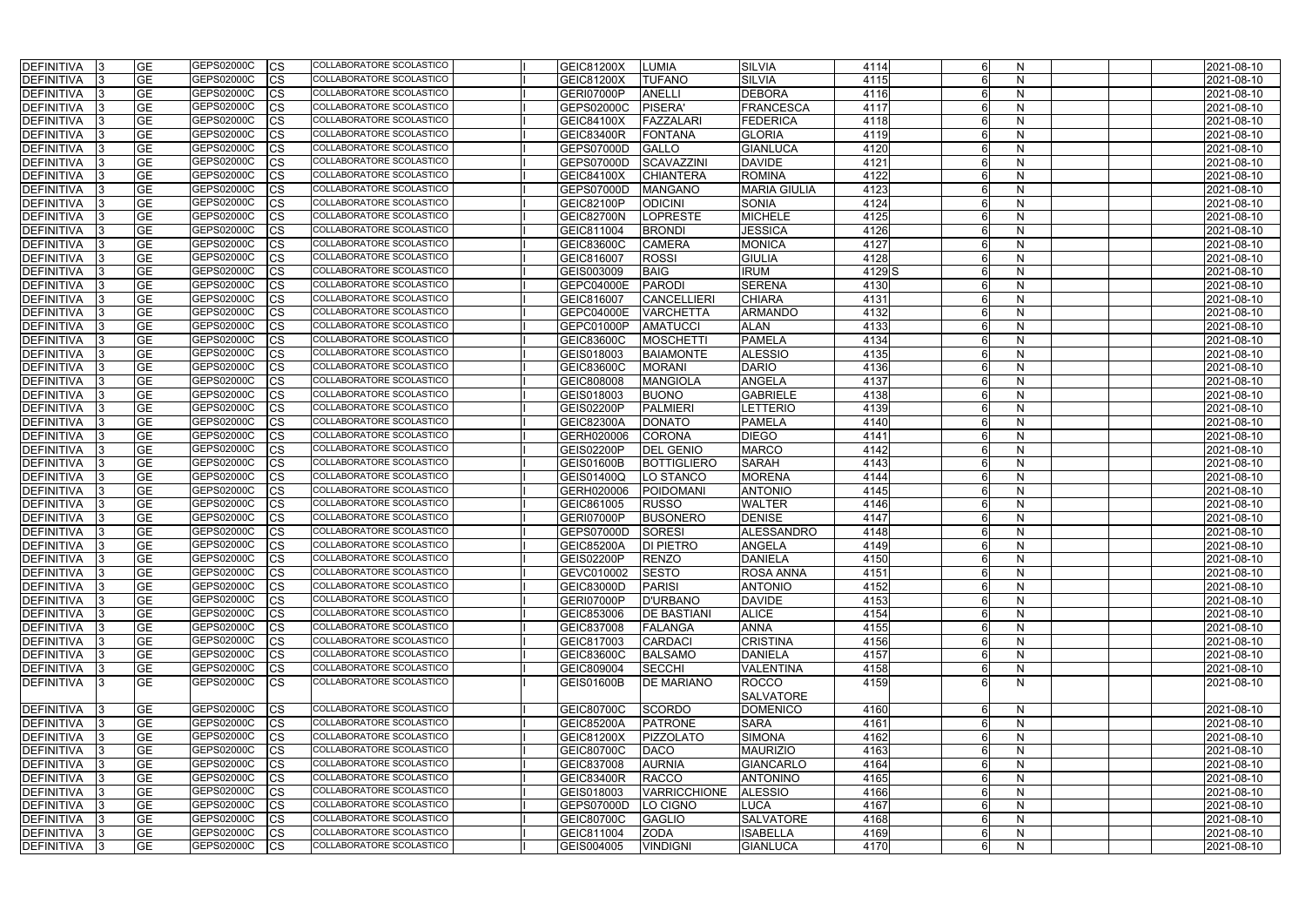| DEFINITIVA 3       | <b>GE</b>  | GEPS02000C        | <b>CS</b>  | COLLABORATORE SCOLASTICO        | <b>GEIC81200X</b> | LUMIA               | <b>SILVIA</b>       | 4114  |   | N            |  | 2021-08-10 |
|--------------------|------------|-------------------|------------|---------------------------------|-------------------|---------------------|---------------------|-------|---|--------------|--|------------|
| DEFINITIVA         | <b>GE</b>  | GEPS02000C        | <b>CS</b>  | COLLABORATORE SCOLASTICO        | GEIC81200X        | <b>TUFANO</b>       | <b>SILVIA</b>       | 4115  |   | N            |  | 2021-08-10 |
| DEFINITIVA         | <b>GE</b>  | GEPS02000C        | <b>CS</b>  | COLLABORATORE SCOLASTICO        | GERI07000P        | <b>ANELLI</b>       | <b>DEBORA</b>       | 4116  |   | N            |  | 2021-08-10 |
| DEFINITIVA         | <b>GE</b>  | GEPS02000C        | <b>CS</b>  | COLLABORATORE SCOLASTICO        | GEPS02000C        | <b>PISERA'</b>      | <b>FRANCESCA</b>    | 4117  |   | N            |  | 2021-08-10 |
| <b>DEFINITIVA</b>  | <b>GE</b>  | GEPS02000C        | <b>CS</b>  | COLLABORATORE SCOLASTICO        | <b>GEIC84100X</b> | FAZZALARI           | <b>FEDERICA</b>     | 4118  |   | N            |  | 2021-08-10 |
| DEFINITIVA         | <b>GE</b>  | GEPS02000C        | <b>CS</b>  | COLLABORATORE SCOLASTICO        | <b>GEIC83400R</b> | FONTANA             | <b>GLORIA</b>       | 4119  |   | N            |  | 2021-08-10 |
| DEFINITIVA         | <b>GE</b>  | GEPS02000C        | <b>CS</b>  | COLLABORATORE SCOLASTICO        | GEPS07000D        | <b>GALLO</b>        | <b>GIANLUCA</b>     | 4120  |   | N            |  | 2021-08-10 |
| <b>DEFINITIVA</b>  | <b>GE</b>  | GEPS02000C        | <b>CS</b>  | COLLABORATORE SCOLASTICO        | <b>GEPS07000D</b> | <b>SCAVAZZINI</b>   | <b>DAVIDE</b>       | 4121  |   | N            |  | 2021-08-10 |
| <b>DEFINITIVA</b>  | <b>GE</b>  | GEPS02000C        | <b>CS</b>  | COLLABORATORE SCOLASTICO        | <b>GEIC84100X</b> | <b>CHIANTERA</b>    | <b>ROMINA</b>       | 4122  |   | N            |  | 2021-08-10 |
| <b>DEFINITIVA</b>  | <b>GE</b>  | GEPS02000C        | <b>CS</b>  | COLLABORATORE SCOLASTICO        | <b>GEPS07000D</b> | <b>MANGANO</b>      | <b>MARIA GIULIA</b> | 4123  |   | N            |  | 2021-08-10 |
| <b>DEFINITIVA</b>  | <b>GE</b>  | GEPS02000C        | <b>CS</b>  | <b>COLLABORATORE SCOLASTICO</b> | <b>GEIC82100P</b> | <b>ODICINI</b>      | <b>SONIA</b>        | 4124  |   | N            |  | 2021-08-10 |
| DEFINITIVA         | <b>GE</b>  | GEPS02000C        | <b>CS</b>  | COLLABORATORE SCOLASTICO        | <b>GEIC82700N</b> | LOPRESTE            | <b>MICHELE</b>      | 4125  |   | <sub>N</sub> |  | 2021-08-10 |
| DEFINITIVA         | <b>GE</b>  | GEPS02000C        | <b>CS</b>  | COLLABORATORE SCOLASTICO        | GEIC811004        | <b>BRONDI</b>       | <b>JESSICA</b>      | 4126  |   | N            |  | 2021-08-10 |
| <b>DEFINITIVA</b>  | <b>GE</b>  | GEPS02000C        | <b>CS</b>  | COLLABORATORE SCOLASTICO        | GEIC83600C        | <b>CAMERA</b>       | <b>MONICA</b>       | 4127  |   | N            |  | 2021-08-10 |
| DEFINITIVA         | <b>GE</b>  | GEPS02000C        | <b>CS</b>  | COLLABORATORE SCOLASTICO        | GEIC816007        | <b>ROSSI</b>        | <b>GIULIA</b>       | 4128  |   | N            |  | 2021-08-10 |
| DEFINITIVA         | <b>GE</b>  | GEPS02000C        | <b>CS</b>  | COLLABORATORE SCOLASTICO        | GEIS003009        | <b>BAIG</b>         | <b>IRUM</b>         | 4129S |   | N            |  | 2021-08-10 |
| DEFINITIVA         | <b>GE</b>  | GEPS02000C        | <b>CS</b>  | COLLABORATORE SCOLASTICO        | GEPC04000E        | PARODI              | <b>SERENA</b>       | 4130  |   | N            |  | 2021-08-10 |
| <b>DEFINITIVA</b>  | <b>GE</b>  | GEPS02000C        | <b>CS</b>  | COLLABORATORE SCOLASTICO        | GEIC816007        | <b>CANCELLIERI</b>  | <b>CHIARA</b>       | 4131  |   | <sub>N</sub> |  | 2021-08-10 |
| <b>DEFINITIVA</b>  | <b>GE</b>  | GEPS02000C        | <b>CS</b>  | COLLABORATORE SCOLASTICO        | GEPC04000E        | <b>VARCHETTA</b>    | <b>ARMANDO</b>      | 4132  |   | N            |  | 2021-08-10 |
| DEFINITIVA         | <b>GE</b>  | GEPS02000C        | <b>CS</b>  | COLLABORATORE SCOLASTICO        | GEPC01000P        | <b>AMATUCCI</b>     | <b>ALAN</b>         | 4133  |   | N            |  | 2021-08-10 |
| <b>DEFINITIVA</b>  | <b>GE</b>  | GEPS02000C        | <b>CS</b>  | COLLABORATORE SCOLASTICO        | <b>GEIC83600C</b> | <b>MOSCHETTI</b>    | <b>PAMELA</b>       | 4134  |   | N            |  | 2021-08-10 |
| DEFINITIVA         | <b>GE</b>  | GEPS02000C        | <b>CS</b>  | <b>COLLABORATORE SCOLASTICO</b> | GEIS018003        | <b>BAIAMONTE</b>    | <b>ALESSIO</b>      | 4135  |   | N            |  | 2021-08-10 |
| <b>DEFINITIVA</b>  | <b>GE</b>  | <b>GEPS02000C</b> | <b>CS</b>  | COLLABORATORE SCOLASTICO        | <b>GEIC83600C</b> | <b>MORANI</b>       | <b>DARIO</b>        | 4136  |   | $\mathsf{N}$ |  | 2021-08-10 |
| <b>DEFINITIVA</b>  | <b>GE</b>  | GEPS02000C        | <b>CS</b>  | COLLABORATORE SCOLASTICO        | GEIC808008        | MANGIOLA            | <b>ANGELA</b>       | 4137  |   | N            |  | 2021-08-10 |
| DEFINITIVA         | <b>GE</b>  | GEPS02000C        | <b>CS</b>  | COLLABORATORE SCOLASTICO        | GEIS018003        | <b>BUONO</b>        | <b>GABRIELE</b>     | 4138  |   | N            |  | 2021-08-10 |
| <b>DEFINITIVA</b>  | <b>GE</b>  | GEPS02000C        | <b>CS</b>  | COLLABORATORE SCOLASTICO        | <b>GEIS02200P</b> | PALMIERI            | <b>LETTERIO</b>     | 4139  |   | $\mathsf{N}$ |  | 2021-08-10 |
| DEFINITIVA         | <b>GE</b>  | GEPS02000C        | <b>CS</b>  | COLLABORATORE SCOLASTICO        | <b>GEIC82300A</b> | <b>DONATO</b>       | <b>PAMELA</b>       | 4140  |   | N            |  | 2021-08-10 |
| DEFINITIVA         | <b>GE</b>  | GEPS02000C        | <b>CS</b>  | COLLABORATORE SCOLASTICO        | GERH020006        | <b>CORONA</b>       | <b>DIEGO</b>        | 4141  |   | N            |  | 2021-08-10 |
| DEFINITIVA         | <b>GE</b>  | GEPS02000C        | <b>CS</b>  | COLLABORATORE SCOLASTICO        | GEIS02200P        | <b>DEL GENIO</b>    | <b>MARCO</b>        | 4142  |   | N            |  | 2021-08-10 |
| <b>DEFINITIVA</b>  | <b>GE</b>  | GEPS02000C        | <b>CS</b>  | COLLABORATORE SCOLASTICO        | <b>GEIS01600B</b> | <b>BOTTIGLIERO</b>  | <b>SARAH</b>        | 4143  |   | N            |  | 2021-08-10 |
| DEFINITIVA         | <b>GE</b>  | GEPS02000C        | <b>CS</b>  | COLLABORATORE SCOLASTICO        | GEIS01400Q        | LO STANCO           | <b>MORENA</b>       | 4144  |   | N            |  | 2021-08-10 |
| <b>IDEFINITIVA</b> | <b>GE</b>  | GEPS02000C        | <b>CS</b>  | <b>COLLABORATORE SCOLASTICO</b> | GERH020006        | POIDOMANI           | <b>ANTONIO</b>      | 4145  |   | N            |  | 2021-08-10 |
| DEFINITIVA         | <b>GE</b>  | GEPS02000C        | <b>CS</b>  | <b>COLLABORATORE SCOLASTICO</b> | GEIC861005        | <b>RUSSO</b>        | <b>WALTER</b>       | 4146  |   | N            |  | 2021-08-10 |
| <b>DEFINITIVA</b>  | <b>GE</b>  | GEPS02000C        | <b>CS</b>  | COLLABORATORE SCOLASTICO        | <b>GERI07000P</b> | <b>BUSONERO</b>     | <b>DENISE</b>       | 4147  |   | N            |  | 2021-08-10 |
| DEFINITIVA         | <b>GE</b>  | GEPS02000C        | <b>CS</b>  | COLLABORATORE SCOLASTICO        | GEPS07000D        | SORESI              | <b>ALESSANDRO</b>   | 4148  |   | N            |  | 2021-08-10 |
| <b>DEFINITIVA</b>  | <b>IGE</b> | GEPS02000C        | <b>CS</b>  | COLLABORATORE SCOLASTICO        | <b>GEIC85200A</b> | <b>DI PIETRO</b>    | <b>ANGELA</b>       | 4149  |   | N            |  | 2021-08-10 |
| DEFINITIVA  3      | <b>GE</b>  | GEPS02000C        | <b>CS</b>  | COLLABORATORE SCOLASTICO        | <b>GEIS02200P</b> | <b>RENZO</b>        | <b>DANIELA</b>      | 4150  |   | <sub>N</sub> |  | 2021-08-10 |
| DEFINITIVA 3       | <b>GE</b>  | GEPS02000C        | <b>CS</b>  | COLLABORATORE SCOLASTICO        | GEVC010002        | <b>SESTO</b>        | <b>ROSA ANNA</b>    | 4151  |   | N            |  | 2021-08-10 |
| DEFINITIVA 3       | <b>GE</b>  | GEPS02000C        | <b>CS</b>  | COLLABORATORE SCOLASTICO        | <b>GEIC83000D</b> | <b>PARISI</b>       | <b>ANTONIO</b>      | 4152  |   | $\mathsf{N}$ |  | 2021-08-10 |
| DEFINITIVA         | <b>GE</b>  | GEPS02000C        | <b>CS</b>  | COLLABORATORE SCOLASTICO        | GERI07000P        | D'URBANO            | <b>DAVIDE</b>       | 4153  |   | N            |  | 2021-08-10 |
| DEFINITIVA 3       | <b>GE</b>  | GEPS02000C        | <b>CS</b>  | COLLABORATORE SCOLASTICO        | GEIC853006        | <b>DE BASTIANI</b>  | <b>ALICE</b>        | 4154  |   | N            |  | 2021-08-10 |
| DEFINITIVA         | <b>GE</b>  | GEPS02000C        | <b>CS</b>  | COLLABORATORE SCOLASTICO        | GEIC837008        | FALANGA             | <b>ANNA</b>         | 4155  |   | N            |  | 2021-08-10 |
| DEFINITIVA         | <b>GE</b>  | GEPS02000C        | <b>CS</b>  | COLLABORATORE SCOLASTICO        | GEIC817003        | <b>CARDACI</b>      | <b>CRISTINA</b>     | 4156  |   | N            |  | 2021-08-10 |
| DEFINITIVA<br>-13  | <b>GE</b>  | GEPS02000C        | <b>CS</b>  | COLLABORATORE SCOLASTICO        | GEIC83600C        | BALSAMO             | <b>DANIELA</b>      | 4157  |   | N            |  | 2021-08-10 |
| DEFINITIVA         | <b>GE</b>  | GEPS02000C        | <b>CS</b>  | COLLABORATORE SCOLASTICO        | GEIC809004        | <b>SECCHI</b>       | <b>VALENTINA</b>    | 4158  |   | N            |  | 2021-08-10 |
| <b>DEFINITIVA</b>  | <b>GE</b>  | GEPS02000C        | <b>CS</b>  | COLLABORATORE SCOLASTICO        | <b>GEIS01600B</b> | <b>DE MARIANO</b>   | <b>ROCCO</b>        | 4159  |   | N            |  | 2021-08-10 |
|                    |            |                   |            |                                 |                   |                     | <b>SALVATORE</b>    |       |   |              |  |            |
| DEFINITIVA 3       | <b>GE</b>  | GEPS02000C        | <b>CS</b>  | COLLABORATORE SCOLASTICO        | GEIC80700C        | SCORDO              | <b>DOMENICO</b>     | 4160  |   | N            |  | 2021-08-10 |
| DEFINITIVA<br>- 13 | <b>GE</b>  | GEPS02000C        | <b>CS</b>  | COLLABORATORE SCOLASTICO        | <b>GEIC85200A</b> | PATRONE             | <b>SARA</b>         | 4161  |   | N            |  | 2021-08-10 |
| DEFINITIVA  3      | <b>GE</b>  | GEPS02000C        | <b>CS</b>  | COLLABORATORE SCOLASTICO        | <b>GEIC81200X</b> | PIZZOLATO           | <b>SIMONA</b>       | 4162  |   | N            |  | 2021-08-10 |
| DEFINITIVA  3      | <b>GE</b>  | GEPS02000C        | <b>CS</b>  | COLLABORATORE SCOLASTICO        | <b>GEIC80700C</b> | <b>DACO</b>         | <b>MAURIZIO</b>     | 4163  |   | N            |  | 2021-08-10 |
| DEFINITIVA         | <b>GE</b>  | GEPS02000C        | <b>CS</b>  | COLLABORATORE SCOLASTICO        | GEIC837008        | <b>AURNIA</b>       | <b>GIANCARLO</b>    | 4164  |   | N            |  | 2021-08-10 |
| DEFINITIVA         | <b>GE</b>  | GEPS02000C        | <b>CS</b>  | COLLABORATORE SCOLASTICO        | GEIC83400R        | RACCO               | <b>ANTONINO</b>     | 4165  |   | N            |  | 2021-08-10 |
| DEFINITIVA 3       | <b>GE</b>  | GEPS02000C        | <b>CS</b>  | COLLABORATORE SCOLASTICO        | GEIS018003        | <b>VARRICCHIONE</b> | <b>ALESSIO</b>      | 4166  |   | N            |  | 2021-08-10 |
| DEFINITIVA 3       | <b>GE</b>  | GEPS02000C        | <b>CS</b>  | COLLABORATORE SCOLASTICO        | GEPS07000D        | LO CIGNO            | <b>LUCA</b>         | 4167  |   | N            |  | 2021-08-10 |
| DEFINITIVA 3       | <b>GE</b>  | GEPS02000C        | <b>CS</b>  | COLLABORATORE SCOLASTICO        | GEIC80700C        | <b>GAGLIO</b>       | <b>SALVATORE</b>    | 4168  |   | N            |  | 2021-08-10 |
| DEFINITIVA 3       | <b>GE</b>  | GEPS02000C        | <b>ICS</b> | COLLABORATORE SCOLASTICO        | GEIC811004        | <b>ZODA</b>         | <b>ISABELLA</b>     | 4169  | 6 | N            |  | 2021-08-10 |
| DEFINITIVA 3       | <b>GE</b>  | GEPS02000C        | <b>CS</b>  | COLLABORATORE SCOLASTICO        | GEIS004005        | <b>VINDIGNI</b>     | <b>GIANLUCA</b>     | 4170  | 6 | N            |  | 2021-08-10 |
|                    |            |                   |            |                                 |                   |                     |                     |       |   |              |  |            |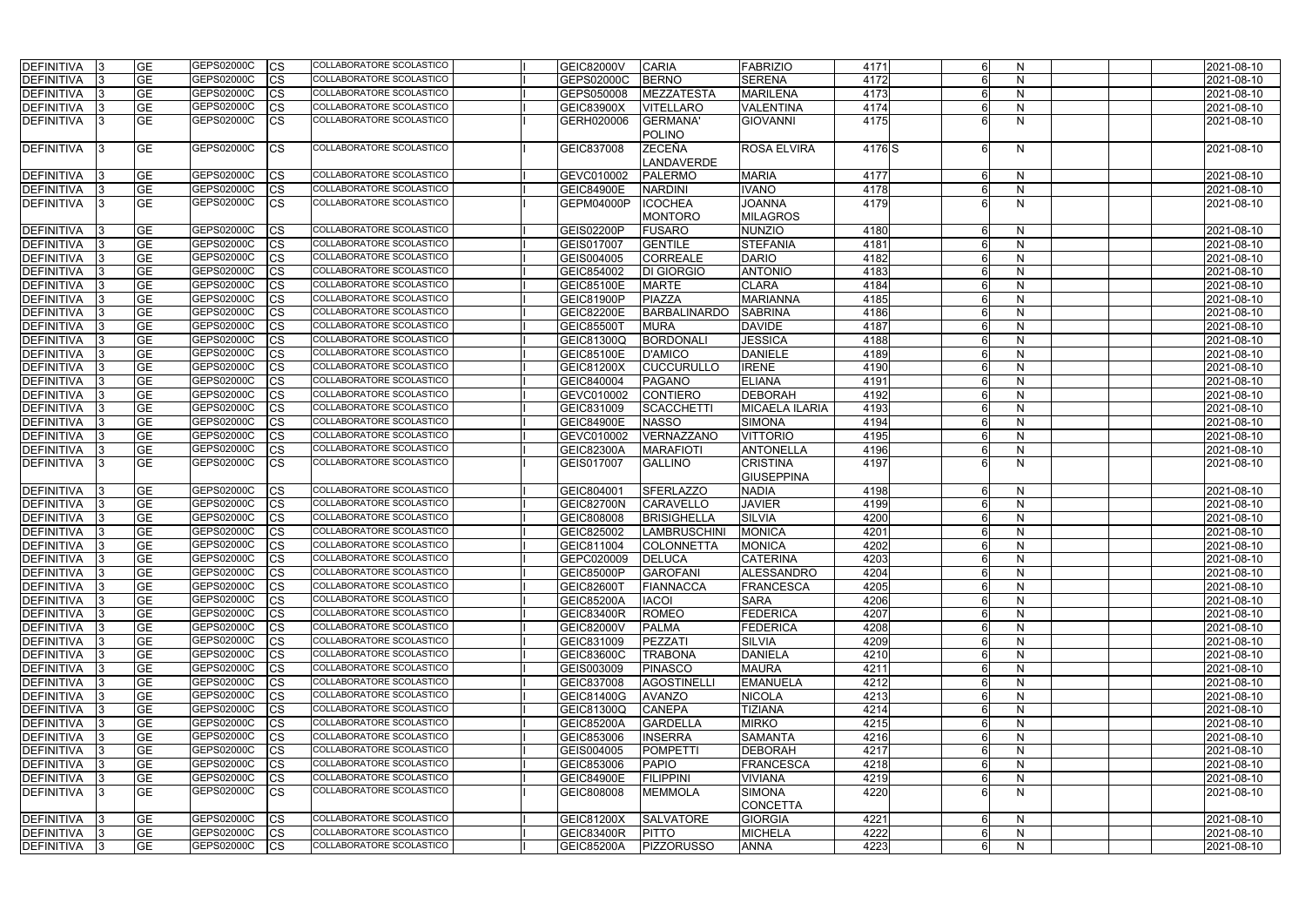| <b>DEFINITIVA</b> | <b>GE</b>       | GEPS02000C<br>CS          | COLLABORATORE SCOLASTICO        | <b>GEIC82000V</b> | <b>CARIA</b>        | <b>FABRIZIO</b>       | 4171      | N  | 2021-08-10 |
|-------------------|-----------------|---------------------------|---------------------------------|-------------------|---------------------|-----------------------|-----------|----|------------|
| <b>DEFINITIVA</b> | <b>GE</b>       | GEPS02000C<br>CS          | COLLABORATORE SCOLASTICO        | GEPS02000C        | <b>BERNO</b>        | <b>SERENA</b>         | 4172      | N  | 2021-08-10 |
| <b>DEFINITIVA</b> | <b>GE</b>       | GEPS02000C<br>СS          | COLLABORATORE SCOLASTICO        | GEPS050008        | <b>MEZZATESTA</b>   | <b>MARILENA</b>       | 4173      | N  | 2021-08-10 |
| <b>DEFINITIVA</b> | <b>GE</b>       | GEPS02000C<br>СS          | COLLABORATORE SCOLASTICO        | <b>GEIC83900X</b> | <b>VITELLARO</b>    | <b>VALENTINA</b>      | 4174      | N  | 2021-08-10 |
| DEFINITIVA        | <b>GE</b>       | GEPS02000C<br><b>CS</b>   | COLLABORATORE SCOLASTICO        | GERH020006        | <b>GERMANA'</b>     | <b>GIOVANNI</b>       | 4175      | N  | 2021-08-10 |
|                   |                 |                           |                                 |                   | <b>POLINO</b>       |                       |           |    |            |
| <b>DEFINITIVA</b> | <b>GE</b>       | GEPS02000C<br><b>CS</b>   | COLLABORATORE SCOLASTICO        | GEIC837008        | <b>ZECEÑA</b>       | <b>ROSA ELVIRA</b>    | 4176S     | N  | 2021-08-10 |
|                   |                 |                           |                                 |                   | LANDAVERDE          |                       |           |    |            |
| <b>DEFINITIVA</b> | <b>GE</b>       | GEPS02000C<br>CS          | COLLABORATORE SCOLASTICO        | GEVC010002        | PALERMO             | <b>MARIA</b>          | 4177      | N. | 2021-08-10 |
| <b>DEFINITIVA</b> | <b>GE</b>       | GEPS02000C<br>CS          | COLLABORATORE SCOLASTICO        | <b>GEIC84900E</b> | NARDINI             | <b>IVANO</b>          | 4178      | N  | 2021-08-10 |
| <b>DEFINITIVA</b> | <b>GE</b>       | GEPS02000C<br><b>CS</b>   | COLLABORATORE SCOLASTICO        | <b>GEPM04000P</b> | <b>ICOCHEA</b>      | <b>JOANNA</b>         | 4179      | N  | 2021-08-10 |
|                   |                 |                           |                                 |                   | <b>MONTORO</b>      | <b>MILAGROS</b>       |           |    |            |
| <b>DEFINITIVA</b> | <b>GE</b>       | GEPS02000C<br>CS          | COLLABORATORE SCOLASTICO        | <b>GEIS02200P</b> | <b>FUSARO</b>       | <b>NUNZIO</b>         | 4180      | N  | 2021-08-10 |
| <b>DEFINITIVA</b> | $\overline{GE}$ | GEPS02000C<br>СS          | COLLABORATORE SCOLASTICO        | GEIS017007        | <b>GENTILE</b>      | <b>STEFANIA</b>       | 4181      | N  | 2021-08-10 |
| <b>DEFINITIVA</b> | <b>GE</b>       | GEPS02000C<br>СS          | COLLABORATORE SCOLASTICO        | GEIS004005        | <b>CORREALE</b>     | <b>DARIO</b>          | 4182      | N  | 2021-08-10 |
| <b>DEFINITIVA</b> | <b>GE</b>       | GEPS02000C<br>СS          | COLLABORATORE SCOLASTICO        | GEIC854002        | <b>DI GIORGIO</b>   | <b>ANTONIO</b>        | 4183      | N  | 2021-08-10 |
| <b>DEFINITIVA</b> | <b>GE</b>       | GEPS02000C<br>CS          | COLLABORATORE SCOLASTICO        | <b>GEIC85100E</b> | <b>MARTE</b>        | <b>CLARA</b>          | 4184      | N  | 2021-08-10 |
| <b>DEFINITIVA</b> | <b>GE</b>       | GEPS02000C<br>СS          | COLLABORATORE SCOLASTICO        | GEIC81900P        | PIAZZA              | <b>MARIANNA</b>       | 4185      | N  | 2021-08-10 |
| <b>DEFINITIVA</b> | <b>GE</b>       | GEPS02000C<br>CS          | <b>COLLABORATORE SCOLASTICO</b> | <b>GEIC82200E</b> | <b>BARBALINARDO</b> | <b>SABRINA</b>        | 4186      | N  | 2021-08-10 |
| <b>DEFINITIVA</b> | <b>GE</b>       | GEPS02000C<br>CS          | COLLABORATORE SCOLASTICO        | <b>GEIC85500T</b> | <b>MURA</b>         | <b>DAVIDE</b>         | 4187      | N  | 2021-08-10 |
| <b>DEFINITIVA</b> | <b>GE</b>       | GEPS02000C<br>СS          | COLLABORATORE SCOLASTICO        | <b>GEIC81300Q</b> | <b>BORDONALI</b>    | <b>JESSICA</b>        | 4188      | N  | 2021-08-10 |
| <b>DEFINITIVA</b> | <b>GE</b>       | GEPS02000C<br>СS          | COLLABORATORE SCOLASTICO        | <b>GEIC85100E</b> | <b>D'AMICO</b>      | <b>DANIELE</b>        | 4189      | N  | 2021-08-10 |
| <b>DEFINITIVA</b> | <b>GE</b>       | GEPS02000C<br>CS          | <b>COLLABORATORE SCOLASTICO</b> | <b>GEIC81200X</b> | <b>CUCCURULLO</b>   | <b>IRENE</b>          | 4190      | N  | 2021-08-10 |
| <b>DEFINITIVA</b> | <b>GE</b>       | GEPS02000C<br>CS          | COLLABORATORE SCOLASTICO        | GEIC840004        | <b>PAGANO</b>       | <b>ELIANA</b>         | 4191      | N  | 2021-08-10 |
| <b>DEFINITIVA</b> | <b>GE</b>       | GEPS02000C<br>CS          | COLLABORATORE SCOLASTICO        | GEVC010002        | <b>CONTIERO</b>     | <b>DEBORAH</b>        | 4192      | N  | 2021-08-10 |
| <b>DEFINITIVA</b> | <b>GE</b>       | GEPS02000C<br>CS          | COLLABORATORE SCOLASTICO        | GEIC831009        | <b>SCACCHETTI</b>   | <b>MICAELA ILARIA</b> | 4193      | N  | 2021-08-10 |
| <b>DEFINITIVA</b> | <b>GE</b>       | GEPS02000C<br>CS          | COLLABORATORE SCOLASTICO        | <b>GEIC84900E</b> | <b>NASSO</b>        | <b>SIMONA</b>         | 4194      | N  | 2021-08-10 |
| <b>DEFINITIVA</b> | <b>GE</b>       | GEPS02000C<br>СS          | COLLABORATORE SCOLASTICO        | GEVC010002        | VERNAZZANO          | <b>VITTORIO</b>       | 4195      | N  | 2021-08-10 |
| <b>DEFINITIVA</b> | <b>GE</b>       | GEPS02000C<br>CS          | COLLABORATORE SCOLASTICO        | <b>GEIC82300A</b> | <b>MARAFIOTI</b>    | <b>ANTONELLA</b>      | 4196      | N  | 2021-08-10 |
| <b>DEFINITIVA</b> | <b>GE</b>       | GEPS02000C<br><b>CS</b>   | COLLABORATORE SCOLASTICO        | GEIS017007        | <b>GALLINO</b>      | <b>CRISTINA</b>       | 4197      | N  | 2021-08-10 |
|                   |                 |                           |                                 |                   |                     | <b>GIUSEPPINA</b>     |           |    |            |
| <b>DEFINITIVA</b> | <b>GE</b>       | GEPS02000C<br>CS          | COLLABORATORE SCOLASTICO        | GEIC804001        | <b>SFERLAZZO</b>    | <b>NADIA</b>          | 4198      | N  | 2021-08-10 |
| DEFINITIVA        | <b>GE</b>       | GEPS02000C<br>CS          | <b>COLLABORATORE SCOLASTICO</b> | <b>GEIC82700N</b> | <b>CARAVELLO</b>    | <b>JAVIER</b>         | 4199      | N  | 2021-08-10 |
| <b>DEFINITIVA</b> | <b>GE</b>       | GEPS02000C<br>СS          | COLLABORATORE SCOLASTICO        | GEIC808008        | <b>BRISIGHELLA</b>  | <b>SILVIA</b>         | 4200      | N  | 2021-08-10 |
| <b>DEFINITIVA</b> | $\overline{GE}$ | GEPS02000C<br>СS          | <b>COLLABORATORE SCOLASTICO</b> | GEIC825002        | LAMBRUSCHINI        | <b>MONICA</b>         | 4201      | N  | 2021-08-10 |
| <b>DEFINITIVA</b> | <b>GE</b>       | GEPS02000C<br><b>I</b> CS | COLLABORATORE SCOLASTICO        | GEIC811004        | COLONNETTA          | <b>MONICA</b>         | 4202      | N  | 2021-08-10 |
| <b>DEFINITIVA</b> | <b>GE</b>       | GEPS02000C<br><b>CS</b>   | <b>COLLABORATORE SCOLASTICO</b> | GEPC020009        | <b>DELUCA</b>       | <b>CATERINA</b>       | 4203      | N  | 2021-08-10 |
| <b>DEFINITIVA</b> | <b>GE</b>       | GEPS02000C<br><b>CS</b>   | COLLABORATORE SCOLASTICO        | GEIC85000P        | <b>GAROFANI</b>     | <b>ALESSANDRO</b>     | 4204      | N  | 2021-08-10 |
| DEFINITIVA        | <b>GE</b>       | GEPS02000C<br><b>CS</b>   | COLLABORATORE SCOLASTICO        | GEIC82600T        | FIANNACCA           | <b>FRANCESCA</b>      | 4205      | N  | 2021-08-10 |
| DEFINITIVA        | <b>GE</b>       | GEPS02000C<br>СS          | <b>COLLABORATORE SCOLASTICO</b> | <b>GEIC85200A</b> | <b>IACOI</b>        | <b>SARA</b>           | 4206      | N  | 2021-08-10 |
| DEFINITIVA        | <b>GE</b>       | GEPS02000C<br>CS          | COLLABORATORE SCOLASTICO        | <b>GEIC83400R</b> | <b>ROMEO</b>        | <b>FEDERICA</b>       | 4207      | N  | 2021-08-10 |
| DEFINITIVA        | <b>GE</b>       | GEPS02000C<br><b>CS</b>   | COLLABORATORE SCOLASTICO        | <b>GEIC82000V</b> | <b>PALMA</b>        | <b>FEDERICA</b>       | 4208      | N  | 2021-08-10 |
| <b>DEFINITIVA</b> | <b>GE</b>       | GEPS02000C<br><b>CS</b>   | COLLABORATORE SCOLASTICO        | GEIC831009        | PEZZATI             | <b>SILVIA</b>         | 4209      | N  | 2021-08-10 |
| <b>DEFINITIVA</b> | <b>GE</b>       | GEPS02000C<br><b>CS</b>   | COLLABORATORE SCOLASTICO        | <b>GEIC83600C</b> | <b>TRABONA</b>      | <b>DANIELA</b>        | 4210      | N  | 2021-08-10 |
| <b>DEFINITIVA</b> | <b>GE</b>       | GEPS02000C<br><b>CS</b>   | COLLABORATORE SCOLASTICO        | GEIS003009        | PINASCO             | <b>MAURA</b>          | 4211      | N  | 2021-08-10 |
| <b>DEFINITIVA</b> | <b>GE</b>       | GEPS02000C<br><b>CS</b>   | COLLABORATORE SCOLASTICO        | GEIC837008        | <b>AGOSTINELLI</b>  | <b>EMANUELA</b>       | 4212      | N  | 2021-08-10 |
| <b>DEFINITIVA</b> | <b>GE</b>       | GEPS02000C<br><b>CS</b>   | COLLABORATORE SCOLASTICO        | <b>GEIC81400G</b> | <b>AVANZO</b>       | <b>NICOLA</b>         | 4213      | N  | 2021-08-10 |
| <b>DEFINITIVA</b> | <b>GE</b>       | GEPS02000C<br><b>CS</b>   | COLLABORATORE SCOLASTICO        | <b>GEIC81300Q</b> | <b>CANEPA</b>       | <b>TIZIANA</b>        | 4214      | N  | 2021-08-10 |
| <b>DEFINITIVA</b> | <b>GE</b>       | GEPS02000C<br><b>CS</b>   | COLLABORATORE SCOLASTICO        | <b>GEIC85200A</b> | GARDELLA            | <b>MIRKO</b>          | 4215      | N  | 2021-08-10 |
| <b>DEFINITIVA</b> | <b>GE</b>       | GEPS02000C<br>CS          | COLLABORATORE SCOLASTICO        | GEIC853006        | <b>INSERRA</b>      | <b>SAMANTA</b>        | 4216      | N  | 2021-08-10 |
| DEFINITIVA        | <b>GE</b>       | GEPS02000C<br>CS          | COLLABORATORE SCOLASTICO        | GEIS004005        | POMPETTI            | <b>DEBORAH</b>        | 4217      | N  | 2021-08-10 |
| DEFINITIVA        | <b>GE</b>       | GEPS02000C<br>СS          | COLLABORATORE SCOLASTICO        | GEIC853006        | PAPIO               | <b>FRANCESCA</b>      | 4218      | N  | 2021-08-10 |
| DEFINITIVA        | <b>GE</b>       | GEPS02000C<br>СS          | COLLABORATORE SCOLASTICO        | GEIC84900E        | <b>FILIPPINI</b>    | <b>VIVIANA</b>        | 4219      | N  | 2021-08-10 |
| <b>DEFINITIVA</b> | <b>GE</b>       | GEPS02000C<br><b>CS</b>   | COLLABORATORE SCOLASTICO        | GEIC808008        | <b>MEMMOLA</b>      | <b>SIMONA</b>         | 4220      | N  | 2021-08-10 |
|                   |                 |                           |                                 |                   |                     | <b>CONCETTA</b>       |           |    |            |
| <b>DEFINITIVA</b> | <b>GE</b>       | GEPS02000C<br><b>CS</b>   | COLLABORATORE SCOLASTICO        | <b>GEIC81200X</b> | <b>SALVATORE</b>    | <b>GIORGIA</b>        | 4221      | N  | 2021-08-10 |
| <b>DEFINITIVA</b> | <b>GE</b>       | GEPS02000C<br><b>CS</b>   | COLLABORATORE SCOLASTICO        | GEIC83400R        | <b>PITTO</b>        | <b>MICHELA</b>        | 4222<br>ĥ | N  | 2021-08-10 |
| DEFINITIVA        | <b>GE</b>       | GEPS02000C<br><b>CS</b>   | COLLABORATORE SCOLASTICO        | GEIC85200A        | <b>PIZZORUSSO</b>   | <b>ANNA</b>           | 4223<br>6 | N  | 2021-08-10 |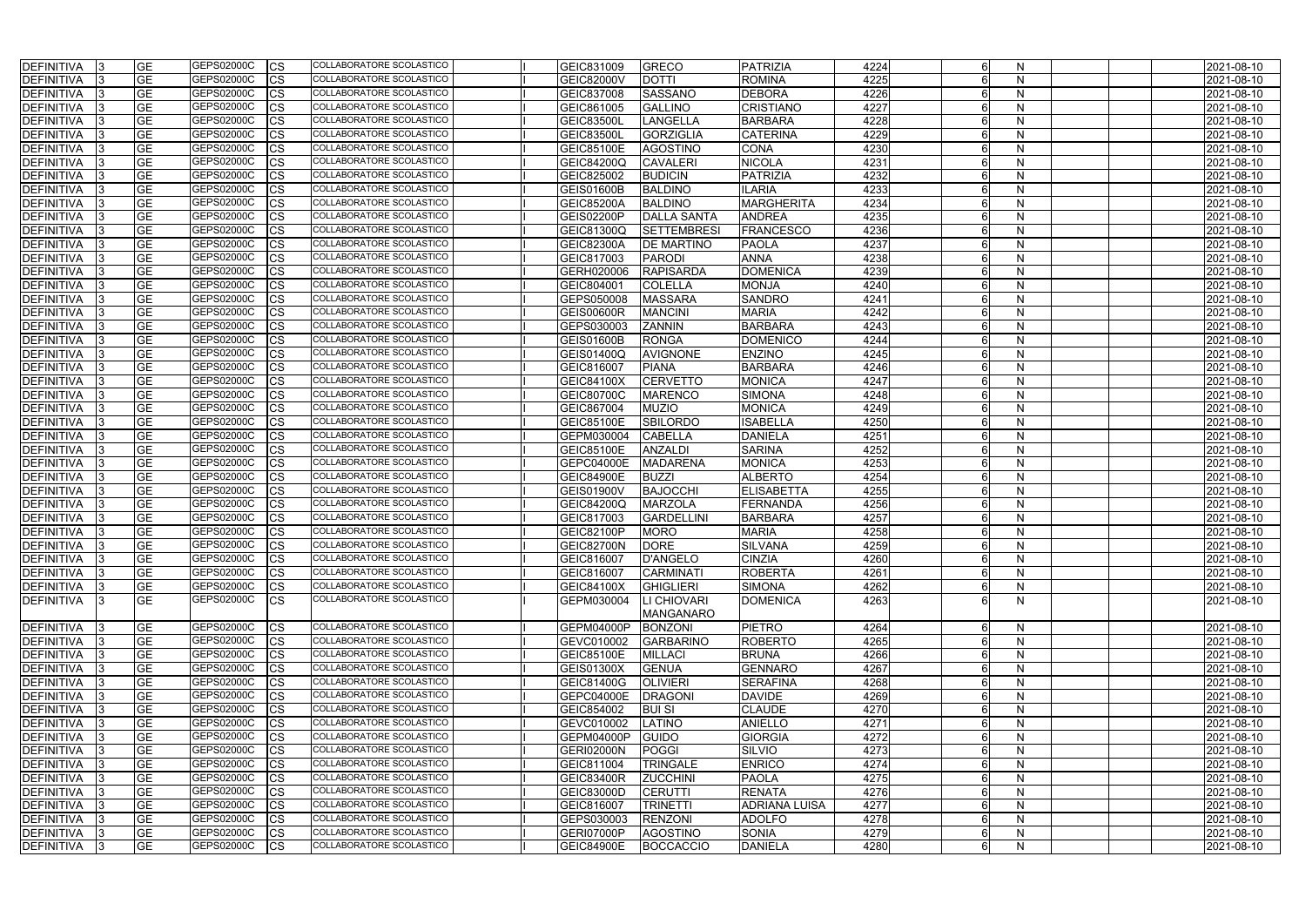| <b>DEFINITIVA</b> | GE                       | GEPS02000C | <b>CS</b>  | COLLABORATORE SCOLASTICO        | GEIC831009        | GRECO              | PATRIZIA             | 4224 |            | N  |  | 2021-08-10 |
|-------------------|--------------------------|------------|------------|---------------------------------|-------------------|--------------------|----------------------|------|------------|----|--|------------|
| <b>DEFINITIVA</b> | GE                       | GEPS02000C | CS         | COLLABORATORE SCOLASTICO        | GEIC82000V        | <b>DOTTI</b>       | <b>ROMINA</b>        | 4225 |            | N  |  | 2021-08-10 |
| DEFINITIVA        | GE                       | GEPS02000C | CS         | COLLABORATORE SCOLASTICO        | GEIC837008        | <b>SASSANO</b>     | <b>DEBORA</b>        | 4226 |            | N  |  | 2021-08-10 |
| <b>DEFINITIVA</b> | GЕ                       | GEPS02000C | CS         | COLLABORATORE SCOLASTICO        | GEIC861005        | <b>GALLINO</b>     | <b>CRISTIANO</b>     | 4227 |            | N  |  | 2021-08-10 |
| <b>DEFINITIVA</b> | GE                       | GEPS02000C | <b>CS</b>  | COLLABORATORE SCOLASTICO        | <b>GEIC83500I</b> | LANGELLA           | <b>BARBARA</b>       | 4228 |            | N  |  | 2021-08-10 |
| <b>DEFINITIVA</b> | GE                       | GEPS02000C | CS         | COLLABORATORE SCOLASTICO        | <b>GEIC83500I</b> | GORZIGLIA          | <b>CATERINA</b>      | 4229 |            | N  |  | 2021-08-10 |
| DEFINITIVA        | GЕ                       | GEPS02000C | CS         | COLLABORATORE SCOLASTICO        | <b>GEIC85100E</b> | AGOSTINO           | <b>CONA</b>          | 4230 |            | N  |  | 2021-08-10 |
| DEFINITIVA        | GE                       | GEPS02000C | <b>CS</b>  | COLLABORATORE SCOLASTICO        | GEIC84200Q        | <b>CAVALERI</b>    | <b>NICOLA</b>        | 4231 |            | N  |  | 2021-08-10 |
| <b>DEFINITIVA</b> | <b>GE</b>                | GEPS02000C | <b>CS</b>  | COLLABORATORE SCOLASTICO        | GEIC825002        | <b>BUDICIN</b>     | PATRIZIA             | 4232 |            | N  |  | 2021-08-10 |
| <b>DEFINITIVA</b> | GЕ                       | GEPS02000C | CS         | COLLABORATORE SCOLASTICO        | <b>GEIS01600B</b> | <b>BALDINO</b>     | <b>ILARIA</b>        | 4233 |            | N  |  | 2021-08-10 |
| <b>DEFINITIVA</b> | GE                       | GEPS02000C | CS         | COLLABORATORE SCOLASTICO        | <b>GEIC85200A</b> | <b>BALDINO</b>     | MARGHERITA           | 4234 |            | N  |  | 2021-08-10 |
| <b>DEFINITIVA</b> | GE                       | GEPS02000C | CS         | <b>COLLABORATORE SCOLASTICO</b> | <b>GEIS02200P</b> | <b>DALLA SANTA</b> | <b>ANDREA</b>        | 4235 |            | N  |  | 2021-08-10 |
| <b>DEFINITIVA</b> | GЕ                       | GEPS02000C | CS         | COLLABORATORE SCOLASTICO        | GEIC81300Q        | SETTEMBRESI        | <b>FRANCESCO</b>     | 4236 |            | N  |  | 2021-08-10 |
| <b>DEFINITIVA</b> | $\overline{\mathsf{GE}}$ | GEPS02000C | CS         | COLLABORATORE SCOLASTICO        | <b>GEIC82300A</b> | <b>DE MARTINO</b>  | <b>PAOLA</b>         | 4237 |            | N  |  | 2021-08-10 |
| <b>DEFINITIVA</b> | GE                       | GEPS02000C | <b>CS</b>  | COLLABORATORE SCOLASTICO        | GEIC817003        | <b>PARODI</b>      | <b>ANNA</b>          | 4238 |            | N  |  | 2021-08-10 |
| <b>DEFINITIVA</b> | GE                       | GEPS02000C | <b>CS</b>  | COLLABORATORE SCOLASTICO        | GERH020006        | <b>RAPISARDA</b>   | <b>DOMENICA</b>      | 4239 |            | N  |  | 2021-08-10 |
| <b>DEFINITIVA</b> | GЕ                       | GEPS02000C | CS         | COLLABORATORE SCOLASTICO        | GEIC804001        | <b>COLELLA</b>     | <b>MONJA</b>         | 4240 |            | N  |  | 2021-08-10 |
| <b>DEFINITIVA</b> | GЕ                       | GEPS02000C | CS         | COLLABORATORE SCOLASTICO        | GEPS050008        | <b>MASSARA</b>     | <b>SANDRO</b>        | 4241 |            | N  |  | 2021-08-10 |
| <b>DEFINITIVA</b> | <b>GE</b>                | GEPS02000C | CS         | COLLABORATORE SCOLASTICO        | <b>GEIS00600R</b> | <b>MANCINI</b>     | <b>MARIA</b>         | 4242 |            | N  |  | 2021-08-10 |
| DEFINITIVA        | GE                       | GEPS02000C | CS         | COLLABORATORE SCOLASTICO        | GEPS030003        | <b>ZANNIN</b>      | BARBARA              | 4243 |            | N  |  | 2021-08-10 |
| DEFINITIVA        | GE                       | GEPS02000C | CS         | COLLABORATORE SCOLASTICO        | <b>GEIS01600B</b> | <b>RONGA</b>       | <b>DOMENICO</b>      | 4244 | ĥ          | N  |  | 2021-08-10 |
| <b>DEFINITIVA</b> | <b>GE</b>                | GEPS02000C | <b>CS</b>  | COLLABORATORE SCOLASTICO        | GEIS01400Q        | <b>AVIGNONE</b>    | <b>ENZINO</b>        | 4245 |            | N  |  | 2021-08-10 |
| <b>DEFINITIVA</b> | GE                       | GEPS02000C | CS         | <b>COLLABORATORE SCOLASTICO</b> | GEIC816007        | PIANA              | <b>BARBARA</b>       | 4246 |            | N  |  | 2021-08-10 |
| <b>DEFINITIVA</b> | GE                       | GEPS02000C | CS         | COLLABORATORE SCOLASTICO        | <b>GEIC84100X</b> | <b>CERVETTO</b>    | <b>MONICA</b>        | 4247 |            | N  |  | 2021-08-10 |
| DEFINITIVA        | GЕ                       | GEPS02000C | CS         | COLLABORATORE SCOLASTICO        | <b>GEIC80700C</b> | <b>MARENCO</b>     | <b>SIMONA</b>        | 4248 |            | N  |  | 2021-08-10 |
| <b>DEFINITIVA</b> | GE                       | GEPS02000C | CS         | COLLABORATORE SCOLASTICO        | GEIC867004        | MUZIO              | <b>MONICA</b>        | 4249 |            | N  |  | 2021-08-10 |
| <b>DEFINITIVA</b> | GE                       | GEPS02000C | CS         | COLLABORATORE SCOLASTICO        | <b>GEIC85100E</b> | <b>SBILORDO</b>    | <b>ISABELLA</b>      | 4250 |            | N  |  | 2021-08-10 |
| DEFINITIVA        | GE                       | GEPS02000C | CS         | COLLABORATORE SCOLASTICO        | GEPM030004        | <b>CABELLA</b>     | <b>DANIELA</b>       | 4251 |            | N  |  | 2021-08-10 |
| <b>DEFINITIVA</b> | GЕ                       | GEPS02000C | CS         | COLLABORATORE SCOLASTICO        | <b>GEIC85100E</b> | <b>ANZALDI</b>     | <b>SARINA</b>        | 4252 |            | N  |  | 2021-08-10 |
| <b>DEFINITIVA</b> | GЕ                       | GEPS02000C | <b>CS</b>  | COLLABORATORE SCOLASTICO        | GEPC04000E        | <b>MADARENA</b>    | <b>MONICA</b>        | 4253 |            | N  |  | 2021-08-10 |
| DEFINITIVA        | GE                       | GEPS02000C | CS         | COLLABORATORE SCOLASTICO        | <b>GEIC84900E</b> | <b>BUZZI</b>       | <b>ALBERTO</b>       | 4254 |            | N  |  | 2021-08-10 |
| <b>DEFINITIVA</b> | GE                       | GEPS02000C | CS         | COLLABORATORE SCOLASTICO        | <b>GEIS01900V</b> | BAJOCCHI           | <b>ELISABETTA</b>    | 4255 |            | N  |  | 2021-08-10 |
| <b>DEFINITIVA</b> | GE                       | GEPS02000C | CS         | COLLABORATORE SCOLASTICO        | <b>GEIC84200Q</b> | <b>MARZOLA</b>     | FERNANDA             | 4256 | ĥ          | N  |  | 2021-08-10 |
| DEFINITIVA        | GE                       | GEPS02000C | CS         | COLLABORATORE SCOLASTICO        | GEIC817003        | <b>GARDELLINI</b>  | <b>BARBARA</b>       | 4257 |            | N  |  | 2021-08-10 |
| <b>DEFINITIVA</b> | GЕ                       | GEPS02000C | CS         | COLLABORATORE SCOLASTICO        | GEIC82100P        | <b>MORO</b>        | <b>MARIA</b>         | 4258 |            | N  |  | 2021-08-10 |
| <b>DEFINITIVA</b> | GE                       | GEPS02000C | <b>CS</b>  | COLLABORATORE SCOLASTICO        | GEIC82700N        | <b>DORE</b>        | <b>SILVANA</b>       | 4259 |            | N  |  | 2021-08-10 |
| DEFINITIVA 3      | GE                       | GEPS02000C | <b>CS</b>  | COLLABORATORE SCOLASTICO        | GEIC816007        | D'ANGELO           | <b>CINZIA</b>        | 4260 |            | N  |  | 2021-08-10 |
| DEFINITIVA  3     | <b>GE</b>                | GEPS02000C | <b>ICS</b> | <b>COLLABORATORE SCOLASTICO</b> | GEIC816007        | <b>CARMINATI</b>   | <b>ROBERTA</b>       | 4261 |            | N  |  | 2021-08-10 |
| DEFINITIVA        | <b>GE</b>                | GEPS02000C | <b>CS</b>  | COLLABORATORE SCOLASTICO        | <b>GEIC84100X</b> | <b>GHIGLIERI</b>   | <b>SIMONA</b>        | 4262 | $\epsilon$ | N  |  | 2021-08-10 |
| <b>DEFINITIVA</b> | <b>GE</b>                | GEPS02000C | <b>ICS</b> | COLLABORATORE SCOLASTICO        | GEPM030004        | <b>LI CHIOVARI</b> | <b>DOMENICA</b>      | 4263 |            | N  |  | 2021-08-10 |
|                   |                          |            |            |                                 |                   | <b>MANGANARO</b>   |                      |      |            |    |  |            |
| DEFINITIVA        | <b>GE</b>                | GEPS02000C | <b>CS</b>  | COLLABORATORE SCOLASTICO        | GEPM04000P        | <b>BONZONI</b>     | <b>PIETRO</b>        | 4264 |            | N  |  | 2021-08-10 |
| <b>DEFINITIVA</b> | GE                       | GEPS02000C | ICS        | COLLABORATORE SCOLASTICO        | GEVC010002        | <b>GARBARINO</b>   | <b>ROBERTO</b>       | 4265 |            | N  |  | 2021-08-10 |
| <b>DEFINITIVA</b> | GE                       | GEPS02000C | <b>ICS</b> | COLLABORATORE SCOLASTICO        | <b>GEIC85100E</b> | <b>MILLACI</b>     | <b>BRUNA</b>         | 4266 |            | N  |  | 2021-08-10 |
| <b>DEFINITIVA</b> | <b>GE</b>                | GEPS02000C | <b>CS</b>  | COLLABORATORE SCOLASTICO        | <b>GEIS01300X</b> | <b>GENUA</b>       | <b>GENNARO</b>       | 4267 |            | N  |  | 2021-08-10 |
| <b>DEFINITIVA</b> | <b>GE</b>                | GEPS02000C | <b>ICS</b> | COLLABORATORE SCOLASTICO        | <b>GEIC81400G</b> | <b>OLIVIERI</b>    | <b>SERAFINA</b>      | 4268 | 6          | N  |  | 2021-08-10 |
| <b>DEFINITIVA</b> | GE                       | GEPS02000C | <b>ICS</b> | COLLABORATORE SCOLASTICO        | GEPC04000E        | <b>DRAGONI</b>     | DAVIDE               | 4269 |            | N. |  | 2021-08-10 |
| <b>DEFINITIVA</b> | <b>GE</b>                | GEPS02000C | <b>CS</b>  | COLLABORATORE SCOLASTICO        | GEIC854002        | <b>BUI SI</b>      | <b>CLAUDE</b>        | 4270 |            | N  |  | 2021-08-10 |
| <b>DEFINITIVA</b> | <b>GE</b>                | GEPS02000C | <b>CS</b>  | COLLABORATORE SCOLASTICO        | GEVC010002        | <b>LATINO</b>      | <b>ANIELLO</b>       | 4271 |            | N  |  | 2021-08-10 |
| <b>DEFINITIVA</b> | GE                       | GEPS02000C | <b>CS</b>  | COLLABORATORE SCOLASTICO        | GEPM04000P        | GUIDO              | <b>GIORGIA</b>       | 4272 |            | N  |  | 2021-08-10 |
| DEFINITIVA        | <b>GE</b>                | GEPS02000C | <b>CS</b>  | COLLABORATORE SCOLASTICO        | <b>GERI02000N</b> | POGGI              | SILVIO               | 4273 |            | N  |  | 2021-08-10 |
| DEFINITIVA 3      | <b>GE</b>                | GEPS02000C | <b>CS</b>  | COLLABORATORE SCOLASTICO        | GEIC811004        | <b>TRINGALE</b>    | <b>ENRICO</b>        | 4274 | 6          | N  |  | 2021-08-10 |
| <b>DEFINITIVA</b> | GE                       | GEPS02000C | Ics        | COLLABORATORE SCOLASTICO        | GEIC83400R        | <b>ZUCCHINI</b>    | <b>PAOLA</b>         | 4275 |            | N  |  | 2021-08-10 |
| <b>DEFINITIVA</b> | GE                       | GEPS02000C | ICS        | COLLABORATORE SCOLASTICO        | <b>GEIC83000D</b> | <b>CERUTTI</b>     | <b>RENATA</b>        | 4276 |            | N  |  | 2021-08-10 |
| <b>DEFINITIVA</b> | GE                       | GEPS02000C | Ics        | COLLABORATORE SCOLASTICO        | GEIC816007        | <b>TRINETTI</b>    | <b>ADRIANA LUISA</b> | 4277 |            | N  |  | 2021-08-10 |
| <b>DEFINITIVA</b> | GE                       | GEPS02000C | ICS.       | COLLABORATORE SCOLASTICO        | GEPS030003        | <b>RENZONI</b>     | <b>ADOLFO</b>        | 4278 |            | N  |  | 2021-08-10 |
| <b>DEFINITIVA</b> | <b>GE</b>                | GEPS02000C | <b>ICS</b> | COLLABORATORE SCOLASTICO        | GERI07000P        | <b>AGOSTINO</b>    | <b>SONIA</b>         | 4279 |            | N  |  | 2021-08-10 |
| <b>DEFINITIVA</b> | <b>GE</b>                | GEPS02000C | <b>ICS</b> | COLLABORATORE SCOLASTICO        | <b>GEIC84900E</b> | BOCCACCIO          | <b>DANIELA</b>       | 4280 | 6          | N  |  | 2021-08-10 |